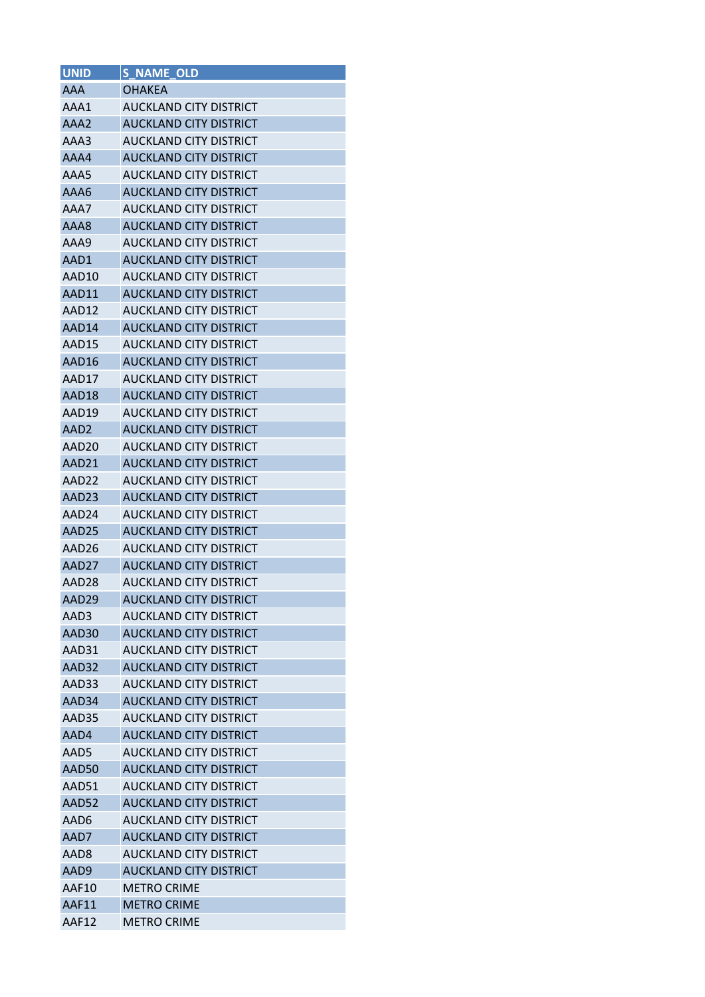| <b>UNID</b>       | <b>S_NAME_OLD</b>             |
|-------------------|-------------------------------|
| <b>AAA</b>        | <b>OHAKEA</b>                 |
| AAA1              | AUCKLAND CITY DISTRICT        |
| AAA2              | <b>AUCKLAND CITY DISTRICT</b> |
| AAA3              | AUCKLAND CITY DISTRICT        |
| AAA4              | <b>AUCKLAND CITY DISTRICT</b> |
| AAA5              | AUCKLAND CITY DISTRICT        |
| AAA6              | <b>AUCKLAND CITY DISTRICT</b> |
| AAA7              | AUCKLAND CITY DISTRICT        |
| AAA8              | <b>AUCKLAND CITY DISTRICT</b> |
| AAA9              | AUCKLAND CITY DISTRICT        |
| AAD1              | AUCKLAND CITY DISTRICT        |
| AAD10             | <b>AUCKLAND CITY DISTRICT</b> |
| AAD11             | <b>AUCKLAND CITY DISTRICT</b> |
| AAD12             | <b>AUCKLAND CITY DISTRICT</b> |
| AAD14             | <b>AUCKLAND CITY DISTRICT</b> |
| AAD15             | <b>AUCKLAND CITY DISTRICT</b> |
| AAD16             | <b>AUCKLAND CITY DISTRICT</b> |
| AAD17             | AUCKLAND CITY DISTRICT        |
| AAD18             | <b>AUCKLAND CITY DISTRICT</b> |
| AAD19             | <b>AUCKLAND CITY DISTRICT</b> |
| AAD2              | <b>AUCKLAND CITY DISTRICT</b> |
| AAD20             | <b>AUCKLAND CITY DISTRICT</b> |
| AAD21             | <b>AUCKLAND CITY DISTRICT</b> |
| AAD22             | AUCKLAND CITY DISTRICT        |
| AAD23             | <b>AUCKLAND CITY DISTRICT</b> |
| AAD24             | AUCKLAND CITY DISTRICT        |
| AAD25             | <b>AUCKLAND CITY DISTRICT</b> |
| AAD26             | <b>AUCKLAND CITY DISTRICT</b> |
| AAD27             | <b>AUCKLAND CITY DISTRICT</b> |
| AAD <sub>28</sub> | <b>AUCKLAND CITY DISTRICT</b> |
| AAD29             | <b>AUCKLAND CITY DISTRICT</b> |
| AAD3              | <b>AUCKLAND CITY DISTRICT</b> |
| AAD30             | <b>AUCKLAND CITY DISTRICT</b> |
| AAD31             | <b>AUCKLAND CITY DISTRICT</b> |
| AAD32             | <b>AUCKLAND CITY DISTRICT</b> |
| AAD33             | <b>AUCKLAND CITY DISTRICT</b> |
| AAD34             | <b>AUCKLAND CITY DISTRICT</b> |
| AAD35             | <b>AUCKLAND CITY DISTRICT</b> |
| AAD4              | <b>AUCKLAND CITY DISTRICT</b> |
| AAD5              | <b>AUCKLAND CITY DISTRICT</b> |
| AAD50             | <b>AUCKLAND CITY DISTRICT</b> |
| AAD51             | <b>AUCKLAND CITY DISTRICT</b> |
| AAD52             | <b>AUCKLAND CITY DISTRICT</b> |
| AAD6              | AUCKLAND CITY DISTRICT        |
| AAD7              | <b>AUCKLAND CITY DISTRICT</b> |
| AAD8              | AUCKLAND CITY DISTRICT        |
| AAD9              | <b>AUCKLAND CITY DISTRICT</b> |
| AAF10             | <b>METRO CRIME</b>            |
| AAF11             | <b>METRO CRIME</b>            |
| AAF12             | <b>METRO CRIME</b>            |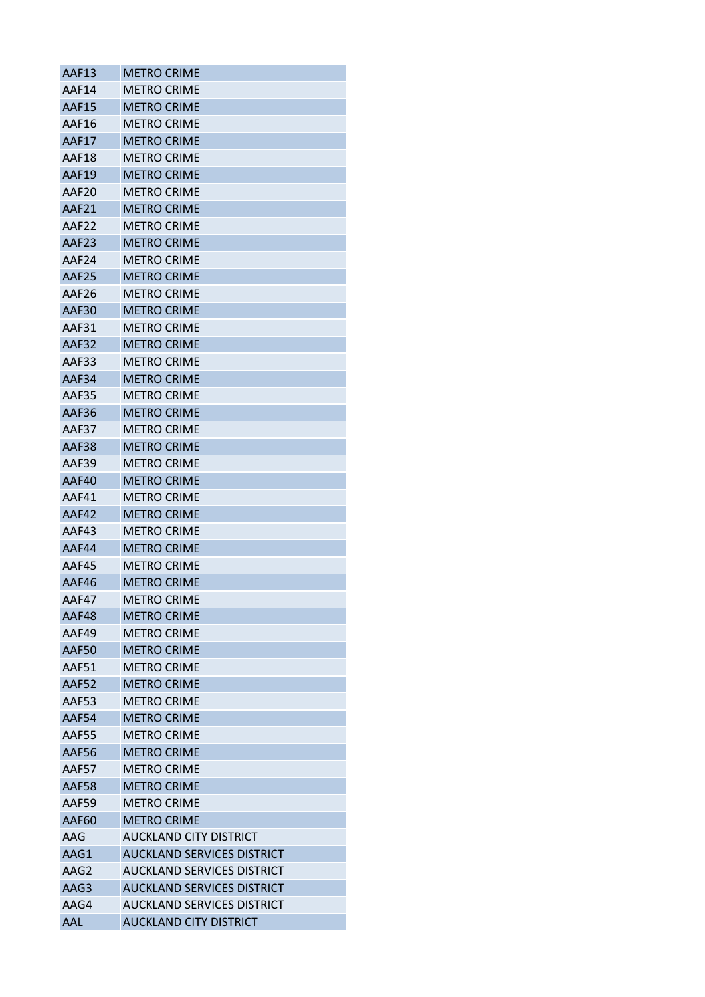| AAF13        | <b>METRO CRIME</b>                |
|--------------|-----------------------------------|
| AAF14        | <b>METRO CRIME</b>                |
| AAF15        | <b>METRO CRIME</b>                |
| AAF16        | <b>METRO CRIME</b>                |
| AAF17        | <b>METRO CRIME</b>                |
| AAF18        | <b>METRO CRIME</b>                |
| AAF19        | METRO CRIME                       |
| AAF20        | <b>METRO CRIME</b>                |
| AAF21        | <b>METRO CRIME</b>                |
| AAF22        | <b>METRO CRIME</b>                |
| AAF23        | <b>METRO CRIME</b>                |
| AAF24        | <b>METRO CRIME</b>                |
| AAF25        | <b>METRO CRIME</b>                |
| AAF26        | METRO CRIME                       |
| AAF30        | <b>METRO CRIME</b>                |
| AAF31        | <b>METRO CRIME</b>                |
| AAF32        | <b>METRO CRIME</b>                |
| AAF33        | <b>METRO CRIME</b>                |
| AAF34        | <b>METRO CRIME</b>                |
| AAF35        | <b>METRO CRIME</b>                |
| AAF36        | <b>METRO CRIME</b>                |
| AAF37        | <b>METRO CRIME</b>                |
| AAF38        | <b>METRO CRIME</b>                |
| AAF39        | <b>METRO CRIME</b>                |
| AAF40        | <b>METRO CRIME</b>                |
| AAF41        | <b>METRO CRIME</b>                |
| AAF42        | <b>METRO CRIME</b>                |
| AAF43        | <b>METRO CRIME</b>                |
| AAF44        | <b>METRO CRIME</b>                |
| AAF45        | <b>METRO CRIME</b>                |
| AAF46        | <b>METRO CRIME</b>                |
| AAF47        | <b>METRO CRIME</b>                |
| AAF48        | <b>METRO CRIME</b>                |
| AAF49        | <b>METRO CRIME</b>                |
| AAF50        | <b>METRO CRIME</b>                |
| AAF51        | <b>METRO CRIME</b>                |
| AAF52        | <b>METRO CRIME</b>                |
| AAF53        | <b>METRO CRIME</b>                |
| AAF54        | <b>METRO CRIME</b>                |
| AAF55        | <b>METRO CRIME</b>                |
| AAF56        | <b>METRO CRIME</b>                |
| AAF57        | <b>METRO CRIME</b>                |
| <b>AAF58</b> | <b>METRO CRIME</b>                |
| AAF59        | <b>METRO CRIME</b>                |
| AAF60        | <b>METRO CRIME</b>                |
| AAG          | AUCKLAND CITY DISTRICT            |
| AAG1         | <b>AUCKLAND SERVICES DISTRICT</b> |
| AAG2         | <b>AUCKLAND SERVICES DISTRICT</b> |
| AAG3         | <b>AUCKLAND SERVICES DISTRICT</b> |
| AAG4         | AUCKLAND SERVICES DISTRICT        |
| <b>AAL</b>   | <b>AUCKLAND CITY DISTRICT</b>     |
|              |                                   |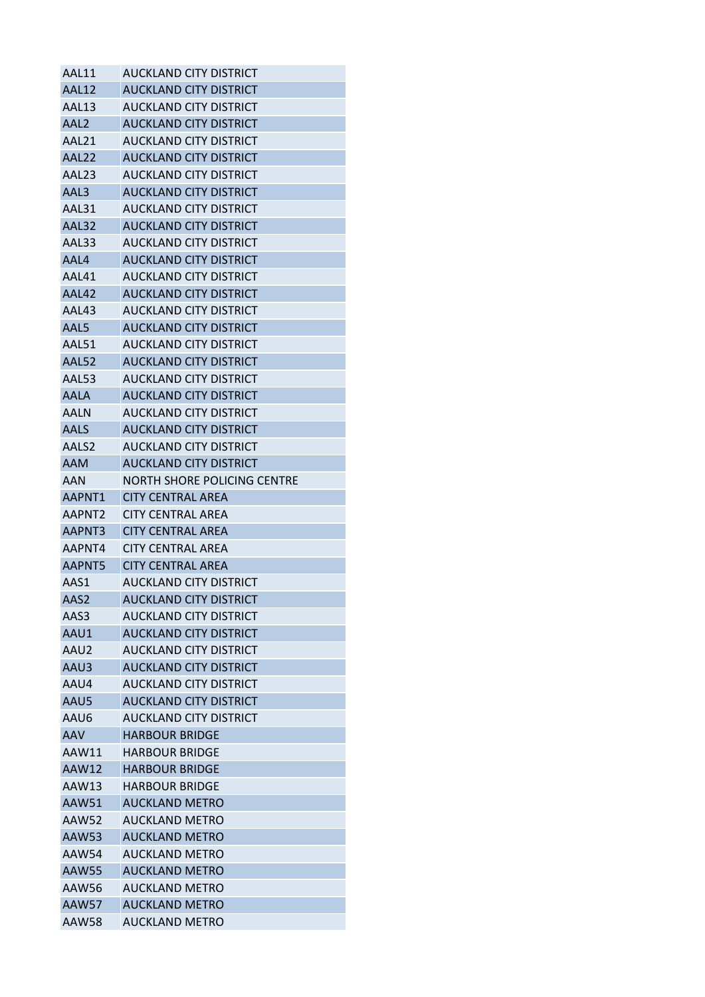| AAL11            | AUCKLAND CITY DISTRICT        |
|------------------|-------------------------------|
| AAL12            | <b>AUCKLAND CITY DISTRICT</b> |
| AAL13            | AUCKLAND CITY DISTRICT        |
| AAL <sub>2</sub> | <b>AUCKLAND CITY DISTRICT</b> |
| AAL21            | AUCKLAND CITY DISTRICT        |
| AAL22            | <b>AUCKLAND CITY DISTRICT</b> |
| AAL23            | AUCKLAND CITY DISTRICT        |
| AAL3             | <b>AUCKLAND CITY DISTRICT</b> |
| AAL31            | AUCKLAND CITY DISTRICT        |
| AAL32            | <b>AUCKLAND CITY DISTRICT</b> |
| AAL33            | AUCKLAND CITY DISTRICT        |
| AAL4             | <b>AUCKLAND CITY DISTRICT</b> |
| AAL41            | AUCKLAND CITY DISTRICT        |
| AAL42            | AUCKLAND CITY DISTRICT        |
| AAL43            | AUCKLAND CITY DISTRICT        |
| AAL5             | <b>AUCKLAND CITY DISTRICT</b> |
| AAL51            | <b>AUCKLAND CITY DISTRICT</b> |
| AAL52            | <b>AUCKLAND CITY DISTRICT</b> |
| AAL53            | AUCKLAND CITY DISTRICT        |
| <b>AALA</b>      | <b>AUCKLAND CITY DISTRICT</b> |
| AALN             | <b>AUCKLAND CITY DISTRICT</b> |
| <b>AALS</b>      | <b>AUCKLAND CITY DISTRICT</b> |
| AALS2            | AUCKLAND CITY DISTRICT        |
| <b>AAM</b>       | <b>AUCKLAND CITY DISTRICT</b> |
| AAN              | NORTH SHORE POLICING CENTRE   |
| AAPNT1           | <b>CITY CENTRAL AREA</b>      |
| AAPNT2           | <b>CITY CENTRAL AREA</b>      |
| AAPNT3           | <b>CITY CENTRAL AREA</b>      |
| AAPNT4           | <b>CITY CENTRAL AREA</b>      |
| AAPNT5           | <b>CITY CENTRAL AREA</b>      |
| AAS1             | AUCKLAND CITY DISTRICT        |
| AAS2             | <b>AUCKLAND CITY DISTRICT</b> |
| AAS3             | AUCKLAND CITY DISTRICT        |
| AAU1             | <b>AUCKLAND CITY DISTRICT</b> |
| AAU2             | AUCKLAND CITY DISTRICT        |
| AAU3             | <b>AUCKLAND CITY DISTRICT</b> |
| AAU4             | <b>AUCKLAND CITY DISTRICT</b> |
| AAU5             | <b>AUCKLAND CITY DISTRICT</b> |
| AAU6             | <b>AUCKLAND CITY DISTRICT</b> |
| <b>AAV</b>       | <b>HARBOUR BRIDGE</b>         |
| AAW11            | <b>HARBOUR BRIDGE</b>         |
| <b>AAW12</b>     | <b>HARBOUR BRIDGE</b>         |
| AAW13            | <b>HARBOUR BRIDGE</b>         |
| <b>AAW51</b>     | <b>AUCKLAND METRO</b>         |
| AAW52            | <b>AUCKLAND METRO</b>         |
| AAW53            | <b>AUCKLAND METRO</b>         |
| <b>AAW54</b>     | <b>AUCKLAND METRO</b>         |
| <b>AAW55</b>     | <b>AUCKLAND METRO</b>         |
| AAW56            |                               |
|                  | <b>AUCKLAND METRO</b>         |
| <b>AAW57</b>     | <b>AUCKLAND METRO</b>         |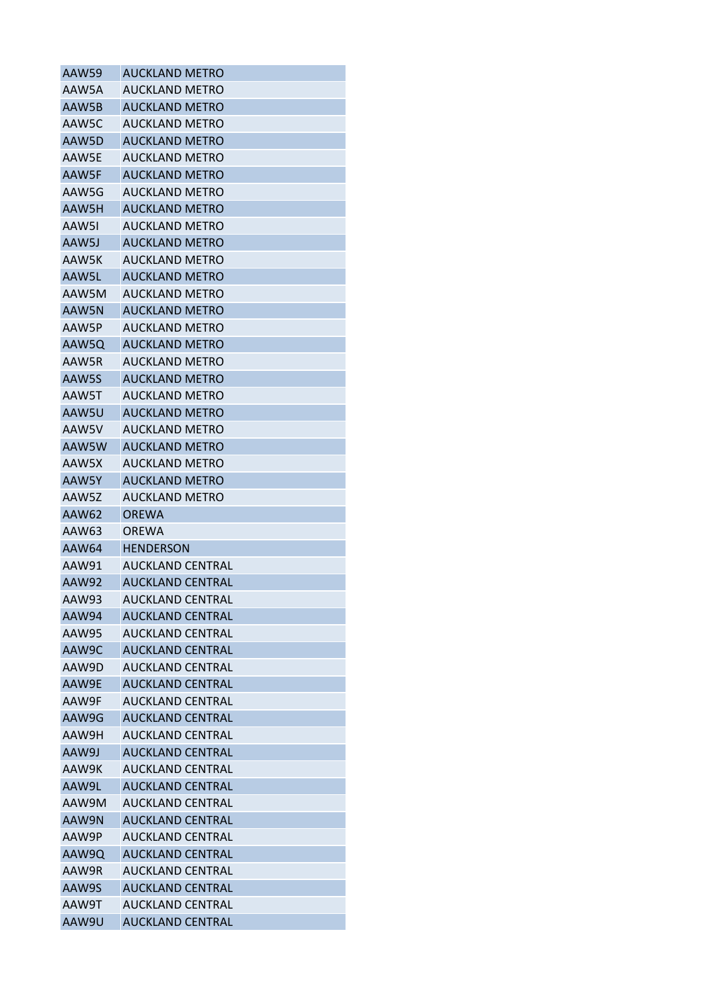| AAW59        | AUCKLAND METRO          |
|--------------|-------------------------|
| AAW5A        | <b>AUCKLAND METRO</b>   |
| AAW5B        | <b>AUCKLAND METRO</b>   |
| AAW5C        | <b>AUCKLAND METRO</b>   |
| AAW5D        | AUCKLAND METRO          |
| AAW5E        | <b>AUCKLAND METRO</b>   |
| AAW5F        | <b>AUCKLAND METRO</b>   |
| AAW5G        | <b>AUCKLAND METRO</b>   |
| AAW5H        | <b>AUCKLAND METRO</b>   |
| AAW5I        | <b>AUCKLAND METRO</b>   |
| AAW5J        | <b>AUCKLAND METRO</b>   |
| AAW5K        | AUCKLAND METRO          |
| AAW5L        | <b>AUCKLAND METRO</b>   |
| AAW5M        | <b>AUCKLAND METRO</b>   |
| AAW5N        | <b>AUCKLAND METRO</b>   |
| AAW5P        | AUCKLAND METRO          |
| AAW5Q        | <b>AUCKLAND METRO</b>   |
| AAW5R        | <b>AUCKLAND METRO</b>   |
| AAW5S        | <b>AUCKLAND METRO</b>   |
| AAW5T        | <b>AUCKLAND METRO</b>   |
| AAW5U        | <b>AUCKLAND METRO</b>   |
| AAW5V        | <b>AUCKLAND METRO</b>   |
| AAW5W        | <b>AUCKLAND METRO</b>   |
| AAW5X        | <b>AUCKLAND METRO</b>   |
| AAW5Y        | <b>AUCKLAND METRO</b>   |
| AAW5Z        | <b>AUCKLAND METRO</b>   |
| AAW62        | <b>OREWA</b>            |
| AAW63        | ORFWA                   |
| AAW64        | <b>HENDERSON</b>        |
| AAW91        | <b>AUCKLAND CENTRAL</b> |
| AAW92        | <b>AUCKLAND CENTRAL</b> |
| AAW93        | AUCKLAND CENTRAL        |
| AAW94        | <b>AUCKLAND CENTRAL</b> |
| <b>AAW95</b> | <b>AUCKLAND CENTRAL</b> |
| AAW9C        | <b>AUCKLAND CENTRAL</b> |
| AAW9D        | AUCKLAND CENTRAL        |
| AAW9E        | <b>AUCKLAND CENTRAL</b> |
| AAW9F        | <b>AUCKLAND CENTRAL</b> |
| AAW9G        | <b>AUCKLAND CENTRAL</b> |
| AAW9H        | <b>AUCKLAND CENTRAL</b> |
| AAW9J        | <b>AUCKLAND CENTRAL</b> |
| AAW9K        | <b>AUCKLAND CENTRAL</b> |
| AAW9L        | <b>AUCKLAND CENTRAL</b> |
| AAW9M        | <b>AUCKLAND CENTRAL</b> |
| AAW9N        | <b>AUCKLAND CENTRAL</b> |
| AAW9P        | AUCKLAND CENTRAL        |
| AAW9Q        | <b>AUCKLAND CENTRAL</b> |
| AAW9R        | <b>AUCKLAND CENTRAL</b> |
| AAW9S        | <b>AUCKLAND CENTRAL</b> |
| AAW9T        | <b>AUCKLAND CENTRAL</b> |
| AAW9U        | AUCKLAND CENTRAL        |
|              |                         |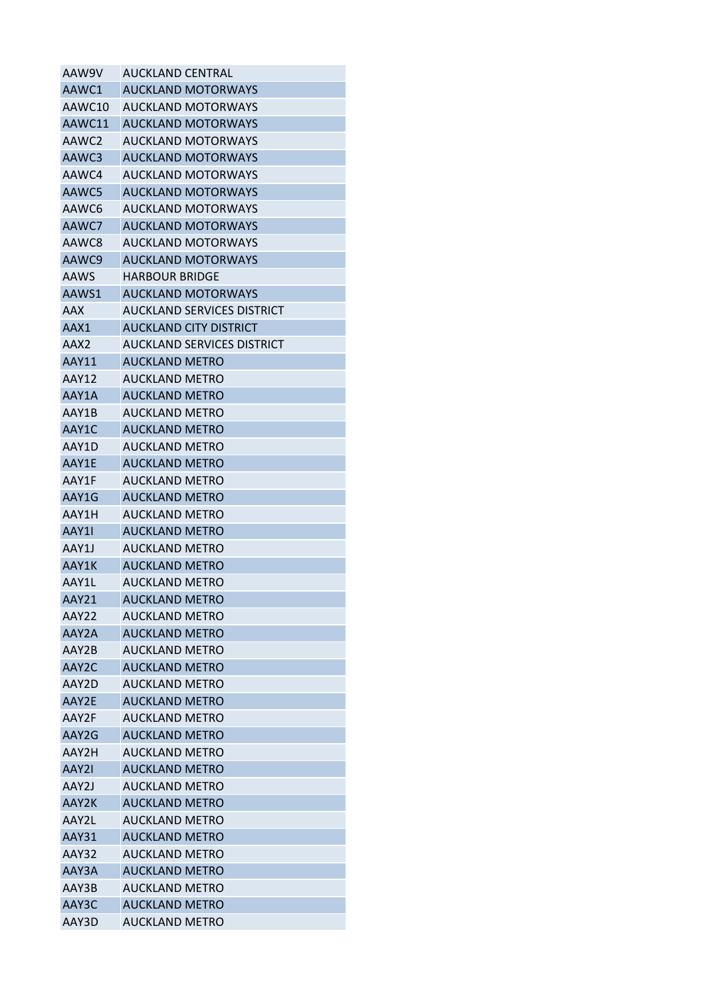| AAW9V        | AUCKLAND CENTRAL                  |
|--------------|-----------------------------------|
| AAWC1        | <b>AUCKLAND MOTORWAYS</b>         |
| AAWC10       | <b>AUCKLAND MOTORWAYS</b>         |
| AAWC11       | <b>AUCKLAND MOTORWAYS</b>         |
| AAWC2        | AUCKLAND MOTORWAYS                |
| AAWC3        | <b>AUCKLAND MOTORWAYS</b>         |
| AAWC4        | AUCKLAND MOTORWAYS                |
| AAWC5        | <b>AUCKLAND MOTORWAYS</b>         |
| AAWC6        | <b>AUCKLAND MOTORWAYS</b>         |
| AAWC7        | <b>AUCKLAND MOTORWAYS</b>         |
| AAWC8        | <b>AUCKLAND MOTORWAYS</b>         |
| AAWC9        | <b>AUCKLAND MOTORWAYS</b>         |
| AAWS         | <b>HARBOUR BRIDGE</b>             |
| AAWS1        | <b>AUCKLAND MOTORWAYS</b>         |
| AAX          | AUCKLAND SERVICES DISTRICT        |
| AAX1         | AUCKLAND CITY DISTRICT            |
| AAX2         | <b>AUCKLAND SERVICES DISTRICT</b> |
| AAY11        | <b>AUCKLAND METRO</b>             |
| <b>AAY12</b> | <b>AUCKLAND METRO</b>             |
| AAY1A        | <b>AUCKLAND METRO</b>             |
| AAY1B        | AUCKLAND METRO                    |
| AAY1C        | <b>AUCKLAND METRO</b>             |
| AAY1D        | AUCKLAND METRO                    |
| AAY1E        | <b>AUCKLAND METRO</b>             |
| AAY1F        | <b>AUCKLAND METRO</b>             |
| AAY1G        | <b>AUCKLAND METRO</b>             |
| AAY1H        | <b>AUCKLAND METRO</b>             |
| AAY11        | <b>AUCKLAND METRO</b>             |
| AAY1J        | <b>AUCKLAND METRO</b>             |
| AAY1K        | <b>AUCKLAND METRO</b>             |
| AAY1L        | <b>AUCKLAND METRO</b>             |
| AAY21        | <b>AUCKLAND METRO</b>             |
| AAY22        | <b>AUCKLAND METRO</b>             |
| AAY2A        | <b>AUCKLAND METRO</b>             |
| AAY2B        | <b>AUCKLAND METRO</b>             |
| AAY2C        | <b>AUCKLAND METRO</b>             |
| AAY2D        | <b>AUCKLAND METRO</b>             |
| AAY2E        | <b>AUCKLAND METRO</b>             |
| AAY2F        | <b>AUCKLAND METRO</b>             |
| AAY2G        | <b>AUCKLAND METRO</b>             |
| AAY2H        | <b>AUCKLAND METRO</b>             |
| AAY2I        | <b>AUCKLAND METRO</b>             |
| AAY2J        | <b>AUCKLAND METRO</b>             |
| AAY2K        | <b>AUCKLAND METRO</b>             |
| AAY2L        | <b>AUCKLAND METRO</b>             |
| AAY31        | <b>AUCKLAND METRO</b>             |
| AAY32        | <b>AUCKLAND METRO</b>             |
| AAY3A        | <b>AUCKLAND METRO</b>             |
| AAY3B        | <b>AUCKLAND METRO</b>             |
| AAY3C        | <b>AUCKLAND METRO</b>             |
| AAY3D        | <b>AUCKLAND METRO</b>             |
|              |                                   |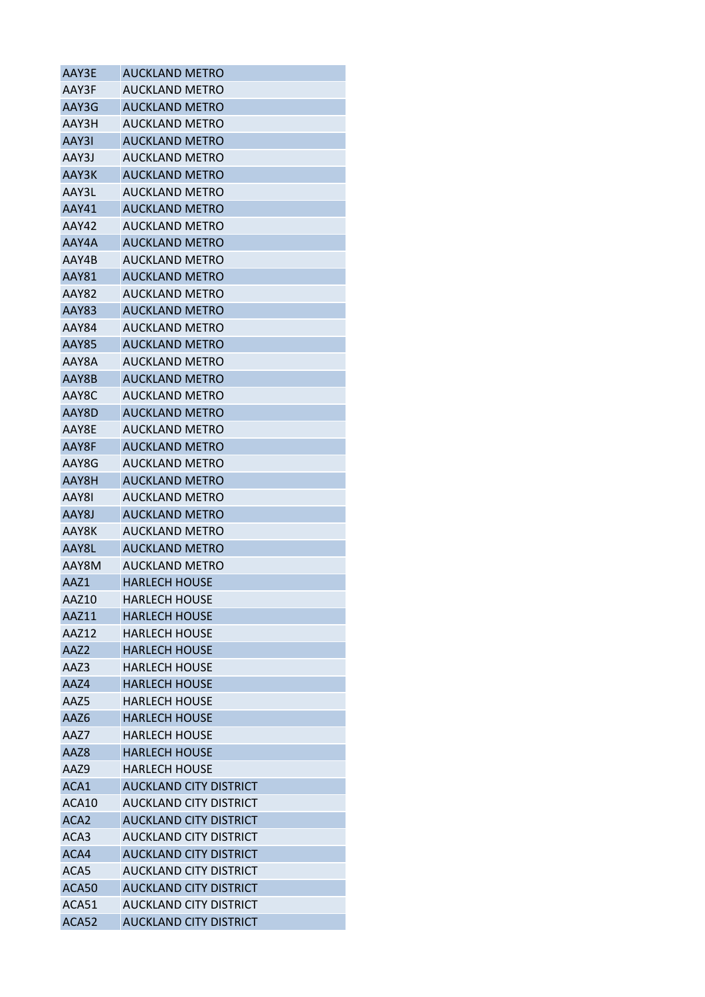| AAY3E            | <b>AUCKLAND METRO</b>         |
|------------------|-------------------------------|
| AAY3F            | <b>AUCKLAND METRO</b>         |
| AAY3G            | <b>AUCKLAND METRO</b>         |
| AAY3H            | <b>AUCKLAND METRO</b>         |
| AAY3I            | <b>AUCKLAND METRO</b>         |
| AAY3J            | <b>AUCKLAND METRO</b>         |
| AAY3K            | <b>AUCKLAND METRO</b>         |
| AAY3L            | <b>AUCKLAND METRO</b>         |
| AAY41            | <b>AUCKLAND METRO</b>         |
| AAY42            | <b>AUCKLAND METRO</b>         |
| AAY4A            | <b>AUCKLAND METRO</b>         |
| AAY4B            | <b>AUCKLAND METRO</b>         |
| <b>AAY81</b>     | <b>AUCKLAND METRO</b>         |
| AAY82            | AUCKLAND METRO                |
| <b>AAY83</b>     | <b>AUCKLAND METRO</b>         |
| AAY84            | <b>AUCKLAND METRO</b>         |
| <b>AAY85</b>     | <b>AUCKLAND METRO</b>         |
| AAY8A            | <b>AUCKLAND METRO</b>         |
| AAY8B            | <b>AUCKLAND METRO</b>         |
| AAY8C            | <b>AUCKLAND METRO</b>         |
| AAY8D            | <b>AUCKLAND METRO</b>         |
| AAY8E            | <b>AUCKLAND METRO</b>         |
| AAY8F            | <b>AUCKLAND METRO</b>         |
| AAY8G            | <b>AUCKLAND METRO</b>         |
| AAY8H            | <b>AUCKLAND METRO</b>         |
| AAY8I            | <b>AUCKLAND METRO</b>         |
| AAY8J            | <b>AUCKLAND METRO</b>         |
| AAY8K            | <b>AUCKLAND METRO</b>         |
| AAY8L            | <b>AUCKLAND METRO</b>         |
| AAY8M            | <b>AUCKLAND METRO</b>         |
| AAZ1             | <b>HARLECH HOUSE</b>          |
| AAZ10            | <b>HARLECH HOUSE</b>          |
| AAZ11            | <b>HARLECH HOUSE</b>          |
| AAZ12            | <b>HARLECH HOUSE</b>          |
| AAZ <sub>2</sub> | <b>HARLECH HOUSE</b>          |
| AAZ3             | HARLECH HOUSE                 |
| AAZ4             | <b>HARLECH HOUSE</b>          |
| AAZ5             | <b>HARLECH HOUSE</b>          |
| AAZ6             | <b>HARLECH HOUSE</b>          |
| AAZ7             | <b>HARLECH HOUSE</b>          |
| AAZ8             | <b>HARLECH HOUSE</b>          |
| AAZ9             | <b>HARLECH HOUSE</b>          |
| ACA1             | <b>AUCKLAND CITY DISTRICT</b> |
|                  |                               |
| ACA10            | AUCKLAND CITY DISTRICT        |
| ACA <sub>2</sub> | <b>AUCKLAND CITY DISTRICT</b> |
| ACA3             | AUCKLAND CITY DISTRICT        |
| ACA4             | <b>AUCKLAND CITY DISTRICT</b> |
| ACA5             | AUCKLAND CITY DISTRICT        |
| ACA50            | <b>AUCKLAND CITY DISTRICT</b> |
| ACA51            | <b>AUCKLAND CITY DISTRICT</b> |
| ACA52            | <b>AUCKLAND CITY DISTRICT</b> |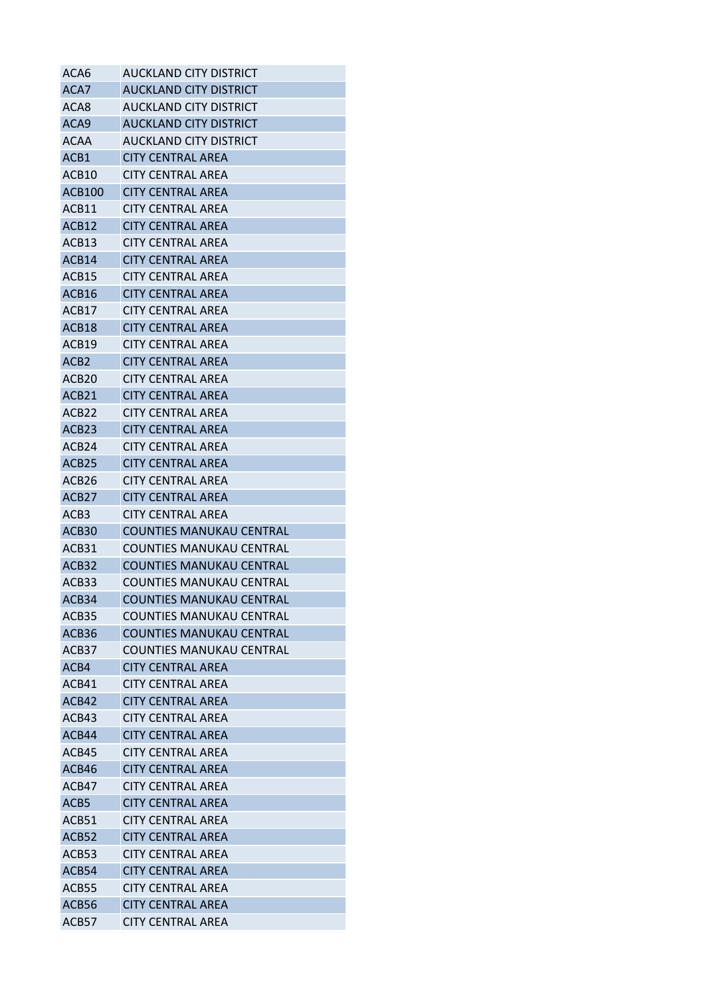| ACA6              | AUCKLAND CITY DISTRICT          |
|-------------------|---------------------------------|
| ACA7              | <b>AUCKLAND CITY DISTRICT</b>   |
| ACA8              | AUCKLAND CITY DISTRICT          |
| ACA <sub>9</sub>  | <b>AUCKLAND CITY DISTRICT</b>   |
| <b>ACAA</b>       | AUCKLAND CITY DISTRICT          |
| ACB1              | <b>CITY CENTRAL AREA</b>        |
| ACB10             | <b>CITY CENTRAL AREA</b>        |
| <b>ACB100</b>     | <b>CITY CENTRAL AREA</b>        |
| ACB11             | <b>CITY CENTRAL AREA</b>        |
| ACB <sub>12</sub> | <b>CITY CENTRAL AREA</b>        |
| ACB13             | <b>CITY CENTRAL AREA</b>        |
| ACB <sub>14</sub> | <b>CITY CENTRAL AREA</b>        |
| ACB <sub>15</sub> | <b>CITY CENTRAL AREA</b>        |
| ACB16             | <b>CITY CENTRAL AREA</b>        |
| ACB17             | <b>CITY CENTRAL AREA</b>        |
| ACB18             | <b>CITY CENTRAL AREA</b>        |
| ACB19             | <b>CITY CENTRAL AREA</b>        |
| ACB <sub>2</sub>  | <b>CITY CENTRAL AREA</b>        |
| ACB <sub>20</sub> | CITY CENTRAL AREA               |
| ACB <sub>21</sub> | <b>CITY CENTRAL AREA</b>        |
| ACB <sub>22</sub> | <b>CITY CENTRAL AREA</b>        |
| ACB <sub>23</sub> | <b>CITY CENTRAL AREA</b>        |
| ACB <sub>24</sub> | CITY CENTRAL AREA               |
| ACB25             | <b>CITY CENTRAL AREA</b>        |
| ACB <sub>26</sub> | <b>CITY CENTRAL AREA</b>        |
| ACB <sub>27</sub> | <b>CITY CENTRAL AREA</b>        |
| ACB3              | <b>CITY CENTRAL AREA</b>        |
| ACB <sub>30</sub> | <b>COUNTIES MANUKAU CENTRAL</b> |
| ACB31             | <b>COUNTIES MANUKAU CENTRAL</b> |
| ACB <sub>32</sub> | COUNTIES MANUKAU CENTRAL        |
| ACB33             | <b>COUNTIES MANUKAU CENTRAL</b> |
| ACB34             | <b>COUNTIES MANUKAU CENTRAL</b> |
| ACB <sub>35</sub> | <b>COUNTIES MANUKAU CENTRAL</b> |
| ACB36             | <b>COUNTIES MANUKAU CENTRAL</b> |
| ACB37             | COUNTIFS MANUKAU CENTRAL        |
| ACB4              | <b>CITY CENTRAL AREA</b>        |
| ACB41             | <b>CITY CENTRAL AREA</b>        |
| ACB42             | <b>CITY CENTRAL AREA</b>        |
| ACB43             | <b>CITY CENTRAL AREA</b>        |
| ACB44             | <b>CITY CENTRAL AREA</b>        |
| ACB45             | CITY CENTRAL AREA               |
| ACB46             | <b>CITY CENTRAL AREA</b>        |
| ACB47             | <b>CITY CENTRAL AREA</b>        |
| ACB5              | <b>CITY CENTRAL AREA</b>        |
| ACB51             | <b>CITY CENTRAL AREA</b>        |
| ACB52             | <b>CITY CENTRAL AREA</b>        |
| ACB53             | <b>CITY CENTRAL AREA</b>        |
| ACB54             | <b>CITY CENTRAL AREA</b>        |
| ACB55             | <b>CITY CENTRAL AREA</b>        |
| ACB56             | <b>CITY CENTRAL AREA</b>        |
| ACB57             | <b>CITY CENTRAL AREA</b>        |
|                   |                                 |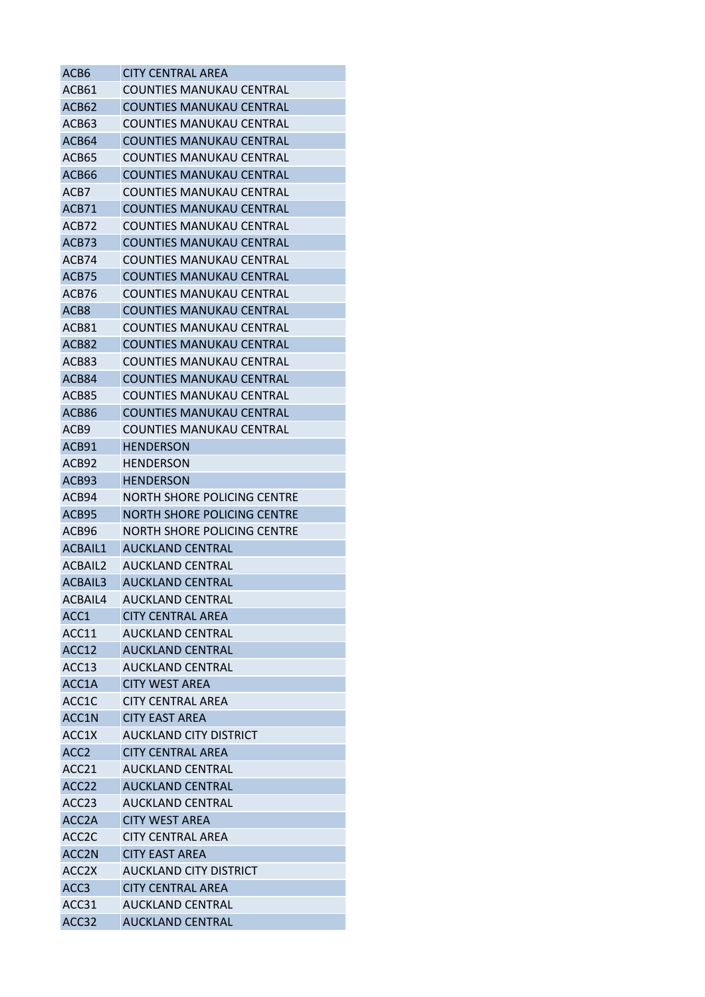| ACB6               | <b>CITY CENTRAL AREA</b>           |
|--------------------|------------------------------------|
| ACB61              | <b>COUNTIES MANUKAU CENTRAL</b>    |
| ACB62              | <b>COUNTIES MANUKAU CENTRAL</b>    |
| ACB63              | <b>COUNTIES MANUKAU CENTRAL</b>    |
| ACB64              | COUNTIES MANUKAU CENTRAL           |
| ACB65              | <b>COUNTIES MANUKAU CENTRAL</b>    |
| ACB66              | COUNTIES MANUKAU CENTRAL           |
| ACB7               | COUNTIES MANUKAU CENTRAL           |
| ACB71              | <b>COUNTIES MANUKAU CENTRAL</b>    |
| ACB72              | COUNTIES MANUKAU CENTRAL           |
| ACB73              | <b>COUNTIES MANUKAU CENTRAL</b>    |
| ACB74              | COUNTIES MANUKAU CENTRAL           |
| ACB75              | <b>COUNTIES MANUKAU CENTRAL</b>    |
| ACB76              | COUNTIES MANUKAU CENTRAL           |
| ACB8               | COUNTIES MANUKAU CENTRAL           |
| ACB81              | <b>COUNTIES MANUKAU CENTRAL</b>    |
| ACB82              | <b>COUNTIES MANUKAU CENTRAL</b>    |
| ACB83              | <b>COUNTIES MANUKAU CENTRAL</b>    |
| ACB84              | COUNTIES MANUKAU CENTRAL           |
| ACB85              | COUNTIES MANUKAU CENTRAL           |
| ACB86              | <b>COUNTIES MANUKAU CENTRAL</b>    |
| ACB9               | <b>COUNTIES MANUKAU CENTRAL</b>    |
| ACB91              | HENDERSON                          |
| ACB92              | HENDERSON                          |
| ACB93              | <b>HENDERSON</b>                   |
| ACB94              | NORTH SHORE POLICING CENTRE        |
| ACB95              | <b>NORTH SHORE POLICING CENTRE</b> |
| ACB96              | NORTH SHORE POLICING CENTRE        |
| ACBAIL1            | <b>AUCKLAND CENTRAL</b>            |
| ACBAIL2            | AUCKLAND CENTRAL                   |
| ACBAIL3            | <b>AUCKLAND CENTRAL</b>            |
| ACBAIL4            | <b>AUCKLAND CENTRAL</b>            |
| ACC <sub>1</sub>   | <b>CITY CENTRAL AREA</b>           |
| ACC11              | <b>AUCKLAND CENTRAL</b>            |
| ACC12              | <b>AUCKLAND CENTRAL</b>            |
| ACC13              | AUCKLAND CENTRAL                   |
| ACC1A              | <b>CITY WEST AREA</b>              |
| ACC1C              | <b>CITY CENTRAL AREA</b>           |
| ACC1N              | <b>CITY EAST AREA</b>              |
| ACC1X              | AUCKLAND CITY DISTRICT             |
| ACC <sub>2</sub>   | <b>CITY CENTRAL AREA</b>           |
| ACC <sub>21</sub>  | <b>AUCKLAND CENTRAL</b>            |
| ACC <sub>22</sub>  | <b>AUCKLAND CENTRAL</b>            |
| ACC <sub>23</sub>  | AUCKLAND CENTRAL                   |
| ACC <sub>2</sub> A | <b>CITY WEST AREA</b>              |
| ACC <sub>2</sub> C | <b>CITY CENTRAL AREA</b>           |
| ACC <sub>2N</sub>  | <b>CITY EAST AREA</b>              |
| ACC <sub>2</sub> X | AUCKLAND CITY DISTRICT             |
| ACC <sub>3</sub>   | <b>CITY CENTRAL AREA</b>           |
| ACC31              | <b>AUCKLAND CENTRAL</b>            |
| ACC32              | <b>AUCKLAND CENTRAL</b>            |
|                    |                                    |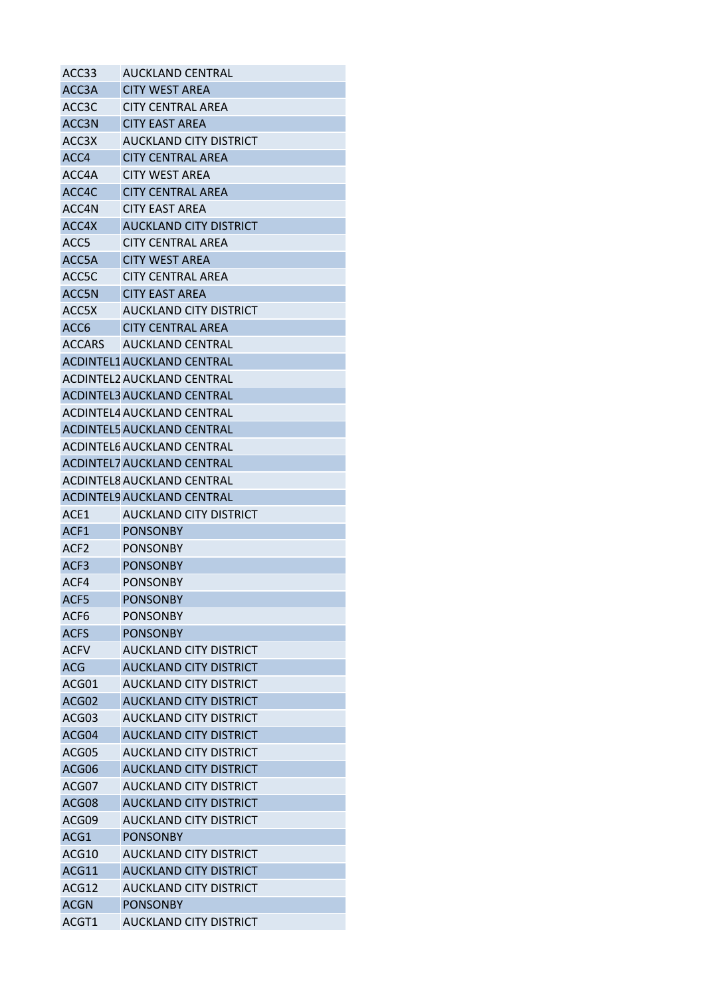| ACC33              | <b>AUCKLAND CENTRAL</b>           |
|--------------------|-----------------------------------|
| ACC3A              | <b>CITY WEST AREA</b>             |
| ACC <sub>3</sub> C | <b>CITY CENTRAL AREA</b>          |
| ACC3N              | CITY EAST AREA                    |
| ACC <sub>3</sub> X | AUCKLAND CITY DISTRICT            |
| ACC4               | <b>CITY CENTRAL AREA</b>          |
| ACC4A              | <b>CITY WEST AREA</b>             |
| ACC4C              | <b>CITY CENTRAL AREA</b>          |
| ACC4N              | <b>CITY EAST AREA</b>             |
| ACC4X              | <b>AUCKLAND CITY DISTRICT</b>     |
| ACC <sub>5</sub>   | <b>CITY CENTRAL AREA</b>          |
| ACC5A              | <b>CITY WEST AREA</b>             |
| ACC5C              | <b>CITY CENTRAL AREA</b>          |
| ACC5N              | <b>CITY EAST AREA</b>             |
| ACC5X              | AUCKLAND CITY DISTRICT            |
| ACC <sub>6</sub>   | <b>CITY CENTRAL AREA</b>          |
| <b>ACCARS</b>      | <b>AUCKLAND CENTRAL</b>           |
|                    | ACDINTEL1 AUCKLAND CENTRAL        |
|                    | ACDINTEL2 AUCKLAND CENTRAL        |
|                    | <b>ACDINTEL3 AUCKLAND CENTRAL</b> |
|                    | ACDINTEL4 AUCKLAND CENTRAL        |
|                    | <b>ACDINTEL5 AUCKLAND CENTRAL</b> |
|                    | ACDINTEL6 AUCKLAND CENTRAL        |
|                    |                                   |
|                    | <b>ACDINTEL7 AUCKLAND CENTRAL</b> |
|                    | ACDINTEL8 AUCKLAND CENTRAL        |
|                    | <b>ACDINTELS AUCKLAND CENTRAL</b> |
| ACE1               | AUCKLAND CITY DISTRICT            |
| ACF <sub>1</sub>   | <b>PONSONBY</b>                   |
| ACF <sub>2</sub>   | <b>PONSONBY</b>                   |
| ACF <sub>3</sub>   | <b>PONSONBY</b>                   |
| ACF4               | <b>PONSONBY</b>                   |
| ACF5               | <b>PONSONBY</b>                   |
| ACF <sub>6</sub>   | <b>PONSONBY</b>                   |
| <b>ACFS</b>        | <b>PONSONBY</b>                   |
| <b>ACFV</b>        | <b>AUCKLAND CITY DISTRICT</b>     |
| <b>ACG</b>         | <b>AUCKLAND CITY DISTRICT</b>     |
| ACG01              | AUCKLAND CITY DISTRICT            |
| ACG02              | <b>AUCKLAND CITY DISTRICT</b>     |
| ACG03              | <b>AUCKLAND CITY DISTRICT</b>     |
| ACG04              | <b>AUCKLAND CITY DISTRICT</b>     |
| ACG05              | AUCKLAND CITY DISTRICT            |
| ACG06              | <b>AUCKLAND CITY DISTRICT</b>     |
| ACG07              | <b>AUCKLAND CITY DISTRICT</b>     |
| ACG08              | <b>AUCKLAND CITY DISTRICT</b>     |
| ACG09              | AUCKLAND CITY DISTRICT            |
| ACG1               | <b>PONSONBY</b>                   |
| ACG10              | <b>AUCKLAND CITY DISTRICT</b>     |
| ACG11              | <b>AUCKLAND CITY DISTRICT</b>     |
| ACG12              | <b>AUCKLAND CITY DISTRICT</b>     |
| <b>ACGN</b>        | <b>PONSONBY</b>                   |
| ACGT1              | <b>AUCKLAND CITY DISTRICT</b>     |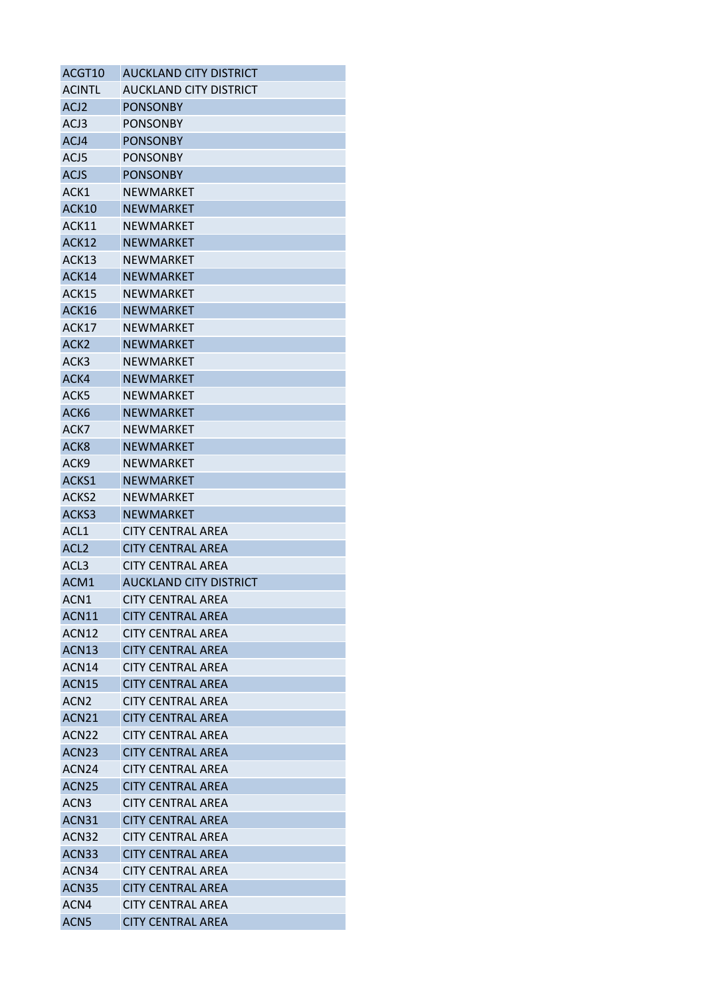| ACGT10            | <b>AUCKLAND CITY DISTRICT</b> |
|-------------------|-------------------------------|
| <b>ACINTL</b>     | AUCKLAND CITY DISTRICT        |
| ACJ <sub>2</sub>  | <b>PONSONBY</b>               |
| ACJ3              | <b>PONSONBY</b>               |
| ACJ4              | <b>PONSONBY</b>               |
| ACJ5              | <b>PONSONBY</b>               |
| <b>ACJS</b>       | <b>PONSONBY</b>               |
| ACK1              | NEWMARKET                     |
| ACK10             | <b>NEWMARKET</b>              |
| ACK11             | NEWMARKET                     |
| ACK12             | <b>NEWMARKET</b>              |
| ACK13             | NEWMARKET                     |
| ACK14             | <b>NEWMARKET</b>              |
| ACK15             | <b>NEWMARKET</b>              |
| ACK16             | <b>NEWMARKET</b>              |
| ACK17             | <b>NEWMARKET</b>              |
| ACK <sub>2</sub>  | <b>NEWMARKET</b>              |
| ACK3              | NEWMARKET                     |
| ACK4              | <b>NEWMARKET</b>              |
| ACK5              | <b>NEWMARKET</b>              |
| ACK6              | <b>NEWMARKET</b>              |
| ACK7              | NEWMARKET                     |
| ACK <sub>8</sub>  | <b>NEWMARKET</b>              |
| ACK <sub>9</sub>  | <b>NEWMARKET</b>              |
| ACKS1             | <b>NEWMARKET</b>              |
| ACKS2             | NEWMARKET                     |
| ACKS3             | <b>NEWMARKET</b>              |
| ACL <sub>1</sub>  | CITY CENTRAL AREA             |
| ACL <sub>2</sub>  | <b>CITY CENTRAL AREA</b>      |
| ACL <sub>3</sub>  | <b>CITY CENTRAL AREA</b>      |
| ACM1              | <b>AUCKLAND CITY DISTRICT</b> |
| ACN1              | <b>CITY CENTRAL AREA</b>      |
| ACN11             | <b>CITY CENTRAL AREA</b>      |
| ACN <sub>12</sub> | <b>CITY CENTRAL AREA</b>      |
| ACN <sub>13</sub> | <b>CITY CENTRAL AREA</b>      |
| ACN <sub>14</sub> | <b>CITY CENTRAL AREA</b>      |
| ACN <sub>15</sub> | <b>CITY CENTRAL AREA</b>      |
| ACN <sub>2</sub>  | <b>CITY CENTRAL AREA</b>      |
| ACN21             | <b>CITY CENTRAL AREA</b>      |
| ACN <sub>22</sub> | <b>CITY CENTRAL AREA</b>      |
| ACN <sub>23</sub> | <b>CITY CENTRAL AREA</b>      |
| ACN <sub>24</sub> | <b>CITY CENTRAL AREA</b>      |
| ACN <sub>25</sub> | <b>CITY CENTRAL AREA</b>      |
| ACN <sub>3</sub>  | <b>CITY CENTRAL AREA</b>      |
| ACN31             | <b>CITY CENTRAL AREA</b>      |
| ACN32             | <b>CITY CENTRAL AREA</b>      |
| ACN33             | <b>CITY CENTRAL AREA</b>      |
| ACN <sub>34</sub> | <b>CITY CENTRAL AREA</b>      |
| ACN35             | <b>CITY CENTRAL AREA</b>      |
| ACN4              | <b>CITY CENTRAL AREA</b>      |
| ACN <sub>5</sub>  | <b>CITY CENTRAL AREA</b>      |
|                   |                               |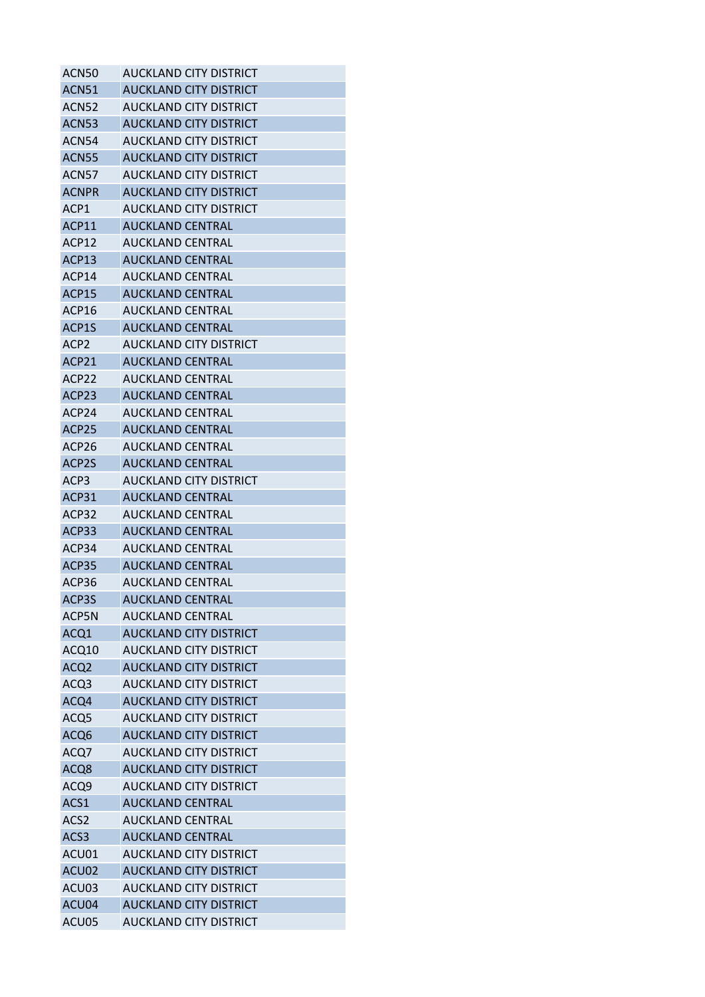| ACN50              | AUCKLAND CITY DISTRICT        |
|--------------------|-------------------------------|
| ACN <sub>51</sub>  | <b>AUCKLAND CITY DISTRICT</b> |
| ACN52              | AUCKLAND CITY DISTRICT        |
| <b>ACN53</b>       | <b>AUCKLAND CITY DISTRICT</b> |
| ACN54              | AUCKLAND CITY DISTRICT        |
| <b>ACN55</b>       | <b>AUCKLAND CITY DISTRICT</b> |
| ACN57              | AUCKLAND CITY DISTRICT        |
| <b>ACNPR</b>       | <b>AUCKLAND CITY DISTRICT</b> |
| ACP1               | AUCKLAND CITY DISTRICT        |
| ACP11              | <b>AUCKLAND CENTRAL</b>       |
| ACP12              | <b>AUCKLAND CENTRAL</b>       |
| ACP <sub>13</sub>  | <b>AUCKLAND CENTRAL</b>       |
| ACP14              | <b>AUCKLAND CENTRAL</b>       |
| ACP <sub>15</sub>  | <b>AUCKLAND CENTRAL</b>       |
| ACP16              | <b>AUCKLAND CENTRAL</b>       |
| ACP1S              | <b>AUCKLAND CENTRAL</b>       |
| ACP <sub>2</sub>   | <b>AUCKLAND CITY DISTRICT</b> |
| ACP21              | <b>AUCKLAND CENTRAL</b>       |
| ACP22              | AUCKLAND CENTRAL              |
| ACP <sub>23</sub>  | <b>AUCKLAND CENTRAL</b>       |
| ACP24              | AUCKLAND CENTRAL              |
| ACP <sub>25</sub>  | <b>AUCKLAND CENTRAL</b>       |
| ACP26              | AUCKLAND CENTRAL              |
| ACP <sub>2</sub> S | <b>AUCKLAND CENTRAL</b>       |
| ACP <sub>3</sub>   | AUCKLAND CITY DISTRICT        |
| ACP31              | <b>AUCKLAND CENTRAL</b>       |
| ACP32              | <b>AUCKLAND CENTRAL</b>       |
| ACP33              | <b>AUCKLAND CENTRAL</b>       |
| ACP34              | <b>AUCKLAND CENTRAL</b>       |
| ACP35              | <b>AUCKLAND CENTRAL</b>       |
| ACP36              | <b>AUCKLAND CENTRAL</b>       |
| ACP3S              | <b>AUCKLAND CENTRAL</b>       |
| ACP5N              | <b>AUCKLAND CENTRAL</b>       |
| ACQ1               | <b>AUCKLAND CITY DISTRICT</b> |
| ACQ10              | <b>AUCKLAND CITY DISTRICT</b> |
| ACQ <sub>2</sub>   | <b>AUCKLAND CITY DISTRICT</b> |
| ACQ3               | AUCKLAND CITY DISTRICT        |
| ACQ4               | <b>AUCKLAND CITY DISTRICT</b> |
| ACQ5               | <b>AUCKLAND CITY DISTRICT</b> |
| ACQ6               | <b>AUCKLAND CITY DISTRICT</b> |
| ACQ7               | AUCKLAND CITY DISTRICT        |
| ACQ8               | <b>AUCKLAND CITY DISTRICT</b> |
| ACQ9               | <b>AUCKLAND CITY DISTRICT</b> |
| ACS1               | <b>AUCKLAND CENTRAL</b>       |
| ACS <sub>2</sub>   | <b>AUCKLAND CENTRAL</b>       |
| ACS <sub>3</sub>   | <b>AUCKLAND CENTRAL</b>       |
| ACU01              | <b>AUCKLAND CITY DISTRICT</b> |
| ACU02              | <b>AUCKLAND CITY DISTRICT</b> |
| ACU03              | <b>AUCKLAND CITY DISTRICT</b> |
| ACU04              | <b>AUCKLAND CITY DISTRICT</b> |
| ACU05              | <b>AUCKLAND CITY DISTRICT</b> |
|                    |                               |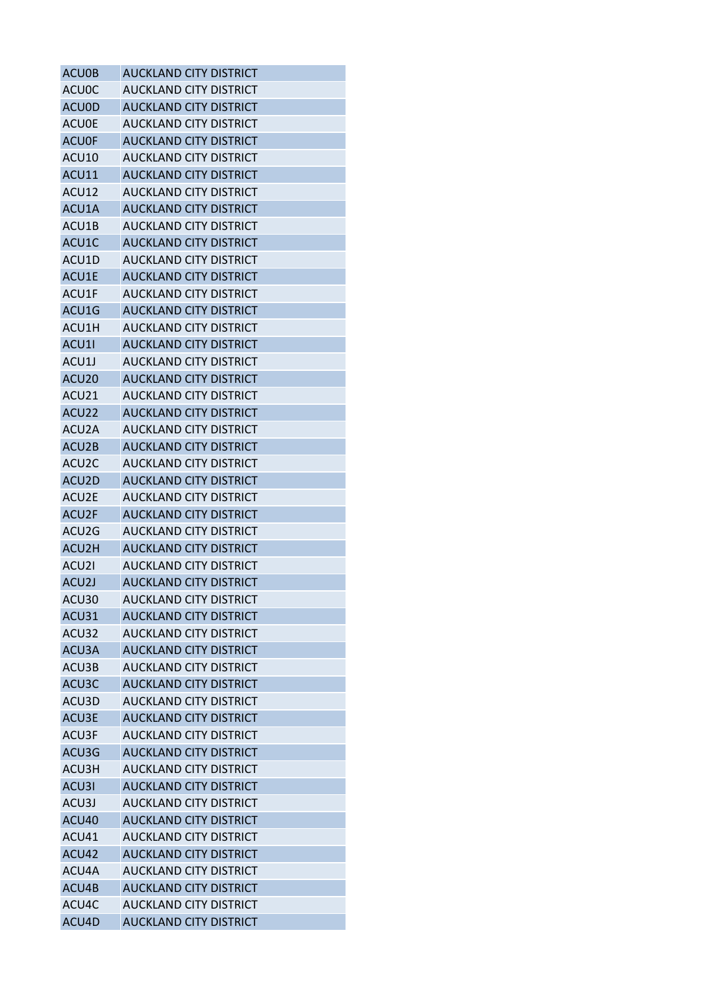| ACU0B              | <b>AUCKLAND CITY DISTRICT</b> |
|--------------------|-------------------------------|
| ACU0C              | AUCKLAND CITY DISTRICT        |
| <b>ACUOD</b>       | <b>AUCKLAND CITY DISTRICT</b> |
| <b>ACU0E</b>       | AUCKLAND CITY DISTRICT        |
| <b>ACU0F</b>       | <b>AUCKLAND CITY DISTRICT</b> |
| ACU10              | AUCKLAND CITY DISTRICT        |
| ACU11              | <b>AUCKLAND CITY DISTRICT</b> |
| ACU12              | <b>AUCKLAND CITY DISTRICT</b> |
| ACU1A              | <b>AUCKLAND CITY DISTRICT</b> |
| ACU1B              | <b>AUCKLAND CITY DISTRICT</b> |
| ACU1C              | <b>AUCKLAND CITY DISTRICT</b> |
| ACU1D              | AUCKLAND CITY DISTRICT        |
| ACU1E              | <b>AUCKLAND CITY DISTRICT</b> |
| ACU1F              | AUCKLAND CITY DISTRICT        |
| ACU1G              | <b>AUCKLAND CITY DISTRICT</b> |
| ACU1H              | AUCKLAND CITY DISTRICT        |
| ACU1I              | <b>AUCKLAND CITY DISTRICT</b> |
| ACU1J              | <b>AUCKLAND CITY DISTRICT</b> |
| ACU <sub>20</sub>  | <b>AUCKLAND CITY DISTRICT</b> |
| ACU21              | <b>AUCKLAND CITY DISTRICT</b> |
| ACU22              | <b>AUCKLAND CITY DISTRICT</b> |
| ACU2A              | AUCKLAND CITY DISTRICT        |
| ACU2B              | <b>AUCKLAND CITY DISTRICT</b> |
| ACU <sub>2</sub> C | AUCKLAND CITY DISTRICT        |
| ACU2D              | <b>AUCKLAND CITY DISTRICT</b> |
| ACU2E              | AUCKLAND CITY DISTRICT        |
| ACU2F              | <b>AUCKLAND CITY DISTRICT</b> |
| ACU <sub>2</sub> G | AUCKLAND CITY DISTRICT        |
| ACU <sub>2</sub> H | <b>AUCKLAND CITY DISTRICT</b> |
| ACU <sub>21</sub>  | AUCKLAND CITY DISTRICT        |
| ACU2J              | <b>AUCKLAND CITY DISTRICT</b> |
| ACU30              | <b>AUCKLAND CITY DISTRICT</b> |
| ACU31              | <b>AUCKLAND CITY DISTRICT</b> |
| ACU32              | <b>AUCKLAND CITY DISTRICT</b> |
| ACU3A              | <b>AUCKLAND CITY DISTRICT</b> |
| ACU3B              | <b>AUCKLAND CITY DISTRICT</b> |
| ACU3C              | <b>AUCKLAND CITY DISTRICT</b> |
| ACU3D              | AUCKLAND CITY DISTRICT        |
| ACU3E              | <b>AUCKLAND CITY DISTRICT</b> |
| ACU3F              | <b>AUCKLAND CITY DISTRICT</b> |
| ACU3G              | <b>AUCKLAND CITY DISTRICT</b> |
| ACU3H              | AUCKLAND CITY DISTRICT        |
| ACU3I              | <b>AUCKLAND CITY DISTRICT</b> |
| ACU3J              | AUCKLAND CITY DISTRICT        |
| ACU40              | <b>AUCKLAND CITY DISTRICT</b> |
| ACU41              | AUCKLAND CITY DISTRICT        |
| ACU42              | <b>AUCKLAND CITY DISTRICT</b> |
| ACU4A              | <b>AUCKLAND CITY DISTRICT</b> |
| ACU4B              | <b>AUCKLAND CITY DISTRICT</b> |
| ACU4C              | <b>AUCKLAND CITY DISTRICT</b> |
| ACU4D              | <b>AUCKLAND CITY DISTRICT</b> |
|                    |                               |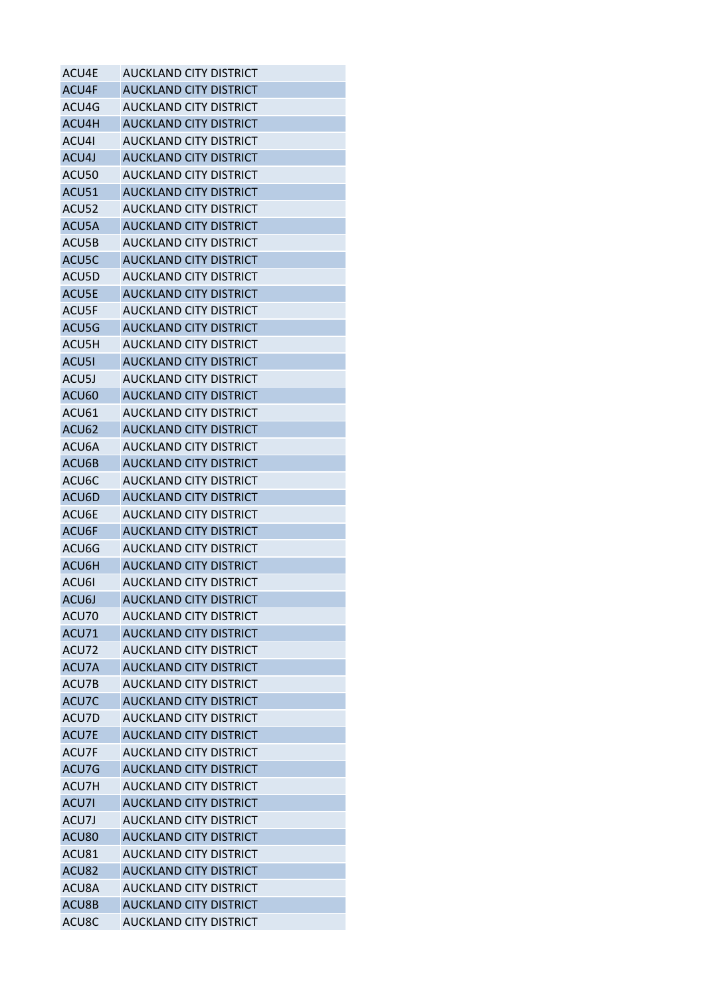| ACU4E | AUCKLAND CITY DISTRICT        |
|-------|-------------------------------|
| ACU4F | <b>AUCKLAND CITY DISTRICT</b> |
| ACU4G | <b>AUCKLAND CITY DISTRICT</b> |
| ACU4H | <b>AUCKLAND CITY DISTRICT</b> |
| ACU4I | <b>AUCKLAND CITY DISTRICT</b> |
| ACU4J | <b>AUCKLAND CITY DISTRICT</b> |
| ACU50 | AUCKLAND CITY DISTRICT        |
| ACU51 | <b>AUCKLAND CITY DISTRICT</b> |
| ACU52 | AUCKLAND CITY DISTRICT        |
| ACU5A | <b>AUCKLAND CITY DISTRICT</b> |
| ACU5B | <b>AUCKLAND CITY DISTRICT</b> |
| ACU5C | <b>AUCKLAND CITY DISTRICT</b> |
| ACU5D | AUCKLAND CITY DISTRICT        |
| ACU5E | <b>AUCKLAND CITY DISTRICT</b> |
| ACU5F | AUCKLAND CITY DISTRICT        |
| ACU5G | <b>AUCKLAND CITY DISTRICT</b> |
| ACU5H | <b>AUCKLAND CITY DISTRICT</b> |
| ACU51 | <b>AUCKLAND CITY DISTRICT</b> |
| ACU5J | <b>AUCKLAND CITY DISTRICT</b> |
| ACU60 | <b>AUCKLAND CITY DISTRICT</b> |
| ACU61 | <b>AUCKLAND CITY DISTRICT</b> |
| ACU62 | <b>AUCKLAND CITY DISTRICT</b> |
| ACU6A | AUCKLAND CITY DISTRICT        |
| ACU6B | <b>AUCKLAND CITY DISTRICT</b> |
| ACU6C | AUCKLAND CITY DISTRICT        |
| ACU6D | <b>AUCKLAND CITY DISTRICT</b> |
| ACU6E | AUCKLAND CITY DISTRICT        |
| ACU6F | <b>AUCKLAND CITY DISTRICT</b> |
| ACU6G | <b>AUCKLAND CITY DISTRICT</b> |
| ACU6H | <b>AUCKLAND CITY DISTRICT</b> |
| ACU6I | <b>AUCKLAND CITY DISTRICT</b> |
| ACU6J | <b>AUCKLAND CITY DISTRICT</b> |
| ACU70 | AUCKLAND CITY DISTRICT        |
| ACU71 | <b>AUCKLAND CITY DISTRICT</b> |
| ACU72 | AUCKLAND CITY DISTRICT        |
| ACU7A | <b>AUCKLAND CITY DISTRICT</b> |
| ACU7B | <b>AUCKLAND CITY DISTRICT</b> |
| ACU7C | <b>AUCKLAND CITY DISTRICT</b> |
| ACU7D | <b>AUCKLAND CITY DISTRICT</b> |
| ACU7E | <b>AUCKLAND CITY DISTRICT</b> |
| ACU7F | <b>AUCKLAND CITY DISTRICT</b> |
| ACU7G | <b>AUCKLAND CITY DISTRICT</b> |
| ACU7H | <b>AUCKLAND CITY DISTRICT</b> |
| ACU7I | <b>AUCKLAND CITY DISTRICT</b> |
| ACU7J | AUCKLAND CITY DISTRICT        |
| ACU80 | <b>AUCKLAND CITY DISTRICT</b> |
| ACU81 | <b>AUCKLAND CITY DISTRICT</b> |
| ACU82 | <b>AUCKLAND CITY DISTRICT</b> |
| ACU8A | <b>AUCKLAND CITY DISTRICT</b> |
| ACU8B | <b>AUCKLAND CITY DISTRICT</b> |
| ACU8C |                               |
|       | <b>AUCKLAND CITY DISTRICT</b> |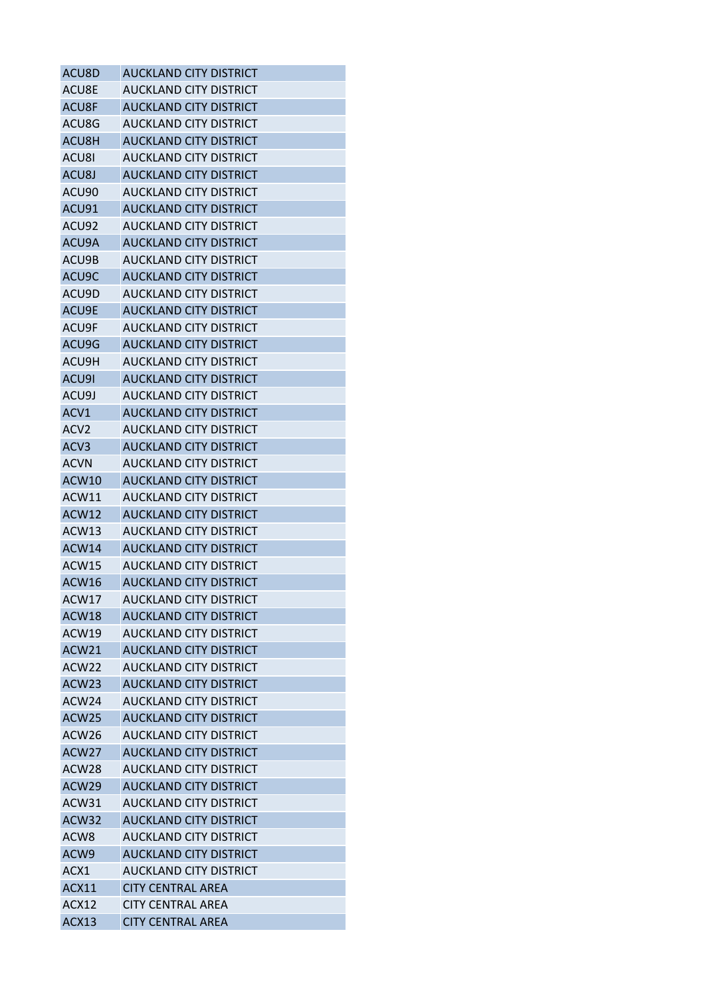| ACU8D             | <b>AUCKLAND CITY DISTRICT</b> |
|-------------------|-------------------------------|
| ACU8E             | <b>AUCKLAND CITY DISTRICT</b> |
| ACU8F             | <b>AUCKLAND CITY DISTRICT</b> |
| ACU8G             | AUCKLAND CITY DISTRICT        |
| ACU8H             | <b>AUCKLAND CITY DISTRICT</b> |
| ACU8I             | AUCKLAND CITY DISTRICT        |
| ACU8J             | <b>AUCKLAND CITY DISTRICT</b> |
| ACU90             | <b>AUCKLAND CITY DISTRICT</b> |
| ACU91             | <b>AUCKLAND CITY DISTRICT</b> |
| ACU92             | <b>AUCKLAND CITY DISTRICT</b> |
| ACU9A             | <b>AUCKLAND CITY DISTRICT</b> |
| ACU9B             | AUCKLAND CITY DISTRICT        |
| ACU9C             | <b>AUCKLAND CITY DISTRICT</b> |
| ACU9D             | AUCKLAND CITY DISTRICT        |
| ACU9E             | <b>AUCKLAND CITY DISTRICT</b> |
| ACU9F             | AUCKLAND CITY DISTRICT        |
| ACU9G             | <b>AUCKLAND CITY DISTRICT</b> |
| ACU9H             | <b>AUCKLAND CITY DISTRICT</b> |
| ACU9I             | <b>AUCKLAND CITY DISTRICT</b> |
| ACU9J             | <b>AUCKLAND CITY DISTRICT</b> |
| ACV1              | <b>AUCKLAND CITY DISTRICT</b> |
| ACV <sub>2</sub>  | AUCKLAND CITY DISTRICT        |
| ACV <sub>3</sub>  | <b>AUCKLAND CITY DISTRICT</b> |
| <b>ACVN</b>       | AUCKLAND CITY DISTRICT        |
| ACW10             | <b>AUCKLAND CITY DISTRICT</b> |
| ACW11             | AUCKLAND CITY DISTRICT        |
| ACW12             | <b>AUCKLAND CITY DISTRICT</b> |
| ACW13             | AUCKLAND CITY DISTRICT        |
| ACW14             | <b>AUCKLAND CITY DISTRICT</b> |
| ACW15             | AUCKLAND CITY DISTRICT        |
| ACW16             | <b>AUCKLAND CITY DISTRICT</b> |
| ACW17             | <b>AUCKLAND CITY DISTRICT</b> |
| ACW18             | <b>AUCKLAND CITY DISTRICT</b> |
| ACW19             | <b>AUCKLAND CITY DISTRICT</b> |
| ACW21             | <b>AUCKLAND CITY DISTRICT</b> |
| ACW22             | <b>AUCKLAND CITY DISTRICT</b> |
| ACW <sub>23</sub> | <b>AUCKLAND CITY DISTRICT</b> |
| ACW24             | <b>AUCKLAND CITY DISTRICT</b> |
| ACW25             | <b>AUCKLAND CITY DISTRICT</b> |
| ACW <sub>26</sub> | <b>AUCKLAND CITY DISTRICT</b> |
| ACW <sub>27</sub> | <b>AUCKLAND CITY DISTRICT</b> |
| ACW <sub>28</sub> | AUCKLAND CITY DISTRICT        |
| ACW29             | <b>AUCKLAND CITY DISTRICT</b> |
| ACW31             | AUCKLAND CITY DISTRICT        |
| ACW32             | <b>AUCKLAND CITY DISTRICT</b> |
| ACW <sub>8</sub>  | AUCKLAND CITY DISTRICT        |
|                   |                               |
| ACW9              | <b>AUCKLAND CITY DISTRICT</b> |
| ACX1              | AUCKLAND CITY DISTRICT        |
| ACX11             | <b>CITY CENTRAL AREA</b>      |
| ACX12             | <b>CITY CENTRAL AREA</b>      |
| ACX13             | <b>CITY CENTRAL AREA</b>      |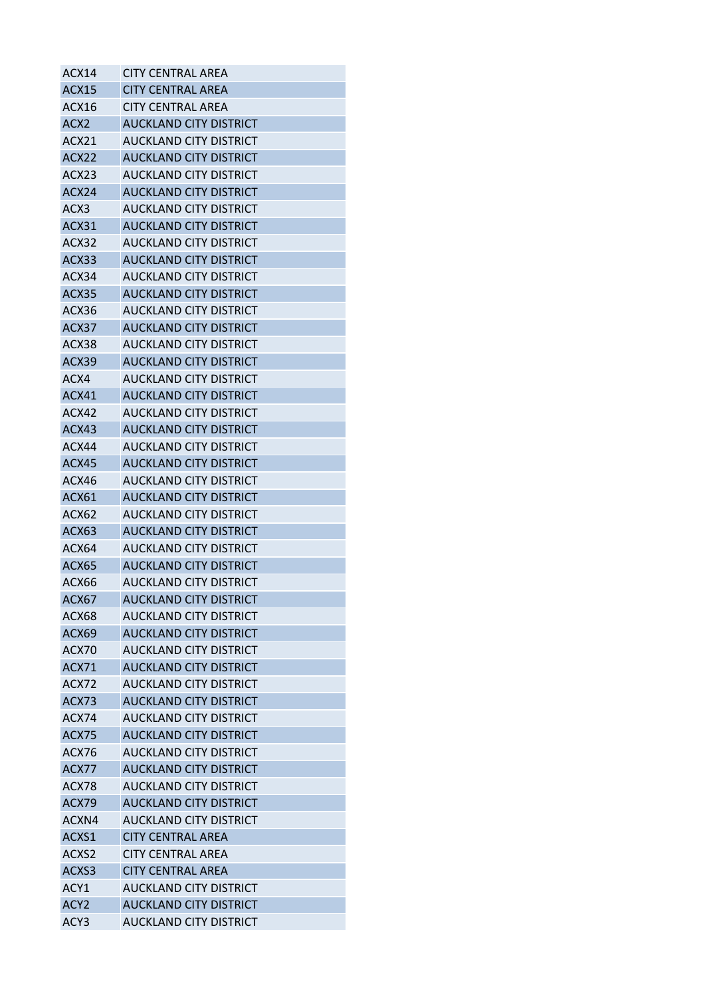| ACX14            | CITY CENTRAL AREA             |
|------------------|-------------------------------|
| <b>ACX15</b>     | <b>CITY CENTRAL AREA</b>      |
| ACX16            | CITY CENTRAL AREA             |
| ACX <sub>2</sub> | <b>AUCKLAND CITY DISTRICT</b> |
| ACX21            | AUCKLAND CITY DISTRICT        |
| ACX22            | AUCKLAND CITY DISTRICT        |
| ACX23            | AUCKLAND CITY DISTRICT        |
| ACX24            | <b>AUCKLAND CITY DISTRICT</b> |
| ACX3             | AUCKLAND CITY DISTRICT        |
| ACX31            | AUCKLAND CITY DISTRICT        |
| ACX32            | AUCKLAND CITY DISTRICT        |
| ACX33            | AUCKLAND CITY DISTRICT        |
| ACX34            | AUCKLAND CITY DISTRICT        |
| ACX35            | <b>AUCKLAND CITY DISTRICT</b> |
| ACX36            | <b>AUCKLAND CITY DISTRICT</b> |
| ACX37            | <b>AUCKLAND CITY DISTRICT</b> |
| ACX38            | AUCKLAND CITY DISTRICT        |
| ACX39            | <b>AUCKLAND CITY DISTRICT</b> |
| ACX4             | AUCKLAND CITY DISTRICT        |
| ACX41            | AUCKLAND CITY DISTRICT        |
| ACX42            | <b>AUCKLAND CITY DISTRICT</b> |
| ACX43            | <b>AUCKLAND CITY DISTRICT</b> |
| ACX44            | AUCKLAND CITY DISTRICT        |
| ACX45            | <b>AUCKLAND CITY DISTRICT</b> |
| ACX46            | AUCKLAND CITY DISTRICT        |
| ACX61            | <b>AUCKLAND CITY DISTRICT</b> |
| ACX62            | AUCKLAND CITY DISTRICT        |
| ACX63            | <b>AUCKLAND CITY DISTRICT</b> |
| ACX64            | AUCKLAND CITY DISTRICT        |
| ACX65            | <b>AUCKLAND CITY DISTRICT</b> |
| ACX66            | AUCKLAND CITY DISTRICT        |
| ACX67            | <b>AUCKLAND CITY DISTRICT</b> |
| ACX68            | AUCKLAND CITY DISTRICT        |
| ACX69            | <b>AUCKLAND CITY DISTRICT</b> |
| ACX70            | AUCKLAND CITY DISTRICT        |
| <b>ACX71</b>     | <b>AUCKLAND CITY DISTRICT</b> |
| ACX72            | AUCKLAND CITY DISTRICT        |
| ACX73            | <b>AUCKLAND CITY DISTRICT</b> |
| ACX74            | <b>AUCKLAND CITY DISTRICT</b> |
| ACX75            | <b>AUCKLAND CITY DISTRICT</b> |
| ACX76            | <b>AUCKLAND CITY DISTRICT</b> |
| ACX77            | <b>AUCKLAND CITY DISTRICT</b> |
| ACX78            | <b>AUCKLAND CITY DISTRICT</b> |
| ACX79            | <b>AUCKLAND CITY DISTRICT</b> |
| ACXN4            | AUCKLAND CITY DISTRICT        |
| ACXS1            | <b>CITY CENTRAL AREA</b>      |
| ACXS2            | <b>CITY CENTRAL AREA</b>      |
| ACXS3            | <b>CITY CENTRAL AREA</b>      |
| ACY1             | <b>AUCKLAND CITY DISTRICT</b> |
| ACY <sub>2</sub> | <b>AUCKLAND CITY DISTRICT</b> |
| ACY3             | <b>AUCKLAND CITY DISTRICT</b> |
|                  |                               |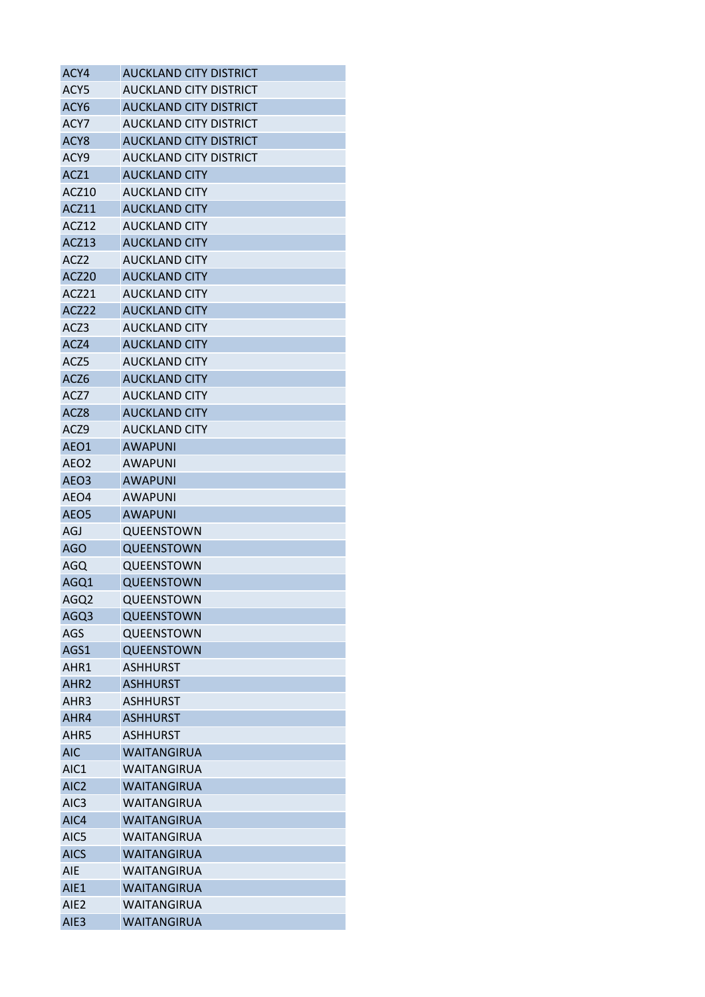| ACY4             | <b>AUCKLAND CITY DISTRICT</b> |
|------------------|-------------------------------|
| ACY5             | AUCKLAND CITY DISTRICT        |
| ACY <sub>6</sub> | <b>AUCKLAND CITY DISTRICT</b> |
| ACY7             | AUCKLAND CITY DISTRICT        |
| ACY <sub>8</sub> | <b>AUCKLAND CITY DISTRICT</b> |
| ACY9             | AUCKLAND CITY DISTRICT        |
| ACZ1             | <b>AUCKLAND CITY</b>          |
| ACZ10            | <b>AUCKLAND CITY</b>          |
| ACZ11            | <b>AUCKLAND CITY</b>          |
| ACZ12            | <b>AUCKLAND CITY</b>          |
| ACZ13            | <b>AUCKLAND CITY</b>          |
| ACZ <sub>2</sub> | <b>AUCKLAND CITY</b>          |
| ACZ20            | <b>AUCKLAND CITY</b>          |
| ACZ21            | <b>AUCKLAND CITY</b>          |
| ACZ22            | <b>AUCKLAND CITY</b>          |
| ACZ3             | <b>AUCKLAND CITY</b>          |
| ACZ4             | <b>AUCKLAND CITY</b>          |
| ACZ5             | <b>AUCKLAND CITY</b>          |
| ACZ6             | <b>AUCKLAND CITY</b>          |
| ACZ7             | <b>AUCKLAND CITY</b>          |
| ACZ8             | <b>AUCKLAND CITY</b>          |
| ACZ9             | <b>AUCKLAND CITY</b>          |
| AEO1             | <b>AWAPUNI</b>                |
| AEO <sub>2</sub> | <b>AWAPUNI</b>                |
| AEO <sub>3</sub> | <b>AWAPUNI</b>                |
| AEO4             | <b>AWAPUNI</b>                |
| AEO <sub>5</sub> | <b>AWAPUNI</b>                |
| AGJ              | QUEENSTOWN                    |
| <b>AGO</b>       | <b>QUEENSTOWN</b>             |
| AGQ              | QUEENSTOWN                    |
| AGQ1             | QUEENSTOWN                    |
| AGQ2             | QUEENSTOWN                    |
| AGQ3             | QUEENSTOWN                    |
| AGS              | QUEENSTOWN                    |
| AGS1             | <b>QUEENSTOWN</b>             |
| AHR1             | <b>ASHHURST</b>               |
| AHR <sub>2</sub> | <b>ASHHURST</b>               |
| AHR3             | <b>ASHHURST</b>               |
| AHR4             | <b>ASHHURST</b>               |
| AHR5             | <b>ASHHURST</b>               |
| <b>AIC</b>       | <b>WAITANGIRUA</b>            |
| AIC <sub>1</sub> | WAITANGIRUA                   |
| AIC <sub>2</sub> | <b>WAITANGIRUA</b>            |
| AIC <sub>3</sub> | WAITANGIRUA                   |
| AIC4             | <b>WAITANGIRUA</b>            |
| AIC5             | WAITANGIRUA                   |
| <b>AICS</b>      | <b>WAITANGIRUA</b>            |
| <b>AIE</b>       | WAITANGIRUA                   |
| AIE1             | <b>WAITANGIRUA</b>            |
| AIE <sub>2</sub> | WAITANGIRUA                   |
| AIE <sub>3</sub> | WAITANGIRUA                   |
|                  |                               |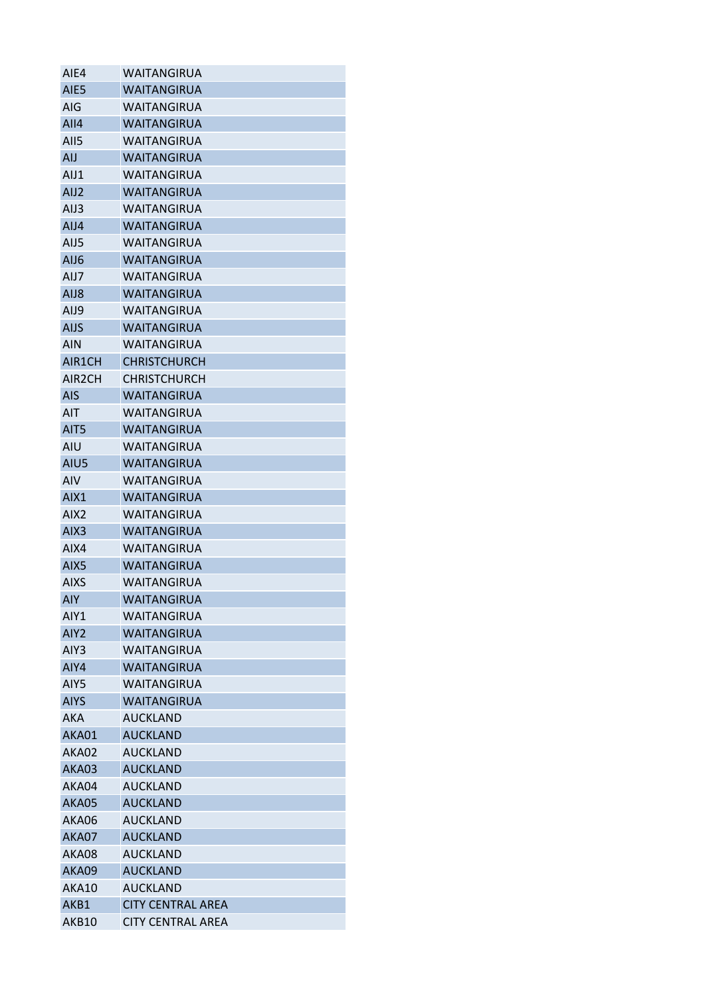| AIE4                | WAITANGIRUA                       |
|---------------------|-----------------------------------|
| AIE <sub>5</sub>    | <b>WAITANGIRUA</b>                |
| AIG                 | WAITANGIRUA                       |
| AlI4                | <b>WAITANGIRUA</b>                |
| All5                | <b>WAITANGIRUA</b>                |
| AIJ                 | WAITANGIRUA                       |
| AIJ1                | WAITANGIRUA                       |
| AIJ <sub>2</sub>    | <b>WAITANGIRUA</b>                |
| AIJ3                | WAITANGIRUA                       |
| AIJ4                | <b>WAITANGIRUA</b>                |
| AIJ5                | WAITANGIRUA                       |
| AIJ6                | <b>WAITANGIRUA</b>                |
| AIJ7                | WAITANGIRUA                       |
| AIJ8                | <b>WAITANGIRUA</b>                |
| AIJ9                | WAITANGIRUA                       |
| <b>AIJS</b>         | <b>WAITANGIRUA</b>                |
| AIN                 | <b>WAITANGIRUA</b>                |
| AIR1CH              | <b>CHRISTCHURCH</b>               |
| AIR <sub>2</sub> CH | <b>CHRISTCHURCH</b>               |
| <b>AIS</b>          | <b>WAITANGIRUA</b>                |
| AIT                 | WAITANGIRUA                       |
| AIT <sub>5</sub>    | WAITANGIRUA                       |
| AIU                 | WAITANGIRUA                       |
| AIU5                | <b>WAITANGIRUA</b>                |
| <b>AIV</b>          | <b>WAITANGIRUA</b>                |
| AIX1                | <b>WAITANGIRUA</b>                |
| AIX <sub>2</sub>    | <b>WAITANGIRUA</b>                |
|                     |                                   |
| AIX <sub>3</sub>    | WAITANGIRUA<br><b>WAITANGIRUA</b> |
| AIX4                | <b>WAITANGIRUA</b>                |
| AIX5                |                                   |
| <b>AIXS</b>         | WAITANGIRUA                       |
| <b>AIY</b>          | <b>WAITANGIRUA</b>                |
| AIY1                | WAITANGIRUA                       |
| AIY <sub>2</sub>    | <b>WAITANGIRUA</b>                |
| AIY <sub>3</sub>    | <b>WAITANGIRUA</b>                |
| AIY4                | <b>WAITANGIRUA</b>                |
| AIY5                | <b>WAITANGIRUA</b>                |
| <b>AIYS</b>         | <b>WAITANGIRUA</b>                |
| AKA                 | <b>AUCKLAND</b>                   |
| AKA01               | <b>AUCKLAND</b>                   |
| AKA02               | <b>AUCKLAND</b>                   |
| AKA03               | <b>AUCKLAND</b>                   |
| AKA04               | <b>AUCKLAND</b>                   |
| AKA05               | <b>AUCKLAND</b>                   |
| AKA06               | <b>AUCKLAND</b>                   |
| AKA07               | <b>AUCKLAND</b>                   |
| AKA08               | <b>AUCKLAND</b>                   |
| AKA09               | <b>AUCKLAND</b>                   |
| AKA10               | <b>AUCKLAND</b>                   |
| AKB1                | <b>CITY CENTRAL AREA</b>          |
| AKB10               | <b>CITY CENTRAL AREA</b>          |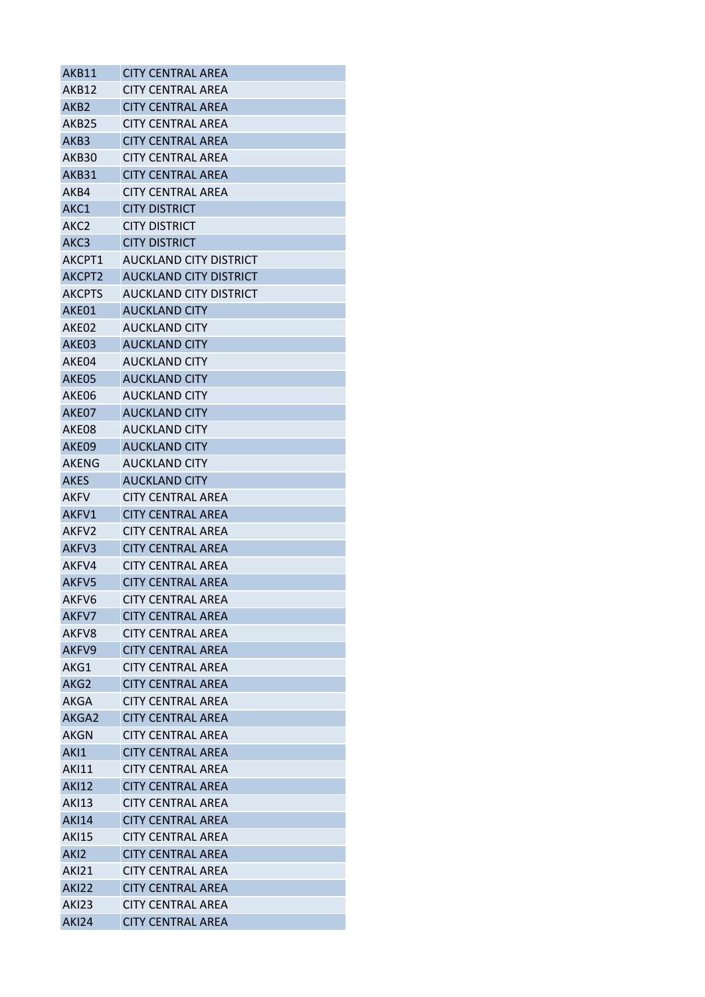| AKB11              | <b>CITY CENTRAL AREA</b>      |
|--------------------|-------------------------------|
| AKB12              | CITY CENTRAL AREA             |
| AKB <sub>2</sub>   | <b>CITY CENTRAL AREA</b>      |
| AKB25              | <b>CITY CENTRAL AREA</b>      |
| AKB3               | <b>CITY CENTRAL AREA</b>      |
| AKB30              | <b>CITY CENTRAL AREA</b>      |
| AKB31              | <b>CITY CENTRAL AREA</b>      |
| AKB4               | <b>CITY CENTRAL AREA</b>      |
| AKC1               | <b>CITY DISTRICT</b>          |
| AKC <sub>2</sub>   | <b>CITY DISTRICT</b>          |
| AKC <sub>3</sub>   | <b>CITY DISTRICT</b>          |
| AKCPT1             | AUCKLAND CITY DISTRICT        |
| AKCPT <sub>2</sub> | <b>AUCKLAND CITY DISTRICT</b> |
| <b>AKCPTS</b>      | AUCKLAND CITY DISTRICT        |
| AKE01              | <b>AUCKLAND CITY</b>          |
| AKE02              | <b>AUCKLAND CITY</b>          |
| AKF <sub>03</sub>  | <b>AUCKLAND CITY</b>          |
| AKE04              | <b>AUCKLAND CITY</b>          |
| AKE05              | <b>AUCKLAND CITY</b>          |
| AKE06              | <b>AUCKLAND CITY</b>          |
| AKE07              | <b>AUCKLAND CITY</b>          |
| AKE08              | <b>AUCKLAND CITY</b>          |
| AKE09              | <b>AUCKLAND CITY</b>          |
| <b>AKENG</b>       | <b>AUCKLAND CITY</b>          |
| <b>AKES</b>        | <b>AUCKLAND CITY</b>          |
| AKFV               | <b>CITY CENTRAL AREA</b>      |
| AKFV1              | <b>CITY CENTRAL AREA</b>      |
| AKFV2              | <b>CITY CENTRAL AREA</b>      |
| AKFV3              | <b>CITY CENTRAL AREA</b>      |
| AKFV4              | <b>CITY CENTRAL AREA</b>      |
| AKFV5              | <b>CITY CENTRAL AREA</b>      |
| AKFV6              | <b>CITY CENTRAL AREA</b>      |
| AKFV7              | <b>CITY CENTRAL AREA</b>      |
| AKFV8              | <b>CITY CENTRAL AREA</b>      |
| AKFV9              | <b>CITY CENTRAL AREA</b>      |
| AKG1               | <b>CITY CENTRAL AREA</b>      |
| AKG <sub>2</sub>   | <b>CITY CENTRAL AREA</b>      |
| AKGA               | <b>CITY CENTRAL AREA</b>      |
| AKGA2              | <b>CITY CENTRAL AREA</b>      |
| AKGN               | <b>CITY CENTRAL AREA</b>      |
| AK <sub>1</sub>    | <b>CITY CENTRAL AREA</b>      |
| <b>AKI11</b>       | <b>CITY CENTRAL AREA</b>      |
| <b>AKI12</b>       | <b>CITY CENTRAL AREA</b>      |
| <b>AKI13</b>       | <b>CITY CENTRAL AREA</b>      |
| <b>AKI14</b>       | <b>CITY CENTRAL AREA</b>      |
| <b>AKI15</b>       | <b>CITY CENTRAL AREA</b>      |
| AK <sub>12</sub>   | <b>CITY CENTRAL AREA</b>      |
| <b>AKI21</b>       | CITY CENTRAL AREA             |
| <b>AKI22</b>       | <b>CITY CENTRAL AREA</b>      |
| <b>AKI23</b>       | <b>CITY CENTRAL AREA</b>      |
| <b>AKI24</b>       | <b>CITY CENTRAL AREA</b>      |
|                    |                               |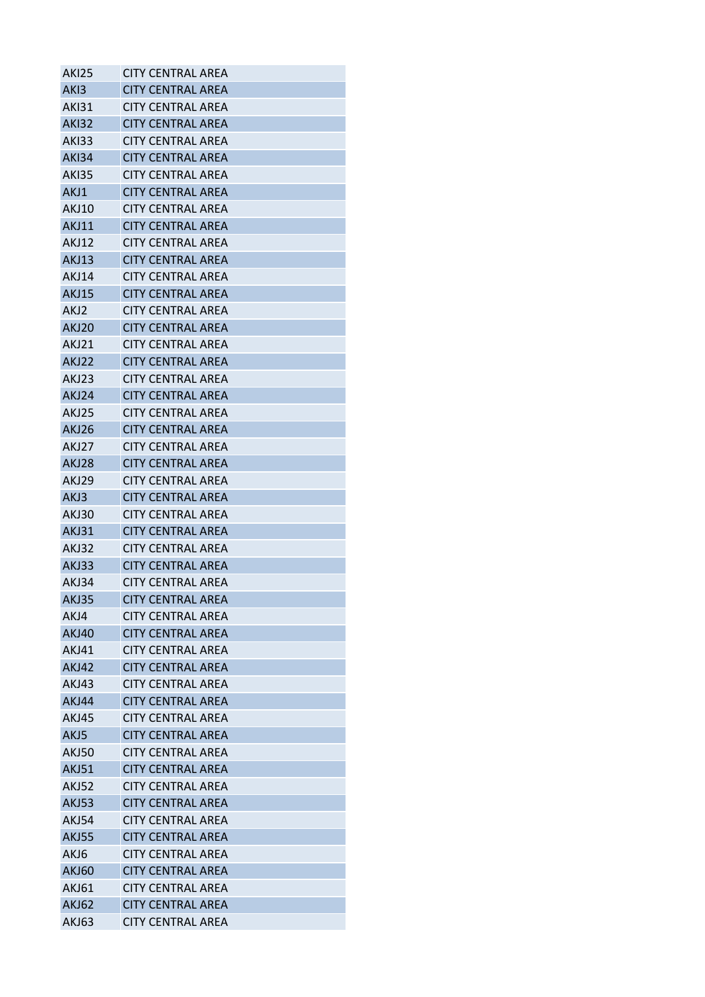| <b>AKI25</b>     | <b>CITY CENTRAL AREA</b> |
|------------------|--------------------------|
| AK <sub>13</sub> | <b>CITY CENTRAL AREA</b> |
| AKI31            | CITY CENTRAL AREA        |
| <b>AKI32</b>     | <b>CITY CENTRAL AREA</b> |
| <b>AKI33</b>     | CITY CENTRAL AREA        |
| <b>AKI34</b>     | <b>CITY CENTRAL AREA</b> |
| AKI35            | <b>CITY CENTRAL AREA</b> |
| AKJ1             | <b>CITY CENTRAL AREA</b> |
| <b>AKJ10</b>     | <b>CITY CENTRAL AREA</b> |
| <b>AKJ11</b>     | <b>CITY CENTRAL AREA</b> |
| <b>AKJ12</b>     | <b>CITY CENTRAL AREA</b> |
| <b>AKJ13</b>     | <b>CITY CENTRAL AREA</b> |
| <b>AKJ14</b>     | <b>CITY CENTRAL AREA</b> |
| <b>AKJ15</b>     | <b>CITY CENTRAL AREA</b> |
| AKJ2             | <b>CITY CENTRAL AREA</b> |
| <b>AKJ20</b>     | <b>CITY CENTRAL AREA</b> |
| AKJ21            | <b>CITY CENTRAL AREA</b> |
| AKJ22            | <b>CITY CENTRAL AREA</b> |
| AKJ23            | CITY CENTRAL AREA        |
| AKJ24            | <b>CITY CENTRAL AREA</b> |
| AKJ25            | <b>CITY CENTRAL AREA</b> |
| AKJ26            | <b>CITY CENTRAL AREA</b> |
| AKJ27            | <b>CITY CENTRAL AREA</b> |
| AKJ28            | <b>CITY CENTRAL AREA</b> |
| AKJ29            | <b>CITY CENTRAL AREA</b> |
| AKJ3             | <b>CITY CENTRAL AREA</b> |
|                  |                          |
| <b>AKJ30</b>     | <b>CITY CENTRAL AREA</b> |
| <b>AKJ31</b>     | <b>CITY CENTRAL AREA</b> |
| AKJ32            | <b>CITY CENTRAL AREA</b> |
| AKJ33            | <b>CITY CENTRAL AREA</b> |
| AKJ34            | <b>CITY CENTRAL AREA</b> |
| AKJ35            | <b>CITY CENTRAL AREA</b> |
| AKJ4             | <b>CITY CENTRAL AREA</b> |
| <b>AKJ40</b>     | <b>CITY CENTRAL AREA</b> |
| <b>AKJ41</b>     | <b>CITY CENTRAL AREA</b> |
| <b>AKJ42</b>     | <b>CITY CENTRAL AREA</b> |
| AKJ43            | <b>CITY CENTRAL AREA</b> |
| AKJ44            | <b>CITY CENTRAL AREA</b> |
| <b>AKJ45</b>     | <b>CITY CENTRAL AREA</b> |
| AKJ5             | <b>CITY CENTRAL AREA</b> |
| <b>AKJ50</b>     | <b>CITY CENTRAL AREA</b> |
| <b>AKJ51</b>     | <b>CITY CENTRAL AREA</b> |
| <b>AKJ52</b>     | <b>CITY CENTRAL AREA</b> |
| <b>AKJ53</b>     | <b>CITY CENTRAL AREA</b> |
| AKJ54            | <b>CITY CENTRAL AREA</b> |
| <b>AKJ55</b>     | <b>CITY CENTRAL AREA</b> |
| AKJ6             | <b>CITY CENTRAL AREA</b> |
| <b>AKJ60</b>     | <b>CITY CENTRAL AREA</b> |
| <b>AKJ61</b>     | <b>CITY CENTRAL AREA</b> |
| <b>AKJ62</b>     | <b>CITY CENTRAL AREA</b> |
| AKJ63            | <b>CITY CENTRAL AREA</b> |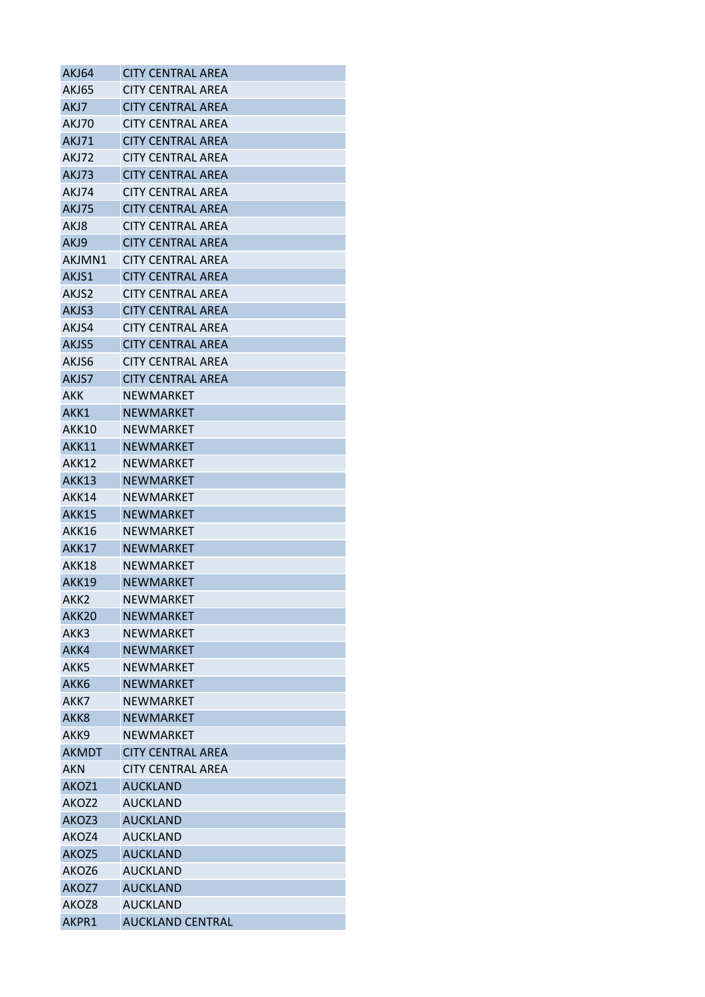| AKJ64            | <b>CITY CENTRAL AREA</b> |
|------------------|--------------------------|
| <b>AKJ65</b>     | <b>CITY CENTRAL AREA</b> |
| AKJ7             | <b>CITY CENTRAL AREA</b> |
| AKJ70            | <b>CITY CENTRAL AREA</b> |
| <b>AKJ71</b>     | <b>CITY CENTRAL AREA</b> |
| AKJ72            | <b>CITY CENTRAL AREA</b> |
| AKJ73            | <b>CITY CENTRAL AREA</b> |
| AKJ74            | <b>CITY CENTRAL AREA</b> |
| AKJ75            | <b>CITY CENTRAL AREA</b> |
| AKJ8             | <b>CITY CENTRAL AREA</b> |
| AKJ9             | <b>CITY CENTRAL AREA</b> |
| AKJMN1           | CITY CENTRAL AREA        |
| AKJS1            | <b>CITY CENTRAL AREA</b> |
| AKJS2            | <b>CITY CENTRAL AREA</b> |
| AKJS3            | <b>CITY CENTRAL AREA</b> |
| AKJS4            | <b>CITY CENTRAL AREA</b> |
| AKJS5            | <b>CITY CENTRAL AREA</b> |
| AKJS6            | <b>CITY CENTRAL AREA</b> |
| AKJS7            | <b>CITY CENTRAL AREA</b> |
| AKK              | NEWMARKET                |
| AKK1             | <b>NEWMARKET</b>         |
| AKK10            | NEWMARKET                |
| <b>AKK11</b>     | <b>NEWMARKET</b>         |
| AKK12            | <b>NEWMARKET</b>         |
| AKK13            | <b>NEWMARKET</b>         |
| AKK14            | NEWMARKET                |
| <b>AKK15</b>     | <b>NEWMARKET</b>         |
| <b>AKK16</b>     | <b>NEWMARKET</b>         |
| <b>AKK17</b>     | <b>NEWMARKET</b>         |
| <b>AKK18</b>     | NEWMARKET                |
| <b>AKK19</b>     | <b>NEWMARKET</b>         |
| AKK2             | NEWMARKET                |
| AKK20            | <b>NEWMARKET</b>         |
| AKK3             | <b>NEWMARKET</b>         |
| AKK4             | NEWMARKET                |
| AKK5             | NEWMARKET                |
| AKK <sub>6</sub> | <b>NEWMARKET</b>         |
| AKK7             | <b>NEWMARKET</b>         |
| AKK <sub>8</sub> | <b>NEWMARKET</b>         |
| AKK9             | <b>NEWMARKET</b>         |
| <b>AKMDT</b>     | <b>CITY CENTRAL AREA</b> |
| <b>AKN</b>       | <b>CITY CENTRAL AREA</b> |
| AKOZ1            | <b>AUCKLAND</b>          |
| AKOZ2            | <b>AUCKLAND</b>          |
| AKOZ3            | <b>AUCKLAND</b>          |
| AKOZ4            | <b>AUCKLAND</b>          |
| AKOZ5            | <b>AUCKLAND</b>          |
| AKOZ6            | <b>AUCKLAND</b>          |
| AKOZ7            | <b>AUCKLAND</b>          |
| AKOZ8            | <b>AUCKLAND</b>          |
| AKPR1            |                          |
|                  | <b>AUCKLAND CENTRAL</b>  |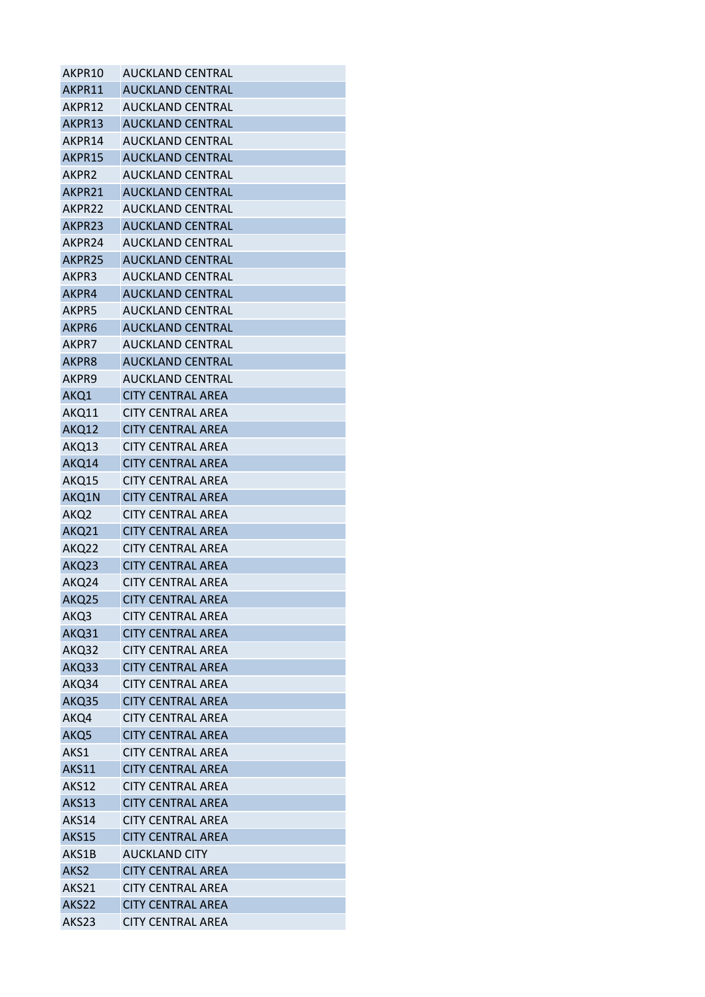| AKPR10             | <b>AUCKLAND CENTRAL</b>  |
|--------------------|--------------------------|
| AKPR11             | AUCKLAND CENTRAL         |
| AKPR12             | <b>AUCKLAND CENTRAL</b>  |
| AKPR13             | <b>AUCKLAND CENTRAL</b>  |
| AKPR14             | AUCKLAND CENTRAL         |
| AKPR15             | <b>AUCKLAND CENTRAL</b>  |
| AKPR2              | AUCKLAND CENTRAL         |
| AKPR21             | <b>AUCKLAND CENTRAL</b>  |
| AKPR22             | <b>AUCKLAND CENTRAL</b>  |
| AKPR23             | AUCKLAND CENTRAL         |
| AKPR24             | <b>AUCKLAND CENTRAL</b>  |
| AKPR <sub>25</sub> | AUCKLAND CENTRAL         |
| AKPR3              | AUCKLAND CENTRAL         |
| AKPR4              | <b>AUCKLAND CENTRAL</b>  |
| AKPR5              | AUCKLAND CENTRAL         |
| AKPR6              | <b>AUCKLAND CENTRAL</b>  |
| AKPR7              | <b>AUCKLAND CENTRAL</b>  |
| AKPR8              | <b>AUCKLAND CENTRAL</b>  |
| AKPR9              | <b>AUCKLAND CENTRAL</b>  |
| AKQ1               | <b>CITY CENTRAL AREA</b> |
| AKQ11              | <b>CITY CENTRAL AREA</b> |
| AKQ12              | <b>CITY CENTRAL AREA</b> |
| AKQ13              | CITY CENTRAL AREA        |
| AKQ14              | <b>CITY CENTRAL AREA</b> |
| AKQ15              | CITY CENTRAL AREA        |
| AKQ1N              | <b>CITY CENTRAL AREA</b> |
| AKQ2               | CITY CENTRAL AREA        |
| AKQ21              | <b>CITY CENTRAL AREA</b> |
| AKQ22              | CITY CENTRAL AREA        |
| AKQ23              | <b>CITY CENTRAL AREA</b> |
| AKQ24              | <b>CITY CENTRAL AREA</b> |
| AKQ25              | <b>CITY CENTRAL AREA</b> |
| AKQ3               | <b>CITY CENTRAL AREA</b> |
| AKQ31              | <b>CITY CENTRAL AREA</b> |
| AKQ32              | <b>CITY CENTRAL AREA</b> |
| AKQ33              | <b>CITY CENTRAL AREA</b> |
| AKQ34              | <b>CITY CENTRAL AREA</b> |
| AKQ35              | <b>CITY CENTRAL AREA</b> |
| AKQ4               | <b>CITY CENTRAL AREA</b> |
| AKQ5               | <b>CITY CENTRAL AREA</b> |
| AKS1               | <b>CITY CENTRAL AREA</b> |
| AKS11              | <b>CITY CENTRAL AREA</b> |
| AKS12              | <b>CITY CENTRAL AREA</b> |
| AKS13              | <b>CITY CENTRAL AREA</b> |
| AKS14              | <b>CITY CENTRAL AREA</b> |
| <b>AKS15</b>       | <b>CITY CENTRAL AREA</b> |
| AKS1B              | <b>AUCKLAND CITY</b>     |
| AKS <sub>2</sub>   | <b>CITY CENTRAL AREA</b> |
| AKS21              | <b>CITY CENTRAL AREA</b> |
| AKS22              | <b>CITY CENTRAL AREA</b> |
| AKS23              | <b>CITY CENTRAL AREA</b> |
|                    |                          |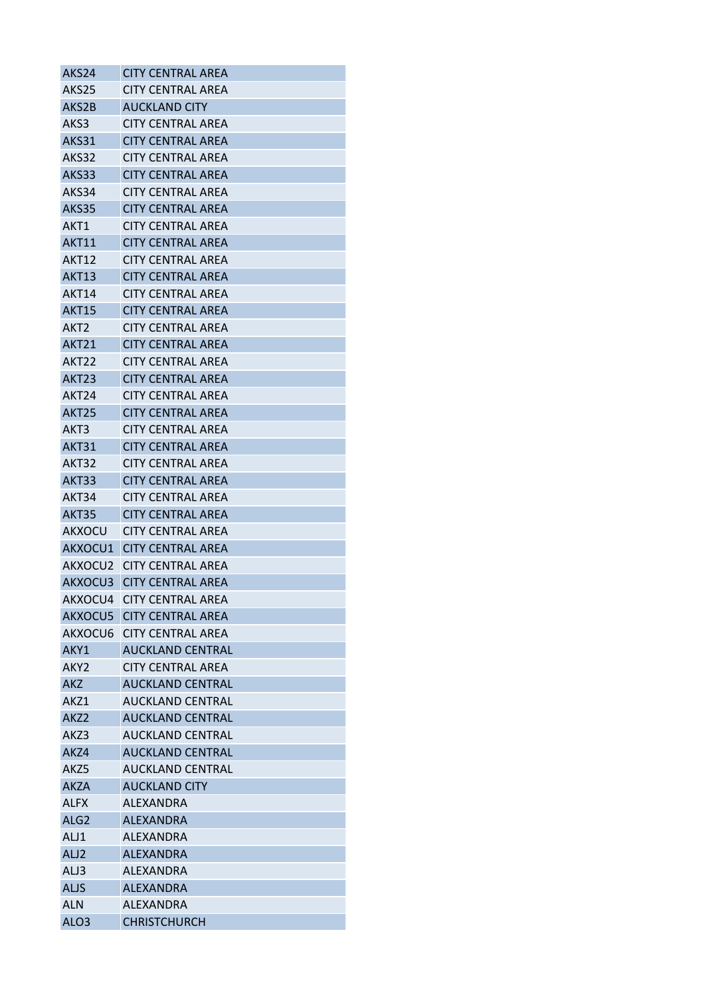| AKS24             | <b>CITY CENTRAL AREA</b>  |
|-------------------|---------------------------|
| AKS25             | <b>CITY CENTRAL AREA</b>  |
| AKS2B             | <b>AUCKLAND CITY</b>      |
| AKS3              | CITY CENTRAL AREA         |
| AKS31             | <b>CITY CENTRAL AREA</b>  |
| AKS32             | <b>CITY CENTRAL AREA</b>  |
| AKS33             | <b>CITY CENTRAL AREA</b>  |
| AKS34             | CITY CENTRAL AREA         |
| AKS35             | <b>CITY CENTRAL AREA</b>  |
| AKT1              | <b>CITY CENTRAL AREA</b>  |
| <b>AKT11</b>      | <b>CITY CENTRAL AREA</b>  |
| <b>AKT12</b>      | CITY CENTRAL AREA         |
| <b>AKT13</b>      | <b>CITY CENTRAL AREA</b>  |
| AKT14             | <b>CITY CENTRAL AREA</b>  |
| <b>AKT15</b>      | <b>CITY CENTRAL AREA</b>  |
| AKT2              | <b>CITY CENTRAL AREA</b>  |
| AKT21             | <b>CITY CENTRAL AREA</b>  |
| AKT22             | <b>CITY CENTRAL AREA</b>  |
| AKT <sub>23</sub> | <b>CITY CENTRAL AREA</b>  |
| AKT24             | <b>CITY CENTRAL AREA</b>  |
| AKT <sub>25</sub> | <b>CITY CENTRAL AREA</b>  |
| AKT3              | <b>CITY CENTRAL AREA</b>  |
| AKT31             | <b>CITY CENTRAL AREA</b>  |
| AKT32             | <b>CITY CENTRAL AREA</b>  |
| AKT33             | <b>CITY CENTRAL AREA</b>  |
| AKT34             | <b>CITY CENTRAL AREA</b>  |
| <b>AKT35</b>      | <b>CITY CENTRAL AREA</b>  |
| AKXOCU            | <b>CITY CENTRAL AREA</b>  |
| AKXOCU1           | <b>CITY CENTRAL AREA</b>  |
| AKXOCU2           | <b>CITY CENTRAL AREA</b>  |
| AKXOCU3           | <b>CITY CENTRAL AREA</b>  |
|                   | AKXOCU4 CITY CENTRAL AREA |
| AKXOCU5           | <b>CITY CENTRAL AREA</b>  |
| AKXOCU6           | <b>CITY CENTRAL AREA</b>  |
| AKY1              | AUCKLAND CENTRAL          |
| AKY2              | <b>CITY CENTRAL AREA</b>  |
| <b>AKZ</b>        | <b>AUCKLAND CENTRAL</b>   |
| AKZ1              | <b>AUCKLAND CENTRAL</b>   |
| AKZ <sub>2</sub>  | <b>AUCKLAND CENTRAL</b>   |
| AKZ3              | AUCKLAND CENTRAL          |
| AKZ4              | <b>AUCKLAND CENTRAL</b>   |
| AKZ5              | <b>AUCKLAND CENTRAL</b>   |
| <b>AKZA</b>       | <b>AUCKLAND CITY</b>      |
| <b>ALFX</b>       | ALEXANDRA                 |
| ALG <sub>2</sub>  | <b>ALEXANDRA</b>          |
| ALJ1              | <b>ALEXANDRA</b>          |
| ALJ <sub>2</sub>  | <b>ALEXANDRA</b>          |
| ALJ3              | ALEXANDRA                 |
| <b>ALJS</b>       | <b>ALEXANDRA</b>          |
| <b>ALN</b>        | <b>ALEXANDRA</b>          |
| ALO <sub>3</sub>  | <b>CHRISTCHURCH</b>       |
|                   |                           |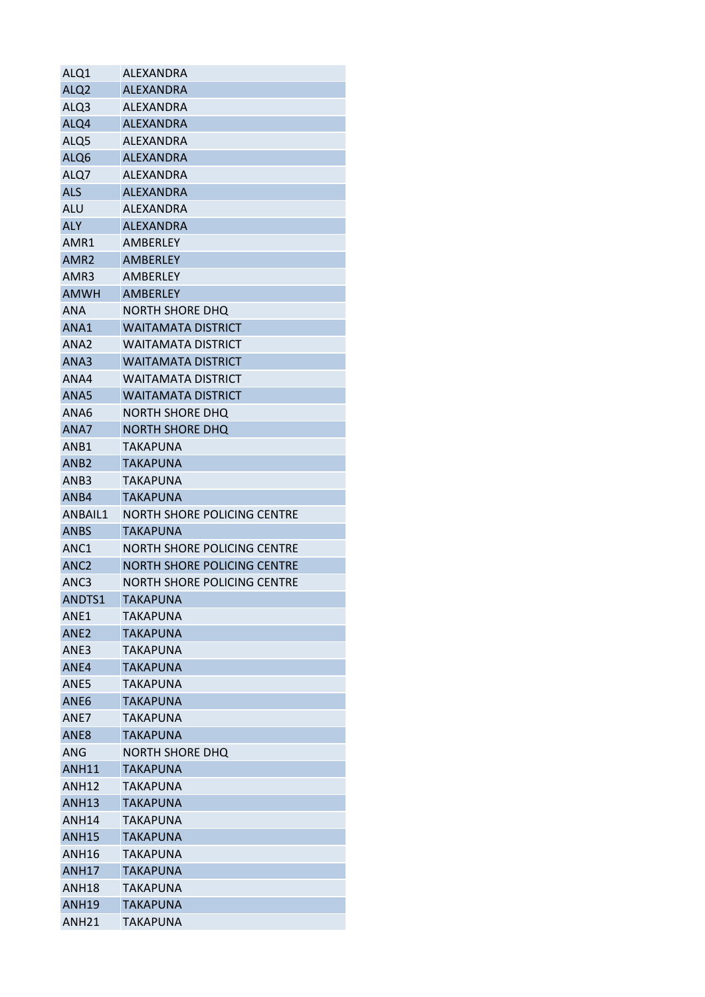| ALQ1              | ALEXANDRA                   |
|-------------------|-----------------------------|
| ALQ <sub>2</sub>  | <b>ALEXANDRA</b>            |
| ALQ3              | ALEXANDRA                   |
| ALQ4              | <b>ALEXANDRA</b>            |
| ALQ5              | <b>ALEXANDRA</b>            |
| ALQ6              | <b>ALEXANDRA</b>            |
| ALQ7              | ALEXANDRA                   |
| <b>ALS</b>        | <b>ALEXANDRA</b>            |
| <b>ALU</b>        | ALEXANDRA                   |
| <b>ALY</b>        | <b>ALEXANDRA</b>            |
| AMR1              | AMBERLEY                    |
| AMR <sub>2</sub>  | <b>AMBERLEY</b>             |
| AMR3              | <b>AMBERLEY</b>             |
| <b>AMWH</b>       | <b>AMBERLEY</b>             |
| <b>ANA</b>        | NORTH SHORE DHQ             |
| ANA1              | <b>WAITAMATA DISTRICT</b>   |
| ANA <sub>2</sub>  | <b>WAITAMATA DISTRICT</b>   |
| ANA3              | <b>WAITAMATA DISTRICT</b>   |
| ANA4              | <b>WAITAMATA DISTRICT</b>   |
| ANA5              | <b>WAITAMATA DISTRICT</b>   |
| ANA6              | NORTH SHORE DHQ             |
| ANA7              | <b>NORTH SHORE DHQ</b>      |
| ANB1              | TAKAPUNA                    |
| ANB <sub>2</sub>  | TAKAPUNA                    |
| ANB3              | TAKAPUNA                    |
| ANB4              | <b>TAKAPUNA</b>             |
| ANBAIL1           | NORTH SHORE POLICING CENTRE |
| <b>ANBS</b>       | <b>TAKAPUNA</b>             |
| ANC <sub>1</sub>  | NORTH SHORE POLICING CENTRE |
| ANC <sub>2</sub>  | NORTH SHORE POLICING CENTRE |
| ANC <sub>3</sub>  | NORTH SHORE POLICING CENTRE |
| ANDTS1            | <b>TAKAPUNA</b>             |
| ANE1              | TAKAPUNA                    |
| ANE <sub>2</sub>  |                             |
|                   |                             |
|                   | <b>TAKAPUNA</b>             |
| ANE3              | TAKAPUNA                    |
| ANE4              | <b>TAKAPUNA</b>             |
| ANE5              | <b>TAKAPUNA</b>             |
| ANE <sub>6</sub>  | <b>TAKAPUNA</b>             |
| ANE7              | TAKAPUNA                    |
| ANE8              | TAKAPUNA                    |
| ANG               | NORTH SHORE DHQ             |
| <b>ANH11</b>      | TAKAPUNA                    |
| <b>ANH12</b>      | <b>TAKAPUNA</b>             |
| <b>ANH13</b>      | <b>TAKAPUNA</b>             |
| ANH <sub>14</sub> | TAKAPUNA                    |
| <b>ANH15</b>      | <b>TAKAPUNA</b>             |
| <b>ANH16</b>      | <b>TAKAPUNA</b>             |
| <b>ANH17</b>      | TAKAPUNA                    |
| <b>ANH18</b>      | <b>TAKAPUNA</b>             |
| ANH19             | TAKAPUNA                    |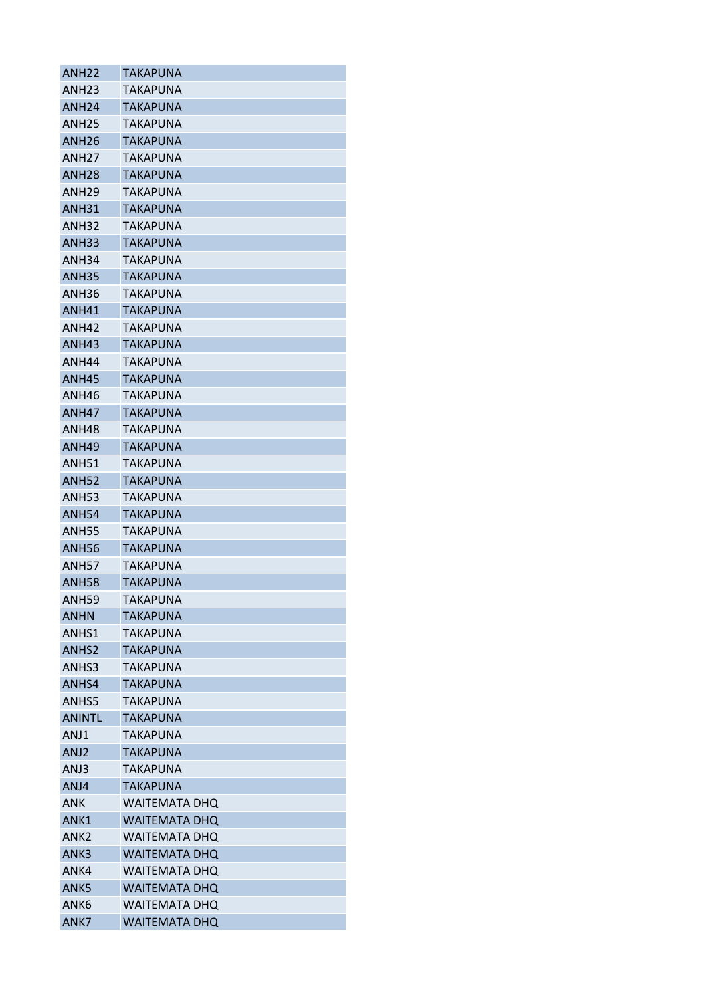| <b>ANH22</b>      | TAKAPUNA             |
|-------------------|----------------------|
| ANH23             | TAKAPUNA             |
| ANH <sub>24</sub> | TAKAPUNA             |
| <b>ANH25</b>      | <b>TAKAPUNA</b>      |
| <b>ANH26</b>      | <b>TAKAPUNA</b>      |
| ANH <sub>27</sub> | <b>TAKAPUNA</b>      |
| ANH28             | TAKAPUNA             |
| <b>ANH29</b>      | <b>TAKAPUNA</b>      |
| <b>ANH31</b>      | <b>TAKAPUNA</b>      |
| ANH32             | <b>TAKAPUNA</b>      |
| <b>ANH33</b>      | <b>TAKAPUNA</b>      |
| ANH34             | TAKAPUNA             |
| <b>ANH35</b>      | <b>TAKAPUNA</b>      |
| ANH36             | TAKAPUNA             |
| <b>ANH41</b>      | <b>TAKAPUNA</b>      |
| <b>ANH42</b>      | <b>TAKAPUNA</b>      |
| <b>ANH43</b>      | TAKAPUNA             |
| ANH44             | TAKAPUNA             |
| <b>ANH45</b>      | <b>TAKAPUNA</b>      |
| ANH46             | <b>TAKAPUNA</b>      |
| ANH47             | <b>TAKAPUNA</b>      |
| ANH48             | TAKAPUNA             |
| ANH49             | <b>TAKAPUNA</b>      |
| ANH51             | TAKAPUNA             |
| <b>ANH52</b>      | <b>TAKAPUNA</b>      |
| <b>ANH53</b>      | <b>TAKAPUNA</b>      |
| <b>ANH54</b>      | TAKAPUNA             |
| <b>ANH55</b>      | TAKAPUNA             |
| <b>ANH56</b>      | <b>TAKAPUNA</b>      |
| <b>ANH57</b>      | TAKAPUNA             |
| <b>ANH58</b>      | <b>TAKAPUNA</b>      |
| <b>ANH59</b>      | <b>TAKAPUNA</b>      |
| ANHN              | TAKAPUNA             |
| ANHS1             | TAKAPUNA             |
| ANHS <sub>2</sub> | TAKAPUNA             |
| ANHS3             | TAKAPUNA             |
| ANHS4             | <b>TAKAPUNA</b>      |
| ANHS5             | TAKAPUNA             |
| <b>ANINTL</b>     | <b>TAKAPUNA</b>      |
| ANJ1              | TAKAPUNA             |
| ANJ <sub>2</sub>  | <b>TAKAPUNA</b>      |
| ANJ3              | TAKAPUNA             |
| ANJ4              | TAKAPUNA             |
| <b>ANK</b>        | <b>WAITEMATA DHQ</b> |
| ANK1              | <b>WAITEMATA DHO</b> |
| ANK2              | <b>WAITEMATA DHQ</b> |
| ANK3              | <b>WAITEMATA DHQ</b> |
| ANK4              | <b>WAITEMATA DHO</b> |
| ANK <sub>5</sub>  | <b>WAITEMATA DHQ</b> |
| ANK <sub>6</sub>  | <b>WAITEMATA DHQ</b> |
| ANK7              | <b>WAITEMATA DHQ</b> |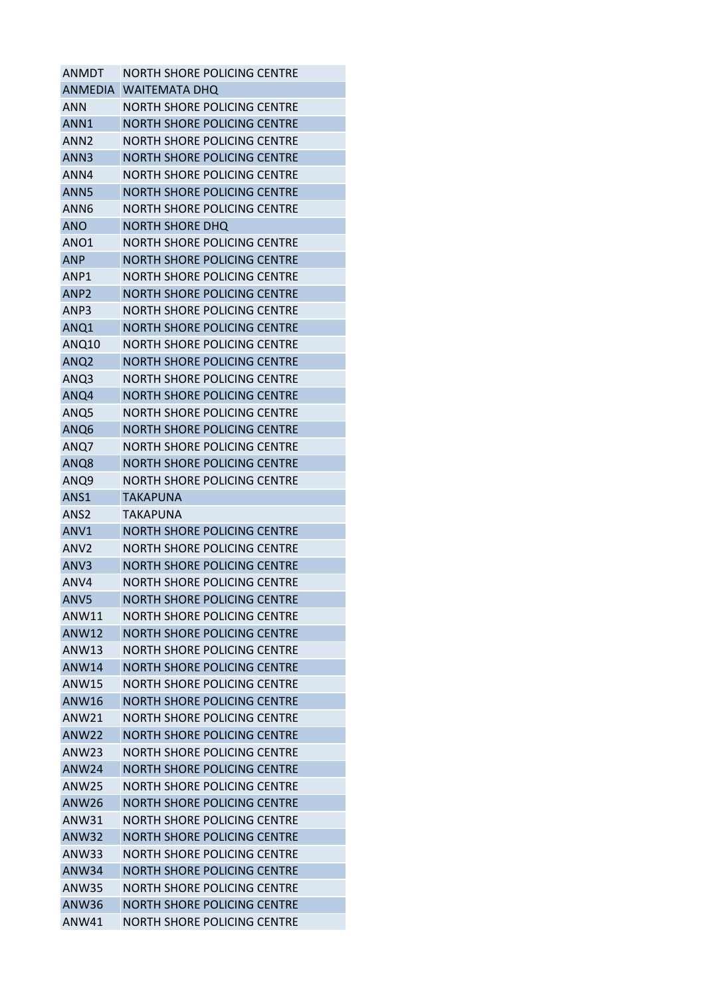| <b>ANMDT</b>      | NORTH SHORE POLICING CENTRE        |
|-------------------|------------------------------------|
| <b>ANMEDIA</b>    | <b>WAITEMATA DHO</b>               |
| ANN               | NORTH SHORE POLICING CENTRE        |
| ANN1              | <b>NORTH SHORE POLICING CENTRE</b> |
| ANN <sub>2</sub>  | NORTH SHORE POLICING CENTRE        |
| ANN3              | NORTH SHORE POLICING CENTRE        |
| ANN4              | NORTH SHORE POLICING CENTRE        |
| ANN <sub>5</sub>  | NORTH SHORE POLICING CENTRE        |
| ANN <sub>6</sub>  | NORTH SHORE POLICING CENTRE        |
| <b>ANO</b>        | NORTH SHORE DHQ                    |
| ANO1              | NORTH SHORE POLICING CENTRE        |
| ANP               | NORTH SHORE POLICING CENTRE        |
| ANP1              | NORTH SHORE POLICING CENTRE        |
| ANP <sub>2</sub>  | NORTH SHORE POLICING CENTRE        |
| ANP3              | NORTH SHORE POLICING CENTRE        |
| ANQ1              | NORTH SHORE POLICING CENTRE        |
| ANQ10             | NORTH SHORE POLICING CENTRE        |
| ANQ <sub>2</sub>  | NORTH SHORE POLICING CENTRE        |
| ANQ3              | NORTH SHORE POLICING CENTRE        |
| ANQ4              | NORTH SHORE POLICING CENTRE        |
| ANQ5              | NORTH SHORE POLICING CENTRE        |
| ANQ6              | NORTH SHORE POLICING CENTRE        |
| ANQ7              | NORTH SHORE POLICING CENTRE        |
| ANQ8              | NORTH SHORE POLICING CENTRE        |
| ANQ9              | NORTH SHORE POLICING CENTRE        |
| ANS1              | TAKAPUNA                           |
| ANS <sub>2</sub>  | TAKAPUNA                           |
| ANV1              | NORTH SHORE POLICING CENTRE        |
| ANV <sub>2</sub>  | NORTH SHORE POLICING CENTRE        |
| ANV <sub>3</sub>  | NORTH SHORE POLICING CENTRE        |
| ANV4              | NORTH SHORE POLICING CENTRE        |
| ANV5              | <b>NORTH SHORE POLICING CENTRE</b> |
| ANW11             | NORTH SHORE POLICING CENTRE        |
| <b>ANW12</b>      | <b>NORTH SHORE POLICING CENTRE</b> |
| <b>ANW13</b>      | NORTH SHORE POLICING CENTRE        |
| <b>ANW14</b>      | <b>NORTH SHORE POLICING CENTRE</b> |
| <b>ANW15</b>      | NORTH SHORE POLICING CENTRE        |
| <b>ANW16</b>      | NORTH SHORE POLICING CENTRE        |
| <b>ANW21</b>      | <b>NORTH SHORE POLICING CENTRE</b> |
|                   | <b>NORTH SHORE POLICING CENTRE</b> |
| <b>ANW22</b>      |                                    |
| ANW <sub>23</sub> | NORTH SHORE POLICING CENTRE        |
| ANW <sub>24</sub> | <b>NORTH SHORE POLICING CENTRE</b> |
| <b>ANW25</b>      | <b>NORTH SHORE POLICING CENTRE</b> |
| ANW <sub>26</sub> | NORTH SHORE POLICING CENTRE        |
| ANW31             | NORTH SHORE POLICING CENTRE        |
| <b>ANW32</b>      | NORTH SHORE POLICING CENTRE        |
| ANW33             | <b>NORTH SHORE POLICING CENTRE</b> |
| ANW34             | <b>NORTH SHORE POLICING CENTRE</b> |
| <b>ANW35</b>      | <b>NORTH SHORE POLICING CENTRE</b> |
| ANW36             | <b>NORTH SHORE POLICING CENTRE</b> |
| <b>ANW41</b>      | <b>NORTH SHORE POLICING CENTRE</b> |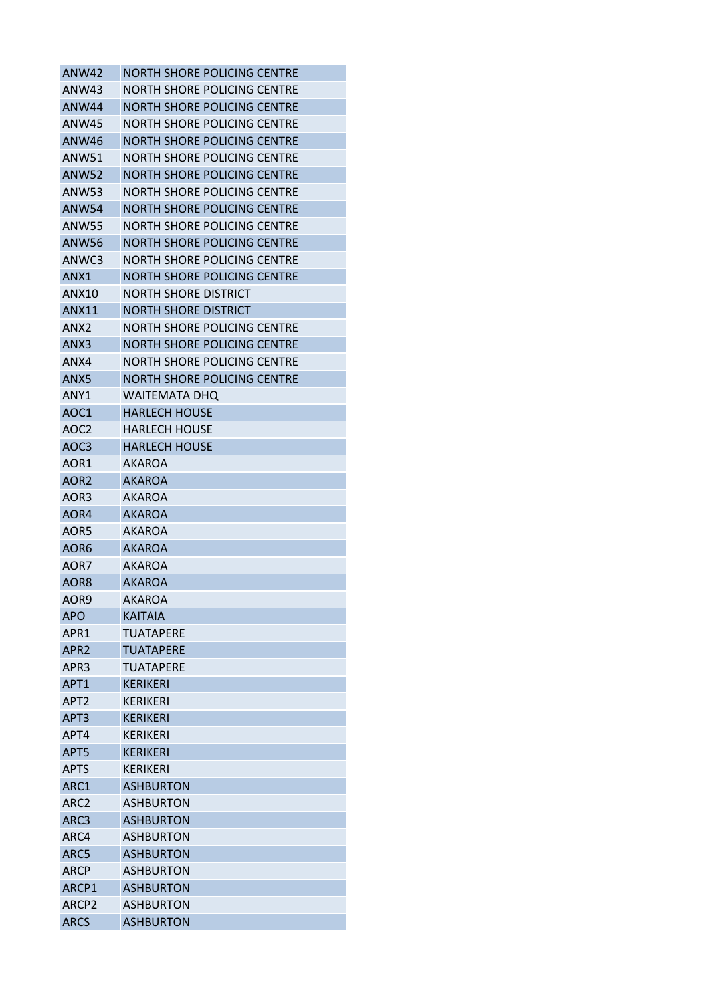| <b>ANW42</b>     | <b>NORTH SHORE POLICING CENTRE</b> |
|------------------|------------------------------------|
| ANW43            | NORTH SHORE POLICING CENTRE        |
| ANW44            | NORTH SHORE POLICING CENTRE        |
| ANW45            | <b>NORTH SHORE POLICING CENTRE</b> |
| <b>ANW46</b>     | <b>NORTH SHORE POLICING CENTRE</b> |
| ANW51            | NORTH SHORE POLICING CENTRE        |
| ANW52            | NORTH SHORE POLICING CENTRE        |
| <b>ANW53</b>     | <b>NORTH SHORE POLICING CENTRE</b> |
| <b>ANW54</b>     | <b>NORTH SHORE POLICING CENTRE</b> |
| <b>ANW55</b>     | NORTH SHORE POLICING CENTRE        |
| ANW56            | NORTH SHORE POLICING CENTRE        |
| ANWC3            | NORTH SHORE POLICING CENTRE        |
| ANX1             | <b>NORTH SHORE POLICING CENTRE</b> |
| ANX10            | NORTH SHORE DISTRICT               |
| ANX11            | NORTH SHORE DISTRICT               |
| ANX2             | NORTH SHORE POLICING CENTRE        |
| ANX3             | <b>NORTH SHORE POLICING CENTRE</b> |
| ANX4             | NORTH SHORE POLICING CENTRE        |
| ANX5             | <b>NORTH SHORE POLICING CENTRE</b> |
| ANY1             | <b>WAITEMATA DHQ</b>               |
| AOC1             | <b>HARLECH HOUSE</b>               |
| AOC2             | <b>HARLECH HOUSE</b>               |
| AOC3             | <b>HARLECH HOUSE</b>               |
| AOR1             | <b>AKAROA</b>                      |
| AOR2             | <b>AKAROA</b>                      |
| AOR3             | AKAROA                             |
| AOR4             | <b>AKAROA</b>                      |
| AOR5             | <b>AKAROA</b>                      |
| AOR6             | <b>AKAROA</b>                      |
| AOR7             | AKAROA                             |
| AOR8             | <b>AKAROA</b>                      |
| AOR9             | <b>AKAROA</b>                      |
| APO              | <b>KAITAIA</b>                     |
| APR1             | TUATAPERE                          |
| APR2             | <b>TUATAPERE</b>                   |
| APR3             | TUATAPERE                          |
| APT <sub>1</sub> | <b>KERIKERI</b>                    |
| APT <sub>2</sub> | <b>KERIKERI</b>                    |
| APT3             | <b>KERIKERI</b>                    |
| APT4             | KFRIKFRI                           |
| APT5             | <b>KERIKERI</b>                    |
| <b>APTS</b>      | <b>KERIKERI</b>                    |
| ARC1             | <b>ASHBURTON</b>                   |
| ARC2             | <b>ASHBURTON</b>                   |
| ARC3             | <b>ASHBURTON</b>                   |
| ARC4             | <b>ASHBURTON</b>                   |
| ARC5             | <b>ASHBURTON</b>                   |
| ARCP             | <b>ASHBURTON</b>                   |
| ARCP1            | <b>ASHBURTON</b>                   |
| ARCP2            | <b>ASHBURTON</b>                   |
| <b>ARCS</b>      | <b>ASHBURTON</b>                   |
|                  |                                    |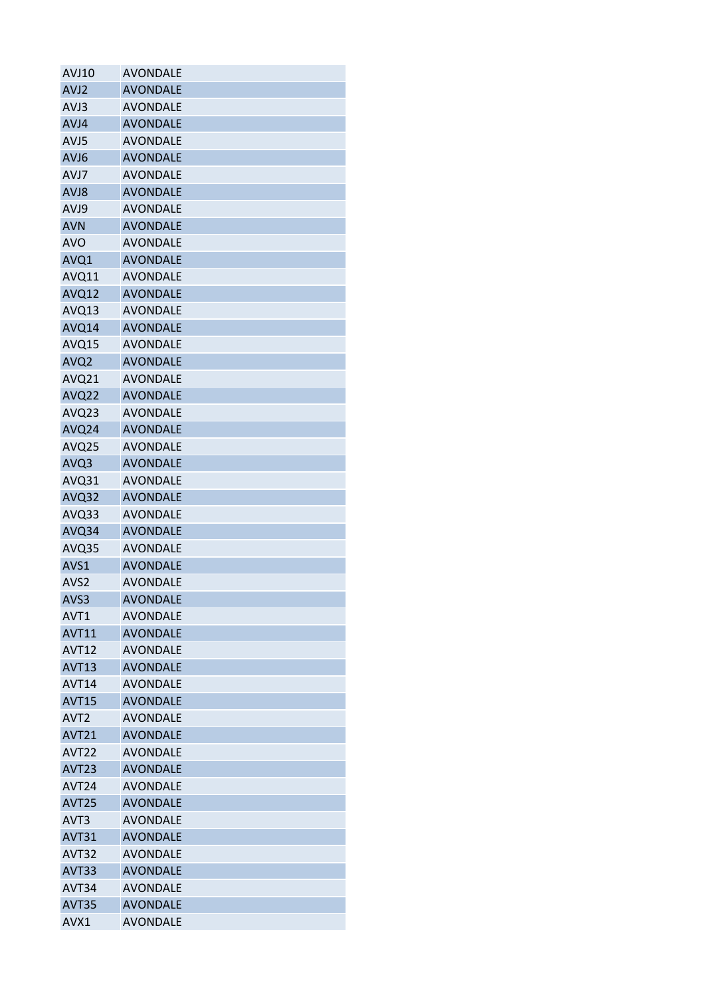| <b>AVJ10</b>      | <b>AVONDALE</b> |
|-------------------|-----------------|
| AVJ2              | <b>AVONDALE</b> |
| AVJ3              | <b>AVONDALE</b> |
| AVJ4              | <b>AVONDALE</b> |
| AVJ5              | <b>AVONDALE</b> |
| AVJ6              | <b>AVONDALE</b> |
| AVJ7              | <b>AVONDALE</b> |
| AVJ8              | <b>AVONDALE</b> |
| AVJ9              | <b>AVONDALE</b> |
| <b>AVN</b>        | <b>AVONDALE</b> |
| <b>AVO</b>        | <b>AVONDALE</b> |
| AVQ1              | <b>AVONDALE</b> |
| AVQ11             | <b>AVONDALE</b> |
| AVQ12             | <b>AVONDALE</b> |
| AVQ13             | <b>AVONDALE</b> |
| AVQ14             | <b>AVONDALE</b> |
| AVQ15             | <b>AVONDALE</b> |
| AVQ <sub>2</sub>  | <b>AVONDALE</b> |
| AVQ21             | <b>AVONDALE</b> |
| AVQ22             | <b>AVONDALE</b> |
| AVQ23             | <b>AVONDALE</b> |
| AVQ24             | <b>AVONDALE</b> |
| AVQ25             | <b>AVONDALE</b> |
| AVQ3              | <b>AVONDALE</b> |
| AVQ31             | <b>AVONDALE</b> |
| AVQ32             | <b>AVONDALE</b> |
| AVQ33             | <b>AVONDALE</b> |
| AVQ34             | <b>AVONDALE</b> |
| AVQ35             | <b>AVONDALE</b> |
| AVS1              | <b>AVONDALE</b> |
| AVS2              | <b>AVONDALE</b> |
| AVS3              | <b>AVONDALE</b> |
| AVT1              | <b>AVONDALE</b> |
| <b>AVT11</b>      | <b>AVONDALE</b> |
| <b>AVT12</b>      | <b>AVONDALE</b> |
| <b>AVT13</b>      | <b>AVONDALE</b> |
| AVT <sub>14</sub> | <b>AVONDALE</b> |
| <b>AVT15</b>      | <b>AVONDALE</b> |
| AVT <sub>2</sub>  | <b>AVONDALE</b> |
| <b>AVT21</b>      | <b>AVONDALE</b> |
| AVT <sub>22</sub> | <b>AVONDALE</b> |
| AVT <sub>23</sub> | <b>AVONDALE</b> |
| AVT <sub>24</sub> | <b>AVONDALE</b> |
| <b>AVT25</b>      | <b>AVONDALE</b> |
| AVT <sub>3</sub>  | <b>AVONDALE</b> |
| AVT31             | <b>AVONDALE</b> |
| AVT32             | <b>AVONDALE</b> |
| AVT33             | <b>AVONDALE</b> |
| AVT34             | <b>AVONDALE</b> |
| <b>AVT35</b>      | <b>AVONDALE</b> |
| AVX1              | <b>AVONDALE</b> |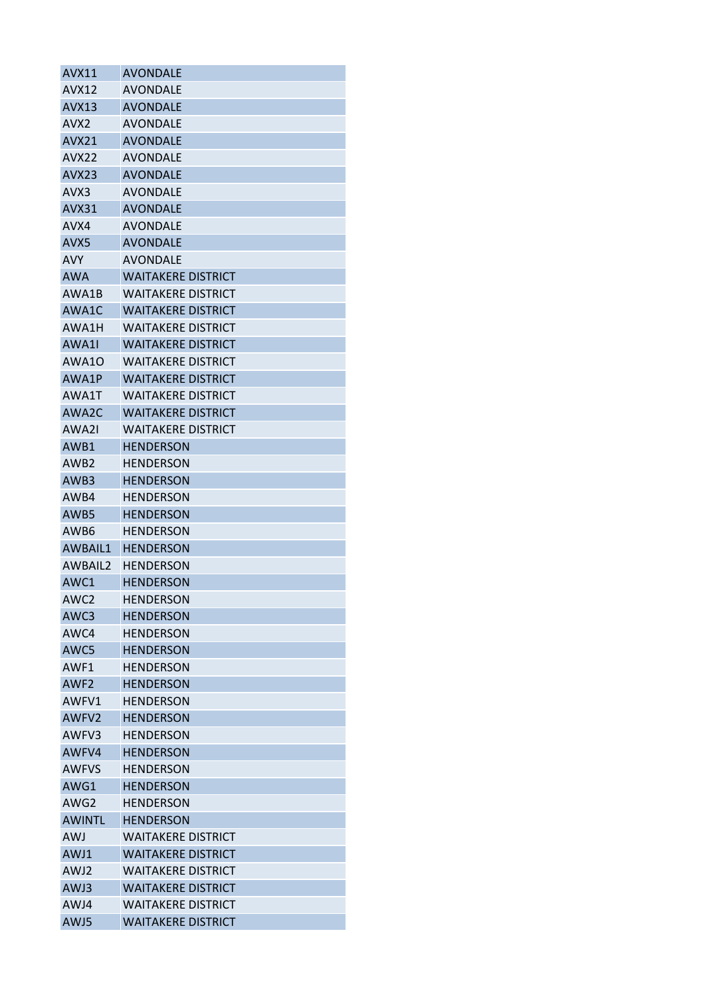| AVX11            | <b>AVONDALE</b>           |
|------------------|---------------------------|
| AVX12            | AVONDALE                  |
| <b>AVX13</b>     | <b>AVONDALE</b>           |
| AVX2             | <b>AVONDALE</b>           |
| <b>AVX21</b>     | <b>AVONDALE</b>           |
| AVX22            | <b>AVONDALE</b>           |
| AVX23            | <b>AVONDALE</b>           |
| AVX3             | <b>AVONDALE</b>           |
| AVX31            | <b>AVONDALE</b>           |
| AVX4             | <b>AVONDALE</b>           |
| AVX5             | <b>AVONDALE</b>           |
| <b>AVY</b>       | <b>AVONDALE</b>           |
| <b>AWA</b>       | <b>WAITAKERE DISTRICT</b> |
| AWA1B            | WAITAKERE DISTRICT        |
| AWA1C            | <b>WAITAKERE DISTRICT</b> |
| AWA1H            | WAITAKERE DISTRICT        |
| AWA1I            | WAITAKERE DISTRICT        |
| AWA10            | WAITAKERE DISTRICT        |
| AWA1P            | <b>WAITAKERE DISTRICT</b> |
| AWA1T            | <b>WAITAKERE DISTRICT</b> |
| AWA2C            | <b>WAITAKERE DISTRICT</b> |
| AWA2I            | <b>WAITAKERE DISTRICT</b> |
| AWB1             | <b>HENDERSON</b>          |
| AWB <sub>2</sub> | <b>HENDERSON</b>          |
| AWB3             | <b>HENDERSON</b>          |
| AWB4             | <b>HENDERSON</b>          |
| AWB5             | <b>HENDERSON</b>          |
| AWB6             | <b>HENDERSON</b>          |
| <b>AWBAIL1</b>   | <b>HENDERSON</b>          |
| AWBAIL2          | <b>HENDERSON</b>          |
| AWC1             | <b>HENDERSON</b>          |
| AWC2             | <b>HENDERSON</b>          |
| AWC3             | <b>HENDERSON</b>          |
| AWC4             | <b>HENDERSON</b>          |
| AWC5             | <b>HENDERSON</b>          |
| AWF1             | <b>HENDERSON</b>          |
| AWF <sub>2</sub> | <b>HENDERSON</b>          |
| AWFV1            | <b>HENDERSON</b>          |
| AWFV2            | <b>HENDERSON</b>          |
| AWFV3            | HENDERSON                 |
| AWFV4            | <b>HENDERSON</b>          |
| <b>AWFVS</b>     | <b>HENDERSON</b>          |
| AWG1             | <b>HENDERSON</b>          |
| AWG2             | <b>HENDERSON</b>          |
| <b>AWINTL</b>    | <b>HENDERSON</b>          |
| <b>AWJ</b>       | <b>WAITAKERE DISTRICT</b> |
| AWJ1             | <b>WAITAKERE DISTRICT</b> |
| AWJ2             | <b>WAITAKERE DISTRICT</b> |
| AWJ3             | <b>WAITAKERE DISTRICT</b> |
| AWJ4             | WAITAKERE DISTRICT        |
| AWJ5             | <b>WAITAKERE DISTRICT</b> |
|                  |                           |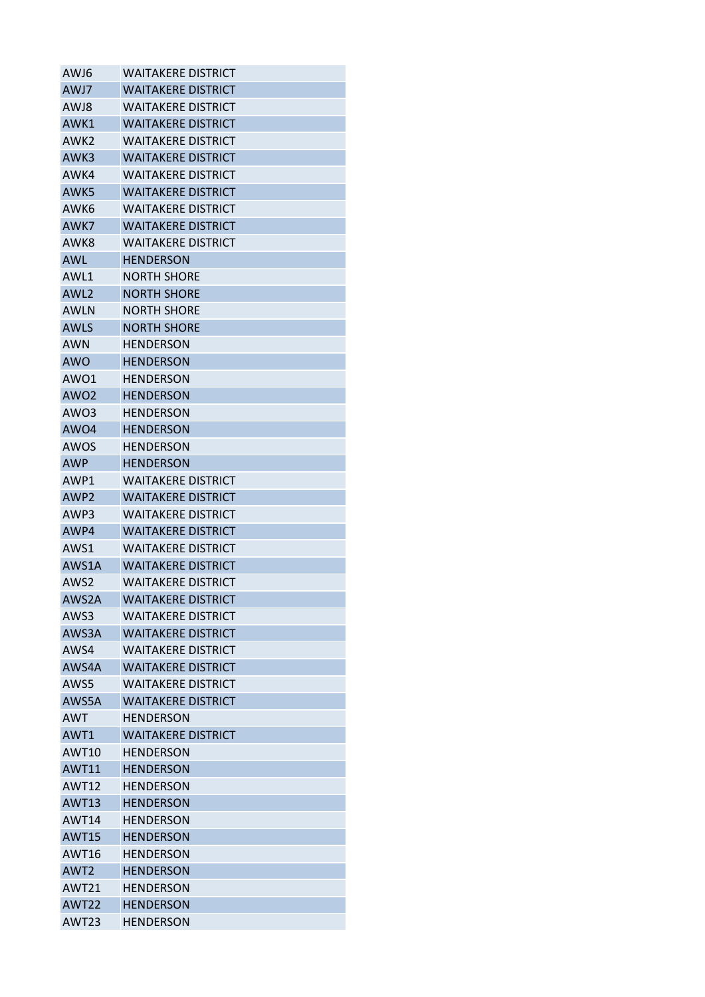| AWJ6             | <b>WAITAKERE DISTRICT</b> |
|------------------|---------------------------|
| AWJ7             | <b>WAITAKERE DISTRICT</b> |
| AWJ8             | WAITAKERE DISTRICT        |
| AWK1             | <b>WAITAKERE DISTRICT</b> |
| AWK <sub>2</sub> | WAITAKERE DISTRICT        |
| AWK3             | <b>WAITAKERE DISTRICT</b> |
| AWK4             | WAITAKERE DISTRICT        |
| AWK5             | <b>WAITAKERE DISTRICT</b> |
| AWK6             | <b>WAITAKERE DISTRICT</b> |
| AWK7             | WAITAKERE DISTRICT        |
| AWK8             | <b>WAITAKERE DISTRICT</b> |
| <b>AWL</b>       | HENDERSON                 |
| AWL1             | <b>NORTH SHORE</b>        |
| AWL <sub>2</sub> | <b>NORTH SHORE</b>        |
| AWLN             | <b>NORTH SHORE</b>        |
| <b>AWLS</b>      | <b>NORTH SHORE</b>        |
| AWN              | HFNDFRSON                 |
| <b>AWO</b>       | <b>HENDERSON</b>          |
| AWO1             | HENDERSON                 |
| AWO <sub>2</sub> | <b>HENDERSON</b>          |
| AWO3             | <b>HENDERSON</b>          |
| AWO <sub>4</sub> | <b>HENDERSON</b>          |
| AWOS             | HENDERSON                 |
| <b>AWP</b>       | <b>HENDERSON</b>          |
| AWP1             | <b>WAITAKERE DISTRICT</b> |
| AWP <sub>2</sub> | <b>WAITAKERE DISTRICT</b> |
| AWP3             | <b>WAITAKERE DISTRICT</b> |
| AWP4             | WAITAKERE DISTRICT        |
| AWS1             | <b>WAITAKERE DISTRICT</b> |
| AWS1A            | <b>WAITAKERE DISTRICT</b> |
| AWS2             | <b>WAITAKERE DISTRICT</b> |
| AWS2A            | <b>WAITAKERE DISTRICT</b> |
| AWS3             | <b>WAITAKERE DISTRICT</b> |
| AWS3A            | <b>WAITAKERE DISTRICT</b> |
| AWS4             | <b>WAITAKERE DISTRICT</b> |
| AWS4A            | <b>WAITAKERE DISTRICT</b> |
| AWS5             | <b>WAITAKERE DISTRICT</b> |
| AWS5A            | <b>WAITAKERE DISTRICT</b> |
| <b>AWT</b>       | <b>HENDERSON</b>          |
| AWT1             | <b>WAITAKERE DISTRICT</b> |
| AWT10            | <b>HENDERSON</b>          |
| <b>AWT11</b>     | <b>HENDERSON</b>          |
| <b>AWT12</b>     | <b>HENDERSON</b>          |
| <b>AWT13</b>     | <b>HENDERSON</b>          |
| AWT14            | HENDERSON                 |
| <b>AWT15</b>     | <b>HENDERSON</b>          |
| <b>AWT16</b>     | <b>HENDERSON</b>          |
| AWT <sub>2</sub> | <b>HENDERSON</b>          |
| <b>AWT21</b>     | <b>HENDERSON</b>          |
| AWT22            | <b>HENDERSON</b>          |
| AWT23            | <b>HENDERSON</b>          |
|                  |                           |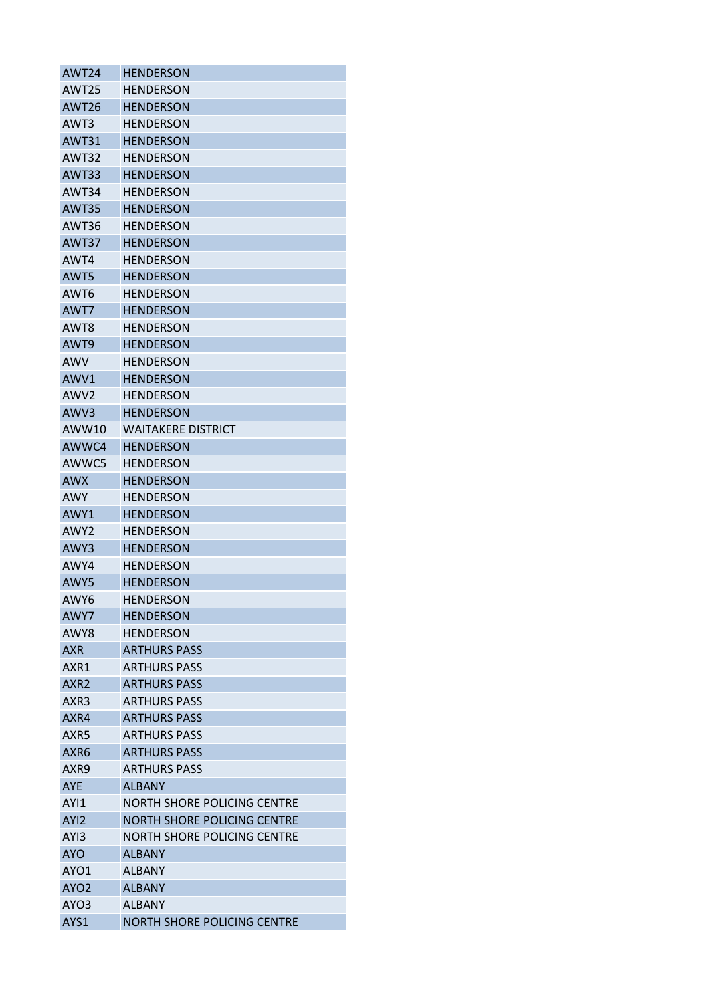| <b>AWT24</b>      | <b>HENDERSON</b>                   |
|-------------------|------------------------------------|
| AWT <sub>25</sub> | <b>HENDERSON</b>                   |
| AWT <sub>26</sub> | <b>HENDERSON</b>                   |
| AWT3              | HENDERSON                          |
| <b>AWT31</b>      | <b>HENDERSON</b>                   |
| AWT32             | <b>HENDERSON</b>                   |
| AWT33             | <b>HENDERSON</b>                   |
| AWT34             | HENDERSON                          |
| <b>AWT35</b>      | <b>HENDERSON</b>                   |
| AWT36             | HENDERSON                          |
| AWT37             | <b>HENDERSON</b>                   |
| AWT4              | <b>HENDERSON</b>                   |
| AWT5              | <b>HENDERSON</b>                   |
| AWT <sub>6</sub>  | <b>HENDERSON</b>                   |
| AWT7              | <b>HENDERSON</b>                   |
| AWT8              | <b>HENDERSON</b>                   |
| AWT9              | <b>HENDERSON</b>                   |
| AWV               | <b>HENDERSON</b>                   |
| AWV1              | <b>HENDERSON</b>                   |
| AWV <sub>2</sub>  | <b>HENDERSON</b>                   |
| AWV3              | <b>HENDERSON</b>                   |
| AWW10             | <b>WAITAKERE DISTRICT</b>          |
| AWWC4             | HENDERSON                          |
| AWWC5             | <b>HENDERSON</b>                   |
| <b>AWX</b>        | <b>HENDERSON</b>                   |
| AWY               | <b>HENDERSON</b>                   |
| AWY1              | <b>HENDERSON</b>                   |
| AWY <sub>2</sub>  | <b>HENDERSON</b>                   |
| AWY3              | <b>HENDERSON</b>                   |
| AWY4              | <b>HENDERSON</b>                   |
| AWY5              | <b>HENDERSON</b>                   |
| AWY6              | <b>HENDERSON</b>                   |
| AWY7              | <b>HENDERSON</b>                   |
| AWY8              | <b>HENDERSON</b>                   |
| AXR.              | <b>ARTHURS PASS</b>                |
| AXR1              | <b>ARTHURS PASS</b>                |
| AXR <sub>2</sub>  | <b>ARTHURS PASS</b>                |
| AXR3              | <b>ARTHURS PASS</b>                |
| AXR4              | <b>ARTHURS PASS</b>                |
| AXR5              | <b>ARTHURS PASS</b>                |
| AXR6              | <b>ARTHURS PASS</b>                |
| AXR9              | <b>ARTHURS PASS</b>                |
| <b>AYE</b>        | ALBANY                             |
| AYI1              | NORTH SHORE POLICING CENTRE        |
| AYI2              | <b>NORTH SHORE POLICING CENTRE</b> |
| AYI3              | NORTH SHORE POLICING CENTRE        |
| <b>AYO</b>        | <b>ALBANY</b>                      |
| AYO1              | ALBANY                             |
| AYO <sub>2</sub>  | <b>ALBANY</b>                      |
| AYO3              | ALBANY                             |
| AYS1              | NORTH SHORE POLICING CENTRE        |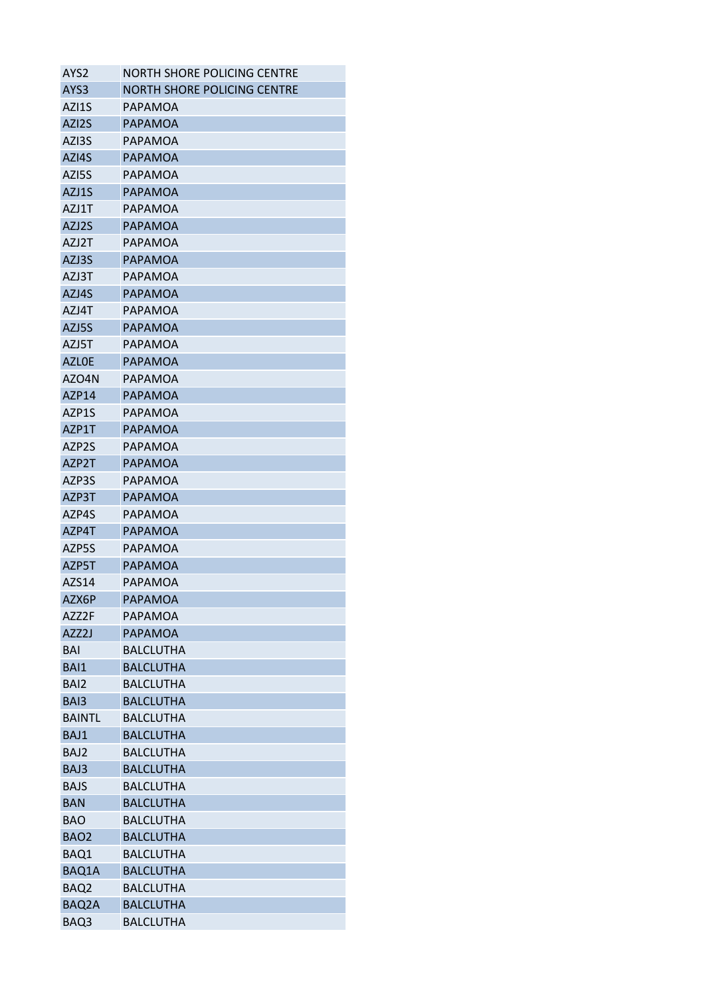| AYS2                     | NORTH SHORE POLICING CENTRE          |
|--------------------------|--------------------------------------|
| AYS <sub>3</sub>         | NORTH SHORE POLICING CENTRE          |
| AZI1S                    | PAPAMOA                              |
| AZI <sub>2</sub> S       | <b>PAPAMOA</b>                       |
| AZI3S                    | PAPAMOA                              |
| AZI4S                    | <b>PAPAMOA</b>                       |
| AZI5S                    | PAPAMOA                              |
| AZJ1S                    | <b>PAPAMOA</b>                       |
| AZJ1T                    | PAPAMOA                              |
| AZJ2S                    | PAPAMOA                              |
| AZJ2T                    | PAPAMOA                              |
| AZJ3S                    | PAPAMOA                              |
| AZJ3T                    | PAPAMOA                              |
| AZJ4S                    | PAPAMOA                              |
| AZJ4T                    | PAPAMOA                              |
| AZJ5S                    | <b>PAPAMOA</b>                       |
| AZJ5T                    | PAPAMOA                              |
| <b>AZLOE</b>             | <b>PAPAMOA</b>                       |
| AZO4N                    | PAPAMOA                              |
| AZP14                    | <b>PAPAMOA</b>                       |
| AZP1S                    | PAPAMOA                              |
| AZP1T                    | <b>PAPAMOA</b>                       |
| AZP2S                    | PAPAMOA                              |
| AZP <sub>2</sub> T       | <b>PAPAMOA</b>                       |
| AZP3S                    | PAPAMOA                              |
| AZP3T                    | PAPAMOA                              |
| AZP4S                    | PAPAMOA                              |
| AZP4T                    | <b>PAPAMOA</b>                       |
| AZP5S                    | PAPAMOA                              |
| AZP5T                    | PAPAMOA                              |
| AZS14                    | PAPAMOA                              |
| AZX6P                    | <b>PAPAMOA</b>                       |
| AZZ2F                    | PAPAMOA                              |
| AZZ2J                    | <b>PAPAMOA</b>                       |
| BAI                      | <b>BALCLUTHA</b>                     |
| BAI1                     | <b>BALCLUTHA</b>                     |
| BAI <sub>2</sub>         | <b>BALCLUTHA</b>                     |
| BAI3                     | <b>BALCLUTHA</b>                     |
| <b>BAINTL</b>            | <b>BALCLUTHA</b>                     |
| BAJ1                     | <b>BALCLUTHA</b>                     |
| BAJ2                     | <b>BALCLUTHA</b>                     |
| BAJ3                     | <b>BALCLUTHA</b>                     |
| <b>BAJS</b>              | <b>BALCLUTHA</b>                     |
|                          |                                      |
| <b>BAN</b><br><b>BAO</b> | <b>BALCLUTHA</b><br><b>BALCLUTHA</b> |
|                          |                                      |
| BAO <sub>2</sub>         | <b>BALCLUTHA</b>                     |
| BAQ1                     | <b>BALCLUTHA</b>                     |
| BAQ1A                    | <b>BALCLUTHA</b>                     |
| BAQ <sub>2</sub>         | <b>BALCLUTHA</b>                     |
| BAQ2A                    | <b>BALCLUTHA</b>                     |
| BAQ3                     | <b>BALCLUTHA</b>                     |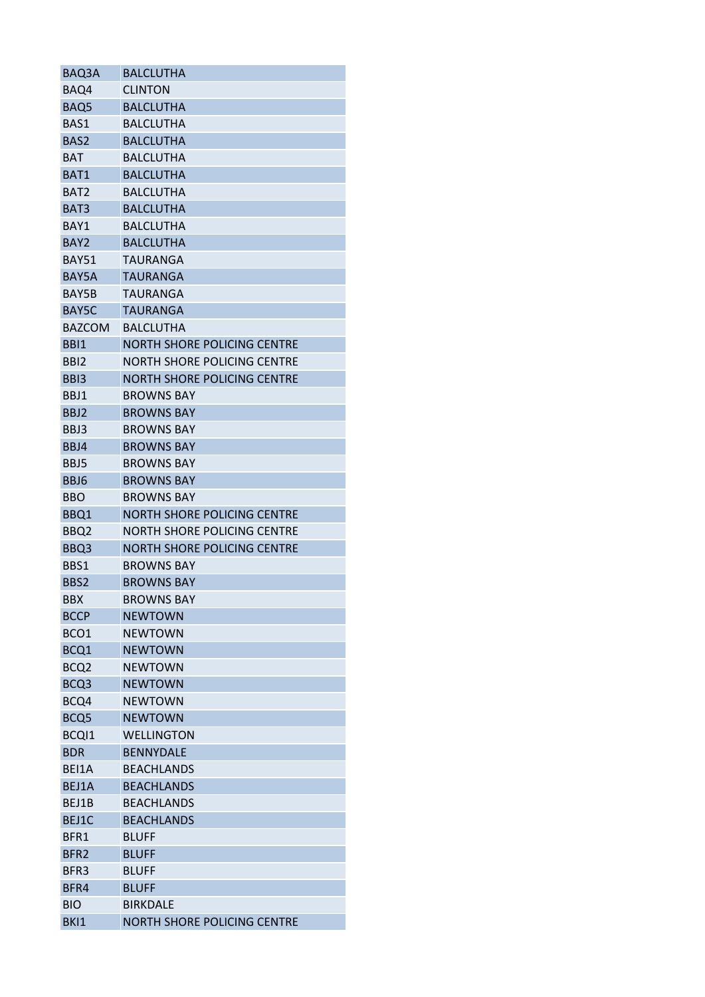| BAQ3A            | <b>BALCLUTHA</b>                   |
|------------------|------------------------------------|
| BAQ4             | <b>CLINTON</b>                     |
| BAQ5             | <b>BALCLUTHA</b>                   |
| BAS1             | <b>BALCLUTHA</b>                   |
| BAS <sub>2</sub> | <b>BALCLUTHA</b>                   |
| BAT              | <b>BALCLUTHA</b>                   |
| BAT1             | <b>BALCLUTHA</b>                   |
| BAT <sub>2</sub> | <b>BALCLUTHA</b>                   |
| BAT3             | <b>BALCLUTHA</b>                   |
| BAY1             | <b>BALCLUTHA</b>                   |
| BAY <sub>2</sub> | <b>BALCLUTHA</b>                   |
| <b>BAY51</b>     | TAURANGA                           |
| BAY5A            | <b>TAURANGA</b>                    |
| BAY5B            | TAURANGA                           |
| BAY5C            | <b>TAURANGA</b>                    |
| <b>BAZCOM</b>    | <b>BALCLUTHA</b>                   |
| BBI1             | NORTH SHORE POLICING CENTRE        |
| BB <sub>12</sub> | NORTH SHORE POLICING CENTRE        |
| BB <sub>13</sub> | <b>NORTH SHORE POLICING CENTRE</b> |
| BBJ1             | <b>BROWNS BAY</b>                  |
| BBJ2             | <b>BROWNS BAY</b>                  |
| BBJ3             | <b>BROWNS BAY</b>                  |
| BBJ4             | <b>BROWNS BAY</b>                  |
| BBJ5             | <b>BROWNS BAY</b>                  |
| BBJ6             | <b>BROWNS BAY</b>                  |
| <b>BBO</b>       | <b>BROWNS BAY</b>                  |
| BBQ1             | <b>NORTH SHORE POLICING CENTRE</b> |
|                  | NORTH SHORE POLICING CENTRE        |
| BBQ <sub>2</sub> | <b>NORTH SHORE POLICING CENTRE</b> |
| BBQ3             |                                    |
| BBS1             | <b>BROWNS BAY</b>                  |
| BBS2             | <b>BROWNS BAY</b>                  |
| <b>BBX</b>       | <b>BROWNS BAY</b>                  |
| <b>BCCP</b>      | <b>NEWTOWN</b>                     |
| BCO1             | <b>NEWTOWN</b>                     |
| BCQ1             | <b>NEWTOWN</b>                     |
| BCQ <sub>2</sub> | <b>NEWTOWN</b>                     |
| BCQ3             | <b>NEWTOWN</b>                     |
| BCQ4             | <b>NEWTOWN</b>                     |
| BCQ5             | <b>NEWTOWN</b>                     |
| BCQI1            | <b>WELLINGTON</b>                  |
| <b>BDR</b>       | <b>BENNYDALE</b>                   |
| BEI1A            | <b>BEACHLANDS</b>                  |
| BEJ1A            | <b>BEACHLANDS</b>                  |
| BEJ1B            | <b>BEACHLANDS</b>                  |
| BEJ1C            | <b>BEACHLANDS</b>                  |
| BFR1             | <b>BLUFF</b>                       |
| BFR <sub>2</sub> | <b>BLUFF</b>                       |
| BFR3             | <b>BLUFF</b>                       |
| BFR4             | <b>BLUFF</b>                       |
| <b>BIO</b>       | <b>BIRKDALE</b>                    |
| BKI1             | <b>NORTH SHORE POLICING CENTRE</b> |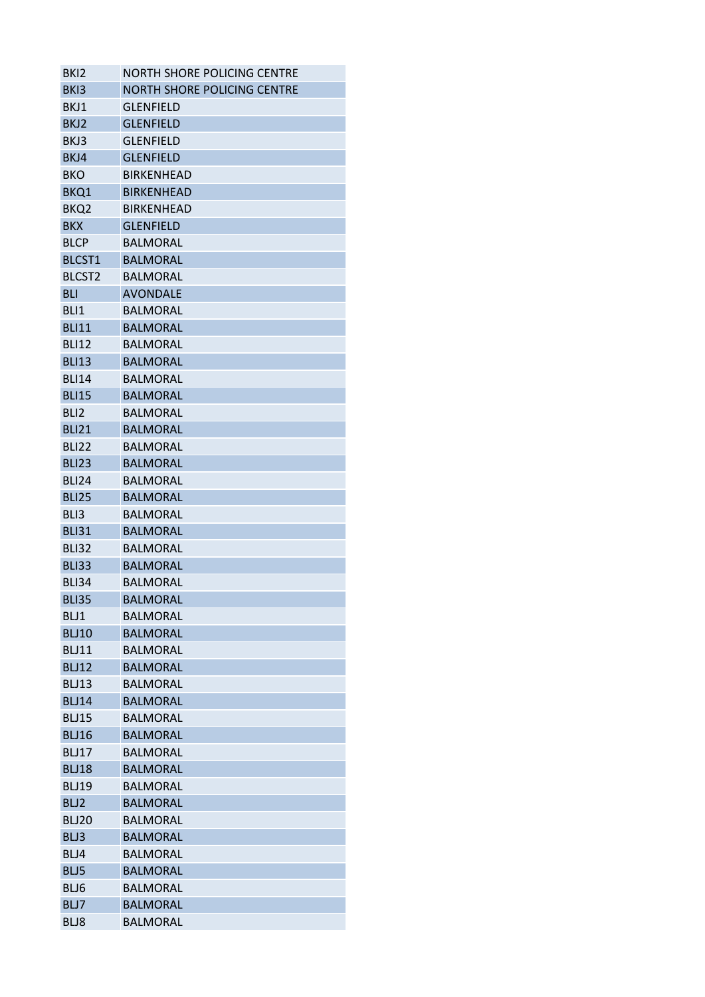| BK <sub>12</sub>   | <b>NORTH SHORE POLICING CENTRE</b> |
|--------------------|------------------------------------|
| BK <sub>13</sub>   | NORTH SHORE POLICING CENTRE        |
| BKJ1               | GLENFIELD                          |
| BKJ2               | <b>GLENFIELD</b>                   |
| BKJ3               | <b>GLENFIELD</b>                   |
| BKJ4               | <b>GLENFIELD</b>                   |
| BKO                | <b>BIRKENHEAD</b>                  |
| BKQ1               | <b>BIRKENHEAD</b>                  |
| BKQ <sub>2</sub>   | <b>BIRKENHEAD</b>                  |
| <b>BKX</b>         | <b>GLENFIELD</b>                   |
| <b>BLCP</b>        | <b>BALMORAL</b>                    |
| BLCST1             | <b>BALMORAL</b>                    |
| BLCST <sub>2</sub> | <b>BALMORAL</b>                    |
| <b>BLI</b>         | <b>AVONDALE</b>                    |
| BLI <sub>1</sub>   | <b>BALMORAL</b>                    |
| <b>BLI11</b>       | <b>BALMORAL</b>                    |
| <b>BLI12</b>       | <b>BALMORAL</b>                    |
| <b>BLI13</b>       | <b>BALMORAL</b>                    |
| <b>BLI14</b>       | <b>BALMORAL</b>                    |
| <b>BLI15</b>       | <b>BALMORAL</b>                    |
| BLI <sub>2</sub>   | <b>BALMORAL</b>                    |
| <b>BLI21</b>       | <b>BALMORAL</b>                    |
| BLI22              | <b>BALMORAL</b>                    |
| <b>BLI23</b>       | <b>BALMORAL</b>                    |
| <b>BLI24</b>       | <b>BALMORAL</b>                    |
| <b>BLI25</b>       | <b>BALMORAL</b>                    |
| BLI3               | <b>BALMORAL</b>                    |
| <b>BLI31</b>       | <b>BALMORAL</b>                    |
| <b>BLI32</b>       | <b>BALMORAL</b>                    |
| <b>BLI33</b>       | <b>BALMORAL</b>                    |
| <b>BLI34</b>       | <b>BALMORAL</b>                    |
| <b>BLI35</b>       | <b>BALMORAL</b>                    |
| BLJ1               | <b>BALMORAL</b>                    |
| <b>BLJ10</b>       | <b>BALMORAL</b>                    |
| <b>BLJ11</b>       | <b>BALMORAL</b>                    |
| <b>BLJ12</b>       | <b>BALMORAL</b>                    |
|                    | <b>BALMORAL</b>                    |
| BLJ13              | <b>BALMORAL</b>                    |
| <b>BLJ14</b>       |                                    |
| <b>BLJ15</b>       | <b>BALMORAL</b>                    |
| <b>BLJ16</b>       | <b>BALMORAL</b>                    |
| BLJ17              | <b>BALMORAL</b>                    |
| <b>BLJ18</b>       | <b>BALMORAL</b>                    |
| <b>BLJ19</b>       | <b>BALMORAL</b>                    |
| BLJ2               | <b>BALMORAL</b>                    |
| <b>BLJ20</b>       | <b>BALMORAL</b>                    |
| BLJ3               | <b>BALMORAL</b>                    |
| BLJ4               | <b>BALMORAL</b>                    |
| BLJ5               | <b>BALMORAL</b>                    |
| BLJ6               | <b>BALMORAL</b>                    |
| BLJ7               | <b>BALMORAL</b>                    |
| BLJ8               | <b>BALMORAL</b>                    |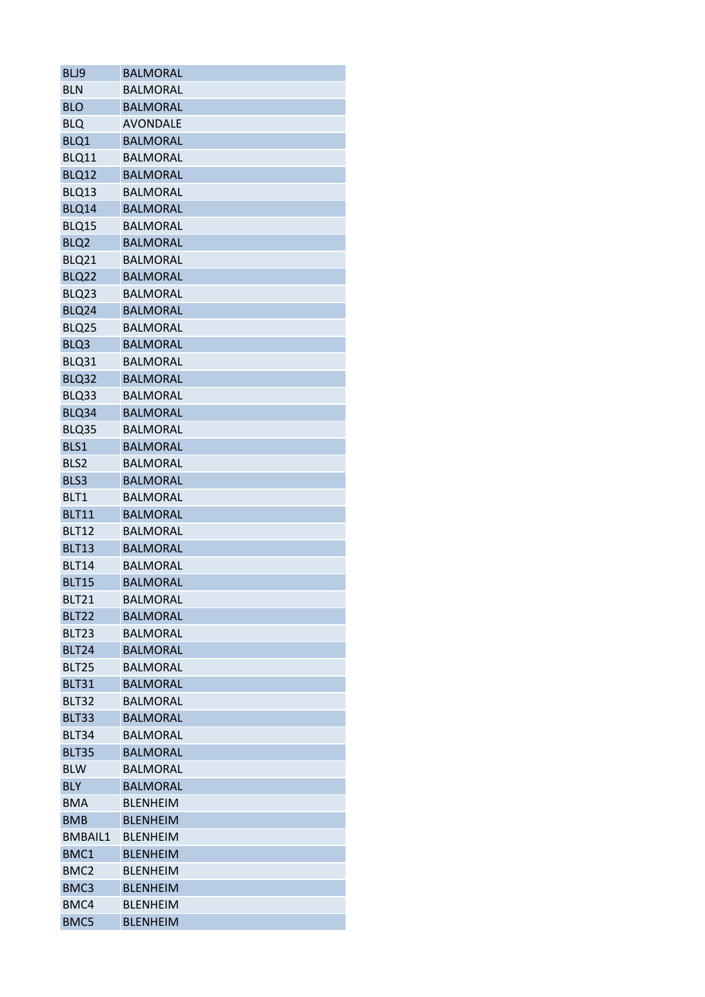| BLJ9              | <b>BALMORAL</b> |
|-------------------|-----------------|
| <b>BLN</b>        | <b>BALMORAL</b> |
| <b>BLO</b>        | <b>BALMORAL</b> |
| <b>BLQ</b>        | <b>AVONDALE</b> |
| BLQ1              | <b>BALMORAL</b> |
| BLQ11             | <b>BALMORAL</b> |
| BLQ12             | <b>BALMORAL</b> |
| BLQ13             | <b>BALMORAL</b> |
| BLQ14             | <b>BALMORAL</b> |
| BLQ15             | <b>BALMORAL</b> |
| BLQ <sub>2</sub>  | <b>BALMORAL</b> |
| BLQ21             | <b>BALMORAL</b> |
| BLQ22             | <b>BALMORAL</b> |
| BLQ23             | <b>BALMORAL</b> |
| BLQ24             | <b>BALMORAL</b> |
| BLQ25             | <b>BALMORAL</b> |
| BLQ3              | <b>BALMORAL</b> |
| BLQ31             | <b>BALMORAL</b> |
| BLQ32             | <b>BALMORAL</b> |
| BLQ33             | <b>BALMORAL</b> |
| BLQ34             | <b>BALMORAL</b> |
| BLQ35             | <b>BALMORAL</b> |
| BLS1              | <b>BALMORAL</b> |
| BLS2              | <b>BALMORAL</b> |
| BLS3              | <b>BALMORAL</b> |
| BLT1              | <b>BALMORAL</b> |
| <b>BLT11</b>      | <b>BALMORAL</b> |
|                   | <b>BALMORAL</b> |
| <b>BLT12</b>      |                 |
| <b>BLT13</b>      | <b>BALMORAL</b> |
| <b>BLT14</b>      | <b>BALMORAL</b> |
| <b>BLT15</b>      | <b>BALMORAL</b> |
| <b>BLT21</b>      | <b>BALMORAL</b> |
| <b>BLT22</b>      | <b>BALMORAL</b> |
| BLT <sub>23</sub> | <b>BALMORAL</b> |
| <b>BLT24</b>      | <b>BALMORAL</b> |
| <b>BLT25</b>      | <b>BALMORAL</b> |
| <b>BLT31</b>      | <b>BALMORAL</b> |
| <b>BLT32</b>      | <b>BALMORAL</b> |
| <b>BLT33</b>      | <b>BALMORAL</b> |
| <b>BLT34</b>      | <b>BALMORAL</b> |
| <b>BLT35</b>      | <b>BALMORAL</b> |
| <b>BLW</b>        | <b>BALMORAL</b> |
| <b>BLY</b>        | <b>BALMORAL</b> |
| <b>BMA</b>        | <b>BLENHEIM</b> |
| <b>BMB</b>        | <b>BLENHEIM</b> |
| <b>BMBAIL1</b>    | <b>BLENHEIM</b> |
| BMC1              | <b>BLENHEIM</b> |
| BMC <sub>2</sub>  | <b>BLENHEIM</b> |
| BMC3              | <b>BLENHEIM</b> |
| BMC4              | <b>BLENHEIM</b> |
| BMC5              | <b>BLENHEIM</b> |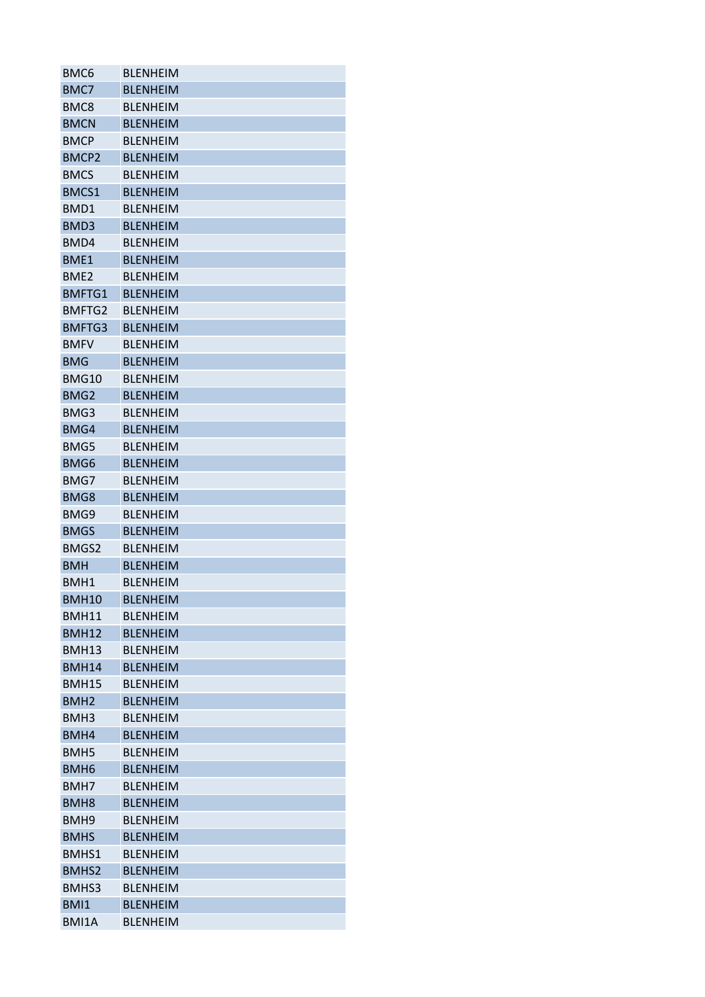| BMC <sub>6</sub> | <b>BLENHEIM</b> |
|------------------|-----------------|
| BMC7             | <b>BLENHEIM</b> |
| BMC8             | <b>BLENHEIM</b> |
| <b>BMCN</b>      | <b>BLENHEIM</b> |
| <b>BMCP</b>      | <b>BLENHEIM</b> |
| BMCP2            | <b>BLENHEIM</b> |
| <b>BMCS</b>      | <b>BLENHEIM</b> |
| <b>BMCS1</b>     | <b>BLENHEIM</b> |
| BMD1             | <b>BLENHEIM</b> |
| BMD3             | <b>BLENHEIM</b> |
| BMD4             | <b>BLENHEIM</b> |
| BME1             | <b>BLENHEIM</b> |
| BME <sub>2</sub> | <b>BLENHEIM</b> |
| <b>BMFTG1</b>    | <b>BLENHEIM</b> |
| BMFTG2           | <b>BLENHEIM</b> |
| BMFTG3           | <b>BLENHEIM</b> |
| <b>BMFV</b>      | <b>BLENHEIM</b> |
| <b>BMG</b>       | <b>BLENHEIM</b> |
| BMG10            | <b>BLENHEIM</b> |
| BMG <sub>2</sub> | <b>BLENHEIM</b> |
| BMG3             | <b>BLENHEIM</b> |
| BMG4             | <b>BLENHEIM</b> |
| BMG5             | <b>BLENHEIM</b> |
| BMG6             | <b>BLENHEIM</b> |
| BMG7             | <b>BLENHEIM</b> |
| BMG8             | <b>BLENHEIM</b> |
| BMG9             | <b>BLENHEIM</b> |
| <b>BMGS</b>      | <b>BLENHEIM</b> |
| BMGS2            | <b>BLENHEIM</b> |
| <b>BMH</b>       | <b>BLENHEIM</b> |
| BMH1             |                 |
| <b>BMH10</b>     | <b>BLENHEIM</b> |
|                  | <b>BLENHEIM</b> |
| <b>BMH11</b>     | <b>BLENHEIM</b> |
| <b>BMH12</b>     | <b>BLENHEIM</b> |
| <b>BMH13</b>     | <b>BLENHEIM</b> |
| <b>BMH14</b>     | <b>BLENHEIM</b> |
| <b>BMH15</b>     | <b>BLFNHFIM</b> |
| BMH <sub>2</sub> | <b>BLENHEIM</b> |
| BMH <sub>3</sub> | <b>BLENHEIM</b> |
| BMH4             | <b>BLFNHFIM</b> |
| BMH <sub>5</sub> | <b>BLENHEIM</b> |
| BMH <sub>6</sub> | <b>BLENHEIM</b> |
| BMH7             | <b>BLENHEIM</b> |
| BMH <sub>8</sub> | <b>BLENHEIM</b> |
| BMH <sub>9</sub> | <b>BLENHEIM</b> |
| <b>BMHS</b>      | <b>BLENHEIM</b> |
| BMHS1            | <b>BLENHEIM</b> |
| BMHS2            | <b>BLENHEIM</b> |
| BMHS3            | <b>BLENHEIM</b> |
| BMI1             | <b>BLENHEIM</b> |
| BMI1A            | <b>BLENHEIM</b> |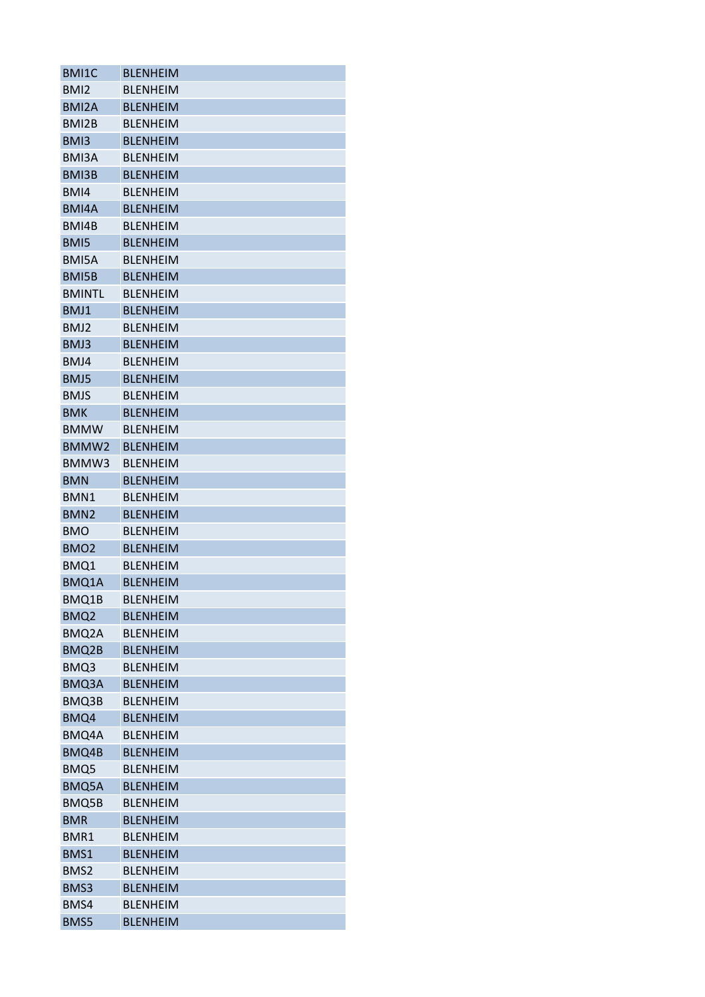| BMI1C              | <b>BLENHEIM</b> |
|--------------------|-----------------|
| BMI <sub>2</sub>   | <b>BLENHEIM</b> |
| BMI <sub>2</sub> A | <b>BLENHEIM</b> |
| BMI2B              | <b>BLENHEIM</b> |
| BMI3               | <b>BLENHEIM</b> |
| BMI3A              | <b>BLENHEIM</b> |
| BMI3B              | <b>BLENHEIM</b> |
| BMI4               | <b>BLENHEIM</b> |
| BMI4A              | <b>BLENHEIM</b> |
| BMI4B              | <b>BLENHEIM</b> |
| BMI5               | <b>BLENHEIM</b> |
| BMI5A              | <b>BLENHEIM</b> |
| BMI5B              | <b>BLENHEIM</b> |
| <b>BMINTL</b>      | <b>BLENHEIM</b> |
| BMJ1               | <b>BLENHEIM</b> |
| BMJ2               | <b>BLENHEIM</b> |
| BMJ3               | <b>BLENHEIM</b> |
| BMJ4               | <b>BLENHEIM</b> |
| BMJ5               | <b>BLENHEIM</b> |
| <b>BMJS</b>        | <b>BLENHEIM</b> |
| <b>BMK</b>         | <b>BLENHEIM</b> |
| <b>BMMW</b>        | <b>BLENHEIM</b> |
| BMMW2              | <b>BLENHEIM</b> |
| BMMW3              | <b>BLENHEIM</b> |
| <b>BMN</b>         | <b>BLENHEIM</b> |
| BMN1               | <b>BLENHEIM</b> |
| BMN <sub>2</sub>   | <b>BLENHEIM</b> |
| <b>BMO</b>         | <b>BLENHEIM</b> |
| BMO <sub>2</sub>   | <b>BLENHEIM</b> |
| BMQ1               | <b>BLENHEIM</b> |
| BMQ1A              | <b>BLENHEIM</b> |
| BMQ1B              | <b>BLENHEIM</b> |
| BMQ <sub>2</sub>   | <b>BLENHEIM</b> |
|                    | <b>BLENHEIM</b> |
| BMQ2A              |                 |
| BMQ2B              | <b>BLENHEIM</b> |
| BMQ3               | <b>BLENHEIM</b> |
| BMQ3A              | <b>BLENHEIM</b> |
| BMQ3B              | <b>BLENHEIM</b> |
| BMQ4               | <b>BLENHEIM</b> |
| BMQ4A              | <b>BLENHEIM</b> |
| BMQ4B              | <b>BLENHEIM</b> |
| BMQ5               | <b>BLENHEIM</b> |
| BMQ5A              | <b>BLENHEIM</b> |
| BMQ5B              | <b>BLENHEIM</b> |
| <b>BMR</b>         | <b>BLENHEIM</b> |
| BMR1               | <b>BLENHEIM</b> |
| BMS1               | <b>BLENHEIM</b> |
| BMS2               | <b>BLENHEIM</b> |
| BMS3               | <b>BLENHEIM</b> |
| BMS4               | <b>BLENHEIM</b> |
| BMS5               | <b>BLENHEIM</b> |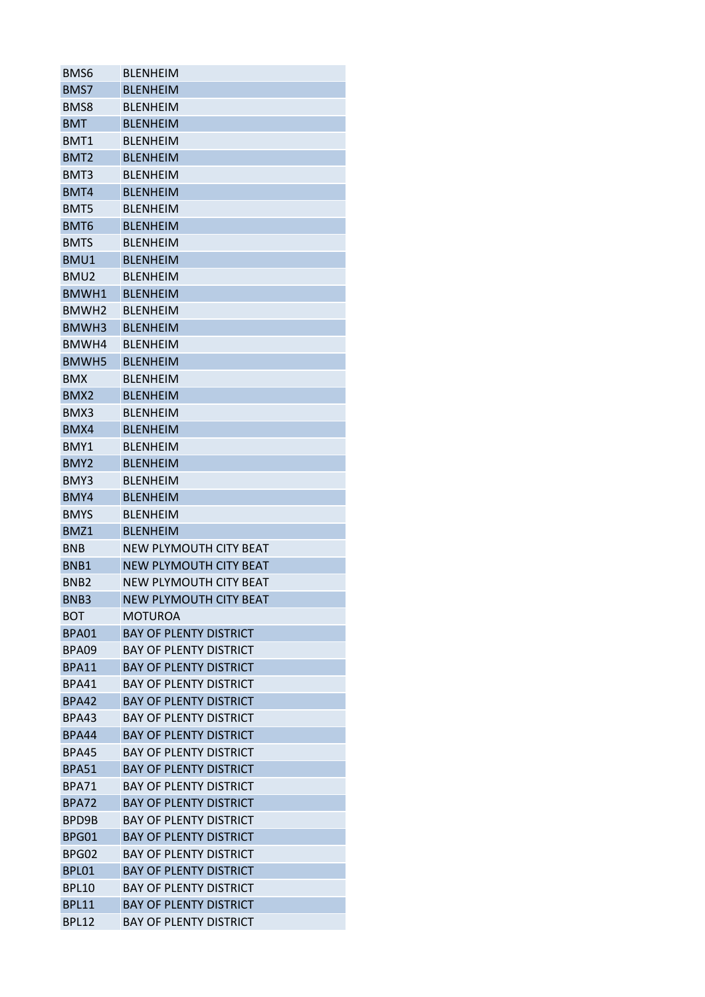| BMS6              | <b>BLENHEIM</b>               |
|-------------------|-------------------------------|
| BMS7              | <b>BLENHEIM</b>               |
| BMS8              | <b>BLENHEIM</b>               |
| <b>BMT</b>        | <b>BLENHEIM</b>               |
| BMT1              | <b>BLENHEIM</b>               |
| BMT <sub>2</sub>  | <b>BLENHEIM</b>               |
| BMT3              | <b>BLENHEIM</b>               |
| BMT4              | <b>BLENHEIM</b>               |
| BMT5              | <b>BLFNHFIM</b>               |
| BMT6              | <b>BLENHEIM</b>               |
| <b>BMTS</b>       | <b>BLENHEIM</b>               |
| BMU1              | <b>BLENHEIM</b>               |
| BMU <sub>2</sub>  | <b>BLENHEIM</b>               |
| BMWH1             | <b>BLENHEIM</b>               |
| BMWH <sub>2</sub> | <b>BLENHEIM</b>               |
| BMWH3             | <b>BLENHEIM</b>               |
| BMWH4             | <b>BLFNHFIM</b>               |
| BMWH5             | <b>BLENHEIM</b>               |
| <b>BMX</b>        | <b>BLENHEIM</b>               |
| BMX <sub>2</sub>  | <b>BLENHEIM</b>               |
| BMX3              | <b>BLENHEIM</b>               |
| BMX4              | <b>BLENHEIM</b>               |
| BMY1              | <b>BLENHEIM</b>               |
| BMY2              | <b>BLENHEIM</b>               |
| BMY3              | <b>BLENHEIM</b>               |
| BMY4              | <b>BLENHEIM</b>               |
| <b>BMYS</b>       | <b>BLENHEIM</b>               |
| BMZ1              | <b>BLFNHFIM</b>               |
| <b>BNB</b>        | NEW PLYMOUTH CITY BEAT        |
| BNB1              | NEW PLYMOUTH CITY BEAT        |
| BN <sub>B2</sub>  | NEW PLYMOUTH CITY BEAT        |
| BNB3              | <b>NEW PLYMOUTH CITY BEAT</b> |
| BOT               | MOTUROA                       |
| BPA01             | <b>BAY OF PLENTY DISTRICT</b> |
| BPA09             | <b>BAY OF PLENTY DISTRICT</b> |
| <b>BPA11</b>      | <b>BAY OF PLENTY DISTRICT</b> |
| BPA41             | <b>BAY OF PLENTY DISTRICT</b> |
| <b>BPA42</b>      | <b>BAY OF PLENTY DISTRICT</b> |
| <b>BPA43</b>      | <b>BAY OF PLENTY DISTRICT</b> |
| <b>BPA44</b>      | <b>BAY OF PLENTY DISTRICT</b> |
| <b>BPA45</b>      | <b>BAY OF PLENTY DISTRICT</b> |
| <b>BPA51</b>      | <b>BAY OF PLENTY DISTRICT</b> |
| <b>BPA71</b>      | <b>BAY OF PLENTY DISTRICT</b> |
| <b>BPA72</b>      | <b>BAY OF PLENTY DISTRICT</b> |
| BPD9B             | BAY OF PLENTY DISTRICT        |
| BPG01             | <b>BAY OF PLENTY DISTRICT</b> |
|                   | <b>BAY OF PLENTY DISTRICT</b> |
| BPG02             |                               |
| BPL01             | <b>BAY OF PLENTY DISTRICT</b> |
| <b>BPL10</b>      | <b>BAY OF PLENTY DISTRICT</b> |
| <b>BPL11</b>      | <b>BAY OF PLENTY DISTRICT</b> |
| <b>BPL12</b>      | <b>BAY OF PLENTY DISTRICT</b> |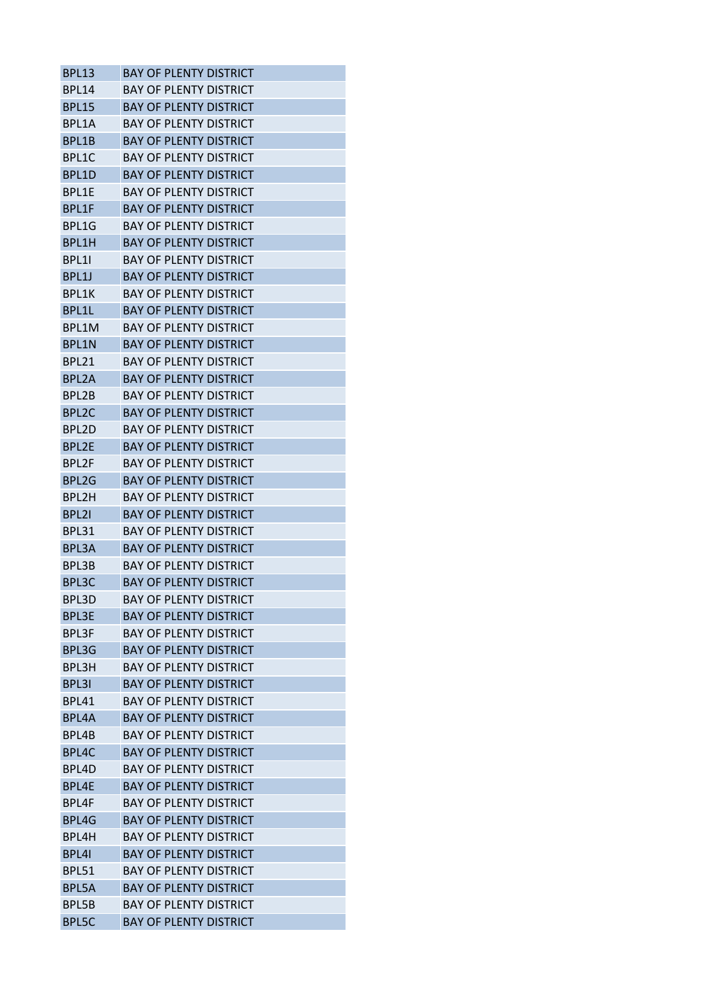| <b>BPL13</b>       | BAY OF PLFNTY DISTRICT        |
|--------------------|-------------------------------|
| <b>BPL14</b>       | <b>BAY OF PLENTY DISTRICT</b> |
| <b>BPL15</b>       | <b>BAY OF PLENTY DISTRICT</b> |
| BPL1A              | <b>BAY OF PLENTY DISTRICT</b> |
| BPL1B              | <b>BAY OF PLENTY DISTRICT</b> |
| BPL1C              | BAY OF PLENTY DISTRICT        |
| BPL1D              | <b>BAY OF PLENTY DISTRICT</b> |
| BPL1E              | BAY OF PLENTY DISTRICT        |
| BPL1F              | <b>BAY OF PLENTY DISTRICT</b> |
| BPL1G              | <b>BAY OF PLENTY DISTRICT</b> |
| BPL1H              | <b>BAY OF PLENTY DISTRICT</b> |
| BPL11              | <b>BAY OF PLENTY DISTRICT</b> |
| BPL1J              | BAY OF PLENTY DISTRICT        |
| BPL1K              | <b>BAY OF PLENTY DISTRICT</b> |
| BPL1L              | <b>BAY OF PLENTY DISTRICT</b> |
| BPL1M              | <b>BAY OF PLENTY DISTRICT</b> |
| <b>BPL1N</b>       | <b>BAY OF PLENTY DISTRICT</b> |
| BPL21              | <b>BAY OF PLENTY DISTRICT</b> |
| BPL <sub>2</sub> A | <b>BAY OF PLENTY DISTRICT</b> |
| BPL2B              | <b>BAY OF PLENTY DISTRICT</b> |
| BPL <sub>2C</sub>  | <b>BAY OF PLENTY DISTRICT</b> |
| BPL2D              | <b>BAY OF PLENTY DISTRICT</b> |
| BPL2E              | <b>BAY OF PLENTY DISTRICT</b> |
| BPL2F              | <b>BAY OF PLENTY DISTRICT</b> |
| BPL2G              | <b>BAY OF PLENTY DISTRICT</b> |
| BPL2H              | <b>BAY OF PLENTY DISTRICT</b> |
| BPL21              | <b>BAY OF PLENTY DISTRICT</b> |
| BPL31              | <b>BAY OF PLENTY DISTRICT</b> |
| BPL3A              | <b>BAY OF PLENTY DISTRICT</b> |
| BPL3B              | <b>BAY OF PLENTY DISTRICT</b> |
| BPL3C              | <b>BAY OF PLENTY DISTRICT</b> |
| BPL3D              | <b>BAY OF PLENTY DISTRICT</b> |
| <b>BPL3E</b>       | <b>BAY OF PLENTY DISTRICT</b> |
| <b>BPL3F</b>       | <b>BAY OF PLENTY DISTRICT</b> |
| BPL3G              | <b>BAY OF PLENTY DISTRICT</b> |
| <b>BPL3H</b>       | BAY OF PLENTY DISTRICT        |
| BPL3I              | <b>BAY OF PLENTY DISTRICT</b> |
| <b>BPL41</b>       | <b>BAY OF PLENTY DISTRICT</b> |
| BPL4A              | <b>BAY OF PLENTY DISTRICT</b> |
| BPL4B              | <b>BAY OF PLENTY DISTRICT</b> |
| BPL4C              | <b>BAY OF PLENTY DISTRICT</b> |
| BPL4D              | <b>BAY OF PLENTY DISTRICT</b> |
| BPL4E              | <b>BAY OF PLENTY DISTRICT</b> |
| BPL4F              | <b>BAY OF PLENTY DISTRICT</b> |
| BPL4G              | <b>BAY OF PLENTY DISTRICT</b> |
| BPL4H              | <b>BAY OF PLENTY DISTRICT</b> |
| BPL41              | <b>BAY OF PLENTY DISTRICT</b> |
| <b>BPL51</b>       | <b>BAY OF PLENTY DISTRICT</b> |
| BPL5A              | <b>BAY OF PLENTY DISTRICT</b> |
| BPL5B              | <b>BAY OF PLENTY DISTRICT</b> |
| <b>BPL5C</b>       | <b>BAY OF PLENTY DISTRICT</b> |
|                    |                               |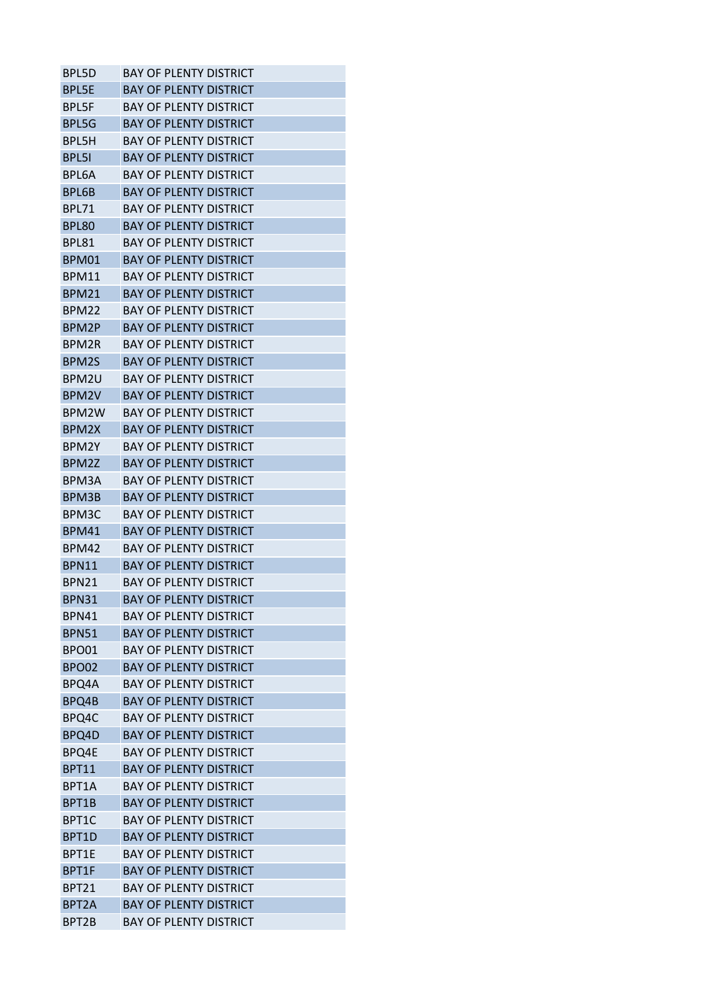| <b>BPL5D</b>       | <b>BAY OF PLENTY DISTRICT</b> |
|--------------------|-------------------------------|
| <b>BPL5E</b>       | <b>BAY OF PLENTY DISTRICT</b> |
| <b>BPL5F</b>       | <b>BAY OF PLENTY DISTRICT</b> |
| <b>BPL5G</b>       | <b>BAY OF PLENTY DISTRICT</b> |
| BPL5H              | <b>BAY OF PLENTY DISTRICT</b> |
| <b>BPL5I</b>       | BAY OF PLENTY DISTRICT        |
| BPL6A              | <b>BAY OF PLENTY DISTRICT</b> |
| <b>BPL6B</b>       | <b>BAY OF PLENTY DISTRICT</b> |
| <b>BPL71</b>       | <b>BAY OF PLENTY DISTRICT</b> |
| <b>BPL80</b>       | <b>BAY OF PLENTY DISTRICT</b> |
| <b>BPL81</b>       | <b>BAY OF PLENTY DISTRICT</b> |
| BPM01              | <b>BAY OF PLENTY DISTRICT</b> |
| BPM11              | BAY OF PLENTY DISTRICT        |
| <b>BPM21</b>       | <b>BAY OF PLENTY DISTRICT</b> |
| BPM22              | <b>BAY OF PLENTY DISTRICT</b> |
| BPM2P              | <b>BAY OF PLENTY DISTRICT</b> |
| BPM2R              | <b>BAY OF PLENTY DISTRICT</b> |
|                    |                               |
| BPM2S              | <b>BAY OF PLENTY DISTRICT</b> |
| BPM2U              | <b>BAY OF PLENTY DISTRICT</b> |
| BPM2V              | <b>BAY OF PLENTY DISTRICT</b> |
| BPM2W              | BAY OF PLENTY DISTRICT        |
| BPM2X              | <b>BAY OF PLENTY DISTRICT</b> |
| BPM2Y              | <b>BAY OF PLENTY DISTRICT</b> |
| BPM2Z              | <b>BAY OF PLENTY DISTRICT</b> |
| BPM3A              | <b>BAY OF PLENTY DISTRICT</b> |
| BPM3B              | BAY OF PLENTY DISTRICT        |
| BPM3C              | <b>BAY OF PLENTY DISTRICT</b> |
| <b>BPM41</b>       | <b>BAY OF PLENTY DISTRICT</b> |
| BPM42              | <b>BAY OF PLENTY DISTRICT</b> |
| <b>BPN11</b>       | <b>BAY OF PLENTY DISTRICT</b> |
| BPN21              | BAY OF PLENTY DISTRICT        |
| <b>BPN31</b>       | <b>BAY OF PLENTY DISTRICT</b> |
| <b>BPN41</b>       | <b>BAY OF PLENTY DISTRICT</b> |
| <b>BPN51</b>       | <b>BAY OF PLENTY DISTRICT</b> |
| <b>BPO01</b>       | <b>BAY OF PLENTY DISTRICT</b> |
| <b>BPO02</b>       | <b>BAY OF PLENTY DISTRICT</b> |
| BPQ4A              | <b>BAY OF PLENTY DISTRICT</b> |
| BPQ4B              | <b>BAY OF PLENTY DISTRICT</b> |
| BPQ4C              | <b>BAY OF PLENTY DISTRICT</b> |
| BPQ4D              | <b>BAY OF PLENTY DISTRICT</b> |
| BPQ4E              | <b>BAY OF PLENTY DISTRICT</b> |
| <b>BPT11</b>       | <b>BAY OF PLENTY DISTRICT</b> |
| BPT1A              | <b>BAY OF PLENTY DISTRICT</b> |
| BPT1B              | <b>BAY OF PLENTY DISTRICT</b> |
| BPT1C              | <b>BAY OF PLENTY DISTRICT</b> |
| BPT1D              | <b>BAY OF PLENTY DISTRICT</b> |
| BPT1E              | <b>BAY OF PLENTY DISTRICT</b> |
| BPT1F              | <b>BAY OF PLENTY DISTRICT</b> |
| BPT21              | <b>BAY OF PLENTY DISTRICT</b> |
| BPT <sub>2</sub> A | <b>BAY OF PLENTY DISTRICT</b> |
| BPT2B              | <b>BAY OF PLENTY DISTRICT</b> |
|                    |                               |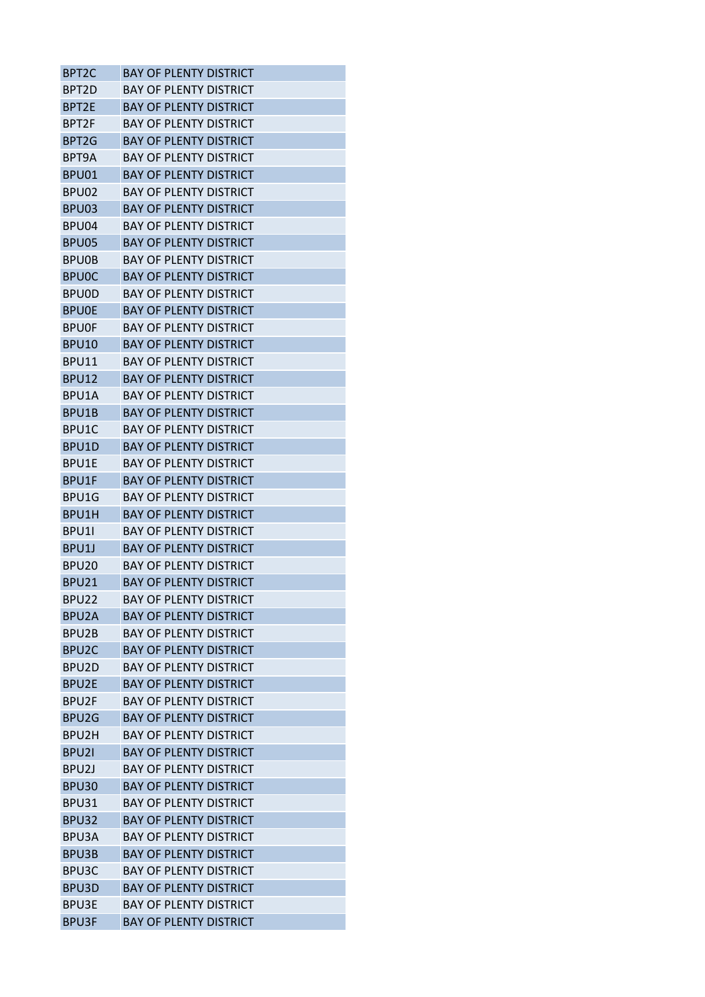| BPT <sub>2</sub> C | BAY OF PLENTY DISTRICT        |
|--------------------|-------------------------------|
| BPT2D              | <b>BAY OF PLENTY DISTRICT</b> |
| BPT2E              | <b>BAY OF PLENTY DISTRICT</b> |
| BPT2F              | <b>BAY OF PLENTY DISTRICT</b> |
| BPT2G              | <b>BAY OF PLENTY DISTRICT</b> |
| BPT9A              | BAY OF PLENTY DISTRICT        |
| BPU01              | <b>BAY OF PLENTY DISTRICT</b> |
| BPU02              | <b>BAY OF PLENTY DISTRICT</b> |
| BPU03              | <b>BAY OF PLENTY DISTRICT</b> |
| BPU04              | <b>BAY OF PLENTY DISTRICT</b> |
| BPU05              | <b>BAY OF PLENTY DISTRICT</b> |
| <b>BPUOB</b>       | <b>BAY OF PLENTY DISTRICT</b> |
| <b>BPUOC</b>       | BAY OF PLENTY DISTRICT        |
| <b>BPUOD</b>       | <b>BAY OF PLENTY DISTRICT</b> |
| <b>BPUOE</b>       | <b>BAY OF PLENTY DISTRICT</b> |
| BPUOF              | <b>BAY OF PLENTY DISTRICT</b> |
| <b>BPU10</b>       | <b>BAY OF PLENTY DISTRICT</b> |
| BPU11              | <b>BAY OF PLENTY DISTRICT</b> |
| <b>BPU12</b>       | <b>BAY OF PLENTY DISTRICT</b> |
| <b>BPU1A</b>       | <b>BAY OF PLENTY DISTRICT</b> |
| BPU1B              | <b>BAY OF PLENTY DISTRICT</b> |
| BPU1C              | <b>BAY OF PLENTY DISTRICT</b> |
| BPU1D              | <b>BAY OF PLENTY DISTRICT</b> |
| BPU1E              | <b>BAY OF PLENTY DISTRICT</b> |
| BPU1F              | <b>BAY OF PLENTY DISTRICT</b> |
| BPU1G              | BAY OF PLENTY DISTRICT        |
| BPU1H              | <b>BAY OF PLENTY DISTRICT</b> |
| BPU11              | <b>BAY OF PLENTY DISTRICT</b> |
| BPU1J              | <b>BAY OF PLENTY DISTRICT</b> |
| BPU <sub>20</sub>  | <b>BAY OF PLENTY DISTRICT</b> |
| <b>BPU21</b>       | <b>BAY OF PLENTY DISTRICT</b> |
| BPU22              | <b>BAY OF PLENTY DISTRICT</b> |
| BPU <sub>2</sub> A | <b>BAY OF PLENTY DISTRICT</b> |
| BPU2B              | <b>BAY OF PLENTY DISTRICT</b> |
| BPU <sub>2</sub> C | <b>BAY OF PLENTY DISTRICT</b> |
| BPU <sub>2</sub> D | BAY OF PLENTY DISTRICT        |
| BPU2E              | <b>BAY OF PLENTY DISTRICT</b> |
| BPU2F              | <b>BAY OF PLENTY DISTRICT</b> |
| BPU2G              | <b>BAY OF PLENTY DISTRICT</b> |
| BPU2H              | <b>BAY OF PLENTY DISTRICT</b> |
| BPU <sub>21</sub>  | <b>BAY OF PLENTY DISTRICT</b> |
| BPU <sub>2</sub> J | <b>BAY OF PLENTY DISTRICT</b> |
| <b>BPU30</b>       | <b>BAY OF PLENTY DISTRICT</b> |
| BPU31              | <b>BAY OF PLENTY DISTRICT</b> |
| BPU32              | <b>BAY OF PLENTY DISTRICT</b> |
| BPU3A              | <b>BAY OF PLENTY DISTRICT</b> |
| BPU3B              | <b>BAY OF PLENTY DISTRICT</b> |
| BPU3C              | <b>BAY OF PLENTY DISTRICT</b> |
| BPU3D              | <b>BAY OF PLENTY DISTRICT</b> |
| <b>BPU3E</b>       | <b>BAY OF PLENTY DISTRICT</b> |
| <b>BPU3F</b>       | <b>BAY OF PLENTY DISTRICT</b> |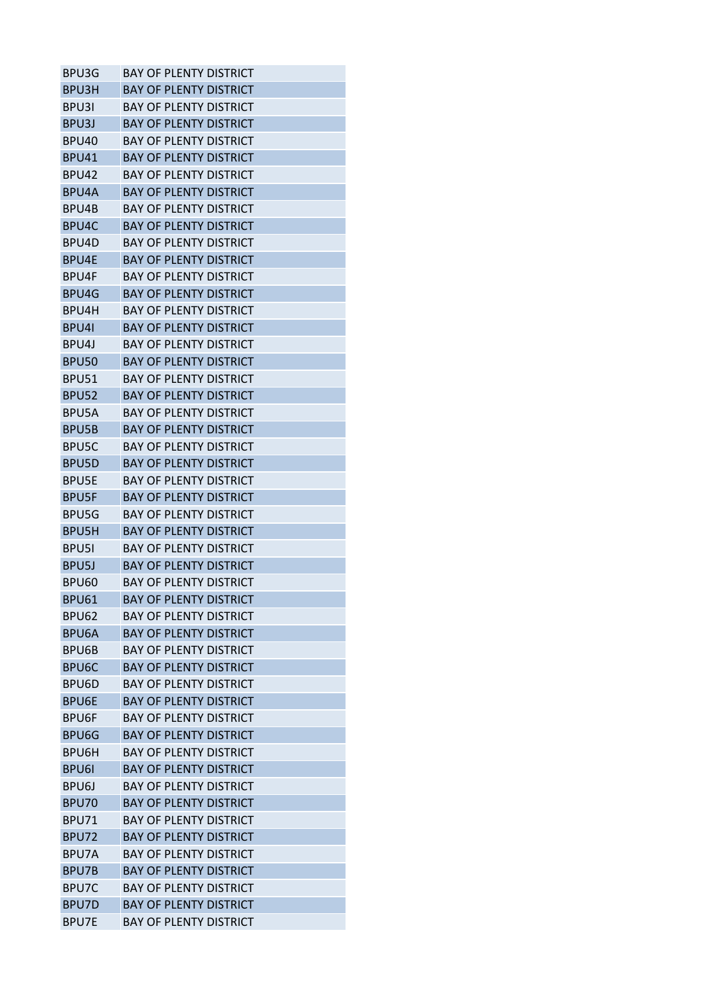| BPU3G              | <b>BAY OF PLENTY DISTRICT</b> |
|--------------------|-------------------------------|
| BPU3H              | <b>BAY OF PLENTY DISTRICT</b> |
| BPU3I              | <b>BAY OF PLENTY DISTRICT</b> |
| BPU3J              | <b>BAY OF PLENTY DISTRICT</b> |
| BPU40              | <b>BAY OF PLENTY DISTRICT</b> |
| BPU41              | BAY OF PLENTY DISTRICT        |
| BPU42              | <b>BAY OF PLENTY DISTRICT</b> |
| BPU4A              | <b>BAY OF PLENTY DISTRICT</b> |
| BPU4B              | <b>BAY OF PLENTY DISTRICT</b> |
| BPU4C              | <b>BAY OF PLENTY DISTRICT</b> |
| BPU4D              | <b>BAY OF PLENTY DISTRICT</b> |
| BPU4E              | <b>BAY OF PLENTY DISTRICT</b> |
| BPU4F              | BAY OF PLENTY DISTRICT        |
| BPU4G              | <b>BAY OF PLENTY DISTRICT</b> |
| BPU4H              | <b>BAY OF PLENTY DISTRICT</b> |
| BPU4I              | <b>BAY OF PLENTY DISTRICT</b> |
| BPU41              | <b>BAY OF PLENTY DISTRICT</b> |
| <b>BPU50</b>       | <b>BAY OF PLENTY DISTRICT</b> |
| <b>BPU51</b>       | <b>BAY OF PLENTY DISTRICT</b> |
|                    | <b>BAY OF PLENTY DISTRICT</b> |
| <b>BPU52</b>       |                               |
| <b>BPU5A</b>       | <b>BAY OF PLENTY DISTRICT</b> |
| BPU5B              | <b>BAY OF PLENTY DISTRICT</b> |
| BPU5C              | <b>BAY OF PLENTY DISTRICT</b> |
| BPU5D              | <b>BAY OF PLENTY DISTRICT</b> |
| <b>BPU5E</b>       | <b>BAY OF PLENTY DISTRICT</b> |
| <b>BPU5F</b>       | BAY OF PLENTY DISTRICT        |
| BPU5G              | <b>BAY OF PLENTY DISTRICT</b> |
| <b>BPU5H</b>       | <b>BAY OF PLENTY DISTRICT</b> |
| <b>BPU5I</b>       | <b>BAY OF PLENTY DISTRICT</b> |
| BPU <sub>5</sub> J | <b>BAY OF PLENTY DISTRICT</b> |
| <b>BPU60</b>       | <b>BAY OF PLENTY DISTRICT</b> |
| <b>BPU61</b>       | <b>BAY OF PLENTY DISTRICT</b> |
| <b>BPU62</b>       | <b>BAY OF PLENTY DISTRICT</b> |
| BPU6A              | <b>BAY OF PLENTY DISTRICT</b> |
| BPU6B              | <b>BAY OF PLENTY DISTRICT</b> |
| BPU6C              | <b>BAY OF PLENTY DISTRICT</b> |
| BPU6D              | <b>BAY OF PLENTY DISTRICT</b> |
| <b>BPU6E</b>       | <b>BAY OF PLENTY DISTRICT</b> |
| <b>BPU6F</b>       | <b>BAY OF PLENTY DISTRICT</b> |
| BPU6G              | <b>BAY OF PLENTY DISTRICT</b> |
| BPU6H              | <b>BAY OF PLENTY DISTRICT</b> |
| <b>BPU6I</b>       | <b>BAY OF PLENTY DISTRICT</b> |
| BPU6J              | <b>BAY OF PLENTY DISTRICT</b> |
| <b>BPU70</b>       | <b>BAY OF PLENTY DISTRICT</b> |
| BPU71              | <b>BAY OF PLENTY DISTRICT</b> |
| BPU72              | <b>BAY OF PLENTY DISTRICT</b> |
| BPU7A              | <b>BAY OF PLENTY DISTRICT</b> |
| BPU7B              | <b>BAY OF PLENTY DISTRICT</b> |
| BPU7C              | <b>BAY OF PLENTY DISTRICT</b> |
| BPU7D              | <b>BAY OF PLENTY DISTRICT</b> |
| BPU7E              | <b>BAY OF PLENTY DISTRICT</b> |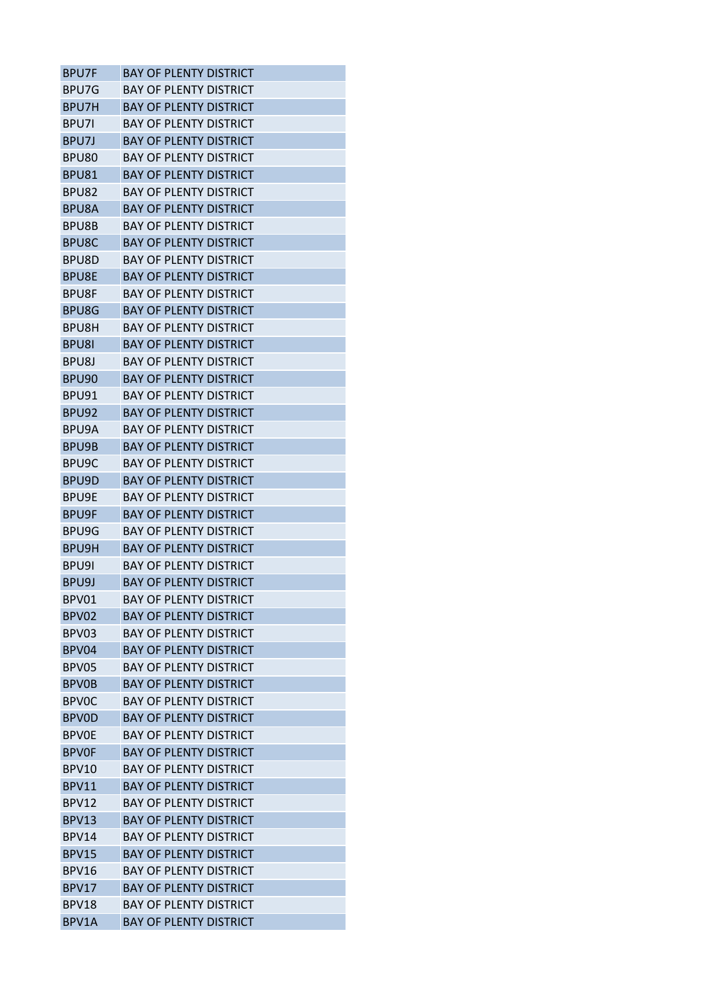| <b>BPU7F</b>       | <b>BAY OF PLENTY DISTRICT</b> |
|--------------------|-------------------------------|
| BPU7G              | <b>BAY OF PLENTY DISTRICT</b> |
| BPU7H              | <b>BAY OF PLENTY DISTRICT</b> |
| <b>BPU71</b>       | <b>BAY OF PLENTY DISTRICT</b> |
| BPU7J              | <b>BAY OF PLENTY DISTRICT</b> |
| BPU80              | BAY OF PLENTY DISTRICT        |
| BPU81              | <b>BAY OF PLENTY DISTRICT</b> |
| BPU82              | <b>BAY OF PLENTY DISTRICT</b> |
| <b>BPU8A</b>       | <b>BAY OF PLENTY DISTRICT</b> |
| BPU8B              | <b>BAY OF PLENTY DISTRICT</b> |
| BPU8C              | <b>BAY OF PLENTY DISTRICT</b> |
| BPU8D              | <b>BAY OF PLENTY DISTRICT</b> |
| <b>BPU8E</b>       | <b>BAY OF PLENTY DISTRICT</b> |
| BPU8F              | <b>BAY OF PLENTY DISTRICT</b> |
| BPU8G              | <b>BAY OF PLENTY DISTRICT</b> |
| BPU8H              | <b>BAY OF PLENTY DISTRICT</b> |
| <b>BPU8I</b>       | <b>BAY OF PLENTY DISTRICT</b> |
| BPU8J              | <b>BAY OF PLENTY DISTRICT</b> |
| BPU <sub>90</sub>  | <b>BAY OF PLENTY DISTRICT</b> |
| BPU91              | <b>BAY OF PLENTY DISTRICT</b> |
| BPU92              | <b>BAY OF PLENTY DISTRICT</b> |
| BPU9A              | <b>BAY OF PLENTY DISTRICT</b> |
| BPU9B              | <b>BAY OF PLENTY DISTRICT</b> |
| BPU <sub>9</sub> C | <b>BAY OF PLENTY DISTRICT</b> |
| BPU9D              | <b>BAY OF PLENTY DISTRICT</b> |
| BPU9E              | <b>BAY OF PLENTY DISTRICT</b> |
| <b>BPU9F</b>       | <b>BAY OF PLENTY DISTRICT</b> |
| BPU9G              | <b>BAY OF PLENTY DISTRICT</b> |
| BPU9H              | <b>BAY OF PLENTY DISTRICT</b> |
| BPU9I              | <b>BAY OF PLENTY DISTRICT</b> |
| BPU9J              | <b>BAY OF PLENTY DISTRICT</b> |
| BPV01              | <b>BAY OF PLENTY DISTRICT</b> |
| BPV02              | <b>BAY OF PLENTY DISTRICT</b> |
| BPV03              | <b>BAY OF PLENTY DISTRICT</b> |
| BPV04              | <b>BAY OF PLENTY DISTRICT</b> |
| BPV05              | BAY OF PLENTY DISTRICT        |
| <b>BPV0B</b>       | <b>BAY OF PLENTY DISTRICT</b> |
| <b>BPVOC</b>       | <b>BAY OF PLENTY DISTRICT</b> |
| <b>BPVOD</b>       | <b>BAY OF PLENTY DISTRICT</b> |
| <b>BPVOE</b>       | <b>BAY OF PLENTY DISTRICT</b> |
| <b>BPVOF</b>       | <b>BAY OF PLENTY DISTRICT</b> |
| BPV10              | <b>BAY OF PLENTY DISTRICT</b> |
| BPV11              | <b>BAY OF PLENTY DISTRICT</b> |
| <b>BPV12</b>       | <b>BAY OF PLENTY DISTRICT</b> |
| BPV13              | <b>BAY OF PLENTY DISTRICT</b> |
| BPV14              | <b>BAY OF PLENTY DISTRICT</b> |
| <b>BPV15</b>       | <b>BAY OF PLENTY DISTRICT</b> |
|                    |                               |
| <b>BPV16</b>       | <b>BAY OF PLENTY DISTRICT</b> |
| BPV17              | <b>BAY OF PLENTY DISTRICT</b> |
| BPV18              | <b>BAY OF PLENTY DISTRICT</b> |
| BPV1A              | <b>BAY OF PLENTY DISTRICT</b> |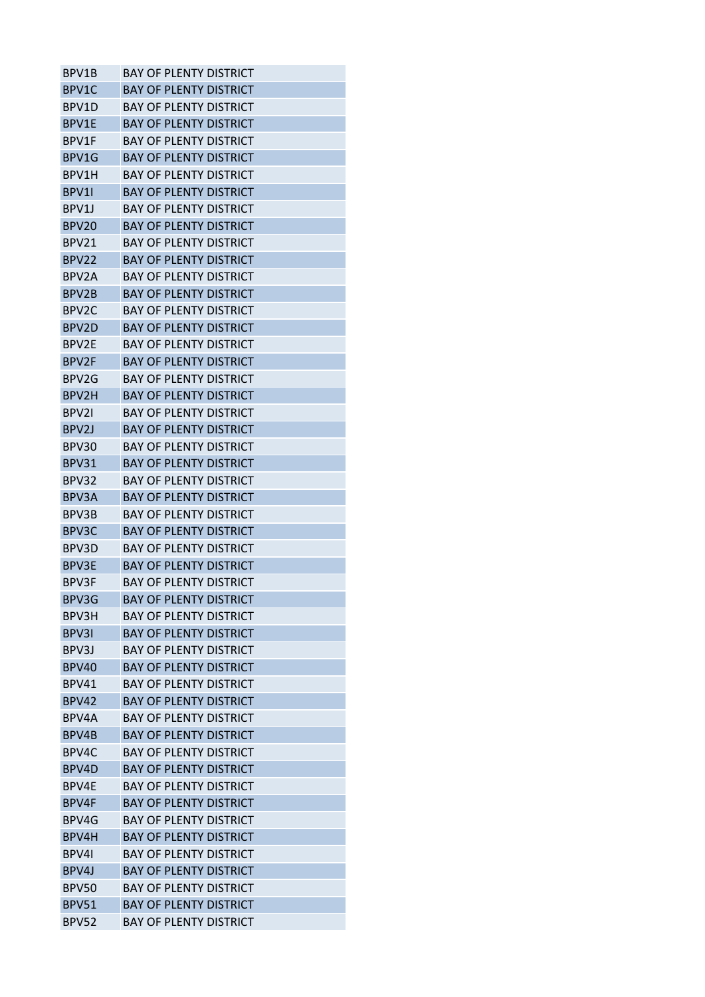| BPV1B              | <b>BAY OF PLENTY DISTRICT</b> |
|--------------------|-------------------------------|
| BPV1C              | <b>BAY OF PLENTY DISTRICT</b> |
| BPV1D              | <b>BAY OF PLENTY DISTRICT</b> |
| BPV1E              | <b>BAY OF PLENTY DISTRICT</b> |
| BPV1F              | BAY OF PLENTY DISTRICT        |
| BPV1G              | <b>BAY OF PLENTY DISTRICT</b> |
| BPV1H              | BAY OF PLENTY DISTRICT        |
| BPV11              | <b>BAY OF PLENTY DISTRICT</b> |
| BPV <sub>1</sub>   | <b>BAY OF PLENTY DISTRICT</b> |
| BPV20              | <b>BAY OF PLENTY DISTRICT</b> |
| BPV21              | <b>BAY OF PLENTY DISTRICT</b> |
| BPV22              | <b>BAY OF PLENTY DISTRICT</b> |
| BPV2A              | <b>BAY OF PLENTY DISTRICT</b> |
| BPV2B              | BAY OF PLENTY DISTRICT        |
| BPV <sub>2</sub> C | <b>BAY OF PLENTY DISTRICT</b> |
| BPV2D              | <b>BAY OF PLENTY DISTRICT</b> |
| BPV2E              | BAY OF PLFNTY DISTRICT        |
| BPV <sub>2F</sub>  | <b>BAY OF PLENTY DISTRICT</b> |
| BPV2G              | <b>BAY OF PLENTY DISTRICT</b> |
| BPV2H              | <b>BAY OF PLENTY DISTRICT</b> |
| BPV21              | <b>BAY OF PLENTY DISTRICT</b> |
| BPV <sub>2</sub> J | <b>BAY OF PLENTY DISTRICT</b> |
| BPV30              | BAY OF PLENTY DISTRICT        |
| <b>BPV31</b>       | <b>BAY OF PLENTY DISTRICT</b> |
| BPV32              | <b>BAY OF PLENTY DISTRICT</b> |
| BPV3A              | <b>BAY OF PLENTY DISTRICT</b> |
| BPV3B              | <b>BAY OF PLENTY DISTRICT</b> |
| BPV3C              | BAY OF PLENTY DISTRICT        |
| BPV3D              | <b>BAY OF PLENTY DISTRICT</b> |
| <b>BPV3E</b>       | <b>BAY OF PLENTY DISTRICT</b> |
| BPV3F              | <b>BAY OF PLENTY DISTRICT</b> |
| BPV3G              | <b>BAY OF PLENTY DISTRICT</b> |
| BPV3H              | <b>BAY OF PLENTY DISTRICT</b> |
| BPV3I              | <b>BAY OF PLENTY DISTRICT</b> |
| BPV3J              | <b>BAY OF PLENTY DISTRICT</b> |
| BPV40              | <b>BAY OF PLENTY DISTRICT</b> |
| BPV41              | <b>BAY OF PLENTY DISTRICT</b> |
| <b>BPV42</b>       | <b>BAY OF PLENTY DISTRICT</b> |
| BPV4A              | <b>BAY OF PLENTY DISTRICT</b> |
| <b>BPV4B</b>       | <b>BAY OF PLENTY DISTRICT</b> |
| BPV4C              | BAY OF PLENTY DISTRICT        |
| BPV4D              | <b>BAY OF PLENTY DISTRICT</b> |
| BPV4E              | <b>BAY OF PLENTY DISTRICT</b> |
| <b>BPV4F</b>       | <b>BAY OF PLENTY DISTRICT</b> |
| BPV4G              | BAY OF PLENTY DISTRICT        |
| BPV4H              | <b>BAY OF PLENTY DISTRICT</b> |
| BPV4I              | <b>BAY OF PLENTY DISTRICT</b> |
| BPV4J              | <b>BAY OF PLENTY DISTRICT</b> |
| <b>BPV50</b>       | <b>BAY OF PLENTY DISTRICT</b> |
| BPV51              | <b>BAY OF PLENTY DISTRICT</b> |
| <b>BPV52</b>       | <b>BAY OF PLENTY DISTRICT</b> |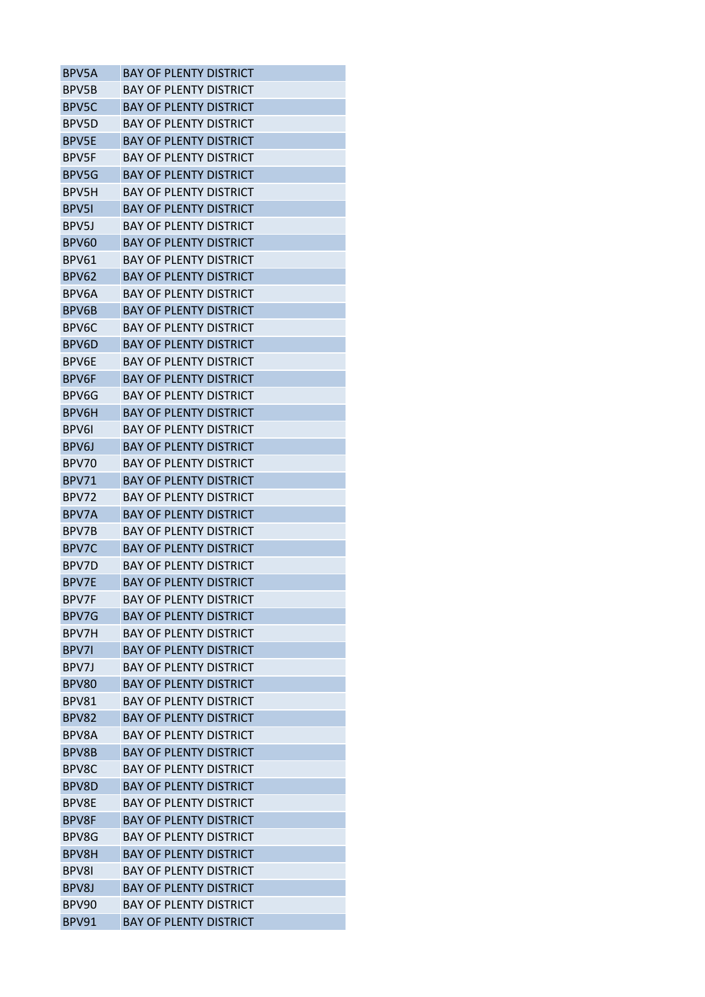| <b>BAY OF PLENTY DISTRICT</b><br><b>BAY OF PLENTY DISTRICT</b><br><b>BAY OF PLENTY DISTRICT</b><br><b>BAY OF PLENTY DISTRICT</b> |
|----------------------------------------------------------------------------------------------------------------------------------|
|                                                                                                                                  |
|                                                                                                                                  |
|                                                                                                                                  |
|                                                                                                                                  |
| <b>BAY OF PLENTY DISTRICT</b>                                                                                                    |
| <b>BAY OF PLENTY DISTRICT</b>                                                                                                    |
| <b>BAY OF PLENTY DISTRICT</b>                                                                                                    |
| <b>BAY OF PLENTY DISTRICT</b>                                                                                                    |
| <b>BAY OF PLENTY DISTRICT</b>                                                                                                    |
| <b>BAY OF PLENTY DISTRICT</b>                                                                                                    |
| BAY OF PLENTY DISTRICT                                                                                                           |
| <b>BAY OF PLENTY DISTRICT</b>                                                                                                    |
| <b>BAY OF PLENTY DISTRICT</b>                                                                                                    |
| <b>BAY OF PLENTY DISTRICT</b>                                                                                                    |
| <b>BAY OF PLENTY DISTRICT</b>                                                                                                    |
| <b>BAY OF PLENTY DISTRICT</b>                                                                                                    |
| <b>BAY OF PLENTY DISTRICT</b>                                                                                                    |
| <b>BAY OF PLENTY DISTRICT</b>                                                                                                    |
| <b>BAY OF PLENTY DISTRICT</b>                                                                                                    |
| <b>BAY OF PLENTY DISTRICT</b>                                                                                                    |
| <b>BAY OF PLENTY DISTRICT</b>                                                                                                    |
| <b>BAY OF PLENTY DISTRICT</b>                                                                                                    |
| <b>BAY OF PLENTY DISTRICT</b>                                                                                                    |
| <b>BAY OF PLENTY DISTRICT</b>                                                                                                    |
| <b>BAY OF PLENTY DISTRICT</b>                                                                                                    |
| <b>BAY OF PLENTY DISTRICT</b>                                                                                                    |
| BAY OF PLFNTY DISTRICT                                                                                                           |
| <b>BAY OF PLENTY DISTRICT</b>                                                                                                    |
| BAY OF PLENTY DISTRICT                                                                                                           |
| <b>BAY OF PLENTY DISTRICT</b>                                                                                                    |
| <b>BAY OF PLENTY DISTRICT</b>                                                                                                    |
| <b>BAY OF PLENTY DISTRICT</b>                                                                                                    |
| <b>BAY OF PLENTY DISTRICT</b>                                                                                                    |
| <b>BAY OF PLENTY DISTRICT</b>                                                                                                    |
| <b>BAY OF PLENTY DISTRICT</b>                                                                                                    |
| <b>BAY OF PLENTY DISTRICT</b>                                                                                                    |
| <b>BAY OF PLENTY DISTRICT</b>                                                                                                    |
| <b>BAY OF PLENTY DISTRICT</b>                                                                                                    |
| <b>BAY OF PLENTY DISTRICT</b>                                                                                                    |
| <b>BAY OF PLENTY DISTRICT</b>                                                                                                    |
| <b>BAY OF PLENTY DISTRICT</b>                                                                                                    |
| <b>BAY OF PLENTY DISTRICT</b>                                                                                                    |
| BAY OF PLENTY DISTRICT                                                                                                           |
| <b>BAY OF PLENTY DISTRICT</b>                                                                                                    |
| <b>BAY OF PLENTY DISTRICT</b>                                                                                                    |
| <b>BAY OF PLENTY DISTRICT</b>                                                                                                    |
| <b>BAY OF PLENTY DISTRICT</b>                                                                                                    |
| <b>BAY OF PLENTY DISTRICT</b>                                                                                                    |
| <b>BAY OF PLENTY DISTRICT</b>                                                                                                    |
| <b>BAY OF PLENTY DISTRICT</b>                                                                                                    |
|                                                                                                                                  |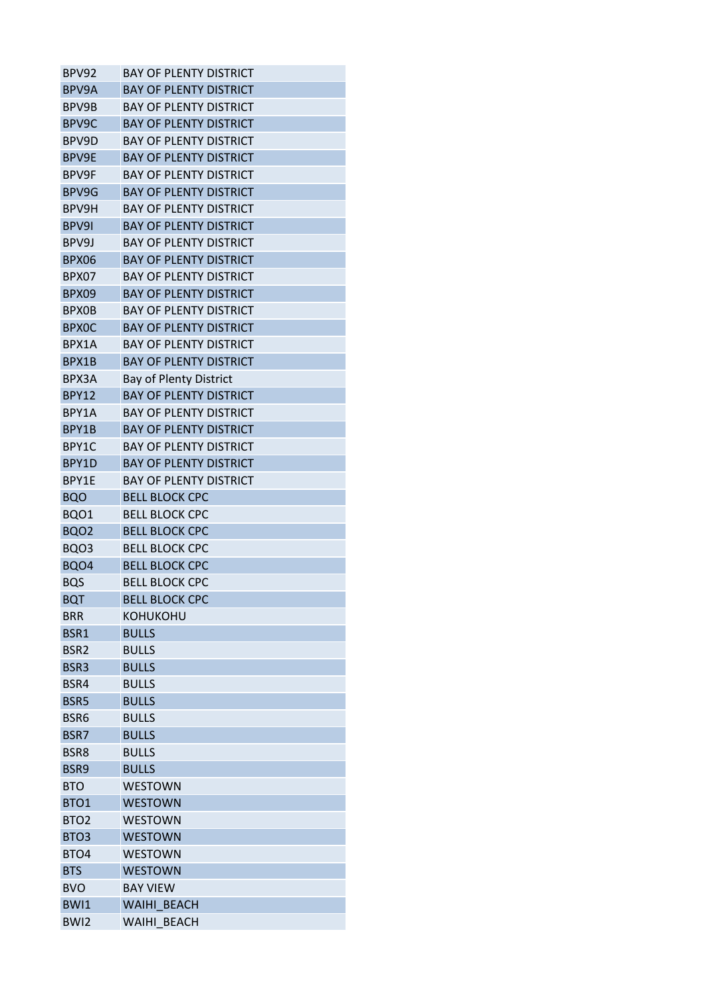| BPV92            | <b>BAY OF PLENTY DISTRICT</b> |
|------------------|-------------------------------|
| BPV9A            | <b>BAY OF PLENTY DISTRICT</b> |
| BPV9B            | <b>BAY OF PLENTY DISTRICT</b> |
| BPV9C            | <b>BAY OF PLENTY DISTRICT</b> |
| BPV9D            | BAY OF PLENTY DISTRICT        |
| BPV9E            | <b>BAY OF PLENTY DISTRICT</b> |
| BPV9F            | <b>BAY OF PLENTY DISTRICT</b> |
| BPV9G            | <b>BAY OF PLENTY DISTRICT</b> |
| BPV9H            | <b>BAY OF PLENTY DISTRICT</b> |
| BPV9I            | <b>BAY OF PLENTY DISTRICT</b> |
| BPV9J            | <b>BAY OF PLENTY DISTRICT</b> |
| BPX06            | <b>BAY OF PLENTY DISTRICT</b> |
| BPX07            | <b>BAY OF PLENTY DISTRICT</b> |
| BPX09            | <b>BAY OF PLENTY DISTRICT</b> |
| <b>BPX0B</b>     | <b>BAY OF PLENTY DISTRICT</b> |
| <b>BPXOC</b>     | <b>BAY OF PLENTY DISTRICT</b> |
| BPX1A            | <b>BAY OF PLENTY DISTRICT</b> |
| BPX1B            | <b>BAY OF PLENTY DISTRICT</b> |
| BPX3A            | <b>Bay of Plenty District</b> |
| <b>BPY12</b>     | <b>BAY OF PLENTY DISTRICT</b> |
| BPY1A            | BAY OF PLENTY DISTRICT        |
| BPY1B            | <b>BAY OF PLENTY DISTRICT</b> |
| BPY1C            | <b>BAY OF PLENTY DISTRICT</b> |
| BPY1D            | <b>BAY OF PLENTY DISTRICT</b> |
| BPY1E            | <b>BAY OF PLENTY DISTRICT</b> |
| <b>BQO</b>       | <b>BELL BLOCK CPC</b>         |
| BQO1             | <b>BELL BLOCK CPC</b>         |
| BQO <sub>2</sub> | <b>BELL BLOCK CPC</b>         |
| BQO3             | <b>BELL BLOCK CPC</b>         |
| BQO4             | <b>BELL BLOCK CPC</b>         |
| <b>BQS</b>       | <b>BELL BLOCK CPC</b>         |
| <b>BQT</b>       | <b>BELL BLOCK CPC</b>         |
| <b>BRR</b>       | КОНИКОНИ                      |
| BSR1             | <b>BULLS</b>                  |
| BSR <sub>2</sub> | <b>BULLS</b>                  |
| BSR3             | <b>BULLS</b>                  |
| BSR4             | <b>BULLS</b>                  |
| BSR5             | <b>BULLS</b>                  |
| BSR6             | <b>BULLS</b>                  |
| BSR7             | <b>BULLS</b>                  |
| BSR8             | <b>BULLS</b>                  |
| BSR9             | <b>BULLS</b>                  |
| <b>BTO</b>       | <b>WESTOWN</b>                |
| BTO1             | <b>WESTOWN</b>                |
| BTO <sub>2</sub> | <b>WESTOWN</b>                |
| BTO <sub>3</sub> | <b>WESTOWN</b>                |
| BTO4             | <b>WESTOWN</b>                |
| <b>BTS</b>       | <b>WESTOWN</b>                |
| <b>BVO</b>       | <b>BAY VIEW</b>               |
| BWI1             | WAIHI BEACH                   |
| BWI2             | WAIHI BEACH                   |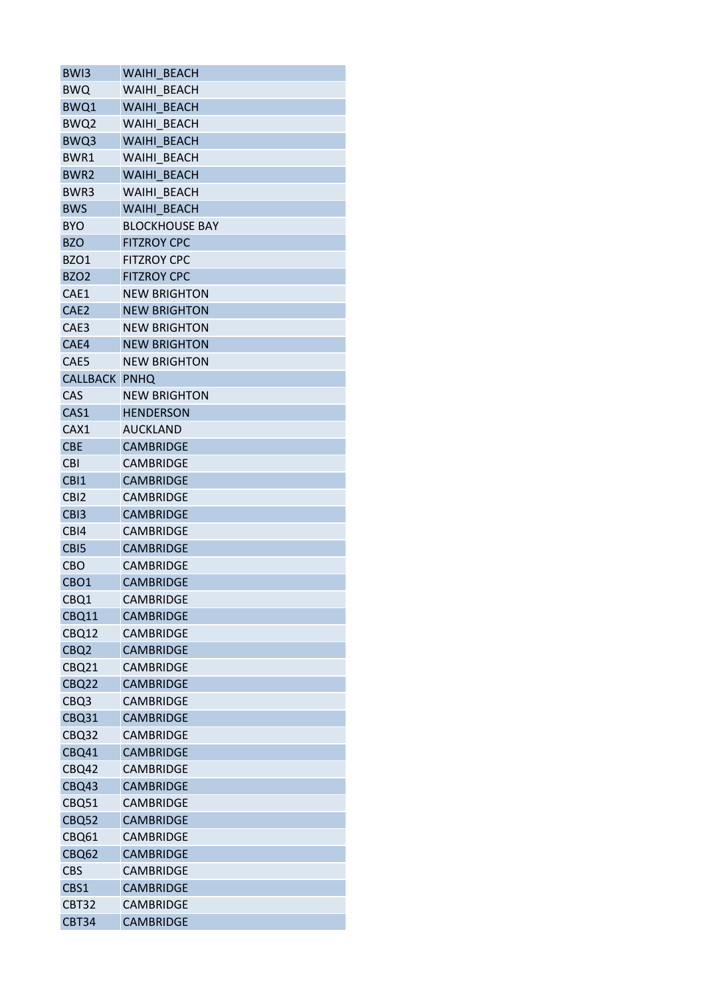| BW <sub>13</sub>     | WAIHI BEACH           |
|----------------------|-----------------------|
| <b>BWQ</b>           | WAIHI BEACH           |
| BWQ1                 | WAIHI BEACH           |
| BWQ2                 | WAIHI BEACH           |
| BWQ3                 | WAIHI BEACH           |
| BWR1                 | WAIHI BEACH           |
| BWR <sub>2</sub>     | WAIHI BEACH           |
| BWR3                 | WAIHI BEACH           |
| <b>BWS</b>           | WAIHI BEACH           |
| <b>BYO</b>           | <b>BLOCKHOUSE BAY</b> |
| <b>BZO</b>           | <b>FITZROY CPC</b>    |
| BZO1                 | <b>FITZROY CPC</b>    |
| <b>BZO2</b>          | <b>FITZROY CPC</b>    |
| CAE1                 | <b>NEW BRIGHTON</b>   |
| CAE <sub>2</sub>     | <b>NEW BRIGHTON</b>   |
| CAE3                 | <b>NEW BRIGHTON</b>   |
| CAE4                 | <b>NEW BRIGHTON</b>   |
| CAE5                 | <b>NEW BRIGHTON</b>   |
| <b>CALLBACK PNHQ</b> |                       |
| CAS                  | <b>NEW BRIGHTON</b>   |
|                      |                       |
| CAS1                 | <b>HENDERSON</b>      |
| CAX1                 | <b>AUCKLAND</b>       |
| <b>CBE</b>           | <b>CAMBRIDGE</b>      |
| <b>CBI</b>           | <b>CAMBRIDGE</b>      |
| CB <sub>1</sub>      | <b>CAMBRIDGE</b>      |
| CB <sub>12</sub>     | <b>CAMBRIDGE</b>      |
| CB <sub>13</sub>     | <b>CAMBRIDGE</b>      |
| CB <sub>14</sub>     | <b>CAMBRIDGE</b>      |
| CB <sub>I5</sub>     | <b>CAMBRIDGE</b>      |
| <b>CBO</b>           | <b>CAMBRIDGE</b>      |
| CBO <sub>1</sub>     | <b>CAMBRIDGE</b>      |
| CBQ1                 | <b>CAMBRIDGE</b>      |
| CBQ11                | <b>CAMBRIDGE</b>      |
| CBQ12                | <b>CAMBRIDGE</b>      |
| CBQ <sub>2</sub>     | <b>CAMBRIDGE</b>      |
| <b>CBQ21</b>         | <b>CAMBRIDGE</b>      |
| CBQ22                | <b>CAMBRIDGE</b>      |
| CBQ3                 | <b>CAMBRIDGE</b>      |
| CBQ31                | <b>CAMBRIDGE</b>      |
| CBQ32                | <b>CAMBRIDGE</b>      |
| CBQ41                | <b>CAMBRIDGE</b>      |
| <b>CBQ42</b>         | <b>CAMBRIDGE</b>      |
| CBQ43                | <b>CAMBRIDGE</b>      |
| CBQ51                | <b>CAMBRIDGE</b>      |
| CBQ52                | <b>CAMBRIDGE</b>      |
| CBQ61                | <b>CAMBRIDGE</b>      |
| CBQ62                | <b>CAMBRIDGE</b>      |
| <b>CBS</b>           | <b>CAMBRIDGE</b>      |
| CBS1                 | <b>CAMBRIDGE</b>      |
| CBT32                | <b>CAMBRIDGE</b>      |
| <b>CBT34</b>         | <b>CAMBRIDGE</b>      |
|                      |                       |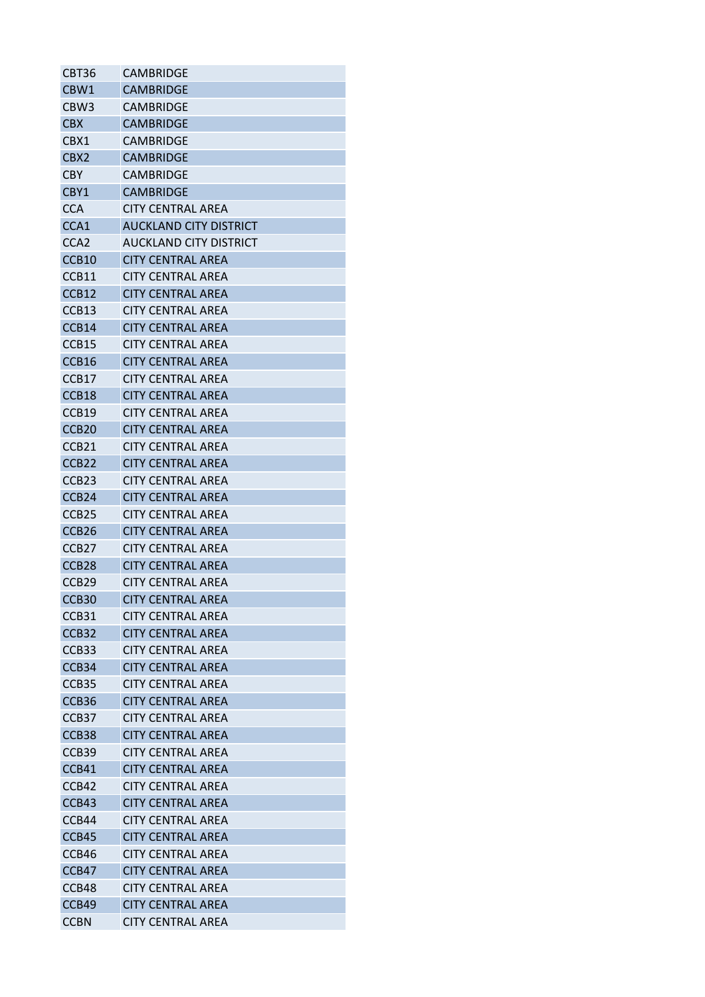| CBT36             | CAMBRIDGE                     |
|-------------------|-------------------------------|
| CBW1              | <b>CAMBRIDGE</b>              |
| CBW <sub>3</sub>  | <b>CAMBRIDGE</b>              |
| <b>CBX</b>        | <b>CAMBRIDGE</b>              |
| CBX1              | CAMBRIDGF                     |
| CBX2              | <b>CAMBRIDGE</b>              |
| <b>CBY</b>        | CAMBRIDGE                     |
| CBY1              | <b>CAMBRIDGE</b>              |
| <b>CCA</b>        | CITY CENTRAL AREA             |
| CCA1              | <b>AUCKLAND CITY DISTRICT</b> |
| CCA <sub>2</sub>  | AUCKLAND CITY DISTRICT        |
| CCB <sub>10</sub> | <b>CITY CENTRAL AREA</b>      |
| CCB11             | <b>CITY CENTRAL AREA</b>      |
| CCB12             | <b>CITY CENTRAL AREA</b>      |
| CCB <sub>13</sub> | CITY CENTRAL AREA             |
| CCB14             | <b>CITY CENTRAL AREA</b>      |
| CCB <sub>15</sub> | <b>CITY CENTRAL AREA</b>      |
| CCB <sub>16</sub> | <b>CITY CENTRAL AREA</b>      |
| CCB17             | <b>CITY CENTRAL AREA</b>      |
| CCB18             | <b>CITY CENTRAL AREA</b>      |
| CCB19             | CITY CENTRAL AREA             |
| CCB <sub>20</sub> | <b>CITY CENTRAL AREA</b>      |
| CCB <sub>21</sub> | <b>CITY CENTRAL AREA</b>      |
| CCB <sub>22</sub> | <b>CITY CENTRAL AREA</b>      |
| CCB <sub>23</sub> | <b>CITY CENTRAL AREA</b>      |
| CCB <sub>24</sub> | <b>CITY CENTRAL AREA</b>      |
| CCB <sub>25</sub> | <b>CITY CENTRAL AREA</b>      |
| CCB <sub>26</sub> | CITY CENTRAL AREA             |
| CCB <sub>27</sub> | <b>CITY CENTRAL AREA</b>      |
| CCB <sub>28</sub> | <b>CITY CENTRAL AREA</b>      |
| CCB <sub>29</sub> | <b>CITY CENTRAL AREA</b>      |
| CCB <sub>30</sub> | <b>CITY CENTRAL AREA</b>      |
| CCB31             | <b>CITY CENTRAL AREA</b>      |
| CCB32             | <b>CITY CENTRAL AREA</b>      |
| CCB <sub>33</sub> | <b>CITY CENTRAL AREA</b>      |
| CCB <sub>34</sub> | <b>CITY CENTRAL AREA</b>      |
| CCB <sub>35</sub> | <b>CITY CENTRAL AREA</b>      |
| CCB <sub>36</sub> | <b>CITY CENTRAL AREA</b>      |
| CCB37             | <b>CITY CENTRAL AREA</b>      |
| CCB38             | <b>CITY CENTRAL AREA</b>      |
|                   | <b>CITY CENTRAL AREA</b>      |
| CCB39             |                               |
| CCB41             | <b>CITY CENTRAL AREA</b>      |
| CCB42             | <b>CITY CENTRAL AREA</b>      |
| CCB43             | <b>CITY CENTRAL AREA</b>      |
| CCB44             | <b>CITY CENTRAL AREA</b>      |
| CCB45             | <b>CITY CENTRAL AREA</b>      |
| CCB46             | <b>CITY CENTRAL AREA</b>      |
| CCB47             | <b>CITY CENTRAL AREA</b>      |
| CCB48             | <b>CITY CENTRAL AREA</b>      |
| CCB49             | <b>CITY CENTRAL AREA</b>      |
| <b>CCBN</b>       | <b>CITY CENTRAL AREA</b>      |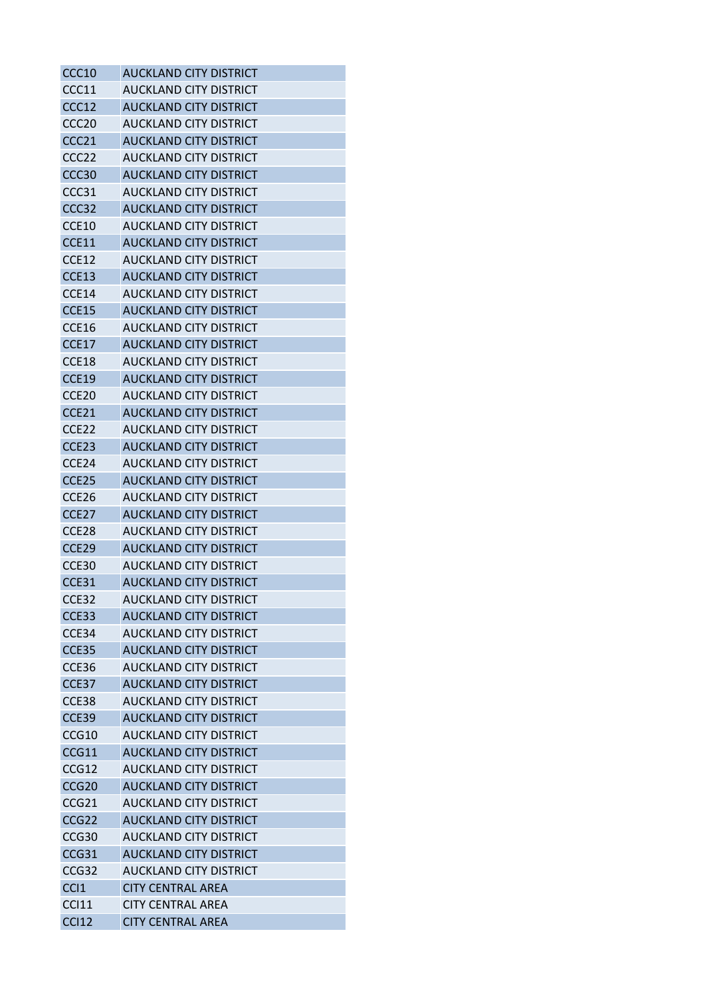| CCC10             | <b>AUCKLAND CITY DISTRICT</b> |
|-------------------|-------------------------------|
| CCC11             | AUCKLAND CITY DISTRICT        |
| CCC12             | <b>AUCKLAND CITY DISTRICT</b> |
| CCC <sub>20</sub> | AUCKLAND CITY DISTRICT        |
| CCC <sub>21</sub> | <b>AUCKLAND CITY DISTRICT</b> |
| CCC <sub>22</sub> | AUCKLAND CITY DISTRICT        |
| CCC <sub>30</sub> | <b>AUCKLAND CITY DISTRICT</b> |
| CCC31             | <b>AUCKLAND CITY DISTRICT</b> |
| CCC <sub>32</sub> | <b>AUCKLAND CITY DISTRICT</b> |
| CCE10             | AUCKLAND CITY DISTRICT        |
| CCE11             | <b>AUCKLAND CITY DISTRICT</b> |
| CCE12             | AUCKLAND CITY DISTRICT        |
| CCE13             | <b>AUCKLAND CITY DISTRICT</b> |
| CCE14             | AUCKLAND CITY DISTRICT        |
| CCE15             | <b>AUCKLAND CITY DISTRICT</b> |
| CCE16             | AUCKLAND CITY DISTRICT        |
| <b>CCE17</b>      | <b>AUCKLAND CITY DISTRICT</b> |
| CCE18             | AUCKLAND CITY DISTRICT        |
| <b>CCE19</b>      | <b>AUCKLAND CITY DISTRICT</b> |
| CCE <sub>20</sub> | <b>AUCKLAND CITY DISTRICT</b> |
| CCE21             | <b>AUCKLAND CITY DISTRICT</b> |
| CCE22             | AUCKLAND CITY DISTRICT        |
| CCE23             | <b>AUCKLAND CITY DISTRICT</b> |
| CCE <sub>24</sub> | AUCKLAND CITY DISTRICT        |
| CCE <sub>25</sub> | <b>AUCKLAND CITY DISTRICT</b> |
| CCE <sub>26</sub> | AUCKLAND CITY DISTRICT        |
| CCE <sub>27</sub> | <b>AUCKLAND CITY DISTRICT</b> |
| CCE <sub>28</sub> | <b>AUCKLAND CITY DISTRICT</b> |
| CCE <sub>29</sub> | <b>AUCKLAND CITY DISTRICT</b> |
| CCE30             | AUCKLAND CITY DISTRICT        |
| CCE31             | <b>AUCKLAND CITY DISTRICT</b> |
| CCE32             | <b>AUCKLAND CITY DISTRICT</b> |
| CCE33             | <b>AUCKLAND CITY DISTRICT</b> |
| CCE34             | <b>AUCKLAND CITY DISTRICT</b> |
| CCE35             | <b>AUCKLAND CITY DISTRICT</b> |
| CCE36             | <b>AUCKLAND CITY DISTRICT</b> |
| CCE37             | <b>AUCKLAND CITY DISTRICT</b> |
| CCE38             | AUCKLAND CITY DISTRICT        |
| CCE39             | <b>AUCKLAND CITY DISTRICT</b> |
| CCG10             | <b>AUCKLAND CITY DISTRICT</b> |
| CCG11             | <b>AUCKLAND CITY DISTRICT</b> |
| CCG12             | AUCKLAND CITY DISTRICT        |
| CCG <sub>20</sub> | <b>AUCKLAND CITY DISTRICT</b> |
| CCG <sub>21</sub> | AUCKLAND CITY DISTRICT        |
| CCG <sub>22</sub> | <b>AUCKLAND CITY DISTRICT</b> |
| CCG <sub>30</sub> | AUCKLAND CITY DISTRICT        |
| CCG31             | <b>AUCKLAND CITY DISTRICT</b> |
| CCG <sub>32</sub> | <b>AUCKLAND CITY DISTRICT</b> |
| CCI1              | <b>CITY CENTRAL AREA</b>      |
| <b>CCI11</b>      | <b>CITY CENTRAL AREA</b>      |
| <b>CCI12</b>      | <b>CITY CENTRAL AREA</b>      |
|                   |                               |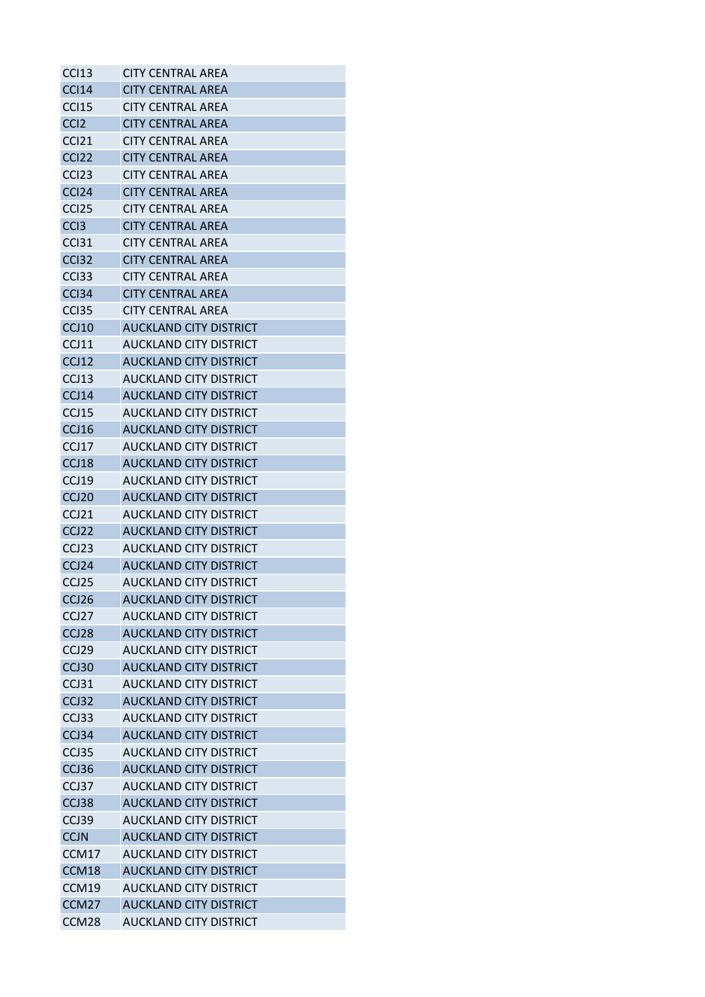| <b>CCI13</b>      | <b>CITY CENTRAL AREA</b>      |
|-------------------|-------------------------------|
| <b>CCI14</b>      | <b>CITY CENTRAL AREA</b>      |
| <b>CCI15</b>      | CITY CENTRAL AREA             |
| CC <sub>12</sub>  | <b>CITY CENTRAL AREA</b>      |
| CCI <sub>21</sub> | CITY CFNTRAL ARFA             |
| CCI <sub>22</sub> | <b>CITY CENTRAL AREA</b>      |
| CC <sub>123</sub> | CITY CENTRAL AREA             |
| CCI <sub>24</sub> | CITY CENTRAL AREA             |
| CC <sub>125</sub> | <b>CITY CENTRAL AREA</b>      |
| CC <sub>13</sub>  | <b>CITY CENTRAL AREA</b>      |
| CC <sub>131</sub> | <b>CITY CENTRAL AREA</b>      |
| CCI <sub>32</sub> | CITY CENTRAL AREA             |
| CC <sub>133</sub> | <b>CITY CENTRAL AREA</b>      |
| CC <sub>134</sub> | <b>CITY CENTRAL AREA</b>      |
| CC <sub>135</sub> | <b>CITY CENTRAL AREA</b>      |
| CCJ10             | <b>AUCKLAND CITY DISTRICT</b> |
| CCJ11             | AUCKLAND CITY DISTRICT        |
| CCJ12             | <b>AUCKLAND CITY DISTRICT</b> |
| CCJ13             | AUCKLAND CITY DISTRICT        |
| CCJ14             | <b>AUCKLAND CITY DISTRICT</b> |
| CCJ15             | AUCKLAND CITY DISTRICT        |
| CCJ16             | <b>AUCKLAND CITY DISTRICT</b> |
| CCJ17             | AUCKLAND CITY DISTRICT        |
| CCJ18             | <b>AUCKLAND CITY DISTRICT</b> |
| CCJ19             | AUCKLAND CITY DISTRICT        |
| CCJ <sub>20</sub> | <b>AUCKLAND CITY DISTRICT</b> |
| CCJ21             | AUCKLAND CITY DISTRICT        |
| CCJ22             | <b>AUCKLAND CITY DISTRICT</b> |
| CCJ <sub>23</sub> | AUCKLAND CITY DISTRICT        |
| CCJ24             | <b>AUCKLAND CITY DISTRICT</b> |
| CCJ25             | <b>AUCKLAND CITY DISTRICT</b> |
| CCJ26             | <b>AUCKLAND CITY DISTRICT</b> |
| CCJ27             | AUCKLAND CITY DISTRICT        |
| CCJ28             | <b>AUCKLAND CITY DISTRICT</b> |
| CCJ <sub>29</sub> | <b>AUCKLAND CITY DISTRICT</b> |
| CCJ30             | <b>AUCKLAND CITY DISTRICT</b> |
| CCJ31             | AUCKLAND CITY DISTRICT        |
| CCJ32             | <b>AUCKLAND CITY DISTRICT</b> |
| CCJ33             | <b>AUCKLAND CITY DISTRICT</b> |
| CCJ34             | <b>AUCKLAND CITY DISTRICT</b> |
| CCJ35             | <b>AUCKLAND CITY DISTRICT</b> |
| CCJ36             | <b>AUCKLAND CITY DISTRICT</b> |
| CCJ37             | <b>AUCKLAND CITY DISTRICT</b> |
| CCJ38             | <b>AUCKLAND CITY DISTRICT</b> |
| CCJ39             | <b>AUCKLAND CITY DISTRICT</b> |
| <b>CCJN</b>       | <b>AUCKLAND CITY DISTRICT</b> |
| CCM17             | <b>AUCKLAND CITY DISTRICT</b> |
| CCM18             | <b>AUCKLAND CITY DISTRICT</b> |
| CCM19             | AUCKLAND CITY DISTRICT        |
| CCM <sub>27</sub> | <b>AUCKLAND CITY DISTRICT</b> |
| CCM28             | <b>AUCKLAND CITY DISTRICT</b> |
|                   |                               |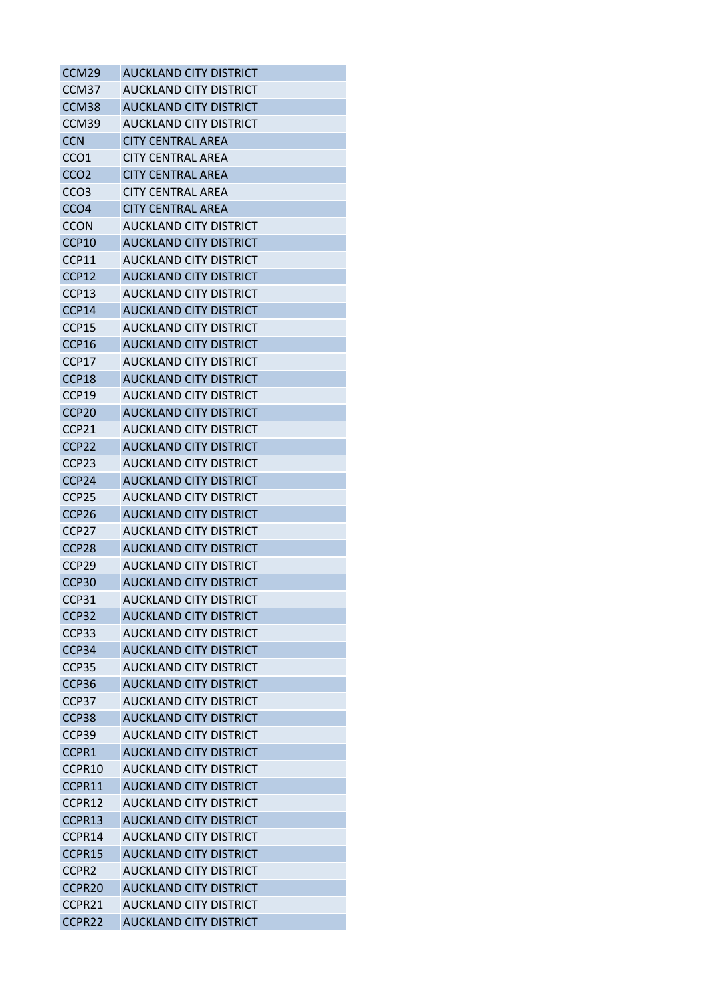| CCM29             | <b>AUCKLAND CITY DISTRICT</b> |
|-------------------|-------------------------------|
| CCM <sub>37</sub> | <b>AUCKLAND CITY DISTRICT</b> |
| CCM <sub>38</sub> | <b>AUCKLAND CITY DISTRICT</b> |
| CCM39             | AUCKLAND CITY DISTRICT        |
| <b>CCN</b>        | <b>CITY CENTRAL AREA</b>      |
| CCO <sub>1</sub>  | <b>CITY CENTRAL AREA</b>      |
| CCO <sub>2</sub>  | <b>CITY CENTRAL AREA</b>      |
| CCO <sub>3</sub>  | <b>CITY CENTRAL AREA</b>      |
| CCO <sub>4</sub>  | <b>CITY CENTRAL AREA</b>      |
| <b>CCON</b>       | <b>AUCKLAND CITY DISTRICT</b> |
| CCP10             | <b>AUCKLAND CITY DISTRICT</b> |
| CCP11             | AUCKLAND CITY DISTRICT        |
| CCP12             | <b>AUCKLAND CITY DISTRICT</b> |
| CCP13             | AUCKLAND CITY DISTRICT        |
| CCP14             | <b>AUCKLAND CITY DISTRICT</b> |
| CCP15             | AUCKLAND CITY DISTRICT        |
| CCP16             | <b>AUCKLAND CITY DISTRICT</b> |
| CCP17             | AUCKLAND CITY DISTRICT        |
| CCP18             | <b>AUCKLAND CITY DISTRICT</b> |
| CCP19             | <b>AUCKLAND CITY DISTRICT</b> |
| CCP <sub>20</sub> | <b>AUCKLAND CITY DISTRICT</b> |
| CCP21             | AUCKLAND CITY DISTRICT        |
| CCP <sub>22</sub> | <b>AUCKLAND CITY DISTRICT</b> |
| CCP <sub>23</sub> | AUCKLAND CITY DISTRICT        |
| CCP24             | <b>AUCKLAND CITY DISTRICT</b> |
| CCP <sub>25</sub> | AUCKLAND CITY DISTRICT        |
| CCP <sub>26</sub> | <b>AUCKLAND CITY DISTRICT</b> |
| CCP <sub>27</sub> | AUCKLAND CITY DISTRICT        |
| CCP <sub>28</sub> | <b>AUCKLAND CITY DISTRICT</b> |
| CCP <sub>29</sub> | AUCKLAND CITY DISTRICT        |
| CCP <sub>30</sub> | <b>AUCKLAND CITY DISTRICT</b> |
| CCP31             | <b>AUCKLAND CITY DISTRICT</b> |
| CCP <sub>32</sub> | <b>AUCKLAND CITY DISTRICT</b> |
| CCP33             | <b>AUCKLAND CITY DISTRICT</b> |
| CCP34             | <b>AUCKLAND CITY DISTRICT</b> |
| CCP35             | <b>AUCKLAND CITY DISTRICT</b> |
| CCP <sub>36</sub> | <b>AUCKLAND CITY DISTRICT</b> |
| CCP <sub>37</sub> | AUCKLAND CITY DISTRICT        |
| CCP38             | <b>AUCKLAND CITY DISTRICT</b> |
| CCP39             | <b>AUCKLAND CITY DISTRICT</b> |
| CCPR1             | <b>AUCKLAND CITY DISTRICT</b> |
| CCPR10            | <b>AUCKLAND CITY DISTRICT</b> |
| CCPR11            | <b>AUCKLAND CITY DISTRICT</b> |
| CCPR12            | AUCKLAND CITY DISTRICT        |
| CCPR13            | <b>AUCKLAND CITY DISTRICT</b> |
| CCPR14            | AUCKLAND CITY DISTRICT        |
| CCPR15            | <b>AUCKLAND CITY DISTRICT</b> |
| CCPR <sub>2</sub> | <b>AUCKLAND CITY DISTRICT</b> |
| CCPR20            | <b>AUCKLAND CITY DISTRICT</b> |
| CCPR21            | <b>AUCKLAND CITY DISTRICT</b> |
| CCPR22            | <b>AUCKLAND CITY DISTRICT</b> |
|                   |                               |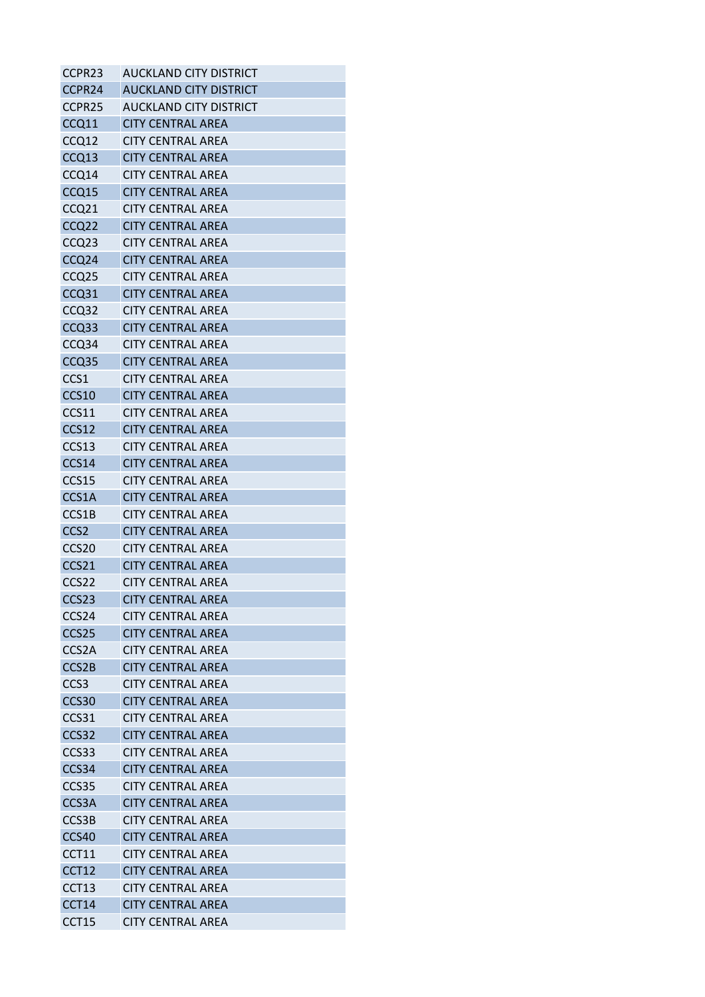| CCPR23             | <b>AUCKLAND CITY DISTRICT</b> |
|--------------------|-------------------------------|
| CCPR24             | <b>AUCKLAND CITY DISTRICT</b> |
| CCPR25             | AUCKLAND CITY DISTRICT        |
| CCQ11              | <b>CITY CENTRAL AREA</b>      |
| CCQ12              | <b>CITY CENTRAL AREA</b>      |
| CCQ13              | <b>CITY CENTRAL AREA</b>      |
| CCQ14              | <b>CITY CENTRAL AREA</b>      |
| CCQ15              | <b>CITY CENTRAL AREA</b>      |
| CCQ21              | <b>CITY CENTRAL AREA</b>      |
| CCQ22              | <b>CITY CENTRAL AREA</b>      |
| CCQ <sub>23</sub>  | <b>CITY CENTRAL AREA</b>      |
| CCQ24              | <b>CITY CENTRAL AREA</b>      |
| CCQ <sub>25</sub>  | <b>CITY CENTRAL AREA</b>      |
| CCQ31              | <b>CITY CENTRAL AREA</b>      |
| CCQ32              | <b>CITY CENTRAL AREA</b>      |
| CCQ33              | <b>CITY CENTRAL AREA</b>      |
| CCQ34              | <b>CITY CENTRAL AREA</b>      |
| CCQ <sub>35</sub>  | <b>CITY CENTRAL AREA</b>      |
| CCS1               | <b>CITY CENTRAL AREA</b>      |
| <b>CCS10</b>       | <b>CITY CENTRAL AREA</b>      |
| CCS11              | <b>CITY CENTRAL AREA</b>      |
| CCS12              | <b>CITY CENTRAL AREA</b>      |
| CCS13              | <b>CITY CENTRAL AREA</b>      |
| CCS14              | <b>CITY CENTRAL AREA</b>      |
| CCS15              | <b>CITY CENTRAL AREA</b>      |
| CCS1A              | <b>CITY CENTRAL AREA</b>      |
| CCS1B              | <b>CITY CENTRAL AREA</b>      |
| CCS <sub>2</sub>   | <b>CITY CENTRAL AREA</b>      |
| CCS <sub>20</sub>  | <b>CITY CENTRAL AREA</b>      |
| CCS21              | <b>CITY CENTRAL AREA</b>      |
| CCS22              | <b>CITY CENTRAL AREA</b>      |
| CCS23              | <b>CITY CENTRAL AREA</b>      |
| CCS <sub>24</sub>  | <b>CITY CENTRAL AREA</b>      |
| CCS25              | <b>CITY CENTRAL AREA</b>      |
| CCS <sub>2</sub> A | <b>CITY CENTRAL AREA</b>      |
| CCS2B              | <b>CITY CENTRAL AREA</b>      |
| CCS <sub>3</sub>   | <b>CITY CENTRAL AREA</b>      |
| CCS30              | <b>CITY CENTRAL AREA</b>      |
| CCS31              | <b>CITY CENTRAL AREA</b>      |
| CCS32              | <b>CITY CENTRAL AREA</b>      |
| CCS33              | <b>CITY CENTRAL AREA</b>      |
| CCS34              | <b>CITY CENTRAL AREA</b>      |
| CCS35              | <b>CITY CENTRAL AREA</b>      |
| CCS3A              | <b>CITY CENTRAL AREA</b>      |
| CCS3B              | <b>CITY CENTRAL AREA</b>      |
| CCS40              | <b>CITY CENTRAL AREA</b>      |
| CCT11              | <b>CITY CENTRAL AREA</b>      |
| CCT12              | <b>CITY CENTRAL AREA</b>      |
| CCT13              | <b>CITY CENTRAL AREA</b>      |
| CCT14              | <b>CITY CENTRAL AREA</b>      |
| CCT15              | <b>CITY CENTRAL AREA</b>      |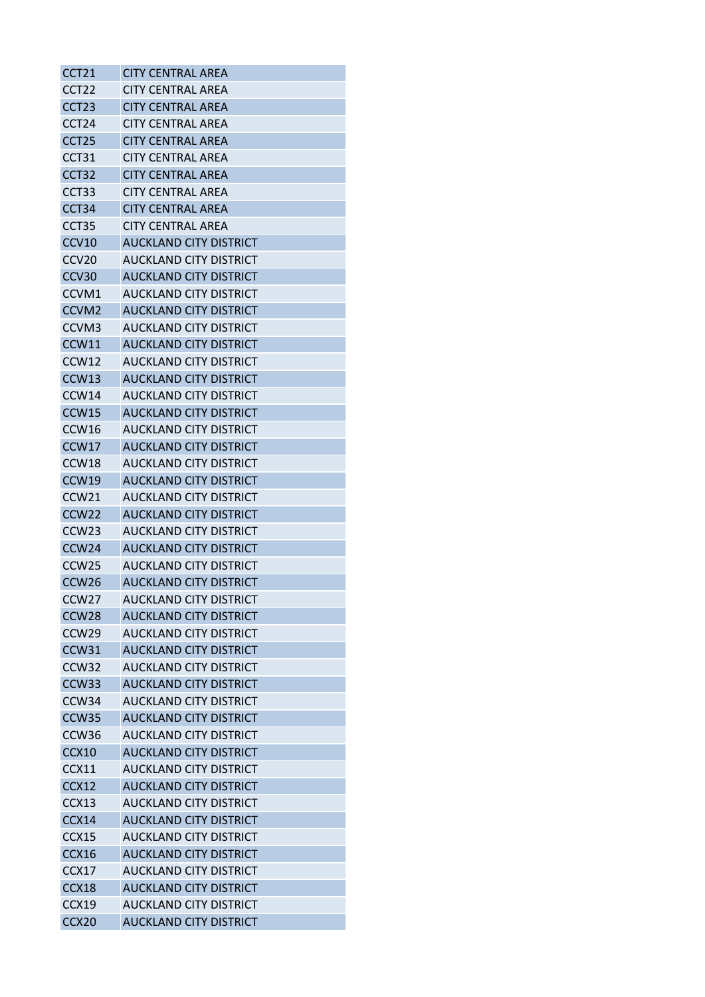| CCT21             | <b>CITY CENTRAL AREA</b>      |
|-------------------|-------------------------------|
| CCT <sub>22</sub> | CITY CENTRAL AREA             |
| CCT <sub>23</sub> | <b>CITY CENTRAL AREA</b>      |
| CCT <sub>24</sub> | CITY CENTRAL AREA             |
| CCT <sub>25</sub> | <b>CITY CENTRAL AREA</b>      |
| CCT31             | <b>CITY CENTRAL AREA</b>      |
| CCT <sub>32</sub> | <b>CITY CENTRAL AREA</b>      |
| CCT <sub>33</sub> | <b>CITY CENTRAL AREA</b>      |
| CCT34             | <b>CITY CENTRAL AREA</b>      |
| CCT <sub>35</sub> | <b>CITY CENTRAL AREA</b>      |
| CCV10             | <b>AUCKLAND CITY DISTRICT</b> |
| CCV <sub>20</sub> | AUCKLAND CITY DISTRICT        |
| CCV <sub>30</sub> | <b>AUCKLAND CITY DISTRICT</b> |
| CCVM1             | AUCKLAND CITY DISTRICT        |
| CCVM <sub>2</sub> | <b>AUCKLAND CITY DISTRICT</b> |
| CCVM3             | AUCKLAND CITY DISTRICT        |
| CCW11             | <b>AUCKLAND CITY DISTRICT</b> |
| CCW12             | <b>AUCKLAND CITY DISTRICT</b> |
| CCW13             | <b>AUCKLAND CITY DISTRICT</b> |
| CCW14             | AUCKLAND CITY DISTRICT        |
| CCW15             | <b>AUCKLAND CITY DISTRICT</b> |
| CCW <sub>16</sub> | AUCKLAND CITY DISTRICT        |
| CCW17             | <b>AUCKLAND CITY DISTRICT</b> |
| CCW18             | AUCKLAND CITY DISTRICT        |
| CCW19             | <b>AUCKLAND CITY DISTRICT</b> |
| CCW <sub>21</sub> | AUCKLAND CITY DISTRICT        |
| CCW <sub>22</sub> | <b>AUCKLAND CITY DISTRICT</b> |
| CCW <sub>23</sub> | AUCKLAND CITY DISTRICT        |
| CCW <sub>24</sub> | <b>AUCKLAND CITY DISTRICT</b> |
| CCW <sub>25</sub> | AUCKLAND CITY DISTRICT        |
| CCW <sub>26</sub> | <b>AUCKLAND CITY DISTRICT</b> |
| CCW <sub>27</sub> | <b>AUCKLAND CITY DISTRICT</b> |
| CCW <sub>28</sub> | <b>AUCKLAND CITY DISTRICT</b> |
| CCW <sub>29</sub> | <b>AUCKLAND CITY DISTRICT</b> |
| CCW31             | <b>AUCKLAND CITY DISTRICT</b> |
| CCW32             | <b>AUCKLAND CITY DISTRICT</b> |
| CCW <sub>33</sub> | <b>AUCKLAND CITY DISTRICT</b> |
| CCW <sub>34</sub> | AUCKLAND CITY DISTRICT        |
| CCW35             | <b>AUCKLAND CITY DISTRICT</b> |
| CCW <sub>36</sub> | <b>AUCKLAND CITY DISTRICT</b> |
| CCX10             | <b>AUCKLAND CITY DISTRICT</b> |
| CCX11             | <b>AUCKLAND CITY DISTRICT</b> |
| CCX12             | <b>AUCKLAND CITY DISTRICT</b> |
| CCX13             | AUCKLAND CITY DISTRICT        |
| CCX14             | <b>AUCKLAND CITY DISTRICT</b> |
| CCX15             | AUCKLAND CITY DISTRICT        |
| CCX16             | <b>AUCKLAND CITY DISTRICT</b> |
| CCX17             | <b>AUCKLAND CITY DISTRICT</b> |
| CCX18             | <b>AUCKLAND CITY DISTRICT</b> |
| CCX19             | <b>AUCKLAND CITY DISTRICT</b> |
| CCX <sub>20</sub> | <b>AUCKLAND CITY DISTRICT</b> |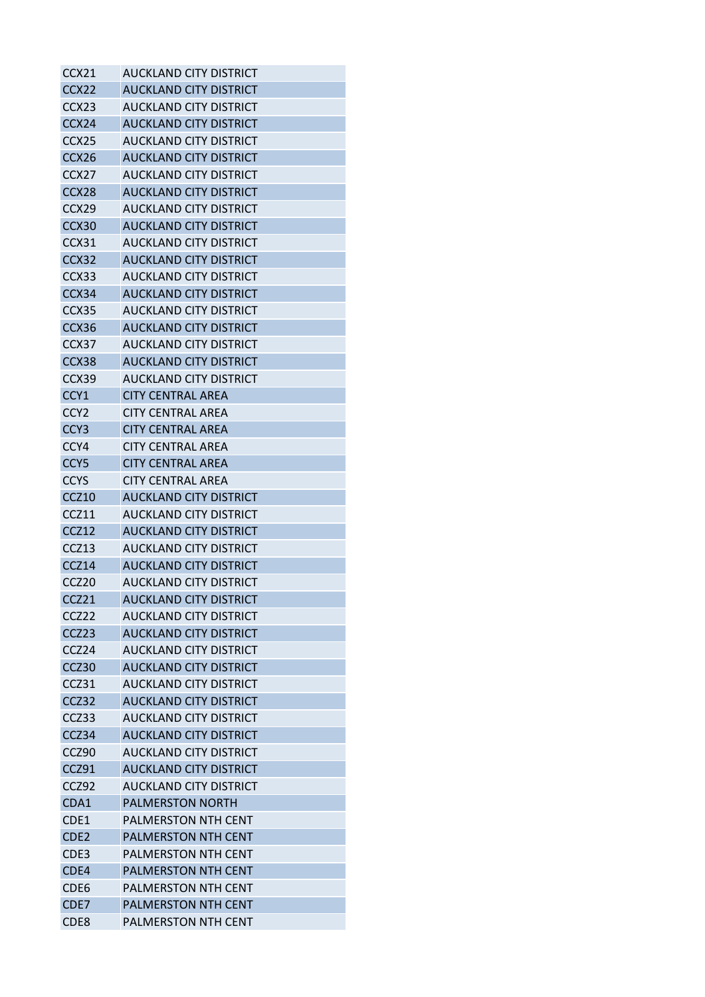| CCX21             | AUCKLAND CITY DISTRICT        |
|-------------------|-------------------------------|
| CCX <sub>22</sub> | <b>AUCKLAND CITY DISTRICT</b> |
| CCX <sub>23</sub> | <b>AUCKLAND CITY DISTRICT</b> |
| CCX24             | <b>AUCKLAND CITY DISTRICT</b> |
| CCX <sub>25</sub> | AUCKLAND CITY DISTRICT        |
| CCX26             | <b>AUCKLAND CITY DISTRICT</b> |
| CCX27             | AUCKLAND CITY DISTRICT        |
| CCX28             | <b>AUCKLAND CITY DISTRICT</b> |
| CCX <sub>29</sub> | AUCKLAND CITY DISTRICT        |
| CCX30             | <b>AUCKLAND CITY DISTRICT</b> |
| CCX31             | AUCKLAND CITY DISTRICT        |
| CCX32             | AUCKLAND CITY DISTRICT        |
| CCX33             | AUCKLAND CITY DISTRICT        |
| CCX34             | <b>AUCKLAND CITY DISTRICT</b> |
| CCX35             | <b>AUCKLAND CITY DISTRICT</b> |
| CCX36             | <b>AUCKLAND CITY DISTRICT</b> |
| CCX37             | <b>AUCKLAND CITY DISTRICT</b> |
| CCX38             | <b>AUCKLAND CITY DISTRICT</b> |
| CCX39             | <b>AUCKLAND CITY DISTRICT</b> |
| CCY <sub>1</sub>  | <b>CITY CENTRAL AREA</b>      |
| CCY <sub>2</sub>  | CITY CENTRAL AREA             |
|                   |                               |
| CCY <sub>3</sub>  | <b>CITY CENTRAL AREA</b>      |
| CCY4              | CITY CENTRAL AREA             |
| CCY <sub>5</sub>  | <b>CITY CENTRAL AREA</b>      |
| <b>CCYS</b>       | <b>CITY CENTRAL AREA</b>      |
| <b>CCZ10</b>      | <b>AUCKLAND CITY DISTRICT</b> |
| CCZ11             | <b>AUCKLAND CITY DISTRICT</b> |
| CCZ <sub>12</sub> | <b>AUCKLAND CITY DISTRICT</b> |
| CCZ13             | AUCKLAND CITY DISTRICT        |
| CCZ14             | <b>AUCKLAND CITY DISTRICT</b> |
| CCZ <sub>20</sub> | <b>AUCKLAND CITY DISTRICT</b> |
| CCZ21             | <b>AUCKLAND CITY DISTRICT</b> |
| CCZ22             | <b>AUCKLAND CITY DISTRICT</b> |
| CCZ23             | <b>AUCKLAND CITY DISTRICT</b> |
| CCZ <sub>24</sub> | AUCKLAND CITY DISTRICT        |
| CCZ30             | <b>AUCKLAND CITY DISTRICT</b> |
| CCZ31             | AUCKLAND CITY DISTRICT        |
| CCZ32             | <b>AUCKLAND CITY DISTRICT</b> |
| CCZ33             | <b>AUCKLAND CITY DISTRICT</b> |
| CCZ34             | <b>AUCKLAND CITY DISTRICT</b> |
| CCZ90             | <b>AUCKLAND CITY DISTRICT</b> |
| CCZ91             | <b>AUCKLAND CITY DISTRICT</b> |
| CCZ92             | <b>AUCKLAND CITY DISTRICT</b> |
| CDA1              | <b>PALMERSTON NORTH</b>       |
| CDE1              | <b>PALMERSTON NTH CENT</b>    |
| CDE <sub>2</sub>  | <b>PALMERSTON NTH CENT</b>    |
| CDE3              | PALMERSTON NTH CENT           |
| CDE4              | <b>PALMERSTON NTH CENT</b>    |
| CDE <sub>6</sub>  | PALMERSTON NTH CENT           |
| CDE7              | <b>PALMERSTON NTH CENT</b>    |
| CDE8              | <b>PALMERSTON NTH CENT</b>    |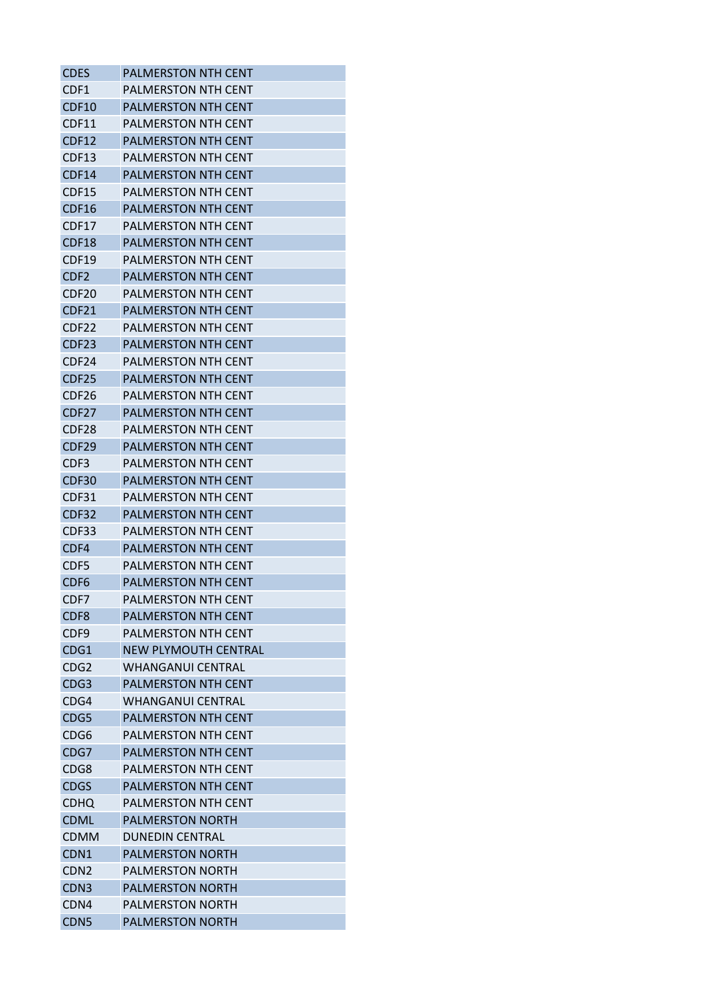| <b>CDES</b>       | <b>PALMERSTON NTH CENT</b>  |
|-------------------|-----------------------------|
| CDF1              | <b>PALMERSTON NTH CENT</b>  |
| CDF10             | <b>PALMERSTON NTH CENT</b>  |
| CDF11             | PALMERSTON NTH CENT         |
| CDF12             | <b>PALMERSTON NTH CENT</b>  |
| CDF13             | <b>PALMERSTON NTH CENT</b>  |
| CDF14             | <b>PALMERSTON NTH CENT</b>  |
| CDF15             | <b>PALMERSTON NTH CENT</b>  |
| CDF16             | <b>PALMERSTON NTH CENT</b>  |
| CDF17             | <b>PALMERSTON NTH CENT</b>  |
| CDF18             | <b>PALMERSTON NTH CENT</b>  |
| CDF19             | PALMERSTON NTH CENT         |
| CDF <sub>2</sub>  | <b>PALMERSTON NTH CENT</b>  |
| CDF20             | PALMERSTON NTH CENT         |
| <b>CDF21</b>      | <b>PALMERSTON NTH CENT</b>  |
| CDF <sub>22</sub> | <b>PALMERSTON NTH CENT</b>  |
| CDF23             | <b>PALMERSTON NTH CENT</b>  |
| CDF24             | <b>PALMERSTON NTH CENT</b>  |
| CDF25             | <b>PALMERSTON NTH CENT</b>  |
| CDF26             | <b>PALMERSTON NTH CENT</b>  |
| CDF <sub>27</sub> | <b>PALMERSTON NTH CENT</b>  |
| CDF28             | <b>PALMERSTON NTH CENT</b>  |
| CDF29             | <b>PALMERSTON NTH CENT</b>  |
| CDF3              | <b>PALMERSTON NTH CENT</b>  |
| CDF30             | <b>PALMERSTON NTH CENT</b>  |
| CDF31             | <b>PALMERSTON NTH CENT</b>  |
| CDF32             | <b>PALMERSTON NTH CENT</b>  |
| CDF33             | <b>PALMERSTON NTH CENT</b>  |
| CDF4              | <b>PALMERSTON NTH CENT</b>  |
| CDF5              | <b>PALMERSTON NTH CENT</b>  |
| CDF <sub>6</sub>  | <b>PALMERSTON NTH CENT</b>  |
| CDF7              | PALMERSTON NTH CENT         |
| CDF <sub>8</sub>  | <b>PALMERSTON NTH CENT</b>  |
| CDF9              | PALMERSTON NTH CENT         |
| CDG1              | <b>NEW PLYMOUTH CENTRAL</b> |
| CDG2              | <b>WHANGANUI CENTRAL</b>    |
| CDG <sub>3</sub>  | <b>PALMERSTON NTH CENT</b>  |
| CDG4              | <b>WHANGANUI CENTRAL</b>    |
| CDG5              | <b>PALMERSTON NTH CENT</b>  |
| CDG6              | <b>PALMERSTON NTH CENT</b>  |
| CDG7              | <b>PALMERSTON NTH CENT</b>  |
| CDG8              | <b>PALMERSTON NTH CENT</b>  |
| <b>CDGS</b>       | <b>PALMERSTON NTH CENT</b>  |
| CDHQ              | <b>PALMERSTON NTH CENT</b>  |
| <b>CDML</b>       | <b>PALMERSTON NORTH</b>     |
| <b>CDMM</b>       | DUNEDIN CENTRAL             |
| CDN <sub>1</sub>  | <b>PALMERSTON NORTH</b>     |
| CDN <sub>2</sub>  | <b>PALMERSTON NORTH</b>     |
| CDN <sub>3</sub>  | <b>PALMERSTON NORTH</b>     |
| CDN4              | <b>PALMERSTON NORTH</b>     |
| CDN <sub>5</sub>  | <b>PALMERSTON NORTH</b>     |
|                   |                             |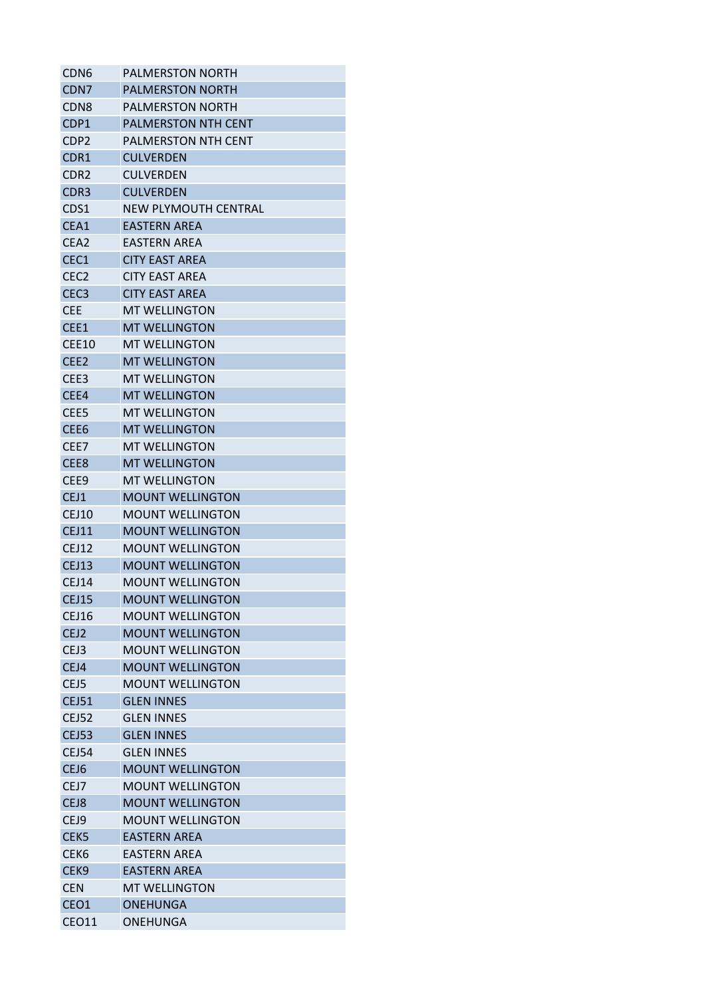| CDN <sub>6</sub> | <b>PALMERSTON NORTH</b>    |
|------------------|----------------------------|
| CDN <sub>7</sub> | <b>PALMERSTON NORTH</b>    |
| CDN8             | <b>PALMERSTON NORTH</b>    |
| CDP1             | <b>PALMERSTON NTH CENT</b> |
| CDP2             | PALMERSTON NTH CENT        |
| CDR1             | <b>CULVERDEN</b>           |
| CDR2             | CULVERDEN                  |
| CDR <sub>3</sub> | <b>CULVERDEN</b>           |
| CDS1             | NEW PLYMOUTH CENTRAL       |
| CEA1             | <b>EASTERN AREA</b>        |
| CEA <sub>2</sub> | EASTERN AREA               |
| CEC <sub>1</sub> | CITY EAST AREA             |
| CEC <sub>2</sub> | <b>CITY EAST AREA</b>      |
| CEC <sub>3</sub> | <b>CITY EAST AREA</b>      |
| <b>CEE</b>       | <b>MT WELLINGTON</b>       |
| CEE1             | <b>MT WELLINGTON</b>       |
| <b>CEE10</b>     | <b>MT WELLINGTON</b>       |
| CEE <sub>2</sub> | <b>MT WELLINGTON</b>       |
| CEE <sub>3</sub> | <b>MT WELLINGTON</b>       |
| CEE4             | <b>MT WELLINGTON</b>       |
| CEE <sub>5</sub> | <b>MT WELLINGTON</b>       |
| CEE <sub>6</sub> | <b>MT WELLINGTON</b>       |
| CEE7             | <b>MT WELLINGTON</b>       |
| CEE8             | <b>MT WELLINGTON</b>       |
| CEE <sub>9</sub> | <b>MT WELLINGTON</b>       |
| CEJ1             | <b>MOUNT WELLINGTON</b>    |
| CEJ10            | <b>MOUNT WELLINGTON</b>    |
| <b>CEJ11</b>     | <b>MOUNT WELLINGTON</b>    |
| <b>CEJ12</b>     | <b>MOUNT WELLINGTON</b>    |
| CEJ13            | <b>MOUNT WELLINGTON</b>    |
| <b>CEJ14</b>     | <b>MOUNT WELLINGTON</b>    |
| <b>CEJ15</b>     | <b>MOUNT WELLINGTON</b>    |
| CEJ16            | <b>MOUNT WELLINGTON</b>    |
| CEJ2             | <b>MOUNT WELLINGTON</b>    |
| CEJ3             | <b>MOUNT WELLINGTON</b>    |
| CEJ4             | <b>MOUNT WELLINGTON</b>    |
| CEJ5             | <b>MOUNT WELLINGTON</b>    |
| <b>CEJ51</b>     | <b>GLEN INNES</b>          |
| <b>CEJ52</b>     | <b>GLEN INNES</b>          |
| <b>CEJ53</b>     | <b>GLEN INNES</b>          |
| CEJ54            | <b>GLEN INNES</b>          |
| CEJ6             | <b>MOUNT WELLINGTON</b>    |
| CEJ7             | <b>MOUNT WELLINGTON</b>    |
| CEJ8             | <b>MOUNT WELLINGTON</b>    |
| CEJ9             | <b>MOUNT WELLINGTON</b>    |
| CEK <sub>5</sub> | <b>EASTERN AREA</b>        |
| CEK <sub>6</sub> | <b>EASTERN AREA</b>        |
| CEK <sub>9</sub> | <b>EASTERN AREA</b>        |
| <b>CEN</b>       | <b>MT WELLINGTON</b>       |
| CEO1             | <b>ONEHUNGA</b>            |
| CEO11            | ONEHUNGA                   |
|                  |                            |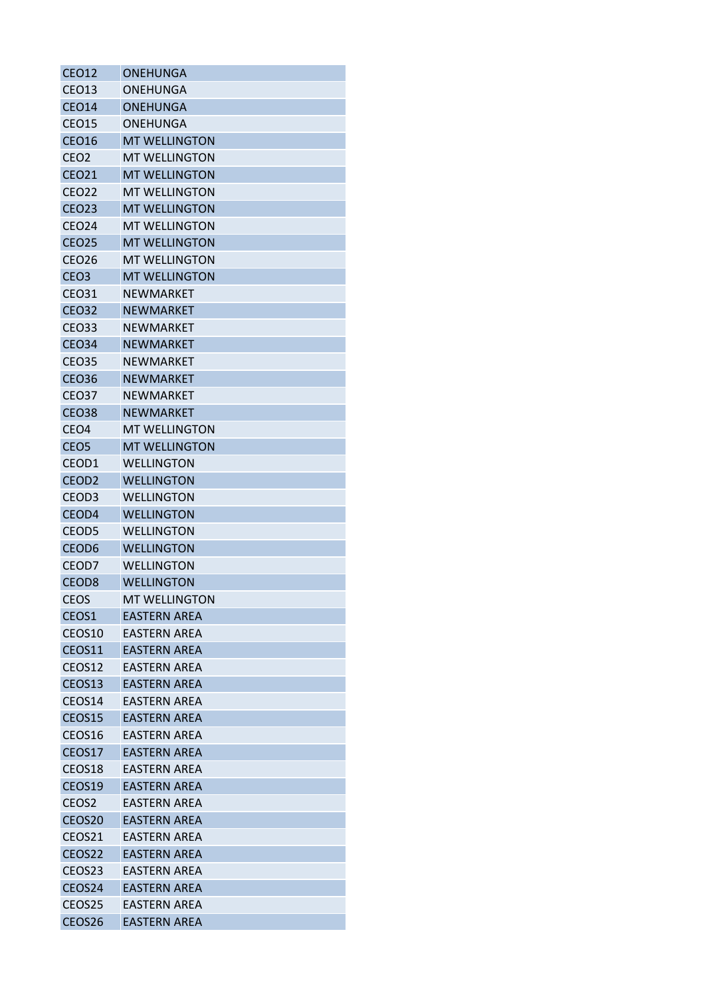| <b>CEO12</b>       | <b>ONEHUNGA</b>      |
|--------------------|----------------------|
| CEO <sub>13</sub>  | <b>ONEHUNGA</b>      |
| <b>CEO14</b>       | <b>ONEHUNGA</b>      |
| <b>CEO15</b>       | <b>ONEHUNGA</b>      |
| <b>CEO16</b>       | <b>MT WELLINGTON</b> |
| CEO <sub>2</sub>   | <b>MT WELLINGTON</b> |
| <b>CEO21</b>       | <b>MT WELLINGTON</b> |
| <b>CEO22</b>       | <b>MT WELLINGTON</b> |
| <b>CEO23</b>       | <b>MT WELLINGTON</b> |
| <b>CEO24</b>       | <b>MT WELLINGTON</b> |
| <b>CEO25</b>       | <b>MT WELLINGTON</b> |
| <b>CEO26</b>       | <b>MT WELLINGTON</b> |
| CEO <sub>3</sub>   | <b>MT WELLINGTON</b> |
| <b>CEO31</b>       | <b>NEWMARKET</b>     |
| <b>CEO32</b>       | <b>NEWMARKET</b>     |
| <b>CEO33</b>       | <b>NEWMARKET</b>     |
| <b>CEO34</b>       | <b>NEWMARKET</b>     |
| <b>CEO35</b>       | <b>NEWMARKET</b>     |
| <b>CEO36</b>       | <b>NEWMARKET</b>     |
| <b>CEO37</b>       | <b>NEWMARKET</b>     |
| <b>CEO38</b>       | <b>NEWMARKET</b>     |
| CEO <sub>4</sub>   | <b>MT WELLINGTON</b> |
| CEO <sub>5</sub>   | <b>MT WELLINGTON</b> |
| CEOD1              | <b>WELLINGTON</b>    |
| CEOD <sub>2</sub>  | <b>WELLINGTON</b>    |
| CEOD3              | <b>WELLINGTON</b>    |
| CEOD4              | <b>WELLINGTON</b>    |
| CEOD <sub>5</sub>  | <b>WELLINGTON</b>    |
| CEOD <sub>6</sub>  | <b>WELLINGTON</b>    |
| CEOD7              | <b>WELLINGTON</b>    |
| CEOD <sub>8</sub>  | <b>WELLINGTON</b>    |
| <b>CEOS</b>        | <b>MT WELLINGTON</b> |
| CEOS <sub>1</sub>  | <b>EASTERN AREA</b>  |
| CEOS10             | <b>EASTERN AREA</b>  |
| CEOS11             | <b>EASTERN AREA</b>  |
| CEOS12             | EASTERN AREA         |
| CEOS13             | <b>EASTERN AREA</b>  |
| CEOS14             | <b>EASTERN AREA</b>  |
| CEOS15             | <b>EASTERN AREA</b>  |
| CEOS16             | EASTERN AREA         |
| CEOS17             | <b>EASTERN AREA</b>  |
| CEOS18             | <b>EASTERN AREA</b>  |
| CEOS19             | <b>EASTERN AREA</b>  |
| CEOS <sub>2</sub>  | <b>EASTERN AREA</b>  |
| CEOS20             | <b>EASTERN AREA</b>  |
| CEOS <sub>21</sub> | <b>EASTERN AREA</b>  |
| CEOS22             | <b>EASTERN AREA</b>  |
| CEOS <sub>23</sub> | <b>EASTERN AREA</b>  |
| CEOS24             | <b>EASTERN AREA</b>  |
| CEOS <sub>25</sub> | <b>EASTERN AREA</b>  |
| CEOS26             | <b>EASTERN AREA</b>  |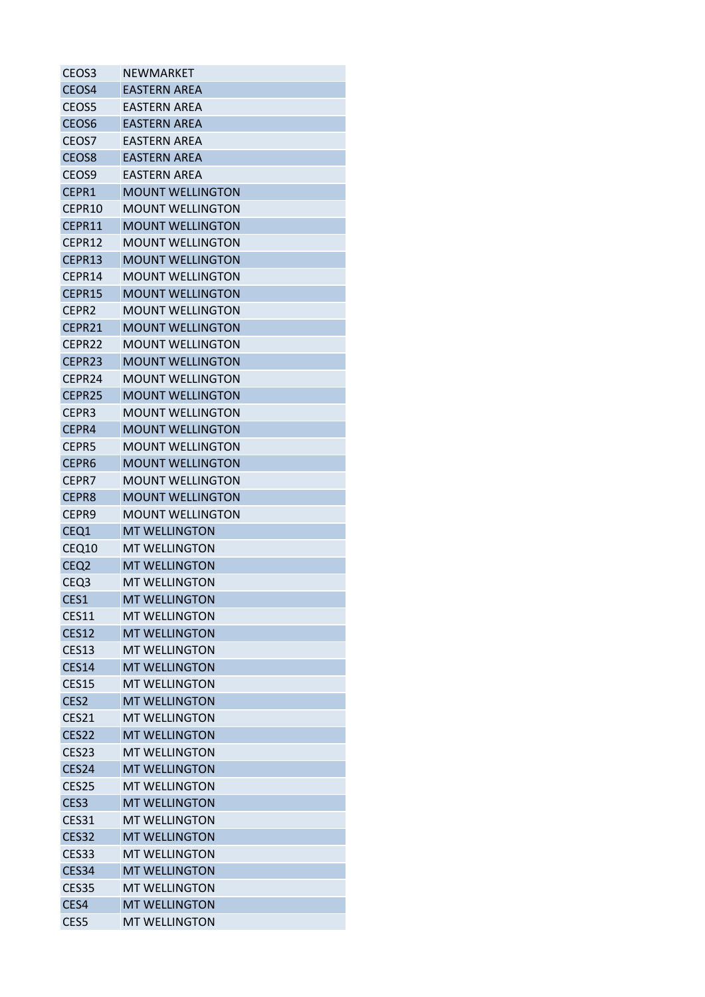| CEOS <sub>3</sub> | NEWMARKET               |
|-------------------|-------------------------|
| CEO <sub>S4</sub> | FASTFRN ARFA            |
| CEOS5             | EASTERN AREA            |
| CEOS6             | <b>EASTERN AREA</b>     |
| CEOS7             | EASTERN AREA            |
| CEOS8             | <b>EASTERN AREA</b>     |
| CEOS9             | EASTERN AREA            |
| CEPR1             | <b>MOUNT WELLINGTON</b> |
| CEPR10            | <b>MOUNT WELLINGTON</b> |
| CEPR11            | <b>MOUNT WELLINGTON</b> |
| CEPR12            | <b>MOUNT WELLINGTON</b> |
| CEPR13            | <b>MOUNT WELLINGTON</b> |
| CEPR14            | <b>MOUNT WELLINGTON</b> |
| CEPR15            | <b>MOUNT WELLINGTON</b> |
| CEPR <sub>2</sub> | <b>MOUNT WELLINGTON</b> |
| CFPR21            | <b>MOUNT WELLINGTON</b> |
| CEPR22            | <b>MOUNT WELLINGTON</b> |
| CEPR23            | <b>MOUNT WELLINGTON</b> |
| CEPR24            | <b>MOUNT WELLINGTON</b> |
| CEPR25            | <b>MOUNT WELLINGTON</b> |
| CEPR3             | MOUNT WELLINGTON        |
| CEPR4             | <b>MOUNT WELLINGTON</b> |
| CEPR5             | MOUNT WELLINGTON        |
| CEPR <sub>6</sub> | <b>MOUNT WELLINGTON</b> |
| CEPR7             | <b>MOUNT WELLINGTON</b> |
| CEPR8             | <b>MOUNT WELLINGTON</b> |
| CEPR9             | <b>MOUNT WELLINGTON</b> |
| CEQ1              | <b>MT WELLINGTON</b>    |
| CEQ10             | <b>MT WELLINGTON</b>    |
| CEQ <sub>2</sub>  | <b>MT WELLINGTON</b>    |
| CEQ <sub>3</sub>  | <b>MT WELLINGTON</b>    |
| CES1              | <b>MT WELLINGTON</b>    |
| <b>CES11</b>      | <b>MT WELLINGTON</b>    |
| <b>CES12</b>      | <b>MT WELLINGTON</b>    |
| <b>CES13</b>      | <b>MT WELLINGTON</b>    |
| <b>CES14</b>      | <b>MT WELLINGTON</b>    |
| <b>CES15</b>      | <b>MT WELLINGTON</b>    |
| CES <sub>2</sub>  | <b>MT WELLINGTON</b>    |
| <b>CES21</b>      | <b>MT WELLINGTON</b>    |
| <b>CES22</b>      | <b>MT WELLINGTON</b>    |
| CES <sub>23</sub> | <b>MT WELLINGTON</b>    |
| CES24             | <b>MT WELLINGTON</b>    |
| CES25             | <b>MT WELLINGTON</b>    |
| CES <sub>3</sub>  | <b>MT WELLINGTON</b>    |
| <b>CES31</b>      | <b>MT WELLINGTON</b>    |
| <b>CES32</b>      | <b>MT WELLINGTON</b>    |
| <b>CES33</b>      | <b>MT WELLINGTON</b>    |
| <b>CES34</b>      | <b>MT WELLINGTON</b>    |
| <b>CES35</b>      | <b>MT WELLINGTON</b>    |
| CES4              | <b>MT WELLINGTON</b>    |
| CES5              | <b>MT WELLINGTON</b>    |
|                   |                         |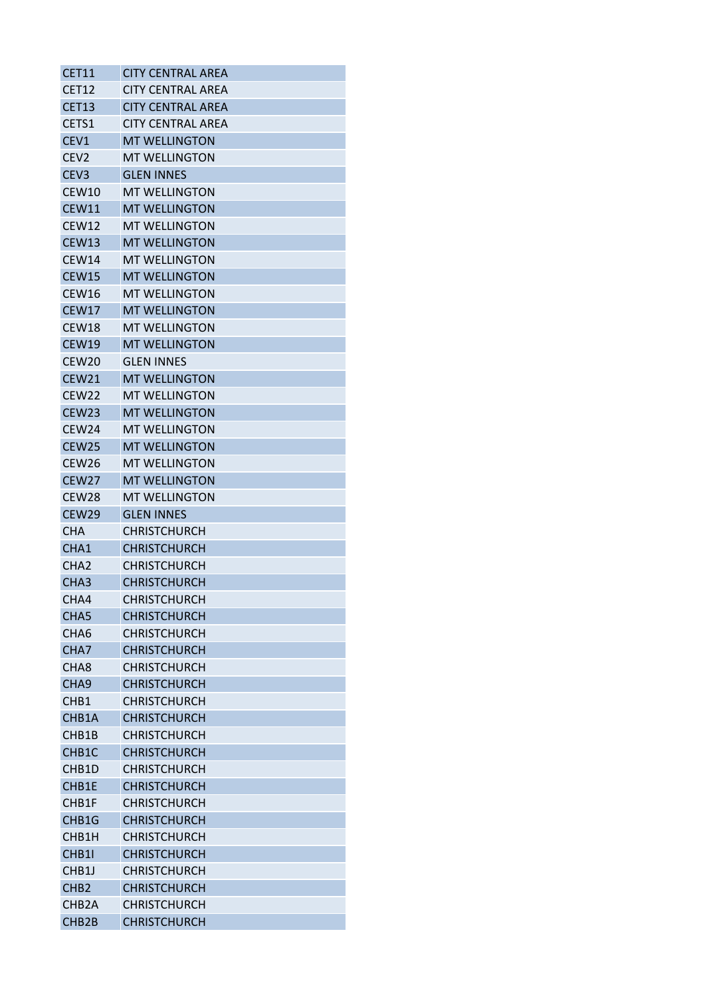| <b>CET11</b>       | <b>CITY CENTRAL AREA</b> |
|--------------------|--------------------------|
| <b>CET12</b>       | <b>CITY CENTRAL AREA</b> |
| CET13              | <b>CITY CENTRAL AREA</b> |
| CETS1              | <b>CITY CENTRAL AREA</b> |
| CEV1               | <b>MT WELLINGTON</b>     |
| CEV <sub>2</sub>   | <b>MT WELLINGTON</b>     |
| CEV <sub>3</sub>   | <b>GLEN INNES</b>        |
| CEW10              | <b>MT WELLINGTON</b>     |
| <b>CEW11</b>       | <b>MT WELLINGTON</b>     |
| CEW12              | <b>MT WELLINGTON</b>     |
| <b>CEW13</b>       | <b>MT WELLINGTON</b>     |
| CEW14              | MT WELLINGTON            |
| <b>CEW15</b>       | <b>MT WELLINGTON</b>     |
| CEW16              | <b>MT WELLINGTON</b>     |
| <b>CEW17</b>       | <b>MT WELLINGTON</b>     |
| <b>CEW18</b>       | <b>MT WELLINGTON</b>     |
| <b>CEW19</b>       | <b>MT WELLINGTON</b>     |
| CEW <sub>20</sub>  | <b>GLEN INNES</b>        |
| <b>CEW21</b>       | <b>MT WELLINGTON</b>     |
| <b>CEW22</b>       | <b>MT WELLINGTON</b>     |
| <b>CEW23</b>       | <b>MT WELLINGTON</b>     |
| CEW <sub>24</sub>  | <b>MT WELLINGTON</b>     |
| CEW <sub>25</sub>  | <b>MT WELLINGTON</b>     |
| CEW <sub>26</sub>  | <b>MT WELLINGTON</b>     |
| <b>CEW27</b>       | <b>MT WELLINGTON</b>     |
| <b>CEW28</b>       | <b>MT WELLINGTON</b>     |
| CEW29              | <b>GLEN INNES</b>        |
| <b>CHA</b>         | <b>CHRISTCHURCH</b>      |
| CHA1               | <b>CHRISTCHURCH</b>      |
| CHA <sub>2</sub>   | <b>CHRISTCHURCH</b>      |
| CHA <sub>3</sub>   | <b>CHRISTCHURCH</b>      |
| CHA4               | <b>CHRISTCHURCH</b>      |
| CHA <sub>5</sub>   | <b>CHRISTCHURCH</b>      |
| CHA <sub>6</sub>   | <b>CHRISTCHURCH</b>      |
| CHA7               | <b>CHRISTCHURCH</b>      |
| CHA <sub>8</sub>   | <b>CHRISTCHURCH</b>      |
| CHA <sub>9</sub>   | <b>CHRISTCHURCH</b>      |
| CH <sub>B1</sub>   | <b>CHRISTCHURCH</b>      |
| CHB1A              | <b>CHRISTCHURCH</b>      |
| CHB1B              | <b>CHRISTCHURCH</b>      |
| CHB <sub>1</sub> C | <b>CHRISTCHURCH</b>      |
| CHB <sub>1</sub> D | <b>CHRISTCHURCH</b>      |
| CHB1E              | <b>CHRISTCHURCH</b>      |
| CHB1F              | <b>CHRISTCHURCH</b>      |
| CHB1G              | <b>CHRISTCHURCH</b>      |
| CHB1H              | <b>CHRISTCHURCH</b>      |
| CHB1I              | <b>CHRISTCHURCH</b>      |
| CHB <sub>1</sub>   | <b>CHRISTCHURCH</b>      |
| CH <sub>B2</sub>   | <b>CHRISTCHURCH</b>      |
| CHB <sub>2</sub> A | <b>CHRISTCHURCH</b>      |
| CHB2B              | <b>CHRISTCHURCH</b>      |
|                    |                          |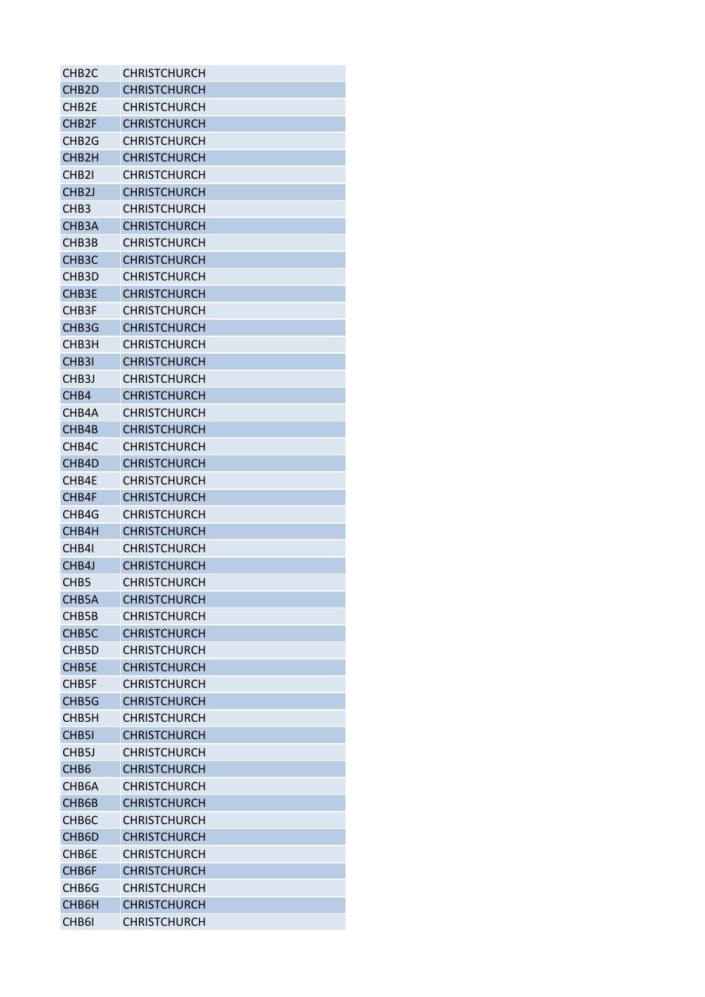| CHB <sub>2</sub> C | CHRISTCHURCH        |
|--------------------|---------------------|
| CHB <sub>2</sub> D | <b>CHRISTCHURCH</b> |
| CHB <sub>2E</sub>  | CHRISTCHURCH        |
| CHB <sub>2F</sub>  | <b>CHRISTCHURCH</b> |
| CHB <sub>2</sub> G | <b>CHRISTCHURCH</b> |
| CHB <sub>2</sub> H | <b>CHRISTCHURCH</b> |
| CHB <sub>21</sub>  | <b>CHRISTCHURCH</b> |
| CHB <sub>2</sub> J | <b>CHRISTCHURCH</b> |
| CH <sub>B</sub> 3  | <b>CHRISTCHURCH</b> |
| CHB <sub>3</sub> A | <b>CHRISTCHURCH</b> |
| CHB3B              | <b>CHRISTCHURCH</b> |
| CHB <sub>3</sub> C | <b>CHRISTCHURCH</b> |
| CHB <sub>3</sub> D | <b>CHRISTCHURCH</b> |
| CHB <sub>3E</sub>  | <b>CHRISTCHURCH</b> |
| CHB <sub>3F</sub>  | <b>CHRISTCHURCH</b> |
| CHB <sub>3</sub> G | <b>CHRISTCHURCH</b> |
| CHB3H              | <b>CHRISTCHURCH</b> |
| CHB <sub>3</sub>   | <b>CHRISTCHURCH</b> |
| CHB <sub>3</sub> J | <b>CHRISTCHURCH</b> |
| CH <sub>B</sub> 4  | <b>CHRISTCHURCH</b> |
| CHB4A              | <b>CHRISTCHURCH</b> |
| CHB4B              | <b>CHRISTCHURCH</b> |
| CHB4C              | CHRISTCHURCH        |
| CHB <sub>4</sub> D | <b>CHRISTCHURCH</b> |
| CHB4E              | <b>CHRISTCHURCH</b> |
| CHB4F              | <b>CHRISTCHURCH</b> |
| CHB4G              | <b>CHRISTCHURCH</b> |
| CHB4H              | <b>CHRISTCHURCH</b> |
| CHB41              | <b>CHRISTCHURCH</b> |
| CHB4J              | <b>CHRISTCHURCH</b> |
| CH <sub>B5</sub>   | CHRISTCHURCH        |
| CHB5A              | <b>CHRISTCHURCH</b> |
| CHB5B              | CHRISTCHURCH        |
| CHB5C              | <b>CHRISTCHURCH</b> |
| CHB5D              | <b>CHRISTCHURCH</b> |
| CHB5E              | <b>CHRISTCHURCH</b> |
| CHB <sub>5F</sub>  | <b>CHRISTCHURCH</b> |
| CHB5G              | <b>CHRISTCHURCH</b> |
| CHB <sub>5</sub> H | <b>CHRISTCHURCH</b> |
| CHB <sub>51</sub>  | <b>CHRISTCHURCH</b> |
| CHB <sub>5</sub> J | CHRISTCHURCH        |
| CH <sub>B6</sub>   | <b>CHRISTCHURCH</b> |
| CHB <sub>6</sub> A | <b>CHRISTCHURCH</b> |
| CHB6B              | <b>CHRISTCHURCH</b> |
| CHB <sub>6</sub> C | <b>CHRISTCHURCH</b> |
| CHB <sub>6</sub> D | <b>CHRISTCHURCH</b> |
| CHB6E              | <b>CHRISTCHURCH</b> |
| CHB <sub>6F</sub>  | <b>CHRISTCHURCH</b> |
| CHB <sub>6</sub> G | <b>CHRISTCHURCH</b> |
| CHB6H              | <b>CHRISTCHURCH</b> |
| CHB <sub>61</sub>  | CHRISTCHURCH        |
|                    |                     |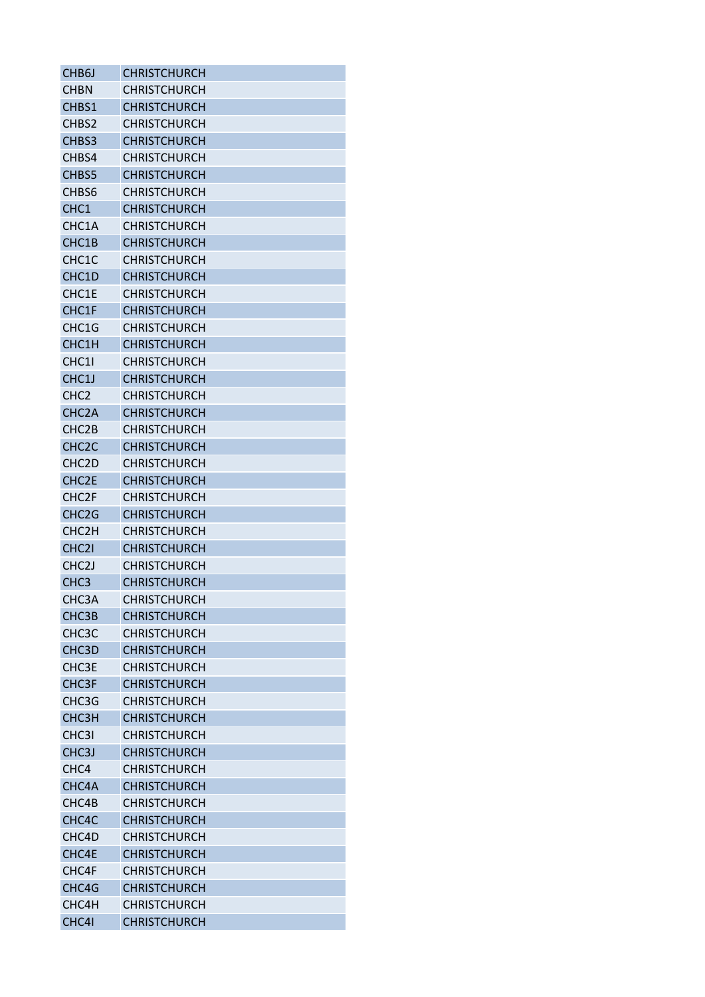| CHB <sub>6</sub> J | <b>CHRISTCHURCH</b> |
|--------------------|---------------------|
| <b>CHBN</b>        | <b>CHRISTCHURCH</b> |
| CHBS1              | <b>CHRISTCHURCH</b> |
| CHBS2              | <b>CHRISTCHURCH</b> |
| CHBS3              | <b>CHRISTCHURCH</b> |
| CHBS4              | <b>CHRISTCHURCH</b> |
| CHBS5              | <b>CHRISTCHURCH</b> |
| CHBS6              | <b>CHRISTCHURCH</b> |
| CHC <sub>1</sub>   | <b>CHRISTCHURCH</b> |
| CHC1A              | <b>CHRISTCHURCH</b> |
| CHC1B              | <b>CHRISTCHURCH</b> |
| CHC1C              | <b>CHRISTCHURCH</b> |
| CHC1D              | <b>CHRISTCHURCH</b> |
| CHC1E              | <b>CHRISTCHURCH</b> |
| CHC1F              | <b>CHRISTCHURCH</b> |
| CHC1G              | <b>CHRISTCHURCH</b> |
| CHC1H              | <b>CHRISTCHURCH</b> |
| CHC11              | <b>CHRISTCHURCH</b> |
| CHC1J              | <b>CHRISTCHURCH</b> |
| CHC <sub>2</sub>   | <b>CHRISTCHURCH</b> |
| CHC <sub>2</sub> A | <b>CHRISTCHURCH</b> |
| CHC <sub>2</sub> B | <b>CHRISTCHURCH</b> |
| CHC <sub>2</sub> C | <b>CHRISTCHURCH</b> |
|                    |                     |
| CHC <sub>2</sub> D | <b>CHRISTCHURCH</b> |
| CHC <sub>2E</sub>  | <b>CHRISTCHURCH</b> |
| CHC <sub>2F</sub>  | <b>CHRISTCHURCH</b> |
| CHC <sub>2</sub> G | <b>CHRISTCHURCH</b> |
| CHC <sub>2</sub> H | <b>CHRISTCHURCH</b> |
| CHC <sub>21</sub>  | <b>CHRISTCHURCH</b> |
| CHC <sub>2</sub> J | <b>CHRISTCHURCH</b> |
| CHC <sub>3</sub>   | <b>CHRISTCHURCH</b> |
| CHC3A              | <b>CHRISTCHURCH</b> |
| CHC3B              | <b>CHRISTCHURCH</b> |
| CHC <sub>3</sub> C | <b>CHRISTCHURCH</b> |
| CHC3D              | <b>CHRISTCHURCH</b> |
| CHC3E              | <b>CHRISTCHURCH</b> |
| CHC <sub>3F</sub>  | <b>CHRISTCHURCH</b> |
| CHC3G              | <b>CHRISTCHURCH</b> |
| <b>СНСЗН</b>       | <b>CHRISTCHURCH</b> |
| CHC3I              | <b>CHRISTCHURCH</b> |
| CHC <sub>3</sub> J | <b>CHRISTCHURCH</b> |
| CHC <sub>4</sub>   | <b>CHRISTCHURCH</b> |
| CHC4A              | <b>CHRISTCHURCH</b> |
| CHC4B              | <b>CHRISTCHURCH</b> |
| CHC4C              | <b>CHRISTCHURCH</b> |
| CHC4D              | <b>CHRISTCHURCH</b> |
| CHC4E              | <b>CHRISTCHURCH</b> |
| CHC4F              | <b>CHRISTCHURCH</b> |
| CHC4G              | <b>CHRISTCHURCH</b> |
| CHC4H              | <b>CHRISTCHURCH</b> |
| CHC4I              | <b>CHRISTCHURCH</b> |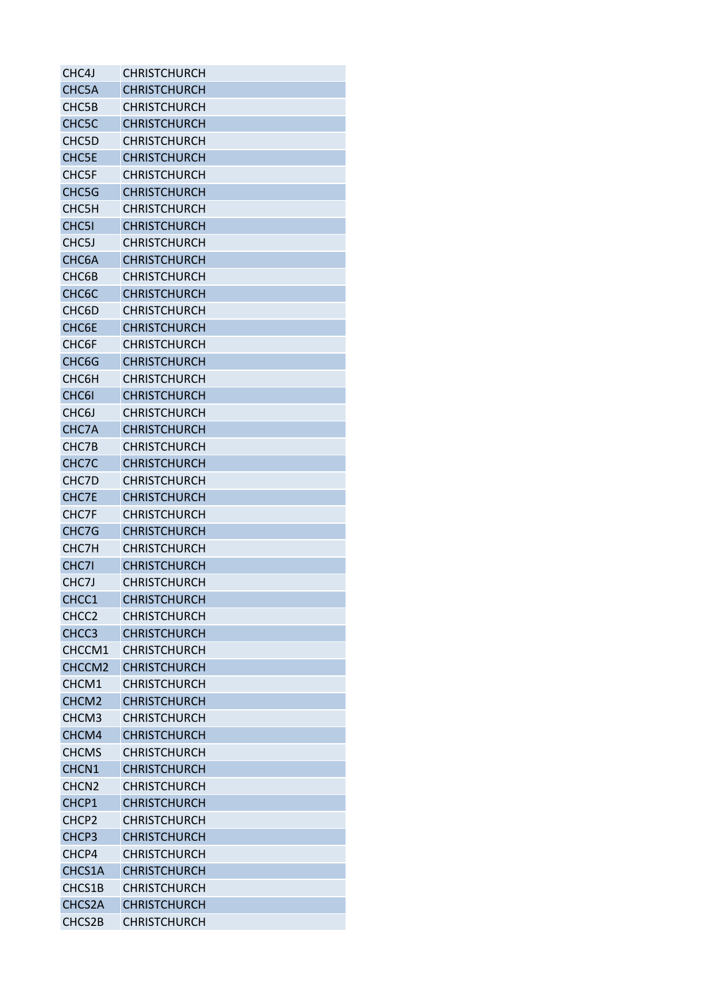| CHC4J              | <b>CHRISTCHURCH</b>                        |
|--------------------|--------------------------------------------|
| CHC5A              | <b>CHRISTCHURCH</b>                        |
| CHC5B              | <b>CHRISTCHURCH</b>                        |
| CHC <sub>5</sub> C | <b>CHRISTCHURCH</b>                        |
| CHC5D              | <b>CHRISTCHURCH</b>                        |
| <b>CHC5E</b>       | <b>CHRISTCHURCH</b>                        |
| <b>CHC5F</b>       | <b>CHRISTCHURCH</b>                        |
| CHC5G              | <b>CHRISTCHURCH</b>                        |
| CHC5H              | <b>CHRISTCHURCH</b>                        |
| CHC <sub>51</sub>  | <b>CHRISTCHURCH</b>                        |
| CHC <sub>5</sub> J | <b>CHRISTCHURCH</b>                        |
| CHC6A              | <b>CHRISTCHURCH</b>                        |
| CHC6B              | <b>CHRISTCHURCH</b>                        |
| CHC <sub>6</sub> C | <b>CHRISTCHURCH</b>                        |
| CHC6D              | <b>CHRISTCHURCH</b>                        |
| CHC6E              | <b>CHRISTCHURCH</b>                        |
| CHC6F              | <b>CHRISTCHURCH</b>                        |
| CHC6G              | <b>CHRISTCHURCH</b>                        |
| CHC6H              | <b>CHRISTCHURCH</b>                        |
| CHC6I              | <b>CHRISTCHURCH</b>                        |
| CHC <sub>6</sub> J | <b>CHRISTCHURCH</b>                        |
| CHC7A              | <b>CHRISTCHURCH</b>                        |
| CHC7B              | <b>CHRISTCHURCH</b>                        |
| CHC7C              | <b>CHRISTCHURCH</b>                        |
| CHC7D              | <b>CHRISTCHURCH</b>                        |
| CHC7E              | <b>CHRISTCHURCH</b>                        |
| CHC7F              | <b>CHRISTCHURCH</b>                        |
|                    |                                            |
| CHC7G<br>CHC7H     | <b>CHRISTCHURCH</b><br><b>CHRISTCHURCH</b> |
| CHC7I              |                                            |
|                    | <b>CHRISTCHURCH</b>                        |
| CHC7J              | <b>CHRISTCHURCH</b>                        |
| CHCC1              | <b>CHRISTCHURCH</b>                        |
| CHCC <sub>2</sub>  | <b>CHRISTCHURCH</b>                        |
| CHCC3              | <b>CHRISTCHURCH</b>                        |
| CHCCM1             | <b>CHRISTCHURCH</b>                        |
| CHCCM <sub>2</sub> | <b>CHRISTCHURCH</b>                        |
| CHCM1              | <b>CHRISTCHURCH</b>                        |
| CHCM <sub>2</sub>  | <b>CHRISTCHURCH</b>                        |
| CHCM3              | <b>CHRISTCHURCH</b>                        |
| CHCM4              | <b>CHRISTCHURCH</b>                        |
| <b>CHCMS</b>       | <b>CHRISTCHURCH</b>                        |
| CHCN1              | <b>CHRISTCHURCH</b>                        |
| CHCN <sub>2</sub>  | <b>CHRISTCHURCH</b>                        |
| CHCP1              | <b>CHRISTCHURCH</b>                        |
| CHCP <sub>2</sub>  | <b>CHRISTCHURCH</b>                        |
| CHCP3              | <b>CHRISTCHURCH</b>                        |
| CHCP4              | <b>CHRISTCHURCH</b>                        |
| CHCS1A             | <b>CHRISTCHURCH</b>                        |
| CHCS1B             | <b>CHRISTCHURCH</b>                        |
| CHCS2A             | <b>CHRISTCHURCH</b>                        |
| CHCS2B             | <b>CHRISTCHURCH</b>                        |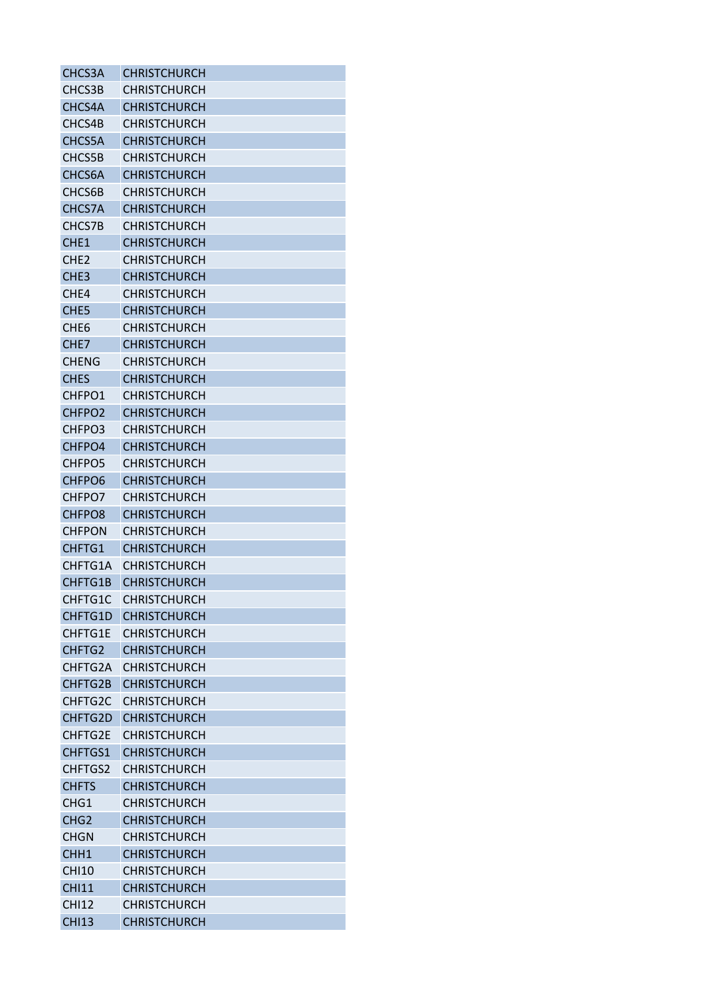| CHCS3A             | <b>CHRISTCHURCH</b> |
|--------------------|---------------------|
| CHCS3B             | <b>CHRISTCHURCH</b> |
| CHCS4A             | <b>CHRISTCHURCH</b> |
| CHCS4B             | <b>CHRISTCHURCH</b> |
| CHCS5A             | <b>CHRISTCHURCH</b> |
| CHCS5B             | <b>CHRISTCHURCH</b> |
| CHCS6A             | <b>CHRISTCHURCH</b> |
| CHCS6B             | <b>CHRISTCHURCH</b> |
| CHCS7A             | <b>CHRISTCHURCH</b> |
| CHCS7B             | <b>CHRISTCHURCH</b> |
| CHE <sub>1</sub>   | <b>CHRISTCHURCH</b> |
| CHE <sub>2</sub>   | <b>CHRISTCHURCH</b> |
| CHE <sub>3</sub>   | <b>CHRISTCHURCH</b> |
| CHE4               | <b>CHRISTCHURCH</b> |
| CHE <sub>5</sub>   | <b>CHRISTCHURCH</b> |
| CHE <sub>6</sub>   | <b>CHRISTCHURCH</b> |
| CHE <sub>7</sub>   | <b>CHRISTCHURCH</b> |
| <b>CHENG</b>       | <b>CHRISTCHURCH</b> |
| <b>CHES</b>        | <b>CHRISTCHURCH</b> |
| CHFPO1             | <b>CHRISTCHURCH</b> |
| CHFPO <sub>2</sub> | <b>CHRISTCHURCH</b> |
| CHFPO3             | <b>CHRISTCHURCH</b> |
|                    |                     |
| CHFPO4             | <b>CHRISTCHURCH</b> |
| CHFPO5             | <b>CHRISTCHURCH</b> |
| CHFPO <sub>6</sub> | <b>CHRISTCHURCH</b> |
| CHFPO7             | <b>CHRISTCHURCH</b> |
| CHFPO8             | <b>CHRISTCHURCH</b> |
| <b>CHFPON</b>      | <b>CHRISTCHURCH</b> |
| CHFTG1             | <b>CHRISTCHURCH</b> |
| CHFTG1A            | <b>CHRISTCHURCH</b> |
| CHFTG1B            | <b>CHRISTCHURCH</b> |
| <b>CHFTG1C</b>     | <b>CHRISTCHURCH</b> |
| <b>CHFTG1D</b>     | <b>CHRISTCHURCH</b> |
| CHFTG1E            | <b>CHRISTCHURCH</b> |
| CHFTG2             | <b>CHRISTCHURCH</b> |
| CHFTG2A            | <b>CHRISTCHURCH</b> |
| CHFTG2B            | <b>CHRISTCHURCH</b> |
| CHFTG2C            | <b>CHRISTCHURCH</b> |
| CHFTG2D            | <b>CHRISTCHURCH</b> |
| CHFTG2E            | <b>CHRISTCHURCH</b> |
| <b>CHFTGS1</b>     | <b>CHRISTCHURCH</b> |
| CHFTGS2            | <b>CHRISTCHURCH</b> |
| <b>CHFTS</b>       | <b>CHRISTCHURCH</b> |
| CHG1               | <b>CHRISTCHURCH</b> |
| CHG <sub>2</sub>   | <b>CHRISTCHURCH</b> |
| <b>CHGN</b>        | <b>CHRISTCHURCH</b> |
| CHH <sub>1</sub>   | <b>CHRISTCHURCH</b> |
| <b>CHI10</b>       | <b>CHRISTCHURCH</b> |
| <b>CHI11</b>       | <b>CHRISTCHURCH</b> |
| <b>CHI12</b>       | <b>CHRISTCHURCH</b> |
| <b>CHI13</b>       | <b>CHRISTCHURCH</b> |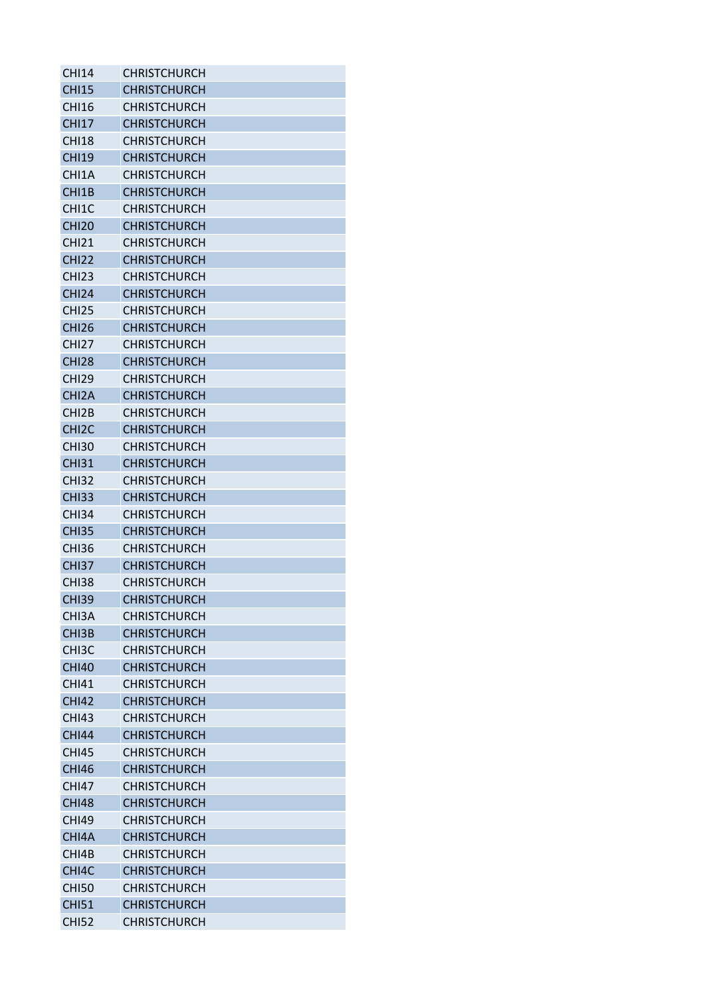| <b>CHI14</b>       | <b>CHRISTCHURCH</b> |
|--------------------|---------------------|
| <b>CHI15</b>       | <b>CHRISTCHURCH</b> |
| CHI <sub>16</sub>  | <b>CHRISTCHURCH</b> |
| <b>CHI17</b>       | <b>CHRISTCHURCH</b> |
| <b>CHI18</b>       | <b>CHRISTCHURCH</b> |
| <b>CHI19</b>       | <b>CHRISTCHURCH</b> |
| CHI1A              | <b>CHRISTCHURCH</b> |
| CHI <sub>1</sub> B | <b>CHRISTCHURCH</b> |
| CHI <sub>1</sub> C | <b>CHRISTCHURCH</b> |
| <b>CHI20</b>       | <b>CHRISTCHURCH</b> |
| <b>CHI21</b>       | <b>CHRISTCHURCH</b> |
| <b>CHI22</b>       | <b>CHRISTCHURCH</b> |
| <b>CHI23</b>       | <b>CHRISTCHURCH</b> |
| <b>CHI24</b>       | <b>CHRISTCHURCH</b> |
| <b>CHI25</b>       | <b>CHRISTCHURCH</b> |
| <b>CHI26</b>       | <b>CHRISTCHURCH</b> |
| <b>CHI27</b>       | <b>CHRISTCHURCH</b> |
| <b>CHI28</b>       | <b>CHRISTCHURCH</b> |
| <b>CHI29</b>       | <b>CHRISTCHURCH</b> |
| CHI <sub>2</sub> A | <b>CHRISTCHURCH</b> |
| CH <sub>12</sub> B | <b>CHRISTCHURCH</b> |
| CHI <sub>2</sub> C | <b>CHRISTCHURCH</b> |
| <b>CHI30</b>       | <b>CHRISTCHURCH</b> |
| <b>CHI31</b>       | <b>CHRISTCHURCH</b> |
| <b>CHI32</b>       | <b>CHRISTCHURCH</b> |
| <b>CHI33</b>       | <b>CHRISTCHURCH</b> |
| <b>CHI34</b>       | <b>CHRISTCHURCH</b> |
| <b>CHI35</b>       | <b>CHRISTCHURCH</b> |
| <b>CHI36</b>       | <b>CHRISTCHURCH</b> |
| <b>CHI37</b>       | <b>CHRISTCHURCH</b> |
| <b>CHI38</b>       | <b>CHRISTCHURCH</b> |
|                    | <b>CHRISTCHURCH</b> |
| <b>CHI39</b>       |                     |
| CHI3A              | <b>CHRISTCHURCH</b> |
| CHI3B              | <b>CHRISTCHURCH</b> |
| CH <sub>13</sub> C | <b>CHRISTCHURCH</b> |
| <b>CHI40</b>       | <b>CHRISTCHURCH</b> |
| <b>CHI41</b>       | <b>CHRISTCHURCH</b> |
| <b>CHI42</b>       | <b>CHRISTCHURCH</b> |
| <b>CHI43</b>       | <b>CHRISTCHURCH</b> |
| <b>CHI44</b>       | <b>CHRISTCHURCH</b> |
| <b>CHI45</b>       | <b>CHRISTCHURCH</b> |
| <b>CHI46</b>       | <b>CHRISTCHURCH</b> |
| <b>CHI47</b>       | <b>CHRISTCHURCH</b> |
| <b>CHI48</b>       | <b>CHRISTCHURCH</b> |
| <b>CHI49</b>       | <b>CHRISTCHURCH</b> |
| CHI4A              | <b>CHRISTCHURCH</b> |
| CHI4B              | <b>CHRISTCHURCH</b> |
| CHI4C              | <b>CHRISTCHURCH</b> |
| <b>CHI50</b>       | <b>CHRISTCHURCH</b> |
| <b>CHI51</b>       | <b>CHRISTCHURCH</b> |
| <b>CHI52</b>       | <b>CHRISTCHURCH</b> |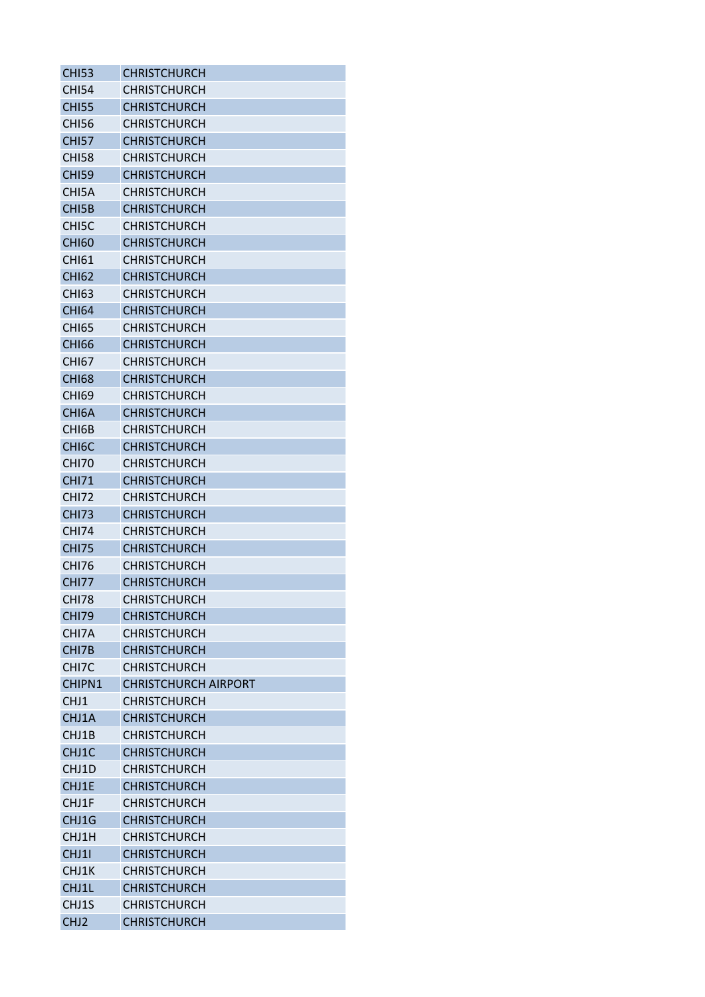| <b>CHI53</b>       | <b>CHRISTCHURCH</b>         |
|--------------------|-----------------------------|
| <b>CHI54</b>       | <b>CHRISTCHURCH</b>         |
| <b>CHI55</b>       | <b>CHRISTCHURCH</b>         |
| CHI56              | <b>CHRISTCHURCH</b>         |
| <b>CHI57</b>       | <b>CHRISTCHURCH</b>         |
| <b>CHI58</b>       | <b>CHRISTCHURCH</b>         |
| <b>CHI59</b>       | <b>CHRISTCHURCH</b>         |
| CHI5A              | CHRISTCHURCH                |
| CHI <sub>5</sub> B | <b>CHRISTCHURCH</b>         |
| CHI5C              | <b>CHRISTCHURCH</b>         |
| <b>CHI60</b>       | <b>CHRISTCHURCH</b>         |
| <b>CHI61</b>       | <b>CHRISTCHURCH</b>         |
| <b>CHI62</b>       | <b>CHRISTCHURCH</b>         |
| CHI63              | <b>CHRISTCHURCH</b>         |
| <b>CHI64</b>       | <b>CHRISTCHURCH</b>         |
| <b>CHI65</b>       | <b>CHRISTCHURCH</b>         |
| <b>CHI66</b>       | <b>CHRISTCHURCH</b>         |
| CHI67              | <b>CHRISTCHURCH</b>         |
| <b>CHI68</b>       | <b>CHRISTCHURCH</b>         |
| <b>CHI69</b>       | <b>CHRISTCHURCH</b>         |
| CHI <sub>6</sub> A | <b>CHRISTCHURCH</b>         |
| CHI6B              | <b>CHRISTCHURCH</b>         |
| CHI <sub>6</sub> C | <b>CHRISTCHURCH</b>         |
| <b>CHI70</b>       | <b>CHRISTCHURCH</b>         |
| <b>CHI71</b>       | <b>CHRISTCHURCH</b>         |
| <b>CHI72</b>       | <b>CHRISTCHURCH</b>         |
| <b>CHI73</b>       | <b>CHRISTCHURCH</b>         |
|                    |                             |
| <b>CHI74</b>       | <b>CHRISTCHURCH</b>         |
| <b>CHI75</b>       | <b>CHRISTCHURCH</b>         |
| CHI76              | <b>CHRISTCHURCH</b>         |
| CHI77              | <b>CHRISTCHURCH</b>         |
| <b>CHI78</b>       | <b>CHRISTCHURCH</b>         |
| <b>CHI79</b>       | <b>CHRISTCHURCH</b>         |
| CHI7A              | <b>CHRISTCHURCH</b>         |
| CHI7B              | <b>CHRISTCHURCH</b>         |
| CHI7C              | <b>CHRISTCHURCH</b>         |
| CHIPN1             | <b>CHRISTCHURCH AIRPORT</b> |
| CHJ1               | <b>CHRISTCHURCH</b>         |
| CHJ1A              | <b>CHRISTCHURCH</b>         |
| CHJ1B              | <b>CHRISTCHURCH</b>         |
| CHJ1C              | <b>CHRISTCHURCH</b>         |
| CHJ1D              | <b>CHRISTCHURCH</b>         |
| CHJ1E              | <b>CHRISTCHURCH</b>         |
| CHJ1F              | <b>CHRISTCHURCH</b>         |
| CHJ1G              | <b>CHRISTCHURCH</b>         |
| CHJ1H              | CHRISTCHURCH                |
| CHJ11              | <b>CHRISTCHURCH</b>         |
| CHJ1K              | <b>CHRISTCHURCH</b>         |
| CHJ1L              | <b>CHRISTCHURCH</b>         |
| CHJ1S              | <b>CHRISTCHURCH</b>         |
| CHJ <sub>2</sub>   | <b>CHRISTCHURCH</b>         |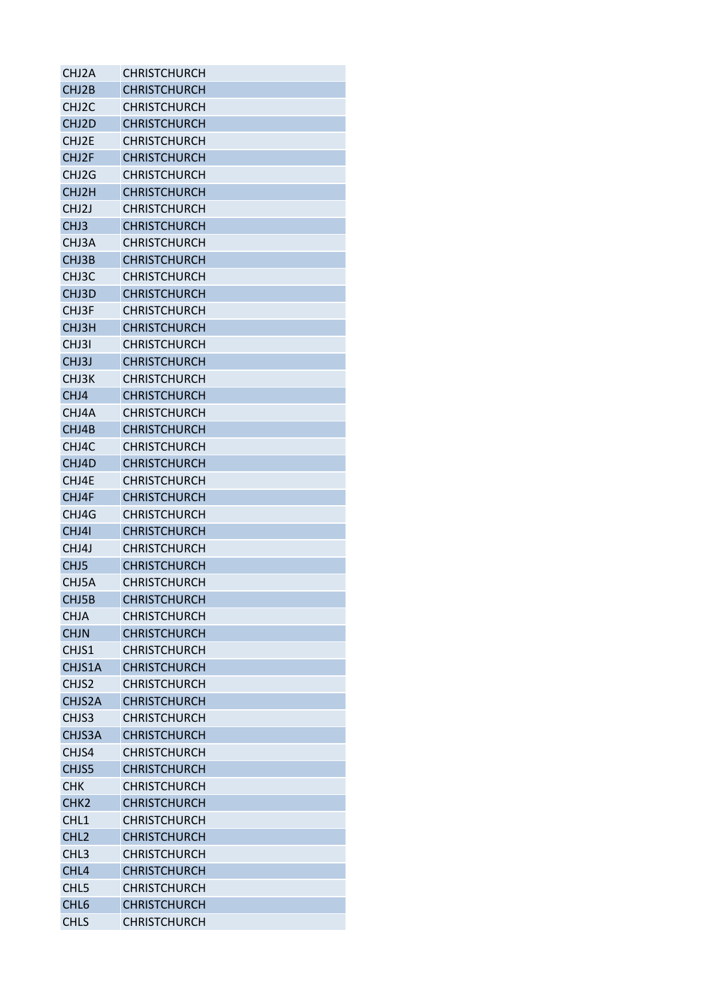| CHJ2A              | <b>CHRISTCHURCH</b> |
|--------------------|---------------------|
| CHJ2B              | <b>CHRISTCHURCH</b> |
| CHJ <sub>2</sub> C | <b>CHRISTCHURCH</b> |
| CHJ2D              | <b>CHRISTCHURCH</b> |
| CHJ2E              | <b>CHRISTCHURCH</b> |
| CHJ2F              | <b>CHRISTCHURCH</b> |
| CHJ2G              | <b>CHRISTCHURCH</b> |
| CHJ2H              | <b>CHRISTCHURCH</b> |
| CHJ <sub>2</sub> J | <b>CHRISTCHURCH</b> |
| CHJ3               | <b>CHRISTCHURCH</b> |
| CHJ3A              | <b>CHRISTCHURCH</b> |
| CHJ3B              | <b>CHRISTCHURCH</b> |
| CHJ3C              | <b>CHRISTCHURCH</b> |
| CHJ3D              | <b>CHRISTCHURCH</b> |
| CHJ3F              | <b>CHRISTCHURCH</b> |
| CHJ3H              | <b>CHRISTCHURCH</b> |
| CHJ3I              | <b>CHRISTCHURCH</b> |
| CHJ3J              | <b>CHRISTCHURCH</b> |
| CHJ3K              | <b>CHRISTCHURCH</b> |
| CHJ4               | <b>CHRISTCHURCH</b> |
| CHJ4A              | <b>CHRISTCHURCH</b> |
| CHJ4B              | <b>CHRISTCHURCH</b> |
| CHJ4C              | <b>CHRISTCHURCH</b> |
| CHJ4D              | <b>CHRISTCHURCH</b> |
| CHJ4E              | <b>CHRISTCHURCH</b> |
| CHJ4F              | <b>CHRISTCHURCH</b> |
| CHJ4G              | <b>CHRISTCHURCH</b> |
| CHJ4I              | <b>CHRISTCHURCH</b> |
| CHJ4J              | <b>CHRISTCHURCH</b> |
| CHJ <sub>5</sub>   | <b>CHRISTCHURCH</b> |
| CHJ5A              | <b>CHRISTCHURCH</b> |
| CHJ5B              | <b>CHRISTCHURCH</b> |
| <b>CHJA</b>        | <b>CHRISTCHURCH</b> |
| <b>CHJN</b>        | <b>CHRISTCHURCH</b> |
| CHJS1              | <b>CHRISTCHURCH</b> |
| CHJS1A             | <b>CHRISTCHURCH</b> |
| CHJS2              | <b>CHRISTCHURCH</b> |
| CHJS2A             | <b>CHRISTCHURCH</b> |
| CHJS3              | <b>CHRISTCHURCH</b> |
| CHJS3A             | <b>CHRISTCHURCH</b> |
| CHJS4              | <b>CHRISTCHURCH</b> |
| CHJS5              | <b>CHRISTCHURCH</b> |
| <b>CHK</b>         | <b>CHRISTCHURCH</b> |
| CHK <sub>2</sub>   | <b>CHRISTCHURCH</b> |
| CHL1               | <b>CHRISTCHURCH</b> |
| CHL <sub>2</sub>   | <b>CHRISTCHURCH</b> |
| CHL <sub>3</sub>   | <b>CHRISTCHURCH</b> |
| CHL <sub>4</sub>   | <b>CHRISTCHURCH</b> |
| CHL <sub>5</sub>   | <b>CHRISTCHURCH</b> |
| CHL <sub>6</sub>   | <b>CHRISTCHURCH</b> |
| <b>CHLS</b>        | <b>CHRISTCHURCH</b> |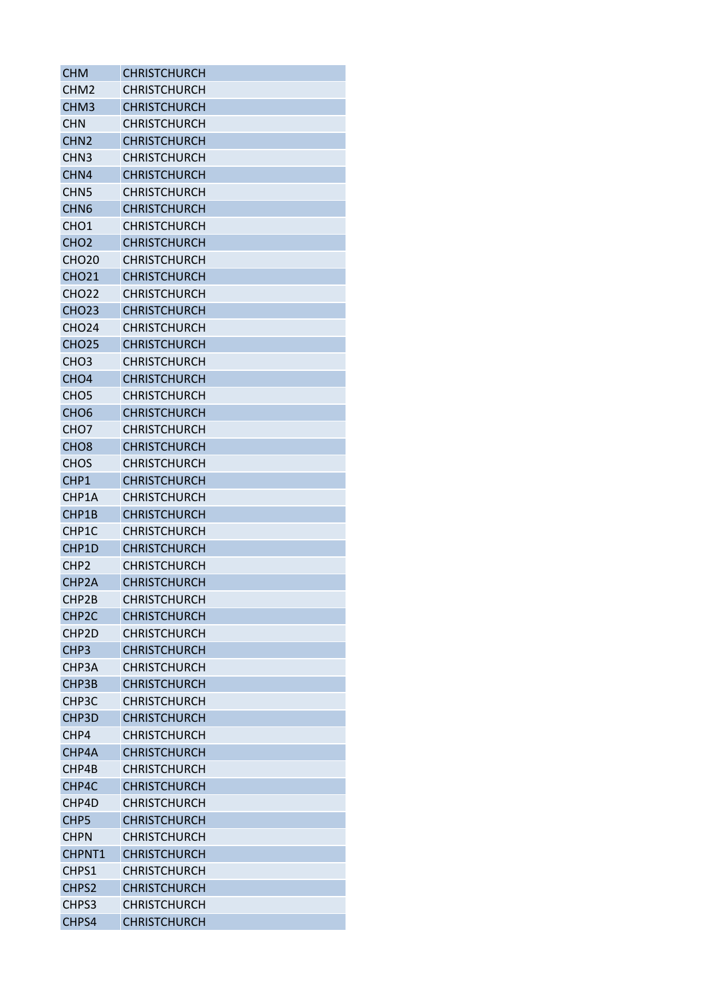| <b>CHM</b>          | <b>CHRISTCHURCH</b> |
|---------------------|---------------------|
| CHM <sub>2</sub>    | <b>CHRISTCHURCH</b> |
| CHM <sub>3</sub>    | <b>CHRISTCHURCH</b> |
| <b>CHN</b>          | <b>CHRISTCHURCH</b> |
| CHN <sub>2</sub>    | <b>CHRISTCHURCH</b> |
| CHN <sub>3</sub>    | <b>CHRISTCHURCH</b> |
| CHN4                | <b>CHRISTCHURCH</b> |
| CHN <sub>5</sub>    | <b>CHRISTCHURCH</b> |
| CHN <sub>6</sub>    | <b>CHRISTCHURCH</b> |
| CHO <sub>1</sub>    | <b>CHRISTCHURCH</b> |
| CHO <sub>2</sub>    | <b>CHRISTCHURCH</b> |
| <b>CHO20</b>        | <b>CHRISTCHURCH</b> |
| <b>CHO21</b>        | <b>CHRISTCHURCH</b> |
| <b>CHO22</b>        | <b>CHRISTCHURCH</b> |
| <b>CHO23</b>        | <b>CHRISTCHURCH</b> |
| <b>CHO24</b>        | <b>CHRISTCHURCH</b> |
| <b>CHO25</b>        | <b>CHRISTCHURCH</b> |
| CH <sub>O</sub> 3   | <b>CHRISTCHURCH</b> |
| CHO <sub>4</sub>    | <b>CHRISTCHURCH</b> |
| CHO <sub>5</sub>    | <b>CHRISTCHURCH</b> |
| CHO <sub>6</sub>    | <b>CHRISTCHURCH</b> |
| CHO <sub>7</sub>    | <b>CHRISTCHURCH</b> |
| CHO <sub>8</sub>    | <b>CHRISTCHURCH</b> |
|                     |                     |
| <b>CHOS</b><br>CHP1 | <b>CHRISTCHURCH</b> |
|                     | <b>CHRISTCHURCH</b> |
| CHP1A               | <b>CHRISTCHURCH</b> |
| CHP1B               | <b>CHRISTCHURCH</b> |
| CHP1C               | <b>CHRISTCHURCH</b> |
| CHP1D               | <b>CHRISTCHURCH</b> |
| CHP <sub>2</sub>    | <b>CHRISTCHURCH</b> |
| CHP <sub>2</sub> A  | <b>CHRISTCHURCH</b> |
| CHP2B               | <b>CHRISTCHURCH</b> |
| CHP <sub>2</sub> C  | <b>CHRISTCHURCH</b> |
| CHP <sub>2D</sub>   | <b>CHRISTCHURCH</b> |
| CHP <sub>3</sub>    | <b>CHRISTCHURCH</b> |
| CHP3A               | <b>CHRISTCHURCH</b> |
| CHP3B               | <b>CHRISTCHURCH</b> |
| CHP3C               | <b>CHRISTCHURCH</b> |
| CHP3D               | <b>CHRISTCHURCH</b> |
| CHP4                | <b>CHRISTCHURCH</b> |
| CHP4A               | <b>CHRISTCHURCH</b> |
| CHP4B               | <b>CHRISTCHURCH</b> |
| CHP4C               | <b>CHRISTCHURCH</b> |
| CHP4D               | <b>CHRISTCHURCH</b> |
| CHP <sub>5</sub>    | <b>CHRISTCHURCH</b> |
| <b>CHPN</b>         | <b>CHRISTCHURCH</b> |
| CHPNT1              | <b>CHRISTCHURCH</b> |
| CHPS1               | <b>CHRISTCHURCH</b> |
| CHPS <sub>2</sub>   | <b>CHRISTCHURCH</b> |
| CHPS3               | <b>CHRISTCHURCH</b> |
| CHPS4               | <b>CHRISTCHURCH</b> |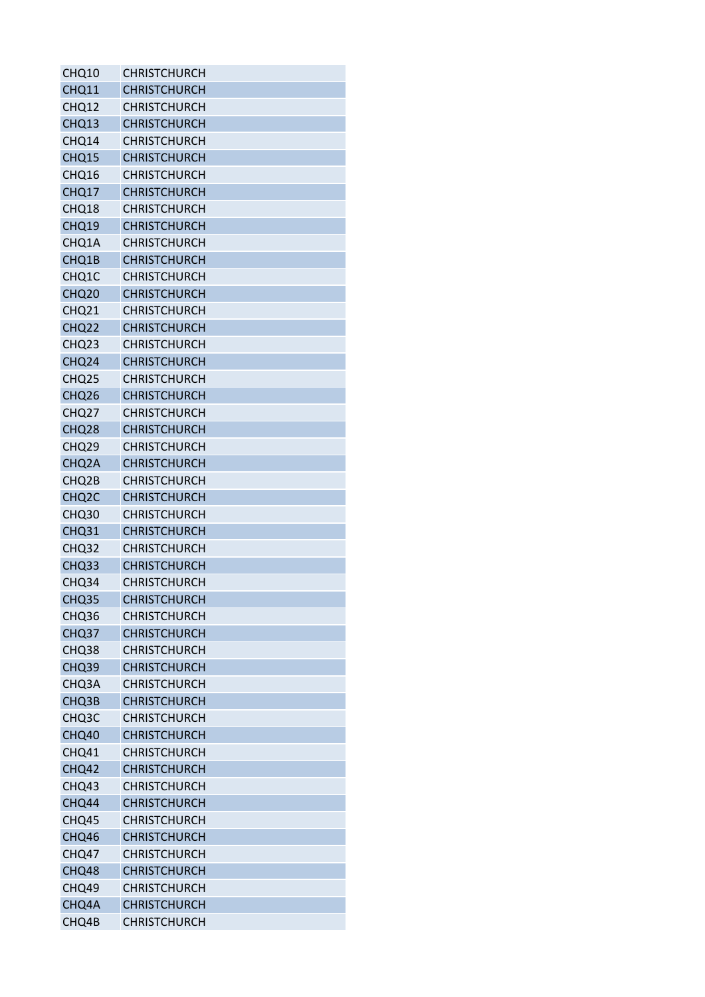| CHQ10              | <b>CHRISTCHURCH</b> |
|--------------------|---------------------|
| CHQ11              | <b>CHRISTCHURCH</b> |
| CHQ12              | <b>CHRISTCHURCH</b> |
| CHQ13              | <b>CHRISTCHURCH</b> |
| CHQ14              | <b>CHRISTCHURCH</b> |
| CHQ15              | <b>CHRISTCHURCH</b> |
| CHQ16              | <b>CHRISTCHURCH</b> |
| CHQ17              | <b>CHRISTCHURCH</b> |
| CHQ18              | <b>CHRISTCHURCH</b> |
| CHQ19              | <b>CHRISTCHURCH</b> |
| CHQ1A              | <b>CHRISTCHURCH</b> |
| CHQ1B              | <b>CHRISTCHURCH</b> |
| CHQ1C              | <b>CHRISTCHURCH</b> |
| CHQ <sub>20</sub>  | <b>CHRISTCHURCH</b> |
| CHQ21              | <b>CHRISTCHURCH</b> |
| CHQ <sub>22</sub>  | <b>CHRISTCHURCH</b> |
| CHQ <sub>23</sub>  | <b>CHRISTCHURCH</b> |
| CHQ <sub>24</sub>  | <b>CHRISTCHURCH</b> |
| CHQ <sub>25</sub>  | <b>CHRISTCHURCH</b> |
| CHQ <sub>26</sub>  | <b>CHRISTCHURCH</b> |
| CHQ <sub>27</sub>  | <b>CHRISTCHURCH</b> |
| CHQ <sub>28</sub>  | <b>CHRISTCHURCH</b> |
| CHQ <sub>29</sub>  | <b>CHRISTCHURCH</b> |
| CHQ <sub>2</sub> A | <b>CHRISTCHURCH</b> |
| CHQ <sub>2</sub> B | <b>CHRISTCHURCH</b> |
| CHQ <sub>2</sub> C | <b>CHRISTCHURCH</b> |
| CHQ <sub>30</sub>  | <b>CHRISTCHURCH</b> |
| CHQ31              | <b>CHRISTCHURCH</b> |
| CHQ32              | <b>CHRISTCHURCH</b> |
| CHQ33              | <b>CHRISTCHURCH</b> |
| CHQ34              | <b>CHRISTCHURCH</b> |
| CHQ35              | <b>CHRISTCHURCH</b> |
| CHQ36              | <b>CHRISTCHURCH</b> |
| CHQ37              | <b>CHRISTCHURCH</b> |
| CHQ38              | <b>CHRISTCHURCH</b> |
| CHQ39              | <b>CHRISTCHURCH</b> |
| CHQ3A              | <b>CHRISTCHURCH</b> |
| CHQ3B              | <b>CHRISTCHURCH</b> |
| CHQ <sub>3</sub> C | <b>CHRISTCHURCH</b> |
| CHQ40              | <b>CHRISTCHURCH</b> |
| CHQ41              | <b>CHRISTCHURCH</b> |
| CHQ42              | <b>CHRISTCHURCH</b> |
| CHQ43              | <b>CHRISTCHURCH</b> |
| CHQ44              | <b>CHRISTCHURCH</b> |
| CHQ45              | <b>CHRISTCHURCH</b> |
| CHQ46              | <b>CHRISTCHURCH</b> |
| CHQ47              | <b>CHRISTCHURCH</b> |
| CHQ48              | <b>CHRISTCHURCH</b> |
| CHQ49              | <b>CHRISTCHURCH</b> |
| CHQ4A              | <b>CHRISTCHURCH</b> |
| CHQ4B              | <b>CHRISTCHURCH</b> |
|                    |                     |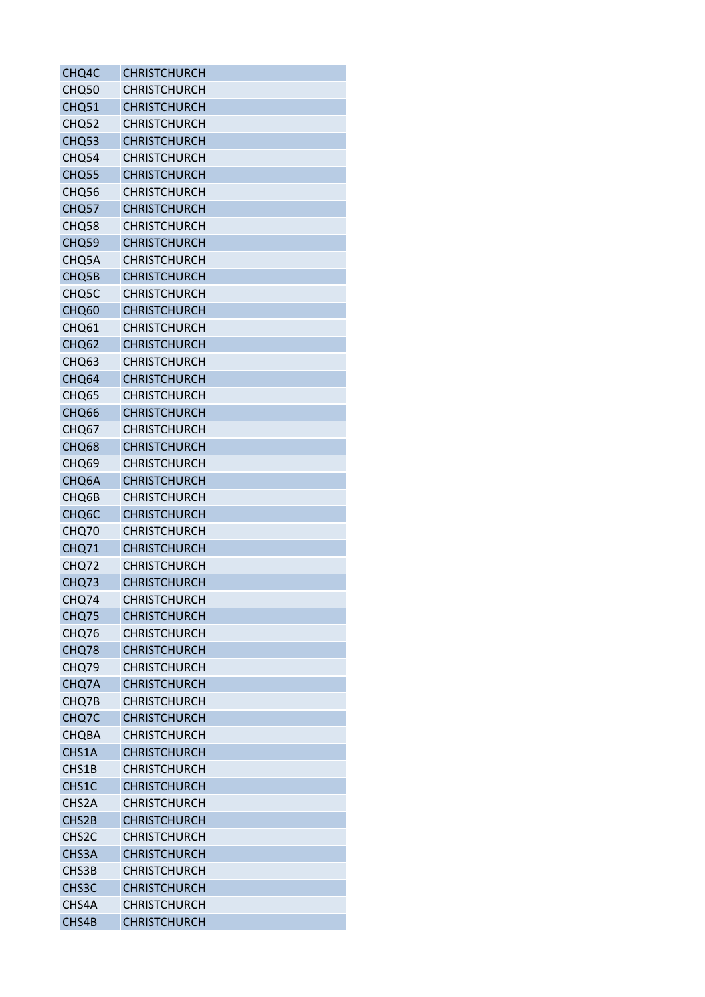| CHQ4C              | <b>CHRISTCHURCH</b> |
|--------------------|---------------------|
| CHQ50              | <b>CHRISTCHURCH</b> |
| CHQ51              | <b>CHRISTCHURCH</b> |
| CHQ52              | <b>CHRISTCHURCH</b> |
| CHQ53              | <b>CHRISTCHURCH</b> |
| CHQ54              | <b>CHRISTCHURCH</b> |
| CHQ55              | <b>CHRISTCHURCH</b> |
| CHQ56              | <b>CHRISTCHURCH</b> |
| CHQ57              | <b>CHRISTCHURCH</b> |
| CHQ58              | <b>CHRISTCHURCH</b> |
| CHQ59              | <b>CHRISTCHURCH</b> |
| CHQ5A              | <b>CHRISTCHURCH</b> |
| CHQ5B              | <b>CHRISTCHURCH</b> |
| CHQ5C              | <b>CHRISTCHURCH</b> |
| CHQ60              | <b>CHRISTCHURCH</b> |
| CHQ61              | <b>CHRISTCHURCH</b> |
| CHQ <sub>62</sub>  | <b>CHRISTCHURCH</b> |
| CHQ <sub>63</sub>  | <b>CHRISTCHURCH</b> |
| CHQ64              | <b>CHRISTCHURCH</b> |
| CHQ65              | <b>CHRISTCHURCH</b> |
| CHQ <sub>66</sub>  | <b>CHRISTCHURCH</b> |
| CHQ <sub>67</sub>  | <b>CHRISTCHURCH</b> |
| CHQ68              | <b>CHRISTCHURCH</b> |
| CHQ69              | <b>CHRISTCHURCH</b> |
| CHQ6A              | <b>CHRISTCHURCH</b> |
| CHQ6B              | <b>CHRISTCHURCH</b> |
| CHQ <sub>6</sub> C | <b>CHRISTCHURCH</b> |
| CHQ70              | <b>CHRISTCHURCH</b> |
| CHQ71              | <b>CHRISTCHURCH</b> |
| CHQ72              | <b>CHRISTCHURCH</b> |
| CHQ73              | <b>CHRISTCHURCH</b> |
| CHQ74              | <b>CHRISTCHURCH</b> |
| CHQ75              | <b>CHRISTCHURCH</b> |
| CHQ76              | <b>CHRISTCHURCH</b> |
| CHQ78              | <b>CHRISTCHURCH</b> |
| CHQ79              | <b>CHRISTCHURCH</b> |
| CHQ7A              | <b>CHRISTCHURCH</b> |
| CHQ7B              | <b>CHRISTCHURCH</b> |
| CHQ7C              | <b>CHRISTCHURCH</b> |
| <b>CHQBA</b>       | <b>CHRISTCHURCH</b> |
| CHS1A              | <b>CHRISTCHURCH</b> |
| CHS1B              | <b>CHRISTCHURCH</b> |
| CHS1C              | <b>CHRISTCHURCH</b> |
| CHS2A              | <b>CHRISTCHURCH</b> |
| CHS2B              | <b>CHRISTCHURCH</b> |
| CHS <sub>2</sub> C | <b>CHRISTCHURCH</b> |
| CHS3A              | <b>CHRISTCHURCH</b> |
| CHS3B              | <b>CHRISTCHURCH</b> |
| CHS3C              | <b>CHRISTCHURCH</b> |
| CHS4A              | <b>CHRISTCHURCH</b> |
| CHS4B              | <b>CHRISTCHURCH</b> |
|                    |                     |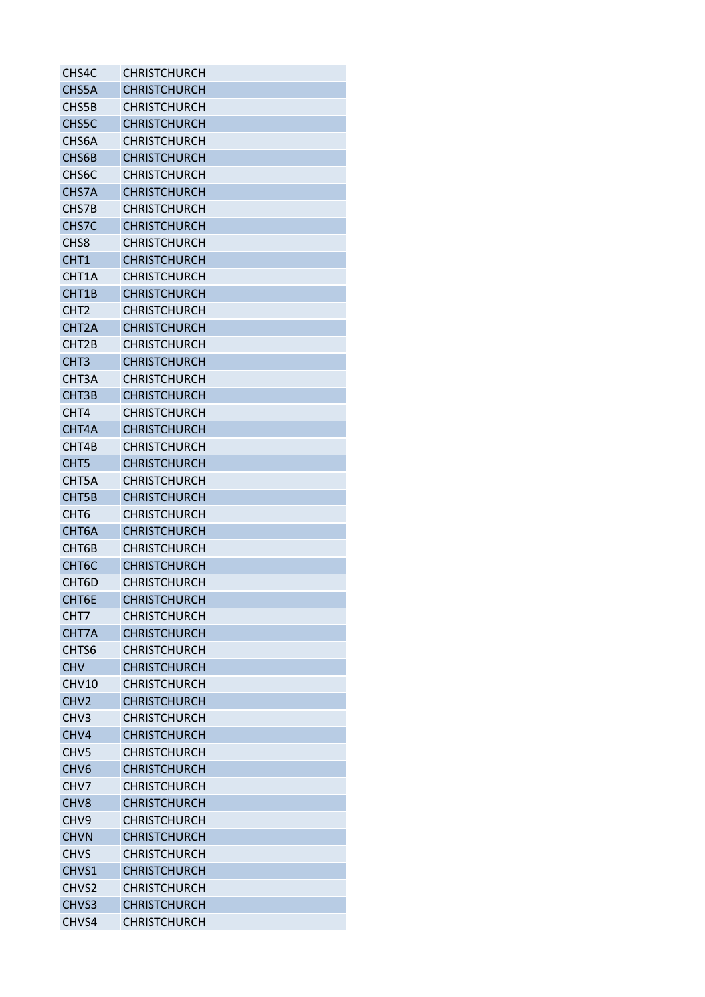| CHS4C              | <b>CHRISTCHURCH</b> |
|--------------------|---------------------|
| CHS5A              | <b>CHRISTCHURCH</b> |
| CHS5B              | CHRISTCHURCH        |
| CHS5C              | <b>CHRISTCHURCH</b> |
| CHS <sub>6</sub> A | <b>CHRISTCHURCH</b> |
| CHS6B              | <b>CHRISTCHURCH</b> |
| CHS <sub>6</sub> C | <b>CHRISTCHURCH</b> |
| CHS7A              | <b>CHRISTCHURCH</b> |
| CHS7B              | <b>CHRISTCHURCH</b> |
| CHS7C              | <b>CHRISTCHURCH</b> |
| CH <sub>S</sub> 8  | <b>CHRISTCHURCH</b> |
| CHT <sub>1</sub>   | <b>CHRISTCHURCH</b> |
| CHT1A              | <b>CHRISTCHURCH</b> |
| CHT1B              | <b>CHRISTCHURCH</b> |
| CHT <sub>2</sub>   | <b>CHRISTCHURCH</b> |
| CHT <sub>2</sub> A | <b>CHRISTCHURCH</b> |
| CHT <sub>2</sub> B | <b>CHRISTCHURCH</b> |
| CHT <sub>3</sub>   | <b>CHRISTCHURCH</b> |
| CHT3A              | <b>CHRISTCHURCH</b> |
| CHT3B              | <b>CHRISTCHURCH</b> |
| CHT4               | <b>CHRISTCHURCH</b> |
| CHT4A              | <b>CHRISTCHURCH</b> |
| CHT4B              | <b>CHRISTCHURCH</b> |
| CHT <sub>5</sub>   | <b>CHRISTCHURCH</b> |
| CHT5A              | <b>CHRISTCHURCH</b> |
| CHT5B              | <b>CHRISTCHURCH</b> |
| CHT <sub>6</sub>   | <b>CHRISTCHURCH</b> |
| CHT <sub>6</sub> A | <b>CHRISTCHURCH</b> |
| CHT6B              | <b>CHRISTCHURCH</b> |
| CHT <sub>6</sub> C | <b>CHRISTCHURCH</b> |
| CHT6D              | <b>CHRISTCHURCH</b> |
| CHT6E              | <b>CHRISTCHURCH</b> |
| CHT7               | <b>CHRISTCHURCH</b> |
| CHT7A              | <b>CHRISTCHURCH</b> |
| CHTS6              | <b>CHRISTCHURCH</b> |
| <b>CHV</b>         | <b>CHRISTCHURCH</b> |
| CHV10              | <b>CHRISTCHURCH</b> |
| CHV <sub>2</sub>   | <b>CHRISTCHURCH</b> |
| CHV <sub>3</sub>   | <b>CHRISTCHURCH</b> |
| CHV4               | <b>CHRISTCHURCH</b> |
| CHV <sub>5</sub>   | <b>CHRISTCHURCH</b> |
| CHV <sub>6</sub>   | <b>CHRISTCHURCH</b> |
| CHV7               | <b>CHRISTCHURCH</b> |
| CH <sub>V</sub> 8  | <b>CHRISTCHURCH</b> |
| CHV <sub>9</sub>   | <b>CHRISTCHURCH</b> |
| <b>CHVN</b>        | <b>CHRISTCHURCH</b> |
| <b>CHVS</b>        | <b>CHRISTCHURCH</b> |
| CHVS1              | <b>CHRISTCHURCH</b> |
| CHVS <sub>2</sub>  | <b>CHRISTCHURCH</b> |
| CHVS3              | <b>CHRISTCHURCH</b> |
| CHVS4              | CHRISTCHURCH        |
|                    |                     |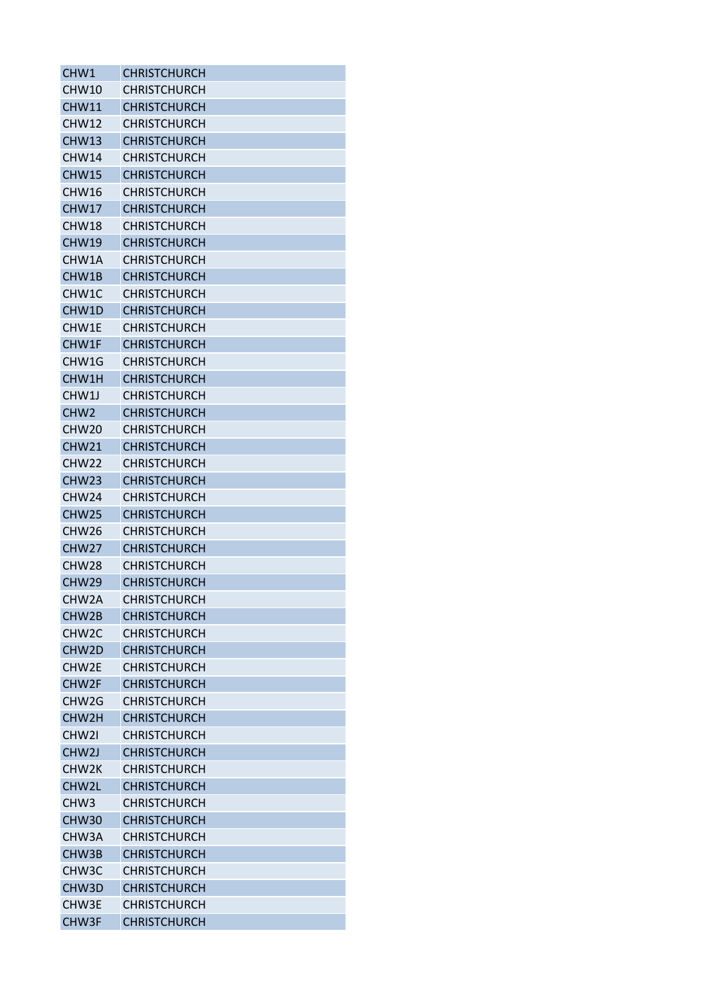| CHW1               | <b>CHRISTCHURCH</b> |
|--------------------|---------------------|
| CHW10              | <b>CHRISTCHURCH</b> |
| CHW11              | <b>CHRISTCHURCH</b> |
| CHW12              | <b>CHRISTCHURCH</b> |
| CHW13              | <b>CHRISTCHURCH</b> |
| CHW14              | <b>CHRISTCHURCH</b> |
| <b>CHW15</b>       | <b>CHRISTCHURCH</b> |
| CHW16              | <b>CHRISTCHURCH</b> |
| CHW17              | <b>CHRISTCHURCH</b> |
| CHW <sub>18</sub>  | CHRISTCHURCH        |
| <b>CHW19</b>       | <b>CHRISTCHURCH</b> |
| CHW1A              | <b>CHRISTCHURCH</b> |
| CHW1B              | <b>CHRISTCHURCH</b> |
| CHW1C              | <b>CHRISTCHURCH</b> |
| CHW1D              | <b>CHRISTCHURCH</b> |
| CHW1E              | <b>CHRISTCHURCH</b> |
| CHW1F              | <b>CHRISTCHURCH</b> |
| CHW1G              | <b>CHRISTCHURCH</b> |
| CHW1H              | <b>CHRISTCHURCH</b> |
| CHW1J              | <b>CHRISTCHURCH</b> |
| CHW <sub>2</sub>   | <b>CHRISTCHURCH</b> |
| CHW <sub>20</sub>  | <b>CHRISTCHURCH</b> |
| CHW21              | <b>CHRISTCHURCH</b> |
| CHW <sub>22</sub>  | <b>CHRISTCHURCH</b> |
| CHW <sub>23</sub>  | <b>CHRISTCHURCH</b> |
| CHW <sub>24</sub>  | <b>CHRISTCHURCH</b> |
| CHW25              | <b>CHRISTCHURCH</b> |
| CHW <sub>26</sub>  | <b>CHRISTCHURCH</b> |
| CHW27              | <b>CHRISTCHURCH</b> |
| CHW <sub>28</sub>  | <b>CHRISTCHURCH</b> |
| CHW <sub>29</sub>  | <b>CHRISTCHURCH</b> |
| CHW2A              | <b>CHRISTCHURCH</b> |
| CHW <sub>2</sub> B | <b>CHRISTCHURCH</b> |
| CHW <sub>2</sub> C | <b>CHRISTCHURCH</b> |
| CHW <sub>2</sub> D | <b>CHRISTCHURCH</b> |
| CHW2F              | <b>CHRISTCHURCH</b> |
| CHW2F              | <b>CHRISTCHURCH</b> |
| CHW <sub>2</sub> G | <b>CHRISTCHURCH</b> |
| CHW2H              | <b>CHRISTCHURCH</b> |
| CHW <sub>21</sub>  | <b>CHRISTCHURCH</b> |
| CHW <sub>2</sub> J | <b>CHRISTCHURCH</b> |
| CHW <sub>2K</sub>  | <b>CHRISTCHURCH</b> |
| CHW2L              | <b>CHRISTCHURCH</b> |
| CHW <sub>3</sub>   | <b>CHRISTCHURCH</b> |
| <b>CHW30</b>       | <b>CHRISTCHURCH</b> |
| CHW3A              | <b>CHRISTCHURCH</b> |
| CHW3B              | <b>CHRISTCHURCH</b> |
| CHW3C              | <b>CHRISTCHURCH</b> |
| CHW3D              | <b>CHRISTCHURCH</b> |
| CHW3E              | <b>CHRISTCHURCH</b> |
| CHW3F              | <b>CHRISTCHURCH</b> |
|                    |                     |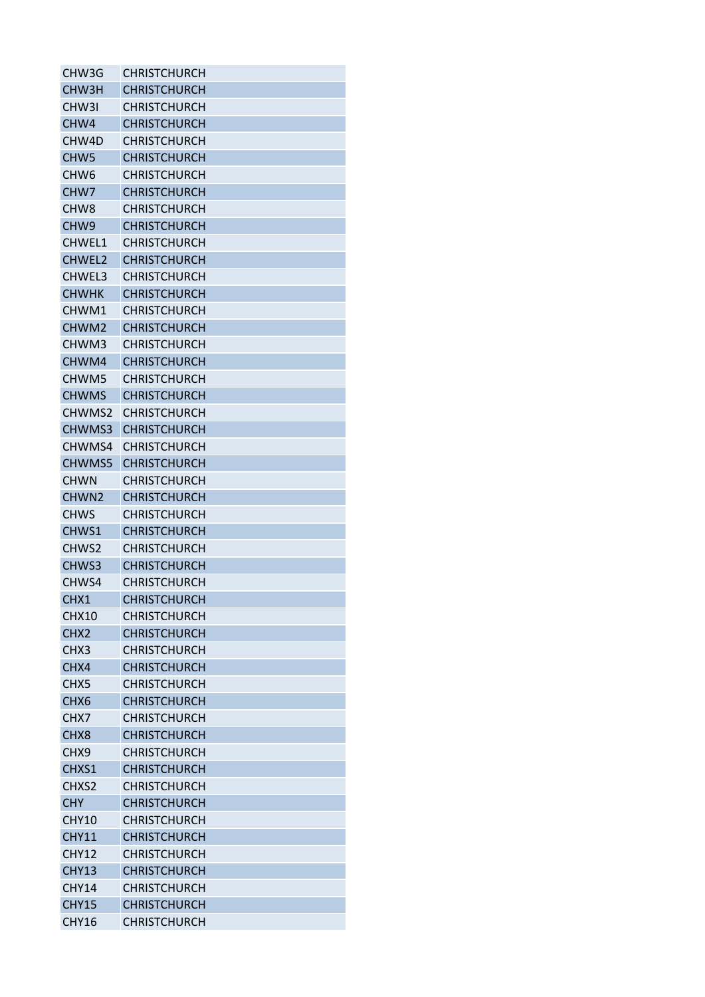| CHW3G             | CHRISTCHURCH        |
|-------------------|---------------------|
| CHW3H             | <b>CHRISTCHURCH</b> |
| CHW3I             | <b>CHRISTCHURCH</b> |
| CHW4              | <b>CHRISTCHURCH</b> |
| CHW4D             | <b>CHRISTCHURCH</b> |
| CHW <sub>5</sub>  | <b>CHRISTCHURCH</b> |
| CHW <sub>6</sub>  | <b>CHRISTCHURCH</b> |
| CHW <sub>7</sub>  | <b>CHRISTCHURCH</b> |
| CHW <sub>8</sub>  | <b>CHRISTCHURCH</b> |
| CHW <sub>9</sub>  | <b>CHRISTCHURCH</b> |
| CHWEL1            | <b>CHRISTCHURCH</b> |
| CHWEL2            | <b>CHRISTCHURCH</b> |
| CHWEL3            | <b>CHRISTCHURCH</b> |
| <b>CHWHK</b>      | <b>CHRISTCHURCH</b> |
| CHWM1             | <b>CHRISTCHURCH</b> |
| CHWM2             | <b>CHRISTCHURCH</b> |
| CHWM3             | <b>CHRISTCHURCH</b> |
| CHWM4             | <b>CHRISTCHURCH</b> |
| CHWM5             | <b>CHRISTCHURCH</b> |
| <b>CHWMS</b>      | <b>CHRISTCHURCH</b> |
| CHWMS2            | <b>CHRISTCHURCH</b> |
| CHWMS3            | <b>CHRISTCHURCH</b> |
| CHWMS4            | CHRISTCHURCH        |
| CHWMS5            | <b>CHRISTCHURCH</b> |
| <b>CHWN</b>       | <b>CHRISTCHURCH</b> |
| CHWN <sub>2</sub> | <b>CHRISTCHURCH</b> |
| <b>CHWS</b>       | <b>CHRISTCHURCH</b> |
|                   |                     |
| CHWS1             | <b>CHRISTCHURCH</b> |
| CHWS2             | <b>CHRISTCHURCH</b> |
| CHWS3             | <b>CHRISTCHURCH</b> |
| CHWS4             | <b>CHRISTCHURCH</b> |
| CHX1              | <b>CHRISTCHURCH</b> |
| CHX10             | <b>CHRISTCHURCH</b> |
| CHX <sub>2</sub>  | <b>CHRISTCHURCH</b> |
| CHX3              | <b>CHRISTCHURCH</b> |
| CHX4              | <b>CHRISTCHURCH</b> |
| CHX <sub>5</sub>  | <b>CHRISTCHURCH</b> |
| CHX <sub>6</sub>  | <b>CHRISTCHURCH</b> |
| CHX7              | <b>CHRISTCHURCH</b> |
| CHX <sub>8</sub>  | <b>CHRISTCHURCH</b> |
| CHX9              | <b>CHRISTCHURCH</b> |
| CHXS1             | <b>CHRISTCHURCH</b> |
| CHXS2             | <b>CHRISTCHURCH</b> |
| <b>CHY</b>        | <b>CHRISTCHURCH</b> |
| <b>CHY10</b>      | <b>CHRISTCHURCH</b> |
| <b>CHY11</b>      | <b>CHRISTCHURCH</b> |
| <b>CHY12</b>      | <b>CHRISTCHURCH</b> |
| <b>CHY13</b>      | <b>CHRISTCHURCH</b> |
| CHY14             | <b>CHRISTCHURCH</b> |
| <b>CHY15</b>      | <b>CHRISTCHURCH</b> |
| <b>CHY16</b>      | CHRISTCHURCH        |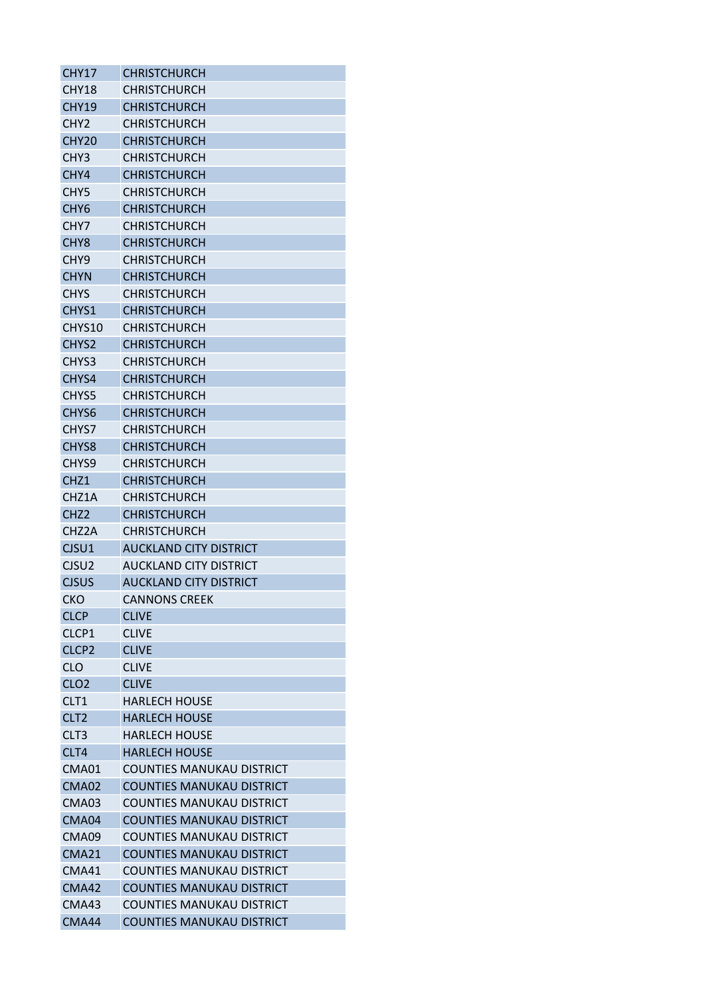| <b>CHY17</b>       | <b>CHRISTCHURCH</b>              |
|--------------------|----------------------------------|
| <b>CHY18</b>       | CHRISTCHURCH                     |
| CHY19              | <b>CHRISTCHURCH</b>              |
| CHY <sub>2</sub>   | <b>CHRISTCHURCH</b>              |
| <b>CHY20</b>       | <b>CHRISTCHURCH</b>              |
| CHY3               | <b>CHRISTCHURCH</b>              |
| CHY4               | <b>CHRISTCHURCH</b>              |
| CHY <sub>5</sub>   | <b>CHRISTCHURCH</b>              |
| CHY <sub>6</sub>   | <b>CHRISTCHURCH</b>              |
| CHY7               | <b>CHRISTCHURCH</b>              |
| CHY <sub>8</sub>   | <b>CHRISTCHURCH</b>              |
| CHY <sub>9</sub>   | <b>CHRISTCHURCH</b>              |
| <b>CHYN</b>        | <b>CHRISTCHURCH</b>              |
| <b>CHYS</b>        | <b>CHRISTCHURCH</b>              |
| CHYS1              | <b>CHRISTCHURCH</b>              |
| CHYS10             | <b>CHRISTCHURCH</b>              |
| CHYS <sub>2</sub>  | <b>CHRISTCHURCH</b>              |
| CHYS3              | <b>CHRISTCHURCH</b>              |
| CHYS4              | <b>CHRISTCHURCH</b>              |
| CHYS5              | <b>CHRISTCHURCH</b>              |
| CHYS <sub>6</sub>  | <b>CHRISTCHURCH</b>              |
| CHYS7              | <b>CHRISTCHURCH</b>              |
| CHYS <sub>8</sub>  |                                  |
|                    | <b>CHRISTCHURCH</b>              |
| CHYS9              | <b>CHRISTCHURCH</b>              |
| CHZ <sub>1</sub>   | <b>CHRISTCHURCH</b>              |
| CHZ1A              | <b>CHRISTCHURCH</b>              |
| CH <sub>Z</sub> 2  | <b>CHRISTCHURCH</b>              |
| CHZ <sub>2</sub> A | <b>CHRISTCHURCH</b>              |
| CJSU1              | <b>AUCKLAND CITY DISTRICT</b>    |
| CJSU <sub>2</sub>  | <b>AUCKLAND CITY DISTRICT</b>    |
| <b>CJSUS</b>       | <b>AUCKLAND CITY DISTRICT</b>    |
| <b>CKO</b>         | <b>CANNONS CREEK</b>             |
| <b>CLCP</b>        | <b>CLIVE</b>                     |
| CLCP1              | <b>CLIVE</b>                     |
| CLCP <sub>2</sub>  | <b>CLIVE</b>                     |
| <b>CLO</b>         | <b>CLIVE</b>                     |
| CLO <sub>2</sub>   | <b>CLIVE</b>                     |
| CLT1               | <b>HARLECH HOUSE</b>             |
| CLT <sub>2</sub>   | <b>HARLECH HOUSE</b>             |
| CLT <sub>3</sub>   | <b>HARLECH HOUSE</b>             |
| CLT4               | <b>HARLECH HOUSE</b>             |
| CMA01              | <b>COUNTIES MANUKAU DISTRICT</b> |
| CMA02              | <b>COUNTIES MANUKAU DISTRICT</b> |
| CMA03              | <b>COUNTIES MANUKAU DISTRICT</b> |
| CMA04              | <b>COUNTIES MANUKAU DISTRICT</b> |
| CMA09              | <b>COUNTIES MANUKAU DISTRICT</b> |
| <b>CMA21</b>       | <b>COUNTIES MANUKAU DISTRICT</b> |
| CMA41              | <b>COUNTIES MANUKAU DISTRICT</b> |
| CMA42              | <b>COUNTIES MANUKAU DISTRICT</b> |
| CMA43              | <b>COUNTIES MANUKAU DISTRICT</b> |
| CMA44              | <b>COUNTIES MANUKAU DISTRICT</b> |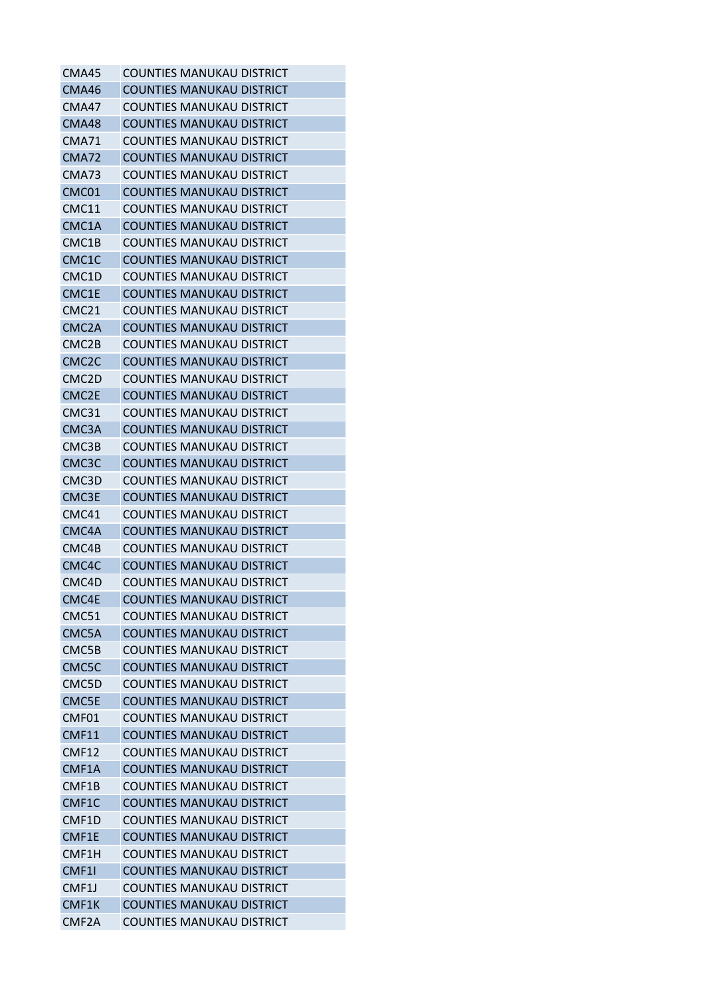| CMA45              | <b>COUNTIES MANUKAU DISTRICT</b> |
|--------------------|----------------------------------|
| CMA46              | <b>COUNTIES MANUKAU DISTRICT</b> |
| CMA47              | COUNTIES MANUKAU DISTRICT        |
| CMA48              | <b>COUNTIES MANUKAU DISTRICT</b> |
| <b>CMA71</b>       | <b>COUNTIES MANUKAU DISTRICT</b> |
| <b>CMA72</b>       | COUNTIES MANUKAU DISTRICT        |
| CMA73              | COUNTIES MANUKAU DISTRICT        |
| CMC01              | <b>COUNTIES MANUKAU DISTRICT</b> |
| CMC11              | <b>COUNTIES MANUKAU DISTRICT</b> |
| CMC1A              | <b>COUNTIES MANUKAU DISTRICT</b> |
| CMC1B              | COUNTIES MANUKAU DISTRICT        |
| CMC1C              | <b>COUNTIES MANUKAU DISTRICT</b> |
| CMC1D              | <b>COUNTIES MANUKAU DISTRICT</b> |
| CMC1E              | COUNTIES MANUKAU DISTRICT        |
| CMC21              | <b>COUNTIES MANUKAU DISTRICT</b> |
| CMC <sub>2</sub> A | <b>COUNTIES MANUKAU DISTRICT</b> |
| CMC <sub>2B</sub>  | COUNTIES MANUKAU DISTRICT        |
| CMC <sub>2</sub> C | COUNTIES MANUKAU DISTRICT        |
| CMC2D              | COUNTIES MANUKAU DISTRICT        |
| CMC <sub>2E</sub>  | <b>COUNTIES MANUKAU DISTRICT</b> |
| CMC31              | <b>COUNTIES MANUKAU DISTRICT</b> |
| CMC3A              | COUNTIES MANUKAU DISTRICT        |
| CMC3B              | <b>COUNTIES MANUKAU DISTRICT</b> |
| CMC3C              | <b>COUNTIES MANUKAU DISTRICT</b> |
| CMC3D              | COUNTIES MANUKAU DISTRICT        |
| CMC3E              | COUNTIES MANUKAU DISTRICT        |
| CMC41              | COUNTIES MANUKAU DISTRICT        |
| CMC4A              | <b>COUNTIES MANUKAU DISTRICT</b> |
| CMC4B              | COUNTIES MANUKAU DISTRICT        |
| CMC4C              | <b>COUNTIES MANUKAU DISTRICT</b> |
| CMC4D              | <b>COUNTIES MANUKAU DISTRICT</b> |
| CMC4E              | <b>COUNTIES MANUKAU DISTRICT</b> |
| CMC51              | COUNTIES MANUKAU DISTRICT        |
| CMC5A              | <b>COUNTIES MANUKAU DISTRICT</b> |
| CMC5B              | <b>COUNTIES MANUKAU DISTRICT</b> |
| CMC5C              | COUNTIES MANUKAU DISTRICT        |
| CMC5D              | <b>COUNTIES MANUKAU DISTRICT</b> |
| CMC5E              | <b>COUNTIES MANUKAU DISTRICT</b> |
| CMF01              | <b>COUNTIES MANUKAU DISTRICT</b> |
| <b>CMF11</b>       | <b>COUNTIES MANUKAU DISTRICT</b> |
| <b>CMF12</b>       | <b>COUNTIES MANUKAU DISTRICT</b> |
| CMF1A              | <b>COUNTIES MANUKAU DISTRICT</b> |
| CMF1B              | <b>COUNTIES MANUKAU DISTRICT</b> |
| CMF1C              | <b>COUNTIES MANUKAU DISTRICT</b> |
| CMF1D              | <b>COUNTIES MANUKAU DISTRICT</b> |
| CMF1E              | <b>COUNTIES MANUKAU DISTRICT</b> |
| CMF1H              | <b>COUNTIES MANUKAU DISTRICT</b> |
| CMF1I              | <b>COUNTIES MANUKAU DISTRICT</b> |
| CMF1J              | <b>COUNTIES MANUKAU DISTRICT</b> |
| CMF1K              | <b>COUNTIES MANUKAU DISTRICT</b> |
| CMF <sub>2</sub> A | <b>COUNTIES MANUKAU DISTRICT</b> |
|                    |                                  |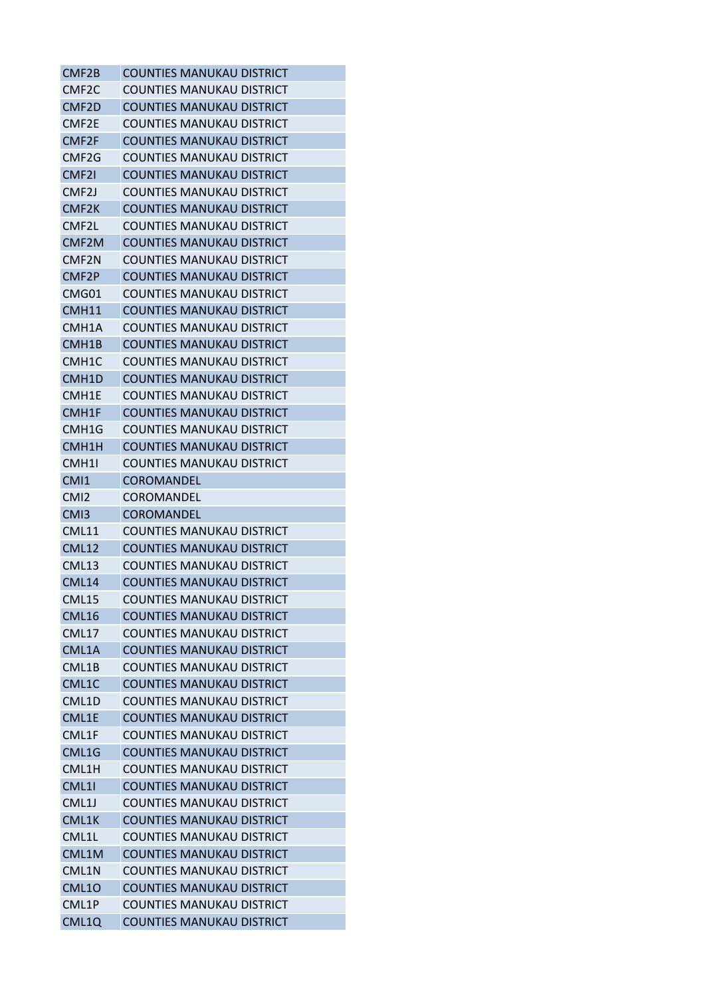| CMF2B              | <b>COUNTIES MANUKAU DISTRICT</b> |
|--------------------|----------------------------------|
| CMF <sub>2</sub> C | COUNTIES MANUKAU DISTRICT        |
| CMF <sub>2</sub> D | <b>COUNTIES MANUKAU DISTRICT</b> |
| CMF <sub>2E</sub>  | <b>COUNTIES MANUKAU DISTRICT</b> |
| CMF <sub>2F</sub>  | <b>COUNTIES MANUKAU DISTRICT</b> |
| CMF <sub>2G</sub>  | <b>COUNTIES MANUKAU DISTRICT</b> |
| CMF21              | COUNTIES MANUKAU DISTRICT        |
| CMF <sub>2</sub> J | <b>COUNTIES MANUKAU DISTRICT</b> |
| CMF <sub>2K</sub>  | <b>COUNTIES MANUKAU DISTRICT</b> |
| CMF2L              | COUNTIES MANUKAU DISTRICT        |
| CMF2M              | <b>COUNTIES MANUKAU DISTRICT</b> |
| CMF <sub>2N</sub>  | <b>COUNTIES MANUKAU DISTRICT</b> |
| CMF2P              | <b>COUNTIES MANUKAU DISTRICT</b> |
| CMG01              | <b>COUNTIES MANUKAU DISTRICT</b> |
| CMH11              | <b>COUNTIES MANUKAU DISTRICT</b> |
| CMH1A              | <b>COUNTIES MANUKAU DISTRICT</b> |
| CMH <sub>1B</sub>  | <b>COUNTIES MANUKAU DISTRICT</b> |
| CMH1C              | <b>COUNTIES MANUKAU DISTRICT</b> |
| CMH <sub>1</sub> D | <b>COUNTIES MANUKAU DISTRICT</b> |
| CMH1E              | <b>COUNTIES MANUKAU DISTRICT</b> |
| CMH1F              | <b>COUNTIES MANUKAU DISTRICT</b> |
| CMH1G              | <b>COUNTIES MANUKAU DISTRICT</b> |
| CMH1H              | <b>COUNTIES MANUKAU DISTRICT</b> |
| CMH1I              | <b>COUNTIES MANUKAU DISTRICT</b> |
| CMI1               | <b>COROMANDEL</b>                |
| CM <sub>12</sub>   | <b>COROMANDEL</b>                |
| CM <sub>13</sub>   | <b>COROMANDEL</b>                |
| <b>CML11</b>       | <b>COUNTIES MANUKAU DISTRICT</b> |
| <b>CML12</b>       | <b>COUNTIES MANUKAU DISTRICT</b> |
|                    |                                  |
| CML13              | COUNTIES MANUKAU DISTRICT        |
| CML14              | <b>COUNTIES MANUKAU DISTRICT</b> |
| <b>CML15</b>       | <b>COUNTIES MANUKAU DISTRICT</b> |
| <b>CML16</b>       | <b>COUNTIES MANUKAU DISTRICT</b> |
| <b>CML17</b>       | <b>COUNTIES MANUKAU DISTRICT</b> |
| CML1A              | <b>COUNTIES MANUKAU DISTRICT</b> |
| CML1B              | <b>COUNTIES MANUKAU DISTRICT</b> |
| CML1C              | <b>COUNTIES MANUKAU DISTRICT</b> |
| CML1D              | <b>COUNTIES MANUKAU DISTRICT</b> |
| CML1E              | <b>COUNTIES MANUKAU DISTRICT</b> |
| CML1F              | <b>COUNTIES MANUKAU DISTRICT</b> |
| CML1G              | <b>COUNTIES MANUKAU DISTRICT</b> |
| CML1H              | <b>COUNTIES MANUKAU DISTRICT</b> |
| CML11              | <b>COUNTIES MANUKAU DISTRICT</b> |
| CML1J              | <b>COUNTIES MANUKAU DISTRICT</b> |
| CML1K              | <b>COUNTIES MANUKAU DISTRICT</b> |
| CML1L              | <b>COUNTIES MANUKAU DISTRICT</b> |
| CML1M              | <b>COUNTIES MANUKAU DISTRICT</b> |
| CML1N              | <b>COUNTIES MANUKAU DISTRICT</b> |
| <b>CML10</b>       | <b>COUNTIES MANUKAU DISTRICT</b> |
| CML1P              | <b>COUNTIES MANUKAU DISTRICT</b> |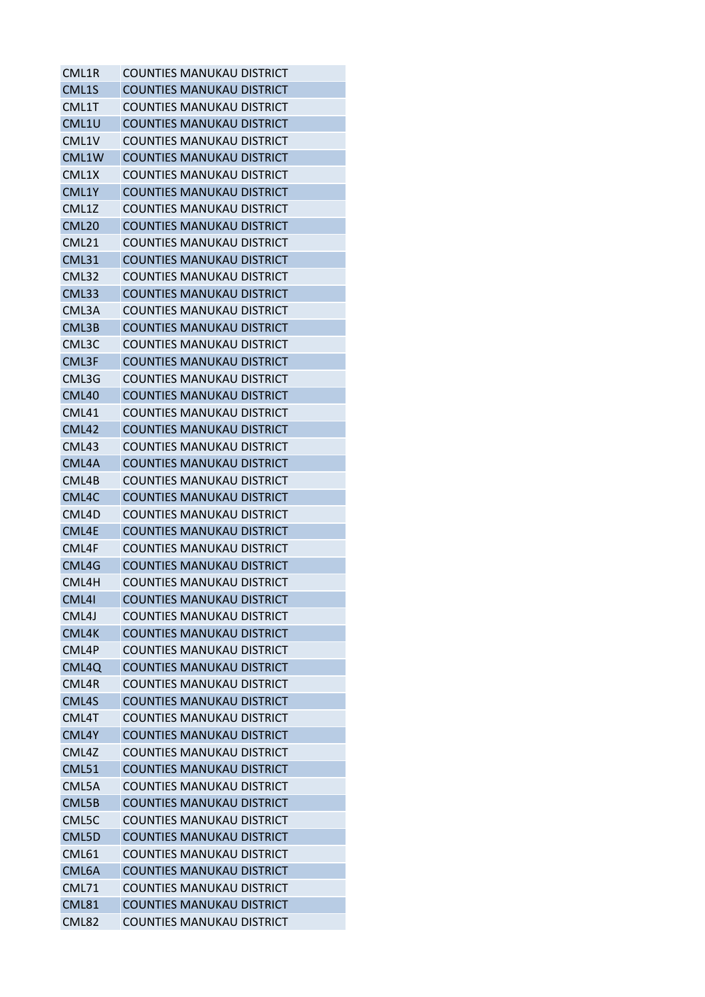| CML1R             | <b>COUNTIES MANUKAU DISTRICT</b> |
|-------------------|----------------------------------|
| CML1S             | <b>COUNTIES MANUKAU DISTRICT</b> |
| CML1T             | COUNTIES MANUKAU DISTRICT        |
| CML1U             | <b>COUNTIES MANUKAU DISTRICT</b> |
| CML1V             | <b>COUNTIES MANUKAU DISTRICT</b> |
| CML1W             | <b>COUNTIES MANUKAU DISTRICT</b> |
| CML1X             | <b>COUNTIES MANUKAU DISTRICT</b> |
| CML1Y             | <b>COUNTIES MANUKAU DISTRICT</b> |
| CML1Z             | <b>COUNTIES MANUKAU DISTRICT</b> |
| CML <sub>20</sub> | COUNTIES MANUKAU DISTRICT        |
| CML21             | <b>COUNTIES MANUKAU DISTRICT</b> |
| <b>CML31</b>      | <b>COUNTIES MANUKAU DISTRICT</b> |
| CML32             | <b>COUNTIES MANUKAU DISTRICT</b> |
| CML33             | COUNTIES MANUKAU DISTRICT        |
| CML3A             | COUNTIES MANUKAU DISTRICT        |
| CML3B             | <b>COUNTIES MANUKAU DISTRICT</b> |
| CML3C             | COUNTIES MANUKAU DISTRICT        |
| CML3F             | COUNTIES MANUKAU DISTRICT        |
| CML3G             | <b>COUNTIES MANUKAU DISTRICT</b> |
| <b>CML40</b>      | <b>COUNTIES MANUKAU DISTRICT</b> |
| CML41             | COUNTIES MANUKAU DISTRICT        |
| <b>CML42</b>      | COUNTIES MANUKAU DISTRICT        |
| CML43             | <b>COUNTIES MANUKAU DISTRICT</b> |
| CML4A             | <b>COUNTIES MANUKAU DISTRICT</b> |
| CML4B             | COUNTIES MANUKAU DISTRICT        |
| CML4C             | <b>COUNTIES MANUKAU DISTRICT</b> |
| CML4D             | <b>COUNTIES MANUKAU DISTRICT</b> |
| CML4E             | <b>COUNTIES MANUKAU DISTRICT</b> |
| CML4F             | <b>COUNTIES MANUKAU DISTRICT</b> |
| CML4G             | <b>COUNTIES MANUKAU DISTRICT</b> |
| CML4H             | <b>COUNTIES MANUKAU DISTRICT</b> |
| CML41             | <b>COUNTIES MANUKAU DISTRICT</b> |
| CML4J             | COUNTIFS MANUKAU DISTRICT        |
| CML4K             | <b>COUNTIES MANUKAU DISTRICT</b> |
| CML4P             | <b>COUNTIES MANUKAU DISTRICT</b> |
| CML4Q             | <b>COUNTIES MANUKAU DISTRICT</b> |
| CML4R             | <b>COUNTIES MANUKAU DISTRICT</b> |
| CML4S             | <b>COUNTIES MANUKAU DISTRICT</b> |
| CML4T             | COUNTIFS MANUKAU DISTRICT        |
| CML4Y             | <b>COUNTIES MANUKAU DISTRICT</b> |
| CML4Z             | <b>COUNTIES MANUKAU DISTRICT</b> |
| <b>CML51</b>      | <b>COUNTIES MANUKAU DISTRICT</b> |
| CML5A             | <b>COUNTIES MANUKAU DISTRICT</b> |
| CML5B             | <b>COUNTIES MANUKAU DISTRICT</b> |
| CML5C             | <b>COUNTIES MANUKAU DISTRICT</b> |
| CML5D             | <b>COUNTIES MANUKAU DISTRICT</b> |
| <b>CML61</b>      | <b>COUNTIES MANUKAU DISTRICT</b> |
| CML6A             | <b>COUNTIES MANUKAU DISTRICT</b> |
| <b>CML71</b>      | <b>COUNTIES MANUKAU DISTRICT</b> |
| <b>CML81</b>      | <b>COUNTIES MANUKAU DISTRICT</b> |
| CML82             | <b>COUNTIES MANUKAU DISTRICT</b> |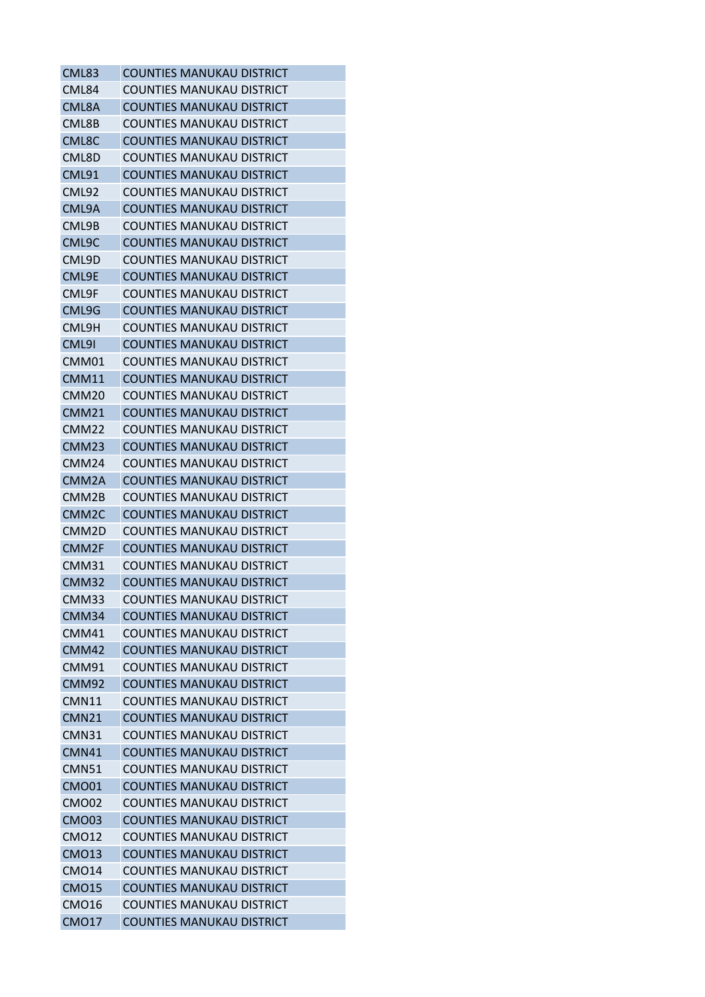| CML83             | <b>COUNTIES MANUKAU DISTRICT</b> |
|-------------------|----------------------------------|
| CML84             | <b>COUNTIES MANUKAU DISTRICT</b> |
| CML8A             | <b>COUNTIES MANUKAU DISTRICT</b> |
| CML8B             | <b>COUNTIES MANUKAU DISTRICT</b> |
| CML8C             | <b>COUNTIES MANUKAU DISTRICT</b> |
| CML8D             | COUNTIES MANUKAU DISTRICT        |
| CML91             | <b>COUNTIES MANUKAU DISTRICT</b> |
| <b>CML92</b>      | <b>COUNTIES MANUKAU DISTRICT</b> |
| CML9A             | <b>COUNTIES MANUKAU DISTRICT</b> |
| CML9B             | <b>COUNTIES MANUKAU DISTRICT</b> |
| CML9C             | <b>COUNTIES MANUKAU DISTRICT</b> |
| CML9D             | COUNTIES MANUKAU DISTRICT        |
| CML9E             | <b>COUNTIES MANUKAU DISTRICT</b> |
| CML9F             | COUNTIES MANUKAU DISTRICT        |
| CML9G             | <b>COUNTIES MANUKAU DISTRICT</b> |
| CML9H             | <b>COUNTIES MANUKAU DISTRICT</b> |
| CML9I             | <b>COUNTIES MANUKAU DISTRICT</b> |
| CMM01             | <b>COUNTIES MANUKAU DISTRICT</b> |
| CMM11             | <b>COUNTIES MANUKAU DISTRICT</b> |
| CMM20             | <b>COUNTIES MANUKAU DISTRICT</b> |
| CMM21             | COUNTIES MANUKAU DISTRICT        |
| CMM22             | <b>COUNTIES MANUKAU DISTRICT</b> |
| CMM <sub>23</sub> | <b>COUNTIES MANUKAU DISTRICT</b> |
| CMM <sub>24</sub> | COUNTIES MANUKAU DISTRICT        |
| CMM2A             | <b>COUNTIES MANUKAU DISTRICT</b> |
| CMM2B             | <b>COUNTIES MANUKAU DISTRICT</b> |
| CMM <sub>2C</sub> | <b>COUNTIES MANUKAU DISTRICT</b> |
| CMM2D             | <b>COUNTIES MANUKAU DISTRICT</b> |
| CMM2F             | <b>COUNTIES MANUKAU DISTRICT</b> |
| CMM31             | <b>COUNTIES MANUKAU DISTRICT</b> |
| CMM32             | <b>COUNTIES MANUKAU DISTRICT</b> |
| CMM33             | COUNTIES MANUKAU DISTRICT        |
| CMM34             | <b>COUNTIES MANUKAU DISTRICT</b> |
| CMM41             | <b>COUNTIES MANUKAU DISTRICT</b> |
| CMM42             | <b>COUNTIES MANUKAU DISTRICT</b> |
| CMM91             | <b>COUNTIES MANUKAU DISTRICT</b> |
| CMM92             | <b>COUNTIES MANUKAU DISTRICT</b> |
| <b>CMN11</b>      | <b>COUNTIES MANUKAU DISTRICT</b> |
| <b>CMN21</b>      | <b>COUNTIES MANUKAU DISTRICT</b> |
| CMN31             | <b>COUNTIES MANUKAU DISTRICT</b> |
| CMN41             | <b>COUNTIES MANUKAU DISTRICT</b> |
| <b>CMN51</b>      | <b>COUNTIES MANUKAU DISTRICT</b> |
| <b>CMO01</b>      | <b>COUNTIES MANUKAU DISTRICT</b> |
| CMO02             | <b>COUNTIES MANUKAU DISTRICT</b> |
| <b>CMO03</b>      | <b>COUNTIES MANUKAU DISTRICT</b> |
| <b>CMO12</b>      | <b>COUNTIES MANUKAU DISTRICT</b> |
| <b>CMO13</b>      | <b>COUNTIES MANUKAU DISTRICT</b> |
| <b>CMO14</b>      | <b>COUNTIES MANUKAU DISTRICT</b> |
| <b>CMO15</b>      | <b>COUNTIES MANUKAU DISTRICT</b> |
| CMO16             | COUNTIES MANUKAU DISTRICT        |
| <b>CMO17</b>      | <b>COUNTIES MANUKAU DISTRICT</b> |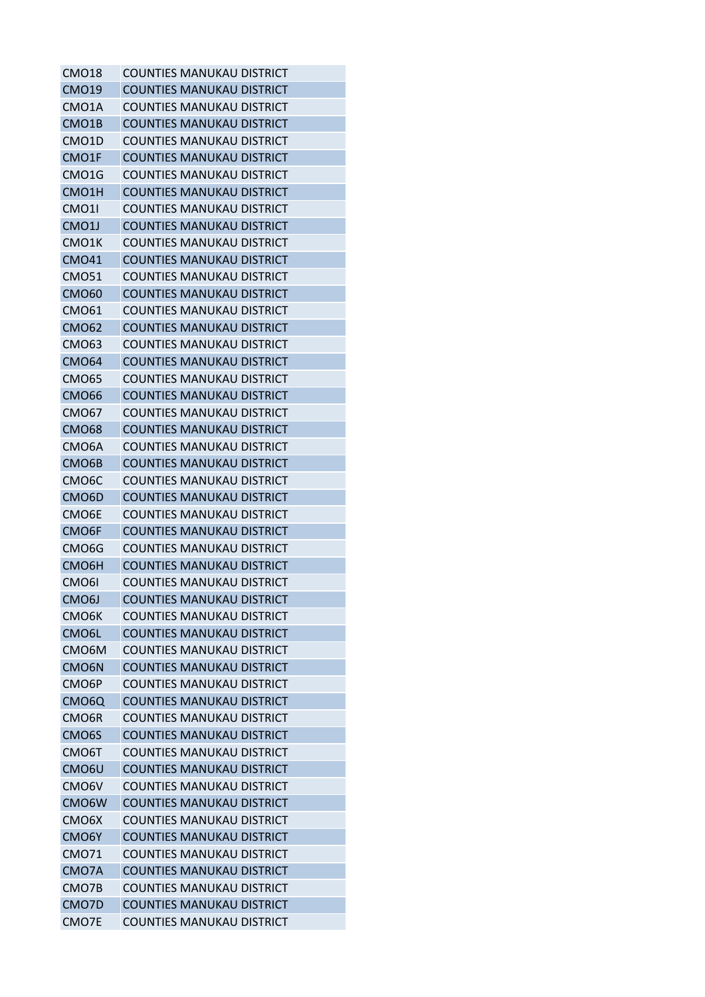| <b>CMO18</b>       | <b>COUNTIES MANUKAU DISTRICT</b> |
|--------------------|----------------------------------|
| <b>CMO19</b>       | <b>COUNTIES MANUKAU DISTRICT</b> |
| CMO <sub>1</sub> A | <b>COUNTIES MANUKAU DISTRICT</b> |
| CMO <sub>1</sub> B | <b>COUNTIES MANUKAU DISTRICT</b> |
| CMO1D              | <b>COUNTIES MANUKAU DISTRICT</b> |
| CMO1F              | <b>COUNTIES MANUKAU DISTRICT</b> |
| CMO1G              | COUNTIES MANUKAU DISTRICT        |
| CMO1H              | <b>COUNTIES MANUKAU DISTRICT</b> |
| CMO <sub>1</sub>   | <b>COUNTIES MANUKAU DISTRICT</b> |
| CMO1J              | COUNTIES MANUKAU DISTRICT        |
| CMO1K              | <b>COUNTIES MANUKAU DISTRICT</b> |
| <b>CMO41</b>       | <b>COUNTIES MANUKAU DISTRICT</b> |
| <b>CMO51</b>       | <b>COUNTIES MANUKAU DISTRICT</b> |
| <b>CMO60</b>       | <b>COUNTIES MANUKAU DISTRICT</b> |
| <b>CMO61</b>       | COUNTIES MANUKAU DISTRICT        |
| <b>CMO62</b>       | <b>COUNTIES MANUKAU DISTRICT</b> |
| <b>CMO63</b>       | COUNTIES MANUKAU DISTRICT        |
| <b>CMO64</b>       | <b>COUNTIES MANUKAU DISTRICT</b> |
| CMO65              | <b>COUNTIES MANUKAU DISTRICT</b> |
| <b>CMO66</b>       | <b>COUNTIES MANUKAU DISTRICT</b> |
| <b>CMO67</b>       | <b>COUNTIES MANUKAU DISTRICT</b> |
| <b>CMO68</b>       | COUNTIES MANUKAU DISTRICT        |
| CMO <sub>6</sub> A | <b>COUNTIES MANUKAU DISTRICT</b> |
| CMO <sub>6</sub> B | <b>COUNTIES MANUKAU DISTRICT</b> |
| CMO <sub>6</sub> C | COUNTIES MANUKAU DISTRICT        |
| CMO <sub>6</sub> D | COUNTIES MANUKAU DISTRICT        |
| CMO <sub>6</sub> E | <b>COUNTIES MANUKAU DISTRICT</b> |
| CMO6F              | <b>COUNTIES MANUKAU DISTRICT</b> |
| CMO <sub>6</sub> G | <b>COUNTIES MANUKAU DISTRICT</b> |
| CMO <sub>6</sub> H | <b>COUNTIES MANUKAU DISTRICT</b> |
| CMO <sub>61</sub>  | <b>COUNTIES MANUKAU DISTRICT</b> |
| CMO6J              | <b>COUNTIES MANUKAU DISTRICT</b> |
| CMO <sub>6</sub> K | COUNTIFS MANUKAU DISTRICT        |
| CMO6L              | <b>COUNTIES MANUKAU DISTRICT</b> |
| CMO <sub>6</sub> M | <b>COUNTIES MANUKAU DISTRICT</b> |
| CMO <sub>6</sub> N | <b>COUNTIES MANUKAU DISTRICT</b> |
| CMO <sub>6</sub> P | <b>COUNTIES MANUKAU DISTRICT</b> |
| CMO <sub>6</sub> Q | <b>COUNTIES MANUKAU DISTRICT</b> |
| CMO6R              | <b>COUNTIES MANUKAU DISTRICT</b> |
| CMO <sub>6</sub> S | <b>COUNTIES MANUKAU DISTRICT</b> |
| CMO <sub>6</sub> T | <b>COUNTIES MANUKAU DISTRICT</b> |
| CMO <sub>6</sub> U | <b>COUNTIES MANUKAU DISTRICT</b> |
| CMO6V              | <b>COUNTIES MANUKAU DISTRICT</b> |
| CMO6W              | <b>COUNTIES MANUKAU DISTRICT</b> |
| CMO <sub>6</sub> X | <b>COUNTIES MANUKAU DISTRICT</b> |
| CMO6Y              | <b>COUNTIES MANUKAU DISTRICT</b> |
| <b>CMO71</b>       | <b>COUNTIES MANUKAU DISTRICT</b> |
| CMO7A              | <b>COUNTIES MANUKAU DISTRICT</b> |
| CMO7B              | <b>COUNTIES MANUKAU DISTRICT</b> |
| CMO7D              | <b>COUNTIES MANUKAU DISTRICT</b> |
| CMO7E              | <b>COUNTIES MANUKAU DISTRICT</b> |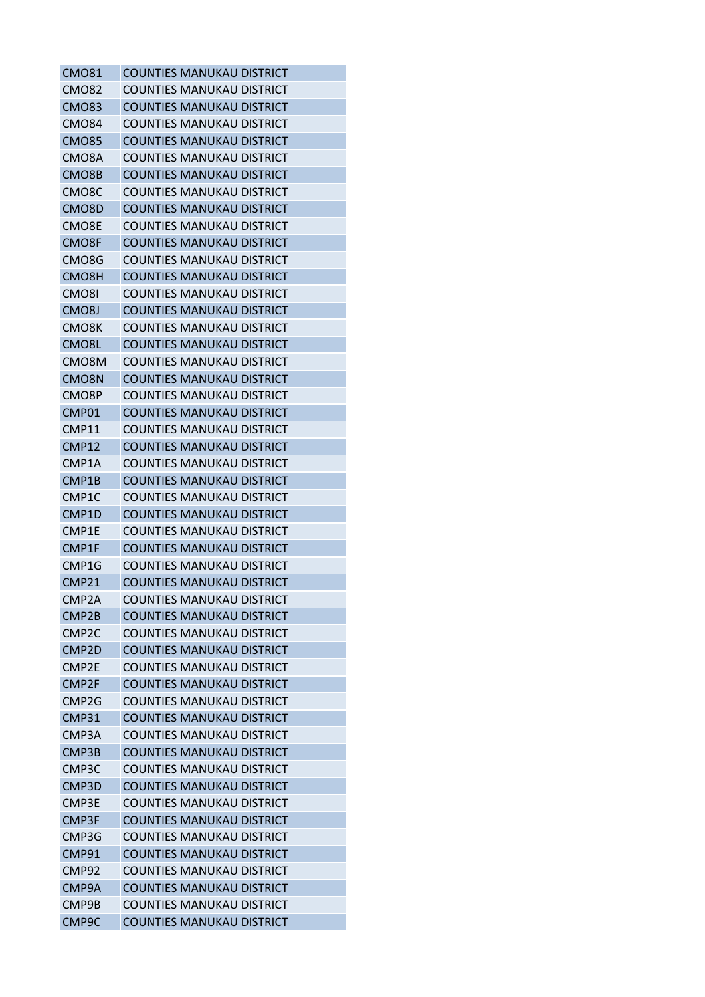| <b>CMO81</b>       | <b>COUNTIES MANUKAU DISTRICT</b> |
|--------------------|----------------------------------|
| <b>CMO82</b>       | COUNTIES MANUKAU DISTRICT        |
| <b>CMO83</b>       | <b>COUNTIES MANUKAU DISTRICT</b> |
| <b>CMO84</b>       | <b>COUNTIES MANUKAU DISTRICT</b> |
| <b>CMO85</b>       | <b>COUNTIES MANUKAU DISTRICT</b> |
| CMO8A              | <b>COUNTIES MANUKAU DISTRICT</b> |
| CMO8B              | <b>COUNTIES MANUKAU DISTRICT</b> |
| CMO8C              | <b>COUNTIES MANUKAU DISTRICT</b> |
| CMO8D              | <b>COUNTIES MANUKAU DISTRICT</b> |
| CMO8E              | COUNTIES MANUKAU DISTRICT        |
| CMO8F              | <b>COUNTIES MANUKAU DISTRICT</b> |
| CMO8G              | <b>COUNTIES MANUKAU DISTRICT</b> |
| CMO <sub>8</sub> H | <b>COUNTIES MANUKAU DISTRICT</b> |
| CMO8I              | <b>COUNTIES MANUKAU DISTRICT</b> |
| CMO <sub>8</sub> J | <b>COUNTIES MANUKAU DISTRICT</b> |
| CMO8K              | <b>COUNTIES MANUKAU DISTRICT</b> |
| CMO <sub>8</sub> L | <b>COUNTIES MANUKAU DISTRICT</b> |
| CMO <sub>8</sub> M | <b>COUNTIES MANUKAU DISTRICT</b> |
| CMO8N              | <b>COUNTIES MANUKAU DISTRICT</b> |
| CMO8P              | <b>COUNTIES MANUKAU DISTRICT</b> |
| CMP01              | <b>COUNTIES MANUKAU DISTRICT</b> |
| <b>CMP11</b>       | COUNTIES MANUKAU DISTRICT        |
| CMP12              | <b>COUNTIES MANUKAU DISTRICT</b> |
| CMP1A              | <b>COUNTIES MANUKAU DISTRICT</b> |
| CMP1B              | <b>COUNTIES MANUKAU DISTRICT</b> |
| CMP1C              | <b>COUNTIES MANUKAU DISTRICT</b> |
| CMP1D              | <b>COUNTIES MANUKAU DISTRICT</b> |
| CMP1E              | <b>COUNTIES MANUKAU DISTRICT</b> |
| CMP1F              | <b>COUNTIES MANUKAU DISTRICT</b> |
| CMP1G              | <b>COUNTIES MANUKAU DISTRICT</b> |
| <b>CMP21</b>       | <b>COUNTIES MANUKAU DISTRICT</b> |
| CMP2A              | <b>COUNTIES MANUKAU DISTRICT</b> |
| CMP <sub>2</sub> B | <b>COUNTIES MANUKAU DISTRICT</b> |
| CMP <sub>2C</sub>  | <b>COUNTIES MANUKAU DISTRICT</b> |
| CMP <sub>2D</sub>  | <b>COUNTIES MANUKAU DISTRICT</b> |
| CMP2E              | <b>COUNTIES MANUKAU DISTRICT</b> |
| CMP <sub>2F</sub>  | <b>COUNTIES MANUKAU DISTRICT</b> |
| CMP <sub>2G</sub>  | COUNTIES MANUKAU DISTRICT        |
| <b>CMP31</b>       | COUNTIFS MANUKAU DISTRICT        |
| CMP3A              | <b>COUNTIES MANUKAU DISTRICT</b> |
| CMP3B              | <b>COUNTIES MANUKAU DISTRICT</b> |
| CMP <sub>3</sub> C | <b>COUNTIES MANUKAU DISTRICT</b> |
| CMP3D              | <b>COUNTIES MANUKAU DISTRICT</b> |
| CMP3E              | <b>COUNTIES MANUKAU DISTRICT</b> |
| CMP3F              | <b>COUNTIES MANUKAU DISTRICT</b> |
| CMP3G              | <b>COUNTIES MANUKAU DISTRICT</b> |
| CMP91              | <b>COUNTIES MANUKAU DISTRICT</b> |
| CMP92              | <b>COUNTIES MANUKAU DISTRICT</b> |
| CMP9A              | <b>COUNTIES MANUKAU DISTRICT</b> |
| CMP9B              | <b>COUNTIES MANUKAU DISTRICT</b> |
| CMP9C              | <b>COUNTIES MANUKAU DISTRICT</b> |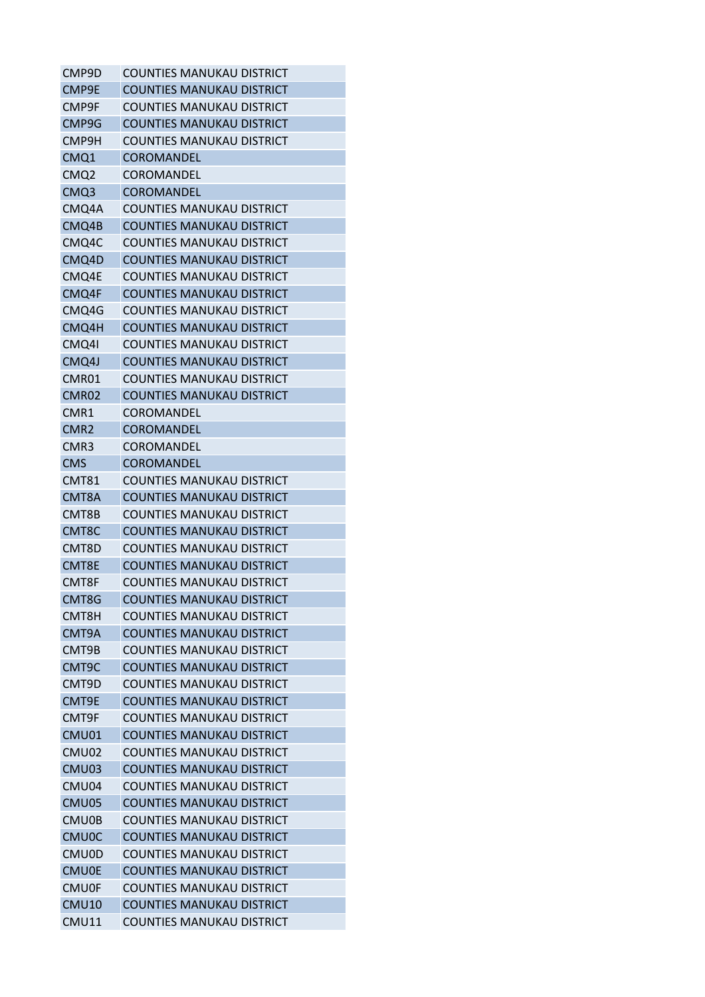| CMP9D              | <b>COUNTIES MANUKAU DISTRICT</b> |
|--------------------|----------------------------------|
| CMP9E              | <b>COUNTIES MANUKAU DISTRICT</b> |
| CMP9F              | <b>COUNTIES MANUKAU DISTRICT</b> |
| CMP9G              | <b>COUNTIES MANUKAU DISTRICT</b> |
| CMP9H              | <b>COUNTIES MANUKAU DISTRICT</b> |
| CMQ1               | <b>COROMANDEL</b>                |
| CMQ2               | <b>COROMANDEL</b>                |
| CMQ3               | <b>COROMANDEL</b>                |
| CMQ4A              | <b>COUNTIES MANUKAU DISTRICT</b> |
| CMQ4B              | <b>COUNTIES MANUKAU DISTRICT</b> |
| CMQ4C              | <b>COUNTIES MANUKAU DISTRICT</b> |
| CMQ4D              | <b>COUNTIES MANUKAU DISTRICT</b> |
| CMQ4E              | <b>COUNTIES MANUKAU DISTRICT</b> |
| CMQ4F              | <b>COUNTIES MANUKAU DISTRICT</b> |
| CMQ4G              | <b>COUNTIES MANUKAU DISTRICT</b> |
| CMQ4H              | <b>COUNTIES MANUKAU DISTRICT</b> |
| CMQ41              | <b>COUNTIES MANUKAU DISTRICT</b> |
| CMQ4J              | <b>COUNTIES MANUKAU DISTRICT</b> |
| CMR01              | <b>COUNTIES MANUKAU DISTRICT</b> |
| CMR02              | <b>COUNTIES MANUKAU DISTRICT</b> |
| CMR1               | <b>COROMANDEL</b>                |
| CMR <sub>2</sub>   | <b>COROMANDEL</b>                |
| CMR3               | <b>COROMANDEL</b>                |
| <b>CMS</b>         | <b>COROMANDEL</b>                |
| CMT81              | COUNTIES MANUKAU DISTRICT        |
| CMT8A              | <b>COUNTIES MANUKAU DISTRICT</b> |
| CMT8B              | <b>COUNTIES MANUKAU DISTRICT</b> |
| CMT <sub>8</sub> C | <b>COUNTIES MANUKAU DISTRICT</b> |
| CMT8D              | <b>COUNTIES MANUKAU DISTRICT</b> |
| CMT8E              | <b>COUNTIES MANUKAU DISTRICT</b> |
| CMT8F              | <b>COUNTIES MANUKAU DISTRICT</b> |
| CMT8G              | <b>COUNTIES MANUKAU DISTRICT</b> |
| CMT8H              | <b>COUNTIES MANUKAU DISTRICT</b> |
| CMT9A              | <b>COUNTIES MANUKAU DISTRICT</b> |
| CMT9B              | <b>COUNTIES MANUKAU DISTRICT</b> |
| CMT9C              | <b>COUNTIES MANUKAU DISTRICT</b> |
| CMT9D              | <b>COUNTIES MANUKAU DISTRICT</b> |
| CMT9E              | <b>COUNTIES MANUKAU DISTRICT</b> |
| CMT9F              | <b>COUNTIES MANUKAU DISTRICT</b> |
| CMU01              | <b>COUNTIES MANUKAU DISTRICT</b> |
| CMU02              | <b>COUNTIES MANUKAU DISTRICT</b> |
| CMU03              | <b>COUNTIES MANUKAU DISTRICT</b> |
| CMU04              | <b>COUNTIES MANUKAU DISTRICT</b> |
| CMU05              | <b>COUNTIES MANUKAU DISTRICT</b> |
| CMU0B              | <b>COUNTIES MANUKAU DISTRICT</b> |
| <b>CMU0C</b>       | <b>COUNTIES MANUKAU DISTRICT</b> |
| CMU0D              | <b>COUNTIES MANUKAU DISTRICT</b> |
| <b>CMU0E</b>       | <b>COUNTIES MANUKAU DISTRICT</b> |
| <b>CMU0F</b>       | COUNTIES MANUKAU DISTRICT        |
| <b>CMU10</b>       | <b>COUNTIES MANUKAU DISTRICT</b> |
| <b>CMU11</b>       | <b>COUNTIES MANUKAU DISTRICT</b> |
|                    |                                  |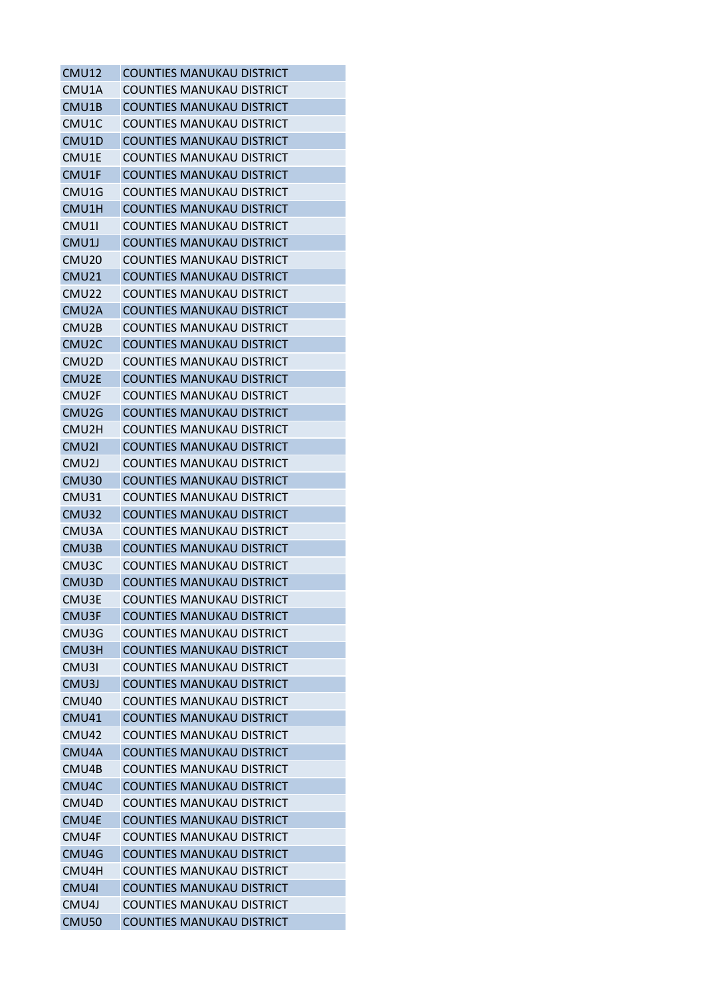| CMU12              | <b>COUNTIES MANUKAU DISTRICT</b> |
|--------------------|----------------------------------|
| CMU1A              | <b>COUNTIES MANUKAU DISTRICT</b> |
| CMU1B              | <b>COUNTIES MANUKAU DISTRICT</b> |
| CMU1C              | <b>COUNTIES MANUKAU DISTRICT</b> |
| CMU1D              | <b>COUNTIES MANUKAU DISTRICT</b> |
| CMU1E              | COUNTIES MANUKAU DISTRICT        |
| CMU1F              | <b>COUNTIES MANUKAU DISTRICT</b> |
| CMU1G              | <b>COUNTIES MANUKAU DISTRICT</b> |
| CMU1H              | <b>COUNTIES MANUKAU DISTRICT</b> |
| CMU1I              | <b>COUNTIES MANUKAU DISTRICT</b> |
| CMU1J              | <b>COUNTIES MANUKAU DISTRICT</b> |
| CMU <sub>20</sub>  | COUNTIES MANUKAU DISTRICT        |
| CMU <sub>21</sub>  | <b>COUNTIES MANUKAU DISTRICT</b> |
| CMU22              | COUNTIES MANUKAU DISTRICT        |
| CMU <sub>2</sub> A | <b>COUNTIES MANUKAU DISTRICT</b> |
| CMU2B              | <b>COUNTIES MANUKAU DISTRICT</b> |
| CMU <sub>2</sub> C | <b>COUNTIES MANUKAU DISTRICT</b> |
| CMU2D              | <b>COUNTIES MANUKAU DISTRICT</b> |
| CMU2E              | <b>COUNTIES MANUKAU DISTRICT</b> |
| CMU2F              | <b>COUNTIES MANUKAU DISTRICT</b> |
| CMU2G              | <b>COUNTIES MANUKAU DISTRICT</b> |
| CMU2H              | <b>COUNTIES MANUKAU DISTRICT</b> |
| CMU2I              | <b>COUNTIES MANUKAU DISTRICT</b> |
| CMU <sub>2</sub> J | <b>COUNTIES MANUKAU DISTRICT</b> |
| CMU30              | <b>COUNTIES MANUKAU DISTRICT</b> |
| CMU31              | <b>COUNTIES MANUKAU DISTRICT</b> |
| CMU32              | <b>COUNTIES MANUKAU DISTRICT</b> |
| CMU3A              | <b>COUNTIES MANUKAU DISTRICT</b> |
| CMU3B              | <b>COUNTIES MANUKAU DISTRICT</b> |
| CMU3C              | <b>COUNTIES MANUKAU DISTRICT</b> |
| CMU3D              | <b>COUNTIES MANUKAU DISTRICT</b> |
| CMU3E              | COUNTIES MANUKAU DISTRICT        |
| CMU3F              | <b>COUNTIES MANUKAU DISTRICT</b> |
| CMU3G              | <b>COUNTIES MANUKAU DISTRICT</b> |
| CMU3H              | <b>COUNTIES MANUKAU DISTRICT</b> |
| CMU3I              | <b>COUNTIES MANUKAU DISTRICT</b> |
| CMU3J              | <b>COUNTIES MANUKAU DISTRICT</b> |
| CMU40              | <b>COUNTIES MANUKAU DISTRICT</b> |
| CMU41              | <b>COUNTIES MANUKAU DISTRICT</b> |
| <b>CMU42</b>       | COUNTIES MANUKAU DISTRICT        |
| CMU4A              | <b>COUNTIES MANUKAU DISTRICT</b> |
| CMU4B              | <b>COUNTIES MANUKAU DISTRICT</b> |
| CMU4C              | <b>COUNTIES MANUKAU DISTRICT</b> |
| CMU4D              | <b>COUNTIES MANUKAU DISTRICT</b> |
| CMU4E              | <b>COUNTIES MANUKAU DISTRICT</b> |
| CMU4F              | <b>COUNTIES MANUKAU DISTRICT</b> |
| CMU4G              | <b>COUNTIES MANUKAU DISTRICT</b> |
| CMU4H              | <b>COUNTIES MANUKAU DISTRICT</b> |
| CMU4I              | <b>COUNTIES MANUKAU DISTRICT</b> |
| CMU4J              | COUNTIES MANUKAU DISTRICT        |
| <b>CMU50</b>       | <b>COUNTIES MANUKAU DISTRICT</b> |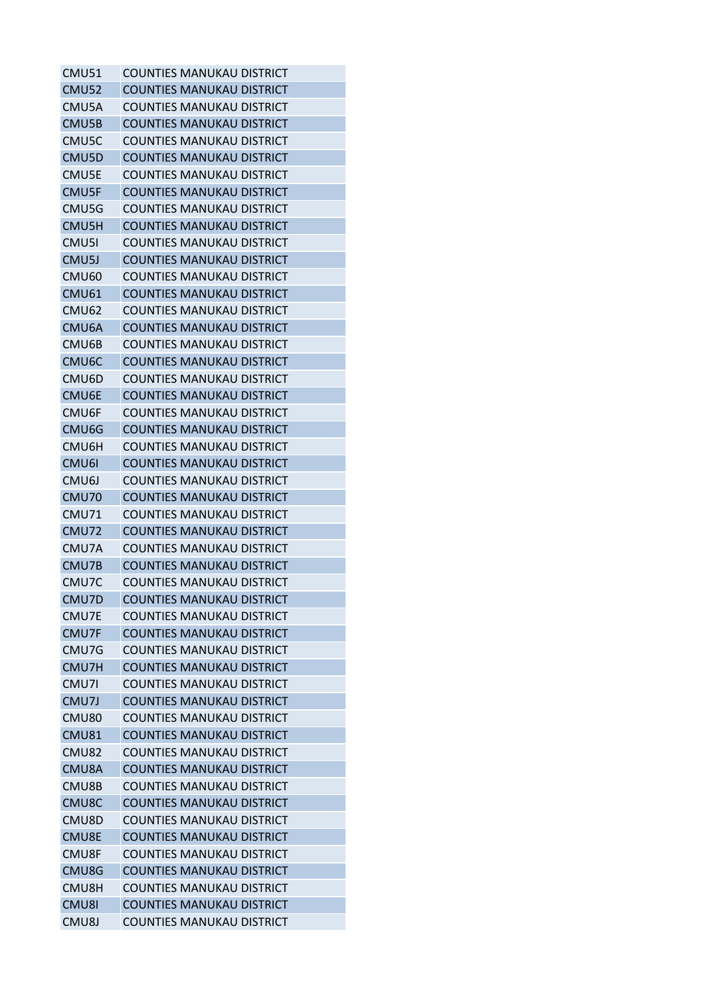| <b>CMU51</b>       | <b>COUNTIES MANUKAU DISTRICT</b> |
|--------------------|----------------------------------|
| <b>CMU52</b>       | <b>COUNTIES MANUKAU DISTRICT</b> |
| CMU5A              | COUNTIES MANUKAU DISTRICT        |
| CMU5B              | <b>COUNTIES MANUKAU DISTRICT</b> |
| CMU5C              | <b>COUNTIES MANUKAU DISTRICT</b> |
| CMU5D              | <b>COUNTIES MANUKAU DISTRICT</b> |
| CMU5E              | COUNTIES MANUKAU DISTRICT        |
| CMU5F              | <b>COUNTIES MANUKAU DISTRICT</b> |
| CMU5G              | <b>COUNTIES MANUKAU DISTRICT</b> |
| CMU5H              | COUNTIES MANUKAU DISTRICT        |
| CMU5I              | <b>COUNTIES MANUKAU DISTRICT</b> |
| CMU5J              | <b>COUNTIES MANUKAU DISTRICT</b> |
| CMU <sub>60</sub>  | <b>COUNTIES MANUKAU DISTRICT</b> |
| <b>CMU61</b>       | <b>COUNTIES MANUKAU DISTRICT</b> |
| CMU <sub>62</sub>  | COUNTIES MANUKAU DISTRICT        |
| CMU6A              | <b>COUNTIES MANUKAU DISTRICT</b> |
| CMU6B              | COUNTIES MANUKAU DISTRICT        |
| CMU <sub>6</sub> C | <b>COUNTIES MANUKAU DISTRICT</b> |
| CMU6D              | <b>COUNTIES MANUKAU DISTRICT</b> |
| CMU6E              | <b>COUNTIES MANUKAU DISTRICT</b> |
| CMU6F              | COUNTIES MANUKAU DISTRICT        |
| CMU <sub>6</sub> G | COUNTIES MANUKAU DISTRICT        |
| CMU6H              | <b>COUNTIES MANUKAU DISTRICT</b> |
| CMU6I              | <b>COUNTIES MANUKAU DISTRICT</b> |
| CMU6J              | COUNTIES MANUKAU DISTRICT        |
| CMU70              | COUNTIES MANUKAU DISTRICT        |
| <b>CMU71</b>       | <b>COUNTIES MANUKAU DISTRICT</b> |
| CMU72              | <b>COUNTIES MANUKAU DISTRICT</b> |
| CMU7A              | <b>COUNTIES MANUKAU DISTRICT</b> |
| CMU7B              | <b>COUNTIES MANUKAU DISTRICT</b> |
| CMU7C              | <b>COUNTIES MANUKAU DISTRICT</b> |
| CMU7D              | <b>COUNTIES MANUKAU DISTRICT</b> |
| CMU7E              | COUNTIFS MANUKAU DISTRICT        |
| CMU7F              | <b>COUNTIES MANUKAU DISTRICT</b> |
| CMU7G              | <b>COUNTIES MANUKAU DISTRICT</b> |
| CMU7H              | <b>COUNTIES MANUKAU DISTRICT</b> |
| CMU7I              | <b>COUNTIES MANUKAU DISTRICT</b> |
| CMU7J              | <b>COUNTIES MANUKAU DISTRICT</b> |
| <b>CMU80</b>       | <b>COUNTIES MANUKAU DISTRICT</b> |
| CMU81              | <b>COUNTIES MANUKAU DISTRICT</b> |
| CMU82              | <b>COUNTIES MANUKAU DISTRICT</b> |
| CMU8A              | <b>COUNTIES MANUKAU DISTRICT</b> |
| CMU8B              | <b>COUNTIES MANUKAU DISTRICT</b> |
| CMU8C              | <b>COUNTIES MANUKAU DISTRICT</b> |
| CMU8D              | <b>COUNTIES MANUKAU DISTRICT</b> |
| CMU8E              | <b>COUNTIES MANUKAU DISTRICT</b> |
| CMU8F              | <b>COUNTIES MANUKAU DISTRICT</b> |
| CMU8G              | <b>COUNTIES MANUKAU DISTRICT</b> |
| CMU8H              | <b>COUNTIES MANUKAU DISTRICT</b> |
| CMU8I              | <b>COUNTIES MANUKAU DISTRICT</b> |
| CMU8J              | <b>COUNTIES MANUKAU DISTRICT</b> |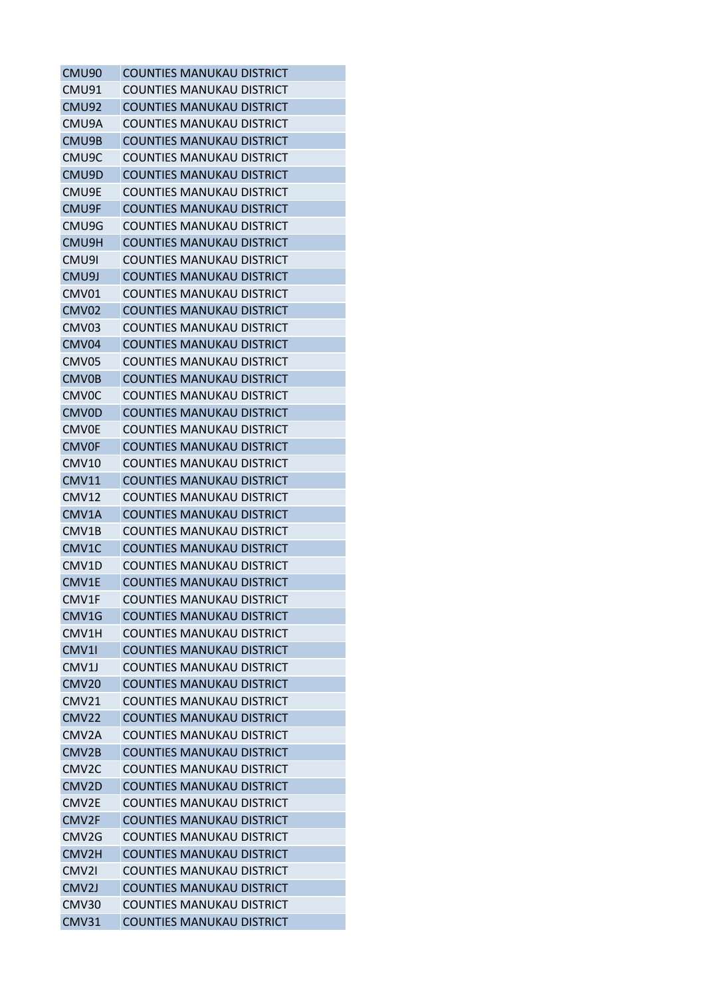| CMU <sub>90</sub>  | <b>COUNTIES MANUKAU DISTRICT</b> |
|--------------------|----------------------------------|
| CMU91              | <b>COUNTIES MANUKAU DISTRICT</b> |
| CMU92              | <b>COUNTIES MANUKAU DISTRICT</b> |
| CMU9A              | <b>COUNTIES MANUKAU DISTRICT</b> |
| CMU9B              | <b>COUNTIES MANUKAU DISTRICT</b> |
| CMU <sub>9</sub> C | <b>COUNTIES MANUKAU DISTRICT</b> |
| CMU9D              | <b>COUNTIES MANUKAU DISTRICT</b> |
| CMU9E              | <b>COUNTIES MANUKAU DISTRICT</b> |
| CMU9F              | <b>COUNTIES MANUKAU DISTRICT</b> |
| CMU9G              | <b>COUNTIES MANUKAU DISTRICT</b> |
| CMU9H              | <b>COUNTIES MANUKAU DISTRICT</b> |
| CMU9I              | <b>COUNTIES MANUKAU DISTRICT</b> |
| CMU9J              | <b>COUNTIES MANUKAU DISTRICT</b> |
| CMV01              | <b>COUNTIES MANUKAU DISTRICT</b> |
| CMV <sub>02</sub>  | <b>COUNTIES MANUKAU DISTRICT</b> |
| CMV03              | <b>COUNTIES MANUKAU DISTRICT</b> |
| CMV04              | <b>COUNTIES MANUKAU DISTRICT</b> |
| CMV <sub>05</sub>  | <b>COUNTIES MANUKAU DISTRICT</b> |
| <b>CMV0B</b>       | <b>COUNTIES MANUKAU DISTRICT</b> |
| <b>CMVOC</b>       | <b>COUNTIES MANUKAU DISTRICT</b> |
| <b>CMVOD</b>       | <b>COUNTIES MANUKAU DISTRICT</b> |
| <b>CMV0E</b>       | <b>COUNTIES MANUKAU DISTRICT</b> |
| <b>CMV0F</b>       | <b>COUNTIES MANUKAU DISTRICT</b> |
| CMV <sub>10</sub>  | <b>COUNTIES MANUKAU DISTRICT</b> |
| CMV11              | <b>COUNTIES MANUKAU DISTRICT</b> |
| CMV12              | <b>COUNTIES MANUKAU DISTRICT</b> |
| CMV1A              | <b>COUNTIES MANUKAU DISTRICT</b> |
| CMV1B              | <b>COUNTIES MANUKAU DISTRICT</b> |
| CMV1C              | <b>COUNTIES MANUKAU DISTRICT</b> |
| CMV1D              | <b>COUNTIES MANUKAU DISTRICT</b> |
| CMV1E              | <b>COUNTIES MANUKAU DISTRICT</b> |
| CMV1F              | <b>COUNTIES MANUKAU DISTRICT</b> |
| CMV1G              | <b>COUNTIES MANUKAU DISTRICT</b> |
| CMV1H              | <b>COUNTIES MANUKAU DISTRICT</b> |
| CMV <sub>11</sub>  | COUNTIES MANUKAU DISTRICT        |
| CMV1J              | <b>COUNTIES MANUKAU DISTRICT</b> |
| <b>CMV20</b>       | <b>COUNTIES MANUKAU DISTRICT</b> |
| CMV <sub>21</sub>  | COUNTIES MANUKAU DISTRICT        |
| <b>CMV22</b>       | <b>COUNTIES MANUKAU DISTRICT</b> |
| CMV2A              | <b>COUNTIES MANUKAU DISTRICT</b> |
| CMV <sub>2</sub> B | <b>COUNTIES MANUKAU DISTRICT</b> |
| CMV <sub>2</sub> C | <b>COUNTIES MANUKAU DISTRICT</b> |
| CMV2D              | <b>COUNTIES MANUKAU DISTRICT</b> |
| CMV <sub>2E</sub>  | <b>COUNTIES MANUKAU DISTRICT</b> |
| CMV2F              | <b>COUNTIES MANUKAU DISTRICT</b> |
| CMV <sub>2</sub> G | <b>COUNTIES MANUKAU DISTRICT</b> |
| CMV2H              | <b>COUNTIES MANUKAU DISTRICT</b> |
| CMV2I              | <b>COUNTIES MANUKAU DISTRICT</b> |
| CMV <sub>2J</sub>  | <b>COUNTIES MANUKAU DISTRICT</b> |
| CMV30              | <b>COUNTIES MANUKAU DISTRICT</b> |
| CMV31              | <b>COUNTIES MANUKAU DISTRICT</b> |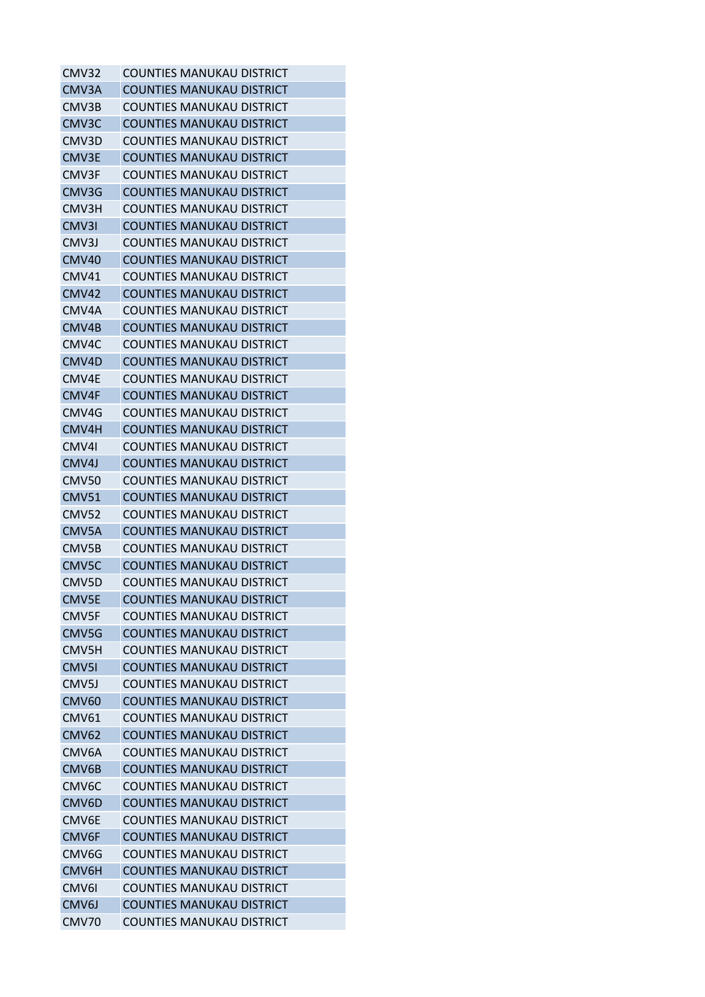| CMV32              | <b>COUNTIES MANUKAU DISTRICT</b> |
|--------------------|----------------------------------|
| CMV3A              | <b>COUNTIES MANUKAU DISTRICT</b> |
| CMV3B              | COUNTIES MANUKAU DISTRICT        |
| CMV3C              | <b>COUNTIES MANUKAU DISTRICT</b> |
| CMV3D              | <b>COUNTIES MANUKAU DISTRICT</b> |
| CMV3E              | COUNTIES MANUKAU DISTRICT        |
| CMV3F              | COUNTIES MANUKAU DISTRICT        |
| CMV3G              | <b>COUNTIES MANUKAU DISTRICT</b> |
| CMV3H              | <b>COUNTIES MANUKAU DISTRICT</b> |
| CMV3I              | <b>COUNTIES MANUKAU DISTRICT</b> |
| CMV3J              | <b>COUNTIES MANUKAU DISTRICT</b> |
| CMV <sub>40</sub>  | <b>COUNTIES MANUKAU DISTRICT</b> |
| CMV41              | <b>COUNTIES MANUKAU DISTRICT</b> |
| <b>CMV42</b>       | <b>COUNTIES MANUKAU DISTRICT</b> |
| CMV4A              | COUNTIES MANUKAU DISTRICT        |
| CMV4B              | <b>COUNTIES MANUKAU DISTRICT</b> |
| CMV4C              | COUNTIES MANUKAU DISTRICT        |
| CMV <sub>4</sub> D | COUNTIES MANUKAU DISTRICT        |
| CMV4E              | <b>COUNTIES MANUKAU DISTRICT</b> |
| CMV4F              | <b>COUNTIES MANUKAU DISTRICT</b> |
| CMV4G              | COUNTIES MANUKAU DISTRICT        |
| CMV4H              | COUNTIES MANUKAU DISTRICT        |
| CMV4I              | <b>COUNTIES MANUKAU DISTRICT</b> |
| CMV4J              | COUNTIES MANUKAU DISTRICT        |
| CMV50              | COUNTIES MANUKAU DISTRICT        |
| <b>CMV51</b>       | <b>COUNTIES MANUKAU DISTRICT</b> |
| <b>CMV52</b>       | <b>COUNTIES MANUKAU DISTRICT</b> |
| CMV5A              | <b>COUNTIES MANUKAU DISTRICT</b> |
| CMV5B              | COUNTIES MANUKAU DISTRICT        |
| CMV <sub>5</sub> C | COUNTIES MANUKAU DISTRICT        |
| CMV5D              | <b>COUNTIES MANUKAU DISTRICT</b> |
| CMV5E              | <b>COUNTIES MANUKAU DISTRICT</b> |
| CMV5F              | COUNTIES MANUKAU DISTRICT        |
| CMV5G              | <b>COUNTIES MANUKAU DISTRICT</b> |
| CMV5H              | <b>COUNTIES MANUKAU DISTRICT</b> |
| CMV <sub>51</sub>  | <b>COUNTIES MANUKAU DISTRICT</b> |
| CMV <sub>5</sub> J | <b>COUNTIES MANUKAU DISTRICT</b> |
| <b>CMV60</b>       | <b>COUNTIES MANUKAU DISTRICT</b> |
| <b>CMV61</b>       | <b>COUNTIES MANUKAU DISTRICT</b> |
| <b>CMV62</b>       | <b>COUNTIES MANUKAU DISTRICT</b> |
| CMV6A              | <b>COUNTIES MANUKAU DISTRICT</b> |
| CMV6B              | COUNTIES MANUKAU DISTRICT        |
| CMV <sub>6</sub> C | <b>COUNTIES MANUKAU DISTRICT</b> |
| CMV6D              | <b>COUNTIES MANUKAU DISTRICT</b> |
| CMV6E              | <b>COUNTIES MANUKAU DISTRICT</b> |
| CMV6F              | <b>COUNTIES MANUKAU DISTRICT</b> |
| CMV6G              | <b>COUNTIES MANUKAU DISTRICT</b> |
| CMV6H              | <b>COUNTIES MANUKAU DISTRICT</b> |
| CMV6I              | <b>COUNTIES MANUKAU DISTRICT</b> |
| CMV6J              | <b>COUNTIES MANUKAU DISTRICT</b> |
| CMV70              | <b>COUNTIES MANUKAU DISTRICT</b> |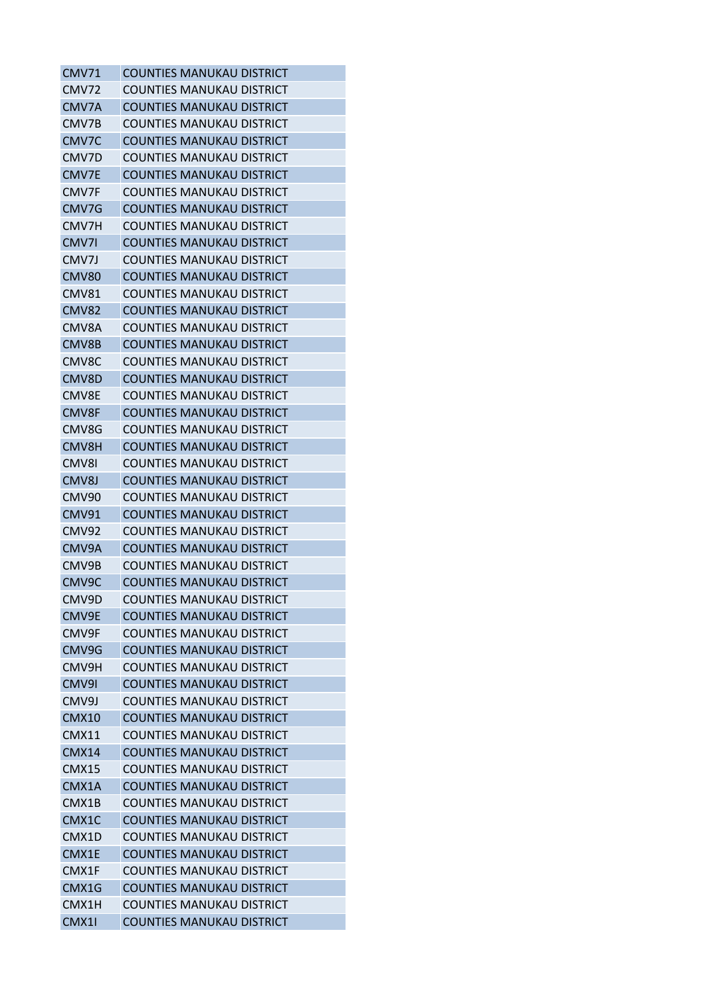| <b>CMV71</b> | <b>COUNTIES MANUKAU DISTRICT</b> |
|--------------|----------------------------------|
| CMV72        | <b>COUNTIES MANUKAU DISTRICT</b> |
| CMV7A        | <b>COUNTIES MANUKAU DISTRICT</b> |
| CMV7B        | <b>COUNTIES MANUKAU DISTRICT</b> |
| CMV7C        | <b>COUNTIES MANUKAU DISTRICT</b> |
| CMV7D        | COUNTIES MANUKAU DISTRICT        |
| CMV7E        | <b>COUNTIES MANUKAU DISTRICT</b> |
| CMV7F        | <b>COUNTIES MANUKAU DISTRICT</b> |
| CMV7G        | <b>COUNTIES MANUKAU DISTRICT</b> |
| CMV7H        | <b>COUNTIES MANUKAU DISTRICT</b> |
| CMV7I        | <b>COUNTIES MANUKAU DISTRICT</b> |
| CMV7J        | COUNTIES MANUKAU DISTRICT        |
| CMV80        | <b>COUNTIES MANUKAU DISTRICT</b> |
| CMV81        | COUNTIES MANUKAU DISTRICT        |
| CMV82        | <b>COUNTIES MANUKAU DISTRICT</b> |
| CMV8A        | <b>COUNTIES MANUKAU DISTRICT</b> |
| CMV8B        | <b>COUNTIES MANUKAU DISTRICT</b> |
| CMV8C        | <b>COUNTIES MANUKAU DISTRICT</b> |
| CMV8D        | <b>COUNTIES MANUKAU DISTRICT</b> |
| CMV8E        | <b>COUNTIES MANUKAU DISTRICT</b> |
| CMV8F        | COUNTIES MANUKAU DISTRICT        |
| CMV8G        | <b>COUNTIES MANUKAU DISTRICT</b> |
| CMV8H        | <b>COUNTIES MANUKAU DISTRICT</b> |
| CMV8I        | COUNTIES MANUKAU DISTRICT        |
| CMV8J        | <b>COUNTIES MANUKAU DISTRICT</b> |
| CMV90        | <b>COUNTIES MANUKAU DISTRICT</b> |
| CMV91        | <b>COUNTIES MANUKAU DISTRICT</b> |
| <b>CMV92</b> | <b>COUNTIES MANUKAU DISTRICT</b> |
| CMV9A        | <b>COUNTIES MANUKAU DISTRICT</b> |
| CMV9B        | COUNTIES MANUKAU DISTRICT        |
| CMV9C        | <b>COUNTIES MANUKAU DISTRICT</b> |
| CMV9D        | COUNTIES MANUKAU DISTRICT        |
| CMV9E        | <b>COUNTIES MANUKAU DISTRICT</b> |
| CMV9F        | <b>COUNTIES MANUKAU DISTRICT</b> |
| CMV9G        | <b>COUNTIES MANUKAU DISTRICT</b> |
| CMV9H        | <b>COUNTIES MANUKAU DISTRICT</b> |
| CMV9I        | <b>COUNTIES MANUKAU DISTRICT</b> |
| CMV9J        | <b>COUNTIES MANUKAU DISTRICT</b> |
| CMX10        | <b>COUNTIES MANUKAU DISTRICT</b> |
| <b>CMX11</b> | <b>COUNTIES MANUKAU DISTRICT</b> |
| <b>CMX14</b> | <b>COUNTIES MANUKAU DISTRICT</b> |
| CMX15        | COUNTIES MANUKAU DISTRICT        |
| CMX1A        | <b>COUNTIES MANUKAU DISTRICT</b> |
| CMX1B        | <b>COUNTIES MANUKAU DISTRICT</b> |
| CMX1C        | <b>COUNTIES MANUKAU DISTRICT</b> |
| CMX1D        | <b>COUNTIES MANUKAU DISTRICT</b> |
| CMX1E        | <b>COUNTIES MANUKAU DISTRICT</b> |
| CMX1F        | <b>COUNTIES MANUKAU DISTRICT</b> |
| CMX1G        | <b>COUNTIES MANUKAU DISTRICT</b> |
| CMX1H        | COUNTIES MANUKAU DISTRICT        |
| CMX1I        | <b>COUNTIES MANUKAU DISTRICT</b> |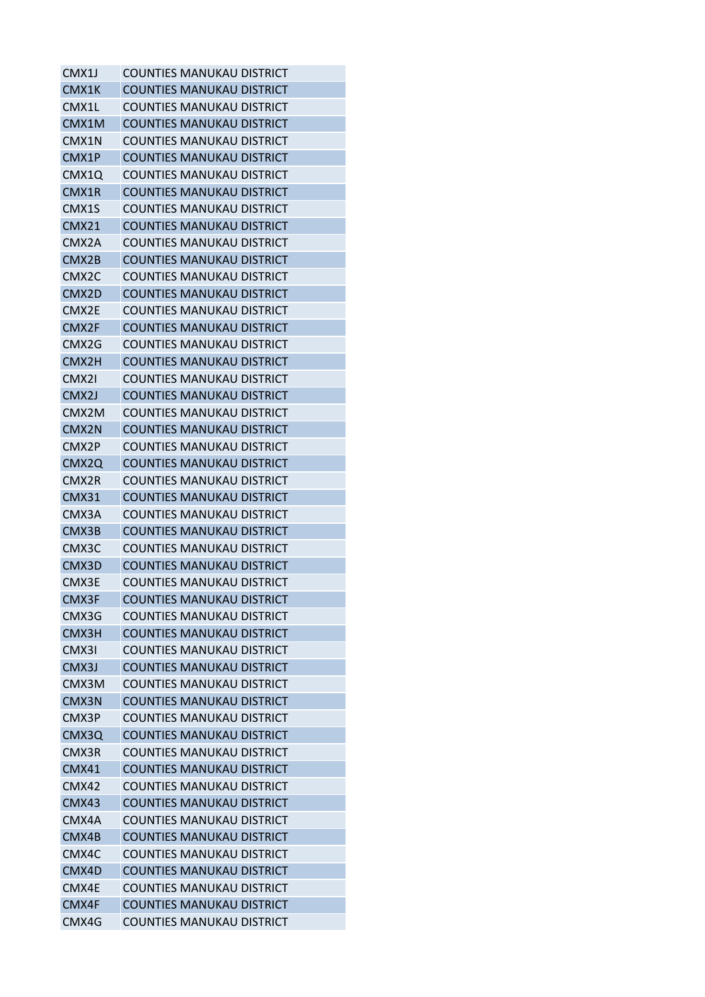| CMX1J              | <b>COUNTIES MANUKAU DISTRICT</b> |
|--------------------|----------------------------------|
| CMX1K              | <b>COUNTIES MANUKAU DISTRICT</b> |
| CMX1L              | <b>COUNTIES MANUKAU DISTRICT</b> |
| CMX1M              | <b>COUNTIES MANUKAU DISTRICT</b> |
| CMX1N              | <b>COUNTIES MANUKAU DISTRICT</b> |
| CMX1P              | <b>COUNTIES MANUKAU DISTRICT</b> |
| CMX1Q              | <b>COUNTIES MANUKAU DISTRICT</b> |
| CMX1R              | <b>COUNTIES MANUKAU DISTRICT</b> |
| CMX1S              | <b>COUNTIES MANUKAU DISTRICT</b> |
| <b>CMX21</b>       | <b>COUNTIES MANUKAU DISTRICT</b> |
| CMX <sub>2</sub> A | <b>COUNTIES MANUKAU DISTRICT</b> |
| CMX2B              | <b>COUNTIES MANUKAU DISTRICT</b> |
| CMX <sub>2</sub> C | <b>COUNTIES MANUKAU DISTRICT</b> |
| CMX <sub>2</sub> D | COUNTIES MANUKAU DISTRICT        |
| CMX <sub>2E</sub>  | COUNTIES MANUKAU DISTRICT        |
| CMX <sub>2F</sub>  | <b>COUNTIES MANUKAU DISTRICT</b> |
| CMX2G              | COUNTIES MANUKAU DISTRICT        |
| CMX <sub>2</sub> H | <b>COUNTIES MANUKAU DISTRICT</b> |
| CMX2I              | <b>COUNTIES MANUKAU DISTRICT</b> |
| CMX2J              | <b>COUNTIES MANUKAU DISTRICT</b> |
| CMX2M              | COUNTIES MANUKAU DISTRICT        |
| CMX <sub>2N</sub>  | COUNTIES MANUKAU DISTRICT        |
| CMX2P              | <b>COUNTIES MANUKAU DISTRICT</b> |
| CMX <sub>2</sub> Q | <b>COUNTIES MANUKAU DISTRICT</b> |
| CMX2R              | COUNTIES MANUKAU DISTRICT        |
| <b>CMX31</b>       | <b>COUNTIES MANUKAU DISTRICT</b> |
| CMX3A              | <b>COUNTIES MANUKAU DISTRICT</b> |
| CMX3B              | <b>COUNTIES MANUKAU DISTRICT</b> |
| CMX3C              | <b>COUNTIES MANUKAU DISTRICT</b> |
| CMX3D              | COUNTIES MANUKAU DISTRICT        |
| CMX3E              | <b>COUNTIES MANUKAU DISTRICT</b> |
| CMX3F              | <b>COUNTIES MANUKAU DISTRICT</b> |
| CMX3G              | COUNTIES MANUKAU DISTRICT        |
| CMX3H              | <b>COUNTIES MANUKAU DISTRICT</b> |
| CMX3I              | <b>COUNTIES MANUKAU DISTRICT</b> |
| CMX3J              | <b>COUNTIES MANUKAU DISTRICT</b> |
| CMX3M              | <b>COUNTIES MANUKAU DISTRICT</b> |
| CMX3N              | <b>COUNTIES MANUKAU DISTRICT</b> |
| CMX3P              | COUNTIFS MANUKAU DISTRICT        |
| CMX3Q              | <b>COUNTIES MANUKAU DISTRICT</b> |
| CMX3R              | <b>COUNTIES MANUKAU DISTRICT</b> |
| CMX41              | <b>COUNTIES MANUKAU DISTRICT</b> |
| CMX42              | <b>COUNTIES MANUKAU DISTRICT</b> |
| CMX43              | <b>COUNTIES MANUKAU DISTRICT</b> |
| CMX4A              | <b>COUNTIES MANUKAU DISTRICT</b> |
| CMX4B              | <b>COUNTIES MANUKAU DISTRICT</b> |
| CMX4C              | <b>COUNTIES MANUKAU DISTRICT</b> |
| CMX4D              | <b>COUNTIES MANUKAU DISTRICT</b> |
| CMX4E              | COUNTIES MANUKAU DISTRICT        |
| CMX4F              | <b>COUNTIES MANUKAU DISTRICT</b> |
| CMX4G              | <b>COUNTIES MANUKAU DISTRICT</b> |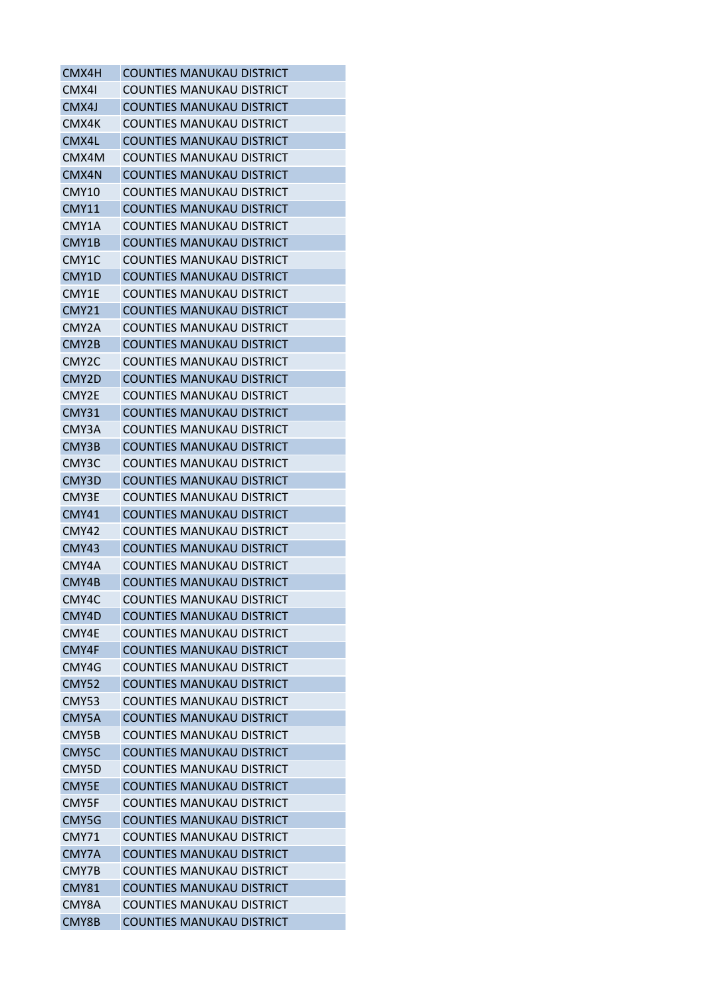| CMX4H              | <b>COUNTIES MANUKAU DISTRICT</b> |
|--------------------|----------------------------------|
| CMX4I              | <b>COUNTIES MANUKAU DISTRICT</b> |
| CMX4J              | <b>COUNTIES MANUKAU DISTRICT</b> |
| CMX4K              | <b>COUNTIES MANUKAU DISTRICT</b> |
| CMX4L              | <b>COUNTIES MANUKAU DISTRICT</b> |
| CMX4M              | <b>COUNTIES MANUKAU DISTRICT</b> |
| CMX4N              | <b>COUNTIES MANUKAU DISTRICT</b> |
| <b>CMY10</b>       | <b>COUNTIES MANUKAU DISTRICT</b> |
| <b>CMY11</b>       | <b>COUNTIES MANUKAU DISTRICT</b> |
| CMY1A              | COUNTIES MANUKAU DISTRICT        |
| CMY1B              | <b>COUNTIES MANUKAU DISTRICT</b> |
| CMY1C              | <b>COUNTIES MANUKAU DISTRICT</b> |
| CMY1D              | <b>COUNTIES MANUKAU DISTRICT</b> |
| CMY1E              | <b>COUNTIES MANUKAU DISTRICT</b> |
| <b>CMY21</b>       | <b>COUNTIES MANUKAU DISTRICT</b> |
| CMY2A              | <b>COUNTIES MANUKAU DISTRICT</b> |
| CMY2B              | <b>COUNTIES MANUKAU DISTRICT</b> |
| CMY <sub>2</sub> C | <b>COUNTIES MANUKAU DISTRICT</b> |
| CMY2D              | <b>COUNTIES MANUKAU DISTRICT</b> |
| CMY2E              | COUNTIES MANUKAU DISTRICT        |
| <b>CMY31</b>       | <b>COUNTIES MANUKAU DISTRICT</b> |
| CMY3A              | <b>COUNTIES MANUKAU DISTRICT</b> |
| CMY3B              | <b>COUNTIES MANUKAU DISTRICT</b> |
| CMY3C              | <b>COUNTIES MANUKAU DISTRICT</b> |
| CMY3D              | <b>COUNTIES MANUKAU DISTRICT</b> |
| CMY3E              | <b>COUNTIES MANUKAU DISTRICT</b> |
| <b>CMY41</b>       | <b>COUNTIES MANUKAU DISTRICT</b> |
| CMY42              | <b>COUNTIES MANUKAU DISTRICT</b> |
| CMY43              | <b>COUNTIES MANUKAU DISTRICT</b> |
| CMY4A              | <b>COUNTIES MANUKAU DISTRICT</b> |
| CMY4B              | <b>COUNTIES MANUKAU DISTRICT</b> |
| CMY4C              | <b>COUNTIES MANUKAU DISTRICT</b> |
| CMY4D              | <b>COUNTIES MANUKAU DISTRICT</b> |
| CMY4E              | <b>COUNTIES MANUKAU DISTRICT</b> |
| CMY4F              | <b>COUNTIES MANUKAU DISTRICT</b> |
| CMY4G              | <b>COUNTIES MANUKAU DISTRICT</b> |
| <b>CMY52</b>       | <b>COUNTIES MANUKAU DISTRICT</b> |
| CMY53              | <b>COUNTIES MANUKAU DISTRICT</b> |
| CMY5A              | <b>COUNTIES MANUKAU DISTRICT</b> |
| CMY5B              | <b>COUNTIES MANUKAU DISTRICT</b> |
| CMY5C              | <b>COUNTIES MANUKAU DISTRICT</b> |
| CMY5D              | <b>COUNTIES MANUKAU DISTRICT</b> |
| CMY5E              | <b>COUNTIES MANUKAU DISTRICT</b> |
| CMY5F              | <b>COUNTIES MANUKAU DISTRICT</b> |
| CMY5G              | <b>COUNTIES MANUKAU DISTRICT</b> |
| CMY71              | <b>COUNTIES MANUKAU DISTRICT</b> |
| CMY7A              | <b>COUNTIES MANUKAU DISTRICT</b> |
| CMY7B              | <b>COUNTIES MANUKAU DISTRICT</b> |
| <b>CMY81</b>       | <b>COUNTIES MANUKAU DISTRICT</b> |
| CMY8A              | <b>COUNTIES MANUKAU DISTRICT</b> |
| CMY8B              | <b>COUNTIES MANUKAU DISTRICT</b> |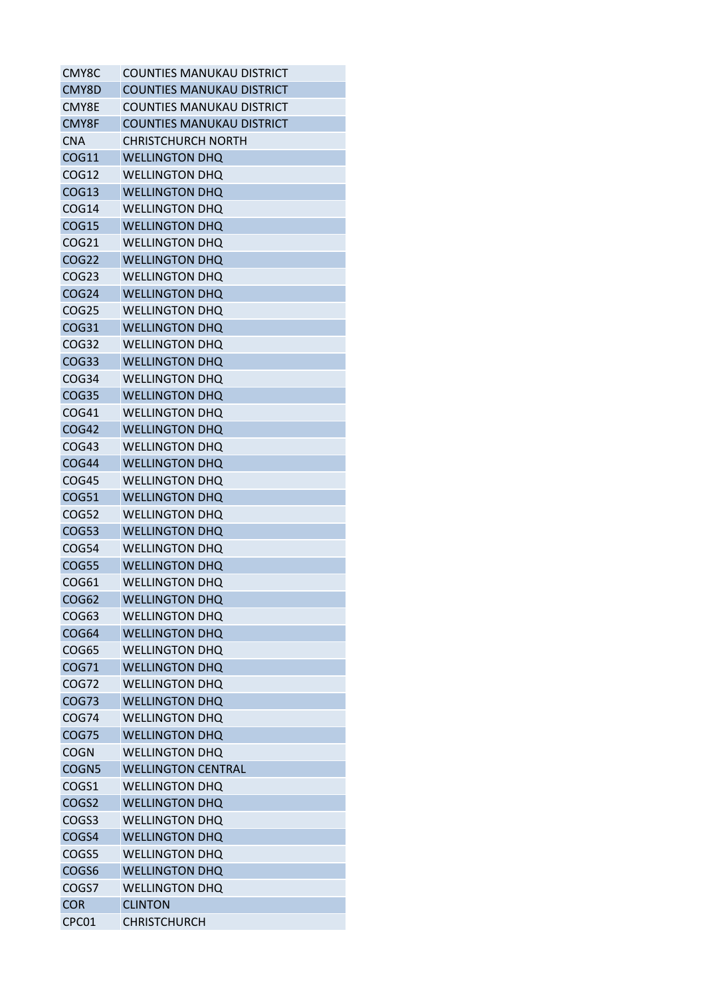| CMY8C             | <b>COUNTIES MANUKAU DISTRICT</b> |
|-------------------|----------------------------------|
| CMY8D             | <b>COUNTIES MANUKAU DISTRICT</b> |
| CMY8E             | COUNTIES MANUKAU DISTRICT        |
| CMY8F             | <b>COUNTIES MANUKAU DISTRICT</b> |
| <b>CNA</b>        | CHRISTCHURCH NORTH               |
| <b>COG11</b>      | <b>WELLINGTON DHQ</b>            |
| COG12             | <b>WELLINGTON DHO</b>            |
| COG13             | <b>WELLINGTON DHQ</b>            |
| COG14             | <b>WELLINGTON DHQ</b>            |
| <b>COG15</b>      | <b>WELLINGTON DHQ</b>            |
| COG21             | <b>WELLINGTON DHQ</b>            |
| COG <sub>22</sub> | <b>WELLINGTON DHQ</b>            |
| COG <sub>23</sub> | <b>WELLINGTON DHQ</b>            |
| <b>COG24</b>      | <b>WELLINGTON DHQ</b>            |
| COG <sub>25</sub> | <b>WELLINGTON DHO</b>            |
| COG31             | <b>WELLINGTON DHQ</b>            |
| COG32             | <b>WELLINGTON DHO</b>            |
| COG <sub>33</sub> | <b>WELLINGTON DHQ</b>            |
| COG34             | <b>WELLINGTON DHQ</b>            |
| COG35             | <b>WELLINGTON DHQ</b>            |
| COG41             | <b>WELLINGTON DHO</b>            |
| COG42             | <b>WELLINGTON DHO</b>            |
| COG43             | <b>WELLINGTON DHO</b>            |
| <b>COG44</b>      | <b>WELLINGTON DHQ</b>            |
| COG45             | <b>WELLINGTON DHO</b>            |
| <b>COG51</b>      | <b>WELLINGTON DHQ</b>            |
| COG52             | <b>WELLINGTON DHQ</b>            |
| COG53             | <b>WELLINGTON DHO</b>            |
| COG54             | <b>WELLINGTON DHQ</b>            |
| COG55             | <b>WELLINGTON DHQ</b>            |
| COG61             | <b>WELLINGTON DHQ</b>            |
| COG62             | <b>WELLINGTON DHQ</b>            |
| COG63             | <b>WELLINGTON DHQ</b>            |
| COG64             | <b>WELLINGTON DHQ</b>            |
| <b>COG65</b>      | <b>WELLINGTON DHQ</b>            |
| COG71             | <b>WELLINGTON DHQ</b>            |
| COG72             | <b>WELLINGTON DHQ</b>            |
| <b>COG73</b>      | <b>WELLINGTON DHQ</b>            |
| <b>COG74</b>      | <b>WELLINGTON DHQ</b>            |
| <b>COG75</b>      | <b>WELLINGTON DHQ</b>            |
| <b>COGN</b>       | <b>WELLINGTON DHQ</b>            |
| COGN5             | <b>WELLINGTON CENTRAL</b>        |
| COGS1             | <b>WELLINGTON DHQ</b>            |
| COGS2             | <b>WELLINGTON DHQ</b>            |
| COGS3             | <b>WELLINGTON DHQ</b>            |
| COGS4             | <b>WELLINGTON DHQ</b>            |
| COGS5             | <b>WELLINGTON DHQ</b>            |
| COGS6             | <b>WELLINGTON DHQ</b>            |
| COGS7             | <b>WELLINGTON DHQ</b>            |
| <b>COR</b>        | <b>CLINTON</b>                   |
| CPC01             | <b>CHRISTCHURCH</b>              |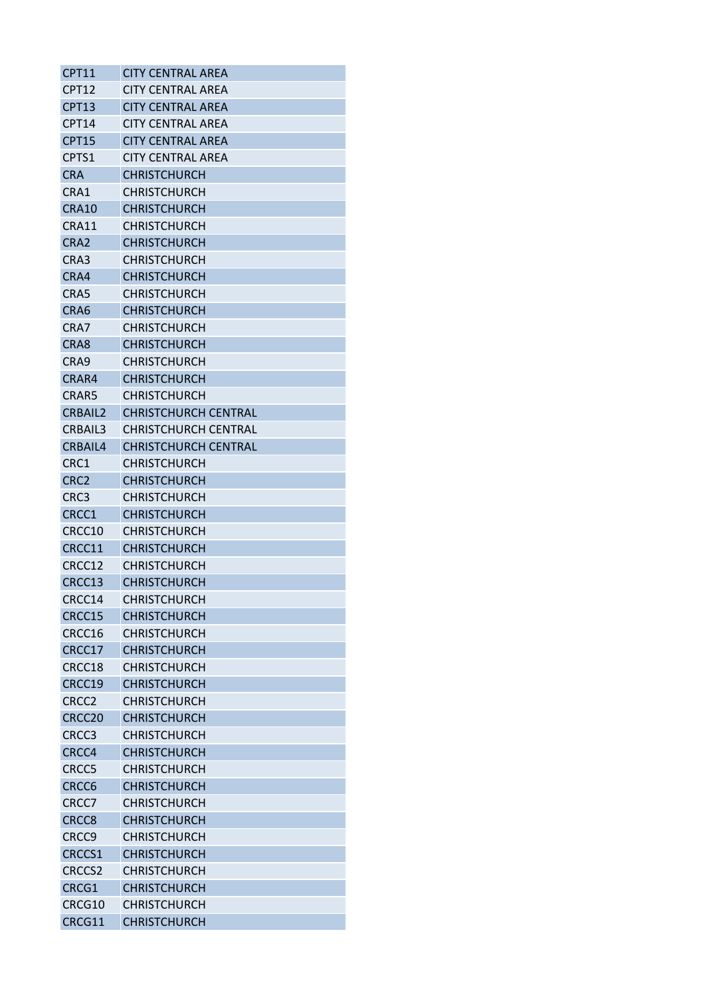| <b>CPT11</b>      | <b>CITY CENTRAL AREA</b>    |
|-------------------|-----------------------------|
| CPT <sub>12</sub> | <b>CITY CENTRAL AREA</b>    |
| <b>CPT13</b>      | <b>CITY CENTRAL AREA</b>    |
| CPT14             | <b>CITY CENTRAL AREA</b>    |
| <b>CPT15</b>      | <b>CITY CENTRAL AREA</b>    |
| CPTS1             | <b>CITY CENTRAL AREA</b>    |
| <b>CRA</b>        | <b>CHRISTCHURCH</b>         |
| CRA1              | <b>CHRISTCHURCH</b>         |
| <b>CRA10</b>      | <b>CHRISTCHURCH</b>         |
| CRA11             | <b>CHRISTCHURCH</b>         |
| CRA <sub>2</sub>  | <b>CHRISTCHURCH</b>         |
| CRA3              | <b>CHRISTCHURCH</b>         |
| CRA4              | <b>CHRISTCHURCH</b>         |
| CRA5              | <b>CHRISTCHURCH</b>         |
| CRA6              | <b>CHRISTCHURCH</b>         |
| CRA7              | <b>CHRISTCHURCH</b>         |
| CRA8              | <b>CHRISTCHURCH</b>         |
| CRA9              | <b>CHRISTCHURCH</b>         |
| CRAR4             | <b>CHRISTCHURCH</b>         |
| CRAR5             | <b>CHRISTCHURCH</b>         |
| <b>CRBAIL2</b>    | <b>CHRISTCHURCH CENTRAL</b> |
| CRBAIL3           | <b>CHRISTCHURCH CENTRAL</b> |
| CRBAIL4           | <b>CHRISTCHURCH CENTRAL</b> |
| CRC1              | <b>CHRISTCHURCH</b>         |
| CRC <sub>2</sub>  | <b>CHRISTCHURCH</b>         |
| CRC3              | <b>CHRISTCHURCH</b>         |
| CRCC1             | <b>CHRISTCHURCH</b>         |
| CRCC10            | <b>CHRISTCHURCH</b>         |
| CRCC11            | <b>CHRISTCHURCH</b>         |
| CRCC12            | <b>CHRISTCHURCH</b>         |
| CRCC13            | <b>CHRISTCHURCH</b>         |
| CRCC14            | <b>CHRISTCHURCH</b>         |
| CRCC15            | <b>CHRISTCHURCH</b>         |
| CRCC16            | <b>CHRISTCHURCH</b>         |
| CRCC17            | <b>CHRISTCHURCH</b>         |
| CRCC18            | <b>CHRISTCHURCH</b>         |
| CRCC19            | <b>CHRISTCHURCH</b>         |
| CRCC <sub>2</sub> | <b>CHRISTCHURCH</b>         |
| CRCC20            | <b>CHRISTCHURCH</b>         |
| CRCC3             | <b>CHRISTCHURCH</b>         |
| CRCC4             | <b>CHRISTCHURCH</b>         |
| CRCC5             | <b>CHRISTCHURCH</b>         |
| CRCC6             | <b>CHRISTCHURCH</b>         |
| CRCC7             | <b>CHRISTCHURCH</b>         |
| CRCC8             | <b>CHRISTCHURCH</b>         |
| CRCC <sub>9</sub> | <b>CHRISTCHURCH</b>         |
| CRCCS1            | <b>CHRISTCHURCH</b>         |
| <b>CRCCS2</b>     | <b>CHRISTCHURCH</b>         |
| CRCG1             | <b>CHRISTCHURCH</b>         |
| CRCG10            | <b>CHRISTCHURCH</b>         |
| CRCG11            | <b>CHRISTCHURCH</b>         |
|                   |                             |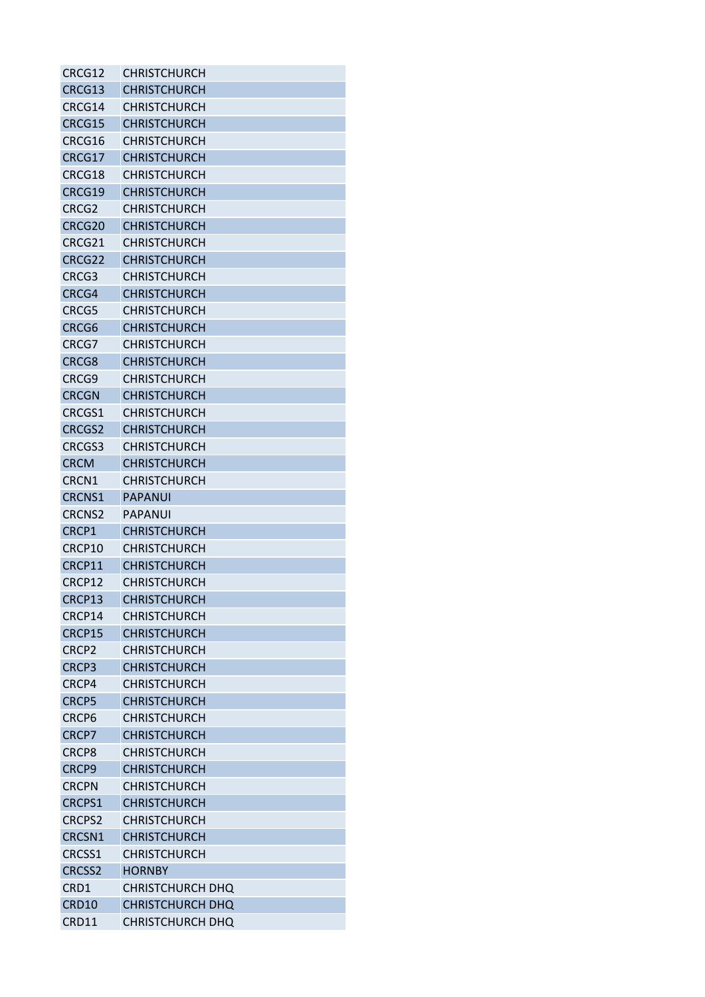| CRCG12            | <b>CHRISTCHURCH</b>     |
|-------------------|-------------------------|
| CRCG13            | <b>CHRISTCHURCH</b>     |
| CRCG14            | <b>CHRISTCHURCH</b>     |
| CRCG15            | <b>CHRISTCHURCH</b>     |
| CRCG16            | CHRISTCHURCH            |
| CRCG17            | <b>CHRISTCHURCH</b>     |
| CRCG18            | <b>CHRISTCHURCH</b>     |
| CRCG19            | <b>CHRISTCHURCH</b>     |
| CRCG <sub>2</sub> | <b>CHRISTCHURCH</b>     |
| CRCG20            | <b>CHRISTCHURCH</b>     |
| CRCG21            | <b>CHRISTCHURCH</b>     |
| CRCG22            | <b>CHRISTCHURCH</b>     |
| CRCG3             | <b>CHRISTCHURCH</b>     |
| CRCG4             | <b>CHRISTCHURCH</b>     |
| CRCG5             | <b>CHRISTCHURCH</b>     |
| CRCG <sub>6</sub> | <b>CHRISTCHURCH</b>     |
| CRCG7             | <b>CHRISTCHURCH</b>     |
| CRCG8             | <b>CHRISTCHURCH</b>     |
| CRCG9             | <b>CHRISTCHURCH</b>     |
| <b>CRCGN</b>      | <b>CHRISTCHURCH</b>     |
| CRCGS1            | <b>CHRISTCHURCH</b>     |
| <b>CRCGS2</b>     | <b>CHRISTCHURCH</b>     |
| CRCGS3            | <b>CHRISTCHURCH</b>     |
|                   |                         |
| <b>CRCM</b>       | <b>CHRISTCHURCH</b>     |
| CRCN1             | <b>CHRISTCHURCH</b>     |
| <b>CRCNS1</b>     | <b>PAPANUI</b>          |
| <b>CRCNS2</b>     | PAPANUI                 |
| CRCP1             | <b>CHRISTCHURCH</b>     |
| CRCP10            | <b>CHRISTCHURCH</b>     |
| CRCP11            | <b>CHRISTCHURCH</b>     |
| CRCP12            | <b>CHRISTCHURCH</b>     |
| CRCP13            | <b>CHRISTCHURCH</b>     |
| CRCP14            | <b>CHRISTCHURCH</b>     |
| CRCP15            | <b>CHRISTCHURCH</b>     |
| CRCP <sub>2</sub> | <b>CHRISTCHURCH</b>     |
| CRCP3             | <b>CHRISTCHURCH</b>     |
| CRCP4             | <b>CHRISTCHURCH</b>     |
| CRCP5             | <b>CHRISTCHURCH</b>     |
| CRCP <sub>6</sub> | <b>CHRISTCHURCH</b>     |
| CRCP7             | <b>CHRISTCHURCH</b>     |
| CRCP8             | <b>CHRISTCHURCH</b>     |
| CRCP9             | <b>CHRISTCHURCH</b>     |
| <b>CRCPN</b>      | <b>CHRISTCHURCH</b>     |
| <b>CRCPS1</b>     | <b>CHRISTCHURCH</b>     |
| <b>CRCPS2</b>     | <b>CHRISTCHURCH</b>     |
| CRCSN1            | <b>CHRISTCHURCH</b>     |
| CRCSS1            | <b>CHRISTCHURCH</b>     |
| <b>CRCSS2</b>     | <b>HORNBY</b>           |
| CRD1              | <b>CHRISTCHURCH DHQ</b> |
| <b>CRD10</b>      | <b>CHRISTCHURCH DHQ</b> |
| CRD11             | CHRISTCHURCH DHQ        |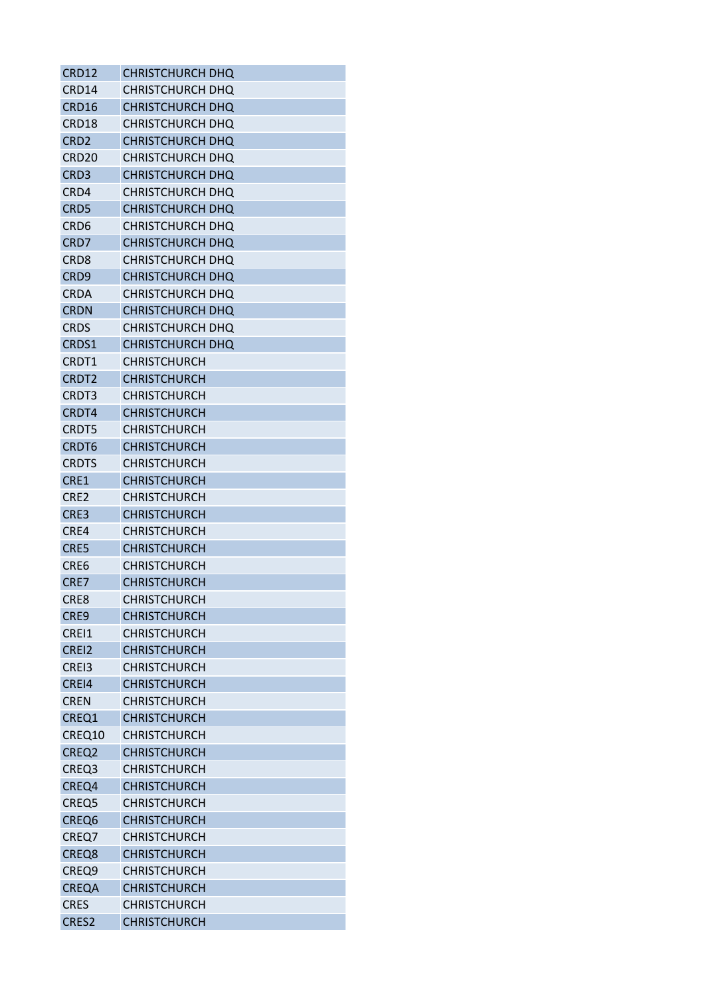| CRD12             | <b>CHRISTCHURCH DHO</b> |
|-------------------|-------------------------|
| CRD14             | <b>CHRISTCHURCH DHO</b> |
| CRD16             | CHRISTCHURCH DHQ        |
| CRD18             | <b>CHRISTCHURCH DHQ</b> |
| CRD <sub>2</sub>  | CHRISTCHURCH DHQ        |
| CRD <sub>20</sub> | CHRISTCHURCH DHQ        |
| CRD <sub>3</sub>  | CHRISTCHURCH DHQ        |
| CRD4              | CHRISTCHURCH DHO        |
| CRD <sub>5</sub>  | CHRISTCHURCH DHQ        |
| CRD <sub>6</sub>  | CHRISTCHURCH DHQ        |
| CRD7              | CHRISTCHURCH DHQ        |
| CRD8              | CHRISTCHURCH DHQ        |
| CRD <sub>9</sub>  | CHRISTCHURCH DHQ        |
| CRDA              | CHRISTCHURCH DHQ        |
| <b>CRDN</b>       | <b>CHRISTCHURCH DHO</b> |
| <b>CRDS</b>       | CHRISTCHURCH DHQ        |
| CRDS1             | CHRISTCHURCH DHQ        |
| CRDT1             | <b>CHRISTCHURCH</b>     |
| CRDT <sub>2</sub> | <b>CHRISTCHURCH</b>     |
| CRDT3             | <b>CHRISTCHURCH</b>     |
| CRDT4             | <b>CHRISTCHURCH</b>     |
| <b>CRDT5</b>      | <b>CHRISTCHURCH</b>     |
| CRDT <sub>6</sub> | <b>CHRISTCHURCH</b>     |
| <b>CRDTS</b>      | <b>CHRISTCHURCH</b>     |
| CRE1              | <b>CHRISTCHURCH</b>     |
| CRE <sub>2</sub>  | <b>CHRISTCHURCH</b>     |
| CRE3              | <b>CHRISTCHURCH</b>     |
|                   | <b>CHRISTCHURCH</b>     |
| CRE4              |                         |
| CRE5              | <b>CHRISTCHURCH</b>     |
| CRE6              | <b>CHRISTCHURCH</b>     |
| CRE7              | <b>CHRISTCHURCH</b>     |
| CRE8              | <b>CHRISTCHURCH</b>     |
| CRE9              | <b>CHRISTCHURCH</b>     |
| CREI1             | <b>CHRISTCHURCH</b>     |
| CREI2             | <b>CHRISTCHURCH</b>     |
| CREI3             | <b>CHRISTCHURCH</b>     |
| CREI4             | <b>CHRISTCHURCH</b>     |
| <b>CREN</b>       | <b>CHRISTCHURCH</b>     |
| CREQ1             | <b>CHRISTCHURCH</b>     |
| CREQ10            | <b>CHRISTCHURCH</b>     |
| CREQ <sub>2</sub> | <b>CHRISTCHURCH</b>     |
| CREQ3             | CHRISTCHURCH            |
| CREQ4             | <b>CHRISTCHURCH</b>     |
| CREQ5             | <b>CHRISTCHURCH</b>     |
| CREQ6             | <b>CHRISTCHURCH</b>     |
| CREQ7             | <b>CHRISTCHURCH</b>     |
| CREQ8             | <b>CHRISTCHURCH</b>     |
| CREQ9             | <b>CHRISTCHURCH</b>     |
| <b>CREQA</b>      | <b>CHRISTCHURCH</b>     |
| <b>CRES</b>       | <b>CHRISTCHURCH</b>     |
| CRES2             | <b>CHRISTCHURCH</b>     |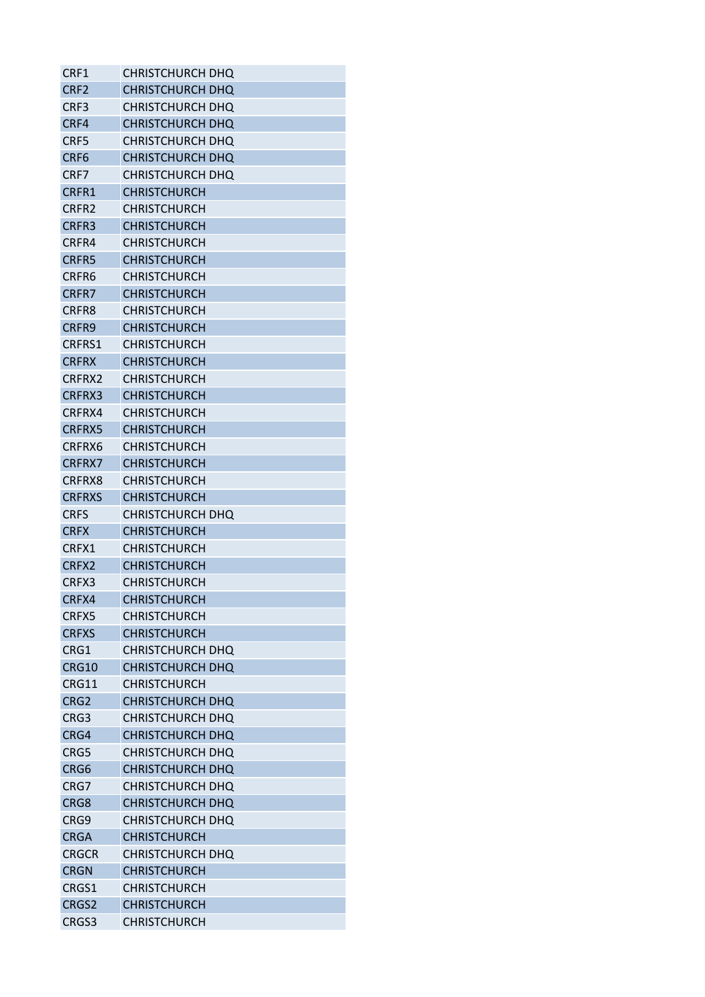| CRF1              | <b>CHRISTCHURCH DHQ</b> |
|-------------------|-------------------------|
| CRF <sub>2</sub>  | CHRISTCHURCH DHQ        |
| CRF3              | CHRISTCHURCH DHQ        |
| CRF4              | CHRISTCHURCH DHQ        |
| CRF5              | CHRISTCHURCH DHQ        |
| CRF <sub>6</sub>  | CHRISTCHURCH DHQ        |
| CRF7              | CHRISTCHURCH DHQ        |
| CRFR1             | <b>CHRISTCHURCH</b>     |
| CRFR <sub>2</sub> | <b>CHRISTCHURCH</b>     |
| CRFR3             | <b>CHRISTCHURCH</b>     |
| CRFR4             | <b>CHRISTCHURCH</b>     |
| <b>CRFR5</b>      | <b>CHRISTCHURCH</b>     |
| CRFR6             | <b>CHRISTCHURCH</b>     |
| CRFR7             | <b>CHRISTCHURCH</b>     |
| CRFR8             | <b>CHRISTCHURCH</b>     |
| CRFR9             | <b>CHRISTCHURCH</b>     |
| <b>CRFRS1</b>     | <b>CHRISTCHURCH</b>     |
| <b>CRFRX</b>      | <b>CHRISTCHURCH</b>     |
| CRFRX2            | <b>CHRISTCHURCH</b>     |
| CRFRX3            | <b>CHRISTCHURCH</b>     |
| CRFRX4            | <b>CHRISTCHURCH</b>     |
| <b>CRFRX5</b>     | <b>CHRISTCHURCH</b>     |
|                   |                         |
| CRFRX6            | <b>CHRISTCHURCH</b>     |
| <b>CRFRX7</b>     | <b>CHRISTCHURCH</b>     |
| CRFRX8            | <b>CHRISTCHURCH</b>     |
| <b>CRFRXS</b>     | <b>CHRISTCHURCH</b>     |
| <b>CRFS</b>       | <b>CHRISTCHURCH DHQ</b> |
| <b>CRFX</b>       | CHRISTCHURCH            |
| CRFX1             | <b>CHRISTCHURCH</b>     |
| CRFX <sub>2</sub> | <b>CHRISTCHURCH</b>     |
| CRFX3             | <b>CHRISTCHURCH</b>     |
| CRFX4             | <b>CHRISTCHURCH</b>     |
| CRFX5             | <b>CHRISTCHURCH</b>     |
| <b>CRFXS</b>      | <b>CHRISTCHURCH</b>     |
| CRG1              | <b>CHRISTCHURCH DHQ</b> |
| <b>CRG10</b>      | CHRISTCHURCH DHQ        |
| CRG11             | <b>CHRISTCHURCH</b>     |
| CRG <sub>2</sub>  | <b>CHRISTCHURCH DHQ</b> |
| CRG3              | <b>CHRISTCHURCH DHQ</b> |
| CRG4              | <b>CHRISTCHURCH DHQ</b> |
| CRG5              | CHRISTCHURCH DHQ        |
| CRG6              | <b>CHRISTCHURCH DHQ</b> |
| CRG7              | <b>CHRISTCHURCH DHQ</b> |
| CRG8              | CHRISTCHURCH DHQ        |
| CRG9              | CHRISTCHURCH DHQ        |
| <b>CRGA</b>       | <b>CHRISTCHURCH</b>     |
| <b>CRGCR</b>      | <b>CHRISTCHURCH DHQ</b> |
| <b>CRGN</b>       | <b>CHRISTCHURCH</b>     |
| CRGS1             | <b>CHRISTCHURCH</b>     |
| CRGS2             | <b>CHRISTCHURCH</b>     |
| CRGS3             | CHRISTCHURCH            |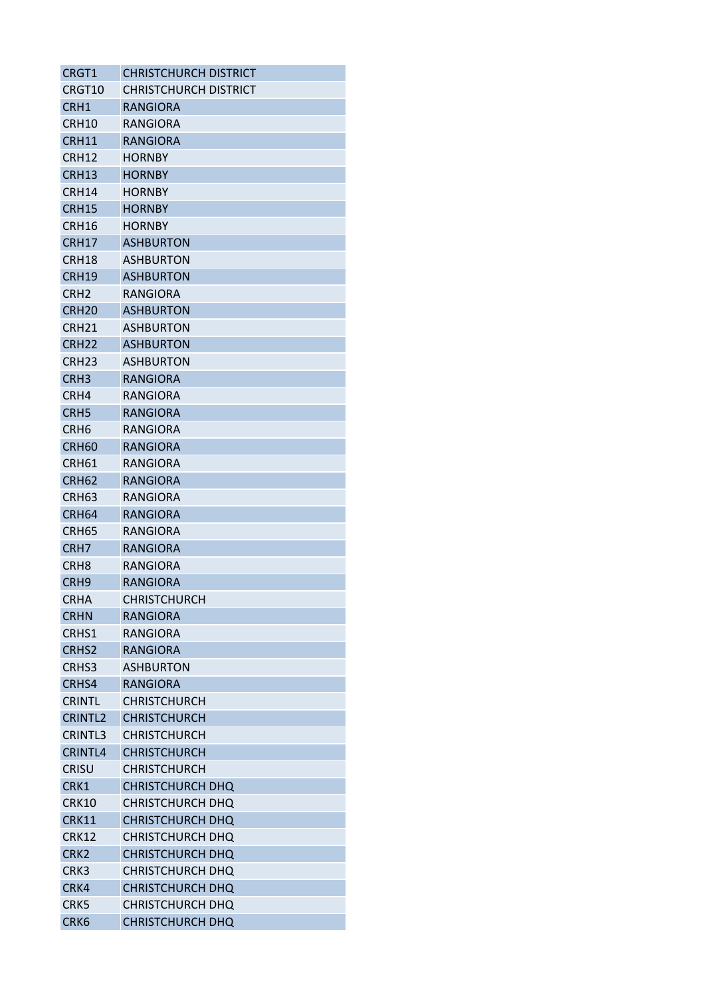| CRGT1             | <b>CHRISTCHURCH DISTRICT</b> |
|-------------------|------------------------------|
| CRGT10            | CHRISTCHURCH DISTRICT        |
| CRH1              | RANGIORA                     |
| CRH10             | RANGIORA                     |
| CRH11             | <b>RANGIORA</b>              |
| CRH12             | <b>HORNBY</b>                |
| CRH <sub>13</sub> | HORNBY                       |
| CRH14             | HORNBY                       |
| <b>CRH15</b>      | <b>HORNBY</b>                |
| CRH16             | <b>HORNBY</b>                |
| CRH17             | <b>ASHBURTON</b>             |
| CRH18             | <b>ASHBURTON</b>             |
| CRH19             | <b>ASHBURTON</b>             |
| CRH <sub>2</sub>  | RANGIORA                     |
| CRH <sub>20</sub> | <b>ASHBURTON</b>             |
| CRH <sub>21</sub> | <b>ASHBURTON</b>             |
| CRH <sub>22</sub> | <b>ASHBURTON</b>             |
| CRH <sub>23</sub> | <b>ASHBURTON</b>             |
| CRH <sub>3</sub>  | <b>RANGIORA</b>              |
| CRH4              | RANGIORA                     |
| CRH <sub>5</sub>  | <b>RANGIORA</b>              |
| CRH <sub>6</sub>  | RANGIORA                     |
| CRH <sub>60</sub> | <b>RANGIORA</b>              |
| CRH <sub>61</sub> | RANGIORA                     |
| <b>CRH62</b>      | <b>RANGIORA</b>              |
| CRH <sub>63</sub> | RANGIORA                     |
| CRH <sub>64</sub> | <b>RANGIORA</b>              |
| CRH <sub>65</sub> | RANGIORA                     |
| CRH <sub>7</sub>  | <b>RANGIORA</b>              |
| CRH8              | RANGIORA                     |
| CRH <sub>9</sub>  | <b>RANGIORA</b>              |
| <b>CRHA</b>       | <b>CHRISTCHURCH</b>          |
| <b>CRHN</b>       | <b>RANGIORA</b>              |
| CRHS1             | RANGIORA                     |
| CRHS <sub>2</sub> | <b>RANGIORA</b>              |
| CRHS3             | <b>ASHBURTON</b>             |
| CRHS4             | <b>RANGIORA</b>              |
| <b>CRINTL</b>     | <b>CHRISTCHURCH</b>          |
| <b>CRINTL2</b>    | <b>CHRISTCHURCH</b>          |
| CRINTL3           | <b>CHRISTCHURCH</b>          |
| <b>CRINTL4</b>    | <b>CHRISTCHURCH</b>          |
|                   |                              |
| <b>CRISU</b>      | <b>CHRISTCHURCH</b>          |
| CRK1              | <b>CHRISTCHURCH DHQ</b>      |
| <b>CRK10</b>      | CHRISTCHURCH DHQ             |
| <b>CRK11</b>      | <b>CHRISTCHURCH DHQ</b>      |
| <b>CRK12</b>      | CHRISTCHURCH DHQ             |
| CRK <sub>2</sub>  | <b>CHRISTCHURCH DHQ</b>      |
| CRK3              | <b>CHRISTCHURCH DHQ</b>      |
| CRK4              | <b>CHRISTCHURCH DHQ</b>      |
| CRK5              | <b>CHRISTCHURCH DHQ</b>      |
| CRK <sub>6</sub>  | CHRISTCHURCH DHQ             |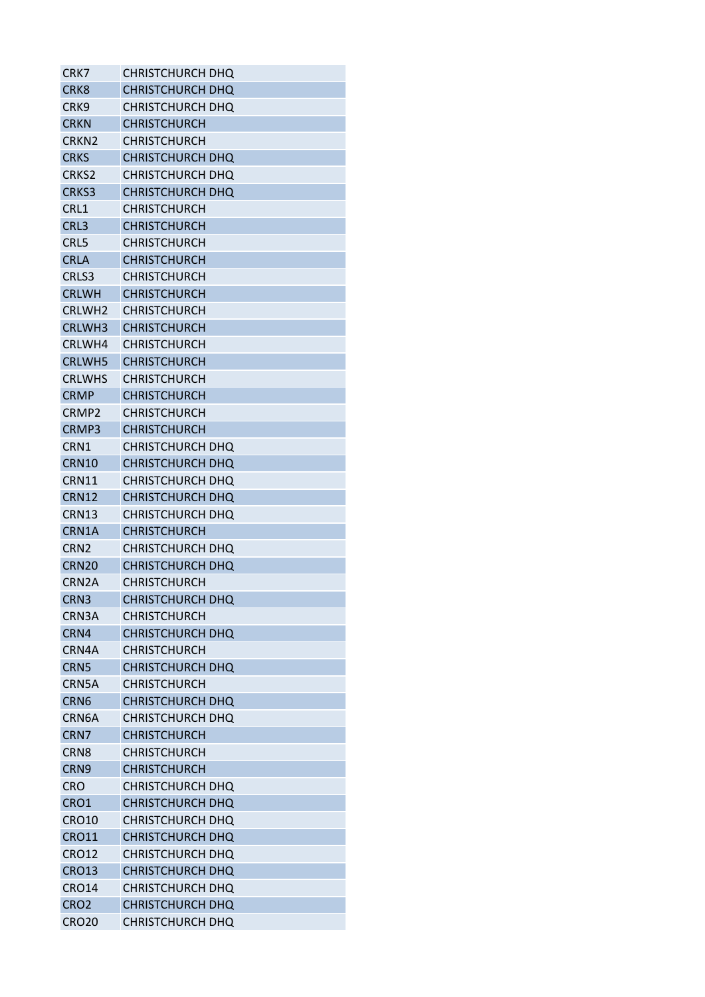| CRK7               | CHRISTCHURCH DHQ        |
|--------------------|-------------------------|
| CRK <sub>8</sub>   | CHRISTCHURCH DHQ        |
| CRK9               | CHRISTCHURCH DHQ        |
| <b>CRKN</b>        | <b>CHRISTCHURCH</b>     |
| CRKN <sub>2</sub>  | CHRISTCHURCH            |
| <b>CRKS</b>        | <b>CHRISTCHURCH DHQ</b> |
| CRKS2              | CHRISTCHURCH DHQ        |
| CRKS3              | <b>CHRISTCHURCH DHQ</b> |
| CRL1               | <b>CHRISTCHURCH</b>     |
| CRL3               | <b>CHRISTCHURCH</b>     |
| CRL5               | <b>CHRISTCHURCH</b>     |
| <b>CRLA</b>        | <b>CHRISTCHURCH</b>     |
| CRLS3              | <b>CHRISTCHURCH</b>     |
| <b>CRLWH</b>       | <b>CHRISTCHURCH</b>     |
| <b>CRLWH2</b>      | <b>CHRISTCHURCH</b>     |
| CRLWH3             | <b>CHRISTCHURCH</b>     |
| CRLWH4             | <b>CHRISTCHURCH</b>     |
| <b>CRLWH5</b>      | <b>CHRISTCHURCH</b>     |
| <b>CRLWHS</b>      | <b>CHRISTCHURCH</b>     |
| <b>CRMP</b>        | <b>CHRISTCHURCH</b>     |
| CRMP <sub>2</sub>  | <b>CHRISTCHURCH</b>     |
| CRMP3              | <b>CHRISTCHURCH</b>     |
| CRN1               | CHRISTCHURCH DHQ        |
| CRN10              | <b>CHRISTCHURCH DHQ</b> |
| CRN11              | <b>CHRISTCHURCH DHQ</b> |
| <b>CRN12</b>       | <b>CHRISTCHURCH DHQ</b> |
| CRN13              | CHRISTCHURCH DHQ        |
| CRN1A              | <b>CHRISTCHURCH</b>     |
| CRN <sub>2</sub>   | <b>CHRISTCHURCH DHQ</b> |
| CRN <sub>20</sub>  | <b>CHRISTCHURCH DHQ</b> |
| CRN <sub>2</sub> A | <b>CHRISTCHURCH</b>     |
| CRN3               | <b>CHRISTCHURCH DHQ</b> |
| CRN3A              | <b>CHRISTCHURCH</b>     |
| CRN4               | <b>CHRISTCHURCH DHQ</b> |
| CRN4A              | <b>CHRISTCHURCH</b>     |
| CRN <sub>5</sub>   | <b>CHRISTCHURCH DHQ</b> |
| CRN5A              | <b>CHRISTCHURCH</b>     |
| CRN <sub>6</sub>   | <b>CHRISTCHURCH DHQ</b> |
| CRN6A              | <b>CHRISTCHURCH DHQ</b> |
| CRN <sub>7</sub>   | <b>CHRISTCHURCH</b>     |
| CRN <sub>8</sub>   | CHRISTCHURCH            |
| CRN <sub>9</sub>   | <b>CHRISTCHURCH</b>     |
| <b>CRO</b>         | <b>CHRISTCHURCH DHQ</b> |
| CRO1               | <b>CHRISTCHURCH DHQ</b> |
| <b>CRO10</b>       | CHRISTCHURCH DHQ        |
| <b>CRO11</b>       | <b>CHRISTCHURCH DHQ</b> |
| <b>CRO12</b>       | <b>CHRISTCHURCH DHQ</b> |
| <b>CRO13</b>       | <b>CHRISTCHURCH DHQ</b> |
| <b>CRO14</b>       | CHRISTCHURCH DHQ        |
| CRO <sub>2</sub>   | <b>CHRISTCHURCH DHQ</b> |
|                    |                         |
| <b>CRO20</b>       | CHRISTCHURCH DHQ        |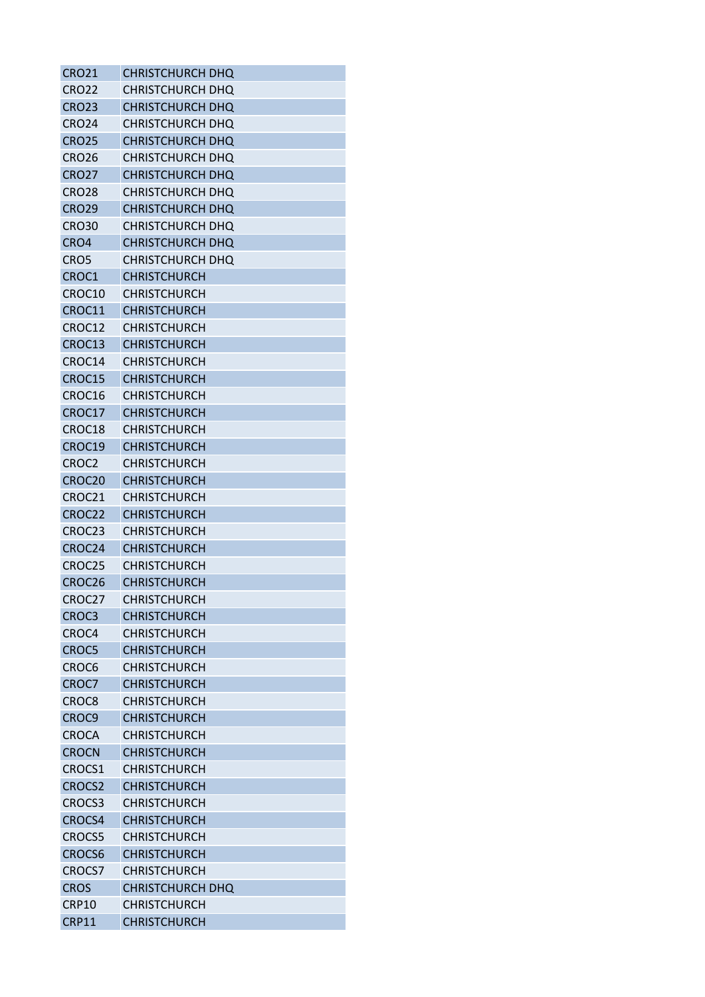| <b>CRO21</b>       | <b>CHRISTCHURCH DHQ</b> |
|--------------------|-------------------------|
| <b>CRO22</b>       | CHRISTCHURCH DHQ        |
| <b>CRO23</b>       | CHRISTCHURCH DHQ        |
| <b>CRO24</b>       | <b>CHRISTCHURCH DHQ</b> |
| <b>CRO25</b>       | <b>CHRISTCHURCH DHQ</b> |
| <b>CRO26</b>       | CHRISTCHURCH DHQ        |
| <b>CRO27</b>       | CHRISTCHURCH DHQ        |
| <b>CRO28</b>       | CHRISTCHURCH DHO        |
| <b>CRO29</b>       | <b>CHRISTCHURCH DHQ</b> |
| <b>CRO30</b>       | CHRISTCHURCH DHO        |
| CRO4               | <b>CHRISTCHURCH DHQ</b> |
| CRO5               | CHRISTCHURCH DHQ        |
| CROC1              | <b>CHRISTCHURCH</b>     |
| CROC10             | <b>CHRISTCHURCH</b>     |
| CROC11             | <b>CHRISTCHURCH</b>     |
| CROC12             | <b>CHRISTCHURCH</b>     |
| CROC13             | <b>CHRISTCHURCH</b>     |
| CROC14             | <b>CHRISTCHURCH</b>     |
| CROC15             | <b>CHRISTCHURCH</b>     |
| CROC16             | <b>CHRISTCHURCH</b>     |
| CROC17             | <b>CHRISTCHURCH</b>     |
| CROC18             | CHRISTCHURCH            |
| CROC19             | <b>CHRISTCHURCH</b>     |
| CROC <sub>2</sub>  | <b>CHRISTCHURCH</b>     |
| CROC20             | <b>CHRISTCHURCH</b>     |
| CROC21             | <b>CHRISTCHURCH</b>     |
| CROC22             | <b>CHRISTCHURCH</b>     |
| CROC <sub>23</sub> | <b>CHRISTCHURCH</b>     |
| CROC24             | <b>CHRISTCHURCH</b>     |
| CROC25             | <b>CHRISTCHURCH</b>     |
| CROC <sub>26</sub> | <b>CHRISTCHURCH</b>     |
| CROC27             | <b>CHRISTCHURCH</b>     |
| CROC <sub>3</sub>  | <b>CHRISTCHURCH</b>     |
| CROC4              | <b>CHRISTCHURCH</b>     |
| CROC5              | <b>CHRISTCHURCH</b>     |
| CROC6              | <b>CHRISTCHURCH</b>     |
| CROC7              | <b>CHRISTCHURCH</b>     |
| CROC8              | <b>CHRISTCHURCH</b>     |
| CROC9              | <b>CHRISTCHURCH</b>     |
| <b>CROCA</b>       | <b>CHRISTCHURCH</b>     |
| <b>CROCN</b>       | <b>CHRISTCHURCH</b>     |
| CROCS1             | <b>CHRISTCHURCH</b>     |
| <b>CROCS2</b>      | <b>CHRISTCHURCH</b>     |
| CROCS3             | <b>CHRISTCHURCH</b>     |
| CROCS4             | <b>CHRISTCHURCH</b>     |
| <b>CROCS5</b>      | <b>CHRISTCHURCH</b>     |
| CROCS6             | <b>CHRISTCHURCH</b>     |
| CROCS7             | <b>CHRISTCHURCH</b>     |
| <b>CROS</b>        | CHRISTCHURCH DHQ        |
| CRP10              | <b>CHRISTCHURCH</b>     |
| <b>CRP11</b>       | <b>CHRISTCHURCH</b>     |
|                    |                         |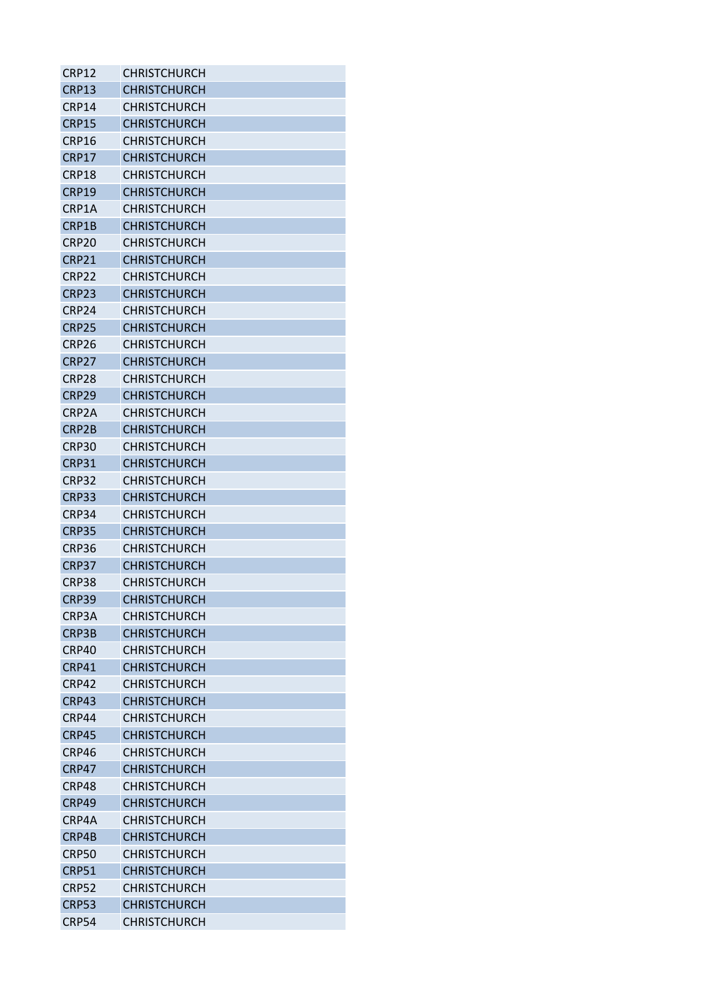| CRP12             | <b>CHRISTCHURCH</b> |
|-------------------|---------------------|
| CRP13             | <b>CHRISTCHURCH</b> |
| CRP14             | CHRISTCHURCH        |
| <b>CRP15</b>      | <b>CHRISTCHURCH</b> |
| CRP16             | <b>CHRISTCHURCH</b> |
| CRP17             | <b>CHRISTCHURCH</b> |
| CRP18             | <b>CHRISTCHURCH</b> |
| CRP19             | <b>CHRISTCHURCH</b> |
| CRP1A             | <b>CHRISTCHURCH</b> |
| CRP1B             | <b>CHRISTCHURCH</b> |
| CRP <sub>20</sub> | <b>CHRISTCHURCH</b> |
| CRP21             | <b>CHRISTCHURCH</b> |
| CRP22             | <b>CHRISTCHURCH</b> |
| CRP23             | <b>CHRISTCHURCH</b> |
| CRP24             | <b>CHRISTCHURCH</b> |
| CRP25             | <b>CHRISTCHURCH</b> |
| CRP26             | <b>CHRISTCHURCH</b> |
| CRP <sub>27</sub> | <b>CHRISTCHURCH</b> |
| CRP <sub>28</sub> | <b>CHRISTCHURCH</b> |
| CRP29             | <b>CHRISTCHURCH</b> |
| CRP2A             | <b>CHRISTCHURCH</b> |
| CRP2B             | <b>CHRISTCHURCH</b> |
| CRP30             | CHRISTCHURCH        |
| CRP31             | <b>CHRISTCHURCH</b> |
| CRP32             | <b>CHRISTCHURCH</b> |
| CRP33             | <b>CHRISTCHURCH</b> |
| CRP34             | <b>CHRISTCHURCH</b> |
| CRP35             | CHRISTCHURCH        |
| CRP36             | <b>CHRISTCHURCH</b> |
| <b>CRP37</b>      | <b>CHRISTCHURCH</b> |
| CRP38             | <b>CHRISTCHURCH</b> |
| <b>CRP39</b>      | <b>CHRISTCHURCH</b> |
| CRP3A             | <b>CHRISTCHURCH</b> |
| CRP3B             | <b>CHRISTCHURCH</b> |
| CRP40             | <b>CHRISTCHURCH</b> |
| CRP41             | <b>CHRISTCHURCH</b> |
| CRP42             | <b>CHRISTCHURCH</b> |
| CRP43             | <b>CHRISTCHURCH</b> |
| CRP44             | <b>CHRISTCHURCH</b> |
| CRP45             | <b>CHRISTCHURCH</b> |
| CRP46             | <b>CHRISTCHURCH</b> |
| CRP47             | <b>CHRISTCHURCH</b> |
| CRP48             | <b>CHRISTCHURCH</b> |
| CRP49             | <b>CHRISTCHURCH</b> |
| CRP4A             | <b>CHRISTCHURCH</b> |
| CRP4B             | <b>CHRISTCHURCH</b> |
| <b>CRP50</b>      | <b>CHRISTCHURCH</b> |
| <b>CRP51</b>      | <b>CHRISTCHURCH</b> |
| <b>CRP52</b>      | <b>CHRISTCHURCH</b> |
| <b>CRP53</b>      | <b>CHRISTCHURCH</b> |
| CRP54             | <b>CHRISTCHURCH</b> |
|                   |                     |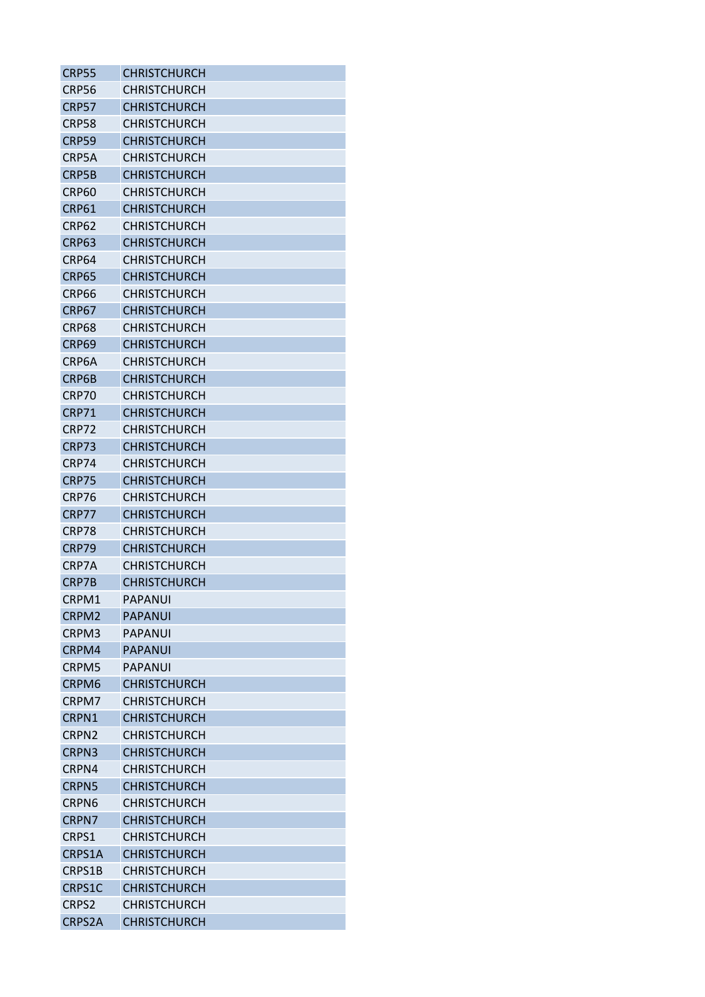| CRP55             | <b>CHRISTCHURCH</b> |
|-------------------|---------------------|
| CRP56             | <b>CHRISTCHURCH</b> |
| CRP57             | <b>CHRISTCHURCH</b> |
| CRP58             | <b>CHRISTCHURCH</b> |
| <b>CRP59</b>      | <b>CHRISTCHURCH</b> |
| CRP5A             | <b>CHRISTCHURCH</b> |
| CRP5B             | <b>CHRISTCHURCH</b> |
| CRP60             | CHRISTCHURCH        |
| <b>CRP61</b>      | <b>CHRISTCHURCH</b> |
| CRP62             | <b>CHRISTCHURCH</b> |
| CRP63             | <b>CHRISTCHURCH</b> |
| CRP64             | <b>CHRISTCHURCH</b> |
| <b>CRP65</b>      | <b>CHRISTCHURCH</b> |
| CRP66             | <b>CHRISTCHURCH</b> |
| CRP67             | <b>CHRISTCHURCH</b> |
| CRP68             | <b>CHRISTCHURCH</b> |
| CRP69             | <b>CHRISTCHURCH</b> |
| CRP6A             | <b>CHRISTCHURCH</b> |
| CRP6B             | <b>CHRISTCHURCH</b> |
| CRP70             | <b>CHRISTCHURCH</b> |
| CRP71             | <b>CHRISTCHURCH</b> |
| CRP72             | <b>CHRISTCHURCH</b> |
| CRP73             | <b>CHRISTCHURCH</b> |
| CRP74             | <b>CHRISTCHURCH</b> |
| CRP75             | <b>CHRISTCHURCH</b> |
| CRP76             | <b>CHRISTCHURCH</b> |
| CRP77             | <b>CHRISTCHURCH</b> |
| CRP78             | <b>CHRISTCHURCH</b> |
| CRP79             | <b>CHRISTCHURCH</b> |
| CRP7A             | <b>CHRISTCHURCH</b> |
| CRP7B             | <b>CHRISTCHURCH</b> |
| CRPM1             | <b>PAPANUI</b>      |
| CRPM <sub>2</sub> | PAPANUI             |
| CRPM3             | <b>PAPANUI</b>      |
| CRPM4             | <b>PAPANUI</b>      |
| CRPM5             | <b>PAPANUI</b>      |
| CRPM <sub>6</sub> | <b>CHRISTCHURCH</b> |
| CRPM7             | <b>CHRISTCHURCH</b> |
| CRPN1             | <b>CHRISTCHURCH</b> |
| CRPN2             | <b>CHRISTCHURCH</b> |
| CRPN3             | <b>CHRISTCHURCH</b> |
| CRPN4             | <b>CHRISTCHURCH</b> |
| <b>CRPN5</b>      | <b>CHRISTCHURCH</b> |
| CRPN <sub>6</sub> | <b>CHRISTCHURCH</b> |
| CRPN7             | <b>CHRISTCHURCH</b> |
| CRPS1             | <b>CHRISTCHURCH</b> |
| CRPS1A            | <b>CHRISTCHURCH</b> |
| CRPS1B            | <b>CHRISTCHURCH</b> |
| CRPS1C            | <b>CHRISTCHURCH</b> |
| CRPS <sub>2</sub> | <b>CHRISTCHURCH</b> |
| <b>CRPS2A</b>     | <b>CHRISTCHURCH</b> |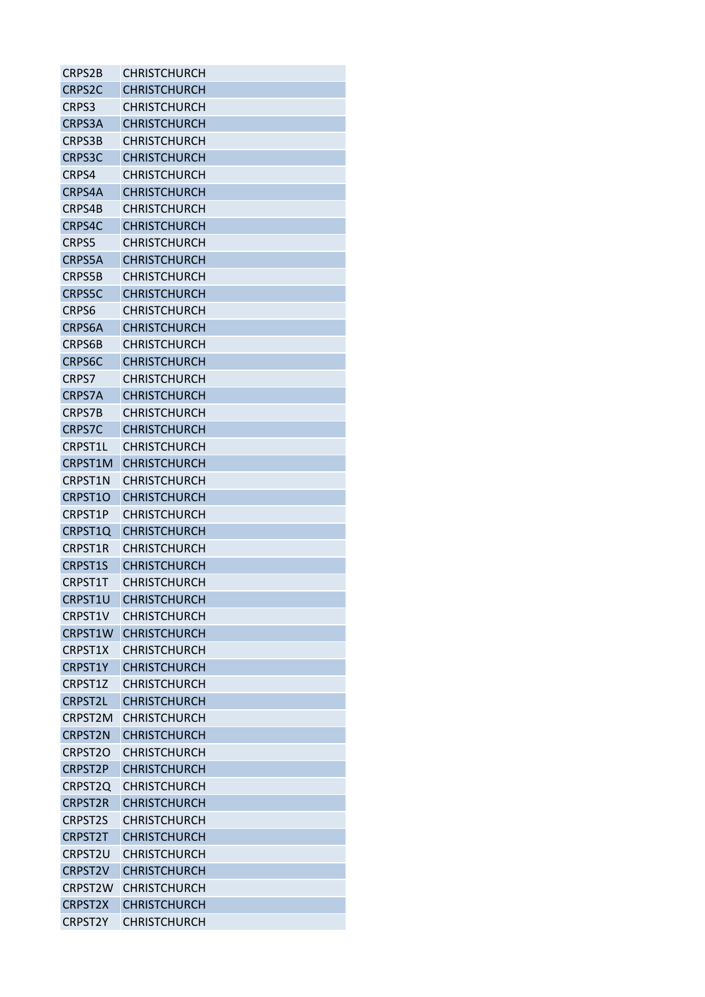| CRPS2B                                 | <b>CHRISTCHURCH</b> |
|----------------------------------------|---------------------|
| CRPS <sub>2</sub> C                    | <b>CHRISTCHURCH</b> |
| CRPS3                                  | <b>CHRISTCHURCH</b> |
| CRPS3A                                 | <b>CHRISTCHURCH</b> |
| CRPS3B                                 | CHRISTCHURCH        |
| <b>CRPS3C</b>                          | <b>CHRISTCHURCH</b> |
| CRPS4                                  | <b>CHRISTCHURCH</b> |
| CRPS4A                                 | <b>CHRISTCHURCH</b> |
| CRPS4B                                 | <b>CHRISTCHURCH</b> |
| CRPS4C                                 | <b>CHRISTCHURCH</b> |
| <b>CRPS5</b>                           | <b>CHRISTCHURCH</b> |
| CRPS5A                                 | <b>CHRISTCHURCH</b> |
| CRPS5B                                 | <b>CHRISTCHURCH</b> |
| <b>CRPS5C</b>                          | <b>CHRISTCHURCH</b> |
| CRPS6                                  | <b>CHRISTCHURCH</b> |
| CRPS6A                                 | <b>CHRISTCHURCH</b> |
| <b>CRPS6B</b>                          | <b>CHRISTCHURCH</b> |
| <b>CRPS6C</b>                          | <b>CHRISTCHURCH</b> |
| CRPS7                                  | <b>CHRISTCHURCH</b> |
| <b>CRPS7A</b>                          | <b>CHRISTCHURCH</b> |
| CRPS7B                                 | CHRISTCHURCH        |
| <b>CRPS7C</b>                          | <b>CHRISTCHURCH</b> |
| CRPST1L                                | <b>CHRISTCHURCH</b> |
| CRPST1M                                | <b>CHRISTCHURCH</b> |
| CRPST1N                                | <b>CHRISTCHURCH</b> |
| CRPST1O                                | <b>CHRISTCHURCH</b> |
| CRPST1P                                | <b>CHRISTCHURCH</b> |
| CRPST1Q                                | CHRISTCHURCH        |
| <b>CRPST1R</b>                         | <b>CHRISTCHURCH</b> |
| <b>CRPST1S</b>                         | <b>CHRISTCHURCH</b> |
| CRPST1T                                | <b>CHRISTCHURCH</b> |
| CRPST1U                                | <b>CHRISTCHURCH</b> |
| CRPST1V                                | <b>CHRISTCHURCH</b> |
| CRPST1W                                | <b>CHRISTCHURCH</b> |
| CRPST1X                                | <b>CHRISTCHURCH</b> |
| CRPST1Y                                | <b>CHRISTCHURCH</b> |
| CRPST1Z                                | <b>CHRISTCHURCH</b> |
| <b>CRPST2L</b>                         | <b>CHRISTCHURCH</b> |
| CRPST2M                                | <b>CHRISTCHURCH</b> |
| <b>CRPST2N</b>                         | <b>CHRISTCHURCH</b> |
| CRPST <sub>20</sub>                    | <b>CHRISTCHURCH</b> |
| CRPST2P                                | <b>CHRISTCHURCH</b> |
| CRPST2Q                                | <b>CHRISTCHURCH</b> |
| <b>CRPST2R</b>                         | <b>CHRISTCHURCH</b> |
| <b>CRPST2S</b>                         | <b>CHRISTCHURCH</b> |
| <b>CRPST2T</b>                         | <b>CHRISTCHURCH</b> |
| CRPST2U                                |                     |
|                                        | <b>CHRISTCHURCH</b> |
| <b>CRPST2V</b><br>CRPST <sub>2</sub> W | <b>CHRISTCHURCH</b> |
|                                        | <b>CHRISTCHURCH</b> |
| <b>CRPST2X</b>                         | <b>CHRISTCHURCH</b> |
| <b>CRPST2Y</b>                         | <b>CHRISTCHURCH</b> |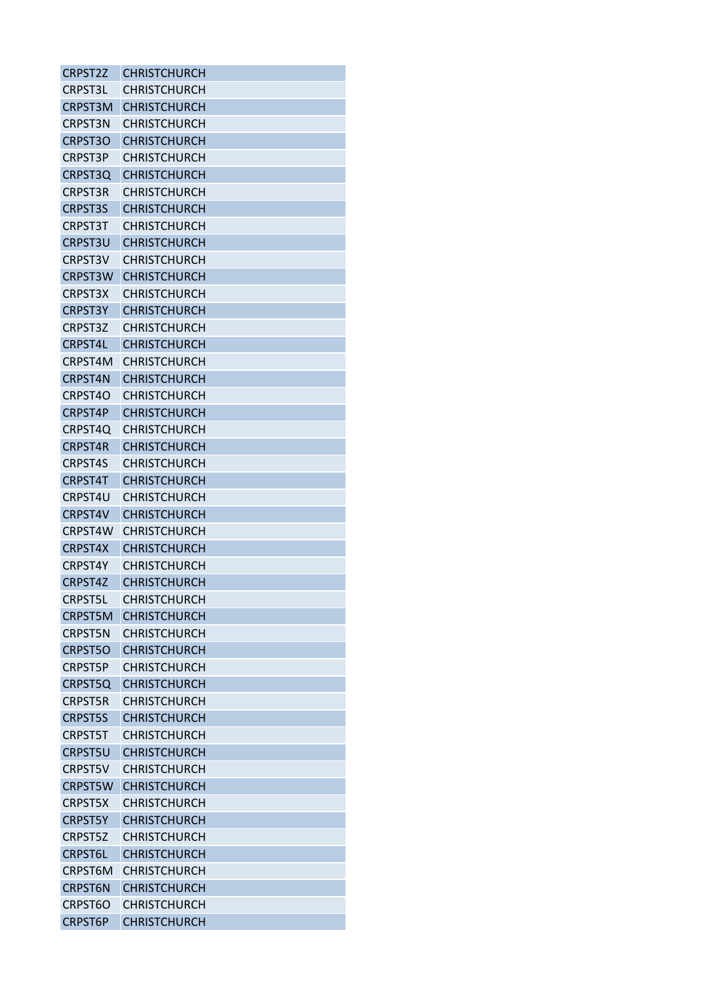| <b>CRPST2Z</b> | <b>CHRISTCHURCH</b> |
|----------------|---------------------|
| <b>CRPST3L</b> | <b>CHRISTCHURCH</b> |
| <b>CRPST3M</b> | <b>CHRISTCHURCH</b> |
| CRPST3N        | <b>CHRISTCHURCH</b> |
| CRPST3O        | <b>CHRISTCHURCH</b> |
| <b>CRPST3P</b> | <b>CHRISTCHURCH</b> |
| CRPST3Q        | <b>CHRISTCHURCH</b> |
| <b>CRPST3R</b> | <b>CHRISTCHURCH</b> |
| <b>CRPST3S</b> | <b>CHRISTCHURCH</b> |
| <b>CRPST3T</b> | <b>CHRISTCHURCH</b> |
| CRPST3U        | <b>CHRISTCHURCH</b> |
| CRPST3V        | <b>CHRISTCHURCH</b> |
| <b>CRPST3W</b> | CHRISTCHURCH        |
| <b>CRPST3X</b> | <b>CHRISTCHURCH</b> |
| <b>CRPST3Y</b> | <b>CHRISTCHURCH</b> |
| CRPST3Z        | <b>CHRISTCHURCH</b> |
| CRPST4L        | <b>CHRISTCHURCH</b> |
| CRPST4M        | <b>CHRISTCHURCH</b> |
| <b>CRPST4N</b> | <b>CHRISTCHURCH</b> |
| CRPST4O        | <b>CHRISTCHURCH</b> |
| CRPST4P        | <b>CHRISTCHURCH</b> |
| CRPST4Q        | <b>CHRISTCHURCH</b> |
| <b>CRPST4R</b> | <b>CHRISTCHURCH</b> |
| CRPST4S        | <b>CHRISTCHURCH</b> |
| CRPST4T        | <b>CHRISTCHURCH</b> |
| CRPST4U        | <b>CHRISTCHURCH</b> |
| <b>CRPST4V</b> | <b>CHRISTCHURCH</b> |
| CRPST4W        | CHRISTCHURCH        |
| <b>CRPST4X</b> | <b>CHRISTCHURCH</b> |
| CRPST4Y        | <b>CHRISTCHURCH</b> |
| CRPST4Z        | <b>CHRISTCHURCH</b> |
| <b>CRPST5L</b> | <b>CHRISTCHURCH</b> |
| <b>CRPST5M</b> | <b>CHRISTCHURCH</b> |
| <b>CRPST5N</b> | <b>CHRISTCHURCH</b> |
| CRPST50        | <b>CHRISTCHURCH</b> |
| <b>CRPST5P</b> | <b>CHRISTCHURCH</b> |
| CRPST5Q        | <b>CHRISTCHURCH</b> |
| <b>CRPST5R</b> | <b>CHRISTCHURCH</b> |
| <b>CRPST5S</b> | <b>CHRISTCHURCH</b> |
| <b>CRPST5T</b> | <b>CHRISTCHURCH</b> |
| <b>CRPST5U</b> | <b>CHRISTCHURCH</b> |
| <b>CRPST5V</b> | <b>CHRISTCHURCH</b> |
| <b>CRPST5W</b> | <b>CHRISTCHURCH</b> |
| CRPST5X        | CHRISTCHURCH        |
| <b>CRPST5Y</b> | <b>CHRISTCHURCH</b> |
| <b>CRPST5Z</b> | <b>CHRISTCHURCH</b> |
| <b>CRPST6L</b> | <b>CHRISTCHURCH</b> |
| CRPST6M        | <b>CHRISTCHURCH</b> |
| <b>CRPST6N</b> | <b>CHRISTCHURCH</b> |
| CRPST6O        | <b>CHRISTCHURCH</b> |
| <b>CRPST6P</b> | <b>CHRISTCHURCH</b> |
|                |                     |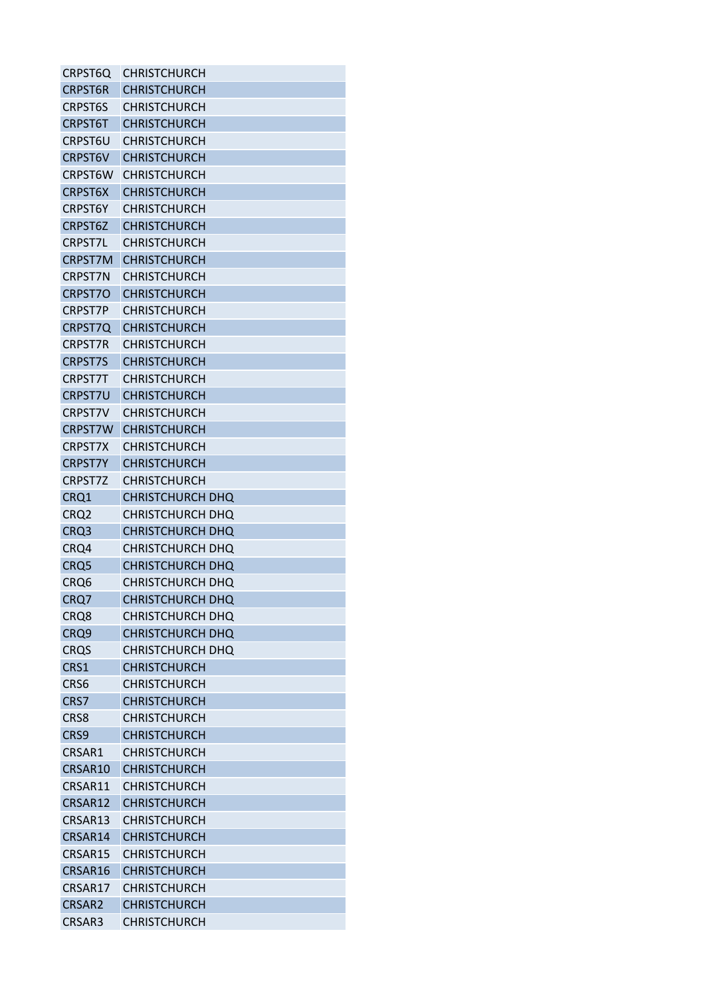| CRPST6Q          | <b>CHRISTCHURCH</b>     |
|------------------|-------------------------|
| <b>CRPST6R</b>   | <b>CHRISTCHURCH</b>     |
| <b>CRPST6S</b>   | <b>CHRISTCHURCH</b>     |
| <b>CRPST6T</b>   | <b>CHRISTCHURCH</b>     |
| CRPST6U          | CHRISTCHURCH            |
| <b>CRPST6V</b>   | <b>CHRISTCHURCH</b>     |
| CRPST6W          | <b>CHRISTCHURCH</b>     |
| <b>CRPST6X</b>   | <b>CHRISTCHURCH</b>     |
| <b>CRPST6Y</b>   | <b>CHRISTCHURCH</b>     |
| CRPST6Z          | <b>CHRISTCHURCH</b>     |
| <b>CRPST7L</b>   | <b>CHRISTCHURCH</b>     |
| <b>CRPST7M</b>   | <b>CHRISTCHURCH</b>     |
| CRPST7N          | CHRISTCHURCH            |
| <b>CRPST7O</b>   | <b>CHRISTCHURCH</b>     |
| <b>CRPST7P</b>   | CHRISTCHURCH            |
| CRPST7Q          | <b>CHRISTCHURCH</b>     |
| <b>CRPST7R</b>   | <b>CHRISTCHURCH</b>     |
| <b>CRPST7S</b>   | <b>CHRISTCHURCH</b>     |
| <b>CRPST7T</b>   | <b>CHRISTCHURCH</b>     |
| <b>CRPST7U</b>   | <b>CHRISTCHURCH</b>     |
| <b>CRPST7V</b>   | CHRISTCHURCH            |
| <b>CRPST7W</b>   | <b>CHRISTCHURCH</b>     |
| <b>CRPST7X</b>   | <b>CHRISTCHURCH</b>     |
| <b>CRPST7Y</b>   | <b>CHRISTCHURCH</b>     |
| CRPST7Z          | <b>CHRISTCHURCH</b>     |
| CRQ1             | CHRISTCHURCH DHQ        |
| CRQ <sub>2</sub> | <b>CHRISTCHURCH DHQ</b> |
| CRQ3             | CHRISTCHURCH DHQ        |
| CRQ4             | <b>CHRISTCHURCH DHO</b> |
| CRQ5             | <b>CHRISTCHURCH DHO</b> |
| CRQ6             | <b>CHRISTCHURCH DHO</b> |
| CRQ7             | <b>CHRISTCHURCH DHQ</b> |
| CRQ8             | CHRISTCHURCH DHQ        |
| CRQ9             | <b>CHRISTCHURCH DHQ</b> |
| <b>CRQS</b>      | <b>CHRISTCHURCH DHQ</b> |
| CRS1             | <b>CHRISTCHURCH</b>     |
| CRS6             | <b>CHRISTCHURCH</b>     |
| CRS7             | <b>CHRISTCHURCH</b>     |
| CRS8             | <b>CHRISTCHURCH</b>     |
|                  |                         |
| CRS9             | <b>CHRISTCHURCH</b>     |
| CRSAR1           | CHRISTCHURCH            |
| CRSAR10          | <b>CHRISTCHURCH</b>     |
| CRSAR11          | <b>CHRISTCHURCH</b>     |
| CRSAR12          | <b>CHRISTCHURCH</b>     |
| CRSAR13          | <b>CHRISTCHURCH</b>     |
| CRSAR14          | <b>CHRISTCHURCH</b>     |
| CRSAR15          | <b>CHRISTCHURCH</b>     |
| CRSAR16          | <b>CHRISTCHURCH</b>     |
| CRSAR17          | <b>CHRISTCHURCH</b>     |
| CRSAR2           | <b>CHRISTCHURCH</b>     |
| CRSAR3           | CHRISTCHURCH            |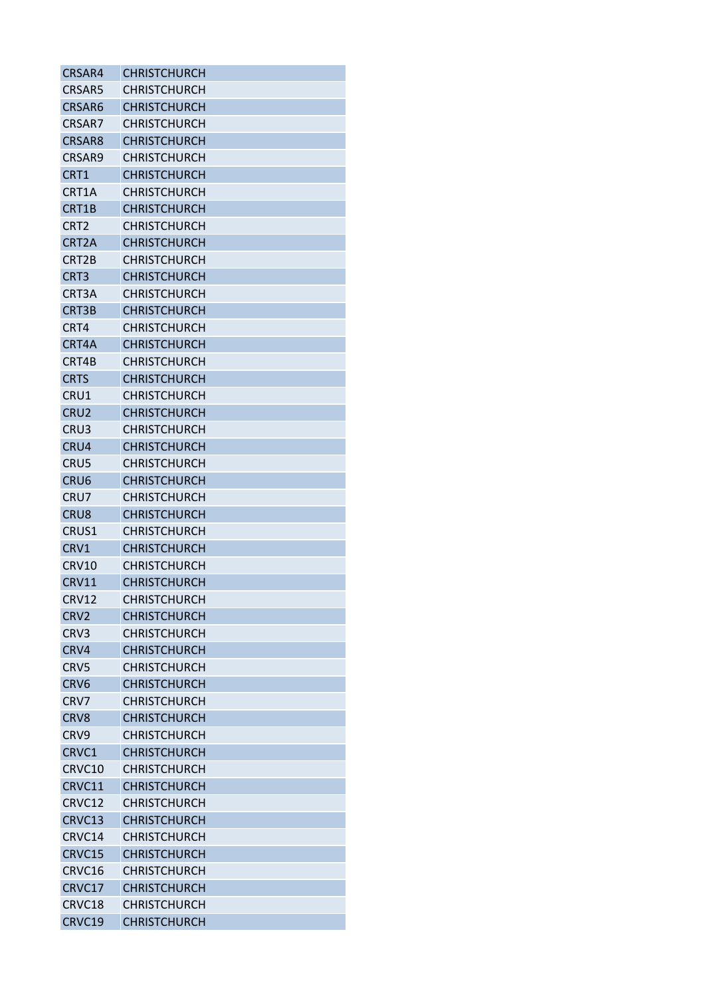| CRSAR4             | <b>CHRISTCHURCH</b> |
|--------------------|---------------------|
| <b>CRSAR5</b>      | <b>CHRISTCHURCH</b> |
| CRSAR6             | <b>CHRISTCHURCH</b> |
| CRSAR7             | <b>CHRISTCHURCH</b> |
| CRSAR8             | <b>CHRISTCHURCH</b> |
| CRSAR9             | <b>CHRISTCHURCH</b> |
| CRT1               | <b>CHRISTCHURCH</b> |
| CRT1A              | <b>CHRISTCHURCH</b> |
| CRT1B              | <b>CHRISTCHURCH</b> |
| CRT <sub>2</sub>   | <b>CHRISTCHURCH</b> |
| CRT <sub>2</sub> A | <b>CHRISTCHURCH</b> |
| CRT2B              | <b>CHRISTCHURCH</b> |
| CRT3               | <b>CHRISTCHURCH</b> |
| CRT3A              | <b>CHRISTCHURCH</b> |
| CRT3B              | <b>CHRISTCHURCH</b> |
| CRT4               | <b>CHRISTCHURCH</b> |
| CRT4A              | <b>CHRISTCHURCH</b> |
| CRT4B              | <b>CHRISTCHURCH</b> |
| <b>CRTS</b>        | <b>CHRISTCHURCH</b> |
| CRU1               | <b>CHRISTCHURCH</b> |
| CRU <sub>2</sub>   | <b>CHRISTCHURCH</b> |
| CRU3               | <b>CHRISTCHURCH</b> |
| CRU4               | <b>CHRISTCHURCH</b> |
| CRU5               | <b>CHRISTCHURCH</b> |
| CRU <sub>6</sub>   | <b>CHRISTCHURCH</b> |
| CRU7               | <b>CHRISTCHURCH</b> |
| CRU <sub>8</sub>   | <b>CHRISTCHURCH</b> |
| CRUS1              | <b>CHRISTCHURCH</b> |
| CRV1               | <b>CHRISTCHURCH</b> |
| CRV10              | <b>CHRISTCHURCH</b> |
| <b>CRV11</b>       | <b>CHRISTCHURCH</b> |
| <b>CRV12</b>       | <b>CHRISTCHURCH</b> |
| CRV <sub>2</sub>   | <b>CHRISTCHURCH</b> |
| CRV3               | <b>CHRISTCHURCH</b> |
| CRV4               | <b>CHRISTCHURCH</b> |
| CRV5               | <b>CHRISTCHURCH</b> |
| CRV <sub>6</sub>   | <b>CHRISTCHURCH</b> |
| CRV7               | <b>CHRISTCHURCH</b> |
| CRV8               | <b>CHRISTCHURCH</b> |
| CRV <sub>9</sub>   | <b>CHRISTCHURCH</b> |
| CRVC1              | <b>CHRISTCHURCH</b> |
| CRVC10             | <b>CHRISTCHURCH</b> |
| CRVC11             | <b>CHRISTCHURCH</b> |
|                    |                     |
| CRVC12             | <b>CHRISTCHURCH</b> |
| CRVC13             | <b>CHRISTCHURCH</b> |
| CRVC14             | <b>CHRISTCHURCH</b> |
| CRVC15             | <b>CHRISTCHURCH</b> |
| CRVC16             | <b>CHRISTCHURCH</b> |
| CRVC17             | <b>CHRISTCHURCH</b> |
| CRVC18             | <b>CHRISTCHURCH</b> |
| CRVC19             | <b>CHRISTCHURCH</b> |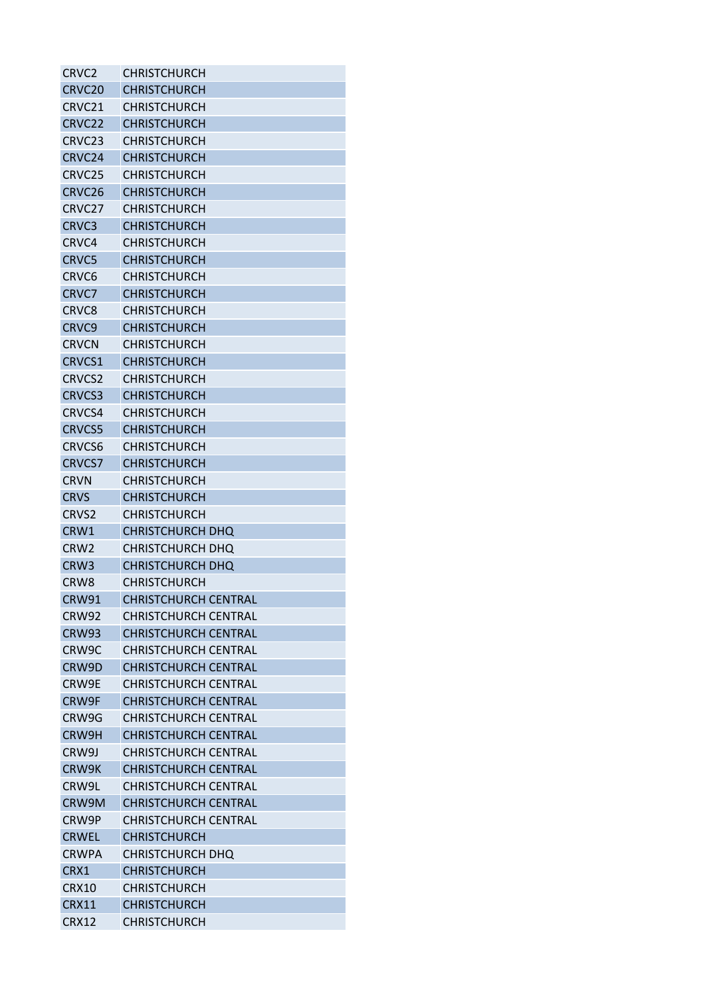| CRVC <sub>2</sub>  | <b>CHRISTCHURCH</b>         |
|--------------------|-----------------------------|
| CRVC <sub>20</sub> | <b>CHRISTCHURCH</b>         |
| CRVC21             | <b>CHRISTCHURCH</b>         |
| CRVC22             | <b>CHRISTCHURCH</b>         |
| CRVC <sub>23</sub> | CHRISTCHURCH                |
| CRVC24             | <b>CHRISTCHURCH</b>         |
| CRVC25             | CHRISTCHURCH                |
| CRVC26             | <b>CHRISTCHURCH</b>         |
| CRVC27             | <b>CHRISTCHURCH</b>         |
| CRVC3              | <b>CHRISTCHURCH</b>         |
| CRVC4              | <b>CHRISTCHURCH</b>         |
| CRVC5              | <b>CHRISTCHURCH</b>         |
| CRVC6              | <b>CHRISTCHURCH</b>         |
| CRVC7              | <b>CHRISTCHURCH</b>         |
| CRVC <sub>8</sub>  | <b>CHRISTCHURCH</b>         |
| CRVC9              | <b>CHRISTCHURCH</b>         |
| <b>CRVCN</b>       | <b>CHRISTCHURCH</b>         |
| CRVCS1             | <b>CHRISTCHURCH</b>         |
| <b>CRVCS2</b>      | <b>CHRISTCHURCH</b>         |
| <b>CRVCS3</b>      | <b>CHRISTCHURCH</b>         |
| CRVCS4             | CHRISTCHURCH                |
| <b>CRVCS5</b>      | <b>CHRISTCHURCH</b>         |
| CRVCS6             | <b>CHRISTCHURCH</b>         |
| <b>CRVCS7</b>      |                             |
|                    | <b>CHRISTCHURCH</b>         |
| <b>CRVN</b>        | <b>CHRISTCHURCH</b>         |
| <b>CRVS</b>        | <b>CHRISTCHURCH</b>         |
| CRVS <sub>2</sub>  | <b>CHRISTCHURCH</b>         |
| CRW1               | <b>CHRISTCHURCH DHQ</b>     |
| CRW <sub>2</sub>   | <b>CHRISTCHURCH DHQ</b>     |
| CRW <sub>3</sub>   | CHRISTCHURCH DHQ            |
| CRW <sub>8</sub>   | <b>CHRISTCHURCH</b>         |
| <b>CRW91</b>       | <b>CHRISTCHURCH CENTRAL</b> |
| CRW92              | <b>CHRISTCHURCH CENTRAL</b> |
| <b>CRW93</b>       | <b>CHRISTCHURCH CENTRAL</b> |
| CRW9C              | <b>CHRISTCHURCH CENTRAL</b> |
| CRW9D              | <b>CHRISTCHURCH CENTRAL</b> |
| CRW9E              | <b>CHRISTCHURCH CENTRAL</b> |
| CRW9F              | <b>CHRISTCHURCH CENTRAL</b> |
| CRW9G              | <b>CHRISTCHURCH CENTRAL</b> |
| CRW9H              | <b>CHRISTCHURCH CENTRAL</b> |
| CRW9J              | <b>CHRISTCHURCH CENTRAL</b> |
| CRW9K              | <b>CHRISTCHURCH CENTRAL</b> |
| CRW9L              | <b>CHRISTCHURCH CENTRAL</b> |
| CRW9M              | <b>CHRISTCHURCH CENTRAL</b> |
| CRW9P              | <b>CHRISTCHURCH CENTRAL</b> |
| <b>CRWEL</b>       | <b>CHRISTCHURCH</b>         |
| <b>CRWPA</b>       | <b>CHRISTCHURCH DHQ</b>     |
| CRX1               | <b>CHRISTCHURCH</b>         |
| <b>CRX10</b>       | <b>CHRISTCHURCH</b>         |
| <b>CRX11</b>       | <b>CHRISTCHURCH</b>         |
| <b>CRX12</b>       | <b>CHRISTCHURCH</b>         |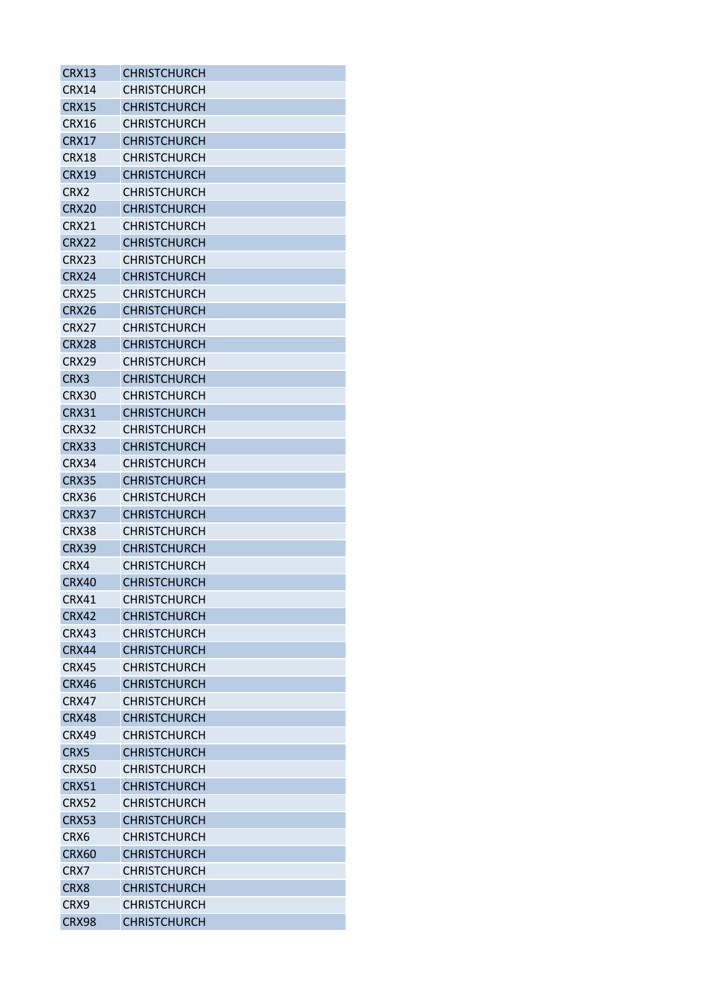| CRX13             | <b>CHRISTCHURCH</b> |
|-------------------|---------------------|
| CRX14             | <b>CHRISTCHURCH</b> |
| <b>CRX15</b>      | <b>CHRISTCHURCH</b> |
| CRX16             | <b>CHRISTCHURCH</b> |
| <b>CRX17</b>      | <b>CHRISTCHURCH</b> |
| CRX18             | <b>CHRISTCHURCH</b> |
| <b>CRX19</b>      | <b>CHRISTCHURCH</b> |
| CRX2              | CHRISTCHURCH        |
| <b>CRX20</b>      | <b>CHRISTCHURCH</b> |
| CRX21             | <b>CHRISTCHURCH</b> |
| <b>CRX22</b>      | <b>CHRISTCHURCH</b> |
| CRX23             | <b>CHRISTCHURCH</b> |
| <b>CRX24</b>      | <b>CHRISTCHURCH</b> |
| CRX25             | <b>CHRISTCHURCH</b> |
| CRX26             | <b>CHRISTCHURCH</b> |
| <b>CRX27</b>      | <b>CHRISTCHURCH</b> |
| CRX <sub>28</sub> | <b>CHRISTCHURCH</b> |
| CRX29             | <b>CHRISTCHURCH</b> |
| CRX3              | <b>CHRISTCHURCH</b> |
| CRX30             | <b>CHRISTCHURCH</b> |
| <b>CRX31</b>      | <b>CHRISTCHURCH</b> |
| CRX32             | <b>CHRISTCHURCH</b> |
| CRX33             | <b>CHRISTCHURCH</b> |
| CRX34             | CHRISTCHURCH        |
| <b>CRX35</b>      | <b>CHRISTCHURCH</b> |
| CRX36             | <b>CHRISTCHURCH</b> |
| CRX37             | <b>CHRISTCHURCH</b> |
| CRX38             | <b>CHRISTCHURCH</b> |
| <b>CRX39</b>      | <b>CHRISTCHURCH</b> |
| CRX4              | <b>CHRISTCHURCH</b> |
| CRX40             | <b>CHRISTCHURCH</b> |
| <b>CRX41</b>      | <b>CHRISTCHURCH</b> |
| <b>CRX42</b>      | <b>CHRISTCHURCH</b> |
| CRX43             | <b>CHRISTCHURCH</b> |
| <b>CRX44</b>      | <b>CHRISTCHURCH</b> |
| <b>CRX45</b>      | <b>CHRISTCHURCH</b> |
| <b>CRX46</b>      | <b>CHRISTCHURCH</b> |
| <b>CRX47</b>      | <b>CHRISTCHURCH</b> |
| <b>CRX48</b>      | <b>CHRISTCHURCH</b> |
| CRX49             | <b>CHRISTCHURCH</b> |
| CRX5              | <b>CHRISTCHURCH</b> |
| CRX50             | <b>CHRISTCHURCH</b> |
| <b>CRX51</b>      | <b>CHRISTCHURCH</b> |
| <b>CRX52</b>      | <b>CHRISTCHURCH</b> |
| <b>CRX53</b>      | <b>CHRISTCHURCH</b> |
| CRX6              | <b>CHRISTCHURCH</b> |
| <b>CRX60</b>      | <b>CHRISTCHURCH</b> |
| CRX7              | <b>CHRISTCHURCH</b> |
| CRX8              | <b>CHRISTCHURCH</b> |
| CRX9              | <b>CHRISTCHURCH</b> |
| <b>CRX98</b>      | <b>CHRISTCHURCH</b> |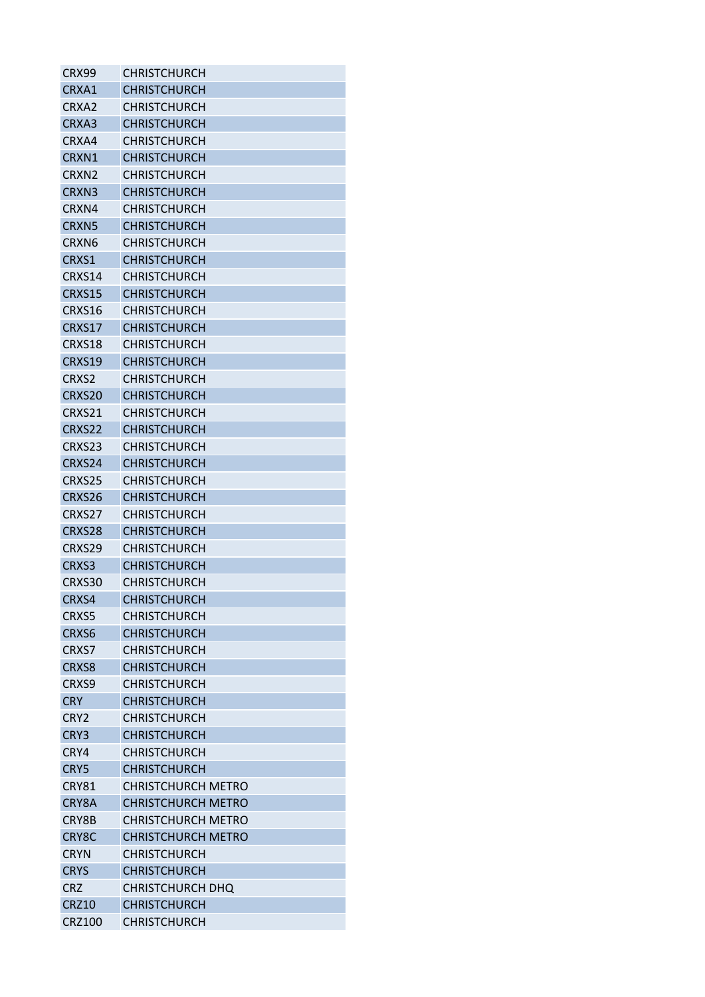| CRX99             | CHRISTCHURCH              |
|-------------------|---------------------------|
| CRXA1             | <b>CHRISTCHURCH</b>       |
| CRXA2             | <b>CHRISTCHURCH</b>       |
| CRXA3             | <b>CHRISTCHURCH</b>       |
| CRXA4             | <b>CHRISTCHURCH</b>       |
| CRXN1             | <b>CHRISTCHURCH</b>       |
| CRXN2             | <b>CHRISTCHURCH</b>       |
| CRXN3             | <b>CHRISTCHURCH</b>       |
| CRXN4             | <b>CHRISTCHURCH</b>       |
| <b>CRXN5</b>      | <b>CHRISTCHURCH</b>       |
| CRXN <sub>6</sub> | <b>CHRISTCHURCH</b>       |
| CRXS1             | <b>CHRISTCHURCH</b>       |
| CRXS14            | <b>CHRISTCHURCH</b>       |
| <b>CRXS15</b>     | <b>CHRISTCHURCH</b>       |
| CRXS16            | <b>CHRISTCHURCH</b>       |
| CRXS17            | <b>CHRISTCHURCH</b>       |
| CRXS18            | <b>CHRISTCHURCH</b>       |
| CRXS19            | <b>CHRISTCHURCH</b>       |
| CRXS2             | <b>CHRISTCHURCH</b>       |
| CRXS20            | <b>CHRISTCHURCH</b>       |
| CRXS21            | <b>CHRISTCHURCH</b>       |
| CRXS22            | <b>CHRISTCHURCH</b>       |
| CRXS23            | <b>CHRISTCHURCH</b>       |
| CRXS24            | <b>CHRISTCHURCH</b>       |
| CRXS25            | <b>CHRISTCHURCH</b>       |
| CRXS26            | <b>CHRISTCHURCH</b>       |
| CRXS27            | <b>CHRISTCHURCH</b>       |
| CRXS28            | <b>CHRISTCHURCH</b>       |
| CRXS29            | <b>CHRISTCHURCH</b>       |
| CRXS3             | <b>CHRISTCHURCH</b>       |
| CRXS30            | <b>CHRISTCHURCH</b>       |
| CRXS4             | <b>CHRISTCHURCH</b>       |
| CRXS5             | <b>CHRISTCHURCH</b>       |
| CRXS6             | <b>CHRISTCHURCH</b>       |
| CRXS7             | <b>CHRISTCHURCH</b>       |
| CRXS8             | <b>CHRISTCHURCH</b>       |
| CRXS9             | <b>CHRISTCHURCH</b>       |
| <b>CRY</b>        | <b>CHRISTCHURCH</b>       |
| CRY <sub>2</sub>  | <b>CHRISTCHURCH</b>       |
| CRY3              | <b>CHRISTCHURCH</b>       |
| CRY4              | <b>CHRISTCHURCH</b>       |
| CRY5              | <b>CHRISTCHURCH</b>       |
| CRY81             | <b>CHRISTCHURCH METRO</b> |
| CRY8A             | <b>CHRISTCHURCH METRO</b> |
| CRY8B             | <b>CHRISTCHURCH METRO</b> |
| CRY8C             | <b>CHRISTCHURCH METRO</b> |
| <b>CRYN</b>       | <b>CHRISTCHURCH</b>       |
| <b>CRYS</b>       | <b>CHRISTCHURCH</b>       |
| <b>CRZ</b>        | <b>CHRISTCHURCH DHQ</b>   |
| <b>CRZ10</b>      | <b>CHRISTCHURCH</b>       |
| <b>CRZ100</b>     | CHRISTCHURCH              |
|                   |                           |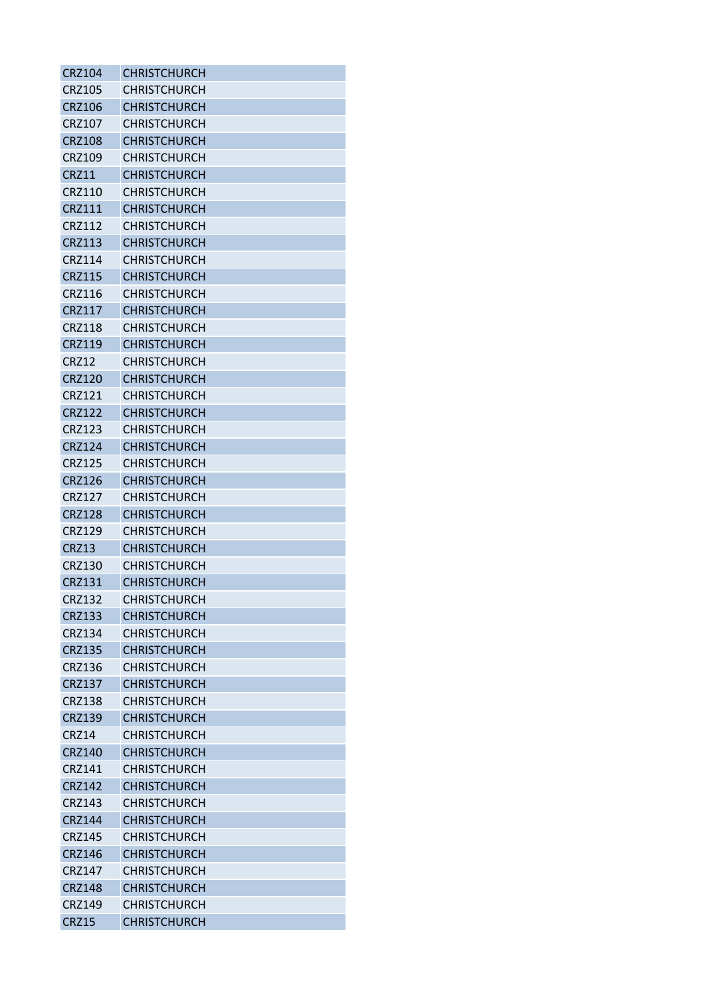| <b>CRZ104</b> | <b>CHRISTCHURCH</b> |
|---------------|---------------------|
| <b>CRZ105</b> | <b>CHRISTCHURCH</b> |
| <b>CRZ106</b> | <b>CHRISTCHURCH</b> |
| <b>CRZ107</b> | <b>CHRISTCHURCH</b> |
| <b>CRZ108</b> | <b>CHRISTCHURCH</b> |
| <b>CRZ109</b> | <b>CHRISTCHURCH</b> |
| CRZ11         | <b>CHRISTCHURCH</b> |
| <b>CRZ110</b> | <b>CHRISTCHURCH</b> |
| <b>CRZ111</b> | <b>CHRISTCHURCH</b> |
| CRZ112        | <b>CHRISTCHURCH</b> |
| <b>CRZ113</b> | <b>CHRISTCHURCH</b> |
| CRZ114        | <b>CHRISTCHURCH</b> |
| <b>CRZ115</b> | <b>CHRISTCHURCH</b> |
| <b>CRZ116</b> | <b>CHRISTCHURCH</b> |
| <b>CRZ117</b> | <b>CHRISTCHURCH</b> |
| <b>CRZ118</b> | <b>CHRISTCHURCH</b> |
| <b>CRZ119</b> | <b>CHRISTCHURCH</b> |
| CRZ12         | <b>CHRISTCHURCH</b> |
| <b>CRZ120</b> | <b>CHRISTCHURCH</b> |
| <b>CRZ121</b> | <b>CHRISTCHURCH</b> |
| <b>CRZ122</b> | <b>CHRISTCHURCH</b> |
| <b>CRZ123</b> | <b>CHRISTCHURCH</b> |
| <b>CRZ124</b> | <b>CHRISTCHURCH</b> |
| <b>CRZ125</b> | <b>CHRISTCHURCH</b> |
| <b>CRZ126</b> | <b>CHRISTCHURCH</b> |
| <b>CRZ127</b> | <b>CHRISTCHURCH</b> |
| <b>CRZ128</b> | <b>CHRISTCHURCH</b> |
| CRZ129        | <b>CHRISTCHURCH</b> |
| <b>CRZ13</b>  | <b>CHRISTCHURCH</b> |
| <b>CRZ130</b> | <b>CHRISTCHURCH</b> |
| CRZ131        | <b>CHRISTCHURCH</b> |
| <b>CRZ132</b> | <b>CHRISTCHURCH</b> |
| <b>CRZ133</b> | <b>CHRISTCHURCH</b> |
| <b>CRZ134</b> | <b>CHRISTCHURCH</b> |
| <b>CRZ135</b> | <b>CHRISTCHURCH</b> |
| <b>CRZ136</b> | <b>CHRISTCHURCH</b> |
| <b>CRZ137</b> | <b>CHRISTCHURCH</b> |
| <b>CRZ138</b> | <b>CHRISTCHURCH</b> |
| <b>CRZ139</b> | <b>CHRISTCHURCH</b> |
| <b>CRZ14</b>  | <b>CHRISTCHURCH</b> |
| <b>CRZ140</b> | <b>CHRISTCHURCH</b> |
| <b>CRZ141</b> | <b>CHRISTCHURCH</b> |
| <b>CRZ142</b> | <b>CHRISTCHURCH</b> |
| CRZ143        | <b>CHRISTCHURCH</b> |
| <b>CRZ144</b> | <b>CHRISTCHURCH</b> |
| <b>CRZ145</b> | <b>CHRISTCHURCH</b> |
| CRZ146        | <b>CHRISTCHURCH</b> |
| <b>CRZ147</b> | <b>CHRISTCHURCH</b> |
| <b>CRZ148</b> | <b>CHRISTCHURCH</b> |
| <b>CRZ149</b> | <b>CHRISTCHURCH</b> |
| <b>CRZ15</b>  | <b>CHRISTCHURCH</b> |
|               |                     |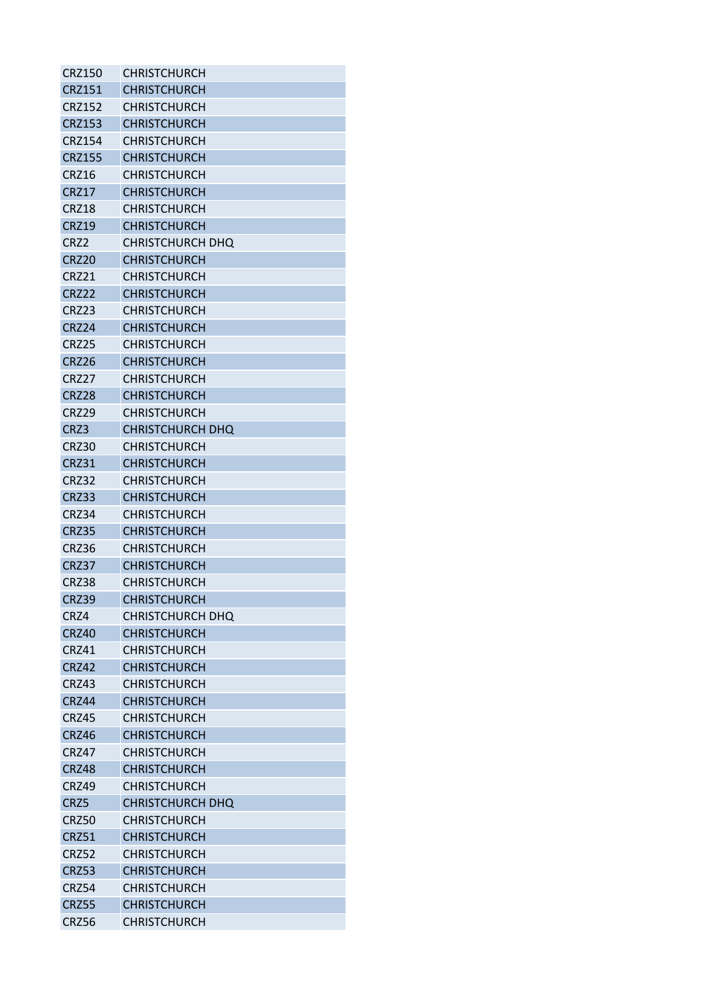| <b>CRZ150</b>    | <b>CHRISTCHURCH</b>     |
|------------------|-------------------------|
| <b>CRZ151</b>    | <b>CHRISTCHURCH</b>     |
| <b>CRZ152</b>    | CHRISTCHURCH            |
| <b>CRZ153</b>    | <b>CHRISTCHURCH</b>     |
| <b>CRZ154</b>    | <b>CHRISTCHURCH</b>     |
| <b>CRZ155</b>    | <b>CHRISTCHURCH</b>     |
| <b>CRZ16</b>     | <b>CHRISTCHURCH</b>     |
| <b>CRZ17</b>     | <b>CHRISTCHURCH</b>     |
| CRZ18            | <b>CHRISTCHURCH</b>     |
| <b>CRZ19</b>     | <b>CHRISTCHURCH</b>     |
| CRZ <sub>2</sub> | <b>CHRISTCHURCH DHQ</b> |
| CRZ20            | <b>CHRISTCHURCH</b>     |
| CRZ21            | <b>CHRISTCHURCH</b>     |
| <b>CRZ22</b>     | <b>CHRISTCHURCH</b>     |
| CRZ23            | <b>CHRISTCHURCH</b>     |
| CRZ24            | <b>CHRISTCHURCH</b>     |
| CRZ25            | <b>CHRISTCHURCH</b>     |
| <b>CRZ26</b>     | <b>CHRISTCHURCH</b>     |
| CRZ27            | <b>CHRISTCHURCH</b>     |
| <b>CRZ28</b>     | <b>CHRISTCHURCH</b>     |
| CRZ29            | <b>CHRISTCHURCH</b>     |
| CRZ3             | <b>CHRISTCHURCH DHQ</b> |
| CRZ30            | <b>CHRISTCHURCH</b>     |
| <b>CRZ31</b>     | <b>CHRISTCHURCH</b>     |
| <b>CRZ32</b>     | <b>CHRISTCHURCH</b>     |
| CRZ33            | <b>CHRISTCHURCH</b>     |
| CRZ34            | <b>CHRISTCHURCH</b>     |
| CRZ35            | <b>CHRISTCHURCH</b>     |
| CRZ36            | <b>CHRISTCHURCH</b>     |
| CRZ37            | <b>CHRISTCHURCH</b>     |
| <b>CRZ38</b>     | <b>CHRISTCHURCH</b>     |
| <b>CRZ39</b>     | <b>CHRISTCHURCH</b>     |
| CRZ4             | <b>CHRISTCHURCH DHQ</b> |
| <b>CRZ40</b>     | <b>CHRISTCHURCH</b>     |
| CRZ41            | <b>CHRISTCHURCH</b>     |
| <b>CRZ42</b>     | <b>CHRISTCHURCH</b>     |
| CRZ43            | <b>CHRISTCHURCH</b>     |
| <b>CRZ44</b>     | <b>CHRISTCHURCH</b>     |
| CRZ45            | <b>CHRISTCHURCH</b>     |
| <b>CRZ46</b>     | <b>CHRISTCHURCH</b>     |
| CRZ47            | <b>CHRISTCHURCH</b>     |
| CRZ48            | <b>CHRISTCHURCH</b>     |
| CRZ49            | <b>CHRISTCHURCH</b>     |
| CRZ5             | <b>CHRISTCHURCH DHQ</b> |
| <b>CRZ50</b>     | <b>CHRISTCHURCH</b>     |
| <b>CRZ51</b>     | <b>CHRISTCHURCH</b>     |
| <b>CRZ52</b>     | <b>CHRISTCHURCH</b>     |
| <b>CRZ53</b>     | <b>CHRISTCHURCH</b>     |
| <b>CRZ54</b>     | <b>CHRISTCHURCH</b>     |
| <b>CRZ55</b>     | <b>CHRISTCHURCH</b>     |
| CRZ56            | <b>CHRISTCHURCH</b>     |
|                  |                         |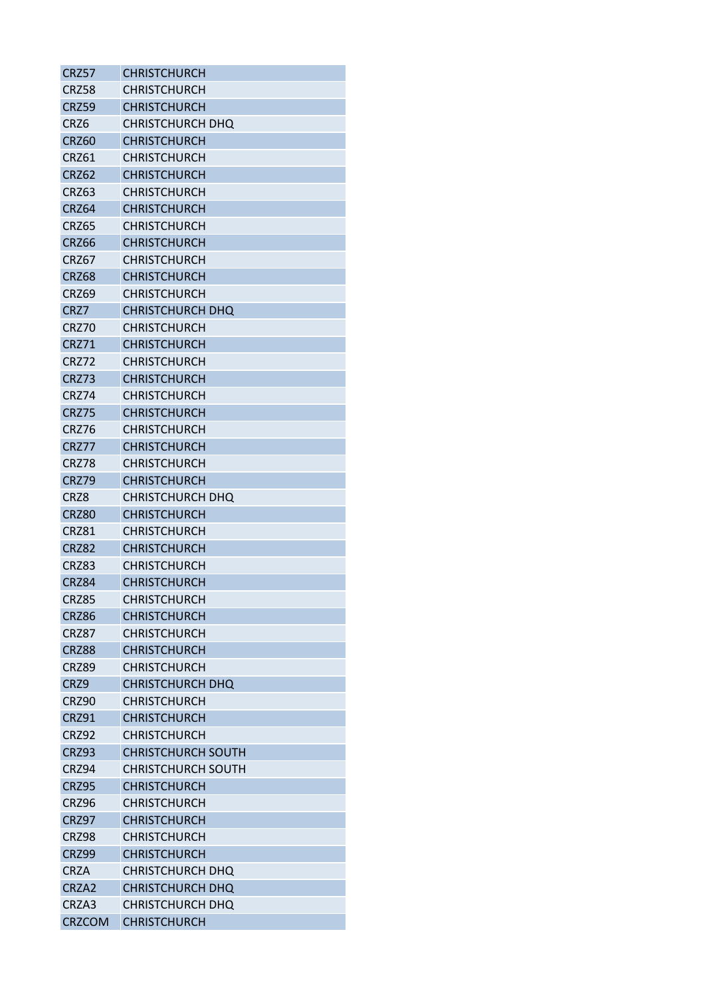| CRZ57             | <b>CHRISTCHURCH</b>       |
|-------------------|---------------------------|
| <b>CRZ58</b>      | <b>CHRISTCHURCH</b>       |
| <b>CRZ59</b>      | <b>CHRISTCHURCH</b>       |
| CR <sub>Z6</sub>  | <b>CHRISTCHURCH DHQ</b>   |
| <b>CRZ60</b>      | <b>CHRISTCHURCH</b>       |
| CRZ61             | <b>CHRISTCHURCH</b>       |
| <b>CRZ62</b>      | <b>CHRISTCHURCH</b>       |
| CRZ63             | CHRISTCHURCH              |
| <b>CRZ64</b>      | <b>CHRISTCHURCH</b>       |
| CRZ65             | <b>CHRISTCHURCH</b>       |
| CRZ66             | <b>CHRISTCHURCH</b>       |
| CRZ67             | <b>CHRISTCHURCH</b>       |
| CRZ68             | <b>CHRISTCHURCH</b>       |
| CRZ69             | <b>CHRISTCHURCH</b>       |
| CRZ7              | <b>CHRISTCHURCH DHQ</b>   |
| CRZ70             | <b>CHRISTCHURCH</b>       |
| CRZ71             | <b>CHRISTCHURCH</b>       |
| CRZ72             | <b>CHRISTCHURCH</b>       |
| <b>CRZ73</b>      | <b>CHRISTCHURCH</b>       |
| <b>CRZ74</b>      | <b>CHRISTCHURCH</b>       |
| <b>CRZ75</b>      | <b>CHRISTCHURCH</b>       |
| CRZ76             | <b>CHRISTCHURCH</b>       |
| CRZ77             | <b>CHRISTCHURCH</b>       |
| CRZ78             | <b>CHRISTCHURCH</b>       |
| <b>CRZ79</b>      | <b>CHRISTCHURCH</b>       |
| CRZ8              | <b>CHRISTCHURCH DHQ</b>   |
| <b>CRZ80</b>      | <b>CHRISTCHURCH</b>       |
| CRZ81             | <b>CHRISTCHURCH</b>       |
| <b>CRZ82</b>      | <b>CHRISTCHURCH</b>       |
| CRZ83             | <b>CHRISTCHURCH</b>       |
| <b>CRZ84</b>      | <b>CHRISTCHURCH</b>       |
| <b>CRZ85</b>      | <b>CHRISTCHURCH</b>       |
| CRZ86             | <b>CHRISTCHURCH</b>       |
| <b>CRZ87</b>      | <b>CHRISTCHURCH</b>       |
| CRZ88             | <b>CHRISTCHURCH</b>       |
| CRZ89             | <b>CHRISTCHURCH</b>       |
| CRZ9              | <b>CHRISTCHURCH DHQ</b>   |
| CRZ90             | <b>CHRISTCHURCH</b>       |
| <b>CRZ91</b>      | <b>CHRISTCHURCH</b>       |
| <b>CRZ92</b>      | <b>CHRISTCHURCH</b>       |
| CRZ93             | <b>CHRISTCHURCH SOUTH</b> |
| CRZ94             | <b>CHRISTCHURCH SOUTH</b> |
| <b>CRZ95</b>      | <b>CHRISTCHURCH</b>       |
| CRZ96             | <b>CHRISTCHURCH</b>       |
| CRZ97             | <b>CHRISTCHURCH</b>       |
| <b>CRZ98</b>      | <b>CHRISTCHURCH</b>       |
| <b>CRZ99</b>      | <b>CHRISTCHURCH</b>       |
| <b>CRZA</b>       | <b>CHRISTCHURCH DHQ</b>   |
| CRZA <sub>2</sub> | <b>CHRISTCHURCH DHQ</b>   |
| CRZA3             | CHRISTCHURCH DHQ          |
| <b>CRZCOM</b>     | <b>CHRISTCHURCH</b>       |
|                   |                           |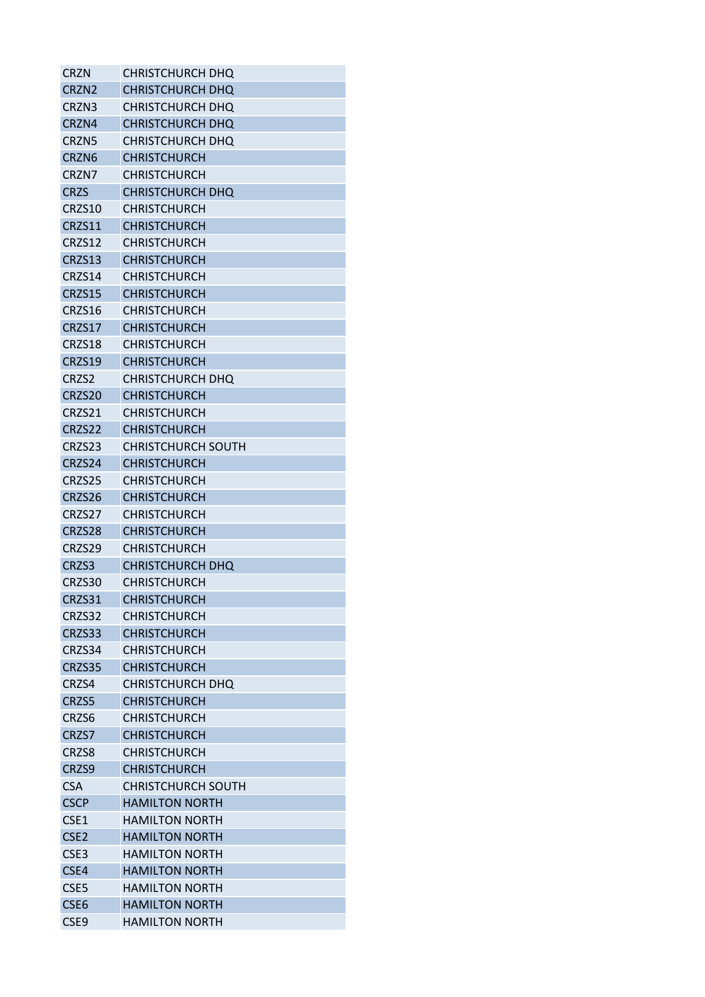| CRZN              | CHRISTCHURCH DHO          |
|-------------------|---------------------------|
| CRZN <sub>2</sub> | <b>CHRISTCHURCH DHQ</b>   |
| CRZN3             | CHRISTCHURCH DHQ          |
| CRZN4             | <b>CHRISTCHURCH DHQ</b>   |
| CRZN <sub>5</sub> | <b>CHRISTCHURCH DHO</b>   |
| CRZN <sub>6</sub> | <b>CHRISTCHURCH</b>       |
| CRZN7             | <b>CHRISTCHURCH</b>       |
| <b>CRZS</b>       | <b>CHRISTCHURCH DHQ</b>   |
| CRZS10            | <b>CHRISTCHURCH</b>       |
| CRZS11            | <b>CHRISTCHURCH</b>       |
| CRZS12            | <b>CHRISTCHURCH</b>       |
| CRZS13            | <b>CHRISTCHURCH</b>       |
| CRZS14            | <b>CHRISTCHURCH</b>       |
| CRZS15            | <b>CHRISTCHURCH</b>       |
| CRZS16            | <b>CHRISTCHURCH</b>       |
| CRZS17            | <b>CHRISTCHURCH</b>       |
| CRZS18            | <b>CHRISTCHURCH</b>       |
| CRZS19            | <b>CHRISTCHURCH</b>       |
| CRZS2             | <b>CHRISTCHURCH DHQ</b>   |
| CRZS20            | <b>CHRISTCHURCH</b>       |
| CRZS21            | CHRISTCHURCH              |
| CRZS22            | <b>CHRISTCHURCH</b>       |
| CRZS23            | <b>CHRISTCHURCH SOUTH</b> |
| CRZS24            | <b>CHRISTCHURCH</b>       |
| CRZS25            | <b>CHRISTCHURCH</b>       |
| CRZS26            | <b>CHRISTCHURCH</b>       |
| CRZS27            | <b>CHRISTCHURCH</b>       |
| CRZS28            | <b>CHRISTCHURCH</b>       |
| CRZS29            | <b>CHRISTCHURCH</b>       |
| CRZS3             | <b>CHRISTCHURCH DHQ</b>   |
| CRZS30            | <b>CHRISTCHURCH</b>       |
| CRZS31            | <b>CHRISTCHURCH</b>       |
| CRZS32            | <b>CHRISTCHURCH</b>       |
| CRZS33            | <b>CHRISTCHURCH</b>       |
| CRZS34            | <b>CHRISTCHURCH</b>       |
| CRZS35            | <b>CHRISTCHURCH</b>       |
| CRZS4             | <b>CHRISTCHURCH DHQ</b>   |
| CRZS5             | <b>CHRISTCHURCH</b>       |
| CRZS6             | <b>CHRISTCHURCH</b>       |
| CRZS7             | <b>CHRISTCHURCH</b>       |
| CRZS8             | <b>CHRISTCHURCH</b>       |
| CRZS9             | <b>CHRISTCHURCH</b>       |
| <b>CSA</b>        | <b>CHRISTCHURCH SOUTH</b> |
| <b>CSCP</b>       | <b>HAMILTON NORTH</b>     |
| CSE1              | <b>HAMILTON NORTH</b>     |
| CSE <sub>2</sub>  | <b>HAMILTON NORTH</b>     |
| CSE <sub>3</sub>  | <b>HAMILTON NORTH</b>     |
| CSE4              | <b>HAMILTON NORTH</b>     |
| CSE <sub>5</sub>  | <b>HAMILTON NORTH</b>     |
| CSE <sub>6</sub>  | <b>HAMILTON NORTH</b>     |
| CSE9              | <b>HAMILTON NORTH</b>     |
|                   |                           |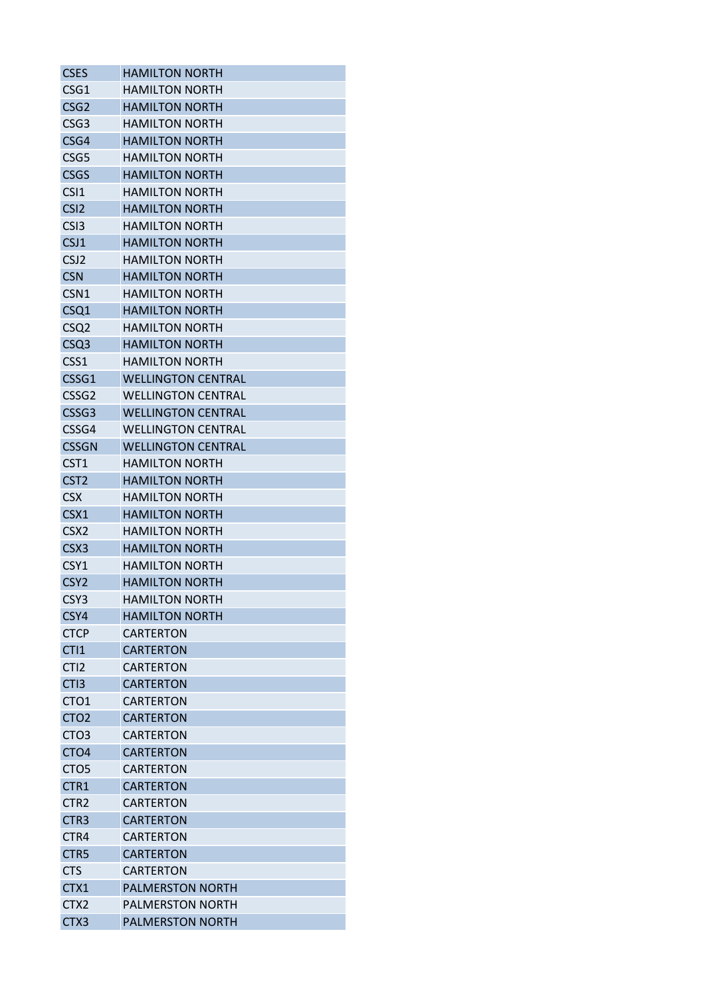| <b>CSES</b>       | <b>HAMILTON NORTH</b>     |
|-------------------|---------------------------|
| CSG1              | <b>HAMILTON NORTH</b>     |
| CSG <sub>2</sub>  | <b>HAMILTON NORTH</b>     |
| CSG <sub>3</sub>  | <b>HAMILTON NORTH</b>     |
| CSG4              | <b>HAMILTON NORTH</b>     |
| CSG <sub>5</sub>  | <b>HAMILTON NORTH</b>     |
| <b>CSGS</b>       | <b>HAMILTON NORTH</b>     |
| CSI <sub>1</sub>  | <b>HAMILTON NORTH</b>     |
| CSI <sub>2</sub>  | <b>HAMILTON NORTH</b>     |
| CS <sub>13</sub>  | HAMILTON NORTH            |
| CSJ1              | <b>HAMILTON NORTH</b>     |
| CSJ <sub>2</sub>  | <b>HAMILTON NORTH</b>     |
| <b>CSN</b>        | <b>HAMILTON NORTH</b>     |
| CSN <sub>1</sub>  | <b>HAMILTON NORTH</b>     |
| CSQ1              | <b>HAMILTON NORTH</b>     |
| CSQ <sub>2</sub>  | <b>HAMILTON NORTH</b>     |
| CSQ <sub>3</sub>  | <b>HAMILTON NORTH</b>     |
| CSS1              | <b>HAMILTON NORTH</b>     |
| CSSG1             | <b>WELLINGTON CENTRAL</b> |
| CSSG <sub>2</sub> | <b>WELLINGTON CENTRAL</b> |
| CSSG <sub>3</sub> | <b>WELLINGTON CENTRAL</b> |
| CSSG4             | <b>WELLINGTON CENTRAL</b> |
| <b>CSSGN</b>      | <b>WELLINGTON CENTRAL</b> |
| CST <sub>1</sub>  | <b>HAMILTON NORTH</b>     |
| CST <sub>2</sub>  | <b>HAMILTON NORTH</b>     |
| <b>CSX</b>        | <b>HAMILTON NORTH</b>     |
| CSX1              | <b>HAMILTON NORTH</b>     |
| CSX <sub>2</sub>  | <b>HAMILTON NORTH</b>     |
| CSX <sub>3</sub>  | <b>HAMILTON NORTH</b>     |
| CSY1              | <b>HAMILTON NORTH</b>     |
| CSY <sub>2</sub>  | <b>HAMILTON NORTH</b>     |
| CSY3              | <b>HAMILTON NORTH</b>     |
| CSY4              | <b>HAMILTON NORTH</b>     |
| <b>CTCP</b>       | <b>CARTERTON</b>          |
| CTI <sub>1</sub>  | <b>CARTERTON</b>          |
| CTI <sub>2</sub>  | <b>CARTERTON</b>          |
| CTI <sub>3</sub>  | <b>CARTERTON</b>          |
| CTO <sub>1</sub>  | CARTERTON                 |
| CTO <sub>2</sub>  | <b>CARTERTON</b>          |
| CTO3              | CARTERTON                 |
| CTO <sub>4</sub>  | <b>CARTERTON</b>          |
| CTO <sub>5</sub>  | <b>CARTERTON</b>          |
| CTR1              | <b>CARTERTON</b>          |
| CTR <sub>2</sub>  | <b>CARTERTON</b>          |
| CTR <sub>3</sub>  | <b>CARTERTON</b>          |
| CTR4              | CARTERTON                 |
| CTR5              | <b>CARTERTON</b>          |
| <b>CTS</b>        | <b>CARTERTON</b>          |
| CTX1              | <b>PALMERSTON NORTH</b>   |
| CTX <sub>2</sub>  | <b>PALMERSTON NORTH</b>   |
| CTX3              | PALMERSTON NORTH          |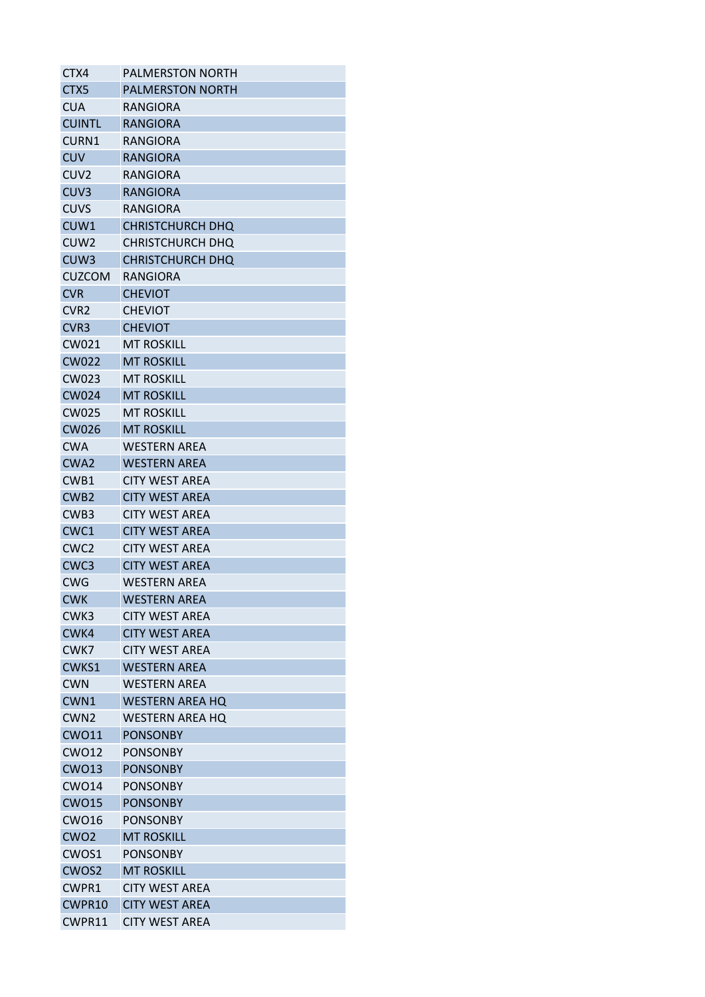| CTX4              | <b>PALMERSTON NORTH</b> |
|-------------------|-------------------------|
| CTX <sub>5</sub>  | <b>PALMERSTON NORTH</b> |
| <b>CUA</b>        | RANGIORA                |
| <b>CUINTL</b>     | <b>RANGIORA</b>         |
| CURN1             | RANGIORA                |
| <b>CUV</b>        | <b>RANGIORA</b>         |
| CUV <sub>2</sub>  | RANGIORA                |
| CUV <sub>3</sub>  | <b>RANGIORA</b>         |
| <b>CUVS</b>       | <b>RANGIORA</b>         |
| CUW1              | <b>CHRISTCHURCH DHQ</b> |
| CUW <sub>2</sub>  | CHRISTCHURCH DHQ        |
| CUW <sub>3</sub>  | CHRISTCHURCH DHQ        |
| <b>CUZCOM</b>     | RANGIORA                |
| <b>CVR</b>        | <b>CHEVIOT</b>          |
| CVR <sub>2</sub>  | <b>CHEVIOT</b>          |
| CVR <sub>3</sub>  | <b>CHEVIOT</b>          |
| CW021             | <b>MT ROSKILL</b>       |
| <b>CW022</b>      | <b>MT ROSKILL</b>       |
| CW023             | <b>MT ROSKILL</b>       |
| <b>CW024</b>      | <b>MT ROSKILL</b>       |
| <b>CW025</b>      | <b>MT ROSKILL</b>       |
| <b>CW026</b>      | <b>MT ROSKILL</b>       |
| <b>CWA</b>        | WESTERN AREA            |
| CWA <sub>2</sub>  | <b>WESTERN AREA</b>     |
| CWB1              | <b>CITY WEST AREA</b>   |
| CWB <sub>2</sub>  | <b>CITY WEST AREA</b>   |
| CWB <sub>3</sub>  | <b>CITY WEST AREA</b>   |
| CWC1              | <b>CITY WEST AREA</b>   |
| CWC <sub>2</sub>  | <b>CITY WEST AREA</b>   |
| CWC <sub>3</sub>  | <b>CITY WEST AREA</b>   |
| <b>CWG</b>        | <b>WESTERN AREA</b>     |
| <b>CWK</b>        | <b>WESTERN AREA</b>     |
| CWK3              | <b>CITY WEST AREA</b>   |
| CWK4              | <b>CITY WEST AREA</b>   |
| CWK7              | CITY WEST AREA          |
| CWKS1             | <b>WESTERN AREA</b>     |
| <b>CWN</b>        | WFSTFRN ARFA            |
| CWN1              | <b>WESTERN AREA HQ</b>  |
| CWN <sub>2</sub>  | <b>WESTERN AREA HQ</b>  |
| <b>CWO11</b>      | <b>PONSONBY</b>         |
| <b>CWO12</b>      | <b>PONSONBY</b>         |
| <b>CWO13</b>      | <b>PONSONBY</b>         |
| <b>CWO14</b>      | <b>PONSONBY</b>         |
| <b>CWO15</b>      | <b>PONSONBY</b>         |
| <b>CWO16</b>      | <b>PONSONBY</b>         |
| CW <sub>O</sub> 2 | <b>MT ROSKILL</b>       |
| CWOS1             | <b>PONSONBY</b>         |
| CWOS2             | <b>MT ROSKILL</b>       |
| CWPR1             | <b>CITY WEST AREA</b>   |
| CWPR10            | <b>CITY WEST AREA</b>   |
| CWPR11            | <b>CITY WEST AREA</b>   |
|                   |                         |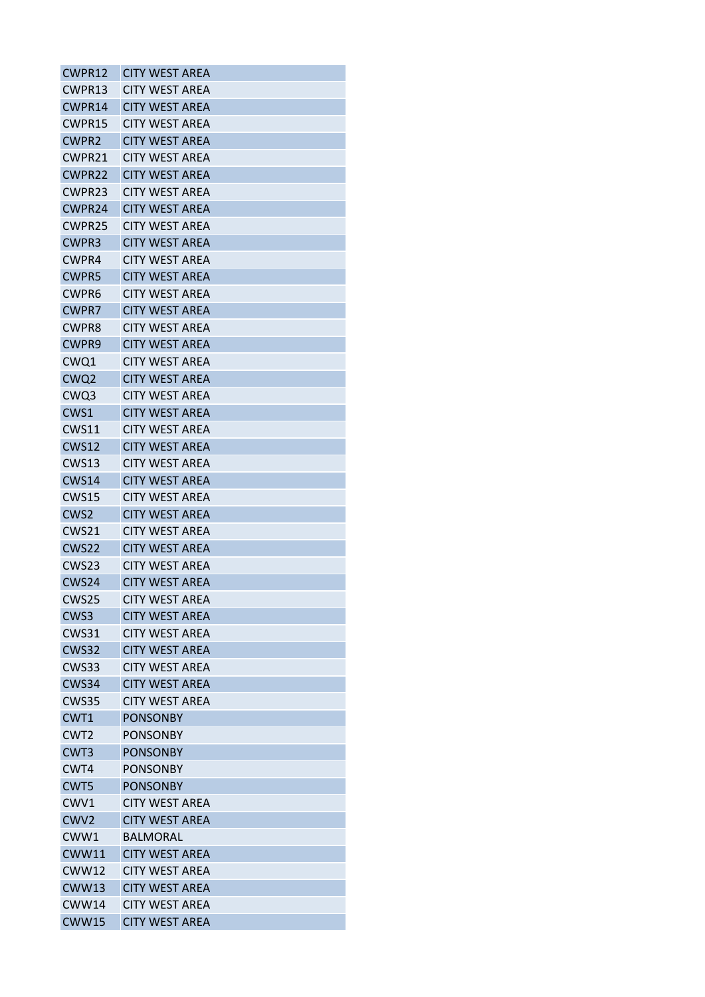| CWPR12            | <b>CITY WEST AREA</b> |
|-------------------|-----------------------|
| CWPR13            | <b>CITY WEST AREA</b> |
| CWPR14            | <b>CITY WEST AREA</b> |
| CWPR15            | <b>CITY WEST AREA</b> |
| <b>CWPR2</b>      | <b>CITY WEST AREA</b> |
| CWPR21            | <b>CITY WEST AREA</b> |
| CWPR22            | <b>CITY WEST AREA</b> |
| CWPR23            | <b>CITY WEST ARFA</b> |
| CWPR24            | <b>CITY WEST AREA</b> |
| CWPR25            | <b>CITY WEST AREA</b> |
| <b>CWPR3</b>      | <b>CITY WEST AREA</b> |
| CWPR4             | CITY WEST AREA        |
| <b>CWPR5</b>      | <b>CITY WEST AREA</b> |
| CWPR6             | <b>CITY WEST AREA</b> |
| <b>CWPR7</b>      | <b>CITY WEST AREA</b> |
| <b>CWPR8</b>      | <b>CITY WEST AREA</b> |
| <b>CWPR9</b>      | <b>CITY WEST AREA</b> |
| CWQ1              | <b>CITY WEST AREA</b> |
| CWQ <sub>2</sub>  | <b>CITY WEST AREA</b> |
| CWQ3              | <b>CITY WEST AREA</b> |
| CWS1              | <b>CITY WEST AREA</b> |
| CWS11             | <b>CITY WEST AREA</b> |
| CWS12             | <b>CITY WEST AREA</b> |
| <b>CWS13</b>      | <b>CITY WEST AREA</b> |
| <b>CWS14</b>      | <b>CITY WEST AREA</b> |
| <b>CWS15</b>      | <b>CITY WEST AREA</b> |
| CWS <sub>2</sub>  | <b>CITY WEST AREA</b> |
| CWS <sub>21</sub> | CITY WEST AREA        |
| <b>CWS22</b>      | <b>CITY WEST AREA</b> |
| CWS <sub>23</sub> | <b>CITY WEST AREA</b> |
| CWS24             | <b>CITY WEST AREA</b> |
| CWS25             | <b>CITY WEST AREA</b> |
| CWS3              | <b>CITY WEST AREA</b> |
| <b>CWS31</b>      | <b>CITY WEST AREA</b> |
| <b>CWS32</b>      | <b>CITY WEST AREA</b> |
| <b>CWS33</b>      | <b>CITY WEST AREA</b> |
| CWS34             | <b>CITY WEST AREA</b> |
| <b>CWS35</b>      | <b>CITY WEST AREA</b> |
| CWT1              | <b>PONSONBY</b>       |
| CWT <sub>2</sub>  | <b>PONSONBY</b>       |
| CWT <sub>3</sub>  | <b>PONSONBY</b>       |
| CWT4              | <b>PONSONBY</b>       |
| CWT5              | <b>PONSONBY</b>       |
| CWV1              | <b>CITY WEST AREA</b> |
| CWV <sub>2</sub>  | <b>CITY WEST AREA</b> |
| CWW1              | BALMORAL              |
| <b>CWW11</b>      | <b>CITY WEST AREA</b> |
| <b>CWW12</b>      | <b>CITY WEST AREA</b> |
| <b>CWW13</b>      | <b>CITY WEST AREA</b> |
| <b>CWW14</b>      | <b>CITY WEST AREA</b> |
| <b>CWW15</b>      | <b>CITY WEST AREA</b> |
|                   |                       |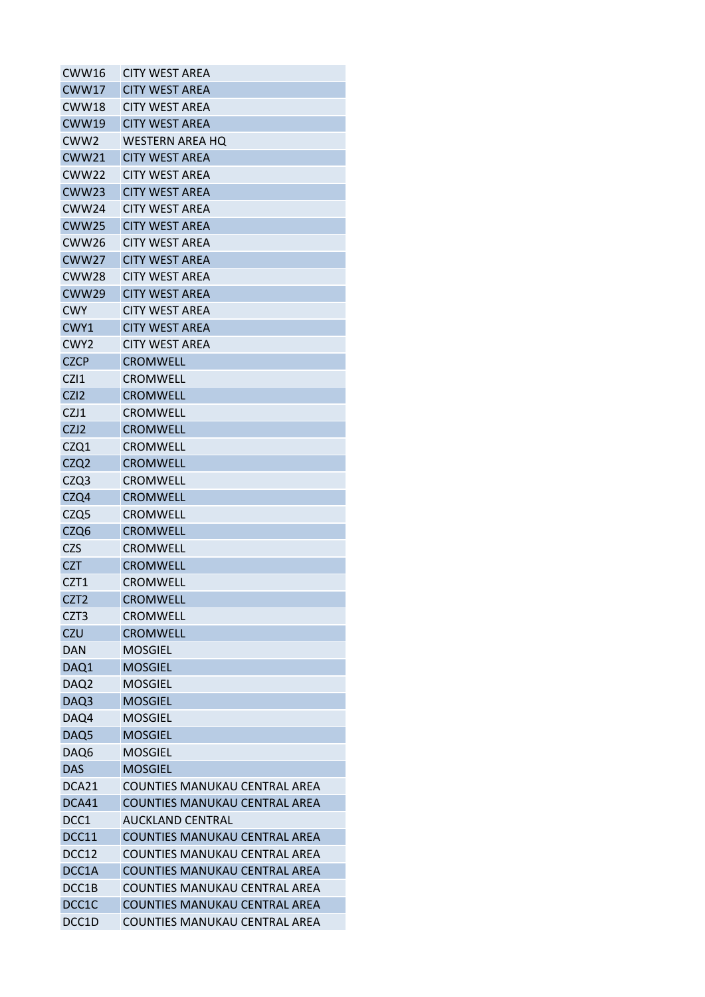| CWW16             | <b>CITY WEST AREA</b>                |
|-------------------|--------------------------------------|
| <b>CWW17</b>      | <b>CITY WEST AREA</b>                |
| CWW18             | <b>CITY WEST AREA</b>                |
| <b>CWW19</b>      | <b>CITY WEST AREA</b>                |
| CWW <sub>2</sub>  | <b>WESTERN AREA HO</b>               |
| <b>CWW21</b>      | <b>CITY WEST AREA</b>                |
| CWW <sub>22</sub> | <b>CITY WEST AREA</b>                |
| CWW23             | <b>CITY WEST ARFA</b>                |
| CWW24             | <b>CITY WEST AREA</b>                |
| <b>CWW25</b>      | <b>CITY WEST AREA</b>                |
| CWW <sub>26</sub> | <b>CITY WEST AREA</b>                |
| <b>CWW27</b>      | <b>CITY WEST AREA</b>                |
| <b>CWW28</b>      | <b>CITY WEST AREA</b>                |
| <b>CWW29</b>      | <b>CITY WEST AREA</b>                |
| <b>CWY</b>        | <b>CITY WEST AREA</b>                |
| CWY1              | <b>CITY WEST AREA</b>                |
| CWY <sub>2</sub>  | <b>CITY WEST AREA</b>                |
| <b>CZCP</b>       | <b>CROMWELL</b>                      |
| CZ11              | <b>CROMWELL</b>                      |
| CZI <sub>2</sub>  | <b>CROMWELL</b>                      |
| CZJ1              | <b>CROMWELL</b>                      |
| CZJ2              | <b>CROMWELL</b>                      |
| CZQ1              | <b>CROMWELL</b>                      |
| CZQ2              | <b>CROMWELL</b>                      |
| CZQ3              | <b>CROMWELL</b>                      |
| CZQ4              | <b>CROMWELL</b>                      |
| CZQ5              | <b>CROMWELL</b>                      |
| CZQ6              | <b>CROMWELL</b>                      |
| <b>CZS</b>        | <b>CROMWELL</b>                      |
| <b>CZT</b>        | <b>CROMWELL</b>                      |
| CZT1              | <b>CROMWELL</b>                      |
| CZT <sub>2</sub>  | <b>CROMWELL</b>                      |
|                   | <b>CROMWELL</b>                      |
| CZT <sub>3</sub>  |                                      |
| <b>CZU</b>        | <b>CROMWELL</b>                      |
| <b>DAN</b>        | <b>MOSGIEL</b>                       |
| DAQ1              | <b>MOSGIEL</b>                       |
| DAQ <sub>2</sub>  | <b>MOSGIEL</b>                       |
| DAQ3              | <b>MOSGIEL</b>                       |
| DAQ4              | <b>MOSGIEL</b>                       |
| DAQ5              | <b>MOSGIEL</b>                       |
| DAQ6              | <b>MOSGIEL</b>                       |
| <b>DAS</b>        | <b>MOSGIEL</b>                       |
| DCA21             | COUNTIES MANUKAU CENTRAL AREA        |
| DCA41             | <b>COUNTIES MANUKAU CENTRAL AREA</b> |
| DCC1              | <b>AUCKLAND CENTRAL</b>              |
| DCC11             | COUNTIES MANUKAU CENTRAL AREA        |
| DCC12             | <b>COUNTIES MANUKAU CENTRAL AREA</b> |
| DCC1A             | <b>COUNTIES MANUKAU CENTRAL AREA</b> |
| DCC1B             | <b>COUNTIES MANUKAU CENTRAL AREA</b> |
| DCC1C             | <b>COUNTIES MANUKAU CENTRAL AREA</b> |
| DCC1D             | COUNTIES MANUKAU CENTRAL AREA        |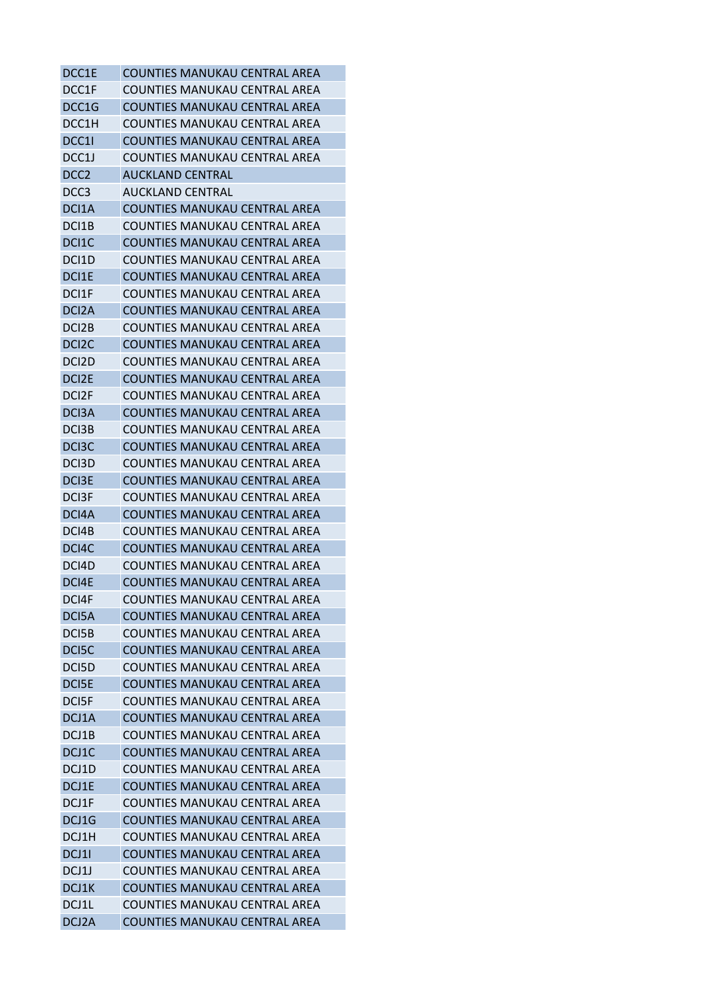| DCC1E              | <b>COUNTIES MANUKAU CENTRAL AREA</b> |
|--------------------|--------------------------------------|
| DCC1F              | COUNTIES MANUKAU CENTRAL AREA        |
| DCC1G              | COUNTIES MANUKAU CENTRAL AREA        |
| DCC1H              | COUNTIES MANUKAU CENTRAL AREA        |
| DCC1I              | COUNTIES MANUKAU CENTRAL AREA        |
| DCC1J              | COUNTIES MANUKAU CENTRAL AREA        |
| DCC <sub>2</sub>   | AUCKLAND CENTRAL                     |
| DCC <sub>3</sub>   | <b>AUCKLAND CENTRAL</b>              |
| DCI1A              | COUNTIES MANUKAU CENTRAL AREA        |
| DCI1B              | COUNTIES MANUKAU CENTRAL AREA        |
| DCI1C              | COUNTIES MANUKAU CENTRAL AREA        |
| DCI1D              | COUNTIES MANUKAU CENTRAL AREA        |
| DCI1E              | COUNTIES MANUKAU CENTRAL AREA        |
| DCI1F              | COUNTIES MANUKAU CENTRAL AREA        |
| DCI <sub>2</sub> A | COUNTIES MANUKAU CENTRAL AREA        |
| DCI <sub>2</sub> B | COUNTIES MANUKAU CENTRAL AREA        |
| DCI <sub>2</sub> C | COUNTIES MANUKAU CENTRAL AREA        |
| DCI <sub>2</sub> D | COUNTIES MANUKAU CENTRAL AREA        |
| DCI <sub>2</sub> E | COUNTIES MANUKAU CENTRAL AREA        |
| DCI <sub>2</sub> F | COUNTIES MANUKAU CENTRAL AREA        |
| DC <sub>13</sub> A | COUNTIES MANUKAU CENTRAL AREA        |
| DC <sub>13</sub> B | COUNTIES MANUKAU CENTRAL AREA        |
| DC <sub>13</sub> C | COUNTIES MANUKAU CENTRAL AREA        |
| DC <sub>13</sub> D | COUNTIES MANUKAU CENTRAL AREA        |
| DC <sub>I3</sub> E | COUNTIES MANUKAU CENTRAL AREA        |
| DC <sub>13</sub> F | COUNTIES MANUKAU CENTRAL AREA        |
| DCI4A              | COUNTIES MANUKAU CENTRAL AREA        |
| DCI4B              | COUNTIES MANUKAU CENTRAL AREA        |
| DCI4C              | COUNTIES MANUKAU CENTRAL AREA        |
| DCI4D              | COUNTIES MANUKAU CENTRAL AREA        |
| DCI4E              | COUNTIES MANUKAU CENTRAL AREA        |
| DCI4F              | COUNTIES MANUKAU CENTRAL AREA        |
| DCI5A              | <b>COUNTIES MANUKAU CENTRAL AREA</b> |
| DCI5B              | <b>COUNTIES MANUKAU CENTRAL AREA</b> |
| DCI5C              | COUNTIES MANUKAU CENTRAL AREA        |
| DCI5D              | <b>COUNTIES MANUKAU CENTRAL AREA</b> |
| DCI5E              | COUNTIES MANUKAU CENTRAL AREA        |
| DCI5F              | COUNTIES MANUKAU CENTRAL AREA        |
| DCJ1A              | <b>COUNTIES MANUKAU CENTRAL AREA</b> |
| DCJ1B              | <b>COUNTIES MANUKAU CENTRAL AREA</b> |
| DCJ1C              | COUNTIES MANUKAU CENTRAL AREA        |
| DCJ1D              | COUNTIES MANUKAU CENTRAL AREA        |
| DCJ1E              | <b>COUNTIES MANUKAU CENTRAL AREA</b> |
| DCJ1F              | COUNTIES MANUKAU CENTRAL AREA        |
| DCJ1G              | COUNTIES MANUKAU CENTRAL AREA        |
| DCJ1H              | COUNTIES MANUKAU CENTRAL AREA        |
| DCJ11              | <b>COUNTIES MANUKAU CENTRAL AREA</b> |
| DCJ1J              | <b>COUNTIES MANUKAU CENTRAL AREA</b> |
| DCJ1K              | <b>COUNTIES MANUKAU CENTRAL AREA</b> |
| DCJ1L              | COUNTIES MANUKAU CENTRAL AREA        |
| DCJ2A              | COUNTIES MANUKAU CENTRAL AREA        |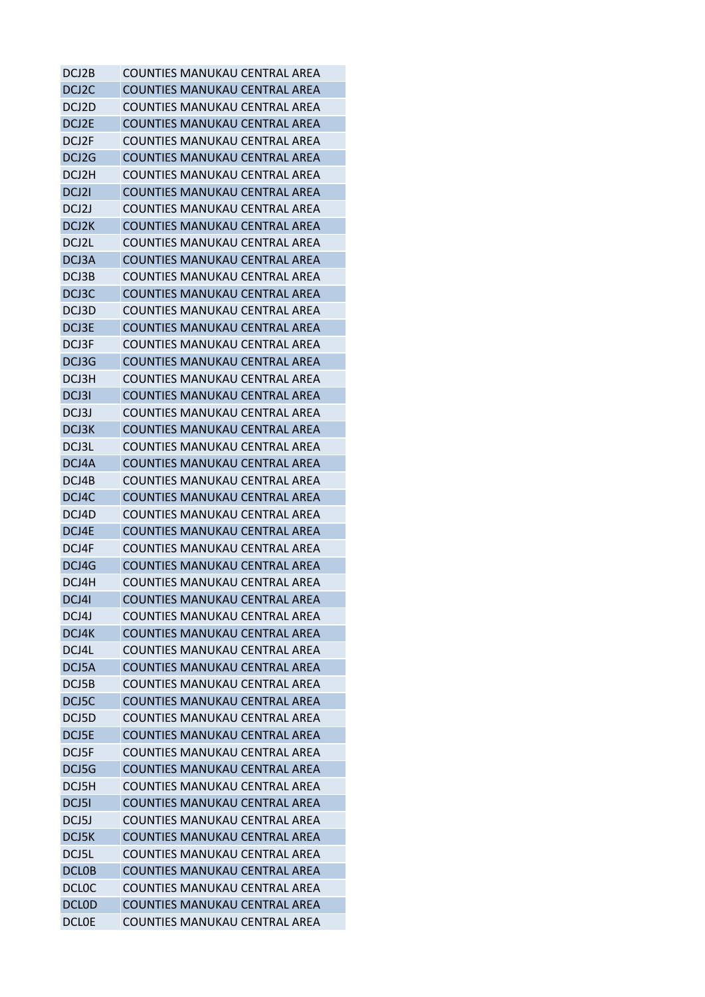| DCJ2B              | COUNTIES MANUKAU CENTRAL AREA        |
|--------------------|--------------------------------------|
| DCJ <sub>2</sub> C | COUNTIES MANUKAU CENTRAL AREA        |
| DCJ2D              | COUNTIES MANUKAU CENTRAL AREA        |
| DCJ2E              | COUNTIES MANUKAU CENTRAL AREA        |
| DCJ2F              | COUNTIES MANUKAU CENTRAL AREA        |
| DCJ2G              | COUNTIES MANUKAU CENTRAL AREA        |
| DCJ2H              | COUNTIES MANUKAU CENTRAL AREA        |
| DCJ2I              | COUNTIES MANUKAU CENTRAL AREA        |
| DCJ2J              | COUNTIES MANUKAU CENTRAL AREA        |
| DCJ2K              | COUNTIES MANUKAU CENTRAL AREA        |
| DCJ2L              | COUNTIES MANUKAU CENTRAL AREA        |
| DCJ3A              | COUNTIES MANUKAU CENTRAL AREA        |
| DCJ3B              | COUNTIES MANUKAU CENTRAL AREA        |
| DCJ3C              | COUNTIES MANUKAU CENTRAL AREA        |
| DCJ3D              | COUNTIES MANUKAU CENTRAL AREA        |
| DCJ3E              | COUNTIES MANUKAU CENTRAL AREA        |
| DCJ3F              | COUNTIES MANUKAU CENTRAL AREA        |
| DCJ3G              | COUNTIES MANUKAU CENTRAL AREA        |
| DCJ3H              | COUNTIES MANUKAU CENTRAL AREA        |
| DCJ3I              | COUNTIES MANUKAU CENTRAL AREA        |
| DCJ3J              | COUNTIES MANUKAU CENTRAL AREA        |
| DCJ3K              | COUNTIES MANUKAU CENTRAL AREA        |
|                    |                                      |
| DCJ3L              | COUNTIES MANUKAU CENTRAL AREA        |
| DCJ4A              | COUNTIES MANUKAU CENTRAL AREA        |
| DCJ4B              | COUNTIES MANUKAU CENTRAL AREA        |
| DCJ4C              | COUNTIES MANUKAU CENTRAL AREA        |
| DCJ4D              | <b>COUNTIES MANUKAU CENTRAL AREA</b> |
| DCJ4E              | COUNTIES MANUKAU CENTRAL AREA        |
| DCJ4F              | COUNTIES MANUKAU CENTRAL AREA        |
| DCJ4G              | COUNTIES MANUKAU CENTRAL AREA        |
| DCJ4H              | COUNTIES MANUKAU CENTRAL AREA        |
| DCJ4I              | <b>COUNTIES MANUKAU CENTRAL AREA</b> |
| DCJ4J              | COUNTIES MANUKAU CENTRAL AREA        |
| DCJ4K              | <b>COUNTIES MANUKAU CENTRAL AREA</b> |
| DCJ4L              | COUNTIFS MANUKAU CENTRAL ARFA        |
| DCJ5A              | <b>COUNTIES MANUKAU CENTRAL AREA</b> |
| DCJ5B              | <b>COUNTIES MANUKAU CENTRAL AREA</b> |
| DCJ5C              | <b>COUNTIES MANUKAU CENTRAL AREA</b> |
| DCJ5D              | COUNTIES MANUKAU CENTRAL AREA        |
| DCJ5E              | <b>COUNTIES MANUKAU CENTRAL AREA</b> |
| DCJ5F              | COUNTIES MANUKAU CENTRAL AREA        |
| DCJ5G              | <b>COUNTIES MANUKAU CENTRAL AREA</b> |
| DCJ5H              | COUNTIES MANUKAU CENTRAL AREA        |
| DCJ51              | <b>COUNTIES MANUKAU CENTRAL AREA</b> |
| DCJ5J              | <b>COUNTIES MANUKAU CENTRAL AREA</b> |
| DCJ5K              | COUNTIES MANUKAU CENTRAL AREA        |
| DCJ5L              | <b>COUNTIES MANUKAU CENTRAL AREA</b> |
| <b>DCLOB</b>       | <b>COUNTIES MANUKAU CENTRAL AREA</b> |
| <b>DCLOC</b>       | <b>COUNTIES MANUKAU CENTRAL AREA</b> |
| <b>DCLOD</b>       | <b>COUNTIES MANUKAU CENTRAL AREA</b> |
| <b>DCLOE</b>       | COUNTIES MANUKAU CENTRAL AREA        |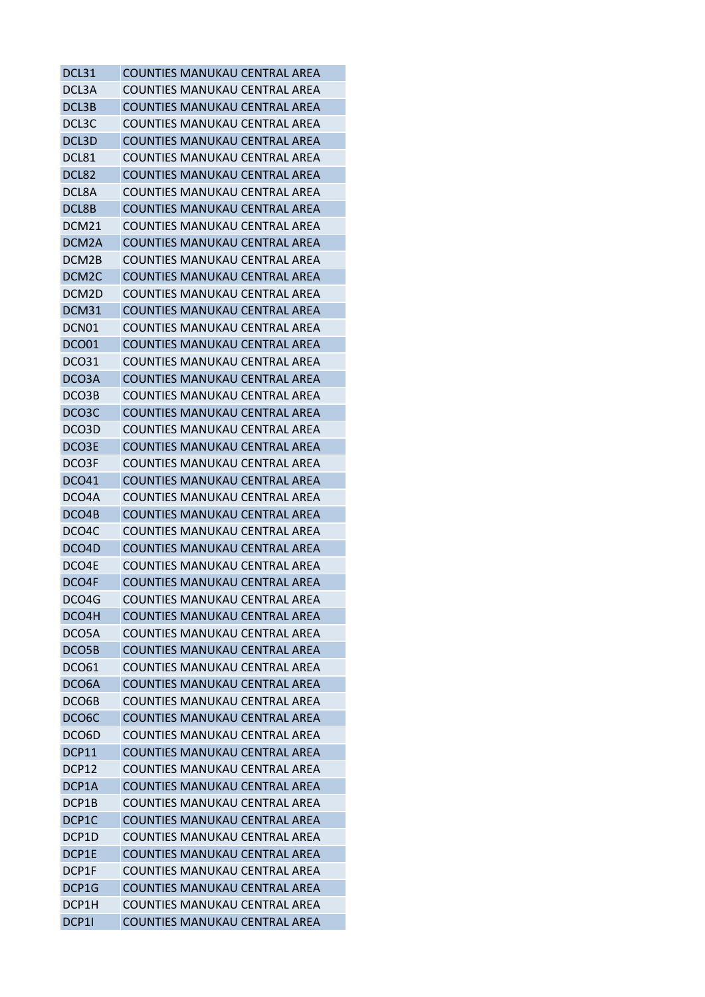| DCL31              | <b>COUNTIES MANUKAU CENTRAL AREA</b>                                  |
|--------------------|-----------------------------------------------------------------------|
| DCL3A              | <b>COUNTIES MANUKAU CENTRAL AREA</b>                                  |
| DCL3B              | COUNTIES MANUKAU CENTRAL AREA                                         |
| DCL3C              | <b>COUNTIES MANUKAU CENTRAL AREA</b>                                  |
| DCL3D              | COUNTIES MANUKAU CENTRAL AREA                                         |
| DCL81              | COUNTIES MANUKAU CENTRAL AREA                                         |
| DCL82              | COUNTIES MANUKAU CENTRAL AREA                                         |
| DCL8A              | COUNTIES MANUKAU CENTRAL AREA                                         |
| DCL8B              | <b>COUNTIES MANUKAU CENTRAL AREA</b>                                  |
| DCM21              | <b>COUNTIES MANUKAU CENTRAL AREA</b>                                  |
| DCM2A              | COUNTIES MANUKAU CENTRAL AREA                                         |
| DCM2B              | COUNTIES MANUKAU CENTRAL AREA                                         |
| DCM <sub>2</sub> C | COUNTIES MANUKAU CENTRAL AREA                                         |
| DCM2D              | COUNTIES MANUKAU CENTRAL AREA                                         |
| DCM31              | <b>COUNTIES MANUKAU CENTRAL AREA</b>                                  |
| DCN01              | COUNTIES MANUKAU CENTRAL AREA                                         |
| DCO01              | <b>COUNTIES MANUKAU CENTRAL AREA</b>                                  |
| <b>DCO31</b>       | COUNTIES MANUKAU CENTRAL AREA                                         |
| DCO3A              | COUNTIES MANUKAU CENTRAL AREA                                         |
| DCO3B              | <b>COUNTIES MANUKAU CENTRAL AREA</b>                                  |
| DCO3C              | COUNTIES MANUKAU CENTRAL AREA                                         |
| DCO3D              | COUNTIES MANUKAU CENTRAL AREA                                         |
| DCO3E              | <b>COUNTIES MANUKAU CENTRAL AREA</b>                                  |
| DCO3F              | COUNTIES MANUKAU CENTRAL AREA                                         |
| DCO41              | COUNTIES MANUKAU CENTRAL AREA                                         |
| DCO4A              | COUNTIES MANUKAU CENTRAL AREA                                         |
| DCO4B              | <b>COUNTIES MANUKAU CENTRAL AREA</b>                                  |
| DCO4C              | COUNTIES MANUKAU CENTRAL AREA                                         |
| DCO <sub>4</sub> D | <b>COUNTIES MANUKAU CENTRAL AREA</b>                                  |
| DCO4E              | COUNTIES MANUKAU CENTRAL AREA                                         |
| DCO4F              | <b>COUNTIES MANUKAU CENTRAL AREA</b>                                  |
| DCO4G              | <b>COUNTIES MANUKAU CENTRAL AREA</b>                                  |
| DCO4H              | COUNTIES MANUKAU CENTRAL AREA                                         |
| DCO5A              | COUNTIES MANUKAU CENTRAL AREA                                         |
| DCO5B              | <b>COUNTIES MANUKAU CENTRAL AREA</b>                                  |
| <b>DCO61</b>       | <b>COUNTIES MANUKAU CENTRAL AREA</b>                                  |
|                    |                                                                       |
| DCO <sub>6</sub> A | COUNTIES MANUKAU CENTRAL AREA<br><b>COUNTIES MANUKAU CENTRAL AREA</b> |
| DCO6B              |                                                                       |
| DCO6C              | <b>COUNTIES MANUKAU CENTRAL AREA</b>                                  |
| DCO6D              | COUNTIES MANUKAU CENTRAL AREA                                         |
| DCP11              | <b>COUNTIES MANUKAU CENTRAL AREA</b>                                  |
| DCP12              | <b>COUNTIES MANUKAU CENTRAL AREA</b>                                  |
| DCP1A              | <b>COUNTIES MANUKAU CENTRAL AREA</b>                                  |
| DCP1B              | COUNTIES MANUKAU CENTRAL AREA                                         |
| DCP <sub>1</sub> C | <b>COUNTIES MANUKAU CENTRAL AREA</b>                                  |
| DCP1D              | COUNTIES MANUKAU CENTRAL AREA                                         |
| DCP1E              | <b>COUNTIES MANUKAU CENTRAL AREA</b>                                  |
| DCP1F              | <b>COUNTIES MANUKAU CENTRAL AREA</b>                                  |
| DCP1G              | <b>COUNTIES MANUKAU CENTRAL AREA</b>                                  |
| DCP1H              | <b>COUNTIES MANUKAU CENTRAL AREA</b>                                  |
| DCP11              | COUNTIES MANUKAU CENTRAL AREA                                         |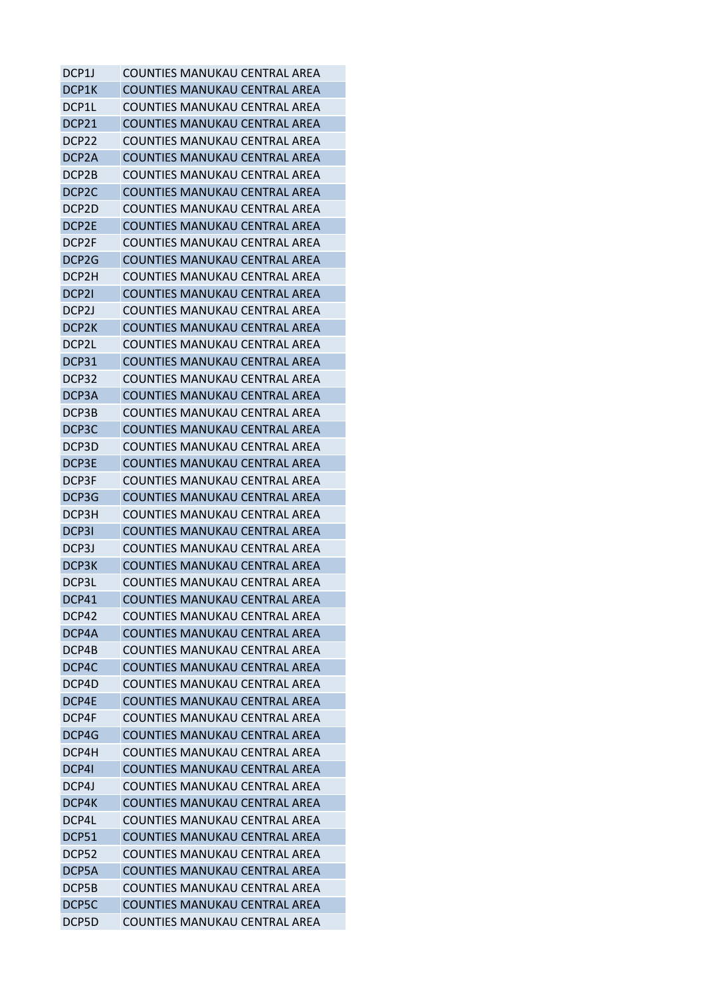| DCP1J              | COUNTIES MANUKAU CENTRAL AREA                                         |
|--------------------|-----------------------------------------------------------------------|
| DCP1K              | <b>COUNTIES MANUKAU CENTRAL AREA</b>                                  |
| DCP1L              | COUNTIES MANUKAU CENTRAL AREA                                         |
| DCP21              | <b>COUNTIES MANUKAU CENTRAL AREA</b>                                  |
| DCP22              | COUNTIES MANUKAU CENTRAL AREA                                         |
| DCP <sub>2</sub> A | <b>COUNTIES MANUKAU CENTRAL AREA</b>                                  |
| DCP2B              | COUNTIES MANUKAU CENTRAL AREA                                         |
| DCP <sub>2</sub> C | <b>COUNTIES MANUKAU CENTRAL AREA</b>                                  |
| DCP <sub>2</sub> D | <b>COUNTIES MANUKAU CENTRAL AREA</b>                                  |
| DCP2E              | COUNTIES MANUKAU CENTRAL AREA                                         |
| DCP2F              | COUNTIES MANUKAU CENTRAL AREA                                         |
| DCP <sub>2</sub> G | <b>COUNTIES MANUKAU CENTRAL AREA</b>                                  |
| DCP2H              | COUNTIES MANUKAU CENTRAL AREA                                         |
| DCP <sub>21</sub>  | COUNTIES MANUKAU CENTRAL AREA                                         |
| DCP <sub>2</sub> J | COUNTIES MANUKAU CENTRAL AREA                                         |
| DCP2K              | <b>COUNTIES MANUKAU CENTRAL AREA</b>                                  |
| DCP2L              | <b>COUNTIES MANUKAU CENTRAL AREA</b>                                  |
| DCP31              | <b>COUNTIES MANUKAU CENTRAL AREA</b>                                  |
| DCP32              | COUNTIES MANUKAU CENTRAL AREA                                         |
| DCP3A              | <b>COUNTIES MANUKAU CENTRAL AREA</b>                                  |
| DCP3B              | COUNTIES MANUKAU CENTRAL AREA                                         |
| DCP3C              | COUNTIES MANUKAU CENTRAL AREA                                         |
| DCP3D              | COUNTIES MANUKAU CENTRAL AREA                                         |
| DCP3E              | COUNTIES MANUKAU CENTRAL AREA                                         |
| DCP3F              | COUNTIES MANUKAU CENTRAL AREA                                         |
| DCP3G              | COUNTIES MANUKAU CENTRAL AREA                                         |
| DCP3H              | <b>COUNTIES MANUKAU CENTRAL AREA</b>                                  |
| DCP31              | <b>COUNTIES MANUKAU CENTRAL AREA</b>                                  |
| DCP3J              | <b>COUNTIES MANUKAU CENTRAL AREA</b>                                  |
| DCP3K              | COUNTIES MANUKAU CENTRAL AREA                                         |
| DCP3L              | COUNTIES MANUKAU CENTRAL AREA                                         |
| DCP41              | <b>COUNTIES MANUKAU CENTRAL AREA</b>                                  |
| DCP42              | COUNTIES MANUKAU CENTRAL AREA                                         |
| DCP4A              | <b>COUNTIES MANUKAU CENTRAL AREA</b>                                  |
| DCP4B              | COUNTIES MANUKAU CENTRAL AREA                                         |
|                    | <b>COUNTIES MANUKAU CENTRAL AREA</b>                                  |
| DCP4C              | COUNTIES MANUKAU CENTRAL AREA                                         |
| DCP4D              |                                                                       |
| DCP4E              | <b>COUNTIES MANUKAU CENTRAL AREA</b><br>COUNTIFS MANUKAU CENTRAL AREA |
| DCP4F              |                                                                       |
| DCP4G              | <b>COUNTIES MANUKAU CENTRAL AREA</b>                                  |
| DCP4H              | <b>COUNTIES MANUKAU CENTRAL AREA</b>                                  |
| DCP4I              | <b>COUNTIES MANUKAU CENTRAL AREA</b>                                  |
| DCP4J              | <b>COUNTIES MANUKAU CENTRAL AREA</b>                                  |
| DCP4K              | <b>COUNTIES MANUKAU CENTRAL AREA</b>                                  |
| DCP4L              | <b>COUNTIES MANUKAU CENTRAL AREA</b>                                  |
| DCP51              | COUNTIES MANUKAU CENTRAL AREA                                         |
| DCP52              | <b>COUNTIES MANUKAU CENTRAL AREA</b>                                  |
| DCP5A              | <b>COUNTIES MANUKAU CENTRAL AREA</b>                                  |
| DCP5B              | <b>COUNTIES MANUKAU CENTRAL AREA</b>                                  |
| DCP5C              | <b>COUNTIES MANUKAU CENTRAL AREA</b>                                  |
| DCP5D              | COUNTIES MANUKAU CENTRAL AREA                                         |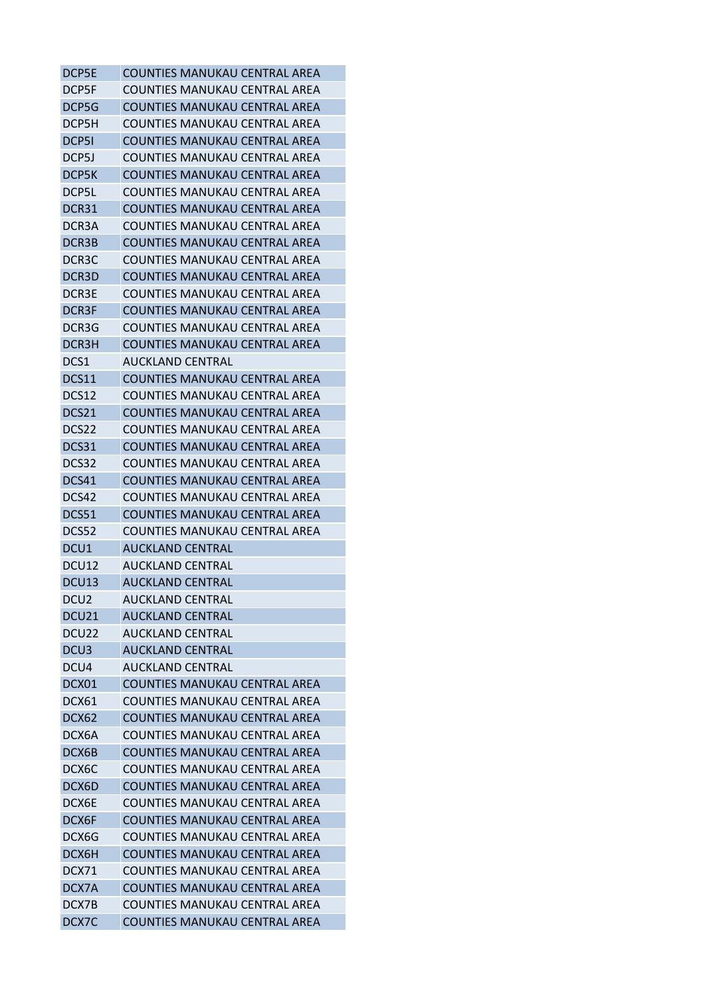| DCP5E             | COUNTIES MANUKAU CENTRAL AREA        |
|-------------------|--------------------------------------|
| DCP5F             | COUNTIES MANUKAU CENTRAL AREA        |
| DCP5G             | COUNTIES MANUKAU CENTRAL AREA        |
| DCP5H             | COUNTIES MANUKAU CENTRAL AREA        |
| DCP51             | COUNTIES MANUKAU CENTRAL AREA        |
| DCP5J             | COUNTIES MANUKAU CENTRAL AREA        |
| DCP5K             | COUNTIES MANUKAU CENTRAL AREA        |
| DCP5L             | COUNTIES MANUKAU CENTRAL AREA        |
| DCR31             | COUNTIES MANUKAU CENTRAL AREA        |
| DCR3A             | COUNTIES MANUKAU CENTRAL AREA        |
| DCR3B             | COUNTIES MANUKAU CENTRAL AREA        |
| DCR3C             | COUNTIES MANUKAU CENTRAL AREA        |
| DCR3D             | COUNTIES MANUKAU CENTRAL AREA        |
| DCR3E             | COUNTIES MANUKAU CENTRAL AREA        |
| DCR3F             | <b>COUNTIES MANUKAU CENTRAL AREA</b> |
| DCR3G             | COUNTIES MANUKAU CENTRAL AREA        |
| DCR3H             | <b>COUNTIES MANUKAU CENTRAL AREA</b> |
| DCS1              | <b>AUCKLAND CENTRAL</b>              |
| DCS11             | COUNTIES MANUKAU CENTRAL AREA        |
| DCS12             | COUNTIES MANUKAU CENTRAL AREA        |
| DCS21             | <b>COUNTIES MANUKAU CENTRAL AREA</b> |
| DCS22             | COUNTIES MANUKAU CENTRAL AREA        |
| DCS31             | COUNTIES MANUKAU CENTRAL AREA        |
| DCS32             | COUNTIES MANUKAU CENTRAL AREA        |
|                   |                                      |
| DCS41             | COUNTIES MANUKAU CENTRAL AREA        |
| DCS42             | COUNTIES MANUKAU CENTRAL AREA        |
| DCS51             | <b>COUNTIES MANUKAU CENTRAL AREA</b> |
| DCS52             | COUNTIES MANUKAU CENTRAL AREA        |
| DCU1              | <b>AUCKLAND CENTRAL</b>              |
| DCU12             | AUCKLAND CENTRAL                     |
| DCU13             | <b>AUCKLAND CENTRAL</b>              |
| DCU <sub>2</sub>  | <b>AUCKLAND CENTRAL</b>              |
| DCU <sub>21</sub> | <b>AUCKLAND CENTRAL</b>              |
| DCU22             | <b>AUCKLAND CENTRAL</b>              |
| DCU <sub>3</sub>  | <b>AUCKLAND CENTRAL</b>              |
| DCU4              | <b>AUCKLAND CENTRAL</b>              |
| DCX01             | COUNTIES MANUKAU CENTRAL AREA        |
| DCX61             | COUNTIES MANUKAU CENTRAL AREA        |
| DCX62             | <b>COUNTIES MANUKAU CENTRAL AREA</b> |
| DCX6A             | <b>COUNTIES MANUKAU CENTRAL AREA</b> |
| DCX6B             | COUNTIES MANUKAU CENTRAL AREA        |
| DCX6C             | COUNTIES MANUKAU CENTRAL AREA        |
| DCX6D             | <b>COUNTIES MANUKAU CENTRAL AREA</b> |
| DCX6E             | COUNTIES MANUKAU CENTRAL AREA        |
| DCX6F             | <b>COUNTIES MANUKAU CENTRAL AREA</b> |
| DCX6G             | COUNTIES MANUKAU CENTRAL AREA        |
| DCX6H             | <b>COUNTIES MANUKAU CENTRAL AREA</b> |
| DCX71             | <b>COUNTIES MANUKAU CENTRAL AREA</b> |
| DCX7A             | COUNTIES MANUKAU CENTRAL AREA        |
| DCX7B             | COUNTIES MANUKAU CENTRAL AREA        |
| DCX7C             | COUNTIES MANUKAU CENTRAL AREA        |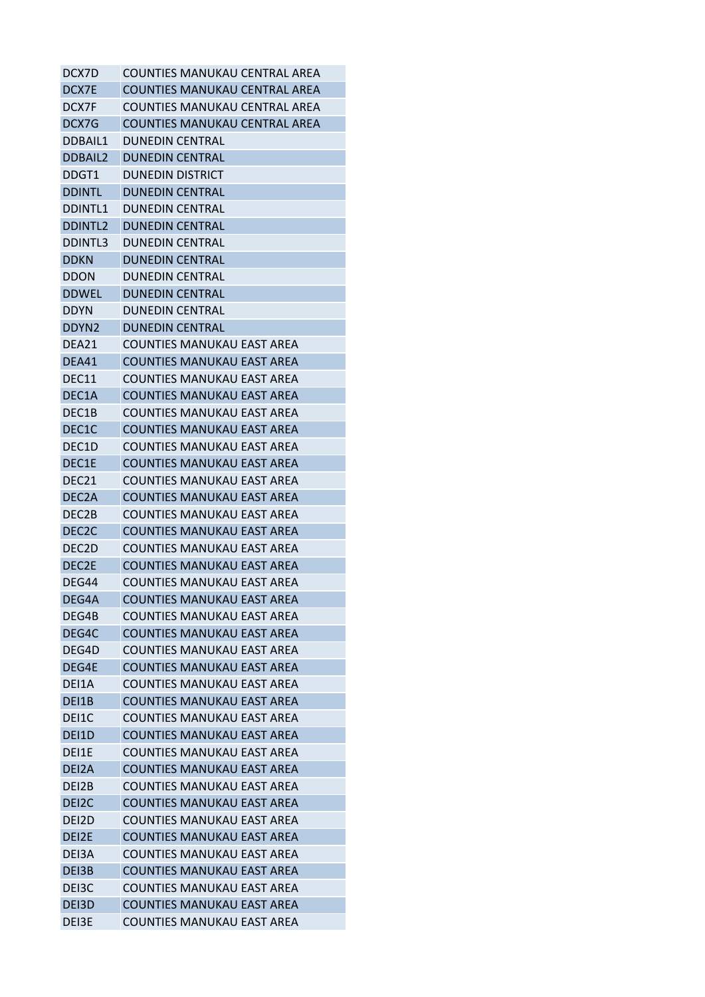| DCX7D              | COUNTIES MANUKAU CENTRAL AREA        |
|--------------------|--------------------------------------|
| DCX7E              | COUNTIES MANUKAU CENTRAL AREA        |
| DCX7F              | COUNTIES MANUKAU CENTRAL AREA        |
| DCX7G              | <b>COUNTIES MANUKAU CENTRAL AREA</b> |
| DDBAIL1            | <b>DUNEDIN CENTRAL</b>               |
| <b>DDBAIL2</b>     | <b>DUNEDIN CENTRAL</b>               |
| DDGT1              | <b>DUNEDIN DISTRICT</b>              |
| <b>DDINTL</b>      | <b>DUNEDIN CENTRAL</b>               |
| <b>DDINTL1</b>     | <b>DUNEDIN CENTRAL</b>               |
| <b>DDINTL2</b>     | <b>DUNEDIN CENTRAL</b>               |
| <b>DDINTL3</b>     | <b>DUNEDIN CENTRAL</b>               |
| <b>DDKN</b>        | <b>DUNEDIN CENTRAL</b>               |
| <b>DDON</b>        | <b>DUNEDIN CENTRAL</b>               |
| <b>DDWEL</b>       | <b>DUNEDIN CENTRAL</b>               |
| <b>DDYN</b>        | <b>DUNEDIN CENTRAL</b>               |
| DDYN <sub>2</sub>  | <b>DUNEDIN CENTRAL</b>               |
| DFA <sub>21</sub>  | <b>COUNTIES MANUKAU EAST AREA</b>    |
| DEA41              | <b>COUNTIES MANUKAU EAST AREA</b>    |
| DEC11              | <b>COUNTIES MANUKAU EAST AREA</b>    |
| DEC1A              | <b>COUNTIES MANUKAU EAST AREA</b>    |
| DEC1B              | COUNTIES MANUKAU EAST AREA           |
| DEC <sub>1</sub> C | COUNTIES MANUKAU EAST AREA           |
| DEC <sub>1</sub> D | COUNTIES MANUKAU EAST AREA           |
| DEC1E              | COUNTIES MANUKAU EAST AREA           |
| DEC <sub>21</sub>  | COUNTIES MANUKAU EAST AREA           |
| DEC <sub>2</sub> A | <b>COUNTIES MANUKAU EAST AREA</b>    |
| DEC <sub>2</sub> B | COUNTIES MANUKAU EAST AREA           |
| DEC <sub>2</sub> C | <b>COUNTIES MANUKAU EAST AREA</b>    |
| DEC <sub>2</sub> D | <b>COUNTIES MANUKAU EAST AREA</b>    |
| DEC2E              | <b>COUNTIES MANUKAU EAST AREA</b>    |
| DEG44              | <b>COUNTIES MANUKAU EAST AREA</b>    |
| DEG4A              | <b>COUNTIES MANUKAU EAST AREA</b>    |
| DEG4B              | <b>COUNTIES MANUKAU EAST AREA</b>    |
| DEG4C              | <b>COUNTIES MANUKAU EAST AREA</b>    |
| DEG4D              | <b>COUNTIES MANUKAU EAST AREA</b>    |
| DEG4E              | <b>COUNTIES MANUKAU EAST AREA</b>    |
| DEI1A              | <b>COUNTIES MANUKAU EAST AREA</b>    |
| DEI1B              | <b>COUNTIES MANUKAU EAST AREA</b>    |
| DEI1C              | <b>COUNTIES MANUKAU EAST AREA</b>    |
| DE <sub>1</sub> D  | <b>COUNTIES MANUKAU EAST AREA</b>    |
| DEI1E              | COUNTIES MANUKAU EAST AREA           |
| DEI <sub>2</sub> A | <b>COUNTIES MANUKAU EAST AREA</b>    |
| DEI2B              | <b>COUNTIES MANUKAU EAST AREA</b>    |
| DEI2C              | <b>COUNTIES MANUKAU EAST AREA</b>    |
| DEI <sub>2</sub> D | <b>COUNTIES MANUKAU EAST AREA</b>    |
| DEI2E              | <b>COUNTIES MANUKAU EAST AREA</b>    |
|                    |                                      |
| DEI3A              | COUNTIES MANUKAU EAST AREA           |
| DEI3B              | <b>COUNTIES MANUKAU EAST AREA</b>    |
| DEI3C              | COUNTIES MANUKAU EAST AREA           |
| DEI3D              | <b>COUNTIES MANUKAU EAST AREA</b>    |
| DEI3E              | COUNTIES MANUKAU EAST AREA           |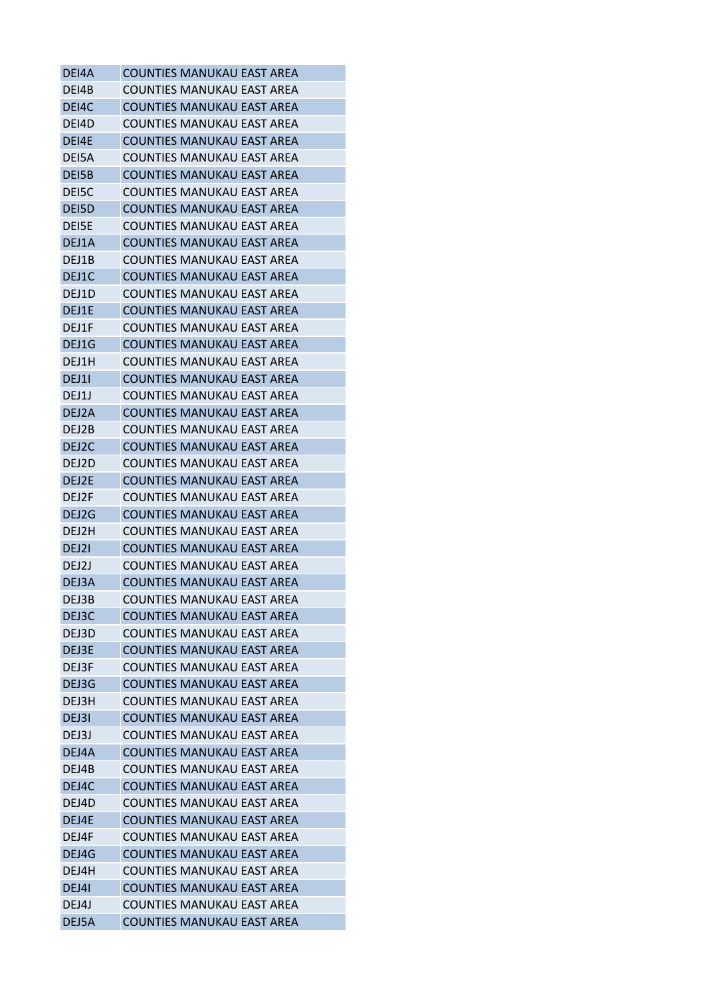| DEI4A | <b>COUNTIES MANUKAU EAST AREA</b> |
|-------|-----------------------------------|
| DEI4B | COUNTIES MANUKAU EAST AREA        |
| DEI4C | <b>COUNTIES MANUKAU EAST AREA</b> |
| DEI4D | COUNTIES MANUKAU EAST AREA        |
| DEI4E | <b>COUNTIES MANUKAU EAST AREA</b> |
| DEI5A | COUNTIES MANUKAU EAST AREA        |
| DEI5B | <b>COUNTIES MANUKAU EAST AREA</b> |
| DEI5C | COUNTIES MANUKAU EAST AREA        |
| DEI5D | <b>COUNTIES MANUKAU EAST AREA</b> |
| DEI5E | COUNTIES MANUKAU EAST AREA        |
| DEJ1A | <b>COUNTIES MANUKAU EAST AREA</b> |
| DEJ1B | COUNTIES MANUKAU EAST AREA        |
| DEJ1C | <b>COUNTIES MANUKAU EAST AREA</b> |
| DEJ1D | <b>COUNTIES MANUKAU EAST AREA</b> |
| DEJ1E | <b>COUNTIES MANUKAU EAST AREA</b> |
| DEJ1F | COUNTIES MANUKAU EAST AREA        |
| DEJ1G | <b>COUNTIES MANUKAU EAST AREA</b> |
| DEJ1H | COUNTIES MANUKAU EAST AREA        |
| DEJ11 | <b>COUNTIES MANUKAU EAST AREA</b> |
| DEJ1J | COUNTIES MANUKAU EAST AREA        |
| DEJ2A | <b>COUNTIES MANUKAU EAST AREA</b> |
| DEJ2B | COUNTIES MANUKAU EAST AREA        |
| DEJ2C | <b>COUNTIES MANUKAU EAST AREA</b> |
| DEJ2D | COUNTIES MANUKAU EAST AREA        |
| DEJ2E | COUNTIES MANUKAU EAST AREA        |
| DEJ2F | COUNTIES MANUKAU EAST AREA        |
| DEJ2G | <b>COUNTIES MANUKAU EAST AREA</b> |
| DEJ2H | COUNTIES MANUKAU EAST AREA        |
| DEJ21 | <b>COUNTIES MANUKAU EAST AREA</b> |
| DEJ2J | <b>COUNTIES MANUKAU EAST AREA</b> |
| DEJ3A | <b>COUNTIES MANUKAU EAST AREA</b> |
| DEJ3B | <b>COUNTIES MANUKAU EAST AREA</b> |
| DEJ3C | <b>COUNTIES MANUKAU EAST AREA</b> |
| DEJ3D | COUNTIES MANUKAU EAST AREA        |
| DEJ3E | COUNTIFS MANUKAU FAST ARFA        |
| DEJ3F | COUNTIFS MANUKAU FAST ARFA        |
| DEJ3G | <b>COUNTIES MANUKAU EAST AREA</b> |
| DEJ3H | COUNTIES MANUKAU EAST AREA        |
| DEJ3I | <b>COUNTIES MANUKAU EAST AREA</b> |
| DFJ3J | COUNTIFS MANUKAU FAST ARFA        |
| DEJ4A | <b>COUNTIES MANUKAU EAST AREA</b> |
| DEJ4B | COUNTIES MANUKAU EAST AREA        |
| DEJ4C | <b>COUNTIES MANUKAU EAST AREA</b> |
| DEJ4D | <b>COUNTIES MANUKAU EAST AREA</b> |
| DEJ4E | <b>COUNTIES MANUKAU EAST AREA</b> |
| DEJ4F | COUNTIES MANUKAU EAST AREA        |
| DEJ4G | <b>COUNTIES MANUKAU EAST AREA</b> |
| DEJ4H | <b>COUNTIES MANUKAU EAST AREA</b> |
| DEJ41 | <b>COUNTIES MANUKAU EAST AREA</b> |
| DEJ4J | COUNTIES MANUKAU EAST AREA        |
|       | <b>COUNTIES MANUKAU EAST AREA</b> |
| DEJ5A |                                   |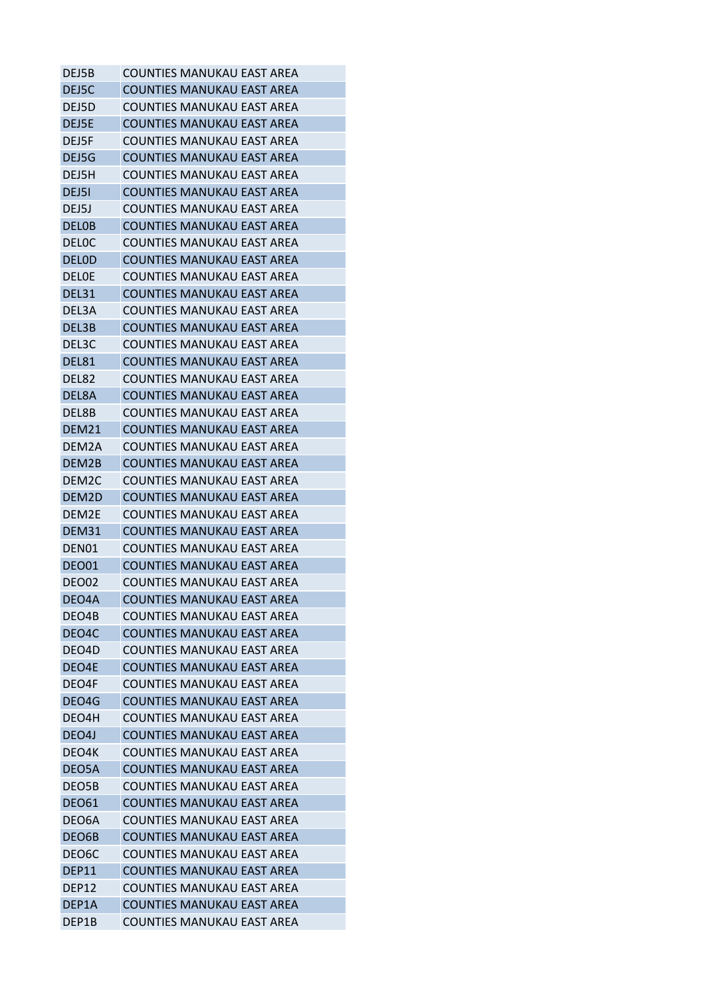| DEJ5B              | COUNTIES MANUKAU EAST AREA        |
|--------------------|-----------------------------------|
| DEJ5C              | <b>COUNTIES MANUKAU EAST AREA</b> |
| DEJ5D              | COUNTIES MANUKAU EAST AREA        |
| DEJ5E              | <b>COUNTIES MANUKAU EAST AREA</b> |
| DEJ5F              | COUNTIES MANUKAU EAST AREA        |
| DEJ5G              | <b>COUNTIES MANUKAU EAST AREA</b> |
| DEJ5H              | COUNTIES MANUKAU EAST AREA        |
| DEJ51              | <b>COUNTIES MANUKAU EAST AREA</b> |
| DEJ5J              | COUNTIES MANUKAU EAST AREA        |
| <b>DELOB</b>       | COUNTIES MANUKAU EAST AREA        |
| <b>DELOC</b>       | COUNTIES MANUKAU EAST AREA        |
| <b>DELOD</b>       | <b>COUNTIES MANUKAU EAST AREA</b> |
| <b>DELOE</b>       | COUNTIES MANUKAU EAST AREA        |
| DEL31              | <b>COUNTIES MANUKAU EAST AREA</b> |
| DEL3A              | <b>COUNTIES MANUKAU EAST AREA</b> |
| DEL3B              | <b>COUNTIES MANUKAU EAST AREA</b> |
| DEL3C              | COUNTIES MANUKAU EAST AREA        |
| DEL81              | <b>COUNTIES MANUKAU EAST AREA</b> |
| DEL82              | COUNTIES MANUKAU EAST AREA        |
| DEL8A              | <b>COUNTIES MANUKAU EAST AREA</b> |
| DEL8B              | COUNTIES MANUKAU EAST AREA        |
| DEM21              | <b>COUNTIES MANUKAU EAST AREA</b> |
| DEM2A              | COUNTIES MANUKAU EAST AREA        |
| DEM2B              | <b>COUNTIES MANUKAU EAST AREA</b> |
| DEM2C              | COUNTIES MANUKAU EAST AREA        |
| DEM2D              | <b>COUNTIES MANUKAU EAST AREA</b> |
| DEM2E              | COUNTIES MANUKAU EAST AREA        |
| DEM31              | <b>COUNTIES MANUKAU EAST AREA</b> |
| DEN01              | <b>COUNTIES MANUKAU EAST AREA</b> |
| DEO01              | <b>COUNTIES MANUKAU EAST AREA</b> |
| DEO02              | <b>COUNTIES MANUKAU EAST AREA</b> |
|                    | <b>COUNTIES MANUKAU EAST AREA</b> |
| DEO4A              | COUNTIFS MANUKAU FAST ARFA        |
| DEO4B              |                                   |
| DEO4C              | <b>COUNTIES MANUKAU EAST AREA</b> |
| DEO4D              | COUNTIFS MANUKAU FAST ARFA        |
| DEO4E              | <b>COUNTIES MANUKAU EAST AREA</b> |
| DEO4F              | <b>COUNTIES MANUKAU EAST AREA</b> |
| DEO4G              | <b>COUNTIES MANUKAU EAST AREA</b> |
| DEO4H              | <b>COUNTIES MANUKAU EAST AREA</b> |
| DEO4J              | COUNTIES MANUKAU EAST AREA        |
| DEO4K              | <b>COUNTIES MANUKAU EAST AREA</b> |
| DEO5A              | <b>COUNTIES MANUKAU EAST AREA</b> |
| DEO5B              | <b>COUNTIES MANUKAU EAST AREA</b> |
| <b>DEO61</b>       | <b>COUNTIES MANUKAU EAST AREA</b> |
| DEO6A              | <b>COUNTIES MANUKAU EAST AREA</b> |
| DEO6B              | <b>COUNTIES MANUKAU EAST AREA</b> |
| DEO <sub>6</sub> C | <b>COUNTIES MANUKAU EAST AREA</b> |
| DEP11              | <b>COUNTIES MANUKAU EAST AREA</b> |
| DEP12              | COUNTIES MANUKAU EAST AREA        |
| DEP1A              | <b>COUNTIES MANUKAU EAST AREA</b> |
| DEP1B              | <b>COUNTIES MANUKAU EAST AREA</b> |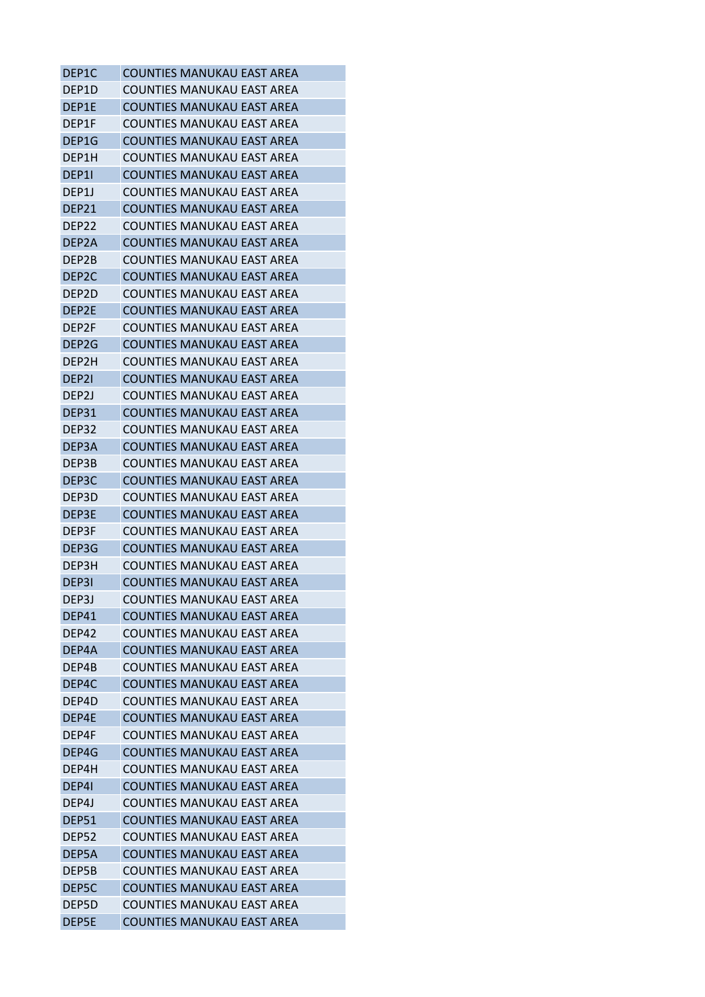| DEP1C              | COUNTIES MANUKAU EAST AREA        |
|--------------------|-----------------------------------|
| DEP1D              | COUNTIES MANUKAU EAST AREA        |
| DEP1E              | <b>COUNTIES MANUKAU EAST AREA</b> |
| DEP1F              | COUNTIES MANUKAU EAST AREA        |
| DEP1G              | <b>COUNTIES MANUKAU EAST AREA</b> |
| DEP1H              | COUNTIES MANUKAU EAST AREA        |
| DEP11              | COUNTIES MANUKAU EAST AREA        |
| DEP1J              | COUNTIES MANUKAU EAST AREA        |
| DEP21              | COUNTIES MANUKAU EAST AREA        |
| DEP22              | COUNTIES MANUKAU EAST AREA        |
| DEP <sub>2</sub> A | <b>COUNTIES MANUKAU EAST AREA</b> |
| DEP2B              | COUNTIES MANUKAU EAST AREA        |
| DEP <sub>2</sub> C | COUNTIES MANUKAU EAST AREA        |
| DEP2D              | <b>COUNTIES MANUKAU EAST AREA</b> |
| DEP2E              | COUNTIES MANUKAU EAST AREA        |
| DFP <sub>2F</sub>  | COUNTIES MANUKAU EAST AREA        |
| DEP2G              | COUNTIES MANUKAU EAST AREA        |
| DEP2H              | <b>COUNTIES MANUKAU EAST AREA</b> |
| DEP21              | <b>COUNTIES MANUKAU EAST AREA</b> |
| DEP <sub>2</sub> J | COUNTIES MANUKAU EAST AREA        |
| DEP31              | COUNTIES MANUKAU EAST AREA        |
| DEP32              | COUNTIES MANUKAU EAST AREA        |
| DEP3A              | COUNTIES MANUKAU EAST AREA        |
| DEP3B              | COUNTIES MANUKAU EAST AREA        |
| DEP3C              | COUNTIES MANUKAU EAST AREA        |
| DEP3D              | COUNTIES MANUKAU EAST AREA        |
| DEP3E              | <b>COUNTIES MANUKAU EAST AREA</b> |
| DEP3F              | COUNTIES MANUKAU EAST AREA        |
| DEP3G              | <b>COUNTIES MANUKAU EAST AREA</b> |
| DEP3H              | COUNTIES MANUKAU EAST AREA        |
| DEP31              | <b>COUNTIES MANUKAU EAST AREA</b> |
| DEP3J              | <b>COUNTIES MANUKAU EAST AREA</b> |
| DEP41              | COUNTIES MANUKAU EAST AREA        |
| DEP42              | COUNTIES MANUKAU EAST AREA        |
| DEP4A              | COUNTIES MANUKAU EAST AREA        |
| DEP4B              | <b>COUNTIES MANUKAU EAST AREA</b> |
| DEP4C              | <b>COUNTIES MANUKAU EAST AREA</b> |
| DEP4D              | COUNTIES MANUKAU EAST AREA        |
| DFP4F              | <b>COUNTIES MANUKAU EAST AREA</b> |
| DEP4F              | COUNTIES MANUKAU EAST AREA        |
| DEP4G              | <b>COUNTIES MANUKAU EAST AREA</b> |
| DEP4H              | COUNTIES MANUKAU EAST AREA        |
| DEP41              | <b>COUNTIES MANUKAU EAST AREA</b> |
| DEP4J              | <b>COUNTIES MANUKAU EAST AREA</b> |
| DEP51              | <b>COUNTIES MANUKAU EAST AREA</b> |
| DEP52              | COUNTIES MANUKAU EAST AREA        |
| DEP5A              | <b>COUNTIES MANUKAU EAST AREA</b> |
| DEP5B              | COUNTIES MANUKAU EAST AREA        |
| DEP5C              | COUNTIES MANUKAU EAST AREA        |
| DEP5D              | <b>COUNTIES MANUKAU EAST AREA</b> |
| DEP5E              | COUNTIES MANUKAU EAST AREA        |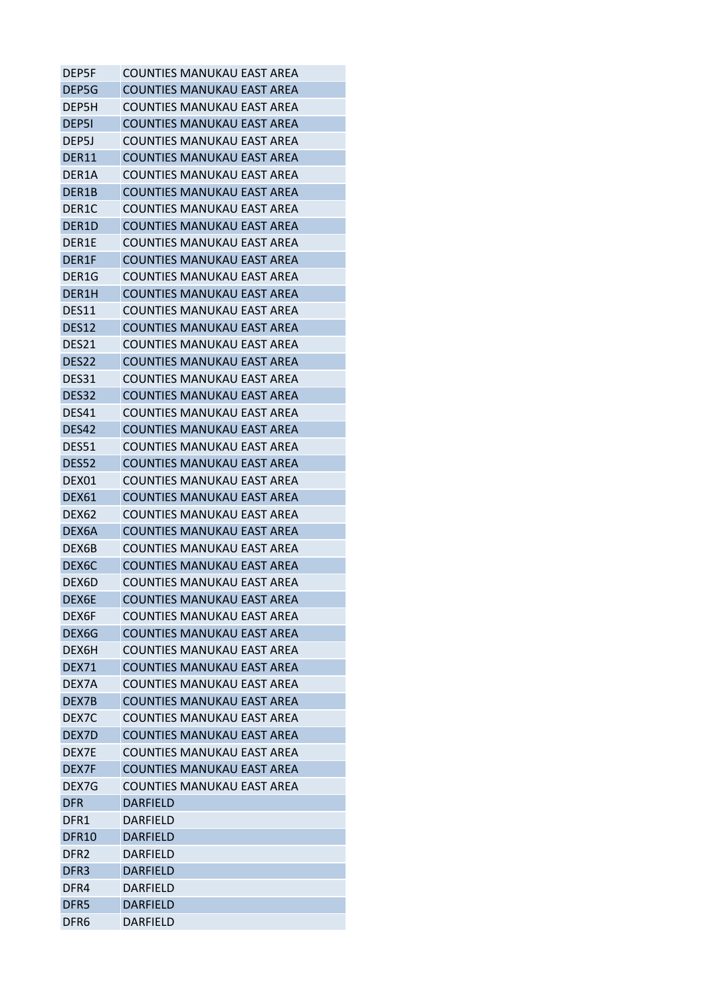| <b>DEP5F</b>       | COUNTIES MANUKAU EAST AREA        |
|--------------------|-----------------------------------|
| DEP5G              | <b>COUNTIES MANUKAU EAST AREA</b> |
| DEP5H              | COUNTIES MANUKAU EAST AREA        |
| DEP51              | <b>COUNTIES MANUKAU EAST AREA</b> |
| DEP5J              | <b>COUNTIES MANUKAU EAST AREA</b> |
| <b>DER11</b>       | <b>COUNTIES MANUKAU EAST AREA</b> |
| DER <sub>1</sub> A | COUNTIES MANUKAU EAST AREA        |
| DER1B              | <b>COUNTIES MANUKAU EAST AREA</b> |
| DER <sub>1</sub> C | <b>COUNTIES MANUKAU EAST AREA</b> |
| DER1D              | <b>COUNTIES MANUKAU EAST AREA</b> |
| DER1E              | COUNTIES MANUKAU EAST AREA        |
| DER1F              | <b>COUNTIES MANUKAU EAST AREA</b> |
| DER1G              | COUNTIES MANUKAU EAST AREA        |
| DER1H              | <b>COUNTIES MANUKAU EAST AREA</b> |
| DES11              | <b>COUNTIES MANUKAU EAST AREA</b> |
| <b>DES12</b>       | <b>COUNTIES MANUKAU EAST AREA</b> |
| DES21              | COUNTIES MANUKAU EAST AREA        |
| DES <sub>22</sub>  | <b>COUNTIES MANUKAU EAST AREA</b> |
| DES31              | COUNTIES MANUKAU EAST AREA        |
| DES32              | <b>COUNTIES MANUKAU EAST AREA</b> |
| DES41              | COUNTIES MANUKAU EAST AREA        |
| DES42              | <b>COUNTIES MANUKAU EAST AREA</b> |
| DES51              | COUNTIES MANUKAU EAST AREA        |
| DES52              | <b>COUNTIES MANUKAU EAST AREA</b> |
| DEX01              | COUNTIES MANUKAU EAST AREA        |
| <b>DEX61</b>       | <b>COUNTIES MANUKAU EAST AREA</b> |
| DEX <sub>62</sub>  | <b>COUNTIES MANUKAU EAST AREA</b> |
| DEX6A              | <b>COUNTIES MANUKAU EAST AREA</b> |
| DEX6B              | COUNTIES MANUKAU EAST AREA        |
| DEX6C              | <b>COUNTIES MANUKAU EAST AREA</b> |
| DEX6D              | COUNTIES MANUKAU EAST AREA        |
| DEX6E              | <b>COUNTIES MANUKAU EAST AREA</b> |
| DEX6F              | COUNTIES MANUKAU EAST AREA        |
| DEX6G              | <b>COUNTIES MANUKAU EAST AREA</b> |
| DEX6H              | <b>COUNTIES MANUKAU EAST AREA</b> |
| <b>DEX71</b>       | <b>COUNTIES MANUKAU EAST AREA</b> |
| DEX7A              | <b>COUNTIES MANUKAU EAST AREA</b> |
| DEX7B              | <b>COUNTIES MANUKAU EAST AREA</b> |
| DEX <sub>7</sub> C | <b>COUNTIES MANUKAU EAST AREA</b> |
| DFX7D              | <b>COUNTIES MANUKAU EAST AREA</b> |
| DEX7E              | <b>COUNTIES MANUKAU EAST AREA</b> |
| DEX7F              | <b>COUNTIES MANUKAU EAST AREA</b> |
| DEX7G              | <b>COUNTIES MANUKAU EAST AREA</b> |
| <b>DFR</b>         | <b>DARFIELD</b>                   |
| DFR1               | DARFIELD                          |
| <b>DFR10</b>       | <b>DARFIELD</b>                   |
| DFR <sub>2</sub>   | DARFIELD                          |
| DFR <sub>3</sub>   | <b>DARFIELD</b>                   |
| DFR4               | DARFIELD                          |
| DFR <sub>5</sub>   | <b>DARFIELD</b>                   |
| DFR6               | <b>DARFIELD</b>                   |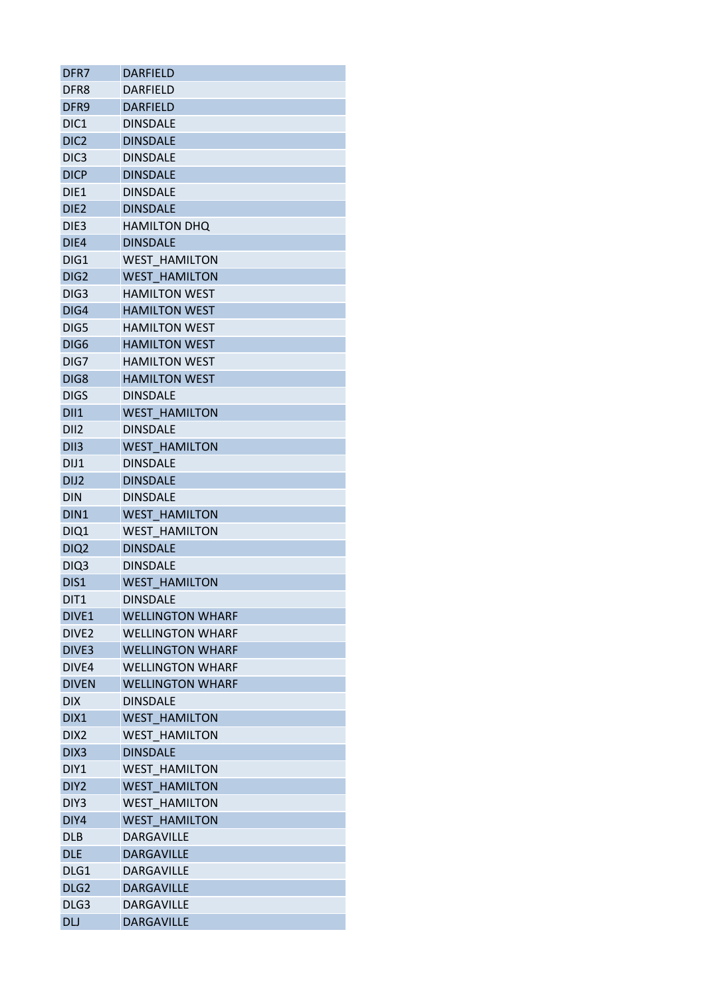| DFR7                     | <b>DARFIELD</b>                         |
|--------------------------|-----------------------------------------|
| DFR <sub>8</sub>         | <b>DARFIELD</b>                         |
| DFR9                     | <b>DARFIELD</b>                         |
| DIC <sub>1</sub>         | <b>DINSDALE</b>                         |
| DIC <sub>2</sub>         | <b>DINSDALE</b>                         |
| DIC <sub>3</sub>         | <b>DINSDALE</b>                         |
| <b>DICP</b>              | <b>DINSDALE</b>                         |
| DIE1                     | <b>DINSDALE</b>                         |
| DIE <sub>2</sub>         | <b>DINSDALE</b>                         |
| DIE3                     | <b>HAMILTON DHQ</b>                     |
| DIE4                     | <b>DINSDALE</b>                         |
| DIG1                     | <b>WEST HAMILTON</b>                    |
| DIG <sub>2</sub>         | <b>WEST HAMILTON</b>                    |
| DIG <sub>3</sub>         | <b>HAMILTON WEST</b>                    |
| DIG4                     | <b>HAMILTON WEST</b>                    |
| DIG5                     | <b>HAMILTON WEST</b>                    |
| DIG <sub>6</sub>         | <b>HAMILTON WEST</b>                    |
| DIG7                     | <b>HAMILTON WEST</b>                    |
| DIG8                     | <b>HAMILTON WEST</b>                    |
| <b>DIGS</b>              | <b>DINSDALE</b>                         |
| DII1                     | <b>WEST HAMILTON</b>                    |
| DII <sub>2</sub>         | <b>DINSDALE</b>                         |
| DII <sub>3</sub>         | <b>WEST HAMILTON</b>                    |
| DIJ1                     | <b>DINSDALE</b>                         |
| DIJ <sub>2</sub>         | <b>DINSDALE</b>                         |
| <b>DIN</b>               | <b>DINSDALE</b>                         |
| DIN1                     | <b>WEST HAMILTON</b>                    |
|                          | <b>WEST HAMILTON</b>                    |
| DIQ1<br>DIQ <sub>2</sub> | <b>DINSDALE</b>                         |
|                          | <b>DINSDALE</b>                         |
| DIQ3<br>DIS1             |                                         |
|                          | <b>WEST HAMILTON</b><br><b>DINSDALE</b> |
| DIT <sub>1</sub>         |                                         |
| DIVE <sub>1</sub>        | <b>WELLINGTON WHARF</b>                 |
| DIVE2                    | <b>WELLINGTON WHARF</b>                 |
| DIVE <sub>3</sub>        | <b>WELLINGTON WHARF</b>                 |
| DIVE4                    | <b>WELLINGTON WHARF</b>                 |
| <b>DIVEN</b>             | <b>WELLINGTON WHARF</b>                 |
| <b>DIX</b>               | DINSDALE                                |
| DIX1                     | <b>WEST HAMILTON</b>                    |
| DIX2                     | <b>WEST HAMILTON</b>                    |
| DIX <sub>3</sub>         | <b>DINSDALE</b>                         |
| DIY1                     | <b>WEST HAMILTON</b>                    |
| DIY <sub>2</sub>         | <b>WEST HAMILTON</b>                    |
| DIY3                     | <b>WEST HAMILTON</b>                    |
| DIY4                     | <b>WEST HAMILTON</b>                    |
| <b>DLB</b>               | <b>DARGAVILLE</b>                       |
| <b>DLE</b>               | <b>DARGAVILLE</b>                       |
| DLG1                     | <b>DARGAVILLE</b>                       |
| DLG <sub>2</sub>         | <b>DARGAVILLE</b>                       |
| DLG3                     | <b>DARGAVILLE</b>                       |
| DLJ                      | <b>DARGAVILLE</b>                       |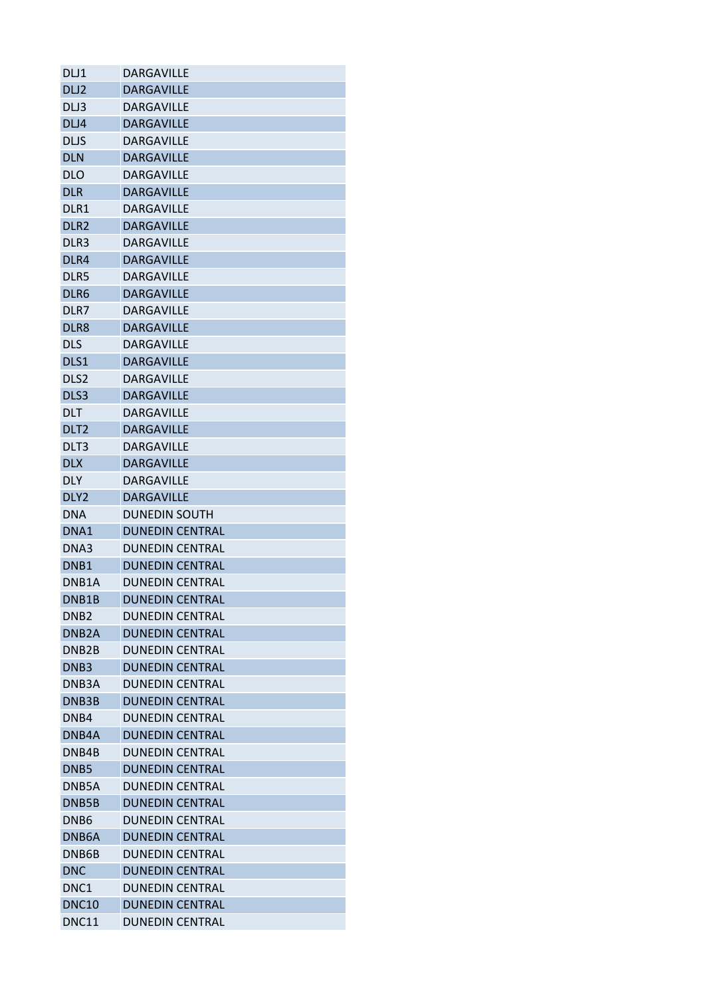| DLJ1               | <b>DARGAVILLE</b>      |
|--------------------|------------------------|
| DLJ <sub>2</sub>   | <b>DARGAVILLE</b>      |
| DLJ3               | <b>DARGAVILLE</b>      |
| DLJ4               | <b>DARGAVILLE</b>      |
| <b>DLJS</b>        | <b>DARGAVILLE</b>      |
| <b>DLN</b>         | <b>DARGAVILLE</b>      |
| <b>DLO</b>         | <b>DARGAVILLE</b>      |
| <b>DLR</b>         | <b>DARGAVILLE</b>      |
| DLR1               | <b>DARGAVILLE</b>      |
| DLR <sub>2</sub>   | <b>DARGAVILLE</b>      |
| DLR <sub>3</sub>   | <b>DARGAVILLE</b>      |
| DLR4               | <b>DARGAVILLE</b>      |
| DLR5               | <b>DARGAVILLE</b>      |
| DLR6               | <b>DARGAVILLE</b>      |
| DLR7               | <b>DARGAVILLE</b>      |
| DLR8               | <b>DARGAVILLE</b>      |
| <b>DLS</b>         | <b>DARGAVILLE</b>      |
| DLS1               | <b>DARGAVILLE</b>      |
| DLS <sub>2</sub>   | <b>DARGAVILLE</b>      |
| DLS3               | <b>DARGAVILLE</b>      |
| <b>DLT</b>         | <b>DARGAVILLE</b>      |
| DLT <sub>2</sub>   | <b>DARGAVILLE</b>      |
| DLT3               | <b>DARGAVILLE</b>      |
| <b>DLX</b>         | <b>DARGAVILLE</b>      |
| <b>DLY</b>         | <b>DARGAVILLE</b>      |
| DLY <sub>2</sub>   | <b>DARGAVILLE</b>      |
| <b>DNA</b>         | <b>DUNEDIN SOUTH</b>   |
| DNA1               | <b>DUNEDIN CENTRAL</b> |
| DNA3               | <b>DUNEDIN CENTRAL</b> |
| DNB <sub>1</sub>   | <b>DUNEDIN CENTRAL</b> |
| DNB <sub>1</sub> A | <b>DUNEDIN CENTRAL</b> |
| DNB1B              | <b>DUNEDIN CENTRAL</b> |
| DNB <sub>2</sub>   | DUNEDIN CENTRAL        |
| DNB <sub>2</sub> A | <b>DUNEDIN CENTRAL</b> |
| DNB <sub>2</sub> B | <b>DUNEDIN CENTRAL</b> |
| DNB <sub>3</sub>   | <b>DUNEDIN CENTRAL</b> |
| DNB <sub>3</sub> A | <b>DUNEDIN CENTRAL</b> |
| DNB3B              | <b>DUNEDIN CENTRAL</b> |
| DNB4               | <b>DUNEDIN CENTRAL</b> |
| DNB4A              | <b>DUNEDIN CENTRAL</b> |
| DNB4B              | <b>DUNEDIN CENTRAL</b> |
| DNB <sub>5</sub>   | <b>DUNEDIN CENTRAL</b> |
| DNB <sub>5</sub> A | <b>DUNEDIN CENTRAL</b> |
| DNB5B              | <b>DUNEDIN CENTRAL</b> |
| DNB <sub>6</sub>   | <b>DUNEDIN CENTRAL</b> |
| DNB <sub>6</sub> A | <b>DUNEDIN CENTRAL</b> |
| DNB6B              | <b>DUNEDIN CENTRAL</b> |
| <b>DNC</b>         | <b>DUNEDIN CENTRAL</b> |
| DNC <sub>1</sub>   | <b>DUNEDIN CENTRAL</b> |
| <b>DNC10</b>       | <b>DUNEDIN CENTRAL</b> |
| DNC11              | <b>DUNEDIN CENTRAL</b> |
|                    |                        |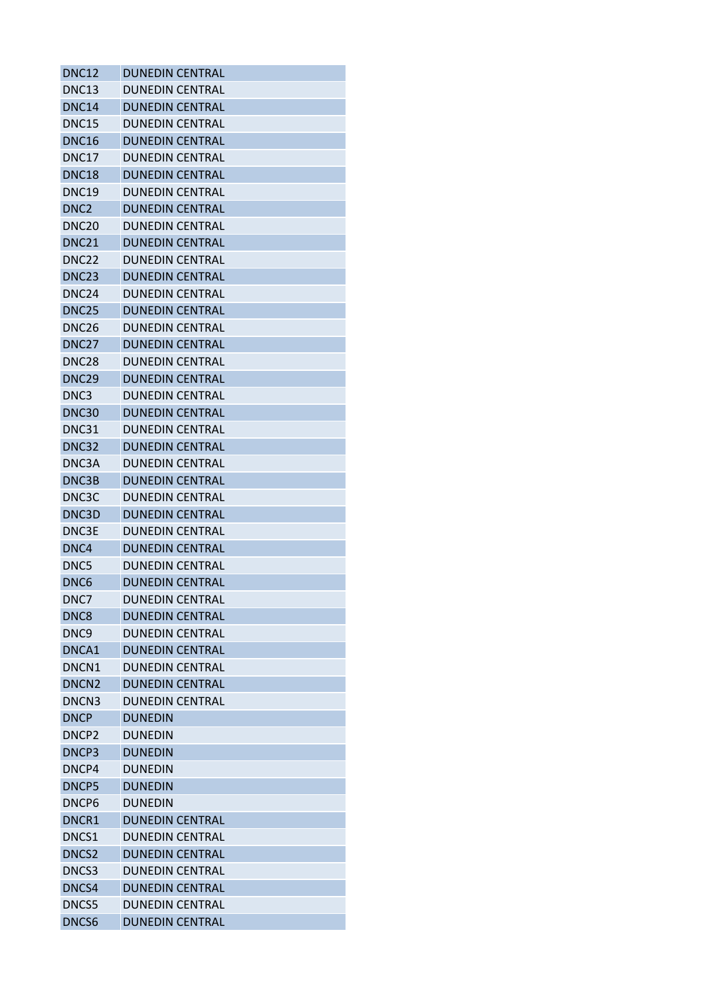| <b>DNC12</b>      | <b>DUNEDIN CENTRAL</b> |
|-------------------|------------------------|
| <b>DNC13</b>      | <b>DUNEDIN CENTRAL</b> |
| <b>DNC14</b>      | <b>DUNEDIN CENTRAL</b> |
| <b>DNC15</b>      | <b>DUNEDIN CENTRAL</b> |
| <b>DNC16</b>      | <b>DUNEDIN CENTRAL</b> |
| DNC17             | <b>DUNEDIN CENTRAL</b> |
| <b>DNC18</b>      | <b>DUNEDIN CENTRAL</b> |
| <b>DNC19</b>      | <b>DUNEDIN CENTRAL</b> |
| DNC <sub>2</sub>  | <b>DUNEDIN CENTRAL</b> |
| <b>DNC20</b>      | <b>DUNEDIN CENTRAL</b> |
| <b>DNC21</b>      | <b>DUNEDIN CENTRAL</b> |
| DNC <sub>22</sub> | DUNEDIN CENTRAL        |
| DNC <sub>23</sub> | <b>DUNEDIN CENTRAL</b> |
| DNC <sub>24</sub> | <b>DUNEDIN CENTRAL</b> |
| <b>DNC25</b>      | <b>DUNEDIN CENTRAL</b> |
| DNC <sub>26</sub> | <b>DUNEDIN CENTRAL</b> |
| DNC <sub>27</sub> | <b>DUNEDIN CENTRAL</b> |
| DNC <sub>28</sub> | <b>DUNEDIN CENTRAL</b> |
| DNC <sub>29</sub> | <b>DUNEDIN CENTRAL</b> |
| DNC3              | <b>DUNEDIN CENTRAL</b> |
| <b>DNC30</b>      | <b>DUNEDIN CENTRAL</b> |
| DNC31             | <b>DUNEDIN CENTRAL</b> |
| DNC32             | <b>DUNEDIN CENTRAL</b> |
| DNC3A             | <b>DUNEDIN CENTRAL</b> |
| DNC3B             | <b>DUNEDIN CENTRAL</b> |
| DNC3C             | <b>DUNEDIN CENTRAL</b> |
| DNC3D             | <b>DUNEDIN CENTRAL</b> |
| DNC3E             | DUNEDIN CENTRAL        |
| DNC4              | <b>DUNEDIN CENTRAL</b> |
| DNC5              | <b>DUNEDIN CENTRAL</b> |
| DNC <sub>6</sub>  | <b>DUNEDIN CENTRAL</b> |
| DNC7              | <b>DUNEDIN CENTRAL</b> |
| DNC8              | <b>DUNEDIN CENTRAL</b> |
| DNC <sub>9</sub>  | <b>DUNEDIN CENTRAL</b> |
| DNCA1             | <b>DUNEDIN CENTRAL</b> |
| DNCN1             | <b>DUNEDIN CENTRAL</b> |
| DNCN <sub>2</sub> | <b>DUNEDIN CENTRAL</b> |
| DNCN3             | <b>DUNEDIN CENTRAL</b> |
| <b>DNCP</b>       | <b>DUNEDIN</b>         |
| DNCP <sub>2</sub> | <b>DUNFDIN</b>         |
| DNCP3             | <b>DUNEDIN</b>         |
| DNCP4             | <b>DUNEDIN</b>         |
| DNCP5             | <b>DUNEDIN</b>         |
| DNCP6             | <b>DUNEDIN</b>         |
| DNCR1             | <b>DUNEDIN CENTRAL</b> |
| DNCS1             | <b>DUNEDIN CENTRAL</b> |
| DNCS <sub>2</sub> | <b>DUNEDIN CENTRAL</b> |
| DNCS3             | <b>DUNEDIN CENTRAL</b> |
| DNCS4             | <b>DUNEDIN CENTRAL</b> |
| DNCS5             | <b>DUNEDIN CENTRAL</b> |
| DNCS6             | <b>DUNEDIN CENTRAL</b> |
|                   |                        |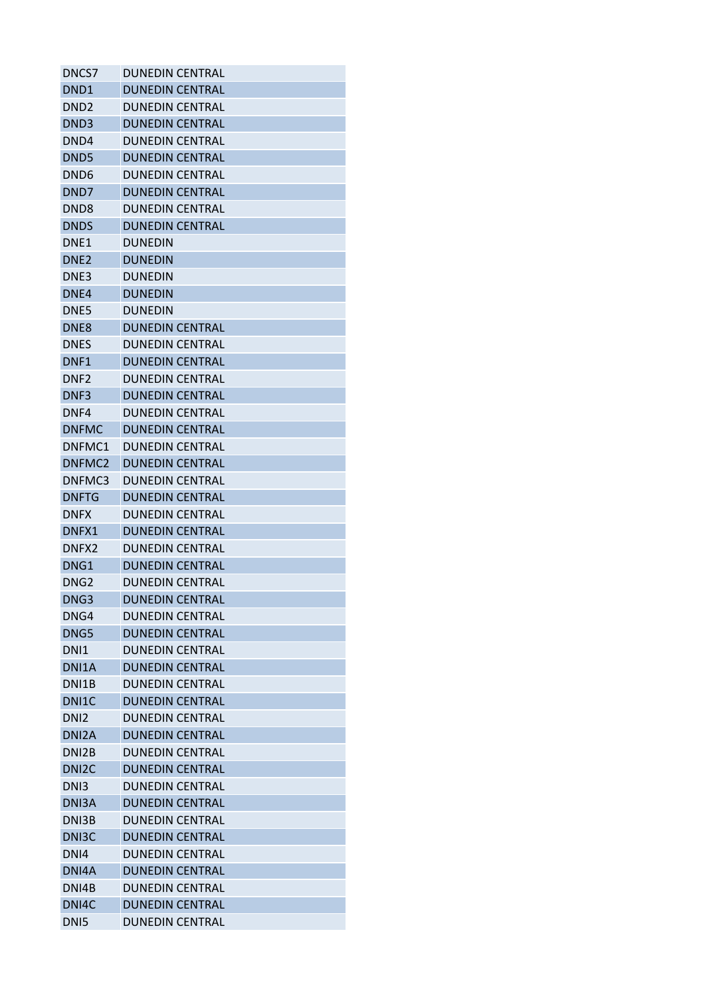| DNCS7              | <b>DUNEDIN CENTRAL</b> |
|--------------------|------------------------|
| DND <sub>1</sub>   | <b>DUNEDIN CENTRAL</b> |
| DND2               | <b>DUNEDIN CENTRAL</b> |
| DND <sub>3</sub>   | <b>DUNEDIN CENTRAL</b> |
| DND4               | DUNEDIN CENTRAL        |
| DND <sub>5</sub>   | <b>DUNEDIN CENTRAL</b> |
| DND <sub>6</sub>   | DUNEDIN CENTRAL        |
| DND7               | <b>DUNEDIN CENTRAL</b> |
| DND <sub>8</sub>   | <b>DUNEDIN CENTRAL</b> |
| <b>DNDS</b>        | <b>DUNEDIN CENTRAL</b> |
| DNE <sub>1</sub>   | <b>DUNEDIN</b>         |
| DNE <sub>2</sub>   | <b>DUNEDIN</b>         |
| DNE3               | <b>DUNEDIN</b>         |
| DNE4               | <b>DUNEDIN</b>         |
| DNE5               | <b>DUNEDIN</b>         |
| DNE8               | <b>DUNEDIN CENTRAL</b> |
| DNES               | <b>DUNEDIN CENTRAL</b> |
| DNF1               | <b>DUNEDIN CENTRAL</b> |
| DNF <sub>2</sub>   | <b>DUNEDIN CENTRAL</b> |
| DNF3               | <b>DUNEDIN CENTRAL</b> |
| DNF4               | <b>DUNEDIN CENTRAL</b> |
| <b>DNFMC</b>       | <b>DUNEDIN CENTRAL</b> |
| DNFMC1             | <b>DUNEDIN CENTRAL</b> |
| DNFMC2             | <b>DUNEDIN CENTRAL</b> |
| DNFMC3             | <b>DUNEDIN CENTRAL</b> |
| <b>DNFTG</b>       | <b>DUNEDIN CENTRAL</b> |
| <b>DNFX</b>        | <b>DUNEDIN CENTRAL</b> |
| DNFX1              |                        |
|                    | DUNEDIN CENTRAL        |
| DNFX <sub>2</sub>  | <b>DUNEDIN CENTRAL</b> |
| DNG1               | <b>DUNEDIN CENTRAL</b> |
| DNG <sub>2</sub>   | <b>DUNEDIN CENTRAL</b> |
| DNG3               | <b>DUNEDIN CENTRAL</b> |
| DNG4               | <b>DUNEDIN CENTRAL</b> |
| DNG5               | <b>DUNEDIN CENTRAL</b> |
| DN <sub>1</sub>    | <b>DUNEDIN CENTRAL</b> |
| DNI1A              | <b>DUNEDIN CENTRAL</b> |
| DNI1B              | <b>DUNEDIN CENTRAL</b> |
| DNI1C              | <b>DUNEDIN CENTRAL</b> |
| DN <sub>12</sub>   | <b>DUNEDIN CENTRAL</b> |
| DNI <sub>2</sub> A | <b>DUNEDIN CENTRAL</b> |
| DNI2B              | <b>DUNEDIN CENTRAL</b> |
| DNI <sub>2</sub> C | <b>DUNEDIN CENTRAL</b> |
| DN <sub>13</sub>   | <b>DUNEDIN CENTRAL</b> |
| DNI3A              | <b>DUNEDIN CENTRAL</b> |
| DNI3B              | <b>DUNEDIN CENTRAL</b> |
| DN <sub>13</sub> C | <b>DUNEDIN CENTRAL</b> |
| DNI4               | <b>DUNEDIN CENTRAL</b> |
| DNI4A              | <b>DUNEDIN CENTRAL</b> |
| DNI4B              | <b>DUNEDIN CENTRAL</b> |
| DNI4C              | <b>DUNEDIN CENTRAL</b> |
| DN <sub>I5</sub>   | <b>DUNEDIN CENTRAL</b> |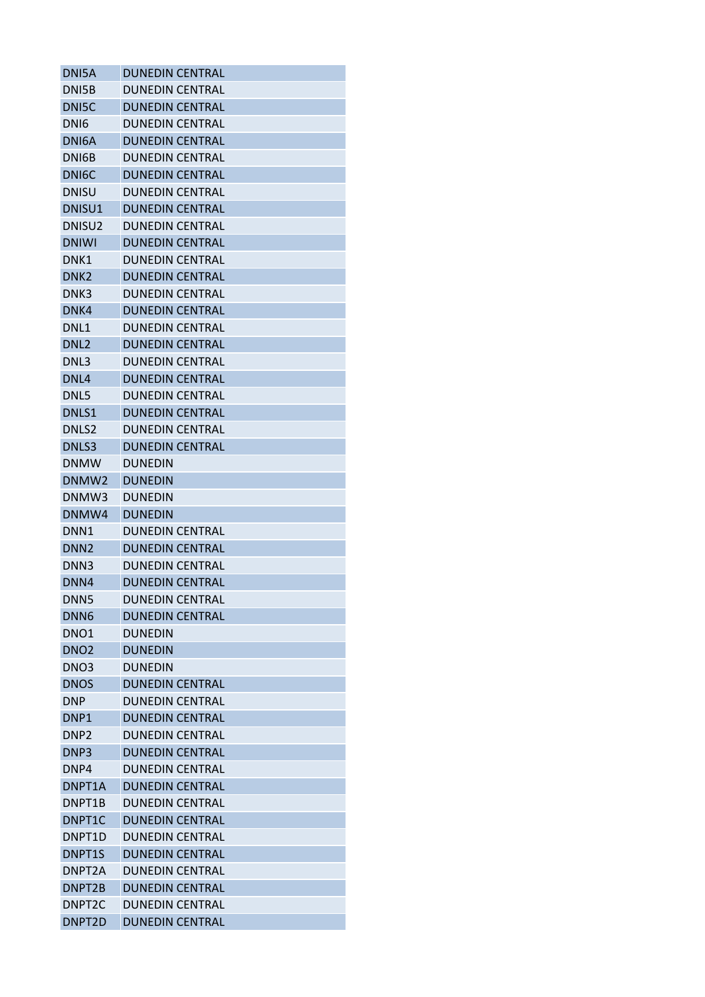| DNI5A               | <b>DUNEDIN CENTRAL</b> |
|---------------------|------------------------|
| DNI5B               | <b>DUNEDIN CENTRAL</b> |
| DNI5C               | <b>DUNEDIN CENTRAL</b> |
| DN <sub>I6</sub>    | <b>DUNEDIN CENTRAL</b> |
| DNI6A               | <b>DUNEDIN CENTRAL</b> |
| DNI6B               | <b>DUNEDIN CENTRAL</b> |
| DNI <sub>6</sub> C  | <b>DUNEDIN CENTRAL</b> |
| <b>DNISU</b>        | <b>DUNEDIN CENTRAL</b> |
| DNISU1              | <b>DUNEDIN CENTRAL</b> |
| DNISU <sub>2</sub>  | <b>DUNEDIN CENTRAL</b> |
| <b>DNIWI</b>        | <b>DUNEDIN CENTRAL</b> |
| DNK1                | DUNEDIN CENTRAL        |
| DNK <sub>2</sub>    | <b>DUNEDIN CENTRAL</b> |
| DNK3                | <b>DUNEDIN CENTRAL</b> |
| DNK4                | <b>DUNEDIN CENTRAL</b> |
| DNL1                | <b>DUNEDIN CENTRAL</b> |
| DNL <sub>2</sub>    | <b>DUNEDIN CENTRAL</b> |
| DNL3                | <b>DUNEDIN CENTRAL</b> |
| DNL4                | <b>DUNEDIN CENTRAL</b> |
| DNL5                | <b>DUNEDIN CENTRAL</b> |
| DNLS1               | <b>DUNEDIN CENTRAL</b> |
| DNLS2               | <b>DUNEDIN CENTRAL</b> |
| DNLS3               | <b>DUNEDIN CENTRAL</b> |
| <b>DNMW</b>         | <b>DUNEDIN</b>         |
| DNMW <sub>2</sub>   | <b>DUNEDIN</b>         |
| DNMW3               | <b>DUNEDIN</b>         |
| DNMW4               | <b>DUNEDIN</b>         |
| DNN <sub>1</sub>    | <b>DUNEDIN CENTRAL</b> |
| DNN <sub>2</sub>    | <b>DUNEDIN CENTRAL</b> |
| DNN3                | <b>DUNEDIN CENTRAL</b> |
| DNN4                | <b>DUNEDIN CENTRAL</b> |
| DNN <sub>5</sub>    | <b>DUNEDIN CENTRAL</b> |
| DNN <sub>6</sub>    | <b>DUNEDIN CENTRAL</b> |
| DNO <sub>1</sub>    | <b>DUNEDIN</b>         |
| DNO <sub>2</sub>    | <b>DUNEDIN</b>         |
| DNO <sub>3</sub>    | <b>DUNEDIN</b>         |
| <b>DNOS</b>         | <b>DUNEDIN CENTRAL</b> |
| <b>DNP</b>          | <b>DUNEDIN CENTRAL</b> |
| DNP1                | <b>DUNEDIN CENTRAL</b> |
| DNP <sub>2</sub>    | <b>DUNEDIN CENTRAL</b> |
| DNP3                | <b>DUNEDIN CENTRAL</b> |
| DNP4                | <b>DUNEDIN CENTRAL</b> |
| DNPT1A              | <b>DUNEDIN CENTRAL</b> |
| DNPT1B              | <b>DUNEDIN CENTRAL</b> |
| DNPT1C              | <b>DUNEDIN CENTRAL</b> |
| DNPT1D              | <b>DUNEDIN CENTRAL</b> |
| DNPT1S              | <b>DUNEDIN CENTRAL</b> |
| DNPT <sub>2</sub> A | <b>DUNEDIN CENTRAL</b> |
| DNPT2B              | <b>DUNEDIN CENTRAL</b> |
| DNPT <sub>2</sub> C | <b>DUNEDIN CENTRAL</b> |
| DNPT <sub>2D</sub>  | <b>DUNEDIN CENTRAL</b> |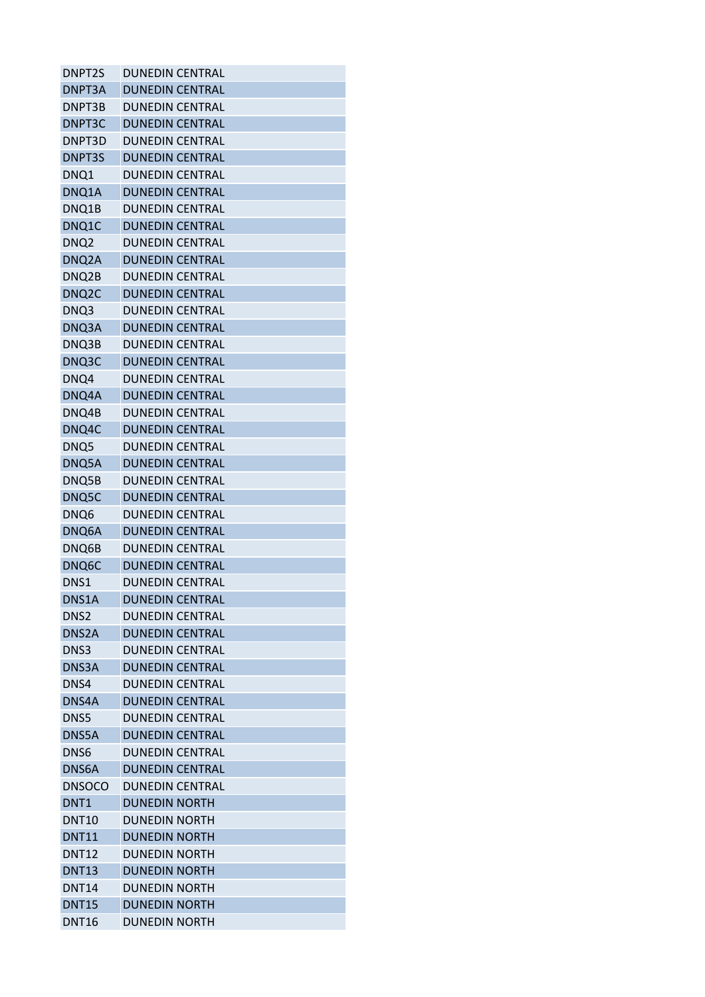| <b>DUNEDIN CENTRAL</b> |
|------------------------|
| <b>DUNEDIN CENTRAL</b> |
| <b>DUNEDIN CENTRAL</b> |
| <b>DUNEDIN CENTRAL</b> |
| <b>DUNEDIN CENTRAL</b> |
| <b>DUNEDIN CENTRAL</b> |
| <b>DUNEDIN CENTRAL</b> |
| <b>DUNEDIN CENTRAL</b> |
| <b>DUNEDIN CENTRAL</b> |
| <b>DUNEDIN CENTRAL</b> |
| <b>DUNEDIN CENTRAL</b> |
| <b>DUNEDIN CENTRAL</b> |
| <b>DUNEDIN CENTRAL</b> |
| <b>DUNEDIN CENTRAL</b> |
| <b>DUNEDIN CENTRAL</b> |
| <b>DUNEDIN CENTRAL</b> |
| <b>DUNEDIN CENTRAL</b> |
| <b>DUNEDIN CENTRAL</b> |
| <b>DUNEDIN CENTRAL</b> |
| <b>DUNEDIN CENTRAL</b> |
| <b>DUNEDIN CENTRAL</b> |
| <b>DUNEDIN CENTRAL</b> |
| <b>DUNEDIN CENTRAL</b> |
| <b>DUNEDIN CENTRAL</b> |
| <b>DUNEDIN CENTRAL</b> |
| <b>DUNEDIN CENTRAL</b> |
| <b>DUNEDIN CENTRAL</b> |
| <b>DUNEDIN CENTRAL</b> |
| <b>DUNEDIN CENTRAL</b> |
| <b>DUNEDIN CENTRAL</b> |
| <b>DUNEDIN CENTRAL</b> |
| <b>DUNEDIN CENTRAL</b> |
| <b>DUNEDIN CENTRAL</b> |
| <b>DUNEDIN CENTRAL</b> |
| <b>DUNEDIN CENTRAL</b> |
| <b>DUNEDIN CENTRAL</b> |
| <b>DUNEDIN CENTRAL</b> |
| <b>DUNEDIN CENTRAL</b> |
| <b>DUNEDIN CENTRAL</b> |
| <b>DUNEDIN CENTRAL</b> |
| <b>DUNEDIN CENTRAL</b> |
| <b>DUNEDIN CENTRAL</b> |
| <b>DUNEDIN CENTRAL</b> |
| <b>DUNEDIN NORTH</b>   |
| <b>DUNEDIN NORTH</b>   |
| <b>DUNEDIN NORTH</b>   |
| <b>DUNEDIN NORTH</b>   |
| <b>DUNEDIN NORTH</b>   |
| <b>DUNEDIN NORTH</b>   |
| <b>DUNEDIN NORTH</b>   |
| <b>DUNEDIN NORTH</b>   |
|                        |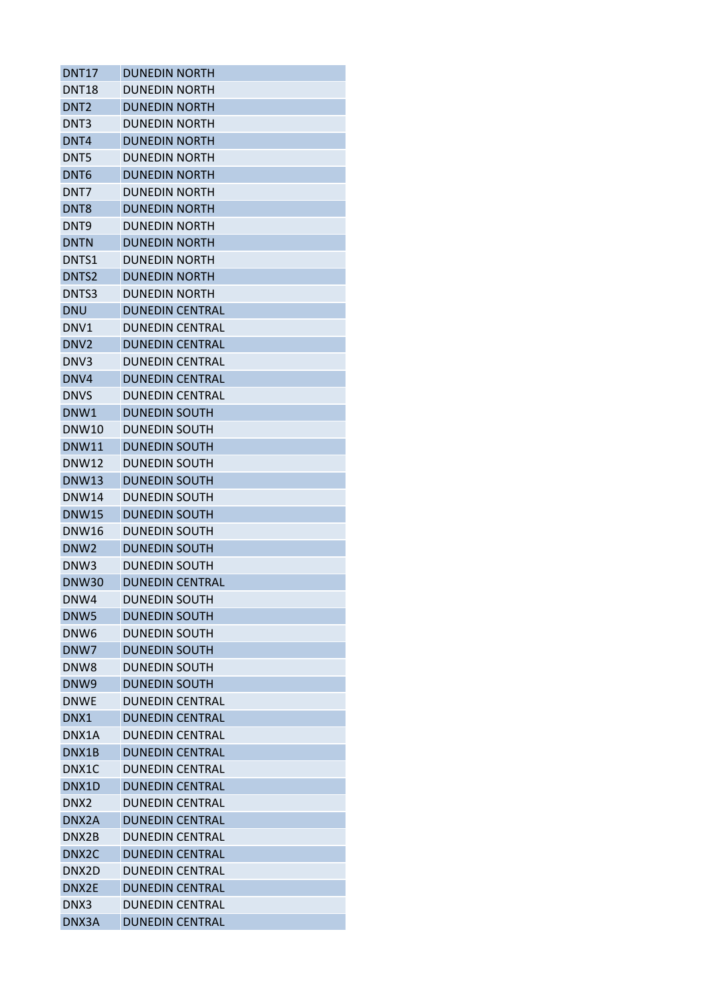| <b>DNT17</b>       | <b>DUNEDIN NORTH</b>   |
|--------------------|------------------------|
| <b>DNT18</b>       | <b>DUNEDIN NORTH</b>   |
| DNT <sub>2</sub>   | <b>DUNEDIN NORTH</b>   |
| DNT3               | <b>DUNEDIN NORTH</b>   |
| DNT4               | <b>DUNEDIN NORTH</b>   |
| DNT5               | <b>DUNEDIN NORTH</b>   |
| DNT <sub>6</sub>   | <b>DUNEDIN NORTH</b>   |
| DNT7               | <b>DUNFDIN NORTH</b>   |
| DNT <sub>8</sub>   | <b>DUNEDIN NORTH</b>   |
| DNT <sub>9</sub>   | <b>DUNEDIN NORTH</b>   |
| <b>DNTN</b>        | <b>DUNEDIN NORTH</b>   |
| DNTS1              | <b>DUNEDIN NORTH</b>   |
| DNTS <sub>2</sub>  | <b>DUNEDIN NORTH</b>   |
| DNTS3              | <b>DUNEDIN NORTH</b>   |
| <b>DNU</b>         | <b>DUNEDIN CENTRAL</b> |
| DNV1               | <b>DUNEDIN CENTRAL</b> |
| DNV <sub>2</sub>   | <b>DUNEDIN CENTRAL</b> |
| DNV3               | <b>DUNEDIN CENTRAL</b> |
| DNV4               | <b>DUNEDIN CENTRAL</b> |
| <b>DNVS</b>        | <b>DUNEDIN CENTRAL</b> |
| DNW1               | <b>DUNEDIN SOUTH</b>   |
| <b>DNW10</b>       | <b>DUNEDIN SOUTH</b>   |
| DNW11              | <b>DUNEDIN SOUTH</b>   |
| <b>DNW12</b>       | <b>DUNEDIN SOUTH</b>   |
| <b>DNW13</b>       | <b>DUNEDIN SOUTH</b>   |
| <b>DNW14</b>       | <b>DUNEDIN SOUTH</b>   |
| <b>DNW15</b>       | <b>DUNEDIN SOUTH</b>   |
| DNW16              | <b>DUNEDIN SOUTH</b>   |
| DNW <sub>2</sub>   | <b>DUNEDIN SOUTH</b>   |
| DNW <sub>3</sub>   | <b>DUNEDIN SOUTH</b>   |
| <b>DNW30</b>       | <b>DUNEDIN CENTRAL</b> |
| DNW4               | <b>DUNEDIN SOUTH</b>   |
| DNW <sub>5</sub>   | <b>DUNEDIN SOUTH</b>   |
| DNW <sub>6</sub>   | <b>DUNEDIN SOUTH</b>   |
| DNW7               | <b>DUNEDIN SOUTH</b>   |
| DNW <sub>8</sub>   | <b>DUNEDIN SOUTH</b>   |
| DNW <sub>9</sub>   | <b>DUNEDIN SOUTH</b>   |
| <b>DNWE</b>        | <b>DUNEDIN CENTRAL</b> |
| DNX1               | <b>DUNEDIN CENTRAL</b> |
| DNX1A              | <b>DUNFDIN CENTRAL</b> |
| DNX1B              | <b>DUNEDIN CENTRAL</b> |
| DNX1C              | <b>DUNEDIN CENTRAL</b> |
| DNX1D              | <b>DUNEDIN CENTRAL</b> |
| DNX <sub>2</sub>   | <b>DUNEDIN CENTRAL</b> |
| DNX2A              | <b>DUNEDIN CENTRAL</b> |
| DNX2B              | <b>DUNEDIN CENTRAL</b> |
| DNX <sub>2</sub> C | <b>DUNEDIN CENTRAL</b> |
| DNX2D              | <b>DUNEDIN CENTRAL</b> |
| DNX2E              | <b>DUNEDIN CENTRAL</b> |
| DNX3               | <b>DUNEDIN CENTRAL</b> |
| DNX3A              | <b>DUNEDIN CENTRAL</b> |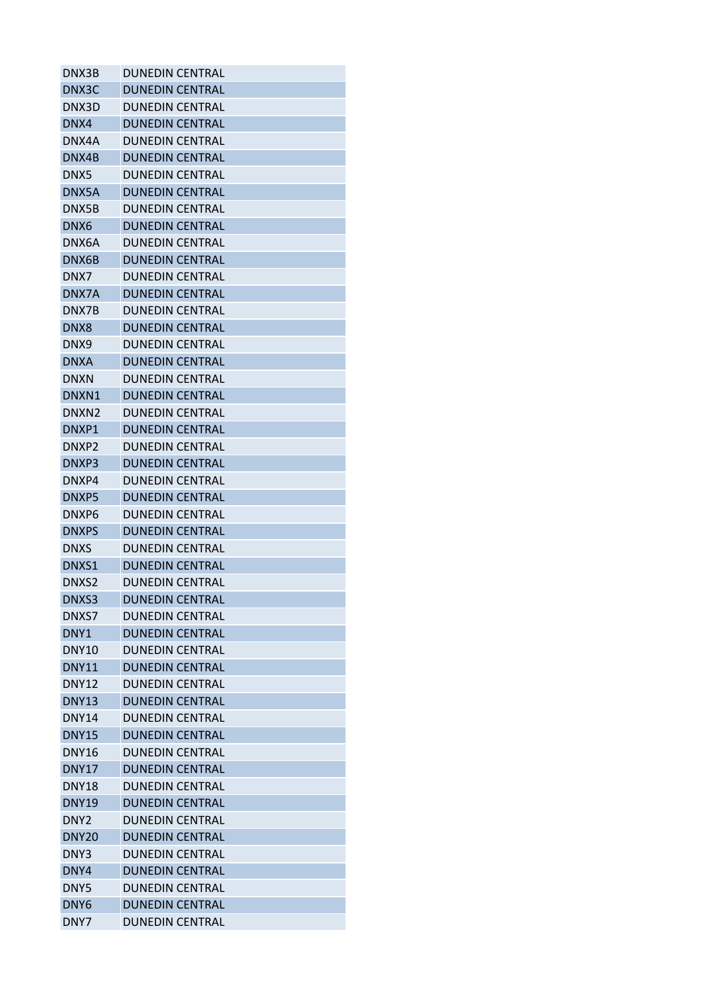| DNX3B             | <b>DUNEDIN CENTRAL</b> |
|-------------------|------------------------|
| DNX3C             | <b>DUNEDIN CENTRAL</b> |
| DNX3D             | <b>DUNEDIN CENTRAL</b> |
| DNX4              | <b>DUNEDIN CENTRAL</b> |
| DNX4A             | DUNEDIN CENTRAL        |
| DNX4B             | <b>DUNEDIN CENTRAL</b> |
| DNX5              | DUNEDIN CENTRAL        |
| DNX5A             | <b>DUNEDIN CENTRAL</b> |
| DNX5B             | <b>DUNEDIN CENTRAL</b> |
| DNX6              | <b>DUNEDIN CENTRAL</b> |
| DNX6A             | <b>DUNEDIN CENTRAL</b> |
| DNX6B             | <b>DUNEDIN CENTRAL</b> |
| DNX7              | <b>DUNEDIN CENTRAL</b> |
| DNX7A             | <b>DUNEDIN CENTRAL</b> |
| DNX7B             | <b>DUNEDIN CENTRAL</b> |
| DNX8              | <b>DUNEDIN CENTRAL</b> |
| DNX9              | <b>DUNEDIN CENTRAL</b> |
| <b>DNXA</b>       | <b>DUNEDIN CENTRAL</b> |
| <b>DNXN</b>       | <b>DUNEDIN CENTRAL</b> |
| DNXN1             | <b>DUNEDIN CENTRAL</b> |
| DNXN <sub>2</sub> | DUNEDIN CENTRAL        |
| DNXP1             | <b>DUNEDIN CENTRAL</b> |
| DNXP2             | <b>DUNEDIN CENTRAL</b> |
| DNXP3             | <b>DUNEDIN CENTRAL</b> |
| DNXP4             | <b>DUNEDIN CENTRAL</b> |
| DNXP5             | <b>DUNEDIN CENTRAL</b> |
| DNXP6             | <b>DUNEDIN CENTRAL</b> |
| <b>DNXPS</b>      | <b>DUNEDIN CENTRAL</b> |
| <b>DNXS</b>       | <b>DUNEDIN CENTRAL</b> |
| DNXS1             | <b>DUNEDIN CENTRAL</b> |
| DNXS2             | <b>DUNEDIN CENTRAL</b> |
| DNXS3             | <b>DUNEDIN CENTRAL</b> |
| DNXS7             | <b>DUNEDIN CENTRAL</b> |
| DNY1              | <b>DUNEDIN CENTRAL</b> |
| DNY <sub>10</sub> | <b>DUNEDIN CENTRAL</b> |
| <b>DNY11</b>      | <b>DUNEDIN CENTRAL</b> |
| <b>DNY12</b>      | <b>DUNEDIN CENTRAL</b> |
| <b>DNY13</b>      | <b>DUNEDIN CENTRAL</b> |
| <b>DNY14</b>      | <b>DUNEDIN CENTRAL</b> |
| <b>DNY15</b>      | <b>DUNEDIN CENTRAL</b> |
| <b>DNY16</b>      | <b>DUNEDIN CENTRAL</b> |
| <b>DNY17</b>      | <b>DUNEDIN CENTRAL</b> |
| <b>DNY18</b>      | <b>DUNEDIN CENTRAL</b> |
| <b>DNY19</b>      | <b>DUNEDIN CENTRAL</b> |
| DNY <sub>2</sub>  | <b>DUNEDIN CENTRAL</b> |
| DNY <sub>20</sub> | <b>DUNEDIN CENTRAL</b> |
| DNY3              | <b>DUNEDIN CENTRAL</b> |
| DNY4              | <b>DUNEDIN CENTRAL</b> |
| DNY5              | <b>DUNEDIN CENTRAL</b> |
| DNY <sub>6</sub>  | <b>DUNEDIN CENTRAL</b> |
| DNY7              | <b>DUNEDIN CENTRAL</b> |
|                   |                        |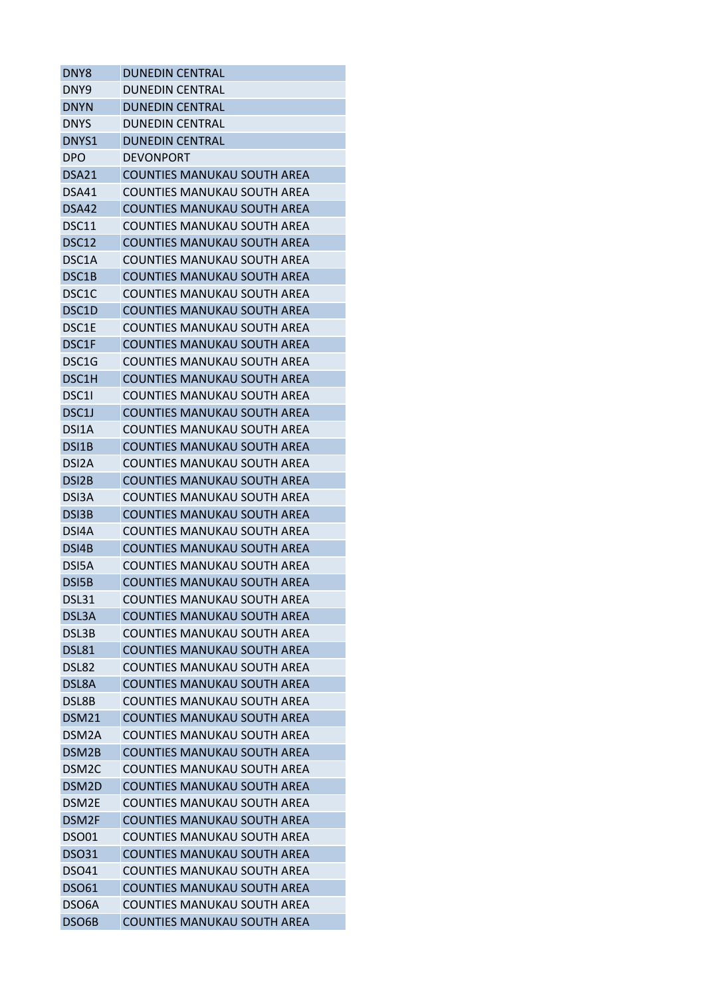| DNY <sub>8</sub>   | <b>DUNEDIN CENTRAL</b>             |
|--------------------|------------------------------------|
| DNY <sub>9</sub>   | <b>DUNEDIN CENTRAL</b>             |
| <b>DNYN</b>        | <b>DUNEDIN CENTRAL</b>             |
| <b>DNYS</b>        | <b>DUNEDIN CENTRAL</b>             |
| DNYS1              | <b>DUNEDIN CENTRAL</b>             |
| <b>DPO</b>         | <b>DEVONPORT</b>                   |
| DSA <sub>21</sub>  | <b>COUNTIES MANUKAU SOUTH AREA</b> |
| DSA41              | COUNTIES MANUKAU SOUTH AREA        |
| DSA42              | <b>COUNTIES MANUKAU SOUTH AREA</b> |
| DSC11              | COUNTIES MANUKAU SOUTH AREA        |
| DSC12              | <b>COUNTIES MANUKAU SOUTH AREA</b> |
| DSC1A              | COUNTIES MANUKAU SOUTH AREA        |
| DSC1B              | <b>COUNTIES MANUKAU SOUTH AREA</b> |
| DSC <sub>1</sub> C | COUNTIES MANUKAU SOUTH AREA        |
| DSC1D              | <b>COUNTIES MANUKAU SOUTH AREA</b> |
| DSC1E              | COUNTIES MANUKAU SOUTH AREA        |
| DSC1F              | <b>COUNTIES MANUKAU SOUTH AREA</b> |
| DSC <sub>1</sub> G | COUNTIES MANUKAU SOUTH AREA        |
| DSC1H              | <b>COUNTIES MANUKAU SOUTH AREA</b> |
| DSC11              | COUNTIES MANUKAU SOUTH AREA        |
| DSC <sub>1</sub> J | COUNTIES MANUKAU SOUTH AREA        |
| DSI <sub>1</sub> A | COUNTIES MANUKAU SOUTH AREA        |
| DSI <sub>1</sub> B | <b>COUNTIES MANUKAU SOUTH AREA</b> |
| DSI <sub>2</sub> A | COUNTIES MANUKAU SOUTH AREA        |
| DSI <sub>2</sub> B | <b>COUNTIES MANUKAU SOUTH AREA</b> |
| DSI3A              | COUNTIES MANUKAU SOUTH AREA        |
| DSI3B              | <b>COUNTIES MANUKAU SOUTH AREA</b> |
| DSI4A              | COUNTIES MANUKAU SOUTH AREA        |
| DSI4B              | <b>COUNTIES MANUKAU SOUTH AREA</b> |
| DSI5A              | COUNTIES MANUKAU SOUTH AREA        |
| DSI5B              | <b>COUNTIES MANUKAU SOUTH AREA</b> |
| <b>DSL31</b>       | <b>COUNTIES MANUKAU SOUTH AREA</b> |
| DSL3A              | <b>COUNTIES MANUKAU SOUTH AREA</b> |
| DSL3B              | <b>COUNTIES MANUKAU SOUTH AREA</b> |
| DSL81              | <b>COUNTIES MANUKAU SOUTH AREA</b> |
| DSL82              | <b>COUNTIES MANUKAU SOUTH AREA</b> |
| DSL8A              | <b>COUNTIES MANUKAU SOUTH AREA</b> |
| DSL8B              | COUNTIES MANUKAU SOUTH AREA        |
| <b>DSM21</b>       | <b>COUNTIES MANUKAU SOUTH AREA</b> |
| DSM <sub>2</sub> A | <b>COUNTIES MANUKAU SOUTH AREA</b> |
| DSM <sub>2B</sub>  | <b>COUNTIES MANUKAU SOUTH AREA</b> |
| DSM <sub>2</sub> C | <b>COUNTIES MANUKAU SOUTH AREA</b> |
| DSM2D              | <b>COUNTIES MANUKAU SOUTH AREA</b> |
| DSM2E              | <b>COUNTIES MANUKAU SOUTH AREA</b> |
| DSM2F              | <b>COUNTIES MANUKAU SOUTH AREA</b> |
| <b>DSO01</b>       | COUNTIES MANUKAU SOUTH AREA        |
| <b>DSO31</b>       | <b>COUNTIES MANUKAU SOUTH AREA</b> |
| <b>DSO41</b>       | <b>COUNTIES MANUKAU SOUTH AREA</b> |
|                    | <b>COUNTIES MANUKAU SOUTH AREA</b> |
| <b>DSO61</b>       |                                    |
| DSO <sub>6</sub> A | <b>COUNTIES MANUKAU SOUTH AREA</b> |
| DSO6B              | <b>COUNTIES MANUKAU SOUTH AREA</b> |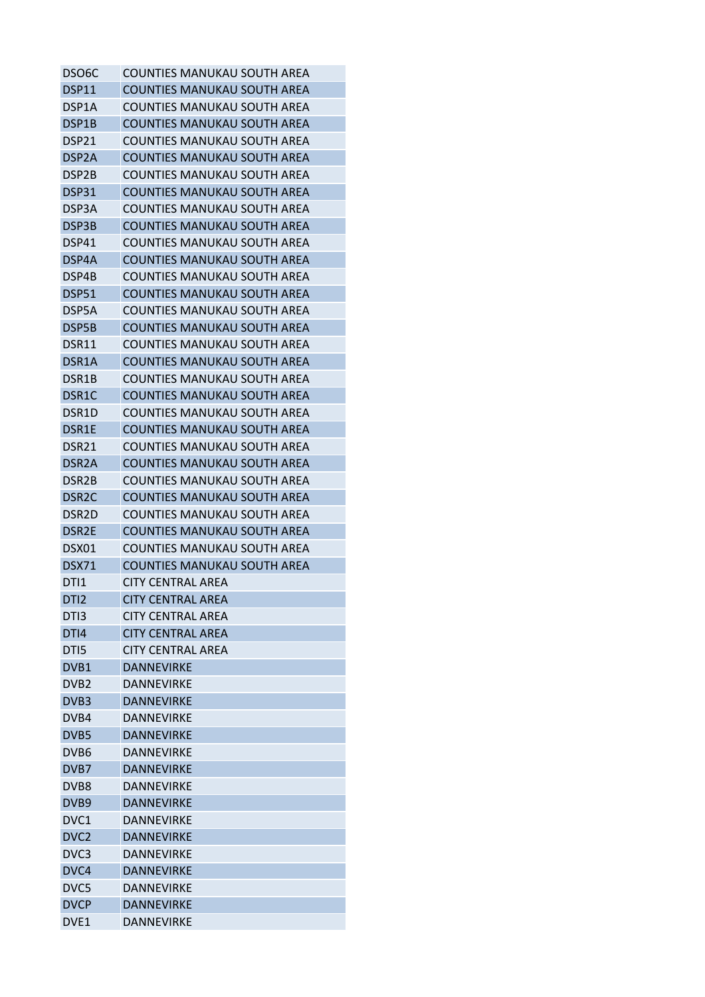| DSO <sub>6</sub> C | <b>COUNTIES MANUKAU SOUTH AREA</b> |
|--------------------|------------------------------------|
| DSP11              | <b>COUNTIES MANUKAU SOUTH AREA</b> |
| DSP1A              | COUNTIES MANUKAU SOUTH AREA        |
| DSP1B              | <b>COUNTIES MANUKAU SOUTH AREA</b> |
| DSP21              | <b>COUNTIES MANUKAU SOUTH AREA</b> |
| DSP2A              | <b>COUNTIES MANUKAU SOUTH AREA</b> |
| DSP2B              | COUNTIES MANUKAU SOUTH AREA        |
| DSP31              | <b>COUNTIES MANUKAU SOUTH AREA</b> |
| DSP3A              | <b>COUNTIES MANUKAU SOUTH AREA</b> |
| DSP3B              | COUNTIES MANUKAU SOUTH AREA        |
| DSP41              | <b>COUNTIES MANUKAU SOUTH AREA</b> |
| DSP4A              | <b>COUNTIES MANUKAU SOUTH AREA</b> |
| DSP4B              | <b>COUNTIES MANUKAU SOUTH AREA</b> |
| <b>DSP51</b>       | <b>COUNTIES MANUKAU SOUTH AREA</b> |
| DSP5A              | COUNTIES MANUKAU SOUTH AREA        |
| DSP5B              | <b>COUNTIES MANUKAU SOUTH AREA</b> |
| DSR11              | COUNTIES MANUKAU SOUTH AREA        |
| DSR <sub>1</sub> A | COUNTIES MANUKAU SOUTH AREA        |
| DSR1B              | <b>COUNTIES MANUKAU SOUTH AREA</b> |
| DSR1C              | <b>COUNTIES MANUKAU SOUTH AREA</b> |
| DSR1D              | <b>COUNTIES MANUKAU SOUTH AREA</b> |
| DSR1E              | COUNTIES MANUKAU SOUTH AREA        |
| DSR21              | <b>COUNTIES MANUKAU SOUTH AREA</b> |
| DSR <sub>2</sub> A | <b>COUNTIES MANUKAU SOUTH AREA</b> |
| DSR <sub>2</sub> B | COUNTIES MANUKAU SOUTH AREA        |
| DSR <sub>2</sub> C | <b>COUNTIES MANUKAU SOUTH AREA</b> |
| DSR <sub>2</sub> D | <b>COUNTIES MANUKAU SOUTH AREA</b> |
| DSR <sub>2</sub> E | <b>COUNTIES MANUKAU SOUTH AREA</b> |
| DSX01              | COUNTIES MANUKAU SOUTH AREA        |
| <b>DSX71</b>       | COUNTIES MANUKAU SOUTH AREA        |
| DTI1               | <b>CITY CENTRAL AREA</b>           |
| DTI <sub>2</sub>   | <b>CITY CENTRAL AREA</b>           |
| DTI3               | CITY CENTRAL AREA                  |
| DTI4               | <b>CITY CENTRAL AREA</b>           |
| DTI5               | <b>CITY CENTRAL AREA</b>           |
| DVB1               | <b>DANNEVIRKE</b>                  |
| DVB <sub>2</sub>   | DANNEVIRKE                         |
| DVB3               | <b>DANNEVIRKE</b>                  |
| DVB4               | <b>DANNEVIRKE</b>                  |
| DVB5               | DANNEVIRKE                         |
| DVB <sub>6</sub>   | <b>DANNEVIRKE</b>                  |
| DVB7               | <b>DANNEVIRKE</b>                  |
| DVB8               | <b>DANNEVIRKE</b>                  |
| DVB9               | <b>DANNEVIRKE</b>                  |
| DVC1               | <b>DANNEVIRKE</b>                  |
| DVC <sub>2</sub>   | <b>DANNEVIRKE</b>                  |
| DVC <sub>3</sub>   | DANNEVIRKE                         |
| DVC4               | <b>DANNEVIRKE</b>                  |
| DVC5               | DANNEVIRKE                         |
| <b>DVCP</b>        | <b>DANNEVIRKE</b>                  |
| DVE1               | <b>DANNEVIRKE</b>                  |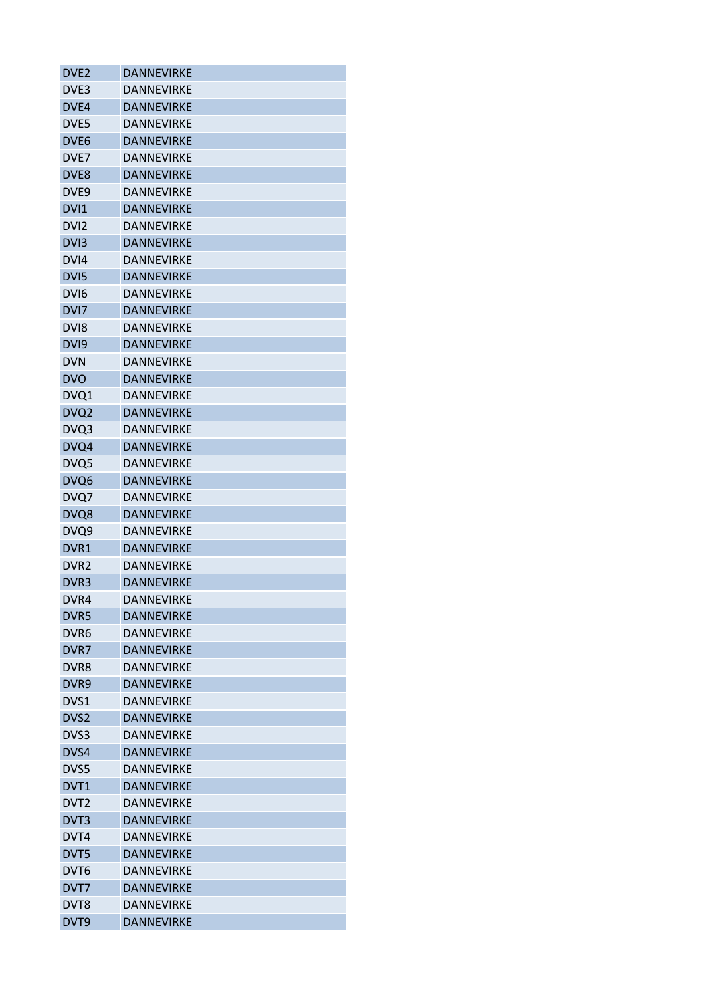| DVE <sub>2</sub> | <b>DANNEVIRKE</b> |
|------------------|-------------------|
| DVE <sub>3</sub> | <b>DANNEVIRKE</b> |
| DVE4             | <b>DANNEVIRKE</b> |
| DVE5             | DANNEVIRKE        |
| DVE <sub>6</sub> | <b>DANNEVIRKE</b> |
| DVE7             | <b>DANNEVIRKE</b> |
| DVE <sub>8</sub> | <b>DANNEVIRKE</b> |
| DVE <sub>9</sub> | DANNEVIRKE        |
| DVI1             | <b>DANNEVIRKE</b> |
| DV <sub>12</sub> | <b>DANNEVIRKE</b> |
| DVI <sub>3</sub> | <b>DANNEVIRKE</b> |
| DVI4             | <b>DANNEVIRKE</b> |
| DV <sub>I5</sub> | <b>DANNEVIRKE</b> |
| DVI <sub>6</sub> | <b>DANNEVIRKE</b> |
| DVI7             | <b>DANNEVIRKE</b> |
| DV <sub>18</sub> | <b>DANNEVIRKE</b> |
| DV <sub>I9</sub> | <b>DANNEVIRKE</b> |
| <b>DVN</b>       | <b>DANNEVIRKE</b> |
| <b>DVO</b>       | <b>DANNEVIRKE</b> |
| DVQ1             | DANNEVIRKE        |
| DVQ <sub>2</sub> | <b>DANNEVIRKE</b> |
| DVQ3             | <b>DANNEVIRKE</b> |
| DVQ4             | <b>DANNEVIRKE</b> |
|                  | <b>DANNEVIRKE</b> |
| DVQ5             |                   |
| DVQ6             | <b>DANNEVIRKE</b> |
| DVQ7             | <b>DANNEVIRKE</b> |
| DVQ8             | <b>DANNEVIRKE</b> |
| DVQ9             | <b>DANNFVIRKF</b> |
| DVR <sub>1</sub> | <b>DANNEVIRKE</b> |
| DVR <sub>2</sub> | <b>DANNEVIRKE</b> |
| DVR <sub>3</sub> | <b>DANNEVIRKE</b> |
| DVR4             | <b>DANNEVIRKE</b> |
| DVR5             | <b>DANNEVIRKE</b> |
| DVR <sub>6</sub> | <b>DANNEVIRKE</b> |
| DVR7             | <b>DANNFVIRKF</b> |
| DVR8             | <b>DANNEVIRKE</b> |
| DVR9             | <b>DANNEVIRKE</b> |
| DVS1             | <b>DANNEVIRKE</b> |
| DVS <sub>2</sub> | <b>DANNEVIRKE</b> |
| DVS3             | DANNEVIRKE        |
| DVS4             | <b>DANNEVIRKE</b> |
| DVS5             | DANNEVIRKE        |
| DVT1             | <b>DANNEVIRKE</b> |
| DVT <sub>2</sub> | DANNEVIRKE        |
| DVT3             | <b>DANNEVIRKE</b> |
| DVT4             | <b>DANNEVIRKE</b> |
| DVT5             | DANNEVIRKE        |
| DVT <sub>6</sub> | DANNEVIRKE        |
| DVT7             | <b>DANNEVIRKE</b> |
| DVT8             | <b>DANNEVIRKE</b> |
| DVT9             | <b>DANNEVIRKE</b> |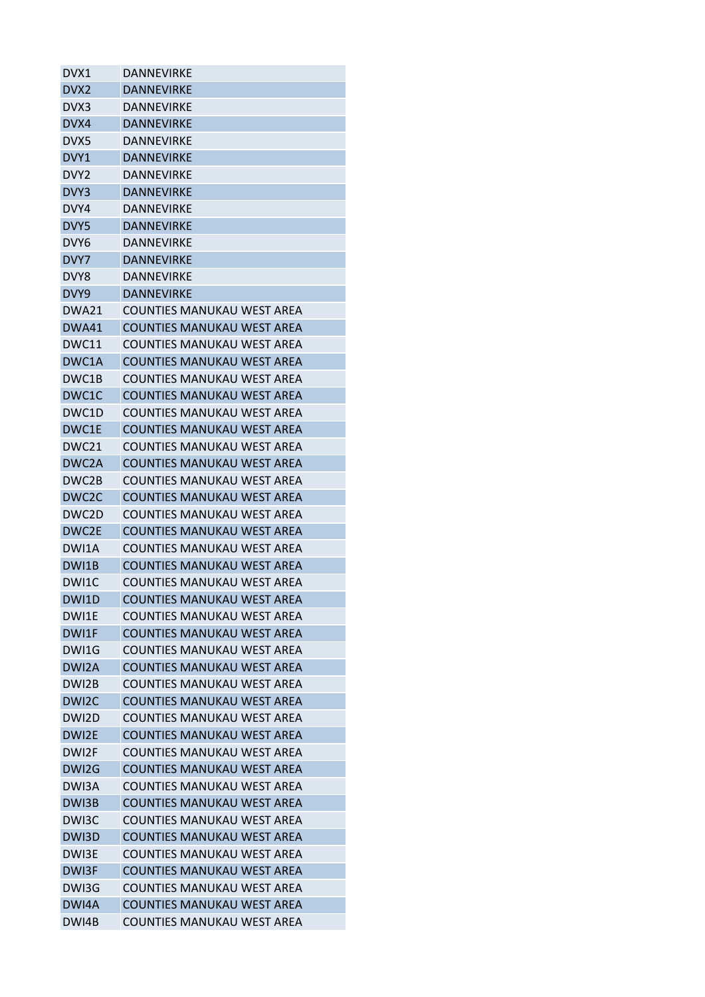| DVX1               | DANNEVIRKE                        |
|--------------------|-----------------------------------|
| DVX <sub>2</sub>   | <b>DANNEVIRKE</b>                 |
| DVX3               | DANNEVIRKE                        |
| DVX4               | <b>DANNEVIRKE</b>                 |
| DVX5               | DANNEVIRKE                        |
| DVY1               | <b>DANNEVIRKE</b>                 |
| DVY2               | DANNEVIRKE                        |
| DVY3               | <b>DANNEVIRKE</b>                 |
| DVY4               | <b>DANNEVIRKE</b>                 |
| DVY5               | <b>DANNEVIRKE</b>                 |
| DVY <sub>6</sub>   | <b>DANNEVIRKE</b>                 |
| DVY7               | <b>DANNEVIRKE</b>                 |
| DVY8               | <b>DANNEVIRKE</b>                 |
| DVY9               | DANNEVIRKE                        |
| DWA21              | <b>COUNTIES MANUKAU WEST AREA</b> |
| <b>DWA41</b>       | <b>COUNTIES MANUKAU WEST AREA</b> |
| DWC11              | COUNTIES MANUKAU WEST AREA        |
| DWC1A              | <b>COUNTIES MANUKAU WEST AREA</b> |
| DWC <sub>1</sub> B | COUNTIES MANUKAU WEST AREA        |
| DWC1C              | <b>COUNTIES MANUKAU WEST AREA</b> |
| DWC1D              | COUNTIES MANUKAU WEST AREA        |
| DWC1E              | <b>COUNTIES MANUKAU WEST AREA</b> |
| DWC <sub>21</sub>  | COUNTIES MANUKAU WEST AREA        |
| DWC <sub>2</sub> A | <b>COUNTIES MANUKAU WEST AREA</b> |
| DWC2B              | COUNTIES MANUKAU WEST AREA        |
| DWC <sub>2</sub> C | <b>COUNTIES MANUKAU WEST AREA</b> |
| DWC2D              | COUNTIES MANUKAU WEST AREA        |
| DWC <sub>2E</sub>  | <b>COUNTIES MANUKAU WEST AREA</b> |
| DWI1A              | <b>COUNTIES MANUKAU WEST AREA</b> |
| DWI1B              | <b>COUNTIES MANUKAU WEST AREA</b> |
|                    |                                   |
| DWI1C              | COUNTIES MANUKAU WEST AREA        |
| DWI1D              | <b>COUNTIES MANUKAU WEST AREA</b> |
| DWI1E              | <b>COUNTIES MANUKAU WEST AREA</b> |
| DWI1F              | <b>COUNTIES MANUKAU WEST AREA</b> |
| DWI1G              | <b>COUNTIES MANUKAU WEST AREA</b> |
| DWI2A              | <b>COUNTIES MANUKAU WEST AREA</b> |
| DWI2B              | COUNTIES MANUKAU WEST AREA        |
| DWI2C              | <b>COUNTIES MANUKAU WEST AREA</b> |
| DWI2D              | <b>COUNTIES MANUKAU WEST AREA</b> |
| DWI2E              | <b>COUNTIES MANUKAU WEST AREA</b> |
| DWI2F              | COUNTIES MANUKAU WEST AREA        |
| DWI2G              | <b>COUNTIES MANUKAU WEST AREA</b> |
| DWI3A              | <b>COUNTIES MANUKAU WEST AREA</b> |
| DWI3B              | <b>COUNTIES MANUKAU WEST AREA</b> |
| DWI3C              | COUNTIES MANUKAU WEST AREA        |
| DWI3D              | <b>COUNTIES MANUKAU WEST AREA</b> |
| DWI3E              | <b>COUNTIES MANUKAU WEST AREA</b> |
| DWI3F              | <b>COUNTIES MANUKAU WEST AREA</b> |
| DWI3G              | <b>COUNTIES MANUKAU WEST AREA</b> |
| DWI4A              | <b>COUNTIES MANUKAU WEST AREA</b> |
| DWI4B              | COUNTIES MANUKAU WEST AREA        |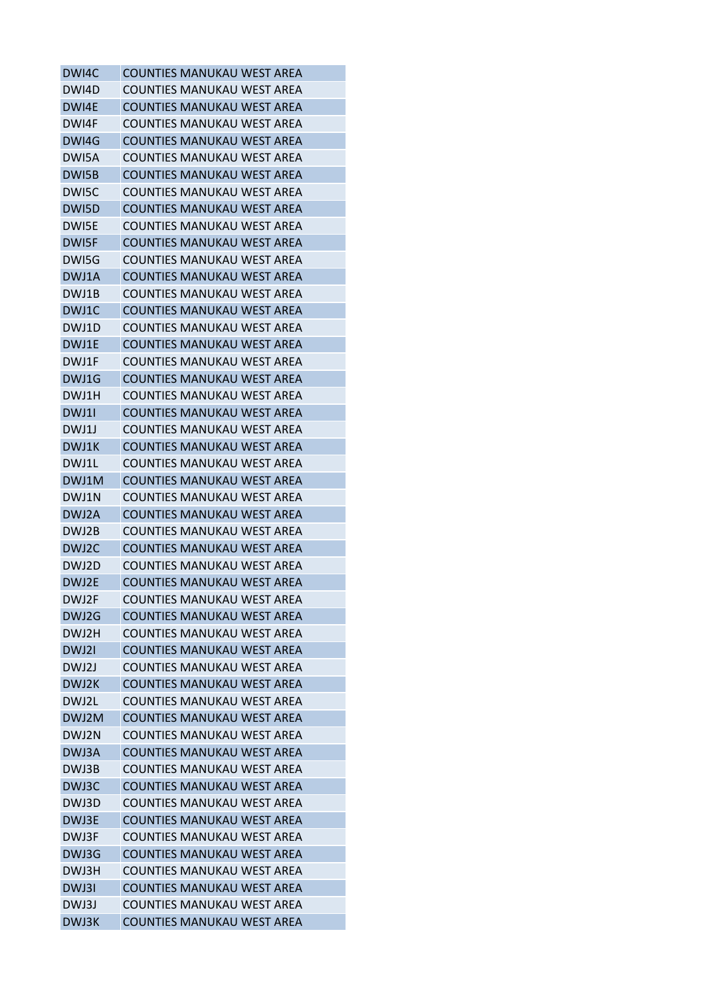| <b>COUNTIES MANUKAU WEST AREA</b> |
|-----------------------------------|
| COUNTIES MANUKAU WEST AREA        |
| <b>COUNTIES MANUKAU WEST AREA</b> |
| <b>COUNTIES MANUKAU WEST AREA</b> |
| <b>COUNTIES MANUKAU WEST AREA</b> |
| COUNTIES MANUKAU WEST AREA        |
| COUNTIES MANUKAU WEST AREA        |
| COUNTIFS MANUKAU WEST ARFA        |
| <b>COUNTIES MANUKAU WEST AREA</b> |
| COUNTIES MANUKAU WEST AREA        |
| <b>COUNTIES MANUKAU WEST AREA</b> |
| COUNTIES MANUKAU WEST AREA        |
| <b>COUNTIES MANUKAU WEST AREA</b> |
| COUNTIES MANUKAU WEST AREA        |
| COUNTIES MANUKAU WEST AREA        |
| <b>COUNTIES MANUKAU WEST AREA</b> |
| <b>COUNTIES MANUKAU WEST AREA</b> |
| COUNTIES MANUKAU WEST AREA        |
| <b>COUNTIES MANUKAU WEST AREA</b> |
| <b>COUNTIES MANUKAU WEST AREA</b> |
| <b>COUNTIES MANUKAU WEST AREA</b> |
| COUNTIES MANUKAU WEST AREA        |
| <b>COUNTIES MANUKAU WEST AREA</b> |
|                                   |
| COUNTIES MANUKAU WEST AREA        |
| <b>COUNTIES MANUKAU WEST AREA</b> |
| COUNTIES MANUKAU WEST AREA        |
| <b>COUNTIES MANUKAU WEST AREA</b> |
| <b>COUNTIES MANUKAU WEST AREA</b> |
| <b>COUNTIES MANUKAU WEST AREA</b> |
| <b>COUNTIES MANUKAU WEST AREA</b> |
| <b>COUNTIES MANUKAU WEST AREA</b> |
| <b>COUNTIES MANUKAU WEST AREA</b> |
| <b>COUNTIES MANUKAU WEST AREA</b> |
| <b>COUNTIES MANUKAU WEST AREA</b> |
| <b>COUNTIES MANUKAU WEST AREA</b> |
| COUNTIFS MANUKAU WEST ARFA        |
| <b>COUNTIES MANUKAU WEST AREA</b> |
| <b>COUNTIES MANUKAU WEST AREA</b> |
| <b>COUNTIES MANUKAU WEST AREA</b> |
| <b>COUNTIES MANUKAU WEST AREA</b> |
| <b>COUNTIES MANUKAU WEST AREA</b> |
| <b>COUNTIES MANUKAU WEST AREA</b> |
| <b>COUNTIES MANUKAU WEST AREA</b> |
| <b>COUNTIES MANUKAU WEST AREA</b> |
| <b>COUNTIES MANUKAU WEST AREA</b> |
| COUNTIES MANUKAU WEST AREA        |
| <b>COUNTIES MANUKAU WEST AREA</b> |
| <b>COUNTIES MANUKAU WEST AREA</b> |
| <b>COUNTIES MANUKAU WEST AREA</b> |
| <b>COUNTIES MANUKAU WEST AREA</b> |
| <b>COUNTIES MANUKAU WEST AREA</b> |
|                                   |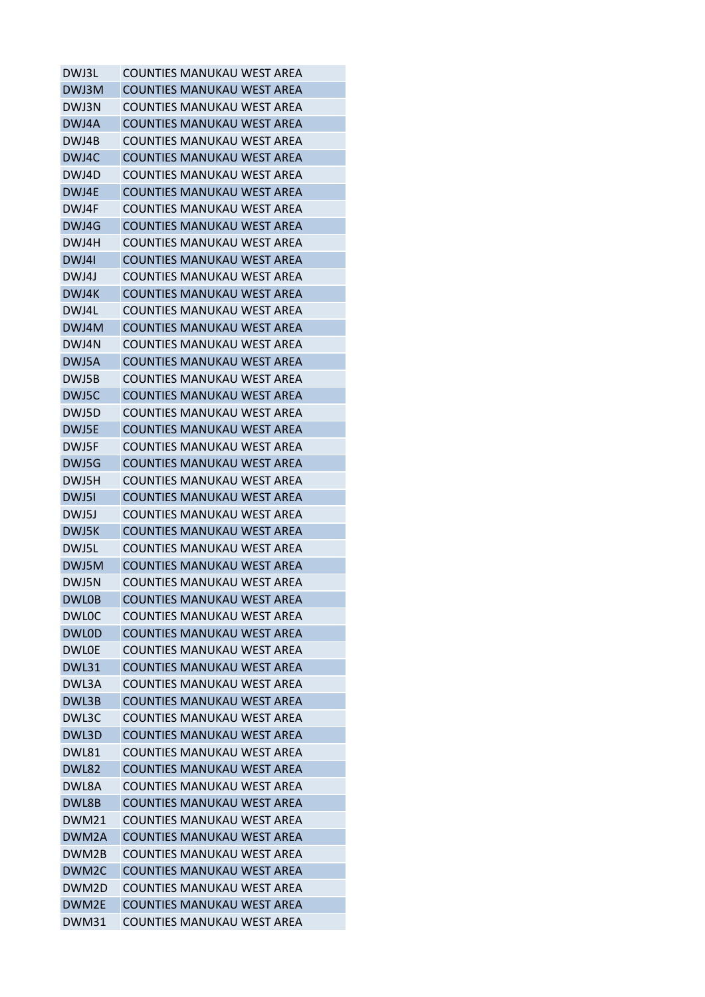| <b>COUNTIES MANUKAU WEST AREA</b> |
|-----------------------------------|
| COUNTIES MANUKAU WEST AREA        |
| COUNTIES MANUKAU WEST AREA        |
| <b>COUNTIES MANUKAU WEST AREA</b> |
| COUNTIES MANUKAU WEST AREA        |
| COUNTIES MANUKAU WEST AREA        |
| COUNTIES MANUKAU WEST AREA        |
| <b>COUNTIES MANUKAU WEST AREA</b> |
| <b>COUNTIES MANUKAU WEST AREA</b> |
| COUNTIES MANUKAU WEST AREA        |
| COUNTIES MANUKAU WEST AREA        |
| <b>COUNTIES MANUKAU WEST AREA</b> |
| COUNTIES MANUKAU WEST AREA        |
| COUNTIES MANUKAU WEST AREA        |
| COUNTIES MANUKAU WEST AREA        |
| <b>COUNTIES MANUKAU WEST AREA</b> |
| <b>COUNTIES MANUKAU WEST AREA</b> |
| COUNTIES MANUKAU WEST AREA        |
| COUNTIES MANUKAU WEST AREA        |
| <b>COUNTIES MANUKAU WEST AREA</b> |
| COUNTIES MANUKAU WEST AREA        |
| COUNTIES MANUKAU WEST AREA        |
|                                   |
| <b>COUNTIES MANUKAU WEST AREA</b> |
| COUNTIES MANUKAU WEST AREA        |
| COUNTIES MANUKAU WEST AREA        |
| COUNTIES MANUKAU WEST AREA        |
| <b>COUNTIES MANUKAU WEST AREA</b> |
| COUNTIES MANUKAU WEST AREA        |
| COUNTIES MANUKAU WEST AREA        |
| COUNTIES MANUKAU WEST AREA        |
| COUNTIES MANUKAU WEST AREA        |
| <b>COUNTIES MANUKAU WEST AREA</b> |
| COUNTIES MANUKAU WEST AREA        |
| <b>COUNTIES MANUKAU WEST AREA</b> |
| COUNTIES MANUKAU WEST AREA        |
| COUNTIES MANUKAU WEST AREA        |
| <b>COUNTIES MANUKAU WEST AREA</b> |
| <b>COUNTIES MANUKAU WEST AREA</b> |
| COUNTIES MANUKAU WEST AREA        |
| <b>COUNTIES MANUKAU WEST AREA</b> |
| COUNTIES MANUKAU WEST AREA        |
| <b>COUNTIES MANUKAU WEST AREA</b> |
| <b>COUNTIES MANUKAU WEST AREA</b> |
| <b>COUNTIES MANUKAU WEST AREA</b> |
| <b>COUNTIES MANUKAU WEST AREA</b> |
| COUNTIES MANUKAU WEST AREA        |
| <b>COUNTIES MANUKAU WEST AREA</b> |
| <b>COUNTIES MANUKAU WEST AREA</b> |
| COUNTIES MANUKAU WEST AREA        |
| <b>COUNTIES MANUKAU WEST AREA</b> |
| COUNTIES MANUKAU WEST AREA        |
|                                   |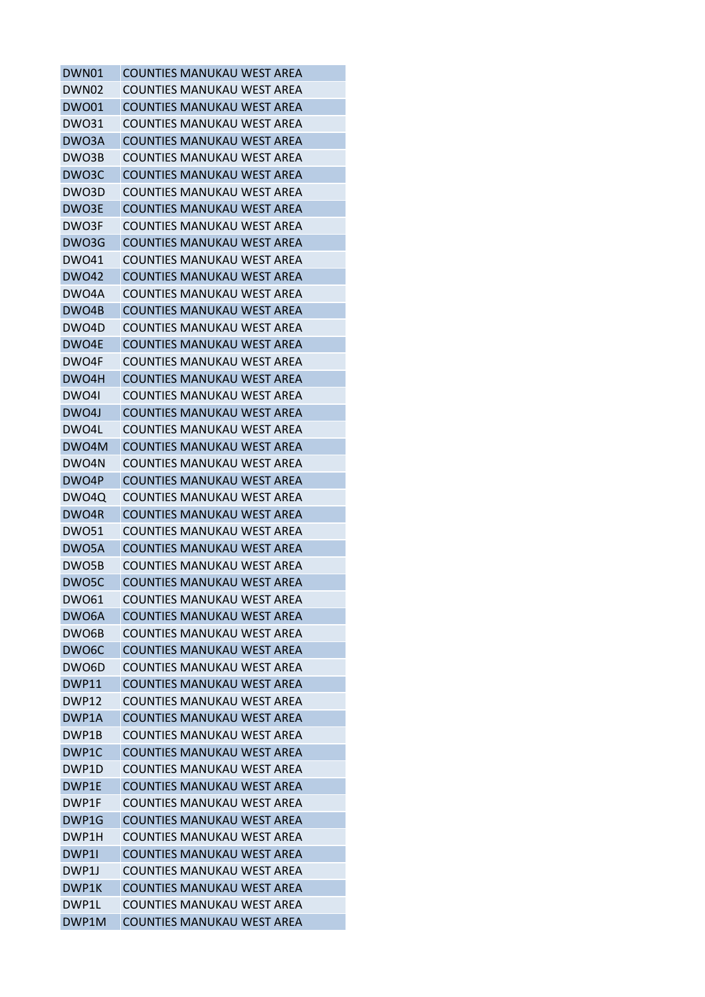| DWN01              | <b>COUNTIES MANUKAU WEST AREA</b> |
|--------------------|-----------------------------------|
| DWN02              | COUNTIES MANUKAU WEST AREA        |
| <b>DWO01</b>       | <b>COUNTIES MANUKAU WEST AREA</b> |
| <b>DWO31</b>       | <b>COUNTIES MANUKAU WEST AREA</b> |
| DWO3A              | <b>COUNTIES MANUKAU WEST AREA</b> |
| DWO3B              | <b>COUNTIES MANUKAU WEST AREA</b> |
| DWO3C              | <b>COUNTIES MANUKAU WEST AREA</b> |
| DWO3D              | <b>COUNTIES MANUKAU WEST AREA</b> |
| DWO3E              | <b>COUNTIES MANUKAU WEST AREA</b> |
| DWO3F              | COUNTIES MANUKAU WEST AREA        |
| DWO3G              | <b>COUNTIES MANUKAU WEST AREA</b> |
| <b>DWO41</b>       | <b>COUNTIES MANUKAU WEST AREA</b> |
| <b>DWO42</b>       | <b>COUNTIES MANUKAU WEST AREA</b> |
| DWO4A              | COUNTIES MANUKAU WEST AREA        |
| DWO4B              | <b>COUNTIES MANUKAU WEST AREA</b> |
| DWO4D              | <b>COUNTIES MANUKAU WEST AREA</b> |
| DWO4E              | <b>COUNTIES MANUKAU WEST AREA</b> |
| DWO4F              | COUNTIES MANUKAU WEST AREA        |
| DWO4H              | <b>COUNTIES MANUKAU WEST AREA</b> |
| DWO4I              | <b>COUNTIES MANUKAU WEST AREA</b> |
| DWO4J              | <b>COUNTIES MANUKAU WEST AREA</b> |
| DWO4L              | <b>COUNTIES MANUKAU WEST AREA</b> |
| DWO4M              |                                   |
|                    | <b>COUNTIES MANUKAU WEST AREA</b> |
| DWO4N              | COUNTIES MANUKAU WEST AREA        |
| DWO4P              | <b>COUNTIES MANUKAU WEST AREA</b> |
| DWO4Q              | <b>COUNTIES MANUKAU WEST AREA</b> |
| DWO4R              | <b>COUNTIES MANUKAU WEST AREA</b> |
| <b>DWO51</b>       | <b>COUNTIES MANUKAU WEST AREA</b> |
| DWO5A              | <b>COUNTIES MANUKAU WEST AREA</b> |
| DWO5B              | COUNTIES MANUKAU WEST AREA        |
| DWO5C              | <b>COUNTIES MANUKAU WEST AREA</b> |
| <b>DWO61</b>       | <b>COUNTIES MANUKAU WEST AREA</b> |
| DWO6A              | <b>COUNTIES MANUKAU WEST AREA</b> |
| DWO6B              | <b>COUNTIES MANUKAU WEST AREA</b> |
| DWO <sub>6</sub> C | COUNTIFS MANUKAU WEST ARFA        |
| DWO6D              | <b>COUNTIES MANUKAU WEST AREA</b> |
| DWP11              | <b>COUNTIES MANUKAU WEST AREA</b> |
| DWP12              | <b>COUNTIES MANUKAU WEST AREA</b> |
| DWP1A              | <b>COUNTIES MANUKAU WEST AREA</b> |
| DWP1B              | <b>COUNTIES MANUKAU WEST AREA</b> |
| DWP <sub>1</sub> C | <b>COUNTIES MANUKAU WEST AREA</b> |
| DWP1D              | COUNTIES MANUKAU WEST AREA        |
| DWP1E              | <b>COUNTIES MANUKAU WEST AREA</b> |
| DWP1F              | <b>COUNTIES MANUKAU WEST AREA</b> |
| DWP1G              | <b>COUNTIES MANUKAU WEST AREA</b> |
| DWP1H              | COUNTIES MANUKAU WEST AREA        |
| DWP1I              | <b>COUNTIES MANUKAU WEST AREA</b> |
| DWP1J              | <b>COUNTIES MANUKAU WEST AREA</b> |
| DWP1K              | <b>COUNTIES MANUKAU WEST AREA</b> |
| DWP1L              | <b>COUNTIES MANUKAU WEST AREA</b> |
| DWP1M              | <b>COUNTIES MANUKAU WEST AREA</b> |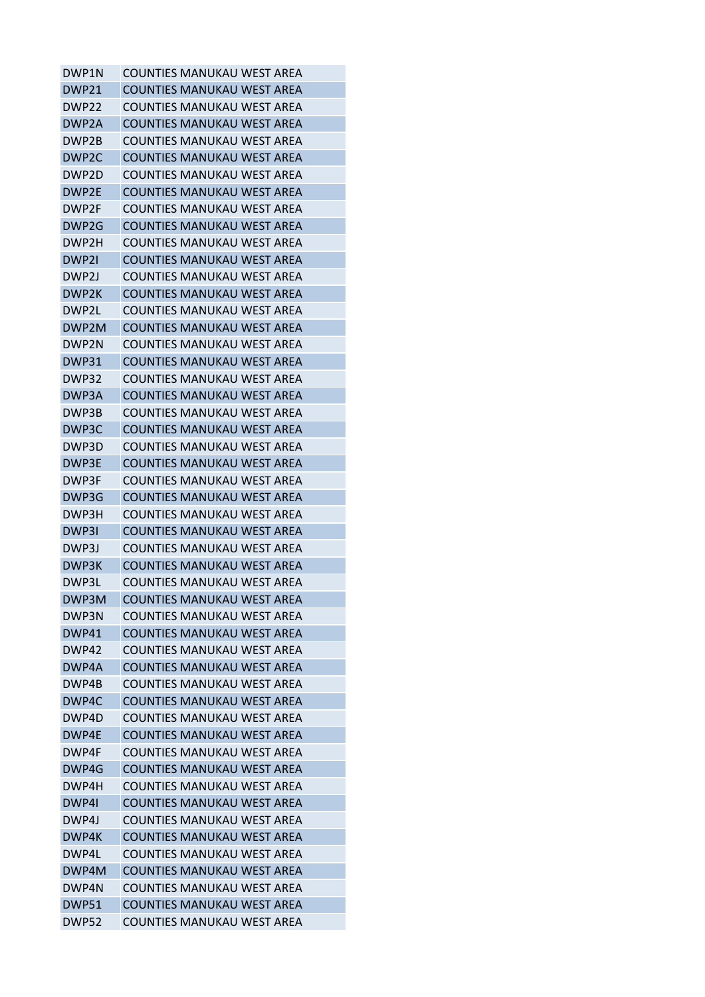| DWP1N             | COUNTIES MANUKAU WEST AREA        |
|-------------------|-----------------------------------|
| DWP <sub>21</sub> | <b>COUNTIES MANUKAU WEST AREA</b> |
| DWP <sub>22</sub> | COUNTIES MANUKAU WEST AREA        |
| DWP2A             | <b>COUNTIES MANUKAU WEST AREA</b> |
| DWP2B             | COUNTIES MANUKAU WEST AREA        |
| DWP <sub>2C</sub> | <b>COUNTIES MANUKAU WEST AREA</b> |
| DWP2D             | COUNTIES MANUKAU WEST AREA        |
| DWP2E             | <b>COUNTIES MANUKAU WEST AREA</b> |
| DWP2F             | <b>COUNTIES MANUKAU WEST AREA</b> |
| DWP <sub>2G</sub> | <b>COUNTIES MANUKAU WEST AREA</b> |
| DWP2H             | COUNTIES MANUKAU WEST AREA        |
| DWP2I             | <b>COUNTIES MANUKAU WEST AREA</b> |
| DWP2J             | <b>COUNTIES MANUKAU WEST AREA</b> |
| DWP2K             | <b>COUNTIES MANUKAU WEST AREA</b> |
| DWP2L             | COUNTIES MANUKAU WEST AREA        |
| DWP2M             | <b>COUNTIES MANUKAU WEST AREA</b> |
| DWP2N             | <b>COUNTIES MANUKAU WEST AREA</b> |
| <b>DWP31</b>      | <b>COUNTIES MANUKAU WEST AREA</b> |
| DWP32             | <b>COUNTIES MANUKAU WEST AREA</b> |
| DWP3A             | <b>COUNTIES MANUKAU WEST AREA</b> |
| DWP3B             | COUNTIES MANUKAU WEST AREA        |
| DWP3C             | <b>COUNTIES MANUKAU WEST AREA</b> |
|                   | <b>COUNTIES MANUKAU WEST AREA</b> |
| DWP3D             |                                   |
| DWP3E             | <b>COUNTIES MANUKAU WEST AREA</b> |
| DWP3F             | COUNTIES MANUKAU WEST AREA        |
| DWP3G             | <b>COUNTIES MANUKAU WEST AREA</b> |
| DWP3H             | <b>COUNTIES MANUKAU WEST AREA</b> |
| DWP3I             | <b>COUNTIES MANUKAU WEST AREA</b> |
| DWP3J             | COUNTIES MANUKAU WEST AREA        |
| DWP3K             | <b>COUNTIES MANUKAU WEST AREA</b> |
| DWP3L             | <b>COUNTIES MANUKAU WEST AREA</b> |
| DWP3M             | <b>COUNTIES MANUKAU WEST AREA</b> |
| DWP3N             | COUNTIES MANUKAU WEST AREA        |
| DWP41             | <b>COUNTIES MANUKAU WEST AREA</b> |
| DWP42             | <b>COUNTIES MANUKAU WEST AREA</b> |
| DWP4A             | <b>COUNTIES MANUKAU WEST AREA</b> |
| DWP4B             | <b>COUNTIES MANUKAU WEST AREA</b> |
| DWP4C             | <b>COUNTIES MANUKAU WEST AREA</b> |
| DWP4D             | COUNTIFS MANUKAU WEST ARFA        |
| DWP4E             | <b>COUNTIES MANUKAU WEST AREA</b> |
| DWP4F             | COUNTIES MANUKAU WEST AREA        |
| DWP4G             | <b>COUNTIES MANUKAU WEST AREA</b> |
| DWP4H             | <b>COUNTIES MANUKAU WEST AREA</b> |
| DWP4I             | <b>COUNTIES MANUKAU WEST AREA</b> |
| DWP4J             | <b>COUNTIES MANUKAU WEST AREA</b> |
| DWP4K             | <b>COUNTIES MANUKAU WEST AREA</b> |
| DWP4L             | <b>COUNTIES MANUKAU WEST AREA</b> |
| DWP4M             | <b>COUNTIES MANUKAU WEST AREA</b> |
| DWP4N             | <b>COUNTIES MANUKAU WEST AREA</b> |
| DWP51             | <b>COUNTIES MANUKAU WEST AREA</b> |
| <b>DWP52</b>      | COUNTIES MANUKAU WEST AREA        |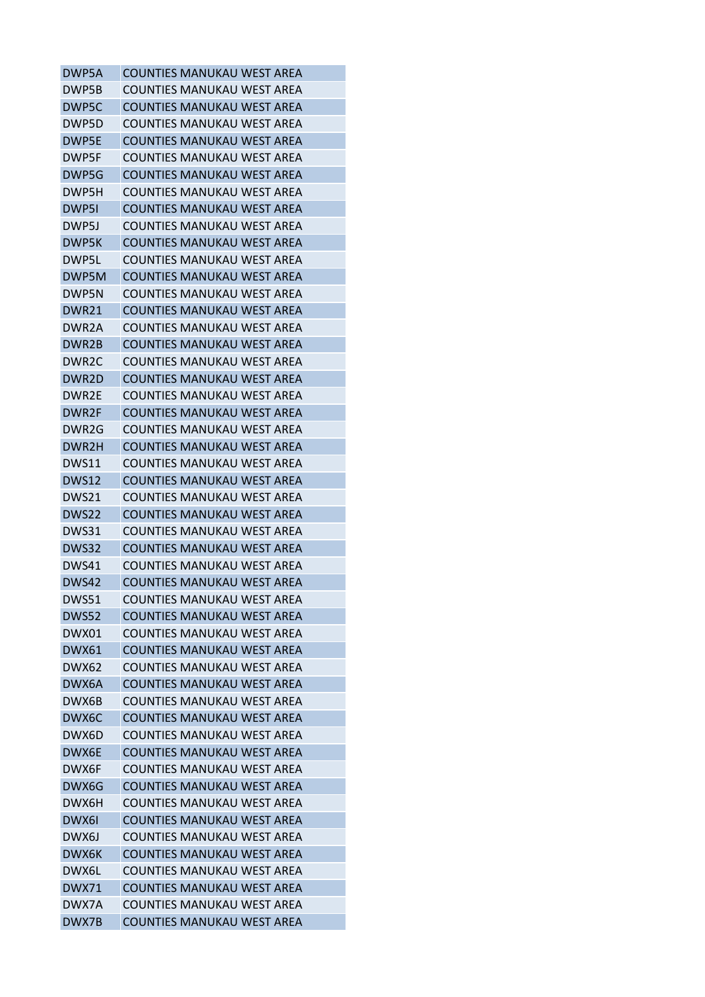| DWP5A              | <b>COUNTIES MANUKAU WEST AREA</b> |
|--------------------|-----------------------------------|
| DWP5B              | COUNTIES MANUKAU WEST AREA        |
| DWP5C              | <b>COUNTIES MANUKAU WEST AREA</b> |
| DWP5D              | <b>COUNTIES MANUKAU WEST AREA</b> |
| DWP5E              | <b>COUNTIES MANUKAU WEST AREA</b> |
| DWP5F              | COUNTIES MANUKAU WEST AREA        |
| DWP5G              | <b>COUNTIES MANUKAU WEST AREA</b> |
| DWP5H              | <b>COUNTIES MANUKAU WEST AREA</b> |
| DWP5I              | <b>COUNTIES MANUKAU WEST AREA</b> |
| DWP5J              | COUNTIES MANUKAU WEST AREA        |
| DWP5K              | <b>COUNTIES MANUKAU WEST AREA</b> |
| DWP5L              | <b>COUNTIES MANUKAU WEST AREA</b> |
| DWP5M              | <b>COUNTIES MANUKAU WEST AREA</b> |
| DWP5N              | COUNTIES MANUKAU WEST AREA        |
| DWR21              | <b>COUNTIES MANUKAU WEST AREA</b> |
| DWR2A              | <b>COUNTIES MANUKAU WEST AREA</b> |
| DWR2B              | <b>COUNTIES MANUKAU WEST AREA</b> |
| DWR <sub>2</sub> C | COUNTIES MANUKAU WEST AREA        |
| DWR <sub>2</sub> D | <b>COUNTIES MANUKAU WEST AREA</b> |
| DWR2E              | <b>COUNTIES MANUKAU WEST AREA</b> |
| DWR2F              | <b>COUNTIES MANUKAU WEST AREA</b> |
| DWR2G              | <b>COUNTIES MANUKAU WEST AREA</b> |
| DWR2H              | <b>COUNTIES MANUKAU WEST AREA</b> |
| <b>DWS11</b>       | COUNTIES MANUKAU WEST AREA        |
| <b>DWS12</b>       | <b>COUNTIES MANUKAU WEST AREA</b> |
| DWS21              | COUNTIES MANUKAU WEST AREA        |
| DWS22              | <b>COUNTIES MANUKAU WEST AREA</b> |
| DWS31              | COUNTIES MANUKAU WEST AREA        |
| DWS32              | <b>COUNTIES MANUKAU WEST AREA</b> |
| DWS41              | COUNTIES MANUKAU WEST AREA        |
| DWS42              | <b>COUNTIES MANUKAU WEST AREA</b> |
| <b>DWS51</b>       | <b>COUNTIES MANUKAU WEST AREA</b> |
| <b>DWS52</b>       | <b>COUNTIES MANUKAU WEST AREA</b> |
| DWX01              | <b>COUNTIES MANUKAU WEST AREA</b> |
| DWX61              | <b>COUNTIES MANUKAU WEST AREA</b> |
| DWX62              | <b>COUNTIES MANUKAU WEST AREA</b> |
| DWX6A              | <b>COUNTIES MANUKAU WEST AREA</b> |
| DWX6B              | <b>COUNTIES MANUKAU WEST AREA</b> |
| DWX6C              | <b>COUNTIES MANUKAU WEST AREA</b> |
| DWX6D              | COUNTIFS MANUKAU WEST ARFA        |
| DWX6E              | <b>COUNTIES MANUKAU WEST AREA</b> |
| DWX6F              | COUNTIES MANUKAU WEST AREA        |
| DWX6G              | <b>COUNTIES MANUKAU WEST AREA</b> |
| DWX6H              | <b>COUNTIES MANUKAU WEST AREA</b> |
| DWX6I              | <b>COUNTIES MANUKAU WEST AREA</b> |
| DWX6J              | COUNTIES MANUKAU WEST AREA        |
| DWX6K              | <b>COUNTIES MANUKAU WEST AREA</b> |
| DWX6L              | <b>COUNTIES MANUKAU WEST AREA</b> |
| <b>DWX71</b>       | <b>COUNTIES MANUKAU WEST AREA</b> |
| DWX7A              | <b>COUNTIES MANUKAU WEST AREA</b> |
| DWX7B              | <b>COUNTIES MANUKAU WEST AREA</b> |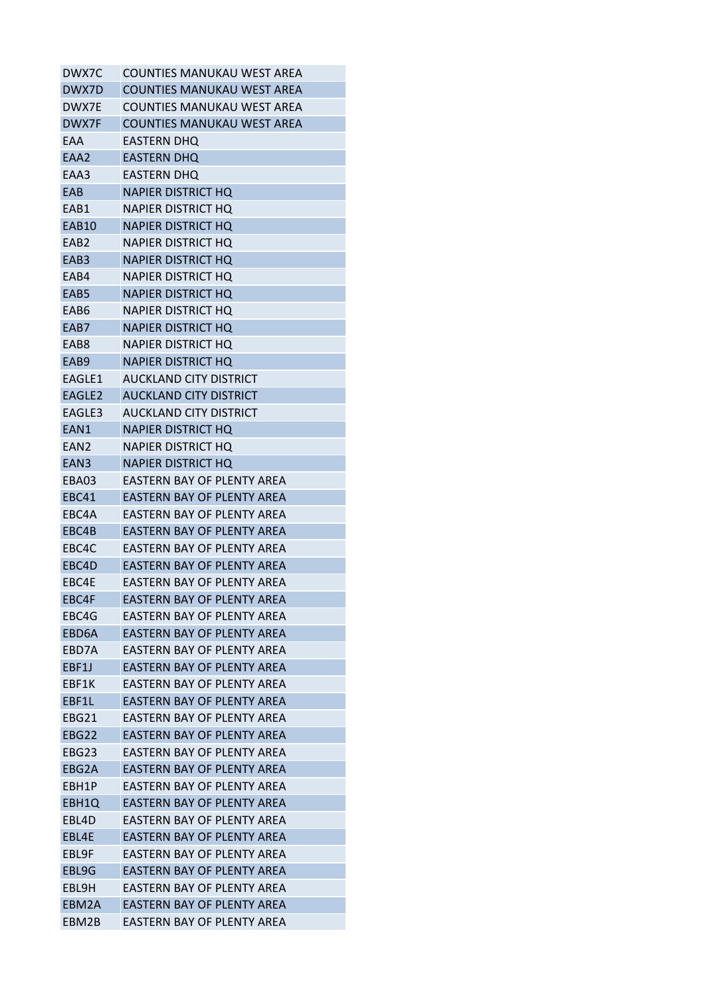| DWX7C              | COUNTIES MANUKAU WEST AREA        |
|--------------------|-----------------------------------|
| DWX7D              | <b>COUNTIES MANUKAU WEST AREA</b> |
| DWX7E              | COUNTIES MANUKAU WEST AREA        |
| DWX7F              | <b>COUNTIES MANUKAU WEST AREA</b> |
| EAA                | EASTERN DHQ                       |
| EAA2               | <b>EASTERN DHQ</b>                |
| EAA3               | EASTERN DHQ                       |
| EAB                | <b>NAPIER DISTRICT HO</b>         |
| EAB1               | <b>NAPIER DISTRICT HQ</b>         |
| <b>EAB10</b>       | <b>NAPIER DISTRICT HO</b>         |
| EAB <sub>2</sub>   | <b>NAPIER DISTRICT HO</b>         |
| EAB <sub>3</sub>   | <b>NAPIER DISTRICT HO</b>         |
| EAB4               | <b>NAPIER DISTRICT HO</b>         |
| EAB5               | NAPIER DISTRICT HQ                |
| EAB6               | NAPIER DISTRICT HQ                |
| EAB7               | <b>NAPIER DISTRICT HO</b>         |
| FAB8               | NAPIER DISTRICT HO                |
| EAB9               | <b>NAPIER DISTRICT HO</b>         |
| EAGLE1             | AUCKLAND CITY DISTRICT            |
| EAGLE <sub>2</sub> | <b>AUCKLAND CITY DISTRICT</b>     |
| EAGLE3             | AUCKLAND CITY DISTRICT            |
| EAN1               | NAPIER DISTRICT HQ                |
| EAN2               | NAPIER DISTRICT HQ                |
| EAN <sub>3</sub>   | <b>NAPIER DISTRICT HQ</b>         |
| EBA03              | EASTERN BAY OF PLENTY AREA        |
| <b>EBC41</b>       | EASTERN BAY OF PLENTY AREA        |
| EBC4A              | EASTERN BAY OF PLENTY AREA        |
| EBC4B              | EASTERN BAY OF PLENTY AREA        |
| EBC4C              | EASTERN BAY OF PLENTY AREA        |
| EBC4D              | EASTERN BAY OF PLENTY AREA        |
| EBC4E              | EASTERN BAY OF PLENTY AREA        |
| EBC4F              | <b>EASTERN BAY OF PLENTY AREA</b> |
| EBC4G              | EASTERN BAY OF PLENTY AREA        |
| EBD6A              | EASTERN BAY OF PLENTY AREA        |
| FBD7A              | EASTERN BAY OF PLENTY AREA        |
| EBF1J              | EASTERN BAY OF PLENTY AREA        |
| EBF1K              | EASTERN BAY OF PLENTY AREA        |
| EBF1L              | EASTERN BAY OF PLENTY AREA        |
| EBG21              | <b>EASTERN BAY OF PLENTY AREA</b> |
| EBG22              | <b>EASTERN BAY OF PLENTY AREA</b> |
| EBG23              | EASTERN BAY OF PLENTY AREA        |
| EBG2A              | EASTERN BAY OF PLENTY AREA        |
| EBH1P              | EASTERN BAY OF PLENTY AREA        |
| EBH1Q              | EASTERN BAY OF PLENTY AREA        |
| EBL4D              | EASTERN BAY OF PLENTY AREA        |
| EBL4E              | EASTERN BAY OF PLENTY AREA        |
| EBL9F              | <b>EASTERN BAY OF PLENTY AREA</b> |
| EBL9G              | EASTERN BAY OF PLENTY AREA        |
| EBL9H              | <b>EASTERN BAY OF PLENTY AREA</b> |
| EBM2A              | <b>EASTERN BAY OF PLENTY AREA</b> |
| EBM2B              | EASTERN BAY OF PLENTY AREA        |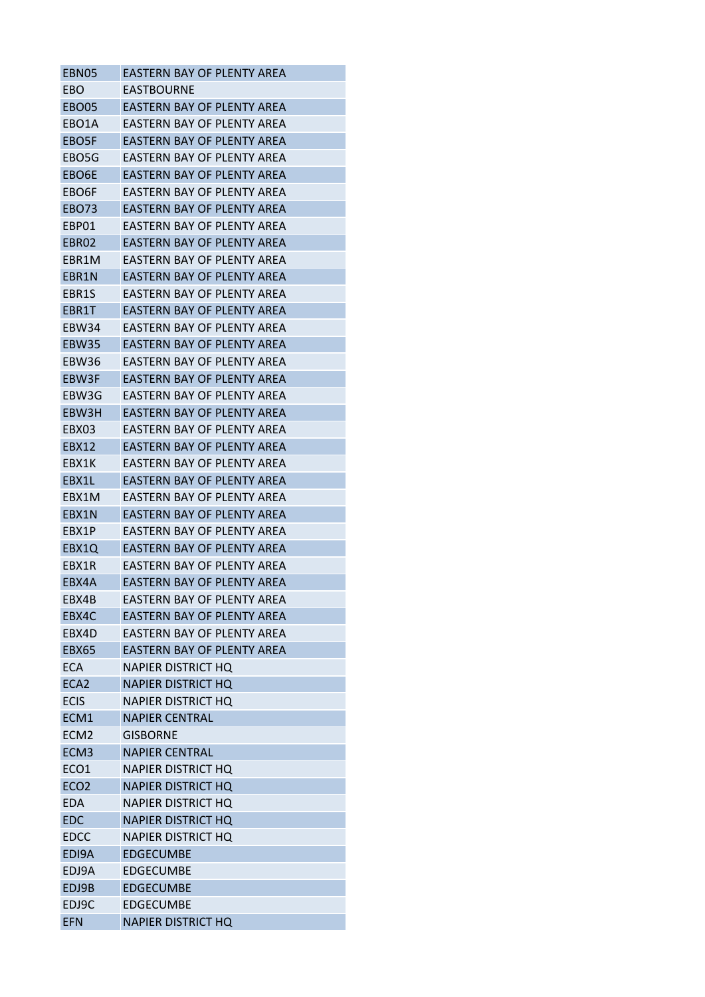| EBN05            | EASTERN BAY OF PLENTY AREA        |
|------------------|-----------------------------------|
| EBO              | EASTBOURNE                        |
| EBO05            | EASTERN BAY OF PLENTY AREA        |
| EBO1A            | EASTERN BAY OF PLENTY AREA        |
| EBO5F            | <b>EASTERN BAY OF PLENTY AREA</b> |
| EBO5G            | EASTERN BAY OF PLENTY AREA        |
| EBO6E            | EASTERN BAY OF PLENTY AREA        |
| EBO6F            | EASTERN BAY OF PLENTY AREA        |
| <b>EBO73</b>     | EASTERN BAY OF PLENTY AREA        |
| EBP01            | EASTERN BAY OF PLENTY AREA        |
| EBR02            | EASTERN BAY OF PLENTY AREA        |
| EBR1M            | EASTERN BAY OF PLENTY AREA        |
| EBR1N            | EASTERN BAY OF PLENTY AREA        |
| EBR1S            | EASTERN BAY OF PLENTY AREA        |
| EBR1T            | EASTERN BAY OF PLENTY AREA        |
| EBW34            | FASTFRN BAY OF PLFNTY ARFA        |
| <b>EBW35</b>     | FASTFRN BAY OF PLFNTY ARFA        |
| EBW36            | EASTERN BAY OF PLENTY AREA        |
| EBW3F            | EASTERN BAY OF PLENTY AREA        |
| EBW3G            | FASTFRN BAY OF PLFNTY ARFA        |
| EBW3H            | EASTERN BAY OF PLENTY AREA        |
| EBX03            | EASTERN BAY OF PLENTY AREA        |
| EBX12            | EASTERN BAY OF PLENTY AREA        |
| EBX1K            | EASTERN BAY OF PLENTY AREA        |
| EBX1L            | EASTERN BAY OF PLENTY AREA        |
| EBX1M            | EASTERN BAY OF PLENTY AREA        |
| EBX1N            | EASTERN BAY OF PLENTY AREA        |
| EBX1P            | EASTERN BAY OF PLENTY AREA        |
| EBX1Q            | <b>EASTERN BAY OF PLENTY AREA</b> |
| EBX1R            | EASTERN BAY OF PLENTY AREA        |
| EBX4A            | EASTERN BAY OF PLENTY AREA        |
| EBX4B            | <b>EASTERN BAY OF PLENTY AREA</b> |
| EBX4C            | <b>EASTERN BAY OF PLENTY AREA</b> |
| EBX4D            | EASTERN BAY OF PLENTY AREA        |
| <b>EBX65</b>     | <b>FASTERN BAY OF PLENTY AREA</b> |
| <b>ECA</b>       | <b>NAPIER DISTRICT HQ</b>         |
| ECA <sub>2</sub> | <b>NAPIER DISTRICT HQ</b>         |
| <b>ECIS</b>      |                                   |
| ECM1             | <b>NAPIER DISTRICT HQ</b>         |
|                  | <b>NAPIER CENTRAL</b><br>GISBORNF |
| ECM <sub>2</sub> | <b>NAPIER CENTRAL</b>             |
| ECM <sub>3</sub> |                                   |
| ECO <sub>1</sub> | <b>NAPIER DISTRICT HQ</b>         |
| ECO <sub>2</sub> | <b>NAPIER DISTRICT HQ</b>         |
| <b>EDA</b>       | <b>NAPIER DISTRICT HQ</b>         |
| <b>EDC</b>       | <b>NAPIER DISTRICT HQ</b>         |
| <b>EDCC</b>      | <b>NAPIER DISTRICT HQ</b>         |
| EDI9A            | <b>EDGECUMBE</b>                  |
| EDJ9A            | EDGECUMBE                         |
| EDJ9B            | <b>EDGECUMBE</b>                  |
| EDJ9C            | <b>EDGECUMBE</b>                  |
| <b>EFN</b>       | <b>NAPIER DISTRICT HQ</b>         |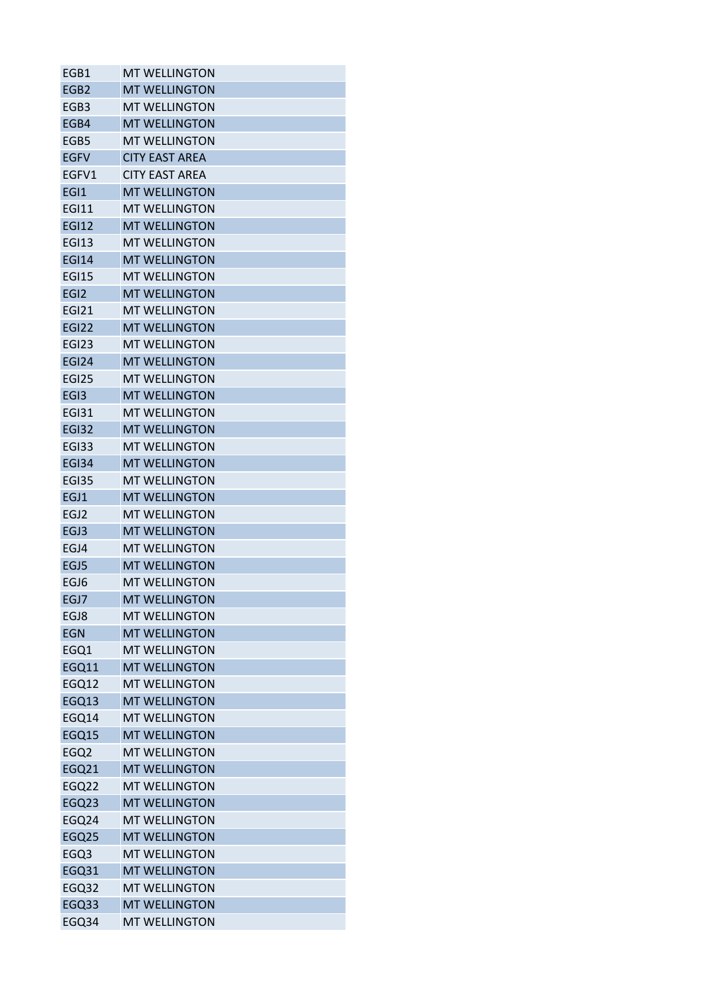| EGB1             | <b>MT WELLINGTON</b>  |
|------------------|-----------------------|
| EGB <sub>2</sub> | <b>MT WELLINGTON</b>  |
| EGB3             | <b>MT WELLINGTON</b>  |
| EGB4             | <b>MT WELLINGTON</b>  |
| EGB5             | <b>MT WELLINGTON</b>  |
| <b>EGFV</b>      | <b>CITY EAST AREA</b> |
| EGFV1            | <b>CITY EAST AREA</b> |
| EGI1             | <b>MT WELLINGTON</b>  |
| <b>EGI11</b>     | <b>MT WELLINGTON</b>  |
| <b>EGI12</b>     | <b>MT WELLINGTON</b>  |
| <b>EGI13</b>     | <b>MT WELLINGTON</b>  |
| <b>EGI14</b>     | <b>MT WELLINGTON</b>  |
| <b>EGI15</b>     | <b>MT WELLINGTON</b>  |
| EGI <sub>2</sub> | <b>MT WELLINGTON</b>  |
| <b>EGI21</b>     | <b>MT WELLINGTON</b>  |
| <b>EGI22</b>     | <b>MT WELLINGTON</b>  |
| <b>EGI23</b>     | <b>MT WELLINGTON</b>  |
| <b>EGI24</b>     | <b>MT WELLINGTON</b>  |
| <b>EGI25</b>     | <b>MT WELLINGTON</b>  |
| EGI3             | <b>MT WELLINGTON</b>  |
| <b>EGI31</b>     | <b>MT WELLINGTON</b>  |
| <b>EGI32</b>     | <b>MT WELLINGTON</b>  |
| EGI33            | <b>MT WELLINGTON</b>  |
| <b>EGI34</b>     | <b>MT WELLINGTON</b>  |
| <b>EGI35</b>     | <b>MT WELLINGTON</b>  |
| EGJ1             | <b>MT WELLINGTON</b>  |
| EGJ2             | <b>MT WELLINGTON</b>  |
| EGJ3             | <b>MT WELLINGTON</b>  |
| EGJ4             | <b>MT WELLINGTON</b>  |
| EGJ5             | <b>MT WELLINGTON</b>  |
| EGJ6             | <b>MT WELLINGTON</b>  |
| EGJ7             | <b>MT WELLINGTON</b>  |
| EGJ8             | <b>MT WELLINGTON</b>  |
| <b>EGN</b>       | <b>MT WELLINGTON</b>  |
| EGQ1             | <b>MT WELLINGTON</b>  |
| <b>EGQ11</b>     | <b>MT WELLINGTON</b>  |
| EGQ12            | <b>MT WELLINGTON</b>  |
| EGQ13            | <b>MT WELLINGTON</b>  |
| EGQ14            | <b>MT WELLINGTON</b>  |
| EGQ15            | <b>MT WELLINGTON</b>  |
| EGQ2             | <b>MT WELLINGTON</b>  |
| <b>EGQ21</b>     | <b>MT WELLINGTON</b>  |
| EGQ22            | <b>MT WELLINGTON</b>  |
| <b>EGQ23</b>     | <b>MT WELLINGTON</b>  |
| EGQ24            | <b>MT WELLINGTON</b>  |
| EGQ25            | <b>MT WELLINGTON</b>  |
| EGQ3             | <b>MT WELLINGTON</b>  |
| <b>EGQ31</b>     | <b>MT WELLINGTON</b>  |
| EGQ32            | <b>MT WELLINGTON</b>  |
| EGQ33            | <b>MT WELLINGTON</b>  |
| EGQ34            | <b>MT WELLINGTON</b>  |
|                  |                       |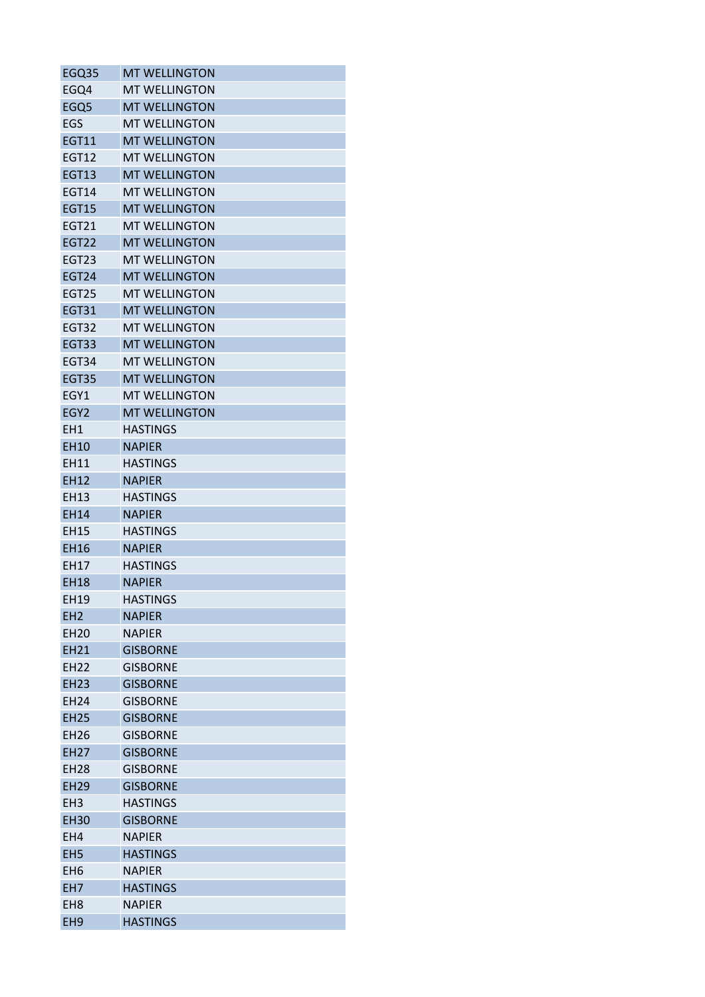| EGQ35             | <b>MT WELLINGTON</b> |
|-------------------|----------------------|
| EGQ4              | <b>MT WELLINGTON</b> |
| EGQ <sub>5</sub>  | <b>MT WELLINGTON</b> |
| EGS               | <b>MT WELLINGTON</b> |
| <b>EGT11</b>      | <b>MT WELLINGTON</b> |
| <b>EGT12</b>      | <b>MT WELLINGTON</b> |
| <b>EGT13</b>      | <b>MT WELLINGTON</b> |
| <b>EGT14</b>      | <b>MT WELLINGTON</b> |
| <b>EGT15</b>      | <b>MT WELLINGTON</b> |
| EGT21             | <b>MT WELLINGTON</b> |
| <b>EGT22</b>      | <b>MT WELLINGTON</b> |
| <b>EGT23</b>      | <b>MT WELLINGTON</b> |
| <b>EGT24</b>      | <b>MT WELLINGTON</b> |
| EGT <sub>25</sub> | <b>MT WELLINGTON</b> |
| <b>EGT31</b>      | <b>MT WELLINGTON</b> |
| <b>EGT32</b>      | <b>MT WELLINGTON</b> |
| <b>EGT33</b>      | <b>MT WELLINGTON</b> |
| EGT34             | <b>MT WELLINGTON</b> |
| <b>EGT35</b>      | <b>MT WELLINGTON</b> |
| EGY1              | <b>MT WELLINGTON</b> |
|                   | <b>MT WELLINGTON</b> |
| EGY <sub>2</sub>  |                      |
| EH1               | <b>HASTINGS</b>      |
| EH10              | <b>NAPIER</b>        |
| EH11              | <b>HASTINGS</b>      |
| <b>EH12</b>       | <b>NAPIER</b>        |
| EH13              | <b>HASTINGS</b>      |
| <b>EH14</b>       | <b>NAPIER</b>        |
| <b>EH15</b>       | <b>HASTINGS</b>      |
| <b>EH16</b>       | <b>NAPIER</b>        |
| EH17              | <b>HASTINGS</b>      |
| <b>EH18</b>       | <b>NAPIER</b>        |
| EH19              | <b>HASTINGS</b>      |
| EH <sub>2</sub>   | <b>NAPIER</b>        |
| <b>EH20</b>       | <b>NAPIER</b>        |
| EH21              | <b>GISBORNE</b>      |
| <b>EH22</b>       | <b>GISBORNE</b>      |
| <b>EH23</b>       | <b>GISBORNE</b>      |
| <b>EH24</b>       | <b>GISBORNE</b>      |
| <b>EH25</b>       | <b>GISBORNE</b>      |
| <b>EH26</b>       | <b>GISBORNE</b>      |
| <b>EH27</b>       | <b>GISBORNE</b>      |
| <b>EH28</b>       | <b>GISBORNE</b>      |
| <b>EH29</b>       | <b>GISBORNE</b>      |
| EH <sub>3</sub>   | <b>HASTINGS</b>      |
| <b>EH30</b>       | <b>GISBORNE</b>      |
| EH4               | <b>NAPIER</b>        |
| EH <sub>5</sub>   | <b>HASTINGS</b>      |
| EH <sub>6</sub>   | <b>NAPIER</b>        |
| EH7               | <b>HASTINGS</b>      |
| EH <sub>8</sub>   | <b>NAPIER</b>        |
| EH <sub>9</sub>   | <b>HASTINGS</b>      |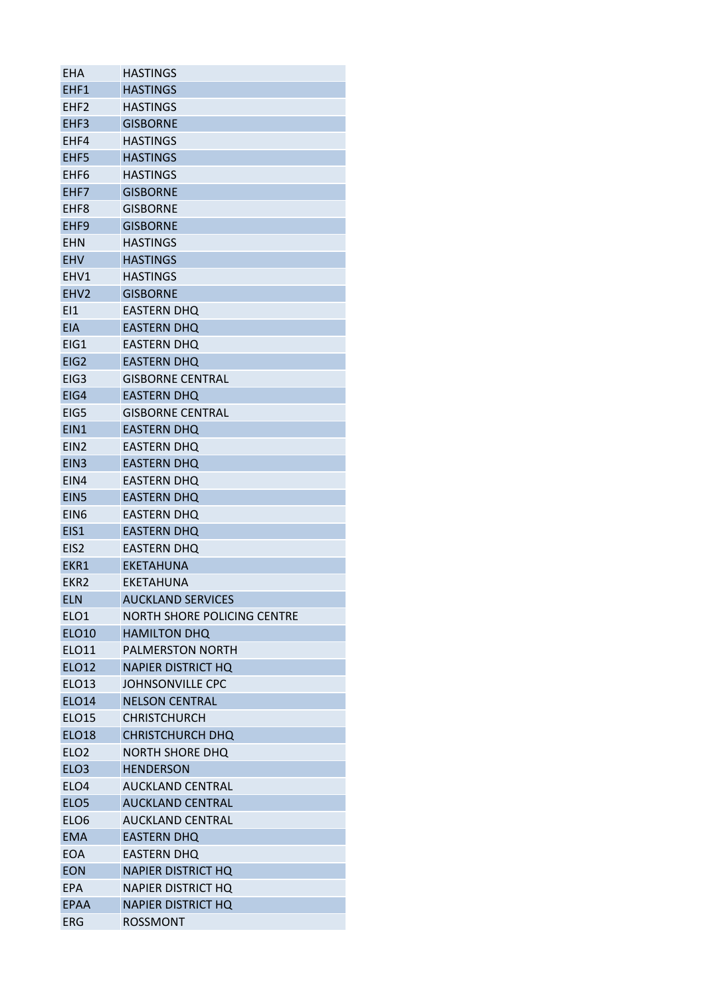| <b>EHA</b>       | HASTINGS                    |
|------------------|-----------------------------|
| EHF1             | <b>HASTINGS</b>             |
| EHF <sub>2</sub> | <b>HASTINGS</b>             |
| EHF3             | <b>GISBORNE</b>             |
| EHF4             | <b>HASTINGS</b>             |
| EHF5             | <b>HASTINGS</b>             |
| EHF6             | <b>HASTINGS</b>             |
| EHF7             | <b>GISBORNE</b>             |
| EHF <sub>8</sub> | <b>GISBORNE</b>             |
| EHF <sub>9</sub> | <b>GISBORNE</b>             |
| <b>EHN</b>       | <b>HASTINGS</b>             |
| <b>EHV</b>       | <b>HASTINGS</b>             |
| EHV1             | <b>HASTINGS</b>             |
| EHV <sub>2</sub> | <b>GISBORNE</b>             |
| E11              | <b>EASTERN DHQ</b>          |
| <b>EIA</b>       | <b>EASTERN DHQ</b>          |
| EIG1             | <b>EASTERN DHQ</b>          |
| EIG <sub>2</sub> | <b>EASTERN DHQ</b>          |
| EIG <sub>3</sub> | <b>GISBORNE CENTRAL</b>     |
| EIG4             | <b>EASTERN DHQ</b>          |
| EIG5             | <b>GISBORNE CENTRAL</b>     |
| EIN <sub>1</sub> | <b>EASTERN DHQ</b>          |
| EIN <sub>2</sub> | <b>EASTERN DHQ</b>          |
| EIN <sub>3</sub> | <b>EASTERN DHQ</b>          |
| EIN4             | <b>EASTERN DHQ</b>          |
| EIN <sub>5</sub> | <b>EASTERN DHQ</b>          |
| EIN <sub>6</sub> | <b>EASTERN DHQ</b>          |
| EIS1             | <b>EASTERN DHQ</b>          |
| EIS <sub>2</sub> | <b>EASTERN DHQ</b>          |
| EKR1             | <b>EKETAHUNA</b>            |
| EKR <sub>2</sub> | <b>EKETAHUNA</b>            |
| <b>ELN</b>       | <b>AUCKLAND SERVICES</b>    |
| ELO <sub>1</sub> | NORTH SHORE POLICING CENTRE |
| <b>ELO10</b>     | <b>HAMILTON DHQ</b>         |
| <b>ELO11</b>     | <b>PALMERSTON NORTH</b>     |
| <b>ELO12</b>     | <b>NAPIER DISTRICT HQ</b>   |
| ELO13            | <b>JOHNSONVILLE CPC</b>     |
| <b>ELO14</b>     | <b>NELSON CENTRAL</b>       |
| <b>ELO15</b>     | <b>CHRISTCHURCH</b>         |
| <b>ELO18</b>     | <b>CHRISTCHURCH DHQ</b>     |
| ELO <sub>2</sub> | NORTH SHORE DHQ             |
| ELO <sub>3</sub> | <b>HENDERSON</b>            |
| ELO <sub>4</sub> | <b>AUCKLAND CENTRAL</b>     |
| ELO <sub>5</sub> | <b>AUCKLAND CENTRAL</b>     |
| ELO <sub>6</sub> | <b>AUCKLAND CENTRAL</b>     |
| <b>EMA</b>       | <b>EASTERN DHQ</b>          |
| <b>EOA</b>       | <b>EASTERN DHQ</b>          |
| <b>EON</b>       | <b>NAPIER DISTRICT HQ</b>   |
| <b>EPA</b>       | <b>NAPIER DISTRICT HQ</b>   |
| EPAA             | <b>NAPIER DISTRICT HQ</b>   |
| <b>ERG</b>       | ROSSMONT                    |
|                  |                             |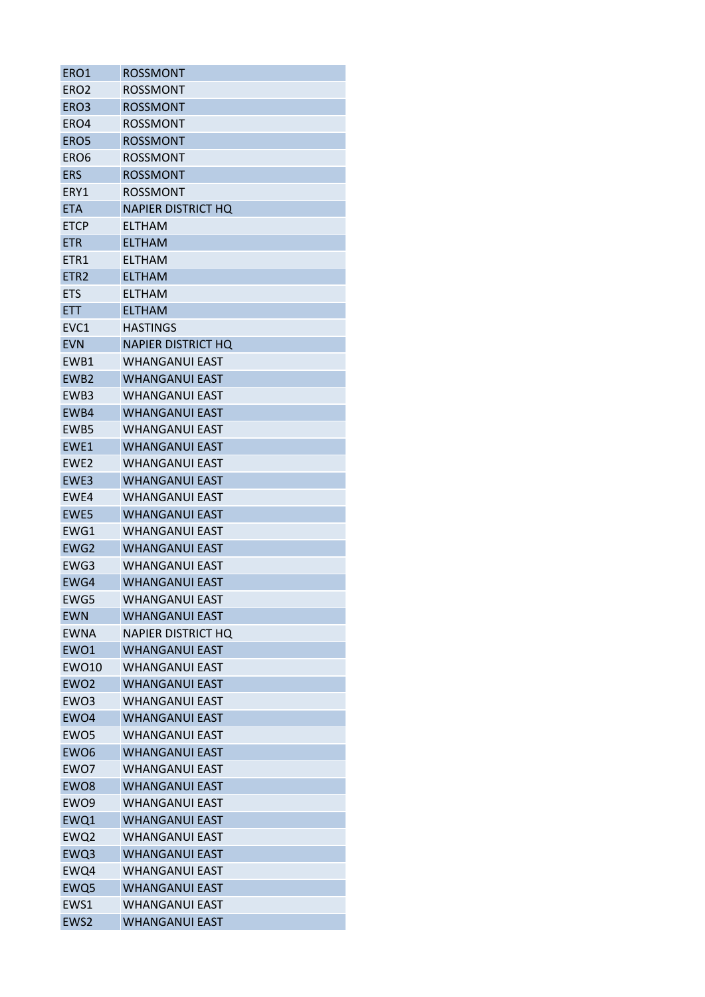| ERO1             | ROSSMONT                  |
|------------------|---------------------------|
| ERO <sub>2</sub> | ROSSMONT                  |
| ERO <sub>3</sub> | <b>ROSSMONT</b>           |
| ERO4             | <b>ROSSMONT</b>           |
| ERO5             | <b>ROSSMONT</b>           |
| ERO <sub>6</sub> | ROSSMONT                  |
| <b>ERS</b>       | <b>ROSSMONT</b>           |
| ERY1             | <b>ROSSMONT</b>           |
| <b>ETA</b>       | <b>NAPIER DISTRICT HQ</b> |
| <b>ETCP</b>      | ELTHAM                    |
| <b>ETR</b>       | <b>ELTHAM</b>             |
| ETR1             | ELTHAM                    |
| ETR <sub>2</sub> | <b>ELTHAM</b>             |
| <b>ETS</b>       | <b>ELTHAM</b>             |
| <b>ETT</b>       | <b>ELTHAM</b>             |
| EVC1             | <b>HASTINGS</b>           |
| <b>EVN</b>       | <b>NAPIER DISTRICT HO</b> |
| EWB1             | <b>WHANGANUI EAST</b>     |
| EWB <sub>2</sub> | <b>WHANGANUI EAST</b>     |
| EWB3             | <b>WHANGANUI EAST</b>     |
| EWB4             | <b>WHANGANUI EAST</b>     |
| EWB5             | <b>WHANGANUI EAST</b>     |
| EWE1             | <b>WHANGANUI EAST</b>     |
| EWE <sub>2</sub> | <b>WHANGANUI EAST</b>     |
| EWE3             | <b>WHANGANUI EAST</b>     |
| EWE4             | <b>WHANGANUI EAST</b>     |
| EWE5             | <b>WHANGANUI EAST</b>     |
| EWG1             | <b>WHANGANUI EAST</b>     |
| EWG2             | <b>WHANGANUI EAST</b>     |
| EWG3             | <b>WHANGANUI EAST</b>     |
| EWG4             | <b>WHANGANUI EAST</b>     |
| EWG5             | <b>WHANGANUI EAST</b>     |
| <b>EWN</b>       | WHANGANUI FAST            |
| <b>EWNA</b>      | <b>NAPIER DISTRICT HO</b> |
| EWO1             | <b>WHANGANUI EAST</b>     |
| <b>EWO10</b>     | <b>WHANGANUI EAST</b>     |
| EWO <sub>2</sub> | <b>WHANGANUI EAST</b>     |
| EWO3             | <b>WHANGANUI EAST</b>     |
| EWO4             | <b>WHANGANUI EAST</b>     |
| EWO <sub>5</sub> | <b>WHANGANUI EAST</b>     |
| EWO <sub>6</sub> | <b>WHANGANUI EAST</b>     |
| EWO7             | <b>WHANGANUI EAST</b>     |
| EWO <sub>8</sub> | <b>WHANGANUI EAST</b>     |
| EWO <sub>9</sub> | <b>WHANGANUI EAST</b>     |
| EWQ1             | <b>WHANGANUI EAST</b>     |
| EWQ2             | <b>WHANGANUI EAST</b>     |
| EWQ3             | <b>WHANGANUI EAST</b>     |
| EWQ4             | WHANGANUI EAST            |
| EWQ5             | <b>WHANGANUI EAST</b>     |
| EWS1             | <b>WHANGANUI EAST</b>     |
| EWS2             | <b>WHANGANUI EAST</b>     |
|                  |                           |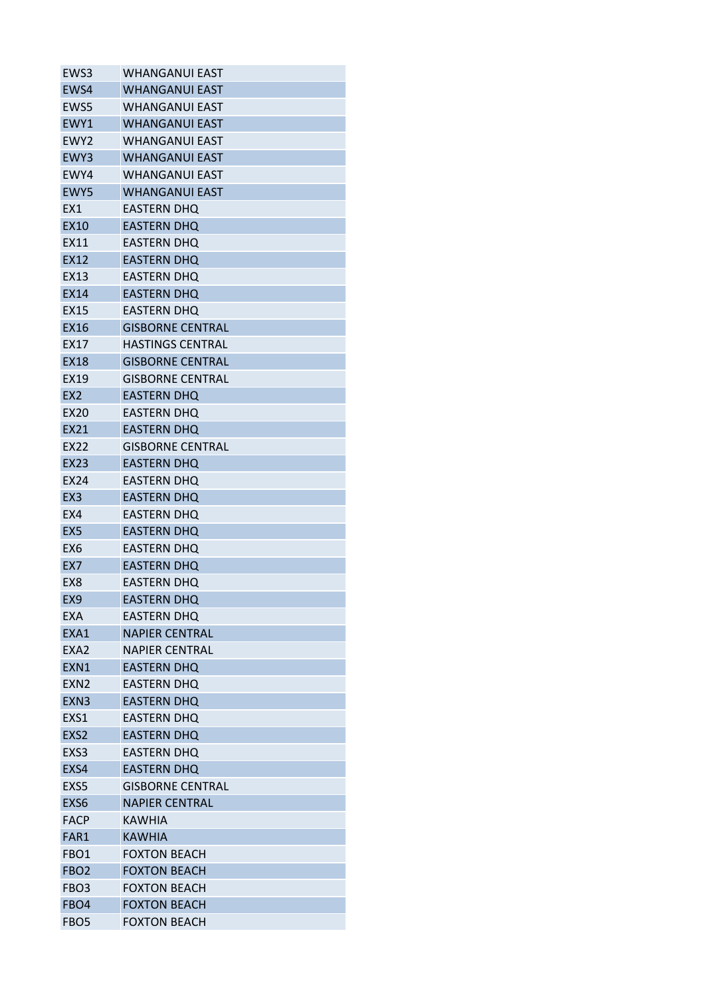| EWS3             | WHANGANUI EAST          |
|------------------|-------------------------|
| EWS4             | <b>WHANGANUI EAST</b>   |
| EWS5             | WHANGANUI EAST          |
| EWY1             | <b>WHANGANUI EAST</b>   |
| EWY <sub>2</sub> | <b>WHANGANUI EAST</b>   |
| EWY3             | <b>WHANGANUI EAST</b>   |
| EWY4             | WHANGANUI EAST          |
| EWY5             | <b>WHANGANUI EAST</b>   |
| EX1              | <b>EASTERN DHQ</b>      |
| <b>EX10</b>      | <b>EASTERN DHQ</b>      |
| EX11             | <b>EASTERN DHQ</b>      |
| EX12             | <b>EASTERN DHQ</b>      |
| EX13             | <b>EASTERN DHQ</b>      |
| <b>EX14</b>      | <b>EASTERN DHQ</b>      |
| <b>EX15</b>      | <b>EASTERN DHQ</b>      |
| EX16             | <b>GISBORNE CENTRAL</b> |
| <b>EX17</b>      | <b>HASTINGS CENTRAL</b> |
| <b>EX18</b>      | <b>GISBORNE CENTRAL</b> |
| EX19             | GISBORNE CENTRAL        |
| EX <sub>2</sub>  | <b>EASTERN DHO</b>      |
| EX20             | <b>EASTERN DHQ</b>      |
| EX21             | <b>EASTERN DHQ</b>      |
| EX22             | <b>GISBORNE CENTRAL</b> |
| <b>EX23</b>      | <b>EASTERN DHQ</b>      |
| EX24             | <b>EASTERN DHQ</b>      |
| EX <sub>3</sub>  | <b>EASTERN DHQ</b>      |
| EX4              | <b>EASTERN DHQ</b>      |
| EX <sub>5</sub>  | <b>EASTERN DHQ</b>      |
| EX <sub>6</sub>  | <b>EASTERN DHQ</b>      |
| EX <sub>7</sub>  | <b>EASTERN DHQ</b>      |
| EX <sub>8</sub>  | <b>EASTERN DHO</b>      |
| EX9              | <b>EASTERN DHQ</b>      |
| EXA              | <b>EASTERN DHQ</b>      |
| EXA1             | <b>NAPIER CENTRAL</b>   |
| EXA <sub>2</sub> | <b>NAPIER CENTRAL</b>   |
| EXN1             | <b>EASTERN DHQ</b>      |
| EXN <sub>2</sub> | EASTERN DHQ             |
| EXN <sub>3</sub> | <b>EASTERN DHQ</b>      |
| EXS1             | <b>EASTERN DHQ</b>      |
| EXS2             | <b>EASTERN DHQ</b>      |
| EXS3             | <b>EASTERN DHQ</b>      |
| EXS4             | <b>EASTERN DHQ</b>      |
| EXS5             | <b>GISBORNE CENTRAL</b> |
| EXS6             | <b>NAPIER CENTRAL</b>   |
| <b>FACP</b>      | <b>KAWHIA</b>           |
| FAR1             | <b>KAWHIA</b>           |
| FBO <sub>1</sub> | <b>FOXTON BEACH</b>     |
| FBO <sub>2</sub> | <b>FOXTON BEACH</b>     |
| FBO <sub>3</sub> | <b>FOXTON BEACH</b>     |
| FBO4             | <b>FOXTON BEACH</b>     |
| FBO <sub>5</sub> | <b>FOXTON BEACH</b>     |
|                  |                         |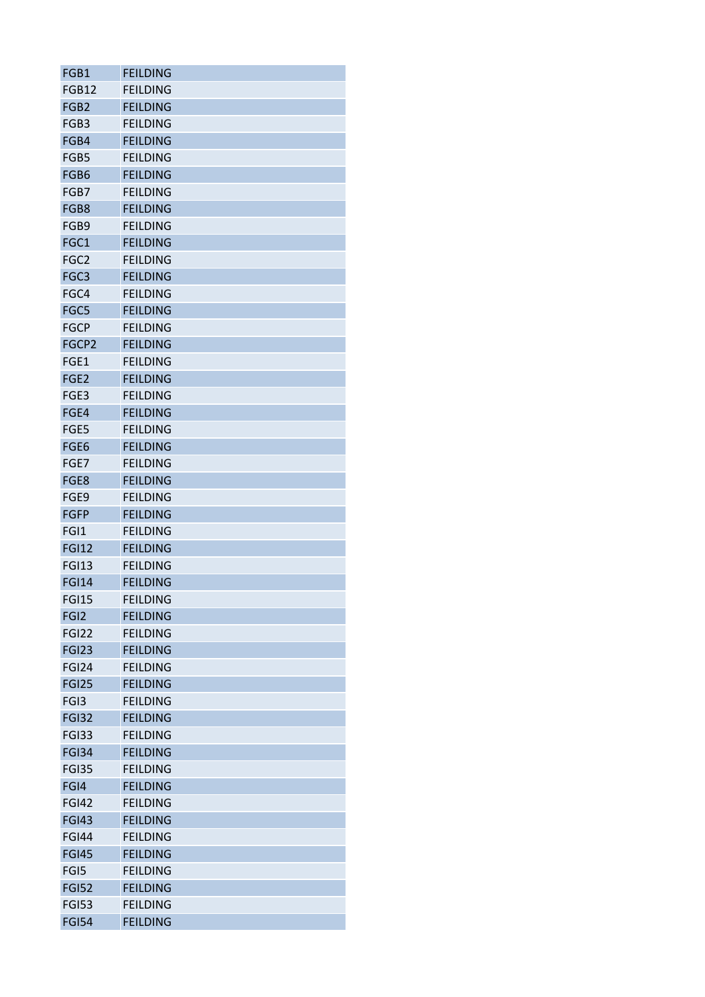| FGB1                         | <b>FEILDING</b>                    |
|------------------------------|------------------------------------|
| FGB12                        | <b>FEILDING</b>                    |
| FGB <sub>2</sub>             | <b>FEILDING</b>                    |
| FGB3                         | <b>FEILDING</b>                    |
| FGB4                         | <b>FEILDING</b>                    |
| FGB5                         | <b>FEILDING</b>                    |
| FGB6                         | <b>FEILDING</b>                    |
| FGB7                         | <b>FEILDING</b>                    |
| FGB8                         | <b>FEILDING</b>                    |
| FGB9                         | <b>FEILDING</b>                    |
| FGC1                         | <b>FEILDING</b>                    |
| FGC <sub>2</sub>             | <b>FEILDING</b>                    |
| FGC3                         | <b>FEILDING</b>                    |
| FGC4                         | <b>FEILDING</b>                    |
| FGC5                         | <b>FEILDING</b>                    |
| <b>FGCP</b>                  | <b>FEILDING</b>                    |
| FGCP2                        | <b>FEILDING</b>                    |
| FGE1                         | <b>FEILDING</b>                    |
| FGE <sub>2</sub>             | <b>FEILDING</b>                    |
| FGE3                         | <b>FEILDING</b>                    |
| FGE4                         | <b>FEILDING</b>                    |
| FGE5                         | <b>FEILDING</b>                    |
| FGE6                         | <b>FEILDING</b>                    |
| FGE7                         | <b>FEILDING</b>                    |
| FGE8                         | <b>FEILDING</b>                    |
| FGE9                         | <b>FEILDING</b>                    |
| <b>FGFP</b>                  | <b>FEILDING</b>                    |
|                              |                                    |
| FGI1<br><b>FGI12</b>         | <b>FEILDING</b><br><b>FEILDING</b> |
|                              | <b>FEILDING</b>                    |
| <b>FGI13</b><br><b>FGI14</b> |                                    |
|                              | <b>FEILDING</b>                    |
| <b>FGI15</b>                 | <b>FEILDING</b>                    |
| FGI <sub>2</sub>             | <b>FEILDING</b>                    |
| <b>FGI22</b>                 | <b>FEILDING</b>                    |
| <b>FGI23</b>                 | <b>FEILDING</b>                    |
| <b>FGI24</b>                 | <b>FEILDING</b>                    |
| <b>FGI25</b>                 | <b>FEILDING</b>                    |
| FGI3                         | <b>FEILDING</b>                    |
| <b>FGI32</b>                 | <b>FEILDING</b>                    |
| <b>FGI33</b>                 | <b>FEILDING</b>                    |
| <b>FGI34</b>                 | <b>FEILDING</b>                    |
| <b>FGI35</b>                 | <b>FEILDING</b>                    |
| FGI4                         | <b>FEILDING</b>                    |
| <b>FGI42</b>                 | <b>FEILDING</b>                    |
| <b>FGI43</b>                 | <b>FEILDING</b>                    |
| <b>FGI44</b>                 | <b>FEILDING</b>                    |
| <b>FGI45</b>                 | <b>FEILDING</b>                    |
| FGI5                         | <b>FEILDING</b>                    |
| <b>FGI52</b>                 | <b>FEILDING</b>                    |
| <b>FGI53</b>                 | <b>FEILDING</b>                    |
| <b>FGI54</b>                 | <b>FEILDING</b>                    |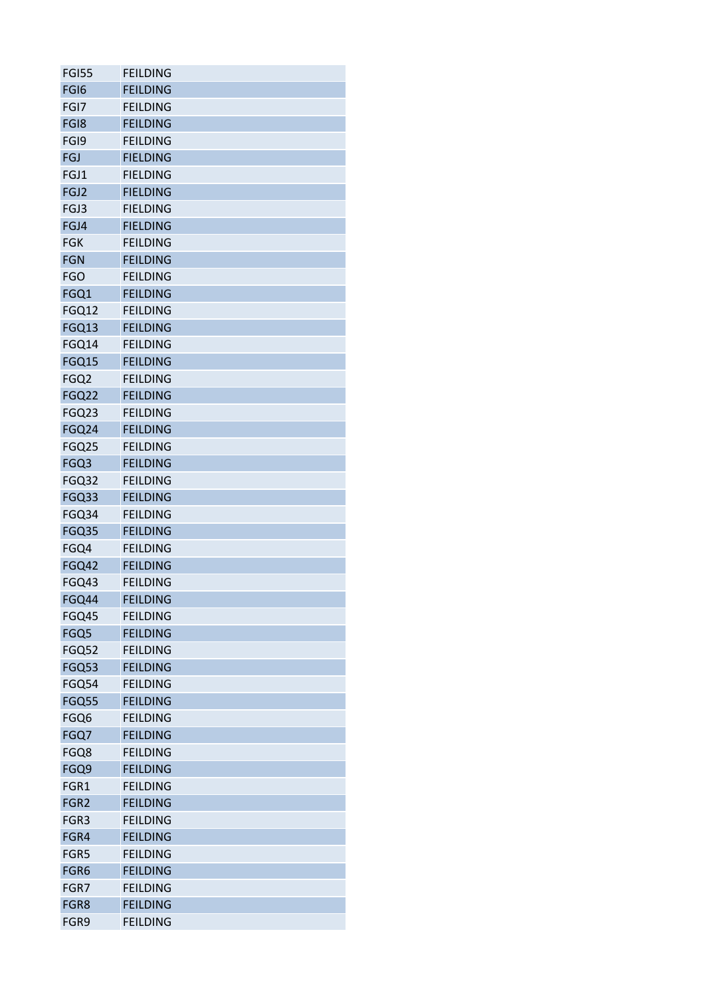| <b>FGI55</b>     | <b>FEILDING</b> |
|------------------|-----------------|
| FGI <sub>6</sub> | <b>FEILDING</b> |
| FGI7             | <b>FEILDING</b> |
| FG18             | <b>FEILDING</b> |
| FGI9             | <b>FEILDING</b> |
| <b>FGJ</b>       | <b>FIELDING</b> |
| FGJ1             | <b>FIELDING</b> |
| FGJ2             | <b>FIELDING</b> |
| FGJ3             | <b>FIELDING</b> |
| FGJ4             | <b>FIELDING</b> |
| <b>FGK</b>       | <b>FEILDING</b> |
| <b>FGN</b>       | <b>FEILDING</b> |
| <b>FGO</b>       | <b>FEILDING</b> |
| FGQ1             | <b>FEILDING</b> |
| FGQ12            | <b>FEILDING</b> |
| FGQ13            | <b>FEILDING</b> |
| FGQ14            | <b>FEILDING</b> |
| <b>FGQ15</b>     | <b>FEILDING</b> |
| FGQ <sub>2</sub> | <b>FEILDING</b> |
| <b>FGQ22</b>     | <b>FEILDING</b> |
| FGQ23            | <b>FEILDING</b> |
| FGQ24            | <b>FEILDING</b> |
|                  |                 |
| FGQ25            | <b>FEILDING</b> |
| FGQ3             | <b>FEILDING</b> |
| FGQ32            | <b>FEILDING</b> |
| FGQ33            | <b>FEILDING</b> |
| FGQ34            | <b>FEILDING</b> |
| <b>FGQ35</b>     | <b>FEILDING</b> |
| FGQ4             | <b>FEILDING</b> |
| <b>FGQ42</b>     | <b>FEILDING</b> |
| FGQ43            | <b>FEILDING</b> |
| FGQ44            | <b>FEILDING</b> |
| FGQ45            | <b>FEILDING</b> |
| FGQ5             | <b>FEILDING</b> |
| FGQ52            | <b>FEILDING</b> |
| FGQ53            | <b>FEILDING</b> |
| FGQ54            | <b>FEILDING</b> |
| <b>FGQ55</b>     | <b>FEILDING</b> |
| FGQ6             | <b>FEILDING</b> |
| FGQ7             | <b>FEILDING</b> |
| FGQ8             | <b>FEILDING</b> |
| FGQ9             | <b>FEILDING</b> |
| FGR1             | <b>FEILDING</b> |
| FGR <sub>2</sub> | <b>FEILDING</b> |
| FGR3             | <b>FEILDING</b> |
| FGR4             | <b>FEILDING</b> |
| FGR5             | <b>FEILDING</b> |
| FGR6             | <b>FEILDING</b> |
| FGR7             | <b>FEILDING</b> |
| FGR8             | <b>FEILDING</b> |
| FGR9             | <b>FEILDING</b> |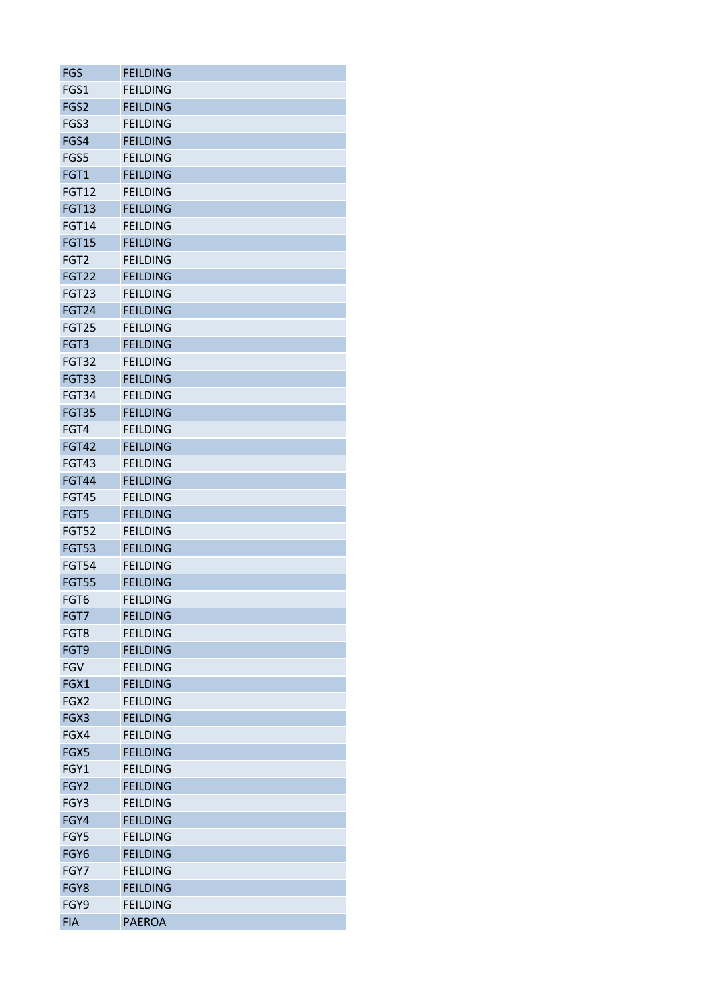| <b>FGS</b>       | <b>FEILDING</b> |
|------------------|-----------------|
| FGS1             | <b>FEILDING</b> |
| FGS2             | <b>FEILDING</b> |
| FGS3             | <b>FEILDING</b> |
| FGS4             | <b>FEILDING</b> |
| FGS5             | <b>FEILDING</b> |
| FGT1             | <b>FEILDING</b> |
| <b>FGT12</b>     | <b>FEILDING</b> |
| <b>FGT13</b>     | <b>FEILDING</b> |
| <b>FGT14</b>     | <b>FEILDING</b> |
| <b>FGT15</b>     | <b>FEILDING</b> |
| FGT <sub>2</sub> | <b>FEILDING</b> |
| <b>FGT22</b>     | <b>FEILDING</b> |
| FGT23            | <b>FEILDING</b> |
| <b>FGT24</b>     | <b>FEILDING</b> |
| <b>FGT25</b>     | <b>FEILDING</b> |
| FGT3             | <b>FEILDING</b> |
|                  | <b>FEILDING</b> |
| FGT32<br>FGT33   | <b>FEILDING</b> |
|                  |                 |
| <b>FGT34</b>     | <b>FEILDING</b> |
| FGT35            | <b>FEILDING</b> |
| FGT4             | <b>FEILDING</b> |
| <b>FGT42</b>     | <b>FEILDING</b> |
| <b>FGT43</b>     | <b>FEILDING</b> |
| <b>FGT44</b>     | <b>FEILDING</b> |
| <b>FGT45</b>     | <b>FEILDING</b> |
| FGT5             | <b>FEILDING</b> |
| <b>FGT52</b>     | <b>FEILDING</b> |
| FGT53            | <b>FEILDING</b> |
| <b>FGT54</b>     | <b>FEILDING</b> |
| <b>FGT55</b>     | <b>FEILDING</b> |
| FGT6             | <b>FEILDING</b> |
| FGT7             | <b>FEILDING</b> |
| FGT8             | <b>FEILDING</b> |
| FGT9             | <b>FEILDING</b> |
| <b>FGV</b>       | <b>FEILDING</b> |
| FGX1             | <b>FEILDING</b> |
| FGX2             | <b>FEILDING</b> |
| FGX3             | <b>FEILDING</b> |
| FGX4             | <b>FEILDING</b> |
| FGX5             | <b>FEILDING</b> |
| FGY1             | <b>FEILDING</b> |
| FGY2             | <b>FEILDING</b> |
| FGY3             | <b>FEILDING</b> |
| FGY4             | <b>FEILDING</b> |
| FGY5             | <b>FEILDING</b> |
| FGY6             | <b>FEILDING</b> |
| FGY7             | <b>FEILDING</b> |
| FGY8             | <b>FEILDING</b> |
| FGY9             | <b>FEILDING</b> |
| <b>FIA</b>       | <b>PAEROA</b>   |
|                  |                 |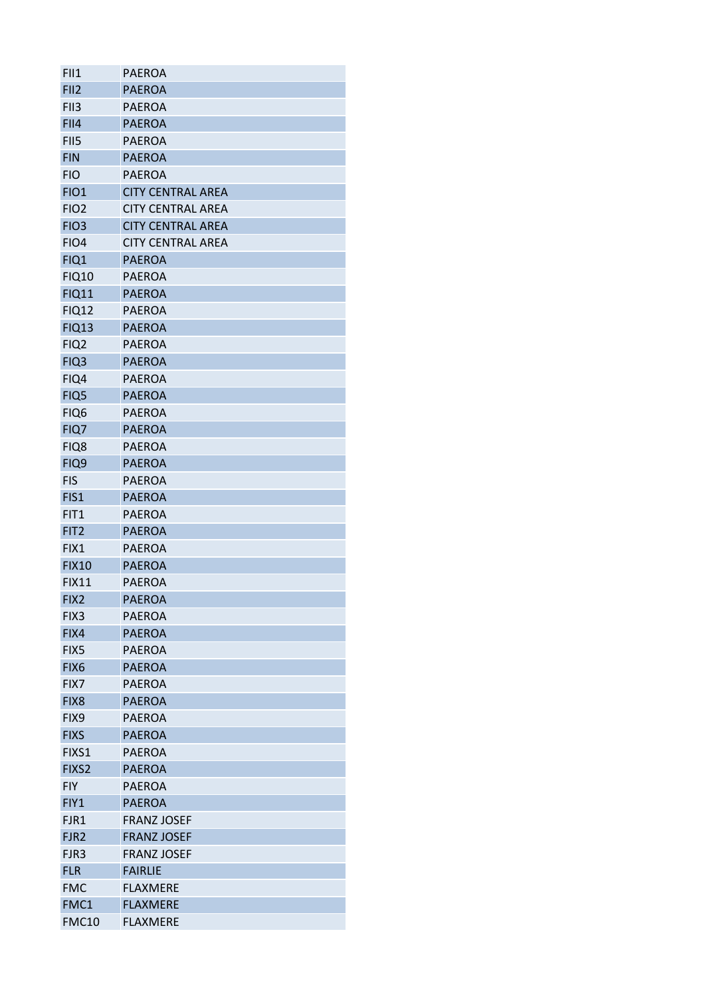| FII1             | <b>PAEROA</b>            |
|------------------|--------------------------|
| FII <sub>2</sub> | <b>PAEROA</b>            |
| FII <sub>3</sub> | <b>PAEROA</b>            |
| FII4             | <b>PAEROA</b>            |
| FII5             | <b>PAEROA</b>            |
| <b>FIN</b>       | <b>PAEROA</b>            |
| <b>FIO</b>       | <b>PAEROA</b>            |
| <b>FIO1</b>      | <b>CITY CENTRAL AREA</b> |
| FIO <sub>2</sub> | <b>CITY CENTRAL AREA</b> |
| FIO <sub>3</sub> | <b>CITY CENTRAL AREA</b> |
| FIO <sub>4</sub> | <b>CITY CENTRAL AREA</b> |
| FIQ1             | <b>PAEROA</b>            |
| <b>FIQ10</b>     | <b>PAEROA</b>            |
| <b>FIQ11</b>     | <b>PAEROA</b>            |
| <b>FIQ12</b>     | <b>PAEROA</b>            |
| <b>FIQ13</b>     | <b>PAEROA</b>            |
| FIQ <sub>2</sub> | <b>PAEROA</b>            |
| FIQ <sub>3</sub> | <b>PAEROA</b>            |
| FIQ4             | <b>PAEROA</b>            |
| FIQ5             | <b>PAEROA</b>            |
| FIQ6             | <b>PAEROA</b>            |
| FIQ7             | <b>PAEROA</b>            |
| FIQ8             | PAEROA                   |
| FIQ9             | <b>PAEROA</b>            |
| <b>FIS</b>       | <b>PAEROA</b>            |
| FIS1             | <b>PAEROA</b>            |
| FIT <sub>1</sub> | <b>PAEROA</b>            |
|                  |                          |
| FIT <sub>2</sub> | <b>PAEROA</b>            |
| FIX1             | <b>PAEROA</b>            |
| <b>FIX10</b>     | <b>PAEROA</b>            |
| <b>FIX11</b>     | <b>PAEROA</b>            |
| FIX <sub>2</sub> | <b>PAEROA</b>            |
| FIX3             | <b>PAEROA</b>            |
| FIX4             | <b>PAEROA</b>            |
| FIX5             | <b>PAEROA</b>            |
| FIX <sub>6</sub> | <b>PAEROA</b>            |
| FIX7             | <b>PAEROA</b>            |
| FIX8             | <b>PAEROA</b>            |
| FIX9             | <b>PAEROA</b>            |
| <b>FIXS</b>      | <b>PAEROA</b>            |
| FIXS1            | <b>PAEROA</b>            |
| FIXS2            | <b>PAEROA</b>            |
| <b>FIY</b>       | <b>PAEROA</b>            |
| FIY1             | <b>PAEROA</b>            |
| FJR1             | <b>FRANZ JOSEF</b>       |
| FJR <sub>2</sub> | <b>FRANZ JOSEF</b>       |
| FJR3             | <b>FRANZ JOSEF</b>       |
| <b>FLR</b>       | <b>FAIRLIE</b>           |
| <b>FMC</b>       | <b>FLAXMERE</b>          |
| FMC1             | <b>FLAXMERE</b>          |
| <b>FMC10</b>     | <b>FLAXMERE</b>          |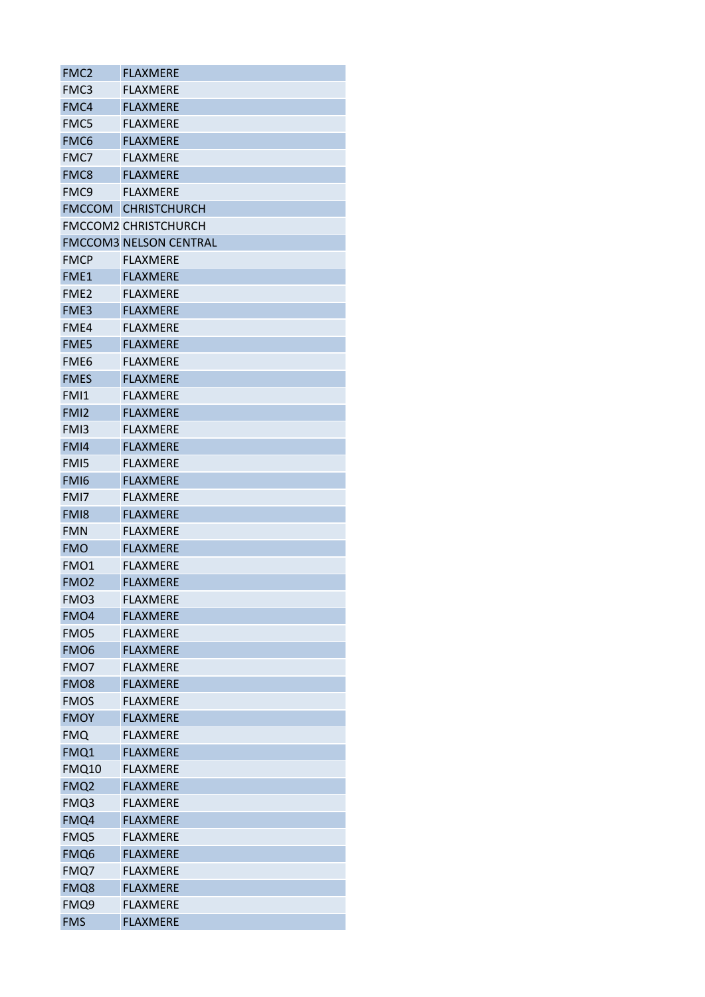| FMC <sub>2</sub> | <b>FLAXMERE</b>               |
|------------------|-------------------------------|
| FMC3             | <b>FLAXMERE</b>               |
| FMC4             | <b>FLAXMERE</b>               |
| FMC5             | <b>FLAXMERE</b>               |
| FMC6             | <b>FLAXMERE</b>               |
| FMC7             | <b>FLAXMERE</b>               |
| FMC8             | <b>FLAXMERE</b>               |
| FMC9             | <b>FLAXMERE</b>               |
| <b>FMCCOM</b>    | <b>CHRISTCHURCH</b>           |
|                  | <b>FMCCOM2 CHRISTCHURCH</b>   |
|                  | <b>FMCCOM3 NELSON CENTRAL</b> |
| <b>FMCP</b>      | <b>FLAXMERE</b>               |
| FME1             | <b>FLAXMERE</b>               |
| FME <sub>2</sub> | <b>FLAXMERE</b>               |
| FME3             | <b>FLAXMERE</b>               |
| FME4             | <b>FLAXMERE</b>               |
| FME5             | <b>FLAXMERE</b>               |
| FME <sub>6</sub> | FLAXMERE                      |
| <b>FMES</b>      | <b>FLAXMERE</b>               |
| FMI1             | <b>FLAXMFRF</b>               |
| FMI <sub>2</sub> | <b>FLAXMERE</b>               |
| FM <sub>13</sub> | <b>FLAXMERE</b>               |
| FMI4             | <b>FLAXMERE</b>               |
| FMI5             | <b>FLAXMERE</b>               |
| FMI <sub>6</sub> | <b>FLAXMERE</b>               |
| FMI7             | <b>FLAXMERE</b>               |
| FM <sub>18</sub> | <b>FLAXMERE</b>               |
|                  | <b>FLAXMERE</b>               |
| <b>FMN</b>       |                               |
| <b>FMO</b>       | <b>FLAXMERE</b>               |
| FMO1             | <b>FLAXMERE</b>               |
| FMO <sub>2</sub> | <b>FLAXMERE</b>               |
| FMO3             | <b>FLAXMERE</b>               |
| FMO <sub>4</sub> | <b>FLAXMERE</b>               |
| FMO <sub>5</sub> | <b>FLAXMERE</b>               |
| FMO <sub>6</sub> | <b>FLAXMERE</b>               |
| FMO7             | <b>FLAXMERE</b>               |
| FMO <sub>8</sub> | <b>FLAXMERE</b>               |
| <b>FMOS</b>      | <b>FLAXMERE</b>               |
| <b>FMOY</b>      | <b>FLAXMERE</b>               |
| <b>FMQ</b>       | <b>FLAXMERE</b>               |
| FMQ1             | <b>FLAXMERE</b>               |
| <b>FMQ10</b>     | <b>FLAXMERE</b>               |
| FMQ <sub>2</sub> | <b>FLAXMERE</b>               |
| FMQ3             | <b>FLAXMERE</b>               |
| FMQ4             | <b>FLAXMERE</b>               |
| FMQ5             | <b>FLAXMERE</b>               |
| FMQ6             | <b>FLAXMERE</b>               |
| FMQ7             | <b>FLAXMERE</b>               |
| FMQ8             | <b>FLAXMERE</b>               |
| FMQ9             | <b>FLAXMERE</b>               |
| <b>FMS</b>       | <b>FLAXMERE</b>               |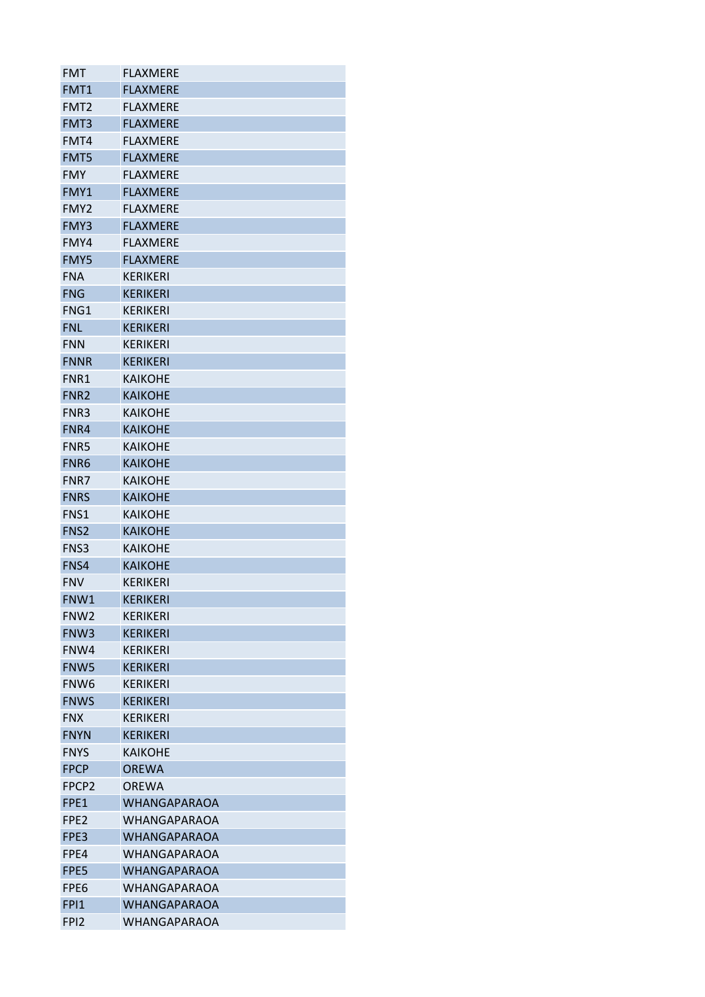| <b>FMT</b>       | <b>FLAXMERE</b>     |
|------------------|---------------------|
| FMT1             | <b>FLAXMERE</b>     |
| FMT <sub>2</sub> | <b>FLAXMERE</b>     |
| FMT3             | <b>FLAXMERE</b>     |
| FMT4             | <b>FLAXMERE</b>     |
| FMT5             | <b>FLAXMERE</b>     |
| <b>FMY</b>       | <b>FLAXMERE</b>     |
| FMY1             | <b>FLAXMERE</b>     |
| FMY <sub>2</sub> | <b>FLAXMERE</b>     |
| FMY3             | <b>FLAXMERE</b>     |
| FMY4             | <b>FLAXMERE</b>     |
| <b>FMY5</b>      | <b>FLAXMERE</b>     |
| <b>FNA</b>       | <b>KERIKERI</b>     |
| <b>FNG</b>       | <b>KERIKERI</b>     |
| FNG1             | <b>KERIKERI</b>     |
| <b>FNL</b>       | <b>KERIKERI</b>     |
| <b>FNN</b>       | <b>KERIKERI</b>     |
| <b>FNNR</b>      | <b>KERIKERI</b>     |
| FNR1             | <b>KAIKOHE</b>      |
| FNR <sub>2</sub> | <b>KAIKOHE</b>      |
| FNR <sub>3</sub> | <b>KAIKOHE</b>      |
| FNR4             | <b>KAIKOHE</b>      |
| FNR5             | <b>KAIKOHE</b>      |
| FNR6             | <b>KAIKOHE</b>      |
| FNR7             | <b>KAIKOHE</b>      |
| <b>FNRS</b>      | <b>KAIKOHE</b>      |
| FNS <sub>1</sub> | <b>KAIKOHE</b>      |
| FNS <sub>2</sub> | <b>KAIKOHE</b>      |
| FNS3             | <b>KAIKOHE</b>      |
| FNS4             | <b>KAIKOHE</b>      |
| <b>FNV</b>       | <b>KERIKERI</b>     |
| FNW1             | <b>KERIKERI</b>     |
| FNW <sub>2</sub> | <b>KFRIKFRI</b>     |
| FNW3             | <b>KERIKERI</b>     |
| FNW4             | KERIKERI            |
| FNW5             | <b>KERIKERI</b>     |
| FNW <sub>6</sub> | KERIKERI            |
| <b>FNWS</b>      | <b>KERIKERI</b>     |
| <b>FNX</b>       | <b>KERIKERI</b>     |
| <b>FNYN</b>      | KERIKERI            |
| <b>FNYS</b>      | <b>KAIKOHE</b>      |
| <b>FPCP</b>      | <b>OREWA</b>        |
| FPCP2            | <b>OREWA</b>        |
| FPE1             | <b>WHANGAPARAOA</b> |
| FPE2             | WHANGAPARAOA        |
| FPE3             | WHANGAPARAOA        |
| FPE4             | WHANGAPARAOA        |
| FPE5             | <b>WHANGAPARAOA</b> |
| FPE6             | WHANGAPARAOA        |
| <b>FPI1</b>      | WHANGAPARAOA        |
| FP <sub>12</sub> | WHANGAPARAOA        |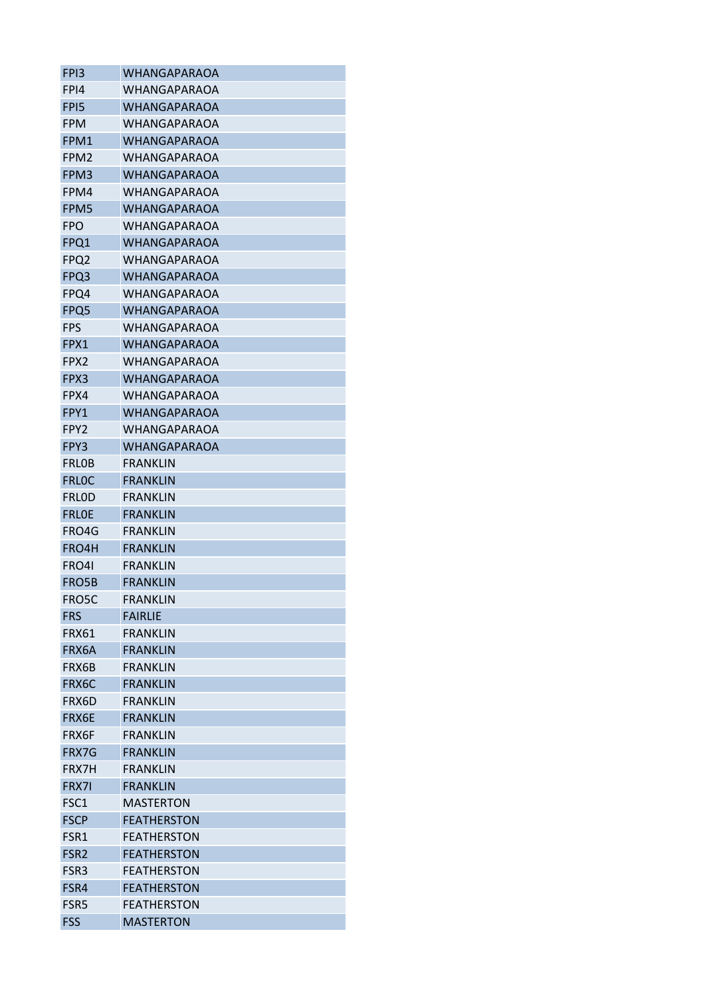| FP <sub>13</sub> | <b>WHANGAPARAOA</b> |
|------------------|---------------------|
| FPI4             | WHANGAPARAOA        |
| FP <sub>15</sub> | <b>WHANGAPARAOA</b> |
| <b>FPM</b>       | WHANGAPARAOA        |
| FPM1             | <b>WHANGAPARAOA</b> |
| FPM <sub>2</sub> | WHANGAPARAOA        |
| FPM3             | WHANGAPARAOA        |
| FPM4             | WHANGAPARAOA        |
| FPM5             | <b>WHANGAPARAOA</b> |
| FPO              | WHANGAPARAOA        |
| FPQ1             | <b>WHANGAPARAOA</b> |
| FPQ <sub>2</sub> | WHANGAPARAOA        |
| FPQ3             | <b>WHANGAPARAOA</b> |
| FPQ4             | WHANGAPARAOA        |
| FPQ5             | <b>WHANGAPARAOA</b> |
| <b>FPS</b>       | WHANGAPARAOA        |
| FPX1             | <b>WHANGAPARAOA</b> |
| FPX <sub>2</sub> | <b>WHANGAPARAOA</b> |
| FPX3             | <b>WHANGAPARAOA</b> |
| FPX4             | WHANGAPARAOA        |
| FPY1             | <b>WHANGAPARAOA</b> |
| FPY2             | <b>WHANGAPARAOA</b> |
| FPY3             | <b>WHANGAPARAOA</b> |
| <b>FRLOB</b>     | <b>FRANKLIN</b>     |
| <b>FRLOC</b>     | <b>FRANKLIN</b>     |
| <b>FRLOD</b>     | <b>FRANKLIN</b>     |
| <b>FRLOE</b>     | <b>FRANKLIN</b>     |
|                  |                     |
| FRO4G            | FRANKLIN            |
| FRO4H            | <b>FRANKLIN</b>     |
| FRO4I            | FRANKLIN            |
| FRO5B            | <b>FRANKLIN</b>     |
| FRO5C            | <b>FRANKLIN</b>     |
| <b>FRS</b>       | <b>FAIRLIE</b>      |
| FRX61            | <b>FRANKLIN</b>     |
| FRX6A            | <b>FRANKLIN</b>     |
| FRX6B            | <b>FRANKLIN</b>     |
| FRX6C            | <b>FRANKLIN</b>     |
| FRX6D            | <b>FRANKLIN</b>     |
| FRX6E            | <b>FRANKLIN</b>     |
| FRX6F            | <b>FRANKLIN</b>     |
| <b>FRX7G</b>     | FRANKLIN            |
| FRX7H            | <b>FRANKLIN</b>     |
| FRX7I            | <b>FRANKLIN</b>     |
| FSC1             | <b>MASTERTON</b>    |
| <b>FSCP</b>      | <b>FEATHERSTON</b>  |
| FSR1             | <b>FEATHERSTON</b>  |
| FSR <sub>2</sub> | <b>FEATHERSTON</b>  |
| FSR3             | <b>FEATHERSTON</b>  |
| FSR4             | <b>FEATHERSTON</b>  |
| FSR5             | <b>FEATHERSTON</b>  |
| <b>FSS</b>       | <b>MASTERTON</b>    |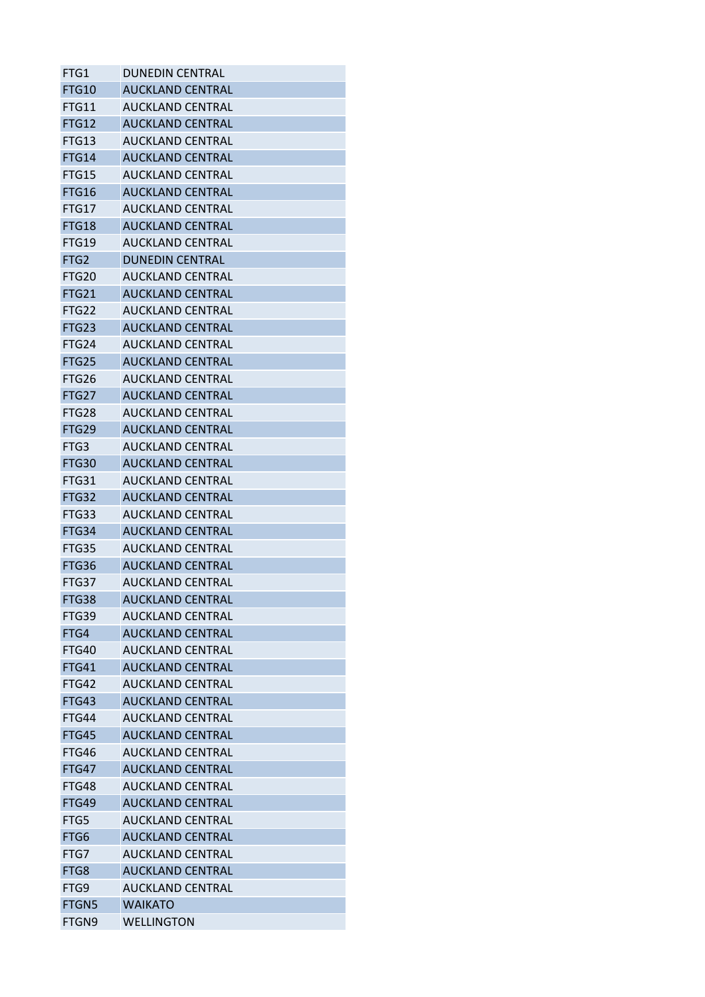| FTG1             | <b>DUNEDIN CENTRAL</b>  |
|------------------|-------------------------|
| <b>FTG10</b>     | <b>AUCKLAND CENTRAL</b> |
| FTG11            | <b>AUCKLAND CENTRAL</b> |
| <b>FTG12</b>     | <b>AUCKLAND CENTRAL</b> |
| FTG13            | <b>AUCKLAND CENTRAL</b> |
| <b>FTG14</b>     | <b>AUCKLAND CENTRAL</b> |
| FTG15            | <b>AUCKLAND CENTRAL</b> |
| FTG16            | <b>AUCKLAND CENTRAL</b> |
| FTG17            | <b>AUCKLAND CENTRAL</b> |
| FTG18            | <b>AUCKLAND CENTRAL</b> |
| <b>FTG19</b>     | <b>AUCKLAND CENTRAL</b> |
| FTG <sub>2</sub> | <b>DUNEDIN CENTRAL</b>  |
| FTG20            | <b>AUCKLAND CENTRAL</b> |
| <b>FTG21</b>     | <b>AUCKLAND CENTRAL</b> |
| FTG22            | <b>AUCKLAND CENTRAL</b> |
| FTG23            | <b>AUCKLAND CENTRAL</b> |
| FTG24            | <b>AUCKLAND CENTRAL</b> |
| FTG25            | <b>AUCKLAND CENTRAL</b> |
| FTG26            | <b>AUCKLAND CENTRAL</b> |
| FTG27            | <b>AUCKLAND CENTRAL</b> |
| FTG28            | <b>AUCKLAND CENTRAL</b> |
| FTG29            | <b>AUCKLAND CENTRAL</b> |
| FTG3             | <b>AUCKLAND CENTRAL</b> |
| <b>FTG30</b>     | <b>AUCKLAND CENTRAL</b> |
| FTG31            | <b>AUCKLAND CENTRAL</b> |
| FTG32            | <b>AUCKLAND CENTRAL</b> |
| FTG33            | <b>AUCKLAND CENTRAL</b> |
| FTG34            | <b>AUCKLAND CENTRAL</b> |
| FTG35            | <b>AUCKLAND CENTRAL</b> |
| FTG36            | <b>AUCKLAND CENTRAL</b> |
| FTG37            | <b>AUCKLAND CENTRAL</b> |
| FTG38            | <b>AUCKLAND CENTRAL</b> |
| FTG39            | AUCKLAND CENTRAL        |
| FTG4             | <b>AUCKLAND CENTRAL</b> |
| FTG40            | <b>AUCKLAND CENTRAL</b> |
| <b>FTG41</b>     | <b>AUCKLAND CENTRAL</b> |
| FTG42            | <b>AUCKLAND CENTRAL</b> |
| FTG43            | <b>AUCKLAND CENTRAL</b> |
| FTG44            | <b>AUCKLAND CENTRAL</b> |
| FTG45            | <b>AUCKLAND CENTRAL</b> |
| FTG46            | <b>AUCKLAND CENTRAL</b> |
| FTG47            | <b>AUCKLAND CENTRAL</b> |
| FTG48            | <b>AUCKLAND CENTRAL</b> |
| FTG49            | <b>AUCKLAND CENTRAL</b> |
| FTG5             | <b>AUCKLAND CENTRAL</b> |
| FTG6             | <b>AUCKLAND CENTRAL</b> |
| FTG7             | <b>AUCKLAND CENTRAL</b> |
| FTG8             | <b>AUCKLAND CENTRAL</b> |
| FTG9             | <b>AUCKLAND CENTRAL</b> |
| FTGN5            | <b>WAIKATO</b>          |
| FTGN9            | <b>WELLINGTON</b>       |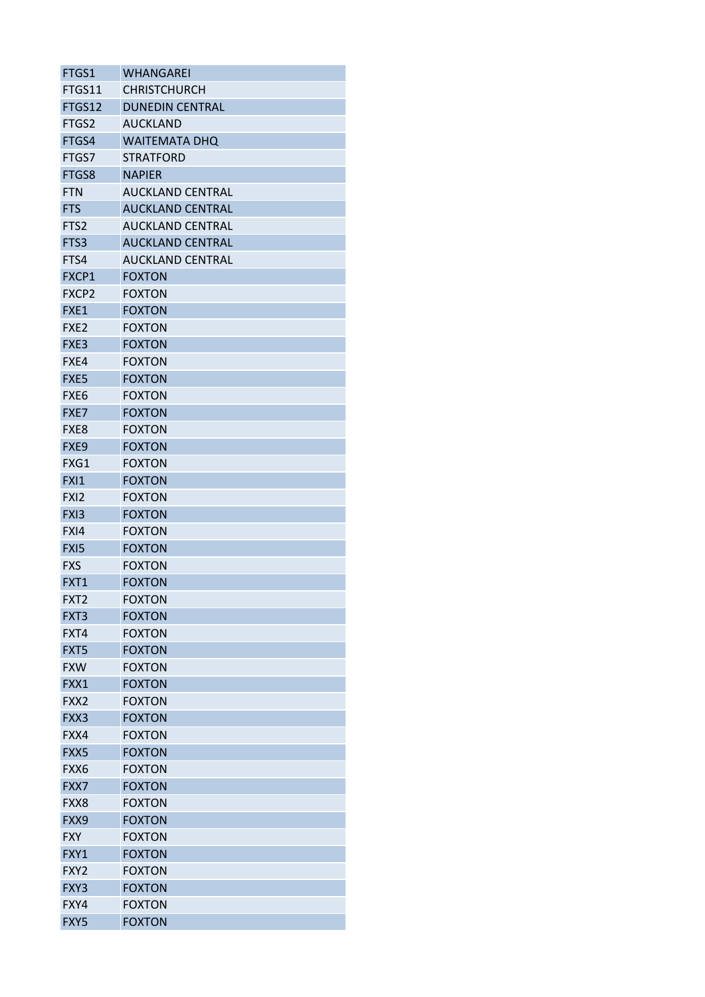| FTGS1             | WHANGAREI               |
|-------------------|-------------------------|
| FTGS11            | <b>CHRISTCHURCH</b>     |
| FTGS12            | <b>DUNEDIN CENTRAL</b>  |
| FTGS2             | <b>AUCKLAND</b>         |
| FTGS4             | <b>WAITEMATA DHQ</b>    |
| FTGS7             | <b>STRATFORD</b>        |
| FTGS8             | <b>NAPIER</b>           |
| <b>FTN</b>        | <b>AUCKLAND CENTRAL</b> |
| <b>FTS</b>        | <b>AUCKLAND CENTRAL</b> |
| FTS <sub>2</sub>  | <b>AUCKLAND CENTRAL</b> |
| FTS3              | <b>AUCKLAND CENTRAL</b> |
| FTS4              | <b>AUCKLAND CENTRAL</b> |
| FXCP1             | <b>FOXTON</b>           |
| FXCP <sub>2</sub> | <b>FOXTON</b>           |
| FXE1              | <b>FOXTON</b>           |
| FXE <sub>2</sub>  | <b>FOXTON</b>           |
| FXE3              | <b>FOXTON</b>           |
| FXE4              | <b>FOXTON</b>           |
| FXE5              | <b>FOXTON</b>           |
| FXE <sub>6</sub>  | <b>FOXTON</b>           |
| FXE7              | <b>FOXTON</b>           |
| FXE8              | <b>FOXTON</b>           |
| FXE9              | <b>FOXTON</b>           |
| FXG1              | <b>FOXTON</b>           |
| <b>FXI1</b>       | <b>FOXTON</b>           |
| FX <sub>12</sub>  | <b>FOXTON</b>           |
| FXI3              | <b>FOXTON</b>           |
| FXI4              | <b>FOXTON</b>           |
| FXI5              | <b>FOXTON</b>           |
| <b>FXS</b>        | <b>FOXTON</b>           |
| FXT1              | <b>FOXTON</b>           |
| FXT <sub>2</sub>  | <b>FOXTON</b>           |
| FXT3              | <b>FOXTON</b>           |
| FXT4              | <b>FOXTON</b>           |
| FXT5              | <b>FOXTON</b>           |
| <b>FXW</b>        | <b>FOXTON</b>           |
| FXX1              | <b>FOXTON</b>           |
| FXX2              | <b>FOXTON</b>           |
| FXX3              | <b>FOXTON</b>           |
| FXX4              | <b>FOXTON</b>           |
| FXX5              | <b>FOXTON</b>           |
| FXX6              | <b>FOXTON</b>           |
| FXX7              | <b>FOXTON</b>           |
| FXX8              | <b>FOXTON</b>           |
| FXX9              | <b>FOXTON</b>           |
| FXY               | <b>FOXTON</b>           |
| FXY1              | <b>FOXTON</b>           |
| FXY <sub>2</sub>  | <b>FOXTON</b>           |
| FXY3              | <b>FOXTON</b>           |
| FXY4              | <b>FOXTON</b>           |
| FXY5              | <b>FOXTON</b>           |
|                   |                         |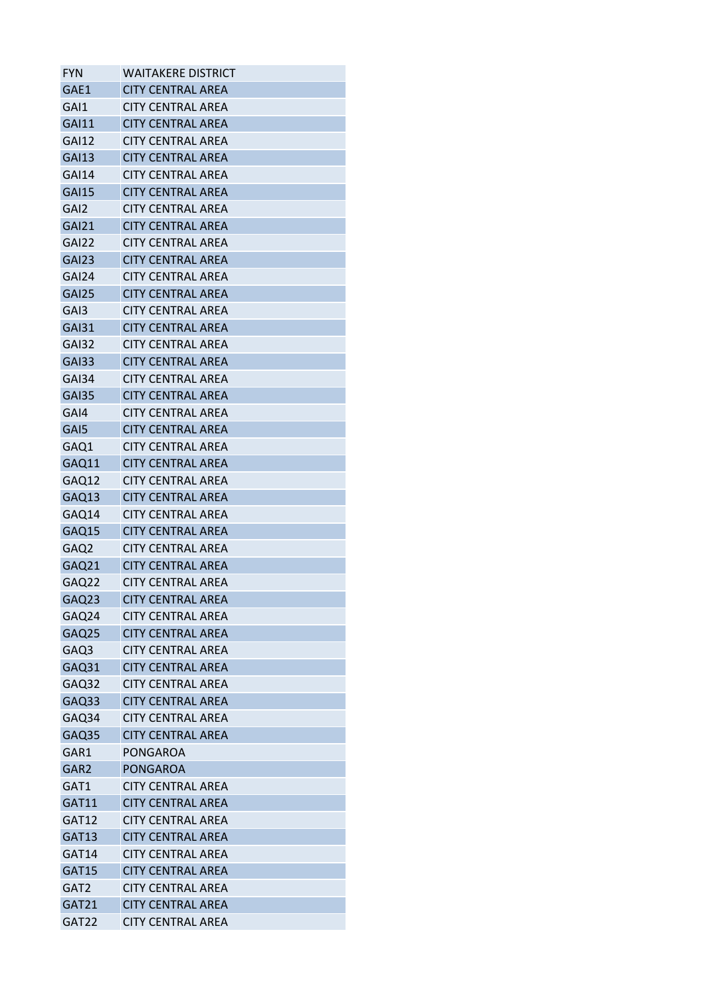| <b>FYN</b>        | <b>WAITAKERE DISTRICT</b> |
|-------------------|---------------------------|
| GAE1              | <b>CITY CENTRAL AREA</b>  |
| GAI1              | <b>CITY CENTRAL AREA</b>  |
| <b>GAI11</b>      | <b>CITY CENTRAL AREA</b>  |
| <b>GAI12</b>      | <b>CITY CENTRAL AREA</b>  |
| <b>GAI13</b>      | <b>CITY CENTRAL AREA</b>  |
| <b>GAI14</b>      | <b>CITY CENTRAL AREA</b>  |
| <b>GAI15</b>      | <b>CITY CENTRAL AREA</b>  |
| GAI <sub>2</sub>  | <b>CITY CENTRAL AREA</b>  |
| <b>GAI21</b>      | <b>CITY CENTRAL AREA</b>  |
| GAI22             | <b>CITY CENTRAL AREA</b>  |
| GAI <sub>23</sub> | <b>CITY CENTRAL AREA</b>  |
| GAI24             | <b>CITY CENTRAL AREA</b>  |
| <b>GAI25</b>      | <b>CITY CENTRAL AREA</b>  |
| GAI3              | <b>CITY CENTRAL AREA</b>  |
| <b>GAI31</b>      | <b>CITY CENTRAL AREA</b>  |
| <b>GAI32</b>      | <b>CITY CENTRAL AREA</b>  |
| <b>GAI33</b>      | <b>CITY CENTRAL AREA</b>  |
| GAI34             | <b>CITY CENTRAL AREA</b>  |
| <b>GAI35</b>      | <b>CITY CENTRAL AREA</b>  |
| GAI4              | <b>CITY CENTRAL AREA</b>  |
| GAI5              | <b>CITY CENTRAL AREA</b>  |
| GAQ1              | <b>CITY CENTRAL AREA</b>  |
| GAQ11             | <b>CITY CENTRAL AREA</b>  |
| GAQ12             | <b>CITY CENTRAL AREA</b>  |
| GAQ13             | <b>CITY CENTRAL AREA</b>  |
| GAQ14             | <b>CITY CENTRAL AREA</b>  |
| GAQ15             | <b>CITY CENTRAL AREA</b>  |
| GAQ <sub>2</sub>  | <b>CITY CENTRAL AREA</b>  |
| GAQ21             | <b>CITY CENTRAL AREA</b>  |
| GAQ22             | <b>CITY CENTRAL AREA</b>  |
| GAQ23             | <b>CITY CENTRAL AREA</b>  |
| GAQ24             | <b>CITY CENTRAL AREA</b>  |
| GAQ25             | <b>CITY CENTRAL AREA</b>  |
| GAQ3              | <b>CITY CENTRAL AREA</b>  |
| GAQ31             | <b>CITY CENTRAL AREA</b>  |
| GAQ32             | <b>CITY CENTRAL AREA</b>  |
| GAQ33             | <b>CITY CENTRAL AREA</b>  |
| GAQ34             | <b>CITY CENTRAL AREA</b>  |
| GAQ35             | <b>CITY CENTRAL AREA</b>  |
| GAR1              | PONGAROA                  |
| GAR <sub>2</sub>  | <b>PONGAROA</b>           |
| GAT1              | <b>CITY CENTRAL AREA</b>  |
| <b>GAT11</b>      | <b>CITY CENTRAL AREA</b>  |
| GAT12             | <b>CITY CENTRAL AREA</b>  |
| GAT13             | <b>CITY CENTRAL AREA</b>  |
| GAT14             | <b>CITY CENTRAL AREA</b>  |
| GAT15             | <b>CITY CENTRAL AREA</b>  |
| GAT <sub>2</sub>  | <b>CITY CENTRAL AREA</b>  |
| GAT21             | <b>CITY CENTRAL AREA</b>  |
| GAT22             | <b>CITY CENTRAL AREA</b>  |
|                   |                           |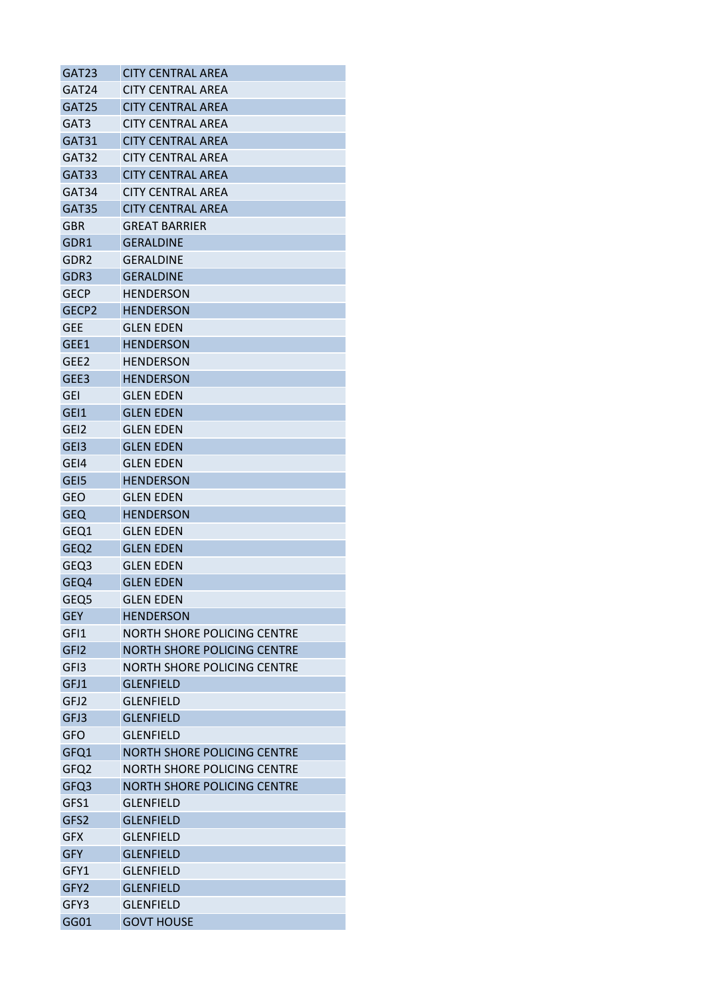| GAT23             | <b>CITY CENTRAL AREA</b>           |
|-------------------|------------------------------------|
| GAT24             | <b>CITY CENTRAL AREA</b>           |
| GAT <sub>25</sub> | <b>CITY CENTRAL AREA</b>           |
| GAT3              | <b>CITY CENTRAL AREA</b>           |
| GAT31             | <b>CITY CENTRAL AREA</b>           |
| GAT32             | <b>CITY CENTRAL AREA</b>           |
| GAT33             | <b>CITY CENTRAL AREA</b>           |
| GAT34             | <b>CITY CENTRAL AREA</b>           |
| GAT35             | <b>CITY CENTRAL AREA</b>           |
| GBR               | <b>GREAT BARRIER</b>               |
| GDR1              | <b>GERALDINE</b>                   |
| GDR2              | GERALDINE                          |
| GDR <sub>3</sub>  | <b>GERALDINE</b>                   |
| <b>GECP</b>       | HENDERSON                          |
| GECP <sub>2</sub> | <b>HENDERSON</b>                   |
| <b>GEE</b>        | <b>GLEN EDEN</b>                   |
| GEE1              | <b>HENDERSON</b>                   |
| GEE <sub>2</sub>  | <b>HENDERSON</b>                   |
| GEE3              | <b>HENDERSON</b>                   |
| <b>GEI</b>        | <b>GLEN EDEN</b>                   |
| GEI1              | <b>GLEN EDEN</b>                   |
| GE <sub>12</sub>  | <b>GLEN EDEN</b>                   |
| GE <sub>13</sub>  | <b>GLEN EDEN</b>                   |
| GE <sub>14</sub>  | <b>GLEN EDEN</b>                   |
| GEI5              | <b>HENDERSON</b>                   |
| <b>GEO</b>        | <b>GLEN EDEN</b>                   |
| <b>GEQ</b>        | <b>HENDERSON</b>                   |
| GEQ1              | <b>GLEN EDEN</b>                   |
| GEQ <sub>2</sub>  | <b>GLEN EDEN</b>                   |
| GEQ3              | <b>GLEN EDEN</b>                   |
| GEQ4              | <b>GLEN EDEN</b>                   |
| GEQ <sub>5</sub>  | <b>GLEN EDEN</b>                   |
| <b>GEY</b>        | <b>HENDERSON</b>                   |
| GFI1              | NORTH SHORE POLICING CENTRE        |
| GFI <sub>2</sub>  | <b>NORTH SHORE POLICING CENTRE</b> |
| GFI3              | NORTH SHORE POLICING CENTRE        |
| GFJ1              | <b>GLENFIELD</b>                   |
| GFJ2              | <b>GLENFIELD</b>                   |
| GFJ3              | <b>GLENFIELD</b>                   |
| <b>GFO</b>        | <b>GLENFIELD</b>                   |
| GFQ1              | <b>NORTH SHORE POLICING CENTRE</b> |
| GFQ <sub>2</sub>  | <b>NORTH SHORE POLICING CENTRE</b> |
| GFQ3              | <b>NORTH SHORE POLICING CENTRE</b> |
| GFS1              | <b>GLENFIELD</b>                   |
| GFS2              | <b>GLENFIELD</b>                   |
| <b>GFX</b>        | <b>GLENFIELD</b>                   |
| <b>GFY</b>        | <b>GLENFIELD</b>                   |
| GFY1              | <b>GLENFIELD</b>                   |
| GFY2              | <b>GLENFIELD</b>                   |
| GFY3              | <b>GLENFIELD</b>                   |
| GG01              | <b>GOVT HOUSE</b>                  |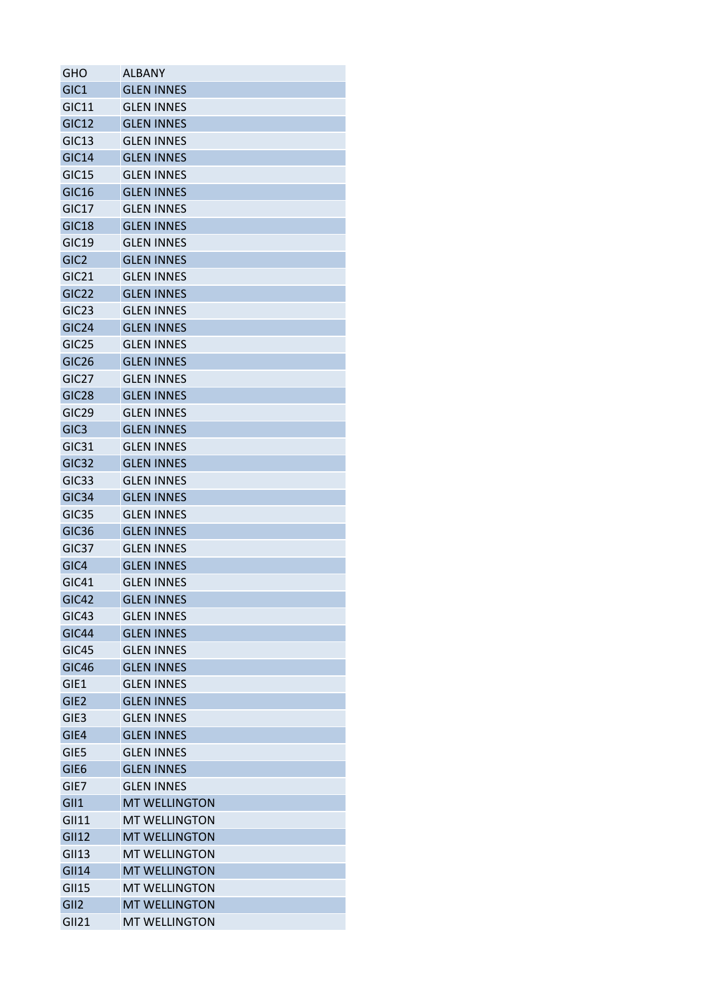| GHO                        | ALBANY               |
|----------------------------|----------------------|
| GIC <sub>1</sub>           | <b>GLEN INNES</b>    |
| <b>GIC11</b>               | <b>GLEN INNES</b>    |
| <b>GIC12</b>               | <b>GLEN INNES</b>    |
| GIC13                      | <b>GLEN INNES</b>    |
| <b>GIC14</b>               | <b>GLEN INNES</b>    |
| GIC15                      | <b>GLEN INNES</b>    |
| <b>GIC16</b>               | <b>GLEN INNES</b>    |
| GIC17                      | <b>GLEN INNES</b>    |
| <b>GIC18</b>               | <b>GLEN INNES</b>    |
| GIC <sub>19</sub>          | <b>GLEN INNES</b>    |
| GIC <sub>2</sub>           | <b>GLEN INNES</b>    |
| GIC <sub>21</sub>          | <b>GLEN INNES</b>    |
| GIC22                      | <b>GLEN INNES</b>    |
| GIC <sub>23</sub>          | <b>GLEN INNES</b>    |
| GIC <sub>24</sub>          | <b>GLEN INNES</b>    |
| GIC <sub>25</sub>          | <b>GLEN INNES</b>    |
| GIC <sub>26</sub>          | <b>GLEN INNES</b>    |
| GIC <sub>27</sub>          | <b>GLEN INNES</b>    |
| GIC <sub>28</sub>          | <b>GLEN INNES</b>    |
| GIC <sub>29</sub>          | <b>GLEN INNES</b>    |
| GIC <sub>3</sub>           | <b>GLEN INNES</b>    |
| GIC31                      | <b>GLEN INNES</b>    |
| GIC <sub>32</sub>          | <b>GLEN INNES</b>    |
|                            |                      |
| GIC <sub>33</sub><br>GIC34 | <b>GLEN INNES</b>    |
|                            | <b>GLEN INNES</b>    |
| GIC <sub>35</sub>          | <b>GLEN INNES</b>    |
| GIC <sub>36</sub>          | <b>GLEN INNES</b>    |
| GIC37                      | <b>GLEN INNES</b>    |
| GIC4                       | <b>GLEN INNES</b>    |
| GIC41                      | <b>GLEN INNES</b>    |
| GIC42                      | <b>GLEN INNES</b>    |
| GIC43                      | <b>GLEN INNES</b>    |
| GIC44                      | <b>GLEN INNES</b>    |
| GIC45                      | <b>GLEN INNES</b>    |
| GIC46                      | <b>GLEN INNES</b>    |
| GIE1                       | <b>GLEN INNES</b>    |
| GIE <sub>2</sub>           | <b>GLEN INNES</b>    |
| GIE <sub>3</sub>           | <b>GLEN INNES</b>    |
| GIE4                       | <b>GLEN INNES</b>    |
| GIE5                       | <b>GLEN INNES</b>    |
| GIE <sub>6</sub>           | <b>GLEN INNES</b>    |
| GIE7                       | <b>GLEN INNES</b>    |
| GII1                       | <b>MT WELLINGTON</b> |
| GII11                      | <b>MT WELLINGTON</b> |
| <b>GII12</b>               | <b>MT WELLINGTON</b> |
| <b>GII13</b>               | <b>MT WELLINGTON</b> |
| <b>GII14</b>               | <b>MT WELLINGTON</b> |
| <b>GII15</b>               | <b>MT WELLINGTON</b> |
| GII <sub>2</sub>           | <b>MT WELLINGTON</b> |
| <b>GII21</b>               | <b>MT WELLINGTON</b> |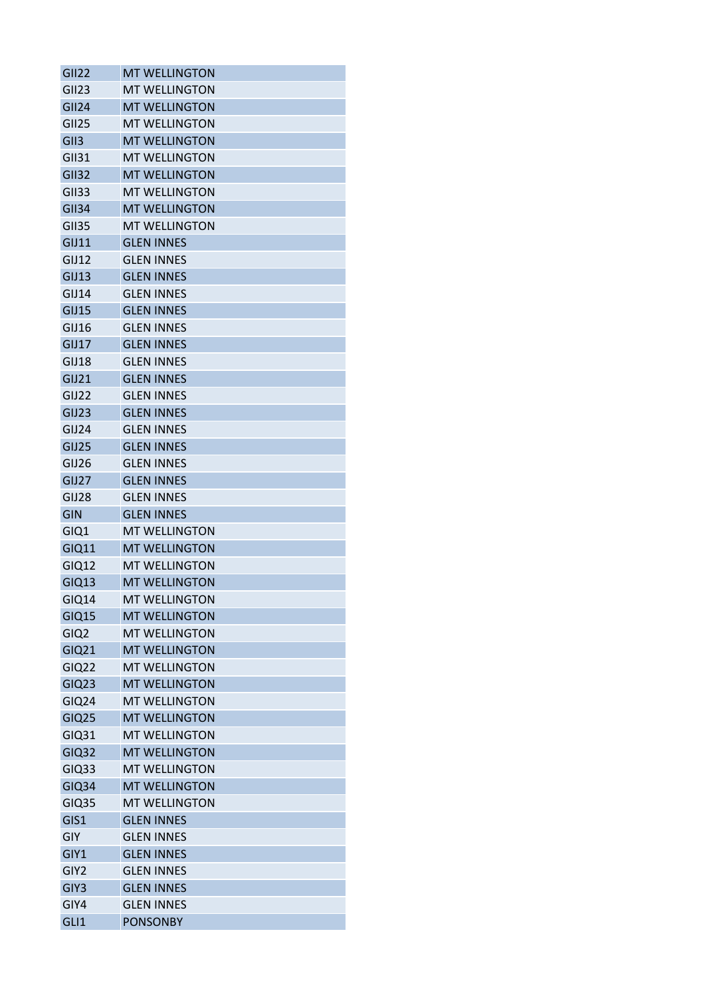| <b>GII22</b>         | <b>MT WELLINGTON</b>                      |
|----------------------|-------------------------------------------|
| GII23                | <b>MT WELLINGTON</b>                      |
| <b>GII24</b>         | <b>MT WELLINGTON</b>                      |
| <b>GII25</b>         | <b>MT WELLINGTON</b>                      |
| GII3                 | <b>MT WELLINGTON</b>                      |
| <b>GII31</b>         | <b>MT WELLINGTON</b>                      |
| <b>GII32</b>         | <b>MT WELLINGTON</b>                      |
| <b>GII33</b>         | <b>MT WELLINGTON</b>                      |
| <b>GII34</b>         | <b>MT WELLINGTON</b>                      |
| <b>GII35</b>         | <b>MT WELLINGTON</b>                      |
| <b>GIJ11</b>         | <b>GLEN INNES</b>                         |
| GIJ12                | <b>GLEN INNES</b>                         |
| GIJ13                | <b>GLEN INNES</b>                         |
| GIJ14                | <b>GLEN INNES</b>                         |
| GIJ15                | <b>GLEN INNES</b>                         |
| GIJ16                | <b>GLEN INNES</b>                         |
| GIJ17                | <b>GLEN INNES</b>                         |
| GIJ18                | <b>GLEN INNES</b>                         |
| GIJ21                | <b>GLEN INNES</b>                         |
| GIJ22                | <b>GLEN INNES</b>                         |
| GIJ23                | <b>GLEN INNES</b>                         |
| GIJ24                | <b>GLEN INNES</b>                         |
| GIJ25                | <b>GLEN INNES</b>                         |
| GIJ26                | <b>GLEN INNES</b>                         |
| GIJ27                | <b>GLEN INNES</b>                         |
| GIJ28                | <b>GLEN INNES</b>                         |
| <b>GIN</b>           | <b>GLEN INNES</b>                         |
| GIQ1                 | <b>MT WELLINGTON</b>                      |
| GIQ11                | <b>MT WELLINGTON</b>                      |
| GIQ12                | <b>MT WELLINGTON</b>                      |
| <b>GIQ13</b>         | <b>MT WELLINGTON</b>                      |
| <b>GIQ14</b>         | <b>MT WELLINGTON</b>                      |
| <b>GIQ15</b>         | <b>MT WELLINGTON</b>                      |
| GIQ <sub>2</sub>     | <b>MT WELLINGTON</b>                      |
| <b>GIQ21</b>         | <b>MT WELLINGTON</b>                      |
| <b>GIQ22</b>         | <b>MT WELLINGTON</b>                      |
| <b>GIQ23</b>         | <b>MT WELLINGTON</b>                      |
| <b>GIQ24</b>         | <b>MT WELLINGTON</b>                      |
| <b>GIQ25</b>         | <b>MT WELLINGTON</b>                      |
| GIQ31                | <b>MT WELLINGTON</b>                      |
| <b>GIQ32</b>         | <b>MT WELLINGTON</b>                      |
| GIQ33                | <b>MT WELLINGTON</b>                      |
| <b>GIQ34</b>         | <b>MT WELLINGTON</b>                      |
|                      |                                           |
| <b>GIQ35</b><br>GIS1 | <b>MT WELLINGTON</b><br><b>GLEN INNES</b> |
|                      |                                           |
| GIY                  | <b>GLEN INNES</b>                         |
| GIY1                 | <b>GLEN INNES</b>                         |
| GIY2                 | <b>GLEN INNES</b>                         |
| GIY3                 | <b>GLEN INNES</b>                         |
| GIY4                 | <b>GLEN INNES</b>                         |
| GLI1                 | <b>PONSONBY</b>                           |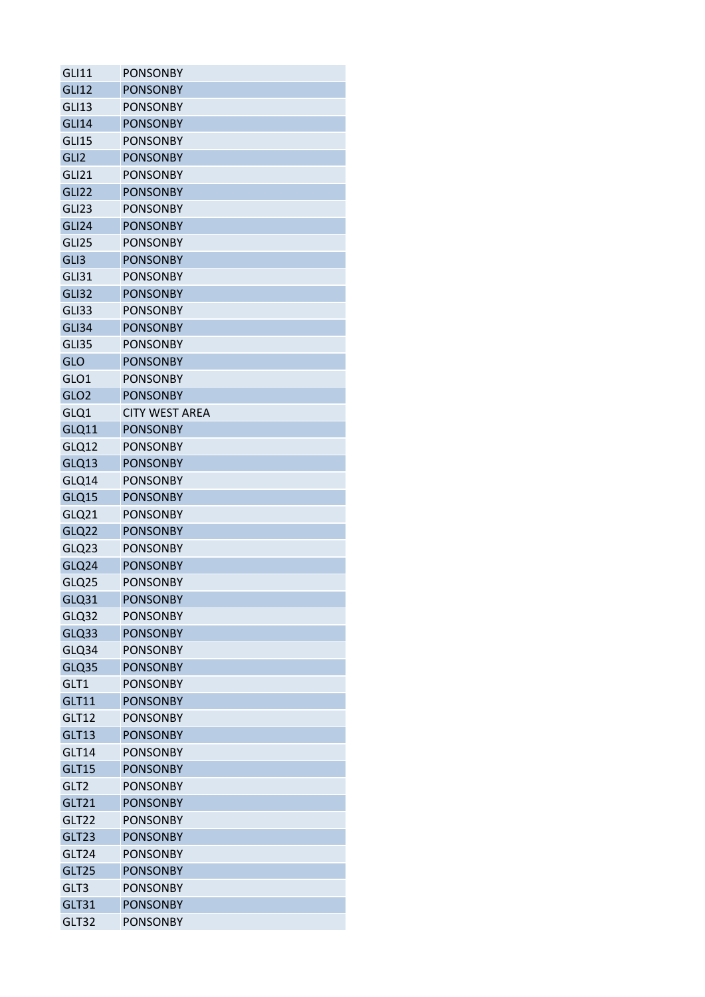| <b>GLI11</b>      | <b>PONSONBY</b>       |
|-------------------|-----------------------|
| <b>GLI12</b>      | <b>PONSONBY</b>       |
| GLI <sub>13</sub> | <b>PONSONBY</b>       |
| <b>GLI14</b>      | <b>PONSONBY</b>       |
| <b>GLI15</b>      | <b>PONSONBY</b>       |
| GLI <sub>2</sub>  | <b>PONSONBY</b>       |
| GLI21             | <b>PONSONBY</b>       |
| <b>GLI22</b>      | <b>PONSONBY</b>       |
| GLI <sub>23</sub> | <b>PONSONBY</b>       |
| <b>GLI24</b>      | <b>PONSONBY</b>       |
| GLI <sub>25</sub> | <b>PONSONBY</b>       |
| GLI3              | <b>PONSONBY</b>       |
| <b>GLI31</b>      | <b>PONSONBY</b>       |
| <b>GLI32</b>      | <b>PONSONBY</b>       |
| GLI33             | <b>PONSONBY</b>       |
| GLI34             | <b>PONSONBY</b>       |
| GLI35             | <b>PONSONBY</b>       |
| GLO               | <b>PONSONBY</b>       |
| GLO1              | <b>PONSONBY</b>       |
| GLO <sub>2</sub>  | <b>PONSONBY</b>       |
| GLQ1              | <b>CITY WEST AREA</b> |
| GLQ11             | <b>PONSONBY</b>       |
| GLQ12             | <b>PONSONBY</b>       |
| GLQ13             | <b>PONSONBY</b>       |
| GLQ14             | <b>PONSONBY</b>       |
| GLQ15             | <b>PONSONBY</b>       |
| GLQ21             | <b>PONSONBY</b>       |
| GLQ22             | <b>PONSONBY</b>       |
|                   | <b>PONSONBY</b>       |
| GLQ23<br>GLQ24    | <b>PONSONBY</b>       |
|                   |                       |
| GLQ25             | <b>PONSONBY</b>       |
| <b>GLQ31</b>      | <b>PONSONBY</b>       |
| GLQ32             | <b>PONSONBY</b>       |
| GLQ33             | <b>PONSONBY</b>       |
| GLQ34             | <b>PONSONBY</b>       |
| GLQ35             | <b>PONSONBY</b>       |
| GLT1              | <b>PONSONBY</b>       |
| <b>GLT11</b>      | <b>PONSONBY</b>       |
| <b>GLT12</b>      | <b>PONSONBY</b>       |
| <b>GLT13</b>      | <b>PONSONBY</b>       |
| GLT14             | <b>PONSONBY</b>       |
| <b>GLT15</b>      | <b>PONSONBY</b>       |
| GLT <sub>2</sub>  | <b>PONSONBY</b>       |
| GLT21             | <b>PONSONBY</b>       |
| GLT22             | <b>PONSONBY</b>       |
| GLT23             | <b>PONSONBY</b>       |
| GLT24             | <b>PONSONBY</b>       |
| GLT25             | <b>PONSONBY</b>       |
| GLT3              | <b>PONSONBY</b>       |
| GLT31             | <b>PONSONBY</b>       |
| GLT32             | <b>PONSONBY</b>       |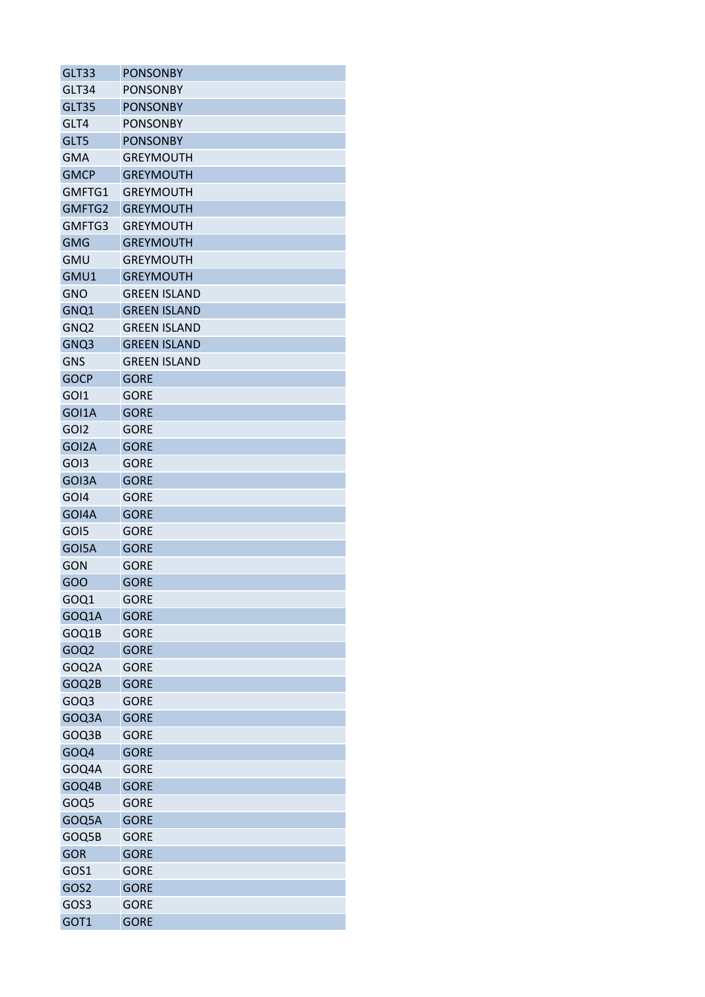| GLT33            | <b>PONSONBY</b>     |
|------------------|---------------------|
| GLT34            | <b>PONSONBY</b>     |
| GLT35            | <b>PONSONBY</b>     |
| GLT4             | <b>PONSONBY</b>     |
| GLT5             | <b>PONSONBY</b>     |
| <b>GMA</b>       | <b>GREYMOUTH</b>    |
| <b>GMCP</b>      | <b>GREYMOUTH</b>    |
| GMFTG1           | <b>GREYMOUTH</b>    |
| GMFTG2           | <b>GREYMOUTH</b>    |
| GMFTG3           | <b>GREYMOUTH</b>    |
| <b>GMG</b>       | <b>GREYMOUTH</b>    |
| <b>GMU</b>       | <b>GREYMOUTH</b>    |
| GMU1             | <b>GREYMOUTH</b>    |
| <b>GNO</b>       | <b>GREEN ISLAND</b> |
| GNQ1             | <b>GREEN ISLAND</b> |
| GNQ <sub>2</sub> | <b>GREEN ISLAND</b> |
| GNQ3             | <b>GREEN ISLAND</b> |
| <b>GNS</b>       | <b>GREEN ISLAND</b> |
| <b>GOCP</b>      | <b>GORE</b>         |
| GOI1             | <b>GORE</b>         |
| GOI1A            | <b>GORE</b>         |
| GOI <sub>2</sub> | <b>GORE</b>         |
| GOI2A            | <b>GORE</b>         |
| GOI3             | <b>GORE</b>         |
| GOI3A            | <b>GORE</b>         |
| GOI4             | <b>GORE</b>         |
| GOI4A            | <b>GORE</b>         |
| GOI5             | <b>GORE</b>         |
|                  | <b>GORE</b>         |
| GOI5A            |                     |
| GON              | <b>GORE</b>         |
| GOO              | <b>GORE</b>         |
| GOQ1             | <b>GORE</b>         |
| GOQ1A            | <b>GORE</b>         |
| GOQ1B            | <b>GORE</b>         |
| GOQ <sub>2</sub> | <b>GORE</b>         |
| GOQ2A            | <b>GORE</b>         |
| GOQ2B            | <b>GORE</b>         |
| GOQ3             | <b>GORE</b>         |
| GOQ3A            | <b>GORE</b>         |
| GOQ3B            | <b>GORE</b>         |
| GOQ4             | <b>GORE</b>         |
| GOQ4A            | <b>GORE</b>         |
| GOQ4B            | <b>GORE</b>         |
| GOQ5             | <b>GORE</b>         |
| GOQ5A            | <b>GORE</b>         |
| GOQ5B            | <b>GORE</b>         |
| <b>GOR</b>       | <b>GORE</b>         |
| GOS1             | <b>GORE</b>         |
| GOS2             | <b>GORE</b>         |
| GOS3             | <b>GORE</b>         |
| GOT1             | <b>GORE</b>         |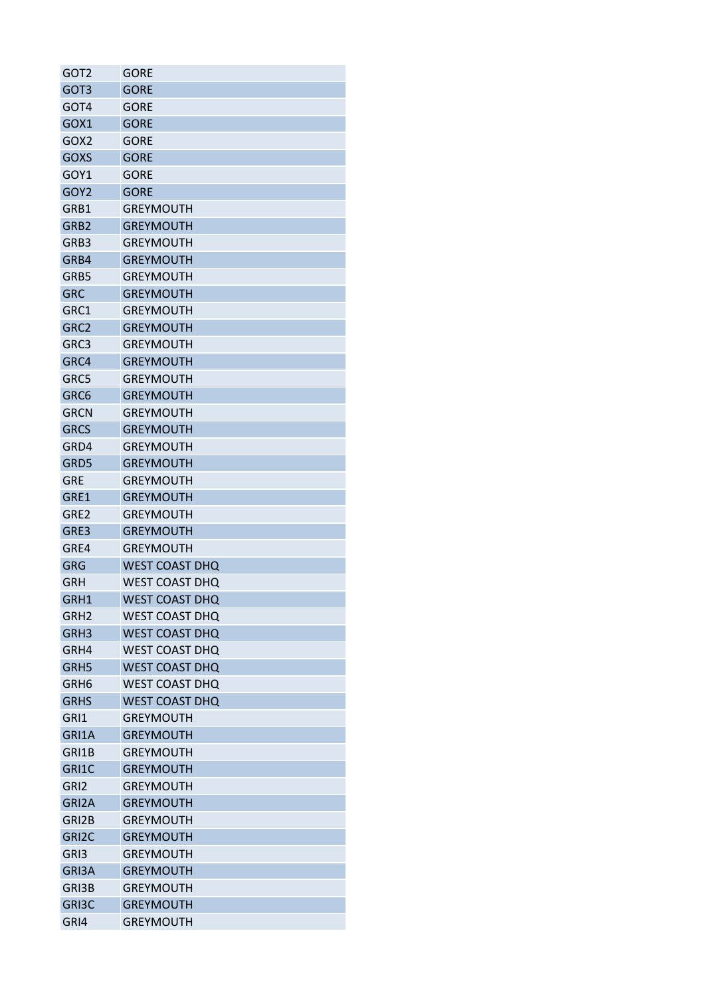| GOT <sub>2</sub>   | GORE                  |
|--------------------|-----------------------|
| GOT3               | <b>GORE</b>           |
| GOT4               | GORE                  |
| GOX1               | <b>GORE</b>           |
| GOX <sub>2</sub>   | <b>GORE</b>           |
| <b>GOXS</b>        | <b>GORE</b>           |
| GOY1               | <b>GORE</b>           |
| GOY <sub>2</sub>   | <b>GORE</b>           |
| GRB1               | <b>GREYMOUTH</b>      |
| GRB <sub>2</sub>   | <b>GREYMOUTH</b>      |
| GRB3               | <b>GREYMOUTH</b>      |
| GRB4               | <b>GREYMOUTH</b>      |
| GRB5               | <b>GREYMOUTH</b>      |
| <b>GRC</b>         | <b>GREYMOUTH</b>      |
| GRC1               | <b>GREYMOUTH</b>      |
| GRC <sub>2</sub>   | <b>GREYMOUTH</b>      |
| GRC3               | <b>GREYMOUTH</b>      |
| GRC4               | <b>GREYMOUTH</b>      |
| GRC5               | <b>GREYMOUTH</b>      |
| GRC6               | <b>GREYMOUTH</b>      |
| <b>GRCN</b>        | <b>GREYMOUTH</b>      |
| <b>GRCS</b>        | <b>GREYMOUTH</b>      |
| GRD4               | GREYMOUTH             |
| GRD5               | <b>GREYMOUTH</b>      |
| <b>GRE</b>         | <b>GREYMOUTH</b>      |
| GRE1               | <b>GREYMOUTH</b>      |
| GRE <sub>2</sub>   | <b>GREYMOUTH</b>      |
| GRE3               | <b>GREYMOUTH</b>      |
| GRE4               | <b>GREYMOUTH</b>      |
| GRG                | <b>WEST COAST DHQ</b> |
| GRH                | <b>WEST COAST DHO</b> |
| GRH1               |                       |
|                    | <b>WEST COAST DHQ</b> |
| GRH2               | WEST COAST DHO        |
| GRH3               | <b>WEST COAST DHQ</b> |
| GRH4               | <b>WEST COAST DHQ</b> |
| GRH5               | <b>WEST COAST DHQ</b> |
| GRH <sub>6</sub>   | <b>WEST COAST DHQ</b> |
| <b>GRHS</b>        | <b>WEST COAST DHQ</b> |
| GRI1               | <b>GREYMOUTH</b>      |
| GRI1A              | <b>GREYMOUTH</b>      |
| GRI1B              | <b>GREYMOUTH</b>      |
| GRI1C              | <b>GREYMOUTH</b>      |
| GRI <sub>2</sub>   | <b>GREYMOUTH</b>      |
| GRI2A              | <b>GREYMOUTH</b>      |
| GRI2B              | <b>GREYMOUTH</b>      |
| GRI <sub>2</sub> C | <b>GREYMOUTH</b>      |
| GRI3               | <b>GREYMOUTH</b>      |
| GRI3A              | <b>GREYMOUTH</b>      |
| GRI3B              | <b>GREYMOUTH</b>      |
| GRI3C              | <b>GREYMOUTH</b>      |
| GRI4               | <b>GREYMOUTH</b>      |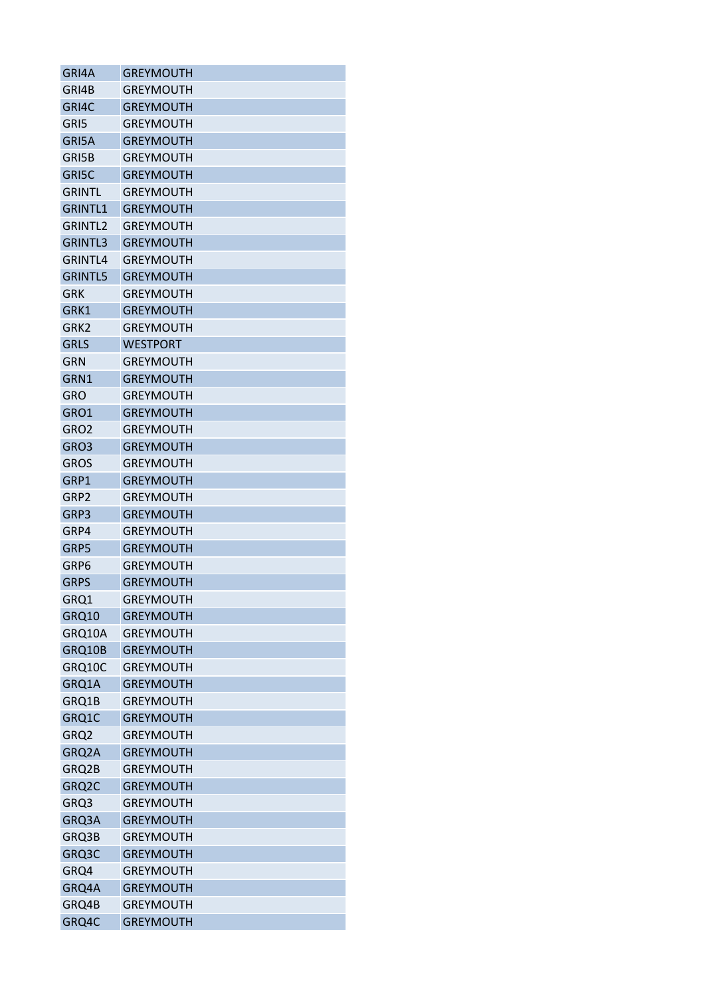| GRI4A               | <b>GREYMOUTH</b> |
|---------------------|------------------|
| GRI4B               | <b>GREYMOUTH</b> |
| GRI4C               | <b>GREYMOUTH</b> |
| GRI5                | <b>GREYMOUTH</b> |
| GRI5A               | <b>GREYMOUTH</b> |
| GRI5B               | <b>GREYMOUTH</b> |
| GRI5C               | <b>GREYMOUTH</b> |
| GRINTL              | <b>GREYMOUTH</b> |
| <b>GRINTL1</b>      | <b>GREYMOUTH</b> |
| GRINTL <sub>2</sub> | <b>GREYMOUTH</b> |
| GRINTL3             | <b>GREYMOUTH</b> |
| GRINTL4             | <b>GREYMOUTH</b> |
| <b>GRINTL5</b>      | <b>GREYMOUTH</b> |
| GRK                 | GREYMOUTH        |
| GRK1                | <b>GREYMOUTH</b> |
| GRK <sub>2</sub>    | <b>GREYMOUTH</b> |
| <b>GRLS</b>         | <b>WESTPORT</b>  |
| GRN                 | GREYMOUTH        |
| GRN1                | <b>GREYMOUTH</b> |
| GRO                 | <b>GREYMOUTH</b> |
| GRO1                | <b>GREYMOUTH</b> |
| GRO <sub>2</sub>    | <b>GREYMOUTH</b> |
| GRO3                | <b>GREYMOUTH</b> |
| <b>GROS</b>         | <b>GREYMOUTH</b> |
|                     |                  |
| GRP1                | <b>GREYMOUTH</b> |
| GRP2                | <b>GREYMOUTH</b> |
| GRP3                | <b>GREYMOUTH</b> |
| GRP4                | <b>GREYMOUTH</b> |
| GRP5                | <b>GREYMOUTH</b> |
| GRP6                | <b>GREYMOUTH</b> |
| GRPS                | <b>GREYMOUTH</b> |
| GRQ1                | <b>GREYMOUTH</b> |
| GRQ10               | <b>GREYMOUTH</b> |
| GRQ10A              | <b>GREYMOUTH</b> |
| GRQ10B              | <b>GREYMOUTH</b> |
| GRQ10C              | <b>GREYMOUTH</b> |
| GRQ1A               | <b>GREYMOUTH</b> |
| GRQ1B               | <b>GREYMOUTH</b> |
| GRQ1C               | <b>GREYMOUTH</b> |
| GRQ2                | <b>GREYMOUTH</b> |
| GRQ2A               | <b>GREYMOUTH</b> |
| GRQ2B               | <b>GREYMOUTH</b> |
| GRQ2C               | <b>GREYMOUTH</b> |
| GRQ3                | <b>GREYMOUTH</b> |
| GRQ3A               | <b>GREYMOUTH</b> |
| GRQ3B               | <b>GREYMOUTH</b> |
| GRQ3C               | <b>GREYMOUTH</b> |
| GRQ4                | <b>GREYMOUTH</b> |
| GRQ4A               | <b>GREYMOUTH</b> |
| GRQ4B               | <b>GREYMOUTH</b> |
| GRQ4C               | <b>GREYMOUTH</b> |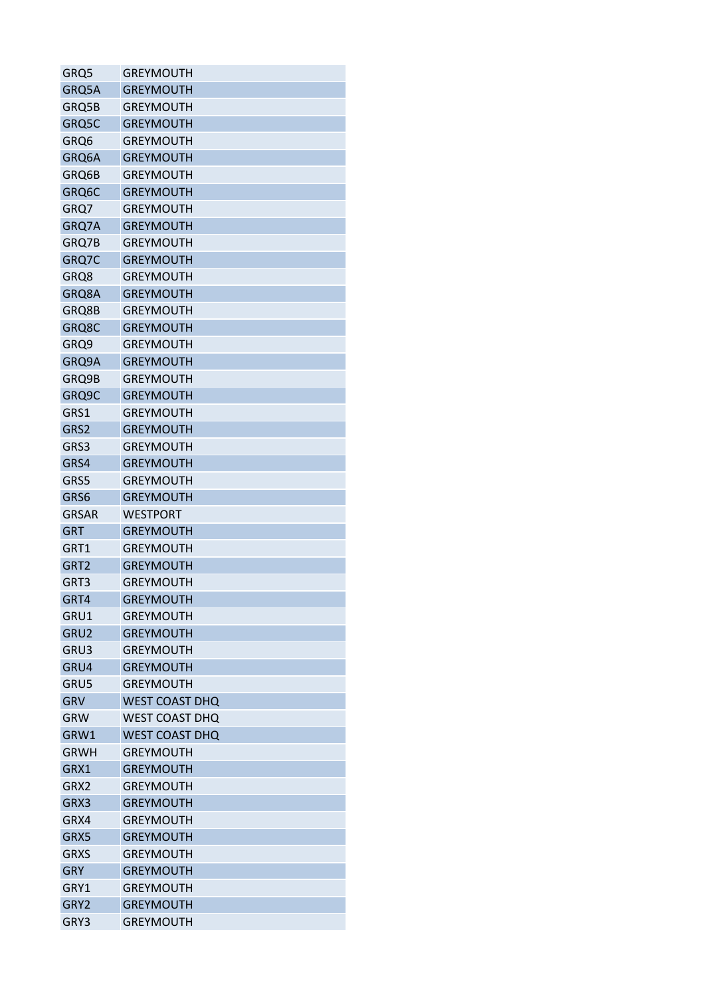| GRQ5             | <b>GREYMOUTH</b>      |
|------------------|-----------------------|
| GRQ5A            | <b>GREYMOUTH</b>      |
| GRQ5B            | <b>GREYMOUTH</b>      |
| GRQ5C            | <b>GREYMOUTH</b>      |
| GRQ6             | <b>GREYMOUTH</b>      |
| GRQ6A            | <b>GREYMOUTH</b>      |
| GRQ6B            | <b>GREYMOUTH</b>      |
| GRQ6C            | <b>GREYMOUTH</b>      |
| GRQ7             | <b>GREYMOUTH</b>      |
| GRQ7A            | <b>GREYMOUTH</b>      |
| GRQ7B            | <b>GREYMOUTH</b>      |
| GRQ7C            | <b>GREYMOUTH</b>      |
| GRQ8             | <b>GREYMOUTH</b>      |
| GRQ8A            | <b>GREYMOUTH</b>      |
| GRQ8B            | <b>GREYMOUTH</b>      |
| GRQ8C            | <b>GREYMOUTH</b>      |
| GRQ9             | <b>GREYMOUTH</b>      |
| GRQ9A            | <b>GREYMOUTH</b>      |
| GRQ9B            | <b>GREYMOUTH</b>      |
| GRQ9C            | <b>GREYMOUTH</b>      |
| GRS1             | <b>GREYMOUTH</b>      |
| GRS2             | <b>GREYMOUTH</b>      |
| GRS3             | <b>GREYMOUTH</b>      |
| GRS4             | <b>GREYMOUTH</b>      |
| GRS5             | <b>GREYMOUTH</b>      |
| GRS6             | <b>GREYMOUTH</b>      |
| <b>GRSAR</b>     | <b>WESTPORT</b>       |
| <b>GRT</b>       | <b>GREYMOUTH</b>      |
| GRT1             | <b>GREYMOUTH</b>      |
| GRT <sub>2</sub> | <b>GREYMOUTH</b>      |
| GRT3             | <b>GREYMOUTH</b>      |
|                  | <b>GREYMOUTH</b>      |
| GRT4             |                       |
| GRU1             | GREYMOUTH             |
| GRU2             | <b>GREYMOUTH</b>      |
| GRU3             | <b>GREYMOUTH</b>      |
| GRU4             | <b>GREYMOUTH</b>      |
| GRU5             | <b>GREYMOUTH</b>      |
| <b>GRV</b>       | <b>WEST COAST DHQ</b> |
| <b>GRW</b>       | <b>WEST COAST DHQ</b> |
| GRW1             | <b>WEST COAST DHQ</b> |
| <b>GRWH</b>      | <b>GREYMOUTH</b>      |
| GRX1             | <b>GREYMOUTH</b>      |
| GRX2             | <b>GREYMOUTH</b>      |
| GRX3             | <b>GREYMOUTH</b>      |
| GRX4             | <b>GREYMOUTH</b>      |
| GRX5             | <b>GREYMOUTH</b>      |
| <b>GRXS</b>      | <b>GREYMOUTH</b>      |
| <b>GRY</b>       | <b>GREYMOUTH</b>      |
| GRY1             | <b>GREYMOUTH</b>      |
| GRY2             | <b>GREYMOUTH</b>      |
| GRY3             | <b>GREYMOUTH</b>      |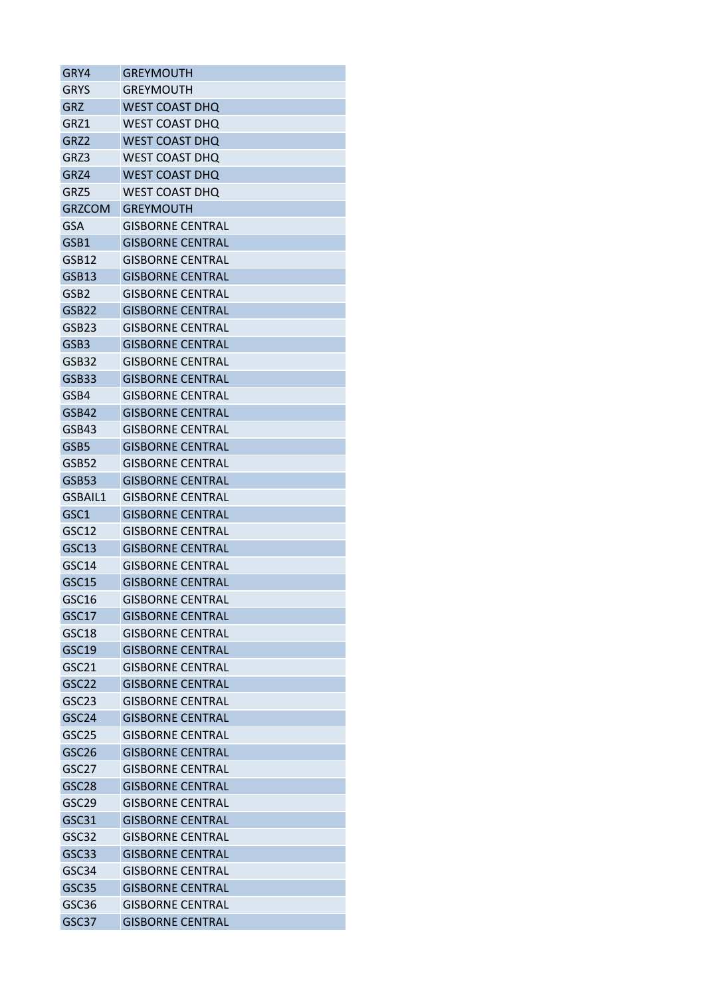| GRY4              | GREYMOUTH               |
|-------------------|-------------------------|
| <b>GRYS</b>       | GREYMOUTH               |
| GRZ               | WEST COAST DHQ          |
| GRZ1              | <b>WEST COAST DHO</b>   |
| GRZ2              | <b>WEST COAST DHQ</b>   |
| GRZ3              | WEST COAST DHQ          |
| GRZ4              | WEST COAST DHQ          |
| GRZ5              | WEST COAST DHQ          |
| <b>GRZCOM</b>     | <b>GREYMOUTH</b>        |
| <b>GSA</b>        | <b>GISBORNE CENTRAL</b> |
| GSB1              | <b>GISBORNE CENTRAL</b> |
| GSB12             | <b>GISBORNE CENTRAL</b> |
| GSB13             | <b>GISBORNE CENTRAL</b> |
| GSB2              | GISBORNE CENTRAL        |
| GSB22             | <b>GISBORNE CENTRAL</b> |
| GSB <sub>23</sub> | <b>GISBORNE CENTRAL</b> |
| GSB <sub>3</sub>  | <b>GISBORNE CENTRAL</b> |
| GSB32             | <b>GISBORNE CENTRAL</b> |
| GSB33             | <b>GISBORNE CENTRAL</b> |
| GSB4              | <b>GISBORNE CENTRAL</b> |
| GSB42             | <b>GISBORNE CENTRAL</b> |
| GSB43             | GISBORNE CENTRAL        |
| GSB5              | <b>GISBORNE CENTRAL</b> |
| GSB52             | GISBORNE CENTRAL        |
| <b>GSB53</b>      | <b>GISBORNE CENTRAL</b> |
| GSBAIL1           | GISBORNE CENTRAL        |
| GSC1              | <b>GISBORNE CENTRAL</b> |
| GSC12             | <b>GISBORNE CENTRAL</b> |
| GSC13             | GISBORNE CENTRAL        |
| GSC14             | <b>GISBORNE CENTRAL</b> |
| GSC15             | <b>GISBORNE CENTRAL</b> |
| GSC16             | <b>GISBORNE CENTRAL</b> |
| GSC <sub>17</sub> | <b>GISBORNE CENTRAL</b> |
| GSC18             | <b>GISBORNE CENTRAL</b> |
| GSC19             | <b>GISBORNE CENTRAL</b> |
| GSC21             | <b>GISBORNE CENTRAL</b> |
| GSC22             | <b>GISBORNE CENTRAL</b> |
| GSC <sub>23</sub> | <b>GISBORNE CENTRAL</b> |
| GSC24             | <b>GISBORNE CENTRAL</b> |
| GSC <sub>25</sub> | <b>GISBORNF CENTRAL</b> |
| GSC <sub>26</sub> | <b>GISBORNE CENTRAL</b> |
| GSC <sub>27</sub> | <b>GISBORNE CENTRAL</b> |
| GSC <sub>28</sub> | <b>GISBORNE CENTRAL</b> |
| GSC29             | <b>GISBORNE CENTRAL</b> |
| GSC31             | <b>GISBORNE CENTRAL</b> |
| GSC32             | <b>GISBORNE CENTRAL</b> |
| GSC33             | <b>GISBORNE CENTRAL</b> |
| GSC34             | <b>GISBORNE CENTRAL</b> |
| GSC35             | <b>GISBORNE CENTRAL</b> |
| GSC36             | <b>GISBORNE CENTRAL</b> |
| GSC37             |                         |
|                   | <b>GISBORNE CENTRAL</b> |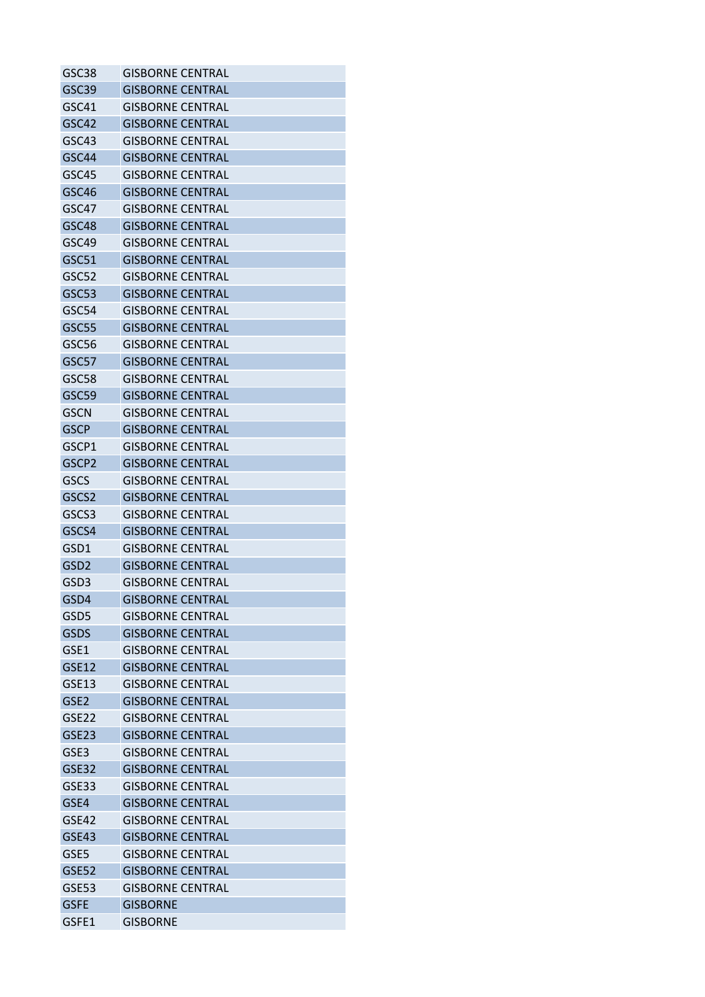| GSC38             | <b>GISBORNE CENTRAL</b> |
|-------------------|-------------------------|
| GSC39             | <b>GISBORNE CENTRAL</b> |
| GSC41             | <b>GISBORNE CENTRAL</b> |
| GSC42             | <b>GISBORNE CENTRAL</b> |
| GSC43             | <b>GISBORNE CENTRAL</b> |
| GSC44             | <b>GISBORNE CENTRAL</b> |
| GSC45             | GISBORNE CENTRAL        |
| GSC46             | <b>GISBORNE CENTRAL</b> |
| GSC47             | <b>GISBORNE CENTRAL</b> |
| GSC48             | <b>GISBORNE CENTRAL</b> |
| GSC49             | <b>GISBORNE CENTRAL</b> |
| GSC51             | <b>GISBORNE CENTRAL</b> |
| GSC52             | <b>GISBORNE CENTRAL</b> |
| GSC53             | GISBORNE CENTRAL        |
| GSC54             | <b>GISBORNE CENTRAL</b> |
| GSC55             | <b>GISBORNE CENTRAL</b> |
| GSC56             | <b>GISBORNE CENTRAL</b> |
| GSC57             | <b>GISBORNE CENTRAL</b> |
| GSC58             | <b>GISBORNE CENTRAL</b> |
| GSC59             | <b>GISBORNE CENTRAL</b> |
| <b>GSCN</b>       | <b>GISBORNE CENTRAL</b> |
| <b>GSCP</b>       | <b>GISBORNE CENTRAL</b> |
| GSCP1             | <b>GISBORNE CENTRAL</b> |
| GSCP2             | <b>GISBORNE CENTRAL</b> |
| GSCS              | <b>GISBORNE CENTRAL</b> |
| GSCS <sub>2</sub> | <b>GISBORNE CENTRAL</b> |
| GSCS3             | <b>GISBORNE CENTRAL</b> |
| GSCS4             | <b>GISBORNE CENTRAL</b> |
| GSD1              | GISBORNE CENTRAL        |
| GSD <sub>2</sub>  | <b>GISBORNE CENTRAL</b> |
| GSD <sub>3</sub>  | <b>GISBORNE CENTRAL</b> |
| GSD4              | <b>GISBORNE CENTRAL</b> |
| GSD5              | <b>GISBORNE CENTRAL</b> |
| <b>GSDS</b>       | <b>GISBORNE CENTRAL</b> |
| GSE1              | GISBORNE CENTRAL        |
| <b>GSE12</b>      | <b>GISBORNE CENTRAL</b> |
| GSE13             | <b>GISBORNE CENTRAL</b> |
| GSE <sub>2</sub>  | <b>GISBORNE CENTRAL</b> |
| GSE <sub>22</sub> | <b>GISBORNE CENTRAL</b> |
| GSE23             | <b>GISBORNE CENTRAL</b> |
| GSE3              | <b>GISBORNE CENTRAL</b> |
| <b>GSE32</b>      | <b>GISBORNE CENTRAL</b> |
| GSE33             | <b>GISBORNE CENTRAL</b> |
| GSE4              | <b>GISBORNE CENTRAL</b> |
| GSE42             | <b>GISBORNE CENTRAL</b> |
| GSE43             | <b>GISBORNE CENTRAL</b> |
| GSE5              | <b>GISBORNE CENTRAL</b> |
| <b>GSE52</b>      | <b>GISBORNE CENTRAL</b> |
| <b>GSE53</b>      | <b>GISBORNE CENTRAL</b> |
| <b>GSFE</b>       | <b>GISBORNE</b>         |
| GSFE1             | <b>GISBORNE</b>         |
|                   |                         |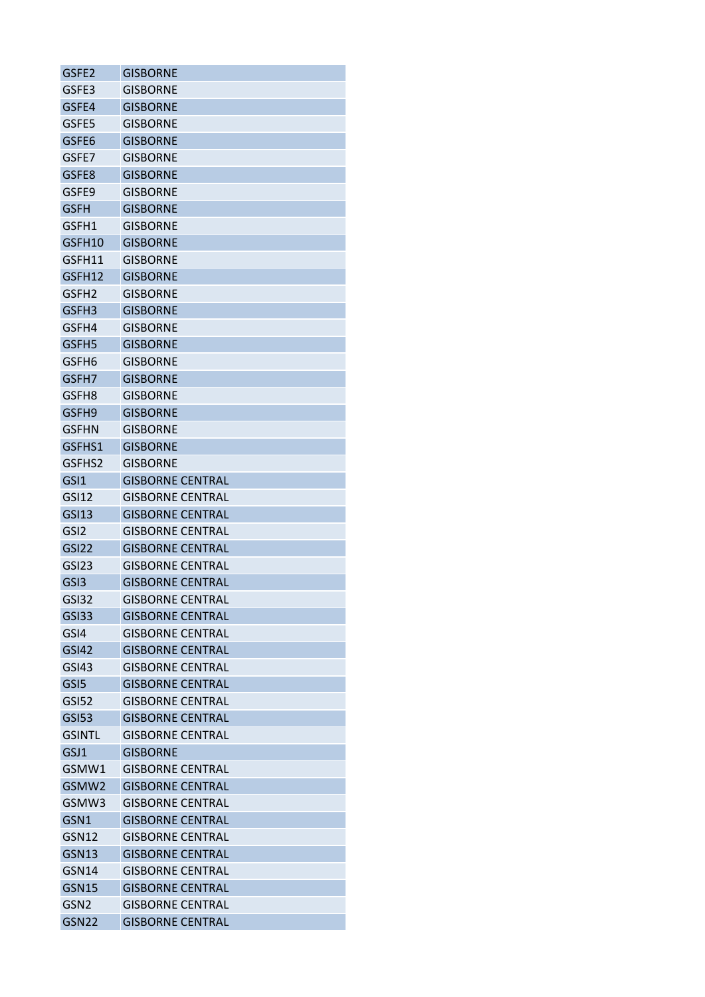| GSFE2             | <b>GISBORNE</b>         |
|-------------------|-------------------------|
| GSFE3             | GISBORNE                |
| GSFE4             | <b>GISBORNE</b>         |
| GSFE5             | <b>GISBORNE</b>         |
| GSFE6             | <b>GISBORNE</b>         |
| GSFE7             | <b>GISBORNE</b>         |
| GSFE8             | GISBORNE                |
| GSFE9             | <b>GISBORNE</b>         |
| <b>GSFH</b>       | <b>GISBORNE</b>         |
| GSFH1             | <b>GISBORNE</b>         |
| GSFH10            | <b>GISBORNE</b>         |
| GSFH11            | <b>GISBORNE</b>         |
| GSFH12            | <b>GISBORNE</b>         |
| GSFH2             | GISBORNE                |
| GSFH3             | <b>GISBORNE</b>         |
| GSFH4             | <b>GISBORNE</b>         |
| GSFH <sub>5</sub> | <b>GISBORNE</b>         |
| GSFH6             | <b>GISBORNE</b>         |
| GSFH7             | <b>GISBORNE</b>         |
| GSFH8             | <b>GISBORNE</b>         |
| GSFH9             | <b>GISBORNE</b>         |
| <b>GSFHN</b>      | <b>GISBORNE</b>         |
| GSFHS1            | <b>GISBORNE</b>         |
| GSFHS2            | <b>GISBORNE</b>         |
| GSI <sub>1</sub>  | <b>GISBORNE CENTRAL</b> |
| GSI12             | <b>GISBORNE CENTRAL</b> |
| <b>GSI13</b>      | <b>GISBORNE CENTRAL</b> |
|                   |                         |
| GSI <sub>2</sub>  | <b>GISBORNE CENTRAL</b> |
| GSI22             | <b>GISBORNE CENTRAL</b> |
| GSI <sub>23</sub> | <b>GISBORNE CENTRAL</b> |
| GSI3              | <b>GISBORNE CENTRAL</b> |
| <b>GSI32</b>      | <b>GISBORNE CENTRAL</b> |
| GSI33             | <b>GISBORNE CENTRAL</b> |
| GSI4              | <b>GISBORNE CENTRAL</b> |
| <b>GSI42</b>      | <b>GISBORNF CENTRAL</b> |
| GSI43             | <b>GISBORNE CENTRAL</b> |
| GSI <sub>5</sub>  | <b>GISBORNE CENTRAL</b> |
| GSI52             | <b>GISBORNE CENTRAL</b> |
| <b>GSI53</b>      | <b>GISBORNE CENTRAL</b> |
| <b>GSINTL</b>     | <b>GISBORNE CENTRAL</b> |
| GSJ1              | <b>GISBORNE</b>         |
| GSMW1             | <b>GISBORNE CENTRAL</b> |
| GSMW2             | <b>GISBORNE CENTRAL</b> |
| GSMW3             | <b>GISBORNE CENTRAL</b> |
| GSN1              | <b>GISBORNE CENTRAL</b> |
| GSN12             | <b>GISBORNE CENTRAL</b> |
| <b>GSN13</b>      | <b>GISBORNE CENTRAL</b> |
| GSN14             | GISBORNE CENTRAL        |
| GSN15             | <b>GISBORNE CENTRAL</b> |
| GSN <sub>2</sub>  | <b>GISBORNE CENTRAL</b> |
| <b>GSN22</b>      | <b>GISBORNE CENTRAL</b> |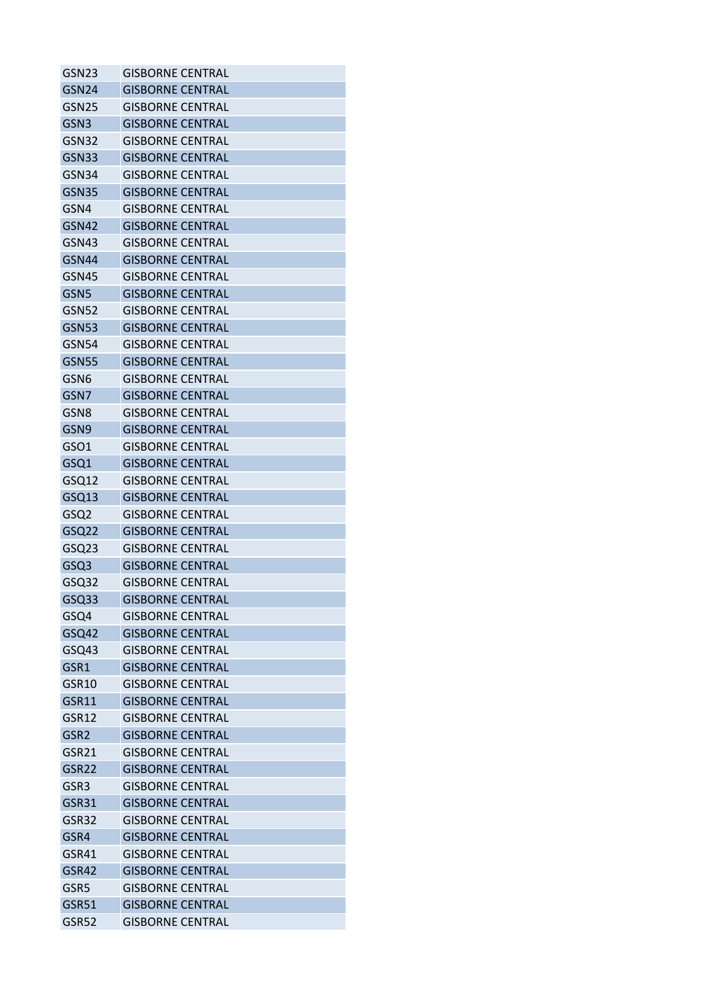| GSN <sub>23</sub>        | <b>GISBORNE CENTRAL</b> |
|--------------------------|-------------------------|
| GSN <sub>24</sub>        | <b>GISBORNE CENTRAL</b> |
| GSN25                    | GISBORNE CENTRAL        |
| GSN <sub>3</sub>         | <b>GISBORNE CENTRAL</b> |
| <b>GSN32</b>             | <b>GISBORNE CENTRAL</b> |
| GSN33                    | <b>GISBORNE CENTRAL</b> |
| GSN34                    | GISBORNE CENTRAL        |
| GSN35                    | <b>GISBORNE CENTRAL</b> |
| GSN4                     | <b>GISBORNE CENTRAL</b> |
| GSN42                    | <b>GISBORNE CENTRAL</b> |
| <b>GSN43</b>             | <b>GISBORNE CENTRAL</b> |
| GSN44                    | <b>GISBORNE CENTRAL</b> |
| GSN45                    | <b>GISBORNE CENTRAL</b> |
| GSN <sub>5</sub>         | GISBORNE CENTRAL        |
| <b>GSN52</b>             | <b>GISBORNE CENTRAL</b> |
| <b>GSN53</b>             | <b>GISBORNE CENTRAL</b> |
| GSN54                    | <b>GISBORNE CENTRAL</b> |
| <b>GSN55</b>             | <b>GISBORNE CENTRAL</b> |
| GSN6                     | <b>GISBORNE CENTRAL</b> |
| GSN7                     | <b>GISBORNE CENTRAL</b> |
|                          | <b>GISBORNE CENTRAL</b> |
| GSN8<br>GSN <sub>9</sub> | <b>GISBORNE CENTRAL</b> |
|                          |                         |
| GSO1                     | <b>GISBORNE CENTRAL</b> |
| GSQ1                     | <b>GISBORNE CENTRAL</b> |
| GSQ12                    | <b>GISBORNE CENTRAL</b> |
| GSQ13                    | <b>GISBORNE CENTRAL</b> |
| GSQ <sub>2</sub>         | <b>GISBORNE CENTRAL</b> |
| GSQ22                    | <b>GISBORNE CENTRAL</b> |
| GSQ <sub>23</sub>        | <b>GISBORNE CENTRAL</b> |
| GSQ3                     | <b>GISBORNE CENTRAL</b> |
| GSQ32                    | <b>GISBORNE CENTRAL</b> |
| GSQ33                    | <b>GISBORNE CENTRAL</b> |
| GSQ4                     | <b>GISBORNE CENTRAL</b> |
| GSQ42                    | <b>GISBORNE CENTRAL</b> |
| GSQ43                    | GISBORNE CENTRAL        |
| GSR1                     | <b>GISBORNE CENTRAL</b> |
| GSR <sub>10</sub>        | <b>GISBORNE CENTRAL</b> |
| GSR11                    | <b>GISBORNE CENTRAL</b> |
| GSR12                    | <b>GISBORNE CENTRAL</b> |
| GSR <sub>2</sub>         | <b>GISBORNE CENTRAL</b> |
| GSR21                    | <b>GISBORNE CENTRAL</b> |
| GSR22                    | <b>GISBORNE CENTRAL</b> |
| GSR3                     | <b>GISBORNE CENTRAL</b> |
| GSR31                    | <b>GISBORNE CENTRAL</b> |
| GSR32                    | <b>GISBORNE CENTRAL</b> |
| GSR4                     | <b>GISBORNE CENTRAL</b> |
| GSR41                    | <b>GISBORNE CENTRAL</b> |
| GSR42                    | <b>GISBORNE CENTRAL</b> |
| GSR5                     | <b>GISBORNE CENTRAL</b> |
| GSR51                    | <b>GISBORNE CENTRAL</b> |
| GSR52                    | <b>GISBORNE CENTRAL</b> |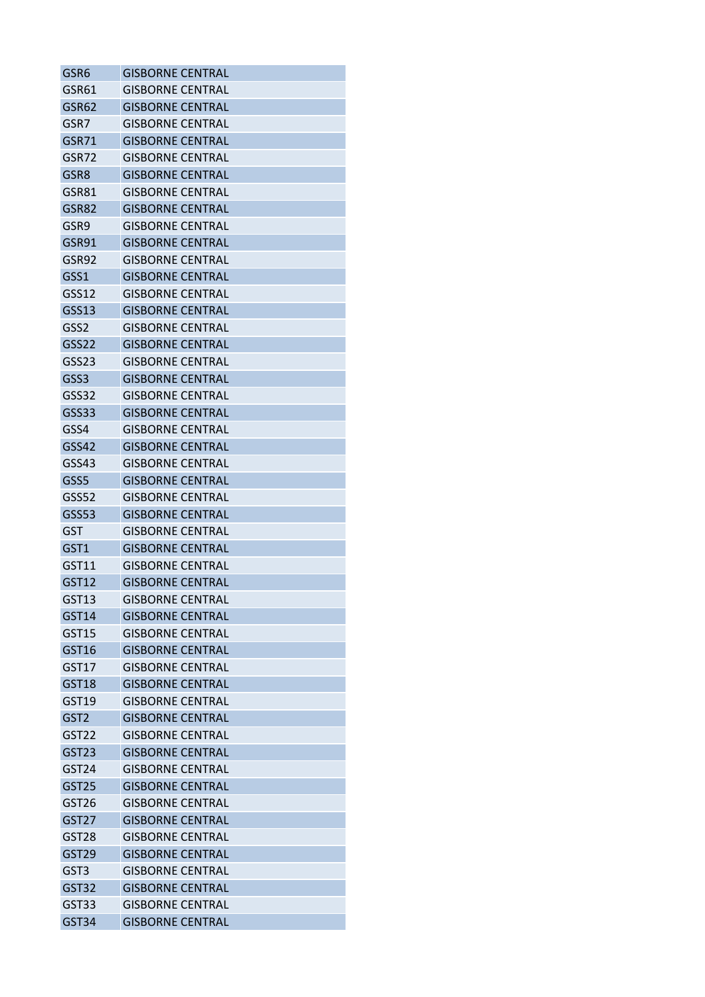| GSR6              | <b>GISBORNE CENTRAL</b> |
|-------------------|-------------------------|
| GSR61             | <b>GISBORNE CENTRAL</b> |
| GSR62             | <b>GISBORNE CENTRAL</b> |
| GSR7              | <b>GISBORNE CENTRAL</b> |
| GSR71             | <b>GISBORNE CENTRAL</b> |
| GSR72             | <b>GISBORNE CENTRAL</b> |
| GSR8              | <b>GISBORNE CENTRAL</b> |
| GSR81             | <b>GISBORNE CENTRAL</b> |
| GSR82             | <b>GISBORNE CENTRAL</b> |
| GSR9              | GISBORNE CENTRAL        |
| GSR91             | <b>GISBORNE CENTRAL</b> |
| GSR92             | <b>GISBORNE CENTRAL</b> |
| GSS1              | <b>GISBORNE CENTRAL</b> |
| GSS12             | GISBORNE CENTRAL        |
| GSS13             | <b>GISBORNE CENTRAL</b> |
| GSS <sub>2</sub>  | <b>GISBORNE CENTRAL</b> |
| GSS22             | <b>GISBORNE CENTRAL</b> |
| GSS23             | <b>GISBORNE CENTRAL</b> |
| GSS3              | GISBORNE CENTRAL        |
| GSS32             | <b>GISBORNE CENTRAL</b> |
| GSS33             | <b>GISBORNE CENTRAL</b> |
| GSS4              | <b>GISBORNE CENTRAL</b> |
| GSS42             | <b>GISBORNE CENTRAL</b> |
| GSS43             | GISBORNE CENTRAL        |
| GSS5              | <b>GISBORNE CENTRAL</b> |
| GSS52             | <b>GISBORNE CENTRAL</b> |
| <b>GSS53</b>      | <b>GISBORNE CENTRAL</b> |
| GST               | GISBORNE CENTRAL        |
| GST <sub>1</sub>  | <b>GISBORNE CENTRAL</b> |
| GST11             | <b>GISBORNE CENTRAL</b> |
| GST12             | <b>GISBORNE CENTRAL</b> |
| GST13             | <b>GISBORNE CENTRAL</b> |
| GST14             | <b>GISBORNE CENTRAL</b> |
| GST15             | <b>GISBORNE CENTRAL</b> |
| GST16             | <b>GISBORNE CENTRAL</b> |
| GST17             | <b>GISBORNE CENTRAL</b> |
| GST18             | <b>GISBORNE CENTRAL</b> |
| GST19             | <b>GISBORNE CENTRAL</b> |
| GST <sub>2</sub>  | <b>GISBORNE CENTRAL</b> |
| GST <sub>22</sub> | <b>GISBORNE CENTRAL</b> |
| GST <sub>23</sub> | <b>GISBORNE CENTRAL</b> |
| GST <sub>24</sub> | <b>GISBORNE CENTRAL</b> |
| GST <sub>25</sub> | <b>GISBORNE CENTRAL</b> |
| GST <sub>26</sub> | <b>GISBORNE CENTRAL</b> |
| GST <sub>27</sub> | <b>GISBORNE CENTRAL</b> |
| GST28             | <b>GISBORNE CENTRAL</b> |
| GST <sub>29</sub> | <b>GISBORNE CENTRAL</b> |
| GST <sub>3</sub>  | <b>GISBORNE CENTRAL</b> |
| GST32             | <b>GISBORNE CENTRAL</b> |
| GST33             | <b>GISBORNE CENTRAL</b> |
| GST34             | <b>GISBORNE CENTRAL</b> |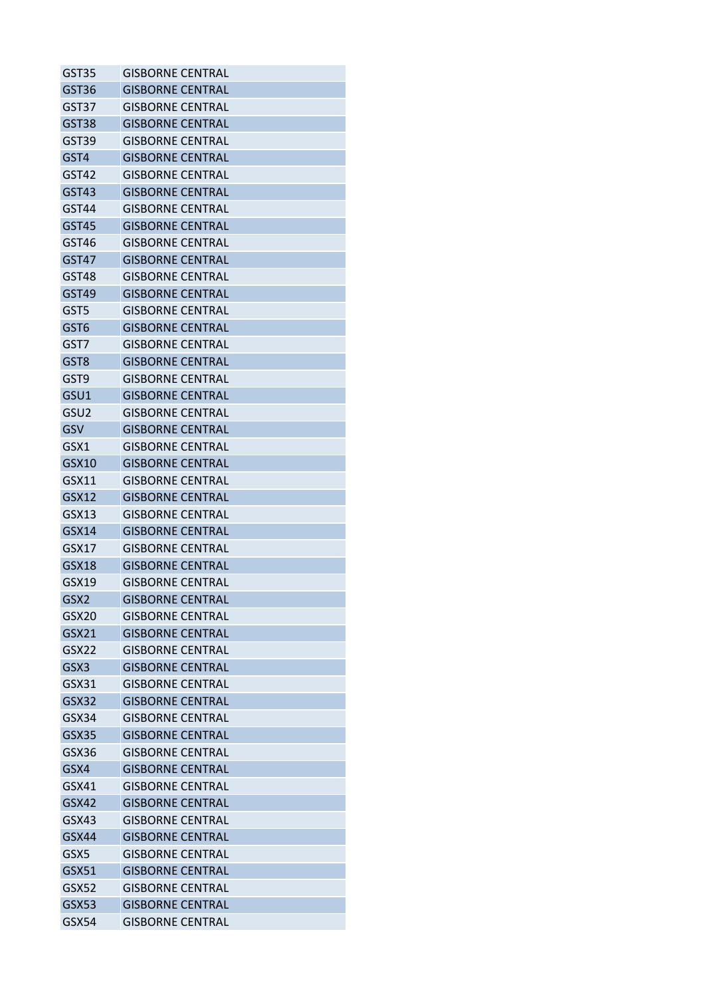| GST35            | <b>GISBORNE CENTRAL</b> |
|------------------|-------------------------|
| GST36            | <b>GISBORNE CENTRAL</b> |
| GST37            | GISBORNE CENTRAL        |
| GST38            | <b>GISBORNE CENTRAL</b> |
| GST39            | <b>GISBORNE CENTRAL</b> |
| GST4             | <b>GISBORNE CENTRAL</b> |
| GST42            | GISBORNE CENTRAL        |
| GST43            | <b>GISBORNE CENTRAL</b> |
| GST44            | <b>GISBORNE CENTRAL</b> |
| GST45            | <b>GISBORNE CENTRAL</b> |
| GST46            | <b>GISBORNE CENTRAL</b> |
| GST47            | <b>GISBORNE CENTRAL</b> |
| GST48            | <b>GISBORNE CENTRAL</b> |
| GST49            | GISBORNE CENTRAL        |
| GST5             | <b>GISBORNE CENTRAL</b> |
| GST6             | <b>GISBORNE CENTRAL</b> |
| GST7             | <b>GISBORNE CENTRAL</b> |
| GST <sub>8</sub> | <b>GISBORNE CENTRAL</b> |
| GST9             | <b>GISBORNE CENTRAL</b> |
| GSU1             | <b>GISBORNE CENTRAL</b> |
| GSU <sub>2</sub> | GISBORNE CENTRAL        |
| GSV              | <b>GISBORNE CENTRAL</b> |
| GSX1             | <b>GISBORNE CENTRAL</b> |
| GSX10            | <b>GISBORNE CENTRAL</b> |
| GSX11            | <b>GISBORNE CENTRAL</b> |
| GSX12            | <b>GISBORNE CENTRAL</b> |
| GSX13            | <b>GISBORNE CENTRAL</b> |
| GSX14            | <b>GISBORNE CENTRAL</b> |
| GSX17            | <b>GISBORNE CENTRAL</b> |
| GSX18            | <b>GISBORNE CENTRAL</b> |
| GSX19            | <b>GISBORNE CENTRAL</b> |
| GSX2             | <b>GISBORNE CENTRAL</b> |
| GSX20            | <b>GISBORNE CENTRAL</b> |
| <b>GSX21</b>     | <b>GISBORNE CENTRAL</b> |
| GSX22            | <b>GISBORNE CENTRAL</b> |
| GSX3             | <b>GISBORNE CENTRAL</b> |
| GSX31            | GISBORNE CENTRAL        |
| GSX32            | <b>GISBORNE CENTRAL</b> |
| GSX34            | <b>GISBORNE CENTRAL</b> |
| GSX35            | <b>GISBORNE CENTRAL</b> |
| GSX36            | <b>GISBORNE CENTRAL</b> |
| GSX4             | <b>GISBORNE CENTRAL</b> |
| GSX41            | <b>GISBORNE CENTRAL</b> |
| GSX42            | <b>GISBORNE CENTRAL</b> |
| GSX43            | <b>GISBORNE CENTRAL</b> |
| GSX44            | <b>GISBORNE CENTRAL</b> |
| GSX5             | <b>GISBORNE CENTRAL</b> |
| GSX51            | <b>GISBORNE CENTRAL</b> |
| GSX52            | <b>GISBORNE CENTRAL</b> |
| GSX53            | <b>GISBORNE CENTRAL</b> |
| GSX54            | <b>GISBORNE CENTRAL</b> |
|                  |                         |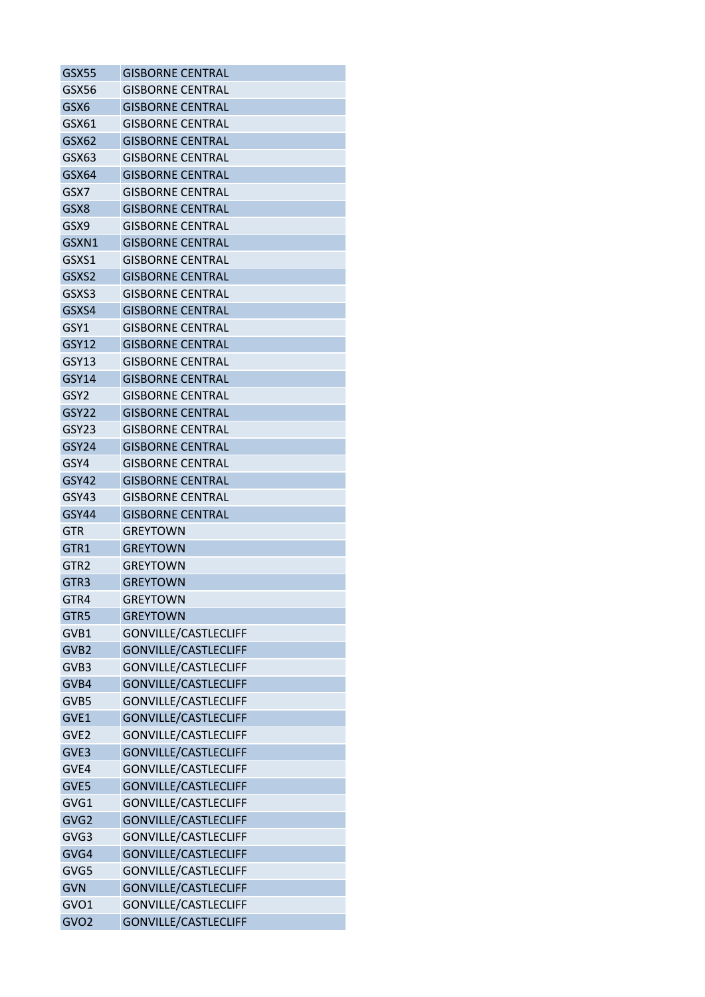| <b>GSX55</b>      | <b>GISBORNE CENTRAL</b>     |
|-------------------|-----------------------------|
| GSX56             | <b>GISBORNE CENTRAL</b>     |
| GSX6              | <b>GISBORNE CENTRAL</b>     |
| GSX61             | <b>GISBORNE CENTRAL</b>     |
| GSX62             | <b>GISBORNE CENTRAL</b>     |
| GSX63             | <b>GISBORNE CENTRAL</b>     |
| GSX64             | <b>GISBORNE CENTRAL</b>     |
| GSX7              | <b>GISBORNE CENTRAL</b>     |
| GSX8              | <b>GISBORNE CENTRAL</b>     |
| GSX9              | <b>GISBORNE CENTRAL</b>     |
| GSXN1             | <b>GISBORNE CENTRAL</b>     |
| GSXS1             | GISBORNE CENTRAL            |
| GSXS <sub>2</sub> | <b>GISBORNE CENTRAL</b>     |
| GSXS3             | GISBORNE CENTRAL            |
| GSXS4             | <b>GISBORNE CENTRAL</b>     |
| GSY1              | <b>GISBORNE CENTRAL</b>     |
| GSY12             | <b>GISBORNE CENTRAL</b>     |
| GSY13             | <b>GISBORNE CENTRAL</b>     |
| <b>GSY14</b>      | <b>GISBORNE CENTRAL</b>     |
| GSY <sub>2</sub>  | <b>GISBORNE CENTRAL</b>     |
| GSY <sub>22</sub> | <b>GISBORNE CENTRAL</b>     |
| GSY23             | <b>GISBORNE CENTRAL</b>     |
| GSY <sub>24</sub> | <b>GISBORNE CENTRAL</b>     |
| GSY4              | <b>GISBORNE CENTRAL</b>     |
| GSY42             | <b>GISBORNE CENTRAL</b>     |
| GSY43             | <b>GISBORNE CENTRAL</b>     |
| <b>GSY44</b>      | <b>GISBORNE CENTRAL</b>     |
| GTR               | GREYTOWN                    |
| GTR1              | <b>GREYTOWN</b>             |
| GTR2              | GREYTOWN                    |
| GTR <sub>3</sub>  | <b>GREYTOWN</b>             |
| GTR4              | <b>GREYTOWN</b>             |
| GTR5              | <b>GREYTOWN</b>             |
| GVB1              | GONVILLE/CASTLECLIFF        |
| GVB <sub>2</sub>  | GONVILLE/CASTLECLIFF        |
| GVB3              | GONVILLE/CASTLECLIFF        |
| GVB4              | <b>GONVILLE/CASTLECLIFF</b> |
| GVB5              | GONVILLE/CASTLECLIFF        |
| GVE1              | GONVILLE/CASTLECLIFF        |
| GVE <sub>2</sub>  | GONVILLE/CASTLECLIFF        |
| GVE3              | <b>GONVILLE/CASTLECLIFF</b> |
| GVE4              | GONVILLE/CASTLECLIFF        |
| GVE5              | GONVILLE/CASTLECLIFF        |
| GVG1              | GONVILLE/CASTLECLIFF        |
| GVG2              | GONVILLE/CASTLECLIFF        |
| GVG3              | GONVILLE/CASTLECLIFF        |
| GVG4              | GONVILLE/CASTLECLIFF        |
| GVG5              | GONVILLE/CASTLECLIFF        |
| <b>GVN</b>        | GONVILLE/CASTLECLIFF        |
| GVO1              | GONVILLE/CASTLECLIFF        |
| GVO <sub>2</sub>  | GONVILLE/CASTLECLIFF        |
|                   |                             |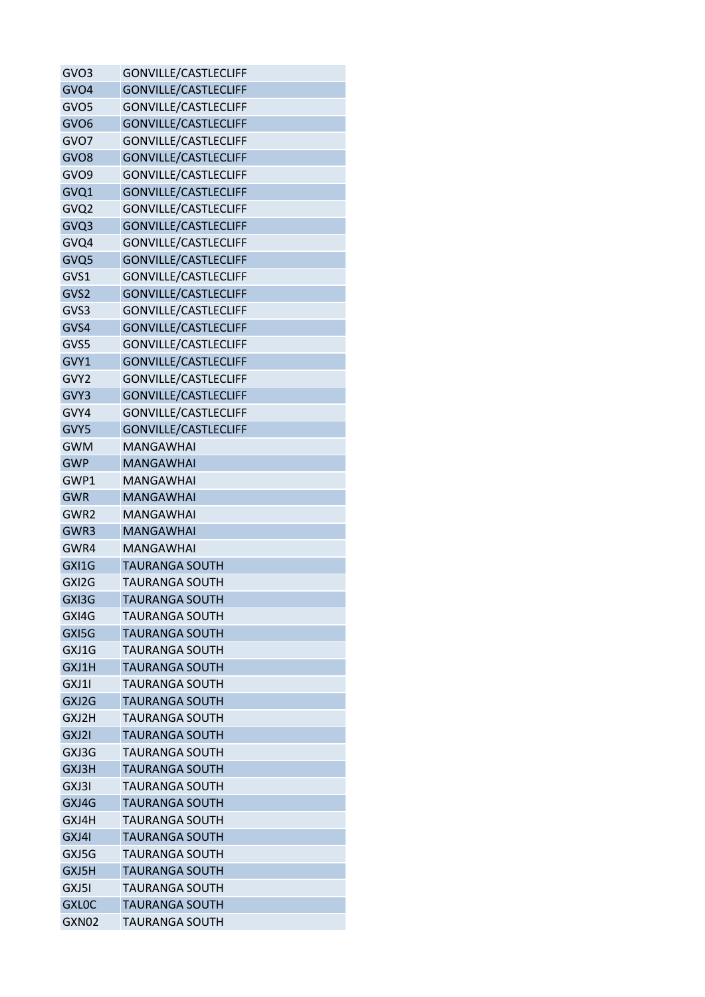| GVO3             | GONVILLE/CASTLECLIFF        |
|------------------|-----------------------------|
| GVO <sub>4</sub> | <b>GONVILLE/CASTLECLIFF</b> |
| GVO <sub>5</sub> | GONVILLE/CASTLECLIFF        |
| GVO <sub>6</sub> | GONVILLE/CASTLECLIFF        |
| GVO7             | GONVILLE/CASTLECLIFF        |
| GVO <sub>8</sub> | <b>GONVILLE/CASTLECLIFF</b> |
| GVO <sub>9</sub> | GONVILLE/CASTLECLIFF        |
| GVQ1             | <b>GONVILLE/CASTLECLIFF</b> |
| GVQ2             | GONVILLE/CASTLECLIFF        |
| GVQ3             | <b>GONVILLE/CASTLECLIFF</b> |
| GVQ4             | GONVILLE/CASTLECLIFF        |
| GVQ5             | GONVILLE/CASTLECLIFF        |
| GVS1             | GONVILLE/CASTLECLIFF        |
| GVS2             | <b>GONVILLE/CASTLECLIFF</b> |
| GVS3             | GONVILLE/CASTLECLIFF        |
| GVS4             | <b>GONVILLE/CASTLECLIFF</b> |
| GVS5             | <b>GONVILLE/CASTLECLIFF</b> |
| GVY1             | <b>GONVILLE/CASTLECLIFF</b> |
| GVY2             | <b>GONVILLE/CASTLECLIFF</b> |
| GVY3             | <b>GONVILLE/CASTLECLIFF</b> |
| GVY4             | GONVILLE/CASTLECLIFF        |
| GVY5             | GONVILLE/CASTLECLIFF        |
| <b>GWM</b>       | MANGAWHAI                   |
| <b>GWP</b>       | <b>MANGAWHAI</b>            |
| GWP1             | <b>MANGAWHAI</b>            |
| <b>GWR</b>       | <b>MANGAWHAI</b>            |
| GWR2             | <b>MANGAWHAI</b>            |
| GWR3             | <b>MANGAWHAI</b>            |
| GWR4             | <b>MANGAWHAI</b>            |
| GXI1G            | <b>TAURANGA SOUTH</b>       |
| GXI2G            | <b>TAURANGA SOUTH</b>       |
| GXI3G            | <b>TAURANGA SOUTH</b>       |
| GXI4G            | <b>TAURANGA SOUTH</b>       |
| GXI5G            | <b>TAURANGA SOUTH</b>       |
| GXJ1G            | <b>TAURANGA SOUTH</b>       |
| GXJ1H            | <b>TAURANGA SOUTH</b>       |
| GXJ1I            | TAURANGA SOUTH              |
| GXJ2G            | <b>TAURANGA SOUTH</b>       |
| GXJ2H            | <b>TAURANGA SOUTH</b>       |
| GXJ2I            | <b>TAURANGA SOUTH</b>       |
| GXJ3G            | TAURANGA SOUTH              |
| GXJ3H            | <b>TAURANGA SOUTH</b>       |
| GXJ3I            | <b>TAURANGA SOUTH</b>       |
| GXJ4G            | <b>TAURANGA SOUTH</b>       |
| GXJ4H            | TAURANGA SOUTH              |
| GXJ4I            | <b>TAURANGA SOUTH</b>       |
| GXJ5G            | <b>TAURANGA SOUTH</b>       |
| GXJ5H            | <b>TAURANGA SOUTH</b>       |
| GXJ5I            | <b>TAURANGA SOUTH</b>       |
| <b>GXLOC</b>     | <b>TAURANGA SOUTH</b>       |
| GXN02            | TAURANGA SOUTH              |
|                  |                             |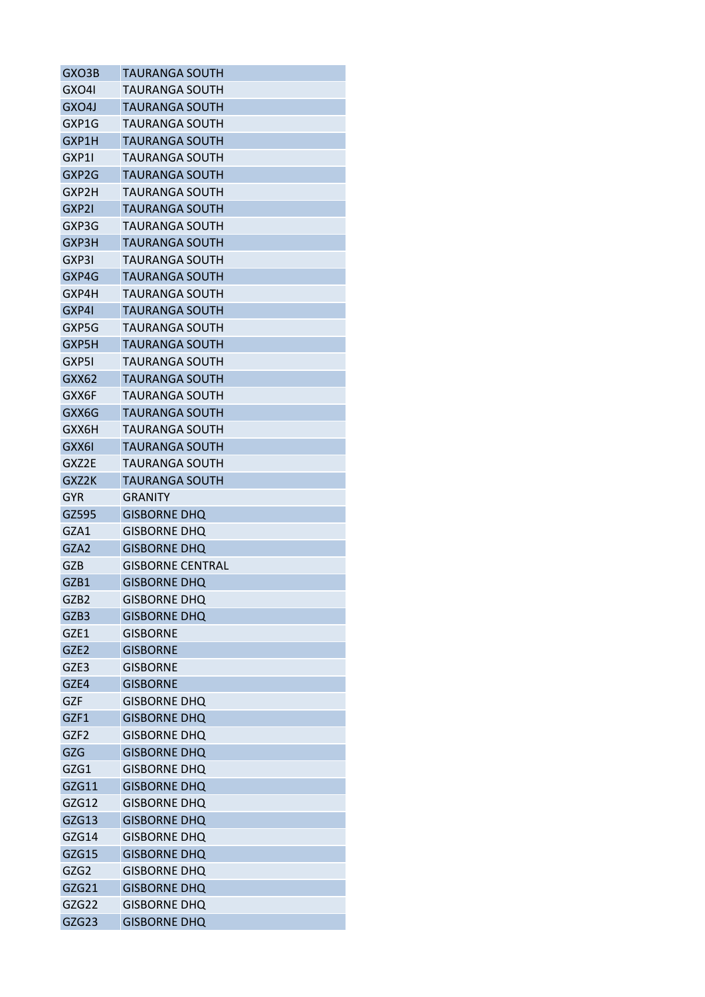| GXO3B            | <b>TAURANGA SOUTH</b>   |
|------------------|-------------------------|
| GXO4I            | TAURANGA SOUTH          |
| GXO4J            | <b>TAURANGA SOUTH</b>   |
| GXP1G            | TAURANGA SOUTH          |
| GXP1H            | <b>TAURANGA SOUTH</b>   |
| GXP1I            | TAURANGA SOUTH          |
| GXP2G            | TAURANGA SOUTH          |
| GXP2H            | <b>TAURANGA SOUTH</b>   |
| GXP2I            | <b>TAURANGA SOUTH</b>   |
| GXP3G            | <b>TAURANGA SOUTH</b>   |
| GXP3H            | <b>TAURANGA SOUTH</b>   |
| GXP3I            | TAURANGA SOUTH          |
| GXP4G            | <b>TAURANGA SOUTH</b>   |
| GXP4H            | <b>TAURANGA SOUTH</b>   |
| GXP4I            | <b>TAURANGA SOUTH</b>   |
| GXP5G            | <b>TAURANGA SOUTH</b>   |
| GXP5H            | TAURANGA SOUTH          |
| GXP5I            | TAURANGA SOUTH          |
| GXX62            | <b>TAURANGA SOUTH</b>   |
| GXX6F            | TAURANGA SOUTH          |
| GXX6G            | <b>TAURANGA SOUTH</b>   |
| GXX6H            | TAURANGA SOUTH          |
| GXX6I            | TAURANGA SOUTH          |
| GXZ2E            | <b>TAURANGA SOUTH</b>   |
| GXZ2K            | TAURANGA SOUTH          |
| <b>GYR</b>       | GRANITY                 |
| GZ595            | <b>GISBORNE DHQ</b>     |
| GZA1             | <b>GISBORNE DHO</b>     |
| GZA2             | <b>GISBORNE DHQ</b>     |
| GZB              | <b>GISBORNE CENTRAL</b> |
| GZB1             | <b>GISBORNE DHQ</b>     |
| GZB2             | <b>GISBORNE DHQ</b>     |
| GZB3             |                         |
|                  | <b>GISBORNE DHQ</b>     |
| GZE1             | <b>GISBORNE</b>         |
| GZE <sub>2</sub> | <b>GISBORNE</b>         |
| GZE3             | <b>GISBORNE</b>         |
| GZE4             | <b>GISBORNE</b>         |
| GZF              | <b>GISBORNE DHQ</b>     |
| GZF1             | <b>GISBORNE DHQ</b>     |
| GZF <sub>2</sub> | <b>GISBORNE DHQ</b>     |
| GZG              | <b>GISBORNE DHQ</b>     |
| GZG1             | <b>GISBORNE DHQ</b>     |
| GZG11            | <b>GISBORNE DHQ</b>     |
| GZG12            | <b>GISBORNE DHQ</b>     |
| GZG13            | <b>GISBORNE DHQ</b>     |
| GZG14            | GISBORNE DHQ            |
| GZG15            | <b>GISBORNE DHQ</b>     |
| GZG2             | <b>GISBORNE DHQ</b>     |
| GZG21            | <b>GISBORNE DHQ</b>     |
| GZG22            | <b>GISBORNE DHQ</b>     |
| GZG23            | <b>GISBORNE DHQ</b>     |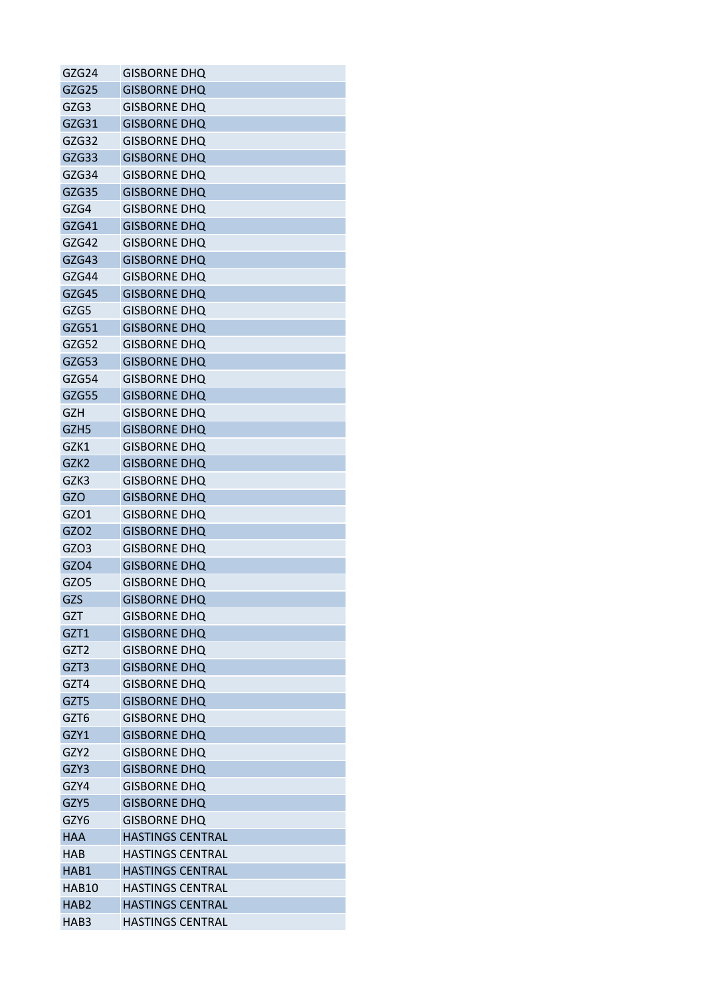| GZG24            | GISBORNE DHQ            |
|------------------|-------------------------|
| GZG25            | <b>GISBORNE DHQ</b>     |
| GZG3             | <b>GISBORNE DHQ</b>     |
| GZG31            | <b>GISBORNE DHQ</b>     |
| GZG32            | <b>GISBORNE DHQ</b>     |
| GZG33            | <b>GISBORNE DHQ</b>     |
| GZG34            | <b>GISBORNE DHQ</b>     |
| GZG35            | <b>GISBORNE DHQ</b>     |
| GZG4             | <b>GISBORNE DHQ</b>     |
| GZG41            | <b>GISBORNE DHO</b>     |
| GZG42            | <b>GISBORNE DHQ</b>     |
| GZG43            | <b>GISBORNE DHQ</b>     |
| GZG44            | <b>GISBORNE DHQ</b>     |
| GZG45            | <b>GISBORNE DHQ</b>     |
| GZG5             | <b>GISBORNE DHQ</b>     |
| GZG51            | <b>GISBORNE DHQ</b>     |
| GZG52            | <b>GISBORNE DHO</b>     |
| GZG53            | <b>GISBORNE DHQ</b>     |
| GZG54            | <b>GISBORNE DHQ</b>     |
| GZG55            | <b>GISBORNE DHQ</b>     |
| <b>GZH</b>       | <b>GISBORNE DHQ</b>     |
| GZH <sub>5</sub> | <b>GISBORNE DHQ</b>     |
| GZK1             | <b>GISBORNE DHQ</b>     |
| GZK <sub>2</sub> | <b>GISBORNE DHQ</b>     |
| GZK3             | <b>GISBORNE DHQ</b>     |
| GZO              | <b>GISBORNE DHQ</b>     |
| GZO1             | <b>GISBORNE DHQ</b>     |
| GZO <sub>2</sub> | <b>GISBORNE DHQ</b>     |
| GZO3             | <b>GISBORNE DHQ</b>     |
| GZO4             | <b>GISBORNE DHQ</b>     |
| GZO <sub>5</sub> | <b>GISBORNE DHQ</b>     |
| GZS              | <b>GISBORNE DHQ</b>     |
| GZT              | <b>GISBORNE DHQ</b>     |
| GZT1             | <b>GISBORNE DHQ</b>     |
| GZT <sub>2</sub> | <b>GISBORNE DHQ</b>     |
| GZT3             | <b>GISBORNE DHQ</b>     |
| GZT4             | <b>GISBORNE DHQ</b>     |
| GZT5             | <b>GISBORNE DHQ</b>     |
| GZT6             | <b>GISBORNE DHQ</b>     |
| GZY1             | <b>GISBORNE DHQ</b>     |
| GZY2             | <b>GISBORNE DHQ</b>     |
| GZY3             | <b>GISBORNE DHQ</b>     |
| GZY4             | <b>GISBORNE DHQ</b>     |
| GZY5             | <b>GISBORNE DHQ</b>     |
| GZY6             | <b>GISBORNE DHQ</b>     |
| <b>HAA</b>       | <b>HASTINGS CENTRAL</b> |
| HAB              | <b>HASTINGS CENTRAL</b> |
| HAB1             | <b>HASTINGS CENTRAL</b> |
| HAB10            | <b>HASTINGS CENTRAL</b> |
| HAB <sub>2</sub> | <b>HASTINGS CENTRAL</b> |
| HAB3             | <b>HASTINGS CENTRAL</b> |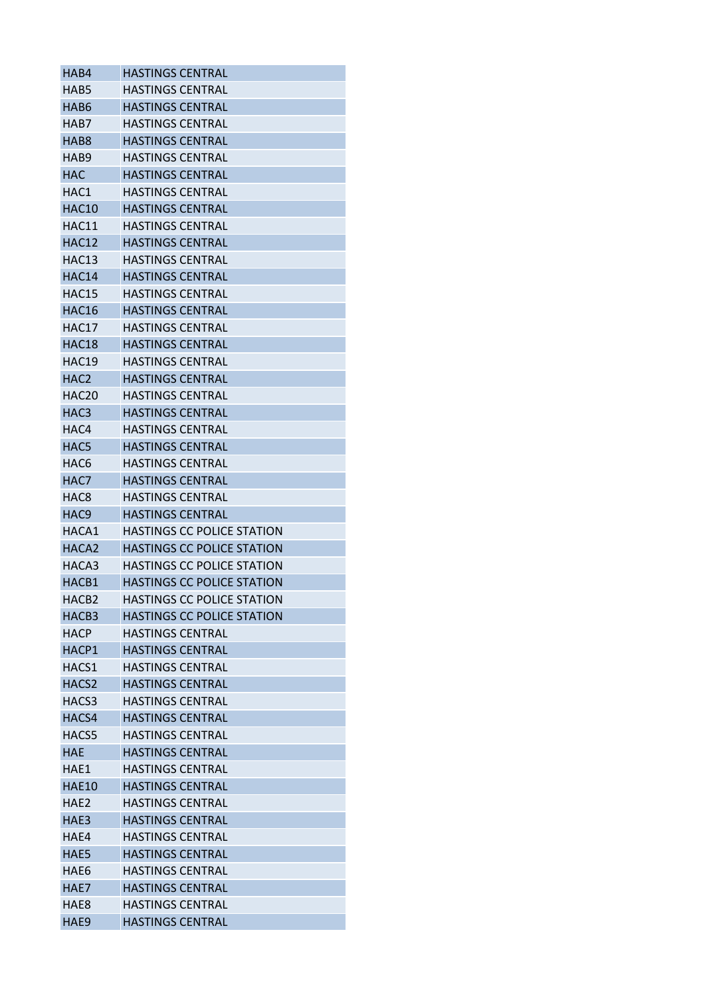| HAB4              | <b>HASTINGS CENTRAL</b>           |
|-------------------|-----------------------------------|
| HAB5              | <b>HASTINGS CENTRAL</b>           |
| HAB6              | <b>HASTINGS CENTRAL</b>           |
| HAB7              | <b>HASTINGS CENTRAL</b>           |
| HAB <sub>8</sub>  | <b>HASTINGS CENTRAL</b>           |
| HAB <sub>9</sub>  | <b>HASTINGS CENTRAL</b>           |
| <b>HAC</b>        | <b>HASTINGS CENTRAL</b>           |
| HAC1              | <b>HASTINGS CENTRAL</b>           |
| <b>HAC10</b>      | <b>HASTINGS CENTRAL</b>           |
| HAC11             | <b>HASTINGS CENTRAL</b>           |
| <b>HAC12</b>      | <b>HASTINGS CENTRAL</b>           |
| <b>HAC13</b>      | HASTINGS CENTRAL                  |
| HAC14             | <b>HASTINGS CENTRAL</b>           |
| HAC15             | <b>HASTINGS CENTRAL</b>           |
| HAC16             | <b>HASTINGS CENTRAL</b>           |
| HAC17             | <b>HASTINGS CENTRAL</b>           |
| HAC18             | <b>HASTINGS CENTRAL</b>           |
| HAC19             | <b>HASTINGS CENTRAL</b>           |
| HAC <sub>2</sub>  | <b>HASTINGS CENTRAL</b>           |
| HAC <sub>20</sub> | <b>HASTINGS CENTRAL</b>           |
| HAC <sub>3</sub>  | <b>HASTINGS CENTRAL</b>           |
| HAC4              | <b>HASTINGS CENTRAL</b>           |
| HAC5              | <b>HASTINGS CENTRAL</b>           |
| HAC <sub>6</sub>  | <b>HASTINGS CENTRAL</b>           |
| HAC7              | <b>HASTINGS CENTRAL</b>           |
| HAC8              | <b>HASTINGS CENTRAL</b>           |
| HAC <sub>9</sub>  | <b>HASTINGS CENTRAL</b>           |
| HACA1             | <b>HASTINGS CC POLICE STATION</b> |
| HACA <sub>2</sub> | <b>HASTINGS CC POLICE STATION</b> |
| HACA3             | <b>HASTINGS CC POLICE STATION</b> |
| HACB1             | <b>HASTINGS CC POLICE STATION</b> |
| HACB <sub>2</sub> | <b>HASTINGS CC POLICE STATION</b> |
| HACB <sub>3</sub> | <b>HASTINGS CC POLICE STATION</b> |
| <b>HACP</b>       | <b>HASTINGS CENTRAL</b>           |
| HACP1             | <b>HASTINGS CENTRAL</b>           |
| HACS1             | <b>HASTINGS CENTRAL</b>           |
| HACS <sub>2</sub> | <b>HASTINGS CENTRAL</b>           |
| HACS3             | <b>HASTINGS CENTRAL</b>           |
| HACS4             | <b>HASTINGS CENTRAL</b>           |
| HACS5             | <b>HASTINGS CENTRAL</b>           |
| <b>HAE</b>        | <b>HASTINGS CENTRAL</b>           |
| HAE1              | <b>HASTINGS CENTRAL</b>           |
| <b>HAE10</b>      | <b>HASTINGS CENTRAL</b>           |
| HAE <sub>2</sub>  | <b>HASTINGS CENTRAL</b>           |
| HAE3              | <b>HASTINGS CENTRAL</b>           |
| HAE4              | <b>HASTINGS CENTRAL</b>           |
| HAE5              | <b>HASTINGS CENTRAL</b>           |
| HAE6              | <b>HASTINGS CENTRAL</b>           |
| HAE7              | <b>HASTINGS CENTRAL</b>           |
| HAE8              | <b>HASTINGS CENTRAL</b>           |
| HAE9              | <b>HASTINGS CENTRAL</b>           |
|                   |                                   |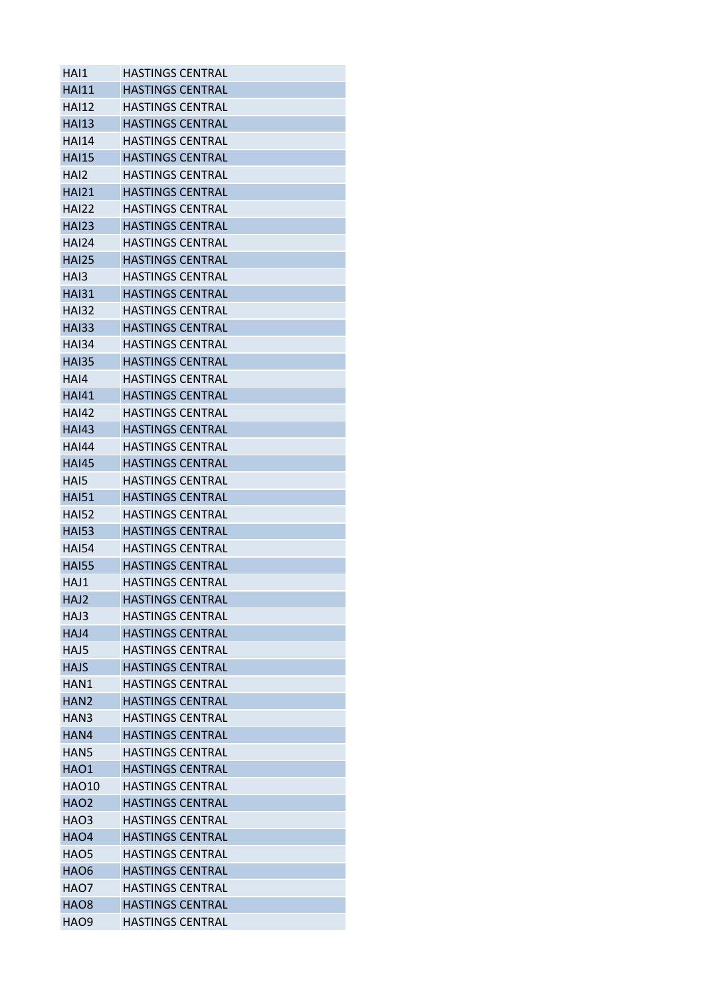| HAI1             | <b>HASTINGS CENTRAL</b> |
|------------------|-------------------------|
| <b>HAI11</b>     | <b>HASTINGS CENTRAL</b> |
| <b>HAI12</b>     | <b>HASTINGS CENTRAL</b> |
| <b>HAI13</b>     | <b>HASTINGS CENTRAL</b> |
| <b>HAI14</b>     | <b>HASTINGS CENTRAL</b> |
| <b>HAI15</b>     | <b>HASTINGS CENTRAL</b> |
| HAI2             | <b>HASTINGS CENTRAL</b> |
| <b>HAI21</b>     | <b>HASTINGS CENTRAL</b> |
| <b>HAI22</b>     | <b>HASTINGS CENTRAL</b> |
| <b>HAI23</b>     | <b>HASTINGS CENTRAL</b> |
| <b>HAI24</b>     | <b>HASTINGS CENTRAL</b> |
| <b>HAI25</b>     | <b>HASTINGS CENTRAL</b> |
| HAI3             | HASTINGS CENTRAL        |
| <b>HAI31</b>     | <b>HASTINGS CENTRAL</b> |
| <b>HAI32</b>     | <b>HASTINGS CENTRAL</b> |
| <b>HAI33</b>     | <b>HASTINGS CENTRAL</b> |
| <b>HAI34</b>     | <b>HASTINGS CENTRAL</b> |
| <b>HAI35</b>     | HASTINGS CENTRAL        |
| HAI4             | <b>HASTINGS CENTRAL</b> |
| <b>HAI41</b>     | <b>HASTINGS CENTRAL</b> |
| <b>HAI42</b>     | <b>HASTINGS CENTRAL</b> |
| <b>HAI43</b>     | <b>HASTINGS CENTRAL</b> |
| <b>HAI44</b>     | <b>HASTINGS CENTRAL</b> |
| <b>HAI45</b>     | <b>HASTINGS CENTRAL</b> |
| HAI5             | <b>HASTINGS CENTRAL</b> |
| <b>HAI51</b>     | <b>HASTINGS CENTRAL</b> |
| <b>HAI52</b>     | <b>HASTINGS CENTRAL</b> |
| <b>HAI53</b>     | <b>HASTINGS CENTRAL</b> |
| <b>HAI54</b>     | <b>HASTINGS CENTRAL</b> |
| <b>HAI55</b>     | <b>HASTINGS CENTRAL</b> |
| HAJ1             | HASTINGS CENTRAL        |
| HAJ2             | <b>HASTINGS CENTRAL</b> |
| HAJ3             | <b>HASTINGS CENTRAL</b> |
| HAJ4             | <b>HASTINGS CENTRAL</b> |
| HAJ5             | <b>HASTINGS CENTRAL</b> |
| <b>HAJS</b>      | <b>HASTINGS CENTRAL</b> |
| HAN1             | <b>HASTINGS CENTRAL</b> |
| HAN <sub>2</sub> | <b>HASTINGS CENTRAL</b> |
| HAN3             | <b>HASTINGS CENTRAL</b> |
| HAN4             | <b>HASTINGS CENTRAL</b> |
| HAN5             | HASTINGS CENTRAL        |
| HAO1             | <b>HASTINGS CENTRAL</b> |
| <b>HAO10</b>     | <b>HASTINGS CENTRAL</b> |
| <b>HAO2</b>      | <b>HASTINGS CENTRAL</b> |
| HAO3             | <b>HASTINGS CENTRAL</b> |
| HAO4             | <b>HASTINGS CENTRAL</b> |
| HAO5             | <b>HASTINGS CENTRAL</b> |
| HAO6             | <b>HASTINGS CENTRAL</b> |
| HAO7             | <b>HASTINGS CENTRAL</b> |
| HAO8             | <b>HASTINGS CENTRAL</b> |
| HAO9             | HASTINGS CENTRAL        |
|                  |                         |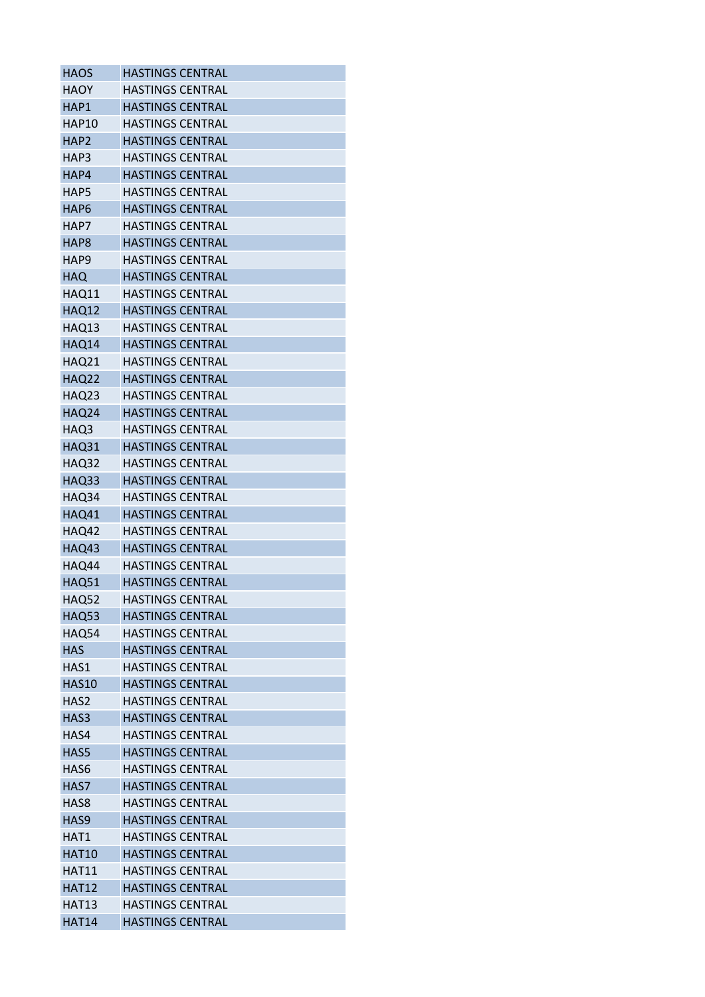| <b>HAOS</b>      | <b>HASTINGS CENTRAL</b> |
|------------------|-------------------------|
| <b>HAOY</b>      | <b>HASTINGS CENTRAL</b> |
| HAP1             | <b>HASTINGS CENTRAL</b> |
| HAP10            | <b>HASTINGS CENTRAL</b> |
| HAP2             | <b>HASTINGS CENTRAL</b> |
| HAP3             | <b>HASTINGS CENTRAL</b> |
| HAP4             | <b>HASTINGS CENTRAL</b> |
| HAP5             | <b>HASTINGS CENTRAL</b> |
| HAP6             | <b>HASTINGS CENTRAL</b> |
| HAP7             | <b>HASTINGS CENTRAL</b> |
| HAP8             | <b>HASTINGS CENTRAL</b> |
| HAP9             | <b>HASTINGS CENTRAL</b> |
| <b>HAQ</b>       | <b>HASTINGS CENTRAL</b> |
| HAQ11            | <b>HASTINGS CENTRAL</b> |
| HAQ12            | <b>HASTINGS CENTRAL</b> |
| <b>HAQ13</b>     | <b>HASTINGS CENTRAL</b> |
| HAQ14            | <b>HASTINGS CENTRAL</b> |
| HAQ21            | <b>HASTINGS CENTRAL</b> |
| <b>HAQ22</b>     | <b>HASTINGS CENTRAL</b> |
| HAQ23            | <b>HASTINGS CENTRAL</b> |
| HAQ24            | <b>HASTINGS CENTRAL</b> |
| HAQ3             | <b>HASTINGS CENTRAL</b> |
| HAQ31            | <b>HASTINGS CENTRAL</b> |
| HAQ32            | <b>HASTINGS CENTRAL</b> |
| HAQ33            | <b>HASTINGS CENTRAL</b> |
| HAQ34            | <b>HASTINGS CENTRAL</b> |
| HAQ41            | <b>HASTINGS CENTRAL</b> |
| HAQ42            | <b>HASTINGS CENTRAL</b> |
| <b>HAQ43</b>     | <b>HASTINGS CENTRAL</b> |
| HAQ44            | <b>HASTINGS CENTRAL</b> |
| <b>HAQ51</b>     | <b>HASTINGS CENTRAL</b> |
| HAQ52            | <b>HASTINGS CENTRAL</b> |
| HAQ53            | <b>HASTINGS CENTRAL</b> |
| HAQ54            | <b>HASTINGS CENTRAL</b> |
| <b>HAS</b>       | <b>HASTINGS CENTRAL</b> |
| HAS1             | <b>HASTINGS CENTRAL</b> |
| <b>HAS10</b>     | <b>HASTINGS CENTRAL</b> |
| HAS2             | <b>HASTINGS CENTRAL</b> |
| HAS3             | <b>HASTINGS CENTRAL</b> |
| HAS4             | <b>HASTINGS CENTRAL</b> |
| HAS5             | <b>HASTINGS CENTRAL</b> |
| HAS6             | <b>HASTINGS CENTRAL</b> |
| HAS7             | <b>HASTINGS CENTRAL</b> |
| HAS8             | <b>HASTINGS CENTRAL</b> |
| HAS <sub>9</sub> | <b>HASTINGS CENTRAL</b> |
| HAT1             | <b>HASTINGS CENTRAL</b> |
| <b>HAT10</b>     | <b>HASTINGS CENTRAL</b> |
| <b>HAT11</b>     | <b>HASTINGS CENTRAL</b> |
| <b>HAT12</b>     | <b>HASTINGS CENTRAL</b> |
| <b>HAT13</b>     | <b>HASTINGS CENTRAL</b> |
| <b>HAT14</b>     | <b>HASTINGS CENTRAL</b> |
|                  |                         |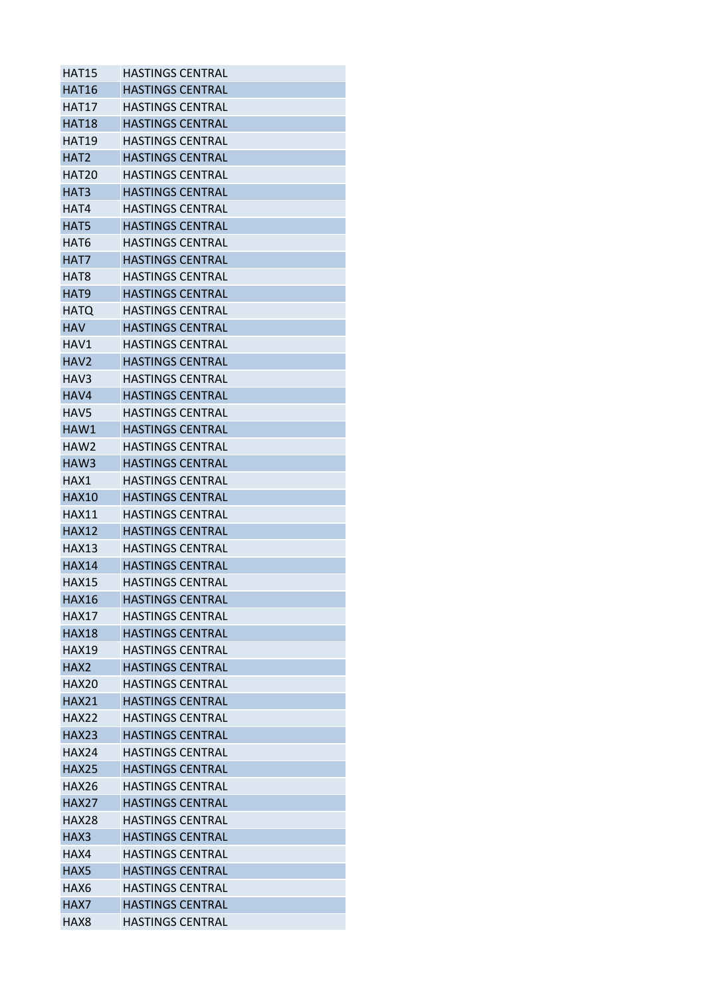| <b>HAT15</b>     | <b>HASTINGS CENTRAL</b> |
|------------------|-------------------------|
| HAT16            | <b>HASTINGS CENTRAL</b> |
| <b>HAT17</b>     | HASTINGS CENTRAL        |
| <b>HAT18</b>     | <b>HASTINGS CENTRAL</b> |
| HAT19            | <b>HASTINGS CENTRAL</b> |
| HAT <sub>2</sub> | <b>HASTINGS CENTRAL</b> |
| HAT20            | HASTINGS CENTRAL        |
| HAT3             | <b>HASTINGS CENTRAL</b> |
| HAT4             | <b>HASTINGS CENTRAL</b> |
| HAT5             | <b>HASTINGS CENTRAL</b> |
| HAT6             | HASTINGS CENTRAL        |
| HAT7             | HASTINGS CENTRAL        |
| HAT <sub>8</sub> | HASTINGS CENTRAL        |
| HAT <sub>9</sub> | <b>HASTINGS CENTRAL</b> |
| <b>HATQ</b>      | <b>HASTINGS CENTRAL</b> |
| <b>HAV</b>       | <b>HASTINGS CENTRAL</b> |
| HAV1             | <b>HASTINGS CENTRAL</b> |
| HAV <sub>2</sub> | HASTINGS CENTRAL        |
| HAV3             | <b>HASTINGS CENTRAL</b> |
| HAV4             | <b>HASTINGS CENTRAL</b> |
| HAV5             | HASTINGS CENTRAL        |
| HAW1             | <b>HASTINGS CENTRAL</b> |
| HAW2             | <b>HASTINGS CENTRAL</b> |
| HAW3             | <b>HASTINGS CENTRAL</b> |
| HAX1             | <b>HASTINGS CENTRAL</b> |
| HAX10            | HASTINGS CENTRAL        |
| <b>HAX11</b>     | <b>HASTINGS CENTRAL</b> |
| <b>HAX12</b>     | HASTINGS CENTRAL        |
| <b>HAX13</b>     | <b>HASTINGS CENTRAL</b> |
| <b>HAX14</b>     | <b>HASTINGS CENTRAL</b> |
| <b>HAX15</b>     | HASTINGS CENTRAL        |
| <b>HAX16</b>     | <b>HASTINGS CENTRAL</b> |
| <b>HAX17</b>     | <b>HASTINGS CENTRAL</b> |
| <b>HAX18</b>     | <b>HASTINGS CENTRAL</b> |
| <b>HAX19</b>     | <b>HASTINGS CENTRAL</b> |
| HAX <sub>2</sub> | <b>HASTINGS CENTRAL</b> |
| HAX20            | <b>HASTINGS CENTRAL</b> |
| <b>HAX21</b>     | <b>HASTINGS CENTRAL</b> |
| <b>HAX22</b>     | <b>HASTINGS CENTRAL</b> |
| <b>HAX23</b>     | <b>HASTINGS CENTRAL</b> |
| HAX24            | HASTINGS CENTRAL        |
| <b>HAX25</b>     | <b>HASTINGS CENTRAL</b> |
| <b>HAX26</b>     | <b>HASTINGS CENTRAL</b> |
| <b>HAX27</b>     | <b>HASTINGS CENTRAL</b> |
| HAX28            | <b>HASTINGS CENTRAL</b> |
| HAX3             | HASTINGS CENTRAL        |
| HAX4             | <b>HASTINGS CENTRAL</b> |
| HAX5             | <b>HASTINGS CENTRAL</b> |
| HAX6             | <b>HASTINGS CENTRAL</b> |
| HAX7             | <b>HASTINGS CENTRAL</b> |
| HAX8             | HASTINGS CENTRAL        |
|                  |                         |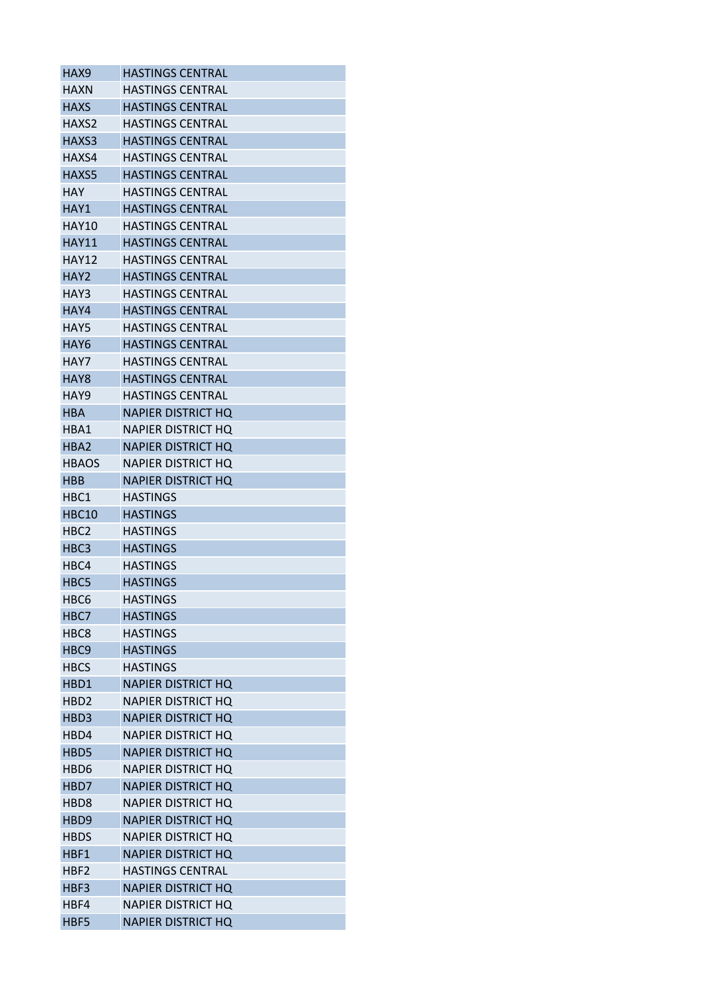| HAX9             | <b>HASTINGS CENTRAL</b>   |
|------------------|---------------------------|
| HAXN             | <b>HASTINGS CENTRAL</b>   |
| <b>HAXS</b>      | <b>HASTINGS CENTRAL</b>   |
| HAXS2            | <b>HASTINGS CENTRAL</b>   |
| HAXS3            | <b>HASTINGS CENTRAL</b>   |
| HAXS4            | <b>HASTINGS CENTRAL</b>   |
| HAXS5            | <b>HASTINGS CENTRAL</b>   |
| <b>HAY</b>       | <b>HASTINGS CENTRAL</b>   |
| HAY1             | <b>HASTINGS CENTRAL</b>   |
| HAY10            | <b>HASTINGS CENTRAL</b>   |
| <b>HAY11</b>     | <b>HASTINGS CENTRAL</b>   |
| <b>HAY12</b>     | <b>HASTINGS CENTRAL</b>   |
| HAY2             | <b>HASTINGS CENTRAL</b>   |
| HAY3             | <b>HASTINGS CENTRAL</b>   |
| HAY4             | <b>HASTINGS CENTRAL</b>   |
| HAY5             | <b>HASTINGS CENTRAL</b>   |
| HAY6             | <b>HASTINGS CENTRAL</b>   |
| HAY7             | <b>HASTINGS CENTRAL</b>   |
| HAY <sub>8</sub> | <b>HASTINGS CENTRAL</b>   |
| HAY9             | <b>HASTINGS CENTRAL</b>   |
| <b>HBA</b>       | <b>NAPIER DISTRICT HQ</b> |
| HBA1             | <b>NAPIER DISTRICT HO</b> |
| HBA <sub>2</sub> | <b>NAPIER DISTRICT HQ</b> |
| <b>HBAOS</b>     | <b>NAPIER DISTRICT HQ</b> |
| <b>HBB</b>       | <b>NAPIER DISTRICT HQ</b> |
| HBC1             | <b>HASTINGS</b>           |
| <b>HBC10</b>     | <b>HASTINGS</b>           |
| HBC <sub>2</sub> | <b>HASTINGS</b>           |
| HBC <sub>3</sub> | <b>HASTINGS</b>           |
| HBC4             | <b>HASTINGS</b>           |
| HBC5             | <b>HASTINGS</b>           |
| HBC6             | <b>HASTINGS</b>           |
| HBC7             | <b>HASTINGS</b>           |
| HBC8             | <b>HASTINGS</b>           |
| HBC <sub>9</sub> | <b>HASTINGS</b>           |
| <b>HBCS</b>      | <b>HASTINGS</b>           |
| HBD1             | <b>NAPIER DISTRICT HQ</b> |
| HBD <sub>2</sub> | <b>NAPIER DISTRICT HQ</b> |
| HBD3             | <b>NAPIER DISTRICT HQ</b> |
| HBD4             | <b>NAPIER DISTRICT HO</b> |
| HBD5             | <b>NAPIER DISTRICT HQ</b> |
| HBD6             | <b>NAPIER DISTRICT HQ</b> |
| HBD7             | <b>NAPIER DISTRICT HQ</b> |
| HBD <sub>8</sub> | <b>NAPIER DISTRICT HQ</b> |
| HBD <sub>9</sub> | <b>NAPIER DISTRICT HQ</b> |
|                  | NAPIER DISTRICT HQ        |
| HBDS             |                           |
| HBF1             | <b>NAPIER DISTRICT HQ</b> |
| HBF2             | <b>HASTINGS CENTRAL</b>   |
| HBF3             | <b>NAPIER DISTRICT HQ</b> |
| HBF4             | <b>NAPIER DISTRICT HQ</b> |
| HBF5             | <b>NAPIER DISTRICT HQ</b> |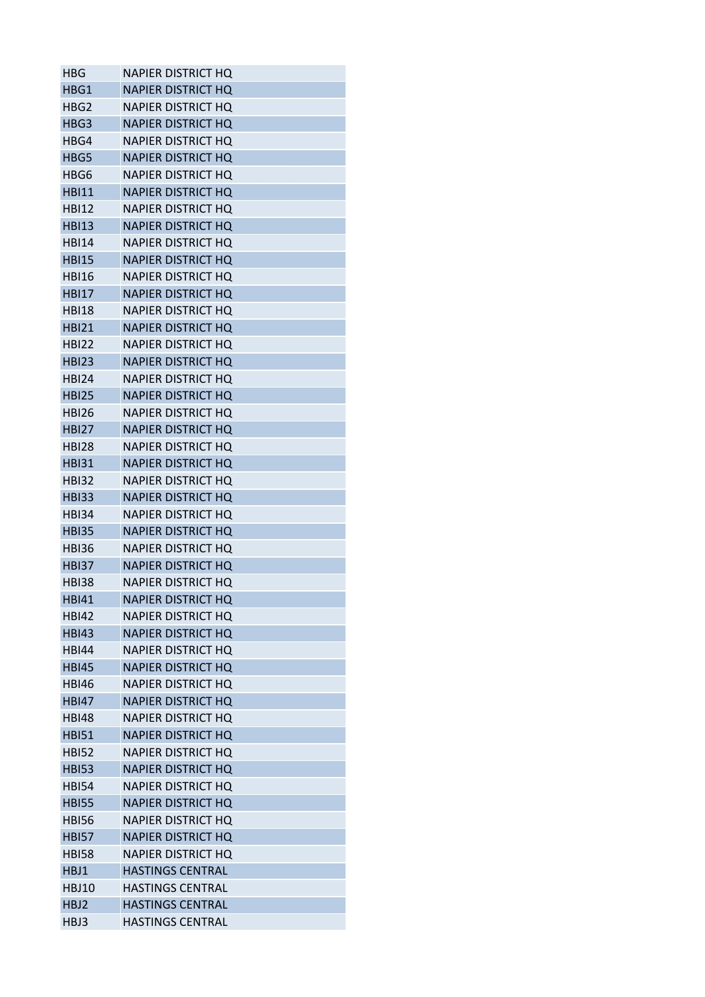| HBG          | NAPIER DISTRICT HO        |
|--------------|---------------------------|
| HBG1         | <b>NAPIER DISTRICT HO</b> |
| HBG2         | <b>NAPIER DISTRICT HO</b> |
| HBG3         | <b>NAPIER DISTRICT HO</b> |
| HBG4         | <b>NAPIER DISTRICT HO</b> |
| HBG5         | <b>NAPIER DISTRICT HQ</b> |
| HBG6         | NAPIER DISTRICT HO        |
| <b>HBI11</b> | <b>NAPIER DISTRICT HQ</b> |
| HBI12        | <b>NAPIER DISTRICT HO</b> |
| <b>HBI13</b> | <b>NAPIER DISTRICT HO</b> |
| <b>HBI14</b> | NAPIER DISTRICT HO        |
| <b>HBI15</b> | <b>NAPIER DISTRICT HQ</b> |
| <b>HBI16</b> | NAPIER DISTRICT HO        |
| <b>HBI17</b> | <b>NAPIER DISTRICT HQ</b> |
| <b>HBI18</b> | <b>NAPIER DISTRICT HO</b> |
| <b>HBI21</b> | <b>NAPIER DISTRICT HO</b> |
| HBI22        | NAPIER DISTRICT HO        |
| <b>HBI23</b> | <b>NAPIER DISTRICT HO</b> |
| <b>HBI24</b> | NAPIER DISTRICT HQ        |
| <b>HBI25</b> | <b>NAPIER DISTRICT HO</b> |
| <b>HBI26</b> | NAPIER DISTRICT HO        |
|              |                           |
| HBI27        | <b>NAPIER DISTRICT HQ</b> |
| <b>HBI28</b> | NAPIER DISTRICT HQ        |
| <b>HBI31</b> | <b>NAPIER DISTRICT HQ</b> |
| <b>HBI32</b> | NAPIER DISTRICT HO        |
| <b>HBI33</b> | <b>NAPIER DISTRICT HQ</b> |
| HBI34        | NAPIER DISTRICT HO        |
| <b>HBI35</b> | <b>NAPIER DISTRICT HQ</b> |
| <b>HBI36</b> | <b>NAPIER DISTRICT HQ</b> |
| <b>HBI37</b> | <b>NAPIER DISTRICT HQ</b> |
| HBI38        | NAPIER DISTRICT HO        |
| <b>HBI41</b> | <b>NAPIER DISTRICT HQ</b> |
| HBI42        | NAPIER DISTRICT HO        |
| <b>HBI43</b> | <b>NAPIER DISTRICT HQ</b> |
| <b>HBI44</b> | <b>NAPIER DISTRICT HO</b> |
| <b>HBI45</b> | <b>NAPIER DISTRICT HQ</b> |
| <b>HBI46</b> | NAPIER DISTRICT HO        |
| <b>HBI47</b> | <b>NAPIER DISTRICT HO</b> |
| <b>HBI48</b> | <b>NAPIER DISTRICT HQ</b> |
| <b>HBI51</b> | <b>NAPIER DISTRICT HQ</b> |
| <b>HBI52</b> | <b>NAPIER DISTRICT HQ</b> |
| <b>HBI53</b> | <b>NAPIER DISTRICT HQ</b> |
| <b>HBI54</b> | <b>NAPIER DISTRICT HQ</b> |
| <b>HBI55</b> | <b>NAPIER DISTRICT HQ</b> |
| <b>HBI56</b> | NAPIER DISTRICT HO        |
| <b>HBI57</b> | <b>NAPIER DISTRICT HQ</b> |
| <b>HBI58</b> | <b>NAPIER DISTRICT HQ</b> |
| HBJ1         | <b>HASTINGS CENTRAL</b>   |
| <b>HBJ10</b> | <b>HASTINGS CENTRAL</b>   |
| HBJ2         | <b>HASTINGS CENTRAL</b>   |
| HBJ3         | <b>HASTINGS CENTRAL</b>   |
|              |                           |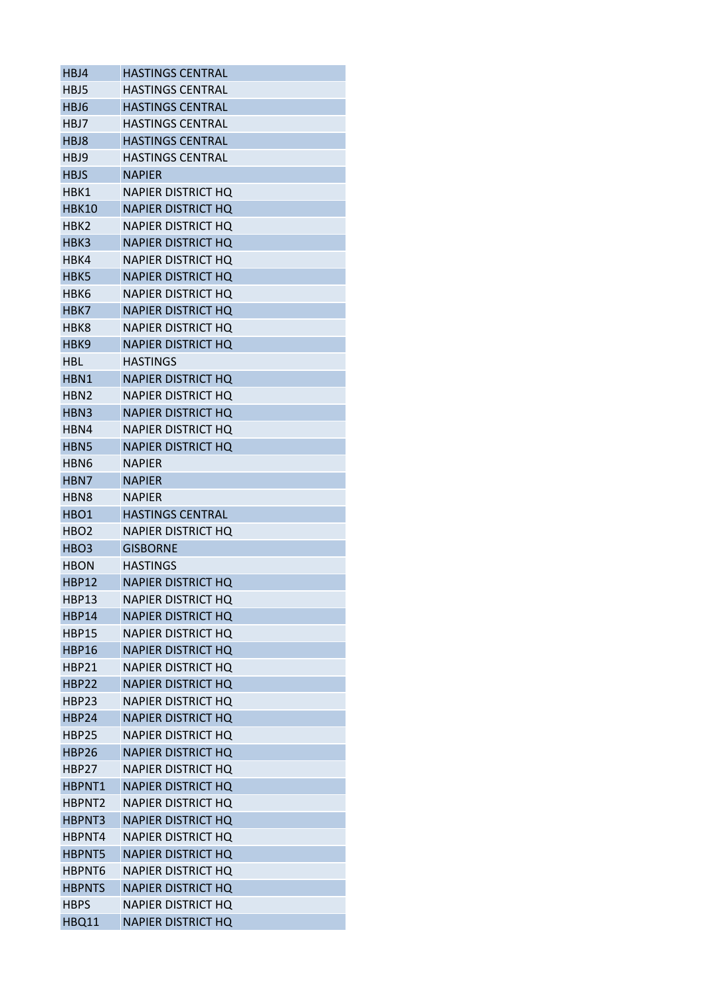| HBJ4                     | <b>HASTINGS CENTRAL</b>   |
|--------------------------|---------------------------|
| HBJ5                     | <b>HASTINGS CENTRAL</b>   |
| HBJ6                     | <b>HASTINGS CENTRAL</b>   |
| HBJ7                     | <b>HASTINGS CENTRAL</b>   |
| HBJ8                     | <b>HASTINGS CENTRAL</b>   |
| HBJ9                     | <b>HASTINGS CENTRAL</b>   |
| <b>HBJS</b>              | <b>NAPIER</b>             |
| HBK1                     | <b>NAPIER DISTRICT HQ</b> |
| <b>HBK10</b>             | <b>NAPIER DISTRICT HQ</b> |
| нвк2                     | NAPIER DISTRICT HO        |
| HBK3                     | <b>NAPIER DISTRICT HQ</b> |
| HBK4                     | NAPIER DISTRICT HO        |
| HBK5                     | <b>NAPIER DISTRICT HQ</b> |
| нвк6                     | NAPIER DISTRICT HQ        |
| HBK7                     | <b>NAPIER DISTRICT HQ</b> |
| HBK8                     | <b>NAPIER DISTRICT HQ</b> |
| HBK9                     | <b>NAPIER DISTRICT HQ</b> |
| HBL                      | <b>HASTINGS</b>           |
| HBN1                     | <b>NAPIER DISTRICT HQ</b> |
| HBN2                     | NAPIER DISTRICT HO        |
| HBN <sub>3</sub>         | <b>NAPIER DISTRICT HO</b> |
| HBN4                     | NAPIER DISTRICT HO        |
| HBN5                     | <b>NAPIER DISTRICT HQ</b> |
| HBN <sub>6</sub>         | <b>NAPIER</b>             |
| HBN7                     | <b>NAPIER</b>             |
| HBN8                     | <b>NAPIER</b>             |
| HBO1                     | <b>HASTINGS CENTRAL</b>   |
|                          |                           |
| HBO2<br>HBO <sub>3</sub> | <b>NAPIER DISTRICT HQ</b> |
|                          | <b>GISBORNE</b>           |
| HBON                     | <b>HASTINGS</b>           |
| HBP12                    | <b>NAPIER DISTRICT HQ</b> |
| <b>HBP13</b>             | <b>NAPIER DISTRICT HQ</b> |
| HBP14                    | <b>NAPIER DISTRICT HQ</b> |
| <b>HBP15</b>             | <b>NAPIER DISTRICT HQ</b> |
| <b>HBP16</b>             | <b>NAPIER DISTRICT HQ</b> |
| HBP21                    | <b>NAPIER DISTRICT HO</b> |
| <b>HBP22</b>             | <b>NAPIER DISTRICT HQ</b> |
| HBP23                    | <b>NAPIER DISTRICT HQ</b> |
| <b>HBP24</b>             | <b>NAPIER DISTRICT HO</b> |
| HBP25                    | <b>NAPIER DISTRICT HQ</b> |
| HBP26                    | <b>NAPIER DISTRICT HQ</b> |
| HBP27                    | <b>NAPIER DISTRICT HQ</b> |
| HBPNT1                   | <b>NAPIER DISTRICT HQ</b> |
| HBPNT2                   | <b>NAPIER DISTRICT HQ</b> |
| HBPNT3                   | <b>NAPIER DISTRICT HQ</b> |
| HBPNT4                   | NAPIER DISTRICT HO        |
| HBPNT5                   | <b>NAPIER DISTRICT HQ</b> |
| HBPNT6                   | <b>NAPIER DISTRICT HQ</b> |
| <b>HBPNTS</b>            | <b>NAPIER DISTRICT HQ</b> |
| <b>HBPS</b>              | <b>NAPIER DISTRICT HQ</b> |
| <b>HBQ11</b>             | <b>NAPIER DISTRICT HQ</b> |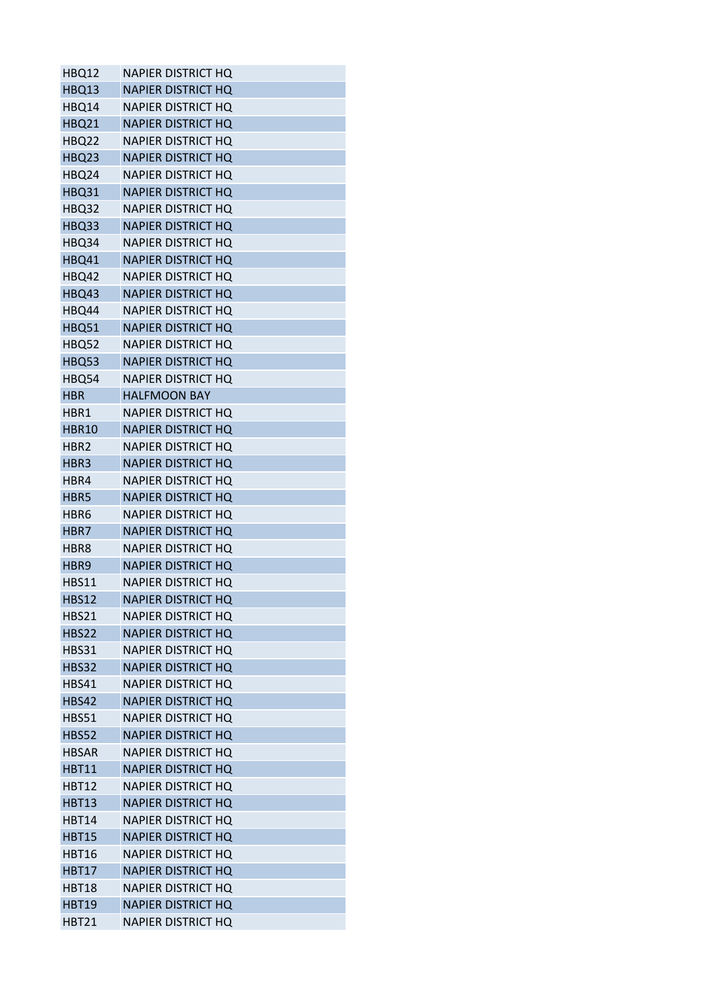| HBQ12        | <b>NAPIER DISTRICT HQ</b> |
|--------------|---------------------------|
| HBQ13        | <b>NAPIER DISTRICT HQ</b> |
| HBQ14        | <b>NAPIER DISTRICT HQ</b> |
| <b>HBQ21</b> | <b>NAPIER DISTRICT HQ</b> |
| HBQ22        | <b>NAPIER DISTRICT HO</b> |
| HBQ23        | <b>NAPIER DISTRICT HQ</b> |
| HBQ24        | NAPIER DISTRICT HQ        |
| <b>HBQ31</b> | <b>NAPIER DISTRICT HQ</b> |
| HBQ32        | <b>NAPIER DISTRICT HQ</b> |
| HBQ33        | <b>NAPIER DISTRICT HQ</b> |
| HBQ34        | <b>NAPIER DISTRICT HQ</b> |
| HBQ41        | <b>NAPIER DISTRICT HQ</b> |
| HBQ42        | NAPIER DISTRICT HQ        |
| HBQ43        | <b>NAPIER DISTRICT HQ</b> |
| HBQ44        | <b>NAPIER DISTRICT HQ</b> |
| <b>HBQ51</b> | <b>NAPIER DISTRICT HQ</b> |
| HBQ52        | <b>NAPIER DISTRICT HQ</b> |
| HBQ53        | <b>NAPIER DISTRICT HQ</b> |
| HBQ54        | <b>NAPIER DISTRICT HQ</b> |
| HBR          | <b>HALFMOON BAY</b>       |
| HBR1         | <b>NAPIER DISTRICT HQ</b> |
| <b>HBR10</b> | <b>NAPIER DISTRICT HQ</b> |
| HBR2         | NAPIER DISTRICT HQ        |
| HBR3         | <b>NAPIER DISTRICT HQ</b> |
| HBR4         | <b>NAPIER DISTRICT HQ</b> |
| HBR5         | <b>NAPIER DISTRICT HQ</b> |
| HBR6         | <b>NAPIER DISTRICT HQ</b> |
| HBR7         | <b>NAPIER DISTRICT HQ</b> |
| HBR8         | <b>NAPIER DISTRICT HQ</b> |
| HBR9         | <b>NAPIER DISTRICT HQ</b> |
| <b>HBS11</b> | <b>NAPIER DISTRICT HQ</b> |
| <b>HBS12</b> | <b>NAPIER DISTRICT HQ</b> |
| HBS21        | NAPIER DISTRICT HQ        |
| <b>HBS22</b> | <b>NAPIER DISTRICT HQ</b> |
| HBS31        | <b>NAPIER DISTRICT HQ</b> |
| <b>HBS32</b> | <b>NAPIER DISTRICT HQ</b> |
| <b>HBS41</b> | <b>NAPIER DISTRICT HQ</b> |
| <b>HBS42</b> | <b>NAPIER DISTRICT HQ</b> |
| <b>HBS51</b> | <b>NAPIER DISTRICT HO</b> |
| <b>HBS52</b> | <b>NAPIER DISTRICT HQ</b> |
| <b>HBSAR</b> | <b>NAPIER DISTRICT HQ</b> |
| <b>HBT11</b> | <b>NAPIER DISTRICT HQ</b> |
| <b>HBT12</b> | <b>NAPIER DISTRICT HQ</b> |
| <b>HBT13</b> | <b>NAPIER DISTRICT HQ</b> |
| <b>HBT14</b> | <b>NAPIER DISTRICT HQ</b> |
| <b>HBT15</b> | <b>NAPIER DISTRICT HQ</b> |
| <b>HBT16</b> | <b>NAPIER DISTRICT HQ</b> |
| <b>HBT17</b> | <b>NAPIER DISTRICT HQ</b> |
| HBT18        | NAPIER DISTRICT HQ        |
| <b>HBT19</b> | <b>NAPIER DISTRICT HQ</b> |
| <b>HBT21</b> | <b>NAPIER DISTRICT HQ</b> |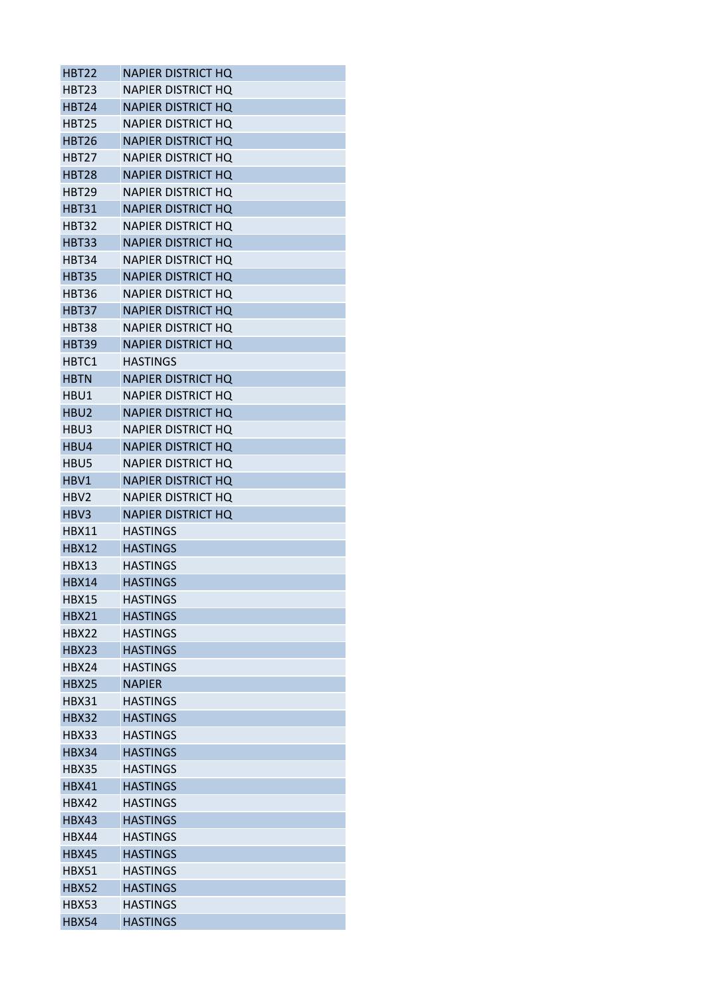| HBT22            | NAPIER DISTRICT HO        |
|------------------|---------------------------|
| HBT23            | NAPIER DISTRICT HO        |
| <b>HBT24</b>     | <b>NAPIER DISTRICT HO</b> |
| HBT25            | NAPIER DISTRICT HO        |
| <b>HBT26</b>     | <b>NAPIER DISTRICT HQ</b> |
| <b>HBT27</b>     | NAPIER DISTRICT HQ        |
| <b>HBT28</b>     | <b>NAPIER DISTRICT HQ</b> |
| HBT29            | <b>NAPIER DISTRICT HO</b> |
| <b>HBT31</b>     | <b>NAPIER DISTRICT HQ</b> |
| <b>HBT32</b>     | NAPIER DISTRICT HO        |
| <b>HBT33</b>     | <b>NAPIER DISTRICT HQ</b> |
| HBT34            | NAPIER DISTRICT HO        |
| <b>HBT35</b>     | <b>NAPIER DISTRICT HQ</b> |
| HBT36            | <b>NAPIER DISTRICT HQ</b> |
| <b>HBT37</b>     | <b>NAPIER DISTRICT HQ</b> |
| <b>HBT38</b>     | NAPIER DISTRICT HO        |
| <b>HBT39</b>     | <b>NAPIER DISTRICT HO</b> |
| HBTC1            | HASTINGS                  |
| <b>HBTN</b>      | <b>NAPIER DISTRICT HQ</b> |
| HBU1             | NAPIER DISTRICT HO        |
| HBU <sub>2</sub> | <b>NAPIER DISTRICT HQ</b> |
| HBU3             | NAPIER DISTRICT HO        |
| HBU4             | <b>NAPIER DISTRICT HQ</b> |
| HBU5             | NAPIER DISTRICT HQ        |
| HBV1             | <b>NAPIER DISTRICT HQ</b> |
| HBV2             | NAPIER DISTRICT HQ        |
| HBV3             | <b>NAPIER DISTRICT HQ</b> |
| HBX11            | <b>HASTINGS</b>           |
| <b>HBX12</b>     | <b>HASTINGS</b>           |
| HBX13            | <b>HASTINGS</b>           |
| HBX14            | <b>HASTINGS</b>           |
| <b>HBX15</b>     | <b>HASTINGS</b>           |
| <b>HBX21</b>     | <b>HASTINGS</b>           |
| <b>HBX22</b>     | <b>HASTINGS</b>           |
| <b>HBX23</b>     | <b>HASTINGS</b>           |
| HBX24            | HASTINGS                  |
| <b>HBX25</b>     | <b>NAPIER</b>             |
| HBX31            | <b>HASTINGS</b>           |
| <b>HBX32</b>     | <b>HASTINGS</b>           |
| HBX33            | <b>HASTINGS</b>           |
| HBX34            | <b>HASTINGS</b>           |
| HBX35            | <b>HASTINGS</b>           |
| <b>HBX41</b>     | <b>HASTINGS</b>           |
| <b>HBX42</b>     | <b>HASTINGS</b>           |
| <b>HBX43</b>     | <b>HASTINGS</b>           |
| HBX44            | HASTINGS                  |
| <b>HBX45</b>     | <b>HASTINGS</b>           |
| <b>HBX51</b>     | <b>HASTINGS</b>           |
| <b>HBX52</b>     | <b>HASTINGS</b>           |
| <b>HBX53</b>     | <b>HASTINGS</b>           |
| <b>HBX54</b>     | <b>HASTINGS</b>           |
|                  |                           |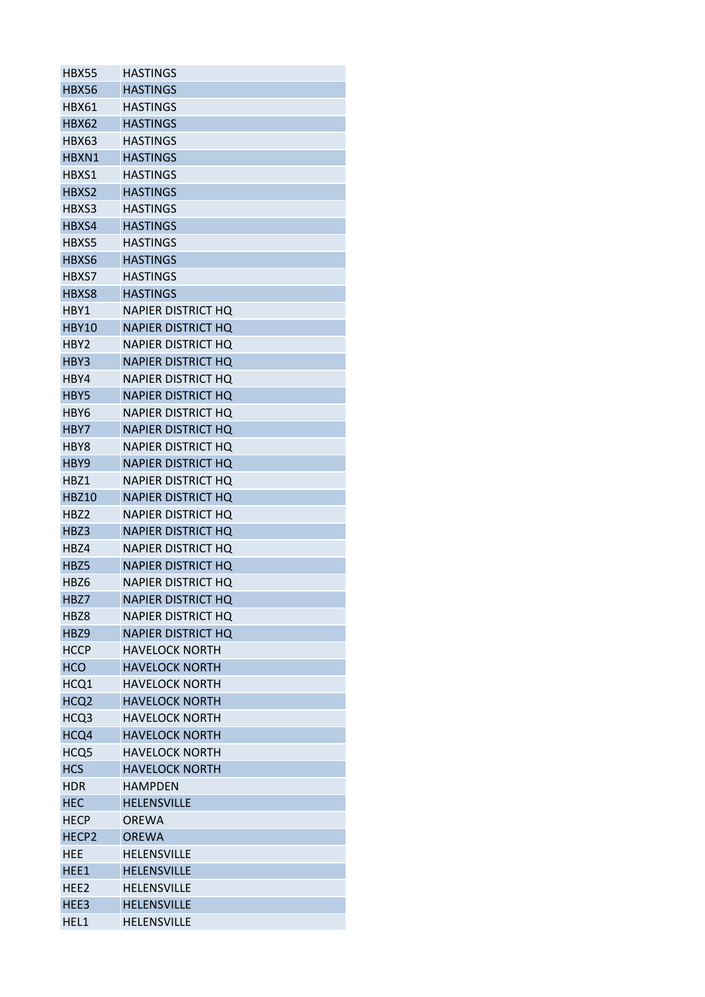| <b>HBX55</b>      | HASTINGS                  |
|-------------------|---------------------------|
| <b>HBX56</b>      | HASTINGS                  |
| <b>HBX61</b>      | <b>HASTINGS</b>           |
| <b>HBX62</b>      | <b>HASTINGS</b>           |
| <b>HBX63</b>      | <b>HASTINGS</b>           |
| HBXN1             | <b>HASTINGS</b>           |
| HBXS1             | HASTINGS                  |
| HBXS2             | <b>HASTINGS</b>           |
| HBXS3             | <b>HASTINGS</b>           |
| HBXS4             | <b>HASTINGS</b>           |
| HBXS5             | <b>HASTINGS</b>           |
| HBXS6             | <b>HASTINGS</b>           |
| HBXS7             | <b>HASTINGS</b>           |
| HBXS8             | <b>HASTINGS</b>           |
| HBY1              | NAPIER DISTRICT HQ        |
| <b>HBY10</b>      | <b>NAPIER DISTRICT HQ</b> |
| HBY2              | NAPIER DISTRICT HQ        |
| HBY3              | <b>NAPIER DISTRICT HQ</b> |
| HBY4              | NAPIER DISTRICT HO        |
| HBY5              | <b>NAPIER DISTRICT HO</b> |
| HBY6              | NAPIER DISTRICT HO        |
| HBY7              | <b>NAPIER DISTRICT HQ</b> |
| HBY8              | NAPIER DISTRICT HO        |
| HBY9              | <b>NAPIER DISTRICT HQ</b> |
| HBZ1              | NAPIER DISTRICT HQ        |
| <b>HBZ10</b>      | <b>NAPIER DISTRICT HQ</b> |
| HBZ2              | <b>NAPIER DISTRICT HQ</b> |
| HBZ3              | <b>NAPIER DISTRICT HO</b> |
| HBZ4              | NAPIER DISTRICT HO        |
| HBZ5              | NAPIER DISTRICT HQ        |
| HBZ6              | NAPIER DISTRICT HO        |
| HBZ7              | <b>NAPIER DISTRICT HQ</b> |
| HBZ8              | <b>NAPIER DISTRICT HQ</b> |
| HBZ9              | <b>NAPIER DISTRICT HQ</b> |
| <b>HCCP</b>       | <b>HAVELOCK NORTH</b>     |
| <b>HCO</b>        | <b>HAVELOCK NORTH</b>     |
| HCQ1              | <b>HAVELOCK NORTH</b>     |
| HCQ <sub>2</sub>  | <b>HAVELOCK NORTH</b>     |
| HCQ3              | <b>HAVELOCK NORTH</b>     |
| HCQ4              | <b>HAVELOCK NORTH</b>     |
| HCQ5              | <b>HAVELOCK NORTH</b>     |
| <b>HCS</b>        | <b>HAVELOCK NORTH</b>     |
| <b>HDR</b>        | <b>HAMPDEN</b>            |
| <b>HEC</b>        | <b>HELENSVILLE</b>        |
| <b>HECP</b>       | <b>OREWA</b>              |
| HECP <sub>2</sub> | <b>OREWA</b>              |
| HEE               | <b>HELENSVILLE</b>        |
| HEE1              | <b>HELENSVILLE</b>        |
| HEE2              | <b>HELENSVILLE</b>        |
| HEE3              | <b>HELENSVILLE</b>        |
| HEL1              | <b>HELENSVILLE</b>        |
|                   |                           |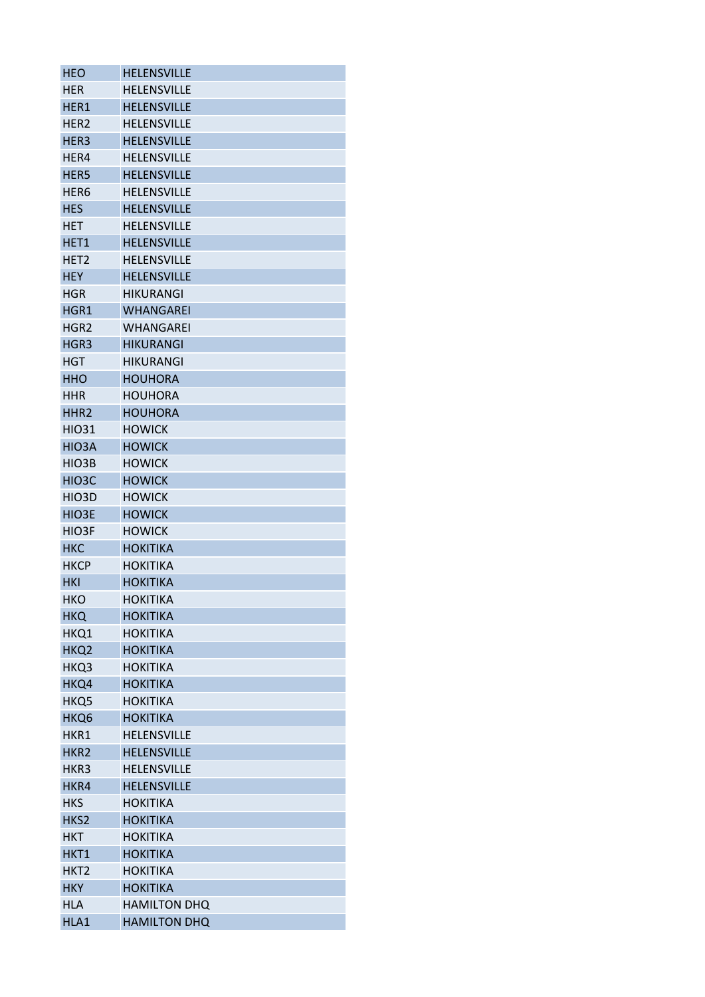| <b>HEO</b>         | <b>HELENSVILLE</b>                 |
|--------------------|------------------------------------|
| <b>HFR</b>         | <b>HELENSVILLE</b>                 |
| HER1               | <b>HELENSVILLE</b>                 |
| HER2               | <b>HELENSVILLE</b>                 |
| HER3               | <b>HELENSVILLE</b>                 |
| HER4               | <b>HELENSVILLE</b>                 |
| HER5               | <b>HELENSVILLE</b>                 |
| HER <sub>6</sub>   | <b>HELENSVILLE</b>                 |
| <b>HES</b>         | <b>HELENSVILLE</b>                 |
| <b>HET</b>         | <b>HELENSVILLE</b>                 |
| HET <sub>1</sub>   | <b>HELENSVILLE</b>                 |
| HET <sub>2</sub>   | <b>HELENSVILLE</b>                 |
| <b>HEY</b>         | <b>HELENSVILLE</b>                 |
| <b>HGR</b>         | <b>HIKURANGI</b>                   |
| HGR1               | <b>WHANGAREI</b>                   |
| HGR <sub>2</sub>   | WHANGAREI                          |
| HGR <sub>3</sub>   | <b>HIKURANGI</b>                   |
| <b>HGT</b>         | HIKURANGI                          |
| <b>HHO</b>         | <b>HOUHORA</b>                     |
| <b>HHR</b>         | <b>HOUHORA</b>                     |
| HHR <sub>2</sub>   | <b>HOUHORA</b>                     |
| <b>HIO31</b>       | <b>HOWICK</b>                      |
| HIO3A              | <b>HOWICK</b>                      |
| HIO3B              | <b>HOWICK</b>                      |
| HIO <sub>3</sub> C | <b>HOWICK</b>                      |
| HIO3D              | <b>HOWICK</b>                      |
| HIO3E              | <b>HOWICK</b>                      |
| HIO3F              | <b>HOWICK</b>                      |
| HKC                | <b>HOKITIKA</b>                    |
| <b>HKCP</b>        | <b>HOKITIKA</b>                    |
| <b>HKI</b>         | <b>HOKITIKA</b>                    |
| <b>HKO</b>         | <b>HOKITIKA</b>                    |
| <b>HKQ</b>         | <b>HOKITIKA</b>                    |
| HKQ1               | <b>HOKITIKA</b>                    |
|                    |                                    |
| HKQ2               | <b>HOKITIKA</b><br><b>HOKITIKA</b> |
| HKQ3               |                                    |
| HKQ4               | <b>HOKITIKA</b>                    |
| HKQ5               | <b>HOKITIKA</b>                    |
| HKQ6               | <b>HOKITIKA</b>                    |
| HKR1               | <b>HELENSVILLE</b>                 |
| HKR <sub>2</sub>   | <b>HELENSVILLE</b>                 |
| HKR3               | <b>HELENSVILLE</b>                 |
| HKR4               | <b>HELENSVILLE</b>                 |
| <b>HKS</b>         | <b>HOKITIKA</b>                    |
| HKS2               | <b>HOKITIKA</b>                    |
| <b>HKT</b>         | <b>HOKITIKA</b>                    |
| HKT1               | <b>HOKITIKA</b>                    |
| HKT <sub>2</sub>   | <b>HOKITIKA</b>                    |
| <b>HKY</b>         | <b>HOKITIKA</b>                    |
| <b>HLA</b>         | <b>HAMILTON DHQ</b>                |
| HLA1               | <b>HAMILTON DHQ</b>                |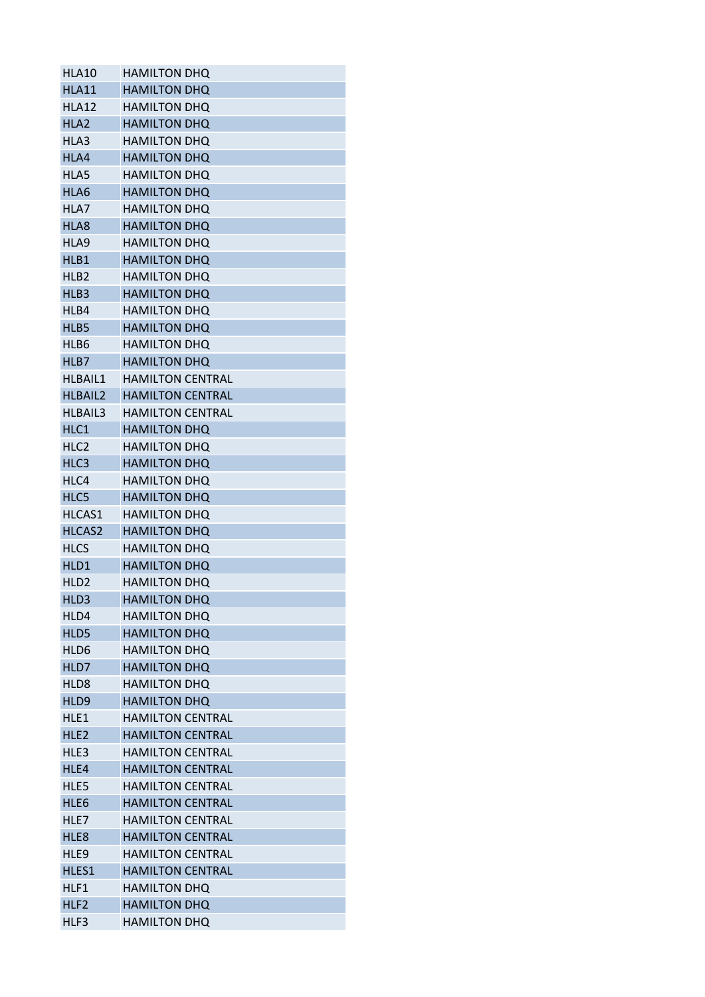| HLA10            | <b>HAMILTON DHQ</b>     |
|------------------|-------------------------|
| <b>HLA11</b>     | <b>HAMILTON DHQ</b>     |
| HLA12            | <b>HAMILTON DHQ</b>     |
| HLA <sub>2</sub> | <b>HAMILTON DHQ</b>     |
| HLA3             | <b>HAMILTON DHQ</b>     |
| HLA4             | <b>HAMILTON DHQ</b>     |
| HLA5             | <b>HAMILTON DHQ</b>     |
| HLA6             | <b>HAMILTON DHQ</b>     |
| HLA7             | <b>HAMILTON DHQ</b>     |
| HLA8             | <b>HAMILTON DHQ</b>     |
| HLA9             | <b>HAMILTON DHQ</b>     |
| HLB1             | <b>HAMILTON DHQ</b>     |
| HLB <sub>2</sub> | <b>HAMILTON DHQ</b>     |
| HLB3             | <b>HAMILTON DHQ</b>     |
| HLB4             | <b>HAMILTON DHQ</b>     |
| HLB5             | <b>HAMILTON DHQ</b>     |
| HLB6             | <b>HAMILTON DHQ</b>     |
| HLB7             | <b>HAMILTON DHQ</b>     |
| <b>HLBAIL1</b>   | <b>HAMILTON CENTRAL</b> |
| <b>HLBAIL2</b>   | <b>HAMILTON CENTRAL</b> |
| <b>HLBAIL3</b>   | <b>HAMILTON CENTRAL</b> |
| HLC1             | <b>HAMILTON DHQ</b>     |
| HLC <sub>2</sub> | <b>HAMILTON DHQ</b>     |
| HLC3             | <b>HAMILTON DHQ</b>     |
| HLC4             | <b>HAMILTON DHQ</b>     |
| HLC5             | <b>HAMILTON DHQ</b>     |
| HLCAS1           | <b>HAMILTON DHQ</b>     |
| HLCAS2           | <b>HAMILTON DHQ</b>     |
| <b>HLCS</b>      | <b>HAMILTON DHQ</b>     |
| HLD1             | <b>HAMILTON DHQ</b>     |
| HLD <sub>2</sub> | <b>HAMILTON DHQ</b>     |
| HLD3             | <b>HAMILTON DHQ</b>     |
| HLD4             | <b>HAMILTON DHQ</b>     |
| HLD5             | <b>HAMILTON DHQ</b>     |
| HLD6             | <b>HAMILTON DHQ</b>     |
| HLD7             | <b>HAMILTON DHQ</b>     |
| HLD <sub>8</sub> | <b>HAMILTON DHQ</b>     |
| HLD9             | <b>HAMILTON DHQ</b>     |
| HLE1             | <b>HAMILTON CENTRAL</b> |
| HLF <sub>2</sub> | <b>HAMILTON CENTRAL</b> |
| HLE3             | <b>HAMILTON CENTRAL</b> |
| HLE4             | <b>HAMILTON CENTRAL</b> |
| HLE5             | <b>HAMILTON CENTRAL</b> |
| HLE6             | <b>HAMILTON CENTRAL</b> |
| HLE7             | <b>HAMILTON CENTRAL</b> |
| HLE8             | <b>HAMILTON CENTRAL</b> |
| HLE9             | <b>HAMILTON CENTRAL</b> |
| HLES1            | <b>HAMILTON CENTRAL</b> |
| HLF1             | <b>HAMILTON DHQ</b>     |
| HLF <sub>2</sub> | <b>HAMILTON DHQ</b>     |
| HLF3             | <b>HAMILTON DHQ</b>     |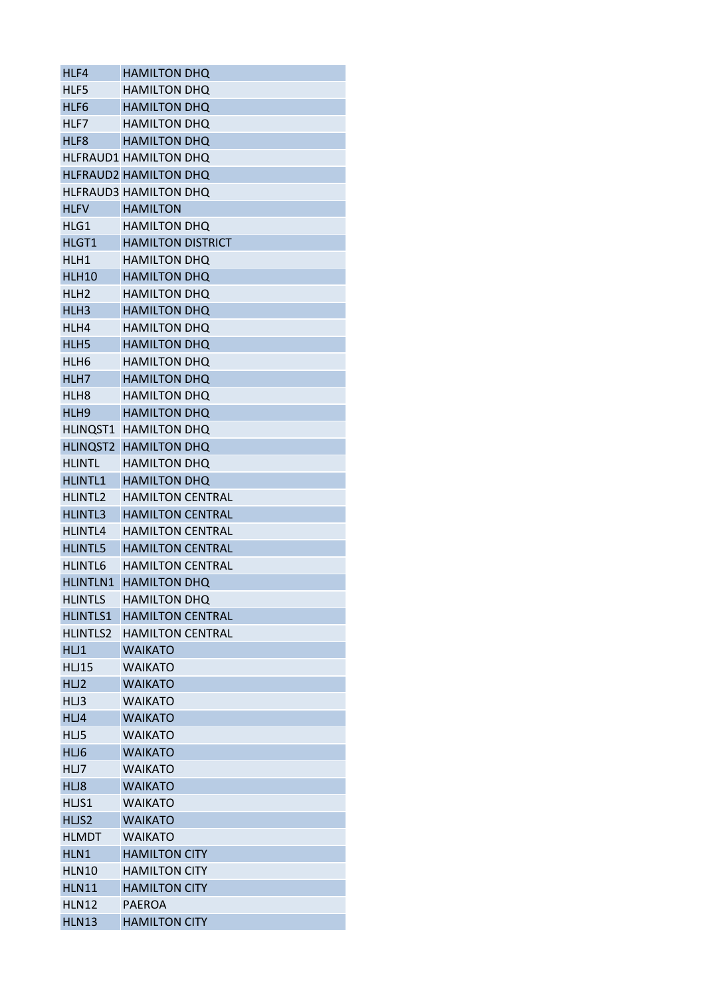| HLF4             | <b>HAMILTON DHQ</b>          |
|------------------|------------------------------|
| HLF5             | <b>HAMILTON DHQ</b>          |
| HLF6             | <b>HAMILTON DHQ</b>          |
| HLF7             | <b>HAMILTON DHQ</b>          |
| HLF8             | <b>HAMILTON DHQ</b>          |
|                  | <b>HLFRAUD1 HAMILTON DHQ</b> |
|                  | <b>HLFRAUD2 HAMILTON DHQ</b> |
|                  | <b>HLFRAUD3 HAMILTON DHQ</b> |
| <b>HLFV</b>      | <b>HAMILTON</b>              |
| HLG1             | <b>HAMILTON DHQ</b>          |
| HLGT1            | <b>HAMILTON DISTRICT</b>     |
| HLH1             | <b>HAMILTON DHQ</b>          |
| <b>HLH10</b>     | <b>HAMILTON DHQ</b>          |
| HLH <sub>2</sub> | <b>HAMILTON DHQ</b>          |
| HLH3             | <b>HAMILTON DHQ</b>          |
| HLH4             | <b>HAMILTON DHQ</b>          |
|                  |                              |
| HLH <sub>5</sub> | <b>HAMILTON DHQ</b>          |
| HLH <sub>6</sub> | <b>HAMILTON DHQ</b>          |
| HLH7             | <b>HAMILTON DHQ</b>          |
| HLH <sub>8</sub> | <b>HAMILTON DHQ</b>          |
| HLH <sub>9</sub> | <b>HAMILTON DHQ</b>          |
|                  | HLINQST1 HAMILTON DHQ        |
| HLINQST2         | <b>HAMILTON DHQ</b>          |
| <b>HLINTL</b>    | <b>HAMILTON DHQ</b>          |
| <b>HLINTL1</b>   | <b>HAMILTON DHQ</b>          |
| <b>HLINTL2</b>   | <b>HAMILTON CENTRAL</b>      |
| <b>HLINTL3</b>   | <b>HAMILTON CENTRAL</b>      |
| HLINTL4          | <b>HAMILTON CENTRAL</b>      |
| <b>HLINTL5</b>   | <b>HAMILTON CENTRAL</b>      |
| <b>HLINTL6</b>   | <b>HAMILTON CENTRAL</b>      |
| <b>HLINTLN1</b>  | <b>HAMILTON DHQ</b>          |
| <b>HLINTLS</b>   | <b>HAMILTON DHQ</b>          |
| <b>HLINTLS1</b>  | <b>HAMILTON CENTRAL</b>      |
| <b>HLINTLS2</b>  | <b>HAMILTON CENTRAL</b>      |
| HL1              | <b>WAIKATO</b>               |
| <b>HLJ15</b>     | <b>WAIKATO</b>               |
| HLJ2             | <b>WAIKATO</b>               |
| HLJ3             | <b>WAIKATO</b>               |
| HLJ4             | <b>WAIKATO</b>               |
| HLJ5             | <b>WAIKATO</b>               |
| HLJ6             | <b>WAIKATO</b>               |
| HLJ7             | <b>WAIKATO</b>               |
| HLJ8             | <b>WAIKATO</b>               |
|                  | <b>WAIKATO</b>               |
| HLJS1            |                              |
| HLJS2            | <b>WAIKATO</b>               |
| <b>HLMDT</b>     | <b>WAIKATO</b>               |
| HLN1             | <b>HAMILTON CITY</b>         |
| <b>HLN10</b>     | <b>HAMILTON CITY</b>         |
| <b>HLN11</b>     | <b>HAMILTON CITY</b>         |
| <b>HLN12</b>     | <b>PAEROA</b>                |
| <b>HLN13</b>     | <b>HAMILTON CITY</b>         |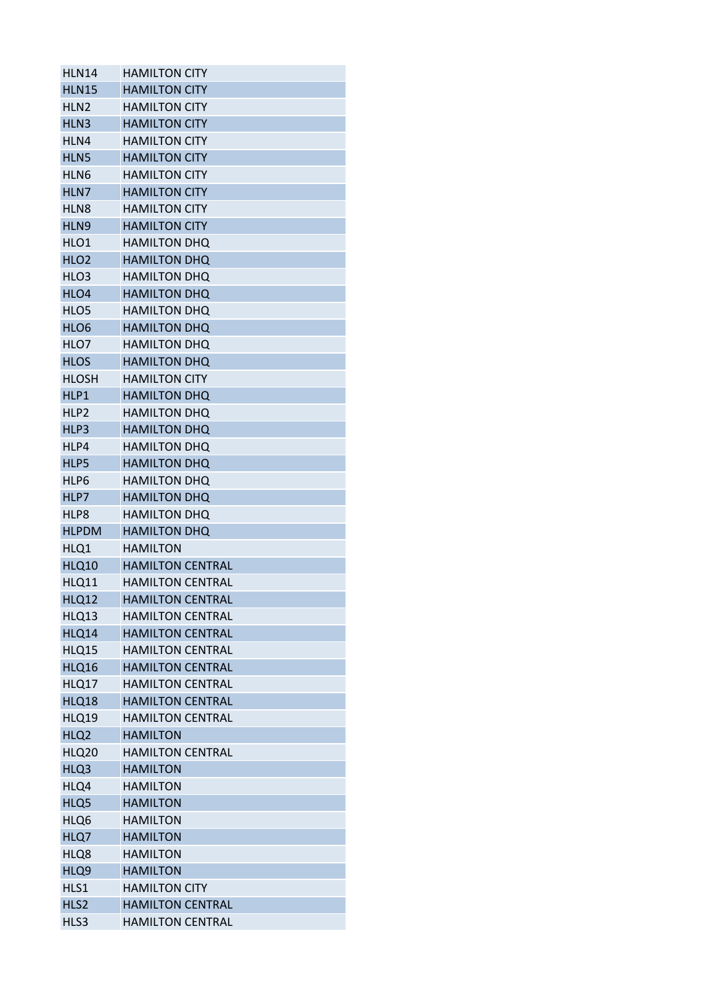| <b>HLN14</b>     | <b>HAMILTON CITY</b>    |
|------------------|-------------------------|
| <b>HLN15</b>     | <b>HAMILTON CITY</b>    |
| HLN <sub>2</sub> | <b>HAMILTON CITY</b>    |
| HLN3             | <b>HAMILTON CITY</b>    |
| HLN4             | <b>HAMILTON CITY</b>    |
| HLN5             | <b>HAMILTON CITY</b>    |
| HLN <sub>6</sub> | <b>HAMILTON CITY</b>    |
| HLN7             | <b>HAMILTON CITY</b>    |
| HLN <sub>8</sub> | <b>HAMILTON CITY</b>    |
| HLN9             | <b>HAMILTON CITY</b>    |
| HLO1             | <b>HAMILTON DHQ</b>     |
| HLO <sub>2</sub> | <b>HAMILTON DHQ</b>     |
| HLO3             | <b>HAMILTON DHQ</b>     |
| HLO4             | <b>HAMILTON DHQ</b>     |
| HLO <sub>5</sub> | <b>HAMILTON DHQ</b>     |
| HLO6             | <b>HAMILTON DHQ</b>     |
| HLO7             | <b>HAMILTON DHQ</b>     |
| <b>HLOS</b>      | <b>HAMILTON DHQ</b>     |
| <b>HLOSH</b>     | <b>HAMILTON CITY</b>    |
| HLP1             | <b>HAMILTON DHQ</b>     |
| HLP <sub>2</sub> | <b>HAMILTON DHQ</b>     |
| HLP3             | <b>HAMILTON DHQ</b>     |
| HLP4             | <b>HAMILTON DHQ</b>     |
| HLP5             | <b>HAMILTON DHQ</b>     |
| HLP6             | <b>HAMILTON DHQ</b>     |
| HLP7             | <b>HAMILTON DHQ</b>     |
| HLP8             | <b>HAMILTON DHQ</b>     |
| <b>HLPDM</b>     | <b>HAMILTON DHQ</b>     |
| HLQ1             | <b>HAMILTON</b>         |
| <b>HLQ10</b>     | <b>HAMILTON CENTRAL</b> |
| <b>HLQ11</b>     | <b>HAMILTON CENTRAL</b> |
|                  | <b>HAMILTON CENTRAL</b> |
| <b>HLQ12</b>     | <b>HAMILTON CENTRAL</b> |
| HLQ13            |                         |
| HLQ14            | <b>HAMILTON CENTRAL</b> |
| HLQ15            | <b>HAMILTON CENTRAL</b> |
| HLQ16            | <b>HAMILTON CENTRAL</b> |
| HLQ17            | <b>HAMILTON CENTRAL</b> |
| HLQ18            | <b>HAMILTON CENTRAL</b> |
| <b>HLQ19</b>     | <b>HAMILTON CENTRAL</b> |
| HLQ <sub>2</sub> | <b>HAMILTON</b>         |
| <b>HLQ20</b>     | <b>HAMILTON CENTRAL</b> |
| HLQ3             | <b>HAMILTON</b>         |
| HLQ4             | <b>HAMILTON</b>         |
| HLQ5             | <b>HAMILTON</b>         |
| HLQ6             | <b>HAMILTON</b>         |
| HLQ7             | <b>HAMILTON</b>         |
| HLQ8             | <b>HAMILTON</b>         |
| HLQ9             | <b>HAMILTON</b>         |
| HLS1             | <b>HAMILTON CITY</b>    |
| HLS2             | <b>HAMILTON CENTRAL</b> |
| HLS3             | <b>HAMILTON CENTRAL</b> |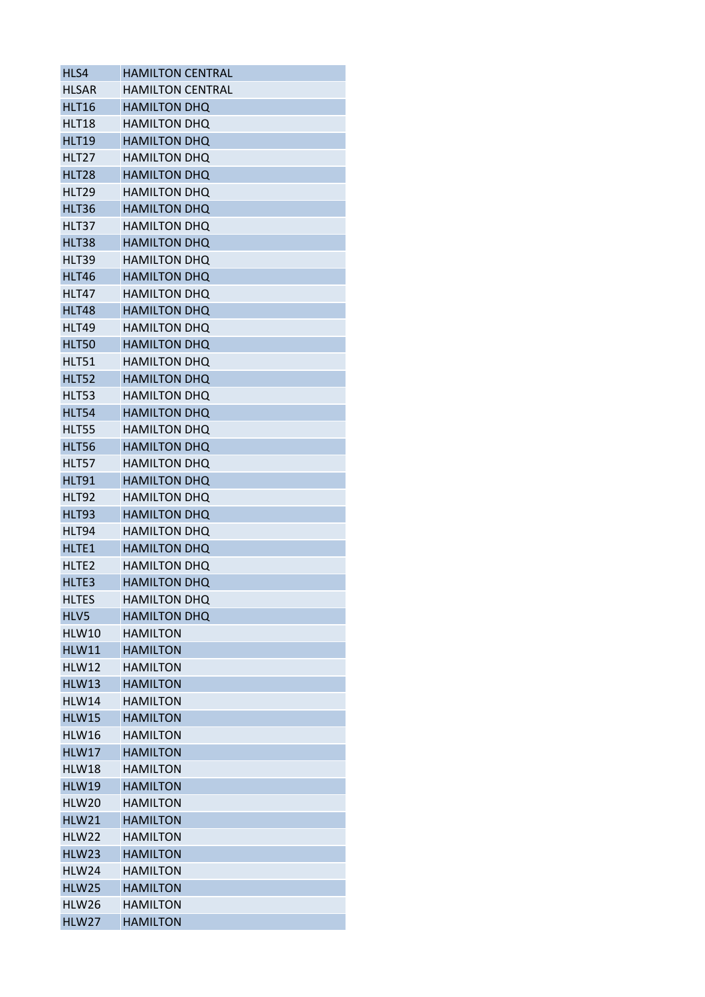| HLS4              | <b>HAMILTON CENTRAL</b> |
|-------------------|-------------------------|
| <b>HLSAR</b>      | <b>HAMILTON CENTRAL</b> |
| <b>HLT16</b>      | <b>HAMILTON DHQ</b>     |
| <b>HLT18</b>      | <b>HAMILTON DHQ</b>     |
| <b>HLT19</b>      | <b>HAMILTON DHQ</b>     |
| HLT27             | <b>HAMILTON DHQ</b>     |
| HLT28             | <b>HAMILTON DHQ</b>     |
| HLT29             | <b>HAMILTON DHQ</b>     |
| <b>HLT36</b>      | <b>HAMILTON DHQ</b>     |
| HLT37             | <b>HAMILTON DHQ</b>     |
| HLT38             | <b>HAMILTON DHQ</b>     |
| HLT39             | <b>HAMILTON DHQ</b>     |
| <b>HLT46</b>      | <b>HAMILTON DHQ</b>     |
| <b>HLT47</b>      | <b>HAMILTON DHQ</b>     |
| <b>HLT48</b>      | <b>HAMILTON DHQ</b>     |
| <b>HLT49</b>      | <b>HAMILTON DHQ</b>     |
| <b>HLT50</b>      | <b>HAMILTON DHQ</b>     |
| <b>HLT51</b>      | HAMILTON DHQ            |
| <b>HLT52</b>      | <b>HAMILTON DHQ</b>     |
| <b>HLT53</b>      | <b>HAMILTON DHQ</b>     |
| <b>HLT54</b>      | <b>HAMILTON DHQ</b>     |
| <b>HLT55</b>      | <b>HAMILTON DHQ</b>     |
| <b>HLT56</b>      | <b>HAMILTON DHQ</b>     |
| HLT57             | <b>HAMILTON DHQ</b>     |
| <b>HLT91</b>      | <b>HAMILTON DHQ</b>     |
| <b>HLT92</b>      | <b>HAMILTON DHQ</b>     |
| HLT93             | <b>HAMILTON DHQ</b>     |
| HLT94             | HAMILTON DHQ            |
| HLTE1             | <b>HAMILTON DHQ</b>     |
| HLTE <sub>2</sub> | <b>HAMILTON DHO</b>     |
| HLTE3             | <b>HAMILTON DHQ</b>     |
| <b>HLTES</b>      | <b>HAMILTON DHQ</b>     |
| HLV5              | <b>HAMILTON DHQ</b>     |
| <b>HLW10</b>      | <b>HAMILTON</b>         |
| <b>HLW11</b>      | <b>HAMILTON</b>         |
| HLW12             | <b>HAMILTON</b>         |
| <b>HLW13</b>      | <b>HAMILTON</b>         |
| <b>HLW14</b>      | <b>HAMILTON</b>         |
| <b>HLW15</b>      | <b>HAMILTON</b>         |
| <b>HLW16</b>      | <b>HAMILTON</b>         |
| HLW17             | <b>HAMILTON</b>         |
| <b>HLW18</b>      | <b>HAMILTON</b>         |
| <b>HLW19</b>      | <b>HAMILTON</b>         |
| <b>HLW20</b>      | <b>HAMILTON</b>         |
| <b>HLW21</b>      | <b>HAMILTON</b>         |
| HLW22             | HAMILTON                |
| HLW23             | <b>HAMILTON</b>         |
| HLW24             | <b>HAMILTON</b>         |
| <b>HLW25</b>      | <b>HAMILTON</b>         |
| <b>HLW26</b>      | <b>HAMILTON</b>         |
| HLW27             | <b>HAMILTON</b>         |
|                   |                         |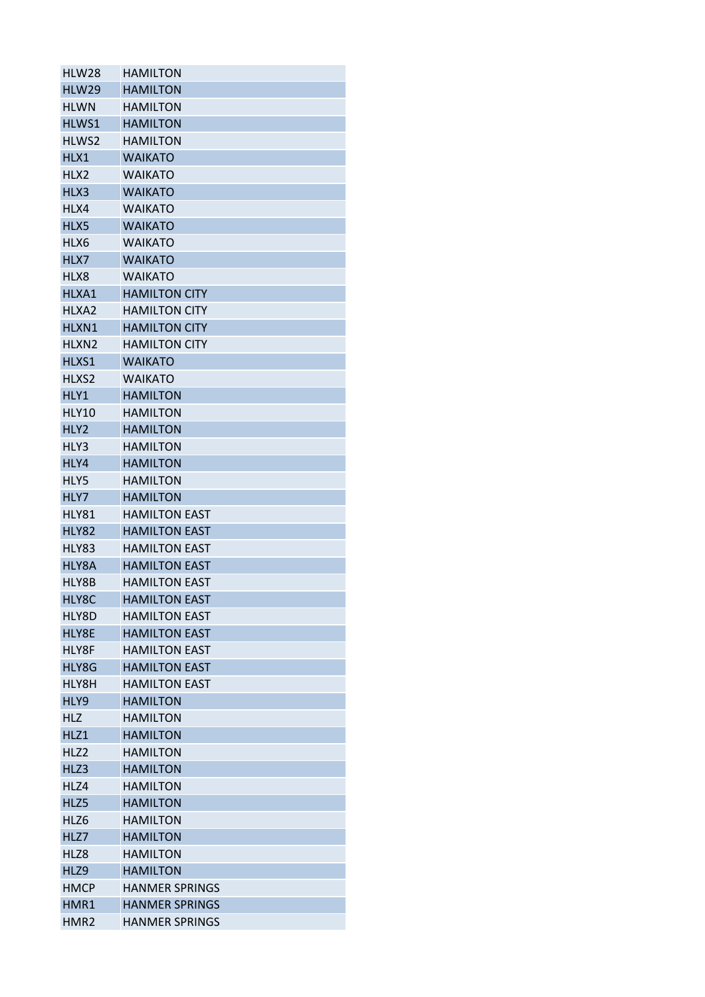| HLW28             | <b>HAMILTON</b>       |
|-------------------|-----------------------|
| HLW29             | <b>HAMILTON</b>       |
| <b>HLWN</b>       | <b>HAMILTON</b>       |
| HLWS1             | <b>HAMILTON</b>       |
| HLWS2             | <b>HAMILTON</b>       |
| HLX1              | <b>WAIKATO</b>        |
| HLX2              | <b>WAIKATO</b>        |
| HLX3              | <b>WAIKATO</b>        |
| HLX4              | <b>WAIKATO</b>        |
| HLX5              | <b>WAIKATO</b>        |
| HLX6              | <b>WAIKATO</b>        |
| HLX7              | <b>WAIKATO</b>        |
| HLX8              | <b>WAIKATO</b>        |
| HLXA1             | <b>HAMILTON CITY</b>  |
| HLXA2             | <b>HAMILTON CITY</b>  |
| HLXN1             | <b>HAMILTON CITY</b>  |
| HLXN <sub>2</sub> | <b>HAMILTON CITY</b>  |
| HLXS1             | <b>WAIKATO</b>        |
| HLXS <sub>2</sub> | <b>WAIKATO</b>        |
| HLY1              | <b>HAMILTON</b>       |
| <b>HLY10</b>      | <b>HAMILTON</b>       |
| HLY2              | <b>HAMILTON</b>       |
| HLY3              | <b>HAMILTON</b>       |
| HLY4              | <b>HAMILTON</b>       |
| HLY5              | <b>HAMILTON</b>       |
| HLY7              | <b>HAMILTON</b>       |
| HLY81             | <b>HAMILTON EAST</b>  |
| <b>HLY82</b>      | <b>HAMILTON EAST</b>  |
| HLY83             | <b>HAMILTON EAST</b>  |
| HLY8A             | <b>HAMILTON EAST</b>  |
|                   |                       |
| HLY8B             | <b>HAMILTON EAST</b>  |
| HLY8C             | <b>HAMILTON EAST</b>  |
| HLY8D             | <b>HAMILTON EAST</b>  |
| HLY8E             | <b>HAMILTON EAST</b>  |
| HLY8F             | <b>HAMILTON EAST</b>  |
| HLY8G             | <b>HAMILTON EAST</b>  |
| HLY8H             | <b>HAMILTON EAST</b>  |
| HLY9              | <b>HAMILTON</b>       |
| <b>HLZ</b>        | <b>HAMILTON</b>       |
| HLZ1              | <b>HAMILTON</b>       |
| HLZ <sub>2</sub>  | <b>HAMILTON</b>       |
| HLZ3              | <b>HAMILTON</b>       |
| HLZ4              | <b>HAMILTON</b>       |
| HLZ5              | <b>HAMILTON</b>       |
| HLZ6              | <b>HAMILTON</b>       |
| HLZ7              | <b>HAMILTON</b>       |
| HLZ8              | <b>HAMILTON</b>       |
| HLZ9              | <b>HAMILTON</b>       |
| <b>HMCP</b>       | <b>HANMER SPRINGS</b> |
| HMR1              | <b>HANMER SPRINGS</b> |
| HMR <sub>2</sub>  | <b>HANMER SPRINGS</b> |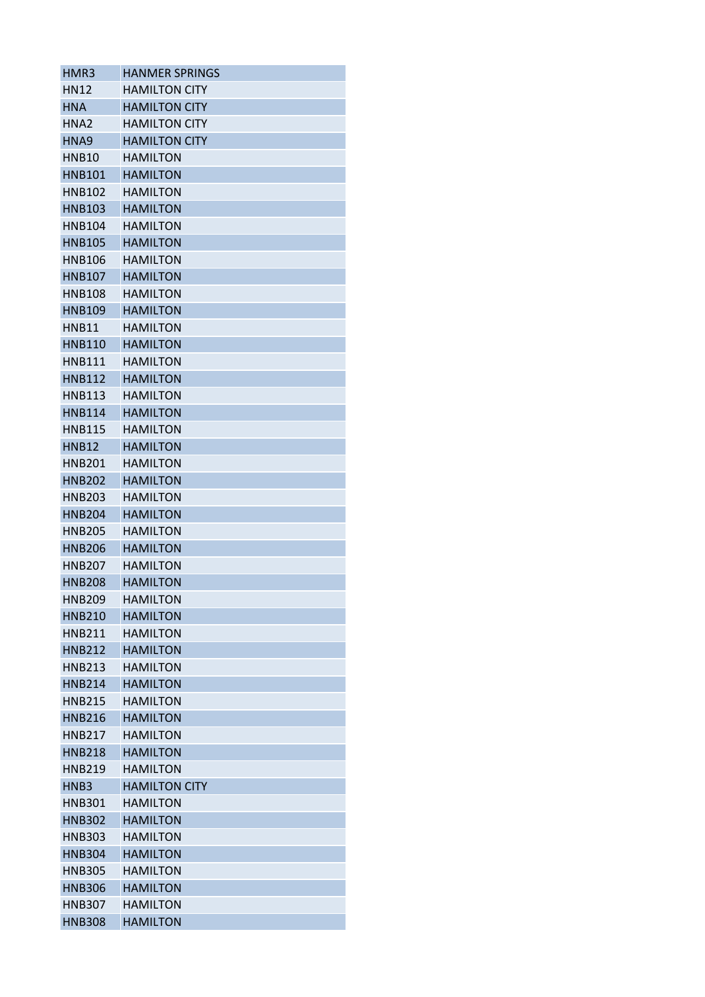| HMR3             | <b>HANMER SPRINGS</b> |
|------------------|-----------------------|
| HN12             | <b>HAMILTON CITY</b>  |
| <b>HNA</b>       | <b>HAMILTON CITY</b>  |
| HNA2             | <b>HAMILTON CITY</b>  |
| HNA9             | <b>HAMILTON CITY</b>  |
| <b>HNB10</b>     | <b>HAMILTON</b>       |
| <b>HNB101</b>    | <b>HAMILTON</b>       |
| <b>HNB102</b>    | <b>HAMILTON</b>       |
| <b>HNB103</b>    | <b>HAMILTON</b>       |
| HNB104           | <b>HAMILTON</b>       |
| <b>HNB105</b>    | <b>HAMILTON</b>       |
| HNB106           | <b>HAMILTON</b>       |
| <b>HNB107</b>    | <b>HAMILTON</b>       |
| <b>HNB108</b>    | <b>HAMILTON</b>       |
| <b>HNB109</b>    | <b>HAMILTON</b>       |
| <b>HNB11</b>     | <b>HAMILTON</b>       |
| <b>HNB110</b>    | <b>HAMILTON</b>       |
| HNB111           | <b>HAMILTON</b>       |
| <b>HNB112</b>    | <b>HAMILTON</b>       |
| <b>HNB113</b>    | <b>HAMILTON</b>       |
| <b>HNB114</b>    | <b>HAMILTON</b>       |
| <b>HNB115</b>    | <b>HAMILTON</b>       |
| <b>HNB12</b>     | <b>HAMILTON</b>       |
| <b>HNB201</b>    | <b>HAMILTON</b>       |
| <b>HNB202</b>    | <b>HAMILTON</b>       |
| <b>HNB203</b>    | <b>HAMILTON</b>       |
|                  |                       |
| <b>HNB204</b>    | <b>HAMILTON</b>       |
| <b>HNB205</b>    | <b>HAMILTON</b>       |
| <b>HNB206</b>    | <b>HAMILTON</b>       |
| <b>HNB207</b>    | <b>HAMILTON</b>       |
| <b>HNB208</b>    | <b>HAMILTON</b>       |
| <b>HNB209</b>    | <b>HAMILTON</b>       |
| <b>HNB210</b>    | <b>HAMILTON</b>       |
| <b>HNB211</b>    | <b>HAMILTON</b>       |
| <b>HNB212</b>    | <b>HAMILTON</b>       |
| <b>HNB213</b>    | <b>HAMILTON</b>       |
| <b>HNB214</b>    | <b>HAMILTON</b>       |
| <b>HNB215</b>    | <b>HAMILTON</b>       |
| <b>HNB216</b>    | <b>HAMILTON</b>       |
| <b>HNB217</b>    | <b>HAMILTON</b>       |
| <b>HNB218</b>    | <b>HAMILTON</b>       |
| <b>HNB219</b>    | <b>HAMILTON</b>       |
| HNB <sub>3</sub> | <b>HAMILTON CITY</b>  |
| <b>HNB301</b>    | <b>HAMILTON</b>       |
| <b>HNB302</b>    | <b>HAMILTON</b>       |
| <b>HNB303</b>    | <b>HAMILTON</b>       |
| <b>HNB304</b>    | <b>HAMILTON</b>       |
| <b>HNB305</b>    | <b>HAMILTON</b>       |
| <b>HNB306</b>    | <b>HAMILTON</b>       |
| <b>HNB307</b>    | <b>HAMILTON</b>       |
| <b>HNB308</b>    | <b>HAMILTON</b>       |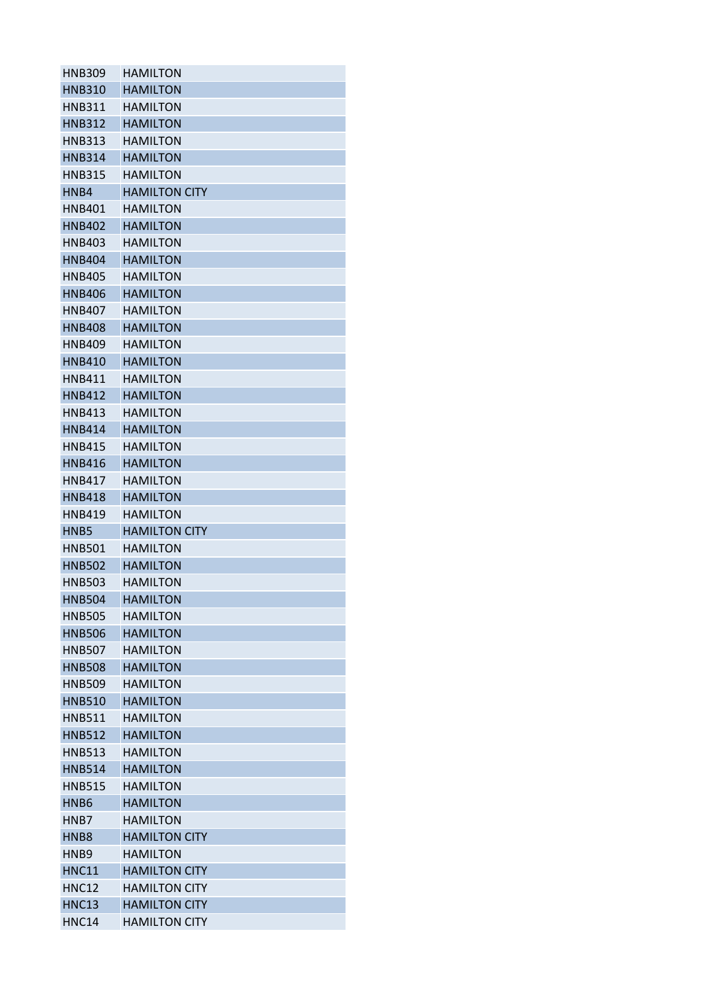| <b>HNB309</b>    | <b>HAMILTON</b>      |
|------------------|----------------------|
| <b>HNB310</b>    | <b>HAMILTON</b>      |
| <b>HNB311</b>    | <b>HAMILTON</b>      |
| <b>HNB312</b>    | <b>HAMILTON</b>      |
| <b>HNB313</b>    | <b>HAMILTON</b>      |
| <b>HNB314</b>    | <b>HAMILTON</b>      |
| <b>HNB315</b>    | <b>HAMILTON</b>      |
| HNB4             | <b>HAMILTON CITY</b> |
| HNB401           | <b>HAMILTON</b>      |
| <b>HNB402</b>    | <b>HAMILTON</b>      |
| <b>HNB403</b>    | <b>HAMILTON</b>      |
| <b>HNB404</b>    | <b>HAMILTON</b>      |
| <b>HNB405</b>    | <b>HAMILTON</b>      |
| <b>HNB406</b>    | <b>HAMILTON</b>      |
| HNB407           | <b>HAMILTON</b>      |
| <b>HNB408</b>    | <b>HAMILTON</b>      |
| <b>HNB409</b>    | <b>HAMILTON</b>      |
| <b>HNB410</b>    | <b>HAMILTON</b>      |
| HNB411           | <b>HAMILTON</b>      |
| <b>HNB412</b>    | <b>HAMILTON</b>      |
| <b>HNB413</b>    | <b>HAMILTON</b>      |
| <b>HNB414</b>    | <b>HAMILTON</b>      |
| <b>HNB415</b>    | <b>HAMILTON</b>      |
| <b>HNB416</b>    | <b>HAMILTON</b>      |
| <b>HNB417</b>    |                      |
|                  | <b>HAMILTON</b>      |
| <b>HNB418</b>    | <b>HAMILTON</b>      |
| <b>HNB419</b>    | <b>HAMILTON</b>      |
| HNB5             | <b>HAMILTON CITY</b> |
| <b>HNB501</b>    | <b>HAMILTON</b>      |
| <b>HNB502</b>    | <b>HAMILTON</b>      |
| <b>HNB503</b>    | <b>HAMILTON</b>      |
| <b>HNB504</b>    | <b>HAMILTON</b>      |
| <b>HNB505</b>    | <b>HAMILTON</b>      |
| <b>HNB506</b>    | <b>HAMILTON</b>      |
| <b>HNB507</b>    | <b>HAMILTON</b>      |
| <b>HNB508</b>    | <b>HAMILTON</b>      |
| <b>HNB509</b>    | <b>HAMILTON</b>      |
| <b>HNB510</b>    | <b>HAMILTON</b>      |
| <b>HNB511</b>    | <b>HAMILTON</b>      |
| <b>HNB512</b>    | <b>HAMILTON</b>      |
| <b>HNB513</b>    | <b>HAMILTON</b>      |
| <b>HNB514</b>    | <b>HAMILTON</b>      |
| <b>HNB515</b>    | <b>HAMILTON</b>      |
| HNB <sub>6</sub> | <b>HAMILTON</b>      |
| HNB7             | <b>HAMILTON</b>      |
| HNB <sub>8</sub> | <b>HAMILTON CITY</b> |
| HNB <sub>9</sub> | <b>HAMILTON</b>      |
| <b>HNC11</b>     | <b>HAMILTON CITY</b> |
| <b>HNC12</b>     | <b>HAMILTON CITY</b> |
| <b>HNC13</b>     | <b>HAMILTON CITY</b> |
| HNC14            | <b>HAMILTON CITY</b> |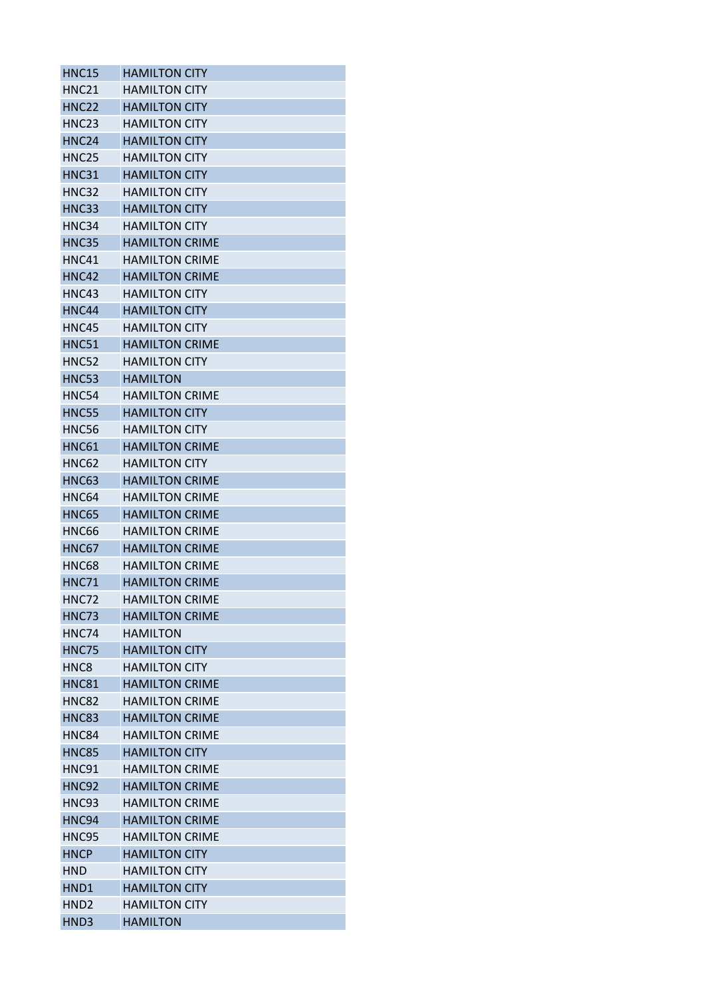| <b>HNC15</b>                     | <b>HAMILTON CITY</b>                           |
|----------------------------------|------------------------------------------------|
| <b>HNC21</b>                     | <b>HAMILTON CITY</b>                           |
| <b>HNC22</b>                     | <b>HAMILTON CITY</b>                           |
| HNC <sub>23</sub>                | <b>HAMILTON CITY</b>                           |
| <b>HNC24</b>                     | <b>HAMILTON CITY</b>                           |
| <b>HNC25</b>                     | <b>HAMILTON CITY</b>                           |
| <b>HNC31</b>                     | <b>HAMILTON CITY</b>                           |
| <b>HNC32</b>                     | <b>HAMILTON CITY</b>                           |
| <b>HNC33</b>                     | <b>HAMILTON CITY</b>                           |
| HNC34                            | <b>HAMILTON CITY</b>                           |
| <b>HNC35</b>                     | <b>HAMILTON CRIME</b>                          |
| HNC41                            | <b>HAMILTON CRIME</b>                          |
| <b>HNC42</b>                     | <b>HAMILTON CRIME</b>                          |
| HNC43                            | <b>HAMILTON CITY</b>                           |
| HNC44                            | <b>HAMILTON CITY</b>                           |
| <b>HNC45</b>                     | <b>HAMILTON CITY</b>                           |
| <b>HNC51</b>                     | <b>HAMILTON CRIME</b>                          |
| <b>HNC52</b>                     | <b>HAMILTON CITY</b>                           |
| <b>HNC53</b>                     | <b>HAMILTON</b>                                |
| HNC54                            | <b>HAMILTON CRIME</b>                          |
| <b>HNC55</b>                     | <b>HAMILTON CITY</b>                           |
| <b>HNC56</b>                     | <b>HAMILTON CITY</b>                           |
| <b>HNC61</b>                     | <b>HAMILTON CRIME</b>                          |
| <b>HNC62</b>                     | <b>HAMILTON CITY</b>                           |
| <b>HNC63</b>                     | <b>HAMILTON CRIME</b>                          |
| HNC64                            | <b>HAMILTON CRIME</b>                          |
| <b>HNC65</b>                     | <b>HAMILTON CRIME</b>                          |
| <b>HNC66</b>                     | <b>HAMILTON CRIME</b>                          |
| <b>HNC67</b>                     | <b>HAMILTON CRIME</b>                          |
| <b>HNC68</b>                     | <b>HAMILTON CRIME</b>                          |
| <b>HNC71</b>                     | <b>HAMILTON CRIME</b>                          |
| HNC72                            | <b>HAMILTON CRIME</b>                          |
| HNC73                            | <b>HAMILTON CRIME</b>                          |
| HNC74                            | <b>HAMILTON</b>                                |
|                                  | <b>HAMILTON CITY</b>                           |
| <b>HNC75</b><br>HNC <sub>8</sub> |                                                |
| <b>HNC81</b>                     | <b>HAMILTON CITY</b>                           |
| <b>HNC82</b>                     | <b>HAMILTON CRIME</b><br><b>HAMILTON CRIME</b> |
|                                  |                                                |
| <b>HNC83</b>                     | <b>HAMILTON CRIME</b>                          |
| <b>HNC84</b>                     | <b>HAMILTON CRIME</b>                          |
| <b>HNC85</b>                     | <b>HAMILTON CITY</b>                           |
| HNC91                            | <b>HAMILTON CRIME</b>                          |
| <b>HNC92</b>                     | <b>HAMILTON CRIME</b>                          |
| HNC93                            | <b>HAMILTON CRIME</b>                          |
| HNC94                            | <b>HAMILTON CRIME</b>                          |
| HNC95                            | <b>HAMILTON CRIME</b>                          |
| <b>HNCP</b>                      | <b>HAMILTON CITY</b>                           |
| <b>HND</b>                       | <b>HAMILTON CITY</b>                           |
| HND1                             | <b>HAMILTON CITY</b>                           |
| HND <sub>2</sub>                 | <b>HAMILTON CITY</b>                           |
| HND3                             | <b>HAMILTON</b>                                |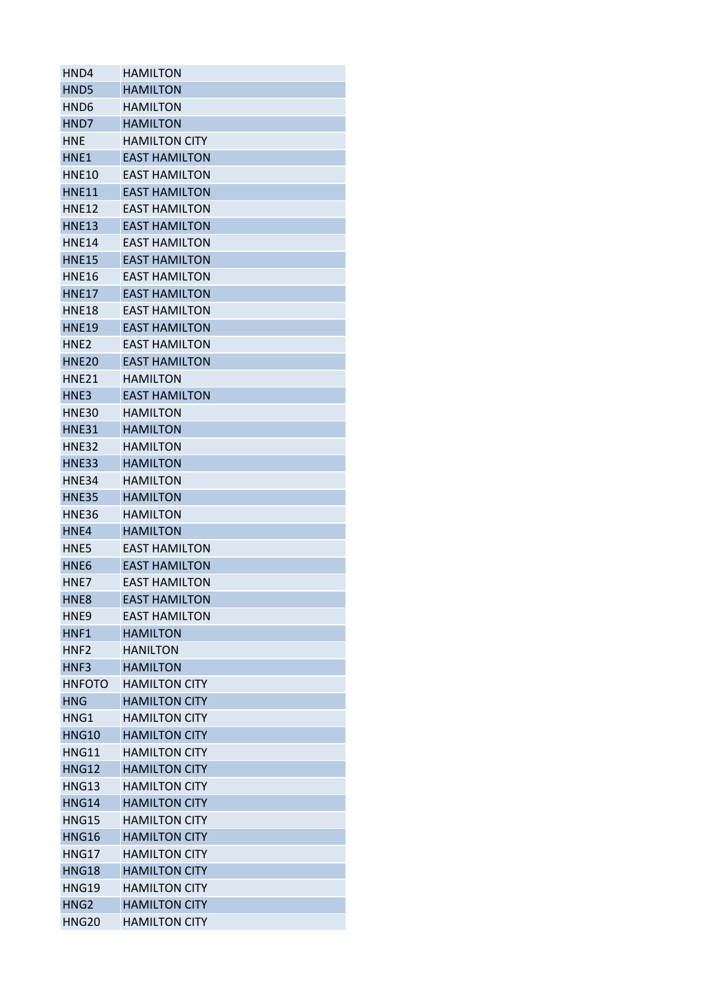| HND4             | <b>HAMILTON</b>      |
|------------------|----------------------|
| HND5             | <b>HAMILTON</b>      |
| HND6             | <b>HAMILTON</b>      |
| HND7             | <b>HAMILTON</b>      |
| <b>HNF</b>       | <b>HAMILTON CITY</b> |
| HNE1             | <b>EAST HAMILTON</b> |
| <b>HNE10</b>     | <b>EAST HAMILTON</b> |
| <b>HNE11</b>     | <b>EAST HAMILTON</b> |
| <b>HNE12</b>     | <b>EAST HAMILTON</b> |
| <b>HNE13</b>     | <b>EAST HAMILTON</b> |
| <b>HNE14</b>     | <b>EAST HAMILTON</b> |
| <b>HNE15</b>     | <b>EAST HAMILTON</b> |
| <b>HNE16</b>     | <b>EAST HAMILTON</b> |
| <b>HNE17</b>     | <b>EAST HAMILTON</b> |
| <b>HNE18</b>     | <b>EAST HAMILTON</b> |
| <b>HNE19</b>     | <b>EAST HAMILTON</b> |
| HNF <sub>2</sub> | EAST HAMILTON        |
| <b>HNE20</b>     | <b>EAST HAMILTON</b> |
| HNE21            | <b>HAMILTON</b>      |
| HNE3             | <b>EAST HAMILTON</b> |
| <b>HNE30</b>     | <b>HAMILTON</b>      |
| <b>HNE31</b>     | <b>HAMILTON</b>      |
| <b>HNE32</b>     | <b>HAMILTON</b>      |
| <b>HNE33</b>     | <b>HAMILTON</b>      |
|                  |                      |
| HNE34            | <b>HAMILTON</b>      |
| <b>HNE35</b>     | <b>HAMILTON</b>      |
| <b>HNE36</b>     | <b>HAMILTON</b>      |
| HNE4             | <b>HAMILTON</b>      |
| HNE5             | <b>EAST HAMILTON</b> |
| HNE <sub>6</sub> | <b>EAST HAMILTON</b> |
| HNE7             | <b>EAST HAMILTON</b> |
| HNE8             | <b>EAST HAMILTON</b> |
| HNE <sub>9</sub> | <b>EAST HAMILTON</b> |
| HNF1             | <b>HAMILTON</b>      |
| HNF <sub>2</sub> | <b>HANILTON</b>      |
| HNF3             | <b>HAMILTON</b>      |
| <b>HNFOTO</b>    | <b>HAMILTON CITY</b> |
| <b>HNG</b>       | <b>HAMILTON CITY</b> |
| HNG1             | <b>HAMILTON CITY</b> |
| <b>HNG10</b>     | <b>HAMILTON CITY</b> |
| <b>HNG11</b>     | <b>HAMILTON CITY</b> |
| <b>HNG12</b>     | <b>HAMILTON CITY</b> |
| <b>HNG13</b>     | <b>HAMILTON CITY</b> |
| <b>HNG14</b>     | <b>HAMILTON CITY</b> |
| <b>HNG15</b>     | <b>HAMILTON CITY</b> |
| <b>HNG16</b>     | <b>HAMILTON CITY</b> |
| <b>HNG17</b>     | <b>HAMILTON CITY</b> |
| <b>HNG18</b>     | <b>HAMILTON CITY</b> |
| <b>HNG19</b>     | <b>HAMILTON CITY</b> |
| HNG <sub>2</sub> | <b>HAMILTON CITY</b> |
| <b>HNG20</b>     | <b>HAMILTON CITY</b> |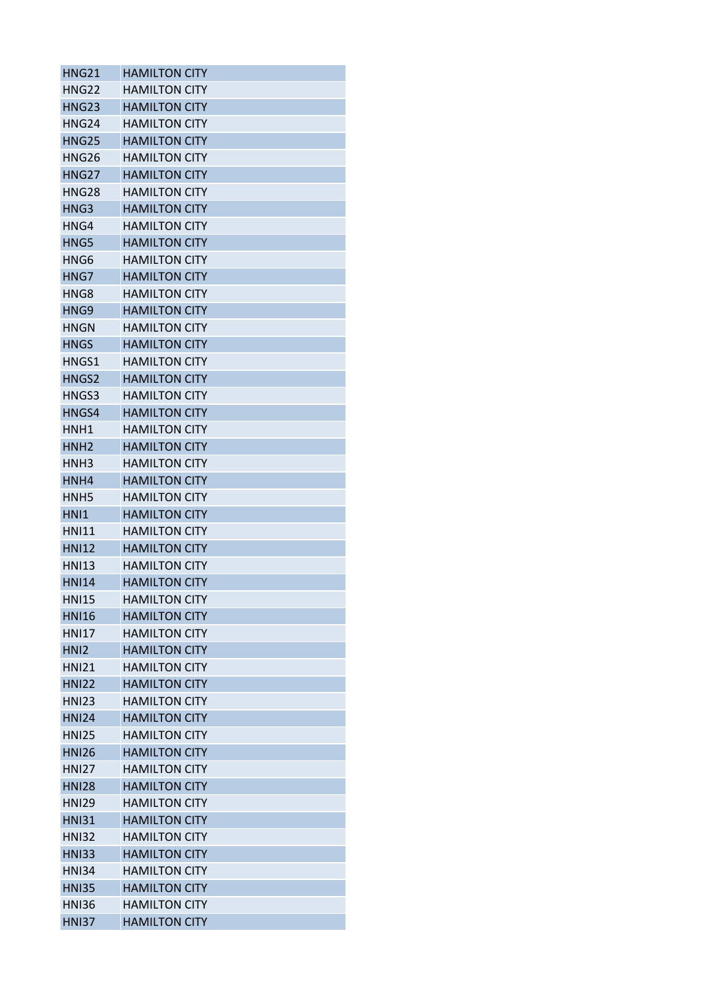| <b>HNG21</b>      | <b>HAMILTON CITY</b> |
|-------------------|----------------------|
| <b>HNG22</b>      | <b>HAMILTON CITY</b> |
| <b>HNG23</b>      | <b>HAMILTON CITY</b> |
| HNG <sub>24</sub> | <b>HAMILTON CITY</b> |
| <b>HNG25</b>      | <b>HAMILTON CITY</b> |
| <b>HNG26</b>      | <b>HAMILTON CITY</b> |
| <b>HNG27</b>      | <b>HAMILTON CITY</b> |
| <b>HNG28</b>      | <b>HAMILTON CITY</b> |
| HNG3              | <b>HAMILTON CITY</b> |
| HNG4              | <b>HAMILTON CITY</b> |
| HNG5              | <b>HAMILTON CITY</b> |
| HNG6              | <b>HAMILTON CITY</b> |
| HNG7              | <b>HAMILTON CITY</b> |
| HNG8              | <b>HAMILTON CITY</b> |
| HNG9              | <b>HAMILTON CITY</b> |
| <b>HNGN</b>       | <b>HAMILTON CITY</b> |
| <b>HNGS</b>       | <b>HAMILTON CITY</b> |
| HNGS1             | <b>HAMILTON CITY</b> |
| HNGS2             | <b>HAMILTON CITY</b> |
| HNGS3             | <b>HAMILTON CITY</b> |
| HNGS4             | <b>HAMILTON CITY</b> |
| HNH1              | <b>HAMILTON CITY</b> |
|                   |                      |
| HNH <sub>2</sub>  | <b>HAMILTON CITY</b> |
| HNH <sub>3</sub>  | <b>HAMILTON CITY</b> |
| HNH4              | <b>HAMILTON CITY</b> |
| HNH <sub>5</sub>  | <b>HAMILTON CITY</b> |
| HN <sub>1</sub>   | <b>HAMILTON CITY</b> |
| <b>HNI11</b>      | <b>HAMILTON CITY</b> |
| <b>HNI12</b>      | <b>HAMILTON CITY</b> |
| <b>HNI13</b>      | <b>HAMILTON CITY</b> |
| <b>HNI14</b>      | <b>HAMILTON CITY</b> |
| <b>HNI15</b>      | <b>HAMILTON CITY</b> |
| <b>HNI16</b>      | <b>HAMILTON CITY</b> |
| <b>HNI17</b>      | <b>HAMILTON CITY</b> |
| HN <sub>12</sub>  | <b>HAMILTON CITY</b> |
| <b>HNI21</b>      | <b>HAMILTON CITY</b> |
| <b>HNI22</b>      | <b>HAMILTON CITY</b> |
| <b>HNI23</b>      | <b>HAMILTON CITY</b> |
| <b>HNI24</b>      | <b>HAMILTON CITY</b> |
| <b>HNI25</b>      | <b>HAMILTON CITY</b> |
| <b>HNI26</b>      | <b>HAMILTON CITY</b> |
| <b>HNI27</b>      | <b>HAMILTON CITY</b> |
| <b>HNI28</b>      | <b>HAMILTON CITY</b> |
| <b>HNI29</b>      | <b>HAMILTON CITY</b> |
| <b>HNI31</b>      | <b>HAMILTON CITY</b> |
| <b>HNI32</b>      | <b>HAMILTON CITY</b> |
| <b>HNI33</b>      | <b>HAMILTON CITY</b> |
| <b>HNI34</b>      | <b>HAMILTON CITY</b> |
| <b>HNI35</b>      | <b>HAMILTON CITY</b> |
| <b>HNI36</b>      | <b>HAMILTON CITY</b> |
| <b>HNI37</b>      | <b>HAMILTON CITY</b> |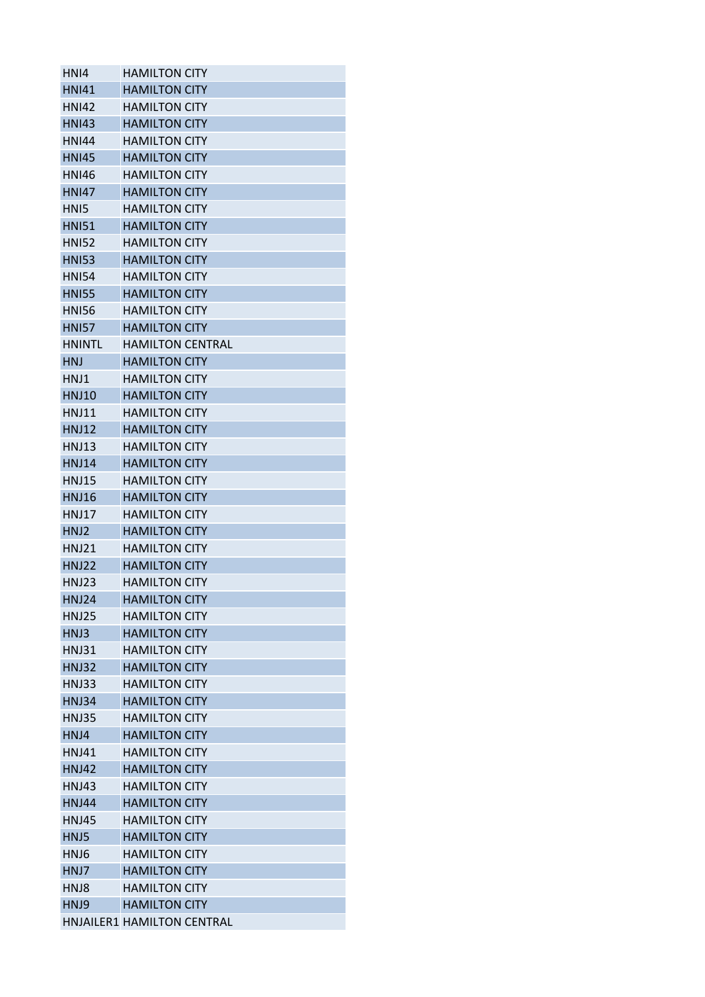| HNI4             | <b>HAMILTON CITY</b>       |
|------------------|----------------------------|
| <b>HNI41</b>     | <b>HAMILTON CITY</b>       |
| <b>HNI42</b>     | <b>HAMILTON CITY</b>       |
| <b>HNI43</b>     | <b>HAMILTON CITY</b>       |
| <b>HNI44</b>     | <b>HAMILTON CITY</b>       |
| <b>HNI45</b>     | <b>HAMILTON CITY</b>       |
| <b>HNI46</b>     | <b>HAMILTON CITY</b>       |
| <b>HNI47</b>     | <b>HAMILTON CITY</b>       |
| HN <sub>15</sub> | <b>HAMILTON CITY</b>       |
| <b>HNI51</b>     | <b>HAMILTON CITY</b>       |
| <b>HNI52</b>     | <b>HAMILTON CITY</b>       |
| <b>HNI53</b>     | <b>HAMILTON CITY</b>       |
| <b>HNI54</b>     | <b>HAMILTON CITY</b>       |
| <b>HNI55</b>     | <b>HAMILTON CITY</b>       |
| <b>HNI56</b>     | <b>HAMILTON CITY</b>       |
| <b>HNI57</b>     | <b>HAMILTON CITY</b>       |
| <b>HNINTL</b>    | <b>HAMILTON CENTRAL</b>    |
| <b>HNJ</b>       | <b>HAMILTON CITY</b>       |
| HNJ1             | <b>HAMILTON CITY</b>       |
| <b>HNJ10</b>     | <b>HAMILTON CITY</b>       |
| <b>HNJ11</b>     | <b>HAMILTON CITY</b>       |
| <b>HNJ12</b>     | <b>HAMILTON CITY</b>       |
| <b>HNJ13</b>     | HAMILTON CITY              |
| <b>HNJ14</b>     | <b>HAMILTON CITY</b>       |
| <b>HNJ15</b>     | <b>HAMILTON CITY</b>       |
| <b>HNJ16</b>     | <b>HAMILTON CITY</b>       |
| <b>HNJ17</b>     | <b>HAMILTON CITY</b>       |
| HNJ2             | <b>HAMILTON CITY</b>       |
| <b>HNJ21</b>     | <b>HAMILTON CITY</b>       |
| <b>HNJ22</b>     | <b>HAMILTON CITY</b>       |
| <b>HNJ23</b>     | HAMILTON CITY              |
| <b>HNJ24</b>     | <b>HAMILTON CITY</b>       |
| <b>HNJ25</b>     | <b>HAMILTON CITY</b>       |
| HNJ3             | <b>HAMILTON CITY</b>       |
| HNJ31            | <b>HAMILTON CITY</b>       |
| <b>HNJ32</b>     | <b>HAMILTON CITY</b>       |
| <b>HNJ33</b>     | <b>HAMILTON CITY</b>       |
| <b>HNJ34</b>     | <b>HAMILTON CITY</b>       |
| <b>HNJ35</b>     | <b>HAMILTON CITY</b>       |
| HM.I4            | <b>HAMILTON CITY</b>       |
| <b>HNJ41</b>     | <b>HAMILTON CITY</b>       |
| <b>HNJ42</b>     | <b>HAMILTON CITY</b>       |
| <b>HNJ43</b>     | <b>HAMILTON CITY</b>       |
| <b>HNJ44</b>     | <b>HAMILTON CITY</b>       |
| <b>HNJ45</b>     | <b>HAMILTON CITY</b>       |
| HNJ5             | <b>HAMILTON CITY</b>       |
| HNJ6             | <b>HAMILTON CITY</b>       |
| HNJ7             | <b>HAMILTON CITY</b>       |
| HNJ8             | <b>HAMILTON CITY</b>       |
| HNJ9             | <b>HAMILTON CITY</b>       |
|                  | HNJAILER1 HAMILTON CENTRAL |
|                  |                            |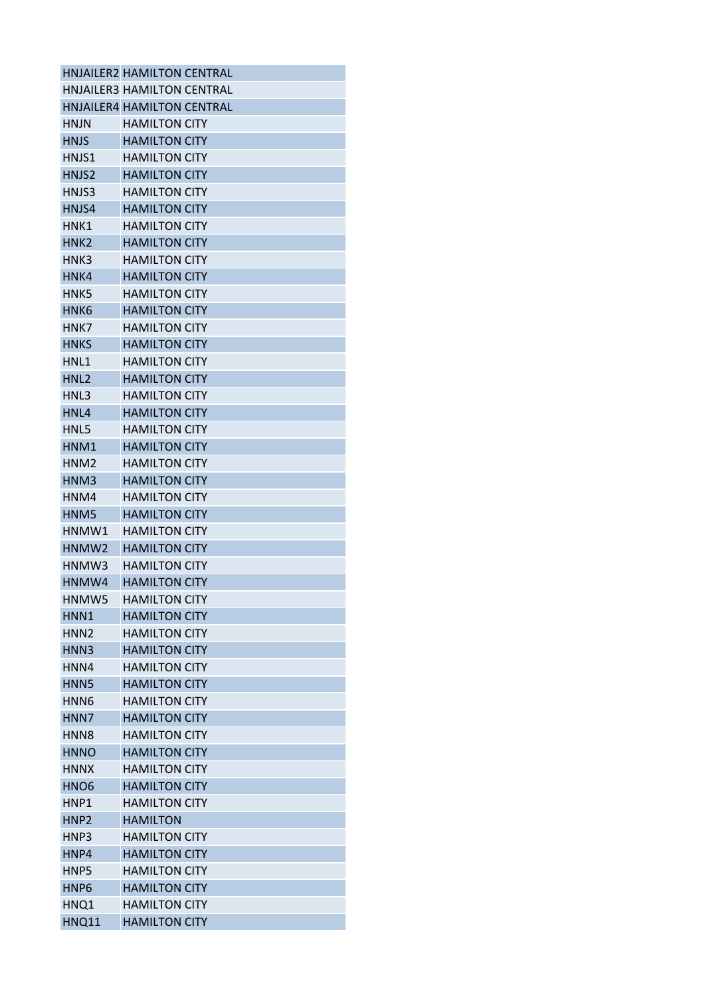|                   | HNJAILER2 HAMILTON CENTRAL        |
|-------------------|-----------------------------------|
|                   | <b>HNJAILER3 HAMILTON CENTRAL</b> |
|                   | HNJAILER4 HAMILTON CENTRAL        |
| <b>HNJN</b>       | <b>HAMILTON CITY</b>              |
| <b>HNJS</b>       | <b>HAMILTON CITY</b>              |
| HNJS1             | <b>HAMILTON CITY</b>              |
| HNJS2             | <b>HAMILTON CITY</b>              |
| HNJS3             | <b>HAMILTON CITY</b>              |
| HNJS4             | <b>HAMILTON CITY</b>              |
| HNK1              | <b>HAMILTON CITY</b>              |
| HNK <sub>2</sub>  | <b>HAMILTON CITY</b>              |
| HNK3              | <b>HAMILTON CITY</b>              |
| HNK4              | <b>HAMILTON CITY</b>              |
| HNK5              | <b>HAMILTON CITY</b>              |
| HNK <sub>6</sub>  | <b>HAMILTON CITY</b>              |
| HNK7              | <b>HAMILTON CITY</b>              |
| <b>HNKS</b>       | <b>HAMILTON CITY</b>              |
| HNL1              | <b>HAMILTON CITY</b>              |
| HNL <sub>2</sub>  | <b>HAMILTON CITY</b>              |
| HNL3              | <b>HAMILTON CITY</b>              |
| HNL4              | <b>HAMILTON CITY</b>              |
| HNL5              | <b>HAMILTON CITY</b>              |
| HNM1              | <b>HAMILTON CITY</b>              |
| HNM <sub>2</sub>  | <b>HAMILTON CITY</b>              |
| HNM3              | <b>HAMILTON CITY</b>              |
| HNM4              | <b>HAMILTON CITY</b>              |
| HNM5              | <b>HAMILTON CITY</b>              |
| HNMW1             | <b>HAMILTON CITY</b>              |
| HNMW <sub>2</sub> | <b>HAMILTON CITY</b>              |
| HNMW3             | <b>HAMILTON CITY</b>              |
| HNMW4             | <b>HAMILTON CITY</b>              |
| HNMW5             | <b>HAMILTON CITY</b>              |
| HNN1              | <b>HAMILTON CITY</b>              |
| HNN <sub>2</sub>  | <b>HAMILTON CITY</b>              |
| HNN3              | <b>HAMILTON CITY</b>              |
| HNN4              | <b>HAMILTON CITY</b>              |
| HNN <sub>5</sub>  | <b>HAMILTON CITY</b>              |
| HNN <sub>6</sub>  | <b>HAMILTON CITY</b>              |
| HNN7              | <b>HAMILTON CITY</b>              |
| HNN <sub>8</sub>  | <b>HAMILTON CITY</b>              |
| <b>HNNO</b>       | <b>HAMILTON CITY</b>              |
| <b>HNNX</b>       | <b>HAMILTON CITY</b>              |
| HNO <sub>6</sub>  | <b>HAMILTON CITY</b>              |
| HNP1              | <b>HAMILTON CITY</b>              |
| HNP <sub>2</sub>  | <b>HAMILTON</b>                   |
| HNP3              | <b>HAMILTON CITY</b>              |
| HNP4              | <b>HAMILTON CITY</b>              |
| HNP5              | <b>HAMILTON CITY</b>              |
| HNP <sub>6</sub>  | <b>HAMILTON CITY</b>              |
| HNQ1              | <b>HAMILTON CITY</b>              |
|                   | <b>HAMILTON CITY</b>              |
| HNQ11             |                                   |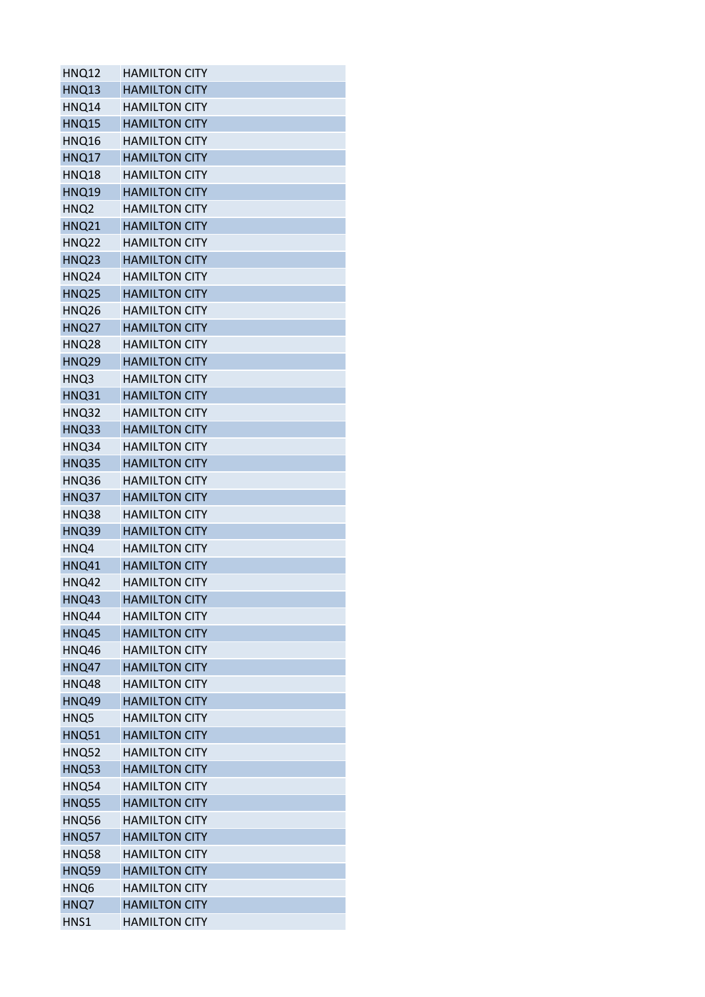| <b>HNQ12</b>     | <b>HAMILTON CITY</b> |
|------------------|----------------------|
| <b>HNQ13</b>     | <b>HAMILTON CITY</b> |
| HNQ14            | <b>HAMILTON CITY</b> |
| <b>HNQ15</b>     | <b>HAMILTON CITY</b> |
| HNQ16            | <b>HAMILTON CITY</b> |
| HNQ17            | <b>HAMILTON CITY</b> |
| HNQ18            | <b>HAMILTON CITY</b> |
| <b>HNQ19</b>     | <b>HAMILTON CITY</b> |
| HNQ <sub>2</sub> | <b>HAMILTON CITY</b> |
| <b>HNQ21</b>     | <b>HAMILTON CITY</b> |
| <b>HNQ22</b>     | <b>HAMILTON CITY</b> |
| <b>HNQ23</b>     | <b>HAMILTON CITY</b> |
| <b>HNQ24</b>     | <b>HAMILTON CITY</b> |
| <b>HNQ25</b>     | <b>HAMILTON CITY</b> |
| HNQ26            | <b>HAMILTON CITY</b> |
| <b>HNQ27</b>     | <b>HAMILTON CITY</b> |
| <b>HNQ28</b>     | <b>HAMILTON CITY</b> |
| <b>HNQ29</b>     | <b>HAMILTON CITY</b> |
| HNQ3             | <b>HAMILTON CITY</b> |
| <b>HNQ31</b>     | <b>HAMILTON CITY</b> |
| <b>HNQ32</b>     | <b>HAMILTON CITY</b> |
| <b>HNQ33</b>     | <b>HAMILTON CITY</b> |
| HNQ34            | <b>HAMILTON CITY</b> |
| <b>HNQ35</b>     | <b>HAMILTON CITY</b> |
| HNQ36            | <b>HAMILTON CITY</b> |
| HNQ37            | <b>HAMILTON CITY</b> |
| HNQ38            | <b>HAMILTON CITY</b> |
| <b>HNQ39</b>     | <b>HAMILTON CITY</b> |
| HNQ4             | <b>HAMILTON CITY</b> |
| <b>HNQ41</b>     | <b>HAMILTON CITY</b> |
| <b>HNQ42</b>     | <b>HAMILTON CITY</b> |
| <b>HNQ43</b>     | <b>HAMILTON CITY</b> |
| HNQ44            | <b>HAMILTON CITY</b> |
| HNQ45            | <b>HAMILTON CITY</b> |
| HNQ46            | <b>HAMILTON CITY</b> |
| <b>HNQ47</b>     | <b>HAMILTON CITY</b> |
| HNQ48            | <b>HAMILTON CITY</b> |
| HNQ49            | <b>HAMILTON CITY</b> |
| HNQ5             | <b>HAMILTON CITY</b> |
| <b>HNQ51</b>     | <b>HAMILTON CITY</b> |
| <b>HNQ52</b>     | <b>HAMILTON CITY</b> |
| <b>HNQ53</b>     | <b>HAMILTON CITY</b> |
| <b>HNQ54</b>     | <b>HAMILTON CITY</b> |
| <b>HNQ55</b>     | <b>HAMILTON CITY</b> |
| HNQ56            | <b>HAMILTON CITY</b> |
| HNQ57            | <b>HAMILTON CITY</b> |
| <b>HNQ58</b>     | <b>HAMILTON CITY</b> |
| <b>HNQ59</b>     | <b>HAMILTON CITY</b> |
| HNQ6             | <b>HAMILTON CITY</b> |
| HNQ7             | <b>HAMILTON CITY</b> |
| HNS1             | <b>HAMILTON CITY</b> |
|                  |                      |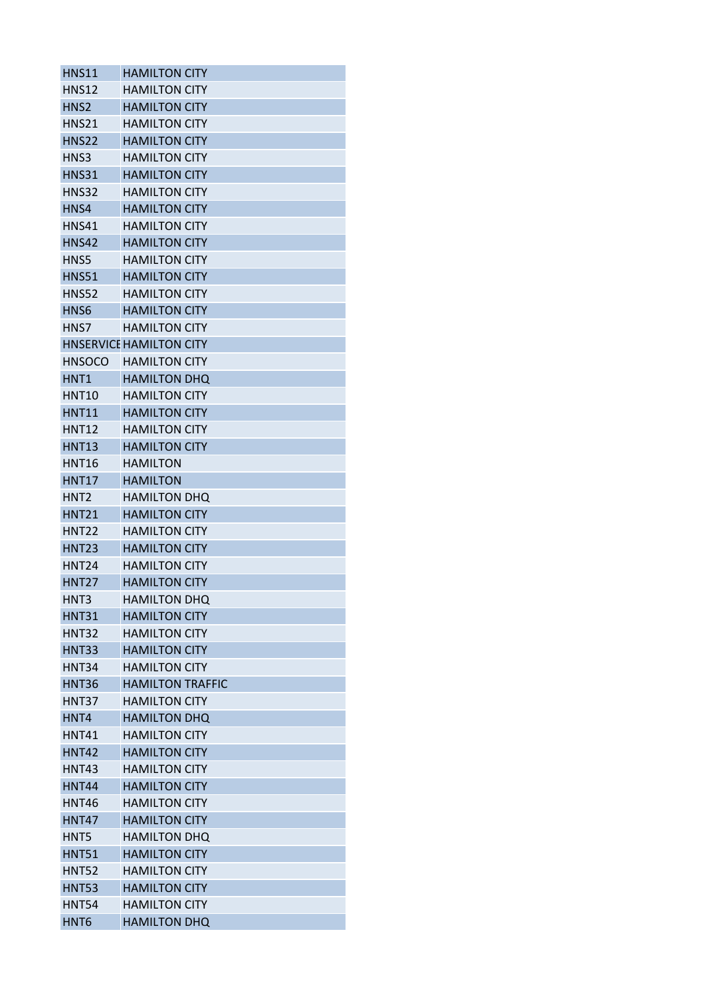| <b>HNS11</b>      | <b>HAMILTON CITY</b>           |
|-------------------|--------------------------------|
| <b>HNS12</b>      | <b>HAMILTON CITY</b>           |
| HNS <sub>2</sub>  | <b>HAMILTON CITY</b>           |
| <b>HNS21</b>      | <b>HAMILTON CITY</b>           |
| <b>HNS22</b>      | <b>HAMILTON CITY</b>           |
| HNS3              | <b>HAMILTON CITY</b>           |
| HNS31             | <b>HAMILTON CITY</b>           |
| <b>HNS32</b>      | <b>HAMILTON CITY</b>           |
| HNS4              | <b>HAMILTON CITY</b>           |
| HNS41             | <b>HAMILTON CITY</b>           |
| <b>HNS42</b>      | <b>HAMILTON CITY</b>           |
| HNS5              | <b>HAMILTON CITY</b>           |
| <b>HNS51</b>      | <b>HAMILTON CITY</b>           |
| <b>HNS52</b>      | <b>HAMILTON CITY</b>           |
| HNS <sub>6</sub>  | <b>HAMILTON CITY</b>           |
| HNS7              | <b>HAMILTON CITY</b>           |
|                   | <b>HNSERVICE HAMILTON CITY</b> |
| <b>HNSOCO</b>     | <b>HAMILTON CITY</b>           |
| HNT1              | <b>HAMILTON DHQ</b>            |
| <b>HNT10</b>      | <b>HAMILTON CITY</b>           |
| <b>HNT11</b>      | <b>HAMILTON CITY</b>           |
| <b>HNT12</b>      |                                |
|                   | <b>HAMILTON CITY</b>           |
| <b>HNT13</b>      | <b>HAMILTON CITY</b>           |
| <b>HNT16</b>      | <b>HAMILTON</b>                |
| <b>HNT17</b>      | <b>HAMILTON</b>                |
| HNT2              | <b>HAMILTON DHQ</b>            |
| <b>HNT21</b>      | <b>HAMILTON CITY</b>           |
| <b>HNT22</b>      | <b>HAMILTON CITY</b>           |
| <b>HNT23</b>      | <b>HAMILTON CITY</b>           |
| HNT <sub>24</sub> | <b>HAMILTON CITY</b>           |
| <b>HNT27</b>      | <b>HAMILTON CITY</b>           |
| HNT3              | <b>HAMILTON DHQ</b>            |
| HNT31             | <b>HAMILTON CITY</b>           |
| <b>HNT32</b>      | <b>HAMILTON CITY</b>           |
| <b>HNT33</b>      | <b>HAMILTON CITY</b>           |
| <b>HNT34</b>      | <b>HAMILTON CITY</b>           |
| <b>HNT36</b>      | <b>HAMILTON TRAFFIC</b>        |
| HNT37             | <b>HAMILTON CITY</b>           |
| HNT4              | <b>HAMILTON DHQ</b>            |
| <b>HNT41</b>      | <b>HAMILTON CITY</b>           |
| <b>HNT42</b>      | <b>HAMILTON CITY</b>           |
| HNT43             | <b>HAMILTON CITY</b>           |
| <b>HNT44</b>      | <b>HAMILTON CITY</b>           |
| <b>HNT46</b>      | <b>HAMILTON CITY</b>           |
| <b>HNT47</b>      | <b>HAMILTON CITY</b>           |
| HNT5              | <b>HAMILTON DHQ</b>            |
| <b>HNT51</b>      | <b>HAMILTON CITY</b>           |
| <b>HNT52</b>      | <b>HAMILTON CITY</b>           |
| <b>HNT53</b>      | <b>HAMILTON CITY</b>           |
| <b>HNT54</b>      | <b>HAMILTON CITY</b>           |
| HNT <sub>6</sub>  | <b>HAMILTON DHQ</b>            |
|                   |                                |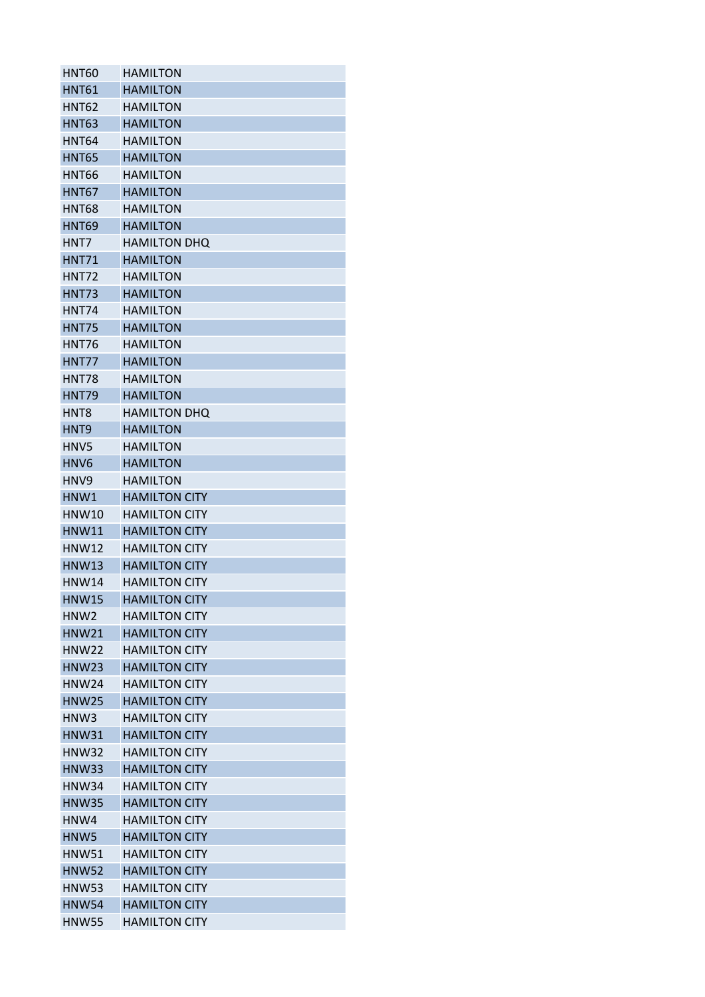| HNT <sub>60</sub> | <b>HAMILTON</b>      |
|-------------------|----------------------|
| <b>HNT61</b>      | <b>HAMILTON</b>      |
| HNT <sub>62</sub> | <b>HAMILTON</b>      |
| <b>HNT63</b>      | <b>HAMILTON</b>      |
| <b>HNT64</b>      | <b>HAMILTON</b>      |
| <b>HNT65</b>      | <b>HAMILTON</b>      |
| <b>HNT66</b>      | <b>HAMILTON</b>      |
| <b>HNT67</b>      | <b>HAMILTON</b>      |
| <b>HNT68</b>      | <b>HAMILTON</b>      |
| <b>HNT69</b>      | <b>HAMILTON</b>      |
| HNT7              | <b>HAMILTON DHQ</b>  |
| <b>HNT71</b>      | <b>HAMILTON</b>      |
| HNT72             | <b>HAMILTON</b>      |
| HNT73             | <b>HAMILTON</b>      |
| <b>HNT74</b>      | <b>HAMILTON</b>      |
| <b>HNT75</b>      | <b>HAMILTON</b>      |
| <b>HNT76</b>      | <b>HAMILTON</b>      |
| HNT77             | <b>HAMILTON</b>      |
| <b>HNT78</b>      | <b>HAMILTON</b>      |
| <b>HNT79</b>      | <b>HAMILTON</b>      |
| HNT <sub>8</sub>  | <b>HAMILTON DHQ</b>  |
| HNT <sub>9</sub>  | <b>HAMILTON</b>      |
| HNV5              | <b>HAMILTON</b>      |
| HNV <sub>6</sub>  | <b>HAMILTON</b>      |
| HNV9              | <b>HAMILTON</b>      |
| HNW1              | <b>HAMILTON CITY</b> |
| <b>HNW10</b>      | <b>HAMILTON CITY</b> |
| <b>HNW11</b>      | <b>HAMILTON CITY</b> |
| <b>HNW12</b>      | <b>HAMILTON CITY</b> |
| <b>HNW13</b>      | <b>HAMILTON CITY</b> |
| HNW14             | <b>HAMILTON CITY</b> |
| <b>HNW15</b>      | <b>HAMILTON CITY</b> |
| HNW <sub>2</sub>  | <b>HAMILTON CITY</b> |
| <b>HNW21</b>      | <b>HAMILTON CITY</b> |
| <b>HNW22</b>      | <b>HAMILTON CITY</b> |
| <b>HNW23</b>      | <b>HAMILTON CITY</b> |
| <b>HNW24</b>      | <b>HAMILTON CITY</b> |
| <b>HNW25</b>      | <b>HAMILTON CITY</b> |
| HNW3              | <b>HAMILTON CITY</b> |
| <b>HNW31</b>      | <b>HAMILTON CITY</b> |
| <b>HNW32</b>      | <b>HAMILTON CITY</b> |
| <b>HNW33</b>      | <b>HAMILTON CITY</b> |
| <b>HNW34</b>      | <b>HAMILTON CITY</b> |
| <b>HNW35</b>      | <b>HAMILTON CITY</b> |
| HNW4              | <b>HAMILTON CITY</b> |
| HNW <sub>5</sub>  | <b>HAMILTON CITY</b> |
| <b>HNW51</b>      | <b>HAMILTON CITY</b> |
| <b>HNW52</b>      | <b>HAMILTON CITY</b> |
| <b>HNW53</b>      | <b>HAMILTON CITY</b> |
| <b>HNW54</b>      | <b>HAMILTON CITY</b> |
| <b>HNW55</b>      | <b>HAMILTON CITY</b> |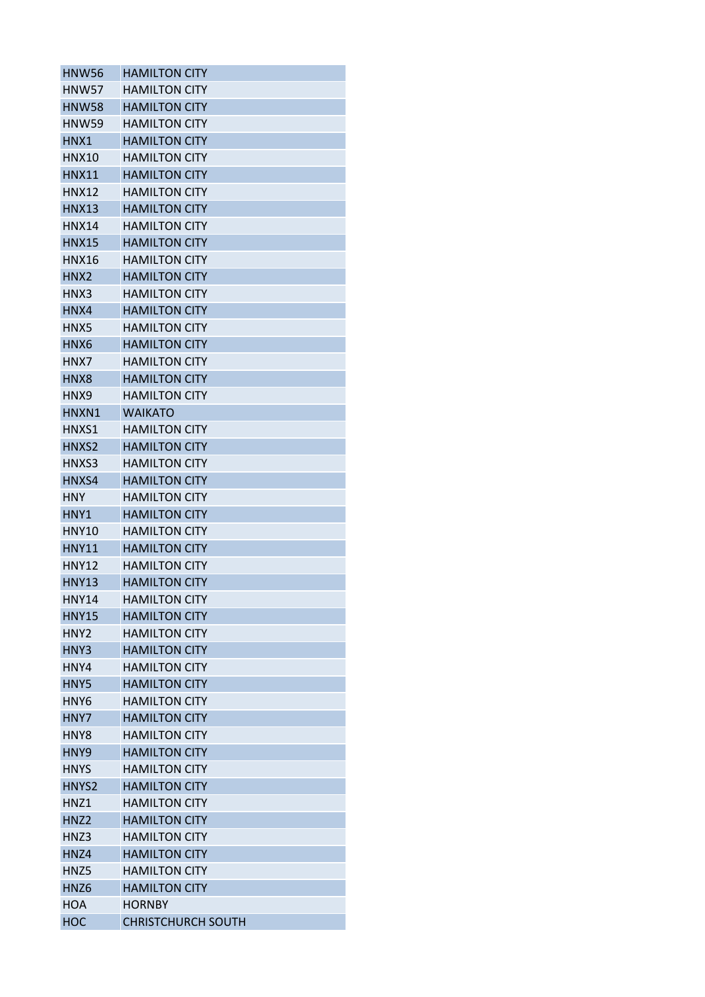| HNW56             | <b>HAMILTON CITY</b>      |
|-------------------|---------------------------|
| <b>HNW57</b>      | <b>HAMILTON CITY</b>      |
| <b>HNW58</b>      | <b>HAMILTON CITY</b>      |
| <b>HNW59</b>      | <b>HAMILTON CITY</b>      |
| HNX1              | <b>HAMILTON CITY</b>      |
| <b>HNX10</b>      | <b>HAMILTON CITY</b>      |
| <b>HNX11</b>      | <b>HAMILTON CITY</b>      |
| <b>HNX12</b>      | <b>HAMILTON CITY</b>      |
| <b>HNX13</b>      | <b>HAMILTON CITY</b>      |
| HNX14             | <b>HAMILTON CITY</b>      |
| <b>HNX15</b>      | <b>HAMILTON CITY</b>      |
| HNX16             | <b>HAMILTON CITY</b>      |
| HNX <sub>2</sub>  | <b>HAMILTON CITY</b>      |
| HNX3              | <b>HAMILTON CITY</b>      |
| HNX4              | <b>HAMILTON CITY</b>      |
| HNX5              | <b>HAMILTON CITY</b>      |
| HNX6              | <b>HAMILTON CITY</b>      |
| HNX7              | <b>HAMILTON CITY</b>      |
| HNX8              | <b>HAMILTON CITY</b>      |
| HNX9              |                           |
|                   | <b>HAMILTON CITY</b>      |
| HNXN1             | <b>WAIKATO</b>            |
| HNXS1             | <b>HAMILTON CITY</b>      |
| HNXS <sub>2</sub> | <b>HAMILTON CITY</b>      |
| HNXS3             | <b>HAMILTON CITY</b>      |
| HNXS4             | <b>HAMILTON CITY</b>      |
| <b>HNY</b>        | <b>HAMILTON CITY</b>      |
| HNY1              | <b>HAMILTON CITY</b>      |
| <b>HNY10</b>      | <b>HAMILTON CITY</b>      |
| <b>HNY11</b>      | <b>HAMILTON CITY</b>      |
| <b>HNY12</b>      | <b>HAMILTON CITY</b>      |
| HNY13             | <b>HAMILTON CITY</b>      |
| <b>HNY14</b>      | <b>HAMILTON CITY</b>      |
| <b>HNY15</b>      | <b>HAMILTON CITY</b>      |
| HNY <sub>2</sub>  | <b>HAMILTON CITY</b>      |
| HNY3              | <b>HAMILTON CITY</b>      |
| HNY4              | <b>HAMILTON CITY</b>      |
| HNY5              | <b>HAMILTON CITY</b>      |
| HNY <sub>6</sub>  | <b>HAMILTON CITY</b>      |
| HNY7              | <b>HAMILTON CITY</b>      |
| HNY8              | <b>HAMILTON CITY</b>      |
| HNY9              | <b>HAMILTON CITY</b>      |
| <b>HNYS</b>       | <b>HAMILTON CITY</b>      |
| HNYS2             | <b>HAMILTON CITY</b>      |
| HNZ1              | <b>HAMILTON CITY</b>      |
| HNZ <sub>2</sub>  | <b>HAMILTON CITY</b>      |
| HNZ3              | <b>HAMILTON CITY</b>      |
| HNZ4              | <b>HAMILTON CITY</b>      |
| HNZ5              | <b>HAMILTON CITY</b>      |
| HNZ <sub>6</sub>  | <b>HAMILTON CITY</b>      |
| <b>HOA</b>        | <b>HORNBY</b>             |
| <b>HOC</b>        | <b>CHRISTCHURCH SOUTH</b> |
|                   |                           |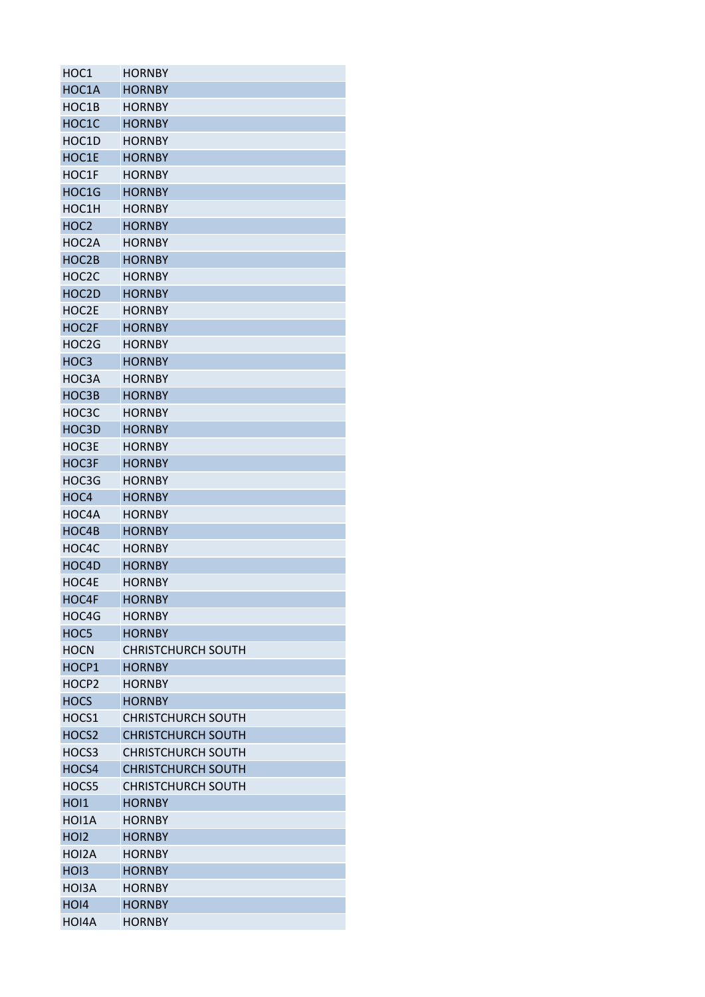| HOC1              | <b>HORNBY</b>                              |
|-------------------|--------------------------------------------|
| HOC1A             | <b>HORNBY</b>                              |
| HOC1B             | <b>HORNBY</b>                              |
| HOC1C             | <b>HORNBY</b>                              |
| HOC1D             | <b>HORNBY</b>                              |
| HOC1E             | <b>HORNBY</b>                              |
| HOC1F             | HORNBY                                     |
| HOC1G             | <b>HORNBY</b>                              |
| HOC1H             | <b>HORNBY</b>                              |
| HOC <sub>2</sub>  | <b>HORNBY</b>                              |
| HOC2A             | <b>HORNBY</b>                              |
| HOC2B             | <b>HORNBY</b>                              |
| HOC2C             | <b>HORNBY</b>                              |
| HOC2D             | <b>HORNBY</b>                              |
| HOC2E             | <b>HORNBY</b>                              |
| HOC2F             | <b>HORNBY</b>                              |
| HOC2G             | <b>HORNBY</b>                              |
| HOC3              | <b>HORNBY</b>                              |
| HOC3A             | <b>HORNBY</b>                              |
| HOC3B             | <b>HORNBY</b>                              |
| HOC3C             | <b>HORNBY</b>                              |
| HOC3D             | <b>HORNBY</b>                              |
| HOC3E             | <b>HORNBY</b>                              |
| HOC3F             | <b>HORNBY</b>                              |
| HOC3G             | <b>HORNBY</b>                              |
| HOC4              | <b>HORNBY</b>                              |
| HOC4A             | <b>HORNBY</b>                              |
| HOC4B             | <b>HORNBY</b>                              |
| HOC4C             | <b>HORNBY</b>                              |
| HOC4D             | <b>HORNBY</b>                              |
| HOC4E             | <b>HORNBY</b>                              |
| HOC4F             | <b>HORNBY</b>                              |
| HOC4G             | <b>HORNBY</b>                              |
| HOC5              | <b>HORNBY</b>                              |
|                   |                                            |
| <b>HOCN</b>       | <b>CHRISTCHURCH SOUTH</b><br><b>HORNBY</b> |
| HOCP1             |                                            |
| HOCP <sub>2</sub> | <b>HORNBY</b>                              |
| <b>HOCS</b>       | <b>HORNBY</b>                              |
| HOCS1             | <b>CHRISTCHURCH SOUTH</b>                  |
| HOCS <sub>2</sub> | <b>CHRISTCHURCH SOUTH</b>                  |
| HOCS3             | <b>CHRISTCHURCH SOUTH</b>                  |
| HOCS4             | <b>CHRISTCHURCH SOUTH</b>                  |
| HOCS5             | <b>CHRISTCHURCH SOUTH</b>                  |
| HOI1              | <b>HORNBY</b>                              |
| HOI1A             | <b>HORNBY</b>                              |
| HO <sub>12</sub>  | <b>HORNBY</b>                              |
| HOI2A             | <b>HORNBY</b>                              |
| HO <sub>13</sub>  | <b>HORNBY</b>                              |
| HOI3A             | <b>HORNBY</b>                              |
| HOI4              | <b>HORNBY</b>                              |
| HOI4A             | <b>HORNBY</b>                              |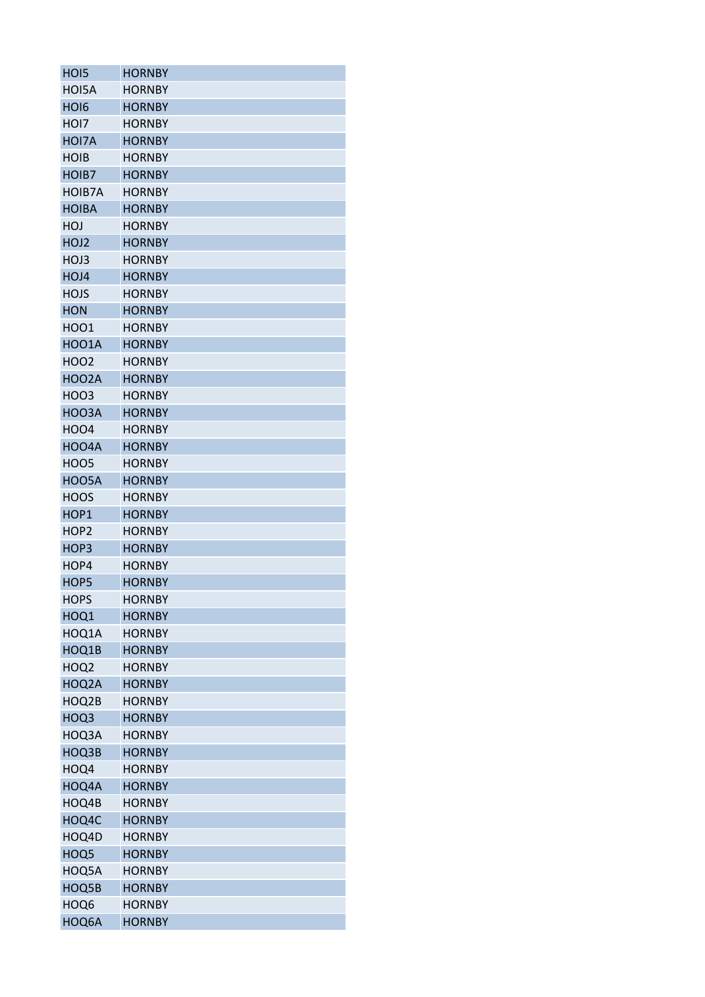| HO <sub>I5</sub> | <b>HORNBY</b> |
|------------------|---------------|
| HOI5A            | <b>HORNBY</b> |
| HO <sub>I6</sub> | <b>HORNBY</b> |
| HOI7             | <b>HORNBY</b> |
| HOI7A            | <b>HORNBY</b> |
| <b>HOIB</b>      | <b>HORNBY</b> |
| HOIB7            | <b>HORNBY</b> |
| HOIB7A           | <b>HORNBY</b> |
| <b>HOIBA</b>     | <b>HORNBY</b> |
| HOJ              | <b>HORNBY</b> |
| HOJ <sub>2</sub> | <b>HORNBY</b> |
| HOJ3             | <b>HORNBY</b> |
| HOJ4             | <b>HORNBY</b> |
| <b>HOJS</b>      | <b>HORNBY</b> |
| <b>HON</b>       | <b>HORNBY</b> |
| <b>HOO1</b>      | <b>HORNBY</b> |
| <b>HOO1A</b>     | <b>HORNBY</b> |
| <b>HOO2</b>      | <b>HORNBY</b> |
| HOO2A            | <b>HORNBY</b> |
| <b>HOO3</b>      | <b>HORNBY</b> |
| HOO3A            | <b>HORNBY</b> |
| <b>HOO4</b>      | <b>HORNBY</b> |
| HOO4A            | <b>HORNBY</b> |
| <b>HOO5</b>      | <b>HORNBY</b> |
| HOO5A            | <b>HORNBY</b> |
| <b>HOOS</b>      | <b>HORNBY</b> |
| HOP1             | <b>HORNBY</b> |
| HOP <sub>2</sub> | <b>HORNBY</b> |
| HOP3             | <b>HORNBY</b> |
| HOP4             | <b>HORNBY</b> |
| HOP5             | <b>HORNBY</b> |
| <b>HOPS</b>      | <b>HORNBY</b> |
|                  | <b>HORNBY</b> |
| HOQ1<br>HOQ1A    | <b>HORNBY</b> |
|                  | <b>HORNBY</b> |
| HOQ1B            |               |
| HOQ <sub>2</sub> | <b>HORNBY</b> |
| HOQ2A            | <b>HORNBY</b> |
| HOQ2B            | <b>HORNBY</b> |
| HOQ3             | <b>HORNBY</b> |
| HOQ3A            | <b>HORNBY</b> |
| HOQ3B            | <b>HORNBY</b> |
| HOQ4             | <b>HORNBY</b> |
| HOQ4A            | <b>HORNBY</b> |
| HOQ4B            | <b>HORNBY</b> |
| HOQ4C            | <b>HORNBY</b> |
| HOQ4D            | <b>HORNBY</b> |
| HOQ5             | <b>HORNBY</b> |
| HOQ5A            | <b>HORNBY</b> |
| HOQ5B            | <b>HORNBY</b> |
| HOQ6             | <b>HORNBY</b> |
| HOQ6A            | <b>HORNBY</b> |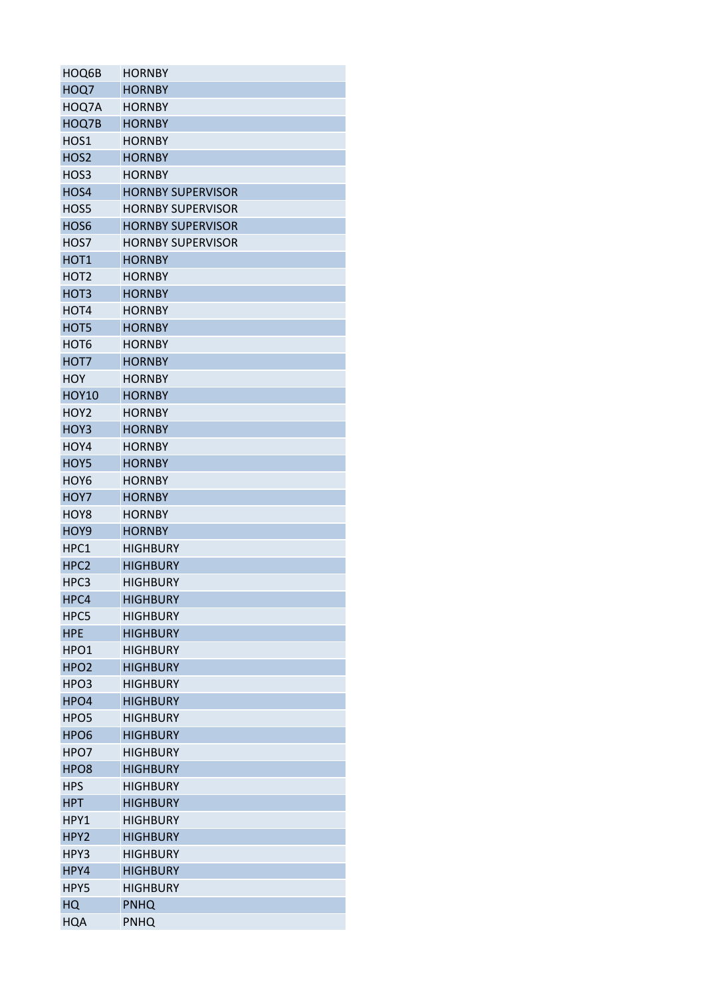| HOQ6B            | <b>HORNBY</b>                      |
|------------------|------------------------------------|
| HOQ7             | <b>HORNBY</b>                      |
| HOQ7A            | <b>HORNBY</b>                      |
| HOQ7B            | <b>HORNBY</b>                      |
| HOS1             | <b>HORNBY</b>                      |
| HOS <sub>2</sub> | <b>HORNBY</b>                      |
| HOS3             | <b>HORNBY</b>                      |
| HOS4             | <b>HORNBY SUPERVISOR</b>           |
| HOS5             | <b>HORNBY SUPERVISOR</b>           |
| HOS6             | <b>HORNBY SUPERVISOR</b>           |
| HOS7             | <b>HORNBY SUPERVISOR</b>           |
| HOT <sub>1</sub> | <b>HORNBY</b>                      |
| HOT <sub>2</sub> | <b>HORNBY</b>                      |
| HOT3             | <b>HORNBY</b>                      |
| HOT4             | <b>HORNBY</b>                      |
| HOT5             | <b>HORNBY</b>                      |
| HOT <sub>6</sub> | <b>HORNBY</b>                      |
| HOT7             | <b>HORNBY</b>                      |
| HOY              | <b>HORNBY</b>                      |
| <b>HOY10</b>     | <b>HORNBY</b>                      |
| HOY <sub>2</sub> | <b>HORNBY</b>                      |
| HOY3             | <b>HORNBY</b>                      |
| HOY4             | <b>HORNBY</b>                      |
| HOY5             | <b>HORNBY</b>                      |
| HOY <sub>6</sub> | <b>HORNBY</b>                      |
| HOY7             | <b>HORNBY</b>                      |
| HOY8             | <b>HORNBY</b>                      |
| HOY9             | <b>HORNBY</b>                      |
| HPC1             |                                    |
| HPC <sub>2</sub> | <b>HIGHBURY</b><br><b>HIGHBURY</b> |
|                  |                                    |
| HPC3             | <b>HIGHBURY</b>                    |
| HPC4             | <b>HIGHBURY</b>                    |
| HPC5             | <b>HIGHBURY</b>                    |
| <b>HPE</b>       | <b>HIGHBURY</b>                    |
| HPO <sub>1</sub> | <b>HIGHBURY</b>                    |
| HPO <sub>2</sub> | <b>HIGHBURY</b>                    |
| HPO3             | <b>HIGHBURY</b>                    |
| HPO4             | <b>HIGHBURY</b>                    |
| HPO <sub>5</sub> | <b>HIGHBURY</b>                    |
| HPO <sub>6</sub> | <b>HIGHBURY</b>                    |
| HPO7             | <b>HIGHBURY</b>                    |
| HPO <sub>8</sub> | <b>HIGHBURY</b>                    |
| <b>HPS</b>       | <b>HIGHBURY</b>                    |
| <b>HPT</b>       | <b>HIGHBURY</b>                    |
| HPY1             | <b>HIGHBURY</b>                    |
| HPY2             | <b>HIGHBURY</b>                    |
| HPY3             | <b>HIGHBURY</b>                    |
| HPY4             | <b>HIGHBURY</b>                    |
| HPY5             | <b>HIGHBURY</b>                    |
| HQ               | <b>PNHQ</b>                        |
| HQA              | <b>PNHQ</b>                        |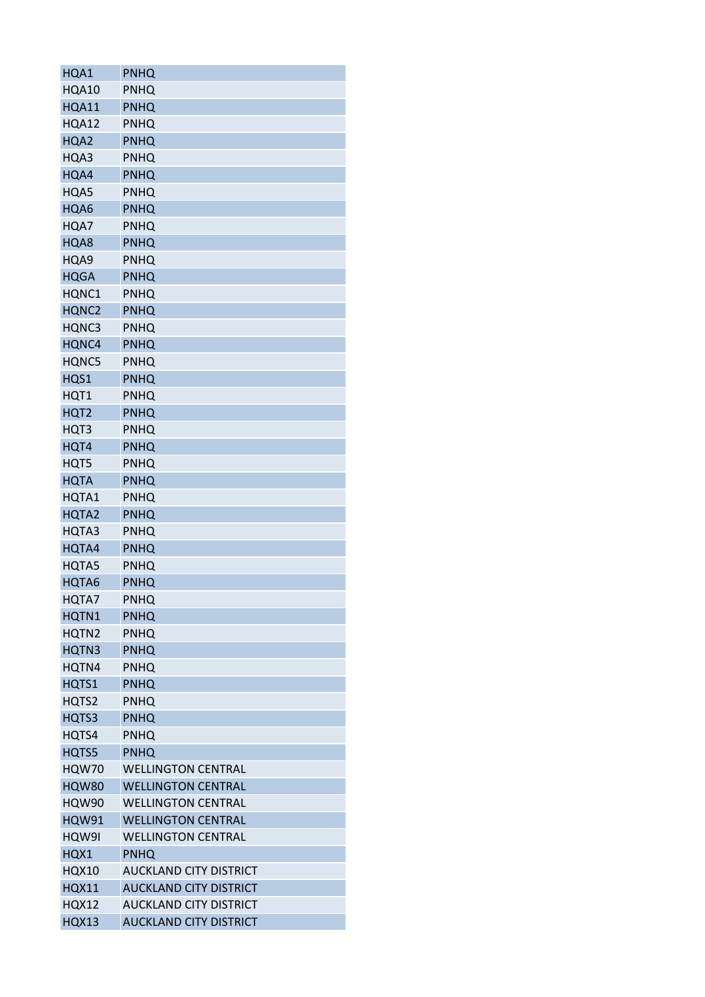| HQA1              | <b>PNHQ</b>                   |
|-------------------|-------------------------------|
| HQA10             | PNHQ                          |
| <b>HQA11</b>      | PNHQ                          |
| HQA12             | PNHQ                          |
| HQA2              | <b>PNHQ</b>                   |
| HQA3              | <b>PNHQ</b>                   |
| HQA4              | <b>PNHQ</b>                   |
| HQA5              | PNHQ                          |
| HQA6              | PNHQ                          |
| HQA7              | PNHQ                          |
| HQA8              | PNHQ                          |
| HQA9              | <b>PNHQ</b>                   |
| <b>HQGA</b>       | PNHQ                          |
| HQNC1             | <b>PNHQ</b>                   |
| HQNC2             | <b>PNHQ</b>                   |
| HQNC3             | PNHQ                          |
| HQNC4             | <b>PNHQ</b>                   |
| HQNC5             | PNHQ                          |
| HQS1              | PNHQ                          |
| HQT1              | PNHQ                          |
| HQT <sub>2</sub>  | <b>PNHQ</b>                   |
| HQT3              | <b>PNHQ</b>                   |
| HQT4              | PNHQ                          |
| HQT5              | <b>PNHQ</b>                   |
| <b>HQTA</b>       | <b>PNHQ</b>                   |
| HQTA1             | <b>PNHQ</b>                   |
| HQTA <sub>2</sub> | PNHQ                          |
| HQTA3             | PNHQ                          |
| HQTA4             | <b>PNHQ</b>                   |
| HQTA5             | PNHQ                          |
| HQTA6             | <b>PNHQ</b>                   |
| HQTA7             | PNHQ                          |
| HQTN1             | <b>PNHQ</b>                   |
| HQTN2             | <b>PNHQ</b>                   |
| <b>HQTN3</b>      | <b>PNHQ</b>                   |
| HQTN4             | <b>PNHQ</b>                   |
| HQTS1             | <b>PNHQ</b>                   |
| HQTS2             | <b>PNHQ</b>                   |
| HQTS3             | PNHQ                          |
| HQTS4             | <b>PNHQ</b>                   |
| HQTS5             | <b>PNHQ</b>                   |
| <b>HQW70</b>      | <b>WELLINGTON CENTRAL</b>     |
| <b>HQW80</b>      | <b>WELLINGTON CENTRAL</b>     |
| <b>HQW90</b>      | <b>WELLINGTON CENTRAL</b>     |
| <b>HQW91</b>      | <b>WELLINGTON CENTRAL</b>     |
| HQW9I             | <b>WELLINGTON CENTRAL</b>     |
| HQX1              | <b>PNHQ</b>                   |
| <b>HQX10</b>      | <b>AUCKLAND CITY DISTRICT</b> |
| <b>HQX11</b>      | <b>AUCKLAND CITY DISTRICT</b> |
| <b>HQX12</b>      | <b>AUCKLAND CITY DISTRICT</b> |
| <b>HQX13</b>      | <b>AUCKLAND CITY DISTRICT</b> |
|                   |                               |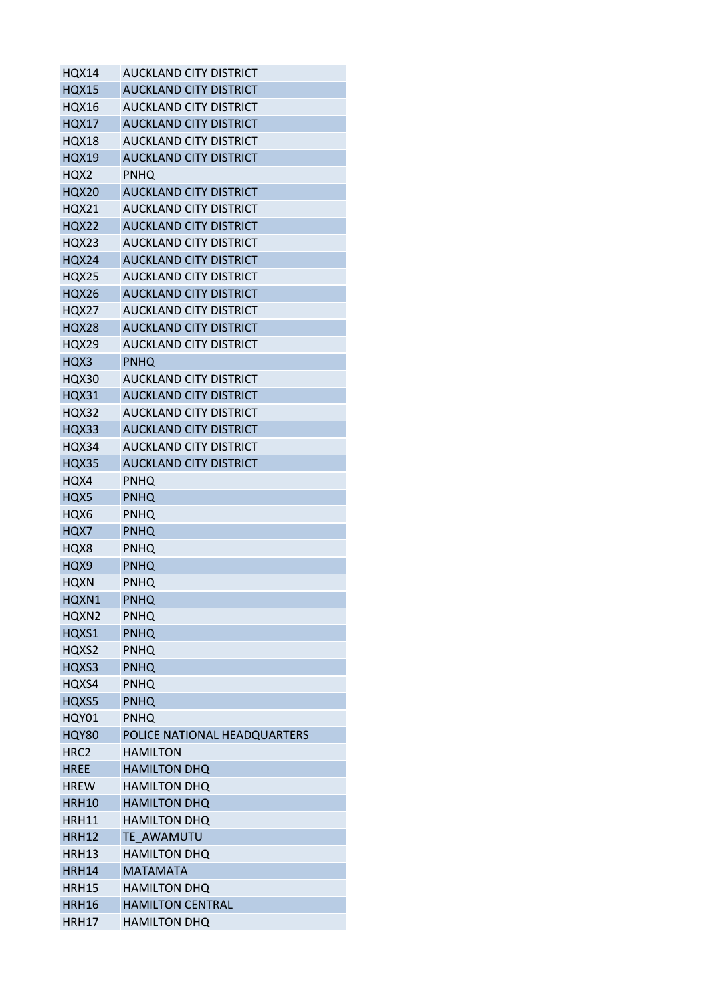| <b>HQX14</b>     | <b>AUCKLAND CITY DISTRICT</b> |
|------------------|-------------------------------|
| <b>HQX15</b>     | <b>AUCKLAND CITY DISTRICT</b> |
| <b>HQX16</b>     | <b>AUCKLAND CITY DISTRICT</b> |
| <b>HQX17</b>     | <b>AUCKLAND CITY DISTRICT</b> |
| HQX18            | <b>AUCKLAND CITY DISTRICT</b> |
| <b>HQX19</b>     | <b>AUCKLAND CITY DISTRICT</b> |
| HQX2             | <b>PNHQ</b>                   |
| <b>HQX20</b>     | <b>AUCKLAND CITY DISTRICT</b> |
| <b>HQX21</b>     | <b>AUCKLAND CITY DISTRICT</b> |
| <b>HQX22</b>     | <b>AUCKLAND CITY DISTRICT</b> |
| HQX23            | AUCKLAND CITY DISTRICT        |
| <b>HQX24</b>     | <b>AUCKLAND CITY DISTRICT</b> |
| HQX25            | <b>AUCKLAND CITY DISTRICT</b> |
| <b>HQX26</b>     | <b>AUCKLAND CITY DISTRICT</b> |
| HQX27            | <b>AUCKLAND CITY DISTRICT</b> |
| <b>HQX28</b>     | <b>AUCKLAND CITY DISTRICT</b> |
| <b>HQX29</b>     | <b>AUCKLAND CITY DISTRICT</b> |
| HQX3             | PNHQ                          |
| HQX30            | <b>AUCKLAND CITY DISTRICT</b> |
| <b>HQX31</b>     | <b>AUCKLAND CITY DISTRICT</b> |
| <b>HQX32</b>     | AUCKLAND CITY DISTRICT        |
| HQX33            | <b>AUCKLAND CITY DISTRICT</b> |
| HQX34            | AUCKLAND CITY DISTRICT        |
| <b>HQX35</b>     | <b>AUCKLAND CITY DISTRICT</b> |
| HQX4             | <b>PNHQ</b>                   |
| HQX5             | <b>PNHQ</b>                   |
| HQX6             | PNHQ                          |
| HQX7             | PNHQ                          |
| HQX8             | <b>PNHQ</b>                   |
| HQX9             | <b>PNHQ</b>                   |
| <b>HQXN</b>      | PNHQ                          |
| HQXN1            | <b>PNHQ</b>                   |
| HQXN2            | <b>PNHQ</b>                   |
| HQXS1            | <b>PNHQ</b>                   |
| HQXS2            | <b>PNHQ</b>                   |
| HQXS3            | <b>PNHQ</b>                   |
| HQXS4            | <b>PNHQ</b>                   |
| HQXS5            | <b>PNHQ</b>                   |
| HQY01            | <b>PNHQ</b>                   |
| <b>HQY80</b>     | POLICE NATIONAL HEADQUARTERS  |
| HRC <sub>2</sub> | <b>HAMILTON</b>               |
| <b>HREE</b>      | <b>HAMILTON DHQ</b>           |
| <b>HREW</b>      | <b>HAMILTON DHQ</b>           |
| <b>HRH10</b>     | <b>HAMILTON DHQ</b>           |
| HRH11            | <b>HAMILTON DHQ</b>           |
| <b>HRH12</b>     | TE AWAMUTU                    |
| HRH13            | <b>HAMILTON DHQ</b>           |
| <b>HRH14</b>     | <b>MATAMATA</b>               |
| <b>HRH15</b>     | <b>HAMILTON DHQ</b>           |
| <b>HRH16</b>     | <b>HAMILTON CENTRAL</b>       |
| <b>HRH17</b>     | <b>HAMILTON DHQ</b>           |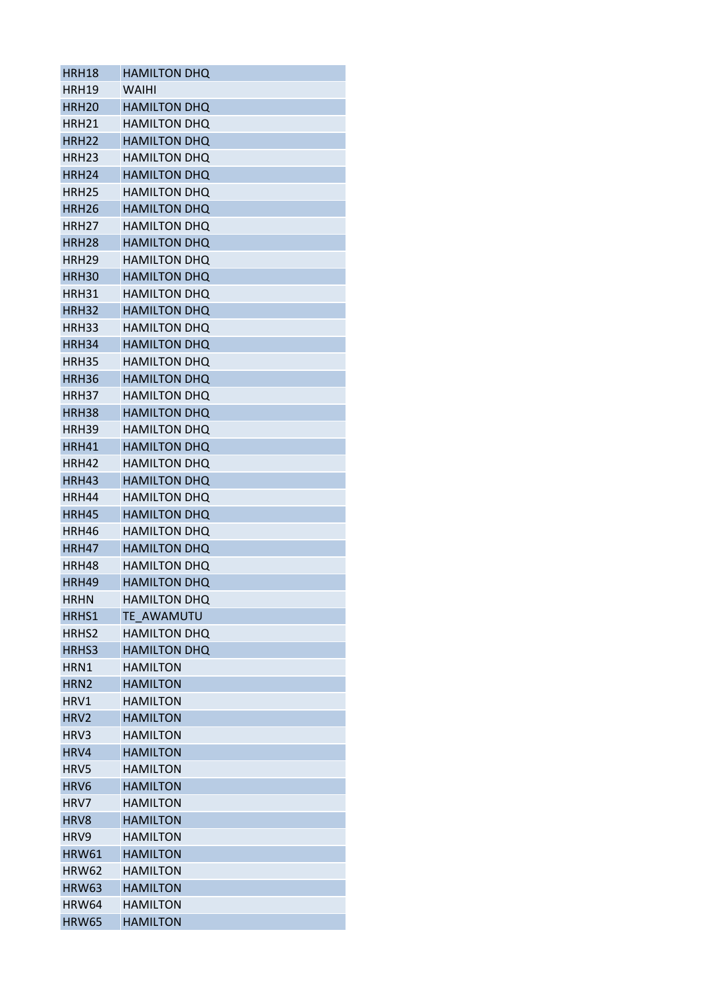| HRH18             | <b>HAMILTON DHQ</b> |
|-------------------|---------------------|
| <b>HRH19</b>      | WAIHI               |
| <b>HRH20</b>      | <b>HAMILTON DHQ</b> |
| HRH21             | <b>HAMILTON DHQ</b> |
| <b>HRH22</b>      | <b>HAMILTON DHQ</b> |
| HRH <sub>23</sub> | <b>HAMILTON DHQ</b> |
| <b>HRH24</b>      | <b>HAMILTON DHQ</b> |
| HRH <sub>25</sub> | <b>HAMILTON DHQ</b> |
| HRH <sub>26</sub> | <b>HAMILTON DHQ</b> |
| HRH <sub>27</sub> | <b>HAMILTON DHQ</b> |
| <b>HRH28</b>      | <b>HAMILTON DHQ</b> |
| HRH <sub>29</sub> | <b>HAMILTON DHQ</b> |
| HRH <sub>30</sub> | <b>HAMILTON DHQ</b> |
| HRH31             | <b>HAMILTON DHQ</b> |
| <b>HRH32</b>      | <b>HAMILTON DHQ</b> |
| HRH33             | <b>HAMILTON DHQ</b> |
| HRH34             | <b>HAMILTON DHQ</b> |
| <b>HRH35</b>      | <b>HAMILTON DHO</b> |
| HRH36             | <b>HAMILTON DHQ</b> |
| <b>HRH37</b>      | <b>HAMILTON DHQ</b> |
| <b>HRH38</b>      | <b>HAMILTON DHQ</b> |
| HRH39             | <b>HAMILTON DHQ</b> |
| HRH41             | <b>HAMILTON DHQ</b> |
| HRH42             | <b>HAMILTON DHQ</b> |
| HRH43             | <b>HAMILTON DHQ</b> |
| HRH44             | <b>HAMILTON DHQ</b> |
| HRH45             | <b>HAMILTON DHQ</b> |
| HRH46             | <b>HAMILTON DHQ</b> |
| HRH47             | <b>HAMILTON DHQ</b> |
| <b>HRH48</b>      | <b>HAMILTON DHQ</b> |
| HRH49             | <b>HAMILTON DHQ</b> |
| <b>HRHN</b>       | <b>HAMILTON DHQ</b> |
| HRHS1             | TE AWAMUTU          |
| HRHS2             | <b>HAMILTON DHQ</b> |
| HRHS3             | <b>HAMILTON DHQ</b> |
| HRN1              | <b>HAMILTON</b>     |
| HRN <sub>2</sub>  | <b>HAMILTON</b>     |
| HRV1              | <b>HAMILTON</b>     |
| HRV2              | <b>HAMILTON</b>     |
| HRV3              | <b>HAMILTON</b>     |
| HRV4              | <b>HAMILTON</b>     |
| HRV5              | <b>HAMILTON</b>     |
| HRV <sub>6</sub>  | <b>HAMILTON</b>     |
| HRV7              | <b>HAMILTON</b>     |
| HRV8              | <b>HAMILTON</b>     |
| HRV9              | <b>HAMILTON</b>     |
| <b>HRW61</b>      | <b>HAMILTON</b>     |
| <b>HRW62</b>      | <b>HAMILTON</b>     |
| <b>HRW63</b>      | <b>HAMILTON</b>     |
| <b>HRW64</b>      | <b>HAMILTON</b>     |
| <b>HRW65</b>      | <b>HAMILTON</b>     |
|                   |                     |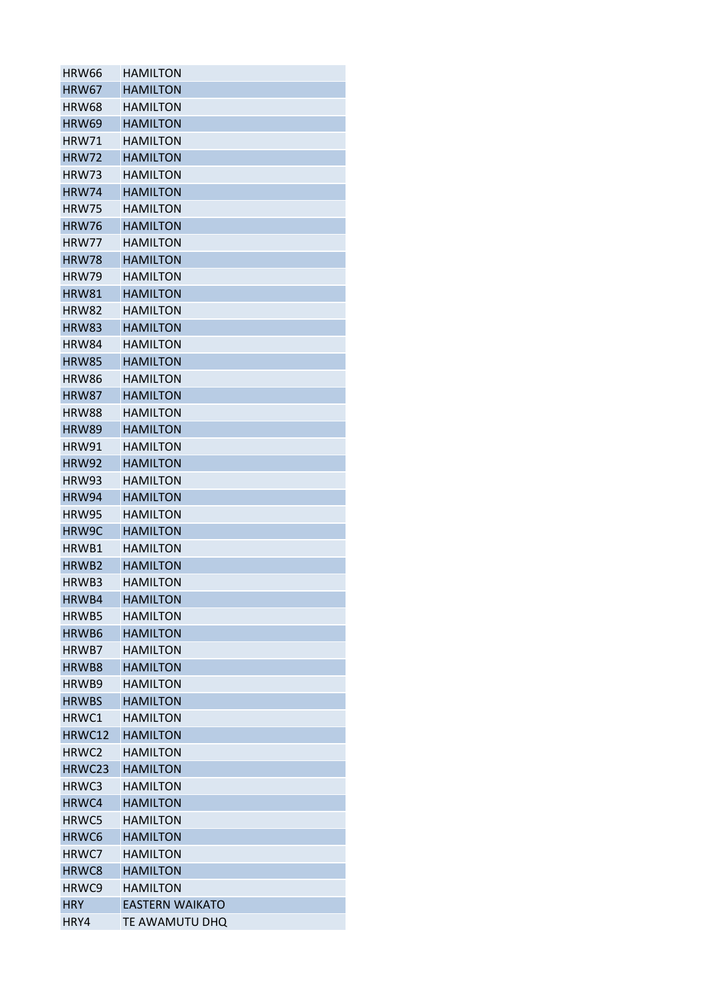| <b>HRW66</b>      | <b>HAMILTON</b>        |
|-------------------|------------------------|
| <b>HRW67</b>      | <b>HAMILTON</b>        |
| <b>HRW68</b>      | <b>HAMILTON</b>        |
| <b>HRW69</b>      | <b>HAMILTON</b>        |
| <b>HRW71</b>      | <b>HAMILTON</b>        |
| <b>HRW72</b>      | <b>HAMILTON</b>        |
| HRW73             | <b>HAMILTON</b>        |
| <b>HRW74</b>      | <b>HAMILTON</b>        |
| <b>HRW75</b>      | <b>HAMILTON</b>        |
| <b>HRW76</b>      | <b>HAMILTON</b>        |
| <b>HRW77</b>      | <b>HAMILTON</b>        |
| <b>HRW78</b>      | <b>HAMILTON</b>        |
| HRW79             | <b>HAMILTON</b>        |
| HRW81             | <b>HAMILTON</b>        |
| HRW82             | <b>HAMILTON</b>        |
| <b>HRW83</b>      | <b>HAMILTON</b>        |
| HRW84             | <b>HAMILTON</b>        |
| <b>HRW85</b>      | <b>HAMILTON</b>        |
| <b>HRW86</b>      | <b>HAMILTON</b>        |
| <b>HRW87</b>      | <b>HAMILTON</b>        |
| <b>HRW88</b>      | <b>HAMILTON</b>        |
| <b>HRW89</b>      | <b>HAMILTON</b>        |
| <b>HRW91</b>      | <b>HAMILTON</b>        |
|                   | <b>HAMILTON</b>        |
| <b>HRW92</b>      |                        |
| HRW93             | <b>HAMILTON</b>        |
| <b>HRW94</b>      | <b>HAMILTON</b>        |
| HRW95             | <b>HAMILTON</b>        |
| HRW9C             | <b>HAMILTON</b>        |
| HRWB1             | <b>HAMILTON</b>        |
| HRWB <sub>2</sub> | <b>HAMILTON</b>        |
| HRWB3             | <b>HAMILTON</b>        |
| HRWB4             | <b>HAMILTON</b>        |
| HRWB5             | <b>HAMILTON</b>        |
| HRWB6             | <b>HAMILTON</b>        |
| HRWB7             | <b>HAMILTON</b>        |
| HRWB8             | <b>HAMILTON</b>        |
| HRWB9             | <b>HAMILTON</b>        |
| <b>HRWBS</b>      | <b>HAMILTON</b>        |
| HRWC1             | <b>HAMILTON</b>        |
| HRWC12            | <b>HAMILTON</b>        |
| HRWC <sub>2</sub> | <b>HAMILTON</b>        |
| HRWC23            | <b>HAMILTON</b>        |
| HRWC3             | <b>HAMILTON</b>        |
| HRWC4             | <b>HAMILTON</b>        |
| HRWC5             | <b>HAMILTON</b>        |
| HRWC6             | <b>HAMILTON</b>        |
| HRWC7             | <b>HAMILTON</b>        |
| HRWC8             | <b>HAMILTON</b>        |
| HRWC9             | <b>HAMILTON</b>        |
| <b>HRY</b>        | <b>EASTERN WAIKATO</b> |
| HRY4              | TE AWAMUTU DHQ         |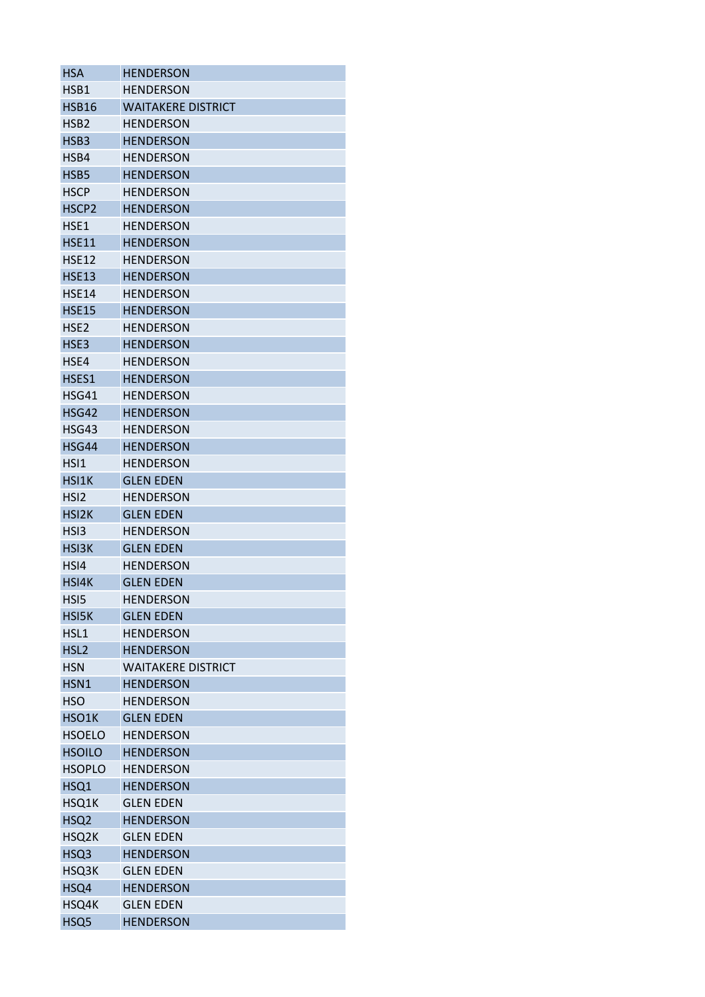| <b>HENDERSON</b>          |
|---------------------------|
| <b>HENDERSON</b>          |
| <b>WAITAKERE DISTRICT</b> |
| <b>HENDERSON</b>          |
| <b>HENDERSON</b>          |
| <b>HENDERSON</b>          |
| <b>HENDERSON</b>          |
| <b>HENDERSON</b>          |
| <b>HENDERSON</b>          |
| <b>HENDERSON</b>          |
| <b>HENDERSON</b>          |
| <b>HENDERSON</b>          |
| <b>HENDERSON</b>          |
| <b>HENDERSON</b>          |
| <b>HENDERSON</b>          |
| <b>HENDERSON</b>          |
| <b>HENDERSON</b>          |
| <b>HENDERSON</b>          |
| <b>HENDERSON</b>          |
| <b>HENDERSON</b>          |
| <b>HENDERSON</b>          |
| <b>HENDERSON</b>          |
| <b>HENDERSON</b>          |
| <b>HENDERSON</b>          |
| <b>GLEN EDEN</b>          |
| <b>HENDERSON</b>          |
| <b>GLEN EDEN</b>          |
| <b>HENDERSON</b>          |
| <b>GLEN EDEN</b>          |
| <b>HENDERSON</b>          |
| <b>GLEN EDEN</b>          |
| <b>HENDERSON</b>          |
| <b>GLEN EDEN</b>          |
| <b>HENDERSON</b>          |
| <b>HENDERSON</b>          |
| <b>WAITAKERE DISTRICT</b> |
| <b>HENDERSON</b>          |
| <b>HENDERSON</b>          |
| <b>GLEN EDEN</b>          |
| <b>HENDERSON</b>          |
| <b>HENDERSON</b>          |
| <b>HENDERSON</b>          |
| <b>HENDERSON</b>          |
| <b>GLEN EDEN</b>          |
| <b>HENDERSON</b>          |
| <b>GLEN EDEN</b>          |
| <b>HENDERSON</b>          |
| <b>GLEN EDEN</b>          |
| <b>HENDERSON</b>          |
| <b>GLEN EDEN</b>          |
| <b>HENDERSON</b>          |
|                           |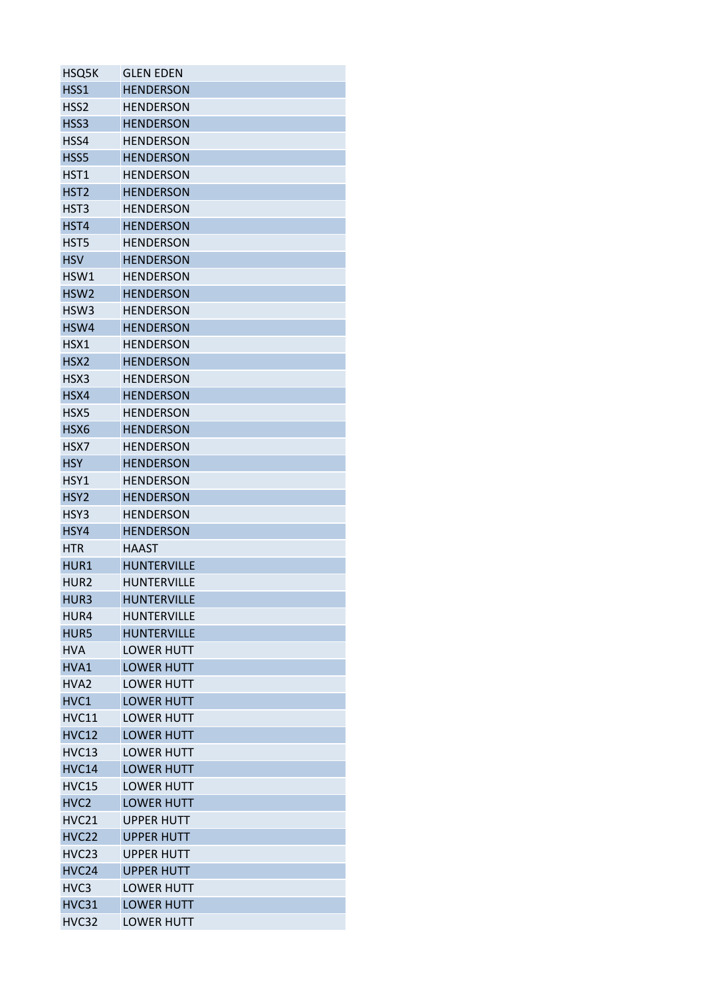| HSQ5K             | <b>GLEN EDEN</b>   |
|-------------------|--------------------|
| HSS1              | <b>HENDERSON</b>   |
| HSS <sub>2</sub>  | <b>HENDERSON</b>   |
| HSS3              | <b>HENDERSON</b>   |
| HSS4              | <b>HENDERSON</b>   |
| HSS5              | <b>HENDERSON</b>   |
| HST1              | <b>HENDERSON</b>   |
| HST <sub>2</sub>  | <b>HENDERSON</b>   |
| HST3              | <b>HENDERSON</b>   |
| HST4              | <b>HENDERSON</b>   |
| HST5              | <b>HENDERSON</b>   |
| <b>HSV</b>        | <b>HENDERSON</b>   |
| HSW1              | <b>HENDERSON</b>   |
| HSW <sub>2</sub>  | <b>HENDERSON</b>   |
| HSW <sub>3</sub>  | <b>HENDERSON</b>   |
| HSW4              | <b>HENDERSON</b>   |
| HSX1              | <b>HENDERSON</b>   |
| HSX <sub>2</sub>  | <b>HENDERSON</b>   |
| HSX3              | <b>HENDERSON</b>   |
| HSX4              | <b>HENDERSON</b>   |
| HSX5              | <b>HENDERSON</b>   |
| HSX6              | <b>HENDERSON</b>   |
|                   |                    |
| HSX7              | <b>HENDERSON</b>   |
| <b>HSY</b>        | <b>HENDERSON</b>   |
| HSY1              | <b>HENDERSON</b>   |
| HSY <sub>2</sub>  | <b>HENDERSON</b>   |
| HSY3              | <b>HENDERSON</b>   |
| HSY4              | <b>HENDERSON</b>   |
| <b>HTR</b>        | <b>HAAST</b>       |
| HUR1              | <b>HUNTERVILLE</b> |
| HUR <sub>2</sub>  | <b>HUNTERVILLE</b> |
| HUR3              | <b>HUNTERVILLE</b> |
| HUR4              | HUNTERVILLE        |
| HUR5              | <b>HUNTERVILLE</b> |
| <b>HVA</b>        | <b>LOWFR HUTT</b>  |
| HVA1              | <b>LOWER HUTT</b>  |
| HVA <sub>2</sub>  | <b>LOWER HUTT</b>  |
| HVC1              | <b>LOWER HUTT</b>  |
| <b>HVC11</b>      | <b>LOWER HUTT</b>  |
| <b>HVC12</b>      | <b>LOWER HUTT</b>  |
| <b>HVC13</b>      | <b>LOWER HUTT</b>  |
| <b>HVC14</b>      | <b>LOWER HUTT</b>  |
| <b>HVC15</b>      | <b>LOWER HUTT</b>  |
| HVC <sub>2</sub>  | <b>LOWER HUTT</b>  |
| <b>HVC21</b>      | <b>UPPER HUTT</b>  |
| <b>HVC22</b>      | <b>UPPER HUTT</b>  |
| HVC <sub>23</sub> | <b>UPPER HUTT</b>  |
| HVC24             | <b>UPPER HUTT</b>  |
| HVC3              | <b>LOWER HUTT</b>  |
| <b>HVC31</b>      | <b>LOWER HUTT</b>  |
| HVC32             | <b>LOWER HUTT</b>  |
|                   |                    |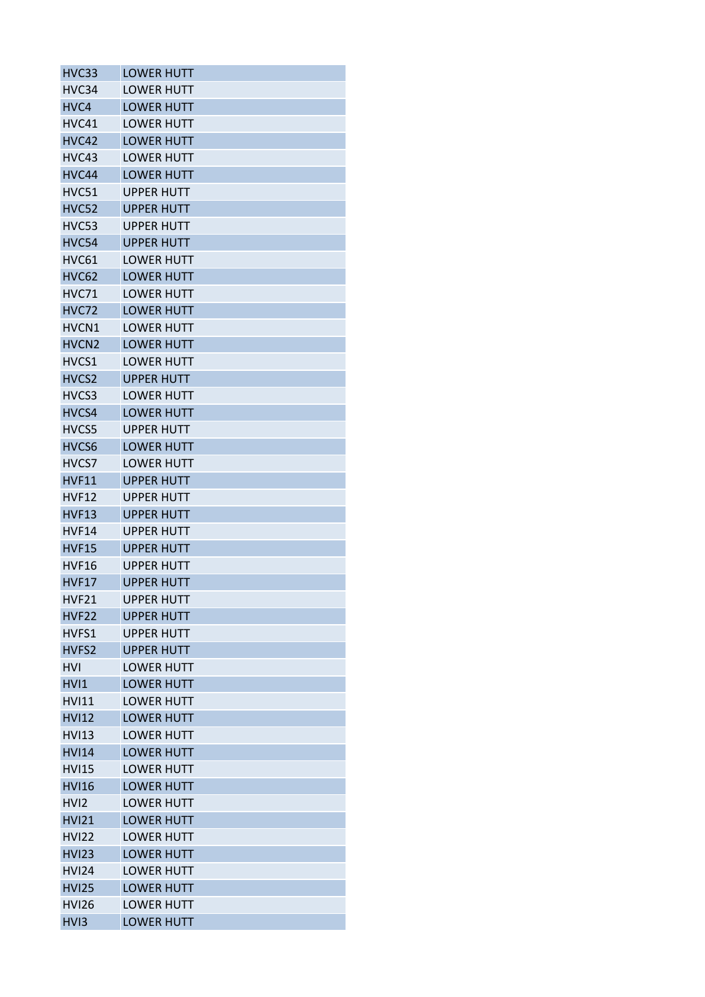| HVC33             | <b>LOWER HUTT</b> |
|-------------------|-------------------|
| HVC34             | <b>LOWER HUTT</b> |
| HVC4              | <b>LOWER HUTT</b> |
| HVC41             | <b>LOWER HUTT</b> |
| HVC42             | <b>LOWER HUTT</b> |
| HVC43             | <b>LOWER HUTT</b> |
| HVC44             | <b>LOWER HUTT</b> |
| HVC51             | <b>UPPER HUTT</b> |
| <b>HVC52</b>      | <b>UPPER HUTT</b> |
| HVC53             | UPPER HUTT        |
| HVC54             | <b>UPPER HUTT</b> |
| HVC61             | LOWER HUTT        |
| <b>HVC62</b>      | <b>LOWER HUTT</b> |
| HVC71             | <b>LOWER HUTT</b> |
| <b>HVC72</b>      | <b>LOWER HUTT</b> |
| HVCN1             | <b>LOWER HUTT</b> |
| HVCN <sub>2</sub> | <b>LOWER HUTT</b> |
| HVCS1             | <b>LOWER HUTT</b> |
| HVCS <sub>2</sub> | <b>UPPER HUTT</b> |
| HVCS3             | LOWER HUTT        |
| HVCS4             | <b>LOWER HUTT</b> |
| HVCS5             | <b>UPPER HUTT</b> |
| HVCS6             | <b>LOWER HUTT</b> |
| HVCS7             | <b>LOWER HUTT</b> |
| <b>HVF11</b>      | <b>UPPER HUTT</b> |
| HVF12             | <b>UPPER HUTT</b> |
| HVF13             | <b>UPPER HUTT</b> |
| <b>HVF14</b>      | <b>UPPER HUTT</b> |
| <b>HVF15</b>      | <b>UPPER HUTT</b> |
| HVF16             | <b>UPPER HUTT</b> |
| HVF17             | <b>UPPER HUTT</b> |
| <b>HVF21</b>      | <b>UPPER HUTT</b> |
| HVF <sub>22</sub> | <b>UPPER HUTT</b> |
| HVFS1             | <b>UPPER HUTT</b> |
| HVFS2             | <b>UPPER HUTT</b> |
| <b>HVI</b>        | <b>LOWER HUTT</b> |
| HVI1              | <b>LOWER HUTT</b> |
| <b>HVI11</b>      | <b>LOWER HUTT</b> |
| <b>HVI12</b>      | <b>LOWER HUTT</b> |
| <b>HVI13</b>      | LOWER HUTT        |
| <b>HVI14</b>      | <b>LOWER HUTT</b> |
| <b>HVI15</b>      | <b>LOWER HUTT</b> |
| <b>HVI16</b>      | <b>LOWER HUTT</b> |
| HV <sub>12</sub>  | <b>LOWER HUTT</b> |
| <b>HVI21</b>      | <b>LOWER HUTT</b> |
| <b>HVI22</b>      | <b>LOWER HUTT</b> |
| <b>HVI23</b>      | <b>LOWER HUTT</b> |
| <b>HVI24</b>      | <b>LOWER HUTT</b> |
| <b>HVI25</b>      | <b>LOWER HUTT</b> |
| <b>HVI26</b>      | <b>LOWER HUTT</b> |
| HV <sub>13</sub>  | <b>LOWER HUTT</b> |
|                   |                   |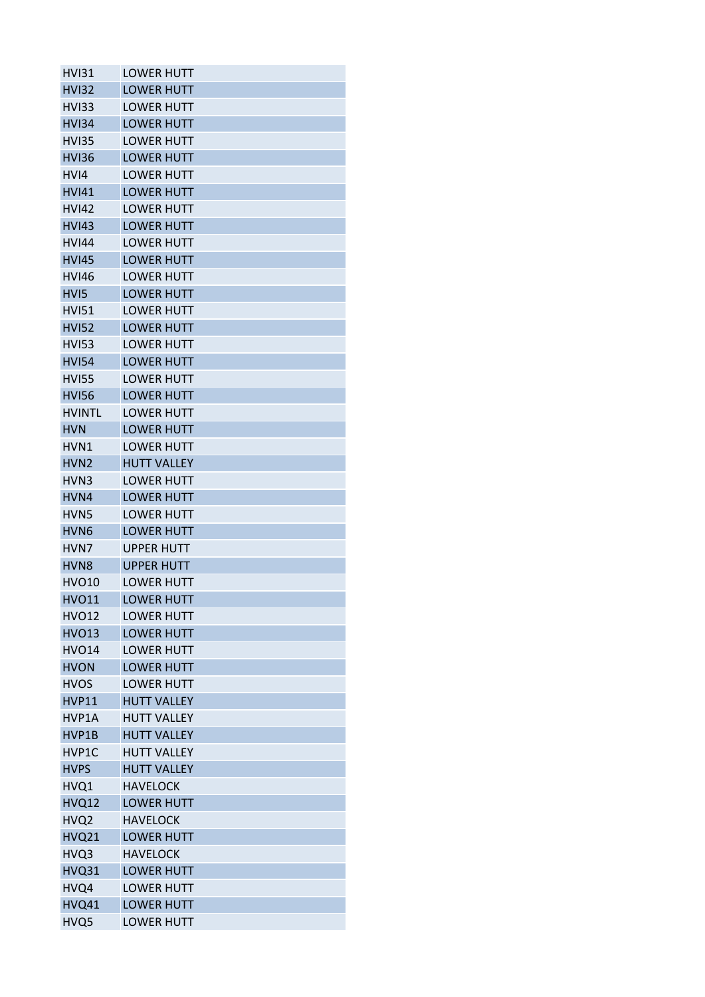| <b>LOWER HUTT</b>  |
|--------------------|
| <b>LOWER HUTT</b>  |
| <b>LOWER HUTT</b>  |
| <b>LOWER HUTT</b>  |
| <b>LOWER HUTT</b>  |
| <b>LOWER HUTT</b>  |
| <b>LOWER HUTT</b>  |
| <b>LOWER HUTT</b>  |
| <b>LOWER HUTT</b>  |
| <b>LOWER HUTT</b>  |
| <b>LOWER HUTT</b>  |
| <b>LOWER HUTT</b>  |
| <b>LOWER HUTT</b>  |
| <b>LOWER HUTT</b>  |
| <b>LOWER HUTT</b>  |
| <b>LOWER HUTT</b>  |
| <b>LOWER HUTT</b>  |
| <b>LOWER HUTT</b>  |
| <b>LOWER HUTT</b>  |
| <b>LOWER HUTT</b>  |
| <b>LOWER HUTT</b>  |
| <b>LOWER HUTT</b>  |
| <b>LOWER HUTT</b>  |
| <b>HUTT VALLEY</b> |
| <b>LOWER HUTT</b>  |
| <b>LOWER HUTT</b>  |
| <b>LOWER HUTT</b>  |
| <b>LOWER HUTT</b>  |
| <b>UPPER HUTT</b>  |
| <b>UPPER HUTT</b>  |
| <b>LOWER HUTT</b>  |
| <b>LOWER HUTT</b>  |
| <b>LOWER HUTT</b>  |
| <b>LOWER HUTT</b>  |
| <b>LOWER HUTT</b>  |
| <b>LOWER HUTT</b>  |
| <b>LOWER HUTT</b>  |
| <b>HUTT VALLEY</b> |
| <b>HUTT VALLEY</b> |
| <b>HUTT VALLEY</b> |
| <b>HUTT VALLEY</b> |
| <b>HUTT VALLEY</b> |
| <b>HAVELOCK</b>    |
| <b>LOWER HUTT</b>  |
| <b>HAVELOCK</b>    |
| <b>LOWER HUTT</b>  |
| <b>HAVELOCK</b>    |
| <b>LOWER HUTT</b>  |
| <b>LOWER HUTT</b>  |
| <b>LOWER HUTT</b>  |
| <b>LOWER HUTT</b>  |
|                    |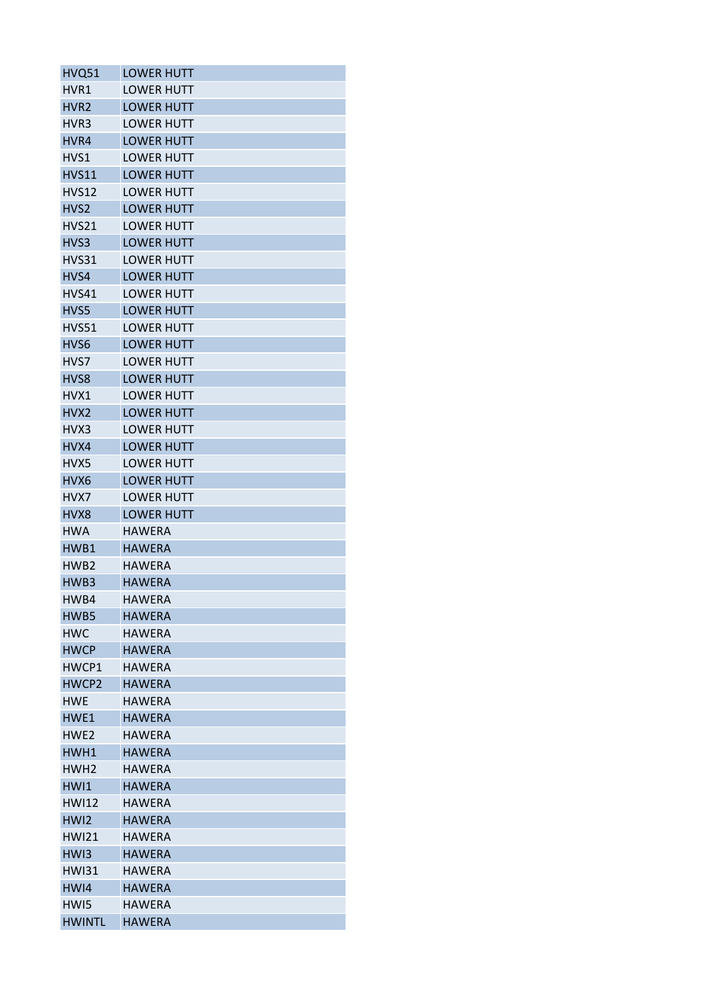| HVQ51            | <b>LOWER HUTT</b> |
|------------------|-------------------|
| HVR1             | <b>LOWER HUTT</b> |
| HVR <sub>2</sub> | <b>LOWER HUTT</b> |
| HVR3             | <b>LOWER HUTT</b> |
| HVR4             | <b>LOWER HUTT</b> |
| HVS1             | <b>LOWER HUTT</b> |
| <b>HVS11</b>     | <b>LOWER HUTT</b> |
| <b>HVS12</b>     | <b>LOWER HUTT</b> |
| HVS <sub>2</sub> | <b>LOWER HUTT</b> |
| HVS21            | <b>LOWER HUTT</b> |
| HVS3             | <b>LOWER HUTT</b> |
| HVS31            | <b>LOWER HUTT</b> |
| HVS4             | <b>LOWER HUTT</b> |
| HVS41            | <b>LOWER HUTT</b> |
| HVS5             | <b>LOWER HUTT</b> |
| <b>HVS51</b>     | <b>LOWER HUTT</b> |
| HVS6             | <b>LOWER HUTT</b> |
| HVS7             | <b>LOWER HUTT</b> |
| HVS8             | <b>LOWER HUTT</b> |
| HVX1             | <b>LOWER HUTT</b> |
| HVX <sub>2</sub> | <b>LOWER HUTT</b> |
| HVX3             | <b>LOWER HUTT</b> |
| HVX4             | <b>LOWER HUTT</b> |
| HVX5             | <b>LOWER HUTT</b> |
| HVX <sub>6</sub> | <b>LOWER HUTT</b> |
| HVX7             | <b>LOWER HUTT</b> |
|                  |                   |
| HVX8             | <b>LOWER HUTT</b> |
| <b>HWA</b>       | <b>HAWERA</b>     |
| HWB1             | <b>HAWERA</b>     |
| HWB <sub>2</sub> | <b>HAWERA</b>     |
| HWB3             | <b>HAWERA</b>     |
| HWB4             | <b>HAWERA</b>     |
| HWB5             | <b>HAWERA</b>     |
| <b>HWC</b>       | <b>HAWERA</b>     |
| <b>HWCP</b>      | <b>HAWERA</b>     |
| HWCP1            | <b>HAWERA</b>     |
| HWCP2            | <b>HAWERA</b>     |
| <b>HWE</b>       | <b>HAWERA</b>     |
| HWE1             | <b>HAWERA</b>     |
| HWE <sub>2</sub> | <b>HAWERA</b>     |
| HWH1             | <b>HAWERA</b>     |
| HWH <sub>2</sub> | <b>HAWERA</b>     |
| HWI1             | <b>HAWERA</b>     |
| <b>HWI12</b>     | HAWERA            |
| HW <sub>12</sub> | <b>HAWERA</b>     |
| <b>HWI21</b>     | HAWERA            |
| HW <sub>13</sub> | <b>HAWERA</b>     |
| <b>HWI31</b>     | <b>HAWERA</b>     |
| HWI4             | <b>HAWERA</b>     |
| HW <sub>I5</sub> | <b>HAWERA</b>     |
| <b>HWINTL</b>    | <b>HAWERA</b>     |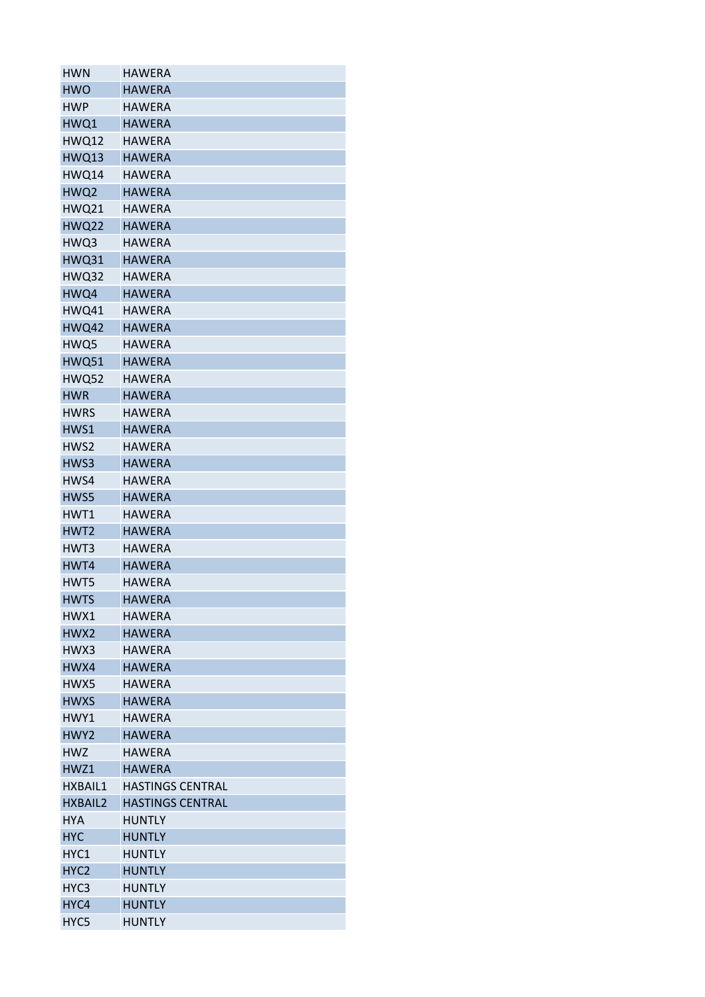| <b>HWN</b>       | <b>HAWERA</b>                  |
|------------------|--------------------------------|
| <b>HWO</b>       | <b>HAWERA</b>                  |
| <b>HWP</b>       | <b>HAWERA</b>                  |
| HWQ1             | <b>HAWERA</b>                  |
| <b>HWQ12</b>     | <b>HAWERA</b>                  |
| HWQ13            | <b>HAWERA</b>                  |
| HWQ14            | <b>HAWERA</b>                  |
| HWQ2             | <b>HAWERA</b>                  |
| <b>HWQ21</b>     | <b>HAWERA</b>                  |
| <b>HWQ22</b>     | <b>HAWERA</b>                  |
| HWQ3             | <b>HAWERA</b>                  |
| <b>HWQ31</b>     | <b>HAWERA</b>                  |
| <b>HWQ32</b>     | <b>HAWERA</b>                  |
| HWQ4             | <b>HAWERA</b>                  |
| HWQ41            | <b>HAWERA</b>                  |
| <b>HWQ42</b>     | <b>HAWERA</b>                  |
| HWQ5             | <b>HAWERA</b>                  |
| <b>HWQ51</b>     | <b>HAWERA</b>                  |
| HWQ52            | <b>HAWERA</b>                  |
| <b>HWR</b>       | <b>HAWERA</b>                  |
| <b>HWRS</b>      | <b>HAWERA</b>                  |
| HWS1             | <b>HAWERA</b>                  |
| HWS2             | <b>HAWERA</b>                  |
| HWS3             | <b>HAWERA</b>                  |
| HWS4             | <b>HAWERA</b>                  |
| HWS5             | <b>HAWERA</b>                  |
| HWT1             | <b>HAWERA</b>                  |
| HWT <sub>2</sub> | <b>HAWERA</b>                  |
| HWT3             | <b>HAWERA</b>                  |
| HWT4             | <b>HAWERA</b>                  |
|                  |                                |
| HWT5             | <b>HAWERA</b><br><b>HAWERA</b> |
| <b>HWTS</b>      |                                |
| HWX1             | <b>HAWERA</b>                  |
| HWX2             | <b>HAWERA</b>                  |
| HWX3             | <b>HAWERA</b>                  |
| HWX4             | <b>HAWERA</b>                  |
| HWX5             | <b>HAWERA</b>                  |
| <b>HWXS</b>      | <b>HAWERA</b>                  |
| HWY1             | <b>HAWERA</b>                  |
| HWY2             | <b>HAWERA</b>                  |
| <b>HWZ</b>       | HAWERA                         |
| HWZ1             | <b>HAWERA</b>                  |
| HXBAIL1          | <b>HASTINGS CENTRAL</b>        |
| <b>HXBAIL2</b>   | <b>HASTINGS CENTRAL</b>        |
| <b>HYA</b>       | <b>HUNTLY</b>                  |
| <b>HYC</b>       | <b>HUNTLY</b>                  |
| HYC1             | <b>HUNTLY</b>                  |
| HYC <sub>2</sub> | <b>HUNTLY</b>                  |
| HYC <sub>3</sub> | <b>HUNTLY</b>                  |
| HYC4             | <b>HUNTLY</b>                  |
| HYC5             | <b>HUNTLY</b>                  |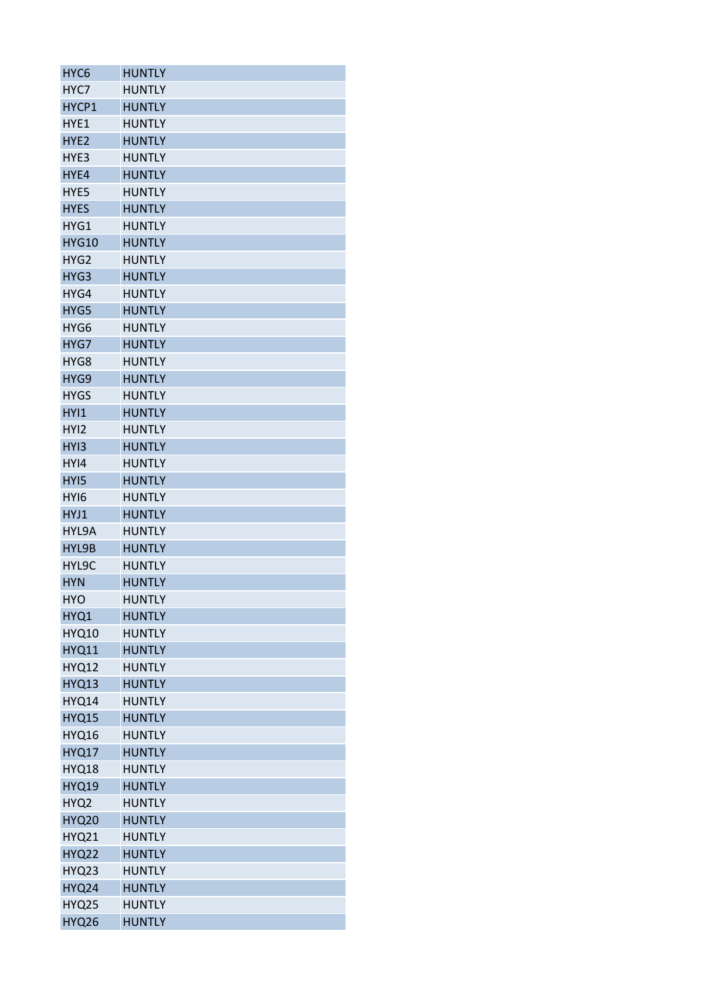| HYC <sub>6</sub> | <b>HUNTLY</b> |
|------------------|---------------|
| HYC7             | <b>HUNTLY</b> |
| HYCP1            | <b>HUNTLY</b> |
| HYE1             | <b>HUNTLY</b> |
| HYE <sub>2</sub> | <b>HUNTLY</b> |
| HYE3             | <b>HUNTLY</b> |
| HYE4             | <b>HUNTLY</b> |
| HYE5             | <b>HUNTLY</b> |
| <b>HYES</b>      | <b>HUNTLY</b> |
| HYG1             | <b>HUNTLY</b> |
| <b>HYG10</b>     | <b>HUNTLY</b> |
| HYG <sub>2</sub> | <b>HUNTLY</b> |
| HYG3             | <b>HUNTLY</b> |
| HYG4             | <b>HUNTLY</b> |
| HYG5             | <b>HUNTLY</b> |
| HYG <sub>6</sub> | <b>HUNTLY</b> |
| HYG7             | <b>HUNTLY</b> |
| HYG8             | <b>HUNTLY</b> |
| HYG9             | <b>HUNTLY</b> |
| <b>HYGS</b>      | <b>HUNTLY</b> |
| HYI1             | <b>HUNTLY</b> |
| HYI2             | <b>HUNTLY</b> |
|                  |               |
| HY <sub>13</sub> | <b>HUNTLY</b> |
| HY <sub>14</sub> | <b>HUNTLY</b> |
| HY <sub>15</sub> | <b>HUNTLY</b> |
| HYI6             | <b>HUNTLY</b> |
| HYJ1             | <b>HUNTLY</b> |
| HYL9A            | <b>HUNTLY</b> |
| HYL9B            | <b>HUNTLY</b> |
| HYL9C            | <b>HUNTLY</b> |
| <b>HYN</b>       | <b>HUNTLY</b> |
| <b>HYO</b>       | <b>HUNTLY</b> |
| HYQ1             | <b>HUNTLY</b> |
| <b>HYQ10</b>     | <b>HUNTLY</b> |
| <b>HYQ11</b>     | <b>HUNTLY</b> |
| <b>HYQ12</b>     | <b>HUNTLY</b> |
| HYQ13            | <b>HUNTLY</b> |
| <b>HYQ14</b>     | <b>HUNTLY</b> |
| <b>HYQ15</b>     | <b>HUNTLY</b> |
| <b>HYQ16</b>     | <b>HUNTLY</b> |
| <b>HYQ17</b>     | <b>HUNTLY</b> |
| HYQ18            | <b>HUNTLY</b> |
| <b>HYQ19</b>     | <b>HUNTLY</b> |
| HYQ2             | <b>HUNTLY</b> |
| <b>HYQ20</b>     | <b>HUNTLY</b> |
| <b>HYQ21</b>     | <b>HUNTLY</b> |
| <b>HYQ22</b>     | <b>HUNTLY</b> |
| HYQ23            | <b>HUNTLY</b> |
| HYQ24            | <b>HUNTLY</b> |
| <b>HYQ25</b>     | <b>HUNTLY</b> |
| <b>HYQ26</b>     | <b>HUNTLY</b> |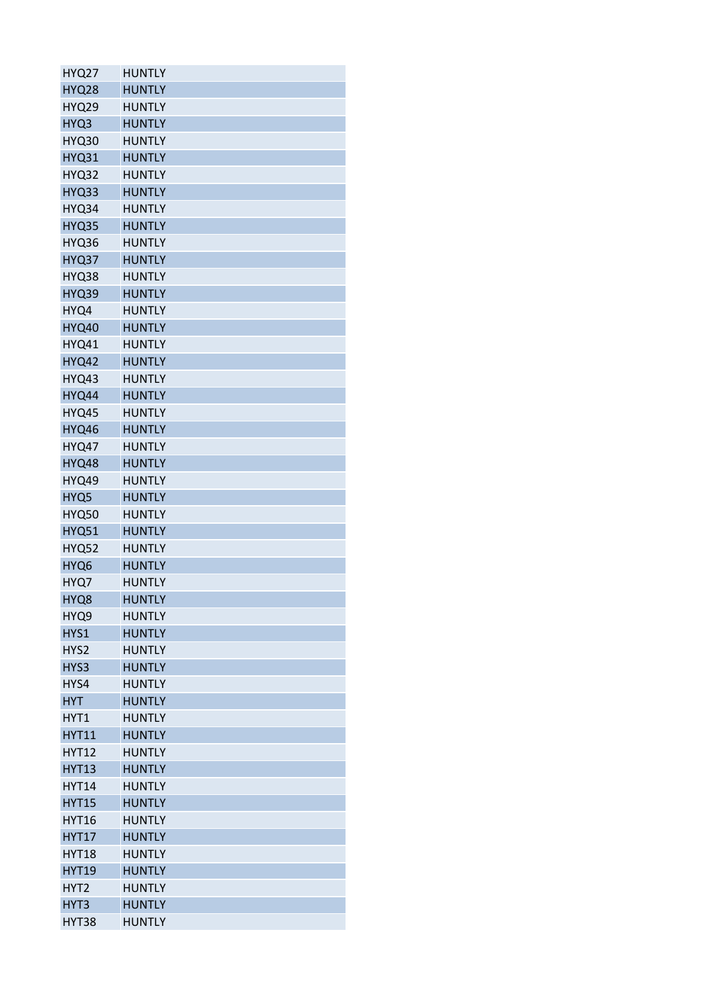| <b>HYQ27</b> | <b>HUNTLY</b> |
|--------------|---------------|
| <b>HYQ28</b> | <b>HUNTLY</b> |
| <b>HYQ29</b> | <b>HUNTLY</b> |
| HYQ3         | <b>HUNTLY</b> |
| <b>HYQ30</b> | <b>HUNTLY</b> |
| <b>HYQ31</b> | <b>HUNTLY</b> |
| HYQ32        | <b>HUNTLY</b> |
| HYQ33        | <b>HUNTLY</b> |
| HYQ34        | <b>HUNTLY</b> |
| HYQ35        | <b>HUNTLY</b> |
| HYQ36        | <b>HUNTLY</b> |
| HYQ37        | <b>HUNTLY</b> |
| HYQ38        | <b>HUNTLY</b> |
| HYQ39        | <b>HUNTLY</b> |
| HYQ4         | <b>HUNTLY</b> |
| <b>HYQ40</b> | <b>HUNTLY</b> |
| <b>HYQ41</b> | <b>HUNTLY</b> |
| <b>HYQ42</b> | <b>HUNTLY</b> |
| HYQ43        | <b>HUNTLY</b> |
| HYQ44        | <b>HUNTLY</b> |
| HYQ45        | <b>HUNTLY</b> |
| HYQ46        | <b>HUNTLY</b> |
| HYQ47        | <b>HUNTLY</b> |
| HYQ48        | <b>HUNTLY</b> |
| HYQ49        | <b>HUNTLY</b> |
| HYQ5         | <b>HUNTLY</b> |
| <b>HYQ50</b> | <b>HUNTLY</b> |
| <b>HYQ51</b> | <b>HUNTLY</b> |
| HYQ52        | <b>HUNTLY</b> |
| HYQ6         | <b>HUNTLY</b> |
| HYQ7         | <b>HUNTLY</b> |
| HYQ8         | <b>HUNTLY</b> |
| HYQ9         | <b>HUNTLY</b> |
| HYS1         | <b>HUNTLY</b> |
|              |               |
| HYS2         | <b>HUNTLY</b> |
| HYS3         | <b>HUNTLY</b> |
| HYS4         | <b>HUNTLY</b> |
| <b>HYT</b>   | <b>HUNTLY</b> |
| HYT1         | <b>HUNTLY</b> |
| <b>HYT11</b> | <b>HUNTLY</b> |
| <b>HYT12</b> | <b>HUNTLY</b> |
| <b>HYT13</b> | <b>HUNTLY</b> |
| <b>HYT14</b> | <b>HUNTLY</b> |
| <b>HYT15</b> | <b>HUNTLY</b> |
| <b>HYT16</b> | <b>HUNTLY</b> |
| <b>HYT17</b> | <b>HUNTLY</b> |
| <b>HYT18</b> | <b>HUNTLY</b> |
| <b>HYT19</b> | <b>HUNTLY</b> |
| HYT2         | <b>HUNTLY</b> |
| HYT3         | <b>HUNTLY</b> |
| HYT38        | <b>HUNTLY</b> |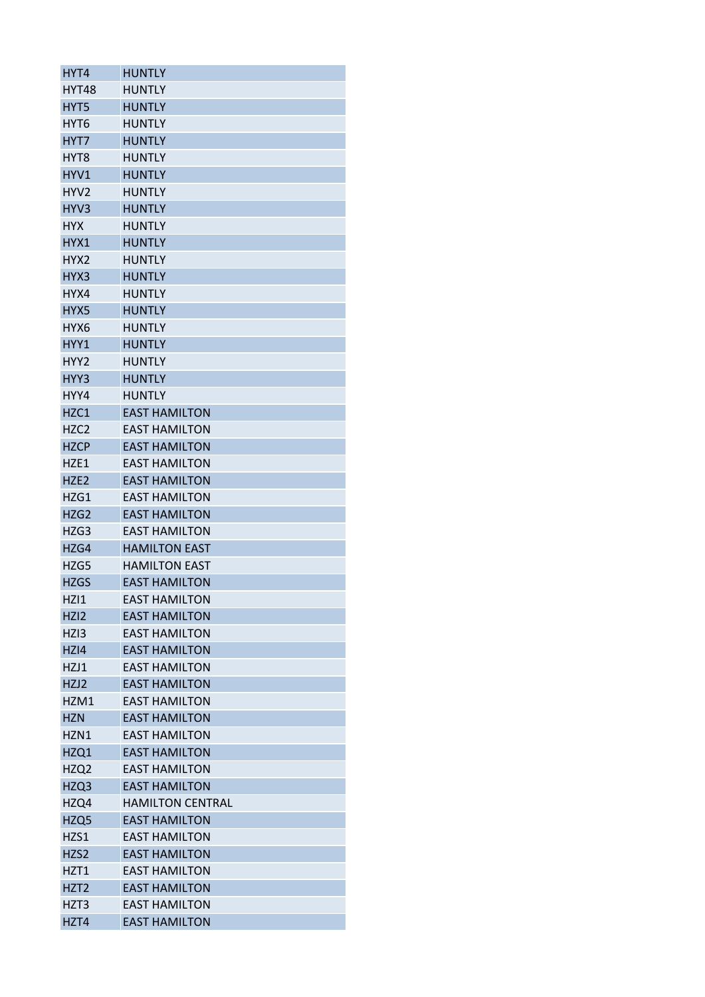| HYT4             | <b>HUNTLY</b>           |
|------------------|-------------------------|
| HYT48            | <b>HUNTLY</b>           |
| HYT5             | <b>HUNTLY</b>           |
| HYT6             | <b>HUNTLY</b>           |
| HYT7             | <b>HUNTLY</b>           |
| HYT <sub>8</sub> | <b>HUNTLY</b>           |
| HYV1             | <b>HUNTLY</b>           |
| HYV <sub>2</sub> | <b>HUNTLY</b>           |
| HYV3             | <b>HUNTLY</b>           |
| <b>HYX</b>       | <b>HUNTLY</b>           |
| HYX1             | <b>HUNTLY</b>           |
| HYX2             | <b>HUNTLY</b>           |
| HYX3             | <b>HUNTLY</b>           |
| HYX4             | <b>HUNTLY</b>           |
| HYX5             | <b>HUNTLY</b>           |
| HYX6             | <b>HUNTLY</b>           |
| HYY1             | <b>HUNTLY</b>           |
| HYY2             | <b>HUNTLY</b>           |
| HYY3             | <b>HUNTLY</b>           |
| HYY4             | <b>HUNTLY</b>           |
| HZC1             | <b>EAST HAMILTON</b>    |
| HZC <sub>2</sub> | <b>EAST HAMILTON</b>    |
| <b>HZCP</b>      | <b>EAST HAMILTON</b>    |
|                  |                         |
| HZE1             | <b>EAST HAMILTON</b>    |
| HZE <sub>2</sub> | <b>EAST HAMILTON</b>    |
| HZG1             | <b>EAST HAMILTON</b>    |
| HZG <sub>2</sub> | <b>EAST HAMILTON</b>    |
| HZG3             | <b>EAST HAMILTON</b>    |
| HZG4             | <b>HAMILTON EAST</b>    |
| HZG5             | <b>HAMILTON EAST</b>    |
| <b>HZGS</b>      | <b>EAST HAMILTON</b>    |
| HZI1             | <b>EAST HAMILTON</b>    |
| HZI <sub>2</sub> | <b>EAST HAMILTON</b>    |
| HZI3             | <b>EAST HAMILTON</b>    |
| HZI4             | <b>EAST HAMILTON</b>    |
| HZJ1             | <b>EAST HAMILTON</b>    |
| HZJ2             | <b>EAST HAMILTON</b>    |
| HZM1             | <b>EAST HAMILTON</b>    |
| <b>HZN</b>       | <b>EAST HAMILTON</b>    |
| HZN1             | <b>EAST HAMILTON</b>    |
| HZQ1             | <b>EAST HAMILTON</b>    |
| HZQ2             | <b>EAST HAMILTON</b>    |
| HZQ3             | <b>EAST HAMILTON</b>    |
| HZQ4             | <b>HAMILTON CENTRAL</b> |
| HZQ5             | <b>EAST HAMILTON</b>    |
| HZS1             | <b>EAST HAMILTON</b>    |
| HZS2             | <b>EAST HAMILTON</b>    |
| HZT1             | <b>EAST HAMILTON</b>    |
| HZT <sub>2</sub> | <b>EAST HAMILTON</b>    |
| HZT3             | <b>EAST HAMILTON</b>    |
| HZT4             | <b>EAST HAMILTON</b>    |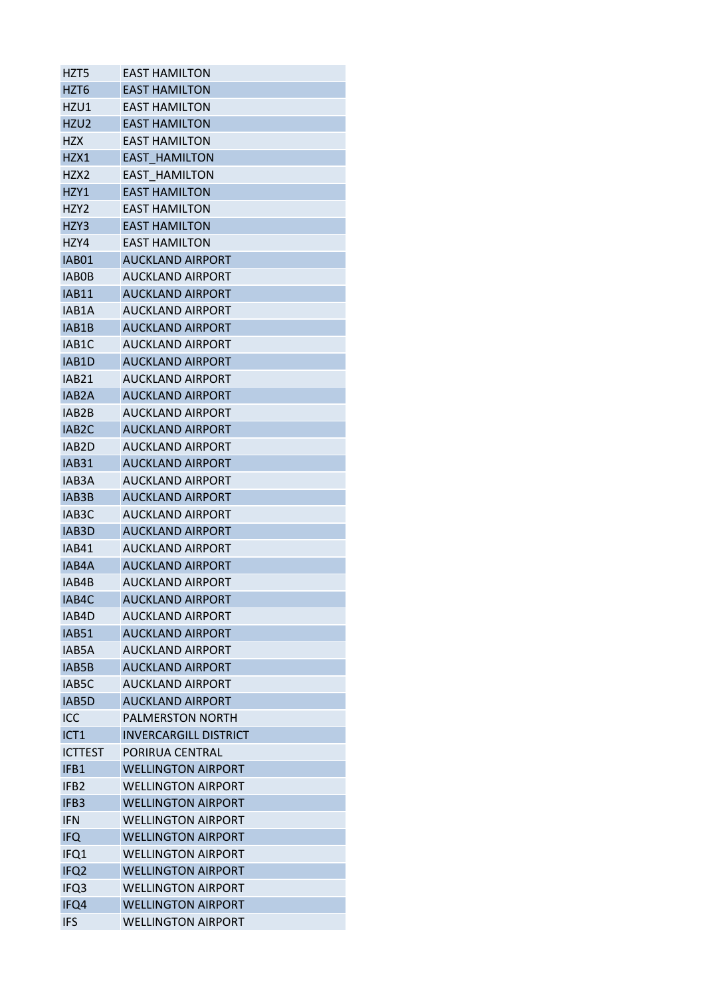| HZT5                  | <b>EAST HAMILTON</b>                        |
|-----------------------|---------------------------------------------|
| HZT6                  | <b>EAST HAMILTON</b>                        |
| HZU1                  | <b>EAST HAMILTON</b>                        |
| HZU <sub>2</sub>      | <b>EAST HAMILTON</b>                        |
| <b>HZX</b>            | <b>EAST HAMILTON</b>                        |
| HZX1                  | <b>EAST HAMILTON</b>                        |
| HZX2                  | EAST HAMILTON                               |
| HZY1                  | <b>EAST HAMILTON</b>                        |
| HZY <sub>2</sub>      | <b>EAST HAMILTON</b>                        |
| HZY3                  | <b>EAST HAMILTON</b>                        |
| HZY4                  | <b>EAST HAMILTON</b>                        |
| IAB01                 | <b>AUCKLAND AIRPORT</b>                     |
| <b>IABOB</b>          | <b>AUCKLAND AIRPORT</b>                     |
| <b>IAB11</b>          | <b>AUCKLAND AIRPORT</b>                     |
| IAB1A                 | <b>AUCKLAND AIRPORT</b>                     |
| IAB1B                 | <b>AUCKLAND AIRPORT</b>                     |
| IAB1C                 | <b>AUCKLAND AIRPORT</b>                     |
| IAB1D                 | <b>AUCKLAND AIRPORT</b>                     |
| IAB <sub>21</sub>     | <b>AUCKLAND AIRPORT</b>                     |
| IAB <sub>2</sub> A    | <b>AUCKLAND AIRPORT</b>                     |
| IAB2B                 | AUCKLAND AIRPORT                            |
| IAB <sub>2</sub> C    | <b>AUCKLAND AIRPORT</b>                     |
| IAB2D                 | <b>AUCKLAND AIRPORT</b>                     |
| <b>IAB31</b>          | <b>AUCKLAND AIRPORT</b>                     |
| IAB <sub>3</sub> A    | <b>AUCKLAND AIRPORT</b>                     |
| IAB3B                 | <b>AUCKLAND AIRPORT</b>                     |
| IAB <sub>3</sub> C    | <b>AUCKLAND AIRPORT</b>                     |
|                       |                                             |
| IAB3D<br><b>IAB41</b> | AUCKLAND AIRPORT<br><b>AUCKLAND AIRPORT</b> |
|                       |                                             |
| IAB4A                 | <b>AUCKLAND AIRPORT</b>                     |
| IAB4B                 | <b>AUCKLAND AIRPORT</b>                     |
| IAB4C                 | <b>AUCKLAND AIRPORT</b>                     |
| IAB4D                 | <b>AUCKLAND AIRPORT</b>                     |
| <b>IAB51</b>          | <b>AUCKLAND AIRPORT</b>                     |
| IAB5A                 | <b>AUCKLAND AIRPORT</b>                     |
| IAB5B                 | <b>AUCKLAND AIRPORT</b>                     |
| IAB5C                 | <b>AUCKLAND AIRPORT</b>                     |
| IAB5D                 | <b>AUCKLAND AIRPORT</b>                     |
| ICC                   | <b>PALMERSTON NORTH</b>                     |
| ICT <sub>1</sub>      | <b>INVERCARGILL DISTRICT</b>                |
| <b>ICTTEST</b>        | PORIRUA CENTRAL                             |
| IFB1                  | <b>WELLINGTON AIRPORT</b>                   |
| IFB <sub>2</sub>      | <b>WELLINGTON AIRPORT</b>                   |
| IFB <sub>3</sub>      | <b>WELLINGTON AIRPORT</b>                   |
| <b>IFN</b>            | <b>WELLINGTON AIRPORT</b>                   |
| <b>IFQ</b>            | <b>WELLINGTON AIRPORT</b>                   |
| IFQ1                  | <b>WELLINGTON AIRPORT</b>                   |
| IFQ <sub>2</sub>      | <b>WELLINGTON AIRPORT</b>                   |
| IFQ3                  | <b>WELLINGTON AIRPORT</b>                   |
| IFQ4                  | <b>WELLINGTON AIRPORT</b>                   |
| <b>IFS</b>            | <b>WELLINGTON AIRPORT</b>                   |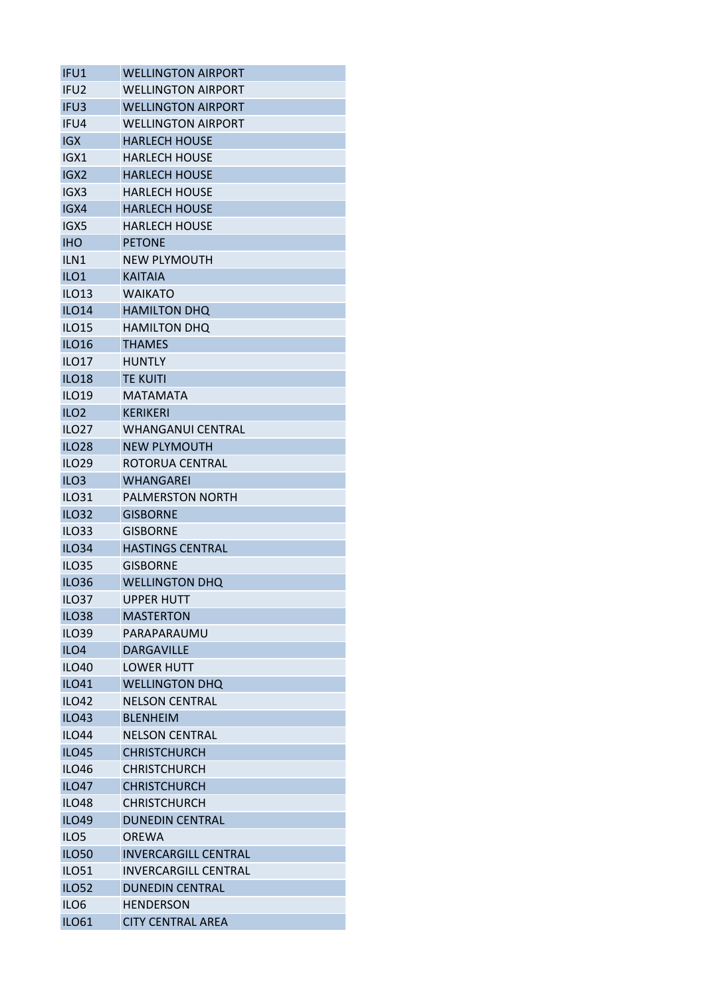| IFU1             | <b>WELLINGTON AIRPORT</b>   |
|------------------|-----------------------------|
| IFU <sub>2</sub> | <b>WELLINGTON AIRPORT</b>   |
| IFU <sub>3</sub> | <b>WELLINGTON AIRPORT</b>   |
| IFU4             | <b>WELLINGTON AIRPORT</b>   |
| <b>IGX</b>       | <b>HARLECH HOUSE</b>        |
| IGX1             | <b>HARLECH HOUSE</b>        |
| IGX <sub>2</sub> | <b>HARLECH HOUSE</b>        |
| IGX3             | <b>HARLECH HOUSE</b>        |
| IGX4             | <b>HARLECH HOUSE</b>        |
| IGX5             | <b>HARLECH HOUSE</b>        |
| <b>IHO</b>       | <b>PETONE</b>               |
| ILN <sub>1</sub> | <b>NEW PLYMOUTH</b>         |
| ILO <sub>1</sub> | <b>KAITAIA</b>              |
| <b>ILO13</b>     | <b>WAIKATO</b>              |
| <b>ILO14</b>     | <b>HAMILTON DHQ</b>         |
| <b>ILO15</b>     | <b>HAMILTON DHQ</b>         |
| <b>ILO16</b>     | <b>THAMES</b>               |
| <b>ILO17</b>     | <b>HUNTLY</b>               |
| <b>ILO18</b>     | <b>TE KUITI</b>             |
| <b>ILO19</b>     | MATAMATA                    |
| ILO <sub>2</sub> | <b>KERIKERI</b>             |
| <b>ILO27</b>     | <b>WHANGANUI CENTRAL</b>    |
|                  | <b>NEW PLYMOUTH</b>         |
| <b>ILO28</b>     |                             |
| <b>ILO29</b>     | ROTORUA CENTRAL             |
| ILO <sub>3</sub> | <b>WHANGAREI</b>            |
| <b>ILO31</b>     | <b>PALMERSTON NORTH</b>     |
| <b>ILO32</b>     | <b>GISBORNE</b>             |
| <b>ILO33</b>     | <b>GISBORNE</b>             |
| <b>ILO34</b>     | <b>HASTINGS CENTRAL</b>     |
| <b>ILO35</b>     | <b>GISBORNE</b>             |
| <b>ILO36</b>     | <b>WELLINGTON DHQ</b>       |
| ILO37            | <b>UPPER HUTT</b>           |
| <b>ILO38</b>     | <b>MASTERTON</b>            |
| <b>ILO39</b>     | PARAPARAUMU                 |
| ILO <sub>4</sub> | <b>DARGAVILLE</b>           |
| <b>ILO40</b>     | <b>LOWER HUTT</b>           |
| <b>ILO41</b>     | <b>WELLINGTON DHQ</b>       |
| <b>ILO42</b>     | <b>NELSON CENTRAL</b>       |
| <b>ILO43</b>     | <b>BLENHEIM</b>             |
| <b>ILO44</b>     | <b>NELSON CENTRAL</b>       |
| <b>ILO45</b>     | <b>CHRISTCHURCH</b>         |
| <b>ILO46</b>     | <b>CHRISTCHURCH</b>         |
| <b>ILO47</b>     | <b>CHRISTCHURCH</b>         |
| <b>ILO48</b>     | <b>CHRISTCHURCH</b>         |
| <b>ILO49</b>     | <b>DUNEDIN CENTRAL</b>      |
| ILO <sub>5</sub> | <b>OREWA</b>                |
| <b>ILO50</b>     | <b>INVERCARGILL CENTRAL</b> |
| <b>ILO51</b>     | <b>INVERCARGILL CENTRAL</b> |
| <b>ILO52</b>     | <b>DUNEDIN CENTRAL</b>      |
| ILO <sub>6</sub> | <b>HENDERSON</b>            |
| <b>ILO61</b>     | <b>CITY CENTRAL AREA</b>    |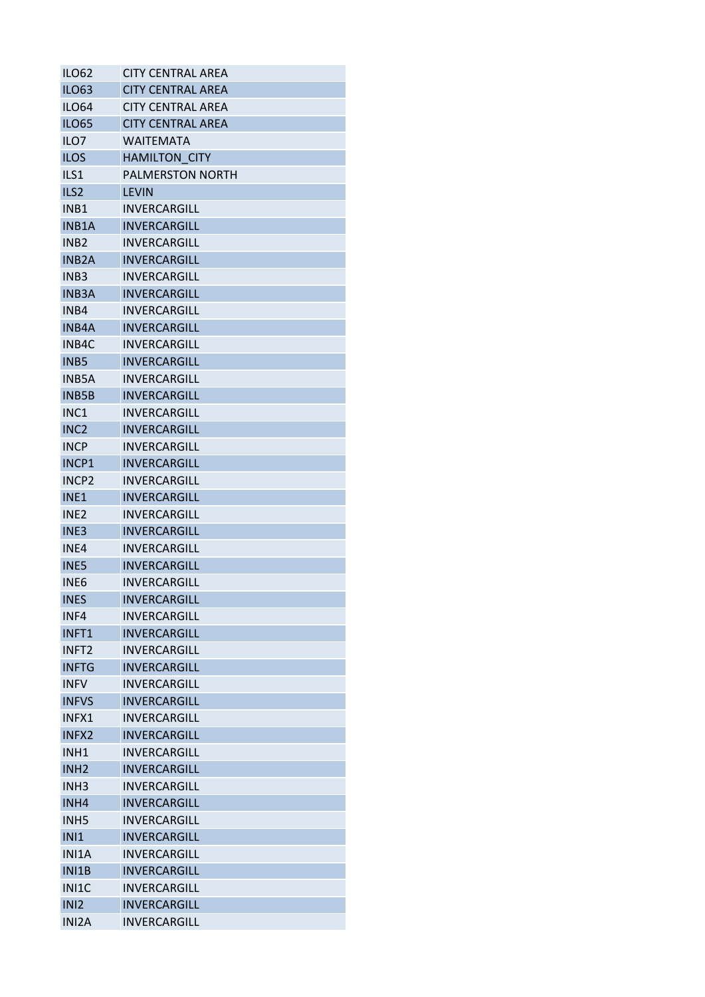| <b>ILO62</b>      | <b>CITY CENTRAL AREA</b> |
|-------------------|--------------------------|
| <b>ILO63</b>      | <b>CITY CENTRAL AREA</b> |
| ILO64             | <b>CITY CENTRAL AREA</b> |
| <b>ILO65</b>      | <b>CITY CENTRAL AREA</b> |
| ILO <sub>7</sub>  | <b>WAITEMATA</b>         |
| <b>ILOS</b>       | <b>HAMILTON CITY</b>     |
| ILS1              | <b>PALMERSTON NORTH</b>  |
| ILS <sub>2</sub>  | <b>LEVIN</b>             |
| INB1              | INVERCARGILL             |
| INB1A             | <b>INVERCARGILL</b>      |
| INB <sub>2</sub>  | INVERCARGILL             |
| <b>INB2A</b>      | <b>INVERCARGILL</b>      |
| INB <sub>3</sub>  | INVERCARGILL             |
| <b>INB3A</b>      | <b>INVERCARGILL</b>      |
| INB4              | INVERCARGILL             |
| <b>INB4A</b>      | <b>INVERCARGILL</b>      |
| INB4C             | INVERCARGILL             |
| INB <sub>5</sub>  | <b>INVERCARGILL</b>      |
| <b>INB5A</b>      | <b>INVERCARGILL</b>      |
| <b>INB5B</b>      | <b>INVERCARGILL</b>      |
| INC <sub>1</sub>  | <b>INVERCARGILL</b>      |
| INC <sub>2</sub>  | <b>INVERCARGILL</b>      |
| <b>INCP</b>       | INVERCARGILL             |
| INCP1             | <b>INVERCARGILL</b>      |
| INCP <sub>2</sub> | INVERCARGILL             |
| INE <sub>1</sub>  | <b>INVERCARGILL</b>      |
| INE <sub>2</sub>  | INVERCARGILL             |
| INE <sub>3</sub>  | <b>INVERCARGILL</b>      |
| INE4              | <b>INVERCARGILL</b>      |
| <b>INE5</b>       | <b>INVERCARGILL</b>      |
| INE <sub>6</sub>  | INVERCARGILL             |
| <b>INES</b>       | INVERCARGILL             |
| INF4              | INVERCARGILL             |
| INFT1             | INVERCARGILL             |
| INFT <sub>2</sub> | INVERCARGILL             |
| <b>INFTG</b>      | INVERCARGILL             |
| <b>INFV</b>       | <b>INVERCARGILL</b>      |
| <b>INFVS</b>      | <b>INVERCARGILL</b>      |
| INFX1             | <b>INVERCARGILL</b>      |
| INFX2             | <b>INVERCARGILL</b>      |
| INH <sub>1</sub>  | INVERCARGILL             |
| INH <sub>2</sub>  | <b>INVERCARGILL</b>      |
| INH <sub>3</sub>  | INVERCARGILL             |
| INH4              | <b>INVERCARGILL</b>      |
| INH <sub>5</sub>  | INVERCARGILL             |
| <b>INI1</b>       | <b>INVERCARGILL</b>      |
| INI1A             | INVERCARGILL             |
| INI1B             | <b>INVERCARGILL</b>      |
| INI1C             | INVERCARGILL             |
| IN <sub>12</sub>  | <b>INVERCARGILL</b>      |
| INI2A             | INVERCARGILL             |
|                   |                          |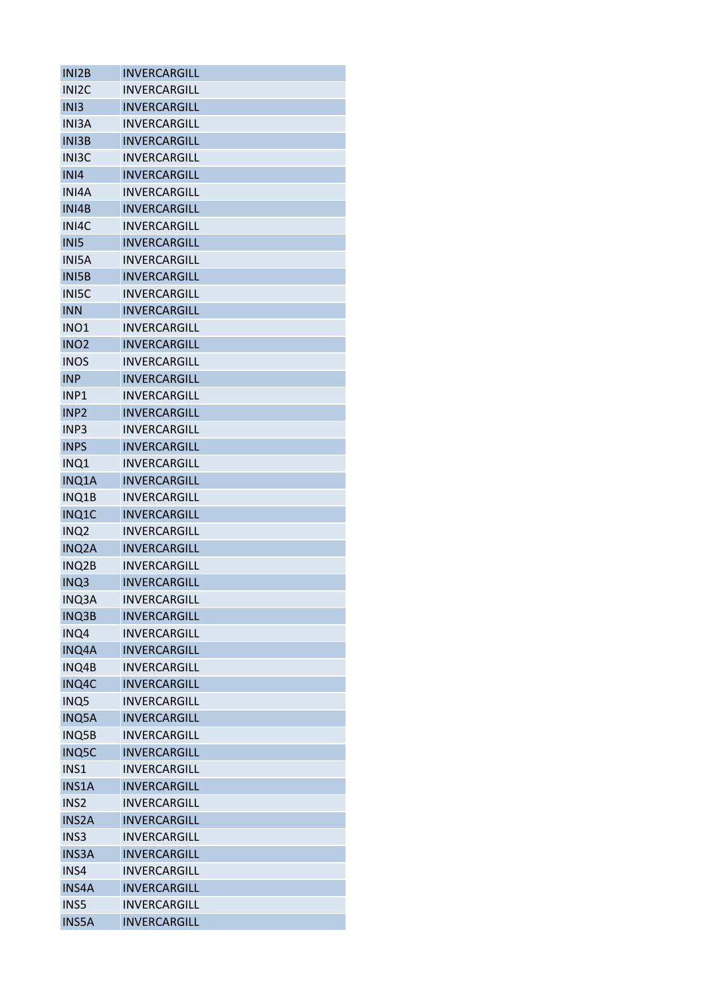| INI2B              | <b>INVERCARGILL</b> |
|--------------------|---------------------|
| INI <sub>2</sub> C | <b>INVERCARGILL</b> |
| IN <sub>13</sub>   | <b>INVERCARGILL</b> |
| <b>INI3A</b>       | INVERCARGILL        |
| <b>INI3B</b>       | INVERCARGILL        |
| INI3C              | INVERCARGILL        |
| IN <sub>14</sub>   | <b>INVERCARGILL</b> |
| INI4A              | <b>INVERCARGILL</b> |
| INI4B              | INVERCARGILL        |
| INI4C              | <b>INVERCARGILL</b> |
| INI5               | <b>INVERCARGILL</b> |
| <b>INISA</b>       | INVERCARGILL        |
| <b>INISB</b>       | INVERCARGILL        |
| <b>INISC</b>       | <b>INVERCARGILL</b> |
| <b>INN</b>         | <b>INVERCARGILL</b> |
| INO <sub>1</sub>   | INVERCARGILL        |
| INO <sub>2</sub>   | INVERCARGILL        |
| <b>INOS</b>        | INVERCARGILL        |
| <b>INP</b>         | INVERCARGILL        |
| INP <sub>1</sub>   | <b>INVERCARGILL</b> |
| INP <sub>2</sub>   | <b>INVERCARGILL</b> |
| INP <sub>3</sub>   | INVERCARGILL        |
| <b>INPS</b>        | <b>INVERCARGILL</b> |
|                    |                     |
| INQ1               | INVERCARGILL        |
| INQ1A              | INVERCARGILL        |
| INQ1B              | INVERCARGILL        |
| INQ1C              | INVERCARGILL        |
| INQ <sub>2</sub>   | INVERCARGILL        |
| INQ2A              | INVERCARGILL        |
| INQ2B              | <b>INVERCARGILL</b> |
| INQ3               | <b>INVERCARGILL</b> |
| INQ3A              | INVERCARGILL        |
| <b>INQ3B</b>       | INVERCARGILL        |
| INQ4               | INVERCARGILL        |
| <b>INQ4A</b>       | INVERCARGILL        |
| INQ4B              | INVERCARGILL        |
| INQ4C              | <b>INVERCARGILL</b> |
| INQ5               | INVERCARGILL        |
| INQ5A              | <b>INVERCARGILL</b> |
| INQ5B              | INVERCARGILL        |
| <b>INQ5C</b>       | INVERCARGILL        |
| INS1               | INVERCARGILL        |
| <b>INS1A</b>       | INVERCARGILL        |
| INS <sub>2</sub>   | INVERCARGILL        |
| <b>INS2A</b>       | INVERCARGILL        |
| INS3               | INVERCARGILL        |
| <b>INS3A</b>       | INVERCARGILL        |
| INS4               | INVERCARGILL        |
| <b>INS4A</b>       | INVERCARGILL        |
| INS5               | INVERCARGILL        |
| <b>INS5A</b>       | INVERCARGILL        |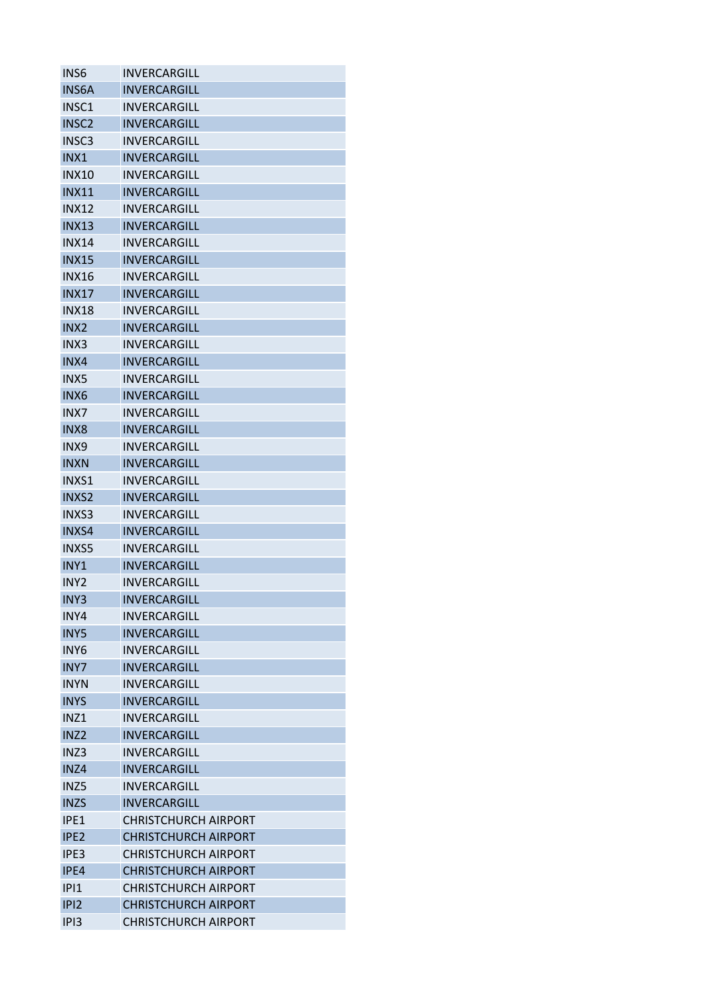| <b>INVERCARGILL</b>         |
|-----------------------------|
| <b>INVERCARGILL</b>         |
| INVERCARGILL                |
| INVERCARGILL                |
| INVERCARGILL                |
| INVERCARGILL                |
| INVERCARGILL                |
| INVERCARGILL                |
| <b>INVERCARGILL</b>         |
| <b>INVERCARGILL</b>         |
| INVERCARGILL                |
| <b>INVERCARGILL</b>         |
| INVERCARGILL                |
| <b>INVERCARGILL</b>         |
| <b>INVERCARGILL</b>         |
| INVERCARGILL                |
| INVERCARGILL                |
| INVERCARGILL                |
| <b>INVERCARGILL</b>         |
| INVERCARGILL                |
| <b>INVERCARGILL</b>         |
| INVERCARGILL                |
| INVERCARGILL                |
|                             |
| INVERCARGILL                |
| INVERCARGILL                |
| <b>INVERCARGILL</b>         |
| INVERCARGILL                |
| <b>INVERCARGILL</b>         |
| <b>INVERCARGILL</b>         |
| <b>INVERCARGILL</b>         |
| INVERCARGILL                |
| <b>INVERCARGILL</b>         |
| INVERCARGILL                |
| <b>INVERCARGILL</b>         |
| <b>INVERCARGILL</b>         |
| <b>INVERCARGILL</b>         |
| <b>INVERCARGILL</b>         |
| INVERCARGILL                |
| <b>INVERCARGILL</b>         |
| <b>INVERCARGILL</b>         |
| INVERCARGILL                |
| INVERCARGILL                |
| <b>INVERCARGILL</b>         |
| <b>INVERCARGILL</b>         |
| <b>CHRISTCHURCH AIRPORT</b> |
| <b>CHRISTCHURCH AIRPORT</b> |
| <b>CHRISTCHURCH AIRPORT</b> |
| <b>CHRISTCHURCH AIRPORT</b> |
| <b>CHRISTCHURCH AIRPORT</b> |
| <b>CHRISTCHURCH AIRPORT</b> |
| <b>CHRISTCHURCH AIRPORT</b> |
|                             |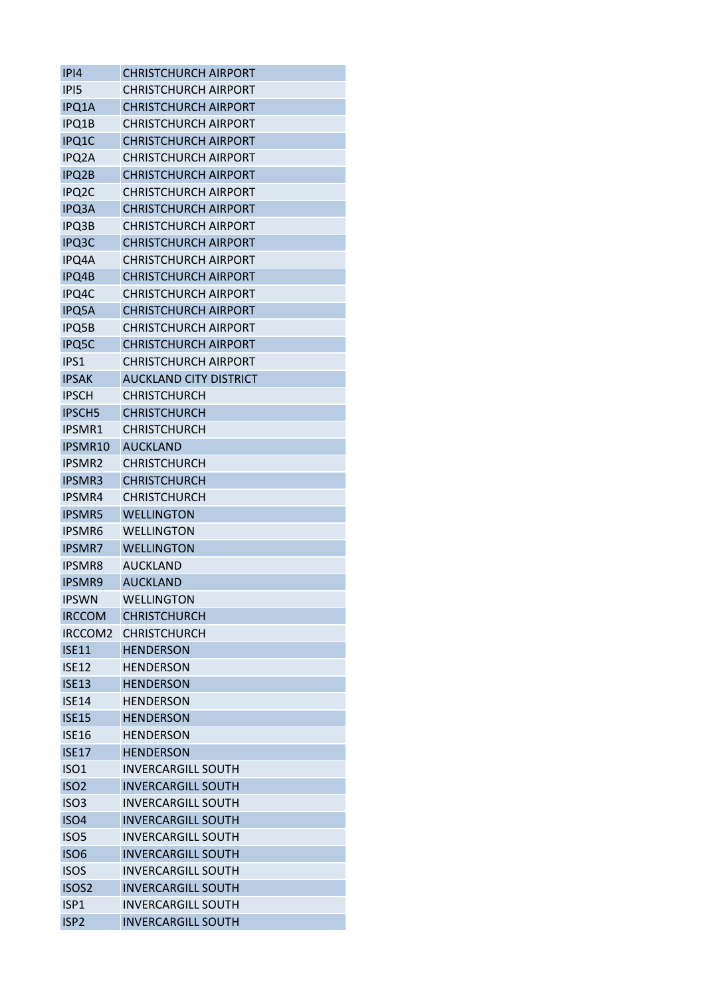| IPI4               | <b>CHRISTCHURCH AIRPORT</b>   |
|--------------------|-------------------------------|
| IPI5               | <b>CHRISTCHURCH AIRPORT</b>   |
| IPQ1A              | <b>CHRISTCHURCH AIRPORT</b>   |
| IPQ1B              | <b>CHRISTCHURCH AIRPORT</b>   |
| IPQ1C              | <b>CHRISTCHURCH AIRPORT</b>   |
| IPQ2A              | <b>CHRISTCHURCH AIRPORT</b>   |
| <b>IPQ2B</b>       | <b>CHRISTCHURCH AIRPORT</b>   |
| IPQ <sub>2</sub> C | <b>CHRISTCHURCH AIRPORT</b>   |
| <b>IPQ3A</b>       | <b>CHRISTCHURCH AIRPORT</b>   |
| <b>IPQ3B</b>       | <b>CHRISTCHURCH AIRPORT</b>   |
| IPQ3C              | <b>CHRISTCHURCH AIRPORT</b>   |
| IPQ4A              | <b>CHRISTCHURCH AIRPORT</b>   |
| IPQ4B              | <b>CHRISTCHURCH AIRPORT</b>   |
| IPQ4C              | <b>CHRISTCHURCH AIRPORT</b>   |
| <b>IPQ5A</b>       | <b>CHRISTCHURCH AIRPORT</b>   |
| IPQ5B              | <b>CHRISTCHURCH AIRPORT</b>   |
| IPQ5C              | <b>CHRISTCHURCH AIRPORT</b>   |
| IPS1               | <b>CHRISTCHURCH AIRPORT</b>   |
| <b>IPSAK</b>       | <b>AUCKLAND CITY DISTRICT</b> |
| <b>IPSCH</b>       | <b>CHRISTCHURCH</b>           |
| <b>IPSCH5</b>      | <b>CHRISTCHURCH</b>           |
| <b>IPSMR1</b>      | <b>CHRISTCHURCH</b>           |
| IPSMR10            | <b>AUCKLAND</b>               |
| <b>IPSMR2</b>      | <b>CHRISTCHURCH</b>           |
| <b>IPSMR3</b>      | <b>CHRISTCHURCH</b>           |
| IPSMR4             | <b>CHRISTCHURCH</b>           |
| <b>IPSMR5</b>      | <b>WELLINGTON</b>             |
| <b>IPSMR6</b>      | WELLINGTON                    |
| <b>IPSMR7</b>      | <b>WELLINGTON</b>             |
| <b>IPSMR8</b>      | <b>AUCKLAND</b>               |
| <b>IPSMR9</b>      | <b>AUCKLAND</b>               |
| <b>IPSWN</b>       | <b>WELLINGTON</b>             |
| <b>IRCCOM</b>      | <b>CHRISTCHURCH</b>           |
| IRCCOM2            | <b>CHRISTCHURCH</b>           |
| <b>ISF11</b>       | <b>HENDERSON</b>              |
| <b>ISE12</b>       | <b>HENDERSON</b>              |
| <b>ISE13</b>       | <b>HENDERSON</b>              |
| <b>ISE14</b>       | <b>HENDERSON</b>              |
| <b>ISE15</b>       | <b>HENDERSON</b>              |
| <b>ISE16</b>       | <b>HENDERSON</b>              |
|                    |                               |
| <b>ISE17</b>       | <b>HENDERSON</b>              |
| <b>ISO1</b>        | <b>INVERCARGILL SOUTH</b>     |
| ISO <sub>2</sub>   | <b>INVERCARGILL SOUTH</b>     |
| ISO <sub>3</sub>   | <b>INVERCARGILL SOUTH</b>     |
| ISO <sub>4</sub>   | <b>INVERCARGILL SOUTH</b>     |
| ISO <sub>5</sub>   | <b>INVERCARGILL SOUTH</b>     |
| <b>ISO6</b>        | <b>INVERCARGILL SOUTH</b>     |
| <b>ISOS</b>        | <b>INVERCARGILL SOUTH</b>     |
| ISOS <sub>2</sub>  | <b>INVERCARGILL SOUTH</b>     |
| ISP1               | <b>INVERCARGILL SOUTH</b>     |
| ISP <sub>2</sub>   | <b>INVERCARGILL SOUTH</b>     |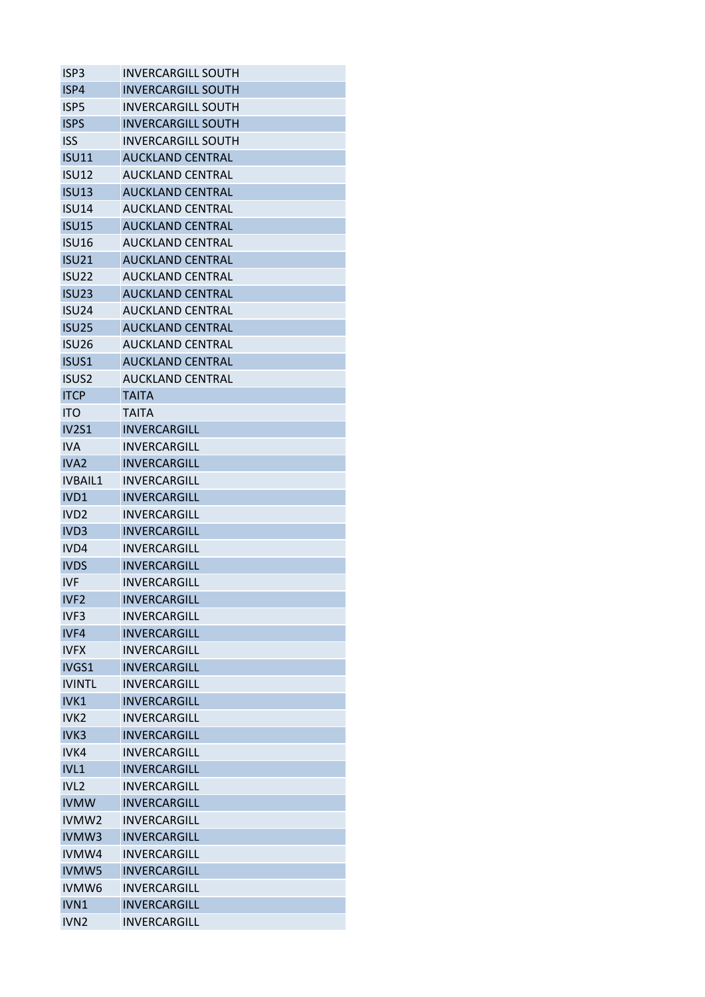| ISP <sub>3</sub>  | <b>INVERCARGILL SOUTH</b> |
|-------------------|---------------------------|
| ISP4              | <b>INVERCARGILL SOUTH</b> |
| ISP <sub>5</sub>  | <b>INVERCARGILL SOUTH</b> |
| <b>ISPS</b>       | <b>INVERCARGILL SOUTH</b> |
| <b>ISS</b>        | <b>INVERCARGILL SOUTH</b> |
| <b>ISU11</b>      | <b>AUCKLAND CENTRAL</b>   |
| <b>ISU12</b>      | <b>AUCKLAND CENTRAL</b>   |
| <b>ISU13</b>      | <b>AUCKLAND CENTRAL</b>   |
| <b>ISU14</b>      | <b>AUCKLAND CENTRAL</b>   |
| <b>ISU15</b>      | <b>AUCKLAND CENTRAL</b>   |
| <b>ISU16</b>      | <b>AUCKLAND CENTRAL</b>   |
| <b>ISU21</b>      | <b>AUCKLAND CENTRAL</b>   |
| <b>ISU22</b>      | <b>AUCKLAND CENTRAL</b>   |
| <b>ISU23</b>      | <b>AUCKLAND CENTRAL</b>   |
| <b>ISU24</b>      | <b>AUCKLAND CENTRAL</b>   |
| <b>ISU25</b>      | <b>AUCKLAND CENTRAL</b>   |
| <b>ISU26</b>      | <b>AUCKLAND CENTRAL</b>   |
| <b>ISUS1</b>      | <b>AUCKLAND CENTRAL</b>   |
| <b>ISUS2</b>      | <b>AUCKLAND CENTRAL</b>   |
| <b>ITCP</b>       | TAITA                     |
| <b>ITO</b>        | TAITA                     |
| <b>IV2S1</b>      | INVERCARGILL              |
| IVA               | INVERCARGILL              |
| IVA <sub>2</sub>  | <b>INVERCARGILL</b>       |
| IVBAIL1           | INVERCARGILL              |
| IVD1              | <b>INVERCARGILL</b>       |
| IVD2              | <b>INVERCARGILL</b>       |
| IVD <sub>3</sub>  | <b>INVERCARGILL</b>       |
| IVD4              | INVERCARGILL              |
| <b>IVDS</b>       | <b>INVERCARGILL</b>       |
| <b>IVF</b>        | INVERCARGILL              |
| IVF <sub>2</sub>  | <b>INVERCARGILL</b>       |
| IVF <sub>3</sub>  | INVERCARGILL              |
| IVF4              | INVERCARGILL              |
| <b>IVFX</b>       | INVERCARGILL              |
| IVGS1             | <b>INVERCARGILL</b>       |
| <b>IVINTL</b>     | <b>INVERCARGILL</b>       |
| IVK1              | INVERCARGILL              |
| IVK <sub>2</sub>  | <b>INVERCARGILL</b>       |
| IVK <sub>3</sub>  | INVERCARGILL              |
| IVK4              | INVERCARGILL              |
| IVL1              | INVERCARGILL              |
| IVL <sub>2</sub>  | INVERCARGILL              |
| <b>IVMW</b>       | INVERCARGILL              |
| IVMW <sub>2</sub> | <b>INVERCARGILL</b>       |
| IVMW3             | <b>INVERCARGILL</b>       |
| IVMW4             | INVERCARGILL              |
| <b>IVMW5</b>      | INVERCARGILL              |
| IVMW <sub>6</sub> | INVERCARGILL              |
| IVN1              | <b>INVERCARGILL</b>       |
| IVN <sub>2</sub>  | INVERCARGILL              |
|                   |                           |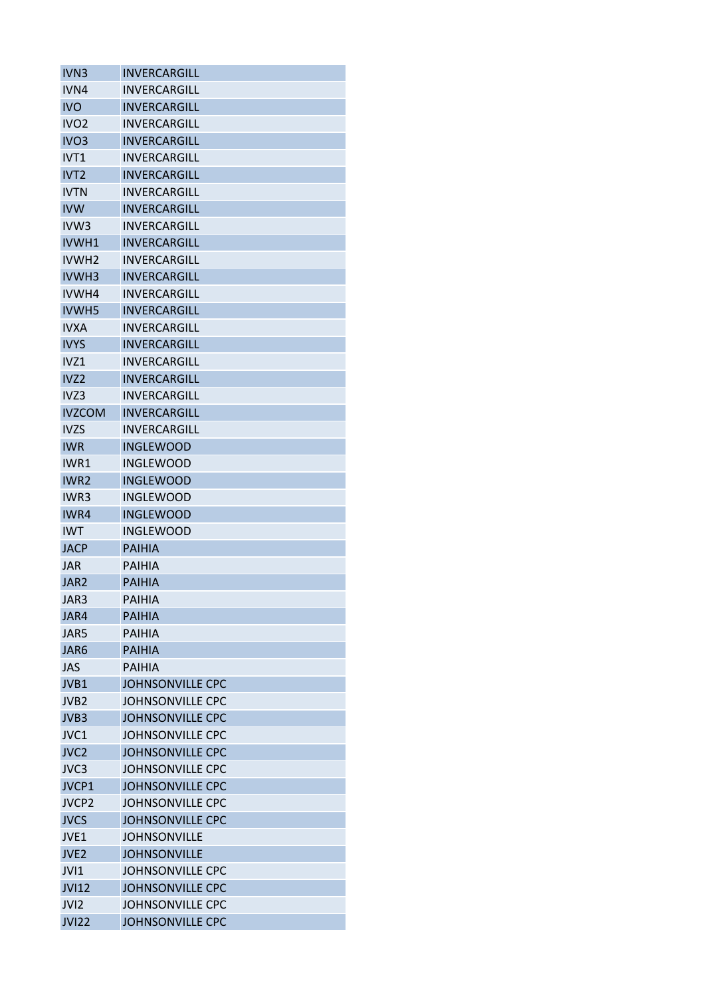| IVN <sub>3</sub>  | <b>INVERCARGILL</b>     |
|-------------------|-------------------------|
| IVN4              | INVERCARGILL            |
| <b>IVO</b>        | <b>INVERCARGILL</b>     |
| IVO <sub>2</sub>  | <b>INVERCARGILL</b>     |
| IVO <sub>3</sub>  | INVERCARGILL            |
| IVT1              | INVERCARGILL            |
| IVT <sub>2</sub>  | <b>INVERCARGILL</b>     |
| <b>IVTN</b>       | INVERCARGILL            |
| <b>IVW</b>        | INVERCARGILL            |
| IVW <sub>3</sub>  | INVERCARGILL            |
| IVWH1             | <b>INVERCARGILL</b>     |
| IVWH <sub>2</sub> | <b>INVERCARGILL</b>     |
| IVWH3             | INVERCARGILL            |
| IVWH4             | INVERCARGILL            |
| <b>IVWH5</b>      | <b>INVERCARGILL</b>     |
| <b>IVXA</b>       | <b>INVERCARGILL</b>     |
| <b>IVYS</b>       | INVERCARGILL            |
| IVZ1              | INVERCARGILL            |
| IVZ <sub>2</sub>  | INVERCARGILL            |
| IVZ3              | INVERCARGILL            |
| <b>IVZCOM</b>     | <b>INVERCARGILL</b>     |
| <b>IVZS</b>       | INVERCARGILL            |
|                   |                         |
| <b>IWR</b>        | INGLEWOOD               |
| IWR1              | INGLEWOOD               |
| IWR <sub>2</sub>  | <b>INGLEWOOD</b>        |
| IWR3              | <b>INGLEWOOD</b>        |
| IWR4              | <b>INGLEWOOD</b>        |
| <b>IWT</b>        | INGLEWOOD               |
| <b>JACP</b>       | <b>PAIHIA</b>           |
| <b>JAR</b>        | PAIHIA                  |
| JAR <sub>2</sub>  | <b>PAIHIA</b>           |
| JAR3              | <b>PAIHIA</b>           |
| JAR4              | PAIHIA                  |
| JAR5              | <b>PAIHIA</b>           |
| JAR <sub>6</sub>  | <b>PAIHIA</b>           |
| <b>JAS</b>        | <b>PAIHIA</b>           |
| JVB1              | <b>JOHNSONVILLE CPC</b> |
| JVB <sub>2</sub>  | <b>JOHNSONVILLE CPC</b> |
| JVB3              | <b>JOHNSONVILLE CPC</b> |
| JVC1              | JOHNSONVILLE CPC        |
| JVC <sub>2</sub>  | <b>JOHNSONVILLE CPC</b> |
| JVC3              | <b>JOHNSONVILLE CPC</b> |
| JVCP1             | <b>JOHNSONVILLE CPC</b> |
| JVCP <sub>2</sub> | <b>JOHNSONVILLE CPC</b> |
| <b>JVCS</b>       | <b>JOHNSONVILLE CPC</b> |
| JVE <sub>1</sub>  | <b>JOHNSONVILLE</b>     |
| JVE <sub>2</sub>  | <b>JOHNSONVILLE</b>     |
| JVI1              | <b>JOHNSONVILLE CPC</b> |
| <b>JVI12</b>      | <b>JOHNSONVILLE CPC</b> |
| JVI <sub>2</sub>  | <b>JOHNSONVILLE CPC</b> |
| <b>JVI22</b>      | <b>JOHNSONVILLE CPC</b> |
|                   |                         |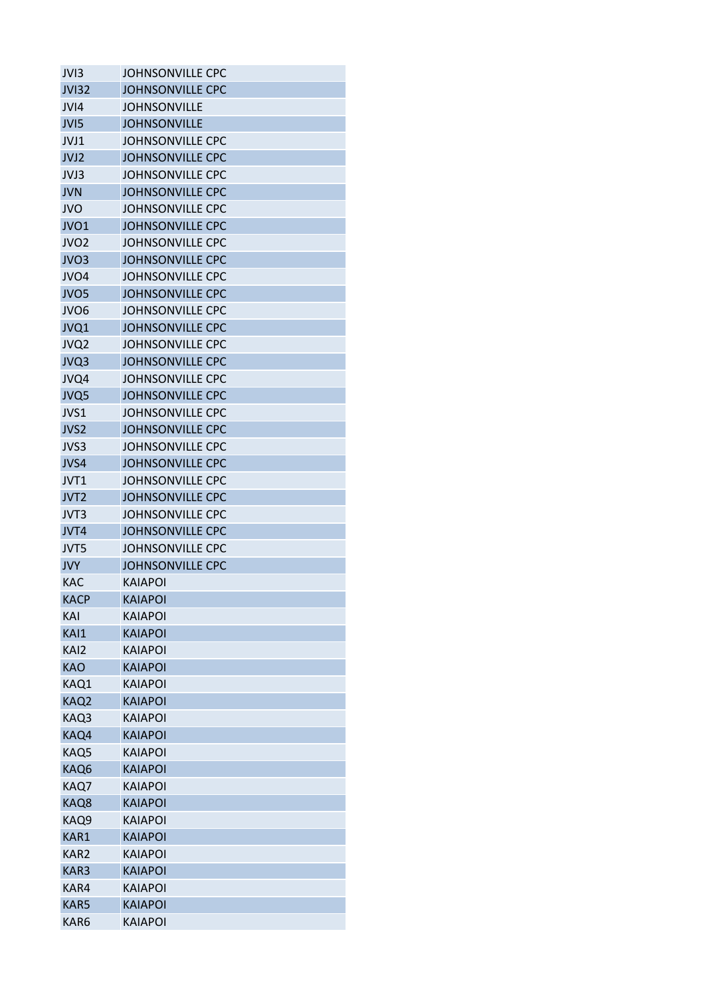| JVI3             | <b>JOHNSONVILLE CPC</b> |
|------------------|-------------------------|
| <b>JVI32</b>     | <b>JOHNSONVILLE CPC</b> |
| JVI4             | <b>JOHNSONVILLE</b>     |
| JVI5             | <b>JOHNSONVILLE</b>     |
| JVJ1             | <b>JOHNSONVILLE CPC</b> |
| JVJ2             | <b>JOHNSONVILLE CPC</b> |
| JVJ3             | <b>JOHNSONVILLE CPC</b> |
| <b>JVN</b>       | <b>JOHNSONVILLE CPC</b> |
| <b>JVO</b>       | <b>JOHNSONVILLE CPC</b> |
| JVO1             | <b>JOHNSONVILLE CPC</b> |
| JVO <sub>2</sub> | JOHNSONVILLE CPC        |
| JVO <sub>3</sub> | <b>JOHNSONVILLE CPC</b> |
| JVO <sub>4</sub> | <b>JOHNSONVILLE CPC</b> |
| JVO <sub>5</sub> | <b>JOHNSONVILLE CPC</b> |
| JVO <sub>6</sub> | <b>JOHNSONVILLE CPC</b> |
| JVQ1             | <b>JOHNSONVILLE CPC</b> |
| JVQ2             | <b>JOHNSONVILLE CPC</b> |
| JVQ3             | <b>JOHNSONVILLE CPC</b> |
| JVQ4             | <b>JOHNSONVILLE CPC</b> |
| JVQ5             | <b>JOHNSONVILLE CPC</b> |
|                  |                         |
| JVS1             | <b>JOHNSONVILLE CPC</b> |
| JVS <sub>2</sub> | <b>JOHNSONVILLE CPC</b> |
| JVS3             | <b>JOHNSONVILLE CPC</b> |
| JVS4             | <b>JOHNSONVILLE CPC</b> |
| JVT <sub>1</sub> | <b>JOHNSONVILLE CPC</b> |
| JVT <sub>2</sub> | <b>JOHNSONVILLE CPC</b> |
| JVT3             | <b>JOHNSONVILLE CPC</b> |
| JVT4             | <b>JOHNSONVILLE CPC</b> |
| JVT5             | <b>JOHNSONVILLE CPC</b> |
| <b>JVY</b>       | <b>JOHNSONVILLE CPC</b> |
| <b>KAC</b>       | <b>KAIAPOI</b>          |
| <b>KACP</b>      | <b>KAIAPOI</b>          |
| KAI              | KAIAPOI                 |
| KAI1             | <b>KAIAPOI</b>          |
| KAI2             | <b>KAIAPOI</b>          |
| <b>KAO</b>       | <b>KAIAPOI</b>          |
| KAQ1             | <b>KAIAPOI</b>          |
| KAQ2             | <b>KAIAPOI</b>          |
| KAQ3             | <b>KAIAPOI</b>          |
| KAQ4             | <b>KAIAPOI</b>          |
| KAQ5             | <b>KAIAPOI</b>          |
| KAQ6             | <b>KAIAPOI</b>          |
| KAQ7             | <b>KAIAPOI</b>          |
| KAQ8             | <b>KAIAPOI</b>          |
| KAQ9             | <b>KAIAPOI</b>          |
| KAR1             | <b>KAIAPOI</b>          |
| KAR <sub>2</sub> | <b>KAIAPOI</b>          |
| KAR3             | <b>KAIAPOI</b>          |
| KAR4             | <b>KAIAPOI</b>          |
| KAR5             | <b>KAIAPOI</b>          |
| KAR6             | KAIAPOI                 |
|                  |                         |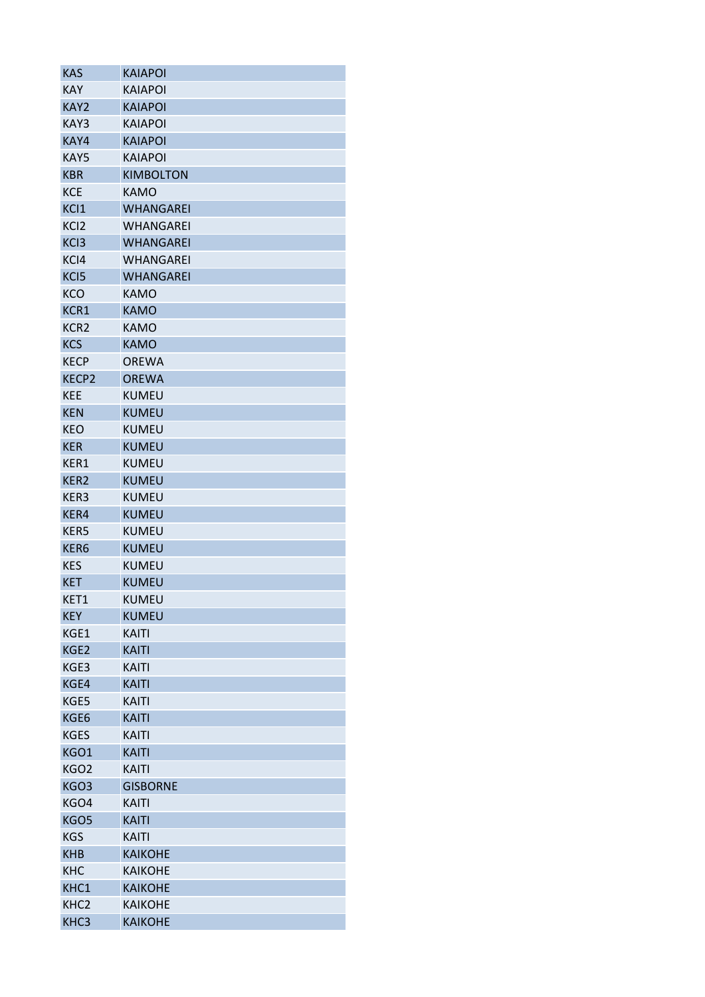| <b>KAS</b>       | <b>KAIAPOI</b>   |
|------------------|------------------|
| <b>KAY</b>       | <b>KAIAPOI</b>   |
| KAY2             | <b>KAIAPOI</b>   |
| KAY3             | <b>KAIAPOI</b>   |
| KAY4             | <b>KAIAPOI</b>   |
| KAY5             | <b>KAIAPOI</b>   |
| <b>KBR</b>       | <b>KIMBOLTON</b> |
| <b>KCE</b>       | <b>KAMO</b>      |
| KC <sub>1</sub>  | <b>WHANGAREI</b> |
| KC <sub>12</sub> | WHANGAREI        |
| KC <sub>13</sub> | <b>WHANGAREI</b> |
| KCI4             | WHANGAREI        |
| KC <sub>I5</sub> | <b>WHANGAREI</b> |
| KCO              | KAMO             |
| KCR1             | <b>KAMO</b>      |
| KCR <sub>2</sub> | <b>KAMO</b>      |
| <b>KCS</b>       | <b>KAMO</b>      |
| <b>KECP</b>      | <b>OREWA</b>     |
| <b>KECP2</b>     | <b>OREWA</b>     |
| <b>KEE</b>       | <b>KUMEU</b>     |
| <b>KEN</b>       | <b>KUMEU</b>     |
| <b>KEO</b>       | <b>KUMEU</b>     |
| <b>KER</b>       | <b>KUMEU</b>     |
| KER1             | <b>KUMEU</b>     |
| KER <sub>2</sub> | <b>KUMEU</b>     |
| KER3             | <b>KUMEU</b>     |
| KER4             | <b>KUMEU</b>     |
| KER5             | <b>KUMEU</b>     |
| KER6             | <b>KUMEU</b>     |
| KES              | <b>KUMEU</b>     |
| <b>KET</b>       | <b>KUMEU</b>     |
| KET1             | <b>KUMEU</b>     |
| <b>KEY</b>       | <b>KUMEU</b>     |
| KGE1             | KAITI            |
| KGE2             | <b>KAITI</b>     |
| KGE3             | <b>KAITI</b>     |
| KGE4             | <b>KAITI</b>     |
| KGE5             | KAITI            |
| KGE6             | <b>KAITI</b>     |
| <b>KGES</b>      | <b>KAITI</b>     |
| KGO1             | <b>KAITI</b>     |
| KGO <sub>2</sub> | KAITI            |
| KGO3             | <b>GISBORNE</b>  |
| KGO4             | <b>KAITI</b>     |
| KGO5             | <b>KAITI</b>     |
| <b>KGS</b>       | KAITI            |
| <b>KHB</b>       | <b>KAIKOHE</b>   |
| <b>KHC</b>       | <b>KAIKOHE</b>   |
| KHC1             | <b>KAIKOHE</b>   |
| KHC <sub>2</sub> | <b>KAIKOHE</b>   |
| KHC3             | <b>KAIKOHE</b>   |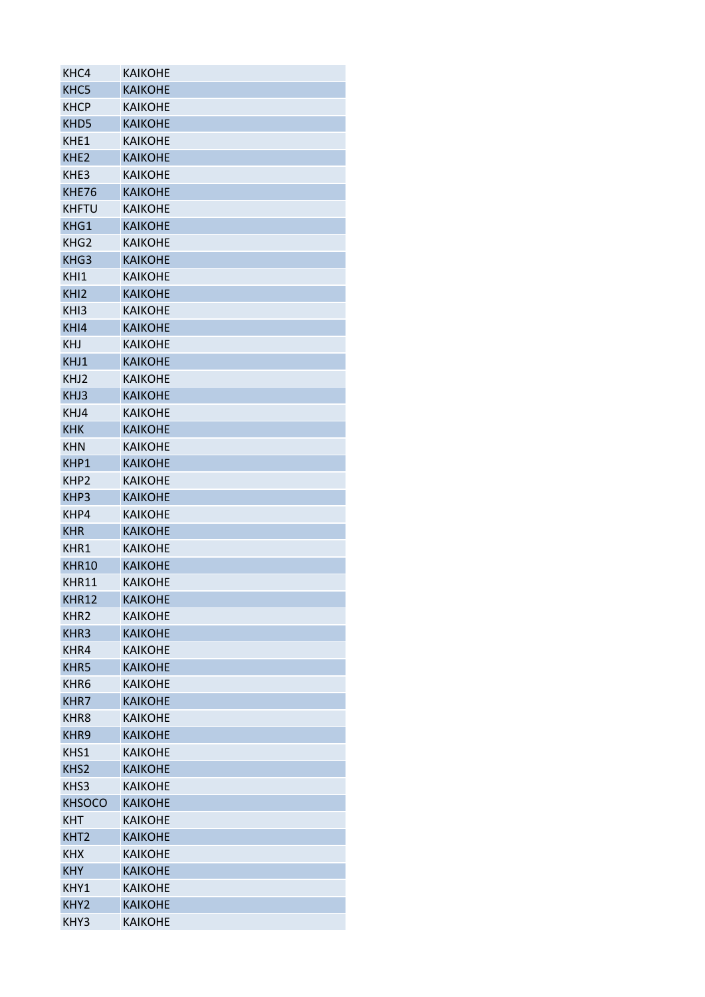| KHC4             | <b>KAIKOHE</b> |
|------------------|----------------|
| KHC5             | <b>KAIKOHE</b> |
| <b>KHCP</b>      | <b>KAIKOHE</b> |
| KHD <sub>5</sub> | <b>KAIKOHE</b> |
| KHE1             | <b>KAIKOHE</b> |
| KHE <sub>2</sub> | <b>KAIKOHE</b> |
| KHE3             | <b>KAIKOHE</b> |
| KHE76            | <b>KAIKOHE</b> |
| <b>KHFTU</b>     | <b>KAIKOHE</b> |
| KHG1             | <b>KAIKOHE</b> |
| KHG <sub>2</sub> | <b>KAIKOHE</b> |
| KHG3             | <b>KAIKOHE</b> |
| KHI1             | <b>KAIKOHE</b> |
| KHI <sub>2</sub> | <b>KAIKOHE</b> |
| KHI3             | <b>KAIKOHE</b> |
| KHI4             | <b>KAIKOHE</b> |
| <b>KHJ</b>       | <b>KAIKOHE</b> |
| KHJ1             | <b>KAIKOHE</b> |
| KHJ <sub>2</sub> | <b>KAIKOHE</b> |
|                  |                |
| KHJ3             | <b>KAIKOHE</b> |
| KHJ4             | <b>KAIKOHE</b> |
| <b>KHK</b>       | <b>KAIKOHE</b> |
| <b>KHN</b>       | <b>KAIKOHE</b> |
| KHP1             | <b>KAIKOHE</b> |
| KHP <sub>2</sub> | <b>KAIKOHE</b> |
| KHP3             | <b>KAIKOHE</b> |
| KHP4             | <b>KAIKOHE</b> |
| <b>KHR</b>       | <b>KAIKOHE</b> |
| KHR1             | <b>KAIKOHE</b> |
| <b>KHR10</b>     | <b>KAIKOHE</b> |
| KHR11            | <b>KAIKOHE</b> |
| KHR12            | <b>KAIKOHE</b> |
| KHR <sub>2</sub> | <b>KAIKOHE</b> |
| KHR3             | <b>KAIKOHE</b> |
| KHR4             | <b>KAIKOHE</b> |
| KHR5             | <b>KAIKOHE</b> |
| KHR <sub>6</sub> | <b>KAIKOHE</b> |
| KHR7             | <b>KAIKOHE</b> |
| KHR <sub>8</sub> | <b>KAIKOHE</b> |
| KHR9             | <b>KAIKOHE</b> |
| KHS1             | <b>KAIKOHE</b> |
| KHS <sub>2</sub> | <b>KAIKOHE</b> |
| KHS3             | <b>KAIKOHE</b> |
| <b>KHSOCO</b>    | <b>KAIKOHE</b> |
| <b>KHT</b>       | <b>KAIKOHE</b> |
| KHT <sub>2</sub> | <b>KAIKOHE</b> |
| <b>KHX</b>       | <b>KAIKOHE</b> |
| <b>KHY</b>       | <b>KAIKOHE</b> |
| KHY1             | <b>KAIKOHE</b> |
| KHY <sub>2</sub> | <b>KAIKOHE</b> |
| KHY3             | <b>KAIKOHE</b> |
|                  |                |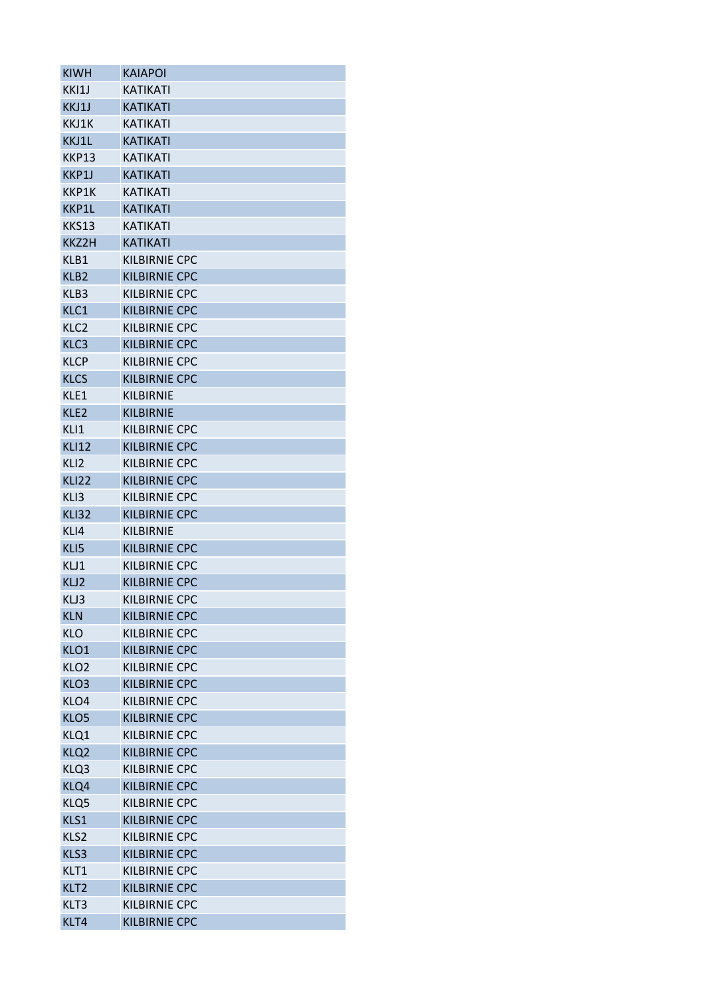| <b>KIWH</b>      | KAIAPOI              |
|------------------|----------------------|
| KKI1J            | KATIKATI             |
| KKJ1J            | <b>KATIKATI</b>      |
| KKJ1K            | <b>KATIKATI</b>      |
| KKJ1L            | <b>KATIKATI</b>      |
| KKP13            | <b>KATIKATI</b>      |
| KKP1J            | KATIKATI             |
| KKP1K            | <b>KATIKATI</b>      |
| KKP1L            | <b>KATIKATI</b>      |
| <b>KKS13</b>     | <b>KATIKATI</b>      |
| KKZ2H            | <b>KATIKATI</b>      |
| KLB1             | KILBIRNIE CPC        |
| KLB <sub>2</sub> | <b>KILBIRNIE CPC</b> |
| KLB3             | KILBIRNIE CPC        |
| KLC1             | KILBIRNIE CPC        |
| KLC <sub>2</sub> | KILBIRNIE CPC        |
| KLC3             | <b>KILBIRNIE CPC</b> |
| <b>KLCP</b>      | <b>KILBIRNIE CPC</b> |
| <b>KLCS</b>      | <b>KILBIRNIE CPC</b> |
| KLE1             | KILBIRNIF            |
| KLE <sub>2</sub> | <b>KILBIRNIE</b>     |
| KLI1             | KILBIRNIE CPC        |
| <b>KLI12</b>     | <b>KILBIRNIE CPC</b> |
| KLI2             | <b>KILBIRNIE CPC</b> |
| <b>KLI22</b>     | KILBIRNIE CPC        |
| KLI3             | KILBIRNIE CPC        |
| <b>KLI32</b>     | <b>KILBIRNIE CPC</b> |
| KLI4             | KILBIRNIF            |
| KLI5             | <b>KILBIRNIE CPC</b> |
| KLJ1             | KILBIRNIE CPC        |
| KLJ2             | KILBIRNIE CPC        |
| KLJ3             | <b>KILBIRNIE CPC</b> |
| <b>KLN</b>       | <b>KILBIRNIE CPC</b> |
| <b>KLO</b>       | KILBIRNIE CPC        |
| KLO1             | <b>KILBIRNIE CPC</b> |
| KLO <sub>2</sub> | <b>KILBIRNIE CPC</b> |
| KLO <sub>3</sub> | <b>KILBIRNIE CPC</b> |
| KLO4             | KILBIRNIE CPC        |
| KLO5             | <b>KILBIRNIE CPC</b> |
| KLQ1             | KILBIRNIE CPC        |
| KLQ <sub>2</sub> | <b>KILBIRNIE CPC</b> |
| KLQ3             | <b>KILBIRNIE CPC</b> |
| KLQ4             | <b>KILBIRNIE CPC</b> |
| KLQ5             | <b>KILBIRNIE CPC</b> |
| KLS1             | <b>KILBIRNIE CPC</b> |
| KLS <sub>2</sub> | <b>KILBIRNIE CPC</b> |
| KLS3             | <b>KILBIRNIE CPC</b> |
| KLT1             | KILBIRNIE CPC        |
| KLT <sub>2</sub> | <b>KILBIRNIE CPC</b> |
| KLT3             | <b>KILBIRNIE CPC</b> |
| KLT4             | <b>KILBIRNIE CPC</b> |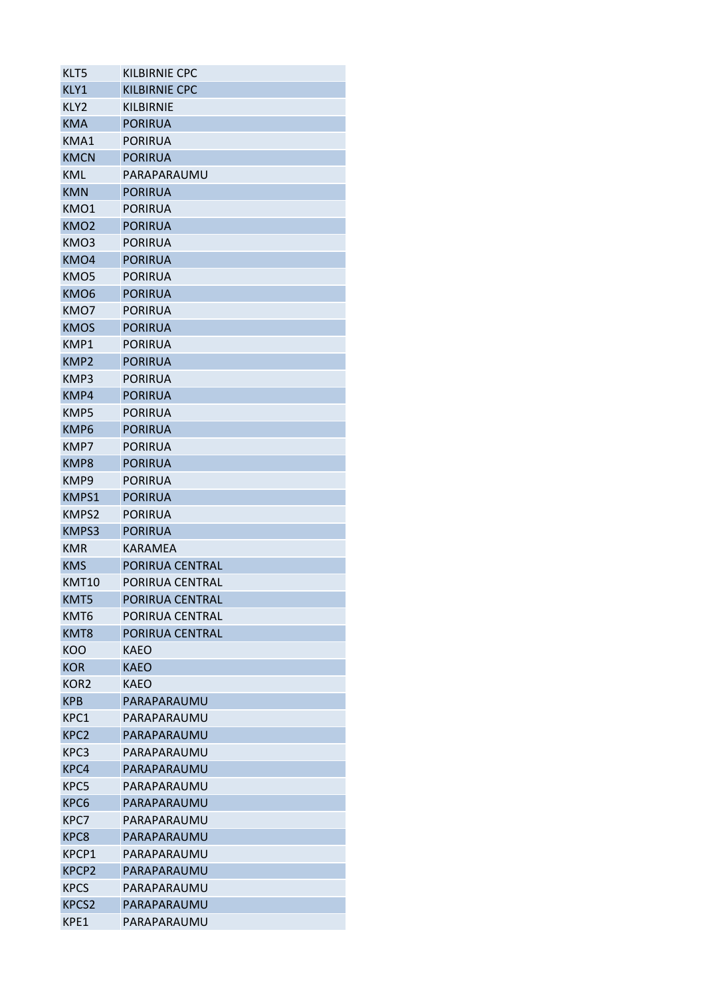| KLT5             | KILBIRNIE CPC        |
|------------------|----------------------|
| KLY1             | <b>KILBIRNIE CPC</b> |
| KLY2             | <b>KILBIRNIE</b>     |
| <b>KMA</b>       | <b>PORIRUA</b>       |
| KMA1             | <b>PORIRUA</b>       |
| <b>KMCN</b>      | <b>PORIRUA</b>       |
| KML              | PARAPARAUMU          |
| <b>KMN</b>       | <b>PORIRUA</b>       |
| KMO1             | <b>PORIRUA</b>       |
| KMO <sub>2</sub> | <b>PORIRUA</b>       |
| KMO3             | <b>PORIRUA</b>       |
| KMO4             | <b>PORIRUA</b>       |
| KMO5             | <b>PORIRUA</b>       |
| KMO <sub>6</sub> | <b>PORIRUA</b>       |
| KMO7             | <b>PORIRUA</b>       |
| <b>KMOS</b>      | <b>PORIRUA</b>       |
| KMP1             | <b>PORIRUA</b>       |
| KMP <sub>2</sub> | <b>PORIRUA</b>       |
| KMP3             | <b>PORIRUA</b>       |
| KMP4             | <b>PORIRUA</b>       |
| KMP5             | <b>PORIRUA</b>       |
| KMP6             | <b>PORIRUA</b>       |
| KMP7             | <b>PORIRUA</b>       |
| KMP8             | <b>PORIRUA</b>       |
| KMP9             | <b>PORIRUA</b>       |
| KMPS1            | <b>PORIRUA</b>       |
| KMPS2            | <b>PORIRUA</b>       |
| KMPS3            | <b>PORIRUA</b>       |
| <b>KMR</b>       | <b>KARAMEA</b>       |
| <b>KMS</b>       | PORIRUA CENTRAL      |
| KMT10            | PORIRUA CENTRAL      |
| KMT5             | PORIRUA CENTRAL      |
| KMT6             | PORIRUA CENTRAL      |
| KMT8             | PORIRUA CENTRAL      |
| KOO              | KAEO                 |
| <b>KOR</b>       | <b>KAEO</b>          |
| KOR <sub>2</sub> | KAEO                 |
| <b>KPB</b>       | PARAPARAUMU          |
| KPC1             | PARAPARAUMU          |
| KPC <sub>2</sub> | PARAPARAUMU          |
| KPC3             | PARAPARAUMU          |
| KPC4             | PARAPARAUMU          |
| KPC5             | PARAPARAUMU          |
|                  |                      |
| KPC6             | PARAPARAUMU          |
| KPC7             | PARAPARAUMU          |
| KPC8             | PARAPARAUMU          |
| KPCP1            | PARAPARAUMU          |
| <b>KPCP2</b>     | PARAPARAUMU          |
| <b>KPCS</b>      | PARAPARAUMU          |
| <b>KPCS2</b>     | PARAPARAUMU          |
| KPE1             | PARAPARAUMU          |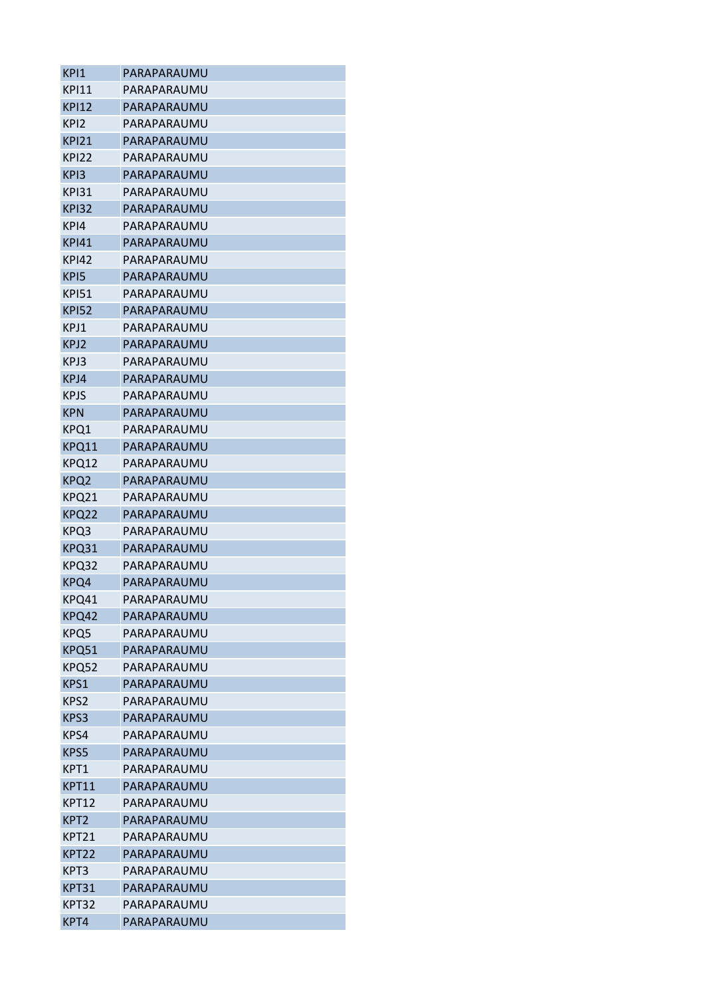| KPI1              | PARAPARAUMU |
|-------------------|-------------|
| <b>KPI11</b>      | PARAPARAUMU |
| KPI12             | PARAPARAUMU |
| KPI2              | PARAPARAUMU |
| KPI21             | PARAPARAUMU |
| KPI22             | PARAPARAUMU |
| KP <sub>13</sub>  | PARAPARAUMU |
| KPI31             | PARAPARAUMU |
| <b>KPI32</b>      | PARAPARAUMU |
| KPI4              | PARAPARAUMU |
| <b>KPI41</b>      | PARAPARAUMU |
| KPI42             | PARAPARAUMU |
| KP <sub>I5</sub>  | PARAPARAUMU |
| <b>KPI51</b>      | PARAPARAUMU |
| <b>KPI52</b>      | PARAPARAUMU |
| KPJ1              | PARAPARAUMU |
| KPJ2              | PARAPARAUMU |
| KPJ3              | PARAPARAUMU |
| KPJ4              | PARAPARAUMU |
| <b>KPJS</b>       | PARAPARAUMU |
| <b>KPN</b>        | PARAPARAUMU |
| KPQ1              | PARAPARAUMU |
| KPQ11             | PARAPARAUMU |
| KPQ12             | PARAPARAUMU |
| KPQ <sub>2</sub>  | PARAPARAUMU |
| KPQ21             | PARAPARAUMU |
| KPQ22             | PARAPARAUMU |
| KPQ3              | PARAPARAUMU |
| KPQ31             | PARAPARAUMU |
| KPQ32             | PARAPARAUMU |
| KPQ4              | PARAPARAUMU |
| KPQ41             | PARAPARAUMU |
| KPQ42             | PARAPARAUMU |
| KPQ5              | PARAPARAUMU |
| KPQ51             | PARAPARAUMU |
| KPQ52             | PARAPARAUMU |
| KPS1              | PARAPARAUMU |
| KPS <sub>2</sub>  | PARAPARAUMU |
| KPS3              | PARAPARAUMU |
| KPS4              | PARAPARAUMU |
| KPS5              | PARAPARAUMU |
| KPT1              | PARAPARAUMU |
| KPT11             | PARAPARAUMU |
| <b>KPT12</b>      | PARAPARAUMU |
| KPT <sub>2</sub>  | PARAPARAUMU |
| KPT21             | PARAPARAUMU |
| KPT <sub>22</sub> | PARAPARAUMU |
| KPT3              | PARAPARAUMU |
| KPT31             | PARAPARAUMU |
| KPT32             | PARAPARAUMU |
| KPT4              | PARAPARAUMU |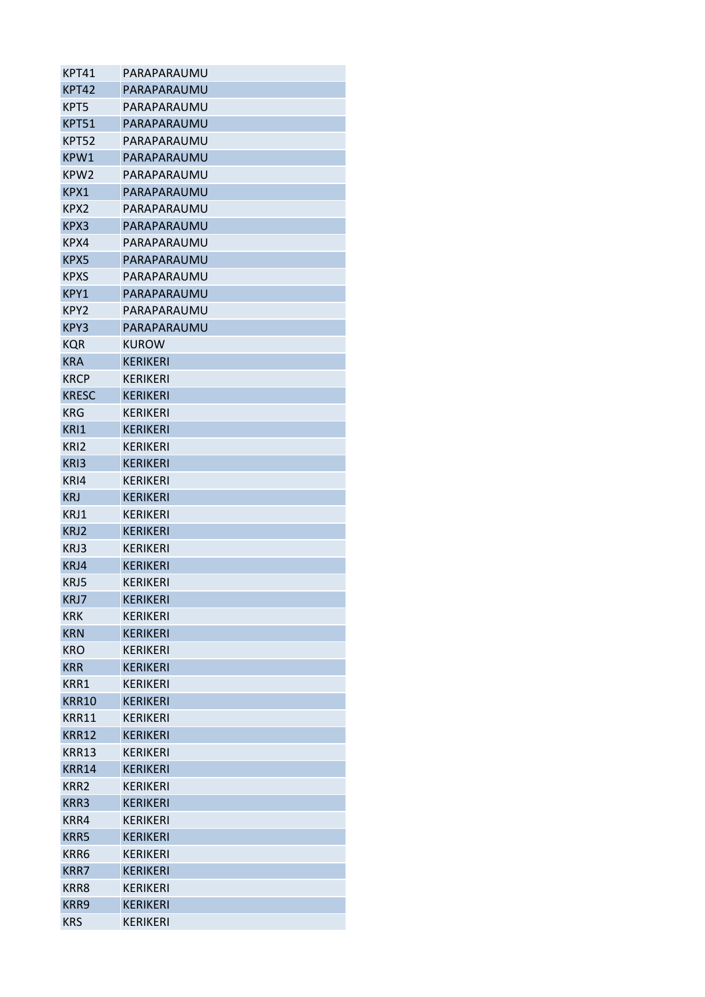| KPT41            | PARAPARAUMU     |
|------------------|-----------------|
| KPT42            | PARAPARAUMU     |
| KPT5             | PARAPARAUMU     |
| <b>KPT51</b>     | PARAPARAUMU     |
| KPT52            | PARAPARAUMU     |
| KPW1             | PARAPARAUMU     |
| KPW2             | PARAPARAUMU     |
| KPX1             | PARAPARAUMU     |
| KPX <sub>2</sub> | PARAPARAUMU     |
| KPX3             | PARAPARAUMU     |
| KPX4             | PARAPARAUMU     |
| KPX5             | PARAPARAUMU     |
| <b>KPXS</b>      | PARAPARAUMU     |
| KPY1             | PARAPARAUMU     |
| KPY2             | PARAPARAUMU     |
| KPY3             | PARAPARAUMU     |
| <b>KQR</b>       | KUROW           |
| <b>KRA</b>       | <b>KERIKERI</b> |
| <b>KRCP</b>      | <b>KERIKERI</b> |
| <b>KRESC</b>     | <b>KERIKERI</b> |
| <b>KRG</b>       | KERIKERI        |
| KRI1             | <b>KERIKERI</b> |
| KRI2             | <b>KERIKERI</b> |
| KRI3             | <b>KERIKERI</b> |
| KRI4             | <b>KERIKERI</b> |
| <b>KRJ</b>       | <b>KERIKERI</b> |
| KRJ1             | <b>KERIKERI</b> |
| KRJ2             | KERIKERI        |
| KRJ3             | <b>KERIKERI</b> |
| KRJ4             | <b>KERIKERI</b> |
| KRJ5             | <b>KFRIKFRI</b> |
| KRJ7             | <b>KERIKERI</b> |
| <b>KRK</b>       | <b>KERIKERI</b> |
| <b>KRN</b>       | <b>KERIKERI</b> |
| <b>KRO</b>       | <b>KERIKERI</b> |
| <b>KRR</b>       | <b>KERIKERI</b> |
| KRR1             | <b>KERIKERI</b> |
| <b>KRR10</b>     | <b>KERIKERI</b> |
| KRR11            | <b>KERIKERI</b> |
| <b>KRR12</b>     | <b>KERIKERI</b> |
| <b>KRR13</b>     | <b>KERIKERI</b> |
| <b>KRR14</b>     | <b>KERIKERI</b> |
| KRR <sub>2</sub> | <b>KERIKERI</b> |
| KRR3             | <b>KERIKERI</b> |
| KRR4             | <b>KERIKERI</b> |
| <b>KRR5</b>      | <b>KERIKERI</b> |
| KRR6             | <b>KERIKERI</b> |
| <b>KRR7</b>      | <b>KERIKERI</b> |
| KRR8             | <b>KERIKERI</b> |
| KRR9             | <b>KERIKERI</b> |
| <b>KRS</b>       | <b>KERIKERI</b> |
|                  |                 |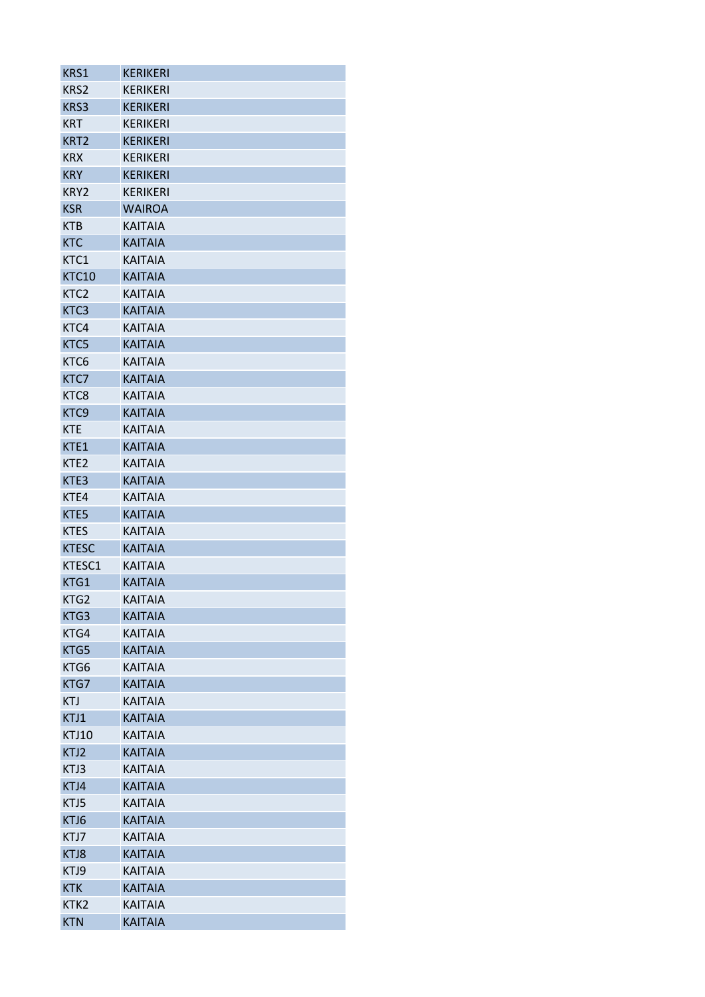| KRS1             | <b>KERIKERI</b> |
|------------------|-----------------|
| KRS2             | <b>KERIKERI</b> |
| KRS3             | <b>KERIKERI</b> |
| <b>KRT</b>       | <b>KERIKERI</b> |
| KRT <sub>2</sub> | <b>KERIKERI</b> |
| <b>KRX</b>       | <b>KERIKERI</b> |
| <b>KRY</b>       | <b>KERIKERI</b> |
| KRY2             | <b>KERIKERI</b> |
| <b>KSR</b>       | <b>WAIROA</b>   |
| <b>KTB</b>       | <b>KAITAIA</b>  |
| <b>KTC</b>       | <b>KAITAIA</b>  |
| KTC1             | <b>KAITAIA</b>  |
| <b>KTC10</b>     | <b>KAITAIA</b>  |
| KTC <sub>2</sub> | <b>KAITAIA</b>  |
| KTC3             | <b>KAITAIA</b>  |
| KTC4             | <b>KAITAIA</b>  |
| KTC5             | <b>KAITAIA</b>  |
| KTC <sub>6</sub> | <b>KAITAIA</b>  |
| KTC7             | <b>KAITAIA</b>  |
| KTC8             | <b>KAITAIA</b>  |
| KTC9             | <b>KAITAIA</b>  |
| <b>KTE</b>       | <b>KAITAIA</b>  |
| KTE1             | <b>KAITAIA</b>  |
| KTE <sub>2</sub> | <b>KAITAIA</b>  |
| KTE3             | <b>KAITAIA</b>  |
| KTE4             | <b>KAITAIA</b>  |
| KTE5             | <b>KAITAIA</b>  |
| <b>KTES</b>      | <b>KAITAIA</b>  |
| <b>KTESC</b>     | <b>KAITAIA</b>  |
| KTESC1           | <b>KAITAIA</b>  |
| KTG1             | <b>KAITAIA</b>  |
| KTG2             | <b>KAITAIA</b>  |
| KTG3             | <b>KAITAIA</b>  |
| KTG4             | <b>KAITAIA</b>  |
| KTG5             | <b>KAITAIA</b>  |
| KTG6             | <b>KAITAIA</b>  |
| KTG7             | <b>KAITAIA</b>  |
| <b>KTJ</b>       | <b>KAITAIA</b>  |
| KTJ1             | <b>KAITAIA</b>  |
| <b>KTJ10</b>     | <b>KAITAIA</b>  |
| KTJ2             | <b>KAITAIA</b>  |
| KTJ3             | <b>KAITAIA</b>  |
| KTJ4             | <b>KAITAIA</b>  |
| KTJ5             | <b>KAITAIA</b>  |
| KTJ6             | <b>KAITAIA</b>  |
| KTJ7             | <b>KAITAIA</b>  |
| KTJ8             | <b>KAITAIA</b>  |
| KTJ9             | <b>KAITAIA</b>  |
| <b>KTK</b>       | <b>KAITAIA</b>  |
| KTK <sub>2</sub> | <b>KAITAIA</b>  |
| <b>KTN</b>       | <b>KAITAIA</b>  |
|                  |                 |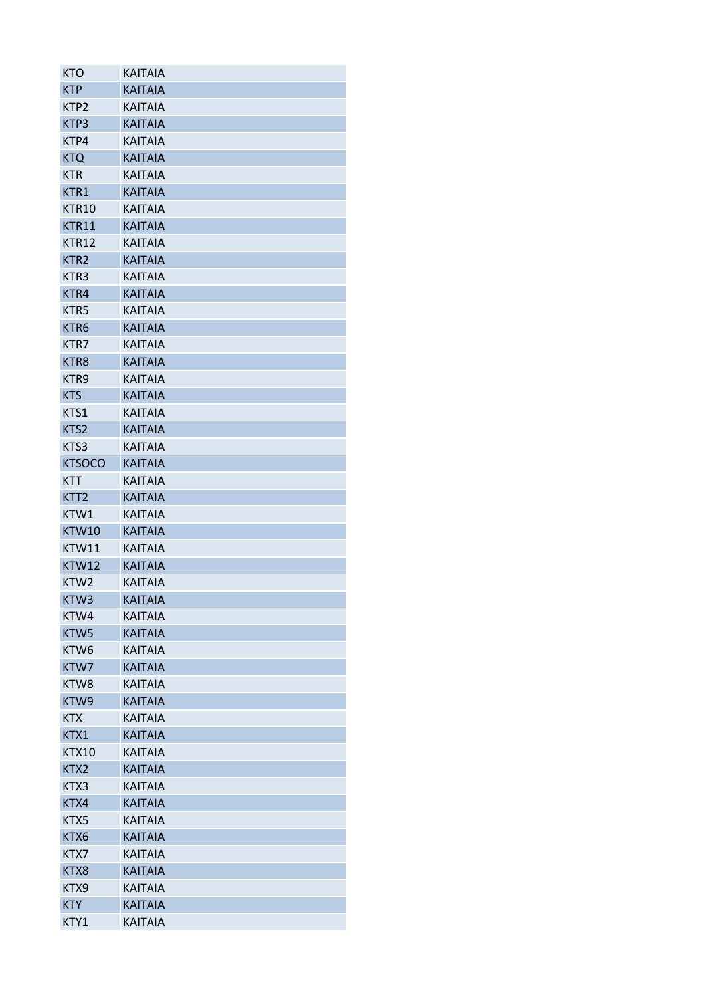| <b>KTO</b>       | <b>KAITAIA</b> |
|------------------|----------------|
| <b>KTP</b>       | <b>KAITAIA</b> |
| KTP <sub>2</sub> | <b>KAITAIA</b> |
| KTP3             | <b>KAITAIA</b> |
| KTP4             | <b>KAITAIA</b> |
| <b>KTQ</b>       | <b>KAITAIA</b> |
| <b>KTR</b>       | <b>KAITAIA</b> |
| KTR1             | <b>KAITAIA</b> |
| KTR10            | <b>KAITAIA</b> |
| KTR11            | <b>KAITAIA</b> |
| <b>KTR12</b>     | <b>KAITAIA</b> |
| KTR <sub>2</sub> | <b>KAITAIA</b> |
| KTR <sub>3</sub> | <b>KAITAIA</b> |
| KTR4             | <b>KAITAIA</b> |
| KTR5             | <b>KAITAIA</b> |
| KTR6             | <b>KAITAIA</b> |
| KTR7             | <b>KAITAIA</b> |
| KTR8             | <b>KAITAIA</b> |
| KTR <sub>9</sub> | <b>KAITAIA</b> |
| <b>KTS</b>       | <b>KAITAIA</b> |
| KTS1             | <b>KAITAIA</b> |
| KTS2             | <b>KAITAIA</b> |
| KTS3             | <b>KAITAIA</b> |
| <b>KTSOCO</b>    | <b>KAITAIA</b> |
| <b>KTT</b>       | <b>KAITAIA</b> |
| KTT <sub>2</sub> | <b>KAITAIA</b> |
| KTW1             | <b>KAITAIA</b> |
| KTW10            | <b>KAITAIA</b> |
| KTW11            | <b>KAITAIA</b> |
| <b>KTW12</b>     | <b>KAITAIA</b> |
| KTW <sub>2</sub> | <b>KAITAIA</b> |
| KTW3             | <b>KAITAIA</b> |
| KTW4             | <b>KAITAIA</b> |
| KTW5             | <b>KAITAIA</b> |
|                  |                |
| KTW <sub>6</sub> | <b>KAITAIA</b> |
| KTW7             | <b>KAITAIA</b> |
| KTW8             | <b>KAITAIA</b> |
| KTW9             | <b>KAITAIA</b> |
| <b>KTX</b>       | <b>KAITAIA</b> |
| KTX1             | <b>KAITAIA</b> |
| <b>KTX10</b>     | <b>KAITAIA</b> |
| KTX2             | <b>KAITAIA</b> |
| KTX3             | <b>KAITAIA</b> |
| KTX4             | <b>KAITAIA</b> |
| KTX5             | <b>KAITAIA</b> |
| KTX6             | <b>KAITAIA</b> |
| KTX7             | <b>KAITAIA</b> |
| KTX8             | <b>KAITAIA</b> |
| KTX9             | <b>KAITAIA</b> |
| <b>KTY</b>       | <b>KAITAIA</b> |
| KTY1             | <b>KAITAIA</b> |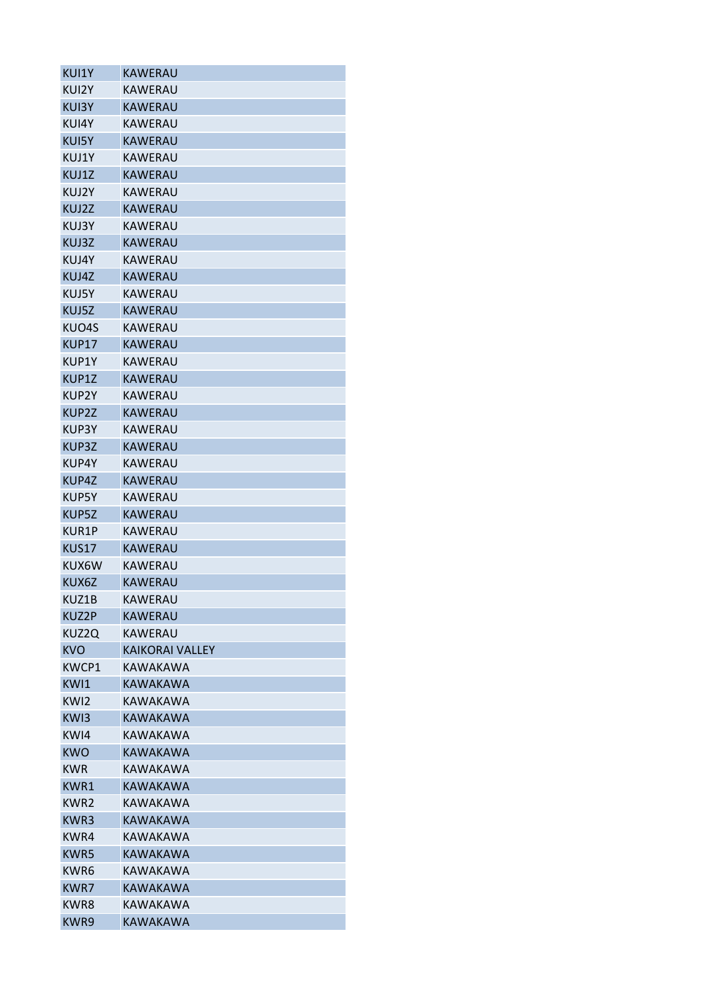| KUI2Y<br>KAWERAU<br><b>KAWERAU</b><br>KUI3Y<br>KAWERAU<br>KUI4Y<br><b>KAWERAU</b><br>KUI5Y<br>KUJ1Y<br>KAWERAU<br>KUJ1Z<br>KAWERAU<br>KAWERAU<br>KUJ2Y<br>KUJ2Z<br><b>KAWERAU</b><br><b>KAWERAU</b><br>KUJ3Y<br>KUJ3Z<br><b>KAWERAU</b><br>KUJ4Y<br>KAWERAU<br>KUJ4Z<br><b>KAWERAU</b><br>KUJ5Y<br>KAWERAU<br>KUJ5Z<br><b>KAWERAU</b><br>KAWERAU<br>KUO4S<br><b>KAWERAU</b><br><b>KUP17</b><br>KUP1Y<br><b>KAWERAU</b><br><b>KAWERAU</b><br>KUP1Z<br>KAWERAU<br>KUP2Y<br><b>KAWERAU</b><br>KUP2Z<br>KUP3Y<br>KAWERAU<br>KUP3Z<br>KAWERAU<br>KAWERAU<br>KUP4Y<br><b>KAWERAU</b><br>KUP4Z<br>KUP5Y<br>KAWERAU<br>KUP5Z<br>KAWERAU<br>KUR1P<br>KAWERAU<br><b>KUS17</b><br><b>KAWERAU</b><br>KUX6W<br>KAWERAU<br><b>KAWERAU</b><br>KUX6Z<br>KUZ1B<br>KAWERAU<br><b>KUZ2P</b><br>KAWERAU<br>KUZ2Q<br>KAWERAU<br>KVO<br>KAIKORAI VALLFY<br>KWCP1<br>KAWAKAWA<br>KWI1<br>KAWAKAWA<br>KW <sub>12</sub><br>KAWAKAWA<br>KW <sub>13</sub><br><b>KAWAKAWA</b><br>KW <sub>14</sub><br>KAWAKAWA<br><b>KWO</b><br>KAWAKAWA<br><b>KWR</b><br>KAWAKAWA<br>KWR1<br><b>KAWAKAWA</b><br>KWR <sub>2</sub><br>KAWAKAWA<br>KWR3<br>KAWAKAWA |
|----------------------------------------------------------------------------------------------------------------------------------------------------------------------------------------------------------------------------------------------------------------------------------------------------------------------------------------------------------------------------------------------------------------------------------------------------------------------------------------------------------------------------------------------------------------------------------------------------------------------------------------------------------------------------------------------------------------------------------------------------------------------------------------------------------------------------------------------------------------------------------------------------------------------------------------------------------------------------------------------------------------------------------------------------------------------------------------------------------------------|
|                                                                                                                                                                                                                                                                                                                                                                                                                                                                                                                                                                                                                                                                                                                                                                                                                                                                                                                                                                                                                                                                                                                      |
|                                                                                                                                                                                                                                                                                                                                                                                                                                                                                                                                                                                                                                                                                                                                                                                                                                                                                                                                                                                                                                                                                                                      |
|                                                                                                                                                                                                                                                                                                                                                                                                                                                                                                                                                                                                                                                                                                                                                                                                                                                                                                                                                                                                                                                                                                                      |
|                                                                                                                                                                                                                                                                                                                                                                                                                                                                                                                                                                                                                                                                                                                                                                                                                                                                                                                                                                                                                                                                                                                      |
|                                                                                                                                                                                                                                                                                                                                                                                                                                                                                                                                                                                                                                                                                                                                                                                                                                                                                                                                                                                                                                                                                                                      |
|                                                                                                                                                                                                                                                                                                                                                                                                                                                                                                                                                                                                                                                                                                                                                                                                                                                                                                                                                                                                                                                                                                                      |
|                                                                                                                                                                                                                                                                                                                                                                                                                                                                                                                                                                                                                                                                                                                                                                                                                                                                                                                                                                                                                                                                                                                      |
|                                                                                                                                                                                                                                                                                                                                                                                                                                                                                                                                                                                                                                                                                                                                                                                                                                                                                                                                                                                                                                                                                                                      |
|                                                                                                                                                                                                                                                                                                                                                                                                                                                                                                                                                                                                                                                                                                                                                                                                                                                                                                                                                                                                                                                                                                                      |
|                                                                                                                                                                                                                                                                                                                                                                                                                                                                                                                                                                                                                                                                                                                                                                                                                                                                                                                                                                                                                                                                                                                      |
|                                                                                                                                                                                                                                                                                                                                                                                                                                                                                                                                                                                                                                                                                                                                                                                                                                                                                                                                                                                                                                                                                                                      |
|                                                                                                                                                                                                                                                                                                                                                                                                                                                                                                                                                                                                                                                                                                                                                                                                                                                                                                                                                                                                                                                                                                                      |
|                                                                                                                                                                                                                                                                                                                                                                                                                                                                                                                                                                                                                                                                                                                                                                                                                                                                                                                                                                                                                                                                                                                      |
|                                                                                                                                                                                                                                                                                                                                                                                                                                                                                                                                                                                                                                                                                                                                                                                                                                                                                                                                                                                                                                                                                                                      |
|                                                                                                                                                                                                                                                                                                                                                                                                                                                                                                                                                                                                                                                                                                                                                                                                                                                                                                                                                                                                                                                                                                                      |
|                                                                                                                                                                                                                                                                                                                                                                                                                                                                                                                                                                                                                                                                                                                                                                                                                                                                                                                                                                                                                                                                                                                      |
|                                                                                                                                                                                                                                                                                                                                                                                                                                                                                                                                                                                                                                                                                                                                                                                                                                                                                                                                                                                                                                                                                                                      |
|                                                                                                                                                                                                                                                                                                                                                                                                                                                                                                                                                                                                                                                                                                                                                                                                                                                                                                                                                                                                                                                                                                                      |
|                                                                                                                                                                                                                                                                                                                                                                                                                                                                                                                                                                                                                                                                                                                                                                                                                                                                                                                                                                                                                                                                                                                      |
|                                                                                                                                                                                                                                                                                                                                                                                                                                                                                                                                                                                                                                                                                                                                                                                                                                                                                                                                                                                                                                                                                                                      |
|                                                                                                                                                                                                                                                                                                                                                                                                                                                                                                                                                                                                                                                                                                                                                                                                                                                                                                                                                                                                                                                                                                                      |
|                                                                                                                                                                                                                                                                                                                                                                                                                                                                                                                                                                                                                                                                                                                                                                                                                                                                                                                                                                                                                                                                                                                      |
|                                                                                                                                                                                                                                                                                                                                                                                                                                                                                                                                                                                                                                                                                                                                                                                                                                                                                                                                                                                                                                                                                                                      |
|                                                                                                                                                                                                                                                                                                                                                                                                                                                                                                                                                                                                                                                                                                                                                                                                                                                                                                                                                                                                                                                                                                                      |
|                                                                                                                                                                                                                                                                                                                                                                                                                                                                                                                                                                                                                                                                                                                                                                                                                                                                                                                                                                                                                                                                                                                      |
|                                                                                                                                                                                                                                                                                                                                                                                                                                                                                                                                                                                                                                                                                                                                                                                                                                                                                                                                                                                                                                                                                                                      |
|                                                                                                                                                                                                                                                                                                                                                                                                                                                                                                                                                                                                                                                                                                                                                                                                                                                                                                                                                                                                                                                                                                                      |
|                                                                                                                                                                                                                                                                                                                                                                                                                                                                                                                                                                                                                                                                                                                                                                                                                                                                                                                                                                                                                                                                                                                      |
|                                                                                                                                                                                                                                                                                                                                                                                                                                                                                                                                                                                                                                                                                                                                                                                                                                                                                                                                                                                                                                                                                                                      |
|                                                                                                                                                                                                                                                                                                                                                                                                                                                                                                                                                                                                                                                                                                                                                                                                                                                                                                                                                                                                                                                                                                                      |
|                                                                                                                                                                                                                                                                                                                                                                                                                                                                                                                                                                                                                                                                                                                                                                                                                                                                                                                                                                                                                                                                                                                      |
|                                                                                                                                                                                                                                                                                                                                                                                                                                                                                                                                                                                                                                                                                                                                                                                                                                                                                                                                                                                                                                                                                                                      |
|                                                                                                                                                                                                                                                                                                                                                                                                                                                                                                                                                                                                                                                                                                                                                                                                                                                                                                                                                                                                                                                                                                                      |
|                                                                                                                                                                                                                                                                                                                                                                                                                                                                                                                                                                                                                                                                                                                                                                                                                                                                                                                                                                                                                                                                                                                      |
|                                                                                                                                                                                                                                                                                                                                                                                                                                                                                                                                                                                                                                                                                                                                                                                                                                                                                                                                                                                                                                                                                                                      |
|                                                                                                                                                                                                                                                                                                                                                                                                                                                                                                                                                                                                                                                                                                                                                                                                                                                                                                                                                                                                                                                                                                                      |
|                                                                                                                                                                                                                                                                                                                                                                                                                                                                                                                                                                                                                                                                                                                                                                                                                                                                                                                                                                                                                                                                                                                      |
|                                                                                                                                                                                                                                                                                                                                                                                                                                                                                                                                                                                                                                                                                                                                                                                                                                                                                                                                                                                                                                                                                                                      |
|                                                                                                                                                                                                                                                                                                                                                                                                                                                                                                                                                                                                                                                                                                                                                                                                                                                                                                                                                                                                                                                                                                                      |
|                                                                                                                                                                                                                                                                                                                                                                                                                                                                                                                                                                                                                                                                                                                                                                                                                                                                                                                                                                                                                                                                                                                      |
|                                                                                                                                                                                                                                                                                                                                                                                                                                                                                                                                                                                                                                                                                                                                                                                                                                                                                                                                                                                                                                                                                                                      |
|                                                                                                                                                                                                                                                                                                                                                                                                                                                                                                                                                                                                                                                                                                                                                                                                                                                                                                                                                                                                                                                                                                                      |
|                                                                                                                                                                                                                                                                                                                                                                                                                                                                                                                                                                                                                                                                                                                                                                                                                                                                                                                                                                                                                                                                                                                      |
|                                                                                                                                                                                                                                                                                                                                                                                                                                                                                                                                                                                                                                                                                                                                                                                                                                                                                                                                                                                                                                                                                                                      |
| KWR4<br>KAWAKAWA                                                                                                                                                                                                                                                                                                                                                                                                                                                                                                                                                                                                                                                                                                                                                                                                                                                                                                                                                                                                                                                                                                     |
| <b>KWR5</b><br><b>KAWAKAWA</b>                                                                                                                                                                                                                                                                                                                                                                                                                                                                                                                                                                                                                                                                                                                                                                                                                                                                                                                                                                                                                                                                                       |
|                                                                                                                                                                                                                                                                                                                                                                                                                                                                                                                                                                                                                                                                                                                                                                                                                                                                                                                                                                                                                                                                                                                      |
| KAWAKAWA                                                                                                                                                                                                                                                                                                                                                                                                                                                                                                                                                                                                                                                                                                                                                                                                                                                                                                                                                                                                                                                                                                             |
| KWR6                                                                                                                                                                                                                                                                                                                                                                                                                                                                                                                                                                                                                                                                                                                                                                                                                                                                                                                                                                                                                                                                                                                 |
| <b>KWR7</b><br><b>KAWAKAWA</b><br>KWR8<br>KAWAKAWA                                                                                                                                                                                                                                                                                                                                                                                                                                                                                                                                                                                                                                                                                                                                                                                                                                                                                                                                                                                                                                                                   |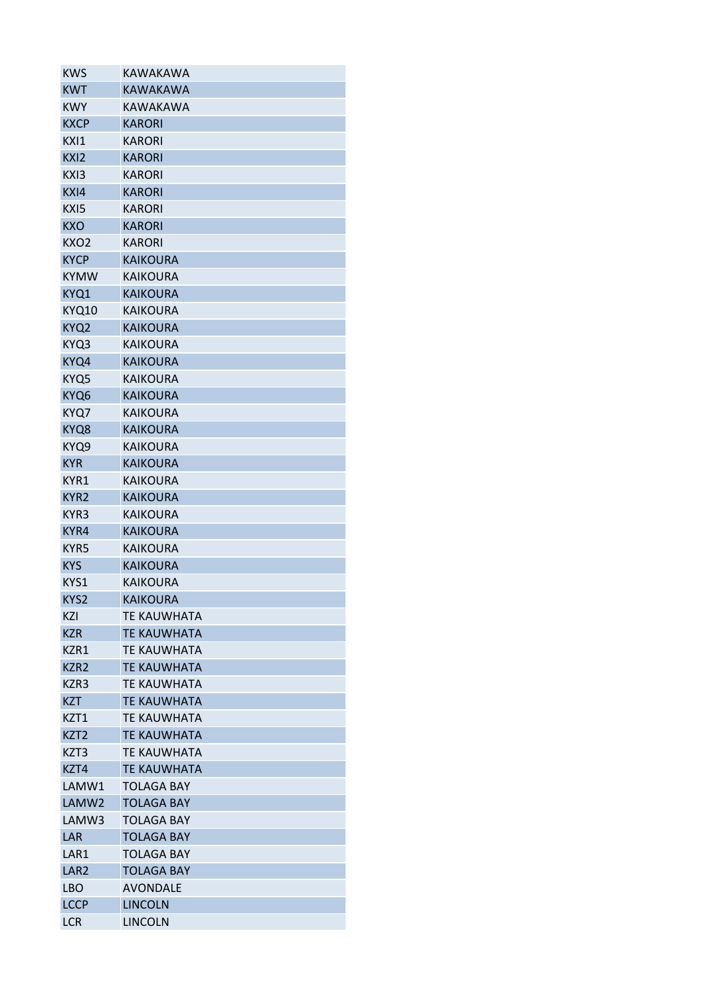| KWS              | KAWAKAWA           |
|------------------|--------------------|
| <b>KWT</b>       | KAWAKAWA           |
| <b>KWY</b>       | KAWAKAWA           |
| <b>KXCP</b>      | <b>KARORI</b>      |
| KXI1             | <b>KARORI</b>      |
| KXI2             | <b>KARORI</b>      |
| KXI3             | <b>KARORI</b>      |
| KXI4             | <b>KARORI</b>      |
| KXI5             | <b>KARORI</b>      |
| <b>KXO</b>       | <b>KARORI</b>      |
| KXO <sub>2</sub> | <b>KARORI</b>      |
| <b>KYCP</b>      | <b>KAIKOURA</b>    |
| <b>KYMW</b>      | <b>KAIKOURA</b>    |
| KYQ1             | <b>KAIKOURA</b>    |
| <b>KYQ10</b>     | <b>KAIKOURA</b>    |
| KYQ2             | <b>KAIKOURA</b>    |
| KYQ3             | <b>KAIKOURA</b>    |
| KYQ4             | <b>KAIKOURA</b>    |
| KYQ5             | <b>KAIKOURA</b>    |
| KYQ6             | <b>KAIKOURA</b>    |
| KYQ7             | <b>KAIKOURA</b>    |
| KYQ8             | <b>KAIKOURA</b>    |
| KYQ9             | <b>KAIKOURA</b>    |
| <b>KYR</b>       | <b>KAIKOURA</b>    |
| KYR1             | <b>KAIKOURA</b>    |
| KYR2             | <b>KAIKOURA</b>    |
| KYR3             | KAIKOURA           |
|                  |                    |
| KYR4             | <b>KAIKOURA</b>    |
| KYR5             | KAIKOURA           |
| <b>KYS</b>       | <b>KAIKOURA</b>    |
| KYS1             | KAIKOURA           |
| KYS2             | <b>KAIKOURA</b>    |
| KZI              | <b>TE KAUWHATA</b> |
| <b>KZR</b>       | <b>TE KAUWHATA</b> |
| KZR1             | <b>TF KAUWHATA</b> |
| KZR2             | <b>TE KAUWHATA</b> |
| KZR3             | <b>TE KAUWHATA</b> |
| <b>KZT</b>       | <b>TE KAUWHATA</b> |
| KZT1             | <b>TE KAUWHATA</b> |
| KZT <sub>2</sub> | <b>TE KAUWHATA</b> |
| KZT3             | <b>TF KAUWHATA</b> |
| KZT4             | <b>TE KAUWHATA</b> |
| LAMW1            | TOLAGA BAY         |
| LAMW2            | <b>TOLAGA BAY</b>  |
| LAMW3            | <b>TOLAGA BAY</b>  |
| LAR              | <b>TOLAGA BAY</b>  |
| LAR1             | <b>TOLAGA BAY</b>  |
| LAR <sub>2</sub> | <b>TOLAGA BAY</b>  |
| LBO              | <b>AVONDALE</b>    |
| <b>LCCP</b>      | <b>LINCOLN</b>     |
| LCR              | <b>LINCOLN</b>     |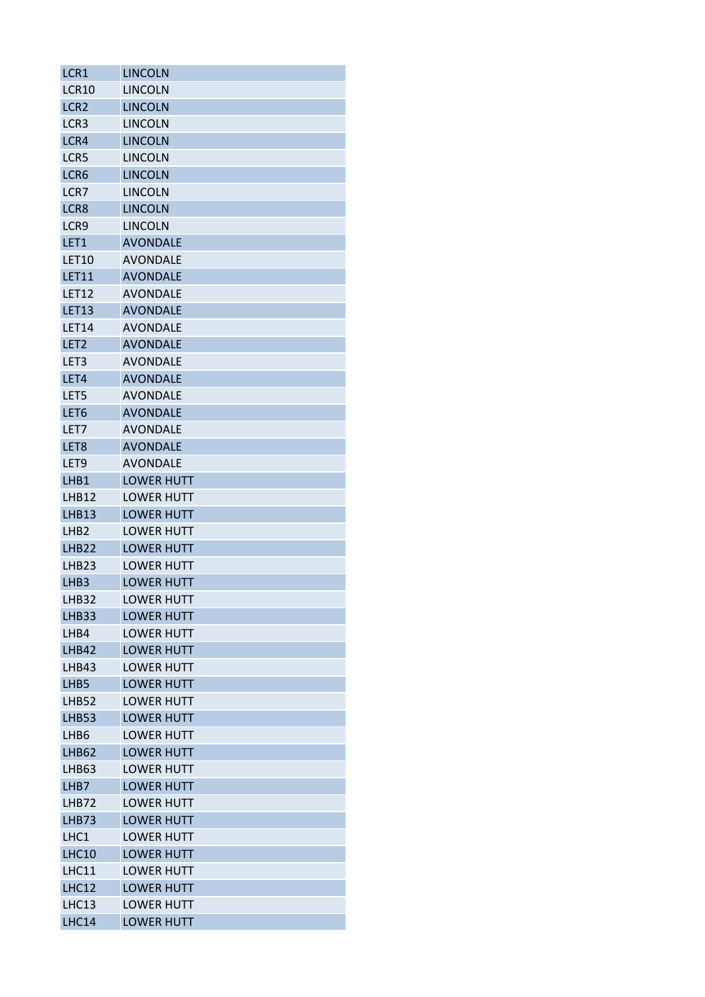| LCR <sub>1</sub>  | LINCOLN           |
|-------------------|-------------------|
| <b>LCR10</b>      | <b>LINCOLN</b>    |
| LCR <sub>2</sub>  | <b>LINCOLN</b>    |
| LCR <sub>3</sub>  | <b>LINCOLN</b>    |
| LCR4              | <b>LINCOLN</b>    |
| LCR5              | <b>LINCOLN</b>    |
| LCR <sub>6</sub>  | <b>LINCOLN</b>    |
| LCR7              | <b>LINCOLN</b>    |
| LCR8              | <b>LINCOLN</b>    |
| LCR9              | <b>LINCOLN</b>    |
| LET1              | <b>AVONDALE</b>   |
| <b>LET10</b>      | <b>AVONDALE</b>   |
| <b>LET11</b>      | <b>AVONDALE</b>   |
| <b>LET12</b>      | <b>AVONDALE</b>   |
| <b>LET13</b>      | <b>AVONDALE</b>   |
| <b>LET14</b>      | <b>AVONDALE</b>   |
| LET <sub>2</sub>  | <b>AVONDALE</b>   |
| LET <sub>3</sub>  | <b>AVONDALE</b>   |
| LET4              | <b>AVONDALE</b>   |
| LET5              | <b>AVONDALE</b>   |
| LET6              | <b>AVONDALE</b>   |
| LET7              | <b>AVONDALE</b>   |
| LET <sub>8</sub>  | <b>AVONDALE</b>   |
| LET <sub>9</sub>  | <b>AVONDALE</b>   |
| LHB1              | <b>LOWER HUTT</b> |
| LHB12             | <b>LOWER HUTT</b> |
| LHB13             | <b>LOWER HUTT</b> |
| LH <sub>B</sub> 2 | <b>LOWER HUTT</b> |
| LHB22             | <b>LOWER HUTT</b> |
| LHB <sub>23</sub> | <b>LOWER HUTT</b> |
| LHB <sub>3</sub>  | <b>LOWER HUTT</b> |
| LHB32             | <b>LOWER HUTT</b> |
| LHB33             | <b>LOWER HUTT</b> |
| LHB4              | <b>LOWER HUTT</b> |
|                   | <b>LOWFR HUTT</b> |
| LHB42             |                   |
| LHB43             | <b>LOWER HUTT</b> |
| LHB <sub>5</sub>  | <b>LOWER HUTT</b> |
| <b>LHB52</b>      | <b>LOWER HUTT</b> |
| <b>LHB53</b>      | <b>LOWER HUTT</b> |
| LHB6              | <b>LOWER HUTT</b> |
| LHB62             | <b>LOWER HUTT</b> |
| LHB63             | <b>LOWER HUTT</b> |
| LHB7              | <b>LOWER HUTT</b> |
| LHB72             | <b>LOWER HUTT</b> |
| LHB73             | <b>LOWER HUTT</b> |
| LHC1              | <b>LOWER HUTT</b> |
| <b>LHC10</b>      | <b>LOWER HUTT</b> |
| <b>LHC11</b>      | <b>LOWER HUTT</b> |
| <b>LHC12</b>      | <b>LOWER HUTT</b> |
| LHC13             | <b>LOWER HUTT</b> |
| LHC14             | <b>LOWER HUTT</b> |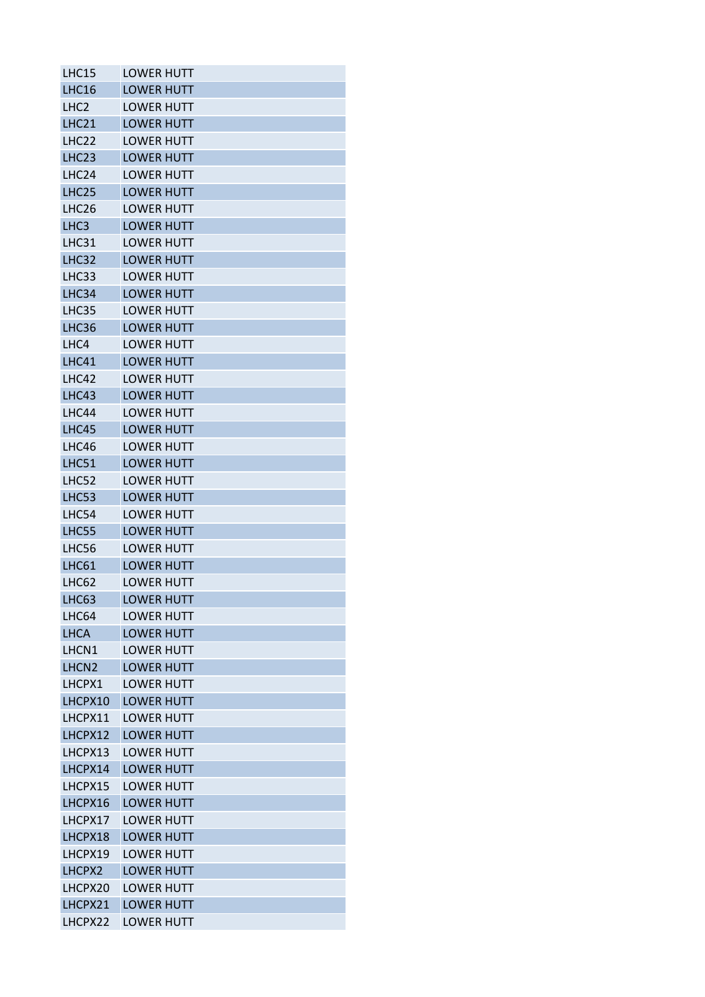| LHC15             | <b>LOWER HUTT</b>                      |
|-------------------|----------------------------------------|
| LHC16             | <b>LOWER HUTT</b>                      |
| LHC <sub>2</sub>  | <b>LOWER HUTT</b>                      |
| <b>LHC21</b>      | <b>LOWER HUTT</b>                      |
| LHC22             | <b>LOWFR HUTT</b>                      |
| LHC <sub>23</sub> | <b>LOWER HUTT</b>                      |
| LHC24             | <b>LOWER HUTT</b>                      |
| LHC <sub>25</sub> | <b>LOWER HUTT</b>                      |
| LHC <sub>26</sub> | <b>LOWER HUTT</b>                      |
| LHC <sub>3</sub>  | <b>LOWER HUTT</b>                      |
| LHC31             | <b>LOWER HUTT</b>                      |
| LHC32             | <b>LOWER HUTT</b>                      |
| LHC33             | <b>LOWER HUTT</b>                      |
| LHC34             | <b>LOWER HUTT</b>                      |
| LHC35             | <b>LOWER HUTT</b>                      |
| LHC36             | <b>LOWER HUTT</b>                      |
| LHC4              | <b>LOWER HUTT</b>                      |
| LHC41             | <b>LOWER HUTT</b>                      |
| LHC42             | <b>LOWER HUTT</b>                      |
| LHC43             | <b>LOWER HUTT</b>                      |
| LHC44             | <b>LOWER HUTT</b>                      |
| LHC45             | <b>LOWER HUTT</b>                      |
| LHC46             | <b>LOWER HUTT</b>                      |
| <b>LHC51</b>      | <b>LOWER HUTT</b>                      |
| LHC52             | <b>LOWER HUTT</b>                      |
| LHC53             | <b>LOWER HUTT</b>                      |
|                   | <b>LOWER HUTT</b>                      |
| LHC54<br>LHC55    |                                        |
|                   | <b>LOWER HUTT</b><br><b>LOWER HUTT</b> |
| LHC56             |                                        |
| LHC61             | <b>LOWER HUTT</b>                      |
| LHC62             | <b>LOWER HUTT</b>                      |
| LHC63             | <b>LOWER HUTT</b>                      |
| LHC64             | <b>LOWER HUTT</b>                      |
| <b>LHCA</b>       | <b>LOWER HUTT</b>                      |
| LHCN1             | <b>LOWFR HUTT</b>                      |
| LHCN <sub>2</sub> | <b>LOWER HUTT</b>                      |
| LHCPX1            | <b>LOWER HUTT</b>                      |
| LHCPX10           | <b>LOWER HUTT</b>                      |
| LHCPX11           | <b>LOWER HUTT</b>                      |
| LHCPX12           | <b>LOWER HUTT</b>                      |
| LHCPX13           | <b>LOWER HUTT</b>                      |
| LHCPX14           | <b>LOWER HUTT</b>                      |
| LHCPX15           | <b>LOWER HUTT</b>                      |
| LHCPX16           | <b>LOWER HUTT</b>                      |
| LHCPX17           | <b>LOWER HUTT</b>                      |
| LHCPX18           | <b>LOWER HUTT</b>                      |
| LHCPX19           | <b>LOWER HUTT</b>                      |
| LHCPX2            | <b>LOWER HUTT</b>                      |
| LHCPX20           | <b>LOWER HUTT</b>                      |
| LHCPX21           | <b>LOWER HUTT</b>                      |
| LHCPX22           | <b>LOWER HUTT</b>                      |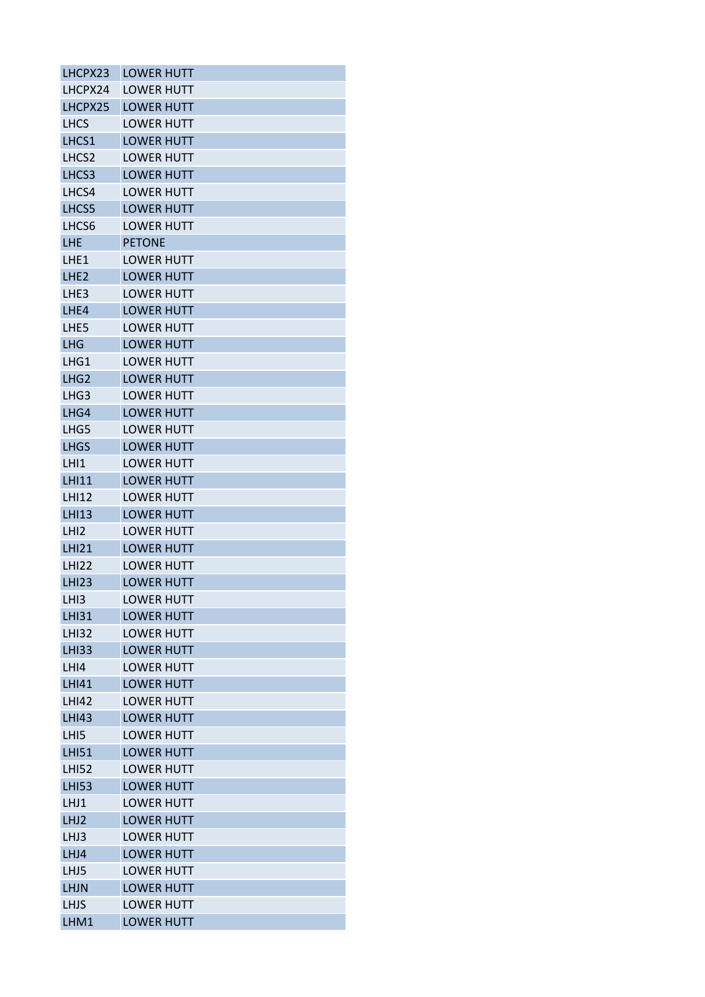| LHCPX23           | <b>LOWER HUTT</b> |
|-------------------|-------------------|
| LHCPX24           | <b>LOWER HUTT</b> |
| LHCPX25           | <b>LOWER HUTT</b> |
| <b>LHCS</b>       | <b>LOWER HUTT</b> |
| LHCS1             | <b>LOWER HUTT</b> |
| LHCS <sub>2</sub> | <b>LOWER HUTT</b> |
| LHCS3             | <b>LOWER HUTT</b> |
| LHCS4             | <b>LOWFR HUTT</b> |
| LHCS5             | <b>LOWER HUTT</b> |
| LHCS6             | <b>LOWER HUTT</b> |
| <b>LHE</b>        | <b>PETONE</b>     |
| LHE1              | LOWER HUTT        |
| LHE <sub>2</sub>  | <b>LOWER HUTT</b> |
| LHE3              | <b>LOWER HUTT</b> |
| LHE4              | <b>LOWER HUTT</b> |
| LHE5              | <b>LOWER HUTT</b> |
| LHG               | <b>LOWER HUTT</b> |
| LHG1              | <b>LOWER HUTT</b> |
| LHG <sub>2</sub>  | <b>LOWER HUTT</b> |
| LHG3              | <b>LOWER HUTT</b> |
| LHG4              | <b>LOWER HUTT</b> |
| LHG5              | <b>LOWER HUTT</b> |
| <b>LHGS</b>       | <b>LOWER HUTT</b> |
| LHI1              | <b>LOWER HUTT</b> |
| <b>LHI11</b>      | <b>LOWER HUTT</b> |
| <b>LHI12</b>      | <b>LOWER HUTT</b> |
| <b>LHI13</b>      | <b>LOWER HUTT</b> |
|                   |                   |
| LH <sub>12</sub>  | <b>LOWER HUTT</b> |
| <b>LHI21</b>      | <b>LOWER HUTT</b> |
| <b>LHI22</b>      | <b>LOWER HUTT</b> |
| <b>LHI23</b>      | <b>LOWER HUTT</b> |
| LHI3              | <b>LOWER HUTT</b> |
| <b>LHI31</b>      | <b>LOWER HUTT</b> |
| <b>LHI32</b>      | <b>LOWER HUTT</b> |
| <b>LHI33</b>      | <b>LOWER HUTT</b> |
| LHI4              | <b>LOWER HUTT</b> |
| <b>LHI41</b>      | <b>LOWER HUTT</b> |
| <b>LHI42</b>      | <b>LOWER HUTT</b> |
| <b>LHI43</b>      | <b>LOWER HUTT</b> |
| LHI5              | <b>LOWER HUTT</b> |
| <b>LHI51</b>      | <b>LOWER HUTT</b> |
| <b>LHI52</b>      | <b>LOWER HUTT</b> |
| <b>LHI53</b>      | <b>LOWER HUTT</b> |
| LHJ1              | <b>LOWER HUTT</b> |
| LHJ2              | <b>LOWER HUTT</b> |
| LHJ3              | <b>LOWER HUTT</b> |
| LHJ4              | <b>LOWER HUTT</b> |
| LHJ5              | <b>LOWER HUTT</b> |
| <b>LHJN</b>       | <b>LOWER HUTT</b> |
| <b>LHJS</b>       | <b>LOWER HUTT</b> |
| LHM1              | <b>LOWER HUTT</b> |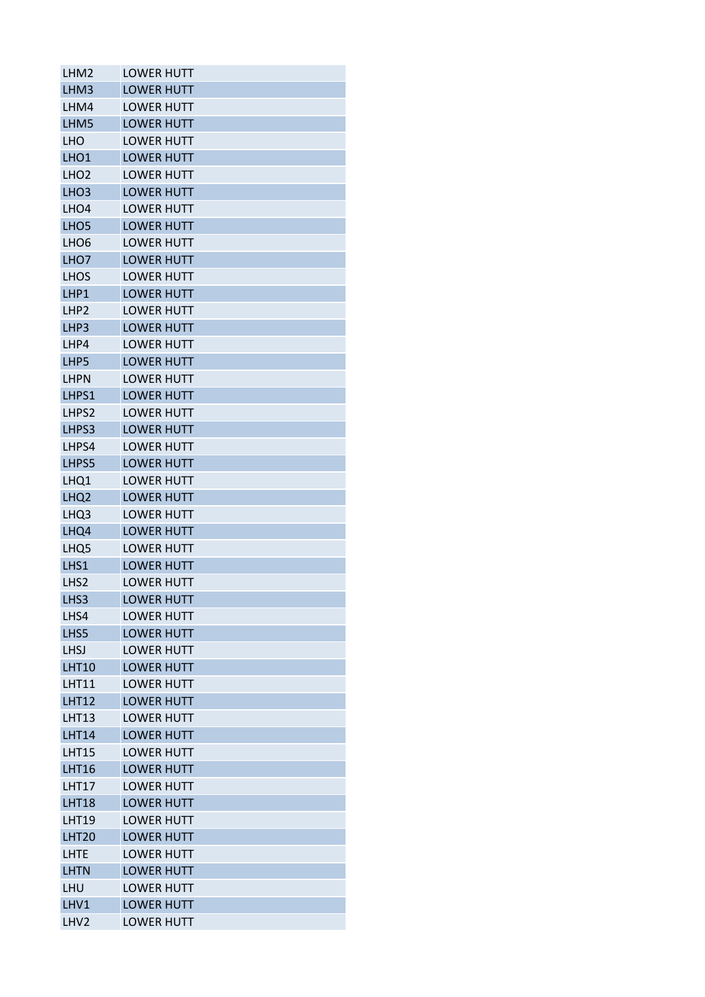| LHM <sub>2</sub>  | <b>LOWER HUTT</b> |
|-------------------|-------------------|
| LHM3              | <b>LOWER HUTT</b> |
| LHM4              | <b>LOWER HUTT</b> |
| LHM5              | <b>LOWER HUTT</b> |
| <b>LHO</b>        | <b>LOWER HUTT</b> |
| LHO <sub>1</sub>  | <b>LOWER HUTT</b> |
| LHO <sub>2</sub>  | <b>LOWER HUTT</b> |
| LHO <sub>3</sub>  | <b>LOWER HUTT</b> |
| LHO <sub>4</sub>  | <b>LOWER HUTT</b> |
| LHO <sub>5</sub>  | <b>LOWER HUTT</b> |
| LHO <sub>6</sub>  | <b>LOWER HUTT</b> |
| LHO <sub>7</sub>  | <b>LOWER HUTT</b> |
| <b>LHOS</b>       | <b>LOWER HUTT</b> |
| LHP1              | <b>LOWER HUTT</b> |
| LHP <sub>2</sub>  | <b>LOWER HUTT</b> |
| LHP3              | <b>LOWER HUTT</b> |
| LHP4              | <b>LOWER HUTT</b> |
| LHP5              | <b>LOWER HUTT</b> |
| <b>LHPN</b>       | <b>LOWER HUTT</b> |
| LHPS1             | <b>LOWER HUTT</b> |
| LHPS2             | <b>LOWER HUTT</b> |
| LHPS3             | <b>LOWER HUTT</b> |
| LHPS4             | <b>LOWER HUTT</b> |
| LHPS5             | <b>LOWER HUTT</b> |
| LHQ1              | <b>LOWER HUTT</b> |
| LHQ <sub>2</sub>  | <b>LOWER HUTT</b> |
| LHQ3              | <b>LOWER HUTT</b> |
| LHQ4              | <b>LOWER HUTT</b> |
| LHQ <sub>5</sub>  | <b>LOWER HUTT</b> |
| LHS1              | <b>LOWER HUTT</b> |
| LHS <sub>2</sub>  | <b>LOWER HUTT</b> |
| LHS3              | <b>LOWER HUTT</b> |
| LHS4              | <b>LOWER HUTT</b> |
| LHS5              | <b>LOWER HUTT</b> |
| <b>LHSJ</b>       | <b>LOWER HUTT</b> |
| <b>LHT10</b>      | <b>LOWER HUTT</b> |
| <b>LHT11</b>      | <b>LOWER HUTT</b> |
| <b>LHT12</b>      | <b>LOWER HUTT</b> |
| <b>LHT13</b>      | <b>LOWER HUTT</b> |
| <b>LHT14</b>      | <b>LOWER HUTT</b> |
| LHT15             | <b>LOWER HUTT</b> |
| <b>LHT16</b>      | <b>LOWER HUTT</b> |
| <b>LHT17</b>      | <b>LOWER HUTT</b> |
| <b>LHT18</b>      | <b>LOWER HUTT</b> |
| <b>LHT19</b>      | <b>LOWER HUTT</b> |
| LHT <sub>20</sub> | <b>LOWER HUTT</b> |
| <b>LHTE</b>       | <b>LOWER HUTT</b> |
| <b>LHTN</b>       | <b>LOWER HUTT</b> |
| LHU               | <b>LOWER HUTT</b> |
| LHV1              | <b>LOWER HUTT</b> |
| LHV <sub>2</sub>  | <b>LOWER HUTT</b> |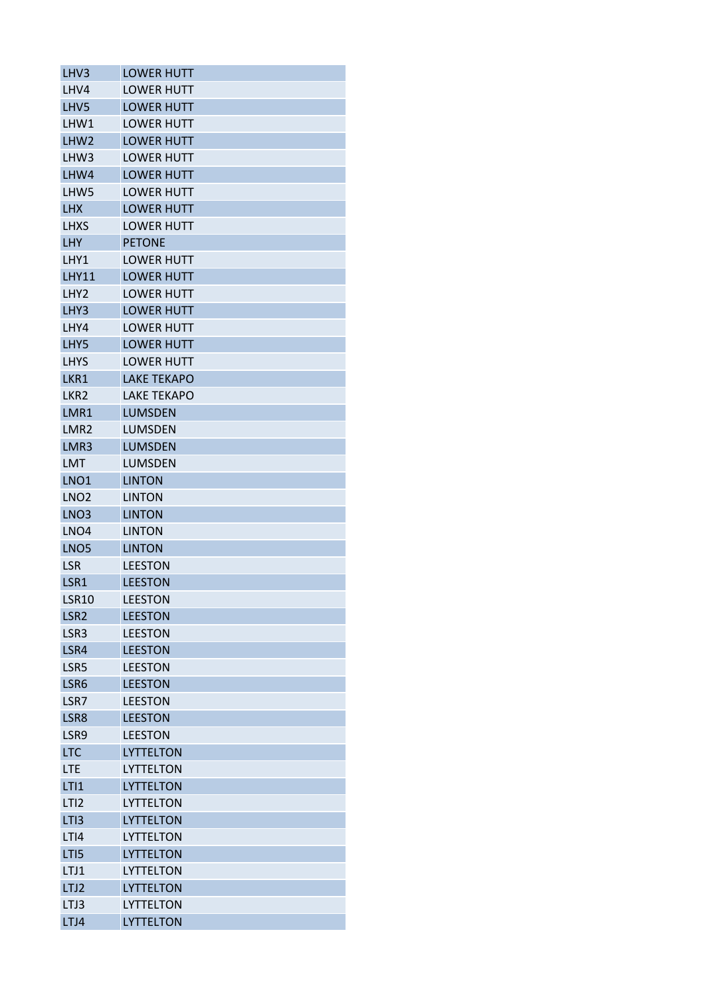| LHV3               | <b>LOWER HUTT</b>                  |
|--------------------|------------------------------------|
| LHV4               | <b>LOWER HUTT</b>                  |
| LHV <sub>5</sub>   | <b>LOWER HUTT</b>                  |
| LHW1               | <b>LOWER HUTT</b>                  |
| LHW <sub>2</sub>   | <b>LOWER HUTT</b>                  |
| LHW3               | <b>LOWER HUTT</b>                  |
| LHW4               | <b>LOWER HUTT</b>                  |
| LHW <sub>5</sub>   | <b>LOWER HUTT</b>                  |
| <b>LHX</b>         | <b>LOWER HUTT</b>                  |
| LHXS               | <b>LOWER HUTT</b>                  |
| <b>LHY</b>         | <b>PETONE</b>                      |
| LHY1               | <b>LOWER HUTT</b>                  |
| <b>LHY11</b>       | <b>LOWER HUTT</b>                  |
| LHY <sub>2</sub>   | <b>LOWER HUTT</b>                  |
| LHY3               | <b>LOWER HUTT</b>                  |
| LHY4               | <b>LOWER HUTT</b>                  |
| LHY5               | <b>LOWER HUTT</b>                  |
| <b>LHYS</b>        | <b>LOWER HUTT</b>                  |
| LKR1               | <b>LAKE TEKAPO</b>                 |
| LKR <sub>2</sub>   | <b>LAKE TEKAPO</b>                 |
| LMR1               | <b>LUMSDEN</b>                     |
| LMR <sub>2</sub>   | <b>LUMSDEN</b>                     |
| LMR <sub>3</sub>   | <b>LUMSDEN</b>                     |
| <b>LMT</b>         | <b>LUMSDEN</b>                     |
| LNO <sub>1</sub>   | <b>LINTON</b>                      |
| LNO <sub>2</sub>   | <b>LINTON</b>                      |
| LNO <sub>3</sub>   | <b>LINTON</b>                      |
| LNO <sub>4</sub>   | <b>LINTON</b>                      |
| LNO <sub>5</sub>   | <b>LINTON</b>                      |
| <b>LSR</b>         | <b>LEESTON</b>                     |
| LSR1               | <b>LEESTON</b>                     |
| <b>LSR10</b>       | <b>LEESTON</b>                     |
| LSR <sub>2</sub>   | <b>LEESTON</b>                     |
| LSR3               | <b>LEESTON</b>                     |
| LSR4               | <b>LEESTON</b>                     |
| LSR5               | <b>LEESTON</b>                     |
| LSR6               | <b>LEESTON</b>                     |
| LSR7               | <b>LEESTON</b>                     |
| LSR8               | <b>LEESTON</b>                     |
|                    |                                    |
| LSR9<br><b>LTC</b> | <b>LEESTON</b><br><b>LYTTELTON</b> |
|                    |                                    |
| <b>LTE</b>         | LYTTELTON                          |
| LT11               | <b>LYTTELTON</b>                   |
| LTI <sub>2</sub>   | <b>LYTTELTON</b>                   |
| LTI3               | <b>LYTTELTON</b>                   |
| LTI4               | LYTTELTON                          |
| LTI5               | <b>LYTTELTON</b>                   |
| LTJ1               | <b>LYTTELTON</b>                   |
| LTJ2               | <b>LYTTELTON</b>                   |
| LTJ3               | <b>LYTTELTON</b>                   |
| LTJ4               | <b>LYTTELTON</b>                   |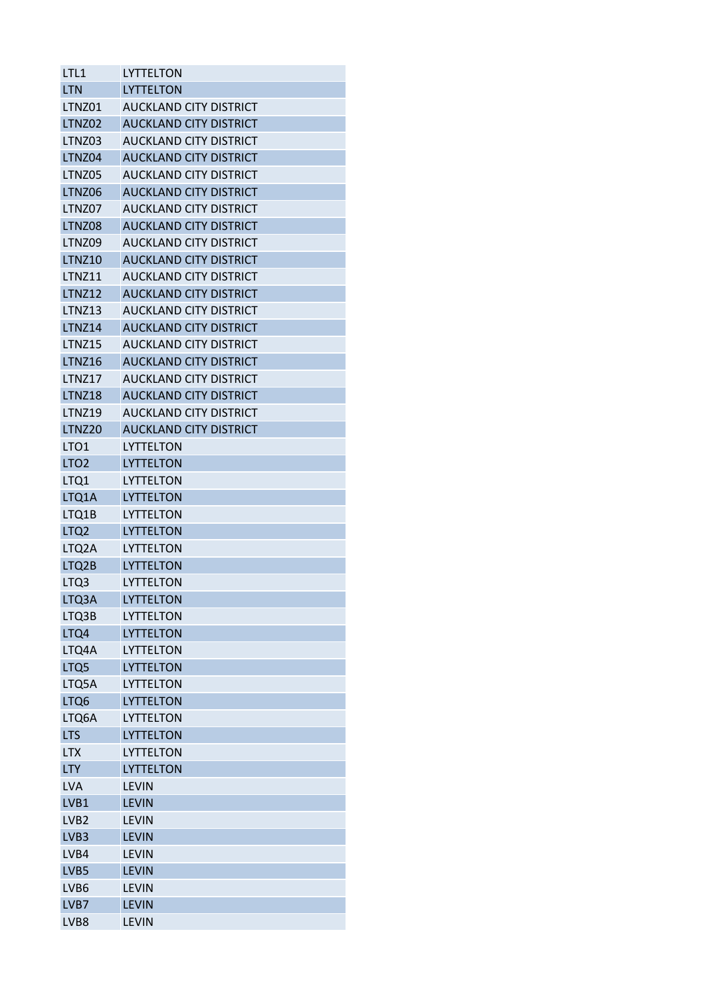| LTL1             | LYTTELTON                     |
|------------------|-------------------------------|
| <b>LTN</b>       | <b>LYTTELTON</b>              |
| LTNZ01           | <b>AUCKLAND CITY DISTRICT</b> |
| LTNZ02           | <b>AUCKLAND CITY DISTRICT</b> |
| LTNZ03           | <b>AUCKLAND CITY DISTRICT</b> |
| LTNZ04           | <b>AUCKLAND CITY DISTRICT</b> |
| LTNZ05           | <b>AUCKLAND CITY DISTRICT</b> |
| LTNZ06           | <b>AUCKLAND CITY DISTRICT</b> |
| LTNZ07           | <b>AUCKLAND CITY DISTRICT</b> |
| LTNZ08           | <b>AUCKLAND CITY DISTRICT</b> |
| LTNZ09           | <b>AUCKLAND CITY DISTRICT</b> |
| <b>LTNZ10</b>    | <b>AUCKLAND CITY DISTRICT</b> |
| <b>LTNZ11</b>    | <b>AUCKLAND CITY DISTRICT</b> |
| <b>LTNZ12</b>    | <b>AUCKLAND CITY DISTRICT</b> |
| LTNZ13           | AUCKLAND CITY DISTRICT        |
| LTNZ14           | <b>AUCKLAND CITY DISTRICT</b> |
| LTNZ15           | <b>AUCKLAND CITY DISTRICT</b> |
| <b>LTNZ16</b>    | <b>AUCKLAND CITY DISTRICT</b> |
| LTNZ17           | <b>AUCKLAND CITY DISTRICT</b> |
| <b>LTNZ18</b>    | <b>AUCKLAND CITY DISTRICT</b> |
|                  |                               |
| <b>LTNZ19</b>    | <b>AUCKLAND CITY DISTRICT</b> |
| LTNZ20           | <b>AUCKLAND CITY DISTRICT</b> |
| LTO <sub>1</sub> | LYTTELTON                     |
| LTO <sub>2</sub> | <b>LYTTELTON</b>              |
| LTQ1             | LYTTELTON                     |
| LTQ1A            | <b>LYTTELTON</b>              |
| LTQ1B            | <b>LYTTELTON</b>              |
| LTQ <sub>2</sub> | <b>LYTTELTON</b>              |
| LTQ2A            | <b>LYTTELTON</b>              |
| LTQ2B            | <b>LYTTELTON</b>              |
| LTQ3             | <b>LYTTELTON</b>              |
| LTQ3A            | <b>LYTTELTON</b>              |
| LTQ3B            | LYTTELTON                     |
| LTQ4             | <b>LYTTELTON</b>              |
| LTQ4A            | LYTTELTON                     |
| LTQ5             | <b>LYTTELTON</b>              |
| LTQ5A            | <b>LYTTELTON</b>              |
| LTQ6             | LYTTELTON                     |
| LTQ6A            | <b>LYTTELTON</b>              |
| <b>LTS</b>       | <b>LYTTELTON</b>              |
| <b>LTX</b>       | LYTTELTON                     |
| <b>LTY</b>       | <b>LYTTELTON</b>              |
| <b>LVA</b>       | <b>LEVIN</b>                  |
| LVB1             | <b>LEVIN</b>                  |
| LVB <sub>2</sub> | <b>LEVIN</b>                  |
| LVB <sub>3</sub> | <b>LEVIN</b>                  |
| LVB4             | <b>LEVIN</b>                  |
| LVB5             | <b>LEVIN</b>                  |
| LVB6             | <b>LEVIN</b>                  |
| LVB7             | <b>LEVIN</b>                  |
| LVB8             | <b>LEVIN</b>                  |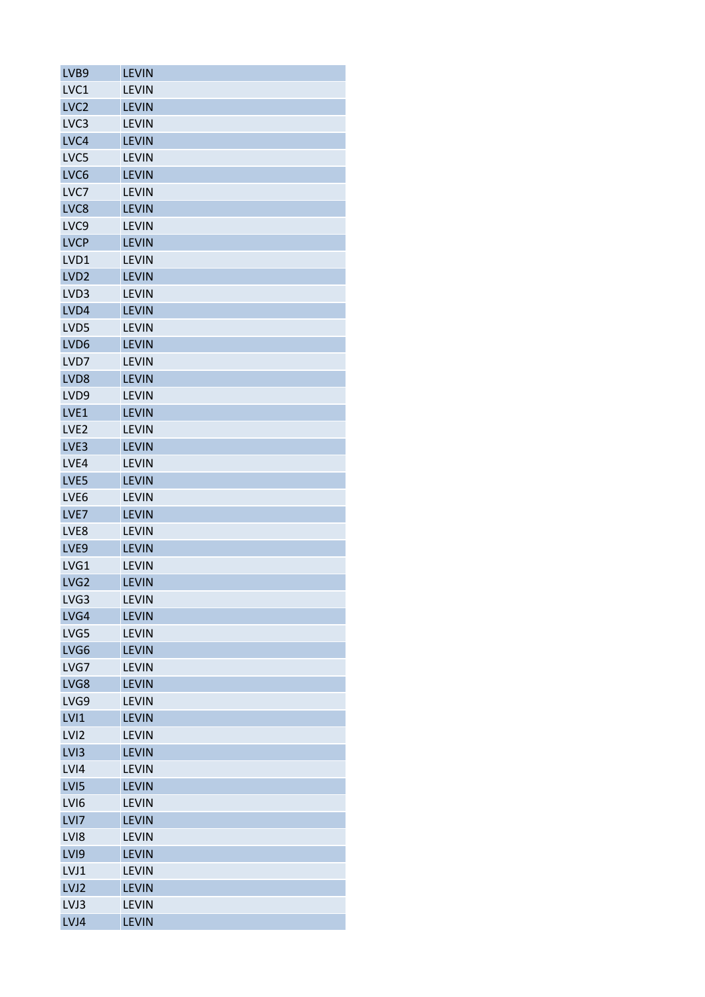| LVB9             | <b>LEVIN</b> |
|------------------|--------------|
| LVC1             | <b>LEVIN</b> |
| LVC <sub>2</sub> | <b>LEVIN</b> |
| LVC3             | <b>LEVIN</b> |
| LVC4             | <b>LEVIN</b> |
| LVC5             | <b>LEVIN</b> |
| LVC6             | <b>LEVIN</b> |
| LVC7             | <b>LEVIN</b> |
| LVC8             | <b>LEVIN</b> |
| LVC <sub>9</sub> | <b>LEVIN</b> |
| <b>LVCP</b>      | <b>LEVIN</b> |
| LVD1             | <b>LEVIN</b> |
| LVD <sub>2</sub> | <b>LEVIN</b> |
| LVD3             | <b>LEVIN</b> |
| LVD4             | <b>LEVIN</b> |
| LVD5             | <b>LEVIN</b> |
| LVD6             | <b>LEVIN</b> |
| LVD7             | <b>LEVIN</b> |
| LVD8             | <b>LEVIN</b> |
| LVD9             | <b>LEVIN</b> |
| LVE1             | <b>LEVIN</b> |
| LVE <sub>2</sub> | <b>LEVIN</b> |
| LVE3             | <b>LEVIN</b> |
| LVE4             | <b>LEVIN</b> |
| LVE5             | <b>LEVIN</b> |
| LVE6             | <b>LEVIN</b> |
| LVE7             | <b>LEVIN</b> |
| LVE8             | <b>LEVIN</b> |
| LVE9             | <b>LEVIN</b> |
| LVG1             | <b>LEVIN</b> |
| LVG <sub>2</sub> | <b>LEVIN</b> |
| LVG3             | LEVIN        |
| LVG4             | <b>LEVIN</b> |
| LVG5             | <b>LEVIN</b> |
| LVG6             | <b>LEVIN</b> |
| LVG7             | <b>LEVIN</b> |
| LVG8             | <b>LEVIN</b> |
| LVG9             | <b>LEVIN</b> |
| LVI1             | <b>LEVIN</b> |
| LV <sub>12</sub> | <b>LEVIN</b> |
| LV <sub>13</sub> | <b>LEVIN</b> |
| LVI4             | <b>LEVIN</b> |
| LVI5             | <b>LEVIN</b> |
| LVI <sub>6</sub> | <b>LEVIN</b> |
| LVI7             | <b>LEVIN</b> |
| LVI8             | <b>LEVIN</b> |
| LVI9             | <b>LEVIN</b> |
| LVJ1             | <b>LEVIN</b> |
| LVJ2             | <b>LEVIN</b> |
| LVJ3             | <b>LEVIN</b> |
| LVJ4             | <b>LEVIN</b> |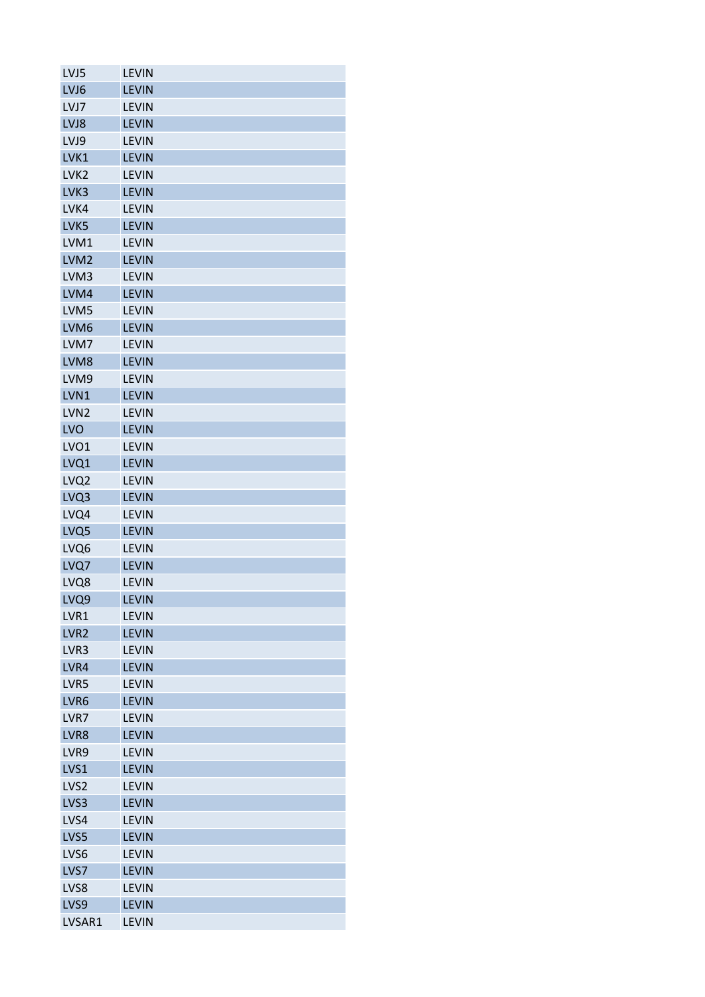| LVJ5             | <b>LEVIN</b> |
|------------------|--------------|
| LVJ6             | <b>LEVIN</b> |
| LVJ7             | <b>LEVIN</b> |
| LVJ8             | <b>LEVIN</b> |
| LVJ9             | <b>LEVIN</b> |
| LVK1             | <b>LEVIN</b> |
| LVK <sub>2</sub> | <b>LEVIN</b> |
| LVK3             | <b>LEVIN</b> |
| LVK4             | <b>LEVIN</b> |
| LVK5             | <b>LEVIN</b> |
| LVM1             | <b>LEVIN</b> |
| LVM <sub>2</sub> | <b>LEVIN</b> |
| LVM3             | <b>LEVIN</b> |
| LVM4             | <b>LEVIN</b> |
| LVM5             | <b>LEVIN</b> |
| LVM <sub>6</sub> | <b>LEVIN</b> |
| LVM7             | <b>LEVIN</b> |
| LVM8             | <b>LEVIN</b> |
| LVM9             | <b>LEVIN</b> |
| LVN1             | <b>LEVIN</b> |
| LVN <sub>2</sub> | <b>LEVIN</b> |
| LVO              | <b>LEVIN</b> |
| LVO1             | <b>LEVIN</b> |
| LVQ1             | <b>LEVIN</b> |
|                  |              |
| LVQ <sub>2</sub> | <b>LEVIN</b> |
| LVQ3             | <b>LEVIN</b> |
| LVQ4             | <b>LEVIN</b> |
| LVQ5             | <b>LEVIN</b> |
| LVQ6             | <b>LEVIN</b> |
| LVQ7             | <b>LEVIN</b> |
| LVQ8             | <b>LEVIN</b> |
| LVQ9             | <b>LEVIN</b> |
| LVR1             | <b>LEVIN</b> |
| LVR <sub>2</sub> | <b>LEVIN</b> |
| LVR3             | <b>LEVIN</b> |
| LVR4             | <b>LEVIN</b> |
| LVR5             | <b>LEVIN</b> |
| LVR6             | <b>LEVIN</b> |
| LVR7             | <b>LEVIN</b> |
| LVR8             | <b>LEVIN</b> |
| LVR9             | <b>LEVIN</b> |
| LVS1             | <b>LEVIN</b> |
| LVS <sub>2</sub> | <b>LEVIN</b> |
| LVS3             | <b>LEVIN</b> |
| LVS4             | <b>LEVIN</b> |
| LVS5             | <b>LEVIN</b> |
| LVS6             | <b>LEVIN</b> |
| LVS7             | <b>LEVIN</b> |
| LVS8             | <b>LEVIN</b> |
| LVS9             | <b>LEVIN</b> |
| LVSAR1           | <b>LEVIN</b> |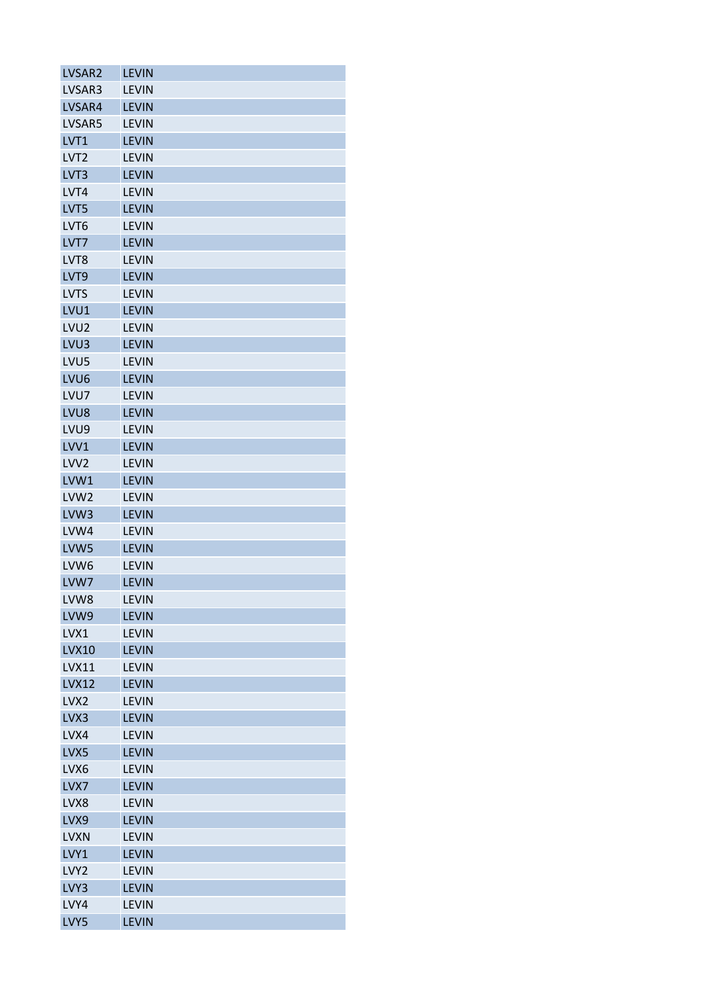| LVSAR2           | <b>LEVIN</b> |
|------------------|--------------|
| LVSAR3           | <b>LEVIN</b> |
| LVSAR4           | <b>LEVIN</b> |
| LVSAR5           | <b>LEVIN</b> |
| LVT1             | <b>LEVIN</b> |
| LVT <sub>2</sub> | <b>LEVIN</b> |
| LVT3             | <b>LEVIN</b> |
| LVT4             | <b>LEVIN</b> |
| LVT5             | <b>LEVIN</b> |
| LVT6             | <b>LEVIN</b> |
| LVT7             | <b>LEVIN</b> |
| LVT8             | <b>LEVIN</b> |
| LVT9             | <b>LEVIN</b> |
| <b>LVTS</b>      | <b>LEVIN</b> |
| LVU1             | <b>LEVIN</b> |
| LVU <sub>2</sub> | <b>LEVIN</b> |
| LVU <sub>3</sub> | <b>LEVIN</b> |
| LVU5             | <b>LEVIN</b> |
| LVU <sub>6</sub> | <b>LEVIN</b> |
| LVU7             | <b>LEVIN</b> |
| LVU8             | <b>LEVIN</b> |
| LVU9             | <b>LEVIN</b> |
| LVV1             | <b>LEVIN</b> |
| LVV <sub>2</sub> | <b>LEVIN</b> |
| LVW1             | <b>LEVIN</b> |
| LVW <sub>2</sub> | <b>LEVIN</b> |
| LVW3             | <b>LEVIN</b> |
| LVW4             | <b>LEVIN</b> |
| LVW5             | <b>LEVIN</b> |
| LVW <sub>6</sub> | <b>LEVIN</b> |
| LVW7             | <b>LEVIN</b> |
| LVW8             | LEVIN        |
| LVW9             | <b>LEVIN</b> |
| LVX1             | <b>LEVIN</b> |
|                  |              |
| <b>LVX10</b>     | <b>LEVIN</b> |
| <b>LVX11</b>     | <b>LEVIN</b> |
| <b>LVX12</b>     | <b>LEVIN</b> |
| LVX <sub>2</sub> | <b>LEVIN</b> |
| LVX3             | <b>LEVIN</b> |
| LVX4             | <b>LEVIN</b> |
| LVX5             | <b>LEVIN</b> |
| LVX6             | <b>LEVIN</b> |
| LVX7             | <b>LEVIN</b> |
| LVX8             | <b>LEVIN</b> |
| LVX9             | <b>LEVIN</b> |
| <b>LVXN</b>      | <b>LEVIN</b> |
| LVY1             | <b>LEVIN</b> |
| LVY <sub>2</sub> | <b>LEVIN</b> |
| LVY3             | <b>LEVIN</b> |
| LVY4             | <b>LEVIN</b> |
| LVY5             | <b>LEVIN</b> |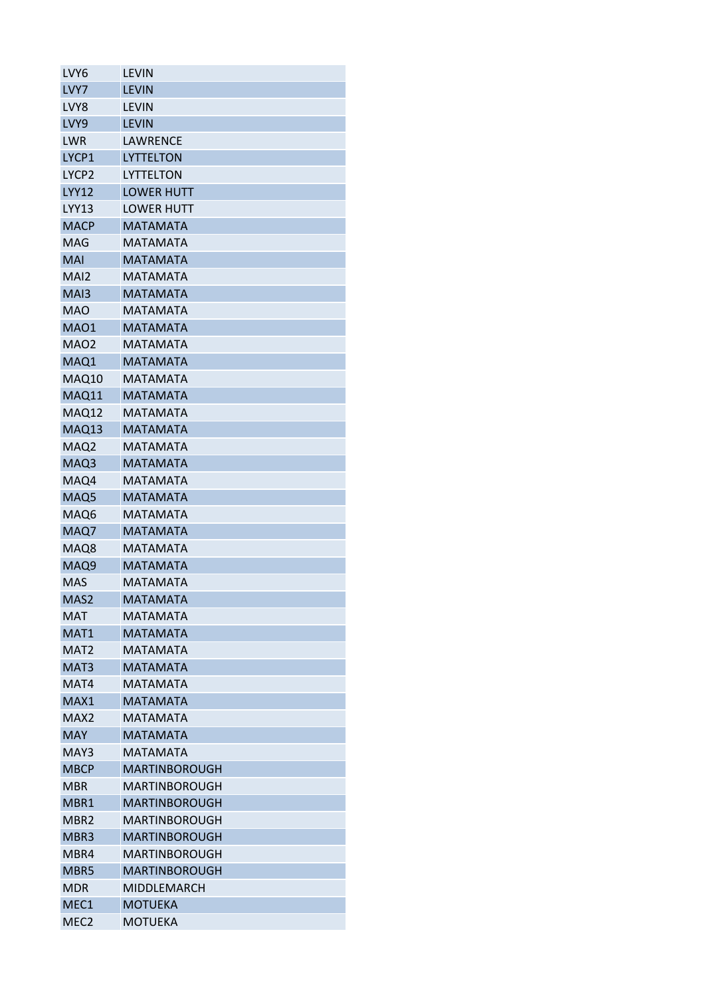| LVY6              | LEVIN                |
|-------------------|----------------------|
| LVY7              | <b>LEVIN</b>         |
| LVY8              | <b>LEVIN</b>         |
| LVY9              | <b>LEVIN</b>         |
| <b>LWR</b>        | LAWRENCE             |
| LYCP1             | <b>LYTTELTON</b>     |
| LYCP <sub>2</sub> | LYTTELTON            |
| <b>LYY12</b>      | <b>LOWER HUTT</b>    |
| <b>LYY13</b>      | <b>LOWER HUTT</b>    |
| <b>MACP</b>       | <b>MATAMATA</b>      |
| MAG               | MATAMATA             |
| <b>MAI</b>        | <b>MATAMATA</b>      |
| MAI <sub>2</sub>  | <b>MATAMATA</b>      |
| MA <sub>13</sub>  | <b>MATAMATA</b>      |
| <b>MAO</b>        | <b>MATAMATA</b>      |
| <b>MAO1</b>       | <b>MATAMATA</b>      |
| MAO <sub>2</sub>  | MATAMATA             |
| MAQ1              | <b>MATAMATA</b>      |
| MAQ10             | <b>MATAMATA</b>      |
| MAQ11             | <b>MATAMATA</b>      |
| MAQ12             | <b>MATAMATA</b>      |
| MAQ13             | <b>MATAMATA</b>      |
| MAQ <sub>2</sub>  | <b>MATAMATA</b>      |
| MAQ3              | <b>MATAMATA</b>      |
| MAQ4              | MATAMATA             |
| MAQ5              | <b>MATAMATA</b>      |
| MAQ6              | <b>MATAMATA</b>      |
| MAQ7              | <b>MATAMATA</b>      |
| MAQ8              | <b>MATAMATA</b>      |
| MAQ9              | <b>MATAMATA</b>      |
| MAS               | MATAMATA             |
| MAS2              | <b>MATAMATA</b>      |
| MAT               | MATAMATA             |
| MAT1              | <b>MATAMATA</b>      |
| MAT <sub>2</sub>  | <b>MATAMATA</b>      |
| MAT <sub>3</sub>  | <b>MATAMATA</b>      |
| MAT4              | MATAMATA             |
| MAX1              | <b>MATAMATA</b>      |
| MAX <sub>2</sub>  | <b>MATAMATA</b>      |
| <b>MAY</b>        | <b>MATAMATA</b>      |
| MAY3              | MATAMATA             |
| <b>MBCP</b>       | MARTINBOROUGH        |
| MBR               | <b>MARTINBOROUGH</b> |
| MBR1              | <b>MARTINBOROUGH</b> |
| MBR2              | MARTINBOROUGH        |
| MBR3              | <b>MARTINBOROUGH</b> |
| MBR4              | MARTINBOROUGH        |
| MBR5              | MARTINBOROUGH        |
| <b>MDR</b>        | MIDDLEMARCH          |
| MEC <sub>1</sub>  |                      |
|                   | <b>MOTUEKA</b>       |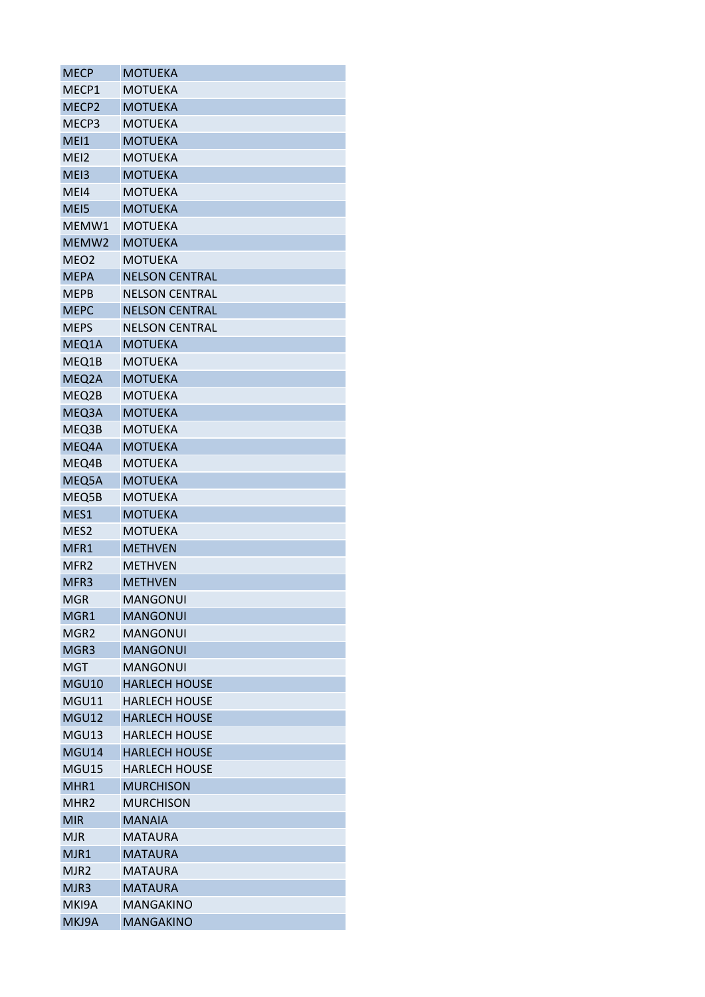| <b>MECP</b>       | <b>MOTUEKA</b>        |
|-------------------|-----------------------|
| MECP1             | MOTUEKA               |
| MECP <sub>2</sub> | <b>MOTUEKA</b>        |
| MECP3             | <b>MOTUEKA</b>        |
| MEI1              | <b>MOTUEKA</b>        |
| MEI2              | <b>MOTUEKA</b>        |
| ME <sub>13</sub>  | <b>MOTUEKA</b>        |
| MEI4              | <b>MOTUEKA</b>        |
| MEI5              | <b>MOTUEKA</b>        |
| MEMW1             | <b>MOTUEKA</b>        |
| MEMW2             | <b>MOTUEKA</b>        |
| MEO <sub>2</sub>  | MOTUEKA               |
| <b>MEPA</b>       | <b>NELSON CENTRAL</b> |
| <b>MEPB</b>       | <b>NELSON CENTRAL</b> |
| <b>MEPC</b>       | <b>NELSON CENTRAL</b> |
| <b>MEPS</b>       | <b>NELSON CENTRAL</b> |
| MEQ1A             | <b>MOTUEKA</b>        |
| MEQ1B             | MOTUEKA               |
| MEQ2A             | <b>MOTUEKA</b>        |
| MEQ2B             | <b>MOTUEKA</b>        |
| MEQ3A             | <b>MOTUEKA</b>        |
| MEQ3B             | <b>MOTUEKA</b>        |
| MEQ4A             | <b>MOTUEKA</b>        |
| MEQ4B             | <b>MOTUEKA</b>        |
| MEQ5A             | <b>MOTUEKA</b>        |
| MEQ5B             | <b>MOTUEKA</b>        |
| MES1              | <b>MOTUEKA</b>        |
| MES <sub>2</sub>  | MOTUEKA               |
| MFR1              | <b>METHVEN</b>        |
| MFR <sub>2</sub>  | <b>METHVEN</b>        |
| MFR <sub>3</sub>  | <b>METHVEN</b>        |
| <b>MGR</b>        | <b>MANGONUI</b>       |
| MGR1              | <b>MANGONUI</b>       |
| MGR <sub>2</sub>  | <b>MANGONUI</b>       |
| MGR3              | <b>MANGONUI</b>       |
| <b>MGT</b>        | <b>MANGONUI</b>       |
| MGU10             | <b>HARLECH HOUSE</b>  |
| MGU11             | <b>HARLECH HOUSE</b>  |
| <b>MGU12</b>      | <b>HARLECH HOUSE</b>  |
| MGU13             | <b>HARLECH HOUSE</b>  |
| MGU14             | <b>HARLECH HOUSE</b>  |
| MGU15             | <b>HARLECH HOUSE</b>  |
| MHR1              | <b>MURCHISON</b>      |
| MHR <sub>2</sub>  | <b>MURCHISON</b>      |
| <b>MIR</b>        | <b>MANAIA</b>         |
| <b>MJR</b>        | <b>MATAURA</b>        |
| MJR1              | <b>MATAURA</b>        |
| MJR <sub>2</sub>  | <b>MATAURA</b>        |
| MJR3              | <b>MATAURA</b>        |
| MKI9A             | <b>MANGAKINO</b>      |
| MKJ9A             | <b>MANGAKINO</b>      |
|                   |                       |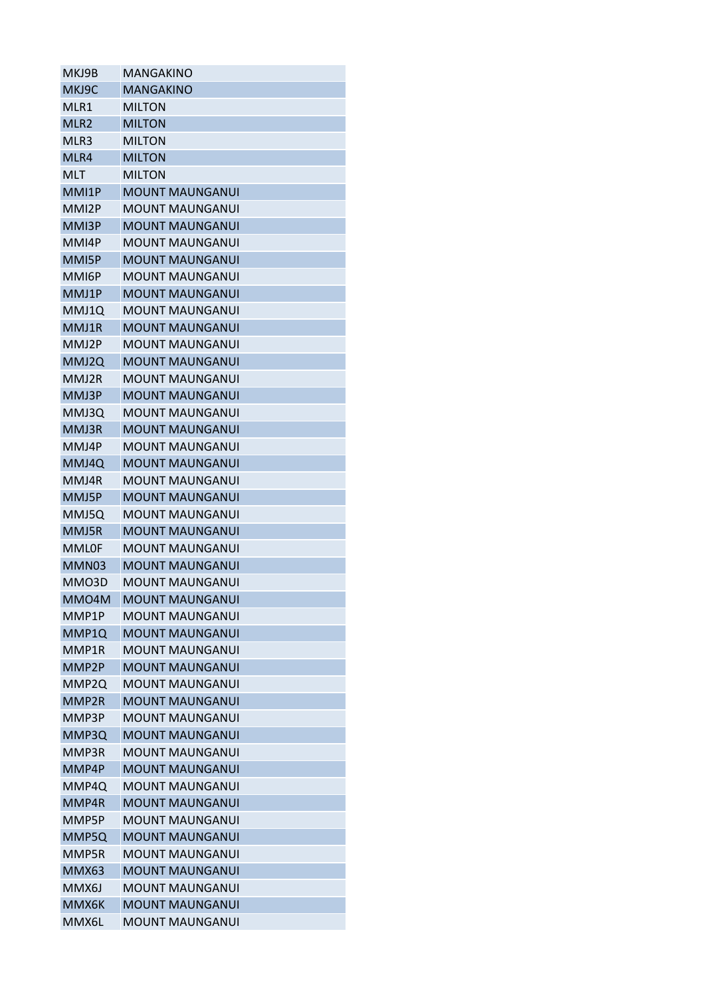| MKJ9C<br><b>MANGAKINO</b><br>MLR1<br><b>MILTON</b><br>MLR <sub>2</sub><br><b>MILTON</b><br>MLR3<br><b>MILTON</b><br>MLR4<br><b>MILTON</b><br><b>MILTON</b><br>MLT<br>MMI1P<br><b>MOUNT MAUNGANUI</b><br>MMI2P<br><b>MOUNT MAUNGANUI</b><br>MMI3P<br><b>MOUNT MAUNGANUI</b><br>MMI4P<br><b>MOUNT MAUNGANUI</b><br>MMI5P<br><b>MOUNT MAUNGANUI</b><br>MMI6P<br>MOUNT MAUNGANUI<br>MMJ1P<br><b>MOUNT MAUNGANUI</b><br>MMJ1Q<br>MOUNT MAUNGANUI<br>MMJ1R<br><b>MOUNT MAUNGANUI</b><br>MMJ2P<br><b>MOUNT MAUNGANUI</b><br>MMJ2O<br><b>MOUNT MAUNGANUI</b><br>MMJ2R<br><b>MOUNT MAUNGANUI</b><br>MMJ3P<br><b>MOUNT MAUNGANUI</b><br>MMJ3Q<br><b>MOUNT MAUNGANUI</b><br>MMJ3R<br><b>MOUNT MAUNGANUI</b><br>MMJ4P<br>MOUNT MAUNGANUI<br>MMJ4Q<br><b>MOUNT MAUNGANUI</b><br>MMJ4R<br>MOUNT MAUNGANUI<br>MMJ5P<br><b>MOUNT MAUNGANUI</b><br>MMJ5Q<br><b>MOUNT MAUNGANUI</b><br>MMJ5R<br><b>MOUNT MAUNGANUI</b><br><b>MMLOF</b><br><b>MOUNT MAUNGANUI</b><br>MMN03<br><b>MOUNT MAUNGANUI</b><br>MMO3D<br><b>MOUNT MAUNGANUI</b><br><b>MOUNT MAUNGANUI</b><br>MMO4M<br>MMP1P<br>MOUNT MAUNGANUI<br><b>MOUNT MAUNGANUI</b><br>MMP1Q<br>MMP1R<br><b>MOUNT MAUNGANUI</b><br><b>MOUNT MAUNGANUI</b><br>MMP2P<br>MMP <sub>20</sub><br><b>MOUNT MAUNGANUI</b><br><b>MOUNT MAUNGANUI</b><br>MMP2R<br>MMP3P<br><b>MOUNT MAUNGANUI</b><br><b>MOUNT MAUNGANUI</b><br>MMP3Q<br><b>MOUNT MAUNGANUI</b><br>MMP3R<br><b>MOUNT MAUNGANUI</b><br>MMP4P<br><b>MOUNT MAUNGANUI</b><br>MMP4Q<br>MMP4R<br><b>MOUNT MAUNGANUI</b><br>MMP5P<br><b>MOUNT MAUNGANUI</b><br><b>MOUNT MAUNGANUI</b><br>MMP5Q<br><b>MOUNT MAUNGANUI</b><br>MMP5R<br><b>MOUNT MAUNGANUI</b><br>MMX63<br>MMX6J<br><b>MOUNT MAUNGANUI</b><br>MMX6K<br><b>MOUNT MAUNGANUI</b> | MKJ9B | MANGAKINO              |
|--------------------------------------------------------------------------------------------------------------------------------------------------------------------------------------------------------------------------------------------------------------------------------------------------------------------------------------------------------------------------------------------------------------------------------------------------------------------------------------------------------------------------------------------------------------------------------------------------------------------------------------------------------------------------------------------------------------------------------------------------------------------------------------------------------------------------------------------------------------------------------------------------------------------------------------------------------------------------------------------------------------------------------------------------------------------------------------------------------------------------------------------------------------------------------------------------------------------------------------------------------------------------------------------------------------------------------------------------------------------------------------------------------------------------------------------------------------------------------------------------------------------------------------------------------------------------------------------------------------------------------------------------------------------------------------------------------------------|-------|------------------------|
|                                                                                                                                                                                                                                                                                                                                                                                                                                                                                                                                                                                                                                                                                                                                                                                                                                                                                                                                                                                                                                                                                                                                                                                                                                                                                                                                                                                                                                                                                                                                                                                                                                                                                                                    |       |                        |
|                                                                                                                                                                                                                                                                                                                                                                                                                                                                                                                                                                                                                                                                                                                                                                                                                                                                                                                                                                                                                                                                                                                                                                                                                                                                                                                                                                                                                                                                                                                                                                                                                                                                                                                    |       |                        |
|                                                                                                                                                                                                                                                                                                                                                                                                                                                                                                                                                                                                                                                                                                                                                                                                                                                                                                                                                                                                                                                                                                                                                                                                                                                                                                                                                                                                                                                                                                                                                                                                                                                                                                                    |       |                        |
|                                                                                                                                                                                                                                                                                                                                                                                                                                                                                                                                                                                                                                                                                                                                                                                                                                                                                                                                                                                                                                                                                                                                                                                                                                                                                                                                                                                                                                                                                                                                                                                                                                                                                                                    |       |                        |
|                                                                                                                                                                                                                                                                                                                                                                                                                                                                                                                                                                                                                                                                                                                                                                                                                                                                                                                                                                                                                                                                                                                                                                                                                                                                                                                                                                                                                                                                                                                                                                                                                                                                                                                    |       |                        |
|                                                                                                                                                                                                                                                                                                                                                                                                                                                                                                                                                                                                                                                                                                                                                                                                                                                                                                                                                                                                                                                                                                                                                                                                                                                                                                                                                                                                                                                                                                                                                                                                                                                                                                                    |       |                        |
|                                                                                                                                                                                                                                                                                                                                                                                                                                                                                                                                                                                                                                                                                                                                                                                                                                                                                                                                                                                                                                                                                                                                                                                                                                                                                                                                                                                                                                                                                                                                                                                                                                                                                                                    |       |                        |
|                                                                                                                                                                                                                                                                                                                                                                                                                                                                                                                                                                                                                                                                                                                                                                                                                                                                                                                                                                                                                                                                                                                                                                                                                                                                                                                                                                                                                                                                                                                                                                                                                                                                                                                    |       |                        |
|                                                                                                                                                                                                                                                                                                                                                                                                                                                                                                                                                                                                                                                                                                                                                                                                                                                                                                                                                                                                                                                                                                                                                                                                                                                                                                                                                                                                                                                                                                                                                                                                                                                                                                                    |       |                        |
|                                                                                                                                                                                                                                                                                                                                                                                                                                                                                                                                                                                                                                                                                                                                                                                                                                                                                                                                                                                                                                                                                                                                                                                                                                                                                                                                                                                                                                                                                                                                                                                                                                                                                                                    |       |                        |
|                                                                                                                                                                                                                                                                                                                                                                                                                                                                                                                                                                                                                                                                                                                                                                                                                                                                                                                                                                                                                                                                                                                                                                                                                                                                                                                                                                                                                                                                                                                                                                                                                                                                                                                    |       |                        |
|                                                                                                                                                                                                                                                                                                                                                                                                                                                                                                                                                                                                                                                                                                                                                                                                                                                                                                                                                                                                                                                                                                                                                                                                                                                                                                                                                                                                                                                                                                                                                                                                                                                                                                                    |       |                        |
|                                                                                                                                                                                                                                                                                                                                                                                                                                                                                                                                                                                                                                                                                                                                                                                                                                                                                                                                                                                                                                                                                                                                                                                                                                                                                                                                                                                                                                                                                                                                                                                                                                                                                                                    |       |                        |
|                                                                                                                                                                                                                                                                                                                                                                                                                                                                                                                                                                                                                                                                                                                                                                                                                                                                                                                                                                                                                                                                                                                                                                                                                                                                                                                                                                                                                                                                                                                                                                                                                                                                                                                    |       |                        |
|                                                                                                                                                                                                                                                                                                                                                                                                                                                                                                                                                                                                                                                                                                                                                                                                                                                                                                                                                                                                                                                                                                                                                                                                                                                                                                                                                                                                                                                                                                                                                                                                                                                                                                                    |       |                        |
|                                                                                                                                                                                                                                                                                                                                                                                                                                                                                                                                                                                                                                                                                                                                                                                                                                                                                                                                                                                                                                                                                                                                                                                                                                                                                                                                                                                                                                                                                                                                                                                                                                                                                                                    |       |                        |
|                                                                                                                                                                                                                                                                                                                                                                                                                                                                                                                                                                                                                                                                                                                                                                                                                                                                                                                                                                                                                                                                                                                                                                                                                                                                                                                                                                                                                                                                                                                                                                                                                                                                                                                    |       |                        |
|                                                                                                                                                                                                                                                                                                                                                                                                                                                                                                                                                                                                                                                                                                                                                                                                                                                                                                                                                                                                                                                                                                                                                                                                                                                                                                                                                                                                                                                                                                                                                                                                                                                                                                                    |       |                        |
|                                                                                                                                                                                                                                                                                                                                                                                                                                                                                                                                                                                                                                                                                                                                                                                                                                                                                                                                                                                                                                                                                                                                                                                                                                                                                                                                                                                                                                                                                                                                                                                                                                                                                                                    |       |                        |
|                                                                                                                                                                                                                                                                                                                                                                                                                                                                                                                                                                                                                                                                                                                                                                                                                                                                                                                                                                                                                                                                                                                                                                                                                                                                                                                                                                                                                                                                                                                                                                                                                                                                                                                    |       |                        |
|                                                                                                                                                                                                                                                                                                                                                                                                                                                                                                                                                                                                                                                                                                                                                                                                                                                                                                                                                                                                                                                                                                                                                                                                                                                                                                                                                                                                                                                                                                                                                                                                                                                                                                                    |       |                        |
|                                                                                                                                                                                                                                                                                                                                                                                                                                                                                                                                                                                                                                                                                                                                                                                                                                                                                                                                                                                                                                                                                                                                                                                                                                                                                                                                                                                                                                                                                                                                                                                                                                                                                                                    |       |                        |
|                                                                                                                                                                                                                                                                                                                                                                                                                                                                                                                                                                                                                                                                                                                                                                                                                                                                                                                                                                                                                                                                                                                                                                                                                                                                                                                                                                                                                                                                                                                                                                                                                                                                                                                    |       |                        |
|                                                                                                                                                                                                                                                                                                                                                                                                                                                                                                                                                                                                                                                                                                                                                                                                                                                                                                                                                                                                                                                                                                                                                                                                                                                                                                                                                                                                                                                                                                                                                                                                                                                                                                                    |       |                        |
|                                                                                                                                                                                                                                                                                                                                                                                                                                                                                                                                                                                                                                                                                                                                                                                                                                                                                                                                                                                                                                                                                                                                                                                                                                                                                                                                                                                                                                                                                                                                                                                                                                                                                                                    |       |                        |
|                                                                                                                                                                                                                                                                                                                                                                                                                                                                                                                                                                                                                                                                                                                                                                                                                                                                                                                                                                                                                                                                                                                                                                                                                                                                                                                                                                                                                                                                                                                                                                                                                                                                                                                    |       |                        |
|                                                                                                                                                                                                                                                                                                                                                                                                                                                                                                                                                                                                                                                                                                                                                                                                                                                                                                                                                                                                                                                                                                                                                                                                                                                                                                                                                                                                                                                                                                                                                                                                                                                                                                                    |       |                        |
|                                                                                                                                                                                                                                                                                                                                                                                                                                                                                                                                                                                                                                                                                                                                                                                                                                                                                                                                                                                                                                                                                                                                                                                                                                                                                                                                                                                                                                                                                                                                                                                                                                                                                                                    |       |                        |
|                                                                                                                                                                                                                                                                                                                                                                                                                                                                                                                                                                                                                                                                                                                                                                                                                                                                                                                                                                                                                                                                                                                                                                                                                                                                                                                                                                                                                                                                                                                                                                                                                                                                                                                    |       |                        |
|                                                                                                                                                                                                                                                                                                                                                                                                                                                                                                                                                                                                                                                                                                                                                                                                                                                                                                                                                                                                                                                                                                                                                                                                                                                                                                                                                                                                                                                                                                                                                                                                                                                                                                                    |       |                        |
|                                                                                                                                                                                                                                                                                                                                                                                                                                                                                                                                                                                                                                                                                                                                                                                                                                                                                                                                                                                                                                                                                                                                                                                                                                                                                                                                                                                                                                                                                                                                                                                                                                                                                                                    |       |                        |
|                                                                                                                                                                                                                                                                                                                                                                                                                                                                                                                                                                                                                                                                                                                                                                                                                                                                                                                                                                                                                                                                                                                                                                                                                                                                                                                                                                                                                                                                                                                                                                                                                                                                                                                    |       |                        |
|                                                                                                                                                                                                                                                                                                                                                                                                                                                                                                                                                                                                                                                                                                                                                                                                                                                                                                                                                                                                                                                                                                                                                                                                                                                                                                                                                                                                                                                                                                                                                                                                                                                                                                                    |       |                        |
|                                                                                                                                                                                                                                                                                                                                                                                                                                                                                                                                                                                                                                                                                                                                                                                                                                                                                                                                                                                                                                                                                                                                                                                                                                                                                                                                                                                                                                                                                                                                                                                                                                                                                                                    |       |                        |
|                                                                                                                                                                                                                                                                                                                                                                                                                                                                                                                                                                                                                                                                                                                                                                                                                                                                                                                                                                                                                                                                                                                                                                                                                                                                                                                                                                                                                                                                                                                                                                                                                                                                                                                    |       |                        |
|                                                                                                                                                                                                                                                                                                                                                                                                                                                                                                                                                                                                                                                                                                                                                                                                                                                                                                                                                                                                                                                                                                                                                                                                                                                                                                                                                                                                                                                                                                                                                                                                                                                                                                                    |       |                        |
|                                                                                                                                                                                                                                                                                                                                                                                                                                                                                                                                                                                                                                                                                                                                                                                                                                                                                                                                                                                                                                                                                                                                                                                                                                                                                                                                                                                                                                                                                                                                                                                                                                                                                                                    |       |                        |
|                                                                                                                                                                                                                                                                                                                                                                                                                                                                                                                                                                                                                                                                                                                                                                                                                                                                                                                                                                                                                                                                                                                                                                                                                                                                                                                                                                                                                                                                                                                                                                                                                                                                                                                    |       |                        |
|                                                                                                                                                                                                                                                                                                                                                                                                                                                                                                                                                                                                                                                                                                                                                                                                                                                                                                                                                                                                                                                                                                                                                                                                                                                                                                                                                                                                                                                                                                                                                                                                                                                                                                                    |       |                        |
|                                                                                                                                                                                                                                                                                                                                                                                                                                                                                                                                                                                                                                                                                                                                                                                                                                                                                                                                                                                                                                                                                                                                                                                                                                                                                                                                                                                                                                                                                                                                                                                                                                                                                                                    |       |                        |
|                                                                                                                                                                                                                                                                                                                                                                                                                                                                                                                                                                                                                                                                                                                                                                                                                                                                                                                                                                                                                                                                                                                                                                                                                                                                                                                                                                                                                                                                                                                                                                                                                                                                                                                    |       |                        |
|                                                                                                                                                                                                                                                                                                                                                                                                                                                                                                                                                                                                                                                                                                                                                                                                                                                                                                                                                                                                                                                                                                                                                                                                                                                                                                                                                                                                                                                                                                                                                                                                                                                                                                                    |       |                        |
|                                                                                                                                                                                                                                                                                                                                                                                                                                                                                                                                                                                                                                                                                                                                                                                                                                                                                                                                                                                                                                                                                                                                                                                                                                                                                                                                                                                                                                                                                                                                                                                                                                                                                                                    |       |                        |
|                                                                                                                                                                                                                                                                                                                                                                                                                                                                                                                                                                                                                                                                                                                                                                                                                                                                                                                                                                                                                                                                                                                                                                                                                                                                                                                                                                                                                                                                                                                                                                                                                                                                                                                    |       |                        |
|                                                                                                                                                                                                                                                                                                                                                                                                                                                                                                                                                                                                                                                                                                                                                                                                                                                                                                                                                                                                                                                                                                                                                                                                                                                                                                                                                                                                                                                                                                                                                                                                                                                                                                                    |       |                        |
|                                                                                                                                                                                                                                                                                                                                                                                                                                                                                                                                                                                                                                                                                                                                                                                                                                                                                                                                                                                                                                                                                                                                                                                                                                                                                                                                                                                                                                                                                                                                                                                                                                                                                                                    |       |                        |
|                                                                                                                                                                                                                                                                                                                                                                                                                                                                                                                                                                                                                                                                                                                                                                                                                                                                                                                                                                                                                                                                                                                                                                                                                                                                                                                                                                                                                                                                                                                                                                                                                                                                                                                    |       |                        |
|                                                                                                                                                                                                                                                                                                                                                                                                                                                                                                                                                                                                                                                                                                                                                                                                                                                                                                                                                                                                                                                                                                                                                                                                                                                                                                                                                                                                                                                                                                                                                                                                                                                                                                                    |       |                        |
|                                                                                                                                                                                                                                                                                                                                                                                                                                                                                                                                                                                                                                                                                                                                                                                                                                                                                                                                                                                                                                                                                                                                                                                                                                                                                                                                                                                                                                                                                                                                                                                                                                                                                                                    |       |                        |
|                                                                                                                                                                                                                                                                                                                                                                                                                                                                                                                                                                                                                                                                                                                                                                                                                                                                                                                                                                                                                                                                                                                                                                                                                                                                                                                                                                                                                                                                                                                                                                                                                                                                                                                    | MMX6L | <b>MOUNT MAUNGANUI</b> |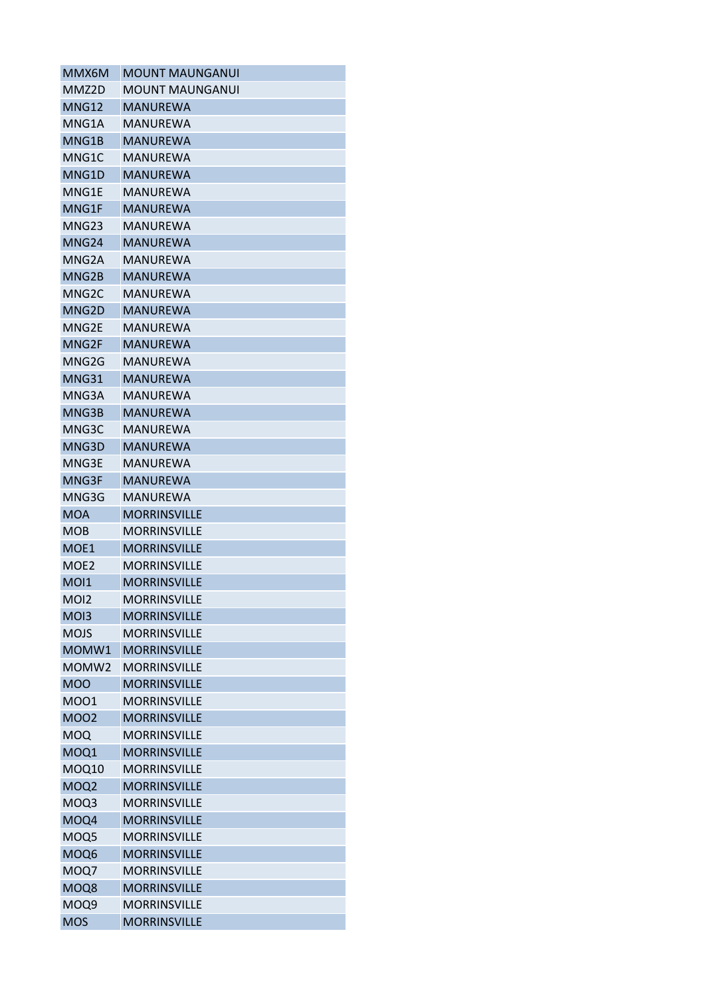| MMX6M             | <b>MOUNT MAUNGANUI</b> |
|-------------------|------------------------|
| MMZ2D             | MOUNT MAUNGANUI        |
| MNG12             | <b>MANUREWA</b>        |
| MNG1A             | MANUREWA               |
| MNG1B             | <b>MANUREWA</b>        |
| MNG1C             | MANUREWA               |
| MNG1D             | MANUREWA               |
| MNG1E             | MANUREWA               |
| MNG1F             | <b>MANUREWA</b>        |
| MNG <sub>23</sub> | MANUREWA               |
| MNG <sub>24</sub> | <b>MANUREWA</b>        |
| MNG2A             | MANUREWA               |
| MNG2B             | <b>MANUREWA</b>        |
| MNG2C             | MANUREWA               |
| MNG2D             | <b>MANUREWA</b>        |
| MNG2E             | MANUREWA               |
| MNG2F             | <b>MANUREWA</b>        |
| MNG2G             | MANUREWA               |
| MNG31             | <b>MANUREWA</b>        |
| MNG3A             | MANUREWA               |
| MNG3B             | <b>MANUREWA</b>        |
| MNG3C             | MANUREWA               |
| MNG3D             | <b>MANUREWA</b>        |
| MNG3E             | MANUREWA               |
| MNG3F             | <b>MANUREWA</b>        |
| MNG3G             | MANUREWA               |
| <b>MOA</b>        | <b>MORRINSVILLE</b>    |
|                   |                        |
| MOB               | MORRINSVILLE           |
| MOE1              | <b>MORRINSVILLE</b>    |
| MOE <sub>2</sub>  | <b>MORRINSVILLE</b>    |
| <b>MOI1</b>       | <b>MORRINSVILLE</b>    |
| MOI2              | MORRINSVILLE           |
| MO <sub>13</sub>  | <b>MORRINSVILLE</b>    |
| <b>MOJS</b>       | <b>MORRINSVILLE</b>    |
| MOMW1             | <b>MORRINSVILLE</b>    |
| MOMW <sub>2</sub> | MORRINSVILLE           |
| <b>MOO</b>        | <b>MORRINSVILLE</b>    |
| M001              | <b>MORRINSVILLE</b>    |
| <b>MOO2</b>       | <b>MORRINSVILLE</b>    |
| <b>MOQ</b>        | <b>MORRINSVILLE</b>    |
| MOQ1              | <b>MORRINSVILLE</b>    |
| MOQ10             | <b>MORRINSVILLE</b>    |
| MOQ <sub>2</sub>  | <b>MORRINSVILLE</b>    |
| MOQ3              | <b>MORRINSVILLE</b>    |
| MOQ4              | <b>MORRINSVILLE</b>    |
| MOQ5              | MORRINSVILLE           |
| MOQ6              | <b>MORRINSVILLE</b>    |
| MOQ7              | <b>MORRINSVILLE</b>    |
| MOQ8              | <b>MORRINSVILLE</b>    |
| MOQ9              | <b>MORRINSVILLE</b>    |
| <b>MOS</b>        | <b>MORRINSVILLE</b>    |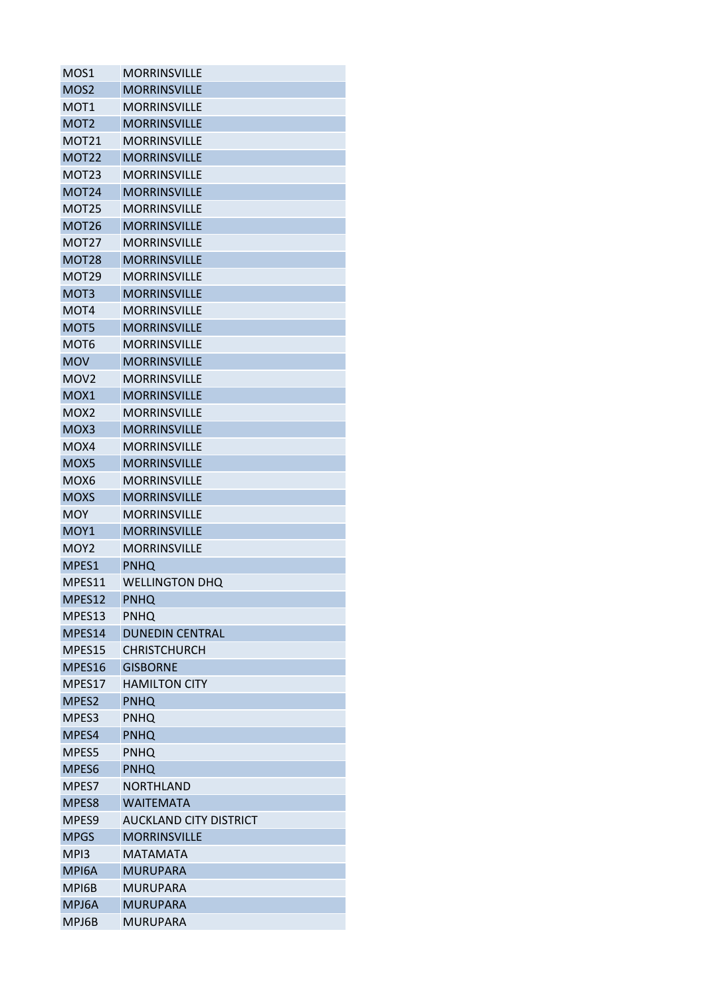| MOS1              | <b>MORRINSVILLE</b>           |
|-------------------|-------------------------------|
| MOS <sub>2</sub>  | <b>MORRINSVILLE</b>           |
| MOT1              | <b>MORRINSVILLE</b>           |
| MOT <sub>2</sub>  | <b>MORRINSVILLE</b>           |
| MOT21             | <b>MORRINSVILLE</b>           |
| <b>MOT22</b>      | <b>MORRINSVILLE</b>           |
| MOT <sub>23</sub> | <b>MORRINSVILLE</b>           |
| <b>MOT24</b>      | <b>MORRINSVILLE</b>           |
| <b>MOT25</b>      | <b>MORRINSVILLE</b>           |
| <b>MOT26</b>      | <b>MORRINSVILLE</b>           |
| MOT <sub>27</sub> | <b>MORRINSVILLE</b>           |
| MOT <sub>28</sub> | <b>MORRINSVILLE</b>           |
| MOT29             | <b>MORRINSVILLE</b>           |
| MOT <sub>3</sub>  | <b>MORRINSVILLE</b>           |
| MOT4              | <b>MORRINSVILLE</b>           |
| MOT5              | <b>MORRINSVILLE</b>           |
| MOT6              | <b>MORRINSVILLE</b>           |
| <b>MOV</b>        | <b>MORRINSVILLE</b>           |
| MOV <sub>2</sub>  | <b>MORRINSVILLE</b>           |
| MOX1              | <b>MORRINSVILLE</b>           |
| MOX <sub>2</sub>  | <b>MORRINSVILLE</b>           |
| MOX3              | <b>MORRINSVILLE</b>           |
| MOX4              | <b>MORRINSVILLE</b>           |
| MOX5              | <b>MORRINSVILLE</b>           |
| MOX6              | <b>MORRINSVILLE</b>           |
| <b>MOXS</b>       | <b>MORRINSVILLE</b>           |
| MOY               | <b>MORRINSVILLE</b>           |
| MOY <sub>1</sub>  | <b>MORRINSVILLE</b>           |
| MOY <sub>2</sub>  | <b>MORRINSVILLE</b>           |
| MPES1             | <b>PNHQ</b>                   |
| MPES11            | <b>WELLINGTON DHQ</b>         |
| MPES12            | <b>PNHQ</b>                   |
| MPES13            | <b>PNHQ</b>                   |
| MPES14            | <b>DUNEDIN CENTRAL</b>        |
| MPES15            | <b>CHRISTCHURCH</b>           |
| MPES16            | <b>GISBORNE</b>               |
| MPES17            | <b>HAMILTON CITY</b>          |
| MPES2             | <b>PNHQ</b>                   |
| MPES3             | <b>PNHQ</b>                   |
| MPES4             | <b>PNHQ</b>                   |
| MPES5             | <b>PNHQ</b>                   |
| MPES6             | <b>PNHQ</b>                   |
| MPES7             | NORTHLAND                     |
| MPES8             | <b>WAITEMATA</b>              |
| MPES <sub>9</sub> | <b>AUCKLAND CITY DISTRICT</b> |
| <b>MPGS</b>       | <b>MORRINSVILLE</b>           |
| MPI3              | <b>MATAMATA</b>               |
| MPI6A             | <b>MURUPARA</b>               |
| MPI6B             | <b>MURUPARA</b>               |
| MPJ6A             | <b>MURUPARA</b>               |
| MPJ6B             | MURUPARA                      |
|                   |                               |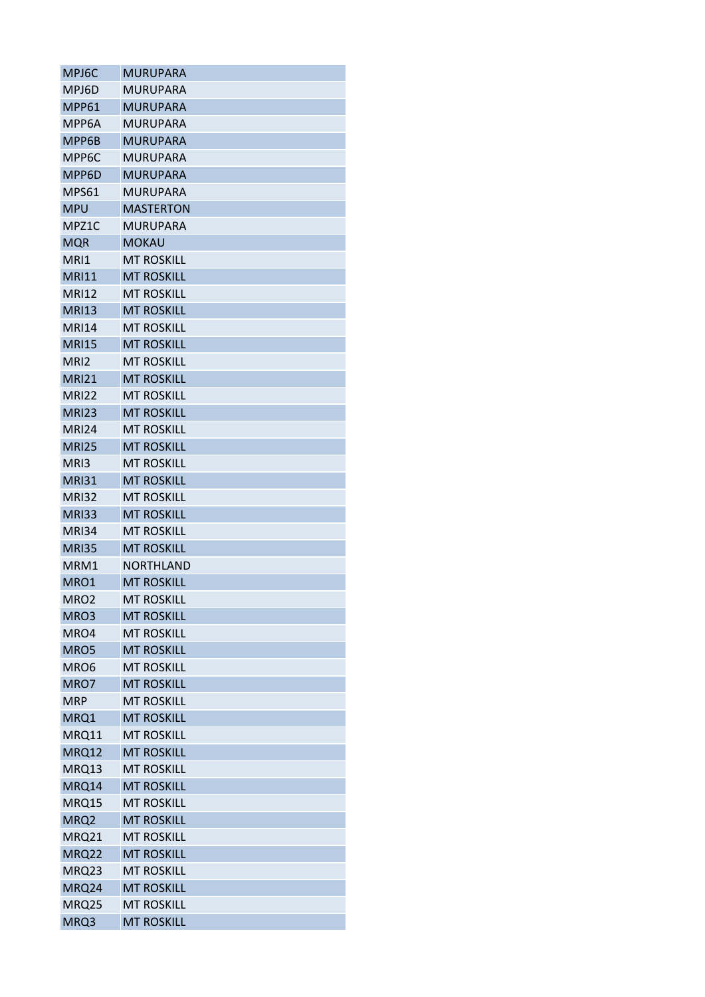| MPJ6C            | <b>MURUPARA</b>   |
|------------------|-------------------|
| MPJ6D            | MURUPARA          |
| MPP61            | <b>MURUPARA</b>   |
| MPP6A            | <b>MURUPARA</b>   |
| MPP6B            | <b>MURUPARA</b>   |
| MPP6C            | <b>MURUPARA</b>   |
| MPP6D            | <b>MURUPARA</b>   |
| MPS61            | MURUPARA          |
| <b>MPU</b>       | <b>MASTERTON</b>  |
| MPZ1C            | <b>MURUPARA</b>   |
| <b>MQR</b>       | <b>MOKAU</b>      |
| MRI1             | <b>MT ROSKILL</b> |
| <b>MRI11</b>     | <b>MT ROSKILL</b> |
| <b>MRI12</b>     | <b>MT ROSKILL</b> |
| <b>MRI13</b>     | <b>MT ROSKILL</b> |
| <b>MRI14</b>     | <b>MT ROSKILL</b> |
| <b>MRI15</b>     | <b>MT ROSKILL</b> |
| MRI2             | <b>MT ROSKILL</b> |
| <b>MRI21</b>     | <b>MT ROSKILL</b> |
| <b>MRI22</b>     | <b>MT ROSKILL</b> |
| <b>MRI23</b>     | <b>MT ROSKILL</b> |
| <b>MRI24</b>     | <b>MT ROSKILL</b> |
| <b>MRI25</b>     | <b>MT ROSKILL</b> |
| MRI3             | <b>MT ROSKILL</b> |
| <b>MRI31</b>     | <b>MT ROSKILL</b> |
| <b>MRI32</b>     | <b>MT ROSKILL</b> |
| <b>MRI33</b>     | <b>MT ROSKILL</b> |
| MRI34            | <b>MT ROSKILL</b> |
| <b>MRI35</b>     | <b>MT ROSKILL</b> |
| MRM1             | <b>NORTHLAND</b>  |
| MRO1             | <b>MT ROSKILL</b> |
| MRO <sub>2</sub> | <b>MT ROSKILL</b> |
| MRO3             | <b>MT ROSKILL</b> |
| MRO4             | <b>MT ROSKILL</b> |
| MRO <sub>5</sub> | <b>MT ROSKILL</b> |
| MRO <sub>6</sub> | <b>MT ROSKILL</b> |
| MRO7             | <b>MT ROSKILL</b> |
| <b>MRP</b>       | <b>MT ROSKILL</b> |
| MRQ1             | <b>MT ROSKILL</b> |
| MRQ11            | <b>MT ROSKILL</b> |
| <b>MRQ12</b>     | <b>MT ROSKILL</b> |
| MRQ13            | <b>MT ROSKILL</b> |
| MRQ14            | <b>MT ROSKILL</b> |
| MRQ15            | <b>MT ROSKILL</b> |
| MRQ2             | <b>MT ROSKILL</b> |
| MRQ21            | <b>MT ROSKILL</b> |
| <b>MRQ22</b>     | <b>MT ROSKILL</b> |
| MRQ23            | <b>MT ROSKILL</b> |
| MRQ24            | <b>MT ROSKILL</b> |
| MRQ25            | <b>MT ROSKILL</b> |
| MRQ3             | <b>MT ROSKILL</b> |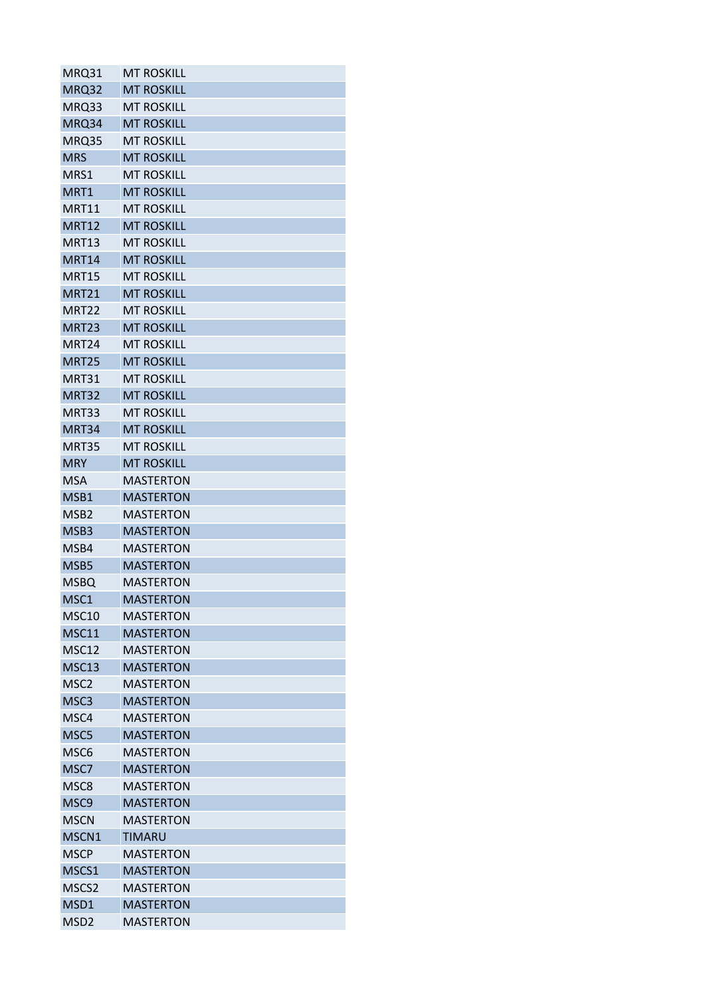| MRQ31             | <b>MT ROSKILL</b> |
|-------------------|-------------------|
| MRQ32             | <b>MT ROSKILL</b> |
| MRQ33             | <b>MT ROSKILL</b> |
| MRQ34             | <b>MT ROSKILL</b> |
| MRQ35             | <b>MT ROSKILL</b> |
| <b>MRS</b>        | <b>MT ROSKILL</b> |
| MRS1              | <b>MT ROSKILL</b> |
| MRT1              | <b>MT ROSKILL</b> |
| MRT11             | <b>MT ROSKILL</b> |
| <b>MRT12</b>      | <b>MT ROSKILL</b> |
| <b>MRT13</b>      | <b>MT ROSKILL</b> |
| <b>MRT14</b>      | <b>MT ROSKILL</b> |
| <b>MRT15</b>      | <b>MT ROSKILL</b> |
| <b>MRT21</b>      | <b>MT ROSKILL</b> |
| <b>MRT22</b>      | <b>MT ROSKILL</b> |
| <b>MRT23</b>      | <b>MT ROSKILL</b> |
| MRT <sub>24</sub> | <b>MT ROSKILL</b> |
| <b>MRT25</b>      | <b>MT ROSKILL</b> |
| MRT31             | <b>MT ROSKILL</b> |
| <b>MRT32</b>      | <b>MT ROSKILL</b> |
| MRT33             | <b>MT ROSKILL</b> |
| MRT34             | <b>MT ROSKILL</b> |
| <b>MRT35</b>      | <b>MT ROSKILL</b> |
| <b>MRY</b>        | <b>MT ROSKILL</b> |
| <b>MSA</b>        | <b>MASTERTON</b>  |
| MSB1              | <b>MASTERTON</b>  |
| MSB <sub>2</sub>  | <b>MASTERTON</b>  |
| MSB3              | <b>MASTERTON</b>  |
| MSB4              | <b>MASTERTON</b>  |
| MSB5              | <b>MASTERTON</b>  |
| <b>MSBQ</b>       | <b>MASTERTON</b>  |
| MSC1              | <b>MASTERTON</b>  |
| MSC <sub>10</sub> | <b>MASTERTON</b>  |
| <b>MSC11</b>      | <b>MASTERTON</b>  |
| <b>MSC12</b>      | <b>MASTERTON</b>  |
| <b>MSC13</b>      | <b>MASTERTON</b>  |
| MSC <sub>2</sub>  | <b>MASTERTON</b>  |
| MSC3              | <b>MASTERTON</b>  |
| MSC4              | <b>MASTERTON</b>  |
| MSC5              | <b>MASTERTON</b>  |
| MSC6              | <b>MASTERTON</b>  |
| MSC7              | <b>MASTERTON</b>  |
| MSC8              | <b>MASTERTON</b>  |
| MSC9              | <b>MASTERTON</b>  |
| <b>MSCN</b>       | <b>MASTERTON</b>  |
| MSCN1             | <b>TIMARU</b>     |
| <b>MSCP</b>       | <b>MASTERTON</b>  |
| MSCS1             | <b>MASTERTON</b>  |
| MSCS2             | <b>MASTERTON</b>  |
| MSD1              | <b>MASTERTON</b>  |
| MSD <sub>2</sub>  | <b>MASTERTON</b>  |
|                   |                   |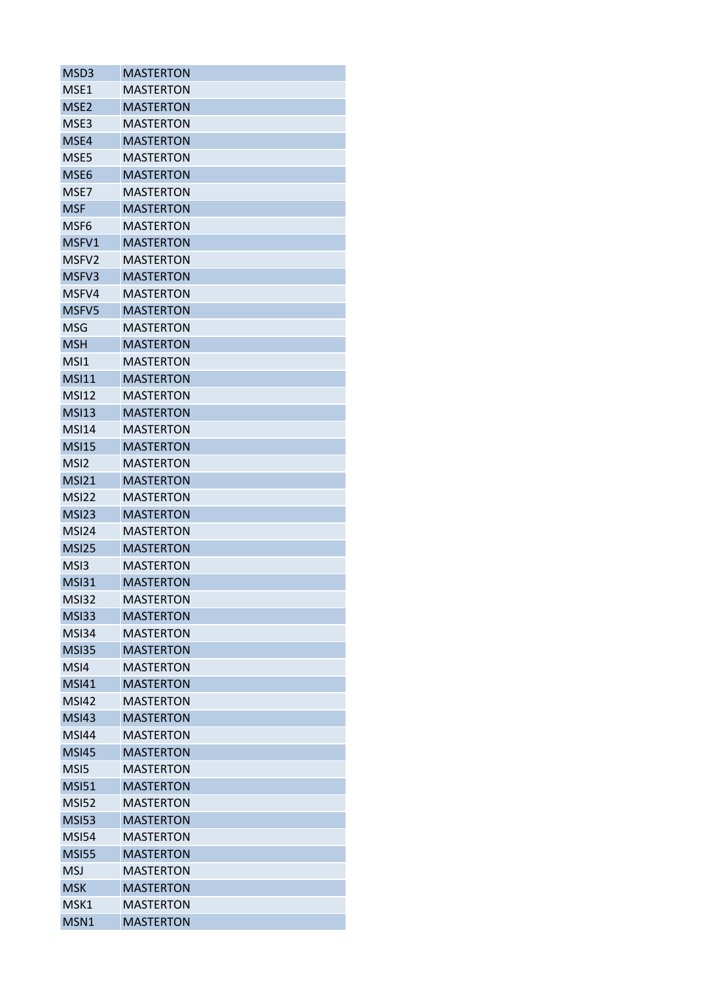| <b>MASTERTON</b><br>MSE1<br>MSE <sub>2</sub><br><b>MASTERTON</b><br>MSE3<br>MASTERTON<br>MSE4<br><b>MASTERTON</b><br>MSE5<br><b>MASTERTON</b><br>MSE6<br><b>MASTERTON</b><br>MSE7<br><b>MASTERTON</b><br><b>MSF</b><br><b>MASTERTON</b><br><b>MASTERTON</b><br>MSF6<br>MSFV1<br><b>MASTERTON</b><br>MSFV <sub>2</sub><br><b>MASTERTON</b><br><b>MASTERTON</b><br>MSFV3<br><b>MASTERTON</b><br>MSFV4<br>MSFV5<br><b>MASTERTON</b><br><b>MSG</b><br><b>MASTERTON</b><br><b>MSH</b><br><b>MASTERTON</b><br><b>MASTERTON</b><br>MSI1<br><b>MSI11</b><br><b>MASTERTON</b><br><b>MSI12</b><br><b>MASTERTON</b><br><b>MSI13</b><br><b>MASTERTON</b><br><b>MSI14</b><br><b>MASTERTON</b><br><b>MSI15</b><br><b>MASTERTON</b><br>MSI <sub>2</sub><br><b>MASTERTON</b><br><b>MSI21</b><br><b>MASTERTON</b><br><b>MSI22</b><br><b>MASTERTON</b><br><b>MSI23</b><br><b>MASTERTON</b><br>MSI24<br><b>MASTERTON</b><br><b>MSI25</b><br><b>MASTERTON</b><br><b>MASTERTON</b><br>MSI3<br><b>MSI31</b><br><b>MASTERTON</b><br><b>MASTERTON</b><br><b>MSI32</b><br><b>MASTERTON</b><br>MS <sub>133</sub><br>MSI34<br><b>MASTERTON</b><br><b>MSI35</b><br><b>MASTERTON</b><br>MSI4<br><b>MASTERTON</b><br><b>MSI41</b><br><b>MASTERTON</b><br><b>MASTERTON</b><br><b>MSI42</b><br><b>MSI43</b><br><b>MASTERTON</b><br><b>MSI44</b><br><b>MASTERTON</b><br><b>MSI45</b><br><b>MASTERTON</b><br>MS <sub>15</sub><br><b>MASTERTON</b><br><b>MSI51</b><br><b>MASTERTON</b><br><b>MSI52</b><br><b>MASTERTON</b><br><b>MSI53</b><br><b>MASTERTON</b><br><b>MSI54</b><br><b>MASTERTON</b><br><b>MSI55</b><br><b>MASTERTON</b><br><b>MSJ</b><br><b>MASTERTON</b><br><b>MSK</b><br><b>MASTERTON</b><br><b>MASTERTON</b><br>MSK1 | MSD3 | <b>MASTERTON</b> |
|-----------------------------------------------------------------------------------------------------------------------------------------------------------------------------------------------------------------------------------------------------------------------------------------------------------------------------------------------------------------------------------------------------------------------------------------------------------------------------------------------------------------------------------------------------------------------------------------------------------------------------------------------------------------------------------------------------------------------------------------------------------------------------------------------------------------------------------------------------------------------------------------------------------------------------------------------------------------------------------------------------------------------------------------------------------------------------------------------------------------------------------------------------------------------------------------------------------------------------------------------------------------------------------------------------------------------------------------------------------------------------------------------------------------------------------------------------------------------------------------------------------------------------------------------------------------------------------------------------------------------------------------------------------------------------------------------------|------|------------------|
|                                                                                                                                                                                                                                                                                                                                                                                                                                                                                                                                                                                                                                                                                                                                                                                                                                                                                                                                                                                                                                                                                                                                                                                                                                                                                                                                                                                                                                                                                                                                                                                                                                                                                                     |      |                  |
|                                                                                                                                                                                                                                                                                                                                                                                                                                                                                                                                                                                                                                                                                                                                                                                                                                                                                                                                                                                                                                                                                                                                                                                                                                                                                                                                                                                                                                                                                                                                                                                                                                                                                                     |      |                  |
|                                                                                                                                                                                                                                                                                                                                                                                                                                                                                                                                                                                                                                                                                                                                                                                                                                                                                                                                                                                                                                                                                                                                                                                                                                                                                                                                                                                                                                                                                                                                                                                                                                                                                                     |      |                  |
|                                                                                                                                                                                                                                                                                                                                                                                                                                                                                                                                                                                                                                                                                                                                                                                                                                                                                                                                                                                                                                                                                                                                                                                                                                                                                                                                                                                                                                                                                                                                                                                                                                                                                                     |      |                  |
|                                                                                                                                                                                                                                                                                                                                                                                                                                                                                                                                                                                                                                                                                                                                                                                                                                                                                                                                                                                                                                                                                                                                                                                                                                                                                                                                                                                                                                                                                                                                                                                                                                                                                                     |      |                  |
|                                                                                                                                                                                                                                                                                                                                                                                                                                                                                                                                                                                                                                                                                                                                                                                                                                                                                                                                                                                                                                                                                                                                                                                                                                                                                                                                                                                                                                                                                                                                                                                                                                                                                                     |      |                  |
|                                                                                                                                                                                                                                                                                                                                                                                                                                                                                                                                                                                                                                                                                                                                                                                                                                                                                                                                                                                                                                                                                                                                                                                                                                                                                                                                                                                                                                                                                                                                                                                                                                                                                                     |      |                  |
|                                                                                                                                                                                                                                                                                                                                                                                                                                                                                                                                                                                                                                                                                                                                                                                                                                                                                                                                                                                                                                                                                                                                                                                                                                                                                                                                                                                                                                                                                                                                                                                                                                                                                                     |      |                  |
|                                                                                                                                                                                                                                                                                                                                                                                                                                                                                                                                                                                                                                                                                                                                                                                                                                                                                                                                                                                                                                                                                                                                                                                                                                                                                                                                                                                                                                                                                                                                                                                                                                                                                                     |      |                  |
|                                                                                                                                                                                                                                                                                                                                                                                                                                                                                                                                                                                                                                                                                                                                                                                                                                                                                                                                                                                                                                                                                                                                                                                                                                                                                                                                                                                                                                                                                                                                                                                                                                                                                                     |      |                  |
|                                                                                                                                                                                                                                                                                                                                                                                                                                                                                                                                                                                                                                                                                                                                                                                                                                                                                                                                                                                                                                                                                                                                                                                                                                                                                                                                                                                                                                                                                                                                                                                                                                                                                                     |      |                  |
|                                                                                                                                                                                                                                                                                                                                                                                                                                                                                                                                                                                                                                                                                                                                                                                                                                                                                                                                                                                                                                                                                                                                                                                                                                                                                                                                                                                                                                                                                                                                                                                                                                                                                                     |      |                  |
|                                                                                                                                                                                                                                                                                                                                                                                                                                                                                                                                                                                                                                                                                                                                                                                                                                                                                                                                                                                                                                                                                                                                                                                                                                                                                                                                                                                                                                                                                                                                                                                                                                                                                                     |      |                  |
|                                                                                                                                                                                                                                                                                                                                                                                                                                                                                                                                                                                                                                                                                                                                                                                                                                                                                                                                                                                                                                                                                                                                                                                                                                                                                                                                                                                                                                                                                                                                                                                                                                                                                                     |      |                  |
|                                                                                                                                                                                                                                                                                                                                                                                                                                                                                                                                                                                                                                                                                                                                                                                                                                                                                                                                                                                                                                                                                                                                                                                                                                                                                                                                                                                                                                                                                                                                                                                                                                                                                                     |      |                  |
|                                                                                                                                                                                                                                                                                                                                                                                                                                                                                                                                                                                                                                                                                                                                                                                                                                                                                                                                                                                                                                                                                                                                                                                                                                                                                                                                                                                                                                                                                                                                                                                                                                                                                                     |      |                  |
|                                                                                                                                                                                                                                                                                                                                                                                                                                                                                                                                                                                                                                                                                                                                                                                                                                                                                                                                                                                                                                                                                                                                                                                                                                                                                                                                                                                                                                                                                                                                                                                                                                                                                                     |      |                  |
|                                                                                                                                                                                                                                                                                                                                                                                                                                                                                                                                                                                                                                                                                                                                                                                                                                                                                                                                                                                                                                                                                                                                                                                                                                                                                                                                                                                                                                                                                                                                                                                                                                                                                                     |      |                  |
|                                                                                                                                                                                                                                                                                                                                                                                                                                                                                                                                                                                                                                                                                                                                                                                                                                                                                                                                                                                                                                                                                                                                                                                                                                                                                                                                                                                                                                                                                                                                                                                                                                                                                                     |      |                  |
|                                                                                                                                                                                                                                                                                                                                                                                                                                                                                                                                                                                                                                                                                                                                                                                                                                                                                                                                                                                                                                                                                                                                                                                                                                                                                                                                                                                                                                                                                                                                                                                                                                                                                                     |      |                  |
|                                                                                                                                                                                                                                                                                                                                                                                                                                                                                                                                                                                                                                                                                                                                                                                                                                                                                                                                                                                                                                                                                                                                                                                                                                                                                                                                                                                                                                                                                                                                                                                                                                                                                                     |      |                  |
|                                                                                                                                                                                                                                                                                                                                                                                                                                                                                                                                                                                                                                                                                                                                                                                                                                                                                                                                                                                                                                                                                                                                                                                                                                                                                                                                                                                                                                                                                                                                                                                                                                                                                                     |      |                  |
|                                                                                                                                                                                                                                                                                                                                                                                                                                                                                                                                                                                                                                                                                                                                                                                                                                                                                                                                                                                                                                                                                                                                                                                                                                                                                                                                                                                                                                                                                                                                                                                                                                                                                                     |      |                  |
|                                                                                                                                                                                                                                                                                                                                                                                                                                                                                                                                                                                                                                                                                                                                                                                                                                                                                                                                                                                                                                                                                                                                                                                                                                                                                                                                                                                                                                                                                                                                                                                                                                                                                                     |      |                  |
|                                                                                                                                                                                                                                                                                                                                                                                                                                                                                                                                                                                                                                                                                                                                                                                                                                                                                                                                                                                                                                                                                                                                                                                                                                                                                                                                                                                                                                                                                                                                                                                                                                                                                                     |      |                  |
|                                                                                                                                                                                                                                                                                                                                                                                                                                                                                                                                                                                                                                                                                                                                                                                                                                                                                                                                                                                                                                                                                                                                                                                                                                                                                                                                                                                                                                                                                                                                                                                                                                                                                                     |      |                  |
|                                                                                                                                                                                                                                                                                                                                                                                                                                                                                                                                                                                                                                                                                                                                                                                                                                                                                                                                                                                                                                                                                                                                                                                                                                                                                                                                                                                                                                                                                                                                                                                                                                                                                                     |      |                  |
|                                                                                                                                                                                                                                                                                                                                                                                                                                                                                                                                                                                                                                                                                                                                                                                                                                                                                                                                                                                                                                                                                                                                                                                                                                                                                                                                                                                                                                                                                                                                                                                                                                                                                                     |      |                  |
|                                                                                                                                                                                                                                                                                                                                                                                                                                                                                                                                                                                                                                                                                                                                                                                                                                                                                                                                                                                                                                                                                                                                                                                                                                                                                                                                                                                                                                                                                                                                                                                                                                                                                                     |      |                  |
|                                                                                                                                                                                                                                                                                                                                                                                                                                                                                                                                                                                                                                                                                                                                                                                                                                                                                                                                                                                                                                                                                                                                                                                                                                                                                                                                                                                                                                                                                                                                                                                                                                                                                                     |      |                  |
|                                                                                                                                                                                                                                                                                                                                                                                                                                                                                                                                                                                                                                                                                                                                                                                                                                                                                                                                                                                                                                                                                                                                                                                                                                                                                                                                                                                                                                                                                                                                                                                                                                                                                                     |      |                  |
|                                                                                                                                                                                                                                                                                                                                                                                                                                                                                                                                                                                                                                                                                                                                                                                                                                                                                                                                                                                                                                                                                                                                                                                                                                                                                                                                                                                                                                                                                                                                                                                                                                                                                                     |      |                  |
|                                                                                                                                                                                                                                                                                                                                                                                                                                                                                                                                                                                                                                                                                                                                                                                                                                                                                                                                                                                                                                                                                                                                                                                                                                                                                                                                                                                                                                                                                                                                                                                                                                                                                                     |      |                  |
|                                                                                                                                                                                                                                                                                                                                                                                                                                                                                                                                                                                                                                                                                                                                                                                                                                                                                                                                                                                                                                                                                                                                                                                                                                                                                                                                                                                                                                                                                                                                                                                                                                                                                                     |      |                  |
|                                                                                                                                                                                                                                                                                                                                                                                                                                                                                                                                                                                                                                                                                                                                                                                                                                                                                                                                                                                                                                                                                                                                                                                                                                                                                                                                                                                                                                                                                                                                                                                                                                                                                                     |      |                  |
|                                                                                                                                                                                                                                                                                                                                                                                                                                                                                                                                                                                                                                                                                                                                                                                                                                                                                                                                                                                                                                                                                                                                                                                                                                                                                                                                                                                                                                                                                                                                                                                                                                                                                                     |      |                  |
|                                                                                                                                                                                                                                                                                                                                                                                                                                                                                                                                                                                                                                                                                                                                                                                                                                                                                                                                                                                                                                                                                                                                                                                                                                                                                                                                                                                                                                                                                                                                                                                                                                                                                                     |      |                  |
|                                                                                                                                                                                                                                                                                                                                                                                                                                                                                                                                                                                                                                                                                                                                                                                                                                                                                                                                                                                                                                                                                                                                                                                                                                                                                                                                                                                                                                                                                                                                                                                                                                                                                                     |      |                  |
|                                                                                                                                                                                                                                                                                                                                                                                                                                                                                                                                                                                                                                                                                                                                                                                                                                                                                                                                                                                                                                                                                                                                                                                                                                                                                                                                                                                                                                                                                                                                                                                                                                                                                                     |      |                  |
|                                                                                                                                                                                                                                                                                                                                                                                                                                                                                                                                                                                                                                                                                                                                                                                                                                                                                                                                                                                                                                                                                                                                                                                                                                                                                                                                                                                                                                                                                                                                                                                                                                                                                                     |      |                  |
|                                                                                                                                                                                                                                                                                                                                                                                                                                                                                                                                                                                                                                                                                                                                                                                                                                                                                                                                                                                                                                                                                                                                                                                                                                                                                                                                                                                                                                                                                                                                                                                                                                                                                                     |      |                  |
|                                                                                                                                                                                                                                                                                                                                                                                                                                                                                                                                                                                                                                                                                                                                                                                                                                                                                                                                                                                                                                                                                                                                                                                                                                                                                                                                                                                                                                                                                                                                                                                                                                                                                                     |      |                  |
|                                                                                                                                                                                                                                                                                                                                                                                                                                                                                                                                                                                                                                                                                                                                                                                                                                                                                                                                                                                                                                                                                                                                                                                                                                                                                                                                                                                                                                                                                                                                                                                                                                                                                                     |      |                  |
|                                                                                                                                                                                                                                                                                                                                                                                                                                                                                                                                                                                                                                                                                                                                                                                                                                                                                                                                                                                                                                                                                                                                                                                                                                                                                                                                                                                                                                                                                                                                                                                                                                                                                                     |      |                  |
|                                                                                                                                                                                                                                                                                                                                                                                                                                                                                                                                                                                                                                                                                                                                                                                                                                                                                                                                                                                                                                                                                                                                                                                                                                                                                                                                                                                                                                                                                                                                                                                                                                                                                                     |      |                  |
|                                                                                                                                                                                                                                                                                                                                                                                                                                                                                                                                                                                                                                                                                                                                                                                                                                                                                                                                                                                                                                                                                                                                                                                                                                                                                                                                                                                                                                                                                                                                                                                                                                                                                                     |      |                  |
|                                                                                                                                                                                                                                                                                                                                                                                                                                                                                                                                                                                                                                                                                                                                                                                                                                                                                                                                                                                                                                                                                                                                                                                                                                                                                                                                                                                                                                                                                                                                                                                                                                                                                                     |      |                  |
|                                                                                                                                                                                                                                                                                                                                                                                                                                                                                                                                                                                                                                                                                                                                                                                                                                                                                                                                                                                                                                                                                                                                                                                                                                                                                                                                                                                                                                                                                                                                                                                                                                                                                                     |      |                  |
|                                                                                                                                                                                                                                                                                                                                                                                                                                                                                                                                                                                                                                                                                                                                                                                                                                                                                                                                                                                                                                                                                                                                                                                                                                                                                                                                                                                                                                                                                                                                                                                                                                                                                                     |      |                  |
|                                                                                                                                                                                                                                                                                                                                                                                                                                                                                                                                                                                                                                                                                                                                                                                                                                                                                                                                                                                                                                                                                                                                                                                                                                                                                                                                                                                                                                                                                                                                                                                                                                                                                                     | MSN1 | <b>MASTERTON</b> |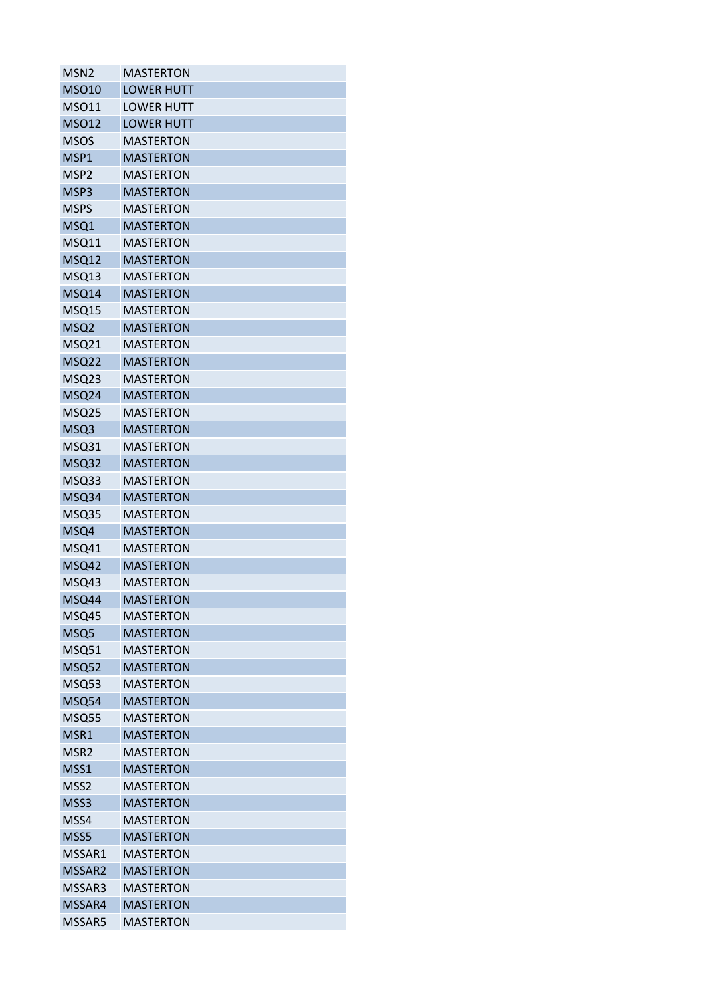| MSN <sub>2</sub> | <b>MASTERTON</b>  |
|------------------|-------------------|
| <b>MSO10</b>     | <b>LOWER HUTT</b> |
| <b>MSO11</b>     | <b>LOWER HUTT</b> |
| <b>MSO12</b>     | <b>LOWER HUTT</b> |
| <b>MSOS</b>      | <b>MASTERTON</b>  |
| MSP1             | <b>MASTERTON</b>  |
| MSP <sub>2</sub> | <b>MASTERTON</b>  |
| MSP3             | <b>MASTERTON</b>  |
| <b>MSPS</b>      | <b>MASTERTON</b>  |
| MSQ1             | <b>MASTERTON</b>  |
| MSQ11            | <b>MASTERTON</b>  |
| MSQ12            | <b>MASTERTON</b>  |
| MSQ13            | <b>MASTERTON</b>  |
| MSQ14            | <b>MASTERTON</b>  |
| MSQ15            | <b>MASTERTON</b>  |
| MSQ <sub>2</sub> | <b>MASTERTON</b>  |
| <b>MSQ21</b>     | <b>MASTERTON</b>  |
| MSQ22            | <b>MASTERTON</b>  |
| MSQ23            | <b>MASTERTON</b>  |
| MSQ24            | <b>MASTERTON</b>  |
| MSQ25            | <b>MASTERTON</b>  |
| MSQ3             | <b>MASTERTON</b>  |
| MSQ31            | <b>MASTERTON</b>  |
| MSQ32            | <b>MASTERTON</b>  |
| MSQ33            | <b>MASTERTON</b>  |
| MSQ34            | <b>MASTERTON</b>  |
| MSQ35            | <b>MASTERTON</b>  |
| MSQ4             | <b>MASTERTON</b>  |
| MSQ41            | <b>MASTERTON</b>  |
| MSQ42            | <b>MASTERTON</b>  |
| MSQ43            | <b>MASTERTON</b>  |
| MSQ44            | <b>MASTERTON</b>  |
| MSQ45            | <b>MASTERTON</b>  |
| MSQ5             | <b>MASTERTON</b>  |
| MSQ51            | <b>MASTERTON</b>  |
| <b>MSQ52</b>     | <b>MASTERTON</b>  |
| MSQ53            | <b>MASTERTON</b>  |
| MSQ54            | <b>MASTERTON</b>  |
| MSQ55            | <b>MASTERTON</b>  |
| MSR1             | <b>MASTERTON</b>  |
| MSR <sub>2</sub> | <b>MASTERTON</b>  |
| MSS1             | <b>MASTERTON</b>  |
| MSS <sub>2</sub> | <b>MASTERTON</b>  |
| MSS3             | <b>MASTERTON</b>  |
| MSS4             | <b>MASTERTON</b>  |
| MSS5             | <b>MASTERTON</b>  |
| MSSAR1           | <b>MASTERTON</b>  |
| MSSAR2           | <b>MASTERTON</b>  |
| MSSAR3           | <b>MASTERTON</b>  |
| MSSAR4           | <b>MASTERTON</b>  |
| MSSAR5           | <b>MASTERTON</b>  |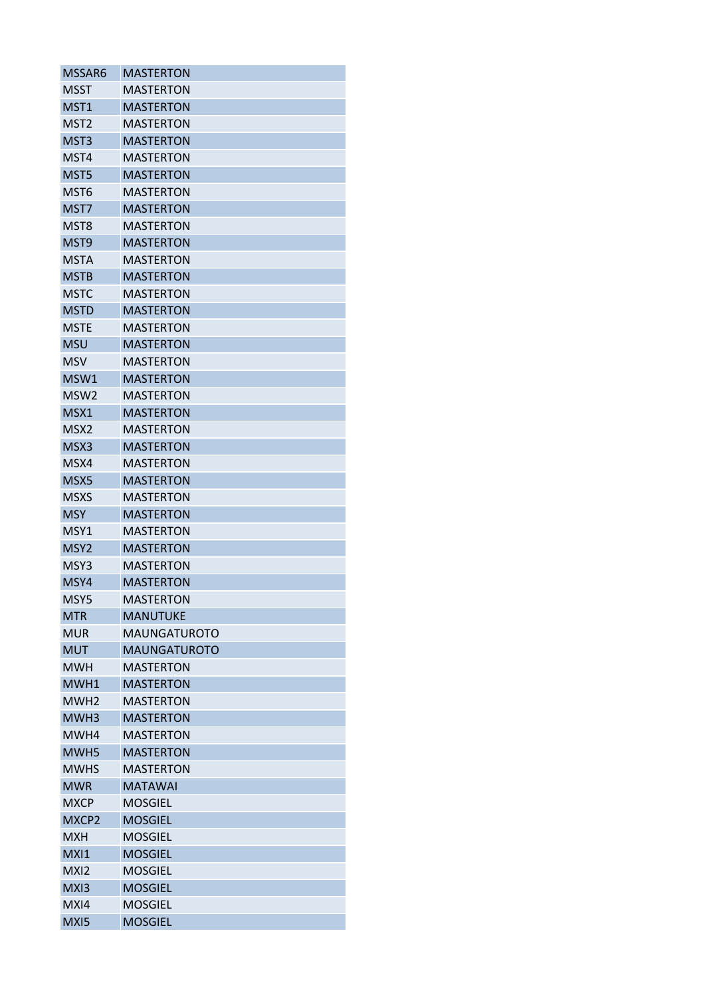| MSSAR6                   | <b>MASTERTON</b>    |
|--------------------------|---------------------|
| <b>MSST</b>              | <b>MASTERTON</b>    |
| MST1                     | <b>MASTERTON</b>    |
| MST <sub>2</sub>         | <b>MASTERTON</b>    |
| MST3                     | <b>MASTERTON</b>    |
| MST4                     | <b>MASTERTON</b>    |
| MST5                     | <b>MASTERTON</b>    |
| MST <sub>6</sub>         | <b>MASTERTON</b>    |
| MST7                     | <b>MASTERTON</b>    |
| MST8                     | <b>MASTERTON</b>    |
| MST9                     | <b>MASTERTON</b>    |
| MSTA                     | MASTERTON           |
| <b>MSTB</b>              | <b>MASTERTON</b>    |
| MSTC                     | <b>MASTERTON</b>    |
| <b>MSTD</b>              | <b>MASTERTON</b>    |
| <b>MSTE</b>              | <b>MASTERTON</b>    |
| <b>MSU</b>               | <b>MASTERTON</b>    |
| MSV                      | <b>MASTERTON</b>    |
| MSW1                     | <b>MASTERTON</b>    |
| MSW2                     | <b>MASTERTON</b>    |
| MSX1                     | <b>MASTERTON</b>    |
| MSX <sub>2</sub>         | <b>MASTERTON</b>    |
| MSX3                     | <b>MASTERTON</b>    |
| MSX4                     | <b>MASTERTON</b>    |
| MSX5                     | <b>MASTERTON</b>    |
| <b>MSXS</b>              | <b>MASTERTON</b>    |
| <b>MSY</b>               | <b>MASTERTON</b>    |
|                          |                     |
| MSY1                     | MASTERTON           |
| MSY <sub>2</sub><br>MSY3 | <b>MASTERTON</b>    |
|                          | <b>MASTERTON</b>    |
| MSY4                     | <b>MASTERTON</b>    |
| MSY5                     | <b>MASTERTON</b>    |
| <b>MTR</b>               | <b>MANUTUKE</b>     |
| <b>MUR</b>               | <b>MAUNGATUROTO</b> |
| <b>MUT</b>               | <b>MAUNGATUROTO</b> |
| <b>MWH</b>               | <b>MASTERTON</b>    |
| MWH1                     | <b>MASTERTON</b>    |
| MWH <sub>2</sub>         | <b>MASTERTON</b>    |
| MWH3                     | <b>MASTERTON</b>    |
| MWH4                     | <b>MASTERTON</b>    |
| MWH <sub>5</sub>         | <b>MASTERTON</b>    |
| <b>MWHS</b>              | <b>MASTERTON</b>    |
| <b>MWR</b>               | <b>MATAWAI</b>      |
| <b>MXCP</b>              | <b>MOSGIEL</b>      |
| MXCP2                    | <b>MOSGIEL</b>      |
| <b>MXH</b>               | <b>MOSGIEL</b>      |
| MXI1                     | <b>MOSGIEL</b>      |
| MXI2                     | <b>MOSGIEL</b>      |
| MX <sub>13</sub>         | <b>MOSGIEL</b>      |
| MXI4                     | <b>MOSGIEL</b>      |
| MXI5                     | <b>MOSGIEL</b>      |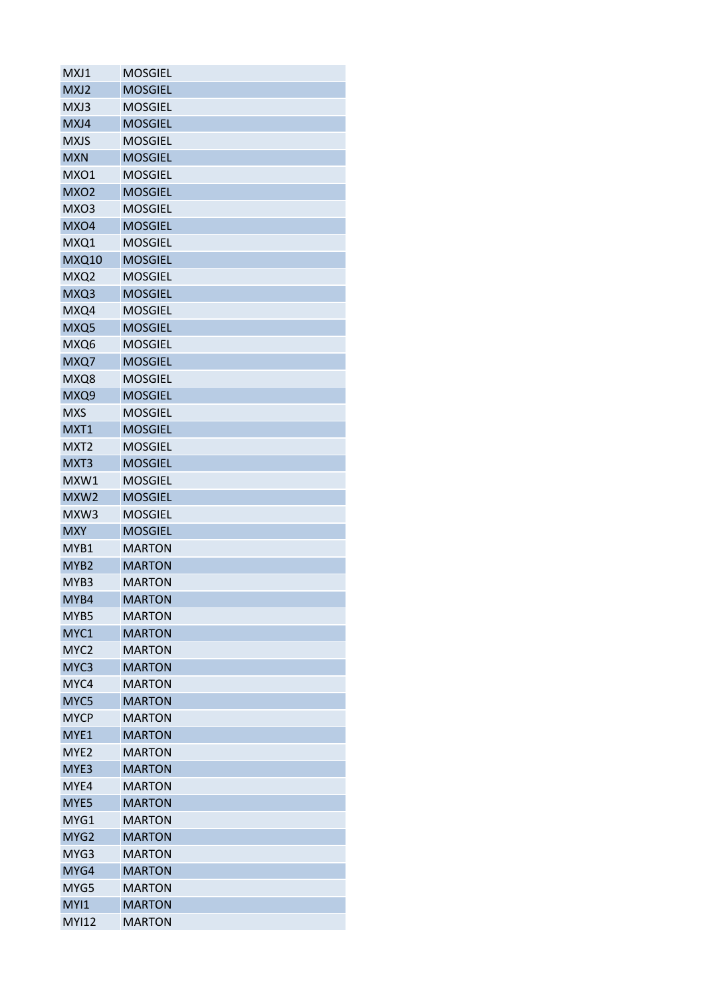| MXJ1             | <b>MOSGIEL</b> |
|------------------|----------------|
| MXJ2             | <b>MOSGIEL</b> |
| MXJ3             | <b>MOSGIEL</b> |
| MXJ4             | <b>MOSGIEL</b> |
| <b>MXJS</b>      | <b>MOSGIEL</b> |
| <b>MXN</b>       | <b>MOSGIEL</b> |
| MXO1             | <b>MOSGIEL</b> |
| MXO <sub>2</sub> | <b>MOSGIEL</b> |
| MXO3             | <b>MOSGIEL</b> |
| MXO4             | <b>MOSGIEL</b> |
| MXQ1             | <b>MOSGIEL</b> |
| <b>MXQ10</b>     | <b>MOSGIEL</b> |
| MXQ2             | <b>MOSGIEL</b> |
| MXQ3             | <b>MOSGIEL</b> |
| MXQ4             | <b>MOSGIEL</b> |
| MXQ5             | <b>MOSGIEL</b> |
| MXQ6             | <b>MOSGIEL</b> |
| MXQ7             | <b>MOSGIEL</b> |
| MXQ8             | <b>MOSGIEL</b> |
| MXQ9             | <b>MOSGIEL</b> |
| <b>MXS</b>       | <b>MOSGIEL</b> |
| MXT1             | <b>MOSGIEL</b> |
| MXT <sub>2</sub> | <b>MOSGIEL</b> |
| MXT3             | <b>MOSGIEL</b> |
| MXW1             | <b>MOSGIEL</b> |
| MXW <sub>2</sub> | <b>MOSGIEL</b> |
| MXW3             | <b>MOSGIEL</b> |
| <b>MXY</b>       | <b>MOSGIEL</b> |
| MYB1             | <b>MARTON</b>  |
| MYB <sub>2</sub> | <b>MARTON</b>  |
| MYB3             |                |
|                  | <b>MARTON</b>  |
| MYB4             | <b>MARTON</b>  |
| MYB5             | <b>MARTON</b>  |
| MYC1             | <b>MARTON</b>  |
| MYC <sub>2</sub> | <b>MARTON</b>  |
| MYC <sub>3</sub> | <b>MARTON</b>  |
| MYC4             | <b>MARTON</b>  |
| MYC5             | <b>MARTON</b>  |
| <b>MYCP</b>      | <b>MARTON</b>  |
| MYE1             | <b>MARTON</b>  |
| MYE <sub>2</sub> | <b>MARTON</b>  |
| MYE3             | <b>MARTON</b>  |
| MYE4             | <b>MARTON</b>  |
| MYE5             | <b>MARTON</b>  |
| MYG1             | <b>MARTON</b>  |
| MYG <sub>2</sub> | <b>MARTON</b>  |
| MYG3             | <b>MARTON</b>  |
| MYG4             | <b>MARTON</b>  |
| MYG5             | <b>MARTON</b>  |
| MYI1             | <b>MARTON</b>  |
| <b>MYI12</b>     | <b>MARTON</b>  |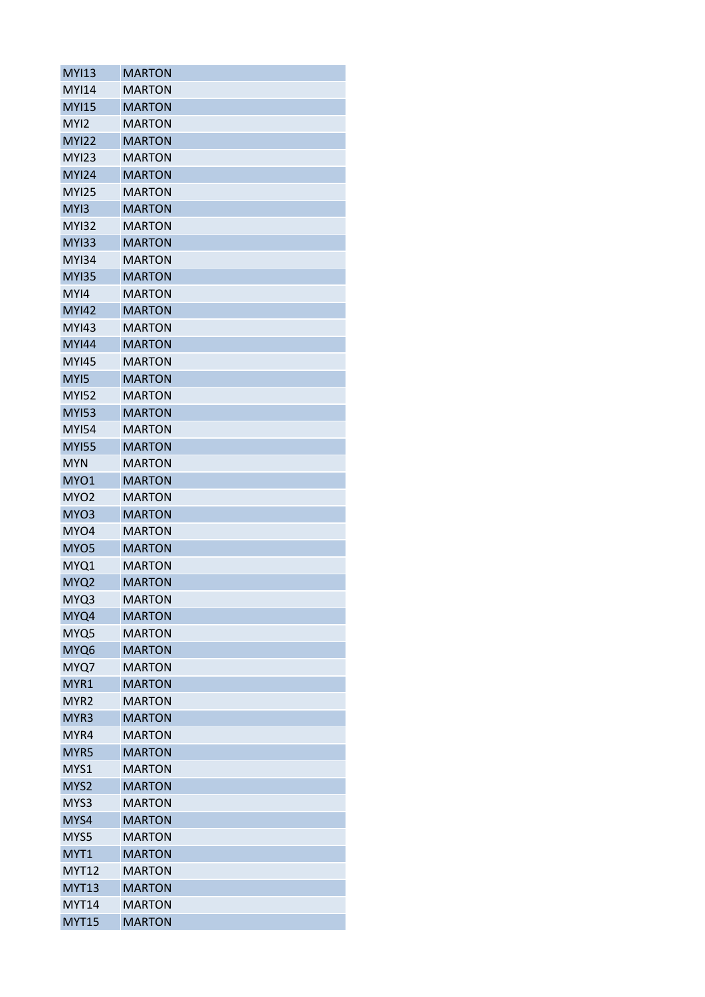| <b>MYI13</b>     | <b>MARTON</b> |
|------------------|---------------|
| <b>MYI14</b>     | <b>MARTON</b> |
| <b>MYI15</b>     | <b>MARTON</b> |
| MYI2             | <b>MARTON</b> |
| <b>MYI22</b>     | <b>MARTON</b> |
| <b>MYI23</b>     | <b>MARTON</b> |
| <b>MYI24</b>     | <b>MARTON</b> |
| <b>MYI25</b>     | <b>MARTON</b> |
| MY <sub>13</sub> | <b>MARTON</b> |
| <b>MYI32</b>     | <b>MARTON</b> |
| <b>MYI33</b>     | <b>MARTON</b> |
| <b>MYI34</b>     | MARTON        |
| <b>MYI35</b>     | <b>MARTON</b> |
| MYI4             | <b>MARTON</b> |
| <b>MYI42</b>     | <b>MARTON</b> |
| <b>MYI43</b>     | <b>MARTON</b> |
| <b>MYI44</b>     | <b>MARTON</b> |
| <b>MYI45</b>     | <b>MARTON</b> |
| MY <sub>15</sub> | <b>MARTON</b> |
| <b>MYI52</b>     | <b>MARTON</b> |
| <b>MYI53</b>     | <b>MARTON</b> |
| <b>MYI54</b>     | <b>MARTON</b> |
| <b>MYI55</b>     | <b>MARTON</b> |
| <b>MYN</b>       | <b>MARTON</b> |
| MYO1             | <b>MARTON</b> |
| MYO <sub>2</sub> | <b>MARTON</b> |
| MYO3             | <b>MARTON</b> |
| MYO4             | <b>MARTON</b> |
| MYO <sub>5</sub> | <b>MARTON</b> |
| MYQ1             | <b>MARTON</b> |
| MYQ2             | <b>MARTON</b> |
| MYQ3             | <b>MARTON</b> |
| MYQ4             | <b>MARTON</b> |
| MYQ5             | <b>MARTON</b> |
| MYQ6             | <b>MARTON</b> |
| MYQ7             | <b>MARTON</b> |
| MYR1             | <b>MARTON</b> |
| MYR <sub>2</sub> | <b>MARTON</b> |
| MYR3             | <b>MARTON</b> |
| MYR4             | <b>MARTON</b> |
| MYR5             | <b>MARTON</b> |
| MYS1             | <b>MARTON</b> |
| MYS2             | <b>MARTON</b> |
| MYS3             | <b>MARTON</b> |
| MYS4             | <b>MARTON</b> |
| MYS5             | <b>MARTON</b> |
| MYT1             | <b>MARTON</b> |
| <b>MYT12</b>     | <b>MARTON</b> |
| <b>MYT13</b>     | <b>MARTON</b> |
| <b>MYT14</b>     | <b>MARTON</b> |
| <b>MYT15</b>     | <b>MARTON</b> |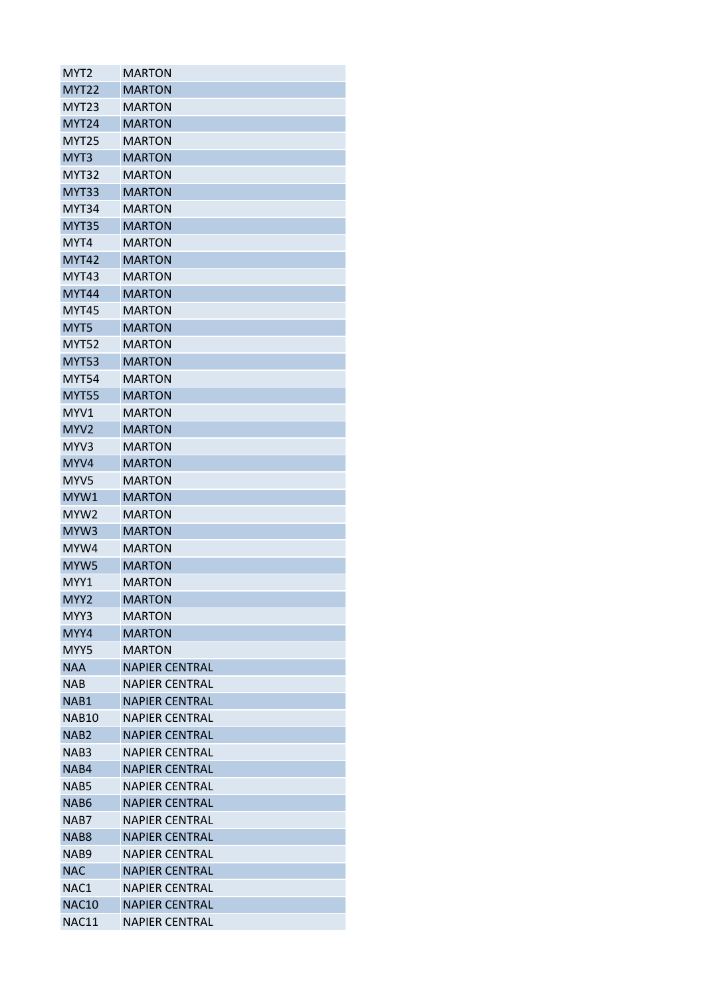| MYT2              | <b>MARTON</b>         |
|-------------------|-----------------------|
| <b>MYT22</b>      | <b>MARTON</b>         |
| MYT <sub>23</sub> | <b>MARTON</b>         |
| <b>MYT24</b>      | <b>MARTON</b>         |
| <b>MYT25</b>      | <b>MARTON</b>         |
| MYT3              | <b>MARTON</b>         |
| MYT32             | <b>MARTON</b>         |
| MYT33             | <b>MARTON</b>         |
| MYT34             | <b>MARTON</b>         |
| <b>MYT35</b>      | <b>MARTON</b>         |
| MYT4              | <b>MARTON</b>         |
| MYT42             | <b>MARTON</b>         |
| MYT43             | <b>MARTON</b>         |
| <b>MYT44</b>      | <b>MARTON</b>         |
| <b>MYT45</b>      | <b>MARTON</b>         |
| MYT5              | <b>MARTON</b>         |
| <b>MYT52</b>      | <b>MARTON</b>         |
| <b>MYT53</b>      | <b>MARTON</b>         |
| <b>MYT54</b>      | <b>MARTON</b>         |
| <b>MYT55</b>      | <b>MARTON</b>         |
| MYV1              | <b>MARTON</b>         |
| MYV <sub>2</sub>  | <b>MARTON</b>         |
| MYV3              | <b>MARTON</b>         |
| MYV4              | <b>MARTON</b>         |
| MYV5              | MARTON                |
| MYW1              | <b>MARTON</b>         |
| MYW <sub>2</sub>  | <b>MARTON</b>         |
| MYW3              | <b>MARTON</b>         |
| MYW4              | <b>MARTON</b>         |
| MYW <sub>5</sub>  | <b>MARTON</b>         |
| MYY1              | <b>MARTON</b>         |
| MYY2              | <b>MARTON</b>         |
| MYY3              | <b>MARTON</b>         |
| MYY4              | <b>MARTON</b>         |
| MYY5              | MARTON                |
| <b>NAA</b>        | <b>NAPIER CENTRAL</b> |
| NAB               | <b>NAPIER CENTRAL</b> |
| NAB1              | <b>NAPIER CENTRAL</b> |
| <b>NAB10</b>      | <b>NAPIER CENTRAL</b> |
| NAB2              | <b>NAPIER CENTRAL</b> |
| NAB3              | <b>NAPIER CENTRAL</b> |
| NAB4              | <b>NAPIER CENTRAL</b> |
| NAB5              | <b>NAPIER CENTRAL</b> |
| NAB6              | <b>NAPIER CENTRAL</b> |
| NAB7              | <b>NAPIER CENTRAL</b> |
|                   |                       |
| NAB <sub>8</sub>  | <b>NAPIER CENTRAL</b> |
| NAB9              | <b>NAPIER CENTRAL</b> |
| <b>NAC</b>        | <b>NAPIER CENTRAL</b> |
| NAC1              | <b>NAPIER CENTRAL</b> |
| <b>NAC10</b>      | <b>NAPIER CENTRAL</b> |
| NAC11             | <b>NAPIER CENTRAL</b> |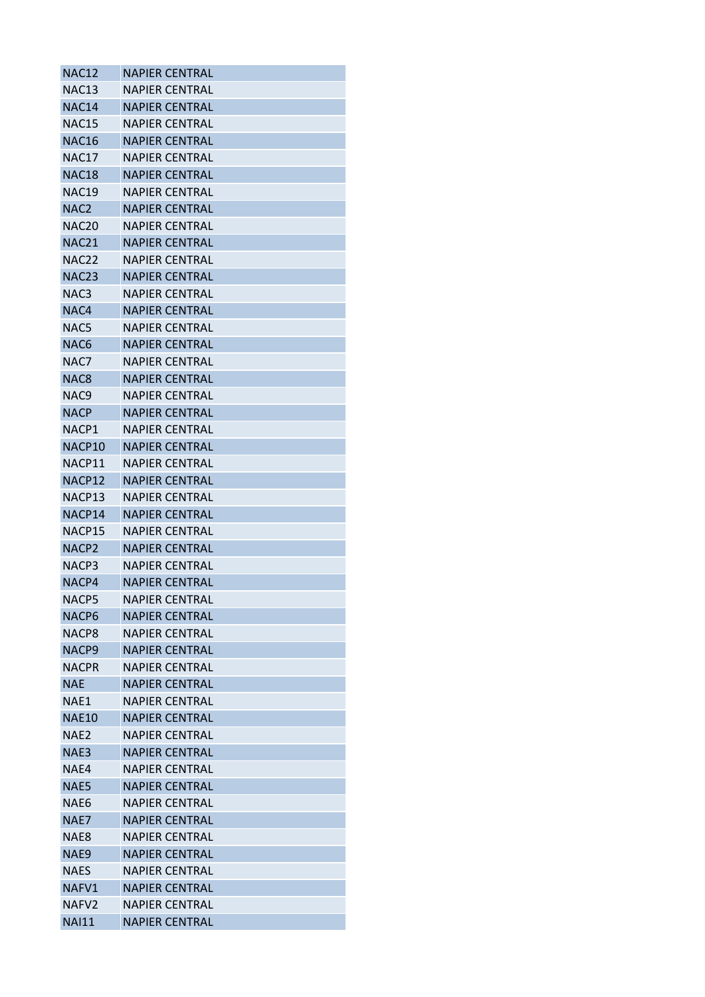| <b>NAC12</b>      | <b>NAPIER CENTRAL</b> |
|-------------------|-----------------------|
| NAC <sub>13</sub> | <b>NAPIER CENTRAL</b> |
| NAC14             | <b>NAPIER CENTRAL</b> |
| <b>NAC15</b>      | <b>NAPIER CENTRAL</b> |
| <b>NAC16</b>      | <b>NAPIER CENTRAL</b> |
| NAC17             | <b>NAPIER CENTRAL</b> |
| <b>NAC18</b>      | <b>NAPIER CENTRAL</b> |
| <b>NAC19</b>      | <b>NAPIFR CENTRAL</b> |
| NAC <sub>2</sub>  | <b>NAPIER CENTRAL</b> |
| <b>NAC20</b>      | <b>NAPIER CENTRAL</b> |
| <b>NAC21</b>      | <b>NAPIER CENTRAL</b> |
| NAC <sub>22</sub> | NAPIER CENTRAL        |
| <b>NAC23</b>      | <b>NAPIER CENTRAL</b> |
| NAC3              | NAPIER CENTRAL        |
| NAC4              | <b>NAPIER CENTRAL</b> |
| NAC5              | <b>NAPIER CENTRAL</b> |
| NAC6              | <b>NAPIER CENTRAL</b> |
| NAC7              | NAPIER CENTRAL        |
| NAC <sub>8</sub>  | <b>NAPIER CENTRAL</b> |
| NAC9              | <b>NAPIER CENTRAL</b> |
| <b>NACP</b>       | <b>NAPIER CENTRAL</b> |
| NACP1             | <b>NAPIER CENTRAL</b> |
| NACP10            | <b>NAPIER CENTRAL</b> |
| NACP11            | <b>NAPIER CENTRAL</b> |
| NACP12            | <b>NAPIER CENTRAL</b> |
| NACP13            | NAPIER CENTRAL        |
| NACP14            | <b>NAPIER CENTRAL</b> |
| NACP15            | NAPIER CENTRAL        |
| NACP <sub>2</sub> | <b>NAPIER CENTRAL</b> |
| NACP3             | <b>NAPIER CENTRAL</b> |
| NACP4             | <b>NAPIER CENTRAL</b> |
| NACP5             | <b>NAPIER CENTRAL</b> |
| NACP6             | <b>NAPIER CENTRAL</b> |
| NACP8             | <b>NAPIER CENTRAL</b> |
| NACP <sub>9</sub> | <b>NAPIER CENTRAL</b> |
| <b>NACPR</b>      | NAPIER CENTRAL        |
| <b>NAE</b>        | <b>NAPIER CENTRAL</b> |
| NAE1              | <b>NAPIER CENTRAL</b> |
| <b>NAE10</b>      | <b>NAPIER CENTRAL</b> |
| NAE2              | <b>NAPIER CENTRAL</b> |
| NAE3              | <b>NAPIER CENTRAL</b> |
| NAE4              | <b>NAPIER CENTRAL</b> |
| NAE5              | <b>NAPIER CENTRAL</b> |
| NAE6              | <b>NAPIER CENTRAL</b> |
| NAE7              | <b>NAPIER CENTRAL</b> |
|                   | NAPIER CENTRAL        |
| NAE8              |                       |
| NAE9              | <b>NAPIER CENTRAL</b> |
| <b>NAES</b>       | <b>NAPIER CENTRAL</b> |
| NAFV1             | <b>NAPIER CENTRAL</b> |
| NAFV <sub>2</sub> | <b>NAPIER CENTRAL</b> |
| <b>NAI11</b>      | NAPIER CENTRAL        |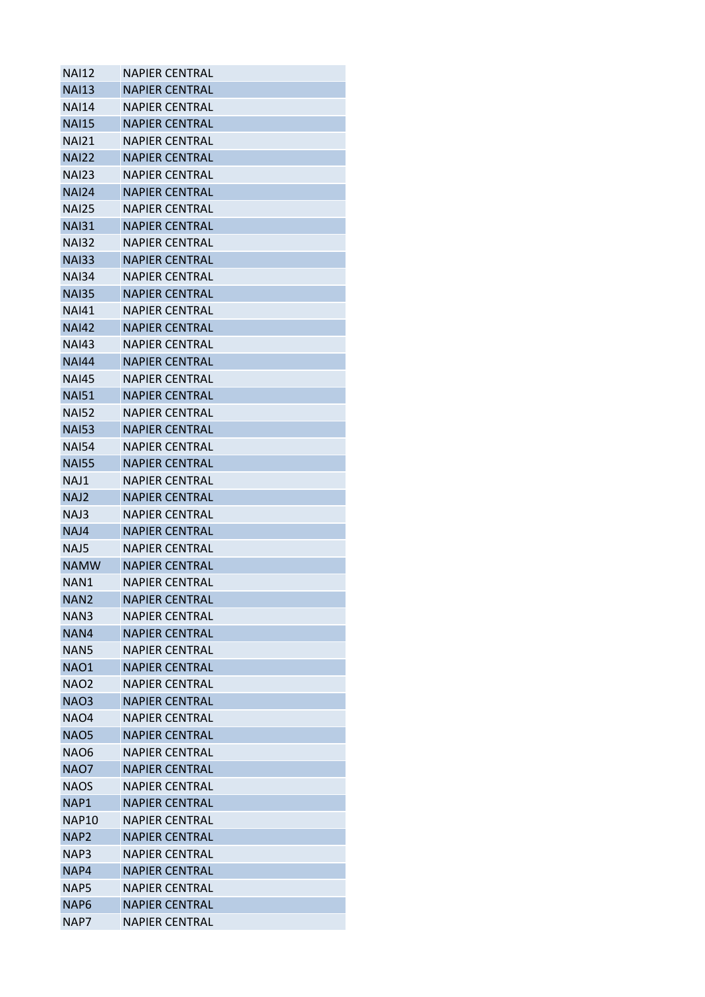| <b>NAI12</b>     | <b>NAPIER CENTRAL</b> |
|------------------|-----------------------|
| <b>NAI13</b>     | <b>NAPIER CENTRAL</b> |
| NAI14            | <b>NAPIER CENTRAL</b> |
| <b>NAI15</b>     | <b>NAPIER CENTRAL</b> |
| <b>NAI21</b>     | NAPIER CENTRAL        |
| <b>NAI22</b>     | <b>NAPIER CENTRAL</b> |
| <b>NAI23</b>     | NAPIER CENTRAL        |
| <b>NAI24</b>     | <b>NAPIER CENTRAL</b> |
| <b>NAI25</b>     | <b>NAPIER CENTRAL</b> |
| <b>NAI31</b>     | <b>NAPIER CENTRAL</b> |
| <b>NAI32</b>     | <b>NAPIER CENTRAL</b> |
| <b>NAI33</b>     | <b>NAPIER CENTRAL</b> |
| <b>NAI34</b>     | <b>NAPIER CENTRAL</b> |
| <b>NAI35</b>     | <b>NAPIER CENTRAL</b> |
| <b>NAI41</b>     | <b>NAPIER CENTRAL</b> |
| <b>NAI42</b>     | <b>NAPIER CENTRAL</b> |
| <b>NAI43</b>     | <b>NAPIER CENTRAL</b> |
| <b>NAI44</b>     | <b>NAPIER CENTRAL</b> |
| <b>NAI45</b>     | <b>NAPIER CENTRAL</b> |
| <b>NAI51</b>     | <b>NAPIER CENTRAL</b> |
| <b>NAI52</b>     | <b>NAPIER CENTRAL</b> |
| <b>NAI53</b>     | <b>NAPIER CENTRAL</b> |
| <b>NAI54</b>     | NAPIER CENTRAL        |
| <b>NAI55</b>     | <b>NAPIER CENTRAL</b> |
| NAJ1             | <b>NAPIER CENTRAL</b> |
| NAJ <sub>2</sub> | <b>NAPIER CENTRAL</b> |
| NAJ3             | <b>NAPIER CENTRAL</b> |
| NAJ4             | <b>NAPIER CENTRAL</b> |
| NAJ5             | <b>NAPIER CENTRAL</b> |
| <b>NAMW</b>      | <b>NAPIER CENTRAL</b> |
| NAN1             | <b>NAPIER CENTRAL</b> |
| NAN <sub>2</sub> | <b>NAPIER CENTRAL</b> |
| NAN3             | <b>NAPIER CENTRAL</b> |
| NAN4             | <b>NAPIER CENTRAL</b> |
| NAN5             | NAPIER CENTRAL        |
| <b>NAO1</b>      | <b>NAPIER CENTRAL</b> |
| <b>NAO2</b>      | NAPIER CENTRAL        |
| <b>NAO3</b>      | <b>NAPIER CENTRAL</b> |
| <b>NAO4</b>      | <b>NAPIER CENTRAL</b> |
| <b>NAO5</b>      | <b>NAPIER CENTRAL</b> |
| NAO6             | <b>NAPIER CENTRAL</b> |
| NAO7             | <b>NAPIER CENTRAL</b> |
| <b>NAOS</b>      | <b>NAPIER CENTRAL</b> |
| NAP1             | <b>NAPIER CENTRAL</b> |
| <b>NAP10</b>     | <b>NAPIER CENTRAL</b> |
| NAP <sub>2</sub> | <b>NAPIER CENTRAL</b> |
| NAP3             | <b>NAPIER CENTRAL</b> |
| NAP4             | <b>NAPIER CENTRAL</b> |
| NAP5             | <b>NAPIER CENTRAL</b> |
| NAP <sub>6</sub> | <b>NAPIER CENTRAL</b> |
| NAP7             | NAPIER CENTRAL        |
|                  |                       |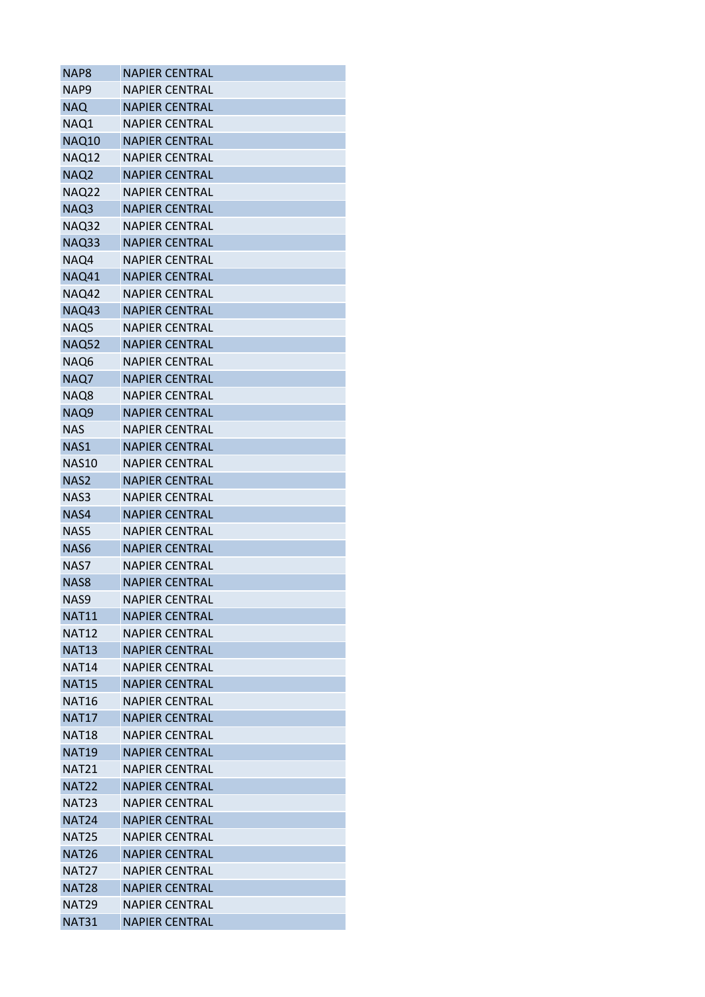| NAP8              | <b>NAPIER CENTRAL</b> |
|-------------------|-----------------------|
| NAP <sub>9</sub>  | <b>NAPIER CENTRAL</b> |
| <b>NAQ</b>        | <b>NAPIER CENTRAL</b> |
| NAQ1              | <b>NAPIER CENTRAL</b> |
| <b>NAQ10</b>      | <b>NAPIER CENTRAL</b> |
| NAQ12             | <b>NAPIER CENTRAL</b> |
| NAQ <sub>2</sub>  | <b>NAPIER CENTRAL</b> |
| NAQ22             | <b>NAPIER CENTRAL</b> |
| NAQ3              | <b>NAPIER CENTRAL</b> |
| <b>NAQ32</b>      | <b>NAPIER CENTRAL</b> |
| NAQ33             | <b>NAPIER CENTRAL</b> |
| NAQ4              | <b>NAPIER CENTRAL</b> |
| NAQ41             | <b>NAPIER CENTRAL</b> |
| NAQ42             | <b>NAPIER CENTRAL</b> |
| <b>NAQ43</b>      | <b>NAPIER CENTRAL</b> |
| NAQ5              | <b>NAPIER CENTRAL</b> |
| <b>NAQ52</b>      | <b>NAPIER CENTRAL</b> |
| NAQ6              | <b>NAPIER CENTRAL</b> |
| NAQ7              | <b>NAPIER CENTRAL</b> |
| NAQ8              | <b>NAPIER CENTRAL</b> |
| NAQ9              | <b>NAPIER CENTRAL</b> |
| <b>NAS</b>        | <b>NAPIER CENTRAL</b> |
| NAS1              | <b>NAPIER CENTRAL</b> |
| NAS10             | <b>NAPIER CENTRAL</b> |
| NAS <sub>2</sub>  | <b>NAPIER CENTRAL</b> |
| NAS3              | <b>NAPIER CENTRAL</b> |
| NAS4              | <b>NAPIER CENTRAL</b> |
| NAS5              | <b>NAPIER CENTRAL</b> |
| NAS6              | <b>NAPIER CENTRAL</b> |
| NAS7              | <b>NAPIER CENTRAL</b> |
| NAS8              | <b>NAPIER CENTRAL</b> |
| NAS9              | <b>NAPIER CENTRAL</b> |
| <b>NAT11</b>      | <b>NAPIER CENTRAL</b> |
| <b>NAT12</b>      | <b>NAPIER CENTRAL</b> |
| <b>NAT13</b>      | <b>NAPIER CENTRAL</b> |
| <b>NAT14</b>      | <b>NAPIER CENTRAL</b> |
| <b>NAT15</b>      | <b>NAPIER CENTRAL</b> |
| <b>NAT16</b>      | <b>NAPIER CENTRAL</b> |
| <b>NAT17</b>      | <b>NAPIER CENTRAL</b> |
| <b>NAT18</b>      | <b>NAPIER CENTRAL</b> |
| <b>NAT19</b>      | <b>NAPIER CENTRAL</b> |
| <b>NAT21</b>      | <b>NAPIER CENTRAL</b> |
| <b>NAT22</b>      | <b>NAPIER CENTRAL</b> |
| <b>NAT23</b>      | <b>NAPIER CENTRAL</b> |
| <b>NAT24</b>      | <b>NAPIER CENTRAL</b> |
| <b>NAT25</b>      | <b>NAPIER CENTRAL</b> |
| <b>NAT26</b>      | <b>NAPIER CENTRAL</b> |
| NAT <sub>27</sub> |                       |
|                   | <b>NAPIER CENTRAL</b> |
| <b>NAT28</b>      | <b>NAPIER CENTRAL</b> |
| <b>NAT29</b>      | <b>NAPIER CENTRAL</b> |
| <b>NAT31</b>      | NAPIER CENTRAL        |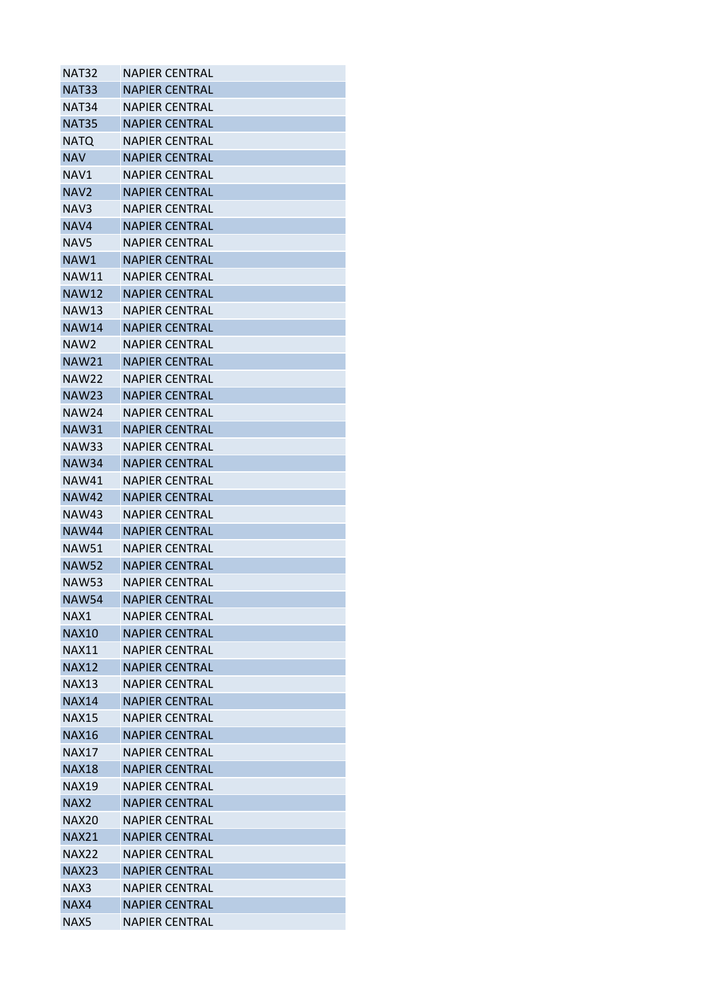| <b>NAT32</b>      | <b>NAPIER CENTRAL</b> |
|-------------------|-----------------------|
| <b>NAT33</b>      | <b>NAPIER CENTRAL</b> |
| NAT <sub>34</sub> | <b>NAPIER CENTRAL</b> |
| <b>NAT35</b>      | <b>NAPIER CENTRAL</b> |
| <b>NATQ</b>       | NAPIER CENTRAL        |
| <b>NAV</b>        | <b>NAPIER CENTRAL</b> |
| NAV1              | <b>NAPIER CENTRAL</b> |
| NAV <sub>2</sub>  | <b>NAPIER CENTRAL</b> |
| NAV3              | <b>NAPIER CENTRAL</b> |
| NAV4              | <b>NAPIER CENTRAL</b> |
| NAV5              | <b>NAPIER CENTRAL</b> |
| NAW1              | <b>NAPIER CENTRAL</b> |
| NAW11             | <b>NAPIER CENTRAL</b> |
| <b>NAW12</b>      | <b>NAPIER CENTRAL</b> |
| <b>NAW13</b>      | <b>NAPIER CENTRAL</b> |
| <b>NAW14</b>      | <b>NAPIER CENTRAL</b> |
| NAW2              | <b>NAPIFR CENTRAL</b> |
| <b>NAW21</b>      | <b>NAPIER CENTRAL</b> |
| <b>NAW22</b>      | <b>NAPIER CENTRAL</b> |
| <b>NAW23</b>      | <b>NAPIER CENTRAL</b> |
| NAW24             | NAPIER CENTRAL        |
| <b>NAW31</b>      | <b>NAPIER CENTRAL</b> |
| <b>NAW33</b>      | <b>NAPIER CENTRAL</b> |
| <b>NAW34</b>      | <b>NAPIER CENTRAL</b> |
| NAW41             | <b>NAPIER CENTRAL</b> |
| <b>NAW42</b>      | <b>NAPIER CENTRAL</b> |
| <b>NAW43</b>      | <b>NAPIER CENTRAL</b> |
| <b>NAW44</b>      | <b>NAPIER CENTRAL</b> |
| <b>NAW51</b>      | <b>NAPIER CENTRAL</b> |
| <b>NAW52</b>      | <b>NAPIER CENTRAL</b> |
| NAW53             | <b>NAPIER CENTRAL</b> |
| <b>NAW54</b>      | <b>NAPIER CENTRAL</b> |
| NAX1              | <b>NAPIER CENTRAL</b> |
| <b>NAX10</b>      | <b>NAPIER CENTRAL</b> |
| <b>NAX11</b>      | NAPIER CENTRAL        |
| <b>NAX12</b>      | <b>NAPIER CENTRAL</b> |
| <b>NAX13</b>      | <b>NAPIER CENTRAL</b> |
| <b>NAX14</b>      | <b>NAPIER CENTRAL</b> |
| <b>NAX15</b>      | <b>NAPIER CENTRAL</b> |
| <b>NAX16</b>      | <b>NAPIER CENTRAL</b> |
| <b>NAX17</b>      | <b>NAPIER CENTRAL</b> |
| <b>NAX18</b>      | <b>NAPIER CENTRAL</b> |
| <b>NAX19</b>      | <b>NAPIER CENTRAL</b> |
| NAX <sub>2</sub>  | <b>NAPIER CENTRAL</b> |
| NAX20             | <b>NAPIER CENTRAL</b> |
| <b>NAX21</b>      | <b>NAPIER CENTRAL</b> |
| <b>NAX22</b>      | <b>NAPIER CENTRAL</b> |
| <b>NAX23</b>      | <b>NAPIER CENTRAL</b> |
| NAX3              | <b>NAPIER CENTRAL</b> |
| NAX4              | <b>NAPIER CENTRAL</b> |
| NAX5              | <b>NAPIER CENTRAL</b> |
|                   |                       |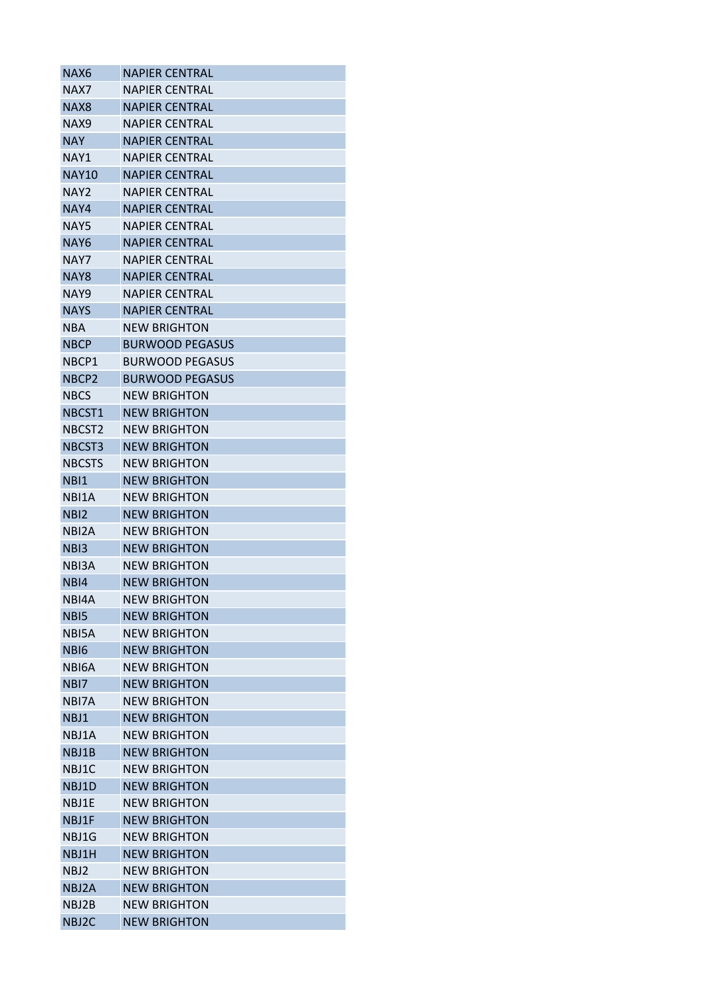| NAX6               | <b>NAPIER CENTRAL</b>  |
|--------------------|------------------------|
| NAX7               | <b>NAPIER CENTRAL</b>  |
| NAX <sub>8</sub>   | <b>NAPIER CENTRAL</b>  |
| NAX9               | <b>NAPIER CENTRAL</b>  |
| <b>NAY</b>         | <b>NAPIER CENTRAL</b>  |
| NAY1               | <b>NAPIER CENTRAL</b>  |
| <b>NAY10</b>       | <b>NAPIER CENTRAL</b>  |
| NAY2               | <b>NAPIER CENTRAL</b>  |
| NAY4               | <b>NAPIER CENTRAL</b>  |
| NAY5               | <b>NAPIER CENTRAL</b>  |
| NAY6               | <b>NAPIER CENTRAL</b>  |
| NAY7               | NAPIER CENTRAL         |
| NAY <sub>8</sub>   | <b>NAPIER CENTRAL</b>  |
| NAY9               | <b>NAPIER CENTRAL</b>  |
| <b>NAYS</b>        | <b>NAPIER CENTRAL</b>  |
| NBA                | <b>NEW BRIGHTON</b>    |
| <b>NBCP</b>        | <b>BURWOOD PEGASUS</b> |
| NBCP1              | BURWOOD PEGASUS        |
| NBCP <sub>2</sub>  | <b>BURWOOD PEGASUS</b> |
| <b>NBCS</b>        | <b>NEW BRIGHTON</b>    |
| NBCST1             | <b>NEW BRIGHTON</b>    |
| NBCST <sub>2</sub> | <b>NEW BRIGHTON</b>    |
| NBCST3             | <b>NEW BRIGHTON</b>    |
| <b>NBCSTS</b>      | <b>NEW BRIGHTON</b>    |
| NBI1               | <b>NEW BRIGHTON</b>    |
| NBI1A              | <b>NEW BRIGHTON</b>    |
| NBI2               | <b>NEW BRIGHTON</b>    |
| NBI2A              | NEW BRIGHTON           |
| NB <sub>13</sub>   | <b>NEW BRIGHTON</b>    |
| NBI3A              | <b>NEW BRIGHTON</b>    |
| NB <sub>14</sub>   | <b>NEW BRIGHTON</b>    |
| NBI4A              | <b>NEW BRIGHTON</b>    |
| NB <sub>I5</sub>   | <b>NEW BRIGHTON</b>    |
| NBI5A              | <b>NEW BRIGHTON</b>    |
| NBI6               | <b>NEW BRIGHTON</b>    |
| NBI6A              | <b>NFW BRIGHTON</b>    |
| NBI7               | <b>NEW BRIGHTON</b>    |
| NBI7A              | <b>NEW BRIGHTON</b>    |
| NBJ1               | <b>NEW BRIGHTON</b>    |
| NBJ1A              | <b>NEW BRIGHTON</b>    |
| NBJ1B              | <b>NEW BRIGHTON</b>    |
| NBJ1C              | <b>NEW BRIGHTON</b>    |
| NBJ1D              | <b>NEW BRIGHTON</b>    |
| NBJ1E              | <b>NEW BRIGHTON</b>    |
| NBJ1F              | <b>NEW BRIGHTON</b>    |
|                    |                        |
| NBJ1G              | NEW BRIGHTON           |
| NBJ1H              | <b>NEW BRIGHTON</b>    |
| NBJ2               | <b>NEW BRIGHTON</b>    |
| NBJ2A              | <b>NEW BRIGHTON</b>    |
| NBJ2B              | <b>NEW BRIGHTON</b>    |
| NBJ2C              | NEW BRIGHTON           |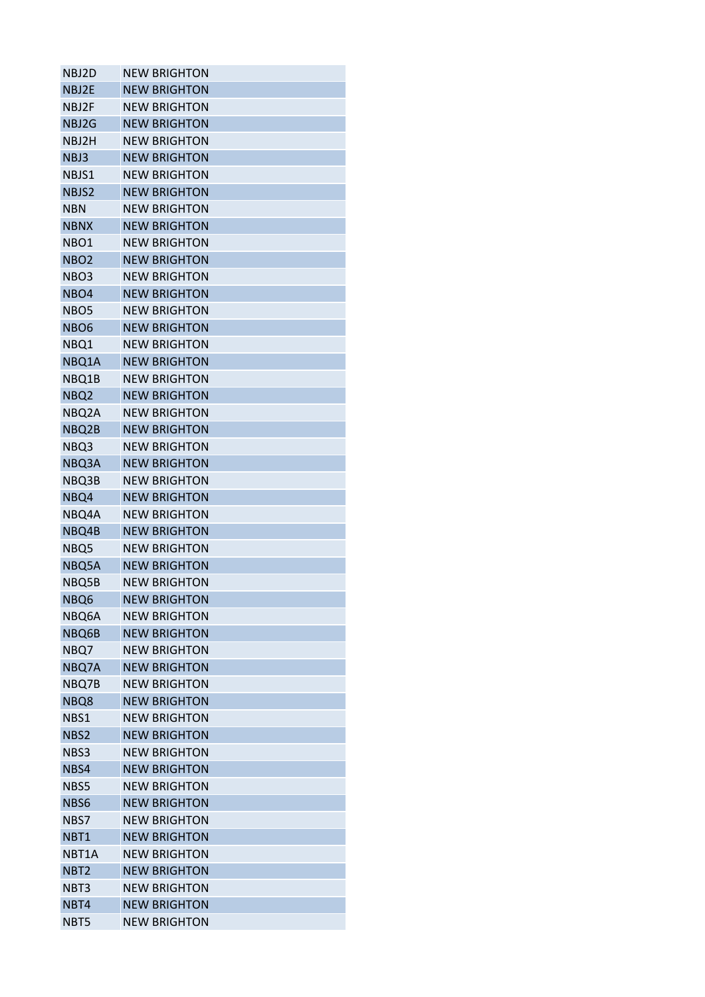| NBJ2D            | <b>NEW BRIGHTON</b> |
|------------------|---------------------|
| NBJ2E            | <b>NEW BRIGHTON</b> |
| NBJ2F            | <b>NEW BRIGHTON</b> |
| NBJ2G            | <b>NEW BRIGHTON</b> |
| NBJ2H            | <b>NEW BRIGHTON</b> |
| NBJ3             | <b>NEW BRIGHTON</b> |
| NBJS1            | <b>NEW BRIGHTON</b> |
| NBJS2            | <b>NEW BRIGHTON</b> |
| NBN              | <b>NEW BRIGHTON</b> |
| <b>NBNX</b>      | <b>NEW BRIGHTON</b> |
| NBO1             | <b>NEW BRIGHTON</b> |
| NBO <sub>2</sub> | <b>NEW BRIGHTON</b> |
| NBO3             | <b>NEW BRIGHTON</b> |
| NBO4             | <b>NEW BRIGHTON</b> |
| NBO <sub>5</sub> | <b>NEW BRIGHTON</b> |
| <b>NBO6</b>      | <b>NEW BRIGHTON</b> |
| NBQ1             | <b>NEW BRIGHTON</b> |
| NBQ1A            | <b>NEW BRIGHTON</b> |
| NBQ1B            | <b>NEW BRIGHTON</b> |
| NBQ <sub>2</sub> | <b>NEW BRIGHTON</b> |
| NBQ2A            | <b>NEW BRIGHTON</b> |
| NBQ2B            | <b>NEW BRIGHTON</b> |
| NBQ3             | <b>NEW BRIGHTON</b> |
| NBQ3A            | <b>NEW BRIGHTON</b> |
| NBQ3B            | <b>NEW BRIGHTON</b> |
| NBQ4             | <b>NEW BRIGHTON</b> |
| NBQ4A            | <b>NEW BRIGHTON</b> |
| NBQ4B            | <b>NEW BRIGHTON</b> |
| NBQ5             | <b>NEW BRIGHTON</b> |
| NBQ5A            | <b>NEW BRIGHTON</b> |
| NBQ5B            | <b>NEW BRIGHTON</b> |
| NBQ6             | <b>NEW BRIGHTON</b> |
| NBQ6A            | <b>NEW BRIGHTON</b> |
| NBQ6B            | <b>NEW BRIGHTON</b> |
| NBQ7             | <b>NEW BRIGHTON</b> |
| NBQ7A            | <b>NEW BRIGHTON</b> |
| NBQ7B            | <b>NEW BRIGHTON</b> |
| NBQ8             | <b>NEW BRIGHTON</b> |
| NBS1             | <b>NEW BRIGHTON</b> |
| NBS2             | <b>NEW BRIGHTON</b> |
| NBS3             | <b>NEW BRIGHTON</b> |
| NBS4             | <b>NEW BRIGHTON</b> |
| NBS5             | <b>NEW BRIGHTON</b> |
| NBS6             | <b>NEW BRIGHTON</b> |
| NBS7             | <b>NEW BRIGHTON</b> |
| NBT1             | <b>NEW BRIGHTON</b> |
| NBT1A            | <b>NEW BRIGHTON</b> |
| NBT <sub>2</sub> | <b>NEW BRIGHTON</b> |
| NBT3             | <b>NEW BRIGHTON</b> |
| NBT4             | <b>NEW BRIGHTON</b> |
| NBT5             | <b>NEW BRIGHTON</b> |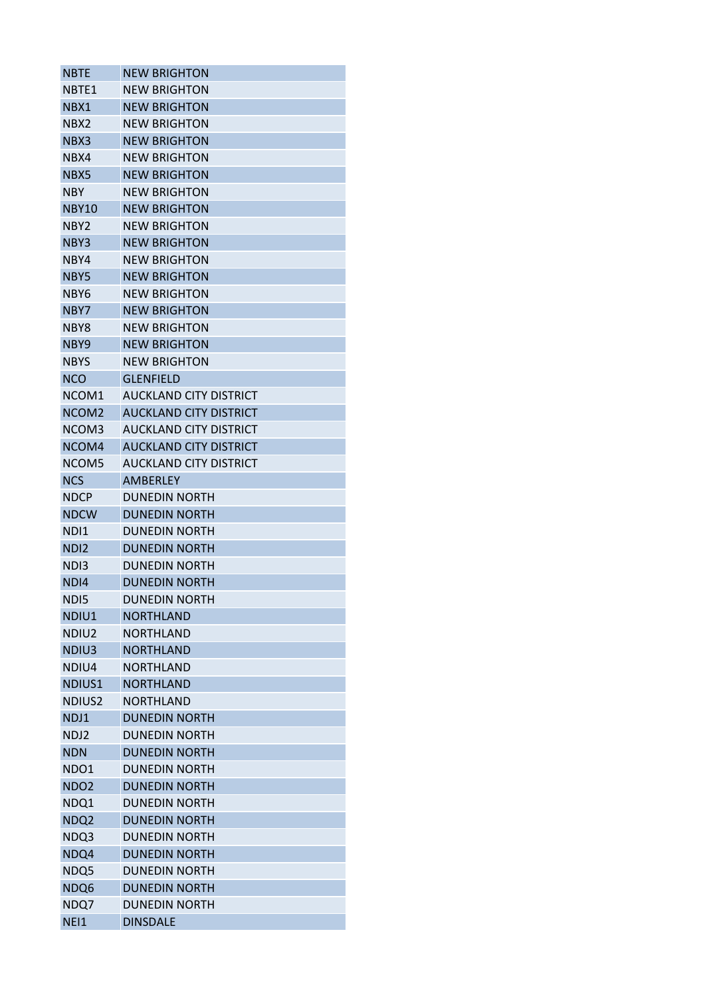| <b>NBTE</b>        | <b>NEW BRIGHTON</b>           |
|--------------------|-------------------------------|
| NBTF1              | <b>NEW BRIGHTON</b>           |
| NBX1               | <b>NEW BRIGHTON</b>           |
| NBX2               | <b>NEW BRIGHTON</b>           |
| NBX3               | <b>NEW BRIGHTON</b>           |
| NBX4               | <b>NEW BRIGHTON</b>           |
| NBX5               | <b>NEW BRIGHTON</b>           |
| NBY.               | <b>NEW BRIGHTON</b>           |
| <b>NBY10</b>       | <b>NEW BRIGHTON</b>           |
| NBY2               | NFW BRIGHTON                  |
| NBY3               | <b>NEW BRIGHTON</b>           |
| NBY4               | <b>NEW BRIGHTON</b>           |
| NBY5               | <b>NEW BRIGHTON</b>           |
| NBY6               | <b>NEW BRIGHTON</b>           |
| NBY7               | <b>NEW BRIGHTON</b>           |
| NBY8               | <b>NEW BRIGHTON</b>           |
| NBY9               | NFW BRIGHTON                  |
| NBYS               | <b>NEW BRIGHTON</b>           |
| <b>NCO</b>         | <b>GLENFIELD</b>              |
| NCOM1              | AUCKLAND CITY DISTRICT        |
| NCOM <sub>2</sub>  | <b>AUCKLAND CITY DISTRICT</b> |
| NCOM3              | AUCKLAND CITY DISTRICT        |
| NCOM4              | <b>AUCKLAND CITY DISTRICT</b> |
| NCOM5              | AUCKLAND CITY DISTRICT        |
| <b>NCS</b>         | AMBERLEY                      |
| <b>NDCP</b>        | DUNEDIN NORTH                 |
| <b>NDCW</b>        | <b>DUNEDIN NORTH</b>          |
| NDI1               | <b>DUNEDIN NORTH</b>          |
| ND <sub>12</sub>   | <b>DUNEDIN NORTH</b>          |
| ND <sub>13</sub>   | <b>DUNEDIN NORTH</b>          |
| ND <sub>14</sub>   | <b>DUNEDIN NORTH</b>          |
| ND <sub>15</sub>   | <b>DUNEDIN NORTH</b>          |
| NDIU1              | <b>NORTHLAND</b>              |
| NDIU2              | <b>NORTHLAND</b>              |
| NDIU3              | <b>NORTHLAND</b>              |
| NDIU4              | <b>NORTHLAND</b>              |
| NDIUS1             | <b>NORTHLAND</b>              |
| NDIUS <sub>2</sub> | <b>NORTHLAND</b>              |
| NDJ1               | <b>DUNEDIN NORTH</b>          |
| NDJ2               | <b>DUNEDIN NORTH</b>          |
| <b>NDN</b>         | <b>DUNEDIN NORTH</b>          |
| NDO1               | <b>DUNEDIN NORTH</b>          |
| NDO <sub>2</sub>   | <b>DUNEDIN NORTH</b>          |
| NDQ1               | <b>DUNEDIN NORTH</b>          |
| NDQ <sub>2</sub>   | <b>DUNEDIN NORTH</b>          |
| NDQ3               | <b>DUNEDIN NORTH</b>          |
| NDQ4               | <b>DUNEDIN NORTH</b>          |
| NDQ5               | <b>DUNEDIN NORTH</b>          |
| NDQ6               | <b>DUNEDIN NORTH</b>          |
| NDQ7               | <b>DUNEDIN NORTH</b>          |
|                    |                               |
| NEI1               | <b>DINSDALE</b>               |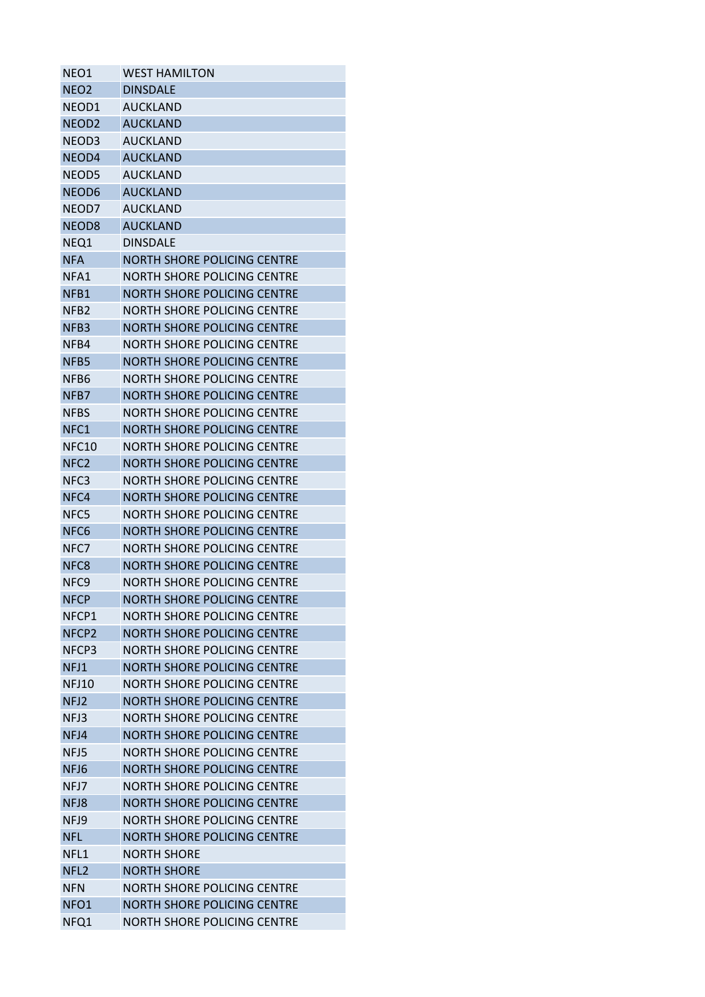| NEO1              | <b>WEST HAMILTON</b>               |
|-------------------|------------------------------------|
| NEO <sub>2</sub>  | <b>DINSDALE</b>                    |
| NEOD1             | <b>AUCKLAND</b>                    |
| NEOD <sub>2</sub> | <b>AUCKLAND</b>                    |
| NEOD3             | <b>AUCKLAND</b>                    |
| NEOD4             | <b>AUCKLAND</b>                    |
| NEOD5             | <b>AUCKLAND</b>                    |
| NEOD6             | <b>AUCKLAND</b>                    |
| NEOD7             | <b>AUCKLAND</b>                    |
| NEOD <sub>8</sub> | <b>AUCKLAND</b>                    |
| NEQ1              | <b>DINSDALE</b>                    |
| NFA               | NORTH SHORE POLICING CENTRE        |
| NFA1              | <b>NORTH SHORE POLICING CENTRE</b> |
| NFB1              | NORTH SHORE POLICING CENTRE        |
| NFB <sub>2</sub>  | NORTH SHORE POLICING CENTRE        |
| NFB3              | <b>NORTH SHORE POLICING CENTRE</b> |
| NFB4              | NORTH SHORE POLICING CENTRE        |
| NFB5              | <b>NORTH SHORE POLICING CENTRE</b> |
| NFB6              | NORTH SHORE POLICING CENTRE        |
| NFB7              | <b>NORTH SHORE POLICING CENTRE</b> |
| <b>NFBS</b>       | NORTH SHORE POLICING CENTRE        |
| NFC1              | NORTH SHORE POLICING CENTRE        |
|                   |                                    |
| NFC10             | <b>NORTH SHORE POLICING CENTRE</b> |
| NFC <sub>2</sub>  | <b>NORTH SHORE POLICING CENTRE</b> |
| NFC3              | <b>NORTH SHORE POLICING CENTRE</b> |
| NFC4              | <b>NORTH SHORE POLICING CENTRE</b> |
| NFC5              | <b>NORTH SHORE POLICING CENTRE</b> |
| NFC <sub>6</sub>  | NORTH SHORE POLICING CENTRE        |
| NFC7              | NORTH SHORE POLICING CENTRE        |
| NFC <sub>8</sub>  | NORTH SHORE POLICING CENTRE        |
| NFC <sub>9</sub>  | <b>NORTH SHORE POLICING CENTRE</b> |
| <b>NFCP</b>       | <b>NORTH SHORE POLICING CENTRE</b> |
| NFCP1             | NORTH SHORE POLICING CENTRE        |
| NFCP <sub>2</sub> | <b>NORTH SHORE POLICING CENTRE</b> |
| NFCP3             | <b>NORTH SHORE POLICING CENTRE</b> |
| NFJ1              | <b>NORTH SHORE POLICING CENTRE</b> |
| <b>NFJ10</b>      | NORTH SHORE POLICING CENTRE        |
| NFJ2              | <b>NORTH SHORE POLICING CENTRE</b> |
| NFJ3              | <b>NORTH SHORE POLICING CENTRE</b> |
| NFJ4              | <b>NORTH SHORE POLICING CENTRE</b> |
| NFJ5              | <b>NORTH SHORE POLICING CENTRE</b> |
| NFJ6              | <b>NORTH SHORE POLICING CENTRE</b> |
| NFJ7              | NORTH SHORE POLICING CENTRE        |
| NFJ8              | <b>NORTH SHORE POLICING CENTRE</b> |
| NFJ9              | <b>NORTH SHORE POLICING CENTRE</b> |
| <b>NFL</b>        | <b>NORTH SHORE POLICING CENTRE</b> |
| NFL1              | <b>NORTH SHORE</b>                 |
| NFL <sub>2</sub>  | <b>NORTH SHORE</b>                 |
| <b>NFN</b>        | NORTH SHORE POLICING CENTRE        |
| NFO <sub>1</sub>  | <b>NORTH SHORE POLICING CENTRE</b> |
| NFQ1              | NORTH SHORE POLICING CENTRE        |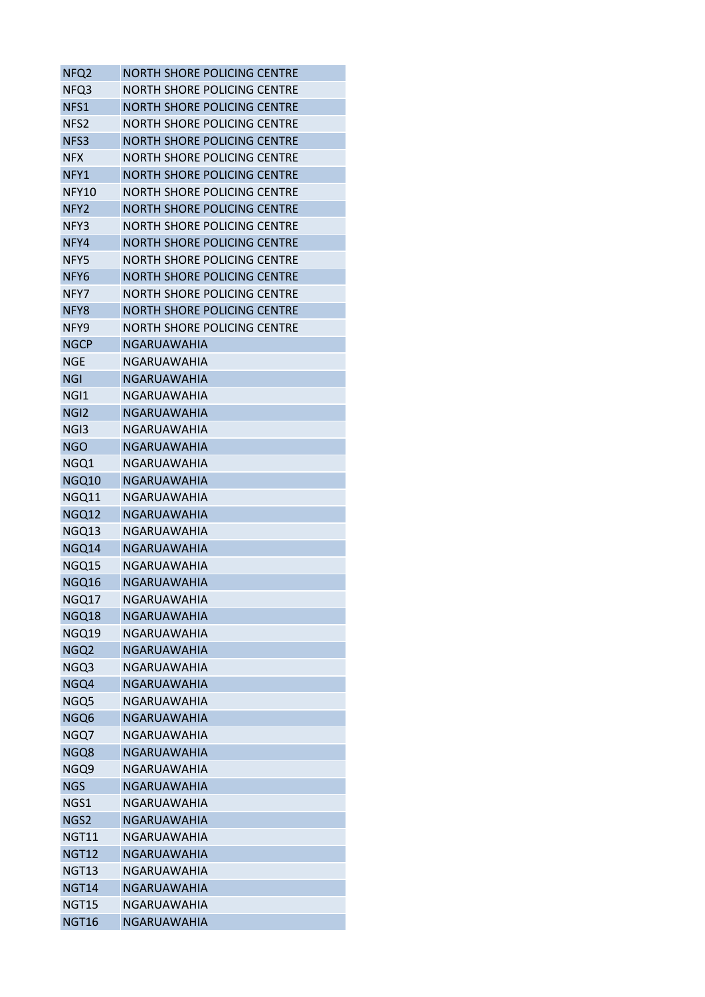| NFQ <sub>2</sub> | <b>NORTH SHORE POLICING CENTRE</b> |
|------------------|------------------------------------|
| NFQ3             | NORTH SHORE POLICING CENTRE        |
| NFS1             | <b>NORTH SHORE POLICING CENTRE</b> |
| NFS <sub>2</sub> | <b>NORTH SHORE POLICING CENTRE</b> |
| NFS3             | <b>NORTH SHORE POLICING CENTRE</b> |
| <b>NFX</b>       | NORTH SHORE POLICING CENTRE        |
| NFY1             | NORTH SHORE POLICING CENTRE        |
| <b>NFY10</b>     | <b>NORTH SHORE POLICING CENTRE</b> |
| NFY <sub>2</sub> | <b>NORTH SHORE POLICING CENTRE</b> |
| NFY3             | NORTH SHORE POLICING CENTRE        |
| NFY4             | <b>NORTH SHORE POLICING CENTRE</b> |
| NFY5             | <b>NORTH SHORE POLICING CENTRE</b> |
| NFY6             | <b>NORTH SHORE POLICING CENTRE</b> |
| NFY7             | NORTH SHORE POLICING CENTRE        |
| NFY8             | <b>NORTH SHORE POLICING CENTRE</b> |
| NFY9             | NORTH SHORE POLICING CENTRE        |
| <b>NGCP</b>      | <b>NGARUAWAHIA</b>                 |
| <b>NGE</b>       | NGARUAWAHIA                        |
| <b>NGI</b>       | NGARUAWAHIA                        |
| NGI1             | NGARUAWAHIA                        |
| NGI <sub>2</sub> | <b>NGARUAWAHIA</b>                 |
| NGI3             | NGARUAWAHIA                        |
| <b>NGO</b>       | <b>NGARUAWAHIA</b>                 |
| NGQ1             | NGARUAWAHIA                        |
| NGQ10            | NGARUAWAHIA                        |
| NGQ11            | NGARUAWAHIA                        |
| NGQ12            | NGARUAWAHIA                        |
| NGQ13            | NGARUAWAHIA                        |
| NGQ14            | <b>NGARUAWAHIA</b>                 |
| NGQ15            | NGARUAWAHIA                        |
| NGQ16            | <b>NGARUAWAHIA</b>                 |
| NGQ17            | NGARUAWAHIA                        |
| NGQ18            | <b>NGARUAWAHIA</b>                 |
| NGQ19            | NGARUAWAHIA                        |
| NGQ2             | <b>NGARUAWAHIA</b>                 |
| NGQ3             | NGARUAWAHIA                        |
| NGQ4             | <b>NGARUAWAHIA</b>                 |
| NGQ5             | NGARUAWAHIA                        |
| NGQ6             | NGARUAWAHIA                        |
| NGQ7             | <b>NGARUAWAHIA</b>                 |
| NGQ8             | <b>NGARUAWAHIA</b>                 |
| NGQ9             | NGARUAWAHIA                        |
| <b>NGS</b>       | NGARUAWAHIA                        |
| NGS1             | NGARUAWAHIA                        |
| NGS2             | <b>NGARUAWAHIA</b>                 |
| NGT11            | NGARUAWAHIA                        |
| <b>NGT12</b>     | NGARUAWAHIA                        |
| NGT13            | NGARUAWAHIA                        |
| NGT14            | NGARUAWAHIA                        |
| NGT15            | NGARUAWAHIA                        |
| NGT16            | NGARUAWAHIA                        |
|                  |                                    |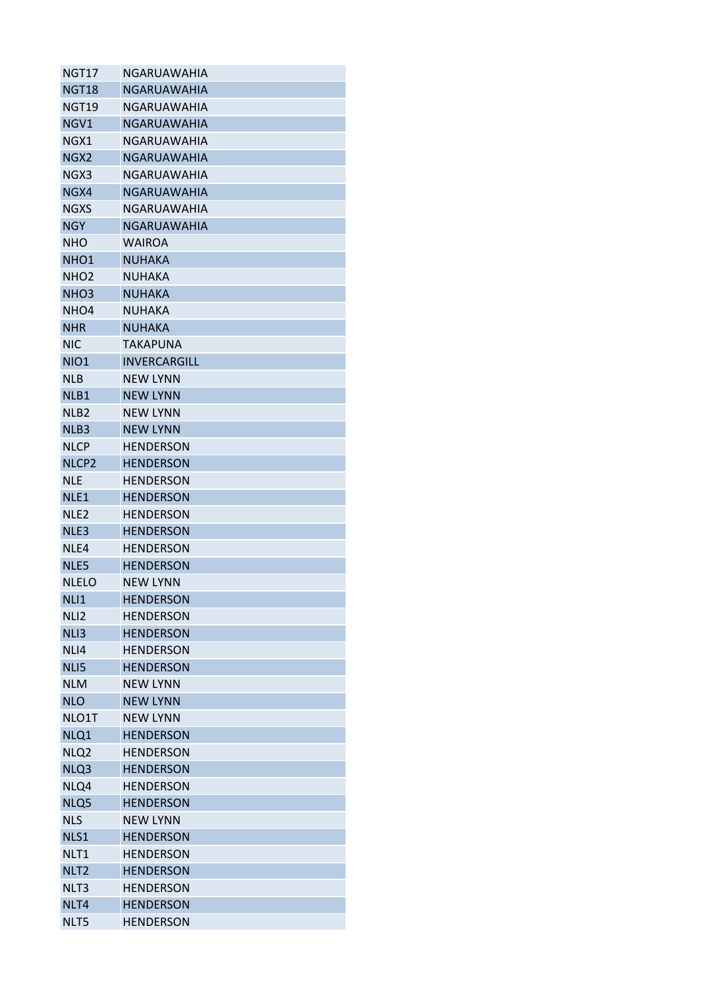| NGT17             | NGARUAWAHIA         |
|-------------------|---------------------|
| NGT18             | <b>NGARUAWAHIA</b>  |
| NGT19             | <b>NGARUAWAHIA</b>  |
| NGV1              | <b>NGARUAWAHIA</b>  |
| NGX1              | NGARUAWAHIA         |
| NGX2              | <b>NGARUAWAHIA</b>  |
| NGX3              | NGARUAWAHIA         |
| NGX4              | <b>NGARUAWAHIA</b>  |
| <b>NGXS</b>       | <b>NGARUAWAHIA</b>  |
| <b>NGY</b>        | <b>NGARUAWAHIA</b>  |
| <b>NHO</b>        | <b>WAIROA</b>       |
| NHO <sub>1</sub>  | <b>NUHAKA</b>       |
| NHO <sub>2</sub>  | NUHAKA              |
| NHO <sub>3</sub>  | <b>NUHAKA</b>       |
| NHO <sub>4</sub>  | NUHAKA              |
| <b>NHR</b>        | <b>NUHAKA</b>       |
| NIC               | <b>TAKAPUNA</b>     |
| <b>NIO1</b>       | <b>INVERCARGILL</b> |
| <b>NLB</b>        | <b>NEW LYNN</b>     |
| NLB1              | <b>NEW LYNN</b>     |
| NLB <sub>2</sub>  | <b>NEW LYNN</b>     |
| NLB3              | <b>NEW LYNN</b>     |
| NLCP              | HENDERSON           |
| NLCP <sub>2</sub> | <b>HENDERSON</b>    |
| <b>NLE</b>        | <b>HENDERSON</b>    |
| NLE <sub>1</sub>  | <b>HENDERSON</b>    |
| NLE <sub>2</sub>  | <b>HENDERSON</b>    |
| NLE3              | <b>HENDERSON</b>    |
| NLE4              | <b>HENDERSON</b>    |
| NLE5              | <b>HENDERSON</b>    |
| <b>NLELO</b>      | <b>NEW LYNN</b>     |
| NLI1              | <b>HENDERSON</b>    |
| NLI <sub>2</sub>  | <b>HENDERSON</b>    |
| NLI3              | <b>HENDERSON</b>    |
| NLI4              | <b>HENDERSON</b>    |
| NLI5              | <b>HENDERSON</b>    |
| <b>NLM</b>        | <b>NEW LYNN</b>     |
| <b>NLO</b>        | <b>NEW LYNN</b>     |
| NLO1T             | <b>NEW LYNN</b>     |
| NLQ1              | <b>HENDERSON</b>    |
| NLQ <sub>2</sub>  | <b>HENDERSON</b>    |
| NLQ3              | <b>HENDERSON</b>    |
| NLQ4              | <b>HENDERSON</b>    |
| NLQ5              | <b>HENDERSON</b>    |
| <b>NLS</b>        | <b>NEW LYNN</b>     |
| NLS1              | <b>HENDERSON</b>    |
| NLT1              | <b>HENDERSON</b>    |
| NLT <sub>2</sub>  | <b>HENDERSON</b>    |
| NLT3              | <b>HENDERSON</b>    |
| NLT4              | <b>HENDERSON</b>    |
| NLT5              | <b>HENDERSON</b>    |
|                   |                     |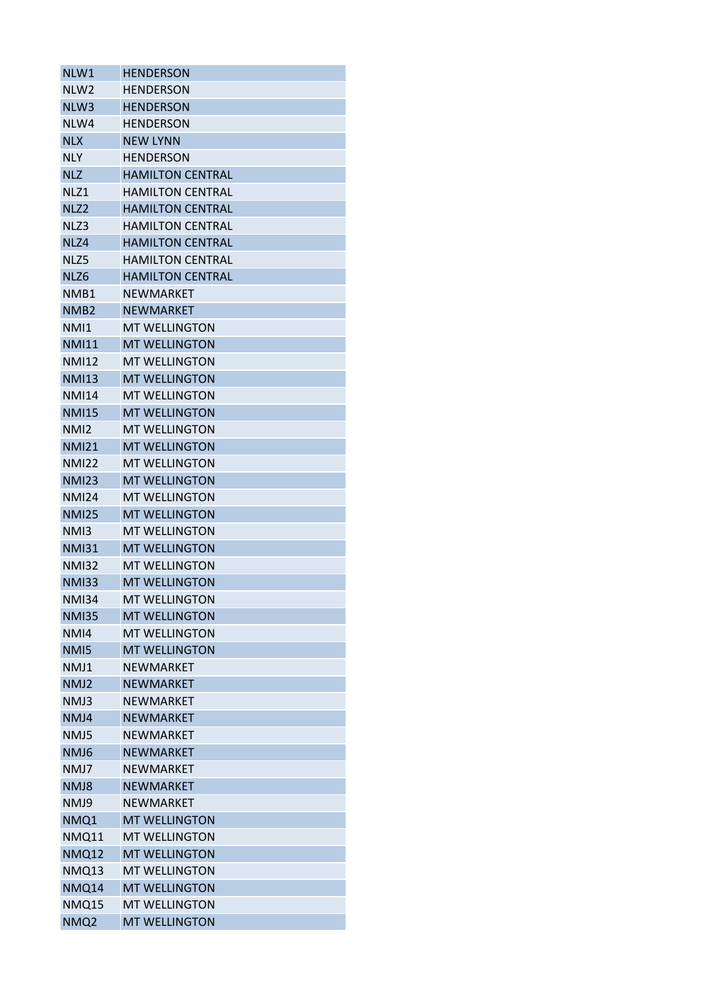| NLW1             | <b>HENDERSON</b>        |
|------------------|-------------------------|
| NLW <sub>2</sub> | <b>HENDERSON</b>        |
| NLW <sub>3</sub> | <b>HENDERSON</b>        |
| NLW4             | <b>HENDERSON</b>        |
| <b>NLX</b>       | <b>NEW LYNN</b>         |
| <b>NLY</b>       | <b>HENDERSON</b>        |
| <b>NLZ</b>       | <b>HAMILTON CENTRAL</b> |
| NLZ1             | <b>HAMILTON CENTRAL</b> |
| NLZ <sub>2</sub> | <b>HAMILTON CENTRAL</b> |
| NLZ3             | <b>HAMILTON CENTRAL</b> |
| NLZ4             | <b>HAMILTON CENTRAL</b> |
| NLZ5             | <b>HAMILTON CENTRAL</b> |
| NLZ6             | <b>HAMILTON CENTRAL</b> |
| NMB1             | NEWMARKET               |
| NMB <sub>2</sub> | <b>NEWMARKET</b>        |
| NM <sub>11</sub> | <b>MT WELLINGTON</b>    |
| <b>NMI11</b>     | <b>MT WELLINGTON</b>    |
| <b>NMI12</b>     | <b>MT WELLINGTON</b>    |
| <b>NMI13</b>     | <b>MT WELLINGTON</b>    |
| <b>NMI14</b>     | <b>MT WELLINGTON</b>    |
| <b>NMI15</b>     | <b>MT WELLINGTON</b>    |
| NM <sub>12</sub> | <b>MT WELLINGTON</b>    |
| <b>NMI21</b>     | <b>MT WELLINGTON</b>    |
| <b>NMI22</b>     | <b>MT WELLINGTON</b>    |
| <b>NMI23</b>     | <b>MT WELLINGTON</b>    |
| <b>NMI24</b>     | <b>MT WELLINGTON</b>    |
| <b>NMI25</b>     | <b>MT WELLINGTON</b>    |
| NM <sub>13</sub> | <b>MT WELLINGTON</b>    |
| <b>NMI31</b>     | <b>MT WELLINGTON</b>    |
| <b>NMI32</b>     | <b>MT WELLINGTON</b>    |
| <b>NMI33</b>     | <b>MT WELLINGTON</b>    |
| <b>NMI34</b>     | <b>MT WELLINGTON</b>    |
| <b>NMI35</b>     | <b>MT WELLINGTON</b>    |
| NMI4             | <b>MT WELLINGTON</b>    |
| NM <sub>I5</sub> | <b>MT WELLINGTON</b>    |
| NMJ1             | <b>NEWMARKET</b>        |
| NMJ2             | <b>NEWMARKET</b>        |
| NMJ3             | <b>NEWMARKET</b>        |
| NMJ4             | <b>NEWMARKET</b>        |
| NMJ5             | <b>NEWMARKET</b>        |
| NMJ6             | <b>NEWMARKET</b>        |
| NMJ7             | <b>NEWMARKET</b>        |
| NMJ8             | <b>NEWMARKET</b>        |
| NMJ9             | <b>NEWMARKET</b>        |
| NMQ1             | <b>MT WELLINGTON</b>    |
| <b>NMQ11</b>     | <b>MT WELLINGTON</b>    |
| <b>NMQ12</b>     | <b>MT WELLINGTON</b>    |
| NMQ13            | <b>MT WELLINGTON</b>    |
| NMQ14            | <b>MT WELLINGTON</b>    |
| <b>NMQ15</b>     | <b>MT WELLINGTON</b>    |
| NMQ <sub>2</sub> | <b>MT WELLINGTON</b>    |
|                  |                         |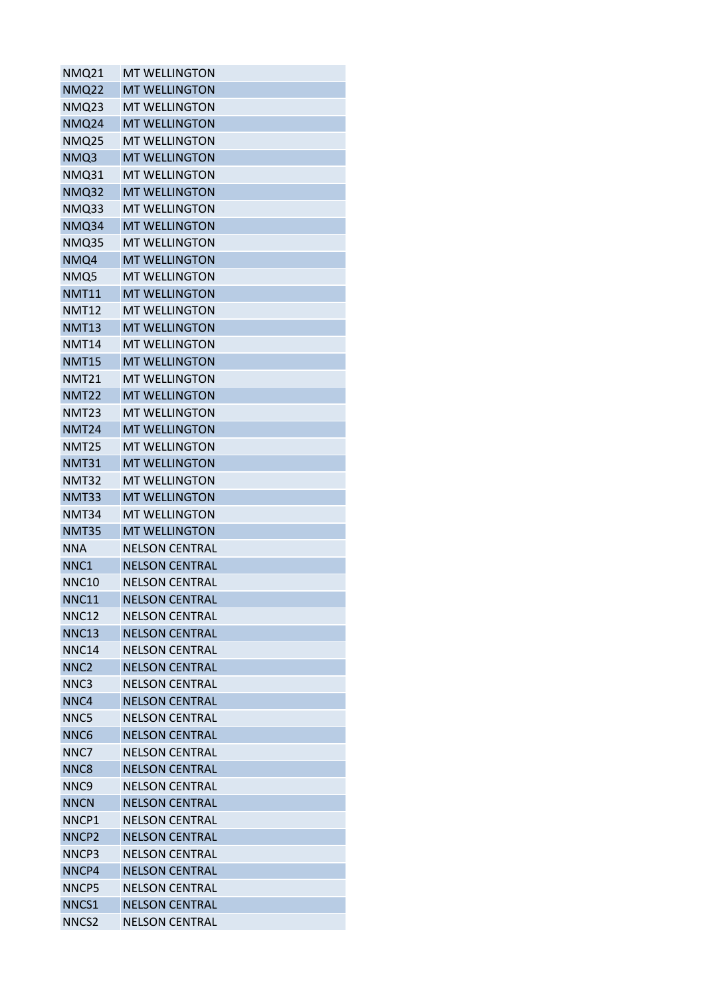| <b>NMQ21</b>      | <b>MT WELLINGTON</b>  |
|-------------------|-----------------------|
| <b>NMQ22</b>      | <b>MT WELLINGTON</b>  |
| NMQ23             | <b>MT WELLINGTON</b>  |
| <b>NMQ24</b>      | <b>MT WELLINGTON</b>  |
| <b>NMQ25</b>      | <b>MT WELLINGTON</b>  |
| NMQ3              | <b>MT WELLINGTON</b>  |
| NMQ31             | <b>MT WELLINGTON</b>  |
| <b>NMQ32</b>      | <b>MT WELLINGTON</b>  |
| <b>NMQ33</b>      | <b>MT WELLINGTON</b>  |
| NMQ34             | <b>MT WELLINGTON</b>  |
| <b>NMQ35</b>      | <b>MT WELLINGTON</b>  |
| NMQ4              | <b>MT WELLINGTON</b>  |
| NMQ5              | <b>MT WELLINGTON</b>  |
| <b>NMT11</b>      | <b>MT WELLINGTON</b>  |
| <b>NMT12</b>      | <b>MT WELLINGTON</b>  |
| <b>NMT13</b>      | <b>MT WELLINGTON</b>  |
| <b>NMT14</b>      | <b>MT WELLINGTON</b>  |
| <b>NMT15</b>      | <b>MT WELLINGTON</b>  |
| <b>NMT21</b>      | <b>MT WELLINGTON</b>  |
| <b>NMT22</b>      | <b>MT WELLINGTON</b>  |
| <b>NMT23</b>      | <b>MT WELLINGTON</b>  |
| <b>NMT24</b>      | <b>MT WELLINGTON</b>  |
| <b>NMT25</b>      | <b>MT WELLINGTON</b>  |
| <b>NMT31</b>      | <b>MT WELLINGTON</b>  |
| <b>NMT32</b>      | <b>MT WELLINGTON</b>  |
| <b>NMT33</b>      | <b>MT WELLINGTON</b>  |
| <b>NMT34</b>      | <b>MT WELLINGTON</b>  |
| <b>NMT35</b>      | <b>MT WELLINGTON</b>  |
| <b>NNA</b>        | <b>NELSON CENTRAL</b> |
| NNC1              | <b>NELSON CENTRAL</b> |
| <b>NNC10</b>      | <b>NELSON CENTRAL</b> |
| <b>NNC11</b>      | <b>NELSON CENTRAL</b> |
| <b>NNC12</b>      | <b>NELSON CENTRAL</b> |
| <b>NNC13</b>      | <b>NELSON CENTRAL</b> |
| <b>NNC14</b>      | <b>NFLSON CENTRAL</b> |
| NNC <sub>2</sub>  | <b>NELSON CENTRAL</b> |
| NNC3              | <b>NELSON CENTRAL</b> |
| NNC4              | <b>NELSON CENTRAL</b> |
| NNC5              | <b>NELSON CENTRAL</b> |
| NNC <sub>6</sub>  | <b>NELSON CENTRAL</b> |
| NNC7              | <b>NELSON CENTRAL</b> |
| NNC <sub>8</sub>  | <b>NELSON CENTRAL</b> |
| NNC <sub>9</sub>  | <b>NELSON CENTRAL</b> |
| <b>NNCN</b>       | <b>NELSON CENTRAL</b> |
| NNCP1             | <b>NELSON CENTRAL</b> |
| NNCP <sub>2</sub> | <b>NELSON CENTRAL</b> |
| NNCP3             | <b>NELSON CENTRAL</b> |
| NNCP4             | <b>NELSON CENTRAL</b> |
| NNCP5             | <b>NELSON CENTRAL</b> |
| NNCS1             | <b>NELSON CENTRAL</b> |
| NNCS <sub>2</sub> | <b>NELSON CENTRAL</b> |
|                   |                       |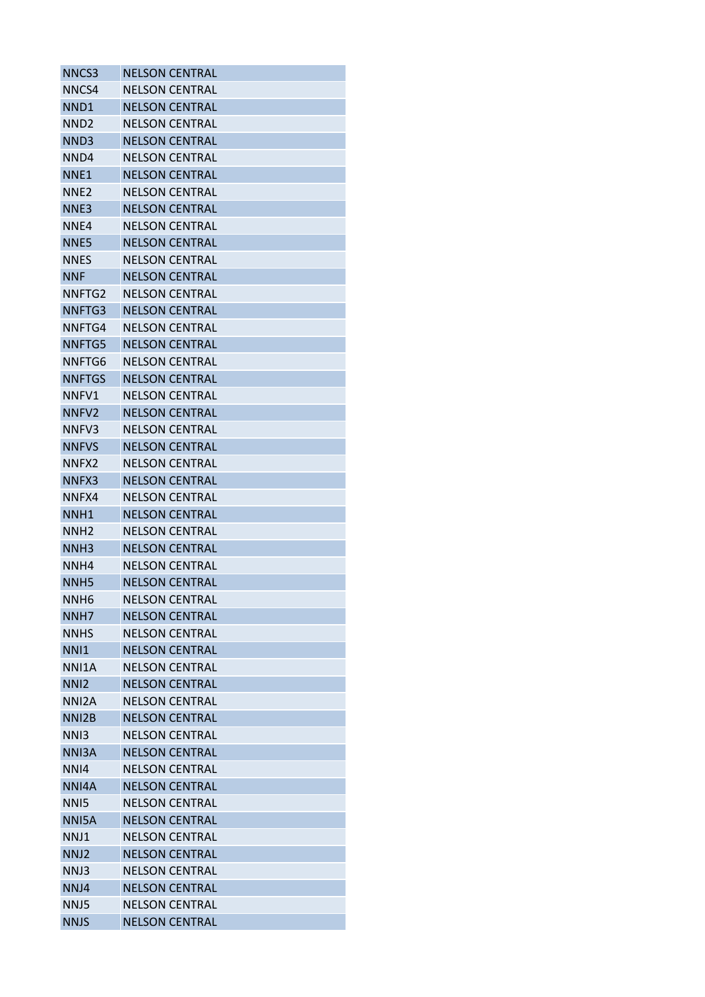| NNCS3              | <b>NELSON CENTRAL</b> |
|--------------------|-----------------------|
| NNCS4              | <b>NELSON CENTRAL</b> |
| NND <sub>1</sub>   | <b>NELSON CENTRAL</b> |
| NND <sub>2</sub>   | <b>NELSON CENTRAL</b> |
| NND3               | <b>NELSON CENTRAL</b> |
| NND4               | <b>NELSON CENTRAL</b> |
| NNE <sub>1</sub>   | <b>NELSON CENTRAL</b> |
| NNE2               | <b>NELSON CENTRAL</b> |
| NNE3               | <b>NELSON CENTRAL</b> |
| NNE4               | <b>NELSON CENTRAL</b> |
| NNE5               | <b>NELSON CENTRAL</b> |
| NNES               | <b>NELSON CENTRAL</b> |
| <b>NNF</b>         | <b>NELSON CENTRAL</b> |
| NNFTG2             | <b>NELSON CENTRAL</b> |
| NNFTG3             | <b>NELSON CENTRAL</b> |
| NNFTG4             | <b>NELSON CENTRAL</b> |
| NNFTG5             | <b>NELSON CENTRAL</b> |
| NNFTG6             | <b>NELSON CENTRAL</b> |
| <b>NNFTGS</b>      | <b>NELSON CENTRAL</b> |
| NNFV1              | <b>NELSON CENTRAL</b> |
| NNFV <sub>2</sub>  | <b>NELSON CENTRAL</b> |
| NNFV3              | <b>NELSON CENTRAL</b> |
| <b>NNFVS</b>       | <b>NELSON CENTRAL</b> |
| NNFX2              | <b>NELSON CENTRAL</b> |
| NNFX3              | <b>NELSON CENTRAL</b> |
| NNFX4              | <b>NELSON CENTRAL</b> |
| NNH1               | <b>NELSON CENTRAL</b> |
| NNH <sub>2</sub>   | <b>NELSON CENTRAL</b> |
| NNH <sub>3</sub>   | <b>NELSON CENTRAL</b> |
| NNH4               | <b>NELSON CENTRAL</b> |
| NNH <sub>5</sub>   | <b>NELSON CENTRAL</b> |
| NNH <sub>6</sub>   | <b>NELSON CENTRAL</b> |
| NNH7               | <b>NELSON CENTRAL</b> |
| <b>NNHS</b>        | <b>NELSON CENTRAL</b> |
| <b>NNI1</b>        | <b>NELSON CENTRAL</b> |
| NNI1A              | <b>NELSON CENTRAL</b> |
| NN <sub>12</sub>   | <b>NELSON CENTRAL</b> |
| NNI <sub>2</sub> A | <b>NELSON CENTRAL</b> |
| NNI <sub>2</sub> B | <b>NELSON CENTRAL</b> |
| NN <sub>13</sub>   | <b>NELSON CENTRAL</b> |
| NNI3A              | <b>NELSON CENTRAL</b> |
| NNI4               | <b>NELSON CENTRAL</b> |
| NNI4A              | <b>NELSON CENTRAL</b> |
| NN <sub>I5</sub>   | <b>NELSON CENTRAL</b> |
| NNI5A              | <b>NELSON CENTRAL</b> |
| NNJ1               | <b>NELSON CENTRAL</b> |
| NNJ2               | <b>NELSON CENTRAL</b> |
| NNJ3               | <b>NELSON CENTRAL</b> |
| NNJ4               | <b>NELSON CENTRAL</b> |
| NNJ5               | <b>NELSON CENTRAL</b> |
| <b>NNJS</b>        | <b>NELSON CENTRAL</b> |
|                    |                       |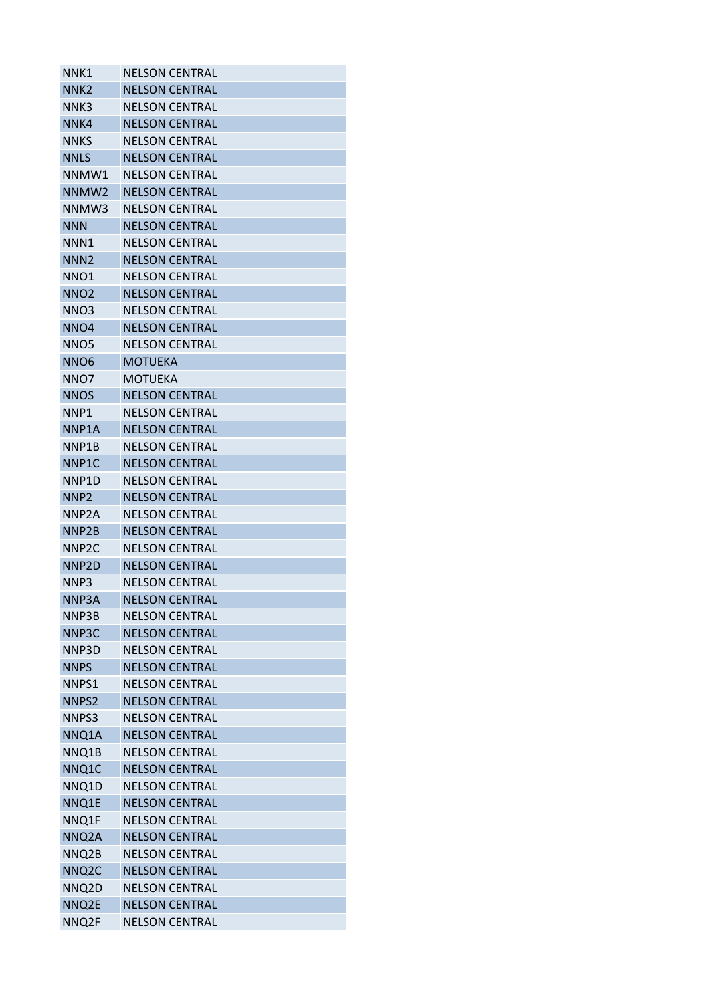| NNK1               | <b>NELSON CENTRAL</b> |
|--------------------|-----------------------|
| NNK2               | <b>NELSON CENTRAL</b> |
| NNK3               | <b>NELSON CENTRAL</b> |
| NNK4               | <b>NELSON CENTRAL</b> |
| NNKS               | <b>NELSON CENTRAL</b> |
| <b>NNLS</b>        | <b>NELSON CENTRAL</b> |
| NNMW1              | <b>NELSON CENTRAL</b> |
| NNMW <sub>2</sub>  | <b>NELSON CENTRAL</b> |
| NNMW3              | <b>NELSON CENTRAL</b> |
| <b>NNN</b>         | <b>NELSON CENTRAL</b> |
| NNN1               | <b>NELSON CENTRAL</b> |
| NNN <sub>2</sub>   | <b>NELSON CENTRAL</b> |
| NNO1               | <b>NELSON CENTRAL</b> |
| NNO <sub>2</sub>   | <b>NELSON CENTRAL</b> |
| NNO3               | <b>NELSON CENTRAL</b> |
| NNO <sub>4</sub>   | <b>NELSON CENTRAL</b> |
| NNO5               | <b>NELSON CENTRAL</b> |
| NNO <sub>6</sub>   | <b>MOTUEKA</b>        |
| NNO7               | <b>MOTUEKA</b>        |
| <b>NNOS</b>        | <b>NELSON CENTRAL</b> |
| NNP1               | <b>NELSON CENTRAL</b> |
| NNP1A              | <b>NELSON CENTRAL</b> |
| NNP1B              | <b>NELSON CENTRAL</b> |
| NNP1C              | <b>NELSON CENTRAL</b> |
| NNP1D              | <b>NELSON CENTRAL</b> |
| NNP <sub>2</sub>   | <b>NELSON CENTRAL</b> |
| NNP2A              | <b>NELSON CENTRAL</b> |
| NNP <sub>2</sub> B | <b>NELSON CENTRAL</b> |
| NNP <sub>2C</sub>  | <b>NELSON CENTRAL</b> |
| NNP <sub>2</sub> D | <b>NELSON CENTRAL</b> |
| NNP3               | <b>NELSON CENTRAL</b> |
| NNP3A              | <b>NELSON CENTRAL</b> |
| NNP3B              | <b>NELSON CENTRAL</b> |
| NNP3C              | <b>NELSON CENTRAL</b> |
| NNP3D              | <b>NELSON CENTRAL</b> |
| <b>NNPS</b>        | <b>NELSON CENTRAL</b> |
| NNPS1              | <b>NELSON CENTRAL</b> |
| NNPS2              | <b>NELSON CENTRAL</b> |
| NNPS3              | <b>NELSON CENTRAL</b> |
| NNQ1A              | <b>NELSON CENTRAL</b> |
| NNQ1B              | <b>NELSON CENTRAL</b> |
| NNQ1C              | <b>NELSON CENTRAL</b> |
| NNQ1D              | <b>NELSON CENTRAL</b> |
| NNQ1E              | <b>NELSON CENTRAL</b> |
| NNQ1F              | <b>NELSON CENTRAL</b> |
| NNQ2A              | <b>NELSON CENTRAL</b> |
| NNQ2B              | <b>NELSON CENTRAL</b> |
| NNQ <sub>2</sub> C | <b>NELSON CENTRAL</b> |
| NNQ2D              | <b>NELSON CENTRAL</b> |
| NNQ2E              | <b>NELSON CENTRAL</b> |
| NNQ2F              | <b>NELSON CENTRAL</b> |
|                    |                       |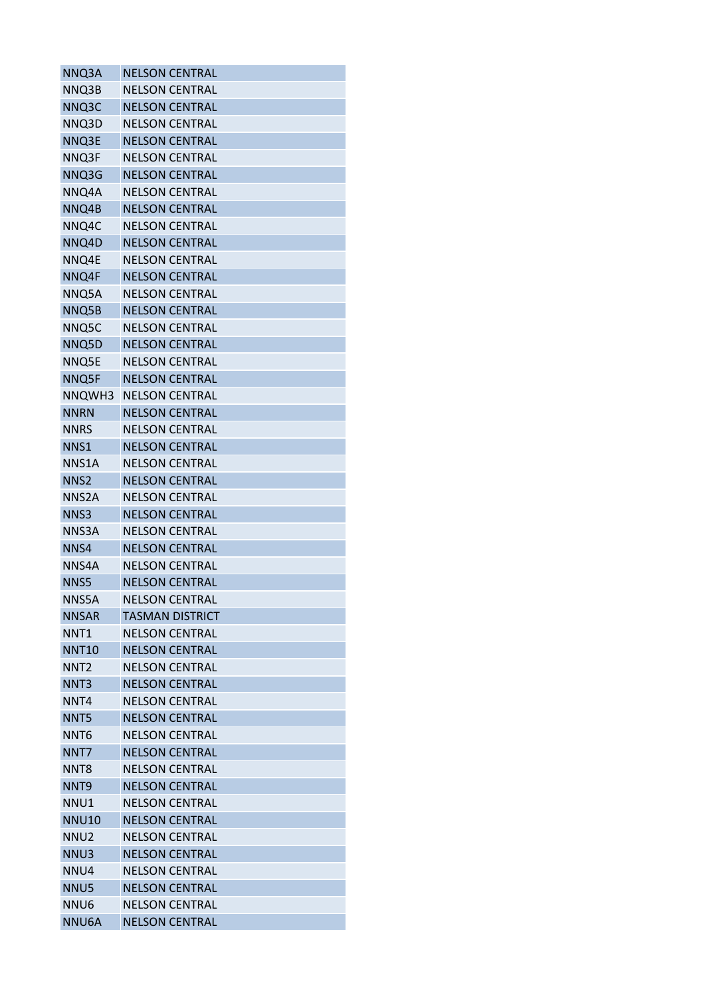| NNQ3A            | <b>NELSON CENTRAL</b>  |
|------------------|------------------------|
| NNQ3B            | <b>NELSON CENTRAL</b>  |
| NNQ3C            | <b>NELSON CENTRAL</b>  |
| NNQ3D            | <b>NELSON CENTRAL</b>  |
| NNQ3E            | <b>NELSON CENTRAL</b>  |
| NNQ3F            | <b>NELSON CENTRAL</b>  |
| NNQ3G            | <b>NELSON CENTRAL</b>  |
| NNQ4A            | <b>NELSON CENTRAL</b>  |
| NNQ4B            | <b>NELSON CENTRAL</b>  |
| NNQ4C            | <b>NELSON CENTRAL</b>  |
| NNQ4D            | <b>NELSON CENTRAL</b>  |
| NNQ4E            | <b>NELSON CENTRAL</b>  |
| NNQ4F            | <b>NELSON CENTRAL</b>  |
| NNQ5A            | <b>NELSON CENTRAL</b>  |
| NNQ5B            | <b>NELSON CENTRAL</b>  |
| NNQ5C            | <b>NELSON CENTRAL</b>  |
| NNQ5D            | <b>NELSON CENTRAL</b>  |
| NNQ5E            | <b>NELSON CENTRAL</b>  |
| NNQ5F            | <b>NELSON CENTRAL</b>  |
| NNQWH3           | <b>NELSON CENTRAL</b>  |
| <b>NNRN</b>      | <b>NELSON CENTRAL</b>  |
| <b>NNRS</b>      | <b>NELSON CENTRAL</b>  |
| NNS1             | <b>NELSON CENTRAL</b>  |
| NNS1A            | <b>NELSON CENTRAL</b>  |
| NNS <sub>2</sub> | <b>NELSON CENTRAL</b>  |
| NNS2A            | <b>NELSON CENTRAL</b>  |
| NNS3             | <b>NELSON CENTRAL</b>  |
| NNS3A            | <b>NELSON CENTRAL</b>  |
| NNS4             | <b>NELSON CENTRAL</b>  |
| NNS4A            | <b>NELSON CENTRAL</b>  |
| NNS5             | <b>NELSON CENTRAL</b>  |
| NNS5A            | <b>NELSON CENTRAL</b>  |
| <b>NNSAR</b>     | <b>TASMAN DISTRICT</b> |
| NNT <sub>1</sub> | <b>NELSON CENTRAL</b>  |
| <b>NNT10</b>     | <b>NELSON CENTRAL</b>  |
| NNT <sub>2</sub> | <b>NELSON CENTRAL</b>  |
| NNT3             | <b>NELSON CENTRAL</b>  |
| NNT4             | <b>NELSON CENTRAL</b>  |
| NNT5             | <b>NELSON CENTRAL</b>  |
| NNT <sub>6</sub> | <b>NELSON CENTRAL</b>  |
| NNT7             | <b>NELSON CENTRAL</b>  |
| NNT8             | <b>NELSON CENTRAL</b>  |
| NNT <sub>9</sub> | <b>NELSON CENTRAL</b>  |
| NNU1             | <b>NELSON CENTRAL</b>  |
| <b>NNU10</b>     | <b>NELSON CENTRAL</b>  |
| NNU <sub>2</sub> | <b>NELSON CENTRAL</b>  |
| NNU3             | <b>NELSON CENTRAL</b>  |
| NNU4             | <b>NELSON CENTRAL</b>  |
| NNU5             | <b>NELSON CENTRAL</b>  |
| NNU6             | <b>NELSON CENTRAL</b>  |
| NNU6A            | <b>NELSON CENTRAL</b>  |
|                  |                        |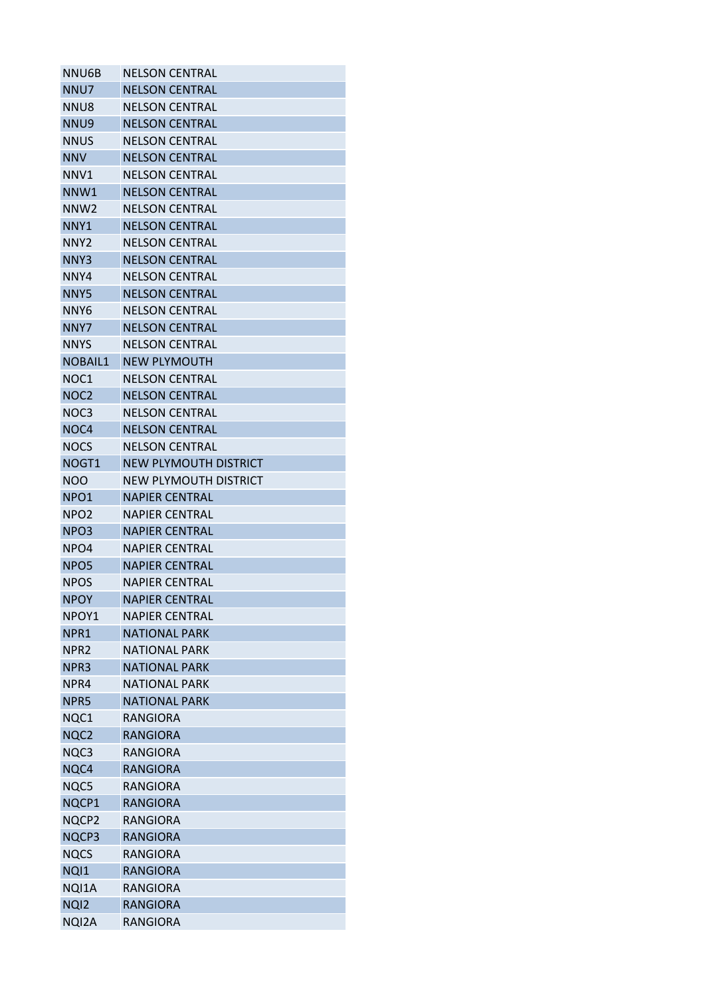| NNU6B            | <b>NELSON CENTRAL</b>        |
|------------------|------------------------------|
| NNU7             | <b>NELSON CENTRAL</b>        |
| NNU8             | <b>NELSON CENTRAL</b>        |
| NNU9             | <b>NELSON CENTRAL</b>        |
| NNUS             | <b>NELSON CENTRAL</b>        |
| <b>NNV</b>       | <b>NELSON CENTRAL</b>        |
| NNV1             | <b>NELSON CENTRAL</b>        |
| NNW1             | <b>NELSON CENTRAL</b>        |
| NNW <sub>2</sub> | <b>NELSON CENTRAL</b>        |
| NNY <sub>1</sub> | <b>NELSON CENTRAL</b>        |
| NNY2             | <b>NELSON CENTRAL</b>        |
| NNY3             | <b>NELSON CENTRAL</b>        |
| NNY4             | <b>NELSON CENTRAL</b>        |
| NNY5             | <b>NELSON CENTRAL</b>        |
| NNY6             | <b>NELSON CENTRAL</b>        |
| NNY7             | <b>NELSON CENTRAL</b>        |
| NNYS             | <b>NELSON CENTRAL</b>        |
| <b>NOBAIL1</b>   | <b>NEW PLYMOUTH</b>          |
| NOC <sub>1</sub> | <b>NELSON CENTRAL</b>        |
| NOC <sub>2</sub> | <b>NELSON CENTRAL</b>        |
| NOC <sub>3</sub> | <b>NELSON CENTRAL</b>        |
| NOC4             | <b>NELSON CENTRAL</b>        |
| NOCS             | <b>NELSON CENTRAL</b>        |
| NOGT1            | <b>NEW PLYMOUTH DISTRICT</b> |
| <b>NOO</b>       | NEW PLYMOUTH DISTRICT        |
| NPO <sub>1</sub> | <b>NAPIER CENTRAL</b>        |
| NPO <sub>2</sub> | <b>NAPIER CENTRAL</b>        |
| NPO3             | <b>NAPIER CENTRAL</b>        |
| NPO4             | <b>NAPIER CENTRAL</b>        |
| NPO5             | <b>NAPIER CENTRAL</b>        |
| <b>NPOS</b>      | <b>NAPIER CENTRAL</b>        |
| <b>NPOY</b>      | <b>NAPIER CENTRAL</b>        |
| NPOY1            | <b>NAPIER CENTRAL</b>        |
|                  |                              |
| NPR1             | <b>NATIONAL PARK</b>         |
| NPR <sub>2</sub> | <b>NATIONAL PARK</b>         |
| NPR3             | <b>NATIONAL PARK</b>         |
| NPR4             | <b>NATIONAL PARK</b>         |
| NPR5             | <b>NATIONAL PARK</b>         |
| NQC1             | RANGIORA                     |
| NQC2             | <b>RANGIORA</b>              |
| NQC3             | RANGIORA                     |
| NQC4             | <b>RANGIORA</b>              |
| NQC5             | <b>RANGIORA</b>              |
| NQCP1            | <b>RANGIORA</b>              |
| NQCP2            | RANGIORA                     |
| NQCP3            | <b>RANGIORA</b>              |
| <b>NQCS</b>      | <b>RANGIORA</b>              |
| NQI1             | <b>RANGIORA</b>              |
| NQI1A            | <b>RANGIORA</b>              |
| NQ <sub>12</sub> | <b>RANGIORA</b>              |
| NQI2A            | RANGIORA                     |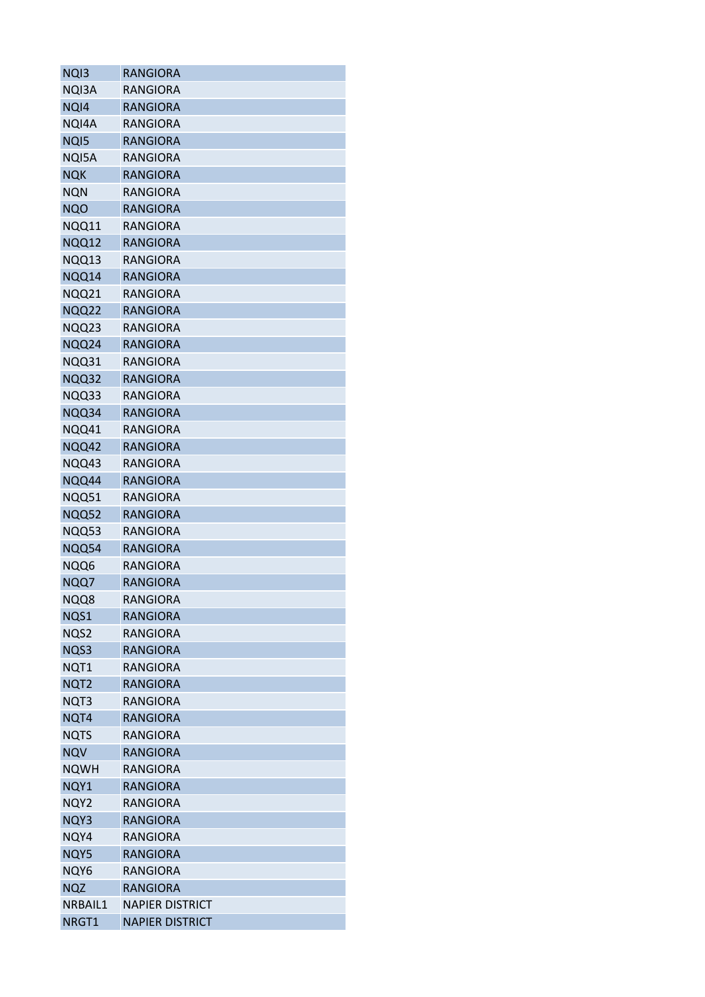| NQ <sub>13</sub> | <b>RANGIORA</b>        |
|------------------|------------------------|
| NQI3A            | RANGIORA               |
| NQI4             | <b>RANGIORA</b>        |
| NQI4A            | <b>RANGIORA</b>        |
| NQ <sub>15</sub> | <b>RANGIORA</b>        |
| NQI5A            | <b>RANGIORA</b>        |
| <b>NQK</b>       | <b>RANGIORA</b>        |
| <b>NQN</b>       | <b>RANGIORA</b>        |
| <b>NQO</b>       | <b>RANGIORA</b>        |
| NQQ11            | <b>RANGIORA</b>        |
| NQQ12            | <b>RANGIORA</b>        |
| NQQ13            | RANGIORA               |
| NQQ14            | <b>RANGIORA</b>        |
| NQQ21            | RANGIORA               |
| <b>NQQ22</b>     | <b>RANGIORA</b>        |
| NQQ23            | <b>RANGIORA</b>        |
| NQQ24            | <b>RANGIORA</b>        |
| NQQ31            | <b>RANGIORA</b>        |
| NQQ32            | <b>RANGIORA</b>        |
| NQQ33            | <b>RANGIORA</b>        |
| NQQ34            | <b>RANGIORA</b>        |
| NQQ41            | RANGIORA               |
| NQQ42            | <b>RANGIORA</b>        |
| NQQ43            | <b>RANGIORA</b>        |
| NQQ44            | <b>RANGIORA</b>        |
| NQQ51            | <b>RANGIORA</b>        |
| NQQ52            | <b>RANGIORA</b>        |
| NQQ53            | RANGIORA               |
| NQQ54            | <b>RANGIORA</b>        |
| NQQ6             | RANGIORA               |
| NQQ7             | <b>RANGIORA</b>        |
| NQQ8             | <b>RANGIORA</b>        |
| NQS1             | <b>RANGIORA</b>        |
| NQS2             | <b>RANGIORA</b>        |
| NQS3             | <b>RANGIORA</b>        |
| NQT1             | <b>RANGIORA</b>        |
| NQT <sub>2</sub> | <b>RANGIORA</b>        |
| NQT3             | <b>RANGIORA</b>        |
| NQT4             | <b>RANGIORA</b>        |
| NQTS             | RANGIORA               |
| <b>NQV</b>       | <b>RANGIORA</b>        |
| <b>NQWH</b>      | RANGIORA               |
| NQY1             | <b>RANGIORA</b>        |
| NQY2             | <b>RANGIORA</b>        |
| NQY3             | <b>RANGIORA</b>        |
| NQY4             | RANGIORA               |
| NQY5             | <b>RANGIORA</b>        |
| NQY6             | <b>RANGIORA</b>        |
| <b>NQZ</b>       | <b>RANGIORA</b>        |
| NRBAIL1          | <b>NAPIER DISTRICT</b> |
| NRGT1            | <b>NAPIER DISTRICT</b> |
|                  |                        |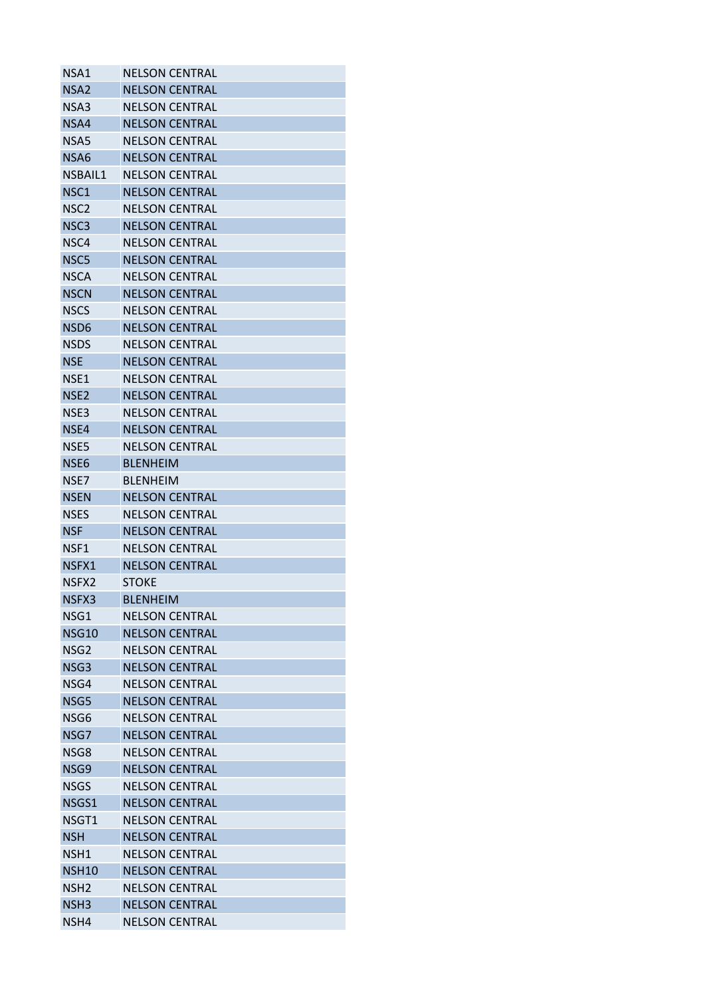| NSA1             | <b>NELSON CENTRAL</b> |
|------------------|-----------------------|
| NSA <sub>2</sub> | <b>NELSON CENTRAL</b> |
| NSA3             | <b>NELSON CENTRAL</b> |
| NSA4             | <b>NELSON CENTRAL</b> |
| NSA5             | <b>NELSON CENTRAL</b> |
| NSA6             | <b>NELSON CENTRAL</b> |
| NSBAIL1          | <b>NELSON CENTRAL</b> |
| NSC1             | <b>NELSON CENTRAL</b> |
| NSC <sub>2</sub> | <b>NELSON CENTRAL</b> |
| NSC <sub>3</sub> | <b>NELSON CENTRAL</b> |
| NSC4             | <b>NELSON CENTRAL</b> |
| NSC <sub>5</sub> | <b>NELSON CENTRAL</b> |
| <b>NSCA</b>      | <b>NELSON CENTRAL</b> |
| <b>NSCN</b>      | <b>NELSON CENTRAL</b> |
| <b>NSCS</b>      | <b>NELSON CENTRAL</b> |
| NSD6             | <b>NELSON CENTRAL</b> |
| NSDS             | <b>NELSON CENTRAL</b> |
| <b>NSE</b>       | <b>NELSON CENTRAL</b> |
| NSE1             | <b>NELSON CENTRAL</b> |
| NSE <sub>2</sub> | <b>NELSON CENTRAL</b> |
| NSE3             | <b>NELSON CENTRAL</b> |
| NSE4             | <b>NELSON CENTRAL</b> |
| NSE5             | <b>NELSON CENTRAL</b> |
| NSE6             | <b>BLENHEIM</b>       |
| NSE7             | <b>BLENHEIM</b>       |
| <b>NSEN</b>      | <b>NELSON CENTRAL</b> |
| <b>NSES</b>      | <b>NELSON CENTRAL</b> |
| <b>NSF</b>       | <b>NELSON CENTRAL</b> |
| NSF1             | <b>NELSON CENTRAL</b> |
| NSFX1            | <b>NELSON CENTRAL</b> |
| NSFX2            | <b>STOKE</b>          |
| NSFX3            | <b>BLENHEIM</b>       |
| NSG1             | <b>NELSON CENTRAL</b> |
|                  |                       |
| <b>NSG10</b>     | <b>NELSON CENTRAL</b> |
| NSG <sub>2</sub> | <b>NFLSON CENTRAL</b> |
| NSG3             | <b>NELSON CENTRAL</b> |
| NSG4             | <b>NELSON CENTRAL</b> |
| NSG5             | <b>NELSON CENTRAL</b> |
| NSG6             | <b>NELSON CENTRAL</b> |
| NSG7             | <b>NELSON CENTRAL</b> |
| NSG8             | <b>NELSON CENTRAL</b> |
| NSG9             | <b>NELSON CENTRAL</b> |
| <b>NSGS</b>      | <b>NELSON CENTRAL</b> |
| NSGS1            | <b>NELSON CENTRAL</b> |
| NSGT1            | <b>NELSON CENTRAL</b> |
| <b>NSH</b>       | <b>NELSON CENTRAL</b> |
| NSH1             | <b>NELSON CENTRAL</b> |
| <b>NSH10</b>     | <b>NELSON CENTRAL</b> |
| NSH <sub>2</sub> | <b>NELSON CENTRAL</b> |
| NSH <sub>3</sub> | <b>NELSON CENTRAL</b> |
| NSH4             | <b>NELSON CENTRAL</b> |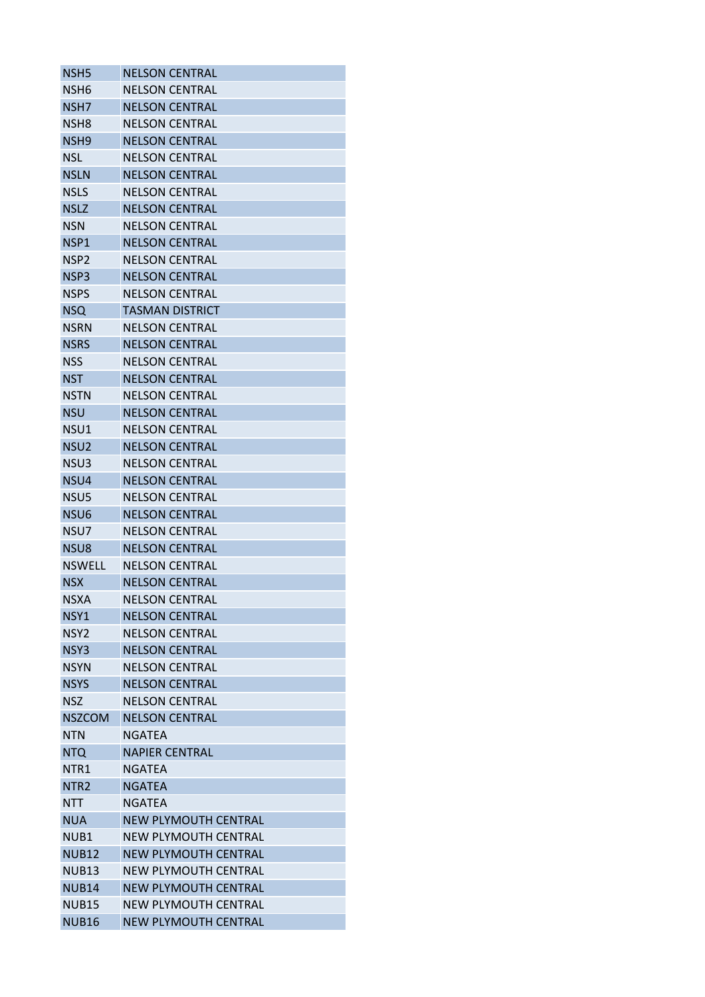| NSH <sub>5</sub> | <b>NELSON CENTRAL</b>       |
|------------------|-----------------------------|
| NSH6             | <b>NELSON CENTRAL</b>       |
| NSH7             | <b>NELSON CENTRAL</b>       |
| NSH8             | <b>NELSON CENTRAL</b>       |
| NSH <sub>9</sub> | <b>NELSON CENTRAL</b>       |
| <b>NSL</b>       | <b>NELSON CENTRAL</b>       |
| <b>NSLN</b>      | <b>NELSON CENTRAL</b>       |
| <b>NSLS</b>      | <b>NELSON CENTRAL</b>       |
| <b>NSLZ</b>      | <b>NELSON CENTRAL</b>       |
| <b>NSN</b>       | <b>NELSON CENTRAL</b>       |
| NSP1             | <b>NELSON CENTRAL</b>       |
| NSP <sub>2</sub> | <b>NELSON CENTRAL</b>       |
| NSP3             | <b>NELSON CENTRAL</b>       |
| <b>NSPS</b>      | <b>NELSON CENTRAL</b>       |
| <b>NSQ</b>       | <b>TASMAN DISTRICT</b>      |
| <b>NSRN</b>      | <b>NELSON CENTRAL</b>       |
| <b>NSRS</b>      | <b>NELSON CENTRAL</b>       |
| NSS              | <b>NELSON CENTRAL</b>       |
| <b>NST</b>       | <b>NELSON CENTRAL</b>       |
| <b>NSTN</b>      | <b>NELSON CENTRAL</b>       |
| <b>NSU</b>       | <b>NELSON CENTRAL</b>       |
| NSU1             | <b>NELSON CENTRAL</b>       |
| NSU <sub>2</sub> | <b>NELSON CENTRAL</b>       |
| NSU3             | <b>NELSON CENTRAL</b>       |
| NSU4             | <b>NELSON CENTRAL</b>       |
| NSU5             | <b>NELSON CENTRAL</b>       |
| NSU <sub>6</sub> | <b>NELSON CENTRAL</b>       |
| NSU7             | <b>NELSON CENTRAL</b>       |
| NSU8             | <b>NELSON CENTRAL</b>       |
| <b>NSWELL</b>    | <b>NELSON CENTRAL</b>       |
| <b>NSX</b>       | <b>NELSON CENTRAL</b>       |
| NSXA             | <b>NELSON CENTRAL</b>       |
| NSY1             | <b>NELSON CENTRAL</b>       |
| NSY <sub>2</sub> | <b>NELSON CENTRAL</b>       |
| NSY3             | <b>NELSON CENTRAL</b>       |
| <b>NSYN</b>      | <b>NELSON CENTRAL</b>       |
| <b>NSYS</b>      | <b>NELSON CENTRAL</b>       |
| <b>NSZ</b>       | <b>NELSON CENTRAL</b>       |
| <b>NSZCOM</b>    | <b>NELSON CENTRAL</b>       |
| <b>NTN</b>       | <b>NGATEA</b>               |
| <b>NTQ</b>       | <b>NAPIER CENTRAL</b>       |
| NTR1             | <b>NGATEA</b>               |
| NTR <sub>2</sub> | <b>NGATEA</b>               |
| <b>NTT</b>       | <b>NGATEA</b>               |
| <b>NUA</b>       | <b>NEW PLYMOUTH CENTRAL</b> |
| NUB1             | NEW PLYMOUTH CENTRAL        |
| <b>NUB12</b>     | <b>NEW PLYMOUTH CENTRAL</b> |
| <b>NUB13</b>     | <b>NEW PLYMOUTH CENTRAL</b> |
| <b>NUB14</b>     | <b>NEW PLYMOUTH CENTRAL</b> |
| <b>NUB15</b>     | <b>NEW PLYMOUTH CENTRAL</b> |
|                  | <b>NEW PLYMOUTH CENTRAL</b> |
| <b>NUB16</b>     |                             |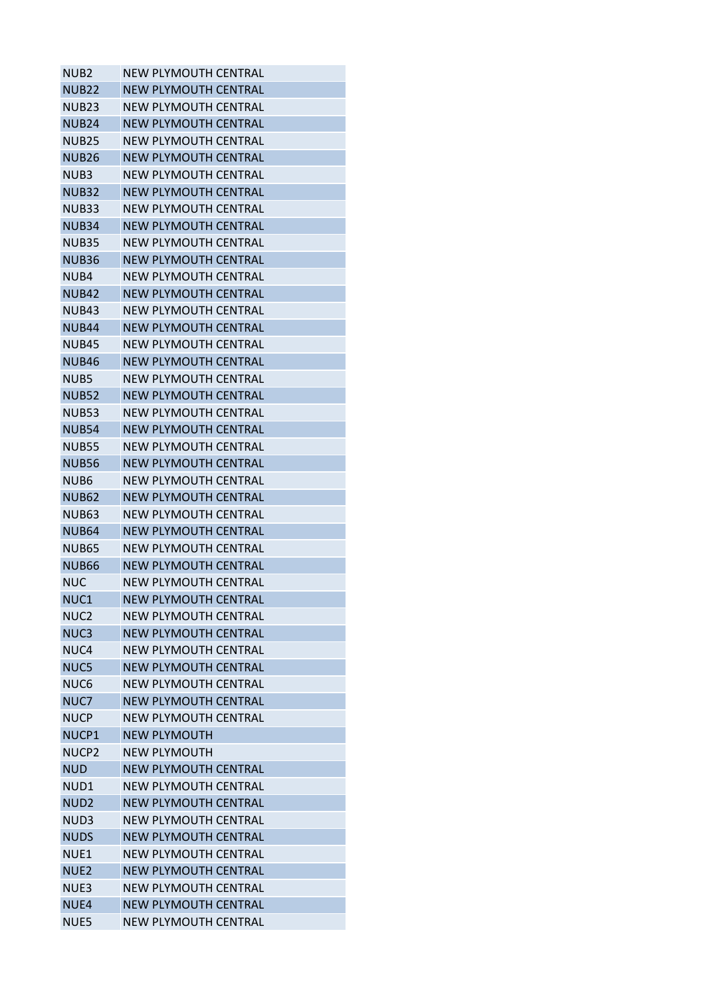| <b>NEW PLYMOUTH CENTRAL</b> |
|-----------------------------|
| <b>NEW PLYMOUTH CENTRAL</b> |
| <b>NEW PLYMOUTH CENTRAL</b> |
| <b>NEW PLYMOUTH CENTRAL</b> |
| NEW PLYMOUTH CENTRAL        |
| <b>NEW PLYMOUTH CENTRAL</b> |
| NEW PLYMOUTH CENTRAL        |
| <b>NEW PLYMOUTH CENTRAL</b> |
| <b>NEW PLYMOUTH CENTRAL</b> |
| <b>NEW PLYMOUTH CENTRAL</b> |
| NEW PLYMOUTH CENTRAL        |
| <b>NEW PLYMOUTH CENTRAL</b> |
| <b>NEW PLYMOUTH CENTRAL</b> |
| <b>NEW PLYMOUTH CENTRAL</b> |
| NEW PLYMOUTH CENTRAL        |
| <b>NEW PLYMOUTH CENTRAL</b> |
| <b>NEW PLYMOUTH CENTRAL</b> |
| <b>NEW PLYMOUTH CENTRAL</b> |
| NEW PLYMOUTH CENTRAL        |
| <b>NEW PLYMOUTH CENTRAL</b> |
| NEW PLYMOUTH CENTRAL        |
| <b>NEW PLYMOUTH CENTRAL</b> |
|                             |
| <b>NEW PLYMOUTH CENTRAL</b> |
| <b>NEW PLYMOUTH CENTRAL</b> |
| <b>NEW PLYMOUTH CENTRAL</b> |
| <b>NEW PLYMOUTH CENTRAL</b> |
| <b>NEW PLYMOUTH CENTRAL</b> |
| <b>NFW PLYMOUTH CFNTRAL</b> |
| NEW PLYMOUTH CENTRAL        |
| NEW PLYMOUTH CENTRAL        |
| <b>NEW PLYMOUTH CENTRAL</b> |
| <b>NEW PLYMOUTH CENTRAL</b> |
| NFW PLYMOUTH CFNTRAL        |
| <b>NEW PLYMOUTH CENTRAL</b> |
| <b>NEW PLYMOUTH CENTRAL</b> |
| <b>NEW PLYMOUTH CENTRAL</b> |
| <b>NEW PLYMOUTH CENTRAL</b> |
| <b>NEW PLYMOUTH CENTRAL</b> |
| <b>NEW PLYMOUTH CENTRAL</b> |
| <b>NEW PLYMOUTH</b>         |
| <b>NEW PLYMOUTH</b>         |
| <b>NEW PLYMOUTH CENTRAL</b> |
| <b>NEW PLYMOUTH CENTRAL</b> |
| <b>NEW PLYMOUTH CENTRAL</b> |
| <b>NEW PLYMOUTH CENTRAL</b> |
| <b>NEW PLYMOUTH CENTRAL</b> |
| <b>NEW PLYMOUTH CENTRAL</b> |
| <b>NEW PLYMOUTH CENTRAL</b> |
| <b>NEW PLYMOUTH CENTRAL</b> |
| <b>NEW PLYMOUTH CENTRAL</b> |
| <b>NEW PLYMOUTH CENTRAL</b> |
|                             |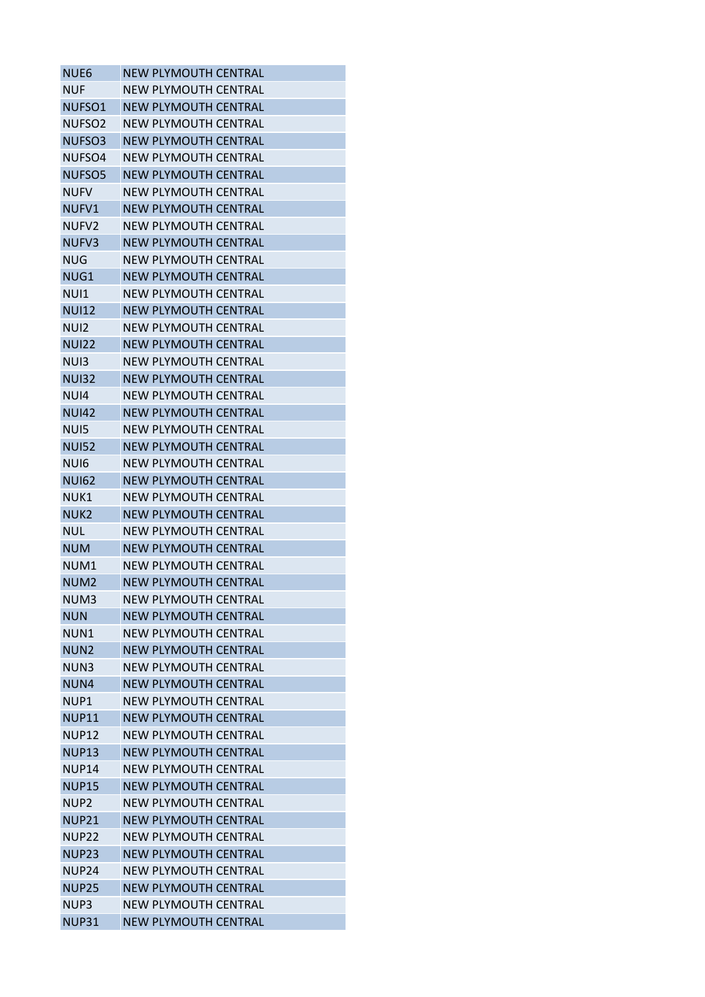| NUE <sub>6</sub>   | <b>NEW PLYMOUTH CENTRAL</b> |
|--------------------|-----------------------------|
| <b>NUF</b>         | <b>NEW PLYMOUTH CENTRAL</b> |
| NUFSO1             | <b>NEW PLYMOUTH CENTRAL</b> |
| NUFSO <sub>2</sub> | <b>NEW PLYMOUTH CENTRAL</b> |
| NUFSO3             | <b>NEW PLYMOUTH CENTRAL</b> |
| NUFSO <sub>4</sub> | <b>NEW PLYMOUTH CENTRAL</b> |
| NUFSO <sub>5</sub> | NEW PLYMOUTH CENTRAL        |
| <b>NUFV</b>        | NEW PLYMOUTH CENTRAL        |
| NUFV1              | <b>NEW PLYMOUTH CENTRAL</b> |
| NUFV <sub>2</sub>  | NEW PLYMOUTH CENTRAL        |
| NUFV3              | <b>NEW PLYMOUTH CENTRAL</b> |
| <b>NUG</b>         | <b>NEW PLYMOUTH CENTRAL</b> |
| NUG1               | <b>NEW PLYMOUTH CENTRAL</b> |
| NUI1               | NEW PLYMOUTH CENTRAL        |
| <b>NUI12</b>       | NEW PLYMOUTH CENTRAL        |
| NUI <sub>2</sub>   | <b>NEW PLYMOUTH CENTRAL</b> |
| <b>NUI22</b>       | <b>NEW PLYMOUTH CENTRAL</b> |
| NU <sub>13</sub>   | <b>NEW PLYMOUTH CENTRAL</b> |
| <b>NUI32</b>       | <b>NEW PLYMOUTH CENTRAL</b> |
| NUI4               | <b>NEW PLYMOUTH CENTRAL</b> |
| <b>NUI42</b>       | <b>NEW PLYMOUTH CENTRAL</b> |
| NU <sub>15</sub>   | <b>NEW PLYMOUTH CENTRAL</b> |
| <b>NUI52</b>       | <b>NEW PLYMOUTH CENTRAL</b> |
| NU <sub>16</sub>   | <b>NEW PLYMOUTH CENTRAL</b> |
| <b>NUI62</b>       | <b>NEW PLYMOUTH CENTRAL</b> |
| NUK1               | NEW PLYMOUTH CENTRAL        |
| NUK <sub>2</sub>   | <b>NEW PLYMOUTH CENTRAL</b> |
| NUL                | NEW PLYMOUTH CENTRAL        |
| <b>NUM</b>         | <b>NEW PLYMOUTH CENTRAL</b> |
| NUM1               | NEW PLYMOUTH CENTRAL        |
| NUM <sub>2</sub>   | <b>NEW PLYMOUTH CENTRAL</b> |
| NUM3               | <b>NEW PLYMOUTH CENTRAL</b> |
| <b>NUN</b>         | <b>NEW PLYMOUTH CENTRAL</b> |
| NUN1               | <b>NEW PLYMOUTH CENTRAL</b> |
| NUN <sub>2</sub>   | <b>NFW PLYMOUTH CFNTRAL</b> |
| NUN3               | <b>NEW PLYMOUTH CENTRAL</b> |
| NUN4               | <b>NEW PLYMOUTH CENTRAL</b> |
| NUP1               | <b>NEW PLYMOUTH CENTRAL</b> |
| <b>NUP11</b>       | <b>NEW PLYMOUTH CENTRAL</b> |
| <b>NUP12</b>       | <b>NEW PLYMOUTH CENTRAL</b> |
| <b>NUP13</b>       | <b>NEW PLYMOUTH CENTRAL</b> |
| NUP14              | <b>NEW PLYMOUTH CENTRAL</b> |
| <b>NUP15</b>       | <b>NEW PLYMOUTH CENTRAL</b> |
| NUP <sub>2</sub>   | <b>NEW PLYMOUTH CENTRAL</b> |
| <b>NUP21</b>       | <b>NEW PLYMOUTH CENTRAL</b> |
| NUP22              | NEW PLYMOUTH CENTRAL        |
| <b>NUP23</b>       | <b>NEW PLYMOUTH CENTRAL</b> |
| NUP <sub>24</sub>  | <b>NEW PLYMOUTH CENTRAL</b> |
| <b>NUP25</b>       | <b>NEW PLYMOUTH CENTRAL</b> |
| NUP3               | <b>NEW PLYMOUTH CENTRAL</b> |
| <b>NUP31</b>       | <b>NEW PLYMOUTH CENTRAL</b> |
|                    |                             |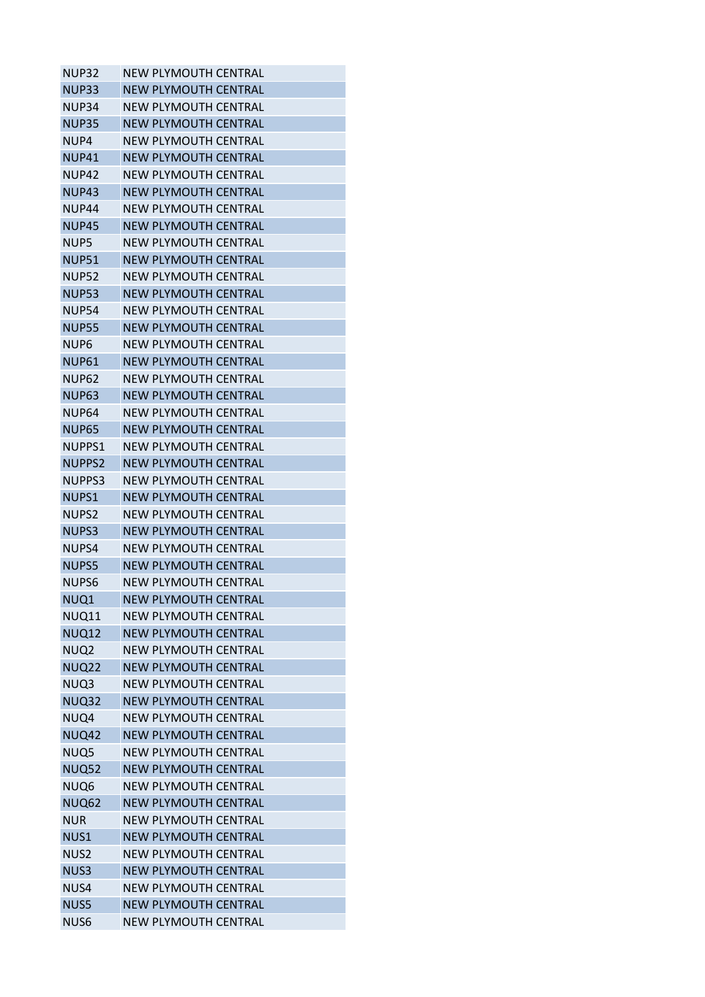| <b>NEW PLYMOUTH CENTRAL</b> |
|-----------------------------|
| <b>NEW PLYMOUTH CENTRAL</b> |
| <b>NEW PLYMOUTH CENTRAL</b> |
| <b>NEW PLYMOUTH CENTRAL</b> |
| NEW PLYMOUTH CENTRAL        |
| <b>NEW PLYMOUTH CENTRAL</b> |
| NEW PLYMOUTH CENTRAL        |
| <b>NEW PLYMOUTH CENTRAL</b> |
| <b>NEW PLYMOUTH CENTRAL</b> |
| <b>NEW PLYMOUTH CENTRAL</b> |
| NEW PLYMOUTH CENTRAL        |
| <b>NEW PLYMOUTH CENTRAL</b> |
| <b>NEW PLYMOUTH CENTRAL</b> |
| <b>NEW PLYMOUTH CENTRAL</b> |
| NEW PLYMOUTH CENTRAL        |
| <b>NFW PLYMOUTH CFNTRAL</b> |
| <b>NEW PLYMOUTH CENTRAL</b> |
| <b>NEW PLYMOUTH CENTRAL</b> |
| NEW PLYMOUTH CENTRAL        |
| <b>NFW PLYMOUTH CFNTRAL</b> |
| NEW PLYMOUTH CENTRAL        |
| <b>NEW PLYMOUTH CENTRAL</b> |
| <b>NEW PLYMOUTH CENTRAL</b> |
|                             |
| <b>NEW PLYMOUTH CENTRAL</b> |
| <b>NEW PLYMOUTH CENTRAL</b> |
| <b>NEW PLYMOUTH CENTRAL</b> |
| <b>NEW PLYMOUTH CENTRAL</b> |
| <b>NEW PLYMOUTH CENTRAL</b> |
| NEW PLYMOUTH CENTRAL        |
| NEW PLYMOUTH CENTRAL        |
| <b>NEW PLYMOUTH CENTRAL</b> |
| <b>NEW PLYMOUTH CENTRAL</b> |
| <b>NEW PLYMOUTH CENTRAL</b> |
| <b>NEW PLYMOUTH CENTRAL</b> |
| <b>NEW PLYMOUTH CENTRAL</b> |
| <b>NEW PLYMOUTH CENTRAL</b> |
| <b>NEW PLYMOUTH CENTRAL</b> |
| <b>NEW PLYMOUTH CENTRAL</b> |
| <b>NEW PLYMOUTH CENTRAL</b> |
| <b>NEW PLYMOUTH CENTRAL</b> |
| <b>NEW PLYMOUTH CENTRAL</b> |
| NEW PLYMOUTH CENTRAL        |
| <b>NEW PLYMOUTH CENTRAL</b> |
| <b>NEW PLYMOUTH CENTRAL</b> |
| <b>NEW PLYMOUTH CENTRAL</b> |
| <b>NEW PLYMOUTH CENTRAL</b> |
| <b>NEW PLYMOUTH CENTRAL</b> |
| <b>NEW PLYMOUTH CENTRAL</b> |
| <b>NEW PLYMOUTH CENTRAL</b> |
| <b>NEW PLYMOUTH CENTRAL</b> |
| NEW PLYMOUTH CENTRAL        |
|                             |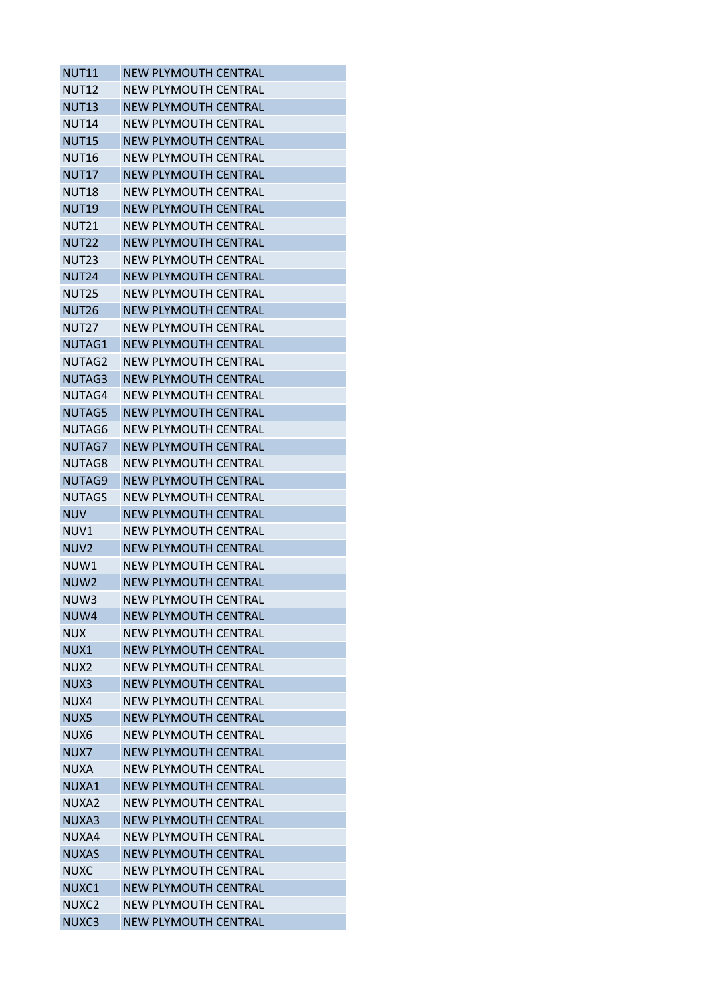| <b>NUT11</b>      | <b>NEW PLYMOUTH CENTRAL</b> |
|-------------------|-----------------------------|
| <b>NUT12</b>      | NEW PLYMOUTH CENTRAL        |
| <b>NUT13</b>      | <b>NEW PLYMOUTH CENTRAL</b> |
| <b>NUT14</b>      | <b>NEW PLYMOUTH CENTRAL</b> |
| <b>NUT15</b>      | <b>NEW PLYMOUTH CENTRAL</b> |
| <b>NUT16</b>      | <b>NEW PLYMOUTH CENTRAL</b> |
| <b>NUT17</b>      | NEW PLYMOUTH CENTRAL        |
| <b>NUT18</b>      | <b>NEW PLYMOUTH CENTRAL</b> |
| <b>NUT19</b>      | <b>NEW PLYMOUTH CENTRAL</b> |
| <b>NUT21</b>      | NEW PLYMOUTH CENTRAL        |
| <b>NUT22</b>      | <b>NEW PLYMOUTH CENTRAL</b> |
| NUT <sub>23</sub> | <b>NEW PLYMOUTH CENTRAL</b> |
| <b>NUT24</b>      | <b>NEW PLYMOUTH CENTRAL</b> |
| <b>NUT25</b>      | NEW PLYMOUTH CENTRAL        |
| <b>NUT26</b>      | <b>NEW PLYMOUTH CENTRAL</b> |
| <b>NUT27</b>      | <b>NEW PLYMOUTH CENTRAL</b> |
| NUTAG1            | <b>NEW PLYMOUTH CENTRAL</b> |
| NUTAG2            | <b>NEW PLYMOUTH CENTRAL</b> |
| NUTAG3            | <b>NEW PLYMOUTH CENTRAL</b> |
| NUTAG4            | <b>NEW PLYMOUTH CENTRAL</b> |
| NUTAG5            | <b>NEW PLYMOUTH CENTRAL</b> |
| NUTAG6            | NEW PLYMOUTH CENTRAL        |
| NUTAG7            | <b>NEW PLYMOUTH CENTRAL</b> |
| NUTAG8            | <b>NEW PLYMOUTH CENTRAL</b> |
| NUTAG9            | <b>NEW PLYMOUTH CENTRAL</b> |
| <b>NUTAGS</b>     | <b>NEW PLYMOUTH CENTRAL</b> |
| <b>NUV</b>        | <b>NEW PLYMOUTH CENTRAL</b> |
| NUV1              | NEW PLYMOUTH CENTRAL        |
| NUV <sub>2</sub>  | <b>NEW PLYMOUTH CENTRAL</b> |
| NUW1              | NEW PLYMOUTH CENTRAL        |
| NUW <sub>2</sub>  | <b>NEW PLYMOUTH CENTRAL</b> |
|                   | <b>NEW PLYMOUTH CENTRAL</b> |
| NUW3              | <b>NEW PLYMOUTH CENTRAL</b> |
| NUW4              |                             |
| <b>NUX</b>        | <b>NEW PLYMOUTH CENTRAL</b> |
| NUX1              | <b>NEW PLYMOUTH CENTRAL</b> |
| NUX2              | <b>NEW PLYMOUTH CENTRAL</b> |
| NUX3              | <b>NEW PLYMOUTH CENTRAL</b> |
| NUX4              | <b>NEW PLYMOUTH CENTRAL</b> |
| NUX5              | <b>NEW PLYMOUTH CENTRAL</b> |
| NUX6              | <b>NEW PLYMOUTH CENTRAL</b> |
| NUX7              | <b>NEW PLYMOUTH CENTRAL</b> |
| NUXA              | <b>NEW PLYMOUTH CENTRAL</b> |
| NUXA1             | <b>NEW PLYMOUTH CENTRAL</b> |
| NUXA2             | <b>NEW PLYMOUTH CENTRAL</b> |
| NUXA3             | <b>NEW PLYMOUTH CENTRAL</b> |
| NUXA4             | NEW PLYMOUTH CENTRAL        |
| <b>NUXAS</b>      | <b>NEW PLYMOUTH CENTRAL</b> |
| <b>NUXC</b>       | <b>NEW PLYMOUTH CENTRAL</b> |
| NUXC1             | <b>NEW PLYMOUTH CENTRAL</b> |
| NUXC2             | <b>NEW PLYMOUTH CENTRAL</b> |
| NUXC3             | <b>NEW PLYMOUTH CENTRAL</b> |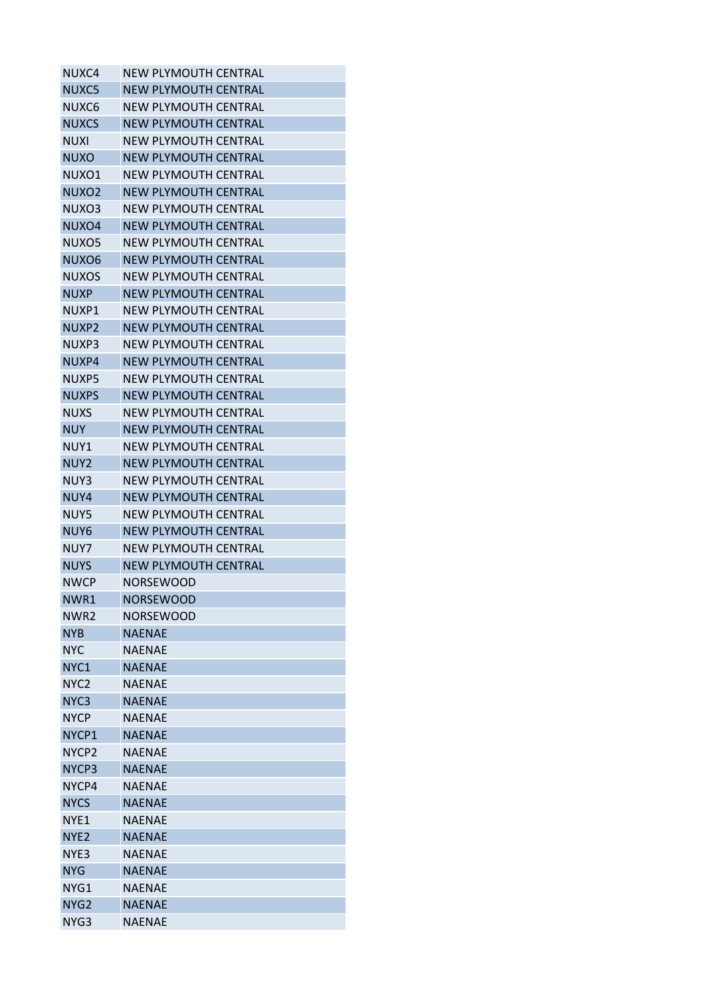| NUXC4             | <b>NEW PLYMOUTH CENTRAL</b> |
|-------------------|-----------------------------|
| NUXC5             | <b>NEW PLYMOUTH CENTRAL</b> |
| NUXC6             | <b>NEW PLYMOUTH CENTRAL</b> |
| <b>NUXCS</b>      | <b>NEW PLYMOUTH CENTRAL</b> |
| NUXI              | NFW PLYMOUTH CFNTRAL        |
| <b>NUXO</b>       | <b>NEW PLYMOUTH CENTRAL</b> |
| NUXO1             | NEW PLYMOUTH CENTRAL        |
| NUXO <sub>2</sub> | <b>NEW PLYMOUTH CENTRAL</b> |
| NUXO3             | <b>NEW PLYMOUTH CENTRAL</b> |
| NUXO4             | <b>NEW PLYMOUTH CENTRAL</b> |
| NUXO5             | NEW PLYMOUTH CENTRAL        |
| NUXO6             | <b>NEW PLYMOUTH CENTRAL</b> |
| <b>NUXOS</b>      | <b>NEW PLYMOUTH CENTRAL</b> |
| <b>NUXP</b>       | NEW PLYMOUTH CENTRAL        |
| NUXP1             | <b>NEW PLYMOUTH CENTRAL</b> |
| NUXP2             | <b>NEW PLYMOUTH CENTRAL</b> |
| NUXP3             | <b>NEW PLYMOUTH CENTRAL</b> |
| NUXP4             | <b>NEW PLYMOUTH CENTRAL</b> |
| NUXP5             | <b>NEW PLYMOUTH CENTRAL</b> |
| <b>NUXPS</b>      | <b>NEW PLYMOUTH CENTRAL</b> |
| <b>NUXS</b>       | NEW PLYMOUTH CENTRAL        |
| <b>NUY</b>        |                             |
|                   | <b>NEW PLYMOUTH CENTRAL</b> |
| NUY1              | <b>NEW PLYMOUTH CENTRAL</b> |
| NUY <sub>2</sub>  | <b>NEW PLYMOUTH CENTRAL</b> |
| NUY3              | NEW PLYMOUTH CENTRAL        |
| NUY4              | <b>NEW PLYMOUTH CENTRAL</b> |
| NUY5              | <b>NEW PLYMOUTH CENTRAL</b> |
| NUY6              | <b>NEW PLYMOUTH CENTRAL</b> |
| NUY7              | NEW PLYMOUTH CENTRAL        |
| <b>NUYS</b>       | <b>NEW PLYMOUTH CENTRAL</b> |
| NWCP              | <b>NORSEWOOD</b>            |
| NWR1              | <b>NORSEWOOD</b>            |
| NWR <sub>2</sub>  | <b>NORSEWOOD</b>            |
| <b>NYB</b>        | <b>NAENAE</b>               |
| <b>NYC</b>        | <b>NAENAE</b>               |
| NYC1              | <b>NAENAE</b>               |
| NYC <sub>2</sub>  | <b>NAENAE</b>               |
| NYC3              | <b>NAENAE</b>               |
| <b>NYCP</b>       | <b>NAENAE</b>               |
| NYCP1             | <b>NAENAE</b>               |
| NYCP <sub>2</sub> | <b>NAENAE</b>               |
| NYCP3             | <b>NAENAE</b>               |
| NYCP4             | <b>NAENAE</b>               |
| <b>NYCS</b>       | <b>NAENAE</b>               |
| NYE1              | <b>NAENAE</b>               |
| NYE <sub>2</sub>  | <b>NAENAE</b>               |
| NYE3              | <b>NAENAE</b>               |
| <b>NYG</b>        | <b>NAENAE</b>               |
| NYG1              | <b>NAENAE</b>               |
| NYG <sub>2</sub>  | <b>NAENAE</b>               |
| NYG3              | <b>NAENAE</b>               |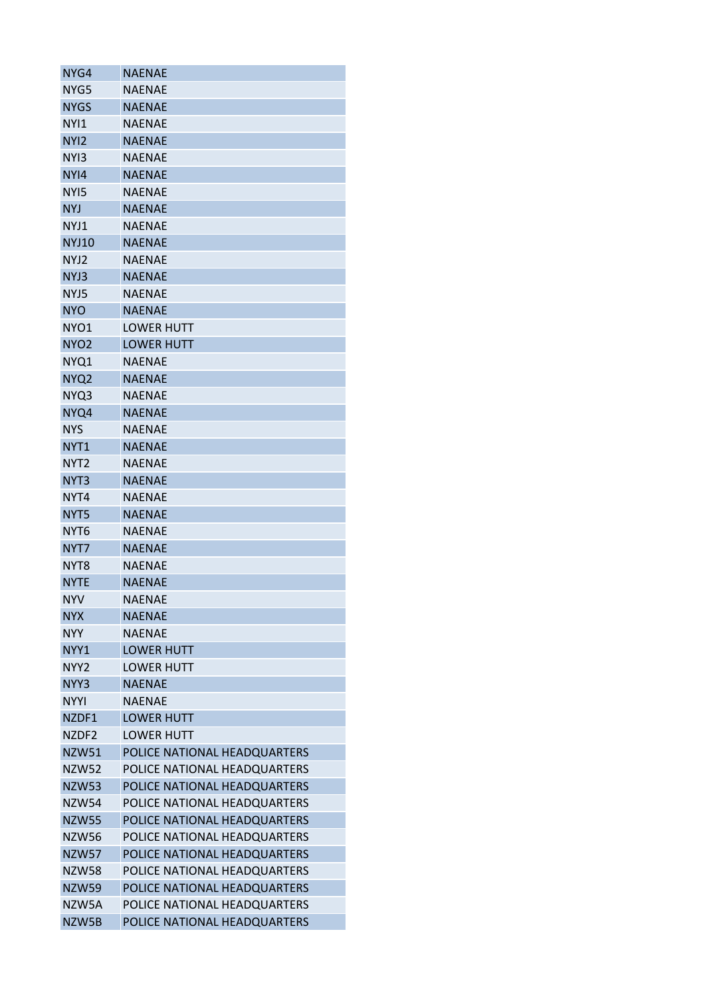| NYG4             | <b>NAENAE</b>                |
|------------------|------------------------------|
| NYG5             | NAENAE                       |
| <b>NYGS</b>      | <b>NAENAE</b>                |
| NYI1             | <b>NAENAE</b>                |
| NY <sub>12</sub> | <b>NAENAE</b>                |
| NY <sub>13</sub> | NAENAE                       |
| NY <sub>14</sub> | <b>NAENAE</b>                |
| NYI5             | <b>NAENAE</b>                |
| <b>NYJ</b>       | <b>NAENAE</b>                |
| NYJ1             | NAENAE                       |
| <b>NYJ10</b>     | <b>NAENAE</b>                |
| NYJ2             | <b>NAENAE</b>                |
| NYJ3             | <b>NAENAE</b>                |
| NYJ5             | <b>NAENAE</b>                |
| <b>NYO</b>       | <b>NAENAE</b>                |
| NYO1             | <b>LOWER HUTT</b>            |
| NYO <sub>2</sub> | <b>LOWER HUTT</b>            |
| NYQ1             | <b>NAENAE</b>                |
| NYQ <sub>2</sub> | <b>NAENAE</b>                |
| NYQ3             | <b>NAENAE</b>                |
| NYQ4             | <b>NAENAE</b>                |
| NYS              | NAENAE                       |
| NYT <sub>1</sub> | <b>NAENAE</b>                |
| NYT <sub>2</sub> | <b>NAENAE</b>                |
| NYT <sub>3</sub> | <b>NAENAE</b>                |
| NYT4             | <b>NAENAE</b>                |
| NYT <sub>5</sub> | <b>NAENAE</b>                |
| NYT <sub>6</sub> | <b>NAENAE</b>                |
| NYT7             | <b>NAENAE</b>                |
| NYT8             | NAENAE                       |
| <b>NYTE</b>      | <b>NAENAE</b>                |
| <b>NYV</b>       | <b>NAENAE</b>                |
| <b>NYX</b>       | <b>NAENAE</b>                |
| <b>NYY</b>       | <b>NAFNAF</b>                |
|                  |                              |
| NYY1             | <b>LOWER HUTT</b>            |
| NYY <sub>2</sub> | <b>LOWER HUTT</b>            |
| NYY3             | <b>NAENAE</b>                |
| <b>NYYI</b>      | <b>NAENAE</b>                |
| NZDF1            | <b>LOWER HUTT</b>            |
| NZDF2            | <b>LOWER HUTT</b>            |
| <b>NZW51</b>     | POLICE NATIONAL HEADQUARTERS |
| <b>NZW52</b>     | POLICE NATIONAL HEADQUARTERS |
| <b>NZW53</b>     | POLICE NATIONAL HEADQUARTERS |
| <b>NZW54</b>     | POLICE NATIONAL HEADQUARTERS |
| <b>NZW55</b>     | POLICE NATIONAL HEADQUARTERS |
| <b>NZW56</b>     | POLICE NATIONAL HEADQUARTERS |
| <b>NZW57</b>     | POLICE NATIONAL HEADQUARTERS |
| <b>NZW58</b>     | POLICE NATIONAL HEADQUARTERS |
| <b>NZW59</b>     | POLICE NATIONAL HEADQUARTERS |
| NZW5A            | POLICE NATIONAL HEADQUARTERS |
| NZW5B            | POLICE NATIONAL HEADQUARTERS |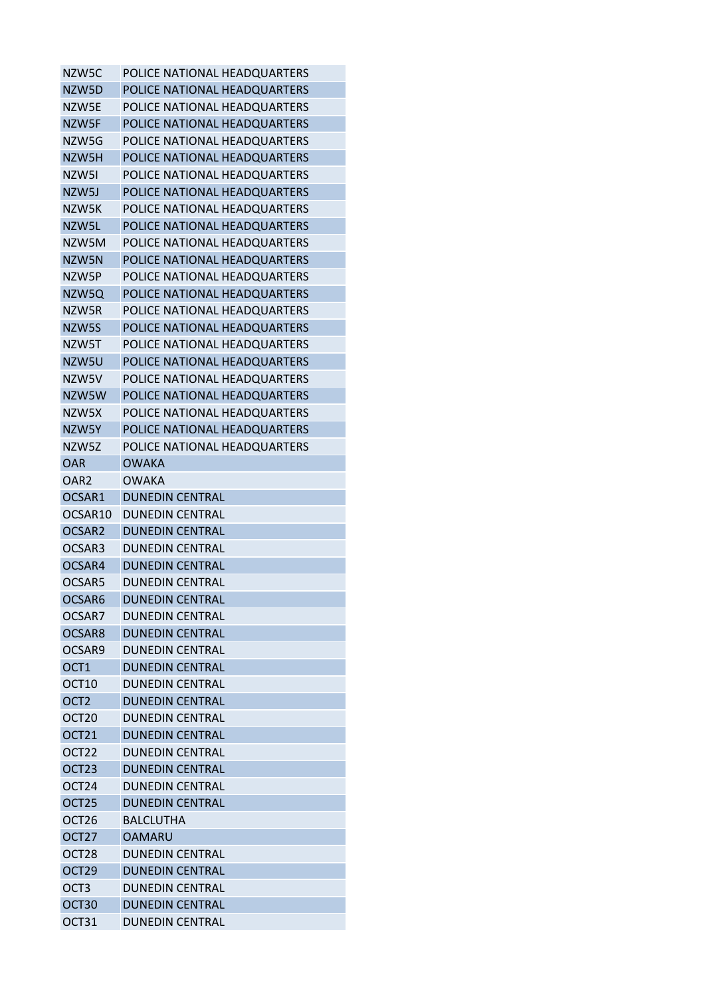| NZW5C              | POLICE NATIONAL HEADQUARTERS |
|--------------------|------------------------------|
| NZW5D              | POLICE NATIONAL HEADQUARTERS |
| NZW5E              | POLICE NATIONAL HEADQUARTERS |
| NZW5F              | POLICE NATIONAL HEADQUARTERS |
| NZW5G              | POLICE NATIONAL HEADQUARTERS |
| NZW5H              | POLICE NATIONAL HEADQUARTERS |
| NZW5I              | POLICE NATIONAL HEADQUARTERS |
| NZW5J              | POLICE NATIONAL HEADQUARTERS |
| NZW5K              | POLICE NATIONAL HEADQUARTERS |
| NZW5L              | POLICE NATIONAL HEADQUARTERS |
| NZW5M              | POLICE NATIONAL HEADQUARTERS |
| NZW5N              | POLICE NATIONAL HEADQUARTERS |
| NZW5P              | POLICE NATIONAL HEADQUARTERS |
| NZW5Q              | POLICE NATIONAL HEADQUARTERS |
| NZW5R              | POLICE NATIONAL HEADQUARTERS |
| NZW5S              | POLICE NATIONAL HEADQUARTERS |
| NZW5T              | POLICE NATIONAL HEADQUARTERS |
| NZW5U              | POLICE NATIONAL HEADQUARTERS |
| NZW5V              | POLICE NATIONAL HEADQUARTERS |
| NZW5W              | POLICE NATIONAL HEADQUARTERS |
| NZW5X              | POLICE NATIONAL HEADQUARTERS |
| NZW5Y              | POLICE NATIONAL HEADQUARTERS |
| NZW5Z              | POLICE NATIONAL HEADQUARTERS |
| <b>OAR</b>         | <b>OWAKA</b>                 |
| OAR <sub>2</sub>   | <b>OWAKA</b>                 |
| OCSAR1             | <b>DUNEDIN CENTRAL</b>       |
| OCSAR10            | <b>DUNEDIN CENTRAL</b>       |
| OCSAR <sub>2</sub> | <b>DUNEDIN CENTRAL</b>       |
| OCSAR3             | <b>DUNEDIN CENTRAL</b>       |
| OCSAR4             | <b>DUNEDIN CENTRAL</b>       |
| OCSAR5             | <b>DUNEDIN CENTRAL</b>       |
| OCSAR6             | <b>DUNEDIN CENTRAL</b>       |
| OCSAR7             | <b>DUNEDIN CENTRAL</b>       |
| OCSAR8             | <b>DUNEDIN CENTRAL</b>       |
| OCSAR9             | <b>DUNEDIN CENTRAL</b>       |
| OCT <sub>1</sub>   | <b>DUNEDIN CENTRAL</b>       |
| OCT <sub>10</sub>  | <b>DUNEDIN CENTRAL</b>       |
| OCT <sub>2</sub>   | <b>DUNEDIN CENTRAL</b>       |
| OCT <sub>20</sub>  | <b>DUNEDIN CENTRAL</b>       |
| OCT <sub>21</sub>  | <b>DUNEDIN CENTRAL</b>       |
|                    |                              |
| OCT <sub>22</sub>  | <b>DUNEDIN CENTRAL</b>       |
| OCT23              | <b>DUNEDIN CENTRAL</b>       |
| OCT <sub>24</sub>  | <b>DUNEDIN CENTRAL</b>       |
| OCT25              | <b>DUNEDIN CENTRAL</b>       |
| OCT <sub>26</sub>  | <b>BALCLUTHA</b>             |
| OCT <sub>27</sub>  | <b>OAMARU</b>                |
| OCT28              | <b>DUNEDIN CENTRAL</b>       |
| OCT <sub>29</sub>  | <b>DUNEDIN CENTRAL</b>       |
| OCT <sub>3</sub>   | <b>DUNEDIN CENTRAL</b>       |
| OCT30              | <b>DUNEDIN CENTRAL</b>       |
| OCT31              | <b>DUNEDIN CENTRAL</b>       |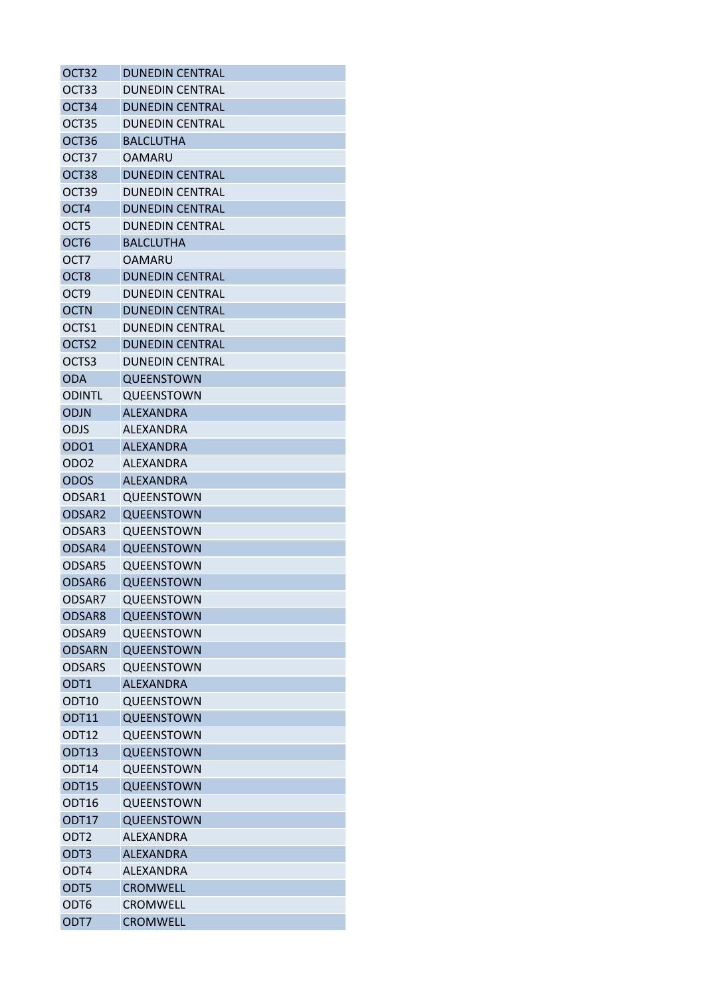| OCT <sub>32</sub>  | <b>DUNEDIN CENTRAL</b> |
|--------------------|------------------------|
| OCT33              | <b>DUNEDIN CENTRAL</b> |
| OCT <sub>34</sub>  | <b>DUNEDIN CENTRAL</b> |
| OCT35              | <b>DUNEDIN CENTRAL</b> |
| OCT36              | <b>BALCLUTHA</b>       |
| OCT37              | <b>OAMARU</b>          |
| OCT38              | <b>DUNEDIN CENTRAL</b> |
| OCT39              | <b>DUNEDIN CENTRAL</b> |
| OCT4               | <b>DUNEDIN CENTRAL</b> |
| OCT5               | <b>DUNEDIN CENTRAL</b> |
| OCT <sub>6</sub>   | <b>BALCLUTHA</b>       |
| OCT7               | OAMARU                 |
| OCT <sub>8</sub>   | <b>DUNEDIN CENTRAL</b> |
| OCT <sub>9</sub>   | <b>DUNEDIN CENTRAL</b> |
| <b>OCTN</b>        | <b>DUNEDIN CENTRAL</b> |
| OCTS1              | <b>DUNEDIN CENTRAL</b> |
| OCTS2              | <b>DUNEDIN CENTRAL</b> |
| OCTS3              | <b>DUNEDIN CENTRAL</b> |
| <b>ODA</b>         | QUEENSTOWN             |
| <b>ODINTL</b>      | QUEENSTOWN             |
| <b>ODJN</b>        | <b>ALEXANDRA</b>       |
| ODJS               | ALEXANDRA              |
|                    |                        |
| ODO1               | <b>ALEXANDRA</b>       |
| ODO <sub>2</sub>   | <b>ALEXANDRA</b>       |
| <b>ODOS</b>        | <b>ALEXANDRA</b>       |
| ODSAR1             | QUEENSTOWN             |
| ODSAR <sub>2</sub> | QUEENSTOWN             |
| ODSAR3             | <b>OUEENSTOWN</b>      |
| ODSAR4             | QUEENSTOWN             |
| ODSAR5             | QUEENSTOWN             |
| ODSAR6             | QUEENSTOWN             |
| ODSAR7             | QUEENSTOWN             |
| ODSAR8             | QUEENSTOWN             |
| ODSAR9             | QUEENSTOWN             |
| <b>ODSARN</b>      | <b>QUEENSTOWN</b>      |
| <b>ODSARS</b>      | QUEENSTOWN             |
| ODT1               | <b>ALEXANDRA</b>       |
| ODT <sub>10</sub>  | QUEENSTOWN             |
| ODT11              | QUEENSTOWN             |
| ODT <sub>12</sub>  | QUEENSTOWN             |
| ODT <sub>13</sub>  | QUEENSTOWN             |
| ODT14              | QUEENSTOWN             |
| ODT15              | <b>QUEENSTOWN</b>      |
| ODT16              | QUEENSTOWN             |
| ODT17              | <b>QUEENSTOWN</b>      |
| ODT <sub>2</sub>   | ALEXANDRA              |
| ODT3               | <b>ALEXANDRA</b>       |
| ODT4               | <b>ALEXANDRA</b>       |
| ODT5               | <b>CROMWELL</b>        |
| ODT6               | <b>CROMWELL</b>        |
| ODT7               | <b>CROMWELL</b>        |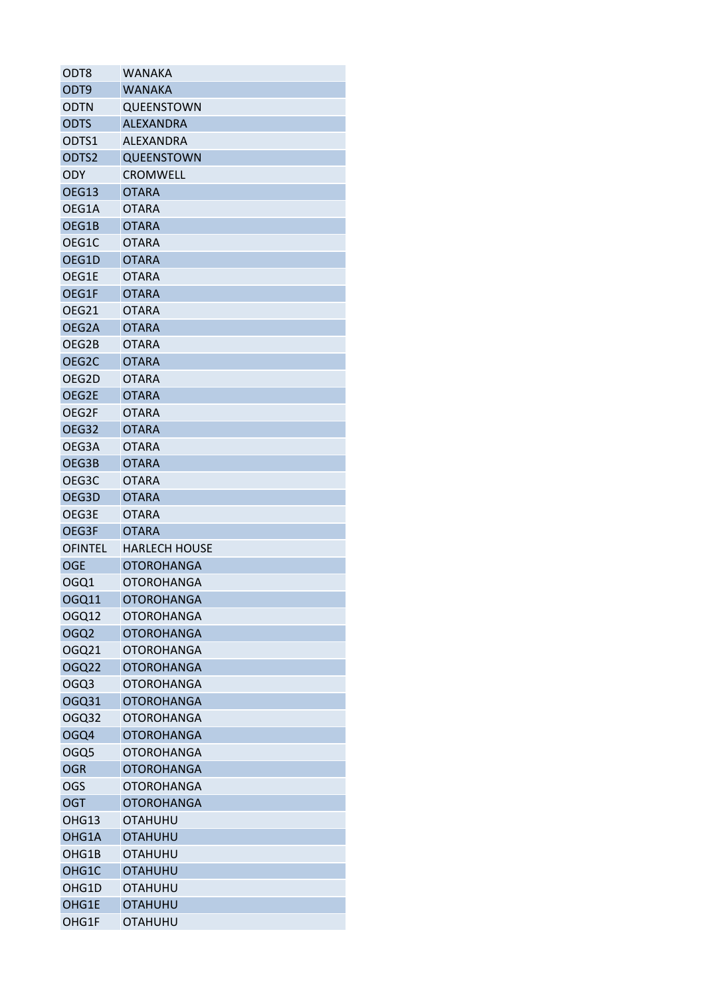| ODT8               | <b>WANAKA</b>        |
|--------------------|----------------------|
| ODT <sub>9</sub>   | <b>WANAKA</b>        |
| <b>ODTN</b>        | QUEENSTOWN           |
| <b>ODTS</b>        | <b>ALEXANDRA</b>     |
| ODTS1              | <b>ALEXANDRA</b>     |
| ODTS2              | <b>QUEENSTOWN</b>    |
| <b>ODY</b>         | <b>CROMWELL</b>      |
| OEG13              | <b>OTARA</b>         |
| OEG1A              | <b>OTARA</b>         |
| OEG1B              | <b>OTARA</b>         |
| OEG1C              | <b>OTARA</b>         |
| OEG1D              | <b>OTARA</b>         |
| OEG1E              | <b>OTARA</b>         |
| OEG1F              | <b>OTARA</b>         |
| OEG21              | <b>OTARA</b>         |
| OEG2A              | <b>OTARA</b>         |
| OEG2B              | <b>OTARA</b>         |
| OEG <sub>2</sub> C | <b>OTARA</b>         |
| OEG2D              | <b>OTARA</b>         |
| OEG2E              | <b>OTARA</b>         |
| OEG2F              | <b>OTARA</b>         |
| OEG32              | <b>OTARA</b>         |
| OEG3A              | <b>OTARA</b>         |
| OEG3B              | <b>OTARA</b>         |
| OEG3C              | <b>OTARA</b>         |
| OEG3D              | <b>OTARA</b>         |
| OEG3E              | <b>OTARA</b>         |
| OEG3F              | <b>OTARA</b>         |
| <b>OFINTEL</b>     | <b>HARLECH HOUSE</b> |
| <b>OGE</b>         | <b>OTOROHANGA</b>    |
| OGQ1               | <b>OTOROHANGA</b>    |
| OGQ11              | <b>OTOROHANGA</b>    |
| OGQ12              | <b>OTOROHANGA</b>    |
| OGQ <sub>2</sub>   | <b>OTOROHANGA</b>    |
|                    |                      |
| OGQ21              | <b>OTOROHANGA</b>    |
| <b>OGQ22</b>       | <b>OTOROHANGA</b>    |
| OGQ3               | <b>OTOROHANGA</b>    |
| OGQ31              | <b>OTOROHANGA</b>    |
| OGQ32              | <b>OTOROHANGA</b>    |
| OGQ4               | <b>OTOROHANGA</b>    |
| OGQ5               | <b>OTOROHANGA</b>    |
| <b>OGR</b>         | <b>OTOROHANGA</b>    |
| OGS                | <b>OTOROHANGA</b>    |
| <b>OGT</b>         | <b>OTOROHANGA</b>    |
| OHG13              | <b>OTAHUHU</b>       |
| OHG1A              | <b>OTAHUHU</b>       |
| OHG1B              | <b>OTAHUHU</b>       |
| OHG1C              | <b>OTAHUHU</b>       |
| OHG1D              | <b>OTAHUHU</b>       |
| OHG1E              | <b>OTAHUHU</b>       |
| OHG1F              | OTAHUHU              |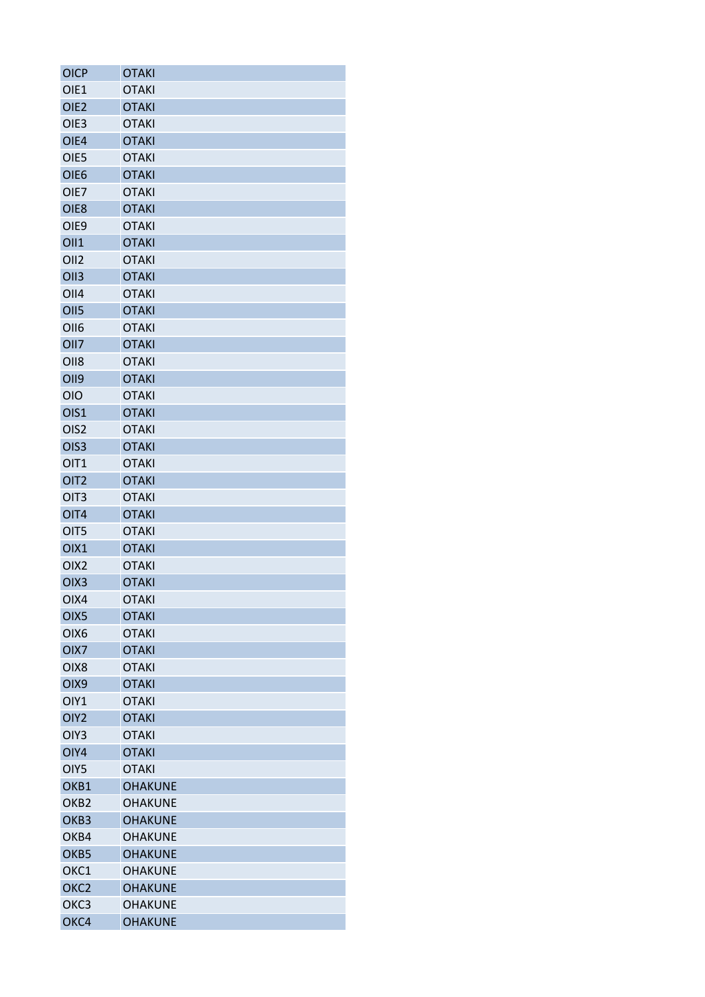| <b>OICP</b>      | <b>OTAKI</b>                 |
|------------------|------------------------------|
| OIE1             | <b>OTAKI</b>                 |
| OIE <sub>2</sub> | <b>OTAKI</b>                 |
| OIE <sub>3</sub> | <b>OTAKI</b>                 |
| OIE4             | <b>OTAKI</b>                 |
| OIE5             | <b>OTAKI</b>                 |
| OIE <sub>6</sub> | <b>OTAKI</b>                 |
| OIE7             | <b>OTAKI</b>                 |
| OIE8             | <b>OTAKI</b>                 |
| OIE9             | <b>OTAKI</b>                 |
| <b>OII1</b>      | <b>OTAKI</b>                 |
| OII <sub>2</sub> | <b>OTAKI</b>                 |
| OII <sub>3</sub> | <b>OTAKI</b>                 |
| OII <sub>4</sub> | <b>OTAKI</b>                 |
| OII <sub>5</sub> | <b>OTAKI</b>                 |
| OII <sub>6</sub> | <b>OTAKI</b>                 |
| OII7             | <b>OTAKI</b>                 |
| OII <sub>8</sub> | <b>OTAKI</b>                 |
| <b>OII9</b>      | <b>OTAKI</b>                 |
| <b>OIO</b>       | <b>OTAKI</b>                 |
| OIS1             | <b>OTAKI</b>                 |
| OIS <sub>2</sub> | <b>OTAKI</b>                 |
| OIS <sub>3</sub> | <b>OTAKI</b>                 |
| OIT1             | <b>OTAKI</b>                 |
| OIT <sub>2</sub> | <b>OTAKI</b>                 |
| OIT <sub>3</sub> | <b>OTAKI</b>                 |
| OIT4             | <b>OTAKI</b>                 |
| OIT5             |                              |
| OIX1             | <b>OTAKI</b><br><b>OTAKI</b> |
|                  | <b>OTAKI</b>                 |
| OIX <sub>2</sub> |                              |
| OIX <sub>3</sub> | <b>OTAKI</b>                 |
| OIX4             | <b>OTAKI</b>                 |
| OIX <sub>5</sub> | <b>OTAKI</b>                 |
| OIX6             | <b>OTAKI</b>                 |
| OIX7             | <b>OTAKI</b>                 |
| OIX8             | <b>OTAKI</b>                 |
| OIX9             | <b>OTAKI</b>                 |
| OIY1             | <b>OTAKI</b>                 |
| OIY <sub>2</sub> | <b>OTAKI</b>                 |
| OIY <sub>3</sub> | <b>OTAKI</b>                 |
| OIY4             | <b>OTAKI</b>                 |
| OIY5             | <b>OTAKI</b>                 |
| OKB1             | <b>OHAKUNE</b>               |
| OKB <sub>2</sub> | <b>OHAKUNE</b>               |
| OKB <sub>3</sub> | <b>OHAKUNE</b>               |
| OKB4             | <b>OHAKUNE</b>               |
| OKB5             | <b>OHAKUNE</b>               |
| OKC1             | <b>OHAKUNE</b>               |
| OKC <sub>2</sub> | <b>OHAKUNE</b>               |
| OKC <sub>3</sub> | <b>OHAKUNE</b>               |
| OKC4             | <b>OHAKUNE</b>               |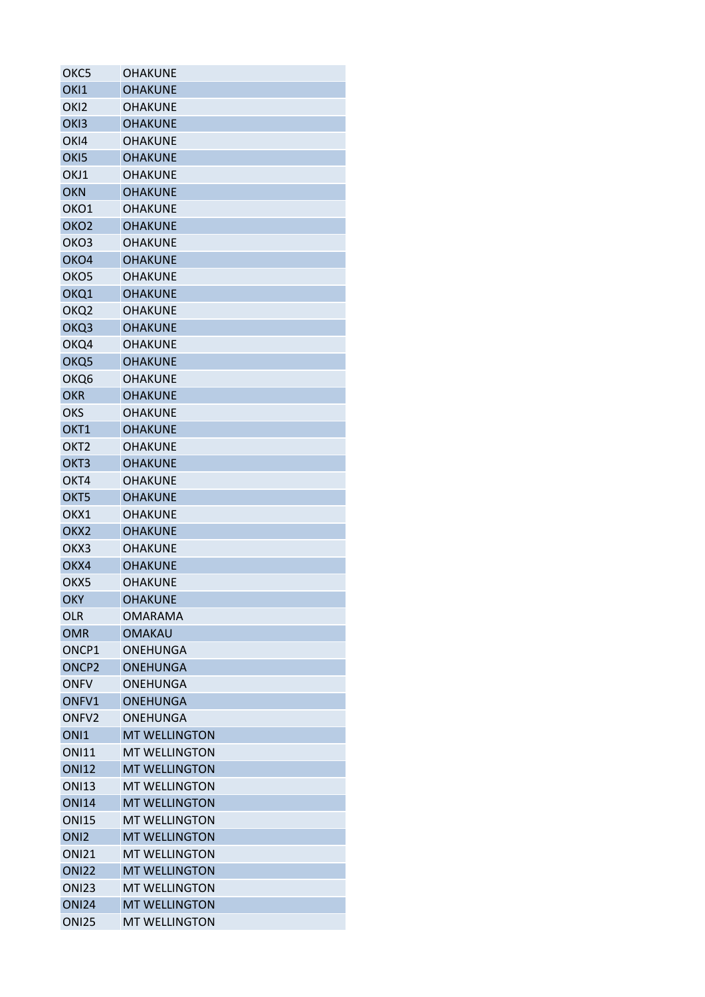| OKC5              | OHAKUNE              |
|-------------------|----------------------|
| OKI1              | <b>OHAKUNE</b>       |
| OK <sub>12</sub>  | <b>OHAKUNE</b>       |
| OK <sub>13</sub>  | <b>OHAKUNE</b>       |
| OK <sub>14</sub>  | <b>OHAKUNE</b>       |
| OK <sub>I5</sub>  | <b>OHAKUNE</b>       |
| OKJ1              | <b>OHAKUNE</b>       |
| <b>OKN</b>        | <b>OHAKUNE</b>       |
| OKO1              | <b>OHAKUNE</b>       |
| OKO <sub>2</sub>  | <b>OHAKUNE</b>       |
| OKO3              | <b>OHAKUNE</b>       |
| OKO4              | <b>OHAKUNE</b>       |
| OKO <sub>5</sub>  | <b>OHAKUNE</b>       |
| OKQ1              | <b>OHAKUNE</b>       |
| OKQ <sub>2</sub>  | <b>OHAKUNE</b>       |
| OKQ3              | <b>OHAKUNE</b>       |
| OKQ4              | <b>OHAKUNE</b>       |
| OKQ <sub>5</sub>  | <b>OHAKUNE</b>       |
| OKQ6              | <b>OHAKUNE</b>       |
| <b>OKR</b>        | <b>OHAKUNE</b>       |
| OKS               | <b>OHAKUNE</b>       |
| OKT <sub>1</sub>  | <b>OHAKUNE</b>       |
| OKT <sub>2</sub>  | <b>OHAKUNE</b>       |
| OKT <sub>3</sub>  | <b>OHAKUNE</b>       |
| OKT4              | <b>OHAKUNE</b>       |
| OKT5              | <b>OHAKUNE</b>       |
| OKX1              | <b>OHAKUNE</b>       |
| OKX <sub>2</sub>  | <b>OHAKUNE</b>       |
| OKX3              | <b>OHAKUNE</b>       |
| OKX4              | <b>OHAKUNE</b>       |
| OKX5              | <b>OHAKUNE</b>       |
| <b>OKY</b>        | <b>OHAKUNE</b>       |
| OLR               | <b>OMARAMA</b>       |
| <b>OMR</b>        | <b>OMAKAU</b>        |
|                   |                      |
| ONCP1             | <b>ONEHUNGA</b>      |
| ONCP <sub>2</sub> | <b>ONEHUNGA</b>      |
| <b>ONFV</b>       | <b>ONEHUNGA</b>      |
| ONFV1             | <b>ONEHUNGA</b>      |
| ONFV2             | <b>ONEHUNGA</b>      |
| ON <sub>1</sub>   | <b>MT WELLINGTON</b> |
| <b>ONI11</b>      | <b>MT WELLINGTON</b> |
| <b>ONI12</b>      | <b>MT WELLINGTON</b> |
| <b>ONI13</b>      | <b>MT WELLINGTON</b> |
| <b>ONI14</b>      | <b>MT WELLINGTON</b> |
| <b>ONI15</b>      | <b>MT WELLINGTON</b> |
| ON <sub>12</sub>  | <b>MT WELLINGTON</b> |
| <b>ONI21</b>      | <b>MT WELLINGTON</b> |
| <b>ONI22</b>      | <b>MT WELLINGTON</b> |
| <b>ONI23</b>      | <b>MT WELLINGTON</b> |
| <b>ONI24</b>      | <b>MT WELLINGTON</b> |
| <b>ONI25</b>      | <b>MT WELLINGTON</b> |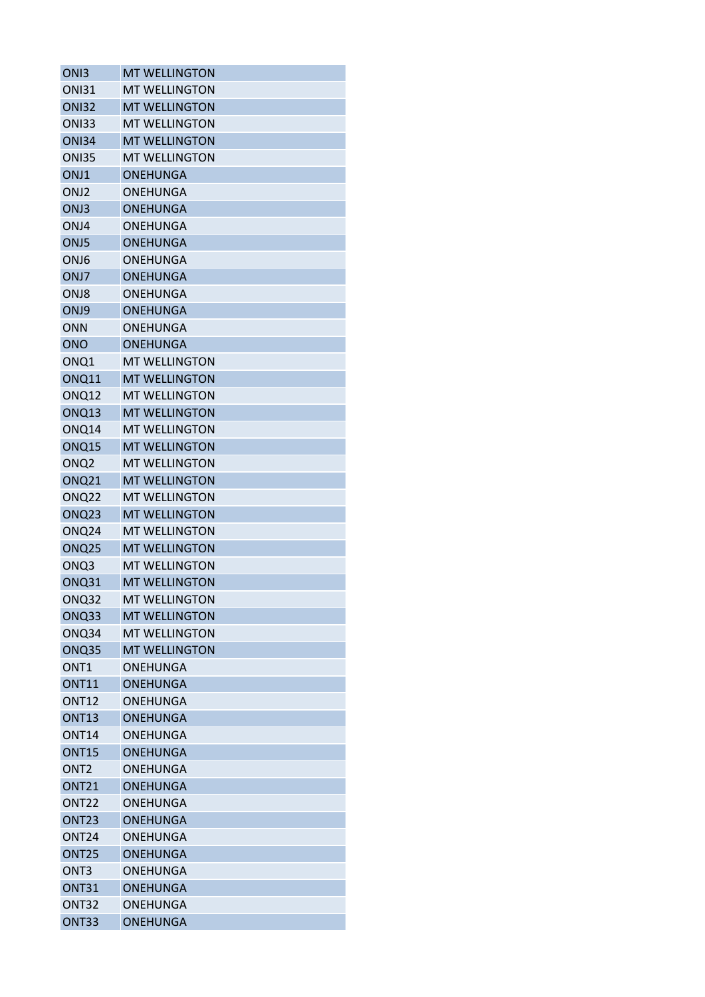| ON <sub>13</sub>  | <b>MT WELLINGTON</b> |
|-------------------|----------------------|
| <b>ONI31</b>      | <b>MT WELLINGTON</b> |
| <b>ONI32</b>      | <b>MT WELLINGTON</b> |
| <b>ONI33</b>      | <b>MT WELLINGTON</b> |
| <b>ONI34</b>      | <b>MT WELLINGTON</b> |
| <b>ONI35</b>      | <b>MT WELLINGTON</b> |
| ONJ1              | <b>ONEHUNGA</b>      |
| ONJ <sub>2</sub>  | <b>ONEHUNGA</b>      |
| ONJ3              | <b>ONEHUNGA</b>      |
| ONJ4              | ONEHUNGA             |
| ONJ5              | <b>ONEHUNGA</b>      |
| ONJ6              | ONEHUNGA             |
| ONJ7              | <b>ONEHUNGA</b>      |
| ONJ8              | ONEHUNGA             |
| ONJ9              | <b>ONEHUNGA</b>      |
| <b>ONN</b>        | ONEHUNGA             |
| <b>ONO</b>        | <b>ONEHUNGA</b>      |
| ONQ1              | <b>MT WELLINGTON</b> |
| ONQ11             | <b>MT WELLINGTON</b> |
| ONQ12             | <b>MT WELLINGTON</b> |
| ONQ13             | <b>MT WELLINGTON</b> |
| ONQ14             | <b>MT WELLINGTON</b> |
| ONQ15             | <b>MT WELLINGTON</b> |
| ONQ <sub>2</sub>  | <b>MT WELLINGTON</b> |
| <b>ONQ21</b>      | <b>MT WELLINGTON</b> |
| ONQ <sub>22</sub> | <b>MT WELLINGTON</b> |
| ONQ23             | <b>MT WELLINGTON</b> |
| ONQ <sub>24</sub> | <b>MT WELLINGTON</b> |
| ONQ <sub>25</sub> | <b>MT WELLINGTON</b> |
| ONQ3              | <b>MT WELLINGTON</b> |
| ONQ31             | <b>MT WELLINGTON</b> |
| ONQ32             | <b>MT WELLINGTON</b> |
| ONQ33             | <b>MT WELLINGTON</b> |
| ONQ34             | <b>MT WELLINGTON</b> |
| ONQ35             | <b>MT WELLINGTON</b> |
| ONT <sub>1</sub>  | <b>ONEHUNGA</b>      |
| <b>ONT11</b>      | <b>ONEHUNGA</b>      |
| <b>ONT12</b>      | <b>ONEHUNGA</b>      |
| <b>ONT13</b>      | <b>ONEHUNGA</b>      |
| <b>ONT14</b>      | ONEHUNGA             |
| <b>ONT15</b>      | <b>ONEHUNGA</b>      |
| ONT <sub>2</sub>  | <b>ONEHUNGA</b>      |
| <b>ONT21</b>      | <b>ONEHUNGA</b>      |
| ONT <sub>22</sub> | <b>ONEHUNGA</b>      |
| ONT <sub>23</sub> | <b>ONEHUNGA</b>      |
| ONT <sub>24</sub> | ONEHUNGA             |
| ONT <sub>25</sub> | <b>ONEHUNGA</b>      |
| ONT <sub>3</sub>  | <b>ONEHUNGA</b>      |
| <b>ONT31</b>      | <b>ONEHUNGA</b>      |
| <b>ONT32</b>      | <b>ONEHUNGA</b>      |
| ONT33             | <b>ONEHUNGA</b>      |
|                   |                      |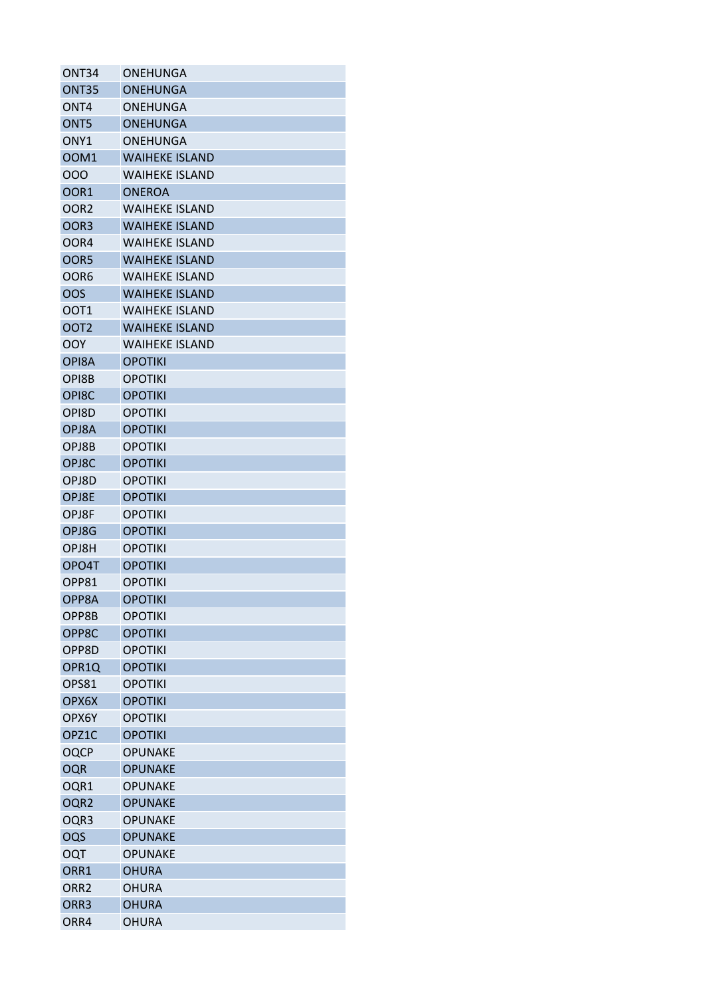| ONT34            | ONEHUNGA              |
|------------------|-----------------------|
| ONT35            | <b>ONEHUNGA</b>       |
| ONT <sub>4</sub> | <b>ONEHUNGA</b>       |
| ONT <sub>5</sub> | <b>ONEHUNGA</b>       |
| ONY <sub>1</sub> | <b>ONEHUNGA</b>       |
| <b>OOM1</b>      | <b>WAIHEKE ISLAND</b> |
| 000              | <b>WAIHEKE ISLAND</b> |
| OOR <sub>1</sub> | <b>ONEROA</b>         |
| OOR <sub>2</sub> | <b>WAIHEKE ISLAND</b> |
| OOR <sub>3</sub> | <b>WAIHEKE ISLAND</b> |
| OOR4             | <b>WAIHEKE ISLAND</b> |
| OOR5             | <b>WAIHEKE ISLAND</b> |
| OOR6             | <b>WAIHEKE ISLAND</b> |
| <b>OOS</b>       | <b>WAIHEKE ISLAND</b> |
| OOT <sub>1</sub> | <b>WAIHEKE ISLAND</b> |
| OOT <sub>2</sub> | <b>WAIHEKE ISLAND</b> |
| OOY              | <b>WAIHEKE ISLAND</b> |
| OPI8A            | <b>OPOTIKI</b>        |
| OPI8B            | <b>OPOTIKI</b>        |
| OPI8C            | <b>OPOTIKI</b>        |
| OPI8D            | <b>OPOTIKI</b>        |
| OPJ8A            | <b>OPOTIKI</b>        |
| OPJ8B            | <b>OPOTIKI</b>        |
| OPJ8C            | <b>OPOTIKI</b>        |
| OPJ8D            | <b>OPOTIKI</b>        |
| OPJ8E            | <b>OPOTIKI</b>        |
| OPJ8F            | <b>OPOTIKI</b>        |
| OPJ8G            | <b>OPOTIKI</b>        |
| OPJ8H            | <b>OPOTIKI</b>        |
| OPO4T            | <b>OPOTIKI</b>        |
| OPP81            | <b>OPOTIKI</b>        |
| OPP8A            | <b>OPOTIKI</b>        |
| OPP8B            | <b>OPOTIKI</b>        |
| OPP8C            | <b>OPOTIKI</b>        |
| OPP8D            | <b>OPOTIKI</b>        |
| OPR1Q            | <b>OPOTIKI</b>        |
| OPS81            | <b>OPOTIKI</b>        |
| OPX6X            | <b>OPOTIKI</b>        |
| OPX6Y            | <b>OPOTIKI</b>        |
| OPZ1C            | <b>OPOTIKI</b>        |
| <b>OQCP</b>      | <b>OPUNAKE</b>        |
| <b>OQR</b>       | <b>OPUNAKE</b>        |
| OQR1             | <b>OPUNAKE</b>        |
| OQR <sub>2</sub> | <b>OPUNAKE</b>        |
| OQR3             | <b>OPUNAKE</b>        |
| OQS              | <b>OPUNAKE</b>        |
| <b>OQT</b>       | <b>OPUNAKE</b>        |
| ORR1             | <b>OHURA</b>          |
| ORR <sub>2</sub> | <b>OHURA</b>          |
| ORR3             | <b>OHURA</b>          |
|                  | <b>OHURA</b>          |
| ORR4             |                       |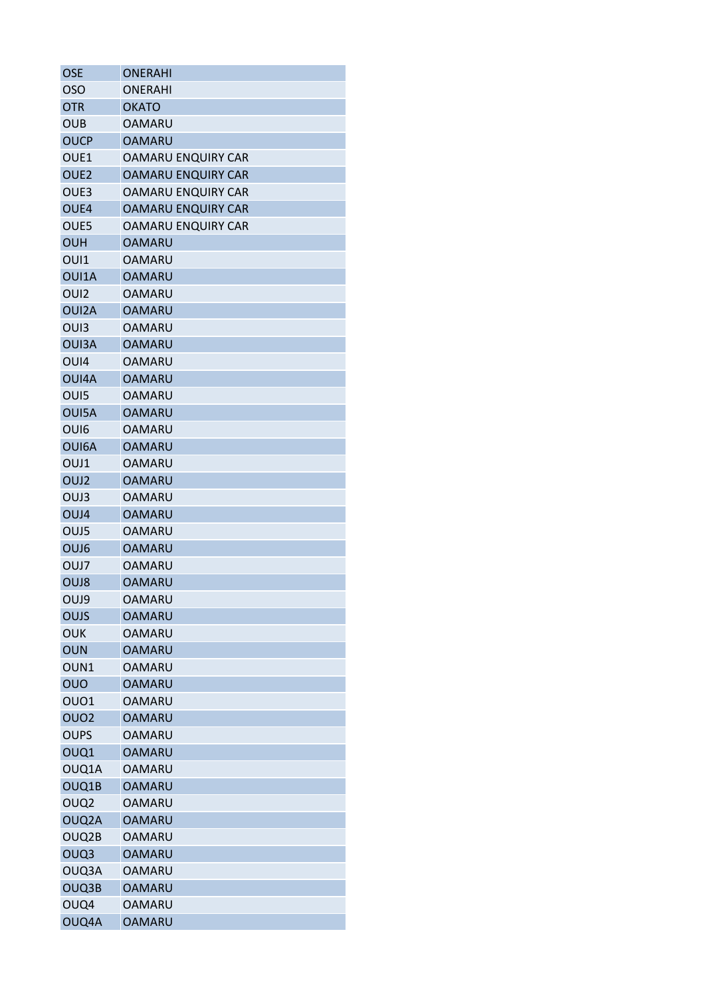| <b>OSE</b>       | <b>ONERAHI</b>            |
|------------------|---------------------------|
| <b>OSO</b>       | <b>ONERAHI</b>            |
| <b>OTR</b>       | <b>OKATO</b>              |
| <b>OUB</b>       | <b>OAMARU</b>             |
| <b>OUCP</b>      | <b>OAMARU</b>             |
| OUE1             | OAMARU ENQUIRY CAR        |
| OUE <sub>2</sub> | <b>OAMARU ENQUIRY CAR</b> |
| OUE3             | OAMARU ENQUIRY CAR        |
| OUE4             | <b>OAMARU ENQUIRY CAR</b> |
| OUE5             | <b>OAMARU ENQUIRY CAR</b> |
| <b>OUH</b>       | OAMARU                    |
| OUI1             | OAMARU                    |
| OUI1A            | <b>OAMARU</b>             |
| OUI <sub>2</sub> | OAMARU                    |
| OUI2A            | <b>OAMARU</b>             |
| OU <sub>13</sub> | <b>OAMARU</b>             |
| <b>OUI3A</b>     | OAMARU                    |
| OU <sub>14</sub> | OAMARU                    |
| OUI4A            | <b>OAMARU</b>             |
| OUI5             | <b>OAMARU</b>             |
| OUI5A            | <b>OAMARU</b>             |
| OU <sub>16</sub> | OAMARU                    |
| OUI6A            | <b>OAMARU</b>             |
| OUJ1             | <b>OAMARU</b>             |
| OUJ <sub>2</sub> | <b>OAMARU</b>             |
| OUJ3             | <b>OAMARU</b>             |
| OUJ4             | OAMARU                    |
| OUJ5             | OAMARU                    |
| OUJ6             | <b>OAMARU</b>             |
| OUJ7             | OAMARU                    |
| OUJ8             | OAMARU                    |
| OUJ9             | <b>OAMARU</b>             |
| OUJS             | OAMARU                    |
| OUK              | OAMARU                    |
| <b>OUN</b>       | <b>OAMARU</b>             |
| OUN1             | <b>OAMARU</b>             |
| OUO              | <b>OAMARU</b>             |
| OUO1             | <b>OAMARU</b>             |
| OUO <sub>2</sub> | <b>OAMARU</b>             |
| OUPS             | <b>OAMARU</b>             |
| OUQ1             | <b>OAMARU</b>             |
| OUQ1A            | <b>OAMARU</b>             |
|                  | <b>OAMARU</b>             |
| OUQ1B            | <b>OAMARU</b>             |
| OUQ <sub>2</sub> |                           |
| OUQ2A            | <b>OAMARU</b>             |
| OUQ2B            | OAMARU                    |
| OUQ3             | <b>OAMARU</b>             |
| OUQ3A            | OAMARU                    |
| OUQ3B            | <b>OAMARU</b>             |
| OUQ4             | OAMARU                    |
| OUQ4A            | <b>OAMARU</b>             |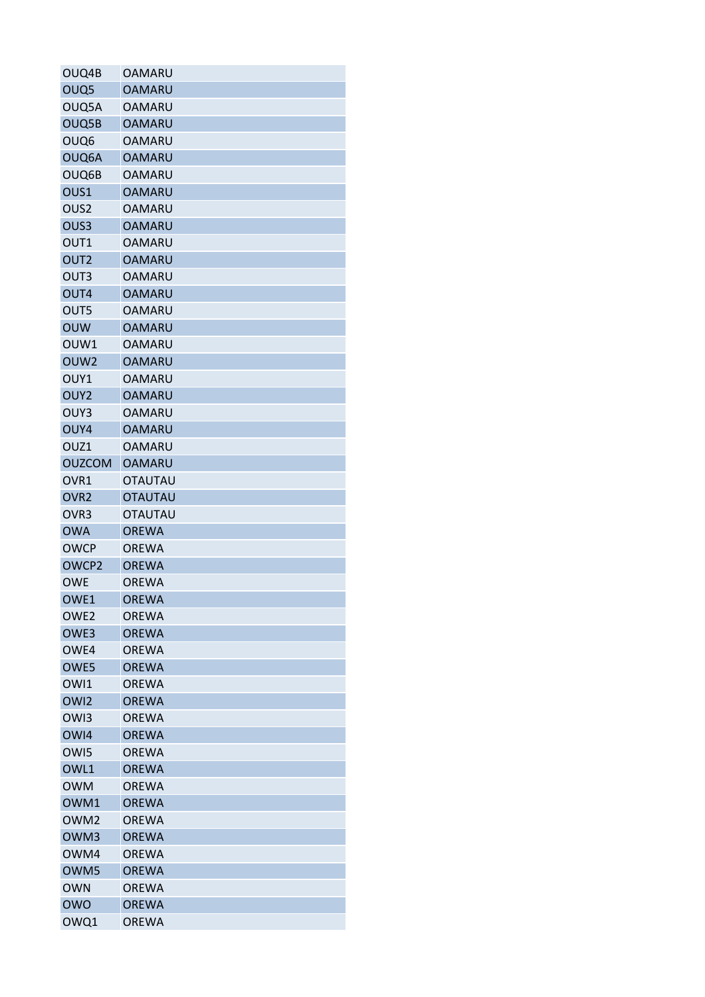| OUQ4B              | <b>OAMARU</b>                |
|--------------------|------------------------------|
| OUQ <sub>5</sub>   | <b>OAMARU</b>                |
| OUQ5A              | <b>OAMARU</b>                |
| OUQ5B              | <b>OAMARU</b>                |
| OUQ <sub>6</sub>   | <b>OAMARU</b>                |
| OUQ6A              | <b>OAMARU</b>                |
| OUQ6B              | <b>OAMARU</b>                |
| OUS1               | <b>OAMARU</b>                |
| OUS <sub>2</sub>   | <b>OAMARU</b>                |
| OUS <sub>3</sub>   | <b>OAMARU</b>                |
| OUT1               | <b>OAMARU</b>                |
| OUT <sub>2</sub>   | <b>OAMARU</b>                |
| OUT3               | <b>OAMARU</b>                |
| OUT4               | <b>OAMARU</b>                |
| OUT5               | <b>OAMARU</b>                |
| <b>OUW</b>         | <b>OAMARU</b>                |
| OUW1               | <b>OAMARU</b>                |
| OUW <sub>2</sub>   | <b>OAMARU</b>                |
| OUY1               | <b>OAMARU</b>                |
| OUY <sub>2</sub>   | <b>OAMARU</b>                |
| OUY3               | <b>OAMARU</b>                |
| OUY4               | <b>OAMARU</b>                |
| OUZ1               | <b>OAMARU</b>                |
| <b>OUZCOM</b>      | <b>OAMARU</b>                |
| OVR <sub>1</sub>   | <b>OTAUTAU</b>               |
| OVR <sub>2</sub>   | <b>OTAUTAU</b>               |
| OVR <sub>3</sub>   | <b>OTAUTAU</b>               |
| <b>OWA</b>         | <b>OREWA</b>                 |
| <b>OWCP</b>        | <b>OREWA</b>                 |
| OWCP2              | <b>OREWA</b>                 |
| <b>OWE</b>         | <b>OREWA</b>                 |
| OWE1               | <b>OREWA</b>                 |
| OWE <sub>2</sub>   | <b>OREWA</b>                 |
| OWE3               | <b>OREWA</b>                 |
| OWE4               | <b>OREWA</b>                 |
| OWE5               | <b>OREWA</b>                 |
| OWI1               | <b>OREWA</b>                 |
| OW <sub>12</sub>   | <b>OREWA</b>                 |
| OW <sub>13</sub>   | <b>OREWA</b>                 |
| OWI4               | <b>OREWA</b>                 |
| OW <sub>15</sub>   | <b>OREWA</b>                 |
| OWL1               | <b>OREWA</b>                 |
|                    |                              |
| <b>OWM</b><br>OWM1 | <b>OREWA</b><br><b>OREWA</b> |
|                    |                              |
| OWM <sub>2</sub>   | <b>OREWA</b>                 |
| OWM3               | <b>OREWA</b>                 |
| OWM4               | <b>OREWA</b>                 |
| OWM5               | <b>OREWA</b>                 |
| <b>OWN</b>         | <b>OREWA</b>                 |
| <b>OWO</b>         | <b>OREWA</b>                 |
| OWQ1               | <b>OREWA</b>                 |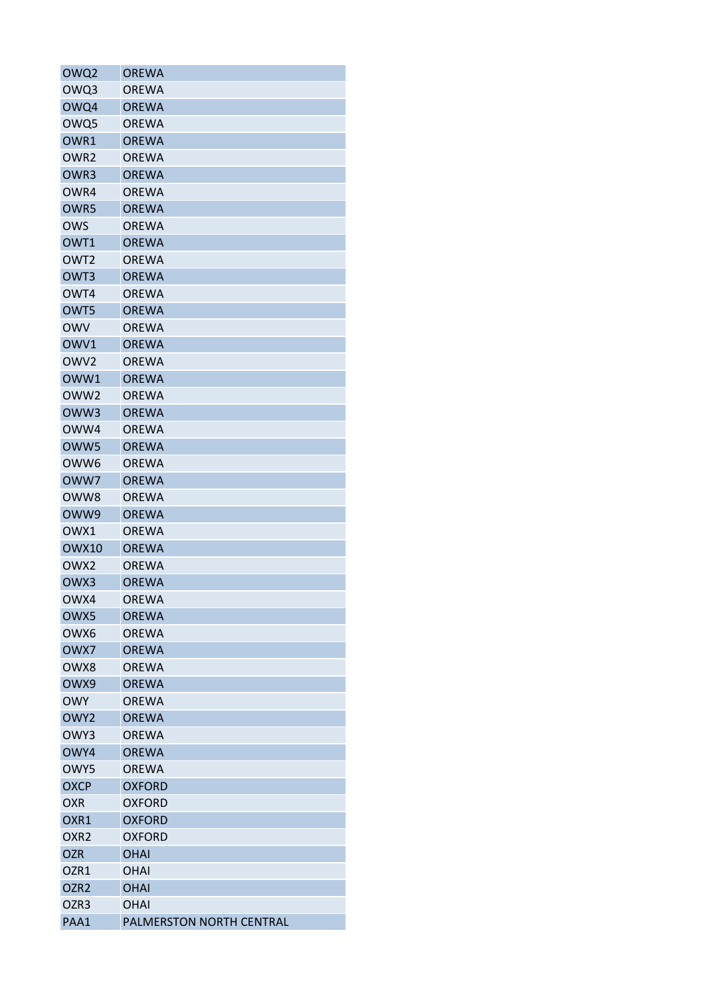| OWQ2             | OREWA                    |
|------------------|--------------------------|
| OWQ3             | <b>OREWA</b>             |
| OWQ4             | <b>OREWA</b>             |
| OWQ5             | <b>OREWA</b>             |
| OWR1             | <b>OREWA</b>             |
| OWR <sub>2</sub> | <b>OREWA</b>             |
| OWR3             | <b>OREWA</b>             |
| OWR4             | <b>OREWA</b>             |
| OWR5             | <b>OREWA</b>             |
| <b>OWS</b>       | <b>OREWA</b>             |
| OWT1             | <b>OREWA</b>             |
| OWT <sub>2</sub> | <b>OREWA</b>             |
| OWT <sub>3</sub> | <b>OREWA</b>             |
| OWT4             | <b>OREWA</b>             |
| OWT5             | <b>OREWA</b>             |
| <b>OWV</b>       | <b>OREWA</b>             |
| OWV1             | <b>OREWA</b>             |
| OWV <sub>2</sub> | <b>OREWA</b>             |
| OWW1             | <b>OREWA</b>             |
| OWW <sub>2</sub> | <b>OREWA</b>             |
| OWW3             | <b>OREWA</b>             |
| OWW4             | <b>OREWA</b>             |
| OWW5             | <b>OREWA</b>             |
| OWW <sub>6</sub> | <b>OREWA</b>             |
| OWW7             | <b>OREWA</b>             |
| OWW8             | <b>OREWA</b>             |
| OWW9             | <b>OREWA</b>             |
| OWX1             | <b>OREWA</b>             |
| <b>OWX10</b>     | <b>OREWA</b>             |
| OWX <sub>2</sub> | <b>OREWA</b>             |
| OWX3             | <b>OREWA</b>             |
| OWX4             | <b>OREWA</b>             |
| OWX5             | <b>OREWA</b>             |
| OWX6             | <b>OREWA</b>             |
|                  |                          |
| OWX7             | <b>OREWA</b>             |
| OWX8             | <b>OREWA</b>             |
| OWX9             | <b>OREWA</b>             |
| <b>OWY</b>       | <b>OREWA</b>             |
| OWY <sub>2</sub> | <b>OREWA</b>             |
| OWY3             | <b>OREWA</b>             |
| OWY4             | <b>OREWA</b>             |
| OWY5             | <b>OREWA</b>             |
| <b>OXCP</b>      | <b>OXFORD</b>            |
| <b>OXR</b>       | <b>OXFORD</b>            |
| OXR1             | <b>OXFORD</b>            |
| OXR <sub>2</sub> | <b>OXFORD</b>            |
| <b>OZR</b>       | <b>OHAI</b>              |
| OZR1             | <b>OHAI</b>              |
| OZR <sub>2</sub> | <b>OHAI</b>              |
| OZR3             | <b>OHAI</b>              |
| PAA1             | PALMERSTON NORTH CENTRAL |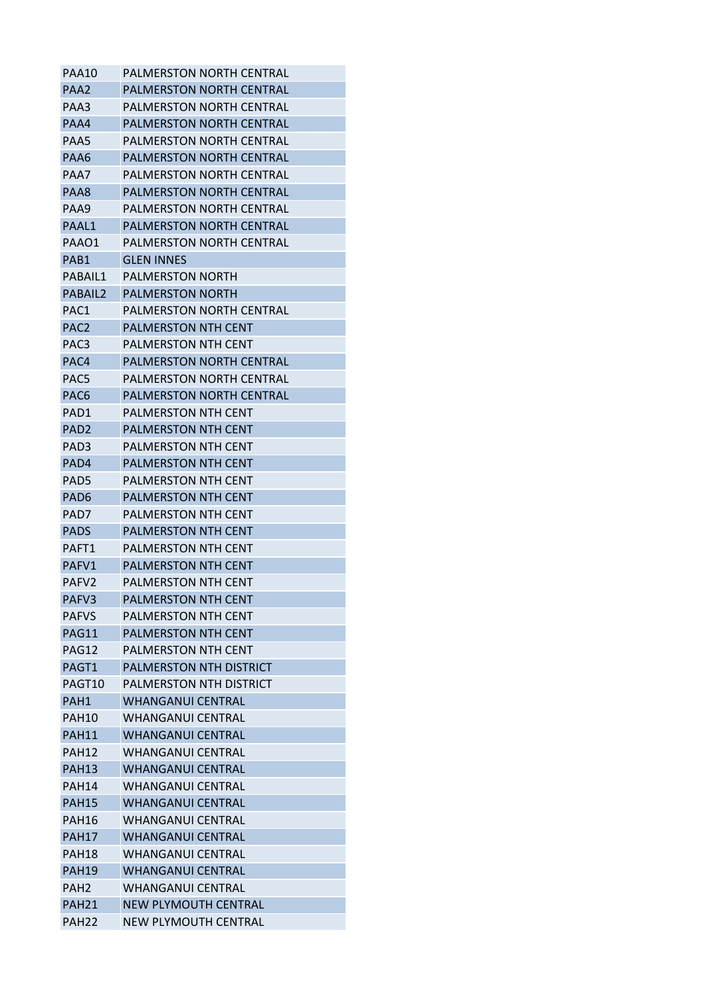| PAA10             | PALMERSTON NORTH CENTRAL        |
|-------------------|---------------------------------|
| PAA2              | <b>PALMERSTON NORTH CENTRAL</b> |
| PAA3              | PALMERSTON NORTH CENTRAL        |
| PAA4              | <b>PALMERSTON NORTH CENTRAL</b> |
| PAA5              | PALMERSTON NORTH CENTRAL        |
| PAA6              | <b>PALMERSTON NORTH CENTRAL</b> |
| PAA7              | PALMERSTON NORTH CENTRAL        |
| PAA8              | <b>PALMERSTON NORTH CENTRAL</b> |
| PAA9              | PALMERSTON NORTH CENTRAL        |
| PAAL1             | <b>PALMERSTON NORTH CENTRAL</b> |
| PAAO1             | <b>PALMERSTON NORTH CENTRAL</b> |
| PAB1              | <b>GLEN INNES</b>               |
| PABAIL1           | <b>PALMERSTON NORTH</b>         |
| PABAIL2           | PALMERSTON NORTH                |
| PAC1              | PALMERSTON NORTH CENTRAL        |
| PAC <sub>2</sub>  | PALMERSTON NTH CENT             |
| PAC <sub>3</sub>  | <b>PALMERSTON NTH CENT</b>      |
| PAC4              | <b>PALMERSTON NORTH CENTRAL</b> |
| PAC5              | PALMERSTON NORTH CENTRAL        |
| PAC <sub>6</sub>  | <b>PALMERSTON NORTH CENTRAL</b> |
| PAD1              | <b>PALMERSTON NTH CENT</b>      |
| PAD2              | <b>PALMERSTON NTH CENT</b>      |
| PAD3              | <b>PALMERSTON NTH CENT</b>      |
| PAD4              | <b>PALMERSTON NTH CENT</b>      |
| PAD5              | PALMERSTON NTH CENT             |
| PAD <sub>6</sub>  | <b>PALMERSTON NTH CENT</b>      |
| PAD7              | <b>PALMERSTON NTH CENT</b>      |
| <b>PADS</b>       | <b>PALMERSTON NTH CENT</b>      |
| PAFT1             | PALMERSTON NTH CENT             |
| PAFV1             | <b>PALMERSTON NTH CENT</b>      |
| PAFV <sub>2</sub> | <b>PALMERSTON NTH CENT</b>      |
| PAFV3             | <b>PALMERSTON NTH CENT</b>      |
| PAFVS             | <b>PALMERSTON NTH CENT</b>      |
| PAG11             | <b>PALMERSTON NTH CENT</b>      |
| PAG12             | <b>PALMERSTON NTH CENT</b>      |
| PAGT1             | <b>PALMERSTON NTH DISTRICT</b>  |
| PAGT10            | <b>PALMERSTON NTH DISTRICT</b>  |
| PAH1              | <b>WHANGANUI CENTRAL</b>        |
| PAH10             | <b>WHANGANUL CENTRAL</b>        |
| PAH11             | <b>WHANGANUI CENTRAL</b>        |
| <b>PAH12</b>      | <b>WHANGANUI CENTRAL</b>        |
| <b>PAH13</b>      | <b>WHANGANUI CENTRAL</b>        |
| <b>PAH14</b>      | <b>WHANGANUI CENTRAL</b>        |
| <b>PAH15</b>      | <b>WHANGANUI CENTRAL</b>        |
| PAH16             | <b>WHANGANUI CENTRAL</b>        |
| <b>PAH17</b>      | <b>WHANGANUI CENTRAL</b>        |
| PAH18             | <b>WHANGANUI CENTRAL</b>        |
| <b>PAH19</b>      | <b>WHANGANUI CENTRAL</b>        |
| PAH <sub>2</sub>  | <b>WHANGANUI CENTRAL</b>        |
| PAH <sub>21</sub> | NEW PLYMOUTH CENTRAL            |
| PAH <sub>22</sub> | NEW PLYMOUTH CENTRAL            |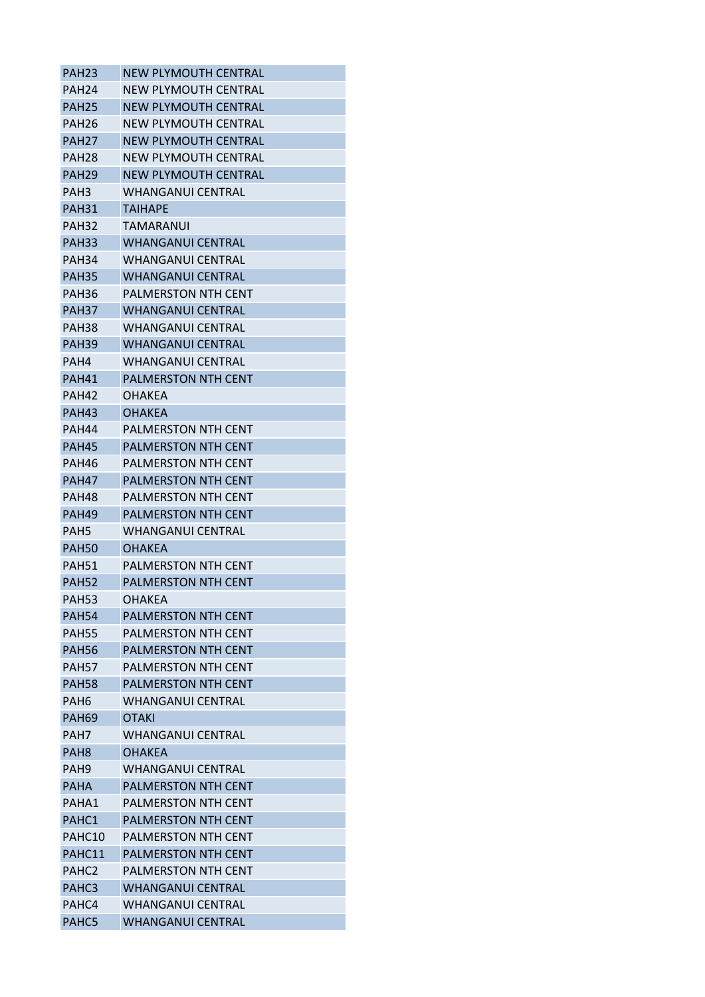| PAH <sub>23</sub> | <b>NEW PLYMOUTH CENTRAL</b> |
|-------------------|-----------------------------|
| PAH <sub>24</sub> | NEW PLYMOUTH CENTRAL        |
| PAH <sub>25</sub> | NEW PLYMOUTH CENTRAL        |
| PAH <sub>26</sub> | NEW PLYMOUTH CENTRAL        |
| PAH <sub>27</sub> | NEW PLYMOUTH CENTRAL        |
| PAH <sub>28</sub> | NEW PLYMOUTH CENTRAL        |
| PAH <sub>29</sub> | NEW PLYMOUTH CENTRAL        |
| PAH <sub>3</sub>  | <b>WHANGANUI CENTRAL</b>    |
| PAH <sub>31</sub> | <b>TAIHAPE</b>              |
| PAH32             | TAMARANUI                   |
| <b>PAH33</b>      | <b>WHANGANUI CENTRAL</b>    |
| PAH <sub>34</sub> | WHANGANUI CENTRAL           |
| <b>PAH35</b>      | <b>WHANGANUI CENTRAL</b>    |
| PAH36             | PALMERSTON NTH CENT         |
| PAH <sub>37</sub> | <b>WHANGANUI CENTRAL</b>    |
| <b>PAH38</b>      | <b>WHANGANUI CENTRAL</b>    |
| <b>PAH39</b>      | <b>WHANGANUI CENTRAL</b>    |
| PAH4              | WHANGANUI CENTRAL           |
| PAH41             | <b>PALMERSTON NTH CENT</b>  |
|                   |                             |
| PAH42             | OHAKFA                      |
| <b>PAH43</b>      | OHAKEA                      |
| PAH44             | PALMERSTON NTH CENT         |
| PAH45             | PALMERSTON NTH CENT         |
| PAH46             | <b>PALMERSTON NTH CENT</b>  |
| PAH47             | <b>PALMERSTON NTH CENT</b>  |
| PAH48             | <b>PALMERSTON NTH CENT</b>  |
| PAH <sub>49</sub> | <b>PALMERSTON NTH CENT</b>  |
| PAH <sub>5</sub>  | <b>WHANGANUI CENTRAL</b>    |
| <b>PAH50</b>      | OHAKEA                      |
| <b>PAH51</b>      | <b>PALMERSTON NTH CENT</b>  |
| <b>PAH52</b>      | PALMERSTON NTH CENT         |
| <b>PAH53</b>      | OHAKEA                      |
| <b>PAH54</b>      | <b>PALMERSTON NTH CENT</b>  |
| <b>PAH55</b>      | PALMERSTON NTH CENT         |
| <b>PAH56</b>      | <b>PALMERSTON NTH CENT</b>  |
| <b>PAH57</b>      | PALMERSTON NTH CENT         |
| <b>PAH58</b>      | <b>PALMERSTON NTH CENT</b>  |
| PAH <sub>6</sub>  | <b>WHANGANUI CENTRAL</b>    |
| <b>PAH69</b>      | <b>OTAKI</b>                |
| PAH <sub>7</sub>  | <b>WHANGANUI CENTRAL</b>    |
| PAH <sub>8</sub>  | <b>OHAKEA</b>               |
| PAH <sub>9</sub>  | <b>WHANGANUI CENTRAL</b>    |
| <b>PAHA</b>       | PALMERSTON NTH CENT         |
| PAHA1             | <b>PALMERSTON NTH CENT</b>  |
| PAHC1             | PALMERSTON NTH CENT         |
| PAHC10            | <b>PALMERSTON NTH CENT</b>  |
| PAHC11            | PALMERSTON NTH CENT         |
| PAHC <sub>2</sub> | PALMERSTON NTH CENT         |
| PAHC3             | <b>WHANGANUI CENTRAL</b>    |
| PAHC4             | <b>WHANGANUI CENTRAL</b>    |
| PAHC5             | <b>WHANGANUI CENTRAL</b>    |
|                   |                             |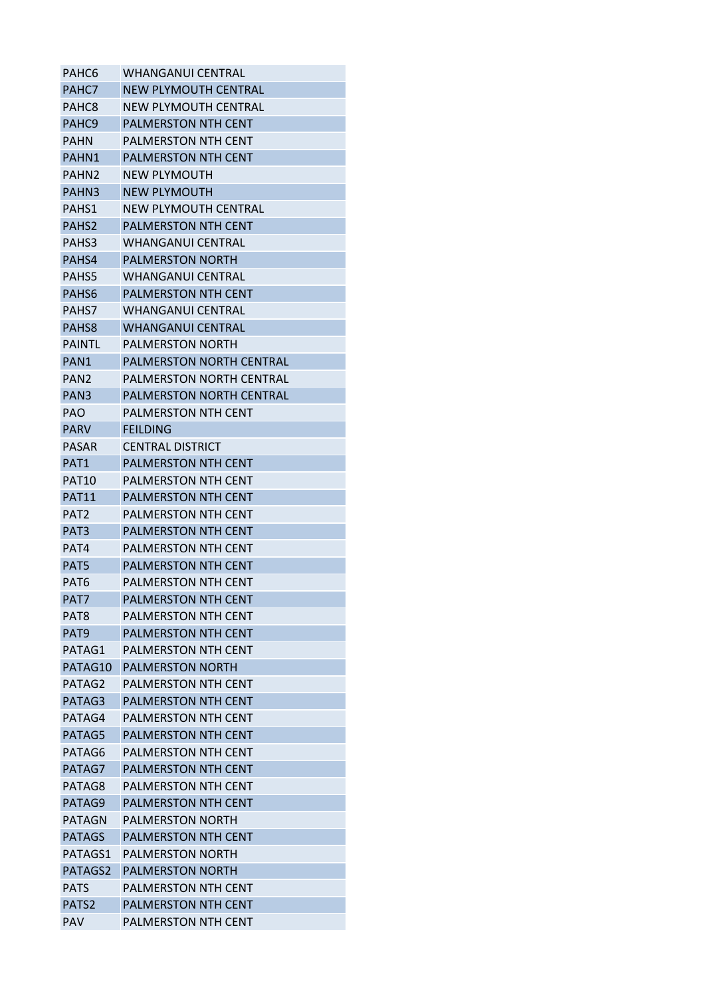| PAHC6             | <b>WHANGANUI CENTRAL</b>        |
|-------------------|---------------------------------|
| PAHC7             | <b>NEW PLYMOUTH CENTRAL</b>     |
| PAHC8             | NEW PLYMOUTH CENTRAL            |
| PAHC <sub>9</sub> | <b>PALMERSTON NTH CENT</b>      |
| <b>PAHN</b>       | PALMERSTON NTH CENT             |
| PAHN1             | <b>PALMERSTON NTH CENT</b>      |
| PAHN <sub>2</sub> | <b>NEW PLYMOUTH</b>             |
| PAHN3             | <b>NEW PLYMOUTH</b>             |
| PAHS1             | NEW PLYMOUTH CENTRAL            |
| PAHS <sub>2</sub> | <b>PALMERSTON NTH CENT</b>      |
| PAHS3             | <b>WHANGANUI CENTRAL</b>        |
| PAHS4             | <b>PALMERSTON NORTH</b>         |
| PAHS5             | WHANGANUI CENTRAL               |
| PAHS <sub>6</sub> | <b>PALMERSTON NTH CENT</b>      |
| PAHS7             | <b>WHANGANUI CENTRAL</b>        |
| PAHS8             | <b>WHANGANUI CENTRAL</b>        |
| <b>PAINTL</b>     | <b>PALMERSTON NORTH</b>         |
| PAN <sub>1</sub>  | <b>PALMERSTON NORTH CENTRAL</b> |
| PAN <sub>2</sub>  | <b>PALMERSTON NORTH CENTRAL</b> |
| PAN <sub>3</sub>  | PALMERSTON NORTH CENTRAL        |
| <b>PAO</b>        | <b>PALMERSTON NTH CENT</b>      |
| PARV              | <b>FEILDING</b>                 |
| <b>PASAR</b>      | CENTRAL DISTRICT                |
| PAT1              | PALMERSTON NTH CENT             |
| PAT <sub>10</sub> | <b>PALMERSTON NTH CENT</b>      |
| <b>PAT11</b>      | PALMERSTON NTH CENT             |
| PAT2              | PALMERSTON NTH CENT             |
| PAT <sub>3</sub>  | PALMERSTON NTH CENT             |
| PAT4              | <b>PALMERSTON NTH CENT</b>      |
| PAT5              | <b>PALMERSTON NTH CENT</b>      |
| PAT <sub>6</sub>  | <b>PALMERSTON NTH CENT</b>      |
| PAT7              | PALMERSTON NTH CENT             |
| PAT8              | <b>PALMERSTON NTH CENT</b>      |
| PAT9              | PALMERSTON NTH CENT             |
| PATAG1            | <b>PALMERSTON NTH CENT</b>      |
| PATAG10           | <b>PALMERSTON NORTH</b>         |
| PATAG2            | <b>PALMERSTON NTH CENT</b>      |
| PATAG3            | PALMERSTON NTH CENT             |
| PATAG4            | PALMERSTON NTH CENT             |
| PATAG5            | <b>PALMERSTON NTH CENT</b>      |
| PATAG6            | PALMERSTON NTH CENT             |
| PATAG7            | PALMERSTON NTH CENT             |
| PATAG8            | <b>PALMERSTON NTH CENT</b>      |
| PATAG9            | PALMERSTON NTH CENT             |
| <b>PATAGN</b>     | <b>PALMERSTON NORTH</b>         |
| <b>PATAGS</b>     | <b>PALMERSTON NTH CENT</b>      |
| PATAGS1           | <b>PALMERSTON NORTH</b>         |
| PATAGS2           | <b>PALMERSTON NORTH</b>         |
| <b>PATS</b>       | PALMERSTON NTH CENT             |
| PATS2             | PALMERSTON NTH CENT             |
| <b>PAV</b>        | <b>PALMERSTON NTH CENT</b>      |
|                   |                                 |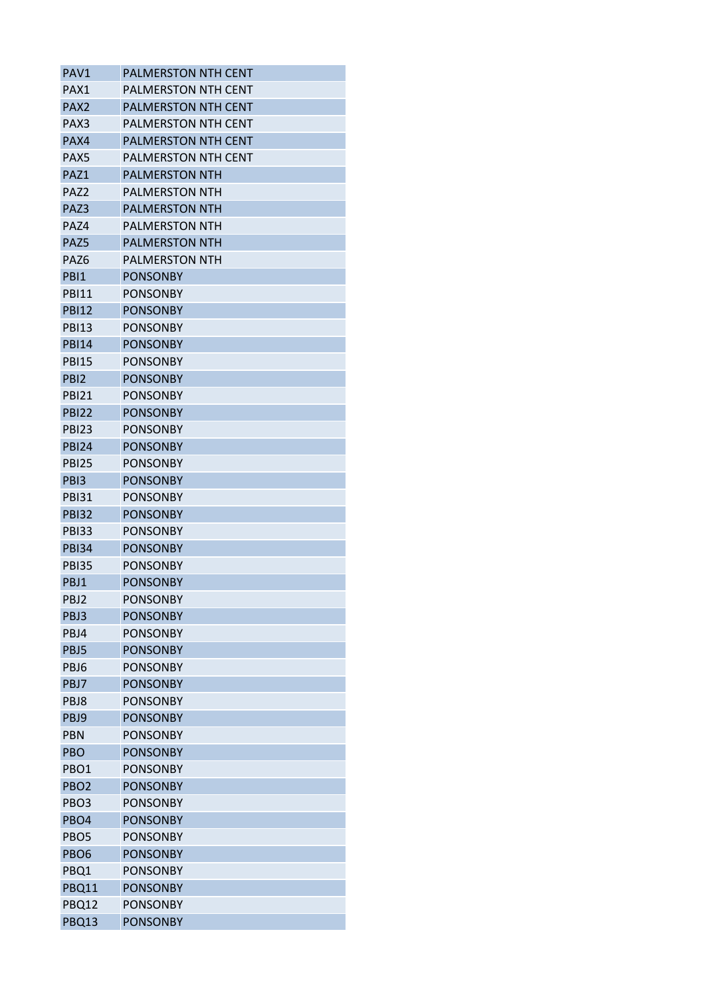| PAV1             | <b>PALMERSTON NTH CENT</b>         |
|------------------|------------------------------------|
| PAX1             | <b>PALMERSTON NTH CENT</b>         |
| PAX <sub>2</sub> | <b>PALMERSTON NTH CENT</b>         |
| PAX3             | PALMERSTON NTH CENT                |
| PAX4             | PALMERSTON NTH CENT                |
| PAX5             | <b>PALMERSTON NTH CENT</b>         |
| PAZ1             | <b>PALMERSTON NTH</b>              |
| PAZ2             | <b>PALMERSTON NTH</b>              |
| PAZ3             | <b>PALMERSTON NTH</b>              |
| PAZ4             | PALMERSTON NTH                     |
| PAZ5             | <b>PALMERSTON NTH</b>              |
| PAZ6             | PALMERSTON NTH                     |
| PBI1             | PONSONBY                           |
| <b>PBI11</b>     | <b>PONSONBY</b>                    |
| <b>PBI12</b>     | <b>PONSONBY</b>                    |
| <b>PBI13</b>     | <b>PONSONBY</b>                    |
| <b>PBI14</b>     | <b>PONSONBY</b>                    |
| <b>PBI15</b>     | <b>PONSONBY</b>                    |
| PBI <sub>2</sub> | <b>PONSONBY</b>                    |
| <b>PRI21</b>     | <b>PONSONBY</b>                    |
| <b>PBI22</b>     | <b>PONSONBY</b>                    |
| PBI23            | <b>PONSONBY</b>                    |
| <b>PBI24</b>     | <b>PONSONBY</b>                    |
| <b>PBI25</b>     | <b>PONSONBY</b>                    |
| PB <sub>13</sub> | <b>PONSONBY</b>                    |
| <b>PBI31</b>     | <b>PONSONBY</b>                    |
| <b>PBI32</b>     | <b>PONSONBY</b>                    |
|                  |                                    |
| <b>PBI33</b>     | PONSONBY                           |
| <b>PBI34</b>     | <b>PONSONBY</b><br><b>PONSONBY</b> |
| PBI35            |                                    |
| PBJ1             | <b>PONSONBY</b>                    |
| PBJ2             | <b>PONSONBY</b>                    |
| PBJ3             | <b>PONSONBY</b>                    |
| PBJ4             | <b>PONSONBY</b>                    |
| PBJ5             | <b>PONSONBY</b>                    |
| PBJ6             | <b>PONSONBY</b>                    |
| PBJ7             | <b>PONSONBY</b>                    |
| PBJ8             | <b>PONSONBY</b>                    |
| PBJ9             | <b>PONSONBY</b>                    |
| <b>PBN</b>       | <b>PONSONBY</b>                    |
| PBO              | <b>PONSONBY</b>                    |
| PBO <sub>1</sub> | <b>PONSONBY</b>                    |
| PBO <sub>2</sub> | <b>PONSONBY</b>                    |
| PBO <sub>3</sub> | <b>PONSONBY</b>                    |
| PBO4             | <b>PONSONBY</b>                    |
| PBO <sub>5</sub> | <b>PONSONBY</b>                    |
| PBO <sub>6</sub> | <b>PONSONBY</b>                    |
| PBQ1             | <b>PONSONBY</b>                    |
| PBQ11            | <b>PONSONBY</b>                    |
| PBQ12            | <b>PONSONBY</b>                    |
| PBQ13            | <b>PONSONBY</b>                    |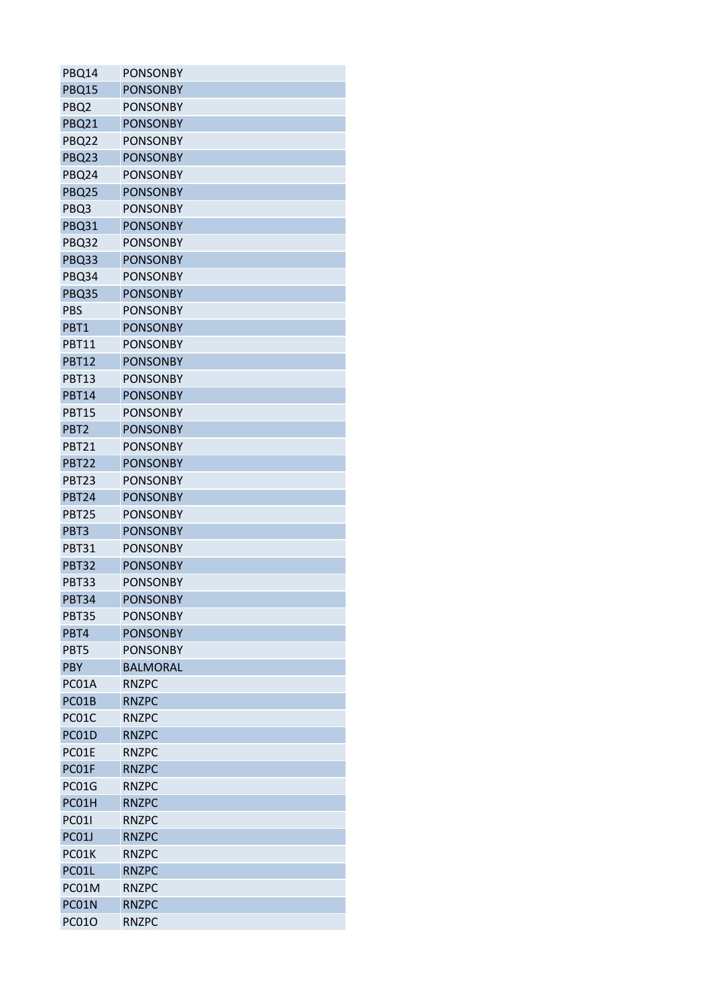| PBQ14            | <b>PONSONBY</b> |
|------------------|-----------------|
| PBQ15            | <b>PONSONBY</b> |
| PBQ <sub>2</sub> | <b>PONSONBY</b> |
| PBQ21            | <b>PONSONBY</b> |
| <b>PBQ22</b>     | <b>PONSONBY</b> |
| PBQ23            | <b>PONSONBY</b> |
| PBQ24            | <b>PONSONBY</b> |
| PBQ25            | <b>PONSONBY</b> |
| PBQ3             | <b>PONSONBY</b> |
| PBQ31            | <b>PONSONBY</b> |
| PBQ32            | <b>PONSONBY</b> |
| PBQ33            | <b>PONSONBY</b> |
| PBQ34            | <b>PONSONBY</b> |
| PBQ35            | <b>PONSONBY</b> |
| <b>PBS</b>       | <b>PONSONBY</b> |
| PBT1             | <b>PONSONBY</b> |
| <b>PBT11</b>     | <b>PONSONBY</b> |
| <b>PBT12</b>     | <b>PONSONBY</b> |
| <b>PBT13</b>     | <b>PONSONBY</b> |
| <b>PBT14</b>     | <b>PONSONBY</b> |
| <b>PBT15</b>     | <b>PONSONBY</b> |
| PBT <sub>2</sub> | <b>PONSONBY</b> |
| <b>PBT21</b>     | <b>PONSONBY</b> |
| <b>PBT22</b>     | <b>PONSONBY</b> |
| <b>PBT23</b>     | <b>PONSONBY</b> |
| <b>PBT24</b>     | <b>PONSONBY</b> |
| PBT25            | <b>PONSONBY</b> |
| PBT3             | <b>PONSONBY</b> |
| <b>PBT31</b>     | <b>PONSONBY</b> |
| <b>PBT32</b>     | <b>PONSONBY</b> |
|                  | <b>PONSONBY</b> |
| PBT33            | <b>PONSONBY</b> |
| <b>PBT34</b>     |                 |
| PBT35            | <b>PONSONBY</b> |
| PBT4             | <b>PONSONBY</b> |
| PBT5             | <b>PONSONBY</b> |
| <b>PBY</b>       | <b>BALMORAL</b> |
| PC01A            | <b>RNZPC</b>    |
| PC01B            | <b>RNZPC</b>    |
| PC01C            | <b>RNZPC</b>    |
| PC01D            | <b>RNZPC</b>    |
| PC01E            | <b>RNZPC</b>    |
| PC01F            | <b>RNZPC</b>    |
| PC01G            | <b>RNZPC</b>    |
| PC01H            | <b>RNZPC</b>    |
| <b>PC011</b>     | <b>RNZPC</b>    |
| <b>PC01J</b>     | <b>RNZPC</b>    |
| PC01K            | <b>RNZPC</b>    |
| PC01L            | <b>RNZPC</b>    |
| PC01M            | <b>RNZPC</b>    |
| PC01N            | <b>RNZPC</b>    |
| <b>PC01O</b>     | <b>RNZPC</b>    |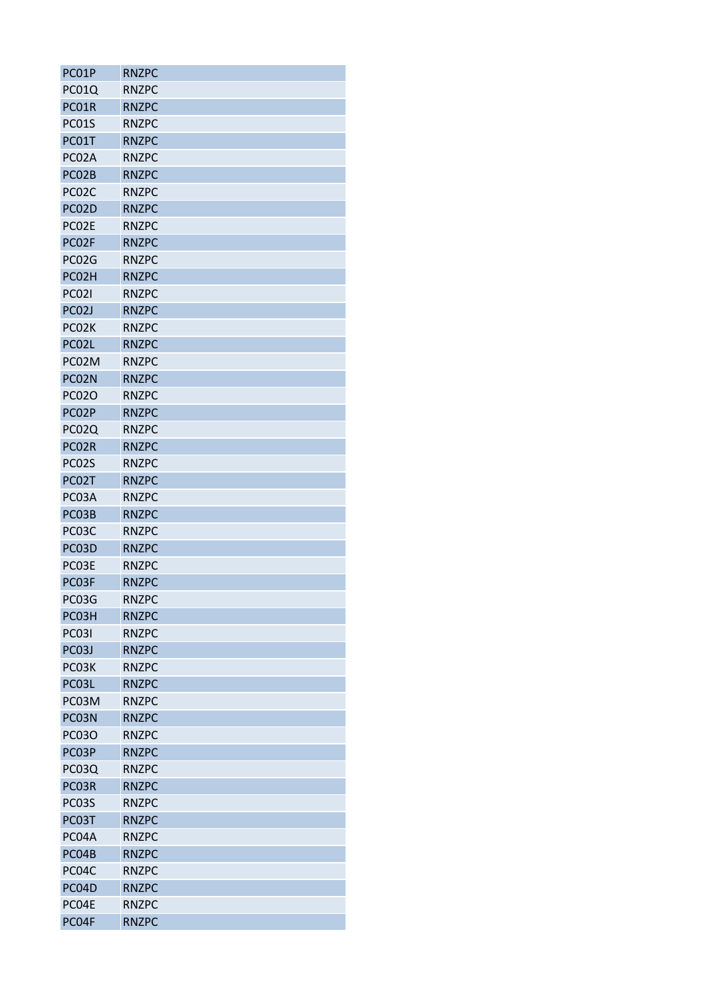| PC01P        | <b>RNZPC</b> |
|--------------|--------------|
| PC01Q        | <b>RNZPC</b> |
| PC01R        | <b>RNZPC</b> |
| PC01S        | <b>RNZPC</b> |
| PC01T        | <b>RNZPC</b> |
| PC02A        | <b>RNZPC</b> |
| PC02B        | <b>RNZPC</b> |
| PC02C        | <b>RNZPC</b> |
| PC02D        | <b>RNZPC</b> |
| PC02E        | <b>RNZPC</b> |
| PC02F        | <b>RNZPC</b> |
| PC02G        | <b>RNZPC</b> |
| PC02H        | <b>RNZPC</b> |
| <b>PC021</b> | <b>RNZPC</b> |
| PC02J        | <b>RNZPC</b> |
| PC02K        | <b>RNZPC</b> |
| PC02L        | <b>RNZPC</b> |
| PC02M        | <b>RNZPC</b> |
| PC02N        | <b>RNZPC</b> |
| <b>PC02O</b> | <b>RNZPC</b> |
| PC02P        | <b>RNZPC</b> |
| PC02Q        | <b>RNZPC</b> |
| PC02R        | <b>RNZPC</b> |
| PC02S        | <b>RNZPC</b> |
| PC02T        | <b>RNZPC</b> |
| PC03A        | <b>RNZPC</b> |
| PC03B        | <b>RNZPC</b> |
| PC03C        | <b>RNZPC</b> |
| PC03D        | <b>RNZPC</b> |
| PC03E        | <b>RNZPC</b> |
| PC03F        | <b>RNZPC</b> |
| PC03G        | <b>RNZPC</b> |
| PC03H        | <b>RNZPC</b> |
| <b>PC031</b> | <b>RNZPC</b> |
| PC03J        | <b>RNZPC</b> |
| PC03K        | <b>RNZPC</b> |
| PC03L        | <b>RNZPC</b> |
| PC03M        | <b>RNZPC</b> |
| PC03N        | <b>RNZPC</b> |
| <b>PC03O</b> | <b>RNZPC</b> |
| PC03P        | <b>RNZPC</b> |
| PC03Q        | <b>RNZPC</b> |
| PC03R        | <b>RNZPC</b> |
| PC03S        | <b>RNZPC</b> |
| PC03T        | <b>RNZPC</b> |
|              |              |
| PC04A        | <b>RNZPC</b> |
| PC04B        | <b>RNZPC</b> |
| PC04C        | <b>RNZPC</b> |
| PC04D        | <b>RNZPC</b> |
| PC04E        | <b>RNZPC</b> |
| PC04F        | <b>RNZPC</b> |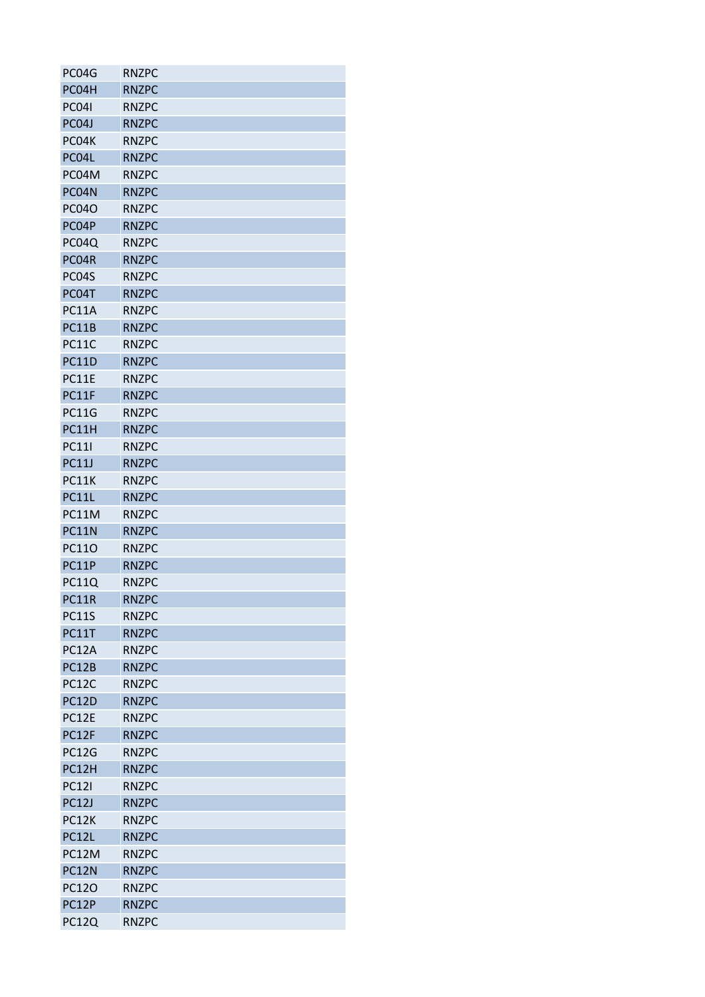| PC04G        | <b>RNZPC</b> |
|--------------|--------------|
| PC04H        | <b>RNZPC</b> |
| <b>PC041</b> | <b>RNZPC</b> |
| PC04J        | <b>RNZPC</b> |
| PC04K        | <b>RNZPC</b> |
| PC04L        | <b>RNZPC</b> |
| PC04M        | <b>RNZPC</b> |
| PC04N        | <b>RNZPC</b> |
| <b>PC040</b> | <b>RNZPC</b> |
| PC04P        | <b>RNZPC</b> |
| PC04Q        | <b>RNZPC</b> |
| PC04R        | <b>RNZPC</b> |
| PC04S        | <b>RNZPC</b> |
| PC04T        | <b>RNZPC</b> |
| <b>PC11A</b> | <b>RNZPC</b> |
| PC11B        | <b>RNZPC</b> |
| <b>PC11C</b> | <b>RNZPC</b> |
| <b>PC11D</b> | <b>RNZPC</b> |
| PC11E        | <b>RNZPC</b> |
| PC11F        | <b>RNZPC</b> |
| <b>PC11G</b> | <b>RNZPC</b> |
| PC11H        | <b>RNZPC</b> |
| <b>PC111</b> | <b>RNZPC</b> |
| <b>PC11J</b> | <b>RNZPC</b> |
| <b>PC11K</b> | <b>RNZPC</b> |
| <b>PC11L</b> | <b>RNZPC</b> |
| PC11M        | <b>RNZPC</b> |
| <b>PC11N</b> | <b>RNZPC</b> |
| <b>PC110</b> | <b>RNZPC</b> |
| <b>PC11P</b> | <b>RNZPC</b> |
|              |              |
| <b>PC11Q</b> | <b>RNZPC</b> |
| <b>PC11R</b> | <b>RNZPC</b> |
| <b>PC11S</b> | <b>RNZPC</b> |
| PC11T        | <b>RNZPC</b> |
| PC12A        | <b>RNZPC</b> |
| PC12B        | <b>RNZPC</b> |
| <b>PC12C</b> | <b>RNZPC</b> |
| <b>PC12D</b> | <b>RNZPC</b> |
| PC12E        | <b>RNZPC</b> |
| PC12F        | <b>RNZPC</b> |
| <b>PC12G</b> | <b>RNZPC</b> |
| PC12H        | <b>RNZPC</b> |
| <b>PC121</b> | <b>RNZPC</b> |
| <b>PC12J</b> | <b>RNZPC</b> |
| <b>PC12K</b> | <b>RNZPC</b> |
| PC12L        | <b>RNZPC</b> |
| PC12M        | <b>RNZPC</b> |
| <b>PC12N</b> | <b>RNZPC</b> |
| <b>PC120</b> | <b>RNZPC</b> |
| PC12P        | <b>RNZPC</b> |
| <b>PC12Q</b> | <b>RNZPC</b> |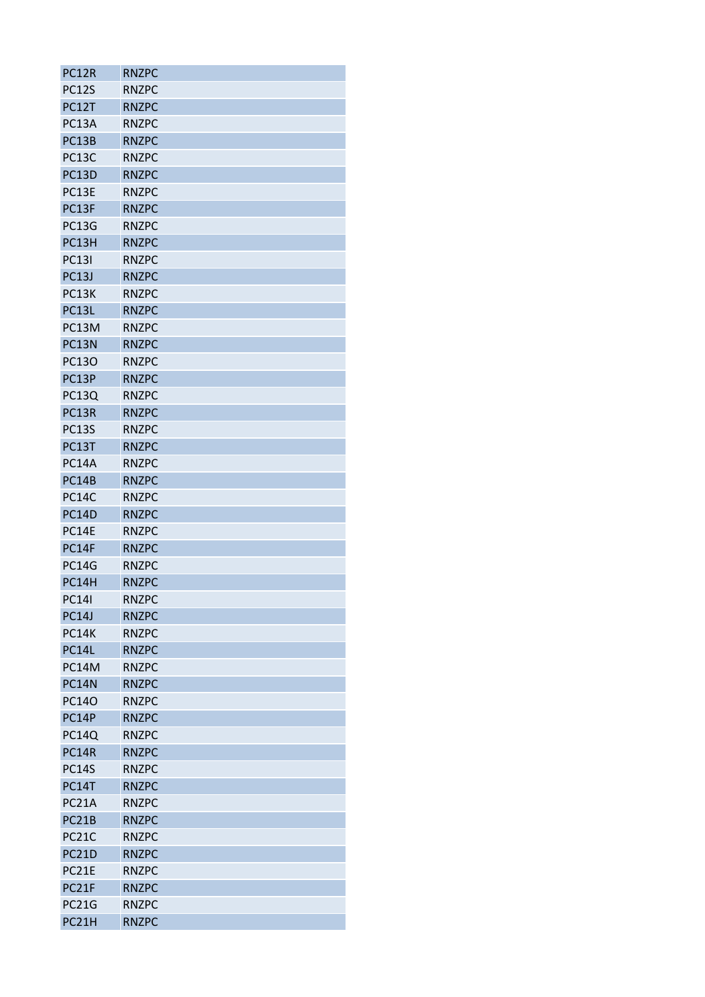| <b>PC12R</b> | <b>RNZPC</b> |
|--------------|--------------|
| <b>PC12S</b> | <b>RNZPC</b> |
| PC12T        | <b>RNZPC</b> |
| PC13A        | <b>RNZPC</b> |
| PC13B        | <b>RNZPC</b> |
| PC13C        | <b>RNZPC</b> |
| PC13D        | <b>RNZPC</b> |
| PC13E        | <b>RNZPC</b> |
| PC13F        | <b>RNZPC</b> |
| <b>PC13G</b> | <b>RNZPC</b> |
| PC13H        | <b>RNZPC</b> |
| <b>PC131</b> | <b>RNZPC</b> |
| <b>PC13J</b> | <b>RNZPC</b> |
| PC13K        | <b>RNZPC</b> |
| PC13L        | <b>RNZPC</b> |
| PC13M        | <b>RNZPC</b> |
| PC13N        | <b>RNZPC</b> |
| PC13O        | <b>RNZPC</b> |
| PC13P        | <b>RNZPC</b> |
| <b>PC13Q</b> | <b>RNZPC</b> |
| PC13R        | <b>RNZPC</b> |
| <b>PC13S</b> | <b>RNZPC</b> |
| PC13T        | <b>RNZPC</b> |
| <b>PC14A</b> | <b>RNZPC</b> |
| PC14B        | <b>RNZPC</b> |
| <b>PC14C</b> | <b>RNZPC</b> |
| <b>PC14D</b> | <b>RNZPC</b> |
| PC14E        | <b>RNZPC</b> |
| PC14F        | <b>RNZPC</b> |
| <b>PC14G</b> | <b>RNZPC</b> |
| PC14H        | <b>RNZPC</b> |
| <b>PC141</b> | <b>RNZPC</b> |
| <b>PC14J</b> | <b>RNZPC</b> |
| <b>PC14K</b> | <b>RNZPC</b> |
| PC14L        | <b>RNZPC</b> |
| PC14M        | <b>RNZPC</b> |
| PC14N        | <b>RNZPC</b> |
| <b>PC14O</b> | <b>RNZPC</b> |
| PC14P        | <b>RNZPC</b> |
| <b>PC14Q</b> | <b>RNZPC</b> |
| <b>PC14R</b> | <b>RNZPC</b> |
| <b>PC14S</b> | <b>RNZPC</b> |
| PC14T        | <b>RNZPC</b> |
| PC21A        | <b>RNZPC</b> |
| PC21B        | <b>RNZPC</b> |
| <b>PC21C</b> | <b>RNZPC</b> |
| <b>PC21D</b> | <b>RNZPC</b> |
| PC21E        | <b>RNZPC</b> |
| PC21F        | <b>RNZPC</b> |
| <b>PC21G</b> | <b>RNZPC</b> |
| PC21H        | <b>RNZPC</b> |
|              |              |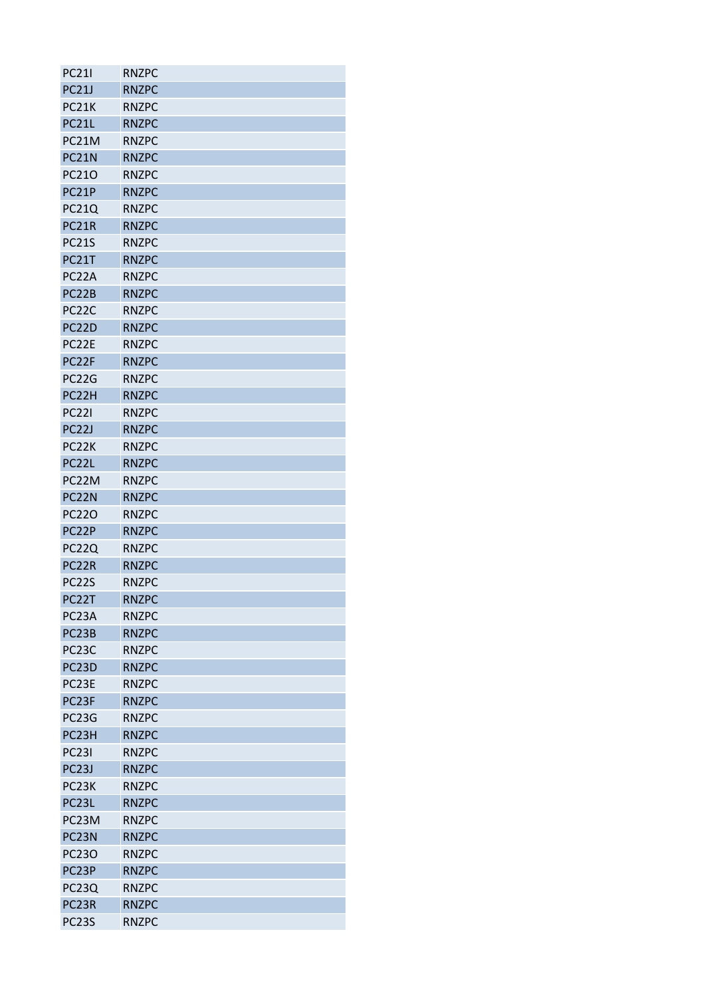| <b>PC211</b>       | <b>RNZPC</b> |
|--------------------|--------------|
| <b>PC21J</b>       | <b>RNZPC</b> |
| PC21K              | <b>RNZPC</b> |
| PC21L              | <b>RNZPC</b> |
| PC21M              | <b>RNZPC</b> |
| PC <sub>21</sub> N | <b>RNZPC</b> |
| PC210              | <b>RNZPC</b> |
| PC21P              | <b>RNZPC</b> |
| <b>PC21Q</b>       | <b>RNZPC</b> |
| PC21R              | <b>RNZPC</b> |
| <b>PC21S</b>       | <b>RNZPC</b> |
| PC21T              | <b>RNZPC</b> |
| PC <sub>2</sub> 2A | <b>RNZPC</b> |
| PC22B              | <b>RNZPC</b> |
| PC <sub>2</sub> 2C | <b>RNZPC</b> |
| PC <sub>2</sub> 2D | <b>RNZPC</b> |
| PC <sub>2</sub> 2E | <b>RNZPC</b> |
| PC22F              | <b>RNZPC</b> |
| PC22G              | <b>RNZPC</b> |
| PC22H              | <b>RNZPC</b> |
| <b>PC221</b>       | <b>RNZPC</b> |
| PC <sub>21</sub>   | <b>RNZPC</b> |
| PC <sub>2</sub> 2K | <b>RNZPC</b> |
| PC22L              | <b>RNZPC</b> |
| PC22M              | <b>RNZPC</b> |
| PC <sub>2</sub> 2N | <b>RNZPC</b> |
| <b>PC220</b>       | <b>RNZPC</b> |
| PC22P              | <b>RNZPC</b> |
| <b>PC22Q</b>       | <b>RNZPC</b> |
| PC22R              | <b>RNZPC</b> |
| <b>PC22S</b>       | <b>RNZPC</b> |
| PC22T              | <b>RNZPC</b> |
| PC <sub>23</sub> A | <b>RNZPC</b> |
| PC <sub>23</sub> B | <b>RNZPC</b> |
| PC <sub>23</sub> C | <b>RNZPC</b> |
| PC <sub>23</sub> D | <b>RNZPC</b> |
| PC <sub>23E</sub>  | <b>RNZPC</b> |
| PC23F              | <b>RNZPC</b> |
| PC23G              | <b>RNZPC</b> |
| PC <sub>23</sub> H | <b>RNZPC</b> |
| <b>PC231</b>       | <b>RNZPC</b> |
| PC <sub>23</sub> J | <b>RNZPC</b> |
| PC <sub>23</sub> K | <b>RNZPC</b> |
| PC <sub>23</sub> L | <b>RNZPC</b> |
| PC23M              | <b>RNZPC</b> |
| PC <sub>23</sub> N | <b>RNZPC</b> |
| <b>PC230</b>       | <b>RNZPC</b> |
| PC <sub>23P</sub>  | <b>RNZPC</b> |
| PC23Q              | <b>RNZPC</b> |
| PC23R              | <b>RNZPC</b> |
| PC <sub>23</sub> S | <b>RNZPC</b> |
|                    |              |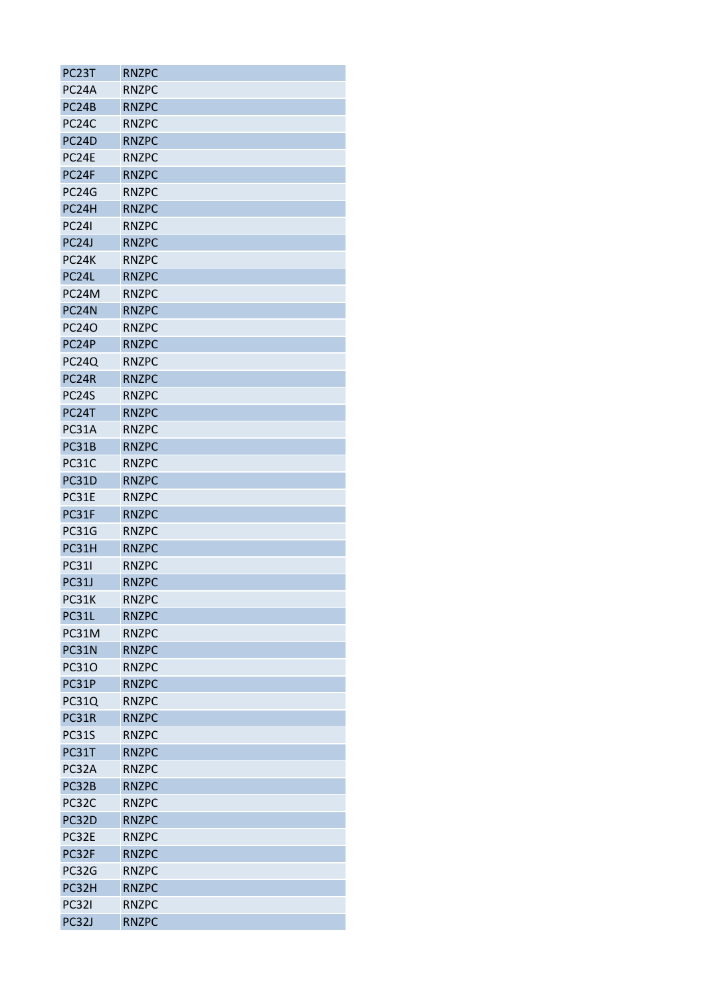| PC23T              | <b>RNZPC</b> |
|--------------------|--------------|
| PC <sub>24</sub> A | <b>RNZPC</b> |
| PC24B              | <b>RNZPC</b> |
| PC <sub>24</sub> C | <b>RNZPC</b> |
| PC24D              | <b>RNZPC</b> |
| PC <sub>24E</sub>  | <b>RNZPC</b> |
| PC24F              | <b>RNZPC</b> |
| <b>PC24G</b>       | <b>RNZPC</b> |
| PC24H              | <b>RNZPC</b> |
| <b>PC241</b>       | <b>RNZPC</b> |
| PC <sub>24</sub> J | <b>RNZPC</b> |
| PC24K              | <b>RNZPC</b> |
| PC24L              | <b>RNZPC</b> |
| PC <sub>24</sub> M | <b>RNZPC</b> |
| PC24N              | <b>RNZPC</b> |
| <b>PC240</b>       | <b>RNZPC</b> |
| PC <sub>24</sub> P | <b>RNZPC</b> |
| PC24Q              | <b>RNZPC</b> |
| PC24R              | <b>RNZPC</b> |
| PC <sub>24</sub> S | <b>RNZPC</b> |
| PC24T              | <b>RNZPC</b> |
| PC31A              | <b>RNZPC</b> |
| PC31B              | <b>RNZPC</b> |
| <b>PC31C</b>       | <b>RNZPC</b> |
| <b>PC31D</b>       | <b>RNZPC</b> |
| PC31E              | <b>RNZPC</b> |
| PC31F              | <b>RNZPC</b> |
| <b>PC31G</b>       | <b>RNZPC</b> |
| PC31H              | <b>RNZPC</b> |
| <b>PC31I</b>       | <b>RNZPC</b> |
| <b>PC31J</b>       | <b>RNZPC</b> |
| PC31K              | <b>RNZPC</b> |
| PC31L              | <b>RNZPC</b> |
| PC31M              | <b>RNZPC</b> |
| PC31N              | <b>RNZPC</b> |
| <b>PC310</b>       | <b>RNZPC</b> |
| PC31P              | <b>RNZPC</b> |
| <b>PC31Q</b>       | <b>RNZPC</b> |
| PC31R              | <b>RNZPC</b> |
| <b>PC31S</b>       | <b>RNZPC</b> |
| PC31T              | <b>RNZPC</b> |
| PC32A              | <b>RNZPC</b> |
|                    |              |
| PC32B              | <b>RNZPC</b> |
| PC32C              | <b>RNZPC</b> |
| PC32D              | <b>RNZPC</b> |
| PC32E              | <b>RNZPC</b> |
| PC32F              | <b>RNZPC</b> |
| PC32G              | <b>RNZPC</b> |
| PC32H              | <b>RNZPC</b> |
| <b>PC321</b>       | <b>RNZPC</b> |
| PC32J              | <b>RNZPC</b> |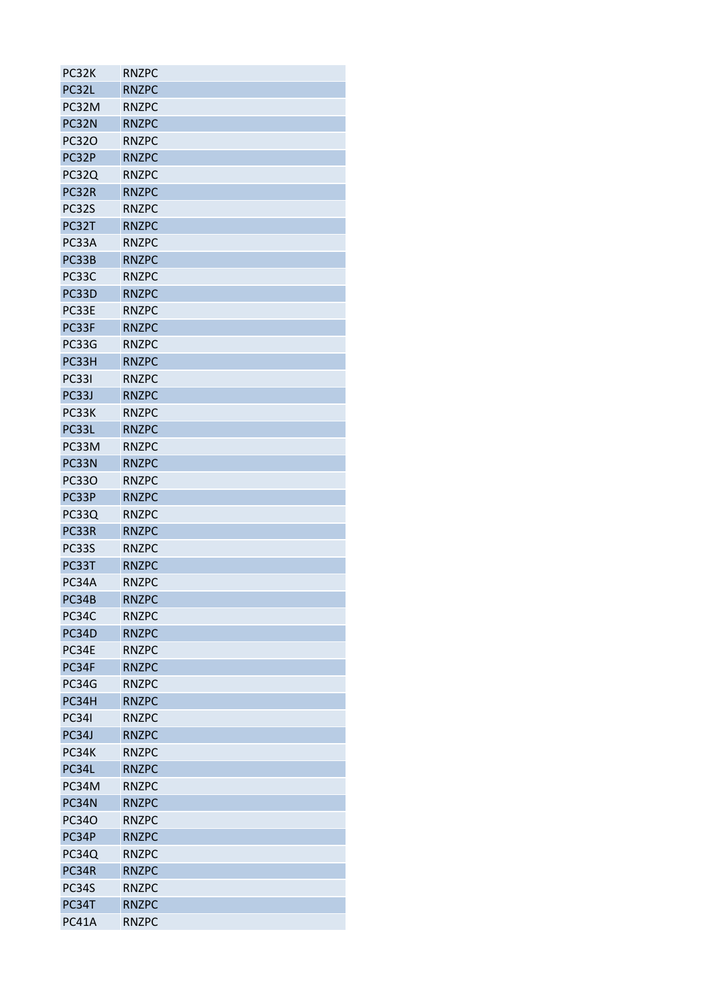| PC32K        | <b>RNZPC</b> |
|--------------|--------------|
| PC32L        | <b>RNZPC</b> |
| PC32M        | <b>RNZPC</b> |
| PC32N        | <b>RNZPC</b> |
| <b>PC320</b> | <b>RNZPC</b> |
| PC32P        | <b>RNZPC</b> |
| PC32Q        | <b>RNZPC</b> |
| PC32R        | <b>RNZPC</b> |
| PC32S        | <b>RNZPC</b> |
| PC32T        | <b>RNZPC</b> |
| PC33A        | <b>RNZPC</b> |
| PC33B        | <b>RNZPC</b> |
| PC33C        | <b>RNZPC</b> |
| PC33D        | <b>RNZPC</b> |
| PC33E        | <b>RNZPC</b> |
| PC33F        | <b>RNZPC</b> |
| PC33G        | <b>RNZPC</b> |
| PC33H        | <b>RNZPC</b> |
| <b>PC331</b> | <b>RNZPC</b> |
| PC33J        | <b>RNZPC</b> |
| PC33K        | <b>RNZPC</b> |
| PC33L        | <b>RNZPC</b> |
| PC33M        | <b>RNZPC</b> |
| PC33N        | <b>RNZPC</b> |
| <b>PC330</b> | <b>RNZPC</b> |
| PC33P        | <b>RNZPC</b> |
| PC33Q        | <b>RNZPC</b> |
| PC33R        | <b>RNZPC</b> |
| PC33S        | <b>RNZPC</b> |
| PC33T        | <b>RNZPC</b> |
|              |              |
| PC34A        | <b>RNZPC</b> |
| PC34B        | <b>RNZPC</b> |
| PC34C        | <b>RNZPC</b> |
| PC34D        | <b>RNZPC</b> |
| PC34E        | <b>RNZPC</b> |
| PC34F        | <b>RNZPC</b> |
| <b>PC34G</b> | <b>RNZPC</b> |
| PC34H        | <b>RNZPC</b> |
| <b>PC341</b> | <b>RNZPC</b> |
| PC34J        | <b>RNZPC</b> |
| PC34K        | <b>RNZPC</b> |
| PC34L        | <b>RNZPC</b> |
| PC34M        | <b>RNZPC</b> |
| PC34N        | <b>RNZPC</b> |
| PC34O        | <b>RNZPC</b> |
| PC34P        | <b>RNZPC</b> |
| PC34Q        | <b>RNZPC</b> |
| PC34R        | <b>RNZPC</b> |
| PC34S        | <b>RNZPC</b> |
| PC34T        | <b>RNZPC</b> |
| PC41A        | <b>RNZPC</b> |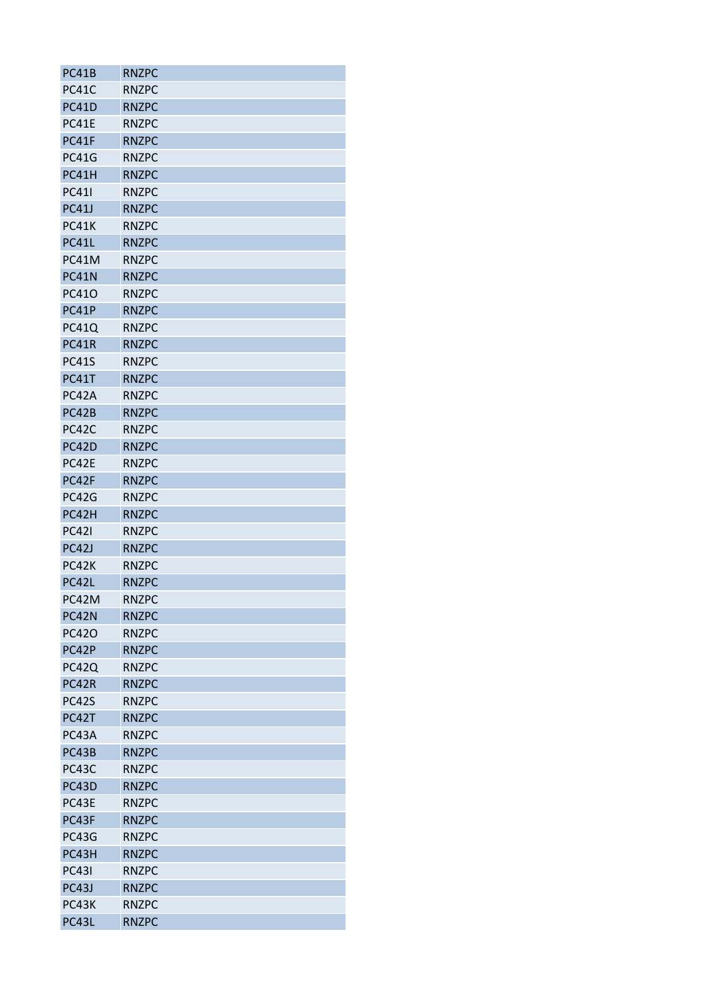| PC41B        | <b>RNZPC</b> |
|--------------|--------------|
| PC41C        | <b>RNZPC</b> |
| <b>PC41D</b> | <b>RNZPC</b> |
| <b>PC41E</b> | <b>RNZPC</b> |
| PC41F        | <b>RNZPC</b> |
| <b>PC41G</b> | <b>RNZPC</b> |
| PC41H        | <b>RNZPC</b> |
| <b>PC411</b> | <b>RNZPC</b> |
| <b>PC41J</b> | <b>RNZPC</b> |
| <b>PC41K</b> | <b>RNZPC</b> |
| PC41L        | <b>RNZPC</b> |
| PC41M        | <b>RNZPC</b> |
| PC41N        | <b>RNZPC</b> |
| PC410        | <b>RNZPC</b> |
| PC41P        | <b>RNZPC</b> |
| <b>PC41Q</b> | <b>RNZPC</b> |
| <b>PC41R</b> | <b>RNZPC</b> |
| <b>PC41S</b> | <b>RNZPC</b> |
| PC41T        | <b>RNZPC</b> |
| PC42A        | <b>RNZPC</b> |
| PC42B        | <b>RNZPC</b> |
| PC42C        | <b>RNZPC</b> |
| PC42D        | <b>RNZPC</b> |
| PC42E        | <b>RNZPC</b> |
| PC42F        | <b>RNZPC</b> |
| PC42G        | <b>RNZPC</b> |
| PC42H        | <b>RNZPC</b> |
| <b>PC421</b> | <b>RNZPC</b> |
| PC42J        | <b>RNZPC</b> |
| PC42K        | <b>RNZPC</b> |
| PC42L        | <b>RNZPC</b> |
| PC42M        | <b>RNZPC</b> |
| PC42N        | <b>RNZPC</b> |
| PC420        | <b>RNZPC</b> |
| PC42P        | <b>RNZPC</b> |
| PC42Q        | <b>RNZPC</b> |
| PC42R        | <b>RNZPC</b> |
| <b>PC42S</b> | <b>RNZPC</b> |
| PC42T        | <b>RNZPC</b> |
| PC43A        | <b>RNZPC</b> |
| PC43B        | <b>RNZPC</b> |
| PC43C        | <b>RNZPC</b> |
| PC43D        | <b>RNZPC</b> |
| PC43E        | <b>RNZPC</b> |
| PC43F        | <b>RNZPC</b> |
| PC43G        | <b>RNZPC</b> |
| PC43H        | <b>RNZPC</b> |
| <b>PC431</b> | <b>RNZPC</b> |
| PC43J        | <b>RNZPC</b> |
| PC43K        | <b>RNZPC</b> |
| PC43L        | <b>RNZPC</b> |
|              |              |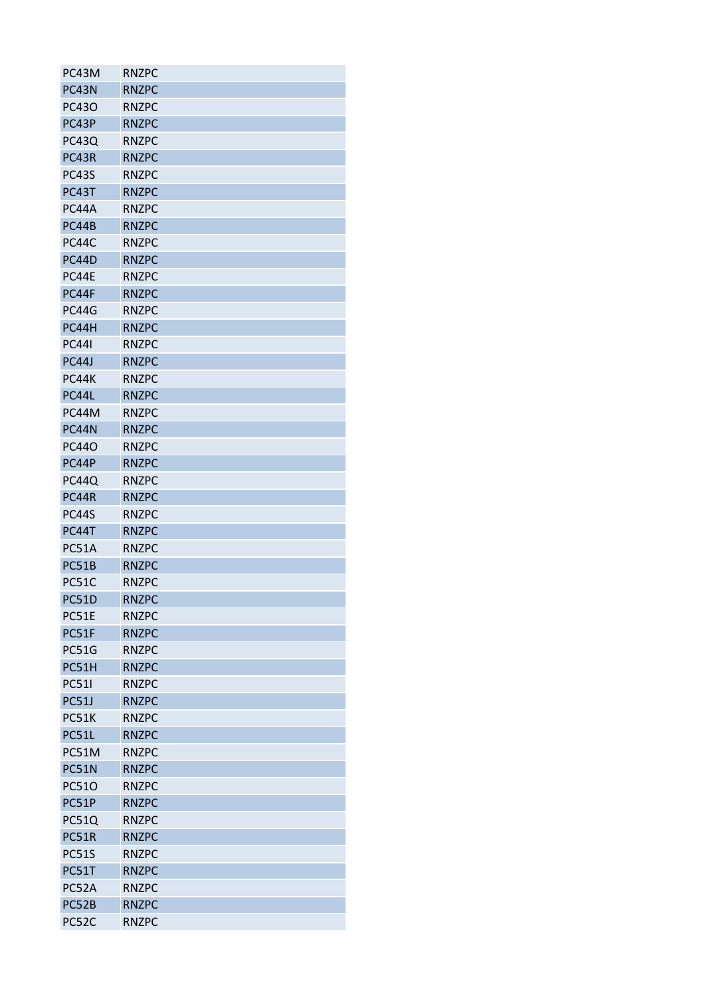| PC43M        | <b>RNZPC</b> |
|--------------|--------------|
| PC43N        | <b>RNZPC</b> |
| PC43O        | <b>RNZPC</b> |
| PC43P        | <b>RNZPC</b> |
| <b>PC43Q</b> | <b>RNZPC</b> |
| PC43R        | <b>RNZPC</b> |
| PC43S        | <b>RNZPC</b> |
| PC43T        | <b>RNZPC</b> |
| PC44A        | <b>RNZPC</b> |
| PC44B        | <b>RNZPC</b> |
| PC44C        | <b>RNZPC</b> |
| PC44D        | <b>RNZPC</b> |
| PC44E        | <b>RNZPC</b> |
| PC44F        | <b>RNZPC</b> |
| PC44G        | <b>RNZPC</b> |
| PC44H        | <b>RNZPC</b> |
| <b>PC441</b> | <b>RNZPC</b> |
| PC44J        | <b>RNZPC</b> |
| PC44K        | <b>RNZPC</b> |
| PC44L        | <b>RNZPC</b> |
| PC44M        | <b>RNZPC</b> |
| PC44N        | <b>RNZPC</b> |
| <b>PC440</b> | <b>RNZPC</b> |
| PC44P        | <b>RNZPC</b> |
| <b>PC44Q</b> | <b>RNZPC</b> |
| PC44R        | <b>RNZPC</b> |
| <b>PC44S</b> | <b>RNZPC</b> |
| PC44T        | <b>RNZPC</b> |
| <b>PC51A</b> | <b>RNZPC</b> |
| PC51B        | <b>RNZPC</b> |
| PC51C        | <b>RNZPC</b> |
| <b>PC51D</b> | <b>RNZPC</b> |
| PC51E        | <b>RNZPC</b> |
| PC51F        | <b>RNZPC</b> |
| <b>PC51G</b> | <b>RNZPC</b> |
| PC51H        | <b>RNZPC</b> |
| <b>PC511</b> | <b>RNZPC</b> |
| <b>PC51J</b> | <b>RNZPC</b> |
| PC51K        | <b>RNZPC</b> |
| PC51L        | <b>RNZPC</b> |
| PC51M        | <b>RNZPC</b> |
| PC51N        | <b>RNZPC</b> |
| PC510        | <b>RNZPC</b> |
| PC51P        | <b>RNZPC</b> |
| <b>PC51Q</b> | <b>RNZPC</b> |
| PC51R        | <b>RNZPC</b> |
| <b>PC51S</b> | <b>RNZPC</b> |
| PC51T        | <b>RNZPC</b> |
| PC52A        | <b>RNZPC</b> |
| PC52B        | <b>RNZPC</b> |
| PC52C        | <b>RNZPC</b> |
|              |              |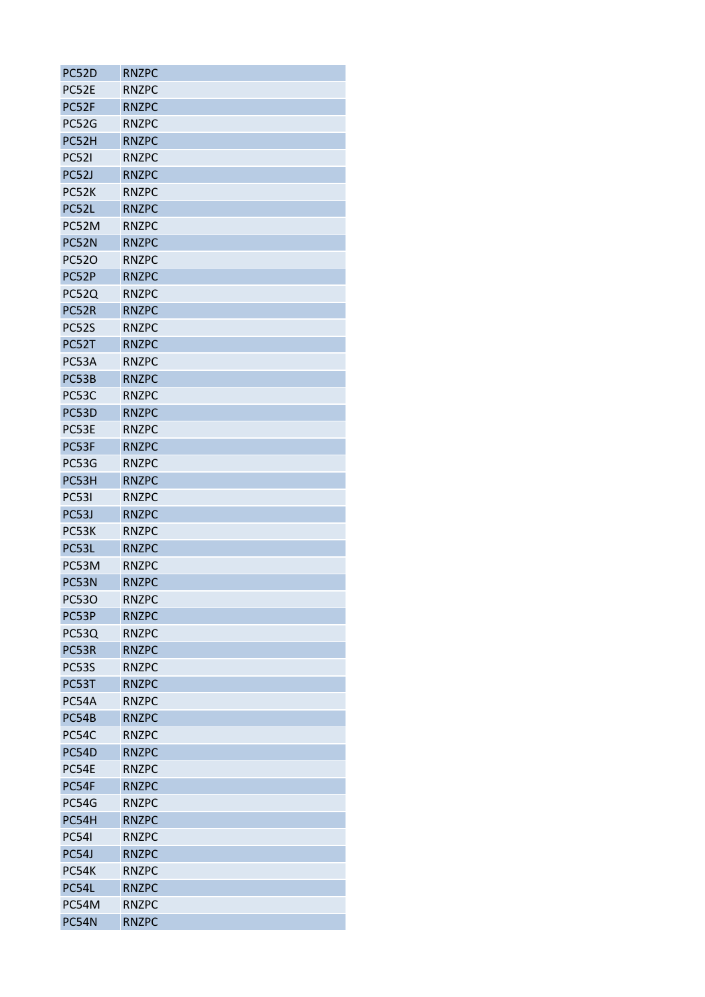| PC52D        | <b>RNZPC</b> |
|--------------|--------------|
| PC52E        | <b>RNZPC</b> |
| PC52F        | <b>RNZPC</b> |
| <b>PC52G</b> | <b>RNZPC</b> |
| PC52H        | <b>RNZPC</b> |
| <b>PC521</b> | <b>RNZPC</b> |
| PC52J        | <b>RNZPC</b> |
| PC52K        | <b>RNZPC</b> |
| PC52L        | <b>RNZPC</b> |
| PC52M        | <b>RNZPC</b> |
| PC52N        | <b>RNZPC</b> |
| <b>PC520</b> | <b>RNZPC</b> |
| PC52P        | <b>RNZPC</b> |
| PC52Q        | <b>RNZPC</b> |
| PC52R        | <b>RNZPC</b> |
| <b>PC52S</b> | <b>RNZPC</b> |
| PC52T        | <b>RNZPC</b> |
| PC53A        | <b>RNZPC</b> |
| PC53B        | <b>RNZPC</b> |
| PC53C        | <b>RNZPC</b> |
| PC53D        | <b>RNZPC</b> |
| PC53E        | <b>RNZPC</b> |
| PC53F        |              |
|              | <b>RNZPC</b> |
| <b>PC53G</b> | <b>RNZPC</b> |
| PC53H        | <b>RNZPC</b> |
| <b>PC531</b> | <b>RNZPC</b> |
| PC53J        | <b>RNZPC</b> |
| PC53K        | <b>RNZPC</b> |
| PC53L        | <b>RNZPC</b> |
| PC53M        | <b>RNZPC</b> |
| PC53N        | <b>RNZPC</b> |
| <b>PC530</b> | <b>RNZPC</b> |
| PC53P        | <b>RNZPC</b> |
| PC53Q        | <b>RNZPC</b> |
| PC53R        | <b>RNZPC</b> |
| <b>PC53S</b> | <b>RNZPC</b> |
| PC53T        | <b>RNZPC</b> |
| PC54A        | <b>RNZPC</b> |
| PC54B        | <b>RNZPC</b> |
| PC54C        | <b>RNZPC</b> |
| PC54D        | <b>RNZPC</b> |
| PC54E        | <b>RNZPC</b> |
| PC54F        | <b>RNZPC</b> |
| PC54G        | <b>RNZPC</b> |
| PC54H        | <b>RNZPC</b> |
| <b>PC541</b> | <b>RNZPC</b> |
| PC54J        | <b>RNZPC</b> |
| PC54K        | <b>RNZPC</b> |
| PC54L        | <b>RNZPC</b> |
| PC54M        | <b>RNZPC</b> |
| PC54N        | <b>RNZPC</b> |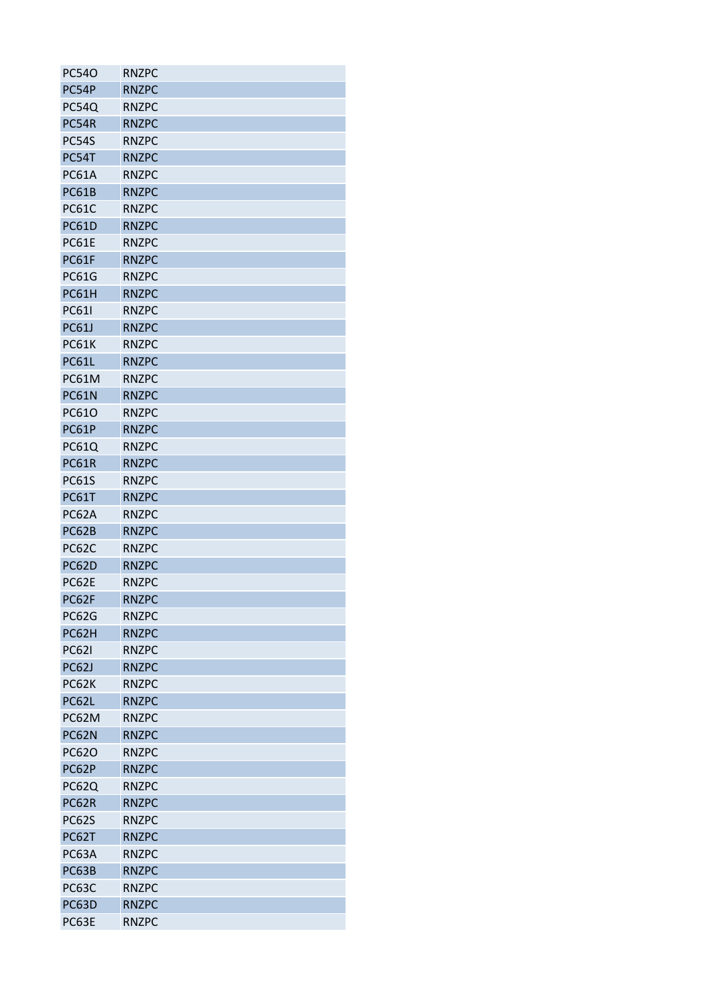| <b>PC540</b> | <b>RNZPC</b> |
|--------------|--------------|
| PC54P        | <b>RNZPC</b> |
| PC54Q        | <b>RNZPC</b> |
| PC54R        | <b>RNZPC</b> |
| <b>PC54S</b> | <b>RNZPC</b> |
| PC54T        | <b>RNZPC</b> |
| <b>PC61A</b> | <b>RNZPC</b> |
| <b>PC61B</b> | <b>RNZPC</b> |
| <b>PC61C</b> | <b>RNZPC</b> |
| <b>PC61D</b> | <b>RNZPC</b> |
| <b>PC61E</b> | <b>RNZPC</b> |
| PC61F        | <b>RNZPC</b> |
| <b>PC61G</b> | <b>RNZPC</b> |
| PC61H        | <b>RNZPC</b> |
| <b>PC61I</b> | <b>RNZPC</b> |
| <b>PC61J</b> | <b>RNZPC</b> |
| <b>PC61K</b> | <b>RNZPC</b> |
| <b>PC61L</b> | <b>RNZPC</b> |
| <b>PC61M</b> | <b>RNZPC</b> |
| <b>PC61N</b> | <b>RNZPC</b> |
| PC61O        | <b>RNZPC</b> |
| <b>PC61P</b> | <b>RNZPC</b> |
| PC61Q        | <b>RNZPC</b> |
| <b>PC61R</b> | <b>RNZPC</b> |
| <b>PC61S</b> | <b>RNZPC</b> |
| PC61T        | <b>RNZPC</b> |
| PC62A        | <b>RNZPC</b> |
| PC62B        | <b>RNZPC</b> |
| <b>PC62C</b> | <b>RNZPC</b> |
| <b>PC62D</b> | <b>RNZPC</b> |
| PC62E        | <b>RNZPC</b> |
| PC62F        | <b>RNZPC</b> |
| PC62G        | <b>RNZPC</b> |
| PC62H        | <b>RNZPC</b> |
| <b>PC621</b> | <b>RNZPC</b> |
| PC62J        | <b>RNZPC</b> |
| <b>PC62K</b> | <b>RNZPC</b> |
| PC62L        | <b>RNZPC</b> |
| PC62M        | <b>RNZPC</b> |
| PC62N        | <b>RNZPC</b> |
| PC62O        | <b>RNZPC</b> |
| PC62P        | <b>RNZPC</b> |
| <b>PC62Q</b> | <b>RNZPC</b> |
| PC62R        | <b>RNZPC</b> |
| <b>PC62S</b> | <b>RNZPC</b> |
| PC62T        | <b>RNZPC</b> |
| PC63A        | <b>RNZPC</b> |
| PC63B        | <b>RNZPC</b> |
| <b>PC63C</b> | <b>RNZPC</b> |
| PC63D        | <b>RNZPC</b> |
| PC63E        | <b>RNZPC</b> |
|              |              |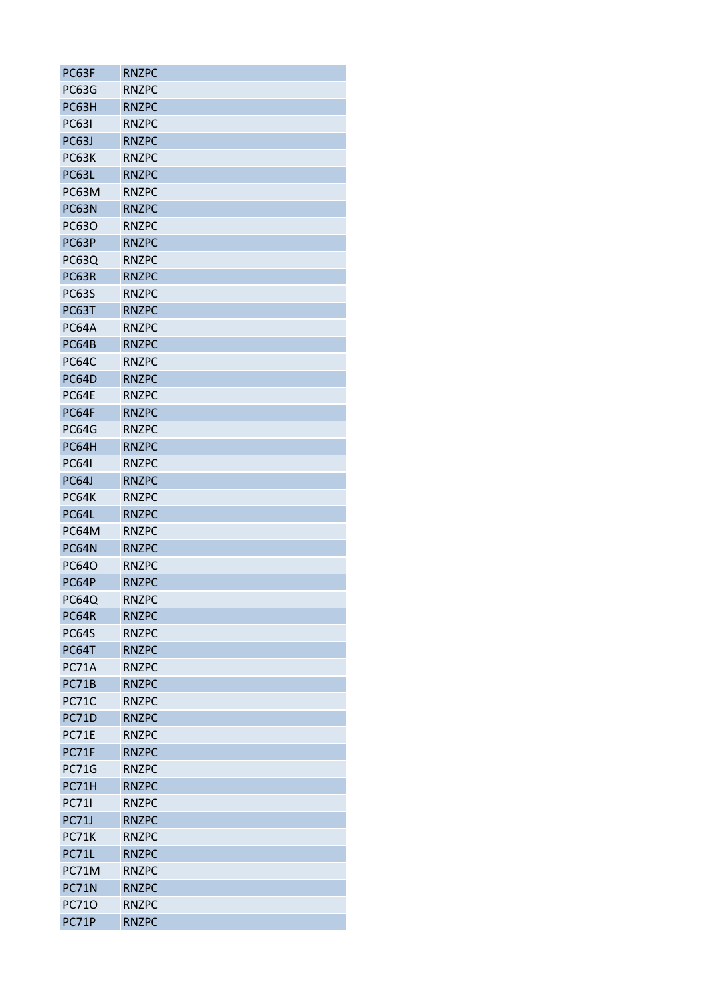| PC63F        | <b>RNZPC</b> |
|--------------|--------------|
| PC63G        | <b>RNZPC</b> |
| PC63H        | <b>RNZPC</b> |
| <b>PC631</b> | <b>RNZPC</b> |
| PC63J        | <b>RNZPC</b> |
| PC63K        | <b>RNZPC</b> |
| PC63L        | <b>RNZPC</b> |
| PC63M        | <b>RNZPC</b> |
| PC63N        | <b>RNZPC</b> |
| PC63O        | <b>RNZPC</b> |
| PC63P        | <b>RNZPC</b> |
| PC63Q        | <b>RNZPC</b> |
| PC63R        | <b>RNZPC</b> |
| <b>PC63S</b> | <b>RNZPC</b> |
| PC63T        | <b>RNZPC</b> |
| PC64A        | <b>RNZPC</b> |
| <b>PC64B</b> | <b>RNZPC</b> |
| PC64C        | <b>RNZPC</b> |
| <b>PC64D</b> | <b>RNZPC</b> |
| PC64E        | <b>RNZPC</b> |
| PC64F        | <b>RNZPC</b> |
| <b>PC64G</b> | <b>RNZPC</b> |
| PC64H        | <b>RNZPC</b> |
| <b>PC641</b> | <b>RNZPC</b> |
| PC64J        | <b>RNZPC</b> |
| <b>PC64K</b> | <b>RNZPC</b> |
| PC64L        | <b>RNZPC</b> |
| PC64M        | <b>RNZPC</b> |
| PC64N        | <b>RNZPC</b> |
| PC64O        | <b>RNZPC</b> |
| PC64P        | <b>RNZPC</b> |
| <b>PC64Q</b> | <b>RNZPC</b> |
| PC64R        | <b>RNZPC</b> |
| <b>PC64S</b> | <b>RNZPC</b> |
| PC64T        | <b>RNZPC</b> |
| <b>PC71A</b> | <b>RNZPC</b> |
| <b>PC71B</b> | <b>RNZPC</b> |
| <b>PC71C</b> | <b>RNZPC</b> |
| <b>PC71D</b> | <b>RNZPC</b> |
| PC71E        | <b>RNZPC</b> |
| PC71F        | <b>RNZPC</b> |
| <b>PC71G</b> | <b>RNZPC</b> |
| PC71H        | <b>RNZPC</b> |
| <b>PC711</b> | <b>RNZPC</b> |
| <b>PC71J</b> | <b>RNZPC</b> |
| <b>PC71K</b> | <b>RNZPC</b> |
| PC71L        | <b>RNZPC</b> |
| PC71M        | <b>RNZPC</b> |
| <b>PC71N</b> | <b>RNZPC</b> |
| PC710        | <b>RNZPC</b> |
| PC71P        | <b>RNZPC</b> |
|              |              |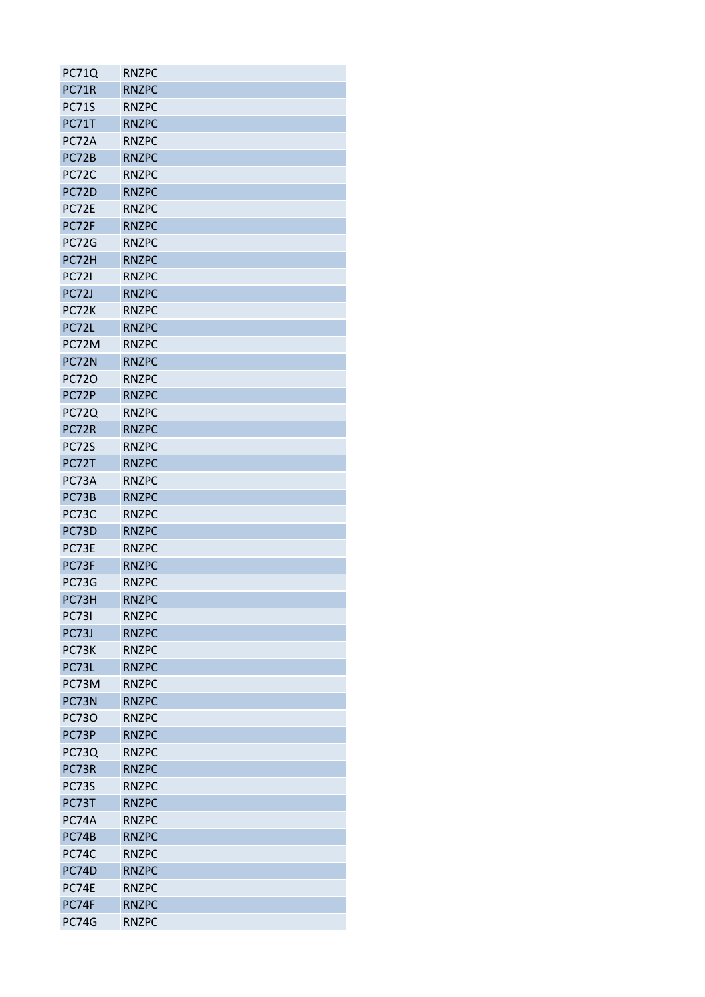| <b>PC71Q</b> | <b>RNZPC</b> |
|--------------|--------------|
| PC71R        | <b>RNZPC</b> |
| <b>PC71S</b> | <b>RNZPC</b> |
| PC71T        | <b>RNZPC</b> |
| PC72A        | <b>RNZPC</b> |
| PC72B        | <b>RNZPC</b> |
| PC72C        | <b>RNZPC</b> |
| PC72D        | <b>RNZPC</b> |
| PC72E        | <b>RNZPC</b> |
| PC72F        | <b>RNZPC</b> |
| <b>PC72G</b> | <b>RNZPC</b> |
| PC72H        | <b>RNZPC</b> |
| <b>PC721</b> | <b>RNZPC</b> |
| <b>PC72J</b> | <b>RNZPC</b> |
| PC72K        | <b>RNZPC</b> |
| PC72L        | <b>RNZPC</b> |
| PC72M        | <b>RNZPC</b> |
| PC72N        | <b>RNZPC</b> |
| PC720        | <b>RNZPC</b> |
| PC72P        | <b>RNZPC</b> |
| <b>PC72Q</b> | <b>RNZPC</b> |
| PC72R        | <b>RNZPC</b> |
| <b>PC72S</b> | <b>RNZPC</b> |
| PC72T        | <b>RNZPC</b> |
| PC73A        | <b>RNZPC</b> |
| PC73B        | <b>RNZPC</b> |
| PC73C        | <b>RNZPC</b> |
| PC73D        | <b>RNZPC</b> |
| PC73E        | <b>RNZPC</b> |
| PC73F        | <b>RNZPC</b> |
| PC73G        | <b>RNZPC</b> |
| PC73H        | <b>RNZPC</b> |
| <b>PC731</b> | <b>RNZPC</b> |
| PC73J        | <b>RNZPC</b> |
| PC73K        | <b>RNZPC</b> |
| PC73L        | <b>RNZPC</b> |
| PC73M        | <b>RNZPC</b> |
| PC73N        | <b>RNZPC</b> |
| <b>PC730</b> | <b>RNZPC</b> |
| PC73P        | <b>RNZPC</b> |
| <b>PC73Q</b> | <b>RNZPC</b> |
| PC73R        | <b>RNZPC</b> |
| <b>PC73S</b> | <b>RNZPC</b> |
| PC73T        | <b>RNZPC</b> |
| PC74A        | <b>RNZPC</b> |
| PC74B        | <b>RNZPC</b> |
| PC74C        | <b>RNZPC</b> |
| PC74D        | <b>RNZPC</b> |
| PC74E        | <b>RNZPC</b> |
| PC74F        | <b>RNZPC</b> |
| PC74G        | <b>RNZPC</b> |
|              |              |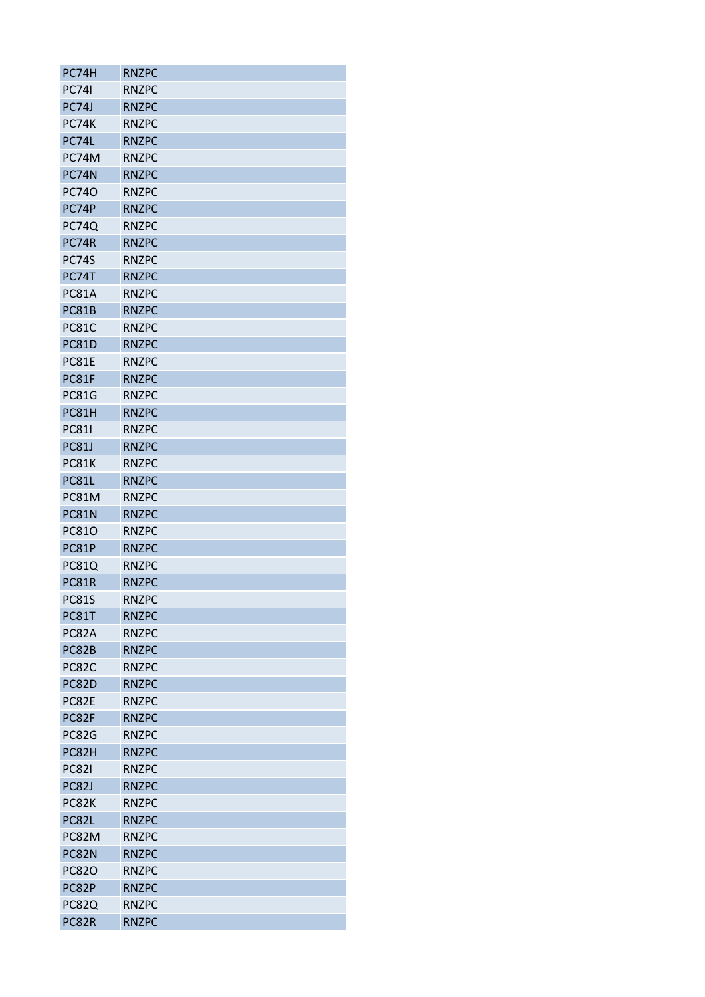| PC74H        | <b>RNZPC</b> |
|--------------|--------------|
| <b>PC741</b> | <b>RNZPC</b> |
| PC74J        | <b>RNZPC</b> |
| PC74K        | <b>RNZPC</b> |
| PC74L        | <b>RNZPC</b> |
| PC74M        | <b>RNZPC</b> |
| PC74N        | <b>RNZPC</b> |
| <b>PC740</b> | <b>RNZPC</b> |
| PC74P        | <b>RNZPC</b> |
| <b>PC74Q</b> | <b>RNZPC</b> |
| PC74R        | <b>RNZPC</b> |
| <b>PC74S</b> | <b>RNZPC</b> |
| PC74T        | <b>RNZPC</b> |
| <b>PC81A</b> | <b>RNZPC</b> |
| PC81B        | <b>RNZPC</b> |
| <b>PC81C</b> | <b>RNZPC</b> |
| <b>PC81D</b> | <b>RNZPC</b> |
| PC81E        | <b>RNZPC</b> |
| PC81F        | <b>RNZPC</b> |
| <b>PC81G</b> | <b>RNZPC</b> |
| PC81H        | <b>RNZPC</b> |
| <b>PC811</b> | <b>RNZPC</b> |
| <b>PC81J</b> | <b>RNZPC</b> |
| <b>PC81K</b> | <b>RNZPC</b> |
| <b>PC81L</b> | <b>RNZPC</b> |
| PC81M        | <b>RNZPC</b> |
| <b>PC81N</b> | <b>RNZPC</b> |
| <b>PC810</b> | <b>RNZPC</b> |
| PC81P        | <b>RNZPC</b> |
| PC81Q        | <b>RNZPC</b> |
| <b>PC81R</b> | <b>RNZPC</b> |
| <b>PC81S</b> | <b>RNZPC</b> |
| PC81T        | <b>RNZPC</b> |
| PC82A        | <b>RNZPC</b> |
| PC82B        | <b>RNZPC</b> |
| <b>PC82C</b> | <b>RNZPC</b> |
| PC82D        | <b>RNZPC</b> |
| PC82E        | <b>RNZPC</b> |
| PC82F        | <b>RNZPC</b> |
| <b>PC82G</b> | <b>RNZPC</b> |
| PC82H        | <b>RNZPC</b> |
| <b>PC821</b> | <b>RNZPC</b> |
|              |              |
| <b>PC82J</b> | <b>RNZPC</b> |
| PC82K        | <b>RNZPC</b> |
| PC82L        | <b>RNZPC</b> |
| PC82M        | <b>RNZPC</b> |
| PC82N        | <b>RNZPC</b> |
| <b>PC820</b> | <b>RNZPC</b> |
| PC82P        | <b>RNZPC</b> |
| PC82Q        | <b>RNZPC</b> |
| PC82R        | <b>RNZPC</b> |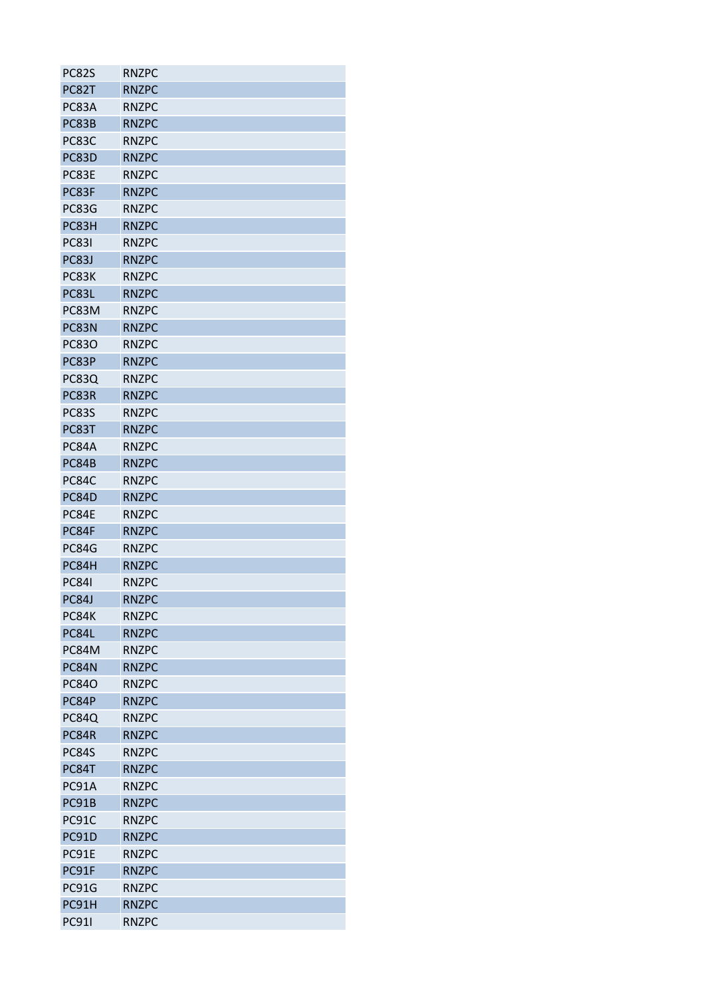| PC82S        | <b>RNZPC</b> |
|--------------|--------------|
| PC82T        | <b>RNZPC</b> |
| PC83A        | <b>RNZPC</b> |
| PC83B        | <b>RNZPC</b> |
| PC83C        | <b>RNZPC</b> |
| PC83D        | <b>RNZPC</b> |
| PC83E        | <b>RNZPC</b> |
| PC83F        | <b>RNZPC</b> |
| PC83G        | <b>RNZPC</b> |
| PC83H        | <b>RNZPC</b> |
| <b>PC831</b> | <b>RNZPC</b> |
| PC83J        | <b>RNZPC</b> |
| PC83K        | <b>RNZPC</b> |
| PC83L        | <b>RNZPC</b> |
| PC83M        | <b>RNZPC</b> |
| PC83N        | <b>RNZPC</b> |
| <b>PC830</b> | <b>RNZPC</b> |
| PC83P        | <b>RNZPC</b> |
| <b>PC83Q</b> | <b>RNZPC</b> |
| PC83R        | <b>RNZPC</b> |
| <b>PC83S</b> | <b>RNZPC</b> |
| PC83T        | <b>RNZPC</b> |
| PC84A        | <b>RNZPC</b> |
|              |              |
| PC84B        | <b>RNZPC</b> |
| PC84C        | <b>RNZPC</b> |
| PC84D        | <b>RNZPC</b> |
| PC84E        | <b>RNZPC</b> |
| PC84F        | <b>RNZPC</b> |
| PC84G        | <b>RNZPC</b> |
| PC84H        | <b>RNZPC</b> |
| <b>PC841</b> | <b>RNZPC</b> |
| PC84J        | <b>RNZPC</b> |
| PC84K        | <b>RNZPC</b> |
| PC84L        | <b>RNZPC</b> |
| PC84M        | <b>RNZPC</b> |
| PC84N        | <b>RNZPC</b> |
| <b>PC840</b> | <b>RNZPC</b> |
| PC84P        | <b>RNZPC</b> |
| <b>PC84Q</b> | <b>RNZPC</b> |
| PC84R        | <b>RNZPC</b> |
| <b>PC84S</b> | <b>RNZPC</b> |
| PC84T        | <b>RNZPC</b> |
| PC91A        | <b>RNZPC</b> |
| PC91B        | <b>RNZPC</b> |
| PC91C        | <b>RNZPC</b> |
| <b>PC91D</b> | <b>RNZPC</b> |
| PC91E        | <b>RNZPC</b> |
| PC91F        | <b>RNZPC</b> |
| PC91G        | <b>RNZPC</b> |
| PC91H        | <b>RNZPC</b> |
| <b>PC911</b> | <b>RNZPC</b> |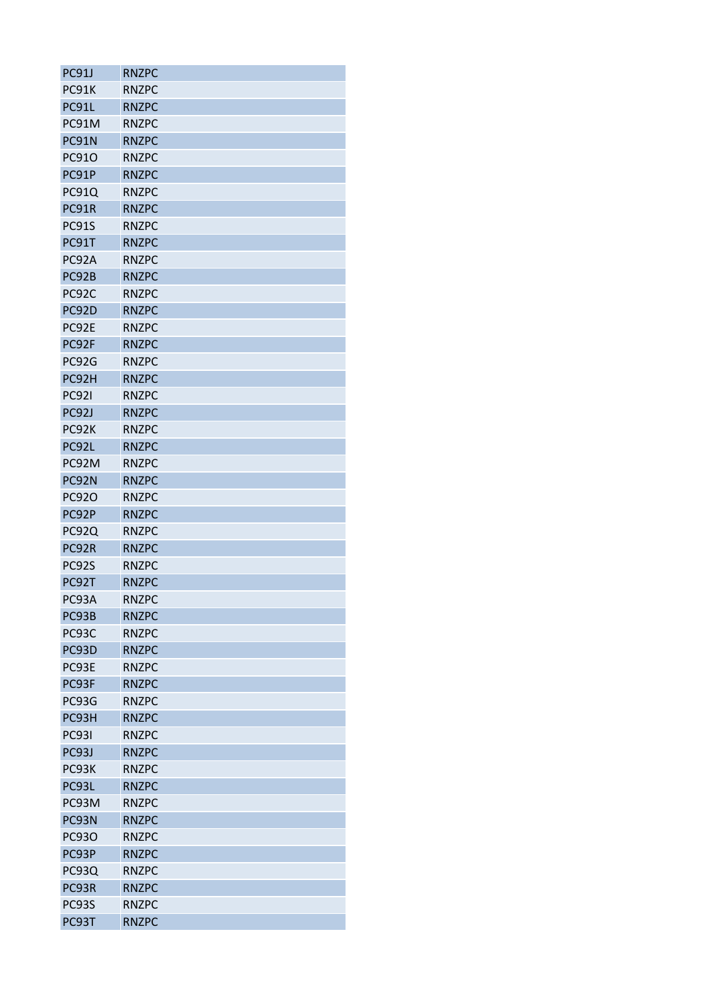| PC91J                 | <b>RNZPC</b> |
|-----------------------|--------------|
| PC91K                 | <b>RNZPC</b> |
| PC91L                 | <b>RNZPC</b> |
| PC91M                 | <b>RNZPC</b> |
| PC91N                 | <b>RNZPC</b> |
| PC91O                 | <b>RNZPC</b> |
| PC91P                 | <b>RNZPC</b> |
| <b>PC91Q</b>          | <b>RNZPC</b> |
| PC91R                 | <b>RNZPC</b> |
| PC91S                 | <b>RNZPC</b> |
| PC91T                 | <b>RNZPC</b> |
| PC92A                 | <b>RNZPC</b> |
| PC92B                 | <b>RNZPC</b> |
| PC92C                 | <b>RNZPC</b> |
| PC92D                 | <b>RNZPC</b> |
| PC92E                 | <b>RNZPC</b> |
| PC92F                 | <b>RNZPC</b> |
| PC92G                 | <b>RNZPC</b> |
| PC92H                 | <b>RNZPC</b> |
| <b>PC921</b>          | <b>RNZPC</b> |
| PC92J                 | <b>RNZPC</b> |
| PC92K                 | <b>RNZPC</b> |
| PC92L                 | <b>RNZPC</b> |
| PC92M                 | <b>RNZPC</b> |
|                       | <b>RNZPC</b> |
| PC92N                 |              |
| <b>PC920</b><br>PC92P | <b>RNZPC</b> |
|                       | <b>RNZPC</b> |
| PC92Q                 | <b>RNZPC</b> |
| PC92R                 | <b>RNZPC</b> |
| PC92S                 | <b>RNZPC</b> |
| PC92T                 | <b>RNZPC</b> |
| PC93A                 | <b>RNZPC</b> |
| PC93B                 | <b>RNZPC</b> |
| PC93C                 | <b>RNZPC</b> |
| PC93D                 | <b>RNZPC</b> |
| PC93E                 | <b>RNZPC</b> |
| PC93F                 | <b>RNZPC</b> |
| PC93G                 | <b>RNZPC</b> |
| PC93H                 | <b>RNZPC</b> |
| <b>PC931</b>          | <b>RNZPC</b> |
| PC93J                 | <b>RNZPC</b> |
| PC93K                 | <b>RNZPC</b> |
| PC93L                 | <b>RNZPC</b> |
| PC93M                 | <b>RNZPC</b> |
| PC93N                 | <b>RNZPC</b> |
| <b>PC930</b>          | <b>RNZPC</b> |
| PC93P                 | <b>RNZPC</b> |
| PC93Q                 | <b>RNZPC</b> |
| PC93R                 | <b>RNZPC</b> |
| PC93S                 | <b>RNZPC</b> |
| PC93T                 | <b>RNZPC</b> |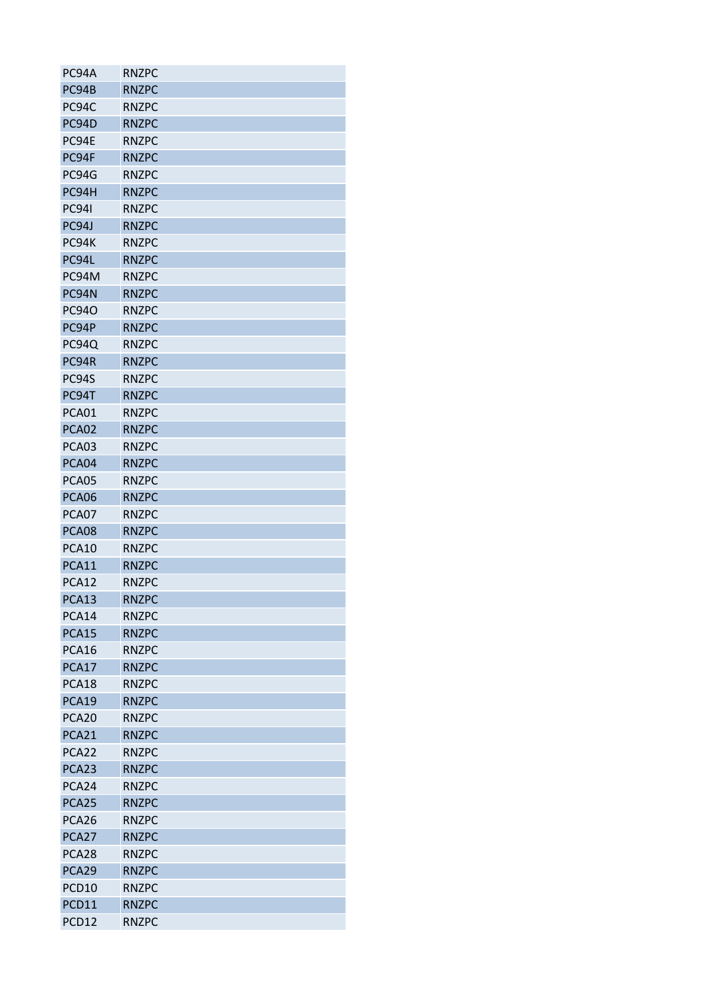| PC94A             | <b>RNZPC</b> |
|-------------------|--------------|
| PC94B             | <b>RNZPC</b> |
| PC94C             | <b>RNZPC</b> |
| PC94D             | <b>RNZPC</b> |
| PC94E             | <b>RNZPC</b> |
| PC94F             | <b>RNZPC</b> |
| PC94G             | <b>RNZPC</b> |
| PC94H             | <b>RNZPC</b> |
| <b>PC941</b>      | <b>RNZPC</b> |
| PC94J             | <b>RNZPC</b> |
| PC94K             | <b>RNZPC</b> |
| PC94L             | <b>RNZPC</b> |
| PC94M             | <b>RNZPC</b> |
| PC94N             | <b>RNZPC</b> |
| <b>PC940</b>      | <b>RNZPC</b> |
| PC94P             | <b>RNZPC</b> |
| PC94Q             | <b>RNZPC</b> |
| PC94R             | <b>RNZPC</b> |
| PC94S             | <b>RNZPC</b> |
| PC94T             | <b>RNZPC</b> |
| PCA01             | <b>RNZPC</b> |
| PCA02             | <b>RNZPC</b> |
| PCA03             | <b>RNZPC</b> |
| PCA04             | <b>RNZPC</b> |
| PCA05             | <b>RNZPC</b> |
| PCA06             | <b>RNZPC</b> |
| PCA07             | <b>RNZPC</b> |
| PCA08             | <b>RNZPC</b> |
| PCA10             | <b>RNZPC</b> |
| PCA11             | <b>RNZPC</b> |
| PCA12             | <b>RNZPC</b> |
| PCA13             | <b>RNZPC</b> |
| PCA14             | <b>RNZPC</b> |
| PCA15             | <b>RNZPC</b> |
| PCA16             | <b>RNZPC</b> |
| PCA17             | <b>RNZPC</b> |
| PCA18             | <b>RNZPC</b> |
| PCA19             | <b>RNZPC</b> |
| PCA <sub>20</sub> | <b>RNZPC</b> |
| PCA21             | <b>RNZPC</b> |
| PCA22             | <b>RNZPC</b> |
| PCA23             | <b>RNZPC</b> |
| PCA24             | <b>RNZPC</b> |
| PCA25             | <b>RNZPC</b> |
| PCA26             | <b>RNZPC</b> |
| PCA27             | <b>RNZPC</b> |
| PCA28             | <b>RNZPC</b> |
| PCA29             | <b>RNZPC</b> |
| PCD10             | <b>RNZPC</b> |
| PCD11             | <b>RNZPC</b> |
| PCD12             | <b>RNZPC</b> |
|                   |              |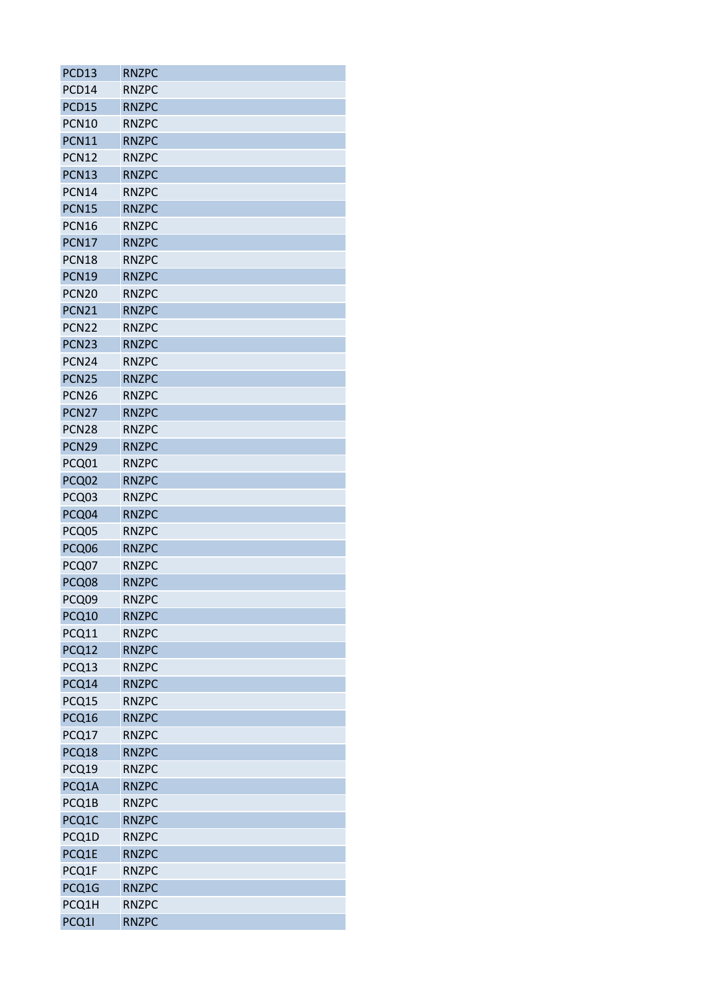| PCD13             | <b>RNZPC</b> |
|-------------------|--------------|
| PCD14             | <b>RNZPC</b> |
| PCD15             | <b>RNZPC</b> |
| <b>PCN10</b>      | <b>RNZPC</b> |
| <b>PCN11</b>      | <b>RNZPC</b> |
| <b>PCN12</b>      | <b>RNZPC</b> |
| PCN13             | <b>RNZPC</b> |
| PCN14             | <b>RNZPC</b> |
| <b>PCN15</b>      | <b>RNZPC</b> |
| PCN16             | <b>RNZPC</b> |
| PCN17             | <b>RNZPC</b> |
| PCN18             | <b>RNZPC</b> |
| <b>PCN19</b>      | <b>RNZPC</b> |
| <b>PCN20</b>      | <b>RNZPC</b> |
| PCN21             | <b>RNZPC</b> |
| PCN <sub>22</sub> | <b>RNZPC</b> |
| PCN <sub>23</sub> | <b>RNZPC</b> |
| PCN <sub>24</sub> | <b>RNZPC</b> |
| PCN <sub>25</sub> | <b>RNZPC</b> |
| PCN <sub>26</sub> | <b>RNZPC</b> |
| PCN <sub>27</sub> | <b>RNZPC</b> |
| PCN <sub>28</sub> | <b>RNZPC</b> |
| PCN29             | <b>RNZPC</b> |
|                   |              |
| PCQ01             | <b>RNZPC</b> |
| PCQ02             | <b>RNZPC</b> |
| PCQ03             | <b>RNZPC</b> |
| PCQ04             | <b>RNZPC</b> |
| PCQ05             | <b>RNZPC</b> |
| PCQ06             | <b>RNZPC</b> |
| PCQ07             | <b>RNZPC</b> |
| PCQ08             | <b>RNZPC</b> |
| PCQ09             | <b>RNZPC</b> |
| PCQ10             | <b>RNZPC</b> |
| PCQ11             | <b>RNZPC</b> |
| PCQ12             | <b>RNZPC</b> |
| PCQ13             | <b>RNZPC</b> |
| PCQ14             | <b>RNZPC</b> |
| PCQ15             | <b>RNZPC</b> |
| PCQ16             | <b>RNZPC</b> |
| PCQ17             | <b>RNZPC</b> |
| PCQ18             | <b>RNZPC</b> |
| PCQ19             | <b>RNZPC</b> |
| PCQ1A             | <b>RNZPC</b> |
| PCQ1B             | <b>RNZPC</b> |
| PCQ1C             | <b>RNZPC</b> |
| PCQ1D             | <b>RNZPC</b> |
| PCQ1E             | <b>RNZPC</b> |
| PCQ1F             | <b>RNZPC</b> |
| PCQ1G             | <b>RNZPC</b> |
| PCQ1H             | <b>RNZPC</b> |
| PCQ1I             | <b>RNZPC</b> |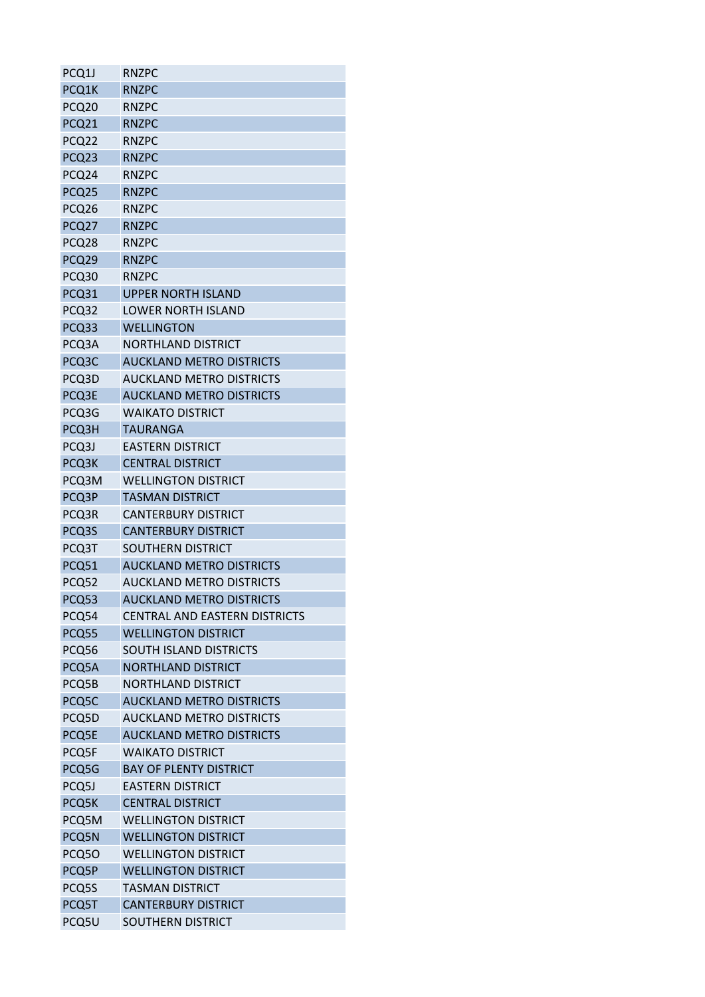| PCQ1J             | <b>RNZPC</b>                         |
|-------------------|--------------------------------------|
| PCQ1K             | <b>RNZPC</b>                         |
| PCQ20             | <b>RNZPC</b>                         |
| PCQ21             | <b>RNZPC</b>                         |
| PCQ22             | <b>RNZPC</b>                         |
| PCQ <sub>23</sub> | <b>RNZPC</b>                         |
| PCQ24             | <b>RNZPC</b>                         |
| PCQ25             | <b>RNZPC</b>                         |
| PCQ26             | <b>RNZPC</b>                         |
| PCQ27             | <b>RNZPC</b>                         |
| PCQ28             | <b>RNZPC</b>                         |
| PCQ29             | <b>RNZPC</b>                         |
| PCQ30             | <b>RNZPC</b>                         |
| PCQ31             | <b>UPPER NORTH ISLAND</b>            |
| PCQ32             | <b>LOWER NORTH ISLAND</b>            |
| PCQ33             | <b>WELLINGTON</b>                    |
| PCQ3A             | <b>NORTHLAND DISTRICT</b>            |
| PCQ3C             | <b>AUCKLAND METRO DISTRICTS</b>      |
| PCQ3D             | <b>AUCKLAND METRO DISTRICTS</b>      |
| PCQ3E             | <b>AUCKLAND METRO DISTRICTS</b>      |
| PCQ3G             | <b>WAIKATO DISTRICT</b>              |
| PCQ3H             | <b>TAURANGA</b>                      |
| PCQ3J             | <b>EASTERN DISTRICT</b>              |
| PCQ3K             | <b>CENTRAL DISTRICT</b>              |
| PCQ3M             | <b>WELLINGTON DISTRICT</b>           |
| PCQ3P             | <b>TASMAN DISTRICT</b>               |
| PCQ3R             | <b>CANTERBURY DISTRICT</b>           |
| PCQ3S             | <b>CANTERBURY DISTRICT</b>           |
| PCQ3T             | SOUTHERN DISTRICT                    |
| PCQ51             | <b>AUCKLAND METRO DISTRICTS</b>      |
| PCQ52             | <b>AUCKLAND METRO DISTRICTS</b>      |
| PCQ53             | <b>AUCKLAND METRO DISTRICTS</b>      |
| PCQ54             | <b>CENTRAL AND EASTERN DISTRICTS</b> |
| PCQ55             | <b>WELLINGTON DISTRICT</b>           |
| PCQ56             | <b>SOUTH ISLAND DISTRICTS</b>        |
| PCQ5A             | <b>NORTHLAND DISTRICT</b>            |
| PCQ5B             | <b>NORTHLAND DISTRICT</b>            |
| PCQ5C             | <b>AUCKLAND METRO DISTRICTS</b>      |
| PCQ5D             | <b>AUCKLAND METRO DISTRICTS</b>      |
| PCQ5E             | <b>AUCKLAND METRO DISTRICTS</b>      |
| PCQ5F             | <b>WAIKATO DISTRICT</b>              |
| PCQ5G             | <b>BAY OF PLENTY DISTRICT</b>        |
| PCQ5J             | <b>EASTERN DISTRICT</b>              |
| PCQ5K             | <b>CENTRAL DISTRICT</b>              |
| PCQ5M             | <b>WELLINGTON DISTRICT</b>           |
| PCQ5N             | <b>WELLINGTON DISTRICT</b>           |
| PCQ50             | <b>WELLINGTON DISTRICT</b>           |
| PCQ5P             | <b>WELLINGTON DISTRICT</b>           |
| PCQ5S             | <b>TASMAN DISTRICT</b>               |
| PCQ5T             | <b>CANTERBURY DISTRICT</b>           |
| PCQ5U             | SOUTHERN DISTRICT                    |
|                   |                                      |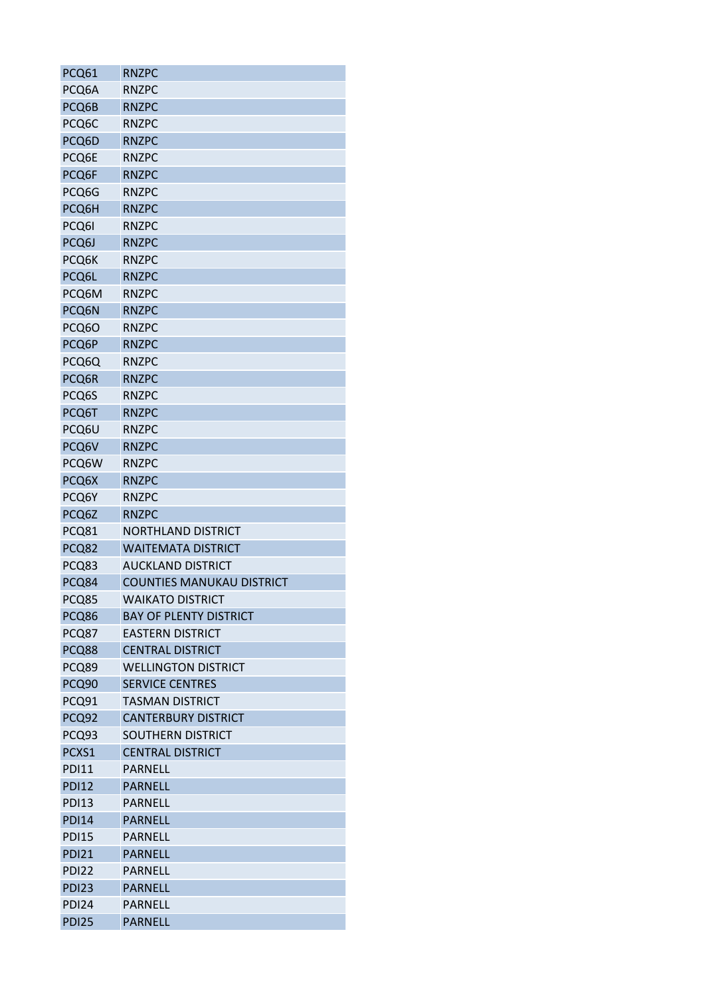| PCQ61        | <b>RNZPC</b>                     |
|--------------|----------------------------------|
| PCQ6A        | <b>RNZPC</b>                     |
| PCQ6B        | <b>RNZPC</b>                     |
| PCQ6C        | <b>RNZPC</b>                     |
| PCQ6D        | <b>RNZPC</b>                     |
| PCQ6E        | <b>RNZPC</b>                     |
| PCQ6F        | <b>RNZPC</b>                     |
| PCQ6G        | <b>RNZPC</b>                     |
| PCQ6H        | <b>RNZPC</b>                     |
| PCQ6I        | <b>RNZPC</b>                     |
| PCQ6J        | <b>RNZPC</b>                     |
| PCQ6K        | <b>RNZPC</b>                     |
| PCQ6L        | <b>RNZPC</b>                     |
| PCQ6M        | <b>RNZPC</b>                     |
| PCQ6N        | <b>RNZPC</b>                     |
| PCQ6O        | <b>RNZPC</b>                     |
| PCQ6P        | <b>RNZPC</b>                     |
| PCQ6Q        | <b>RNZPC</b>                     |
| PCQ6R        | <b>RNZPC</b>                     |
| PCQ6S        | <b>RNZPC</b>                     |
| PCQ6T        | <b>RNZPC</b>                     |
| PCQ6U        | <b>RNZPC</b>                     |
| PCQ6V        | <b>RNZPC</b>                     |
| PCQ6W        | <b>RNZPC</b>                     |
| PCQ6X        | <b>RNZPC</b>                     |
| PCQ6Y        | <b>RNZPC</b>                     |
| PCQ6Z        | <b>RNZPC</b>                     |
| PCQ81        | <b>NORTHLAND DISTRICT</b>        |
| PCQ82        | <b>WAITEMATA DISTRICT</b>        |
| PCQ83        | <b>AUCKLAND DISTRICT</b>         |
| PCQ84        | <b>COUNTIES MANUKAU DISTRICT</b> |
| PCQ85        | <b>WAIKATO DISTRICT</b>          |
| PCQ86        | <b>BAY OF PLENTY DISTRICT</b>    |
| PCQ87        | <b>EASTERN DISTRICT</b>          |
| PCQ88        | <b>CENTRAL DISTRICT</b>          |
| PCQ89        | <b>WELLINGTON DISTRICT</b>       |
| PCQ90        | <b>SERVICE CENTRES</b>           |
| PCQ91        | <b>TASMAN DISTRICT</b>           |
| PCQ92        | <b>CANTERBURY DISTRICT</b>       |
| PCQ93        | <b>SOUTHERN DISTRICT</b>         |
| PCXS1        | <b>CENTRAL DISTRICT</b>          |
| <b>PDI11</b> | <b>PARNELL</b>                   |
| <b>PDI12</b> | <b>PARNELL</b>                   |
|              |                                  |
| <b>PDI13</b> | <b>PARNELL</b>                   |
| <b>PDI14</b> | <b>PARNELL</b>                   |
| <b>PDI15</b> | <b>PARNELL</b>                   |
| <b>PDI21</b> | <b>PARNELL</b>                   |
| <b>PDI22</b> | <b>PARNELL</b>                   |
| <b>PDI23</b> | <b>PARNELL</b>                   |
| <b>PDI24</b> | <b>PARNELL</b>                   |
| <b>PDI25</b> | <b>PARNELL</b>                   |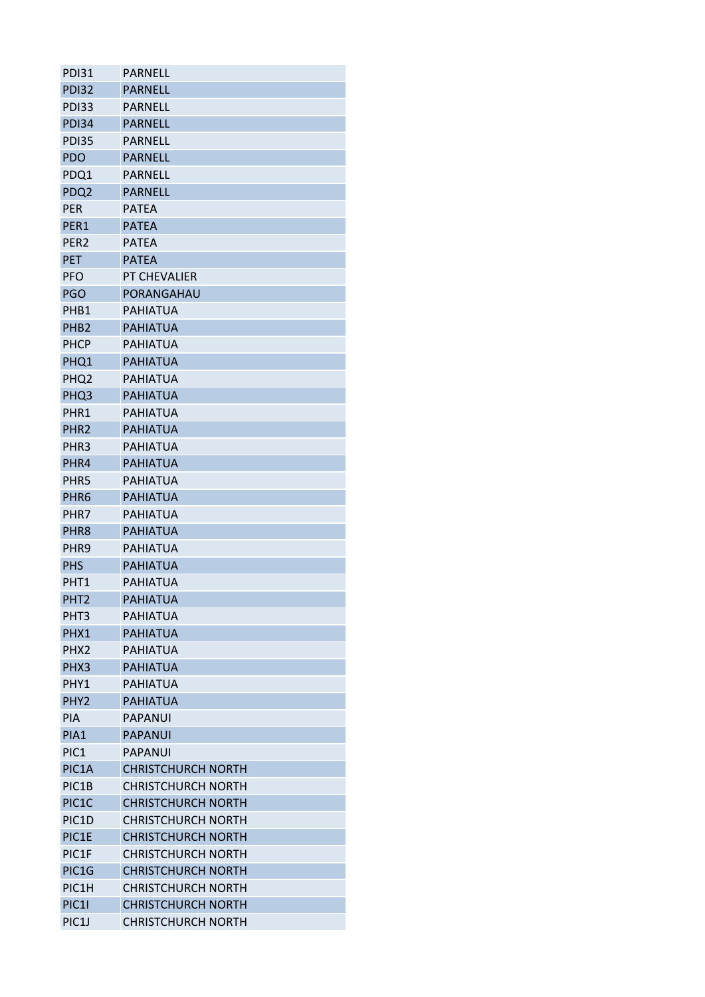| PDI31              | <b>PARNELL</b>            |
|--------------------|---------------------------|
| <b>PDI32</b>       | <b>PARNELL</b>            |
| <b>PDI33</b>       | <b>PARNELL</b>            |
| <b>PDI34</b>       | <b>PARNELL</b>            |
| <b>PDI35</b>       | PARNFLL                   |
| <b>PDO</b>         | <b>PARNELL</b>            |
| PDQ1               | PARNELL                   |
| PDQ <sub>2</sub>   | <b>PARNELL</b>            |
| <b>PER</b>         | <b>PATEA</b>              |
| PER1               | <b>PATEA</b>              |
| PER <sub>2</sub>   | <b>PATEA</b>              |
| <b>PET</b>         | <b>PATEA</b>              |
| <b>PFO</b>         | PT CHEVALIER              |
| <b>PGO</b>         | PORANGAHAU                |
| PHB1               | <b>PAHIATUA</b>           |
| PHB <sub>2</sub>   | <b>PAHIATUA</b>           |
| <b>PHCP</b>        | PAHIATUA                  |
| PHQ1               | <b>PAHIATUA</b>           |
| PHQ <sub>2</sub>   | <b>PAHIATUA</b>           |
| PHQ3               | <b>PAHIATUA</b>           |
| PHR1               | PAHIATUA                  |
| PHR <sub>2</sub>   | <b>PAHIATUA</b>           |
| PHR3               | PAHIATUA                  |
| PHR4               | <b>PAHIATUA</b>           |
| PHR5               | PAHIATUA                  |
| PHR <sub>6</sub>   | <b>PAHIATUA</b>           |
| PHR7               | <b>PAHIATUA</b>           |
| PHR <sub>8</sub>   | <b>PAHIATUA</b>           |
| PHR <sub>9</sub>   | <b>PAHIATUA</b>           |
| <b>PHS</b>         | <b>PAHIATUA</b>           |
| PHT <sub>1</sub>   | PAHIATUA                  |
| PHT <sub>2</sub>   | <b>PAHIATUA</b>           |
| PHT <sub>3</sub>   | PAHIATUA                  |
| PHX1               | <b>PAHIATUA</b>           |
| PHX2               | <b>PAHIATUA</b>           |
| PHX3               | <b>PAHIATUA</b>           |
| PHY1               | <b>PAHIATUA</b>           |
| PHY <sub>2</sub>   | <b>PAHIATUA</b>           |
| <b>PIA</b>         | PAPANUI                   |
| PIA1               | <b>PAPANUI</b>            |
| PIC1               | PAPANUI                   |
| PIC1A              | <b>CHRISTCHURCH NORTH</b> |
| PIC1B              | <b>CHRISTCHURCH NORTH</b> |
| PIC1C              | <b>CHRISTCHURCH NORTH</b> |
| PIC <sub>1</sub> D | <b>CHRISTCHURCH NORTH</b> |
| PIC1E              | <b>CHRISTCHURCH NORTH</b> |
| PIC1F              | <b>CHRISTCHURCH NORTH</b> |
| PIC1G              | <b>CHRISTCHURCH NORTH</b> |
| PIC1H              | <b>CHRISTCHURCH NORTH</b> |
| <b>PIC11</b>       | <b>CHRISTCHURCH NORTH</b> |
| PIC1J              | <b>CHRISTCHURCH NORTH</b> |
|                    |                           |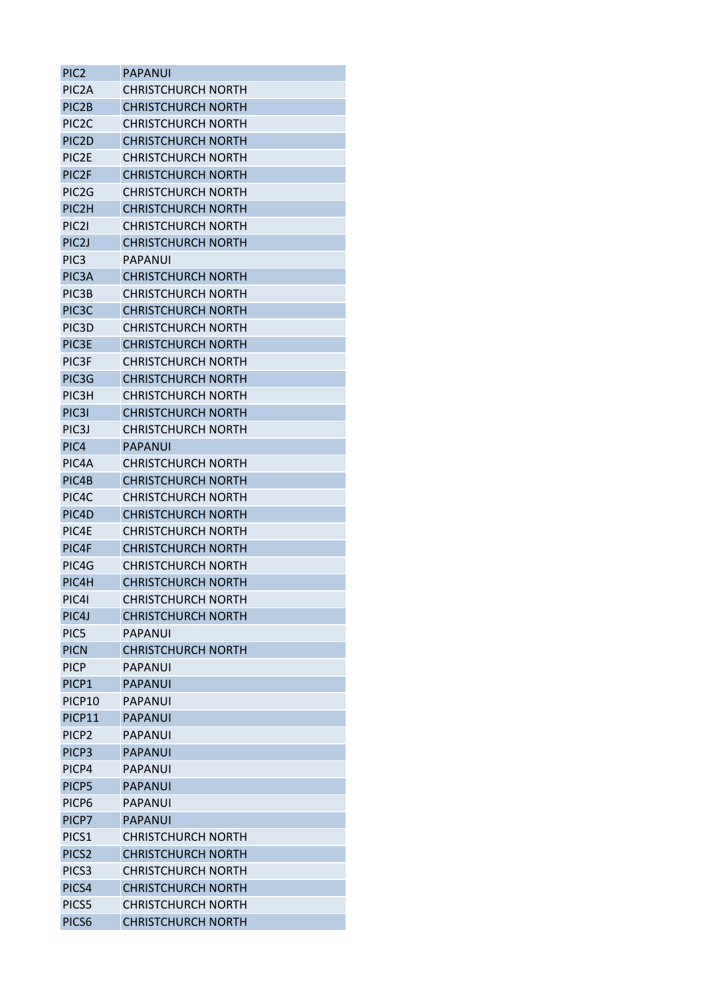| PIC <sub>2</sub>   | PAPANUI                   |
|--------------------|---------------------------|
| PIC <sub>2</sub> A | <b>CHRISTCHURCH NORTH</b> |
| PIC <sub>2</sub> B | <b>CHRISTCHURCH NORTH</b> |
| PIC <sub>2</sub> C | <b>CHRISTCHURCH NORTH</b> |
| PIC <sub>2</sub> D | <b>CHRISTCHURCH NORTH</b> |
| PIC2E              | <b>CHRISTCHURCH NORTH</b> |
| PIC <sub>2F</sub>  | <b>CHRISTCHURCH NORTH</b> |
| PIC <sub>2</sub> G | CHRISTCHURCH NORTH        |
| PIC2H              | <b>CHRISTCHURCH NORTH</b> |
| PIC <sub>21</sub>  | CHRISTCHURCH NORTH        |
| PIC <sub>2</sub> J | <b>CHRISTCHURCH NORTH</b> |
| PIC <sub>3</sub>   | <b>PAPANUI</b>            |
| PIC <sub>3</sub> A | <b>CHRISTCHURCH NORTH</b> |
| PIC <sub>3</sub> B | <b>CHRISTCHURCH NORTH</b> |
| PIC <sub>3</sub> C | <b>CHRISTCHURCH NORTH</b> |
| PIC <sub>3</sub> D | <b>CHRISTCHURCH NORTH</b> |
| PIC3E              | CHRISTCHURCH NORTH        |
| PIC <sub>3F</sub>  | <b>CHRISTCHURCH NORTH</b> |
|                    | <b>CHRISTCHURCH NORTH</b> |
| PIC3G              |                           |
| PIC <sub>3</sub> H | <b>CHRISTCHURCH NORTH</b> |
| PIC3I              | <b>CHRISTCHURCH NORTH</b> |
| PIC <sub>3</sub> J | <b>CHRISTCHURCH NORTH</b> |
| PIC4               | PAPANUI                   |
| PIC <sub>4</sub> A | CHRISTCHURCH NORTH        |
| PIC4B              | <b>CHRISTCHURCH NORTH</b> |
| PIC <sub>4</sub> C | CHRISTCHURCH NORTH        |
| PIC4D              | <b>CHRISTCHURCH NORTH</b> |
| PIC4E              | <b>CHRISTCHURCH NORTH</b> |
| PIC4F              | <b>CHRISTCHURCH NORTH</b> |
| PIC4G              | <b>CHRISTCHURCH NORTH</b> |
| PIC4H              | <b>CHRISTCHURCH NORTH</b> |
| PIC41              | <b>CHRISTCHURCH NORTH</b> |
| PIC <sub>4</sub> J | <b>CHRISTCHURCH NORTH</b> |
| PIC5               | <b>PAPANUI</b>            |
| <b>PICN</b>        | <b>CHRISTCHURCH NORTH</b> |
| <b>PICP</b>        | PAPANUI                   |
| PICP1              | <b>PAPANUI</b>            |
| PICP10             | <b>PAPANUI</b>            |
| PICP11             | <b>PAPANUI</b>            |
| PICP <sub>2</sub>  | PAPANUI                   |
| PICP3              | <b>PAPANUI</b>            |
| PICP4              | <b>PAPANUI</b>            |
| PICP5              | <b>PAPANUI</b>            |
| PICP6              | PAPANUI                   |
| PICP7              | <b>PAPANUI</b>            |
| PICS <sub>1</sub>  | <b>CHRISTCHURCH NORTH</b> |
| PICS <sub>2</sub>  | <b>CHRISTCHURCH NORTH</b> |
| PICS <sub>3</sub>  | <b>CHRISTCHURCH NORTH</b> |
| PICS4              | <b>CHRISTCHURCH NORTH</b> |
| PICS5              | <b>CHRISTCHURCH NORTH</b> |
| PICS6              | <b>CHRISTCHURCH NORTH</b> |
|                    |                           |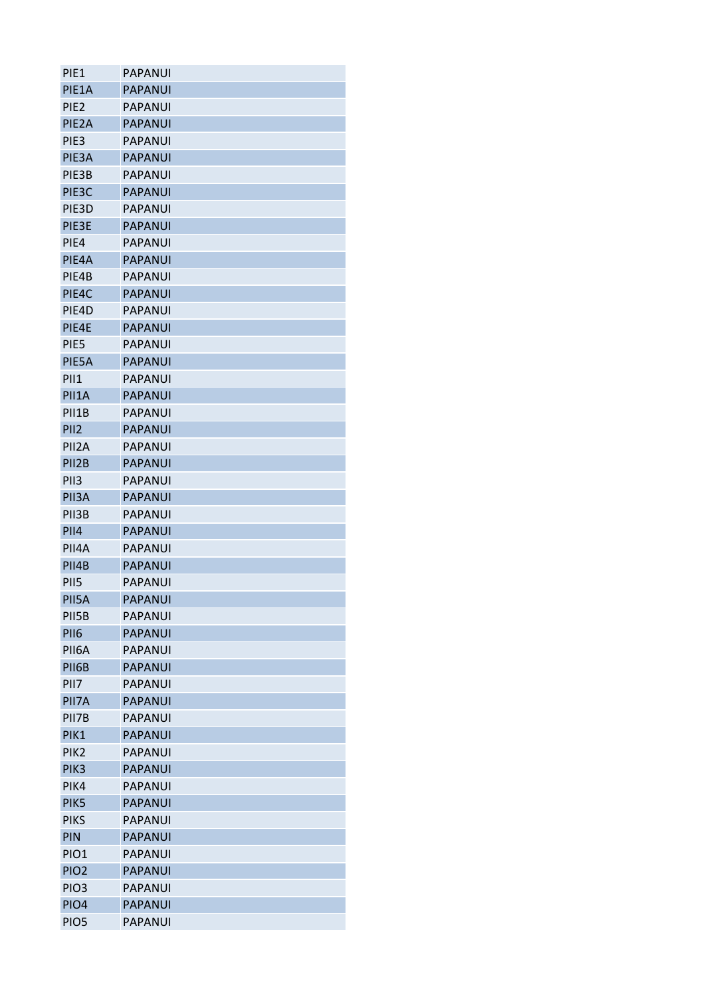| PIE1               | PAPANUI        |
|--------------------|----------------|
| PIE1A              | <b>PAPANUI</b> |
| PIE <sub>2</sub>   | PAPANUI        |
| PIE <sub>2</sub> A | <b>PAPANUI</b> |
| PIE <sub>3</sub>   | <b>PAPANUI</b> |
| PIE <sub>3</sub> A | <b>PAPANUI</b> |
| PIE3B              | PAPANUI        |
| PIE <sub>3</sub> C | <b>PAPANUI</b> |
| PIE <sub>3</sub> D | <b>PAPANUI</b> |
| PIE3E              | <b>PAPANUI</b> |
| PIE4               | <b>PAPANUI</b> |
| PIE <sub>4</sub> A | <b>PAPANUI</b> |
| PIE4B              | <b>PAPANUI</b> |
| PIE <sub>4</sub> C | <b>PAPANUI</b> |
| PIE4D              | <b>PAPANUI</b> |
| PIE4E              | <b>PAPANUI</b> |
| PIE5               | PAPANUI        |
| PIE5A              | <b>PAPANUI</b> |
| PII1               | PAPANUI        |
| PII1A              | <b>PAPANUI</b> |
| PII1B              | PAPANUI        |
| PII <sub>2</sub>   | <b>PAPANUI</b> |
| PII2A              | PAPANUI        |
| PII <sub>2</sub> B | <b>PAPANUI</b> |
| PII <sub>3</sub>   | PAPANUI        |
| PII3A              | <b>PAPANUI</b> |
| PII3B              | <b>PAPANUI</b> |
| <b>PII4</b>        | <b>PAPANUI</b> |
| PII4A              | <b>PAPANUI</b> |
| PII4B              | <b>PAPANUI</b> |
| PII5               | PAPANUI        |
| PII5A              | <b>PAPANUI</b> |
| PII5B              | PAPANUI        |
| PII6               | <b>PAPANUI</b> |
| PII6A              | PAPANUI        |
| PII6B              | <b>PAPANUI</b> |
| PII7               | <b>PAPANUI</b> |
| PII7A              | <b>PAPANUI</b> |
| PII7B              | <b>PAPANUI</b> |
| PIK1               | <b>PAPANUI</b> |
| PIK <sub>2</sub>   | <b>PAPANUI</b> |
| PIK <sub>3</sub>   | <b>PAPANUI</b> |
|                    |                |
| PIK4               | PAPANUI        |
| PIK5               | <b>PAPANUI</b> |
| <b>PIKS</b>        | <b>PAPANUI</b> |
| <b>PIN</b>         | <b>PAPANUI</b> |
| PIO <sub>1</sub>   | PAPANUI        |
| PIO <sub>2</sub>   | <b>PAPANUI</b> |
| PIO <sub>3</sub>   | <b>PAPANUI</b> |
| PIO <sub>4</sub>   | <b>PAPANUI</b> |
| PIO <sub>5</sub>   | <b>PAPANUI</b> |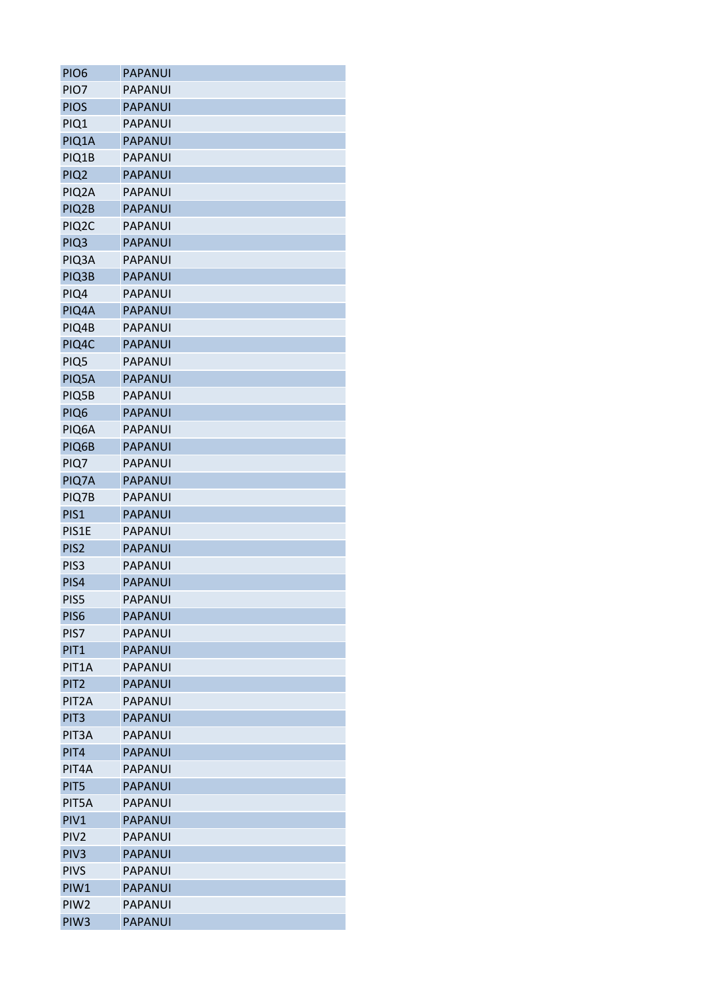| PIO <sub>6</sub>   | <b>PAPANUI</b> |
|--------------------|----------------|
| PIO7               | PAPANUI        |
| <b>PIOS</b>        | <b>PAPANUI</b> |
| PIQ1               | <b>PAPANUI</b> |
| PIQ1A              | <b>PAPANUI</b> |
| PIQ1B              | PAPANUI        |
| PIQ <sub>2</sub>   | <b>PAPANUI</b> |
| PIQ <sub>2</sub> A | <b>PAPANUI</b> |
| PIQ2B              | <b>PAPANUI</b> |
| PIQ <sub>2</sub> C | <b>PAPANUI</b> |
| PIQ <sub>3</sub>   | <b>PAPANUI</b> |
| PIQ3A              | PAPANUI        |
| PIQ3B              | <b>PAPANUI</b> |
| PIQ4               | <b>PAPANUI</b> |
| PIQ4A              | <b>PAPANUI</b> |
| PIQ4B              | PAPANUI        |
| PIQ4C              | <b>PAPANUI</b> |
| PIQ5               | PAPANUI        |
| PIQ5A              | <b>PAPANUI</b> |
| PIQ5B              | <b>PAPANUI</b> |
| PIQ <sub>6</sub>   | <b>PAPANUI</b> |
| PIQ6A              | PAPANUI        |
| PIQ6B              | <b>PAPANUI</b> |
| PIQ7               | <b>PAPANUI</b> |
| PIQ7A              | <b>PAPANUI</b> |
| PIQ7B              | PAPANUI        |
| PIS1               | <b>PAPANUI</b> |
| PIS1E              | <b>PAPANUI</b> |
| PIS <sub>2</sub>   | <b>PAPANUI</b> |
| PIS <sub>3</sub>   | PAPANUI        |
| PIS4               | <b>PAPANUI</b> |
| PIS5               | PAPANUI        |
| PIS <sub>6</sub>   | <b>PAPANUI</b> |
| PIS7               | <b>PAPANUI</b> |
| PIT <sub>1</sub>   | <b>PAPANUI</b> |
| PIT <sub>1</sub> A | <b>PAPANUI</b> |
| PIT <sub>2</sub>   | <b>PAPANUI</b> |
| PIT <sub>2</sub> A | <b>PAPANUI</b> |
| PIT <sub>3</sub>   | <b>PAPANUI</b> |
| PIT <sub>3</sub> A | PAPANUI        |
| PIT4               | <b>PAPANUI</b> |
| PIT4A              | <b>PAPANUI</b> |
|                    |                |
| PIT5               | <b>PAPANUI</b> |
| PIT5A              | <b>PAPANUI</b> |
| PIV <sub>1</sub>   | <b>PAPANUI</b> |
| PIV <sub>2</sub>   | <b>PAPANUI</b> |
| PIV <sub>3</sub>   | <b>PAPANUI</b> |
| <b>PIVS</b>        | PAPANUI        |
| PIW1               | <b>PAPANUI</b> |
| PIW <sub>2</sub>   | <b>PAPANUI</b> |
| PIW <sub>3</sub>   | <b>PAPANUI</b> |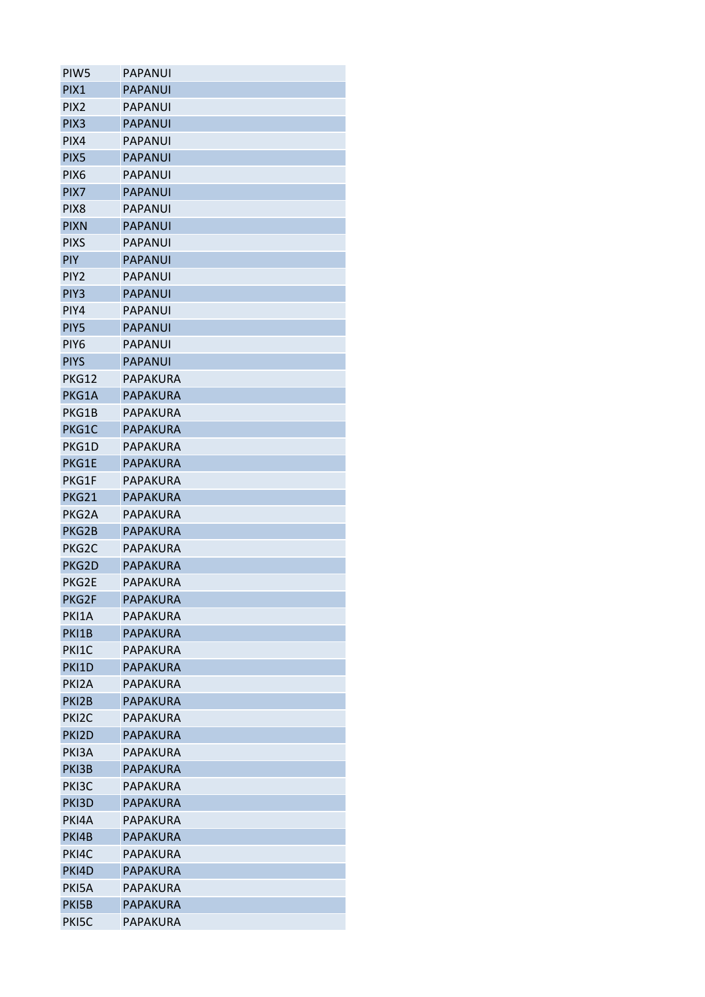| PIW <sub>5</sub>   | PAPANUI         |
|--------------------|-----------------|
| PIX1               | <b>PAPANUI</b>  |
| PIX <sub>2</sub>   | <b>PAPANUI</b>  |
| PIX <sub>3</sub>   | <b>PAPANUI</b>  |
| PIX4               | <b>PAPANUI</b>  |
| PIX <sub>5</sub>   | <b>PAPANUI</b>  |
| PIX6               | PAPANUI         |
| PIX7               | <b>PAPANUI</b>  |
| PIX <sub>8</sub>   | PAPANUI         |
| <b>PIXN</b>        | <b>PAPANUI</b>  |
| <b>PIXS</b>        | <b>PAPANUI</b>  |
| <b>PIY</b>         | PAPANUI         |
| PIY <sub>2</sub>   | <b>PAPANUI</b>  |
| PIY <sub>3</sub>   | <b>PAPANUI</b>  |
| PIY4               | <b>PAPANUI</b>  |
| PIY5               | <b>PAPANUI</b>  |
| PIY <sub>6</sub>   | <b>PAPANUI</b>  |
| <b>PIYS</b>        | <b>PAPANUI</b>  |
| PKG12              | PAPAKURA        |
| PKG1A              | <b>PAPAKURA</b> |
| PKG1B              | PAPAKURA        |
| PKG1C              | PAPAKURA        |
| PKG1D              | PAPAKURA        |
| PKG1E              | <b>PAPAKURA</b> |
| PKG1F              | PAPAKURA        |
| <b>PKG21</b>       | <b>PAPAKURA</b> |
| PKG2A              | PAPAKURA        |
| PKG2B              | <b>PAPAKURA</b> |
| PKG <sub>2</sub> C | PAPAKURA        |
| PKG2D              | <b>PAPAKURA</b> |
| PKG2E              | PAPAKURA        |
| PKG2F              | <b>PAPAKURA</b> |
| PKI1A              | PAPAKURA        |
| PKI1B              | <b>PAPAKURA</b> |
| PKI1C              | PAPAKURA        |
| PKI1D              | <b>PAPAKURA</b> |
| PKI2A              | <b>PAPAKURA</b> |
| PKI2B              | <b>PAPAKURA</b> |
| PKI <sub>2</sub> C | <b>PAPAKURA</b> |
| PKI <sub>2</sub> D | <b>PAPAKURA</b> |
| PKI3A              | PAPAKURA        |
| PKI3B              | <b>PAPAKURA</b> |
|                    |                 |
| PKI3C              | PAPAKURA        |
| PKI3D              | <b>PAPAKURA</b> |
| PKI4A              | PAPAKURA        |
| PKI4B              | <b>PAPAKURA</b> |
| PKI4C              | PAPAKURA        |
| PKI4D              | <b>PAPAKURA</b> |
| PKI5A              | PAPAKURA        |
| PKI5B              | <b>PAPAKURA</b> |
| PKI5C              | PAPAKURA        |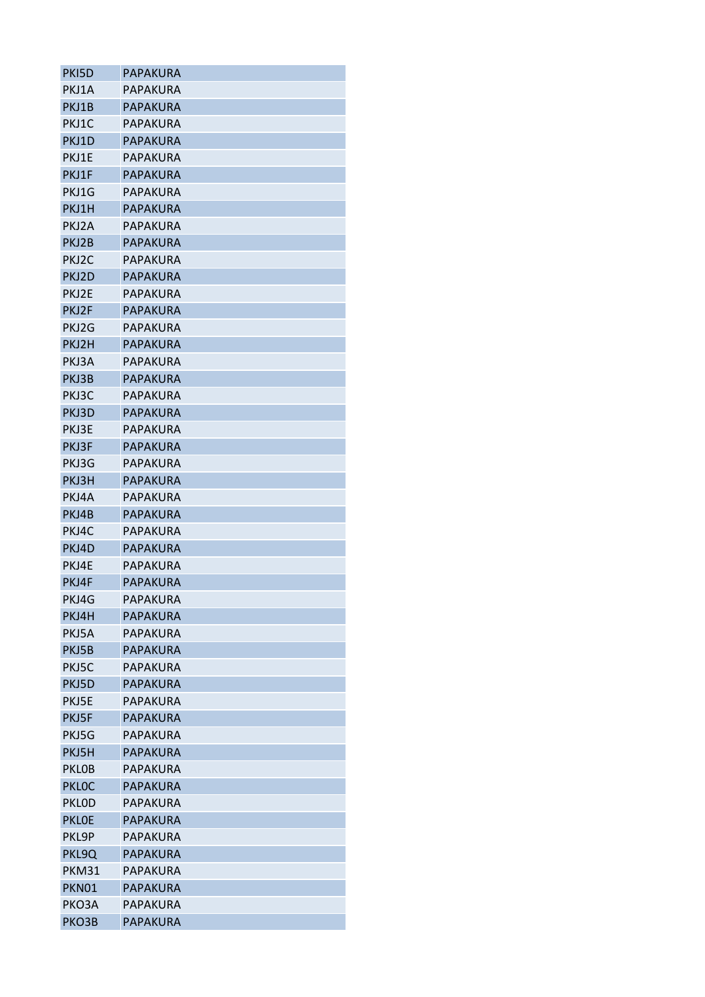| PKI5D        | PAPAKURA        |
|--------------|-----------------|
| PKJ1A        | PAPAKURA        |
| PKJ1B        | <b>PAPAKURA</b> |
| PKJ1C        | PAPAKURA        |
| PKJ1D        | <b>PAPAKURA</b> |
| PKJ1E        | PAPAKURA        |
| PKJ1F        | <b>PAPAKURA</b> |
| PKJ1G        | <b>PAPAKURA</b> |
| PKJ1H        | <b>PAPAKURA</b> |
| PKJ2A        | PAPAKURA        |
| PKJ2B        | <b>PAPAKURA</b> |
| PKJ2C        | PAPAKURA        |
| PKJ2D        | <b>PAPAKURA</b> |
| PKJ2E        | PAPAKURA        |
| PKJ2F        | <b>PAPAKURA</b> |
| PKJ2G        | PAPAKURA        |
| PKJ2H        | <b>PAPAKURA</b> |
| PKJ3A        | PAPAKURA        |
| PKJ3B        | <b>PAPAKURA</b> |
| PKJ3C        | PAPAKURA        |
| PKJ3D        | <b>PAPAKURA</b> |
| PKJ3E        | PAPAKURA        |
| PKJ3F        | <b>PAPAKURA</b> |
| PKJ3G        | PAPAKURA        |
| PKJ3H        | <b>PAPAKURA</b> |
| PKJ4A        | PAPAKURA        |
| PKJ4B        | <b>PAPAKURA</b> |
| PKJ4C        | PAPAKURA        |
| PKJ4D        | <b>PAPAKURA</b> |
| PKJ4E        | PAPAKURA        |
| PKJ4F        | PAPAKURA        |
| PKJ4G        | <b>PAPAKURA</b> |
| PKJ4H        | <b>PAPAKURA</b> |
| PKJ5A        | PAPAKURA        |
| PKJ5B        | PAPAKURA        |
| PKJ5C        | PAPAKURA        |
| PKJ5D        | <b>PAPAKURA</b> |
| PKJ5E        | PAPAKURA        |
| PKJ5F        | <b>PAPAKURA</b> |
| PKJ5G        | PAPAKURA        |
| PKJ5H        | <b>PAPAKURA</b> |
| <b>PKLOB</b> | PAPAKURA        |
|              |                 |
| <b>PKLOC</b> | <b>PAPAKURA</b> |
| <b>PKLOD</b> | PAPAKURA        |
| <b>PKLOE</b> | <b>PAPAKURA</b> |
| PKL9P        | PAPAKURA        |
| PKL9Q        | <b>PAPAKURA</b> |
| <b>PKM31</b> | PAPAKURA        |
| PKN01        | <b>PAPAKURA</b> |
| PKO3A        | PAPAKURA        |
| PKO3B        | <b>PAPAKURA</b> |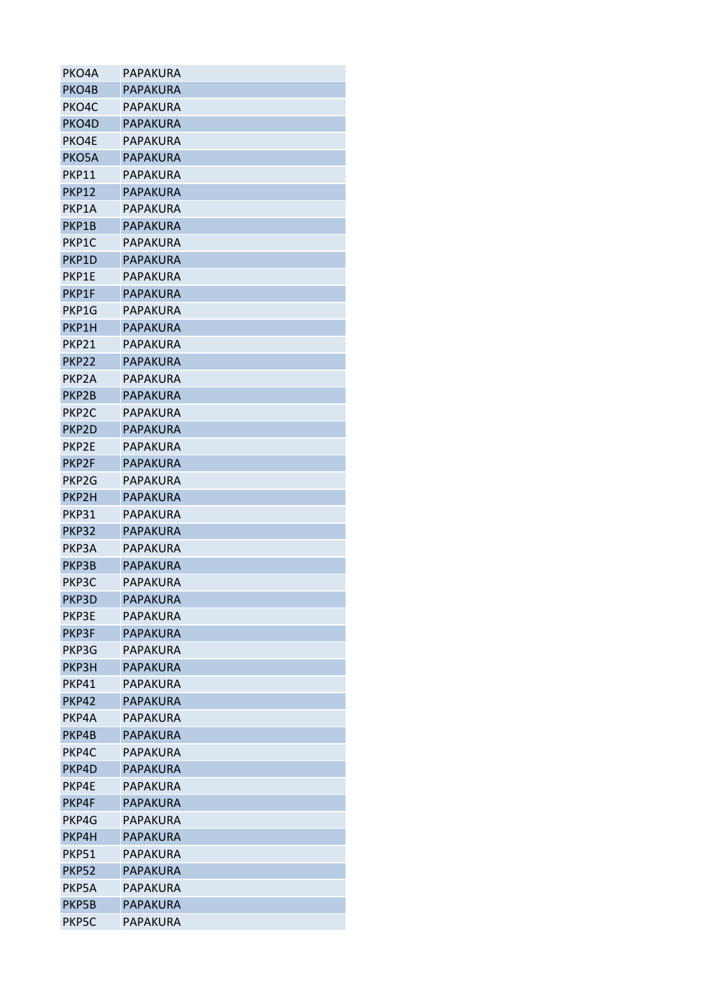| PKO4A              | PAPAKURA        |
|--------------------|-----------------|
| PKO4B              | <b>PAPAKURA</b> |
| PKO <sub>4</sub> C | PAPAKURA        |
| PKO4D              | <b>PAPAKURA</b> |
| PKO4E              | PAPAKURA        |
| PKO5A              | <b>PAPAKURA</b> |
| PKP11              | PAPAKURA        |
| PKP12              | <b>PAPAKURA</b> |
| PKP1A              | PAPAKURA        |
| PKP1B              | <b>PAPAKURA</b> |
| PKP1C              | PAPAKURA        |
| PKP1D              | PAPAKURA        |
| PKP1E              | PAPAKURA        |
| PKP1F              | <b>PAPAKURA</b> |
| PKP1G              | PAPAKURA        |
| PKP1H              | <b>PAPAKURA</b> |
| PKP21              | PAPAKURA        |
| PKP22              | <b>PAPAKURA</b> |
| PKP <sub>2</sub> A | PAPAKURA        |
| PKP2B              | <b>PAPAKURA</b> |
| PKP <sub>2</sub> C | PAPAKURA        |
| PKP2D              | <b>PAPAKURA</b> |
| PKP2E              | PAPAKURA        |
| PKP2F              | <b>PAPAKURA</b> |
| PKP <sub>2G</sub>  | PAPAKURA        |
| PKP2H              | <b>PAPAKURA</b> |
| PKP31              | PAPAKURA        |
| <b>PKP32</b>       | PAPAKURA        |
| PKP3A              | PAPAKURA        |
| PKP3B              | <b>PAPAKURA</b> |
| PKP3C              | PAPAKURA        |
| PKP3D              | <b>PAPAKURA</b> |
| <b>PKP3E</b>       | PAPAKURA        |
| PKP3F              | <b>PAPAKURA</b> |
| PKP3G              | PAPAKURA        |
| PKP3H              | PAPAKURA        |
| PKP41              | PAPAKURA        |
| <b>PKP42</b>       | <b>PAPAKURA</b> |
| PKP4A              | <b>PAPAKURA</b> |
| PKP4B              | PAPAKURA        |
| PKP4C              | PAPAKURA        |
| PKP4D              | <b>PAPAKURA</b> |
| PKP4E              | PAPAKURA        |
| PKP4F              | <b>PAPAKURA</b> |
| PKP4G              | PAPAKURA        |
| PKP4H              | PAPAKURA        |
| <b>PKP51</b>       | PAPAKURA        |
| <b>PKP52</b>       | <b>PAPAKURA</b> |
| PKP5A              | PAPAKURA        |
| PKP5B              | <b>PAPAKURA</b> |
| PKP5C              | PAPAKURA        |
|                    |                 |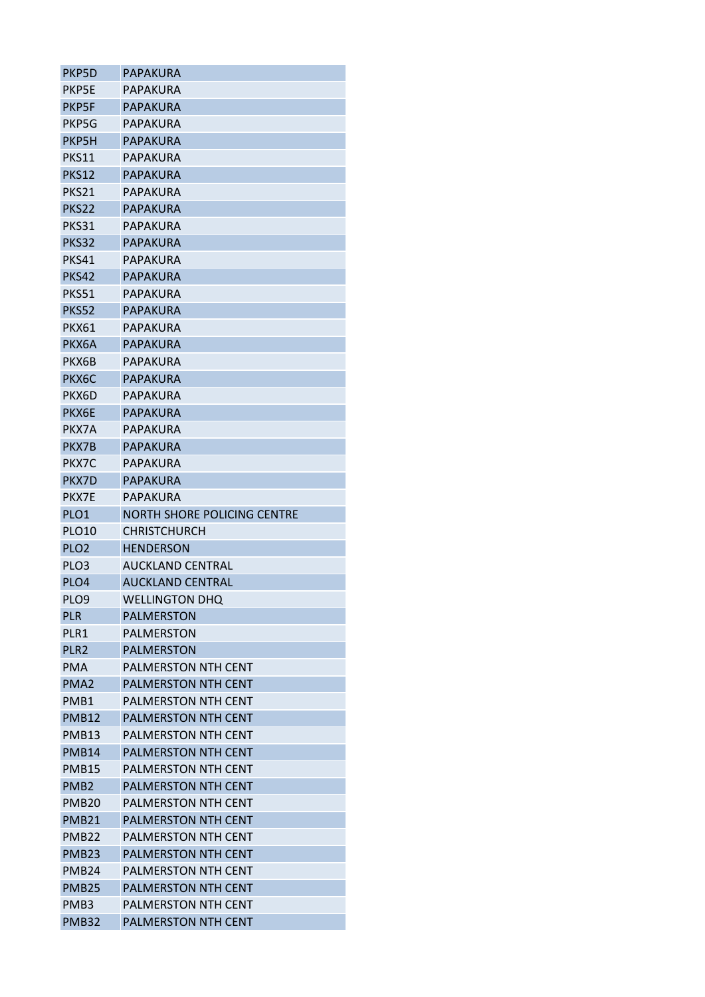| PKP5D             | PAPAKURA                    |
|-------------------|-----------------------------|
| PKP5E             | PAPAKURA                    |
| <b>PKP5F</b>      | PAPAKURA                    |
| PKP5G             | PAPAKURA                    |
| PKP5H             | PAPAKURA                    |
| PKS11             | PAPAKURA                    |
| <b>PKS12</b>      | PAPAKURA                    |
| PKS21             | PAPAKURA                    |
| PKS22             | PAPAKURA                    |
| PKS31             | PAPAKURA                    |
| PKS32             | PAPAKURA                    |
| PKS41             | PAPAKURA                    |
| <b>PKS42</b>      | PAPAKURA                    |
| PKS51             | PAPAKURA                    |
| <b>PKS52</b>      | PAPAKURA                    |
| <b>PKX61</b>      | PAPAKURA                    |
| PKX6A             | PAPAKURA                    |
| <b>PKX6B</b>      | PAPAKURA                    |
| PKX6C             | PAPAKURA                    |
| PKX6D             | PAPAKURA                    |
| PKX6E             | PAPAKURA                    |
| PKX7A             | PAPAKURA                    |
| PKX7B             | PAPAKURA                    |
| PKX7C             | PAPAKURA                    |
| PKX7D             | PAPAKURA                    |
| PKX7E             | <b>PAPAKURA</b>             |
| PLO <sub>1</sub>  | NORTH SHORE POLICING CENTRE |
| PLO10             | <b>CHRISTCHURCH</b>         |
| PLO <sub>2</sub>  | <b>HENDERSON</b>            |
| PLO <sub>3</sub>  | <b>AUCKLAND CENTRAL</b>     |
| PLO4              | AUCKLAND CENTRAL            |
| PLO9              | <b>WELLINGTON DHQ</b>       |
| <b>PLR</b>        | <b>PALMERSTON</b>           |
| PLR1              | <b>PALMERSTON</b>           |
| PLR <sub>2</sub>  | <b>PALMERSTON</b>           |
| PMA               | <b>PALMERSTON NTH CENT</b>  |
| PMA <sub>2</sub>  | <b>PALMERSTON NTH CENT</b>  |
| PMB1              | PALMERSTON NTH CENT         |
| <b>PMB12</b>      | <b>PALMERSTON NTH CENT</b>  |
| <b>PMB13</b>      | <b>PALMERSTON NTH CENT</b>  |
| PMB14             | <b>PALMERSTON NTH CENT</b>  |
| <b>PMB15</b>      | <b>PALMERSTON NTH CENT</b>  |
| PMB <sub>2</sub>  | <b>PALMERSTON NTH CENT</b>  |
| <b>PMB20</b>      | PALMERSTON NTH CENT         |
| <b>PMB21</b>      | <b>PALMERSTON NTH CENT</b>  |
| PMB <sub>22</sub> | PALMERSTON NTH CENT         |
| <b>PMB23</b>      | <b>PALMERSTON NTH CENT</b>  |
| PMB <sub>24</sub> | PALMERSTON NTH CENT         |
| <b>PMB25</b>      | <b>PALMERSTON NTH CENT</b>  |
| PMB3              | <b>PALMERSTON NTH CENT</b>  |
|                   | PALMERSTON NTH CENT         |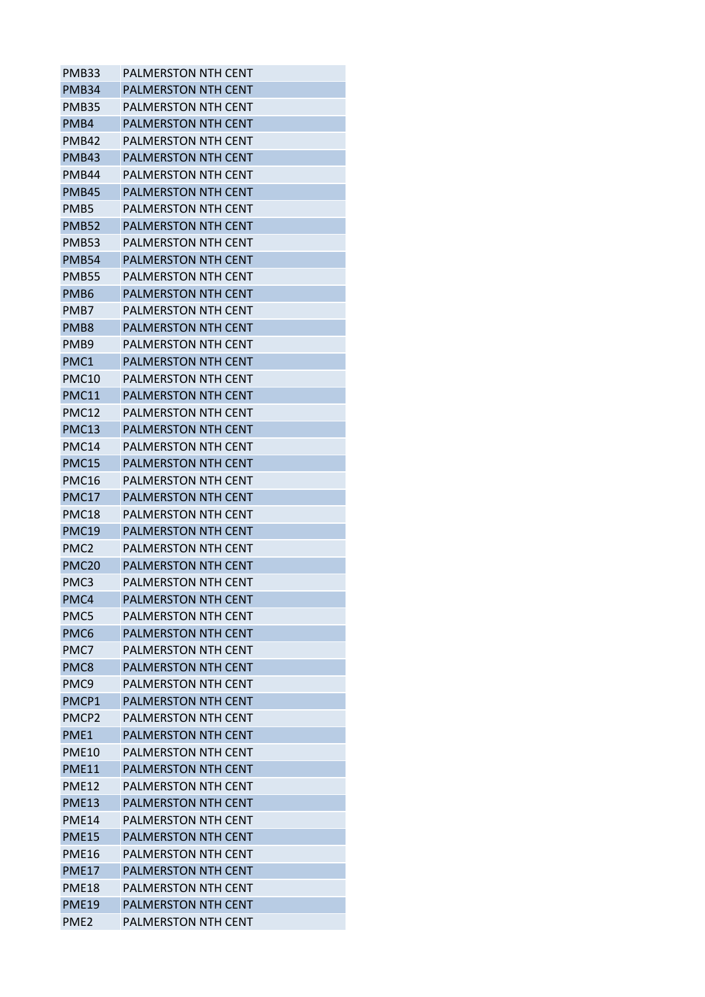| PMB33             | <b>PALMERSTON NTH CENT</b> |
|-------------------|----------------------------|
| PMB <sub>34</sub> | <b>PALMERSTON NTH CENT</b> |
| PMB35             | <b>PALMERSTON NTH CENT</b> |
| PMB4              | <b>PALMERSTON NTH CENT</b> |
| PMB42             | PALMERSTON NTH CENT        |
| <b>PMB43</b>      | <b>PALMERSTON NTH CENT</b> |
| PMB44             | PALMERSTON NTH CENT        |
| <b>PMB45</b>      | <b>PALMERSTON NTH CENT</b> |
| PMB5              | PALMERSTON NTH CENT        |
| <b>PMB52</b>      | PALMERSTON NTH CENT        |
| <b>PMB53</b>      | <b>PALMERSTON NTH CENT</b> |
| <b>PMB54</b>      | PALMERSTON NTH CENT        |
| PMB55             | <b>PALMERSTON NTH CENT</b> |
| PMB <sub>6</sub>  | <b>PALMERSTON NTH CENT</b> |
| PMB7              | <b>PALMERSTON NTH CENT</b> |
| PMB <sub>8</sub>  | <b>PALMERSTON NTH CENT</b> |
| PMB <sub>9</sub>  | PALMERSTON NTH CENT        |
| PMC1              | PALMERSTON NTH CENT        |
| <b>PMC10</b>      | <b>PALMERSTON NTH CENT</b> |
| <b>PMC11</b>      | <b>PALMERSTON NTH CENT</b> |
| PMC12             | PALMERSTON NTH CENT        |
| <b>PMC13</b>      | PALMERSTON NTH CENT        |
| PMC14             | PALMERSTON NTH CENT        |
| <b>PMC15</b>      | <b>PALMERSTON NTH CENT</b> |
| <b>PMC16</b>      | PALMERSTON NTH CENT        |
| <b>PMC17</b>      | <b>PALMERSTON NTH CENT</b> |
| PMC <sub>18</sub> | <b>PALMERSTON NTH CENT</b> |
| <b>PMC19</b>      | PALMERSTON NTH CENT        |
| PMC <sub>2</sub>  | <b>PALMERSTON NTH CENT</b> |
| PMC <sub>20</sub> | <b>PALMERSTON NTH CENT</b> |
| PMC <sub>3</sub>  | <b>PALMERSTON NTH CENT</b> |
| PMC4              | <b>PALMERSTON NTH CENT</b> |
| PMC5              | PALMERSTON NTH CENT        |
| PMC6              | <b>PALMERSTON NTH CENT</b> |
| PMC7              | <b>PALMERSTON NTH CENT</b> |
| PMC8              | <b>PALMERSTON NTH CENT</b> |
| PMC <sub>9</sub>  | <b>PALMERSTON NTH CENT</b> |
| PMCP1             | <b>PALMERSTON NTH CENT</b> |
| PMCP <sub>2</sub> | <b>PALMERSTON NTH CENT</b> |
| PME1              | <b>PALMERSTON NTH CENT</b> |
| <b>PME10</b>      | <b>PALMERSTON NTH CENT</b> |
| <b>PME11</b>      | <b>PALMERSTON NTH CENT</b> |
| <b>PME12</b>      | <b>PALMERSTON NTH CENT</b> |
| <b>PME13</b>      | <b>PALMERSTON NTH CENT</b> |
| <b>PME14</b>      | <b>PALMERSTON NTH CENT</b> |
| <b>PME15</b>      | PALMERSTON NTH CENT        |
| <b>PME16</b>      | <b>PALMERSTON NTH CENT</b> |
| <b>PME17</b>      | <b>PALMERSTON NTH CENT</b> |
| <b>PME18</b>      | PALMERSTON NTH CENT        |
| <b>PME19</b>      | <b>PALMERSTON NTH CENT</b> |
| PME <sub>2</sub>  | <b>PALMERSTON NTH CENT</b> |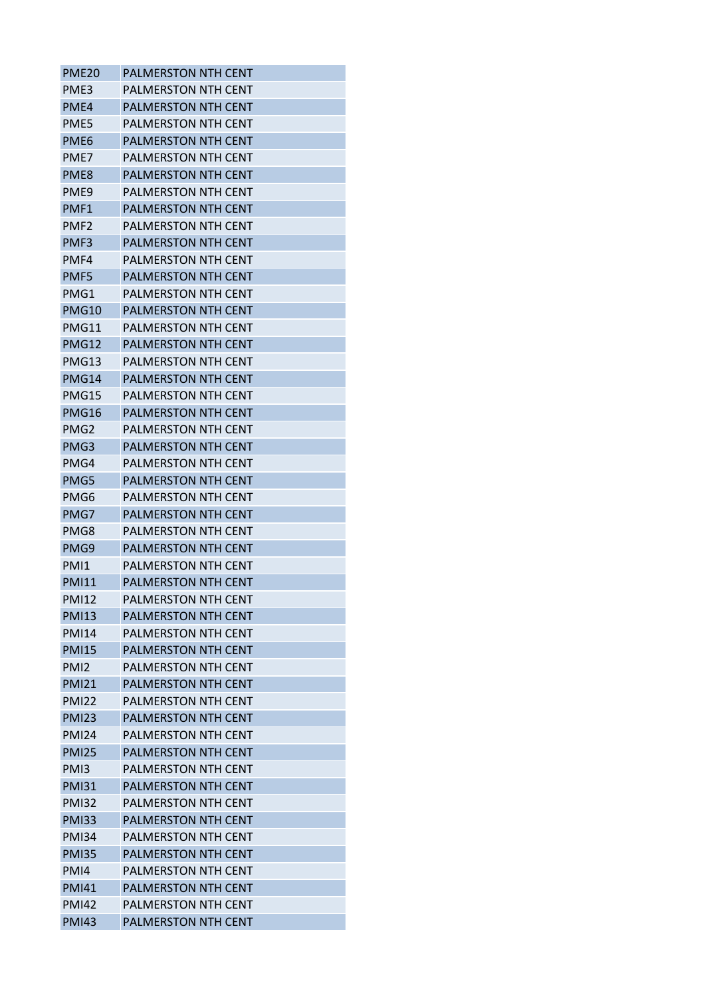| <b>PME20</b>     | <b>PALMERSTON NTH CENT</b> |
|------------------|----------------------------|
| PME3             | <b>PALMERSTON NTH CENT</b> |
| PME4             | <b>PALMERSTON NTH CENT</b> |
| PME5             | <b>PALMERSTON NTH CENT</b> |
| PME <sub>6</sub> | <b>PALMERSTON NTH CENT</b> |
| PME7             | <b>PALMERSTON NTH CENT</b> |
| PME <sub>8</sub> | <b>PALMERSTON NTH CENT</b> |
| PMF9             | PALMERSTON NTH CENT        |
| PMF1             | <b>PALMERSTON NTH CENT</b> |
| PMF <sub>2</sub> | <b>PALMERSTON NTH CENT</b> |
| PMF3             | <b>PALMERSTON NTH CENT</b> |
| PMF4             | PALMERSTON NTH CENT        |
| PMF5             | <b>PALMERSTON NTH CENT</b> |
| PMG1             | <b>PALMERSTON NTH CENT</b> |
| <b>PMG10</b>     | <b>PALMERSTON NTH CENT</b> |
| <b>PMG11</b>     | <b>PALMERSTON NTH CENT</b> |
| <b>PMG12</b>     | <b>PALMERSTON NTH CENT</b> |
| PMG13            | <b>PALMERSTON NTH CENT</b> |
| <b>PMG14</b>     | <b>PALMERSTON NTH CENT</b> |
| <b>PMG15</b>     | PALMERSTON NTH CENT        |
| <b>PMG16</b>     | <b>PALMERSTON NTH CENT</b> |
| PMG <sub>2</sub> | <b>PALMERSTON NTH CENT</b> |
| PMG3             | <b>PALMERSTON NTH CENT</b> |
| PMG4             | <b>PALMERSTON NTH CENT</b> |
| PMG5             | <b>PALMERSTON NTH CENT</b> |
| PMG6             | <b>PALMERSTON NTH CENT</b> |
| PMG7             | <b>PALMERSTON NTH CENT</b> |
| PMG8             | PALMERSTON NTH CENT        |
| PMG9             | <b>PALMERSTON NTH CENT</b> |
| PM <sub>1</sub>  | <b>PALMERSTON NTH CENT</b> |
| <b>PMI11</b>     | PALMERSTON NTH CENT        |
| <b>PMI12</b>     | PALMERSTON NTH CENT        |
| <b>PMI13</b>     | <b>PALMERSTON NTH CENT</b> |
| <b>PMI14</b>     | PALMERSTON NTH CENT        |
| <b>PMI15</b>     | <b>PALMERSTON NTH CENT</b> |
| PMI <sub>2</sub> | <b>PALMERSTON NTH CENT</b> |
| <b>PMI21</b>     | <b>PALMERSTON NTH CENT</b> |
| <b>PMI22</b>     | PALMERSTON NTH CENT        |
| <b>PMI23</b>     | PALMERSTON NTH CENT        |
| <b>PMI24</b>     | <b>PALMERSTON NTH CENT</b> |
| <b>PMI25</b>     | <b>PALMERSTON NTH CENT</b> |
| PMI3             | <b>PALMERSTON NTH CENT</b> |
| <b>PMI31</b>     | <b>PALMERSTON NTH CENT</b> |
| <b>PMI32</b>     | <b>PALMERSTON NTH CENT</b> |
| <b>PMI33</b>     | <b>PALMERSTON NTH CENT</b> |
| <b>PMI34</b>     | PALMERSTON NTH CENT        |
| <b>PMI35</b>     | <b>PALMERSTON NTH CENT</b> |
| PMI4             | PALMERSTON NTH CENT        |
| <b>PMI41</b>     | PALMERSTON NTH CENT        |
| <b>PMI42</b>     | PALMERSTON NTH CENT        |
| <b>PMI43</b>     | PALMERSTON NTH CENT        |
|                  |                            |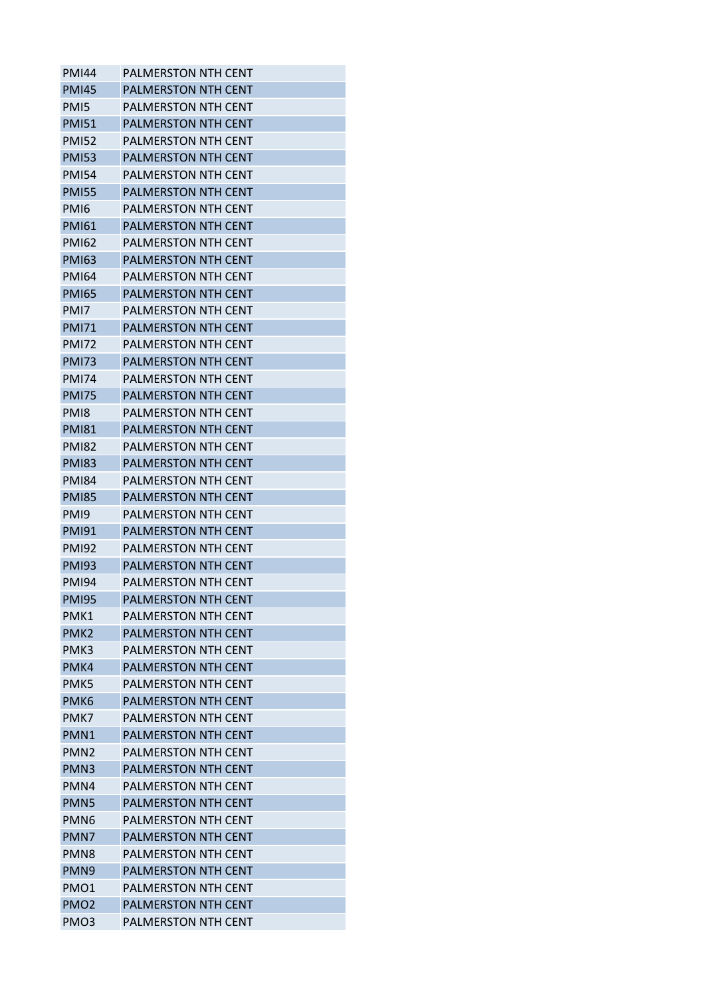| <b>PMI44</b>     | <b>PALMERSTON NTH CENT</b> |
|------------------|----------------------------|
| <b>PMI45</b>     | <b>PALMERSTON NTH CENT</b> |
| PM <sub>I5</sub> | <b>PALMERSTON NTH CENT</b> |
| <b>PMI51</b>     | <b>PALMERSTON NTH CENT</b> |
| <b>PMI52</b>     | PALMERSTON NTH CENT        |
| <b>PMI53</b>     | <b>PALMERSTON NTH CENT</b> |
| <b>PMI54</b>     | PALMERSTON NTH CENT        |
| <b>PMI55</b>     | <b>PALMERSTON NTH CENT</b> |
| PMI6             | <b>PALMERSTON NTH CENT</b> |
| <b>PMI61</b>     | <b>PALMERSTON NTH CENT</b> |
| <b>PMI62</b>     | <b>PALMERSTON NTH CENT</b> |
| <b>PMI63</b>     | PALMERSTON NTH CENT        |
| <b>PMI64</b>     | <b>PALMERSTON NTH CENT</b> |
| <b>PMI65</b>     | <b>PALMERSTON NTH CENT</b> |
| PMI7             | <b>PALMERSTON NTH CENT</b> |
| <b>PMI71</b>     | <b>PALMERSTON NTH CENT</b> |
| <b>PMI72</b>     | PALMERSTON NTH CENT        |
| <b>PMI73</b>     | <b>PALMERSTON NTH CENT</b> |
| <b>PMI74</b>     | <b>PALMERSTON NTH CENT</b> |
| <b>PMI75</b>     | <b>PALMERSTON NTH CENT</b> |
| PM <sub>18</sub> | PALMERSTON NTH CENT        |
| <b>PMI81</b>     | PALMERSTON NTH CENT        |
| <b>PMI82</b>     | PALMERSTON NTH CENT        |
| <b>PMI83</b>     | <b>PALMERSTON NTH CENT</b> |
| <b>PMI84</b>     | <b>PALMERSTON NTH CENT</b> |
| <b>PMI85</b>     | <b>PALMERSTON NTH CENT</b> |
| PM <sub>19</sub> | <b>PALMERSTON NTH CENT</b> |
| <b>PMI91</b>     | PALMERSTON NTH CENT        |
| <b>PMI92</b>     | <b>PALMERSTON NTH CENT</b> |
| <b>PMI93</b>     | <b>PALMERSTON NTH CENT</b> |
| <b>PMI94</b>     | <b>PALMERSTON NTH CENT</b> |
| <b>PMI95</b>     | PALMERSTON NTH CENT        |
| PMK1             | PALMERSTON NTH CENT        |
| PMK <sub>2</sub> | <b>PALMERSTON NTH CENT</b> |
| PMK3             | <b>PALMERSTON NTH CENT</b> |
| PMK4             | <b>PALMERSTON NTH CENT</b> |
| PMK5             | <b>PALMERSTON NTH CENT</b> |
| PMK <sub>6</sub> | <b>PALMERSTON NTH CENT</b> |
| PMK7             | PALMERSTON NTH CENT        |
| PMN1             | <b>PALMERSTON NTH CENT</b> |
| PMN <sub>2</sub> | <b>PALMERSTON NTH CENT</b> |
| PMN <sub>3</sub> | <b>PALMERSTON NTH CENT</b> |
| PMN4             | <b>PALMERSTON NTH CENT</b> |
| PMN5             | <b>PALMERSTON NTH CENT</b> |
| PMN <sub>6</sub> | <b>PALMERSTON NTH CENT</b> |
| PMN7             | PALMERSTON NTH CENT        |
| PMN <sub>8</sub> | <b>PALMERSTON NTH CENT</b> |
| PMN <sub>9</sub> | <b>PALMERSTON NTH CENT</b> |
| PMO1             | PALMERSTON NTH CENT        |
| PMO <sub>2</sub> | <b>PALMERSTON NTH CENT</b> |
| PMO <sub>3</sub> | <b>PALMERSTON NTH CENT</b> |
|                  |                            |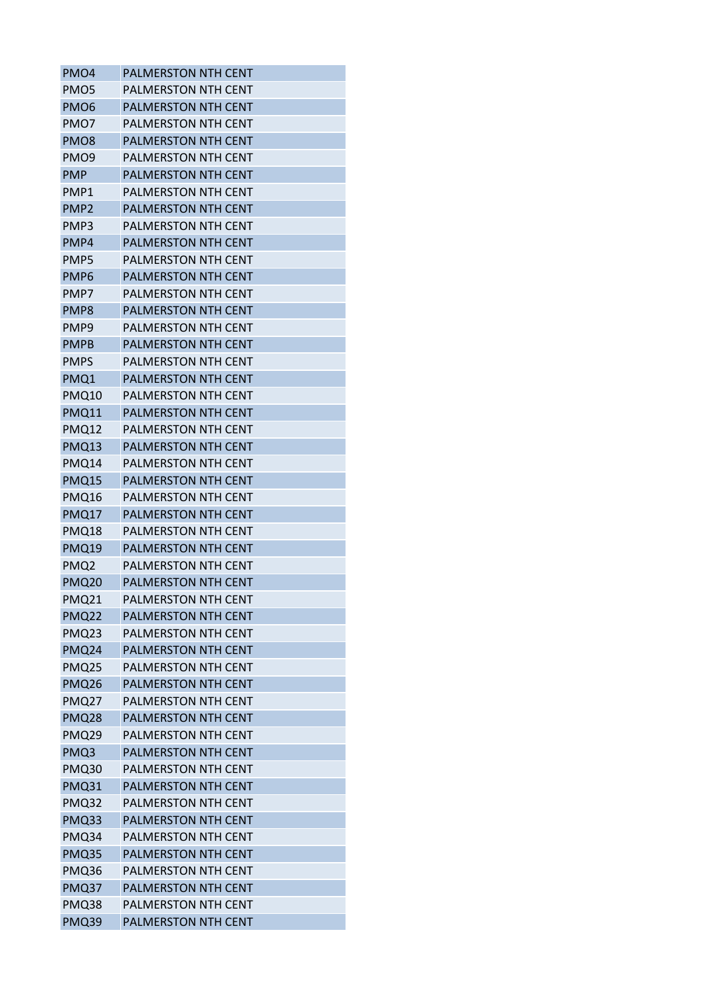| PMO <sub>4</sub>  | <b>PALMERSTON NTH CENT</b> |
|-------------------|----------------------------|
| PMO <sub>5</sub>  | <b>PALMERSTON NTH CENT</b> |
| PMO <sub>6</sub>  | <b>PALMERSTON NTH CENT</b> |
| PMO7              | PALMERSTON NTH CENT        |
| PMO <sub>8</sub>  | <b>PALMERSTON NTH CENT</b> |
| PMO <sub>9</sub>  | PALMERSTON NTH CENT        |
| <b>PMP</b>        | <b>PALMERSTON NTH CENT</b> |
| PMP1              | PALMERSTON NTH CENT        |
| PMP <sub>2</sub>  | <b>PALMERSTON NTH CENT</b> |
| PMP3              | <b>PALMERSTON NTH CENT</b> |
| PMP4              | <b>PALMERSTON NTH CENT</b> |
| PMP5              | <b>PALMERSTON NTH CENT</b> |
| PMP <sub>6</sub>  | <b>PALMERSTON NTH CENT</b> |
| PMP7              | <b>PALMERSTON NTH CENT</b> |
| PMP8              | <b>PALMERSTON NTH CENT</b> |
| PMP <sub>9</sub>  | <b>PALMERSTON NTH CENT</b> |
| <b>PMPB</b>       | <b>PALMERSTON NTH CENT</b> |
| <b>PMPS</b>       | <b>PALMERSTON NTH CENT</b> |
| PMQ1              | PALMERSTON NTH CENT        |
| <b>PMQ10</b>      | <b>PALMERSTON NTH CENT</b> |
| <b>PMQ11</b>      | PALMERSTON NTH CENT        |
| PMQ12             | <b>PALMERSTON NTH CENT</b> |
| <b>PMQ13</b>      | <b>PALMERSTON NTH CENT</b> |
| PMQ14             | PALMERSTON NTH CENT        |
| <b>PMQ15</b>      | <b>PALMERSTON NTH CENT</b> |
| PMQ16             | PALMERSTON NTH CENT        |
| <b>PMQ17</b>      | <b>PALMERSTON NTH CENT</b> |
| PMQ18             | PALMERSTON NTH CENT        |
| <b>PMQ19</b>      | PALMERSTON NTH CENT        |
| PMQ <sub>2</sub>  | <b>PALMERSTON NTH CENT</b> |
| <b>PMQ20</b>      | PALMERSTON NTH CENT        |
| <b>PMQ21</b>      | PALMERSTON NTH CENT        |
| <b>PMQ22</b>      | <b>PALMERSTON NTH CENT</b> |
| <b>PMQ23</b>      | PALMERSTON NTH CENT        |
| <b>PMQ24</b>      | <b>PALMERSTON NTH CENT</b> |
| PMQ <sub>25</sub> | <b>PALMERSTON NTH CENT</b> |
| PMQ26             | <b>PALMERSTON NTH CENT</b> |
| <b>PMQ27</b>      | PALMERSTON NTH CENT        |
| <b>PMQ28</b>      | PALMERSTON NTH CENT        |
| <b>PMQ29</b>      | PALMERSTON NTH CENT        |
| PMQ3              | <b>PALMERSTON NTH CENT</b> |
| <b>PMQ30</b>      | PALMERSTON NTH CENT        |
| <b>PMQ31</b>      | <b>PALMERSTON NTH CENT</b> |
| <b>PMQ32</b>      | PALMERSTON NTH CENT        |
| <b>PMQ33</b>      | <b>PALMERSTON NTH CENT</b> |
| PMQ34             | <b>PALMERSTON NTH CENT</b> |
| <b>PMQ35</b>      | PALMERSTON NTH CENT        |
| PMQ36             | PALMERSTON NTH CENT        |
| PMQ37             | PALMERSTON NTH CENT        |
| PMQ38             | PALMERSTON NTH CENT        |
| <b>PMQ39</b>      | PALMERSTON NTH CENT        |
|                   |                            |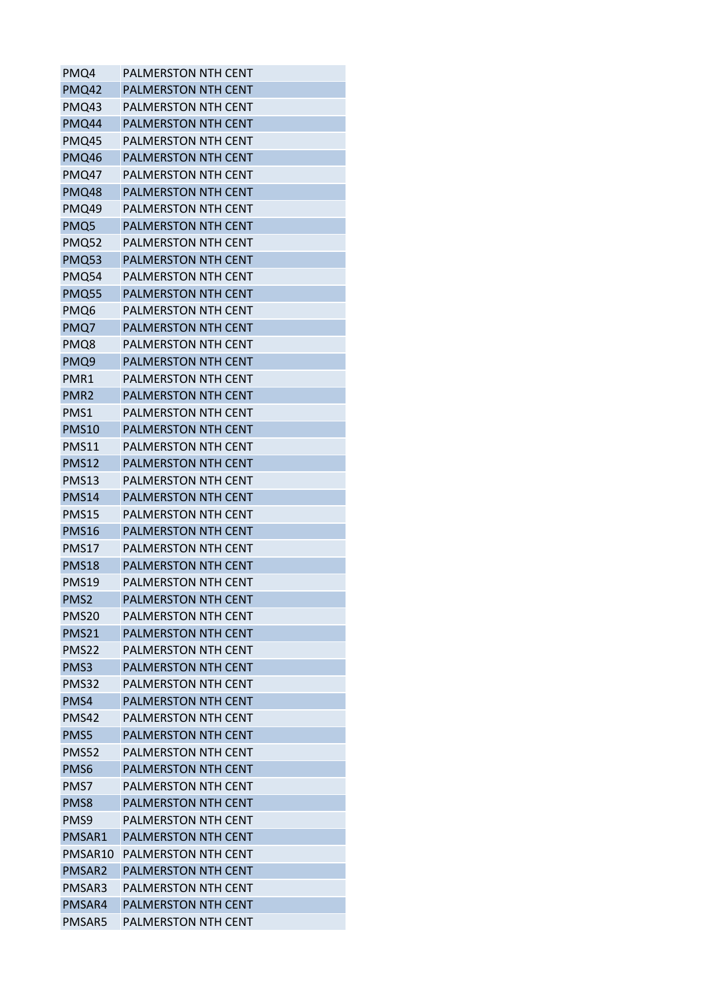| PMQ4              | <b>PALMERSTON NTH CENT</b> |
|-------------------|----------------------------|
| PMQ42             | <b>PALMERSTON NTH CENT</b> |
| PMQ43             | PALMERSTON NTH CENT        |
| PMQ44             | <b>PALMERSTON NTH CENT</b> |
| <b>PMQ45</b>      | <b>PALMERSTON NTH CENT</b> |
| PMQ46             | <b>PALMERSTON NTH CENT</b> |
| PMQ47             | <b>PALMERSTON NTH CENT</b> |
| <b>PMQ48</b>      | <b>PALMERSTON NTH CENT</b> |
| PMQ49             | PALMERSTON NTH CENT        |
| PMQ5              | <b>PALMERSTON NTH CENT</b> |
| <b>PMQ52</b>      | <b>PALMERSTON NTH CENT</b> |
| <b>PMQ53</b>      | <b>PALMERSTON NTH CENT</b> |
| PMQ54             | PALMERSTON NTH CENT        |
| <b>PMQ55</b>      | <b>PALMERSTON NTH CENT</b> |
| PMQ6              | PALMERSTON NTH CENT        |
| PMQ7              | <b>PALMERSTON NTH CENT</b> |
| PMQ8              | <b>PALMERSTON NTH CENT</b> |
| PMQ9              | <b>PALMERSTON NTH CENT</b> |
| PMR1              | PALMERSTON NTH CENT        |
| PMR <sub>2</sub>  | <b>PALMERSTON NTH CENT</b> |
| PMS1              | PALMERSTON NTH CENT        |
| <b>PMS10</b>      | <b>PALMERSTON NTH CENT</b> |
| <b>PMS11</b>      | <b>PALMERSTON NTH CENT</b> |
| <b>PMS12</b>      | PALMERSTON NTH CENT        |
| <b>PMS13</b>      | PALMERSTON NTH CENT        |
| <b>PMS14</b>      | <b>PALMERSTON NTH CENT</b> |
| <b>PMS15</b>      | <b>PALMERSTON NTH CENT</b> |
| <b>PMS16</b>      | <b>PALMERSTON NTH CENT</b> |
| <b>PMS17</b>      | <b>PALMERSTON NTH CENT</b> |
| PMS <sub>18</sub> | <b>PALMERSTON NTH CENT</b> |
| <b>PMS19</b>      | <b>PALMERSTON NTH CENT</b> |
| PMS <sub>2</sub>  | PALMERSTON NTH CENT        |
| PMS <sub>20</sub> | <b>PALMERSTON NTH CENT</b> |
| <b>PMS21</b>      | <b>PALMERSTON NTH CENT</b> |
| PMS <sub>22</sub> | <b>PALMERSTON NTH CENT</b> |
| PMS3              | <b>PALMERSTON NTH CENT</b> |
| PMS32             | <b>PALMERSTON NTH CENT</b> |
| PMS4              | <b>PALMERSTON NTH CENT</b> |
| <b>PMS42</b>      | <b>PALMERSTON NTH CENT</b> |
| PMS5              | <b>PALMERSTON NTH CENT</b> |
| PMS52             | <b>PALMERSTON NTH CENT</b> |
| PMS6              | PALMERSTON NTH CENT        |
| PMS7              | <b>PALMERSTON NTH CENT</b> |
| PMS8              | <b>PALMERSTON NTH CENT</b> |
| PMS9              | <b>PALMERSTON NTH CENT</b> |
| PMSAR1            | <b>PALMERSTON NTH CENT</b> |
| PMSAR10           | <b>PALMERSTON NTH CENT</b> |
| PMSAR2            | PALMERSTON NTH CENT        |
| PMSAR3            | PALMERSTON NTH CENT        |
| PMSAR4            | PALMERSTON NTH CENT        |
| PMSAR5            | <b>PALMERSTON NTH CENT</b> |
|                   |                            |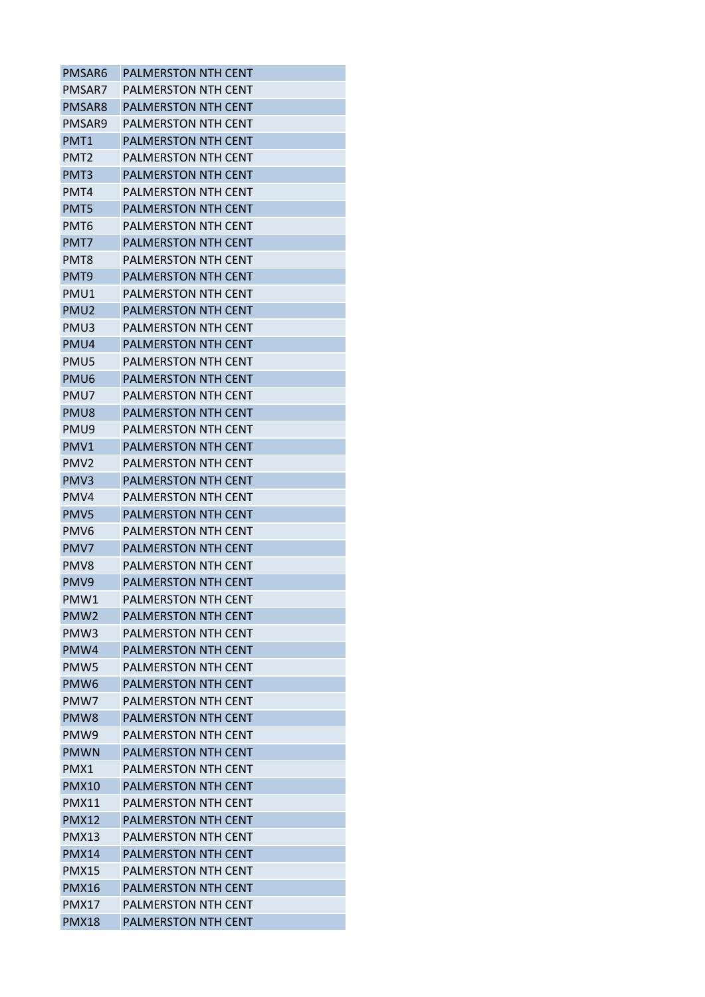| PMSAR6           | <b>PALMERSTON NTH CENT</b> |
|------------------|----------------------------|
| PMSAR7           | <b>PALMERSTON NTH CENT</b> |
| PMSAR8           | <b>PALMERSTON NTH CENT</b> |
| PMSAR9           | <b>PALMERSTON NTH CENT</b> |
| PMT <sub>1</sub> | <b>PALMERSTON NTH CENT</b> |
| PMT <sub>2</sub> | <b>PALMERSTON NTH CENT</b> |
| PMT3             | <b>PALMERSTON NTH CENT</b> |
| PMT4             | PALMERSTON NTH CENT        |
| PMT5             | PALMERSTON NTH CENT        |
| PMT6             | <b>PALMERSTON NTH CENT</b> |
| PMT7             | <b>PALMERSTON NTH CENT</b> |
| PMT8             | PALMERSTON NTH CENT        |
| PMT9             | <b>PALMERSTON NTH CENT</b> |
| PMU1             | <b>PALMERSTON NTH CENT</b> |
| PMU <sub>2</sub> | <b>PALMERSTON NTH CENT</b> |
| PMU3             | PALMERSTON NTH CENT        |
| PMU4             | <b>PALMERSTON NTH CENT</b> |
| PMU5             | <b>PALMERSTON NTH CENT</b> |
| PMU <sub>6</sub> | <b>PALMERSTON NTH CENT</b> |
| PMU7             | PALMERSTON NTH CENT        |
| PMU8             | <b>PALMERSTON NTH CENT</b> |
| PMU9             | <b>PALMERSTON NTH CENT</b> |
| PMV1             | <b>PALMERSTON NTH CENT</b> |
| PMV <sub>2</sub> | <b>PALMERSTON NTH CENT</b> |
| PMV <sub>3</sub> | <b>PALMERSTON NTH CENT</b> |
| PMV4             | <b>PALMERSTON NTH CENT</b> |
| PMV5             | <b>PALMERSTON NTH CENT</b> |
| PMV <sub>6</sub> | PALMERSTON NTH CENT        |
| PMV7             | <b>PALMERSTON NTH CENT</b> |
| PMV8             | <b>PALMERSTON NTH CENT</b> |
| PMV9             | <b>PALMERSTON NTH CENT</b> |
| PMW1             | PALMERSTON NTH CENT        |
| PMW <sub>2</sub> | <b>PALMERSTON NTH CENT</b> |
| PMW <sub>3</sub> | PALMERSTON NTH CENT        |
| PMW4             | <b>PALMERSTON NTH CENT</b> |
| PMW <sub>5</sub> | <b>PALMERSTON NTH CENT</b> |
| PMW <sub>6</sub> | PALMERSTON NTH CENT        |
| PMW7             | <b>PALMERSTON NTH CENT</b> |
| PMW <sub>8</sub> | <b>PALMERSTON NTH CENT</b> |
| PMW9             | <b>PALMERSTON NTH CENT</b> |
| <b>PMWN</b>      | <b>PALMERSTON NTH CENT</b> |
| PMX1             | PALMERSTON NTH CENT        |
| <b>PMX10</b>     | <b>PALMERSTON NTH CENT</b> |
| <b>PMX11</b>     | <b>PALMERSTON NTH CENT</b> |
| <b>PMX12</b>     | <b>PALMERSTON NTH CENT</b> |
| PMX13            | PALMERSTON NTH CENT        |
| <b>PMX14</b>     | <b>PALMERSTON NTH CENT</b> |
| <b>PMX15</b>     | PALMERSTON NTH CENT        |
| <b>PMX16</b>     | PALMERSTON NTH CENT        |
| <b>PMX17</b>     | PALMERSTON NTH CENT        |
| <b>PMX18</b>     | <b>PALMERSTON NTH CENT</b> |
|                  |                            |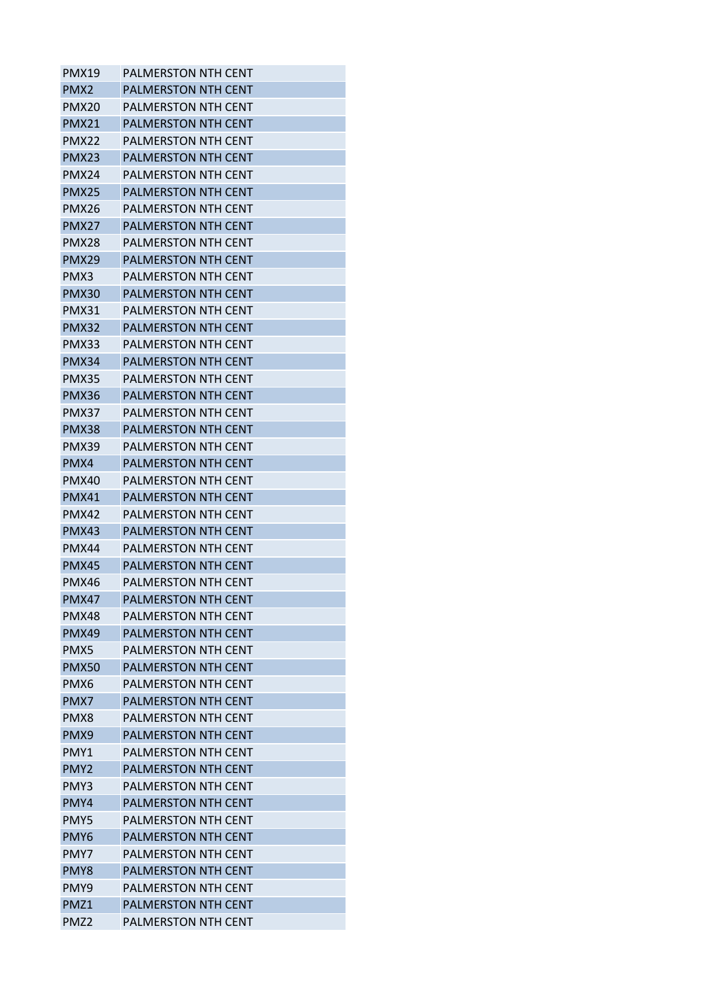| PMX <sub>2</sub><br><b>PALMERSTON NTH CENT</b><br>PMX <sub>20</sub><br>PALMERSTON NTH CENT<br><b>PMX21</b><br><b>PALMERSTON NTH CENT</b><br>PMX22<br>PALMERSTON NTH CENT<br><b>PMX23</b><br><b>PALMERSTON NTH CENT</b><br>PMX24<br>PALMERSTON NTH CENT<br><b>PMX25</b><br><b>PALMERSTON NTH CENT</b><br>PMX26<br><b>PALMERSTON NTH CENT</b><br>PMX27<br>PALMERSTON NTH CENT<br>PMX28<br><b>PALMERSTON NTH CENT</b><br>PMX <sub>29</sub><br>PALMERSTON NTH CENT<br><b>PALMERSTON NTH CENT</b><br>PMX3<br><b>PMX30</b><br><b>PALMERSTON NTH CENT</b><br>PMX31<br><b>PALMERSTON NTH CENT</b><br><b>PMX32</b><br><b>PALMERSTON NTH CENT</b><br><b>PMX33</b><br>PALMERSTON NTH CENT<br>PMX34<br><b>PALMERSTON NTH CENT</b><br>PMX35<br><b>PALMERSTON NTH CENT</b><br><b>PMX36</b><br><b>PALMERSTON NTH CENT</b><br>PMX37<br>PALMERSTON NTH CENT<br>PMX38<br>PALMERSTON NTH CENT<br>PMX39<br>PALMERSTON NTH CENT<br>PMX4<br><b>PALMERSTON NTH CENT</b><br>PMX40<br>PALMERSTON NTH CENT<br>PMX41<br><b>PALMERSTON NTH CENT</b><br><b>PALMERSTON NTH CENT</b><br>PMX42<br><b>PMX43</b><br>PALMERSTON NTH CENT<br><b>PMX44</b><br><b>PALMERSTON NTH CENT</b><br><b>PMX45</b><br><b>PALMERSTON NTH CENT</b><br>PMX46<br><b>PALMERSTON NTH CENT</b><br>PALMERSTON NTH CENT<br><b>PMX47</b> |  |
|---------------------------------------------------------------------------------------------------------------------------------------------------------------------------------------------------------------------------------------------------------------------------------------------------------------------------------------------------------------------------------------------------------------------------------------------------------------------------------------------------------------------------------------------------------------------------------------------------------------------------------------------------------------------------------------------------------------------------------------------------------------------------------------------------------------------------------------------------------------------------------------------------------------------------------------------------------------------------------------------------------------------------------------------------------------------------------------------------------------------------------------------------------------------------------------------------------------------------------------------------------------------------------|--|
|                                                                                                                                                                                                                                                                                                                                                                                                                                                                                                                                                                                                                                                                                                                                                                                                                                                                                                                                                                                                                                                                                                                                                                                                                                                                                 |  |
|                                                                                                                                                                                                                                                                                                                                                                                                                                                                                                                                                                                                                                                                                                                                                                                                                                                                                                                                                                                                                                                                                                                                                                                                                                                                                 |  |
|                                                                                                                                                                                                                                                                                                                                                                                                                                                                                                                                                                                                                                                                                                                                                                                                                                                                                                                                                                                                                                                                                                                                                                                                                                                                                 |  |
|                                                                                                                                                                                                                                                                                                                                                                                                                                                                                                                                                                                                                                                                                                                                                                                                                                                                                                                                                                                                                                                                                                                                                                                                                                                                                 |  |
|                                                                                                                                                                                                                                                                                                                                                                                                                                                                                                                                                                                                                                                                                                                                                                                                                                                                                                                                                                                                                                                                                                                                                                                                                                                                                 |  |
|                                                                                                                                                                                                                                                                                                                                                                                                                                                                                                                                                                                                                                                                                                                                                                                                                                                                                                                                                                                                                                                                                                                                                                                                                                                                                 |  |
|                                                                                                                                                                                                                                                                                                                                                                                                                                                                                                                                                                                                                                                                                                                                                                                                                                                                                                                                                                                                                                                                                                                                                                                                                                                                                 |  |
|                                                                                                                                                                                                                                                                                                                                                                                                                                                                                                                                                                                                                                                                                                                                                                                                                                                                                                                                                                                                                                                                                                                                                                                                                                                                                 |  |
|                                                                                                                                                                                                                                                                                                                                                                                                                                                                                                                                                                                                                                                                                                                                                                                                                                                                                                                                                                                                                                                                                                                                                                                                                                                                                 |  |
|                                                                                                                                                                                                                                                                                                                                                                                                                                                                                                                                                                                                                                                                                                                                                                                                                                                                                                                                                                                                                                                                                                                                                                                                                                                                                 |  |
|                                                                                                                                                                                                                                                                                                                                                                                                                                                                                                                                                                                                                                                                                                                                                                                                                                                                                                                                                                                                                                                                                                                                                                                                                                                                                 |  |
|                                                                                                                                                                                                                                                                                                                                                                                                                                                                                                                                                                                                                                                                                                                                                                                                                                                                                                                                                                                                                                                                                                                                                                                                                                                                                 |  |
|                                                                                                                                                                                                                                                                                                                                                                                                                                                                                                                                                                                                                                                                                                                                                                                                                                                                                                                                                                                                                                                                                                                                                                                                                                                                                 |  |
|                                                                                                                                                                                                                                                                                                                                                                                                                                                                                                                                                                                                                                                                                                                                                                                                                                                                                                                                                                                                                                                                                                                                                                                                                                                                                 |  |
|                                                                                                                                                                                                                                                                                                                                                                                                                                                                                                                                                                                                                                                                                                                                                                                                                                                                                                                                                                                                                                                                                                                                                                                                                                                                                 |  |
|                                                                                                                                                                                                                                                                                                                                                                                                                                                                                                                                                                                                                                                                                                                                                                                                                                                                                                                                                                                                                                                                                                                                                                                                                                                                                 |  |
|                                                                                                                                                                                                                                                                                                                                                                                                                                                                                                                                                                                                                                                                                                                                                                                                                                                                                                                                                                                                                                                                                                                                                                                                                                                                                 |  |
|                                                                                                                                                                                                                                                                                                                                                                                                                                                                                                                                                                                                                                                                                                                                                                                                                                                                                                                                                                                                                                                                                                                                                                                                                                                                                 |  |
|                                                                                                                                                                                                                                                                                                                                                                                                                                                                                                                                                                                                                                                                                                                                                                                                                                                                                                                                                                                                                                                                                                                                                                                                                                                                                 |  |
|                                                                                                                                                                                                                                                                                                                                                                                                                                                                                                                                                                                                                                                                                                                                                                                                                                                                                                                                                                                                                                                                                                                                                                                                                                                                                 |  |
|                                                                                                                                                                                                                                                                                                                                                                                                                                                                                                                                                                                                                                                                                                                                                                                                                                                                                                                                                                                                                                                                                                                                                                                                                                                                                 |  |
|                                                                                                                                                                                                                                                                                                                                                                                                                                                                                                                                                                                                                                                                                                                                                                                                                                                                                                                                                                                                                                                                                                                                                                                                                                                                                 |  |
|                                                                                                                                                                                                                                                                                                                                                                                                                                                                                                                                                                                                                                                                                                                                                                                                                                                                                                                                                                                                                                                                                                                                                                                                                                                                                 |  |
|                                                                                                                                                                                                                                                                                                                                                                                                                                                                                                                                                                                                                                                                                                                                                                                                                                                                                                                                                                                                                                                                                                                                                                                                                                                                                 |  |
|                                                                                                                                                                                                                                                                                                                                                                                                                                                                                                                                                                                                                                                                                                                                                                                                                                                                                                                                                                                                                                                                                                                                                                                                                                                                                 |  |
|                                                                                                                                                                                                                                                                                                                                                                                                                                                                                                                                                                                                                                                                                                                                                                                                                                                                                                                                                                                                                                                                                                                                                                                                                                                                                 |  |
|                                                                                                                                                                                                                                                                                                                                                                                                                                                                                                                                                                                                                                                                                                                                                                                                                                                                                                                                                                                                                                                                                                                                                                                                                                                                                 |  |
|                                                                                                                                                                                                                                                                                                                                                                                                                                                                                                                                                                                                                                                                                                                                                                                                                                                                                                                                                                                                                                                                                                                                                                                                                                                                                 |  |
|                                                                                                                                                                                                                                                                                                                                                                                                                                                                                                                                                                                                                                                                                                                                                                                                                                                                                                                                                                                                                                                                                                                                                                                                                                                                                 |  |
|                                                                                                                                                                                                                                                                                                                                                                                                                                                                                                                                                                                                                                                                                                                                                                                                                                                                                                                                                                                                                                                                                                                                                                                                                                                                                 |  |
|                                                                                                                                                                                                                                                                                                                                                                                                                                                                                                                                                                                                                                                                                                                                                                                                                                                                                                                                                                                                                                                                                                                                                                                                                                                                                 |  |
| PALMERSTON NTH CENT<br>PMX48                                                                                                                                                                                                                                                                                                                                                                                                                                                                                                                                                                                                                                                                                                                                                                                                                                                                                                                                                                                                                                                                                                                                                                                                                                                    |  |
| <b>PMX49</b><br><b>PALMERSTON NTH CENT</b>                                                                                                                                                                                                                                                                                                                                                                                                                                                                                                                                                                                                                                                                                                                                                                                                                                                                                                                                                                                                                                                                                                                                                                                                                                      |  |
| PMX5<br><b>PALMERSTON NTH CENT</b>                                                                                                                                                                                                                                                                                                                                                                                                                                                                                                                                                                                                                                                                                                                                                                                                                                                                                                                                                                                                                                                                                                                                                                                                                                              |  |
| <b>PMX50</b><br><b>PALMERSTON NTH CENT</b>                                                                                                                                                                                                                                                                                                                                                                                                                                                                                                                                                                                                                                                                                                                                                                                                                                                                                                                                                                                                                                                                                                                                                                                                                                      |  |
| PMX6<br>PALMERSTON NTH CENT                                                                                                                                                                                                                                                                                                                                                                                                                                                                                                                                                                                                                                                                                                                                                                                                                                                                                                                                                                                                                                                                                                                                                                                                                                                     |  |
| <b>PALMERSTON NTH CENT</b><br>PMX7                                                                                                                                                                                                                                                                                                                                                                                                                                                                                                                                                                                                                                                                                                                                                                                                                                                                                                                                                                                                                                                                                                                                                                                                                                              |  |
| PMX8<br><b>PALMERSTON NTH CENT</b>                                                                                                                                                                                                                                                                                                                                                                                                                                                                                                                                                                                                                                                                                                                                                                                                                                                                                                                                                                                                                                                                                                                                                                                                                                              |  |
| PMX9<br><b>PALMERSTON NTH CENT</b>                                                                                                                                                                                                                                                                                                                                                                                                                                                                                                                                                                                                                                                                                                                                                                                                                                                                                                                                                                                                                                                                                                                                                                                                                                              |  |
| <b>PALMERSTON NTH CENT</b><br>PMY1                                                                                                                                                                                                                                                                                                                                                                                                                                                                                                                                                                                                                                                                                                                                                                                                                                                                                                                                                                                                                                                                                                                                                                                                                                              |  |
| PMY <sub>2</sub><br><b>PALMERSTON NTH CENT</b>                                                                                                                                                                                                                                                                                                                                                                                                                                                                                                                                                                                                                                                                                                                                                                                                                                                                                                                                                                                                                                                                                                                                                                                                                                  |  |
| PMY3<br><b>PALMERSTON NTH CENT</b>                                                                                                                                                                                                                                                                                                                                                                                                                                                                                                                                                                                                                                                                                                                                                                                                                                                                                                                                                                                                                                                                                                                                                                                                                                              |  |
| PMY4<br><b>PALMERSTON NTH CENT</b>                                                                                                                                                                                                                                                                                                                                                                                                                                                                                                                                                                                                                                                                                                                                                                                                                                                                                                                                                                                                                                                                                                                                                                                                                                              |  |
| PMY5<br><b>PALMERSTON NTH CENT</b>                                                                                                                                                                                                                                                                                                                                                                                                                                                                                                                                                                                                                                                                                                                                                                                                                                                                                                                                                                                                                                                                                                                                                                                                                                              |  |
| PMY <sub>6</sub><br>PALMERSTON NTH CENT                                                                                                                                                                                                                                                                                                                                                                                                                                                                                                                                                                                                                                                                                                                                                                                                                                                                                                                                                                                                                                                                                                                                                                                                                                         |  |
| PMY7<br><b>PALMERSTON NTH CENT</b>                                                                                                                                                                                                                                                                                                                                                                                                                                                                                                                                                                                                                                                                                                                                                                                                                                                                                                                                                                                                                                                                                                                                                                                                                                              |  |
| <b>PALMERSTON NTH CENT</b><br>PMY8                                                                                                                                                                                                                                                                                                                                                                                                                                                                                                                                                                                                                                                                                                                                                                                                                                                                                                                                                                                                                                                                                                                                                                                                                                              |  |
| PMY9<br><b>PALMERSTON NTH CENT</b>                                                                                                                                                                                                                                                                                                                                                                                                                                                                                                                                                                                                                                                                                                                                                                                                                                                                                                                                                                                                                                                                                                                                                                                                                                              |  |
| PMZ1<br><b>PALMERSTON NTH CENT</b>                                                                                                                                                                                                                                                                                                                                                                                                                                                                                                                                                                                                                                                                                                                                                                                                                                                                                                                                                                                                                                                                                                                                                                                                                                              |  |
| PMZ <sub>2</sub><br><b>PALMERSTON NTH CENT</b>                                                                                                                                                                                                                                                                                                                                                                                                                                                                                                                                                                                                                                                                                                                                                                                                                                                                                                                                                                                                                                                                                                                                                                                                                                  |  |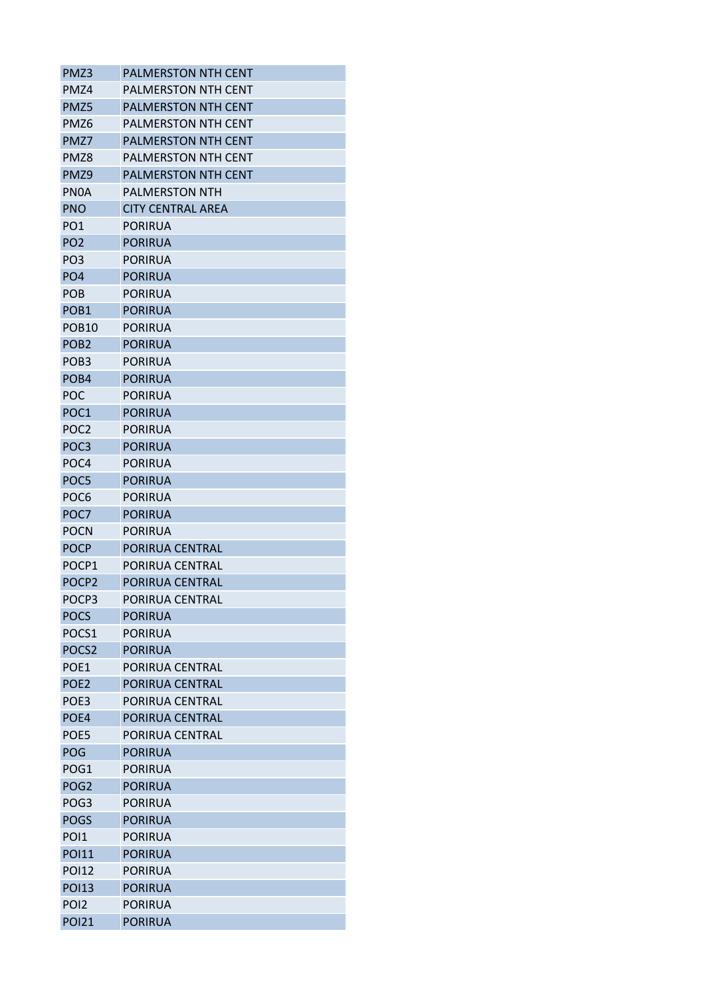| PMZ3              | <b>PALMERSTON NTH CENT</b> |
|-------------------|----------------------------|
| PMZ4              | <b>PALMERSTON NTH CENT</b> |
| PMZ5              | <b>PALMERSTON NTH CENT</b> |
| PMZ6              | <b>PALMERSTON NTH CENT</b> |
| PMZ7              | <b>PALMERSTON NTH CENT</b> |
| PMZ8              | PALMERSTON NTH CENT        |
| PMZ9              | <b>PALMERSTON NTH CENT</b> |
| <b>PNOA</b>       | <b>PALMERSTON NTH</b>      |
| <b>PNO</b>        | <b>CITY CENTRAL AREA</b>   |
| PO <sub>1</sub>   | <b>PORIRUA</b>             |
| PO <sub>2</sub>   | <b>PORIRUA</b>             |
| PO <sub>3</sub>   | <b>PORIRUA</b>             |
| PO <sub>4</sub>   | <b>PORIRUA</b>             |
| <b>POB</b>        | <b>PORIRUA</b>             |
| POB <sub>1</sub>  | <b>PORIRUA</b>             |
| <b>POB10</b>      | <b>PORIRUA</b>             |
| POB <sub>2</sub>  | <b>PORIRUA</b>             |
| POB <sub>3</sub>  | <b>PORIRUA</b>             |
| POB4              | <b>PORIRUA</b>             |
| POC               | <b>PORIRUA</b>             |
| POC1              | <b>PORIRUA</b>             |
| POC <sub>2</sub>  | <b>PORIRUA</b>             |
| POC <sub>3</sub>  | <b>PORIRUA</b>             |
| POC <sub>4</sub>  | <b>PORIRUA</b>             |
| POC5              | <b>PORIRUA</b>             |
| POC <sub>6</sub>  | <b>PORIRUA</b>             |
| POC7              | <b>PORIRUA</b>             |
| <b>POCN</b>       | PORIRUA                    |
| <b>POCP</b>       | PORIRUA CENTRAL            |
| POCP1             | PORIRUA CENTRAL            |
| POCP <sub>2</sub> | PORIRUA CENTRAL            |
| POCP3             | PORIRUA CENTRAL            |
| <b>POCS</b>       | <b>PORIRUA</b>             |
| POCS1             | <b>PORIRUA</b>             |
| POCS <sub>2</sub> | <b>PORIRUA</b>             |
| POE <sub>1</sub>  | PORIRUA CENTRAL            |
| POE <sub>2</sub>  | PORIRUA CENTRAL            |
| POE <sub>3</sub>  | PORIRUA CENTRAL            |
| POE4              | PORIRUA CENTRAL            |
| POE5              | PORIRUA CENTRAL            |
| <b>POG</b>        | <b>PORIRUA</b>             |
| POG1              | <b>PORIRUA</b>             |
| POG <sub>2</sub>  | <b>PORIRUA</b>             |
| POG <sub>3</sub>  | <b>PORIRUA</b>             |
| <b>POGS</b>       | <b>PORIRUA</b>             |
| PO <sub>1</sub>   | <b>PORIRUA</b>             |
| <b>POI11</b>      | <b>PORIRUA</b>             |
| <b>POI12</b>      | <b>PORIRUA</b>             |
| <b>POI13</b>      | <b>PORIRUA</b>             |
| POI <sub>2</sub>  | <b>PORIRUA</b>             |
| <b>POI21</b>      | <b>PORIRUA</b>             |
|                   |                            |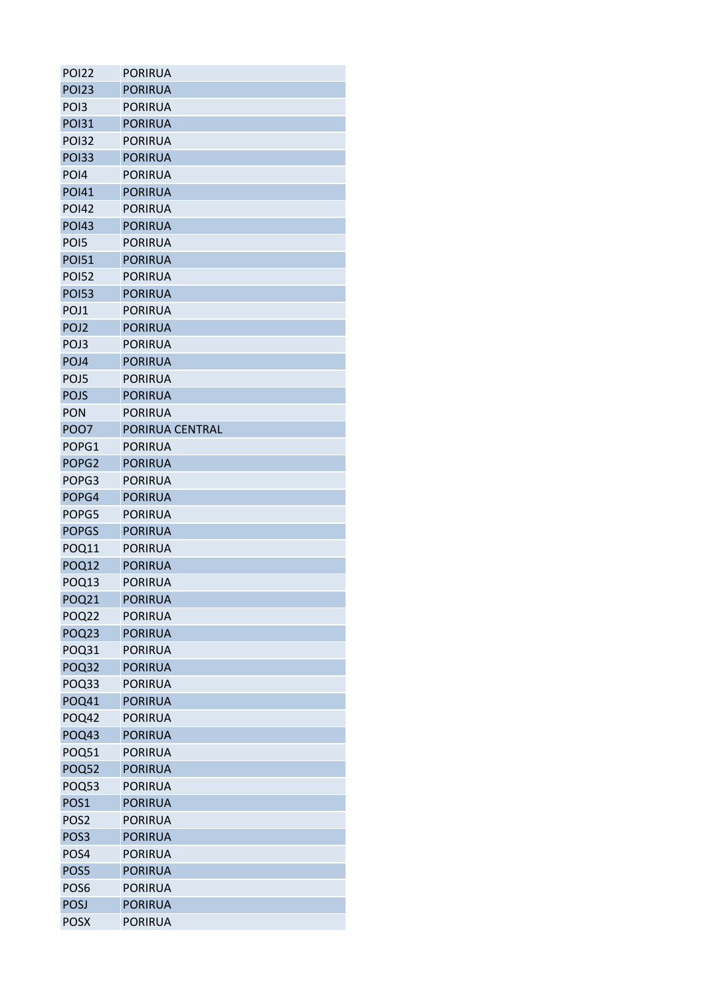| <b>POI22</b>      | <b>PORIRUA</b>  |
|-------------------|-----------------|
| <b>POI23</b>      | <b>PORIRUA</b>  |
| PO <sub>13</sub>  | PORIRUA         |
| <b>POI31</b>      | <b>PORIRUA</b>  |
| <b>POI32</b>      | <b>PORIRUA</b>  |
| <b>POI33</b>      | <b>PORIRUA</b>  |
| PO <sub>14</sub>  | <b>PORIRUA</b>  |
| <b>POI41</b>      | <b>PORIRUA</b>  |
| <b>POI42</b>      | <b>PORIRUA</b>  |
| <b>POI43</b>      | <b>PORIRUA</b>  |
| PO <sub>15</sub>  | <b>PORIRUA</b>  |
| <b>POI51</b>      | <b>PORIRUA</b>  |
| <b>POI52</b>      | <b>PORIRUA</b>  |
| <b>POI53</b>      | <b>PORIRUA</b>  |
| POJ1              | <b>PORIRUA</b>  |
| POJ <sub>2</sub>  | <b>PORIRUA</b>  |
| POJ3              | <b>PORIRUA</b>  |
| POJ4              | <b>PORIRUA</b>  |
| POJ5              | <b>PORIRUA</b>  |
| <b>POJS</b>       | <b>PORIRUA</b>  |
| <b>PON</b>        | <b>PORIRUA</b>  |
| POO7              | PORIRUA CENTRAL |
| POPG1             | <b>PORIRUA</b>  |
| POPG <sub>2</sub> | <b>PORIRUA</b>  |
|                   |                 |
| POPG3             | <b>PORIRUA</b>  |
| POPG4             | <b>PORIRUA</b>  |
| POPG5             | <b>PORIRUA</b>  |
| <b>POPGS</b>      | <b>PORIRUA</b>  |
| <b>POQ11</b>      | <b>PORIRUA</b>  |
| <b>POQ12</b>      | <b>PORIRUA</b>  |
| POQ13             | <b>PORIRUA</b>  |
| <b>POQ21</b>      | <b>PORIRUA</b>  |
| POQ22             | <b>PORIRUA</b>  |
| POQ23             | <b>PORIRUA</b>  |
| POQ31             | <b>PORIRUA</b>  |
| POQ32             | <b>PORIRUA</b>  |
| POQ33             | <b>PORIRUA</b>  |
| POQ41             | <b>PORIRUA</b>  |
| POQ42             | <b>PORIRUA</b>  |
| POQ43             | <b>PORIRUA</b>  |
| POQ51             | <b>PORIRUA</b>  |
| POQ52             | <b>PORIRUA</b>  |
| POQ53             | <b>PORIRUA</b>  |
| POS1              | <b>PORIRUA</b>  |
| POS <sub>2</sub>  | <b>PORIRUA</b>  |
| POS <sub>3</sub>  | <b>PORIRUA</b>  |
| POS4              | <b>PORIRUA</b>  |
| POS5              | <b>PORIRUA</b>  |
| POS6              | <b>PORIRUA</b>  |
| <b>POSJ</b>       | <b>PORIRUA</b>  |
| <b>POSX</b>       | <b>PORIRUA</b>  |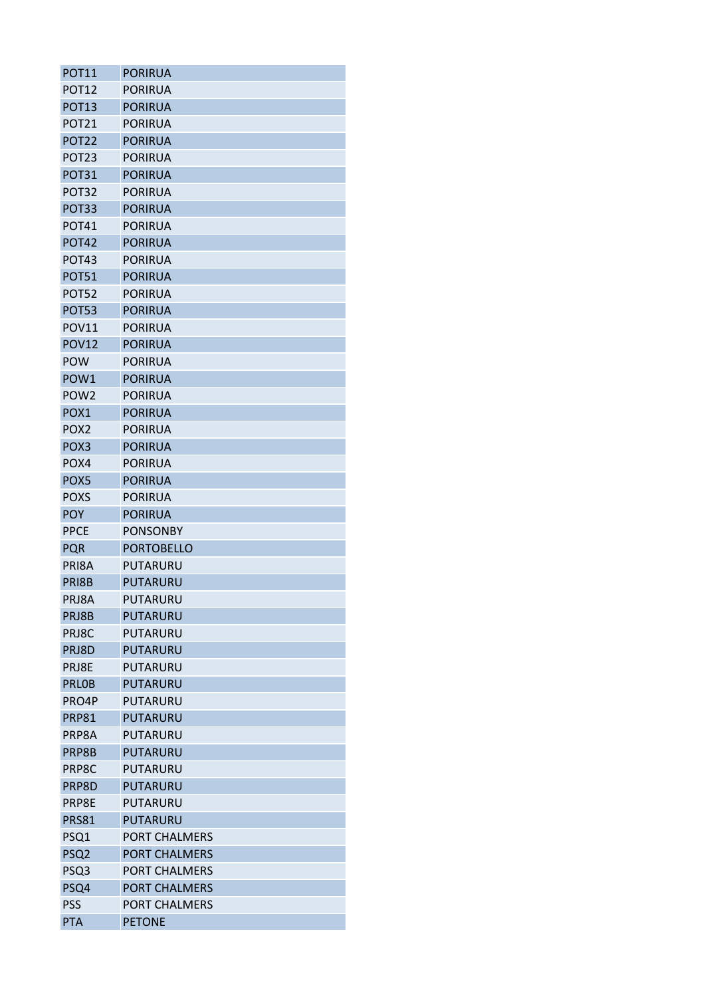| <b>POT11</b>      | <b>PORIRUA</b>       |
|-------------------|----------------------|
| <b>POT12</b>      | <b>PORIRUA</b>       |
| <b>POT13</b>      | <b>PORIRUA</b>       |
| <b>POT21</b>      | <b>PORIRUA</b>       |
| <b>POT22</b>      | <b>PORIRUA</b>       |
| POT <sub>23</sub> | <b>PORIRUA</b>       |
| POT31             | <b>PORIRUA</b>       |
| POT <sub>32</sub> | <b>PORIRUA</b>       |
| POT33             | <b>PORIRUA</b>       |
| <b>POT41</b>      | <b>PORIRUA</b>       |
| <b>POT42</b>      | <b>PORIRUA</b>       |
| POT <sub>43</sub> | <b>PORIRUA</b>       |
| <b>POT51</b>      | <b>PORIRUA</b>       |
| POT52             | <b>PORIRUA</b>       |
| <b>POT53</b>      | <b>PORIRUA</b>       |
| <b>POV11</b>      | <b>PORIRUA</b>       |
| <b>POV12</b>      | <b>PORIRUA</b>       |
| <b>POW</b>        | <b>PORIRUA</b>       |
| POW <sub>1</sub>  | <b>PORIRUA</b>       |
| POW <sub>2</sub>  | <b>PORIRUA</b>       |
| POX1              | <b>PORIRUA</b>       |
| POX <sub>2</sub>  | <b>PORIRUA</b>       |
| POX <sub>3</sub>  | <b>PORIRUA</b>       |
| POX4              | <b>PORIRUA</b>       |
| POX5              | <b>PORIRUA</b>       |
| <b>POXS</b>       | <b>PORIRUA</b>       |
| <b>POY</b>        | <b>PORIRUA</b>       |
| <b>PPCE</b>       | <b>PONSONBY</b>      |
| <b>PQR</b>        | <b>PORTOBELLO</b>    |
| PRI8A             | PUTARURU             |
| PRI8B             | <b>PUTARURU</b>      |
| PRJ8A             | PUTARURU             |
| PRJ8B             | PUTARURU             |
| PRJ8C             | PUTARURU             |
| PRJ8D             | <b>PUTARURU</b>      |
| PRJ8E             | PUTARURU             |
| <b>PRLOB</b>      | <b>PUTARURU</b>      |
| PRO4P             | PUTARURU             |
| <b>PRP81</b>      | <b>PUTARURU</b>      |
| PRP8A             | PUTARURU             |
| PRP8B             | PUTARURU             |
| PRP8C             | PUTARURU             |
| PRP8D             | PUTARURU             |
| PRP8E             | PUTARURU             |
| <b>PRS81</b>      | <b>PUTARURU</b>      |
| PSQ1              | <b>PORT CHALMERS</b> |
| PSQ <sub>2</sub>  | <b>PORT CHALMERS</b> |
| PSQ3              | PORT CHALMERS        |
| PSQ4              | <b>PORT CHALMERS</b> |
| <b>PSS</b>        | PORT CHALMERS        |
| <b>PTA</b>        | <b>PETONE</b>        |
|                   |                      |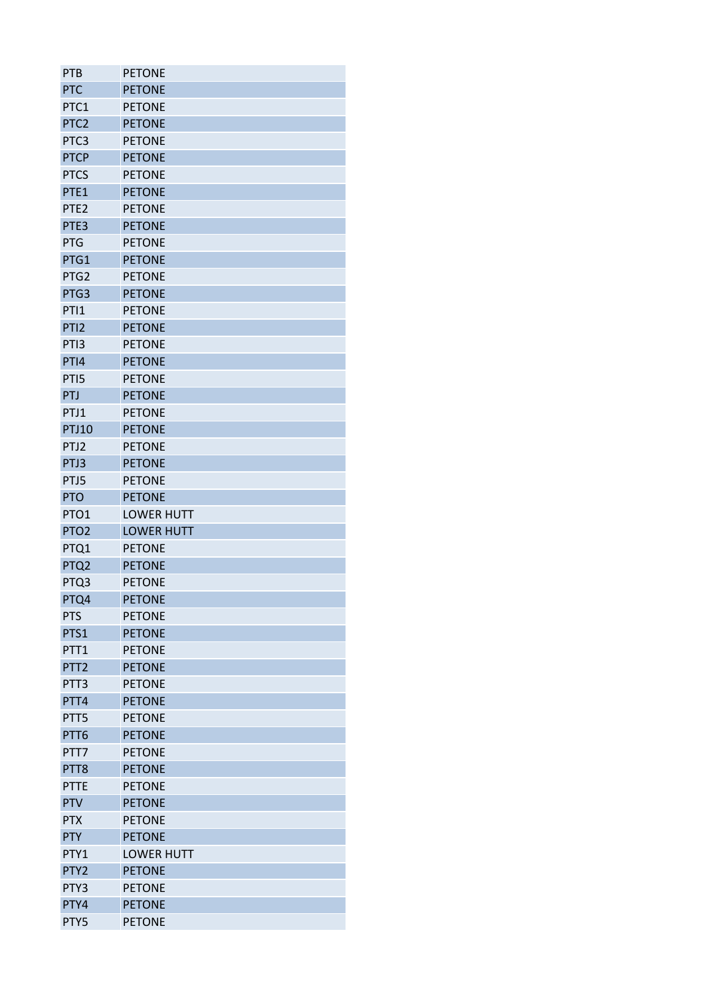| <b>PTB</b>       | <b>PETONE</b>                  |
|------------------|--------------------------------|
| <b>PTC</b>       | <b>PETONE</b>                  |
| PTC1             | <b>PETONE</b>                  |
| PTC <sub>2</sub> | <b>PETONE</b>                  |
| PTC3             | <b>PETONE</b>                  |
| <b>PTCP</b>      | <b>PETONE</b>                  |
| <b>PTCS</b>      | <b>PETONE</b>                  |
| PTE1             | <b>PETONE</b>                  |
| PTE <sub>2</sub> | <b>PETONE</b>                  |
| PTE3             | <b>PETONE</b>                  |
| PTG              | <b>PETONE</b>                  |
| PTG1             | <b>PETONE</b>                  |
| PTG <sub>2</sub> | <b>PETONE</b>                  |
| PTG3             | <b>PETONE</b>                  |
| PTI1             | <b>PETONE</b>                  |
| PTI <sub>2</sub> | <b>PETONE</b>                  |
| PTI3             | <b>PETONE</b>                  |
| PTI4             | <b>PETONE</b>                  |
| PTI5             | <b>PETONE</b>                  |
| PTJ              | <b>PETONE</b>                  |
| PTJ1             | <b>PETONE</b>                  |
| <b>PTJ10</b>     | <b>PETONE</b>                  |
| PTJ2             | <b>PETONE</b>                  |
| PTJ3             | <b>PETONE</b>                  |
| PTJ5             | <b>PETONE</b>                  |
|                  |                                |
|                  |                                |
| <b>PTO</b>       | <b>PETONE</b>                  |
| PTO1             | <b>LOWER HUTT</b>              |
| PTO <sub>2</sub> | <b>LOWER HUTT</b>              |
| PTQ1             | <b>PETONE</b>                  |
| PTQ <sub>2</sub> | <b>PETONE</b>                  |
| PTQ3             | <b>PETONE</b>                  |
| PTQ4             | <b>PETONE</b>                  |
| <b>PTS</b>       | <b>PETONE</b>                  |
| PTS1             | <b>PETONE</b>                  |
| PTT1             | <b>PETONE</b>                  |
| PTT <sub>2</sub> | <b>PETONE</b>                  |
| PTT3             | <b>PETONE</b>                  |
| PTT4             | <b>PETONE</b>                  |
| PTT5             | <b>PETONE</b>                  |
| PTT6             | <b>PETONE</b>                  |
| PTT7             | <b>PETONE</b>                  |
| PTT8             | <b>PETONE</b>                  |
| <b>PTTE</b>      | <b>PETONE</b>                  |
| <b>PTV</b>       | <b>PETONE</b>                  |
| <b>PTX</b>       | <b>PETONE</b>                  |
| <b>PTY</b>       | <b>PETONE</b>                  |
| PTY1             | <b>LOWER HUTT</b>              |
| PTY <sub>2</sub> | <b>PETONE</b>                  |
| PTY3             | <b>PETONE</b>                  |
| PTY4<br>PTY5     | <b>PETONE</b><br><b>PETONE</b> |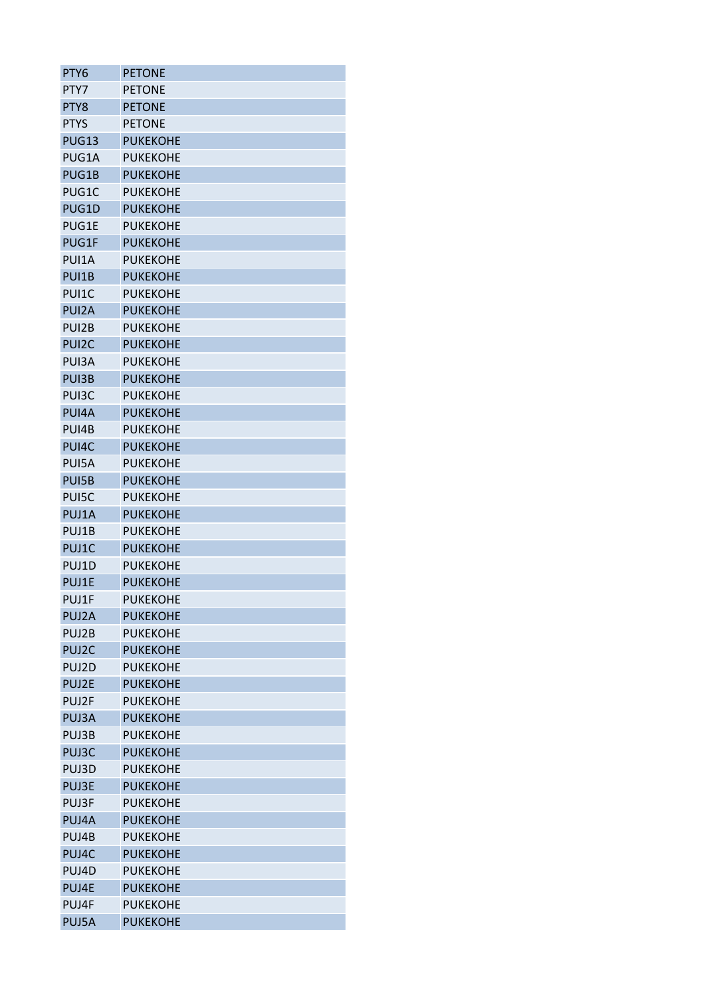| PTY6               | <b>PETONE</b>   |
|--------------------|-----------------|
| PTY7               | <b>PETONE</b>   |
| PTY8               | <b>PETONE</b>   |
| <b>PTYS</b>        | <b>PETONE</b>   |
| <b>PUG13</b>       | <b>PUKEKOHE</b> |
| PUG1A              | <b>PUKEKOHE</b> |
| PUG1B              | <b>PUKEKOHE</b> |
| PUG1C              | <b>PUKEKOHE</b> |
| PUG1D              | <b>PUKEKOHE</b> |
| PUG1E              | <b>PUKEKOHE</b> |
| PUG1F              | <b>PUKEKOHE</b> |
| PUI1A              | <b>PUKEKOHE</b> |
| PUI1B              | <b>PUKEKOHE</b> |
| PUI1C              | <b>PUKEKOHE</b> |
| PUI <sub>2</sub> A | <b>PUKEKOHE</b> |
| PUI2B              | <b>PUKEKOHE</b> |
| PUI <sub>2</sub> C | <b>PUKEKOHE</b> |
| PUI3A              | <b>PUKEKOHE</b> |
| PUI3B              | <b>PUKEKOHE</b> |
| PUI3C              | <b>PUKEKOHE</b> |
| PUI4A              | <b>PUKEKOHE</b> |
| PUI4B              | <b>PUKEKOHE</b> |
| PUI4C              | <b>PUKEKOHE</b> |
| PUI5A              | <b>PUKEKOHE</b> |
| PUI5B              | <b>PUKEKOHE</b> |
| PUI5C              | <b>PUKEKOHE</b> |
| PUJ1A              | <b>PUKEKOHE</b> |
| PUJ1B              | <b>PUKEKOHE</b> |
| PUJ1C              | <b>PUKEKOHE</b> |
| PUJ1D              | <b>PUKEKOHE</b> |
| PUJ1E              | <b>PUKEKOHE</b> |
| PUJ1F              | <b>PUKEKOHE</b> |
| PUJ2A              | <b>PUKEKOHE</b> |
| PUJ2B              | <b>PUKEKOHE</b> |
| PUJ2C              | <b>PUKEKOHE</b> |
| PUJ2D              | <b>PUKEKOHE</b> |
| PUJ2E              | <b>PUKEKOHE</b> |
| PUJ2F              | <b>PUKEKOHE</b> |
| PUJ3A              | <b>PUKEKOHE</b> |
| PUJ3B              | <b>PUKEKOHE</b> |
| PUJ3C              | <b>PUKEKOHE</b> |
| PUJ3D              | <b>PUKEKOHE</b> |
| PUJ3E              | <b>PUKEKOHE</b> |
| PUJ3F              | <b>PUKEKOHE</b> |
| PUJ4A              | <b>PUKEKOHE</b> |
| PUJ4B              | <b>PUKEKOHE</b> |
| PUJ4C              | <b>PUKEKOHE</b> |
| PUJ4D              | <b>PUKEKOHE</b> |
| PUJ4E              | <b>PUKEKOHE</b> |
| PUJ4F              | <b>PUKEKOHE</b> |
| PUJ5A              | <b>PUKEKOHE</b> |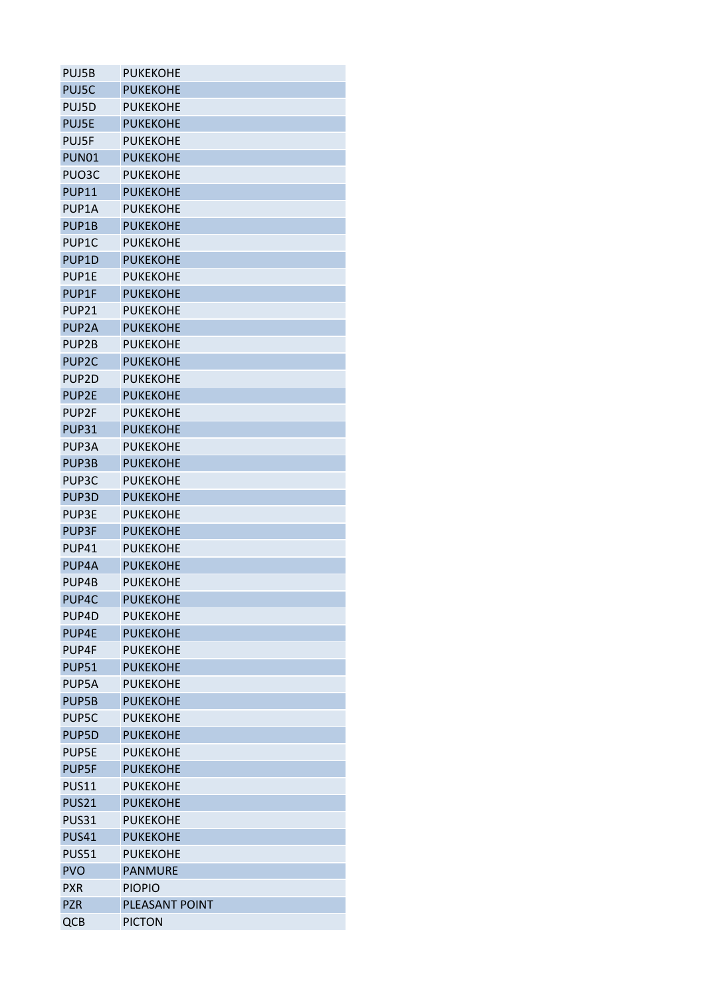| PUJ5B              | <b>PUKEKOHE</b> |
|--------------------|-----------------|
| PUJ5C              | <b>PUKEKOHE</b> |
| PUJ5D              | <b>PUKEKOHE</b> |
| <b>PUJ5E</b>       | <b>PUKEKOHE</b> |
| PUJ5F              | <b>PUKEKOHE</b> |
| <b>PUN01</b>       | <b>PUKEKOHE</b> |
| PUO3C              | <b>PUKEKOHE</b> |
| <b>PUP11</b>       | <b>PUKEKOHE</b> |
| PUP <sub>1</sub> A | <b>PUKEKOHE</b> |
| PUP1B              | <b>PUKEKOHE</b> |
| PUP <sub>1</sub> C | <b>PUKEKOHE</b> |
| PUP1D              | <b>PUKEKOHE</b> |
| PUP1E              | <b>PUKEKOHE</b> |
| PUP1F              | <b>PUKEKOHE</b> |
| <b>PUP21</b>       | <b>PUKEKOHE</b> |
| PUP <sub>2A</sub>  | <b>PUKEKOHE</b> |
| PUP <sub>2B</sub>  | <b>PUKEKOHE</b> |
| PUP <sub>2C</sub>  | <b>PUKEKOHE</b> |
| PUP <sub>2D</sub>  | <b>PUKEKOHE</b> |
| PUP2E              | <b>PUKEKOHE</b> |
| PUP <sub>2F</sub>  | <b>PUKEKOHE</b> |
| PUP31              | <b>PUKEKOHE</b> |
| PUP3A              | <b>PUKEKOHE</b> |
| PUP3B              | <b>PUKEKOHE</b> |
| PUP3C              | <b>PUKEKOHE</b> |
| PUP3D              | <b>PUKEKOHE</b> |
| PUP3E              | <b>PUKEKOHE</b> |
| PUP3F              | <b>PUKEKOHE</b> |
| PUP41              | <b>PUKEKOHE</b> |
| PUP4A              | <b>PUKEKOHE</b> |
| PUP4B              | <b>PUKEKOHE</b> |
| PUP4C              | <b>PUKEKOHE</b> |
| PUP4D              | <b>PUKEKOHE</b> |
| PUP4E              | <b>PUKEKOHE</b> |
| PUP4F              | <b>PUKEKOHE</b> |
| <b>PUP51</b>       | <b>PUKEKOHE</b> |
| PUP5A              | <b>PUKEKOHE</b> |
| PUP5B              | <b>PUKEKOHE</b> |
| PUP5C              | <b>PUKEKOHE</b> |
| PUP5D              | <b>PUKEKOHE</b> |
| PUP5E              | <b>PUKEKOHE</b> |
| PUP5F              | <b>PUKEKOHE</b> |
| <b>PUS11</b>       | <b>PUKEKOHE</b> |
| <b>PUS21</b>       | <b>PUKEKOHE</b> |
| <b>PUS31</b>       | <b>PUKEKOHE</b> |
| <b>PUS41</b>       | <b>PUKEKOHE</b> |
| <b>PUS51</b>       | <b>PUKEKOHE</b> |
| <b>PVO</b>         | <b>PANMURE</b>  |
| <b>PXR</b>         | <b>PIOPIO</b>   |
| <b>PZR</b>         | PLEASANT POINT  |
| QCB                | <b>PICTON</b>   |
|                    |                 |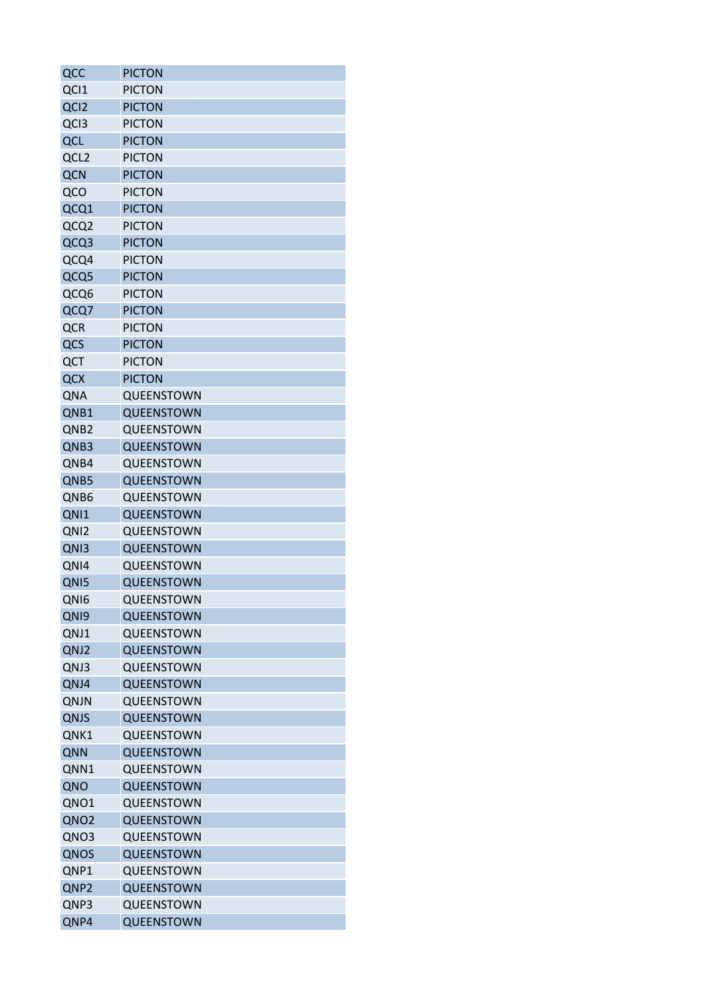| QCC              | PICTON            |
|------------------|-------------------|
| QCI1             | <b>PICTON</b>     |
| QCI <sub>2</sub> | <b>PICTON</b>     |
| QCI3             | <b>PICTON</b>     |
| QCL              | <b>PICTON</b>     |
| QCL <sub>2</sub> | <b>PICTON</b>     |
| <b>QCN</b>       | <b>PICTON</b>     |
| QCO              | <b>PICTON</b>     |
| QCQ1             | <b>PICTON</b>     |
| QCQ2             | <b>PICTON</b>     |
| QCQ3             | <b>PICTON</b>     |
| QCQ4             | <b>PICTON</b>     |
| QCQ5             | <b>PICTON</b>     |
| QCQ6             | <b>PICTON</b>     |
| QCQ7             | <b>PICTON</b>     |
| <b>QCR</b>       | <b>PICTON</b>     |
| QCS              | <b>PICTON</b>     |
| QCT              | <b>PICTON</b>     |
| QCX              | <b>PICTON</b>     |
| <b>QNA</b>       | QUEENSTOWN        |
| QNB1             | QUEENSTOWN        |
| QNB <sub>2</sub> | QUEENSTOWN        |
| QNB3             | QUEENSTOWN        |
| QNB4             | QUEENSTOWN        |
| QNB5             | QUEENSTOWN        |
| QNB6             | QUEENSTOWN        |
| QNI1             | QUEENSTOWN        |
| QNI <sub>2</sub> | QUEENSTOWN        |
| QNI3             | QUEENSTOWN        |
| QNI4             | QUEENSTOWN        |
| QNI5             | QUEENSTOWN        |
| QNI6             | QUEENSTOWN        |
| QNI9             | QUEENSTOWN        |
| QNJ1             | QUEENSTOWN        |
| QNJ2             | <b>QUEENSTOWN</b> |
| QNJ3             | QUEENSTOWN        |
| QNJ4             | QUEENSTOWN        |
| QNJN             | QUEENSTOWN        |
| QNJS             | QUEENSTOWN        |
| QNK1             | QUEENSTOWN        |
| QNN              | QUEENSTOWN        |
| QNN1             | QUEENSTOWN        |
| QNO              | QUEENSTOWN        |
| QNO1             | QUEENSTOWN        |
| QNO <sub>2</sub> | QUEENSTOWN        |
| QNO3             | QUEENSTOWN        |
| QNOS             | QUEENSTOWN        |
| QNP1             | QUEENSTOWN        |
| QNP <sub>2</sub> | QUEENSTOWN        |
| QNP3             | QUEENSTOWN        |
| QNP4             | QUEENSTOWN        |
|                  |                   |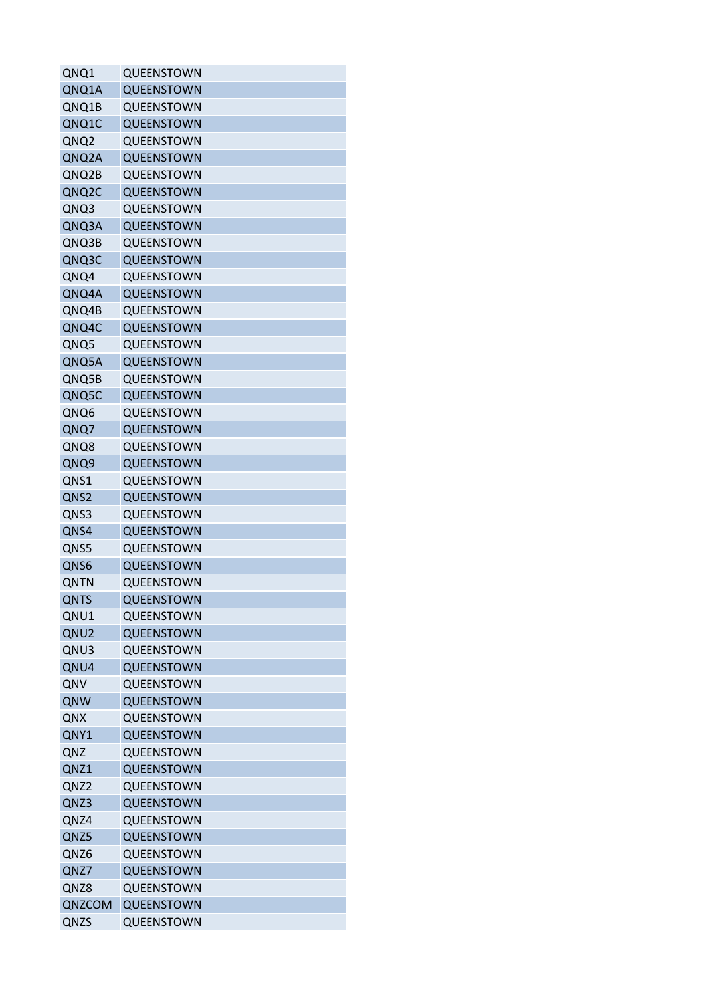| QNQ1        | QUEENSTOWN        |
|-------------|-------------------|
| QNQ1A       | <b>QUEENSTOWN</b> |
| QNQ1B       | QUEENSTOWN        |
| QNQ1C       | QUEENSTOWN        |
| QNQ2        | QUEENSTOWN        |
| QNQ2A       | QUEENSTOWN        |
| QNQ2B       | QUEENSTOWN        |
| QNQ2C       | QUEENSTOWN        |
| QNQ3        | QUEENSTOWN        |
| QNQ3A       | QUEENSTOWN        |
| QNQ3B       | QUEENSTOWN        |
| QNQ3C       | QUEENSTOWN        |
| QNQ4        | QUEENSTOWN        |
| QNQ4A       | QUEENSTOWN        |
| QNQ4B       | QUEENSTOWN        |
| QNQ4C       | QUEENSTOWN        |
| QNQ5        | QUEENSTOWN        |
| QNQ5A       | QUEENSTOWN        |
| QNQ5B       | QUEENSTOWN        |
| QNQ5C       | QUEENSTOWN        |
| QNQ6        | QUEENSTOWN        |
| QNQ7        | QUEENSTOWN        |
| QNQ8        | QUEENSTOWN        |
| QNQ9        | QUEENSTOWN        |
|             | QUEENSTOWN        |
| QNS1        | QUEENSTOWN        |
| QNS2        |                   |
| QNS3        | QUEENSTOWN        |
| QNS4        | QUEENSTOWN        |
| QNS5        | QUEENSTOWN        |
| QNS6        | QUEENSTOWN        |
| QNTN        | QUEENSTOWN        |
| <b>QNTS</b> | QUEENSTOWN        |
| QNU1        | QUEENSTOWN        |
| QNU2        | <b>QUEENSTOWN</b> |
| QNU3        | QUEENSTOWN        |
| QNU4        | QUEENSTOWN        |
| QNV         | QUEENSTOWN        |
| QNW         | QUEENSTOWN        |
| QNX         | QUEENSTOWN        |
| QNY1        | <b>QUEENSTOWN</b> |
| QNZ         | QUEENSTOWN        |
| QNZ1        | QUEENSTOWN        |
| QNZ2        | QUEENSTOWN        |
| QNZ3        | QUEENSTOWN        |
| QNZ4        | QUEENSTOWN        |
| QNZ5        | QUEENSTOWN        |
| QNZ6        | QUEENSTOWN        |
| QNZ7        | QUEENSTOWN        |
| QNZ8        | QUEENSTOWN        |
| QNZCOM      | QUEENSTOWN        |
| QNZS        | QUEENSTOWN        |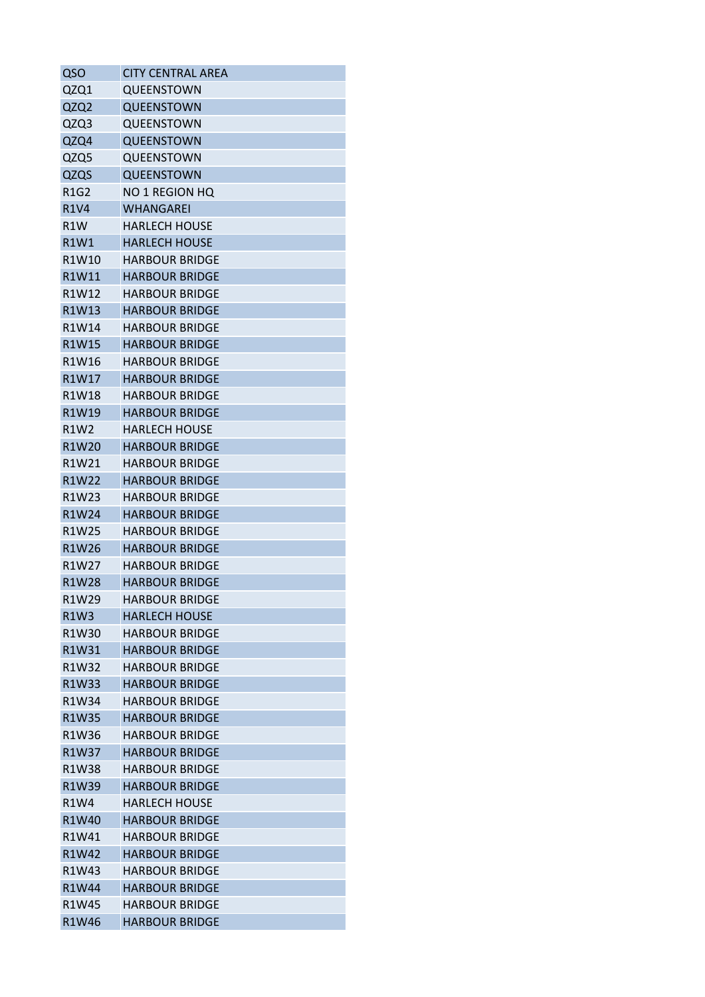| QSO                           | <b>CITY CENTRAL AREA</b> |
|-------------------------------|--------------------------|
| QZQ1                          | QUEENSTOWN               |
| QZQ2                          | <b>QUEENSTOWN</b>        |
| QZQ3                          | QUEENSTOWN               |
| QZQ4                          | QUEENSTOWN               |
| QZQ5                          | QUEENSTOWN               |
| QZQS                          | QUEENSTOWN               |
| <b>R1G2</b>                   | <b>NO 1 REGION HQ</b>    |
| <b>R1V4</b>                   | <b>WHANGAREI</b>         |
| R <sub>1</sub> W              | <b>HARLECH HOUSE</b>     |
| R1W1                          | <b>HARLECH HOUSE</b>     |
| R1W10                         | <b>HARBOUR BRIDGE</b>    |
| R1W11                         | <b>HARBOUR BRIDGE</b>    |
| R1W12                         | <b>HARBOUR BRIDGE</b>    |
| R1W13                         | <b>HARBOUR BRIDGE</b>    |
| R1W14                         | <b>HARBOUR BRIDGE</b>    |
| R1W15                         | <b>HARBOUR BRIDGE</b>    |
| R1W16                         | <b>HARBOUR BRIDGE</b>    |
| R1W17                         | <b>HARBOUR BRIDGE</b>    |
| R1W18                         | <b>HARBOUR BRIDGE</b>    |
| R1W19                         | <b>HARBOUR BRIDGE</b>    |
| <b>R1W2</b>                   | <b>HARLECH HOUSE</b>     |
| R1W20                         | <b>HARBOUR BRIDGE</b>    |
| R1W21                         | <b>HARBOUR BRIDGE</b>    |
| R1W22                         | <b>HARBOUR BRIDGE</b>    |
| R1W23                         | <b>HARBOUR BRIDGE</b>    |
| R1W24                         | <b>HARBOUR BRIDGE</b>    |
| R1W25                         | <b>HARBOUR BRIDGE</b>    |
| R1W26                         | <b>HARBOUR BRIDGE</b>    |
| R1W27                         | <b>HARBOUR BRIDGE</b>    |
| R1W28                         | <b>HARBOUR BRIDGE</b>    |
| R1W29                         | <b>HARBOUR BRIDGE</b>    |
| R <sub>1</sub> W <sub>3</sub> | <b>HARLECH HOUSE</b>     |
| R1W30                         | <b>HARBOUR BRIDGE</b>    |
|                               | <b>HARBOUR BRIDGE</b>    |
| R1W31<br>R1W32                | <b>HARBOUR BRIDGE</b>    |
|                               |                          |
| R1W33                         | <b>HARBOUR BRIDGE</b>    |
| R1W34                         | <b>HARBOUR BRIDGE</b>    |
| R1W35                         | <b>HARBOUR BRIDGE</b>    |
| R1W36                         | <b>HARBOUR BRIDGE</b>    |
| R1W37                         | <b>HARBOUR BRIDGE</b>    |
| R1W38                         | <b>HARBOUR BRIDGE</b>    |
| R1W39                         | <b>HARBOUR BRIDGE</b>    |
| R1W4                          | HARLECH HOUSE            |
| R1W40                         | <b>HARBOUR BRIDGE</b>    |
| R1W41                         | HARBOUR BRIDGE           |
| R1W42                         | <b>HARBOUR BRIDGE</b>    |
| R1W43                         | <b>HARBOUR BRIDGE</b>    |
| R1W44                         | <b>HARBOUR BRIDGE</b>    |
| R1W45                         | <b>HARBOUR BRIDGE</b>    |
| R1W46                         | <b>HARBOUR BRIDGE</b>    |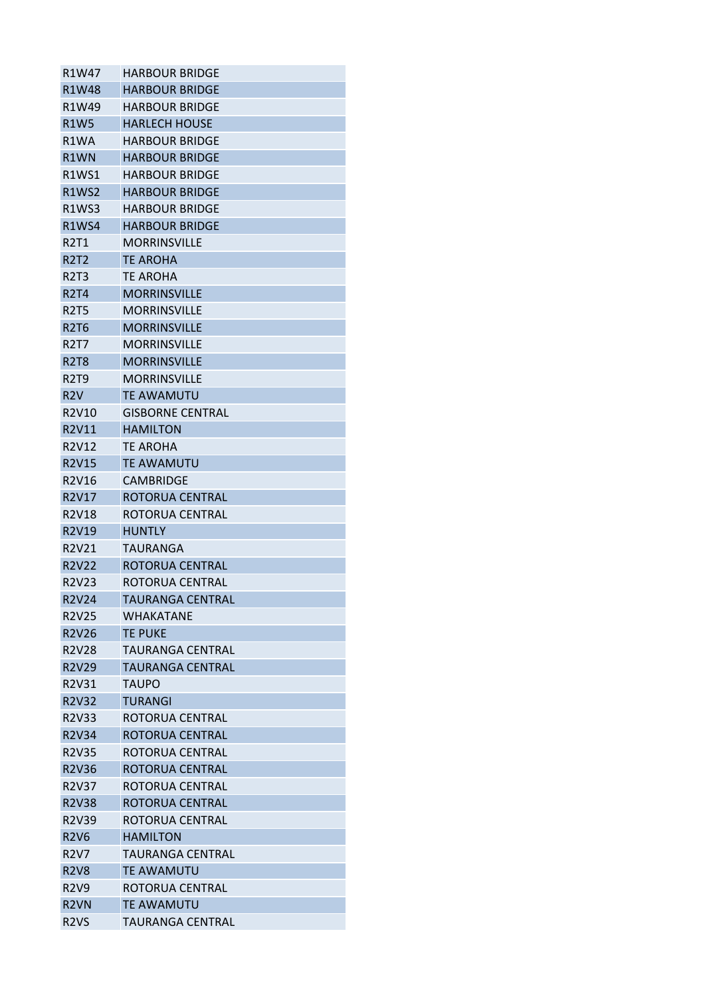| R1W47                          | <b>HARBOUR BRIDGE</b>   |
|--------------------------------|-------------------------|
| R1W48                          | <b>HARBOUR BRIDGE</b>   |
| R1W49                          | <b>HARBOUR BRIDGE</b>   |
| <b>R1W5</b>                    | <b>HARLECH HOUSE</b>    |
| R1WA                           | HARBOUR BRIDGE          |
| R1WN                           | <b>HARBOUR BRIDGE</b>   |
| R1WS1                          | <b>HARBOUR BRIDGE</b>   |
| <b>R1WS2</b>                   | <b>HARBOUR BRIDGE</b>   |
| R <sub>1</sub> WS <sub>3</sub> | <b>HARBOUR BRIDGE</b>   |
| <b>R1WS4</b>                   | <b>HARBOUR BRIDGE</b>   |
| R2T1                           | <b>MORRINSVILLE</b>     |
| <b>R2T2</b>                    | TE AROHA                |
| R2T3                           | TE AROHA                |
| <b>R2T4</b>                    | <b>MORRINSVILLE</b>     |
| <b>R2T5</b>                    | <b>MORRINSVILLE</b>     |
| <b>R2T6</b>                    | <b>MORRINSVILLE</b>     |
| R2T7                           | <b>MORRINSVILLE</b>     |
| <b>R2T8</b>                    | <b>MORRINSVILLE</b>     |
| <b>R2T9</b>                    | <b>MORRINSVILLE</b>     |
| R2V                            | <b>TE AWAMUTU</b>       |
| R2V10                          | <b>GISBORNE CENTRAL</b> |
| R2V11                          | <b>HAMILTON</b>         |
| R2V12                          | TE AROHA                |
| R2V15                          | <b>TE AWAMUTU</b>       |
| R2V16                          | <b>CAMBRIDGE</b>        |
| R2V17                          | ROTORUA CENTRAL         |
| R2V18                          | ROTORUA CENTRAL         |
| R2V19                          | <b>HUNTLY</b>           |
| R2V21                          | <b>TAURANGA</b>         |
| <b>R2V22</b>                   | ROTORUA CENTRAL         |
| R2V23                          | ROTORUA CENTRAL         |
| <b>R2V24</b>                   | <b>TAURANGA CENTRAL</b> |
| R <sub>2</sub> V <sub>25</sub> | WHAKATANF               |
| R2V26                          | <b>TE PUKE</b>          |
| R2V28                          | <b>TAURANGA CENTRAL</b> |
| <b>R2V29</b>                   | <b>TAURANGA CENTRAL</b> |
| R2V31                          | TAUPO                   |
| <b>R2V32</b>                   | <b>TURANGI</b>          |
| R2V33                          | ROTORUA CENTRAL         |
| <b>R2V34</b>                   | ROTORUA CENTRAL         |
| R2V35                          | ROTORUA CENTRAL         |
| R2V36                          | ROTORUA CENTRAL         |
| R2V37                          | ROTORUA CENTRAL         |
| R2V38                          | ROTORUA CENTRAL         |
| R2V39                          | ROTORUA CENTRAL         |
| <b>R2V6</b>                    | <b>HAMILTON</b>         |
| <b>R2V7</b>                    | <b>TAURANGA CENTRAL</b> |
| <b>R2V8</b>                    | <b>TE AWAMUTU</b>       |
| R <sub>2</sub> V <sub>9</sub>  | ROTORUA CENTRAL         |
| R <sub>2</sub> VN              | <b>TE AWAMUTU</b>       |
| R <sub>2</sub> VS              | TAURANGA CENTRAL        |
|                                |                         |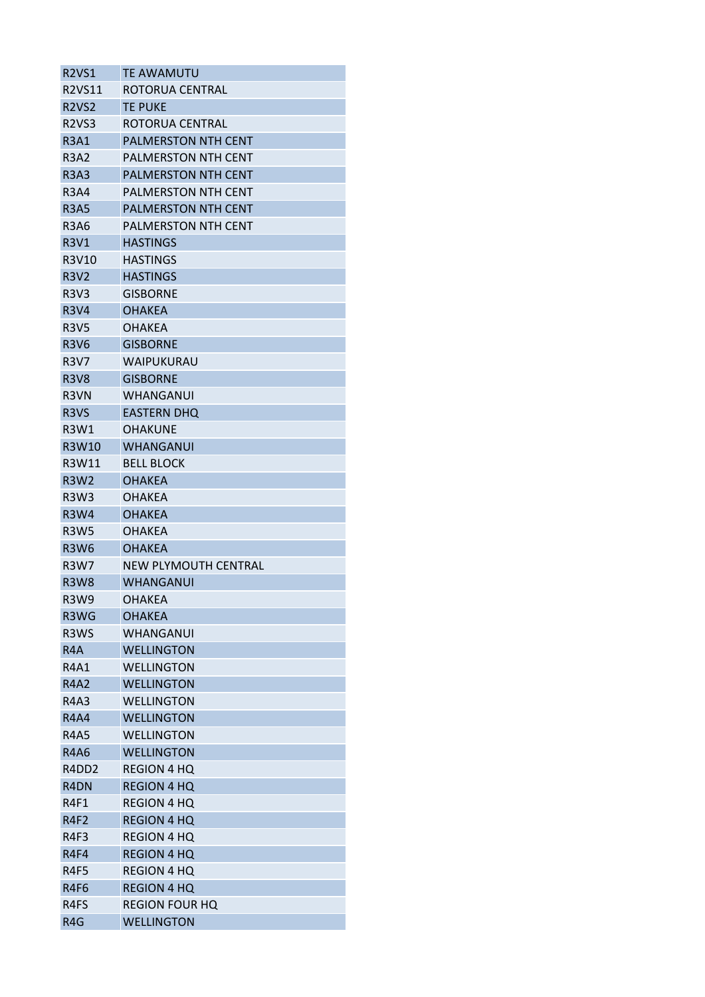| <b>R2VS1</b>                               | <b>TE AWAMUTU</b>              |
|--------------------------------------------|--------------------------------|
| <b>R2VS11</b>                              | ROTORUA CENTRAL                |
| <b>R2VS2</b>                               | <b>TE PUKE</b>                 |
| R <sub>2</sub> VS <sub>3</sub>             | ROTORUA CENTRAL                |
| <b>R3A1</b>                                | <b>PALMERSTON NTH CENT</b>     |
| <b>R3A2</b>                                | <b>PALMERSTON NTH CENT</b>     |
| <b>R3A3</b>                                | <b>PALMERSTON NTH CENT</b>     |
| R3A4                                       | <b>PALMERSTON NTH CENT</b>     |
| <b>R3A5</b>                                | <b>PALMERSTON NTH CENT</b>     |
| R3A6                                       | PALMERSTON NTH CENT            |
| <b>R3V1</b>                                | <b>HASTINGS</b>                |
| R3V10                                      | <b>HASTINGS</b>                |
| <b>R3V2</b>                                | <b>HASTINGS</b>                |
| <b>R3V3</b>                                | <b>GISBORNE</b>                |
| <b>R3V4</b>                                | <b>OHAKEA</b>                  |
| <b>R3V5</b>                                | OHAKEA                         |
| <b>R3V6</b>                                | <b>GISBORNE</b>                |
| <b>R3V7</b>                                | WAIPUKURAU                     |
| <b>R3V8</b>                                | <b>GISBORNE</b>                |
| R <sub>3</sub> VN                          | <b>WHANGANUI</b>               |
| R <sub>3</sub> VS                          | <b>EASTERN DHQ</b>             |
| R3W1                                       | <b>OHAKUNE</b>                 |
| R3W10                                      | WHANGANUI                      |
| R3W11                                      | <b>BELL BLOCK</b>              |
| <b>R3W2</b>                                | <b>OHAKEA</b>                  |
| R3W3                                       | <b>OHAKEA</b>                  |
| <b>R3W4</b>                                | <b>OHAKEA</b>                  |
| <b>R3W5</b>                                | OHAKEA                         |
| <b>R3W6</b>                                | <b>OHAKEA</b>                  |
| <b>R3W7</b>                                | <b>NEW PLYMOUTH CENTRAL</b>    |
| <b>R3W8</b>                                | <b>WHANGANUI</b>               |
| <b>R3W9</b>                                |                                |
| R <sub>3</sub> W <sub>G</sub>              | <b>OHAKEA</b><br><b>OHAKEA</b> |
|                                            | <b>WHANGANUI</b>               |
| R3WS                                       |                                |
| R4A                                        | <b>WELLINGTON</b>              |
| R4A1                                       | <b>WELLINGTON</b>              |
| <b>R4A2</b>                                | <b>WELLINGTON</b>              |
| <b>R4A3</b>                                | <b>WELLINGTON</b>              |
| <b>R4A4</b>                                | <b>WELLINGTON</b>              |
| <b>R4A5</b>                                | <b>WELLINGTON</b>              |
| <b>R4A6</b>                                | <b>WELLINGTON</b>              |
| R <sub>4</sub> D <sub>D</sub> <sub>2</sub> | <b>REGION 4 HQ</b>             |
| R <sub>4</sub> DN                          | <b>REGION 4 HQ</b>             |
| R4F1                                       | REGION 4 HQ                    |
| <b>R4F2</b>                                | <b>REGION 4 HQ</b>             |
| R4F3                                       | REGION 4 HQ                    |
| R4F4                                       | <b>REGION 4 HQ</b>             |
| R4F5                                       | <b>REGION 4 HQ</b>             |
| R4F6                                       | <b>REGION 4 HQ</b>             |
| R4FS                                       | <b>REGION FOUR HQ</b>          |
| R <sub>4</sub> G                           | <b>WELLINGTON</b>              |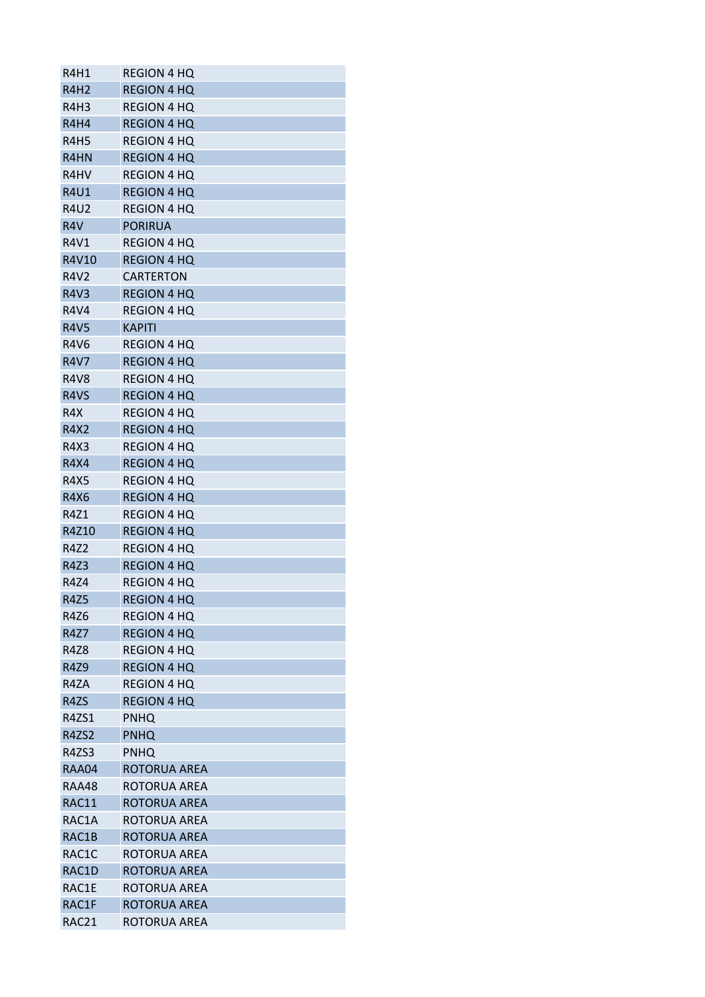| R4H1                          | <b>REGION 4 HQ</b>           |
|-------------------------------|------------------------------|
| <b>R4H2</b>                   | <b>REGION 4 HQ</b>           |
| R4H3                          | REGION 4 HQ                  |
| R4H4                          | <b>REGION 4 HQ</b>           |
| R4H5                          | <b>REGION 4 HQ</b>           |
| R4HN                          | <b>REGION 4 HQ</b>           |
| R <sub>4</sub> H <sub>V</sub> | REGION 4 HQ                  |
| <b>R4U1</b>                   | <b>REGION 4 HO</b>           |
| <b>R4U2</b>                   | <b>REGION 4 HQ</b>           |
| R <sub>4</sub> V              | <b>PORIRUA</b>               |
| R4V1                          | <b>REGION 4 HQ</b>           |
| R4V10                         | <b>REGION 4 HQ</b>           |
| <b>R4V2</b>                   | <b>CARTERTON</b>             |
| <b>R4V3</b>                   | <b>REGION 4 HQ</b>           |
| <b>R4V4</b>                   | <b>REGION 4 HQ</b>           |
| <b>R4V5</b>                   | <b>KAPITI</b>                |
| <b>R4V6</b>                   | <b>REGION 4 HO</b>           |
| <b>R4V7</b>                   | <b>REGION 4 HQ</b>           |
| R4V8                          | <b>REGION 4 HQ</b>           |
| R4VS                          | <b>REGION 4 HQ</b>           |
| R <sub>4</sub> X              | <b>REGION 4 HQ</b>           |
| R4X2                          | <b>REGION 4 HQ</b>           |
| R4X3                          | <b>REGION 4 HQ</b>           |
| <b>R4X4</b>                   | <b>REGION 4 HQ</b>           |
| <b>R4X5</b>                   | <b>REGION 4 HQ</b>           |
| R4X6                          | <b>REGION 4 HQ</b>           |
| R4Z1                          | <b>REGION 4 HQ</b>           |
| R4Z10                         | <b>REGION 4 HQ</b>           |
| <b>R4Z2</b>                   | <b>REGION 4 HQ</b>           |
| R4Z3                          | <b>REGION 4 HQ</b>           |
| <b>R4Z4</b>                   | <b>REGION 4 HQ</b>           |
| <b>R4Z5</b>                   | <b>REGION 4 HQ</b>           |
| R4Z6                          | <b>REGION 4 HQ</b>           |
| R4Z7                          | <b>REGION 4 HQ</b>           |
| R4Z8                          | <b>REGION 4 HQ</b>           |
| <b>R4Z9</b>                   | <b>REGION 4 HQ</b>           |
| R4ZA                          | <b>REGION 4 HQ</b>           |
| R4ZS                          | <b>REGION 4 HQ</b>           |
| R4ZS1                         | <b>PNHQ</b>                  |
| R4ZS2                         | <b>PNHQ</b>                  |
| R4ZS3                         | <b>PNHQ</b>                  |
| RAA04                         | ROTORUA AREA                 |
| <b>RAA48</b>                  | ROTORUA AREA                 |
| RAC11                         |                              |
| RAC1A                         | ROTORUA AREA<br>ROTORUA AREA |
| RAC1B                         |                              |
|                               | ROTORUA AREA                 |
| RAC1C                         | ROTORUA AREA                 |
| RAC1D                         | <b>ROTORUA AREA</b>          |
| RAC1E                         | ROTORUA AREA                 |
| RAC1F                         | ROTORUA AREA                 |
| RAC21                         | ROTORUA AREA                 |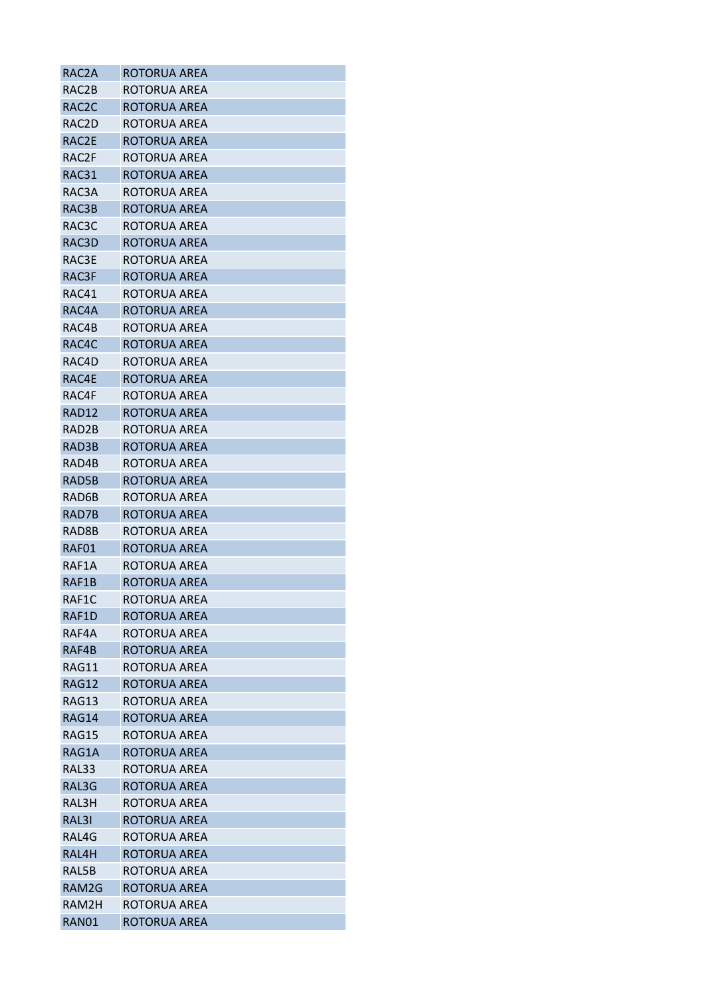| RAC2A              | ROTORUA AREA |
|--------------------|--------------|
| RAC2B              | ROTORUA AREA |
| RAC <sub>2</sub> C | ROTORUA AREA |
| RAC2D              | ROTORUA AREA |
| RAC2E              | ROTORUA AREA |
| RAC2F              | ROTORUA AREA |
| RAC31              | ROTORUA AREA |
| RAC3A              | ROTORUA AREA |
| RAC3B              | ROTORUA AREA |
| RAC3C              | ROTORUA AREA |
| RAC3D              | ROTORUA AREA |
| RAC3E              | ROTORUA AREA |
| RAC3F              | ROTORUA AREA |
| RAC41              | ROTORUA AREA |
| RAC4A              | ROTORUA AREA |
| RAC4B              | ROTORUA AREA |
| RAC4C              | ROTORUA AREA |
| RAC4D              | ROTORUA AREA |
| RAC4E              | ROTORUA AREA |
| RAC4F              | ROTORUA AREA |
| RAD12              | ROTORUA AREA |
| RAD2B              | ROTORUA AREA |
| RAD3B              | ROTORUA AREA |
| RAD4B              | ROTORUA AREA |
| RAD5B              | ROTORUA AREA |
| RAD6B              | ROTORUA AREA |
| RAD7B              | ROTORUA AREA |
| RAD8B              | ROTORUA AREA |
| RAF01              | ROTORUA AREA |
| RAF1A              | ROTORUA AREA |
| RAF1B              | ROTORUA AREA |
| RAF1C              | ROTORUA AREA |
| RAF1D              | ROTORUA AREA |
| RAF4A              | ROTORUA AREA |
| RAF4B              | ROTORUA AREA |
| RAG11              | ROTORUA AREA |
| RAG12              | ROTORUA AREA |
| RAG13              | ROTORUA AREA |
| RAG14              | ROTORUA AREA |
| RAG15              | ROTORUA AREA |
| RAG1A              | ROTORUA AREA |
| RAL33              | ROTORUA AREA |
| RAL3G              | ROTORUA AREA |
| RAL3H              | ROTORUA AREA |
| RAL3I              | ROTORUA AREA |
| RAL4G              | ROTORUA AREA |
| RAL4H              | ROTORUA AREA |
| RAL5B              | ROTORUA AREA |
| RAM2G              | ROTORUA AREA |
| RAM2H              | ROTORUA AREA |
| RAN01              | ROTORUA AREA |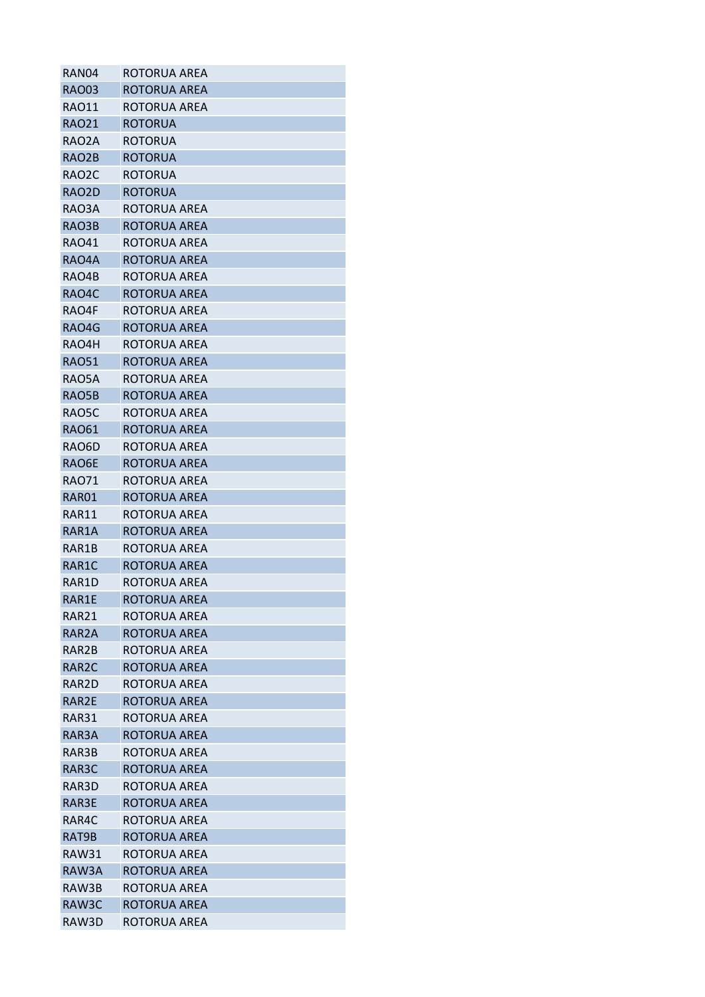| RAN04              | ROTORUA AREA                 |
|--------------------|------------------------------|
| <b>RAO03</b>       | ROTORUA AREA                 |
| RAO11              | ROTORUA AREA                 |
| <b>RAO21</b>       | <b>ROTORUA</b>               |
| RAO2A              | <b>ROTORUA</b>               |
| RAO <sub>2</sub> B | <b>ROTORUA</b>               |
| RAO2C              | ROTORUA                      |
| RAO <sub>2</sub> D | <b>ROTORUA</b>               |
| RAO3A              | ROTORUA AREA                 |
| RAO3B              | ROTORUA AREA                 |
| <b>RAO41</b>       | ROTORUA AREA                 |
| RAO4A              | ROTORUA AREA                 |
| RAO4B              | ROTORUA AREA                 |
| RAO4C              | ROTORUA AREA                 |
| RAO4F              | ROTORUA AREA                 |
| RAO4G              | ROTORUA AREA                 |
| RAO4H              | ROTORUA AREA                 |
| <b>RAO51</b>       | ROTORUA AREA                 |
| RAO5A              | ROTORUA AREA                 |
| RAO5B              | ROTORUA AREA                 |
| RAO5C              | ROTORUA AREA                 |
| <b>RAO61</b>       | ROTORUA AREA                 |
| RAO6D              | ROTORUA AREA                 |
| RAO6E              | ROTORUA AREA                 |
| <b>RAO71</b>       | ROTORUA AREA                 |
| RAR01              | ROTORUA AREA                 |
| RAR11              | ROTORUA AREA                 |
| RAR1A              |                              |
|                    | ROTORUA AREA<br>ROTORUA AREA |
| RAR1B              |                              |
| RAR1C              | ROTORUA AREA                 |
| RAR1D              | ROTORUA AREA                 |
| RAR1E              | ROTORUA AREA                 |
| RAR21              | ROTORUA AREA                 |
| RAR <sub>2</sub> A | ROTORUA AREA                 |
| RAR2B              | ROTORUA AREA                 |
| RAR <sub>2</sub> C | ROTORUA AREA                 |
| RAR2D              | ROTORUA AREA                 |
| RAR2E              | ROTORUA AREA                 |
| RAR31              | ROTORUA AREA                 |
| RAR3A              | ROTORUA AREA                 |
| RAR3B              | ROTORUA AREA                 |
| RAR3C              | ROTORUA AREA                 |
| RAR3D              | ROTORUA AREA                 |
| RAR3E              | ROTORUA AREA                 |
| RAR4C              | ROTORUA AREA                 |
| RAT9B              | ROTORUA AREA                 |
| <b>RAW31</b>       | ROTORUA AREA                 |
| RAW3A              | ROTORUA AREA                 |
| RAW3B              | ROTORUA AREA                 |
| RAW3C              | <b>ROTORUA AREA</b>          |
| RAW3D              | ROTORUA AREA                 |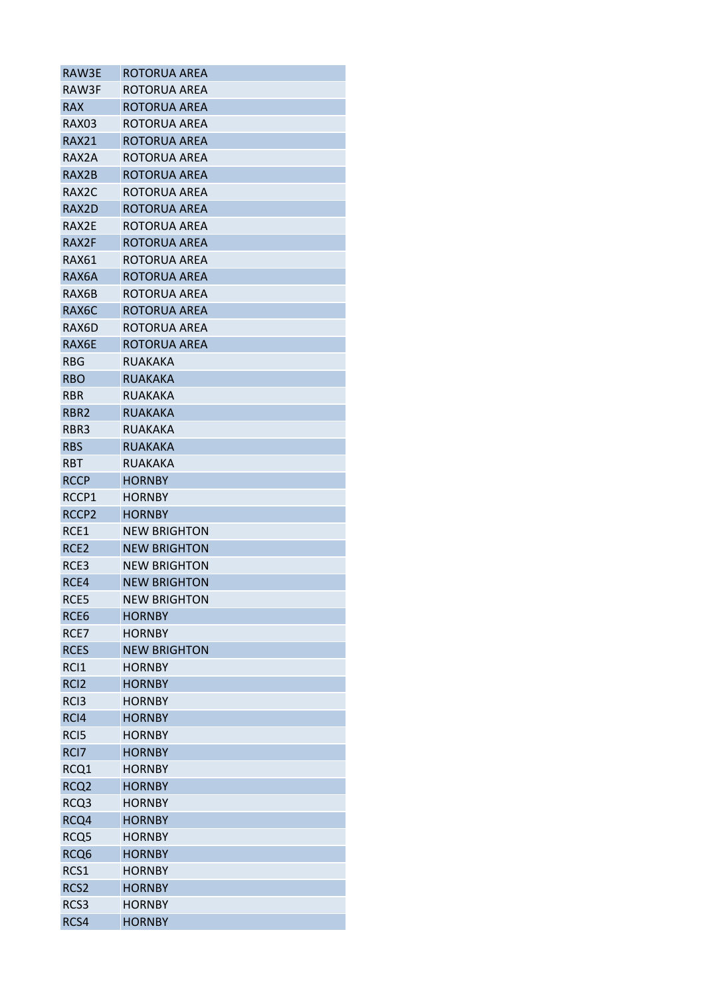| RAW3E              | ROTORUA AREA        |
|--------------------|---------------------|
| RAW3F              | ROTORUA AREA        |
| <b>RAX</b>         | ROTORUA AREA        |
| RAX03              | ROTORUA AREA        |
| <b>RAX21</b>       | ROTORUA AREA        |
| RAX2A              | ROTORUA AREA        |
| RAX2B              | ROTORUA AREA        |
| RAX <sub>2</sub> C | ROTORUA AREA        |
| RAX2D              | <b>ROTORUA AREA</b> |
| RAX2E              | ROTORUA AREA        |
| RAX2F              | ROTORUA AREA        |
| RAX61              | ROTORUA AREA        |
| RAX6A              | ROTORUA AREA        |
| RAX6B              | ROTORUA AREA        |
| RAX6C              | ROTORUA AREA        |
| RAX6D              | ROTORUA AREA        |
| RAX6E              | <b>ROTORUA AREA</b> |
| <b>RBG</b>         | <b>RUAKAKA</b>      |
| <b>RBO</b>         | <b>RUAKAKA</b>      |
| <b>RBR</b>         | <b>RUAKAKA</b>      |
| RBR <sub>2</sub>   | <b>RUAKAKA</b>      |
| RBR3               | <b>RUAKAKA</b>      |
| <b>RBS</b>         | <b>RUAKAKA</b>      |
|                    |                     |
| <b>RBT</b>         | <b>RUAKAKA</b>      |
| <b>RCCP</b>        | <b>HORNBY</b>       |
| RCCP1              | <b>HORNBY</b>       |
| RCCP <sub>2</sub>  | <b>HORNBY</b>       |
| RCE1               | <b>NEW BRIGHTON</b> |
| RCE <sub>2</sub>   | <b>NEW BRIGHTON</b> |
| RCE3               | <b>NEW BRIGHTON</b> |
| RCE4               | <b>NEW BRIGHTON</b> |
| RCE5               | <b>NEW BRIGHTON</b> |
| RCE6               | <b>HORNBY</b>       |
| RCE7               | <b>HORNBY</b>       |
| <b>RCES</b>        | <b>NEW BRIGHTON</b> |
| RCI1               | <b>HORNBY</b>       |
| RC <sub>12</sub>   | <b>HORNBY</b>       |
| RC <sub>13</sub>   | <b>HORNBY</b>       |
| RCI4               | <b>HORNBY</b>       |
| RC <sub>I5</sub>   | <b>HORNBY</b>       |
| RCI <sub>7</sub>   | <b>HORNBY</b>       |
| RCQ1               | <b>HORNBY</b>       |
| RCQ <sub>2</sub>   | <b>HORNBY</b>       |
| RCQ3               | <b>HORNBY</b>       |
| RCQ4               | <b>HORNBY</b>       |
| RCQ5               | <b>HORNBY</b>       |
| RCQ <sub>6</sub>   | <b>HORNBY</b>       |
| RCS1               | <b>HORNBY</b>       |
| RCS <sub>2</sub>   | <b>HORNBY</b>       |
| RCS3               | <b>HORNBY</b>       |
| RCS4               | <b>HORNBY</b>       |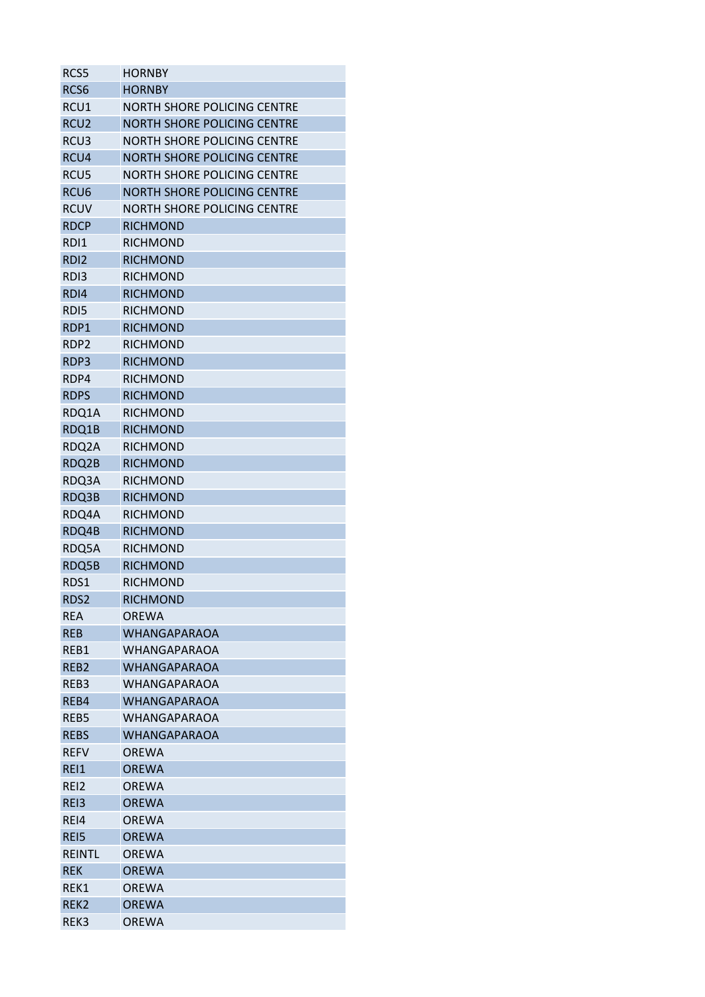| RCS5             | <b>HORNBY</b>                      |
|------------------|------------------------------------|
| RCS <sub>6</sub> | <b>HORNBY</b>                      |
| RCU1             | NORTH SHORE POLICING CENTRE        |
| RCU <sub>2</sub> | <b>NORTH SHORE POLICING CENTRE</b> |
| RCU <sub>3</sub> | NORTH SHORE POLICING CENTRE        |
| RCU4             | <b>NORTH SHORE POLICING CENTRE</b> |
| RCU <sub>5</sub> | NORTH SHORE POLICING CENTRE        |
| RCU <sub>6</sub> | <b>NORTH SHORE POLICING CENTRE</b> |
| <b>RCUV</b>      | <b>NORTH SHORE POLICING CENTRE</b> |
| <b>RDCP</b>      | <b>RICHMOND</b>                    |
| RD <sub>1</sub>  | <b>RICHMOND</b>                    |
| RD <sub>12</sub> | <b>RICHMOND</b>                    |
| RD <sub>13</sub> | <b>RICHMOND</b>                    |
| RDI4             | <b>RICHMOND</b>                    |
| RD <sub>15</sub> | <b>RICHMOND</b>                    |
| RDP1             | <b>RICHMOND</b>                    |
| RDP2             | <b>RICHMOND</b>                    |
| RDP3             | <b>RICHMOND</b>                    |
| RDP4             | <b>RICHMOND</b>                    |
| <b>RDPS</b>      | <b>RICHMOND</b>                    |
| RDQ1A            | <b>RICHMOND</b>                    |
| RDQ1B            | <b>RICHMOND</b>                    |
| RDQ2A            | <b>RICHMOND</b>                    |
| RDQ2B            | <b>RICHMOND</b>                    |
| RDQ3A            | <b>RICHMOND</b>                    |
| RDQ3B            | <b>RICHMOND</b>                    |
| RDQ4A            | <b>RICHMOND</b>                    |
| RDQ4B            | <b>RICHMOND</b>                    |
| RDQ5A            | <b>RICHMOND</b>                    |
| RDQ5B            | <b>RICHMOND</b>                    |
| RDS1             | <b>RICHMOND</b>                    |
| RDS2             | <b>RICHMOND</b>                    |
| REA              | OREWA                              |
| <b>REB</b>       | <b>WHANGAPARAOA</b>                |
| REB1             | WHANGAPARAOA                       |
| REB <sub>2</sub> | WHANGAPARAOA                       |
| REB <sub>3</sub> | WHANGAPARAOA                       |
| REB4             | <b>WHANGAPARAOA</b>                |
| REB5             | WHANGAPARAOA                       |
| <b>REBS</b>      | <b>WHANGAPARAOA</b>                |
| <b>REFV</b>      | OREWA                              |
| REI1             | <b>OREWA</b>                       |
| REI2             | <b>OREWA</b>                       |
| RE <sub>13</sub> | <b>OREWA</b>                       |
| REI4             | OREWA                              |
| REI5             | <b>OREWA</b>                       |
| REINTL           | <b>OREWA</b>                       |
| <b>REK</b>       | <b>OREWA</b>                       |
| REK1             | <b>OREWA</b>                       |
| REK <sub>2</sub> | <b>OREWA</b>                       |
| REK3             | OREWA                              |
|                  |                                    |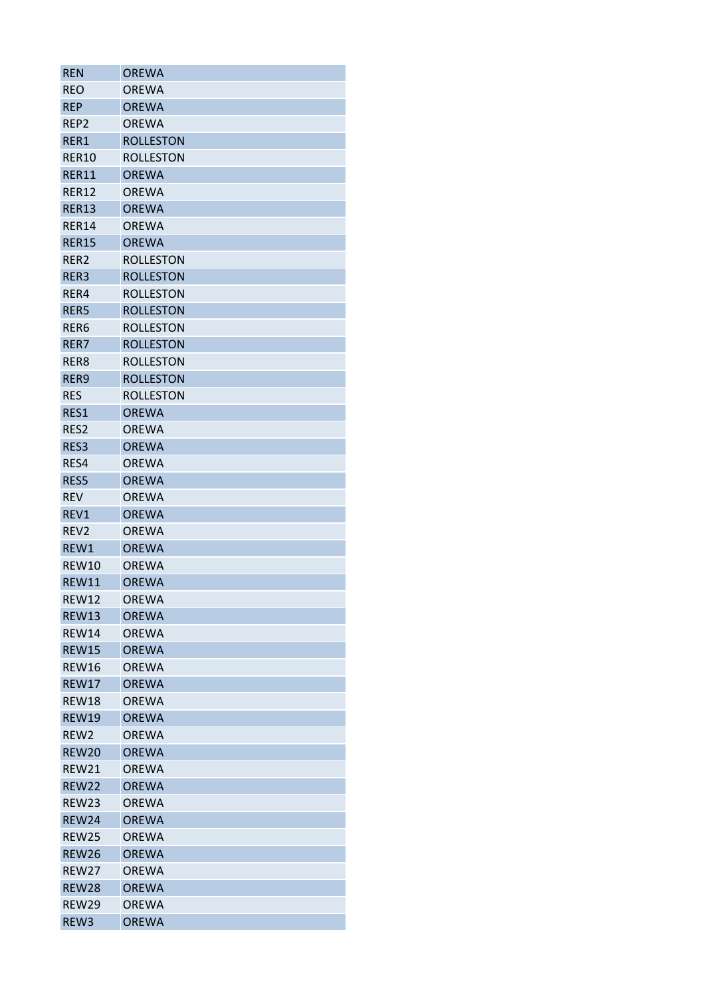| <b>REN</b>                   | OREWA                        |
|------------------------------|------------------------------|
| <b>REO</b>                   | OREWA                        |
| <b>REP</b>                   | <b>OREWA</b>                 |
| REP <sub>2</sub>             | <b>OREWA</b>                 |
| RER1                         | <b>ROLLESTON</b>             |
| RER10                        | <b>ROLLESTON</b>             |
| RER11                        | <b>OREWA</b>                 |
| <b>RER12</b>                 | <b>OREWA</b>                 |
| <b>RER13</b>                 | <b>OREWA</b>                 |
| <b>RER14</b>                 | <b>OREWA</b>                 |
| <b>RER15</b>                 | <b>OREWA</b>                 |
| RER2                         | <b>ROLLESTON</b>             |
| RER3                         | <b>ROLLESTON</b>             |
| RER4                         | <b>ROLLESTON</b>             |
| RER5                         | <b>ROLLESTON</b>             |
| RER6                         | <b>ROLLESTON</b>             |
| RER7                         | <b>ROLLESTON</b>             |
| RER8                         | <b>ROLLESTON</b>             |
| RER9                         | <b>ROLLESTON</b>             |
| <b>RES</b>                   | <b>ROLLESTON</b>             |
| RES1                         | <b>OREWA</b>                 |
| RES2                         | <b>OREWA</b>                 |
| RES3                         | <b>OREWA</b>                 |
| RES4                         | <b>OREWA</b>                 |
| RES5                         | <b>OREWA</b>                 |
| <b>REV</b>                   | <b>OREWA</b>                 |
| REV1                         | <b>OREWA</b>                 |
|                              |                              |
| REV <sub>2</sub><br>REW1     | <b>OREWA</b><br><b>OREWA</b> |
| REW10                        | <b>OREWA</b>                 |
|                              |                              |
| <b>REW11</b><br><b>REW12</b> | <b>OREWA</b>                 |
|                              | <b>OREWA</b>                 |
| <b>REW13</b>                 | <b>OREWA</b>                 |
| <b>REW14</b>                 | <b>OREWA</b>                 |
| <b>REW15</b>                 | <b>OREWA</b>                 |
| <b>REW16</b>                 | <b>OREWA</b>                 |
| <b>REW17</b>                 | <b>OREWA</b>                 |
| <b>REW18</b>                 | <b>OREWA</b>                 |
| <b>REW19</b>                 | <b>OREWA</b>                 |
| REW <sub>2</sub>             | ORFWA                        |
| <b>REW20</b>                 | <b>OREWA</b>                 |
| REW21                        | <b>OREWA</b>                 |
| <b>REW22</b>                 | <b>OREWA</b>                 |
| REW23                        | <b>OREWA</b>                 |
| <b>REW24</b>                 | <b>OREWA</b>                 |
| <b>REW25</b>                 | OREWA                        |
| <b>REW26</b>                 | <b>OREWA</b>                 |
| REW27                        | <b>OREWA</b>                 |
| <b>REW28</b>                 | <b>OREWA</b>                 |
| <b>REW29</b>                 | <b>OREWA</b>                 |
| REW3                         | <b>OREWA</b>                 |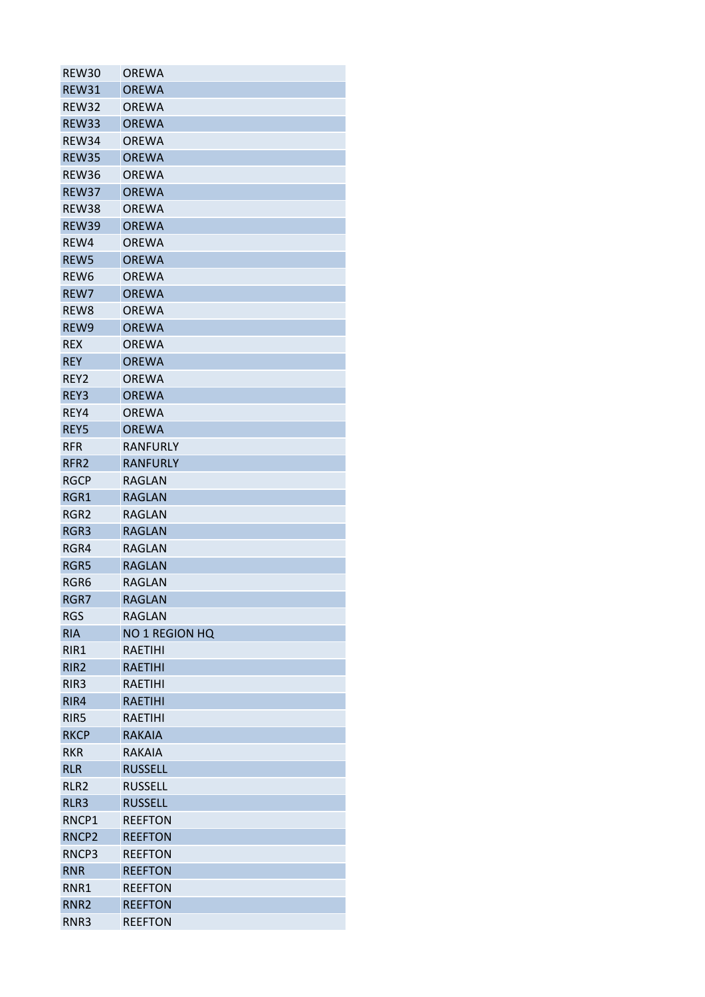| REW30             | <b>OREWA</b>    |
|-------------------|-----------------|
| REW31             | <b>OREWA</b>    |
| REW32             | <b>OREWA</b>    |
| <b>REW33</b>      | <b>OREWA</b>    |
| REW34             | <b>OREWA</b>    |
| <b>REW35</b>      | <b>OREWA</b>    |
| REW36             | <b>OREWA</b>    |
| REW37             | <b>OREWA</b>    |
| REW38             | <b>OREWA</b>    |
| <b>REW39</b>      | <b>OREWA</b>    |
| REW4              | <b>OREWA</b>    |
| REW5              | <b>OREWA</b>    |
| REW <sub>6</sub>  | <b>OREWA</b>    |
| REW7              | <b>OREWA</b>    |
| REW8              | <b>OREWA</b>    |
| REW9              | <b>OREWA</b>    |
| <b>REX</b>        | <b>OREWA</b>    |
| <b>REY</b>        | <b>OREWA</b>    |
| REY2              | <b>OREWA</b>    |
| REY3              | <b>OREWA</b>    |
| REY4              | <b>OREWA</b>    |
| REY5              | <b>OREWA</b>    |
| <b>RFR</b>        | <b>RANFURLY</b> |
| RFR <sub>2</sub>  | <b>RANFURLY</b> |
| <b>RGCP</b>       | RAGLAN          |
| RGR1              | <b>RAGLAN</b>   |
| RGR <sub>2</sub>  | RAGLAN          |
| RGR3              | <b>RAGLAN</b>   |
|                   | <b>RAGLAN</b>   |
| RGR4<br>RGR5      | <b>RAGLAN</b>   |
|                   |                 |
| RGR6              | RAGLAN          |
| RGR7              | <b>RAGLAN</b>   |
| <b>RGS</b>        | RAGLAN          |
| <b>RIA</b>        | NO 1 REGION HQ  |
| RIR1              | <b>RAETIHI</b>  |
| RIR <sub>2</sub>  | <b>RAETIHI</b>  |
| RIR <sub>3</sub>  | <b>RAETIHI</b>  |
| RIR4              | <b>RAETIHI</b>  |
| RIR5              | <b>RAETIHI</b>  |
| <b>RKCP</b>       | <b>RAKAIA</b>   |
| <b>RKR</b>        | RAKAIA          |
| <b>RLR</b>        | <b>RUSSELL</b>  |
| RLR <sub>2</sub>  | <b>RUSSELL</b>  |
| RLR3              | <b>RUSSELL</b>  |
| RNCP1             | <b>REEFTON</b>  |
| RNCP <sub>2</sub> | <b>REEFTON</b>  |
| RNCP3             | <b>REEFTON</b>  |
| <b>RNR</b>        | <b>REEFTON</b>  |
| RNR1              | <b>REEFTON</b>  |
| RNR <sub>2</sub>  | <b>REEFTON</b>  |
| RNR3              | <b>REEFTON</b>  |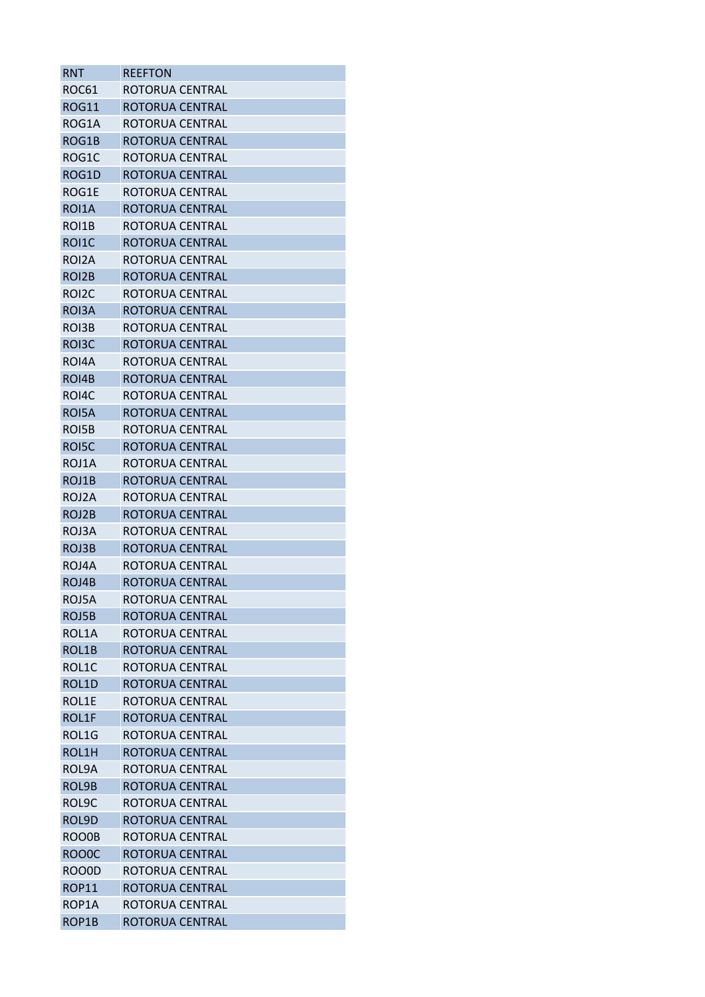| RNT                | <b>REEFTON</b>         |
|--------------------|------------------------|
| ROC61              | ROTORUA CENTRAL        |
| <b>ROG11</b>       | ROTORUA CENTRAL        |
| ROG1A              | ROTORUA CENTRAL        |
| ROG1B              | ROTORUA CENTRAL        |
| ROG1C              | ROTORUA CENTRAL        |
| ROG1D              | ROTORUA CENTRAL        |
| ROG1E              | ROTORUA CENTRAL        |
| ROI1A              | ROTORUA CENTRAL        |
| ROI1B              | ROTORUA CENTRAL        |
| ROI1C              | ROTORUA CENTRAL        |
| ROI2A              | ROTORUA CENTRAL        |
| ROI <sub>2</sub> B | ROTORUA CENTRAL        |
| ROI <sub>2</sub> C | ROTORUA CENTRAL        |
| ROI3A              | ROTORUA CENTRAL        |
| ROI3B              | ROTORUA CENTRAL        |
| ROI3C              | ROTORUA CENTRAL        |
| ROI4A              | ROTORUA CENTRAL        |
| ROI4B              | ROTORUA CENTRAL        |
| ROI4C              | ROTORUA CFNTRAL        |
| ROI5A              | ROTORUA CENTRAL        |
| ROI5B              | ROTORUA CENTRAL        |
| ROI5C              | <b>ROTORUA CENTRAL</b> |
| ROJ1A              | ROTORUA CENTRAL        |
| ROJ1B              | ROTORUA CENTRAL        |
| ROJ2A              | ROTORUA CENTRAL        |
| ROJ2B              | ROTORUA CENTRAL        |
| ROJ3A              | ROTORUA CENTRAL        |
| ROJ3B              | ROTORUA CENTRAL        |
| ROJ4A              | ROTORUA CENTRAL        |
| ROJ4B              | ROTORUA CENTRAL        |
| ROJ5A              | ROTORUA CENTRAL        |
| ROJ5B              | ROTORUA CENTRAL        |
| ROL1A              | ROTORUA CENTRAL        |
| ROL1B              | ROTORUA CENTRAL        |
| ROL1C              | ROTORUA CENTRAL        |
| ROL1D              | ROTORUA CENTRAL        |
| ROL1E              | ROTORUA CENTRAL        |
| ROL1F              | ROTORUA CENTRAL        |
| ROL1G              | ROTORUA CENTRAL        |
| ROL1H              | <b>ROTORUA CENTRAL</b> |
| ROL9A              | ROTORUA CENTRAL        |
| ROL9B              | ROTORUA CENTRAL        |
| ROL9C              | ROTORUA CENTRAL        |
| ROL9D              | ROTORUA CENTRAL        |
| ROO0B              | ROTORUA CENTRAL        |
| ROO0C              | ROTORUA CENTRAL        |
| ROO0D              | ROTORUA CENTRAL        |
| <b>ROP11</b>       | ROTORUA CENTRAL        |
| ROP1A              | ROTORUA CENTRAL        |
| ROP1B              | ROTORUA CENTRAL        |
|                    |                        |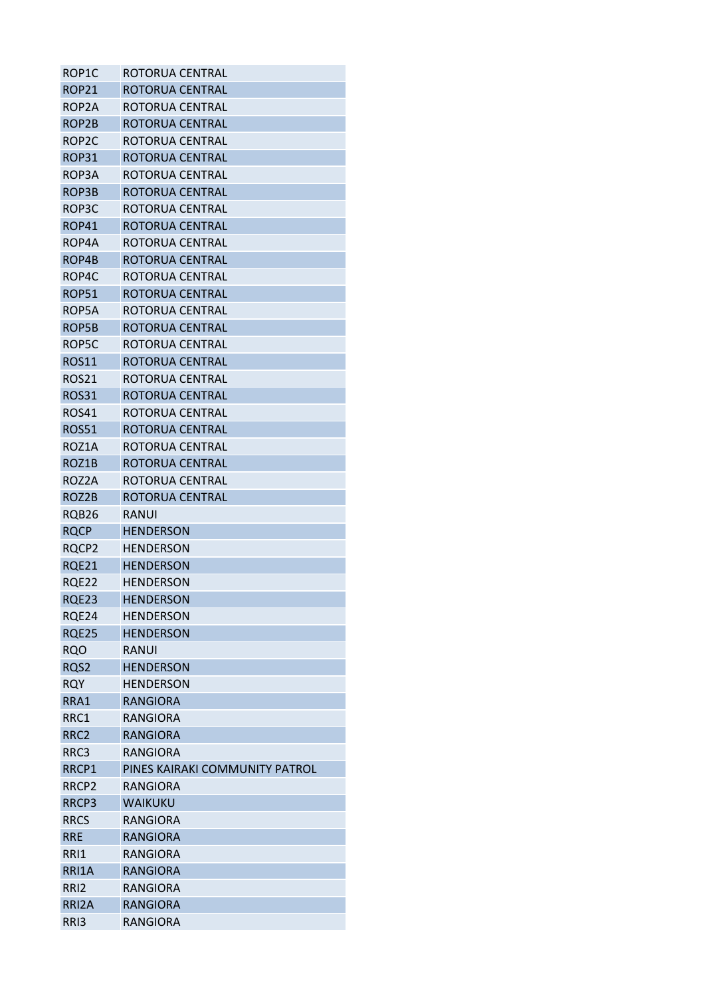| ROP1C                 | ROTORUA CENTRAL                |
|-----------------------|--------------------------------|
| <b>ROP21</b>          | ROTORUA CENTRAL                |
| ROP2A                 | ROTORUA CENTRAL                |
| ROP2B                 | ROTORUA CENTRAL                |
| ROP2C                 | ROTORUA CENTRAL                |
| ROP31                 | ROTORUA CENTRAL                |
| ROP3A                 | ROTORUA CENTRAL                |
| ROP3B                 | ROTORUA CENTRAL                |
| ROP3C                 | ROTORUA CENTRAL                |
| ROP41                 | ROTORUA CENTRAL                |
| ROP4A                 | ROTORUA CENTRAL                |
| ROP4B                 | ROTORUA CENTRAL                |
| ROP4C                 | ROTORUA CENTRAL                |
| <b>ROP51</b>          | ROTORUA CENTRAL                |
| ROP5A                 | ROTORUA CENTRAL                |
| ROP5B                 | <b>ROTORUA CENTRAL</b>         |
| ROP5C                 | ROTORUA CENTRAL                |
| <b>ROS11</b>          | ROTORUA CENTRAL                |
| ROS <sub>21</sub>     | ROTORUA CENTRAL                |
| <b>ROS31</b>          | ROTORUA CENTRAL                |
| <b>ROS41</b>          | ROTORUA CENTRAL                |
| <b>ROS51</b>          | ROTORUA CENTRAL                |
| ROZ1A                 | ROTORUA CENTRAL                |
| ROZ1B                 | ROTORUA CENTRAL                |
| ROZ2A                 | ROTORUA CENTRAL                |
| ROZ2B                 | ROTORUA CENTRAL                |
| RQB26                 | RANUI                          |
| <b>RQCP</b>           | <b>HENDERSON</b>               |
| RQCP2                 | <b>HENDERSON</b>               |
| <b>RQE21</b>          | <b>HENDERSON</b>               |
|                       | <b>HENDERSON</b>               |
| <b>RQE22</b><br>RQE23 | <b>HENDERSON</b>               |
|                       | <b>HENDERSON</b>               |
| RQE24                 |                                |
| <b>RQE25</b>          | <b>HENDERSON</b>               |
| <b>RQO</b>            | RANUI                          |
| RQS2                  | <b>HENDERSON</b>               |
| <b>RQY</b>            | HENDERSON                      |
| RRA1                  | <b>RANGIORA</b>                |
| RRC1                  | RANGIORA                       |
| RRC <sub>2</sub>      | <b>RANGIORA</b>                |
| RRC3                  | <b>RANGIORA</b>                |
| RRCP1                 | PINES KAIRAKI COMMUNITY PATROL |
| RRCP <sub>2</sub>     | <b>RANGIORA</b>                |
| RRCP3                 | WAIKUKU                        |
| <b>RRCS</b>           | RANGIORA                       |
| <b>RRE</b>            | <b>RANGIORA</b>                |
| RRI1                  | <b>RANGIORA</b>                |
| RRI1A                 | <b>RANGIORA</b>                |
| RRI <sub>2</sub>      | RANGIORA                       |
| RRI2A                 | <b>RANGIORA</b>                |
| RRI3                  | RANGIORA                       |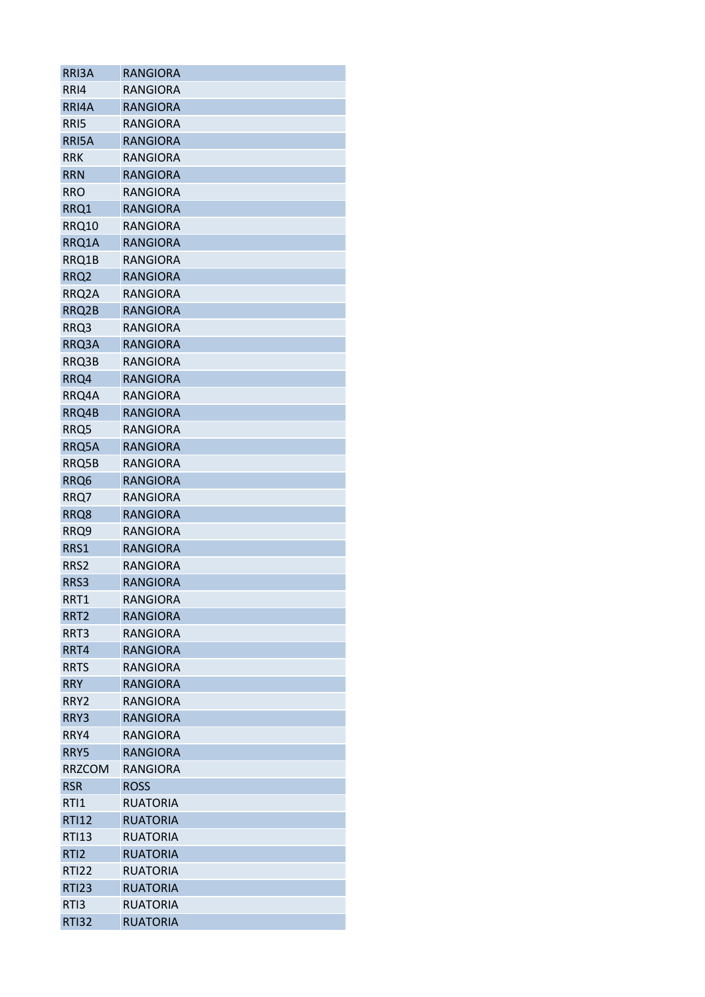| RRI3A            | <b>RANGIORA</b> |
|------------------|-----------------|
| RRI4             | RANGIORA        |
| RRI4A            | <b>RANGIORA</b> |
| RRI5             | <b>RANGIORA</b> |
| RRI5A            | <b>RANGIORA</b> |
| <b>RRK</b>       | RANGIORA        |
| <b>RRN</b>       | <b>RANGIORA</b> |
| RRO              | <b>RANGIORA</b> |
| RRQ1             | <b>RANGIORA</b> |
| <b>RRQ10</b>     | <b>RANGIORA</b> |
| RRQ1A            | <b>RANGIORA</b> |
| RRQ1B            | RANGIORA        |
| RRQ <sub>2</sub> | <b>RANGIORA</b> |
| RRQ2A            | RANGIORA        |
| RRQ2B            | <b>RANGIORA</b> |
| RRQ3             | <b>RANGIORA</b> |
| RRQ3A            | <b>RANGIORA</b> |
| RRQ3B            | <b>RANGIORA</b> |
| RRQ4             | <b>RANGIORA</b> |
| RRQ4A            | <b>RANGIORA</b> |
| RRQ4B            | <b>RANGIORA</b> |
| RRQ5             | RANGIORA        |
| RRQ5A            | <b>RANGIORA</b> |
| RRQ5B            | RANGIORA        |
| RRQ6             | <b>RANGIORA</b> |
| RRQ7             | <b>RANGIORA</b> |
| RRQ8             | <b>RANGIORA</b> |
| RRQ9             | RANGIORA        |
| RRS1             | <b>RANGIORA</b> |
| RRS <sub>2</sub> | RANGIORA        |
| RRS3             | <b>RANGIORA</b> |
| RRT1             | <b>RANGIORA</b> |
| RRT <sub>2</sub> | <b>RANGIORA</b> |
| RRT3             | <b>RANGIORA</b> |
|                  |                 |
| RRT4             | <b>RANGIORA</b> |
| <b>RRTS</b>      | <b>RANGIORA</b> |
| <b>RRY</b>       | <b>RANGIORA</b> |
| RRY2             | <b>RANGIORA</b> |
| RRY3             | <b>RANGIORA</b> |
| RRY4             | <b>RANGIORA</b> |
| RRY5             | <b>RANGIORA</b> |
| <b>RRZCOM</b>    | <b>RANGIORA</b> |
| <b>RSR</b>       | <b>ROSS</b>     |
| RTI1             | <b>RUATORIA</b> |
| <b>RTI12</b>     | <b>RUATORIA</b> |
| <b>RTI13</b>     | <b>RUATORIA</b> |
| RTI <sub>2</sub> | <b>RUATORIA</b> |
| <b>RTI22</b>     | <b>RUATORIA</b> |
| <b>RTI23</b>     | <b>RUATORIA</b> |
| RTI3             | <b>RUATORIA</b> |
| <b>RTI32</b>     | <b>RUATORIA</b> |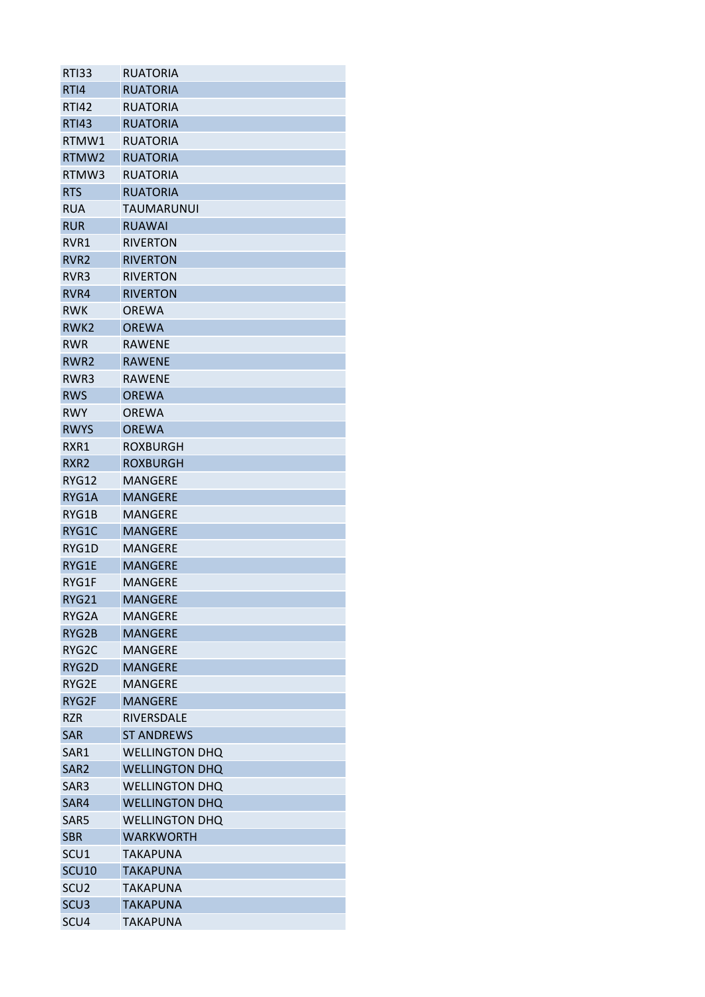| <b>RTI33</b>     | <b>RUATORIA</b>       |
|------------------|-----------------------|
| RTI4             | <b>RUATORIA</b>       |
| <b>RTI42</b>     | <b>RUATORIA</b>       |
| <b>RTI43</b>     | <b>RUATORIA</b>       |
| RTMW1            | <b>RUATORIA</b>       |
| RTMW2            | <b>RUATORIA</b>       |
| RTMW3            | <b>RUATORIA</b>       |
| <b>RTS</b>       | <b>RUATORIA</b>       |
| <b>RUA</b>       | TAUMARUNUI            |
| <b>RUR</b>       | <b>RUAWAI</b>         |
| RVR1             | <b>RIVERTON</b>       |
| RVR <sub>2</sub> | <b>RIVERTON</b>       |
| RVR3             | <b>RIVERTON</b>       |
| RVR4             | <b>RIVERTON</b>       |
| <b>RWK</b>       | <b>OREWA</b>          |
| RWK <sub>2</sub> | <b>OREWA</b>          |
| <b>RWR</b>       | <b>RAWENE</b>         |
| RWR <sub>2</sub> | <b>RAWENE</b>         |
| RWR3             | <b>RAWENE</b>         |
| <b>RWS</b>       | <b>OREWA</b>          |
| <b>RWY</b>       | <b>OREWA</b>          |
| <b>RWYS</b>      | <b>OREWA</b>          |
| RXR1             | <b>ROXBURGH</b>       |
| RXR <sub>2</sub> | <b>ROXBURGH</b>       |
| RYG12            | <b>MANGERE</b>        |
| RYG1A            | <b>MANGERE</b>        |
| RYG1B            | <b>MANGERE</b>        |
|                  |                       |
| RYG1C            | <b>MANGERE</b>        |
| RYG1D            | <b>MANGERE</b>        |
| RYG1E            | <b>MANGERE</b>        |
| RYG1F            | <b>MANGERE</b>        |
| RYG21            | <b>MANGERE</b>        |
| RYG2A            | <b>MANGERE</b>        |
| RYG2B            | <b>MANGERE</b>        |
| RYG2C            | <b>MANGERE</b>        |
| RYG2D            | <b>MANGERE</b>        |
| RYG2E            | <b>MANGERE</b>        |
| RYG2F            | <b>MANGERE</b>        |
| <b>RZR</b>       | RIVERSDALE            |
| <b>SAR</b>       | <b>ST ANDREWS</b>     |
| SAR1             | <b>WELLINGTON DHQ</b> |
| SAR <sub>2</sub> | <b>WELLINGTON DHQ</b> |
| SAR3             | <b>WELLINGTON DHQ</b> |
| SAR4             | <b>WELLINGTON DHQ</b> |
| SAR <sub>5</sub> | <b>WELLINGTON DHQ</b> |
| <b>SBR</b>       | <b>WARKWORTH</b>      |
| SCU <sub>1</sub> | <b>TAKAPUNA</b>       |
| <b>SCU10</b>     | <b>TAKAPUNA</b>       |
| SCU <sub>2</sub> | <b>TAKAPUNA</b>       |
| SCU <sub>3</sub> | <b>TAKAPUNA</b>       |
| SCU4             | <b>TAKAPUNA</b>       |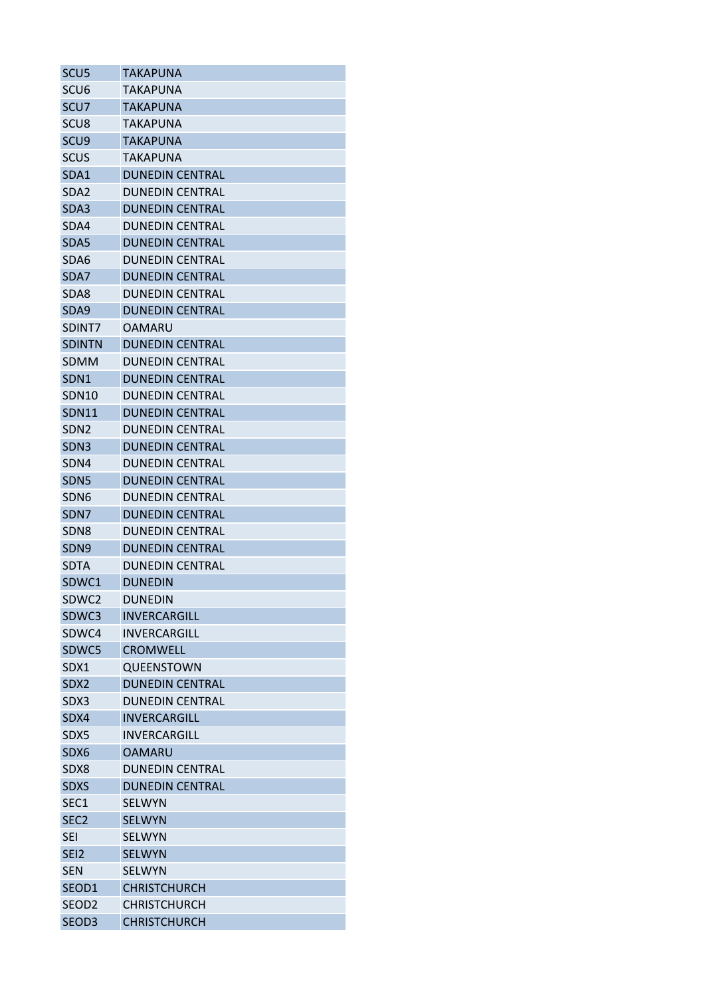| SCU <sub>5</sub>  | TAKAPUNA               |
|-------------------|------------------------|
| SCU <sub>6</sub>  | TAKAPUNA               |
| SCU7              | <b>TAKAPUNA</b>        |
| SCU <sub>8</sub>  | TAKAPUNA               |
| SCU <sub>9</sub>  | <b>TAKAPUNA</b>        |
| <b>SCUS</b>       | TAKAPUNA               |
| SDA1              | <b>DUNEDIN CENTRAL</b> |
| SDA <sub>2</sub>  | <b>DUNEDIN CENTRAL</b> |
| SDA3              | <b>DUNEDIN CENTRAL</b> |
| SDA4              | DUNEDIN CENTRAL        |
| SDA5              | <b>DUNEDIN CENTRAL</b> |
| SDA6              | DUNEDIN CENTRAL        |
| SDA7              | <b>DUNEDIN CENTRAL</b> |
| SDA8              | <b>DUNEDIN CENTRAL</b> |
| SDA9              | <b>DUNEDIN CENTRAL</b> |
| SDINT7            | <b>OAMARU</b>          |
| <b>SDINTN</b>     | <b>DUNEDIN CENTRAL</b> |
| <b>SDMM</b>       | <b>DUNEDIN CENTRAL</b> |
| SDN1              | <b>DUNEDIN CENTRAL</b> |
| <b>SDN10</b>      | <b>DUNEDIN CENTRAL</b> |
| <b>SDN11</b>      | <b>DUNEDIN CENTRAL</b> |
| SDN <sub>2</sub>  | <b>DUNEDIN CENTRAL</b> |
| SDN <sub>3</sub>  | <b>DUNEDIN CENTRAL</b> |
| SDN4              | <b>DUNEDIN CENTRAL</b> |
| SDN <sub>5</sub>  | <b>DUNEDIN CENTRAL</b> |
| SDN <sub>6</sub>  | <b>DUNEDIN CENTRAL</b> |
| SDN7              | <b>DUNEDIN CENTRAL</b> |
| SDN <sub>8</sub>  | <b>DUNEDIN CENTRAL</b> |
| SDN <sub>9</sub>  | <b>DUNEDIN CENTRAL</b> |
| <b>SDTA</b>       | <b>DUNEDIN CENTRAL</b> |
| SDWC1             | <b>DUNEDIN</b>         |
| SDWC2             | <b>DUNEDIN</b>         |
| SDWC3             | INVERCARGILL           |
| SDWC4             | INVERCARGILL           |
| SDWC5             | <b>CROMWFLL</b>        |
| SDX1              | QUEENSTOWN             |
| SDX2              | <b>DUNEDIN CENTRAL</b> |
| SDX3              | <b>DUNEDIN CENTRAL</b> |
| SDX4              | <b>INVERCARGILL</b>    |
| SDX5              | <b>INVERCARGILL</b>    |
| SDX6              | OAMARU                 |
| SDX8              | <b>DUNEDIN CENTRAL</b> |
| <b>SDXS</b>       | <b>DUNEDIN CENTRAL</b> |
| SEC1              | <b>SELWYN</b>          |
| SEC <sub>2</sub>  | <b>SELWYN</b>          |
| <b>SEI</b>        | <b>SELWYN</b>          |
| SEI <sub>2</sub>  | <b>SELWYN</b>          |
| <b>SEN</b>        | <b>SELWYN</b>          |
| SEOD1             | <b>CHRISTCHURCH</b>    |
| SEOD <sub>2</sub> | <b>CHRISTCHURCH</b>    |
| SEOD3             | <b>CHRISTCHURCH</b>    |
|                   |                        |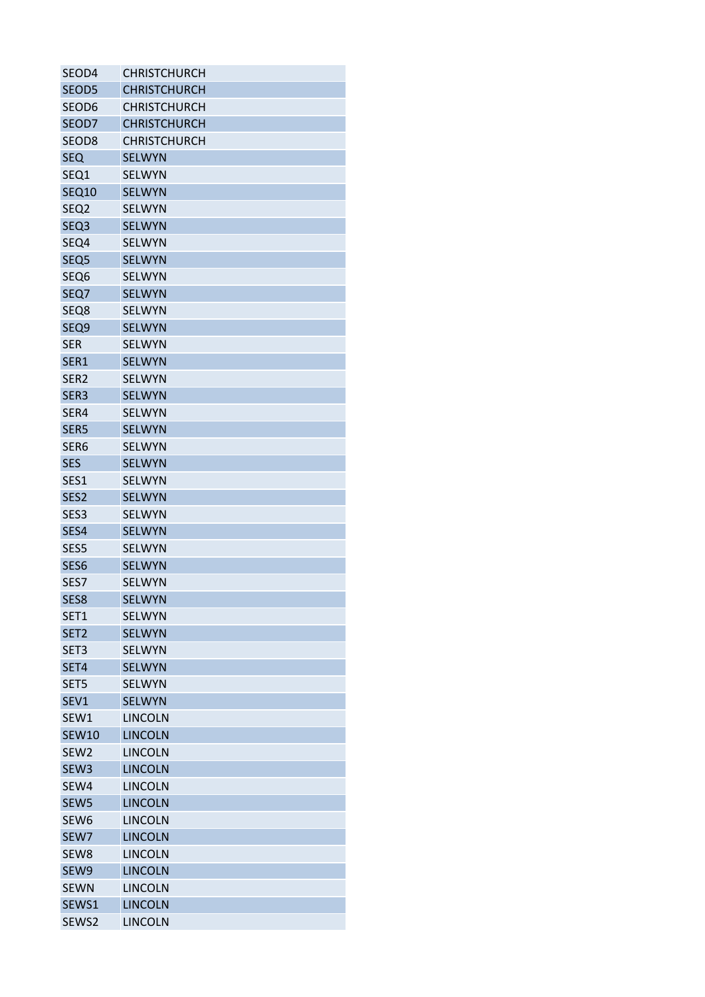| SEOD4             | <b>CHRISTCHURCH</b> |
|-------------------|---------------------|
| SEOD5             | <b>CHRISTCHURCH</b> |
| SEOD6             | <b>CHRISTCHURCH</b> |
| SEOD7             | <b>CHRISTCHURCH</b> |
| SEOD <sub>8</sub> | <b>CHRISTCHURCH</b> |
| <b>SEQ</b>        | <b>SELWYN</b>       |
| SEQ1              | <b>SELWYN</b>       |
| <b>SEQ10</b>      | <b>SELWYN</b>       |
| SEQ <sub>2</sub>  | <b>SELWYN</b>       |
| SEQ <sub>3</sub>  | <b>SELWYN</b>       |
| SEQ4              | <b>SELWYN</b>       |
| SEQ <sub>5</sub>  | <b>SELWYN</b>       |
| SEQ6              | <b>SELWYN</b>       |
| SEQ7              | <b>SELWYN</b>       |
| SEQ8              | <b>SELWYN</b>       |
| SEQ9              | <b>SELWYN</b>       |
| <b>SER</b>        | <b>SELWYN</b>       |
| SER1              | <b>SELWYN</b>       |
| SER <sub>2</sub>  | <b>SELWYN</b>       |
| SER <sub>3</sub>  | <b>SELWYN</b>       |
| SER4              | <b>SELWYN</b>       |
| SER <sub>5</sub>  | <b>SELWYN</b>       |
| SER <sub>6</sub>  | <b>SELWYN</b>       |
| <b>SES</b>        | <b>SELWYN</b>       |
| SES1              | <b>SELWYN</b>       |
| SES <sub>2</sub>  | <b>SELWYN</b>       |
| SES <sub>3</sub>  | <b>SELWYN</b>       |
|                   | <b>SELWYN</b>       |
| SES4              |                     |
| SES5              | <b>SELWYN</b>       |
| SES6              | <b>SELWYN</b>       |
| SES7              | <b>SELWYN</b>       |
| SES8              | <b>SELWYN</b>       |
| SET1              | <b>SELWYN</b>       |
| SET <sub>2</sub>  | <b>SELWYN</b>       |
| SET <sub>3</sub>  | <b>SELWYN</b>       |
| SET4              | <b>SELWYN</b>       |
| SET5              | <b>SELWYN</b>       |
| SEV1              | <b>SELWYN</b>       |
| SEW1              | <b>LINCOLN</b>      |
| <b>SEW10</b>      | <b>LINCOLN</b>      |
| SEW <sub>2</sub>  | <b>LINCOLN</b>      |
| SEW <sub>3</sub>  | <b>LINCOLN</b>      |
| SEW4              | <b>LINCOLN</b>      |
| SEW <sub>5</sub>  | <b>LINCOLN</b>      |
| SEW <sub>6</sub>  | <b>LINCOLN</b>      |
| SEW7              | <b>LINCOLN</b>      |
| SEW8              | <b>LINCOLN</b>      |
| SEW9              | <b>LINCOLN</b>      |
| <b>SEWN</b>       | <b>LINCOLN</b>      |
| SEWS1             | <b>LINCOLN</b>      |
| SEWS2             | <b>LINCOLN</b>      |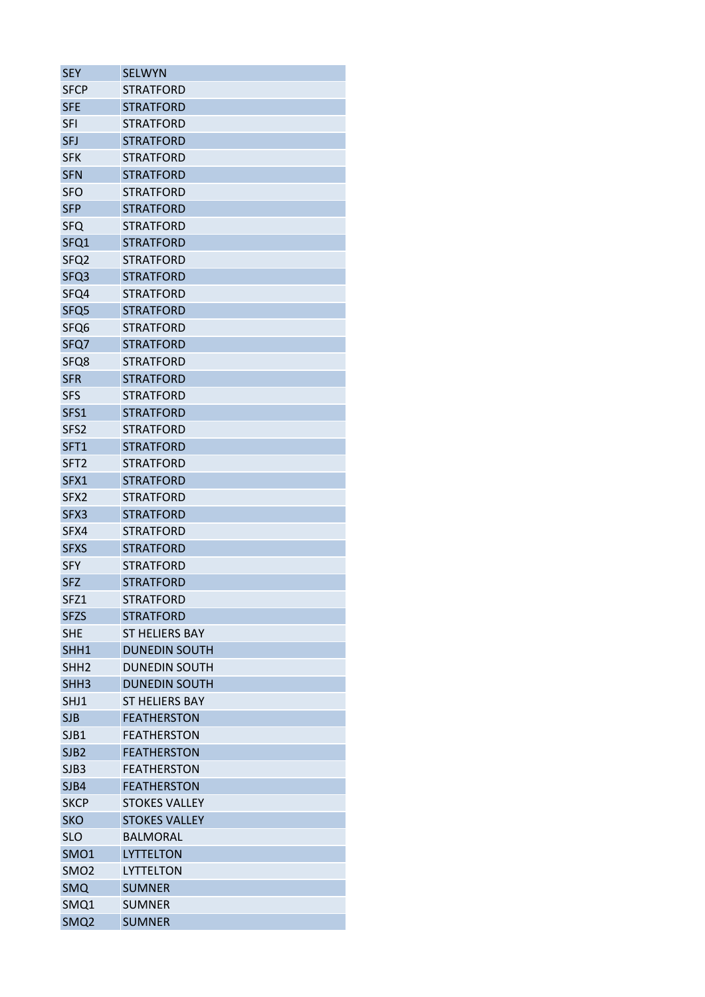| SEY              | <b>SELWYN</b>                                |
|------------------|----------------------------------------------|
| SFCP             | <b>STRATFORD</b>                             |
| <b>SFE</b>       | <b>STRATFORD</b>                             |
| SFI              | <b>STRATFORD</b>                             |
| <b>SFJ</b>       | <b>STRATFORD</b>                             |
| <b>SFK</b>       | <b>STRATFORD</b>                             |
| <b>SFN</b>       | <b>STRATFORD</b>                             |
| <b>SFO</b>       | <b>STRATFORD</b>                             |
| <b>SFP</b>       | <b>STRATFORD</b>                             |
| <b>SFQ</b>       | <b>STRATFORD</b>                             |
| SFQ1             | <b>STRATFORD</b>                             |
| SFQ <sub>2</sub> | <b>STRATFORD</b>                             |
| SFQ3             | <b>STRATFORD</b>                             |
| SFQ4             | <b>STRATFORD</b>                             |
| SFQ <sub>5</sub> | <b>STRATFORD</b>                             |
| SFQ6             | <b>STRATFORD</b>                             |
| SFQ7             | <b>STRATFORD</b>                             |
| SFQ8             | <b>STRATFORD</b>                             |
| <b>SFR</b>       | <b>STRATFORD</b>                             |
| SFS              | <b>STRATFORD</b>                             |
| SFS1             | <b>STRATFORD</b>                             |
| SFS <sub>2</sub> | <b>STRATFORD</b>                             |
| SFT1             | <b>STRATFORD</b>                             |
| SFT <sub>2</sub> | <b>STRATFORD</b>                             |
| SFX1             | <b>STRATFORD</b>                             |
| SFX <sub>2</sub> | <b>STRATFORD</b>                             |
| SFX3             | <b>STRATFORD</b>                             |
| SFX4             | <b>STRATFORD</b>                             |
| <b>SFXS</b>      | <b>STRATFORD</b>                             |
| <b>SFY</b>       | <b>STRATFORD</b>                             |
| <b>SFZ</b>       | <b>STRATFORD</b>                             |
| SFZ1             | <b>STRATFORD</b>                             |
| <b>SFZS</b>      | <b>STRATFORD</b>                             |
| <b>SHE</b>       | <b>ST HELIERS BAY</b>                        |
|                  |                                              |
| SHH1             | <b>DUNEDIN SOUTH</b><br><b>DUNEDIN SOUTH</b> |
| SHH <sub>2</sub> |                                              |
| SHH <sub>3</sub> | <b>DUNEDIN SOUTH</b>                         |
| SHJ1             | <b>ST HELIERS BAY</b>                        |
| <b>SJB</b>       | <b>FEATHERSTON</b>                           |
| SJB1             | <b>FEATHERSTON</b>                           |
| SJB <sub>2</sub> | <b>FEATHERSTON</b>                           |
| SJB3             | <b>FEATHERSTON</b>                           |
| SJB4             | <b>FEATHERSTON</b>                           |
| <b>SKCP</b>      | <b>STOKES VALLEY</b>                         |
| <b>SKO</b>       | <b>STOKES VALLEY</b>                         |
| <b>SLO</b>       | <b>BALMORAL</b>                              |
| SMO <sub>1</sub> | <b>LYTTELTON</b>                             |
| SMO <sub>2</sub> | LYTTELTON                                    |
| <b>SMQ</b>       | <b>SUMNER</b>                                |
| SMQ1             | <b>SUMNER</b>                                |
| SMQ <sub>2</sub> | <b>SUMNER</b>                                |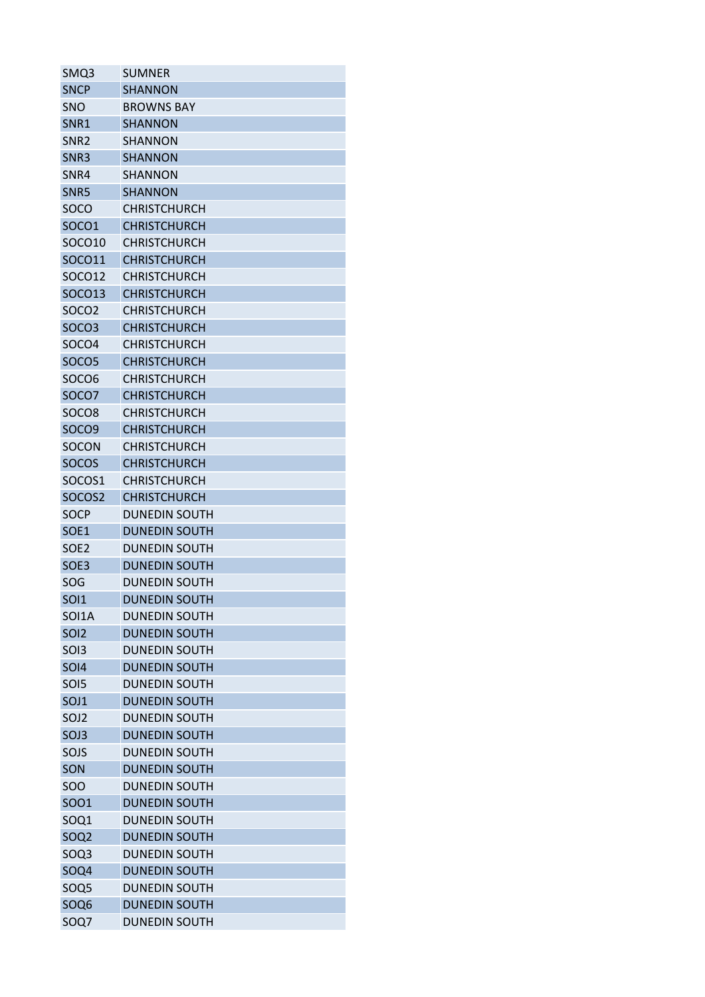| SMQ3              | SUMNER               |
|-------------------|----------------------|
| <b>SNCP</b>       | <b>SHANNON</b>       |
| <b>SNO</b>        | <b>BROWNS BAY</b>    |
| SNR1              | <b>SHANNON</b>       |
| SNR <sub>2</sub>  | <b>SHANNON</b>       |
| SNR <sub>3</sub>  | <b>SHANNON</b>       |
| SNR4              | <b>SHANNON</b>       |
| SNR <sub>5</sub>  | <b>SHANNON</b>       |
| SOCO              | <b>CHRISTCHURCH</b>  |
| <b>SOCO1</b>      | <b>CHRISTCHURCH</b>  |
| SOCO10            | <b>CHRISTCHURCH</b>  |
| SOCO11            | <b>CHRISTCHURCH</b>  |
| SOCO12            | <b>CHRISTCHURCH</b>  |
| SOCO13            | <b>CHRISTCHURCH</b>  |
| SOCO <sub>2</sub> | <b>CHRISTCHURCH</b>  |
| SOCO <sub>3</sub> | <b>CHRISTCHURCH</b>  |
| SOCO4             | <b>CHRISTCHURCH</b>  |
| SOCO <sub>5</sub> | <b>CHRISTCHURCH</b>  |
| SOCO <sub>6</sub> | <b>CHRISTCHURCH</b>  |
| SOCO7             | <b>CHRISTCHURCH</b>  |
| SOCO <sub>8</sub> | <b>CHRISTCHURCH</b>  |
| SOCO <sub>9</sub> | <b>CHRISTCHURCH</b>  |
| SOCON             | CHRISTCHURCH         |
| <b>SOCOS</b>      | <b>CHRISTCHURCH</b>  |
| SOCOS1            | <b>CHRISTCHURCH</b>  |
| SOCOS2            | <b>CHRISTCHURCH</b>  |
| SOCP              | <b>DUNEDIN SOUTH</b> |
| SOE1              | <b>DUNEDIN SOUTH</b> |
| SOE <sub>2</sub>  | <b>DUNEDIN SOUTH</b> |
| SOE3              | <b>DUNEDIN SOUTH</b> |
| SOG               | <b>DUNEDIN SOUTH</b> |
| <b>SOI1</b>       | <b>DUNEDIN SOUTH</b> |
| SOI1A             | <b>DUNEDIN SOUTH</b> |
| SOI <sub>2</sub>  | <b>DUNEDIN SOUTH</b> |
| <b>SOI3</b>       | <b>DUNEDIN SOUTH</b> |
| <b>SOI4</b>       | <b>DUNEDIN SOUTH</b> |
| SOI5              | <b>DUNEDIN SOUTH</b> |
| SOJ1              | <b>DUNEDIN SOUTH</b> |
| SOJ <sub>2</sub>  | <b>DUNEDIN SOUTH</b> |
| SOJ3              | <b>DUNEDIN SOUTH</b> |
| SOJS              | <b>DUNEDIN SOUTH</b> |
| SON               | <b>DUNEDIN SOUTH</b> |
| SOO               | <b>DUNEDIN SOUTH</b> |
| SOO1              | <b>DUNEDIN SOUTH</b> |
| SOQ1              | <b>DUNEDIN SOUTH</b> |
| SOQ <sub>2</sub>  | <b>DUNEDIN SOUTH</b> |
| SOQ3              | <b>DUNEDIN SOUTH</b> |
| SOQ4              | <b>DUNEDIN SOUTH</b> |
| SOQ <sub>5</sub>  | <b>DUNEDIN SOUTH</b> |
| SOQ <sub>6</sub>  | <b>DUNEDIN SOUTH</b> |
| SOQ7              | <b>DUNEDIN SOUTH</b> |
|                   |                      |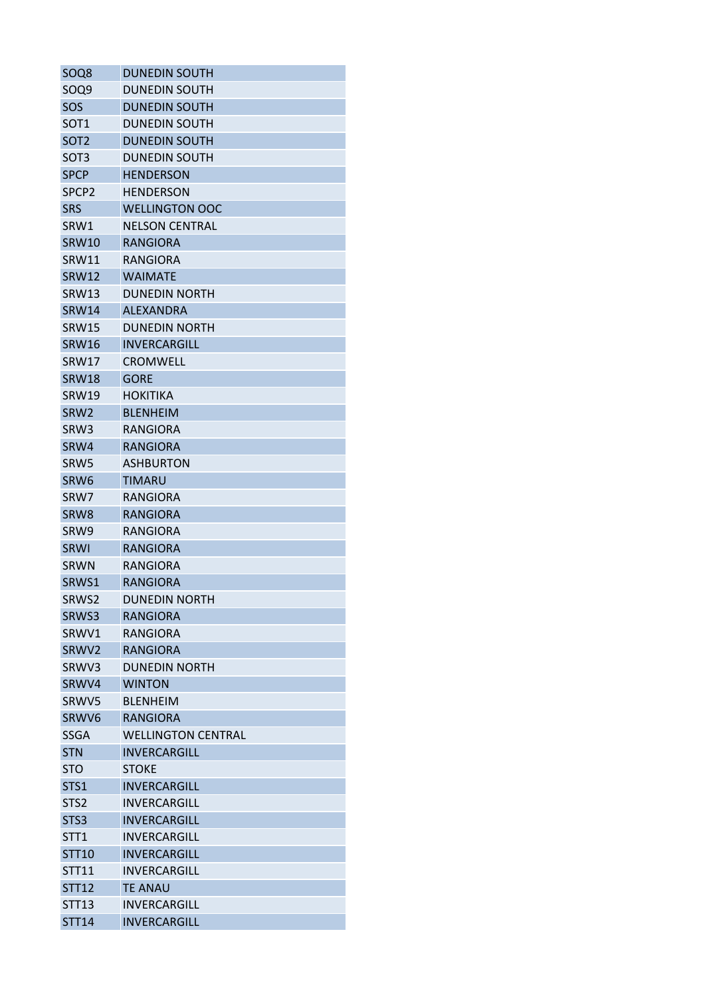| SOQ8              | <b>DUNEDIN SOUTH</b>                             |
|-------------------|--------------------------------------------------|
| SOQ9              | <b>DUNEDIN SOUTH</b>                             |
| SOS               | <b>DUNEDIN SOUTH</b>                             |
| SOT <sub>1</sub>  | <b>DUNEDIN SOUTH</b>                             |
| SOT <sub>2</sub>  | <b>DUNEDIN SOUTH</b>                             |
| SOT <sub>3</sub>  | <b>DUNEDIN SOUTH</b>                             |
| <b>SPCP</b>       | <b>HENDERSON</b>                                 |
| SPCP <sub>2</sub> | <b>HENDERSON</b>                                 |
| <b>SRS</b>        | <b>WELLINGTON OOC</b>                            |
| SRW1              | <b>NELSON CENTRAL</b>                            |
| <b>SRW10</b>      | <b>RANGIORA</b>                                  |
| SRW11             | RANGIORA                                         |
| <b>SRW12</b>      | <b>WAIMATE</b>                                   |
| SRW13             | <b>DUNEDIN NORTH</b>                             |
| <b>SRW14</b>      | <b>ALEXANDRA</b>                                 |
| <b>SRW15</b>      | <b>DUNEDIN NORTH</b>                             |
| <b>SRW16</b>      | <b>INVERCARGILL</b>                              |
| SRW17             | <b>CROMWELL</b>                                  |
| <b>SRW18</b>      | <b>GORE</b>                                      |
| <b>SRW19</b>      | <b>HOKITIKA</b>                                  |
| SRW <sub>2</sub>  | <b>BLENHEIM</b>                                  |
| SRW3              | <b>RANGIORA</b>                                  |
| SRW4              | <b>RANGIORA</b>                                  |
| SRW <sub>5</sub>  | <b>ASHBURTON</b>                                 |
| SRW6              | TIMARU                                           |
| SRW7              | RANGIORA                                         |
| SRW <sub>8</sub>  | <b>RANGIORA</b>                                  |
| SRW9              | <b>RANGIORA</b>                                  |
| <b>SRWI</b>       | <b>RANGIORA</b>                                  |
| <b>SRWN</b>       | <b>RANGIORA</b>                                  |
| SRWS1             | <b>RANGIORA</b>                                  |
| SRWS2             | <b>DUNEDIN NORTH</b>                             |
| SRWS3             | <b>RANGIORA</b>                                  |
| SRWV1             | RANGIORA                                         |
| SRWV2             | <b>RANGIORA</b>                                  |
| SRWV3             | <b>DUNEDIN NORTH</b>                             |
| SRWV4             | <b>WINTON</b>                                    |
| SRWV5             | <b>BLENHEIM</b>                                  |
| SRWV6             | <b>RANGIORA</b>                                  |
|                   |                                                  |
| SSGA              | <b>WELLINGTON CENTRAL</b><br><b>INVERCARGILL</b> |
| <b>STN</b>        |                                                  |
| <b>STO</b>        | <b>STOKE</b>                                     |
| STS1              | <b>INVERCARGILL</b>                              |
| STS <sub>2</sub>  | <b>INVERCARGILL</b>                              |
| STS3              | <b>INVERCARGILL</b>                              |
| STT <sub>1</sub>  | INVERCARGILL                                     |
| <b>STT10</b>      | <b>INVERCARGILL</b>                              |
| STT11             | INVERCARGILL                                     |
| <b>STT12</b>      | <b>TE ANAU</b>                                   |
| STT13             | INVERCARGILL                                     |
| <b>STT14</b>      | <b>INVERCARGILL</b>                              |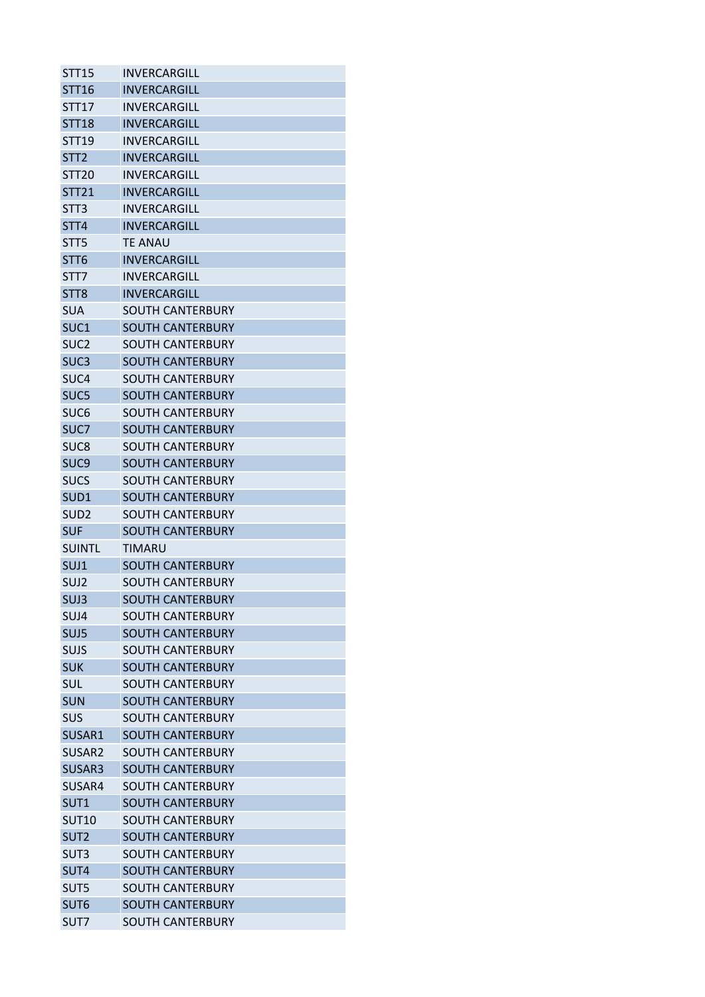| <b>STT15</b>       | INVERCARGILL            |
|--------------------|-------------------------|
| STT16              | INVERCARGILL            |
| STT17              | INVERCARGILL            |
| <b>STT18</b>       | INVERCARGILL            |
| <b>STT19</b>       | INVERCARGILL            |
| STT <sub>2</sub>   | INVERCARGILL            |
| STT <sub>20</sub>  | INVERCARGILL            |
| <b>STT21</b>       | <b>INVERCARGILL</b>     |
| STT <sub>3</sub>   | INVERCARGILL            |
| STT4               | INVERCARGILL            |
| STT <sub>5</sub>   | TE ANAU                 |
| STT <sub>6</sub>   | <b>INVERCARGILL</b>     |
| STT7               | INVERCARGILL            |
| STT <sub>8</sub>   | INVERCARGILL            |
| <b>SUA</b>         | SOUTH CANTERBURY        |
| SUC1               | <b>SOUTH CANTERBURY</b> |
| SUC <sub>2</sub>   | SOUTH CANTERBURY        |
| SUC <sub>3</sub>   | SOUTH CANTERBURY        |
| SUC <sub>4</sub>   | SOUTH CANTERBURY        |
| SUC <sub>5</sub>   | <b>SOUTH CANTERBURY</b> |
| SUC <sub>6</sub>   | SOUTH CANTERBURY        |
| SUC7               | SOUTH CANTERBURY        |
| SUC8               | SOUTH CANTERBURY        |
| SUC <sub>9</sub>   | <b>SOUTH CANTERBURY</b> |
| <b>SUCS</b>        | SOUTH CANTERBURY        |
| SUD1               | <b>SOUTH CANTERBURY</b> |
| SUD <sub>2</sub>   | SOUTH CANTERBURY        |
| <b>SUF</b>         | SOUTH CANTERBURY        |
| <b>SUINTL</b>      | TIMARU                  |
| SUJ1               | <b>SOUTH CANTERBURY</b> |
| SUJ <sub>2</sub>   | SOUTH CANTERBURY        |
| SUJ3               | <b>SOUTH CANTERBURY</b> |
| SUJ4               | SOUTH CANTERBURY        |
| SUJ5               | <b>SOUTH CANTERBURY</b> |
| SUJS               | <b>SOUTH CANTERBURY</b> |
| <b>SUK</b>         | <b>SOUTH CANTERBURY</b> |
| <b>SUL</b>         | SOUTH CANTERBURY        |
| <b>SUN</b>         | <b>SOUTH CANTERBURY</b> |
| SUS                | <b>SOUTH CANTERBURY</b> |
| SUSAR1             | <b>SOUTH CANTERBURY</b> |
| SUSAR <sub>2</sub> | SOUTH CANTERBURY        |
| SUSAR3             | <b>SOUTH CANTERBURY</b> |
| SUSAR4             | <b>SOUTH CANTERBURY</b> |
| SUT <sub>1</sub>   | <b>SOUTH CANTERBURY</b> |
| <b>SUT10</b>       | <b>SOUTH CANTERBURY</b> |
| SUT <sub>2</sub>   | SOUTH CANTERBURY        |
| SUT3               | <b>SOUTH CANTERBURY</b> |
| SUT4               | <b>SOUTH CANTERBURY</b> |
| SUT5               | <b>SOUTH CANTERBURY</b> |
| SUT6               | <b>SOUTH CANTERBURY</b> |
| SUT7               | SOUTH CANTERBURY        |
|                    |                         |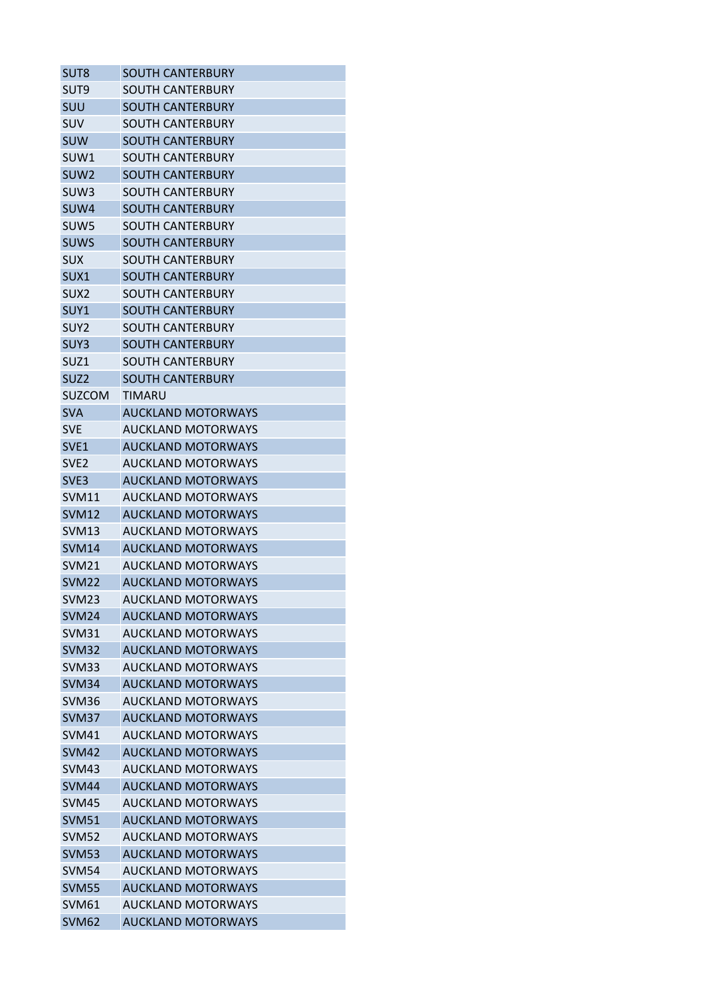| SUT <sub>8</sub>  | <b>SOUTH CANTERBURY</b>   |
|-------------------|---------------------------|
| SUT <sub>9</sub>  | <b>SOUTH CANTERBURY</b>   |
| SUU               | <b>SOUTH CANTERBURY</b>   |
| <b>SUV</b>        | <b>SOUTH CANTERBURY</b>   |
| <b>SUW</b>        | <b>SOUTH CANTERBURY</b>   |
| SUW1              | <b>SOUTH CANTERBURY</b>   |
| SUW <sub>2</sub>  | <b>SOUTH CANTERBURY</b>   |
| SUW <sub>3</sub>  | <b>SOUTH CANTERBURY</b>   |
| SUW4              | <b>SOUTH CANTERBURY</b>   |
| SUW <sub>5</sub>  | <b>SOUTH CANTERBURY</b>   |
| <b>SUWS</b>       | <b>SOUTH CANTERBURY</b>   |
| <b>SUX</b>        | SOUTH CANTERBURY          |
| SUX1              | <b>SOUTH CANTERBURY</b>   |
| SUX <sub>2</sub>  | SOUTH CANTERBURY          |
| SUY1              | <b>SOUTH CANTERBURY</b>   |
| SUY <sub>2</sub>  | SOUTH CANTERBURY          |
| SUY3              | <b>SOUTH CANTERBURY</b>   |
| SUZ <sub>1</sub>  | <b>SOUTH CANTERBURY</b>   |
| SUZ <sub>2</sub>  | <b>SOUTH CANTERBURY</b>   |
| <b>SUZCOM</b>     | TIMARU                    |
| <b>SVA</b>        | <b>AUCKLAND MOTORWAYS</b> |
| <b>SVE</b>        | <b>AUCKLAND MOTORWAYS</b> |
| SVE <sub>1</sub>  | <b>AUCKLAND MOTORWAYS</b> |
| SVE <sub>2</sub>  | <b>AUCKLAND MOTORWAYS</b> |
| SVE <sub>3</sub>  | <b>AUCKLAND MOTORWAYS</b> |
| <b>SVM11</b>      | <b>AUCKLAND MOTORWAYS</b> |
| <b>SVM12</b>      | <b>AUCKLAND MOTORWAYS</b> |
| SVM <sub>13</sub> | AUCKLAND MOTORWAYS        |
| <b>SVM14</b>      | <b>AUCKLAND MOTORWAYS</b> |
| SVM <sub>21</sub> | <b>AUCKLAND MOTORWAYS</b> |
| SVM <sub>22</sub> | <b>AUCKLAND MOTORWAYS</b> |
| <b>SVM23</b>      | <b>AUCKLAND MOTORWAYS</b> |
| SVM <sub>24</sub> | <b>AUCKLAND MOTORWAYS</b> |
| <b>SVM31</b>      | <b>AUCKLAND MOTORWAYS</b> |
| <b>SVM32</b>      | <b>AUCKLAND MOTORWAYS</b> |
| SVM33             | <b>AUCKLAND MOTORWAYS</b> |
| SVM34             | <b>AUCKLAND MOTORWAYS</b> |
| SVM36             | <b>AUCKLAND MOTORWAYS</b> |
| <b>SVM37</b>      | <b>AUCKLAND MOTORWAYS</b> |
| <b>SVM41</b>      | <b>AUCKLAND MOTORWAYS</b> |
| <b>SVM42</b>      | <b>AUCKLAND MOTORWAYS</b> |
| SVM43             | <b>AUCKLAND MOTORWAYS</b> |
| <b>SVM44</b>      | <b>AUCKLAND MOTORWAYS</b> |
| <b>SVM45</b>      | <b>AUCKLAND MOTORWAYS</b> |
| <b>SVM51</b>      | <b>AUCKLAND MOTORWAYS</b> |
| <b>SVM52</b>      | <b>AUCKLAND MOTORWAYS</b> |
|                   |                           |
| <b>SVM53</b>      | <b>AUCKLAND MOTORWAYS</b> |
| <b>SVM54</b>      | <b>AUCKLAND MOTORWAYS</b> |
| <b>SVM55</b>      | <b>AUCKLAND MOTORWAYS</b> |
| SVM <sub>61</sub> | <b>AUCKLAND MOTORWAYS</b> |
| SVM <sub>62</sub> | <b>AUCKLAND MOTORWAYS</b> |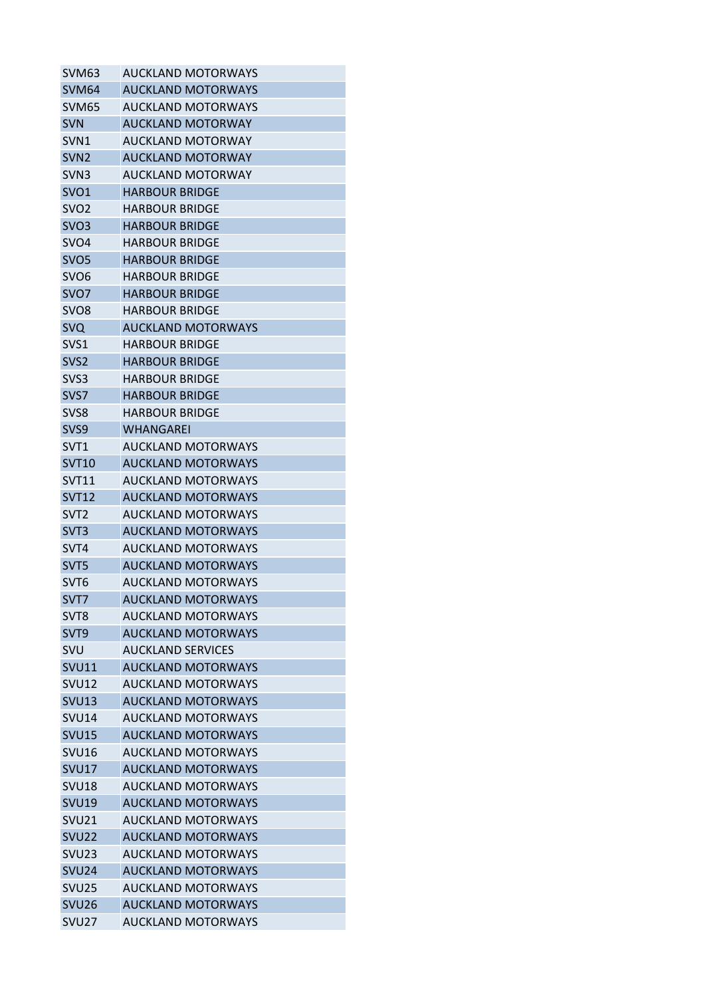| SVM <sub>63</sub> | <b>AUCKLAND MOTORWAYS</b> |
|-------------------|---------------------------|
| <b>SVM64</b>      | <b>AUCKLAND MOTORWAYS</b> |
| SVM <sub>65</sub> | <b>AUCKLAND MOTORWAYS</b> |
| <b>SVN</b>        | <b>AUCKLAND MOTORWAY</b>  |
| SVN <sub>1</sub>  | AUCKLAND MOTORWAY         |
| SVN <sub>2</sub>  | <b>AUCKLAND MOTORWAY</b>  |
| SVN3              | AUCKLAND MOTORWAY         |
| SVO <sub>1</sub>  | <b>HARBOUR BRIDGE</b>     |
| SVO <sub>2</sub>  | <b>HARBOUR BRIDGE</b>     |
| SVO <sub>3</sub>  | <b>HARBOUR BRIDGE</b>     |
| SVO <sub>4</sub>  | <b>HARBOUR BRIDGE</b>     |
| SVO <sub>5</sub>  | <b>HARBOUR BRIDGE</b>     |
| SVO <sub>6</sub>  | <b>HARBOUR BRIDGE</b>     |
| SVO <sub>7</sub>  | <b>HARBOUR BRIDGE</b>     |
| SVO <sub>8</sub>  | <b>HARBOUR BRIDGE</b>     |
| <b>SVQ</b>        | <b>AUCKLAND MOTORWAYS</b> |
| SVS1              | <b>HARBOUR BRIDGE</b>     |
| SVS <sub>2</sub>  | <b>HARBOUR BRIDGE</b>     |
| SVS3              | <b>HARBOUR BRIDGE</b>     |
| SVS7              | <b>HARBOUR BRIDGE</b>     |
| SVS8              | <b>HARBOUR BRIDGE</b>     |
| SVS9              | WHANGAREI                 |
| SVT1              | <b>AUCKLAND MOTORWAYS</b> |
| <b>SVT10</b>      | <b>AUCKLAND MOTORWAYS</b> |
| <b>SVT11</b>      | <b>AUCKLAND MOTORWAYS</b> |
| <b>SVT12</b>      | <b>AUCKLAND MOTORWAYS</b> |
| SVT <sub>2</sub>  | <b>AUCKLAND MOTORWAYS</b> |
| SVT <sub>3</sub>  | <b>AUCKLAND MOTORWAYS</b> |
| SVT4              | <b>AUCKLAND MOTORWAYS</b> |
| SVT <sub>5</sub>  | <b>AUCKLAND MOTORWAYS</b> |
| SVT <sub>6</sub>  | <b>AUCKLAND MOTORWAYS</b> |
| SVT7              | <b>AUCKLAND MOTORWAYS</b> |
| SVT <sub>8</sub>  | <b>AUCKLAND MOTORWAYS</b> |
| SVT9              | <b>AUCKLAND MOTORWAYS</b> |
| <b>SVU</b>        | <b>AUCKLAND SERVICES</b>  |
| <b>SVU11</b>      | <b>AUCKLAND MOTORWAYS</b> |
| <b>SVU12</b>      | <b>AUCKLAND MOTORWAYS</b> |
| <b>SVU13</b>      | <b>AUCKLAND MOTORWAYS</b> |
| <b>SVU14</b>      | <b>AUCKLAND MOTORWAYS</b> |
| <b>SVU15</b>      | <b>AUCKLAND MOTORWAYS</b> |
| <b>SVU16</b>      | <b>AUCKLAND MOTORWAYS</b> |
| <b>SVU17</b>      | <b>AUCKLAND MOTORWAYS</b> |
| <b>SVU18</b>      | <b>AUCKLAND MOTORWAYS</b> |
| <b>SVU19</b>      | <b>AUCKLAND MOTORWAYS</b> |
| SVU <sub>21</sub> | <b>AUCKLAND MOTORWAYS</b> |
| <b>SVU22</b>      | <b>AUCKLAND MOTORWAYS</b> |
| SVU <sub>23</sub> | <b>AUCKLAND MOTORWAYS</b> |
| <b>SVU24</b>      | <b>AUCKLAND MOTORWAYS</b> |
| <b>SVU25</b>      | <b>AUCKLAND MOTORWAYS</b> |
| <b>SVU26</b>      | <b>AUCKLAND MOTORWAYS</b> |
| SVU <sub>27</sub> | <b>AUCKLAND MOTORWAYS</b> |
|                   |                           |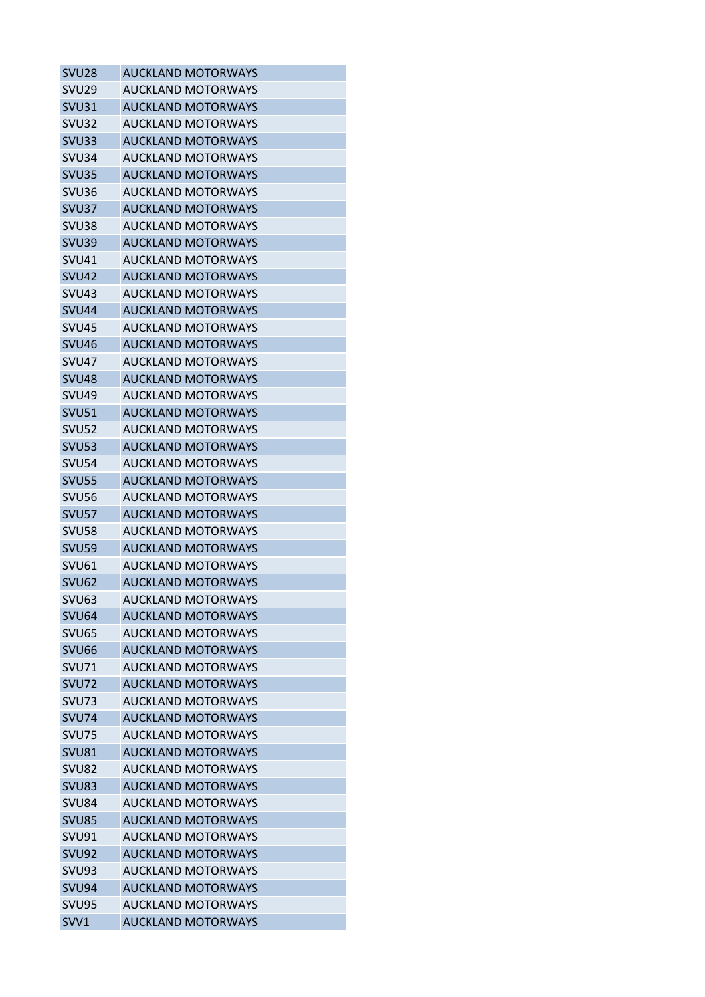| <b>SVU28</b>      | <b>AUCKLAND MOTORWAYS</b> |
|-------------------|---------------------------|
| SVU <sub>29</sub> | <b>AUCKLAND MOTORWAYS</b> |
| SVU31             | <b>AUCKLAND MOTORWAYS</b> |
| SVU32             | <b>AUCKLAND MOTORWAYS</b> |
| <b>SVU33</b>      | <b>AUCKLAND MOTORWAYS</b> |
| <b>SVU34</b>      | <b>AUCKLAND MOTORWAYS</b> |
| SVU35             | <b>AUCKLAND MOTORWAYS</b> |
| <b>SVU36</b>      | <b>AUCKLAND MOTORWAYS</b> |
| <b>SVU37</b>      | <b>AUCKLAND MOTORWAYS</b> |
| SVU38             | <b>AUCKLAND MOTORWAYS</b> |
| <b>SVU39</b>      | <b>AUCKLAND MOTORWAYS</b> |
| <b>SVU41</b>      | AUCKLAND MOTORWAYS        |
| <b>SVU42</b>      | <b>AUCKLAND MOTORWAYS</b> |
| SVU <sub>43</sub> | <b>AUCKLAND MOTORWAYS</b> |
| <b>SVU44</b>      | <b>AUCKLAND MOTORWAYS</b> |
| <b>SVU45</b>      | <b>AUCKLAND MOTORWAYS</b> |
| <b>SVU46</b>      | <b>AUCKLAND MOTORWAYS</b> |
| SVU <sub>47</sub> | <b>AUCKLAND MOTORWAYS</b> |
| SVU <sub>48</sub> | <b>AUCKLAND MOTORWAYS</b> |
| SVU <sub>49</sub> | <b>AUCKLAND MOTORWAYS</b> |
| <b>SVU51</b>      | <b>AUCKLAND MOTORWAYS</b> |
| SVU <sub>52</sub> | <b>AUCKLAND MOTORWAYS</b> |
| SVU <sub>53</sub> | <b>AUCKLAND MOTORWAYS</b> |
| <b>SVU54</b>      | <b>AUCKLAND MOTORWAYS</b> |
| <b>SVU55</b>      | <b>AUCKLAND MOTORWAYS</b> |
| <b>SVU56</b>      | <b>AUCKLAND MOTORWAYS</b> |
| <b>SVU57</b>      | <b>AUCKLAND MOTORWAYS</b> |
| SVU <sub>58</sub> | <b>AUCKLAND MOTORWAYS</b> |
| <b>SVU59</b>      | <b>AUCKLAND MOTORWAYS</b> |
| SVU <sub>61</sub> | <b>AUCKLAND MOTORWAYS</b> |
| <b>SVU62</b>      | <b>AUCKLAND MOTORWAYS</b> |
| SVU63             | <b>AUCKLAND MOTORWAYS</b> |
| SVU <sub>64</sub> | <b>AUCKLAND MOTORWAYS</b> |
| <b>SVU65</b>      | <b>AUCKLAND MOTORWAYS</b> |
| <b>SVU66</b>      | <b>AUCKLAND MOTORWAYS</b> |
| <b>SVU71</b>      | <b>AUCKLAND MOTORWAYS</b> |
| SVU72             | <b>AUCKLAND MOTORWAYS</b> |
| <b>SVU73</b>      | <b>AUCKLAND MOTORWAYS</b> |
| <b>SVU74</b>      | <b>AUCKLAND MOTORWAYS</b> |
| <b>SVU75</b>      | <b>AUCKLAND MOTORWAYS</b> |
| SVU81             | <b>AUCKLAND MOTORWAYS</b> |
| <b>SVU82</b>      | <b>AUCKLAND MOTORWAYS</b> |
| <b>SVU83</b>      | <b>AUCKLAND MOTORWAYS</b> |
| SVU84             | <b>AUCKLAND MOTORWAYS</b> |
| <b>SVU85</b>      | <b>AUCKLAND MOTORWAYS</b> |
| SVU91             | AUCKLAND MOTORWAYS        |
| <b>SVU92</b>      | <b>AUCKLAND MOTORWAYS</b> |
| <b>SVU93</b>      | <b>AUCKLAND MOTORWAYS</b> |
| <b>SVU94</b>      | <b>AUCKLAND MOTORWAYS</b> |
| SVU <sub>95</sub> | <b>AUCKLAND MOTORWAYS</b> |
|                   | <b>AUCKLAND MOTORWAYS</b> |
| SVV1              |                           |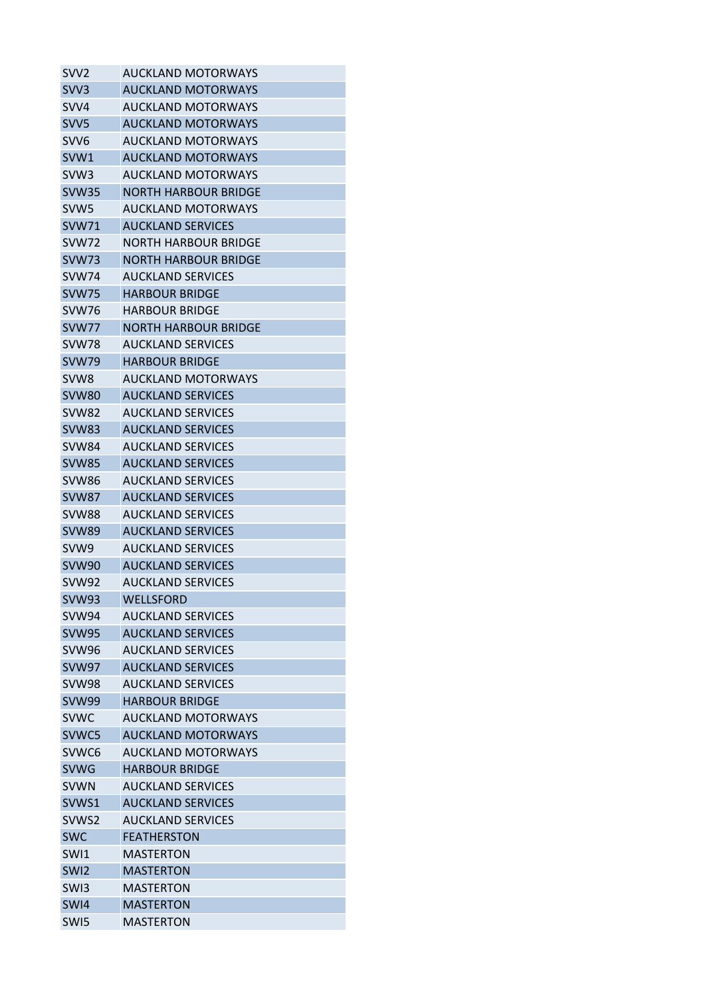| SVV2              | <b>AUCKLAND MOTORWAYS</b>   |
|-------------------|-----------------------------|
| SVV <sub>3</sub>  | <b>AUCKLAND MOTORWAYS</b>   |
| SVV4              | <b>AUCKLAND MOTORWAYS</b>   |
| SVV <sub>5</sub>  | <b>AUCKLAND MOTORWAYS</b>   |
| SVV <sub>6</sub>  | AUCKLAND MOTORWAYS          |
| SVW1              | <b>AUCKLAND MOTORWAYS</b>   |
| SVW <sub>3</sub>  | <b>AUCKLAND MOTORWAYS</b>   |
| <b>SVW35</b>      | <b>NORTH HARBOUR BRIDGE</b> |
| SVW <sub>5</sub>  | <b>AUCKLAND MOTORWAYS</b>   |
| <b>SVW71</b>      | <b>AUCKLAND SERVICES</b>    |
| SVW72             | NORTH HARBOUR BRIDGE        |
| SVW73             | NORTH HARBOUR BRIDGE        |
| SVW74             | <b>AUCKLAND SERVICES</b>    |
| <b>SVW75</b>      | <b>HARBOUR BRIDGE</b>       |
| SVW76             | <b>HARBOUR BRIDGE</b>       |
| SVW77             | <b>NORTH HARBOUR BRIDGE</b> |
| <b>SVW78</b>      | <b>AUCKLAND SERVICES</b>    |
| <b>SVW79</b>      | <b>HARBOUR BRIDGE</b>       |
| SVW <sub>8</sub>  | <b>AUCKLAND MOTORWAYS</b>   |
| <b>SVW80</b>      | <b>AUCKLAND SERVICES</b>    |
| SVW82             | <b>AUCKLAND SERVICES</b>    |
| <b>SVW83</b>      | <b>AUCKLAND SERVICES</b>    |
| SVW84             | <b>AUCKLAND SERVICES</b>    |
| <b>SVW85</b>      | <b>AUCKLAND SERVICES</b>    |
| SVW86             | <b>AUCKLAND SERVICES</b>    |
| SVW87             | <b>AUCKLAND SERVICES</b>    |
| <b>SVW88</b>      | <b>AUCKLAND SERVICES</b>    |
| <b>SVW89</b>      | <b>AUCKLAND SERVICES</b>    |
| SVW <sub>9</sub>  | <b>AUCKLAND SERVICES</b>    |
| <b>SVW90</b>      | <b>AUCKLAND SERVICES</b>    |
| <b>SVW92</b>      | <b>AUCKLAND SERVICES</b>    |
| <b>SVW93</b>      | <b>WELLSFORD</b>            |
| <b>SVW94</b>      | <b>AUCKLAND SERVICES</b>    |
| <b>SVW95</b>      | <b>AUCKLAND SERVICES</b>    |
| <b>SVW96</b>      | <b>AUCKLAND SERVICES</b>    |
| <b>SVW97</b>      | <b>AUCKLAND SERVICES</b>    |
| <b>SVW98</b>      | <b>AUCKLAND SERVICES</b>    |
| <b>SVW99</b>      | <b>HARBOUR BRIDGE</b>       |
| <b>SVWC</b>       | <b>AUCKLAND MOTORWAYS</b>   |
| SVWC5             | <b>AUCKLAND MOTORWAYS</b>   |
| SVWC <sub>6</sub> | <b>AUCKLAND MOTORWAYS</b>   |
| <b>SVWG</b>       | <b>HARBOUR BRIDGE</b>       |
| <b>SVWN</b>       | <b>AUCKLAND SERVICES</b>    |
| SVWS1             | <b>AUCKLAND SERVICES</b>    |
| SVWS2             | <b>AUCKLAND SERVICES</b>    |
| <b>SWC</b>        | <b>FEATHERSTON</b>          |
| SWI1              | MASTERTON                   |
| SWI <sub>2</sub>  | <b>MASTERTON</b>            |
| SW <sub>13</sub>  | <b>MASTERTON</b>            |
| SW <sub>14</sub>  | <b>MASTERTON</b>            |
| SWI5              | <b>MASTERTON</b>            |
|                   |                             |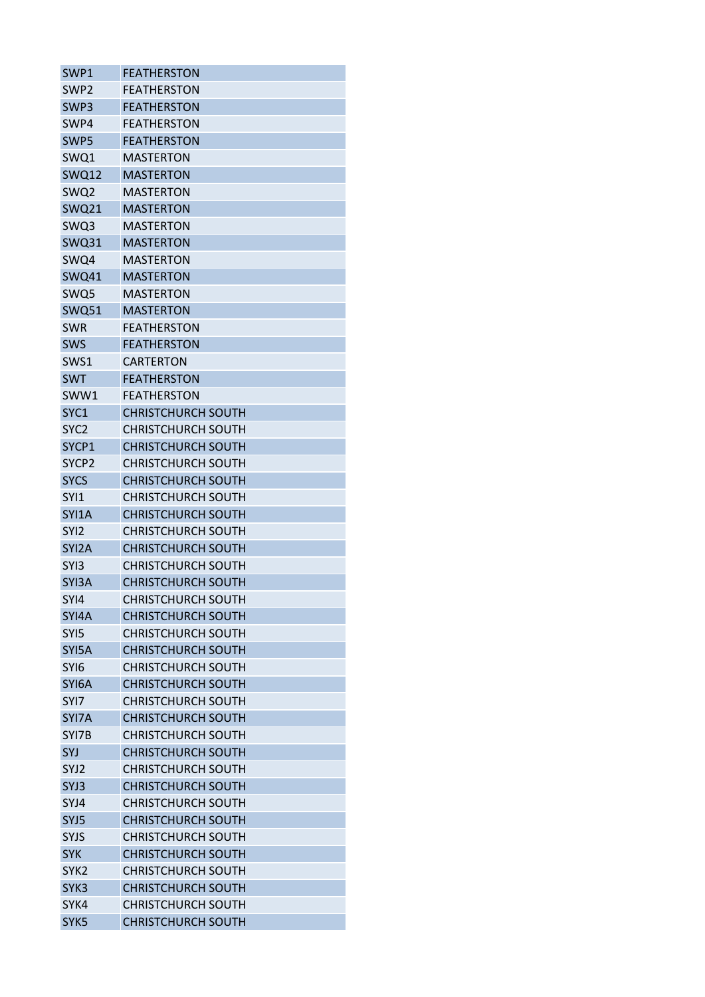| SWP1              | <b>FEATHERSTON</b>        |
|-------------------|---------------------------|
| SWP <sub>2</sub>  | FEATHERSTON               |
| SWP3              | <b>FEATHERSTON</b>        |
| SWP4              | FEATHERSTON               |
| SWP5              | <b>FEATHERSTON</b>        |
| SWQ1              | <b>MASTERTON</b>          |
| SWQ12             | <b>MASTERTON</b>          |
| SWQ2              | MASTERTON                 |
| <b>SWQ21</b>      | <b>MASTERTON</b>          |
| SWQ3              | MASTERTON                 |
| <b>SWQ31</b>      | <b>MASTERTON</b>          |
| SWQ4              | MASTERTON                 |
| SWQ41             | <b>MASTERTON</b>          |
| SWQ5              | <b>MASTERTON</b>          |
| <b>SWQ51</b>      | <b>MASTERTON</b>          |
| <b>SWR</b>        | <b>FEATHERSTON</b>        |
| <b>SWS</b>        | <b>FFATHFRSTON</b>        |
| SWS1              | CARTERTON                 |
| <b>SWT</b>        | <b>FEATHERSTON</b>        |
| SWW1              | <b>FEATHERSTON</b>        |
| SYC1              | <b>CHRISTCHURCH SOUTH</b> |
| SYC <sub>2</sub>  | <b>CHRISTCHURCH SOUTH</b> |
| SYCP1             | <b>CHRISTCHURCH SOUTH</b> |
| SYCP <sub>2</sub> | <b>CHRISTCHURCH SOUTH</b> |
| <b>SYCS</b>       | <b>CHRISTCHURCH SOUTH</b> |
| SYI1              | <b>CHRISTCHURCH SOUTH</b> |
| SYI1A             | <b>CHRISTCHURCH SOUTH</b> |
| SYI2              | <b>CHRISTCHURCH SOUTH</b> |
| SYI2A             | <b>CHRISTCHURCH SOUTH</b> |
| SYI3              | <b>CHRISTCHURCH SOUTH</b> |
| SYI3A             | <b>CHRISTCHURCH SOUTH</b> |
| SYI4              | <b>CHRISTCHURCH SOUTH</b> |
| SYI4A             | <b>CHRISTCHURCH SOUTH</b> |
| SYI5              | <b>CHRISTCHURCH SOUTH</b> |
| SYI5A             | <b>CHRISTCHURCH SOUTH</b> |
| SYI6              | <b>CHRISTCHURCH SOUTH</b> |
| SYI6A             | <b>CHRISTCHURCH SOUTH</b> |
| SYI7              | <b>CHRISTCHURCH SOUTH</b> |
| SYI7A             | <b>CHRISTCHURCH SOUTH</b> |
| SYI7B             | <b>CHRISTCHURCH SOUTH</b> |
| SYJ               | <b>CHRISTCHURCH SOUTH</b> |
| SYJ2              | <b>CHRISTCHURCH SOUTH</b> |
| SYJ3              | <b>CHRISTCHURCH SOUTH</b> |
| SYJ4              | <b>CHRISTCHURCH SOUTH</b> |
| SYJ5              | <b>CHRISTCHURCH SOUTH</b> |
| <b>SYJS</b>       | <b>CHRISTCHURCH SOUTH</b> |
| <b>SYK</b>        | <b>CHRISTCHURCH SOUTH</b> |
| SYK <sub>2</sub>  | <b>CHRISTCHURCH SOUTH</b> |
| SYK3              | <b>CHRISTCHURCH SOUTH</b> |
| SYK4              | <b>CHRISTCHURCH SOUTH</b> |
| SYK5              | <b>CHRISTCHURCH SOUTH</b> |
|                   |                           |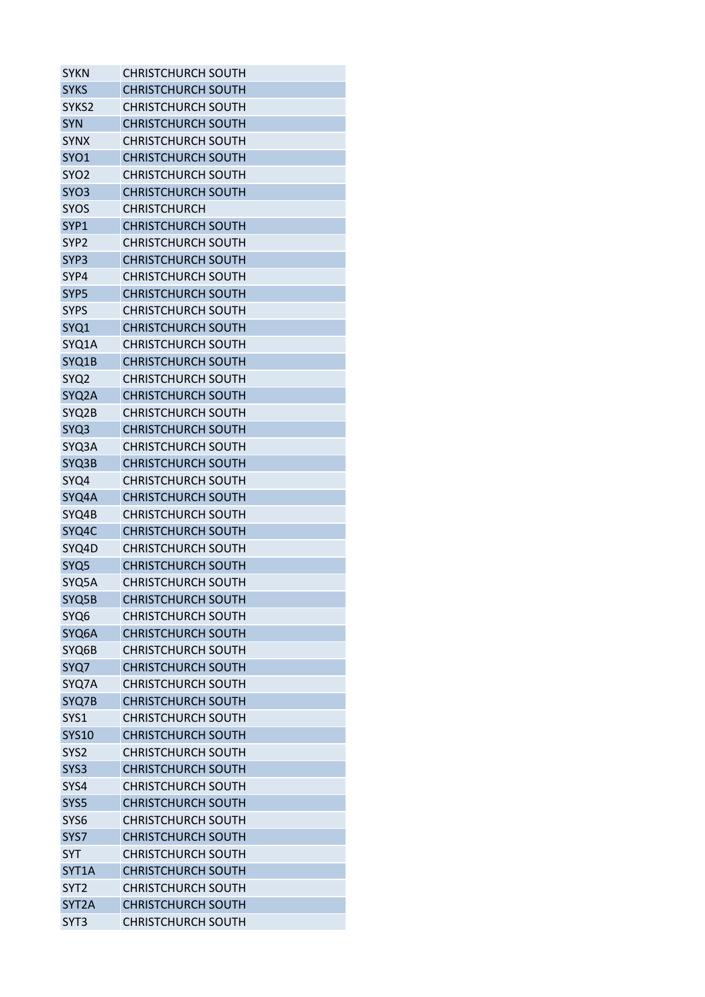| SYKN             | CHRISTCHURCH SOUTH                                     |
|------------------|--------------------------------------------------------|
| <b>SYKS</b>      | <b>CHRISTCHURCH SOUTH</b>                              |
| SYKS2            | <b>CHRISTCHURCH SOUTH</b>                              |
| <b>SYN</b>       | <b>CHRISTCHURCH SOUTH</b>                              |
| <b>SYNX</b>      | CHRISTCHURCH SOUTH                                     |
| SYO1             | <b>CHRISTCHURCH SOUTH</b>                              |
| SYO <sub>2</sub> | <b>CHRISTCHURCH SOUTH</b>                              |
| SYO <sub>3</sub> | <b>CHRISTCHURCH SOUTH</b>                              |
| <b>SYOS</b>      | CHRISTCHURCH                                           |
| SYP1             | <b>CHRISTCHURCH SOUTH</b>                              |
| SYP <sub>2</sub> | <b>CHRISTCHURCH SOUTH</b>                              |
| SYP <sub>3</sub> | <b>CHRISTCHURCH SOUTH</b>                              |
| SYP4             | CHRISTCHURCH SOUTH                                     |
| SYP <sub>5</sub> | <b>CHRISTCHURCH SOUTH</b>                              |
| <b>SYPS</b>      | CHRISTCHURCH SOUTH                                     |
| SYQ1             | <b>CHRISTCHURCH SOUTH</b>                              |
| SYQ1A            | <b>CHRISTCHURCH SOUTH</b>                              |
| SYQ1B            | <b>CHRISTCHURCH SOUTH</b>                              |
| SYQ <sub>2</sub> | <b>CHRISTCHURCH SOUTH</b>                              |
| SYQ2A            | <b>CHRISTCHURCH SOUTH</b>                              |
| SYQ2B            | <b>CHRISTCHURCH SOUTH</b>                              |
| SYQ3             | <b>CHRISTCHURCH SOUTH</b>                              |
| SYQ3A            | CHRISTCHURCH SOUTH                                     |
| SYQ3B            | <b>CHRISTCHURCH SOUTH</b>                              |
| SYQ4             | <b>CHRISTCHURCH SOUTH</b>                              |
| SYQ4A            | <b>CHRISTCHURCH SOUTH</b>                              |
| SYQ4B            | <b>CHRISTCHURCH SOUTH</b>                              |
| SYQ4C            | <b>CHRISTCHURCH SOUTH</b>                              |
| SYQ4D            | <b>CHRISTCHURCH SOUTH</b>                              |
| SYQ <sub>5</sub> | <b>CHRISTCHURCH SOUTH</b>                              |
| SYQ5A            | <b>CHRISTCHURCH SOUTH</b>                              |
| SYQ5B            | <b>CHRISTCHURCH SOUTH</b>                              |
| SYQ <sub>6</sub> | CHRISTCHURCH SOUTH                                     |
| SYQ6A            | <b>CHRISTCHURCH SOUTH</b>                              |
| SYQ6B            | <b>CHRISTCHURCH SOUTH</b>                              |
| SYQ7             | <b>CHRISTCHURCH SOUTH</b>                              |
| SYQ7A            | <b>CHRISTCHURCH SOUTH</b>                              |
| SYQ7B            | <b>CHRISTCHURCH SOUTH</b>                              |
| SYS1             | <b>CHRISTCHURCH SOUTH</b>                              |
|                  | <b>CHRISTCHURCH SOUTH</b>                              |
| <b>SYS10</b>     |                                                        |
| SYS <sub>2</sub> | <b>CHRISTCHURCH SOUTH</b><br><b>CHRISTCHURCH SOUTH</b> |
| SYS3             |                                                        |
| SYS4             | <b>CHRISTCHURCH SOUTH</b>                              |
| SYS5             | <b>CHRISTCHURCH SOUTH</b>                              |
| SYS <sub>6</sub> | <b>CHRISTCHURCH SOUTH</b>                              |
| SYS7             | <b>CHRISTCHURCH SOUTH</b>                              |
| <b>SYT</b>       | <b>CHRISTCHURCH SOUTH</b>                              |
| SYT1A            | <b>CHRISTCHURCH SOUTH</b>                              |
| SYT <sub>2</sub> | <b>CHRISTCHURCH SOUTH</b>                              |
| SYT2A            | <b>CHRISTCHURCH SOUTH</b>                              |
| SYT <sub>3</sub> | <b>CHRISTCHURCH SOUTH</b>                              |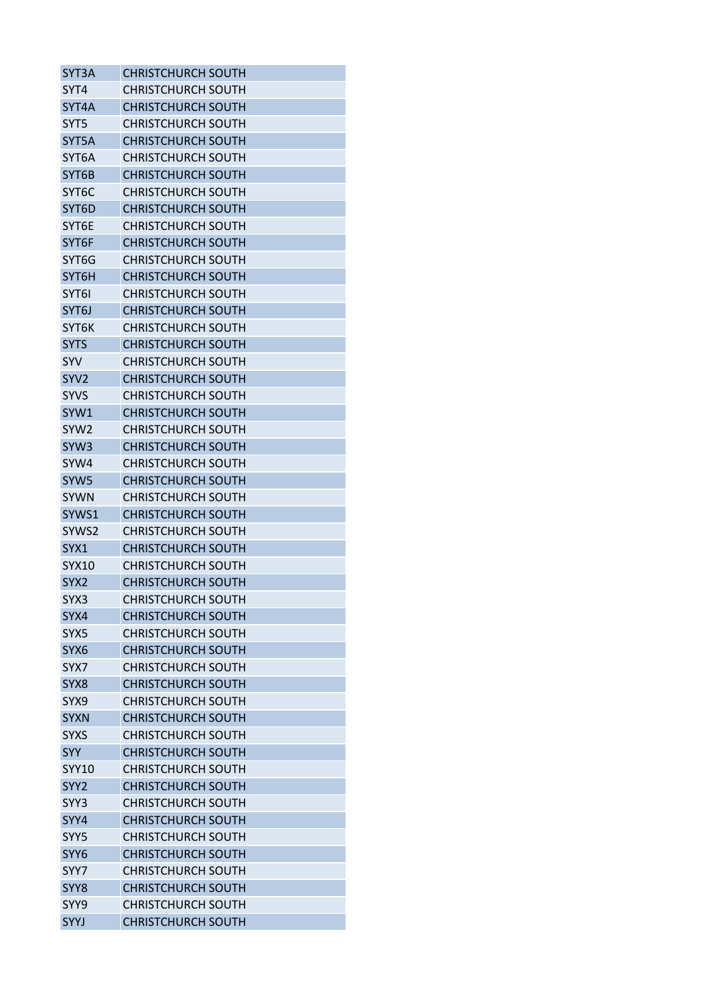| SYT3A                           | <b>CHRISTCHURCH SOUTH</b> |
|---------------------------------|---------------------------|
| SYT4                            | <b>CHRISTCHURCH SOUTH</b> |
| SYT4A                           | <b>CHRISTCHURCH SOUTH</b> |
| SYT5                            | <b>CHRISTCHURCH SOUTH</b> |
| SYT5A                           | <b>CHRISTCHURCH SOUTH</b> |
| SYT6A                           | <b>CHRISTCHURCH SOUTH</b> |
| SYT6B                           | <b>CHRISTCHURCH SOUTH</b> |
| SYT6C                           | <b>CHRISTCHURCH SOUTH</b> |
| SYT6D                           | <b>CHRISTCHURCH SOUTH</b> |
| SYT6E                           | <b>CHRISTCHURCH SOUTH</b> |
| SYT6F                           | <b>CHRISTCHURCH SOUTH</b> |
| SYT6G                           | <b>CHRISTCHURCH SOUTH</b> |
| SYT6H                           | <b>CHRISTCHURCH SOUTH</b> |
| SYT <sub>6</sub>                | CHRISTCHURCH SOUTH        |
| SYT6J                           | <b>CHRISTCHURCH SOUTH</b> |
| <b>SYT6K</b>                    | <b>CHRISTCHURCH SOUTH</b> |
| <b>SYTS</b>                     | <b>CHRISTCHURCH SOUTH</b> |
| SYV                             | <b>CHRISTCHURCH SOUTH</b> |
| SYV <sub>2</sub>                | <b>CHRISTCHURCH SOUTH</b> |
| <b>SYVS</b>                     | <b>CHRISTCHURCH SOUTH</b> |
| SYW1                            | <b>CHRISTCHURCH SOUTH</b> |
| SYW <sub>2</sub>                | <b>CHRISTCHURCH SOUTH</b> |
| SYW <sub>3</sub>                | <b>CHRISTCHURCH SOUTH</b> |
|                                 |                           |
| SYW4                            | <b>CHRISTCHURCH SOUTH</b> |
| SYW <sub>5</sub><br><b>SYWN</b> | <b>CHRISTCHURCH SOUTH</b> |
|                                 | <b>CHRISTCHURCH SOUTH</b> |
| SYWS1                           | <b>CHRISTCHURCH SOUTH</b> |
| SYWS2                           | <b>CHRISTCHURCH SOUTH</b> |
| SYX1                            | <b>CHRISTCHURCH SOUTH</b> |
| SYX10                           | <b>CHRISTCHURCH SOUTH</b> |
| SYX <sub>2</sub>                | <b>CHRISTCHURCH SOUTH</b> |
| SYX3                            | <b>CHRISTCHURCH SOUTH</b> |
| SYX4                            | <b>CHRISTCHURCH SOUTH</b> |
| SYX5                            | <b>CHRISTCHURCH SOUTH</b> |
| SYX <sub>6</sub>                | <b>CHRISTCHURCH SOUTH</b> |
| SYX7                            | <b>CHRISTCHURCH SOUTH</b> |
| SYX <sub>8</sub>                | <b>CHRISTCHURCH SOUTH</b> |
| SYX9                            | <b>CHRISTCHURCH SOUTH</b> |
| <b>SYXN</b>                     | <b>CHRISTCHURCH SOUTH</b> |
| <b>SYXS</b>                     | <b>CHRISTCHURCH SOUTH</b> |
| <b>SYY</b>                      | <b>CHRISTCHURCH SOUTH</b> |
| <b>SYY10</b>                    | <b>CHRISTCHURCH SOUTH</b> |
| SYY <sub>2</sub>                | <b>CHRISTCHURCH SOUTH</b> |
| SYY3                            | <b>CHRISTCHURCH SOUTH</b> |
| SYY4                            | <b>CHRISTCHURCH SOUTH</b> |
| SYY5                            | <b>CHRISTCHURCH SOUTH</b> |
| SYY6                            | <b>CHRISTCHURCH SOUTH</b> |
| SYY7                            | <b>CHRISTCHURCH SOUTH</b> |
| SYY8                            | <b>CHRISTCHURCH SOUTH</b> |
| SYY9                            | <b>CHRISTCHURCH SOUTH</b> |
| <b>SYYJ</b>                     | <b>CHRISTCHURCH SOUTH</b> |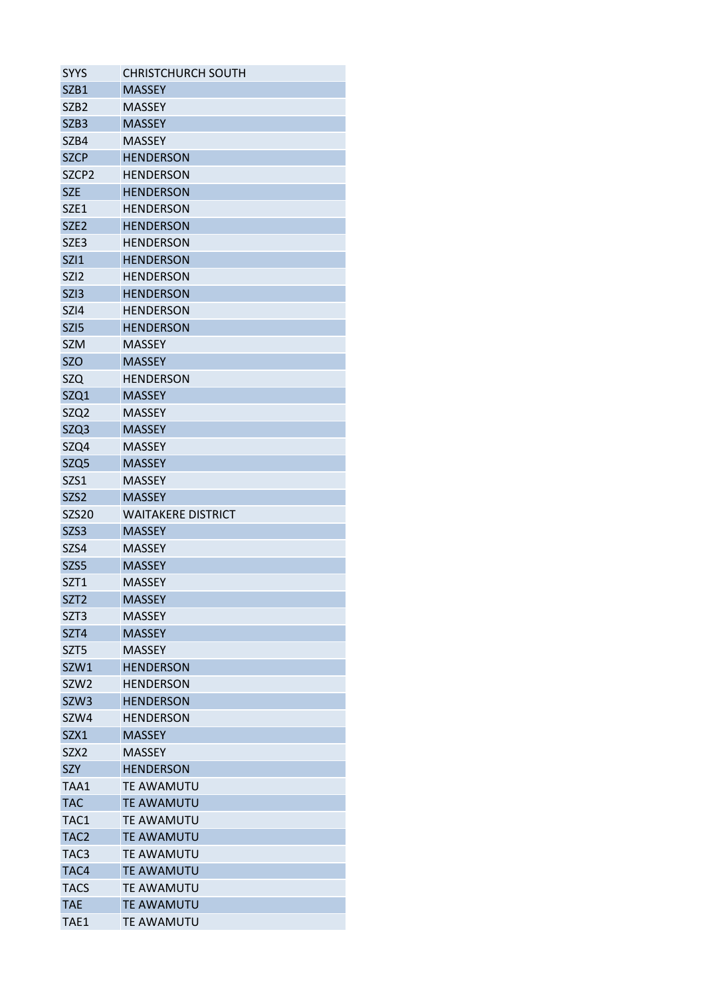| <b>SYYS</b>       | <b>CHRISTCHURCH SOUTH</b> |
|-------------------|---------------------------|
| SZB1              | <b>MASSEY</b>             |
| SZB <sub>2</sub>  | <b>MASSEY</b>             |
| SZB <sub>3</sub>  | <b>MASSEY</b>             |
| SZB4              | <b>MASSEY</b>             |
| <b>SZCP</b>       | <b>HENDERSON</b>          |
| SZCP <sub>2</sub> | <b>HENDERSON</b>          |
| <b>SZE</b>        | <b>HENDERSON</b>          |
| SZE1              | <b>HENDERSON</b>          |
| SZE <sub>2</sub>  | <b>HENDERSON</b>          |
| SZE3              | <b>HENDERSON</b>          |
| <b>SZI1</b>       | <b>HENDERSON</b>          |
| SZI <sub>2</sub>  | <b>HENDERSON</b>          |
| SZI3              | <b>HENDERSON</b>          |
| SZI4              | <b>HENDERSON</b>          |
| SZI <sub>5</sub>  | <b>HENDERSON</b>          |
| <b>SZM</b>        | <b>MASSEY</b>             |
| <b>SZO</b>        | <b>MASSEY</b>             |
| <b>SZQ</b>        | <b>HENDERSON</b>          |
| SZQ1              | <b>MASSEY</b>             |
| SZQ2              | <b>MASSEY</b>             |
| SZQ3              | <b>MASSEY</b>             |
| SZQ4              | <b>MASSEY</b>             |
| SZQ <sub>5</sub>  | <b>MASSEY</b>             |
| SZS1              | <b>MASSEY</b>             |
| SZS <sub>2</sub>  | <b>MASSEY</b>             |
| <b>SZS20</b>      | <b>WAITAKERE DISTRICT</b> |
| SZS3              | <b>MASSEY</b>             |
| SZS4              | <b>MASSEY</b>             |
| SZS <sub>5</sub>  | <b>MASSEY</b>             |
| SZT1              | <b>MASSEY</b>             |
| SZT <sub>2</sub>  | <b>MASSEY</b>             |
| SZT3              | <b>MASSEY</b>             |
| SZT4              | <b>MASSEY</b>             |
| SZT <sub>5</sub>  | <b>MASSEY</b>             |
|                   |                           |
| SZW1              | <b>HENDERSON</b>          |
| SZW <sub>2</sub>  | <b>HENDERSON</b>          |
| SZW3              | <b>HENDERSON</b>          |
| SZW4              | <b>HENDERSON</b>          |
| SZX1              | <b>MASSEY</b>             |
| SZX <sub>2</sub>  | <b>MASSEY</b>             |
| <b>SZY</b>        | <b>HENDERSON</b>          |
| TAA1              | <b>TE AWAMUTU</b>         |
| <b>TAC</b>        | <b>TE AWAMUTU</b>         |
| TAC1              | <b>TE AWAMUTU</b>         |
| TAC <sub>2</sub>  | <b>TE AWAMUTU</b>         |
| TAC <sub>3</sub>  | <b>TE AWAMUTU</b>         |
| TAC4              | <b>TE AWAMUTU</b>         |
| <b>TACS</b>       | <b>TE AWAMUTU</b>         |
| <b>TAE</b>        | <b>TE AWAMUTU</b>         |
| TAE1              | <b>TE AWAMUTU</b>         |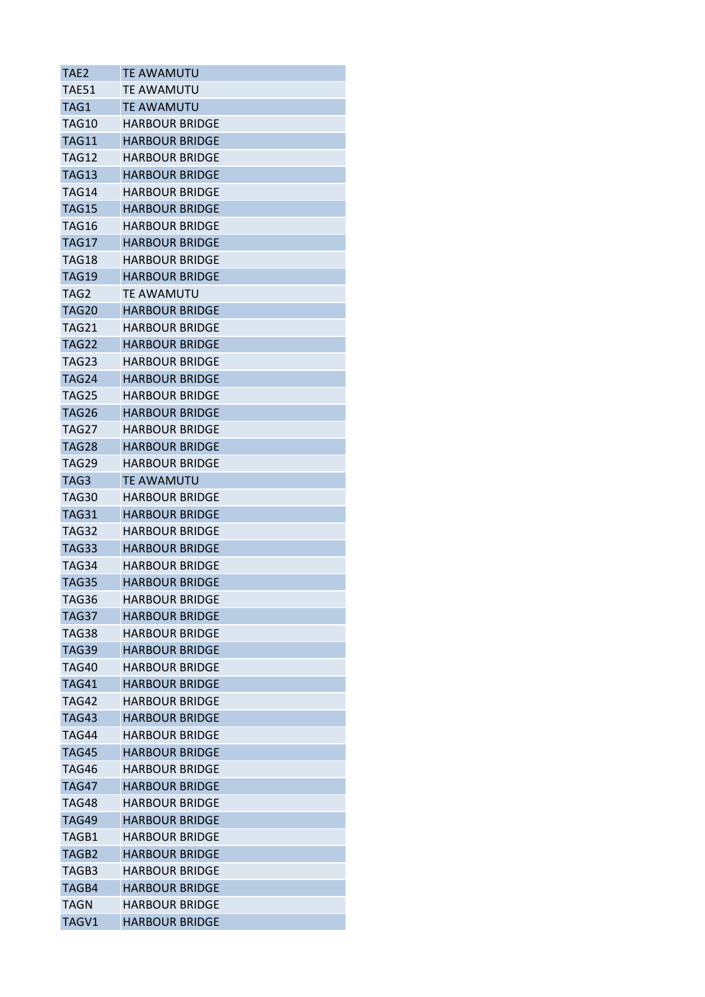| TAE2         | <b>TE AWAMUTU</b>     |
|--------------|-----------------------|
| TAE51        | TE AWAMUTU            |
| TAG1         | TE AWAMUTU            |
| TAG10        | <b>HARBOUR BRIDGE</b> |
| <b>TAG11</b> | <b>HARBOUR BRIDGE</b> |
| TAG12        | <b>HARBOUR BRIDGE</b> |
| TAG13        | <b>HARBOUR BRIDGE</b> |
| TAG14        | <b>HARBOUR BRIDGE</b> |
| <b>TAG15</b> | <b>HARBOUR BRIDGE</b> |
| TAG16        | <b>HARBOUR BRIDGE</b> |
| TAG17        | <b>HARBOUR BRIDGE</b> |
| TAG18        | <b>HARBOUR BRIDGE</b> |
| <b>TAG19</b> | <b>HARBOUR BRIDGE</b> |
| TAG2         | TE AWAMUTU            |
| <b>TAG20</b> | <b>HARBOUR BRIDGE</b> |
| <b>TAG21</b> | <b>HARBOUR BRIDGE</b> |
| TAG22        | <b>HARBOUR BRIDGE</b> |
| TAG23        | <b>HARBOUR BRIDGE</b> |
| <b>TAG24</b> | <b>HARBOUR BRIDGE</b> |
| <b>TAG25</b> | <b>HARBOUR BRIDGE</b> |
| TAG26        | <b>HARBOUR BRIDGE</b> |
| TAG27        | <b>HARBOUR BRIDGE</b> |
| TAG28        | <b>HARBOUR BRIDGE</b> |
| <b>TAG29</b> | <b>HARBOUR BRIDGE</b> |
| TAG3         | <b>TE AWAMUTU</b>     |
| TAG30        | <b>HARBOUR BRIDGE</b> |
| TAG31        | <b>HARBOUR BRIDGE</b> |
| TAG32        | <b>HARBOUR BRIDGE</b> |
| TAG33        | <b>HARBOUR BRIDGE</b> |
| TAG34        | <b>HARBOUR BRIDGE</b> |
| <b>TAG35</b> | <b>HARBOUR BRIDGE</b> |
| TAG36        | <b>HARBOUR BRIDGE</b> |
| TAG37        | <b>HARBOUR BRIDGE</b> |
| TAG38        | <b>HARBOUR BRIDGE</b> |
| TAG39        | <b>HARBOUR BRIDGE</b> |
| TAG40        | <b>HARBOUR BRIDGE</b> |
| TAG41        | <b>HARBOUR BRIDGE</b> |
| TAG42        | <b>HARBOUR BRIDGE</b> |
| <b>TAG43</b> | <b>HARBOUR BRIDGE</b> |
| TAG44        | <b>HARBOUR BRIDGE</b> |
| TAG45        | <b>HARBOUR BRIDGE</b> |
| <b>TAG46</b> | <b>HARBOUR BRIDGE</b> |
| <b>TAG47</b> | <b>HARBOUR BRIDGE</b> |
| TAG48        | <b>HARBOUR BRIDGE</b> |
| TAG49        | <b>HARBOUR BRIDGE</b> |
| TAGB1        | <b>HARBOUR BRIDGE</b> |
| TAGB2        | <b>HARBOUR BRIDGE</b> |
| TAGB3        | <b>HARBOUR BRIDGE</b> |
| TAGB4        | <b>HARBOUR BRIDGE</b> |
| TAGN         | <b>HARBOUR BRIDGE</b> |
| TAGV1        | <b>HARBOUR BRIDGE</b> |
|              |                       |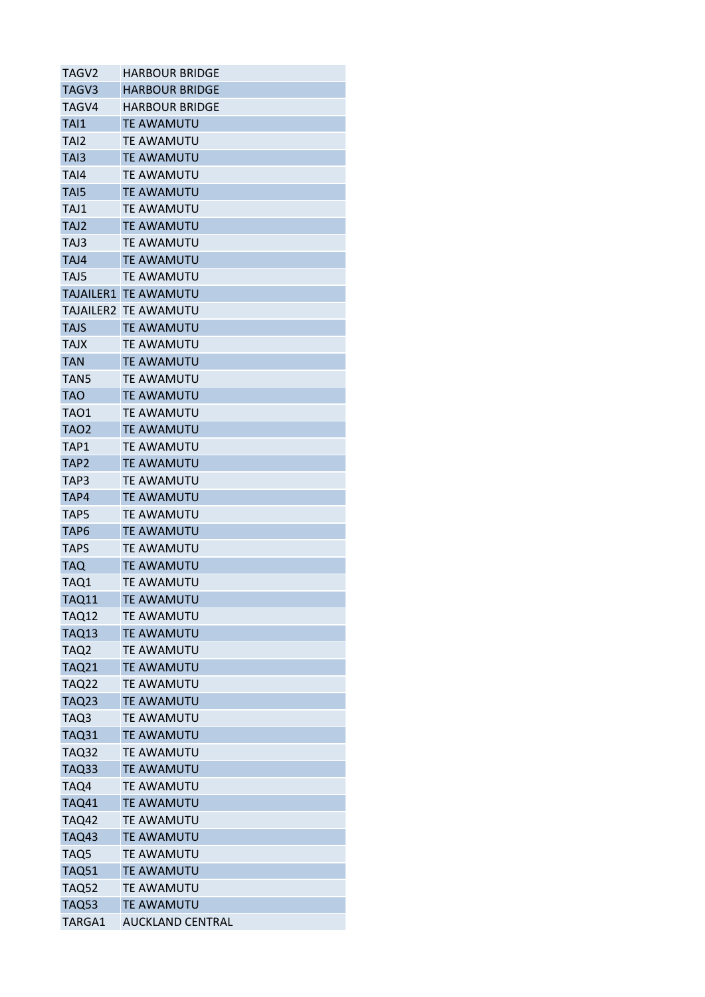| TAGV <sub>2</sub> | <b>HARBOUR BRIDGE</b>       |
|-------------------|-----------------------------|
| TAGV3             | <b>HARBOUR BRIDGE</b>       |
| TAGV4             | <b>HARBOUR BRIDGE</b>       |
| TAI1              | <b>TE AWAMUTU</b>           |
| TAI2              | <b>TE AWAMUTU</b>           |
| TAI3              | <b>TE AWAMUTU</b>           |
| TAI4              | TE AWAMUTU                  |
| TA <sub>I5</sub>  | <b>TE AWAMUTU</b>           |
| TAJ1              | <b>TE AWAMUTU</b>           |
| TAJ2              | <b>TE AWAMUTU</b>           |
| TAJ3              | <b>TE AWAMUTU</b>           |
| TAJ4              | TE AWAMUTU                  |
| TAJ5              | TE AWAMUTU                  |
|                   | <b>TAJAILER1 TE AWAMUTU</b> |
| TAJAILER2         | <b>TE AWAMUTU</b>           |
| <b>TAJS</b>       | <b>TE AWAMUTU</b>           |
| <b>TAJX</b>       | <b>TE AWAMUTU</b>           |
| <b>TAN</b>        | <b>TE AWAMUTU</b>           |
| TAN <sub>5</sub>  | <b>TE AWAMUTU</b>           |
| <b>TAO</b>        | <b>TE AWAMUTU</b>           |
| TAO1              | <b>TE AWAMUTU</b>           |
| TAO2              | <b>TE AWAMUTU</b>           |
|                   | <b>TE AWAMUTU</b>           |
| TAP1              |                             |
| TAP <sub>2</sub>  | <b>TE AWAMUTU</b>           |
| TAP3              | <b>TE AWAMUTU</b>           |
| TAP4              | <b>TE AWAMUTU</b>           |
| TAP5              | TE AWAMUTU                  |
| TAP <sub>6</sub>  | <b>TE AWAMUTU</b>           |
| <b>TAPS</b>       | <b>TE AWAMUTU</b>           |
| TAQ               | <b>TE AWAMUTU</b>           |
| TAQ1              | <b>TE AWAMUTU</b>           |
| <b>TAQ11</b>      | <b>TE AWAMUTU</b>           |
| TAQ12             | <b>TE AWAMUTU</b>           |
| <b>TAQ13</b>      | <b>TE AWAMUTU</b>           |
| TAQ2              | TE AWAMUTU                  |
| <b>TAQ21</b>      | <b>TE AWAMUTU</b>           |
| TAQ22             | <b>TE AWAMUTU</b>           |
| <b>TAQ23</b>      | <b>TE AWAMUTU</b>           |
| TAQ3              | <b>TE AWAMUTU</b>           |
| <b>TAQ31</b>      | <b>TE AWAMUTU</b>           |
| <b>TAQ32</b>      | <b>TE AWAMUTU</b>           |
| <b>TAQ33</b>      | <b>TE AWAMUTU</b>           |
| TAQ4              | <b>TE AWAMUTU</b>           |
| <b>TAQ41</b>      | <b>TE AWAMUTU</b>           |
| <b>TAQ42</b>      | TE AWAMUTU                  |
| <b>TAQ43</b>      | <b>TE AWAMUTU</b>           |
| TAQ5              | <b>TE AWAMUTU</b>           |
| <b>TAQ51</b>      | <b>TE AWAMUTU</b>           |
| <b>TAQ52</b>      | <b>TE AWAMUTU</b>           |
| <b>TAQ53</b>      | <b>TE AWAMUTU</b>           |
| TARGA1            | <b>AUCKLAND CENTRAL</b>     |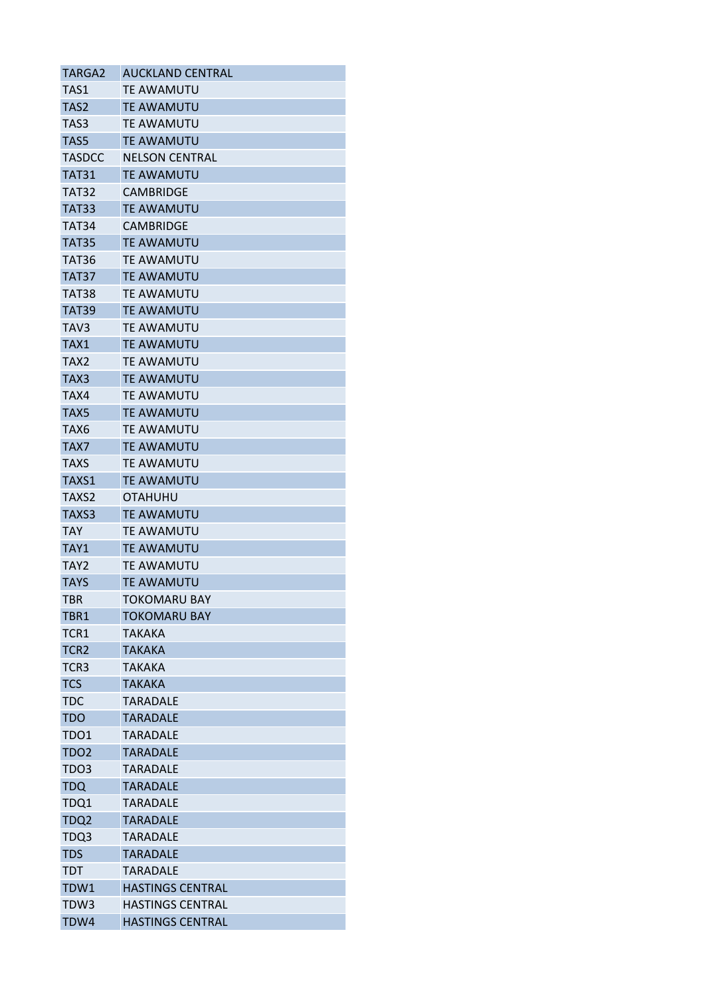| TARGA2           | <b>AUCKLAND CENTRAL</b> |
|------------------|-------------------------|
| TAS1             | <b>TE AWAMUTU</b>       |
| TAS <sub>2</sub> | <b>TE AWAMUTU</b>       |
| TAS3             | <b>TE AWAMUTU</b>       |
| TAS5             | <b>TE AWAMUTU</b>       |
| <b>TASDCC</b>    | <b>NELSON CENTRAL</b>   |
| TAT31            | TE AWAMUTU              |
| <b>TAT32</b>     | <b>CAMBRIDGE</b>        |
| <b>TAT33</b>     | <b>TE AWAMUTU</b>       |
| TAT34            | <b>CAMBRIDGE</b>        |
| TAT35            | <b>TE AWAMUTU</b>       |
| TAT36            | TE AWAMUTU              |
| TAT37            | <b>TE AWAMUTU</b>       |
| TAT38            | <b>TE AWAMUTU</b>       |
| TAT39            | <b>TE AWAMUTU</b>       |
| TAV3             | <b>TE AWAMUTU</b>       |
| TAX1             | <b>TE AWAMUTU</b>       |
| TAX2             | <b>TE AWAMUTU</b>       |
| TAX3             | <b>TE AWAMUTU</b>       |
| TAX4             | <b>TE AWAMUTU</b>       |
| TAX5             | <b>TE AWAMUTU</b>       |
| TAX6             | <b>TE AWAMUTU</b>       |
| TAX7             | <b>TE AWAMUTU</b>       |
| <b>TAXS</b>      | <b>TE AWAMUTU</b>       |
| TAXS1            | <b>TE AWAMUTU</b>       |
| TAXS2            | <b>OTAHUHU</b>          |
| TAXS3            | <b>TE AWAMUTU</b>       |
| TAY              | TE AWAMUTU              |
| TAY1             | <b>TE AWAMUTU</b>       |
| TAY2             | <b>TE AWAMUTU</b>       |
| <b>TAYS</b>      | <b>TE AWAMUTU</b>       |
| <b>TBR</b>       | <b>TOKOMARU BAY</b>     |
| TBR1             | <b>TOKOMARU BAY</b>     |
| TCR1             | TAKAKA                  |
| TCR <sub>2</sub> | <b>TAKAKA</b>           |
| TCR <sub>3</sub> | <b>TAKAKA</b>           |
| <b>TCS</b>       | <b>TAKAKA</b>           |
| <b>TDC</b>       | <b>TARADALE</b>         |
| <b>TDO</b>       | <b>TARADALE</b>         |
| TDO1             | <b>TARADALE</b>         |
| TDO2             | <b>TARADALE</b>         |
| TDO3             | <b>TARADALE</b>         |
| <b>TDQ</b>       | <b>TARADALE</b>         |
| TDQ1             | <b>TARADALE</b>         |
| TDQ2             | <b>TARADALE</b>         |
| TDQ3             | <b>TARADALE</b>         |
| <b>TDS</b>       | <b>TARADALE</b>         |
| TDT              | <b>TARADALE</b>         |
| TDW1             | <b>HASTINGS CENTRAL</b> |
| TDW3             | <b>HASTINGS CENTRAL</b> |
| TDW4             | <b>HASTINGS CENTRAL</b> |
|                  |                         |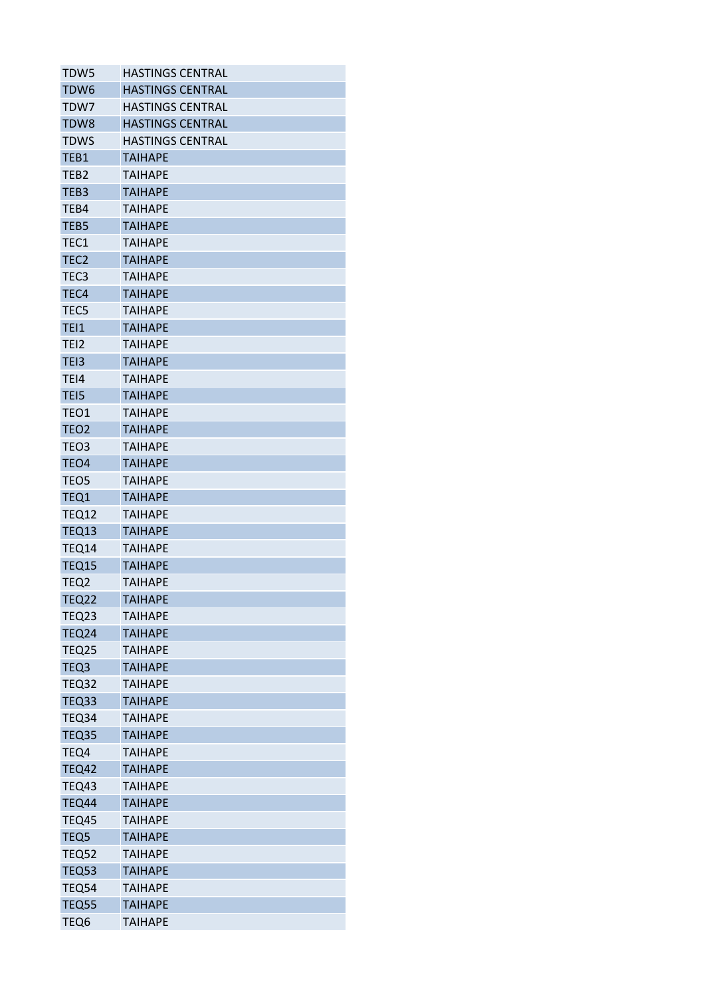| TDW5             | <b>HASTINGS CENTRAL</b> |
|------------------|-------------------------|
| TDW6             | <b>HASTINGS CENTRAL</b> |
| TDW7             | <b>HASTINGS CENTRAL</b> |
| TDW8             | <b>HASTINGS CENTRAL</b> |
| TDWS             | <b>HASTINGS CENTRAL</b> |
| TEB1             | <b>TAIHAPE</b>          |
| TEB2             | <b>TAIHAPE</b>          |
| TEB3             | <b>TAIHAPE</b>          |
| TEB4             | <b>TAIHAPE</b>          |
| TEB <sub>5</sub> | <b>TAIHAPE</b>          |
| TEC1             | <b>TAIHAPE</b>          |
| TEC <sub>2</sub> | <b>TAIHAPE</b>          |
| TEC3             | <b>TAIHAPE</b>          |
| TEC4             | <b>TAIHAPE</b>          |
| TEC5             | <b>TAIHAPE</b>          |
| <b>TEI1</b>      | <b>TAIHAPE</b>          |
| TEI <sub>2</sub> | <b>TAIHAPE</b>          |
| TEI3             | <b>TAIHAPE</b>          |
| TEI4             | <b>TAIHAPE</b>          |
| TEI5             | <b>TAIHAPE</b>          |
| TEO1             | TAIHAPE                 |
| TEO <sub>2</sub> | <b>TAIHAPE</b>          |
| TEO3             | <b>TAIHAPE</b>          |
| TEO <sub>4</sub> | <b>TAIHAPE</b>          |
| TEO5             | <b>TAIHAPE</b>          |
| TEQ1             | <b>TAIHAPE</b>          |
| <b>TEQ12</b>     | <b>TAIHAPE</b>          |
| <b>TEQ13</b>     | <b>TAIHAPE</b>          |
| TEQ14            | <b>TAIHAPE</b>          |
| <b>TEQ15</b>     | <b>TAIHAPE</b>          |
| TEQ2             | <b>TAIHAPE</b>          |
| <b>TEQ22</b>     | <b>TAIHAPE</b>          |
| TEQ23            | <b>TAIHAPE</b>          |
| <b>TEQ24</b>     | <b>TAIHAPE</b>          |
| <b>TEQ25</b>     | <b>TAIHAPE</b>          |
| TEQ3             | <b>TAIHAPE</b>          |
| <b>TEQ32</b>     | <b>TAIHAPE</b>          |
| TEQ33            | <b>TAIHAPE</b>          |
| TEQ34            | <b>TAIHAPE</b>          |
| TEQ35            | <b>TAIHAPE</b>          |
| TEQ4             | <b>TAIHAPE</b>          |
| <b>TEQ42</b>     | <b>TAIHAPE</b>          |
| TEQ43            | <b>TAIHAPE</b>          |
| TEQ44            | <b>TAIHAPE</b>          |
| TEQ45            | <b>TAIHAPE</b>          |
| TEQ5             | <b>TAIHAPE</b>          |
| <b>TEQ52</b>     | <b>TAIHAPE</b>          |
| TEQ53            | <b>TAIHAPE</b>          |
| <b>TEQ54</b>     | <b>TAIHAPE</b>          |
| <b>TEQ55</b>     | <b>TAIHAPE</b>          |
| TEQ6             | <b>TAIHAPE</b>          |
|                  |                         |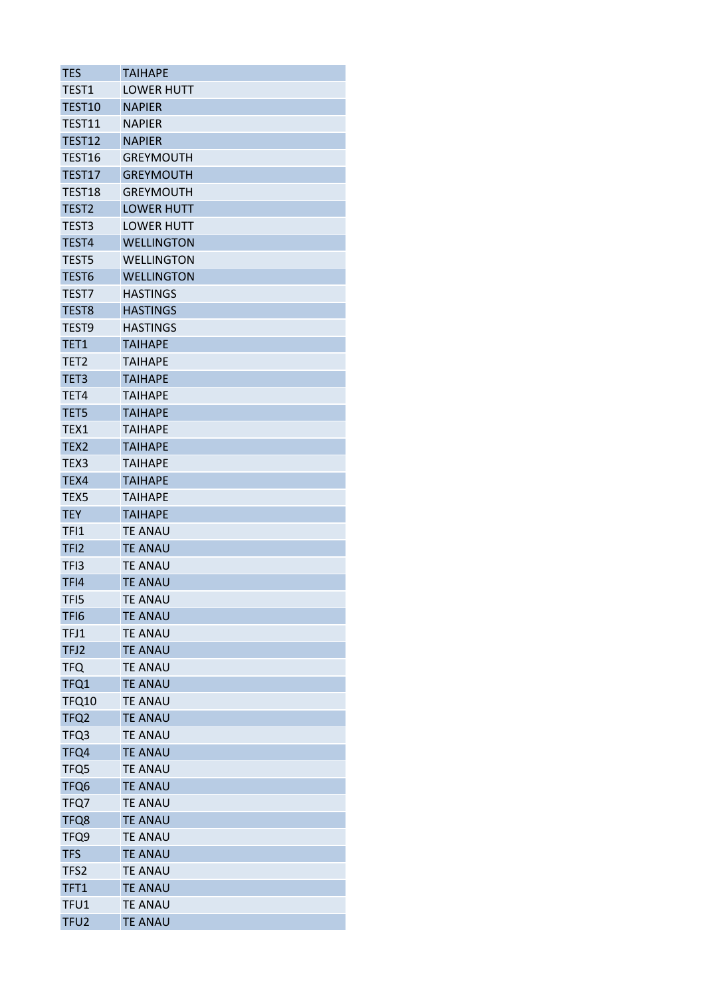| <b>TES</b>        | <b>TAIHAPE</b>    |
|-------------------|-------------------|
| TEST1             | <b>LOWER HUTT</b> |
| TEST10            | <b>NAPIER</b>     |
| TEST11            | <b>NAPIER</b>     |
| TEST12            | <b>NAPIER</b>     |
| TEST16            | <b>GREYMOUTH</b>  |
| TEST17            | <b>GREYMOUTH</b>  |
| TEST18            | <b>GREYMOUTH</b>  |
| TEST <sub>2</sub> | <b>LOWER HUTT</b> |
| TEST3             | <b>LOWER HUTT</b> |
| TEST4             | <b>WELLINGTON</b> |
| TEST5             | <b>WELLINGTON</b> |
| TEST <sub>6</sub> | <b>WELLINGTON</b> |
| TEST7             | <b>HASTINGS</b>   |
| TEST8             | <b>HASTINGS</b>   |
| TEST9             | <b>HASTINGS</b>   |
| TET1              | <b>TAIHAPE</b>    |
| TET <sub>2</sub>  | TAIHAPE           |
| TET3              | <b>TAIHAPE</b>    |
| TET4              | <b>TAIHAPE</b>    |
| TET5              | <b>TAIHAPE</b>    |
| TEX1              | TAIHAPE           |
| TEX <sub>2</sub>  | <b>TAIHAPE</b>    |
| TEX <sub>3</sub>  | <b>TAIHAPE</b>    |
| TEX4              | <b>TAIHAPE</b>    |
| TEX5              | <b>TAIHAPE</b>    |
| <b>TEY</b>        | <b>TAIHAPE</b>    |
| TFI1              | <b>TE ANAU</b>    |
| TFI <sub>2</sub>  | <b>TE ANAU</b>    |
| TF <sub>13</sub>  | <b>TE ANAU</b>    |
| TFI4              | <b>TE ANAU</b>    |
| TFI5              | <b>TE ANAU</b>    |
| TFI <sub>6</sub>  | <b>TE ANAU</b>    |
| TFJ1              | <b>TE ANAU</b>    |
| TFJ2              | <b>TE ANAU</b>    |
| <b>TFQ</b>        | <b>TE ANAU</b>    |
| TFQ1              | <b>TE ANAU</b>    |
| <b>TFQ10</b>      | TE ANAU           |
| TFQ2              | <b>TE ANAU</b>    |
| TFQ3              | <b>TE ANAU</b>    |
| TFQ4              | <b>TE ANAU</b>    |
| TFQ5              | <b>TE ANAU</b>    |
| TFQ6              | <b>TE ANAU</b>    |
| TFQ7              | <b>TE ANAU</b>    |
| TFQ8              | <b>TE ANAU</b>    |
| TFQ9              | <b>TE ANAU</b>    |
| <b>TFS</b>        | <b>TE ANAU</b>    |
| TFS2              | <b>TE ANAU</b>    |
| TFT1              | <b>TE ANAU</b>    |
| TFU1              | <b>TE ANAU</b>    |
| TFU <sub>2</sub>  | <b>TE ANAU</b>    |
|                   |                   |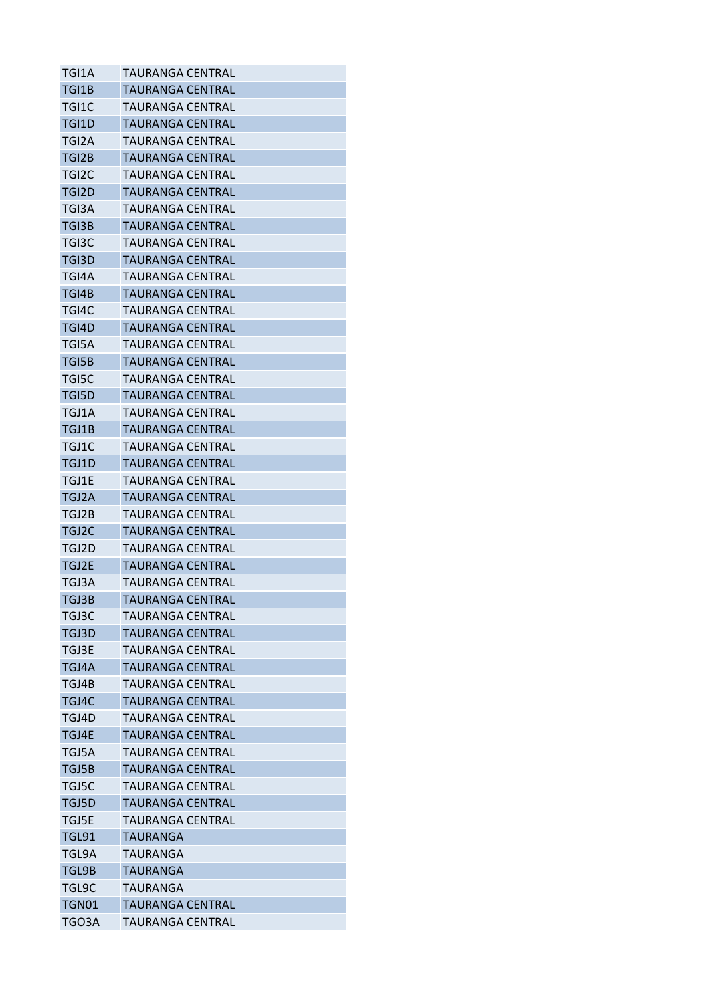| TGI1A        | TAURANGA CENTRAL        |
|--------------|-------------------------|
| TGI1B        | TAURANGA CENTRAL        |
| TGI1C        | TAURANGA CENTRAL        |
| TGI1D        | TAURANGA CENTRAL        |
| TGI2A        | <b>TAURANGA CENTRAL</b> |
| TGI2B        | TAURANGA CENTRAL        |
| TGI2C        | TAURANGA CENTRAL        |
| TGI2D        | <b>TAURANGA CENTRAL</b> |
| TGI3A        | TAURANGA CENTRAL        |
| TGI3B        | TAURANGA CENTRAL        |
| TGI3C        | TAURANGA CENTRAL        |
| TGI3D        | TAURANGA CENTRAL        |
| TGI4A        | TAURANGA CENTRAL        |
| TGI4B        | <b>TAURANGA CENTRAL</b> |
| TGI4C        | TAURANGA CENTRAL        |
| TGI4D        | TAURANGA CENTRAL        |
| TGI5A        | TAURANGA CENTRAL        |
| TGI5B        | TAURANGA CENTRAL        |
| TGI5C        | TAURANGA CENTRAL        |
| <b>TGI5D</b> | <b>TAURANGA CENTRAL</b> |
| TGJ1A        | TAURANGA CENTRAL        |
| TGJ1B        | TAURANGA CENTRAL        |
| TGJ1C        | TAURANGA CENTRAL        |
| TGJ1D        | TAURANGA CENTRAL        |
| TGJ1E        | TAURANGA CENTRAL        |
| TGJ2A        | TAURANGA CENTRAL        |
| TGJ2B        | TAURANGA CENTRAL        |
| TGJ2C        | TAURANGA CENTRAL        |
| TGJ2D        | TAURANGA CENTRAL        |
| TGJ2E        | TAURANGA CENTRAL        |
| TGJ3A        | TAURANGA CENTRAL        |
| TGJ3B        | <b>TAURANGA CENTRAL</b> |
| TGJ3C        | TAURANGA CENTRAL        |
| TGJ3D        | <b>TAURANGA CENTRAL</b> |
| TGJ3E        | TAURANGA CFNTRAL        |
| TGJ4A        | <b>TAURANGA CENTRAL</b> |
| TGJ4B        | TAURANGA CENTRAL        |
| TGJ4C        | TAURANGA CENTRAL        |
| TGJ4D        | <b>TAURANGA CENTRAL</b> |
| TGJ4E        | TAURANGA CENTRAL        |
| TGJ5A        | TAURANGA CENTRAL        |
| TGJ5B        | TAURANGA CENTRAL        |
| TGJ5C        | TAURANGA CENTRAL        |
| TGJ5D        | <b>TAURANGA CENTRAL</b> |
| TGJ5E        | <b>TAURANGA CENTRAL</b> |
| TGL91        | TAURANGA                |
| TGL9A        | TAURANGA                |
| TGL9B        | TAURANGA                |
| TGL9C        | TAURANGA                |
| <b>TGN01</b> | TAURANGA CENTRAL        |
| TGO3A        | TAURANGA CENTRAL        |
|              |                         |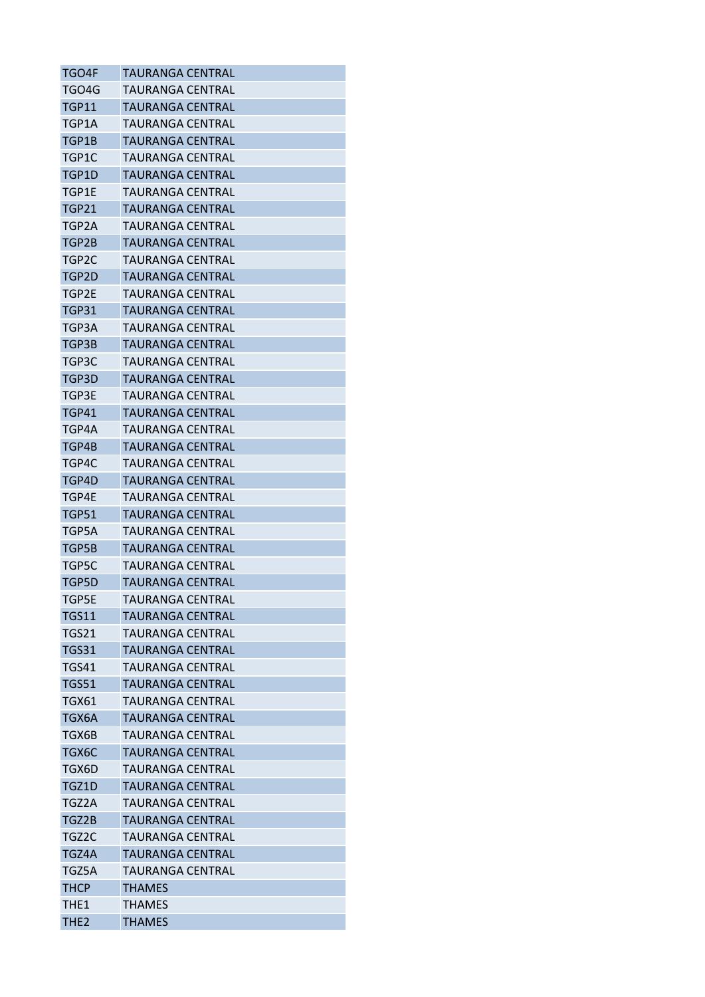| TGO4F            | TAURANGA CENTRAL        |
|------------------|-------------------------|
| TGO4G            | TAURANGA CENTRAL        |
| <b>TGP11</b>     | TAURANGA CENTRAL        |
| TGP1A            | TAURANGA CENTRAL        |
| TGP1B            | TAURANGA CENTRAL        |
| TGP1C            | TAURANGA CENTRAL        |
| TGP1D            | TAURANGA CENTRAL        |
| TGP1E            | TAURANGA CENTRAL        |
| <b>TGP21</b>     | <b>TAURANGA CENTRAL</b> |
| TGP2A            | TAURANGA CENTRAL        |
| TGP2B            | TAURANGA CENTRAL        |
| TGP2C            | TAURANGA CENTRAL        |
| TGP2D            | TAURANGA CENTRAL        |
| TGP2E            | TAURANGA CENTRAL        |
| <b>TGP31</b>     | TAURANGA CENTRAL        |
| TGP3A            | TAURANGA CENTRAL        |
| TGP3B            | TAURANGA CENTRAL        |
| TGP3C            | TAURANGA CENTRAL        |
| TGP3D            | TAURANGA CENTRAL        |
| TGP3E            | TAURANGA CENTRAL        |
| <b>TGP41</b>     | TAURANGA CENTRAL        |
| TGP4A            | TAURANGA CENTRAL        |
| TGP4B            | <b>TAURANGA CENTRAL</b> |
| TGP4C            | TAURANGA CENTRAL        |
| TGP4D            | TAURANGA CENTRAL        |
| TGP4E            | TAURANGA CENTRAL        |
| <b>TGP51</b>     | TAURANGA CENTRAL        |
| TGP5A            | TAURANGA CENTRAL        |
| TGP5B            | TAURANGA CENTRAL        |
| TGP5C            | TAURANGA CENTRAL        |
| TGP5D            | TAURANGA CENTRAL        |
| TGP5E            | <b>TAURANGA CENTRAL</b> |
| <b>TGS11</b>     | <b>TAURANGA CENTRAL</b> |
| TGS21            | <b>TAURANGA CENTRAL</b> |
| TGS31            | TAURANGA CENTRAL        |
| TGS41            | <b>TAURANGA CENTRAL</b> |
| TGS51            | TAURANGA CENTRAL        |
| <b>TGX61</b>     | <b>TAURANGA CENTRAL</b> |
| TGX6A            | <b>TAURANGA CENTRAL</b> |
| TGX6B            | TAURANGA CENTRAL        |
| TGX6C            | TAURANGA CENTRAL        |
| TGX6D            | TAURANGA CENTRAL        |
| TGZ1D            | <b>TAURANGA CENTRAL</b> |
| TGZ2A            | TAURANGA CENTRAL        |
| TGZ2B            | <b>TAURANGA CENTRAL</b> |
| TGZ2C            | TAURANGA CENTRAL        |
| TGZ4A            | <b>TAURANGA CENTRAL</b> |
| TGZ5A            | TAURANGA CENTRAL        |
| THCP             | <b>THAMES</b>           |
| THE1             | THAMES                  |
| THE <sub>2</sub> | THAMES                  |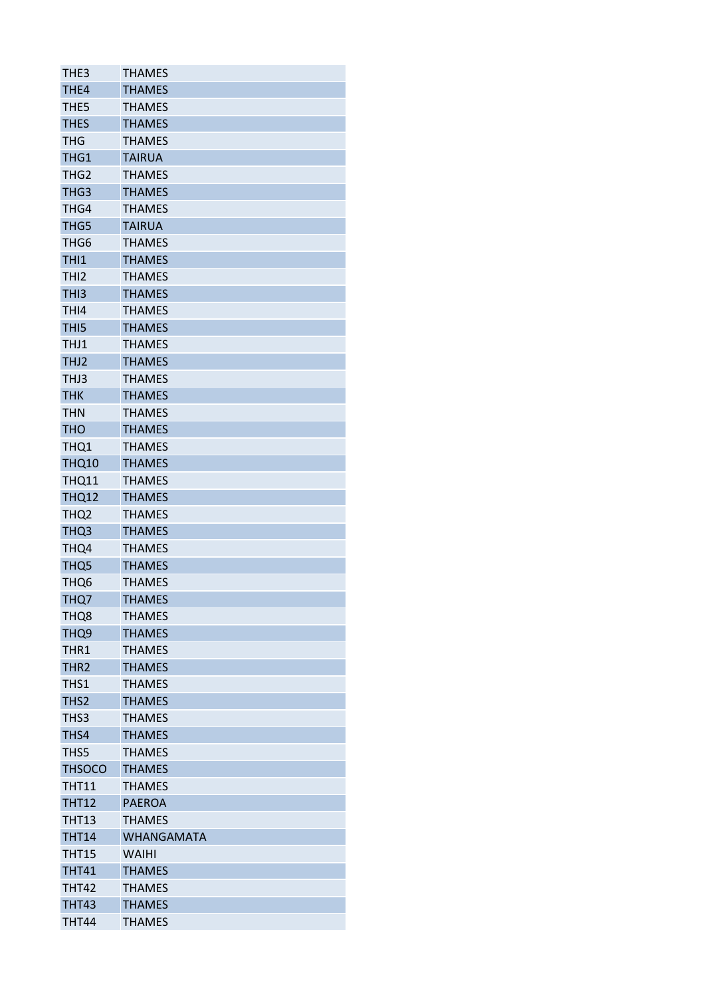| THE3             | <b>THAMES</b>     |
|------------------|-------------------|
| THE4             | <b>THAMES</b>     |
| THE <sub>5</sub> | <b>THAMES</b>     |
| <b>THES</b>      | <b>THAMES</b>     |
| <b>THG</b>       | <b>THAMES</b>     |
| THG1             | <b>TAIRUA</b>     |
| THG <sub>2</sub> | <b>THAMES</b>     |
| THG3             | <b>THAMES</b>     |
| THG4             | <b>THAMES</b>     |
| THG5             | <b>TAIRUA</b>     |
| THG6             | <b>THAMES</b>     |
| THI1             | <b>THAMES</b>     |
| THI <sub>2</sub> | <b>THAMES</b>     |
| THI3             | <b>THAMES</b>     |
| THI4             | <b>THAMES</b>     |
| TH <sub>I5</sub> | <b>THAMES</b>     |
| THJ1             | <b>THAMES</b>     |
| THJ2             | <b>THAMES</b>     |
| THJ3             | <b>THAMES</b>     |
| <b>THK</b>       | <b>THAMES</b>     |
| <b>THN</b>       | <b>THAMES</b>     |
| <b>THO</b>       | <b>THAMES</b>     |
| THQ1             | <b>THAMES</b>     |
| <b>THQ10</b>     | <b>THAMES</b>     |
| <b>THQ11</b>     | <b>THAMES</b>     |
| <b>THQ12</b>     | <b>THAMES</b>     |
| THQ <sub>2</sub> | <b>THAMES</b>     |
|                  | <b>THAMES</b>     |
| THQ3             | <b>THAMES</b>     |
| THQ4             | <b>THAMES</b>     |
| THQ <sub>5</sub> |                   |
| THQ <sub>6</sub> | <b>THAMES</b>     |
| THQ7             | <b>THAMES</b>     |
| THQ8             | <b>THAMES</b>     |
| THQ <sub>9</sub> | <b>THAMES</b>     |
| THR1             | <b>THAMES</b>     |
| THR <sub>2</sub> | <b>THAMES</b>     |
| THS1             | <b>THAMES</b>     |
| THS <sub>2</sub> | <b>THAMES</b>     |
| THS3             | <b>THAMES</b>     |
| THS4             | <b>THAMES</b>     |
| THS5             | <b>THAMES</b>     |
| <b>THSOCO</b>    | <b>THAMES</b>     |
| <b>THT11</b>     | <b>THAMES</b>     |
| <b>THT12</b>     | <b>PAEROA</b>     |
| <b>THT13</b>     | <b>THAMES</b>     |
| <b>THT14</b>     | <b>WHANGAMATA</b> |
| <b>THT15</b>     | <b>WAIHI</b>      |
| <b>THT41</b>     | <b>THAMES</b>     |
| <b>THT42</b>     | <b>THAMES</b>     |
| <b>THT43</b>     | <b>THAMES</b>     |
| <b>THT44</b>     | <b>THAMES</b>     |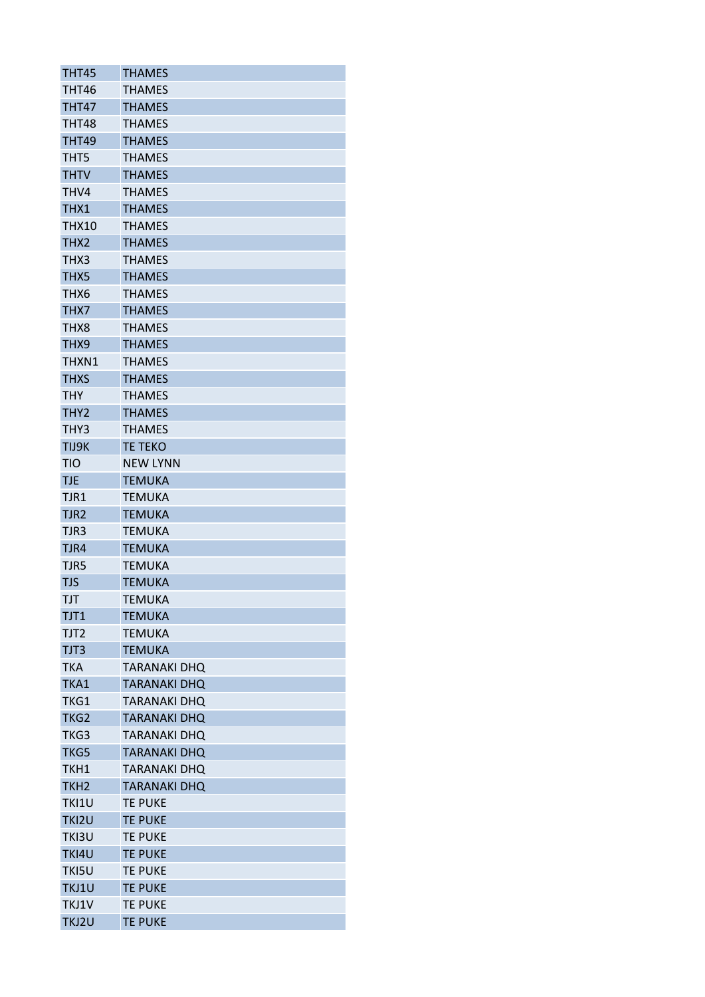| THT45            | THAMES                           |
|------------------|----------------------------------|
| <b>THT46</b>     | <b>THAMES</b>                    |
| THT47            | <b>THAMES</b>                    |
| <b>THT48</b>     | <b>THAMES</b>                    |
| <b>THT49</b>     | <b>THAMES</b>                    |
| THT5             | <b>THAMES</b>                    |
| <b>THTV</b>      | <b>THAMES</b>                    |
| THV4             | <b>THAMES</b>                    |
| THX1             | <b>THAMES</b>                    |
| THX10            | <b>THAMES</b>                    |
| THX2             | <b>THAMES</b>                    |
| THX3             | <b>THAMES</b>                    |
| THX5             | <b>THAMES</b>                    |
| THX6             | <b>THAMES</b>                    |
| THX7             | <b>THAMES</b>                    |
| THX8             | <b>THAMES</b>                    |
| THX9             | <b>THAMES</b>                    |
| THXN1            | <b>THAMES</b>                    |
| <b>THXS</b>      | <b>THAMES</b>                    |
| <b>THY</b>       | <b>THAMES</b>                    |
| THY <sub>2</sub> | <b>THAMES</b>                    |
| THY3             | <b>THAMES</b>                    |
| TIJ9K            | <b>TE TEKO</b>                   |
| <b>TIO</b>       | <b>NEW LYNN</b>                  |
| <b>TJE</b>       | <b>TEMUKA</b>                    |
| TJR1             | <b>TEMUKA</b>                    |
| TJR2             | TEMUKA                           |
| TJR3             | TEMUKA                           |
| TJR4             | <b>TEMUKA</b>                    |
| TJR5             | TEMUKA                           |
| <b>TJS</b>       | <b>TEMUKA</b>                    |
| TJT              | <b>TEMUKA</b>                    |
| TJT1             | <b>TEMUKA</b>                    |
| TJT2             | <b>TEMUKA</b>                    |
| TJT3             | <b>TEMUKA</b>                    |
| <b>TKA</b>       | <b>TARANAKI DHQ</b>              |
| TKA1             | TARANAKI DHQ                     |
| TKG1             | TARANAKI DHQ                     |
| TKG <sub>2</sub> | <b>TARANAKI DHQ</b>              |
| TKG3             | <b>TARANAKI DHQ</b>              |
| TKG5             | <b>TARANAKI DHQ</b>              |
| TKH1             | TARANAKI DHQ                     |
| TKH <sub>2</sub> | <b>TARANAKI DHQ</b>              |
|                  |                                  |
| TKI1U<br>TKI2U   | <b>TE PUKE</b><br><b>TE PUKE</b> |
|                  |                                  |
| TKI3U            | TE PUKE                          |
| TKI4U            | <b>TE PUKE</b>                   |
| TKI5U            | <b>TE PUKE</b>                   |
| TKJ1U            | <b>TE PUKE</b>                   |
| TKJ1V            | TE PUKE                          |
| TKJ2U            | <b>TE PUKE</b>                   |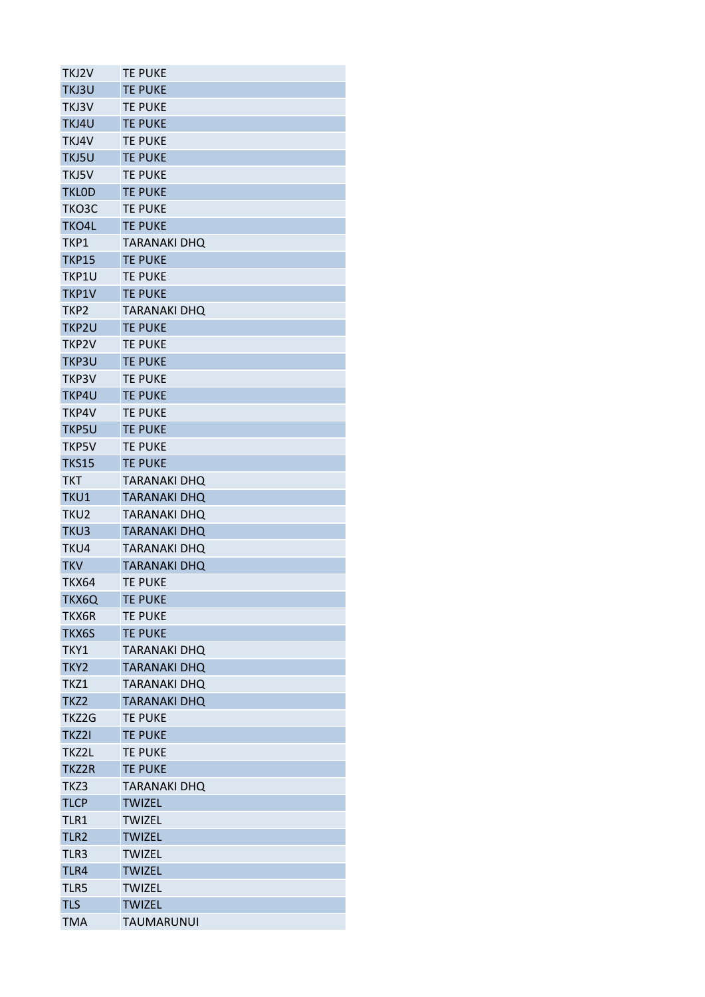| TKJ2V            | <b>TE PUKE</b>      |
|------------------|---------------------|
| TKJ3U            | <b>TE PUKE</b>      |
| TKJ3V            | <b>TE PUKE</b>      |
| TKJ4U            | <b>TE PUKE</b>      |
| TKJ4V            | <b>TE PUKE</b>      |
| TKJ5U            | <b>TE PUKE</b>      |
| TKJ5V            | <b>TE PUKE</b>      |
| <b>TKLOD</b>     | <b>TE PUKE</b>      |
| TKO3C            | <b>TE PUKE</b>      |
| TKO4L            | <b>TE PUKE</b>      |
| TKP1             | <b>TARANAKI DHQ</b> |
| <b>TKP15</b>     | <b>TE PUKE</b>      |
| TKP1U            | <b>TE PUKE</b>      |
| TKP1V            | <b>TE PUKE</b>      |
| TKP <sub>2</sub> | <b>TARANAKI DHQ</b> |
| TKP2U            | <b>TE PUKE</b>      |
| TKP2V            | <b>TE PUKE</b>      |
| TKP3U            | <b>TE PUKE</b>      |
| TKP3V            | <b>TE PUKE</b>      |
| TKP4U            | <b>TE PUKE</b>      |
| TKP4V            | <b>TE PUKE</b>      |
| <b>TKP5U</b>     | <b>TE PUKE</b>      |
| <b>TKP5V</b>     | <b>TE PUKE</b>      |
| <b>TKS15</b>     | <b>TE PUKE</b>      |
| <b>TKT</b>       | <b>TARANAKI DHO</b> |
| TKU1             | <b>TARANAKI DHQ</b> |
| TKU <sub>2</sub> | <b>TARANAKI DHO</b> |
| TKU3             | <b>TARANAKI DHQ</b> |
| TKU4             | <b>TARANAKI DHQ</b> |
| <b>TKV</b>       | <b>TARANAKI DHQ</b> |
| <b>TKX64</b>     | <b>TE PUKE</b>      |
| TKX6Q            | <b>TE PUKE</b>      |
| TKX6R            | <b>TE PUKE</b>      |
| TKX6S            | <b>TE PUKE</b>      |
| TKY1             | <b>TARANAKI DHQ</b> |
| TKY <sub>2</sub> | <b>TARANAKI DHQ</b> |
| TKZ1             | <b>TARANAKI DHO</b> |
| TKZ2             | <b>TARANAKI DHQ</b> |
| TKZ2G            | <b>TE PUKE</b>      |
| TKZ2I            | <b>TE PUKE</b>      |
| TKZ2L            | <b>TE PUKE</b>      |
| TKZ2R            | <b>TE PUKE</b>      |
| TKZ3             | <b>TARANAKI DHQ</b> |
| <b>TLCP</b>      | <b>TWIZEL</b>       |
| TLR1             | <b>TWIZEL</b>       |
|                  |                     |
| TLR <sub>2</sub> | <b>TWIZEL</b>       |
| TLR3             | <b>TWIZEL</b>       |
| TLR4             | <b>TWIZEL</b>       |
| TLR5             | <b>TWIZEL</b>       |
| <b>TLS</b>       | <b>TWIZEL</b>       |
| <b>TMA</b>       | <b>TAUMARUNUI</b>   |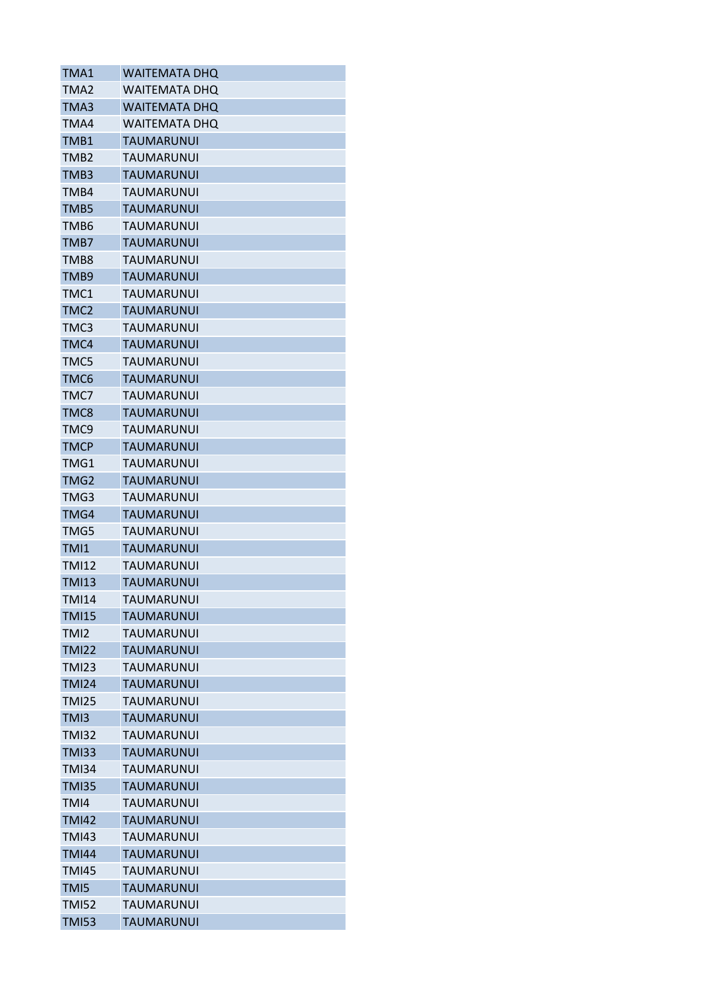| TMA1             | <b>WAITEMATA DHO</b> |
|------------------|----------------------|
| TMA <sub>2</sub> | <b>WAITEMATA DHO</b> |
| TMA3             | <b>WAITEMATA DHO</b> |
| TMA4             | <b>WAITEMATA DHO</b> |
| TMB1             | <b>TAUMARUNUI</b>    |
| TMB <sub>2</sub> | TAUMARUNUI           |
| TMB3             | TAUMARUNUI           |
| TMB4             | <b>TAUMARUNUI</b>    |
| TMB5             | <b>TAUMARUNUI</b>    |
| TMB6             | TAUMARUNUI           |
| TMB7             | <b>TAUMARUNUI</b>    |
| TMB8             | TAUMARUNUI           |
| TMB9             | <b>TAUMARUNUI</b>    |
| TMC1             | TAUMARUNUI           |
| TMC <sub>2</sub> | <b>TAUMARUNUI</b>    |
| TMC3             | <b>TAUMARUNUI</b>    |
| TMC4             | <b>TAUMARUNUI</b>    |
| TMC5             | TAUMARUNUI           |
| TMC6             | <b>TAUMARUNUI</b>    |
| TMC7             | <b>TAUMARUNUI</b>    |
| TMC8             | <b>TAUMARUNUI</b>    |
| TMC9             | TAUMARUNUI           |
| <b>TMCP</b>      | <b>TAUMARUNUI</b>    |
| TMG1             | TAUMARUNUI           |
| TMG2             | <b>TAUMARUNUI</b>    |
| TMG3             | TAUMARUNUI           |
| TMG4             | <b>TAUMARUNUI</b>    |
| TMG5             | TAUMARUNUI           |
| TMI1             | <b>TAUMARUNUI</b>    |
| <b>TMI12</b>     | TAUMARUNUI           |
| <b>TMI13</b>     | <b>TAUMARUNUI</b>    |
| <b>TMI14</b>     | <b>TAUMARUNUI</b>    |
| <b>TMI15</b>     | <b>TAUMARUNUI</b>    |
| TMI2             | <b>TAUMARUNUI</b>    |
| <b>TMI22</b>     | <b>TAUMARUNUI</b>    |
| <b>TMI23</b>     | <b>TAUMARUNUI</b>    |
| <b>TMI24</b>     | <b>TAUMARUNUI</b>    |
| <b>TMI25</b>     | <b>TAUMARUNUI</b>    |
| TMI3             | <b>TAUMARUNUI</b>    |
| <b>TMI32</b>     | <b>TAUMARUNUI</b>    |
| <b>TMI33</b>     | <b>TAUMARUNUI</b>    |
| <b>TMI34</b>     | TAUMARUNUI           |
| <b>TMI35</b>     | <b>TAUMARUNUI</b>    |
| TMI4             | <b>TAUMARUNUI</b>    |
| <b>TMI42</b>     | <b>TAUMARUNUI</b>    |
| <b>TMI43</b>     | TAUMARUNUI           |
| <b>TMI44</b>     | <b>TAUMARUNUI</b>    |
| <b>TMI45</b>     | <b>TAUMARUNUI</b>    |
| TMI5             | <b>TAUMARUNUI</b>    |
| <b>TMI52</b>     | <b>TAUMARUNUI</b>    |
| <b>TMI53</b>     | <b>TAUMARUNUI</b>    |
|                  |                      |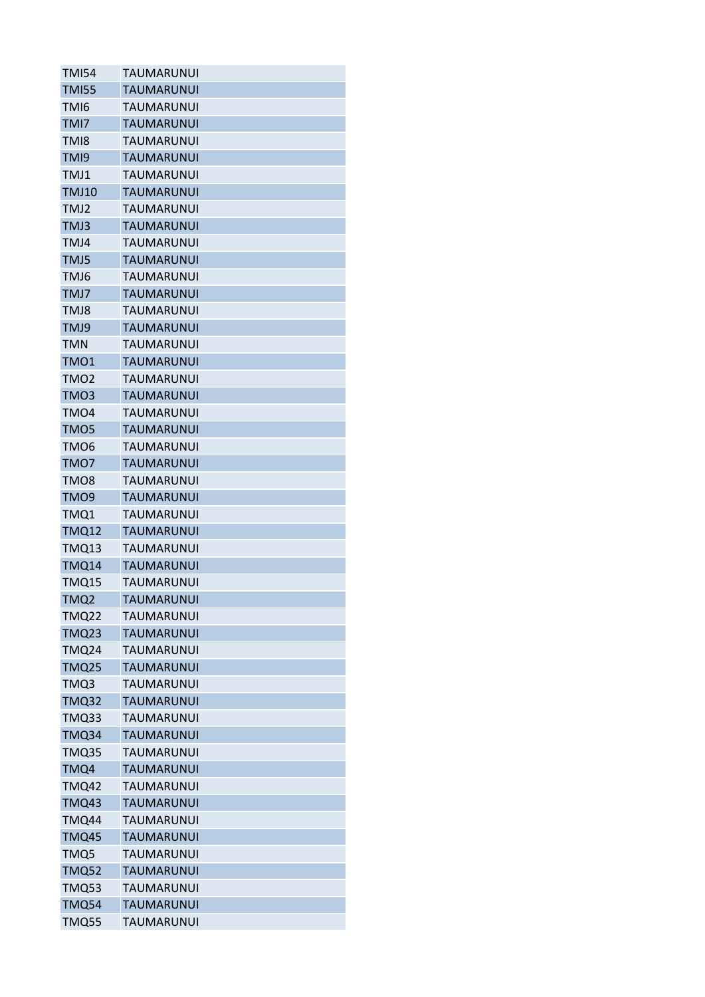| <b>TMI54</b>     | TAUMARUNUI        |
|------------------|-------------------|
| <b>TMI55</b>     | <b>TAUMARUNUI</b> |
| TMI6             | TAUMARUNUI        |
| TMI7             | <b>TAUMARUNUI</b> |
| TM <sub>18</sub> | TAUMARUNUI        |
| TMI9             | <b>TAUMARUNUI</b> |
| TMJ1             | TAUMARUNUI        |
| <b>TMJ10</b>     | <b>TAUMARUNUI</b> |
| TMJ2             | <b>TAUMARUNUI</b> |
| TMJ3             | <b>TAUMARUNUI</b> |
| TMJ4             | TAUMARUNUI        |
| TMJ5             | TAUMARUNUI        |
| TMJ6             | TAUMARUNUI        |
| TMJ7             | TAUMARUNUI        |
| TMJ8             | TAUMARUNUI        |
| TMJ9             | <b>TAUMARUNUI</b> |
| <b>TMN</b>       | TAUMARUNUI        |
| TMO1             | TAUMARUNUI        |
| TMO <sub>2</sub> | <b>TAUMARUNUI</b> |
| TMO3             | <b>TAUMARUNUI</b> |
| TMO <sub>4</sub> | TAUMARUNUI        |
| TMO5             | <b>TAUMARUNUI</b> |
| TMO <sub>6</sub> | TAUMARUNUI        |
| TMO7             | <b>TAUMARUNUI</b> |
| TMO <sub>8</sub> | <b>TAUMARUNUI</b> |
| TMO9             | <b>TAUMARUNUI</b> |
| TMQ1             | TAUMARUNUI        |
|                  | <b>TAUMARUNUI</b> |
| <b>TMQ12</b>     |                   |
| <b>TMQ13</b>     | TAUMARUNUI        |
| <b>TMQ14</b>     | TAUMARUNUI        |
| TMQ15            | <b>TAUMARUNUI</b> |
| TMQ <sub>2</sub> | <b>TAUMARUNUI</b> |
| <b>TMQ22</b>     | <b>TAUMARUNUI</b> |
| <b>TMQ23</b>     | <b>TAUMARUNUI</b> |
| <b>TMQ24</b>     | TAUMARUNUI        |
| <b>TMQ25</b>     | TAUMARUNUI        |
| TMQ3             | TAUMARUNUI        |
| <b>TMQ32</b>     | <b>TAUMARUNUI</b> |
| <b>TMQ33</b>     | <b>TAUMARUNUI</b> |
| TMQ34            | <b>TAUMARUNUI</b> |
| <b>TMQ35</b>     | TAUMARUNUI        |
| TMQ4             | TAUMARUNUI        |
| <b>TMQ42</b>     | <b>TAUMARUNUI</b> |
| <b>TMQ43</b>     | <b>TAUMARUNUI</b> |
| <b>TMQ44</b>     | TAUMARUNUI        |
| <b>TMQ45</b>     | <b>TAUMARUNUI</b> |
| TMQ5             | TAUMARUNUI        |
| <b>TMQ52</b>     | <b>TAUMARUNUI</b> |
| <b>TMQ53</b>     | TAUMARUNUI        |
| <b>TMQ54</b>     | <b>TAUMARUNUI</b> |
| <b>TMQ55</b>     | TAUMARUNUI        |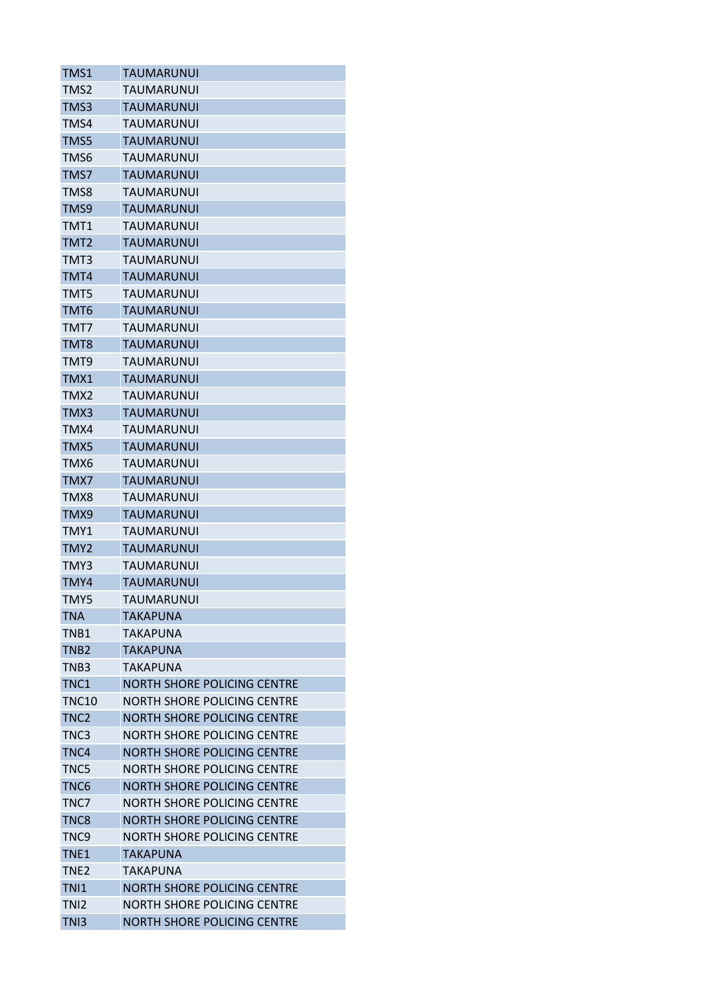| TMS1             | <b>TAUMARUNUI</b>                  |
|------------------|------------------------------------|
| TMS2             | TAUMARUNUI                         |
| TMS3             | <b>TAUMARUNUI</b>                  |
| TMS4             | TAUMARUNUI                         |
| TMS5             | <b>TAUMARUNUI</b>                  |
| TMS6             | TAUMARUNUI                         |
| TMS7             | TAUMARUNUI                         |
| TMS8             | TAUMARUNUI                         |
| TMS9             | <b>TAUMARUNUI</b>                  |
| TMT1             | <b>TAUMARUNUI</b>                  |
| TMT <sub>2</sub> | <b>TAUMARUNUI</b>                  |
| TMT3             | TAUMARUNUI                         |
| TMT4             | <b>TAUMARUNUI</b>                  |
| TMT5             | TAUMARUNUI                         |
| TMT6             | TAUMARUNUI                         |
| TMT7             | TAUMARUNUI                         |
| TMT8             | TAUMARUNUI                         |
| TMT9             | TAUMARUNUI                         |
| TMX1             | <b>TAUMARUNUI</b>                  |
| TMX <sub>2</sub> | <b>TAUMARUNUI</b>                  |
| TMX3             | <b>TAUMARUNUI</b>                  |
| TMX4             | TAUMARUNUI                         |
| TMX5             | TAUMARUNUI                         |
| TMX6             | TAUMARUNUI                         |
|                  |                                    |
| TMX7             | <b>TAUMARUNUI</b>                  |
| TMX8             | TAUMARUNUI                         |
| TMX9             | <b>TAUMARUNUI</b>                  |
| TMY1             | TAUMARUNUI                         |
| TMY2             | <b>TAUMARUNUI</b>                  |
| TMY3             | TAUMARUNUI                         |
| TMY4             | <b>TAUMARUNUI</b>                  |
| TMY5             | <b>TAUMARUNUI</b>                  |
| <b>TNA</b>       | TAKAPUNA                           |
| TNB1             | <b>TAKAPUNA</b>                    |
| TNB2             | <b>TAKAPUNA</b>                    |
| TNB3             | TAKAPUNA                           |
| TNC1             | <b>NORTH SHORE POLICING CENTRE</b> |
| <b>TNC10</b>     | NORTH SHORE POLICING CENTRE        |
| TNC <sub>2</sub> | <b>NORTH SHORE POLICING CENTRE</b> |
| TNC <sub>3</sub> | NORTH SHORE POLICING CENTRE        |
| TNC4             | NORTH SHORE POLICING CENTRE        |
| TNC5             | NORTH SHORE POLICING CENTRE        |
| TNC <sub>6</sub> | <b>NORTH SHORE POLICING CENTRE</b> |
| TNC7             | <b>NORTH SHORE POLICING CENTRE</b> |
| TNC8             | <b>NORTH SHORE POLICING CENTRE</b> |
| TNC <sub>9</sub> | NORTH SHORE POLICING CENTRE        |
| TNE <sub>1</sub> | TAKAPUNA                           |
| TNE <sub>2</sub> | TAKAPUNA                           |
| TN <sub>1</sub>  | <b>NORTH SHORE POLICING CENTRE</b> |
| TN <sub>12</sub> | <b>NORTH SHORE POLICING CENTRE</b> |
| TN <sub>13</sub> | <b>NORTH SHORE POLICING CENTRE</b> |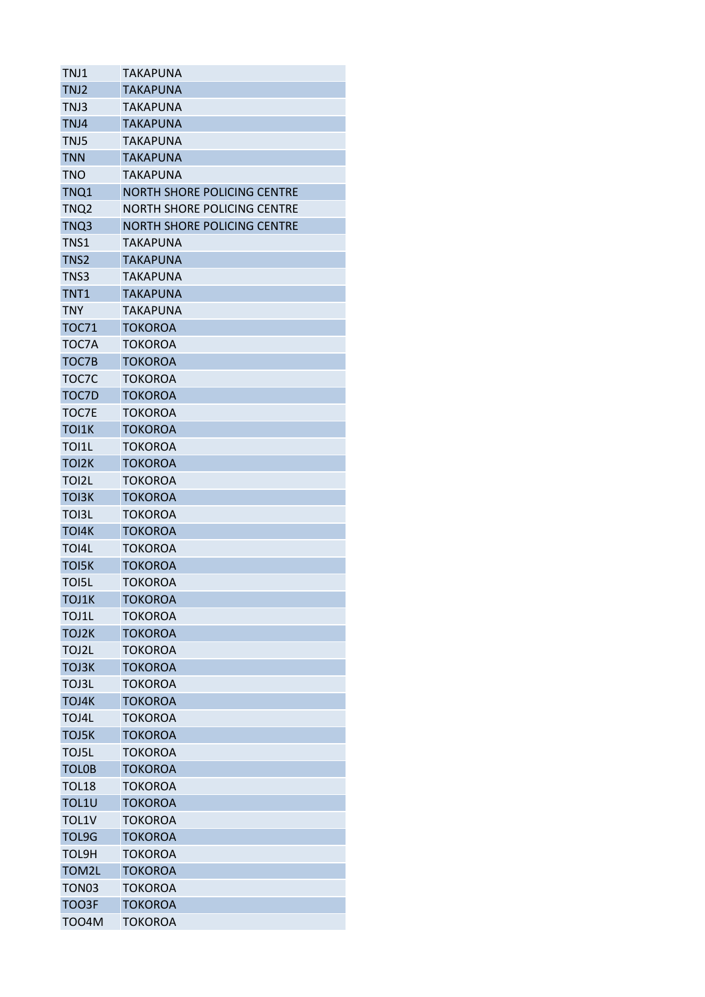| TNJ1               | TAKAPUNA                           |
|--------------------|------------------------------------|
| TNJ2               | TAKAPUNA                           |
| TNJ3               | <b>TAKAPUNA</b>                    |
| TNJ4               | TAKAPUNA                           |
| TNJ5               | <b>TAKAPUNA</b>                    |
| <b>TNN</b>         | <b>TAKAPUNA</b>                    |
| <b>TNO</b>         | TAKAPUNA                           |
| TNQ1               | <b>NORTH SHORE POLICING CENTRE</b> |
| TNQ2               | NORTH SHORE POLICING CENTRE        |
| TNQ3               | <b>NORTH SHORE POLICING CENTRE</b> |
| TNS1               | <b>TAKAPUNA</b>                    |
| TNS <sub>2</sub>   | <b>TAKAPUNA</b>                    |
| TNS3               | TAKAPUNA                           |
| TNT <sub>1</sub>   | <b>TAKAPUNA</b>                    |
| <b>TNY</b>         | TAKAPUNA                           |
| <b>TOC71</b>       | <b>TOKOROA</b>                     |
| TOC7A              | TOKOROA                            |
| TOC7B              | <b>TOKOROA</b>                     |
| TOC7C              | TOKOROA                            |
| TOC7D              | <b>TOKOROA</b>                     |
| TOC7E              | <b>TOKOROA</b>                     |
| TOI1K              | TOKOROA                            |
| TOI1L              | TOKOROA                            |
| TOI <sub>2</sub> K | <b>TOKOROA</b>                     |
| TOI2L              | <b>TOKOROA</b>                     |
| TOI3K              | <b>TOKOROA</b>                     |
| <b>TOI3L</b>       | TOKOROA                            |
| TOI4K              | <b>TOKOROA</b>                     |
| TOI4L              | TOKOROA                            |
| <b>TOI5K</b>       | <b>TOKOROA</b>                     |
| <b>TOI5L</b>       | <b>TOKOROA</b>                     |
| TOJ1K              | <b>TOKOROA</b>                     |
| TOJ1L              | TOKOROA                            |
| TOJ2K              | <b>TOKOROA</b>                     |
| TOJ2L              | <b>TOKOROA</b>                     |
| <b>TOJ3K</b>       | <b>TOKOROA</b>                     |
| TOJ3L              |                                    |
| TOJ4K              | TOKOROA<br><b>TOKOROA</b>          |
|                    |                                    |
| TOJ4L              | <b>TOKOROA</b>                     |
| TOJ5K              | <b>TOKOROA</b>                     |
| TOJ5L              | <b>TOKOROA</b>                     |
| <b>TOLOB</b>       | <b>TOKOROA</b>                     |
| <b>TOL18</b>       | <b>TOKOROA</b>                     |
| <b>TOL1U</b>       | <b>TOKOROA</b>                     |
| TOL1V              | TOKOROA                            |
| TOL9G              | <b>TOKOROA</b>                     |
| TOL9H              | TOKOROA                            |
| TOM2L              | <b>TOKOROA</b>                     |
| <b>TON03</b>       | <b>TOKOROA</b>                     |
| TOO3F              | <b>TOKOROA</b>                     |
| <b>TOO4M</b>       | <b>TOKOROA</b>                     |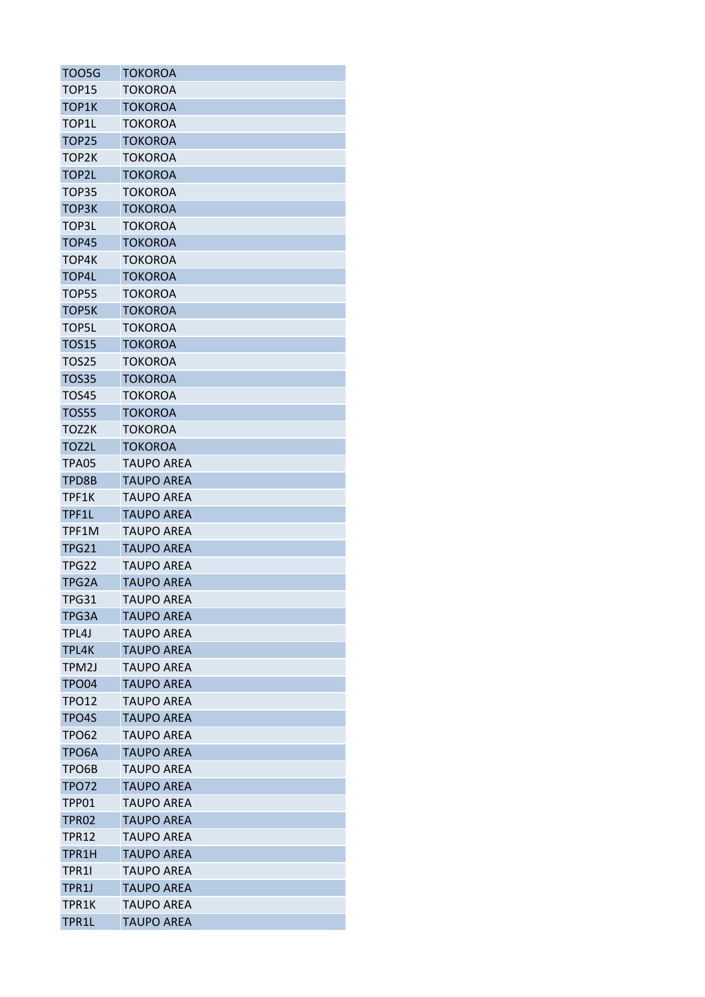| TOO5G             | TOKOROA           |
|-------------------|-------------------|
| TOP15             | TOKOROA           |
| TOP1K             | TOKOROA           |
| TOP1L             | <b>TOKOROA</b>    |
| <b>TOP25</b>      | <b>TOKOROA</b>    |
| TOP2K             | TOKOROA           |
| TOP2L             | TOKOROA           |
| TOP35             | <b>TOKOROA</b>    |
| TOP3K             | <b>TOKOROA</b>    |
| TOP3L             | <b>TOKOROA</b>    |
| TOP45             | <b>TOKOROA</b>    |
| TOP4K             | TOKOROA           |
| TOP4L             | <b>TOKOROA</b>    |
| TOP55             | TOKOROA           |
| TOP5K             | <b>TOKOROA</b>    |
| <b>TOP5L</b>      | <b>TOKOROA</b>    |
| <b>TOS15</b>      | TOKOROA           |
| <b>TOS25</b>      | <b>TOKOROA</b>    |
| <b>TOS35</b>      | TOKOROA           |
| <b>TOS45</b>      | <b>TOKOROA</b>    |
| <b>TOS55</b>      | <b>TOKOROA</b>    |
| TOZ2K             | <b>TOKOROA</b>    |
| TOZ2L             | <b>TOKOROA</b>    |
| TPA05             | <b>TAUPO AREA</b> |
| TPD8B             | <b>TAUPO AREA</b> |
| TPF1K             | <b>TAUPO AREA</b> |
| TPF1L             | <b>TAUPO AREA</b> |
| TPF1M             | <b>TAUPO AREA</b> |
| <b>TPG21</b>      | <b>TAUPO AREA</b> |
| <b>TPG22</b>      | <b>TAUPO AREA</b> |
| TPG2A             | <b>TAUPO AREA</b> |
| <b>TPG31</b>      | <b>TAUPO AREA</b> |
| TPG3A             | <b>TAUPO AREA</b> |
| TPL4J             | <b>TAUPO AREA</b> |
| TPL4K             | <b>TAUPO AREA</b> |
| TPM2J             | <b>TAUPO AREA</b> |
| TPO04             | <b>TAUPO AREA</b> |
| <b>TPO12</b>      | <b>TAUPO AREA</b> |
| TPO4S             | <b>TAUPO AREA</b> |
| <b>TPO62</b>      | <b>TAUPO AREA</b> |
| TPO6A             | <b>TAUPO AREA</b> |
| TPO6B             | <b>TAUPO AREA</b> |
| <b>TPO72</b>      | <b>TAUPO AREA</b> |
| TPP01             | <b>TAUPO AREA</b> |
| TPR <sub>02</sub> | <b>TAUPO AREA</b> |
| TPR12             | <b>TAUPO AREA</b> |
| TPR1H             | <b>TAUPO AREA</b> |
| TPR11             | <b>TAUPO AREA</b> |
| TPR1J             | <b>TAUPO AREA</b> |
| TPR1K             | <b>TAUPO AREA</b> |
| <b>TPR1L</b>      | <b>TAUPO AREA</b> |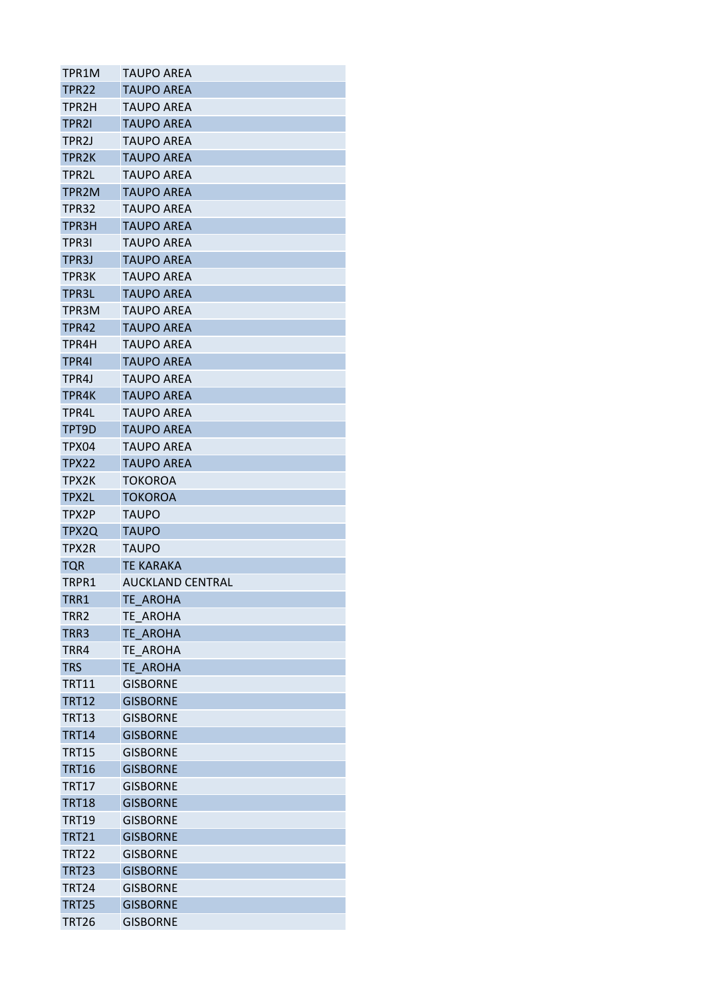| TPR1M              | <b>TAUPO AREA</b>       |
|--------------------|-------------------------|
| <b>TPR22</b>       | <b>TAUPO AREA</b>       |
| TPR2H              | <b>TAUPO AREA</b>       |
| TPR21              | <b>TAUPO AREA</b>       |
| TPR <sub>2</sub> J | <b>TAUPO AREA</b>       |
| TPR2K              | <b>TAUPO AREA</b>       |
| TPR2L              | <b>TAUPO AREA</b>       |
| TPR2M              | <b>TAUPO AREA</b>       |
| <b>TPR32</b>       | <b>TAUPO AREA</b>       |
| TPR3H              | <b>TAUPO AREA</b>       |
| TPR31              | <b>TAUPO AREA</b>       |
| TPR3J              | <b>TAUPO AREA</b>       |
| TPR3K              | <b>TAUPO AREA</b>       |
| TPR3L              | <b>TAUPO AREA</b>       |
| TPR3M              | <b>TAUPO AREA</b>       |
| <b>TPR42</b>       | <b>TAUPO AREA</b>       |
| TPR4H              | <b>TAUPO AREA</b>       |
| TPR41              | <b>TAUPO AREA</b>       |
| TPR4J              | TAUPO AREA              |
| TPR4K              | <b>TAUPO AREA</b>       |
| TPR4L              | <b>TAUPO AREA</b>       |
| TPT9D              | <b>TAUPO AREA</b>       |
| TPX04              | <b>TAUPO AREA</b>       |
| <b>TPX22</b>       | <b>TAUPO AREA</b>       |
| TPX2K              | <b>TOKOROA</b>          |
| TPX2L              | <b>TOKOROA</b>          |
| TPX2P              | TAUPO                   |
| TPX2Q              | <b>TAUPO</b>            |
| TPX2R              | <b>TAUPO</b>            |
| TQR                | <b>TE KARAKA</b>        |
| TRPR1              | <b>AUCKLAND CENTRAL</b> |
| TRR1               | TE_AROHA                |
| TRR2               | TE AROHA                |
| TRR3               | <b>TE AROHA</b>         |
| TRR4               | TE AROHA                |
| <b>TRS</b>         | <b>TE AROHA</b>         |
| <b>TRT11</b>       | <b>GISBORNE</b>         |
| <b>TRT12</b>       | <b>GISBORNE</b>         |
| <b>TRT13</b>       | <b>GISBORNE</b>         |
| <b>TRT14</b>       | <b>GISBORNE</b>         |
| <b>TRT15</b>       | <b>GISBORNE</b>         |
| <b>TRT16</b>       | <b>GISBORNE</b>         |
| <b>TRT17</b>       | <b>GISBORNE</b>         |
| <b>TRT18</b>       | <b>GISBORNE</b>         |
| <b>TRT19</b>       | <b>GISBORNE</b>         |
|                    |                         |
| <b>TRT21</b>       | <b>GISBORNE</b>         |
| <b>TRT22</b>       | <b>GISBORNE</b>         |
| <b>TRT23</b>       | <b>GISBORNE</b>         |
| <b>TRT24</b>       | <b>GISBORNE</b>         |
| <b>TRT25</b>       | <b>GISBORNE</b>         |
| <b>TRT26</b>       | <b>GISBORNE</b>         |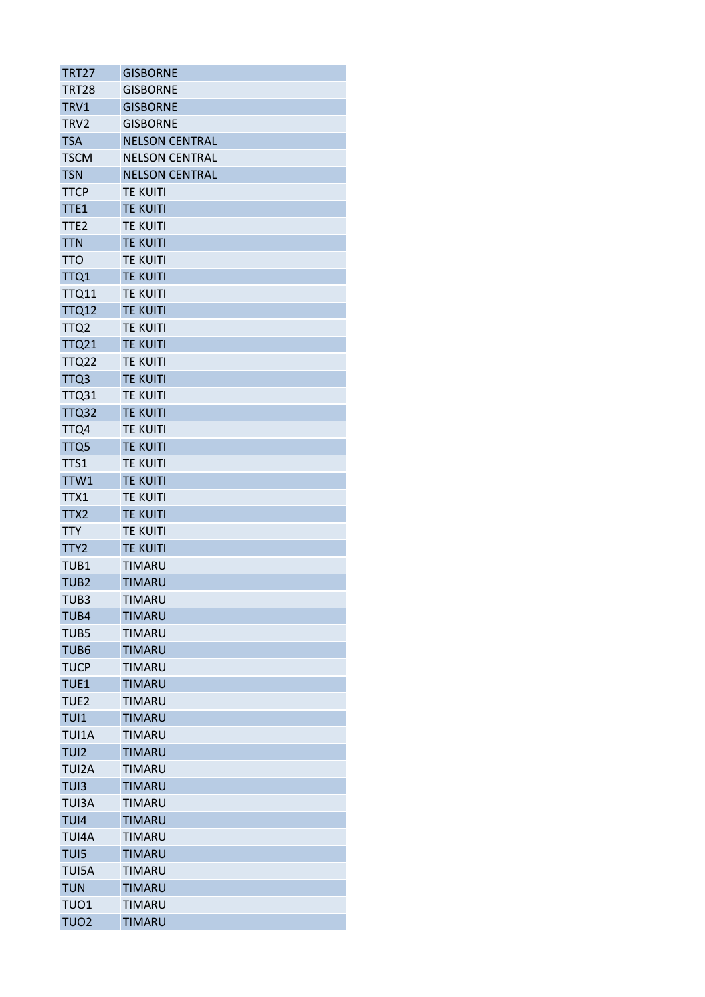| TRT27            | <b>GISBORNE</b>       |
|------------------|-----------------------|
| <b>TRT28</b>     | <b>GISBORNE</b>       |
| TRV1             | <b>GISBORNE</b>       |
| TRV2             | <b>GISBORNE</b>       |
| <b>TSA</b>       | <b>NELSON CENTRAL</b> |
| <b>TSCM</b>      | <b>NELSON CENTRAL</b> |
| <b>TSN</b>       | <b>NELSON CENTRAL</b> |
| <b>TTCP</b>      | <b>TE KUITI</b>       |
| TTE1             | <b>TE KUITI</b>       |
| TTE <sub>2</sub> | <b>TE KUITI</b>       |
| <b>TTN</b>       | <b>TE KUITI</b>       |
| <b>TTO</b>       | <b>TE KUITI</b>       |
| TTQ1             | <b>TE KUITI</b>       |
| <b>TTQ11</b>     | <b>TE KUITI</b>       |
| <b>TTQ12</b>     | <b>TE KUITI</b>       |
| TTQ <sub>2</sub> | <b>TE KUITI</b>       |
| <b>TTQ21</b>     | <b>TE KUITI</b>       |
| <b>TTQ22</b>     | <b>TE KUITI</b>       |
| TTQ3             | <b>TE KUITI</b>       |
| <b>TTQ31</b>     | <b>TE KUITI</b>       |
| TTQ32            | <b>TE KUITI</b>       |
| TTQ4             | <b>TE KUITI</b>       |
| TTQ5             | <b>TE KUITI</b>       |
| TTS1             | <b>TE KUITI</b>       |
| TTW1             | <b>TE KUITI</b>       |
| TTX1             | <b>TE KUITI</b>       |
| TTX2             | <b>TE KUITI</b>       |
| <b>TTY</b>       | <b>TE KUITI</b>       |
| TTY <sub>2</sub> | <b>TE KUITI</b>       |
| TUB1             | <b>TIMARU</b>         |
| TUB <sub>2</sub> | <b>TIMARU</b>         |
| TUB3             | <b>TIMARU</b>         |
| TUB4             | <b>TIMARU</b>         |
| TUB5             | <b>TIMARU</b>         |
| TUB <sub>6</sub> | <b>TIMARU</b>         |
| <b>TUCP</b>      | <b>TIMARU</b>         |
| TUE1             | <b>TIMARU</b>         |
| TUE2             | <b>TIMARU</b>         |
| TUI1             | <b>TIMARU</b>         |
| <b>TUI1A</b>     | <b>TIMARU</b>         |
| TUI2             | <b>TIMARU</b>         |
| <b>TUI2A</b>     | <b>TIMARU</b>         |
| TUI3             | <b>TIMARU</b>         |
| <b>TUI3A</b>     | <b>TIMARU</b>         |
| TUI4             | <b>TIMARU</b>         |
|                  |                       |
| TUI4A            | <b>TIMARU</b>         |
| TUI5             | <b>TIMARU</b>         |
| TUI5A            | <b>TIMARU</b>         |
| <b>TUN</b>       | <b>TIMARU</b>         |
| TUO1             | <b>TIMARU</b>         |
| <b>TUO2</b>      | <b>TIMARU</b>         |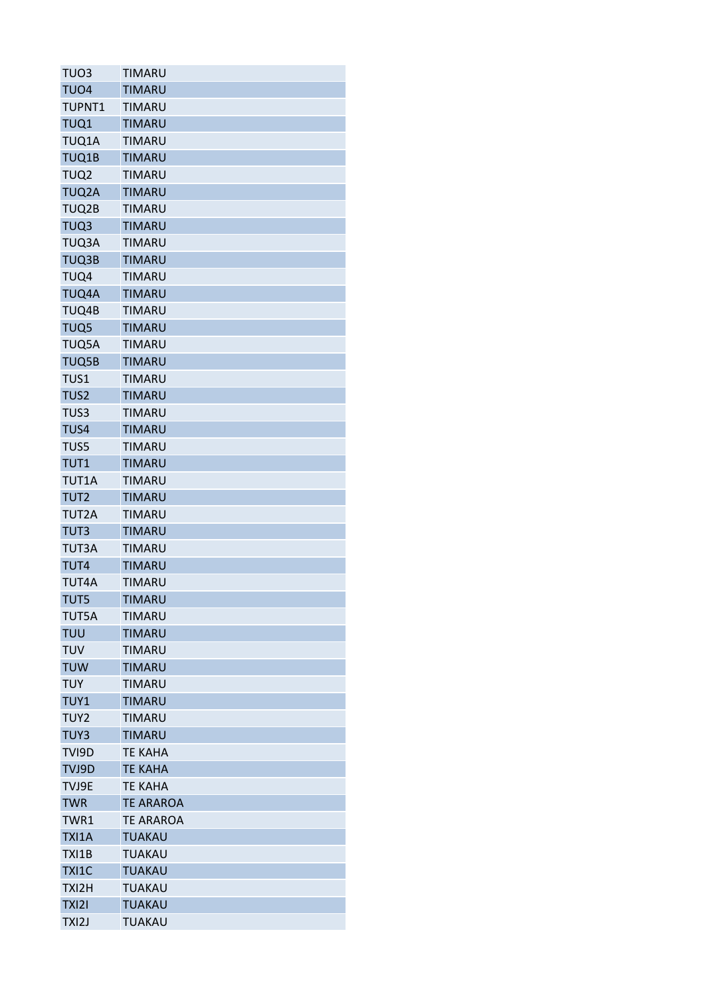| TUO3             | <b>TIMARU</b>    |
|------------------|------------------|
| TUO <sub>4</sub> | <b>TIMARU</b>    |
| <b>TUPNT1</b>    | <b>TIMARU</b>    |
| TUQ1             | <b>TIMARU</b>    |
| TUQ1A            | <b>TIMARU</b>    |
| TUQ1B            | <b>TIMARU</b>    |
| TUQ <sub>2</sub> | <b>TIMARU</b>    |
| TUQ2A            | <b>TIMARU</b>    |
| TUQ2B            | <b>TIMARU</b>    |
| TUQ3             | <b>TIMARU</b>    |
| TUQ3A            | <b>TIMARU</b>    |
| TUQ3B            | <b>TIMARU</b>    |
| TUQ4             | <b>TIMARU</b>    |
| TUQ4A            | <b>TIMARU</b>    |
| TUQ4B            | <b>TIMARU</b>    |
| TUQ5             | <b>TIMARU</b>    |
| TUQ5A            | <b>TIMARU</b>    |
| TUQ5B            | <b>TIMARU</b>    |
| TUS1             | <b>TIMARU</b>    |
| TUS <sub>2</sub> | <b>TIMARU</b>    |
| TUS3             | <b>TIMARU</b>    |
| TUS4             | <b>TIMARU</b>    |
| TUS5             | <b>TIMARU</b>    |
| TUT1             | <b>TIMARU</b>    |
| TUT1A            | <b>TIMARU</b>    |
| TUT <sub>2</sub> | <b>TIMARU</b>    |
| TUT2A            | <b>TIMARU</b>    |
| TUT3             | <b>TIMARU</b>    |
| <b>TUT3A</b>     | <b>TIMARU</b>    |
| TUT4             | <b>TIMARU</b>    |
| TUT4A            | <b>TIMARU</b>    |
| TUT5             | <b>TIMARU</b>    |
| TUT5A            | <b>TIMARU</b>    |
| <b>TUU</b>       | <b>TIMARU</b>    |
| <b>TUV</b>       | <b>TIMARU</b>    |
| <b>TUW</b>       | <b>TIMARU</b>    |
| <b>TUY</b>       | <b>TIMARU</b>    |
| TUY1             | <b>TIMARU</b>    |
| TUY <sub>2</sub> | <b>TIMARU</b>    |
| TUY3             | <b>TIMARU</b>    |
| TVI9D            | <b>TE KAHA</b>   |
| TVJ9D            | <b>TE KAHA</b>   |
| TVJ9E            | <b>TE KAHA</b>   |
| <b>TWR</b>       | <b>TE ARAROA</b> |
| TWR1             | <b>TE ARAROA</b> |
| TXI1A            | <b>TUAKAU</b>    |
| TXI1B            | <b>TUAKAU</b>    |
| <b>TXI1C</b>     | <b>TUAKAU</b>    |
| TXI2H            | <b>TUAKAU</b>    |
| TXI2I            | <b>TUAKAU</b>    |
|                  |                  |
| TXI2J            | <b>TUAKAU</b>    |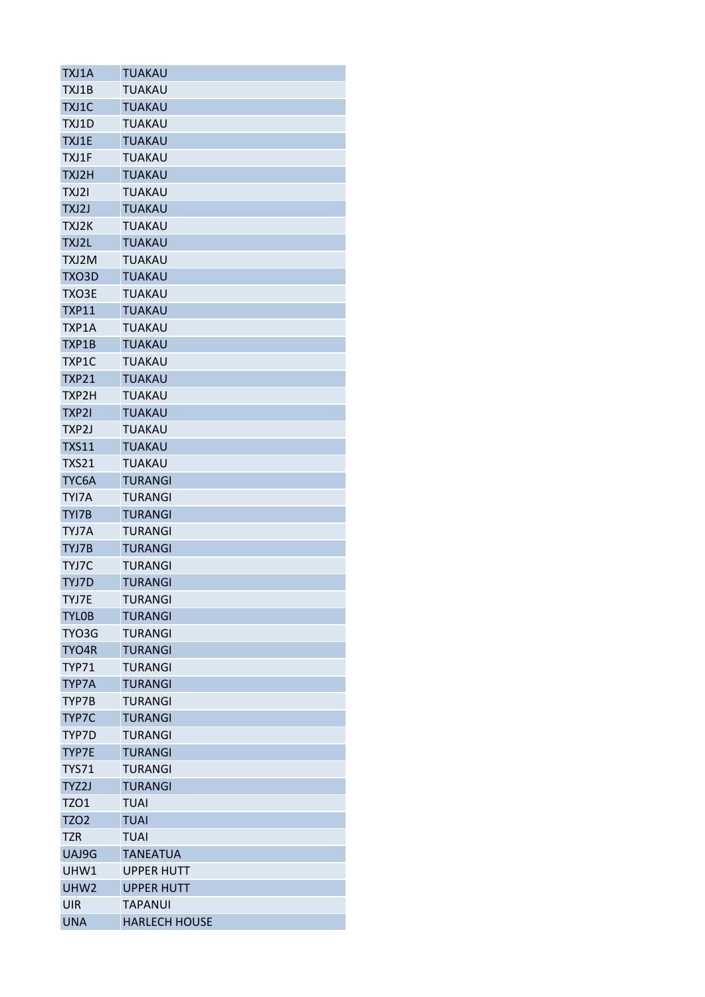| TXJ1A            | TUAKAU               |
|------------------|----------------------|
| TXJ1B            | <b>TUAKAU</b>        |
| TXJ1C            | <b>TUAKAU</b>        |
| TXJ1D            | <b>TUAKAU</b>        |
| TXJ1E            | <b>TUAKAU</b>        |
| TXJ1F            | TUAKAU               |
| TXJ2H            | <b>TUAKAU</b>        |
| TXJ2I            | <b>TUAKAU</b>        |
| TXJ2J            | <b>TUAKAU</b>        |
| TXJ2K            | <b>TUAKAU</b>        |
| TXJ2L            | <b>TUAKAU</b>        |
| TXJ2M            | <b>TUAKAU</b>        |
| TXO3D            | <b>TUAKAU</b>        |
| TXO3E            | TUAKAU               |
| <b>TXP11</b>     | <b>TUAKAU</b>        |
| TXP1A            | <b>TUAKAU</b>        |
| TXP1B            | <b>TUAKAU</b>        |
| TXP1C            | <b>TUAKAU</b>        |
| <b>TXP21</b>     | <b>TUAKAU</b>        |
| TXP2H            | <b>TUAKAU</b>        |
| TXP2I            | <b>TUAKAU</b>        |
| TXP2J            | TUAKAU               |
| <b>TXS11</b>     | <b>TUAKAU</b>        |
| <b>TXS21</b>     | <b>TUAKAU</b>        |
| TYC6A            | <b>TURANGI</b>       |
| TYI7A            | <b>TURANGI</b>       |
| TYI7B            | <b>TURANGI</b>       |
|                  |                      |
| TYJ7A<br>TYJ7B   | <b>TURANGI</b>       |
|                  | TURANGI              |
| TYJ7C            | TURANGI              |
| TYJ7D            | <b>TURANGI</b>       |
| TYJ7E            | TURANGI              |
| <b>TYLOB</b>     | <b>TURANGI</b>       |
| TYO3G            | <b>TURANGI</b>       |
| TYO4R            | <b>TURANGI</b>       |
| <b>TYP71</b>     | <b>TURANGI</b>       |
| TYP7A            | <b>TURANGI</b>       |
| TYP7B            | <b>TURANGI</b>       |
| TYP7C            | <b>TURANGI</b>       |
| TYP7D            | <b>TURANGI</b>       |
| TYP7E            | <b>TURANGI</b>       |
| <b>TYS71</b>     | <b>TURANGI</b>       |
| TYZ2J            | <b>TURANGI</b>       |
| <b>TZO1</b>      | <b>TUAI</b>          |
| <b>TZO2</b>      | <b>TUAI</b>          |
| TZR              | <b>TUAI</b>          |
| UAJ9G            | <b>TANEATUA</b>      |
| UHW1             | <b>UPPER HUTT</b>    |
| UHW <sub>2</sub> | <b>UPPER HUTT</b>    |
| UIR              | TAPANUI              |
| <b>UNA</b>       | <b>HARLECH HOUSE</b> |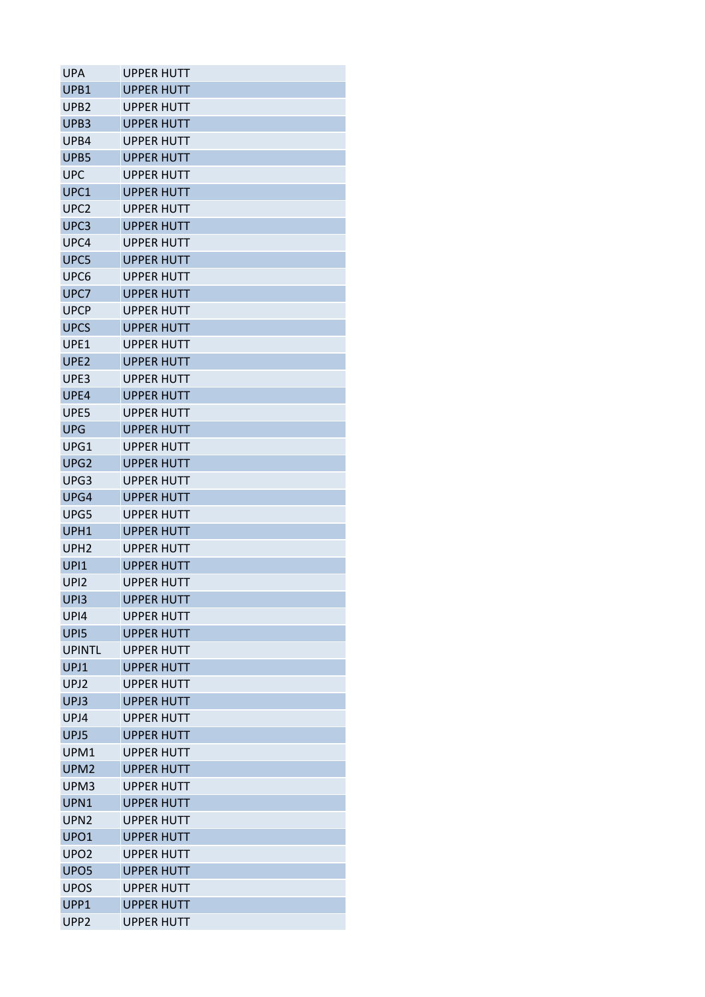| UPA              | <b>UPPER HUTT</b> |
|------------------|-------------------|
| UPB1             | <b>UPPER HUTT</b> |
| UPB <sub>2</sub> | <b>UPPER HUTT</b> |
| UPB <sub>3</sub> | <b>UPPER HUTT</b> |
| UPB4             | <b>UPPER HUTT</b> |
| UPB5             | <b>UPPER HUTT</b> |
| <b>UPC</b>       | <b>UPPER HUTT</b> |
| UPC1             | <b>UPPER HUTT</b> |
| UPC <sub>2</sub> | <b>UPPER HUTT</b> |
| UPC3             | <b>UPPER HUTT</b> |
| UPC4             | <b>UPPER HUTT</b> |
| UPC5             | <b>UPPER HUTT</b> |
| UPC <sub>6</sub> | <b>UPPER HUTT</b> |
| UPC7             | <b>UPPER HUTT</b> |
| <b>UPCP</b>      | UPPER HUTT        |
| <b>UPCS</b>      | <b>UPPER HUTT</b> |
| UPE1             | <b>UPPER HUTT</b> |
| UPE <sub>2</sub> | <b>UPPER HUTT</b> |
| UPE3             | <b>UPPER HUTT</b> |
| UPE4             | <b>UPPER HUTT</b> |
| UPE5             | <b>UPPER HUTT</b> |
| <b>UPG</b>       | <b>UPPER HUTT</b> |
| UPG1             | <b>UPPER HUTT</b> |
| UPG <sub>2</sub> | <b>UPPER HUTT</b> |
| UPG3             | UPPER HUTT        |
| UPG4             | <b>UPPER HUTT</b> |
| UPG5             | <b>UPPER HUTT</b> |
| UPH1             | <b>UPPER HUTT</b> |
| UPH <sub>2</sub> | <b>UPPER HUTT</b> |
| UPI1             | <b>UPPER HUTT</b> |
| UP <sub>12</sub> | <b>UPPER HUTT</b> |
| UPI3             | <b>UPPER HUTT</b> |
| UP <sub>14</sub> | <b>UPPER HUTT</b> |
| UPI5             | <b>UPPER HUTT</b> |
| <b>UPINTL</b>    | <b>UPPER HUTT</b> |
| UPJ1             | <b>UPPFR HUTT</b> |
| UPJ <sub>2</sub> | <b>UPPER HUTT</b> |
| UPJ3             | <b>UPPER HUTT</b> |
| UPJ4             | <b>UPPER HUTT</b> |
| UPJ5             | <b>UPPER HUTT</b> |
| UPM1             | <b>UPPER HUTT</b> |
| UPM <sub>2</sub> | <b>UPPER HUTT</b> |
| UPM3             | <b>UPPER HUTT</b> |
| UPN1             | <b>UPPER HUTT</b> |
| UPN <sub>2</sub> | <b>UPPER HUTT</b> |
| UPO1             | <b>UPPER HUTT</b> |
| UPO <sub>2</sub> | <b>UPPER HUTT</b> |
| UPO <sub>5</sub> | <b>UPPER HUTT</b> |
| <b>UPOS</b>      | <b>UPPER HUTT</b> |
| UPP1             | <b>UPPER HUTT</b> |
| UPP <sub>2</sub> | <b>UPPER HUTT</b> |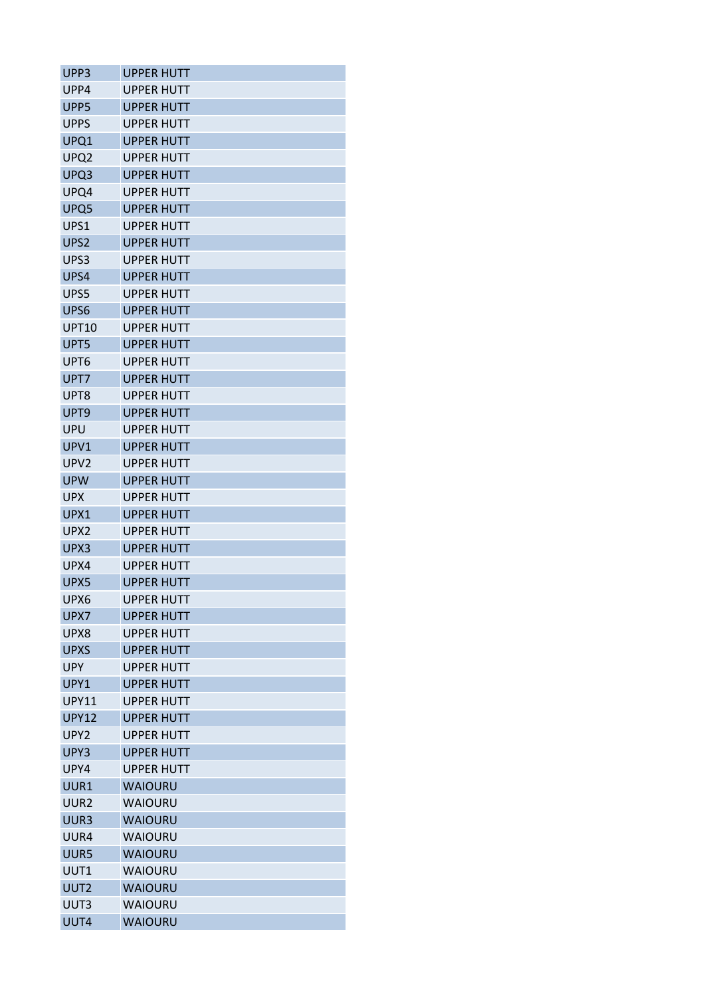| UPP3             | <b>UPPER HUTT</b> |
|------------------|-------------------|
| UPP4             | UPPER HUTT        |
| UPP5             | UPPER HUTT        |
| <b>UPPS</b>      | UPPER HUTT        |
| UPQ1             | <b>UPPER HUTT</b> |
| UPQ2             | <b>UPPER HUTT</b> |
| UPQ3             | <b>UPPER HUTT</b> |
| UPQ4             | <b>UPPER HUTT</b> |
| UPQ5             | <b>UPPER HUTT</b> |
| UPS1             | UPPER HUTT        |
| UPS2             | <b>UPPER HUTT</b> |
| UPS3             | <b>UPPER HUTT</b> |
| UPS4             | <b>UPPER HUTT</b> |
| UPS5             | <b>UPPER HUTT</b> |
| UPS6             | <b>UPPER HUTT</b> |
| <b>UPT10</b>     | <b>UPPER HUTT</b> |
| UPT5             | <b>UPPER HUTT</b> |
| UPT6             | UPPER HUTT        |
| UPT7             | <b>UPPER HUTT</b> |
| UPT8             | UPPER HUTT        |
| UPT9             | <b>UPPER HUTT</b> |
| UPU              | <b>UPPER HUTT</b> |
| UPV1             | <b>UPPER HUTT</b> |
| UPV <sub>2</sub> | <b>UPPER HUTT</b> |
| <b>UPW</b>       | UPPER HUTT        |
| <b>UPX</b>       | <b>UPPER HUTT</b> |
| UPX1             | UPPER HUTT        |
| UPX2             | <b>UPPER HUTT</b> |
| UPX3             | <b>UPPER HUTT</b> |
| UPX4             | <b>UPPER HUTT</b> |
| UPX5             | UPPER HUTT        |
| UPX6             | <b>UPPER HUTT</b> |
| UPX7             | <b>UPPER HUTT</b> |
| UPX8             | <b>UPPER HUTT</b> |
| <b>UPXS</b>      | <b>UPPER HUTT</b> |
| <b>UPY</b>       | <b>UPPER HUTT</b> |
| UPY1             | <b>UPPER HUTT</b> |
| <b>UPY11</b>     | <b>UPPER HUTT</b> |
| <b>UPY12</b>     | <b>UPPER HUTT</b> |
| UPY <sub>2</sub> | <b>UPPER HUTT</b> |
| UPY3             | <b>UPPER HUTT</b> |
| UPY4             | <b>UPPER HUTT</b> |
| UUR1             | <b>WAIOURU</b>    |
| UUR <sub>2</sub> | <b>WAIOURU</b>    |
| UUR3             | <b>WAIOURU</b>    |
| UUR4             | <b>WAIOURU</b>    |
| UUR5             | <b>WAIOURU</b>    |
| UUT1             | <b>WAIOURU</b>    |
| UUT2             | <b>WAIOURU</b>    |
| UUT3             | <b>WAIOURU</b>    |
| UUT4             | <b>WAIOURU</b>    |
|                  |                   |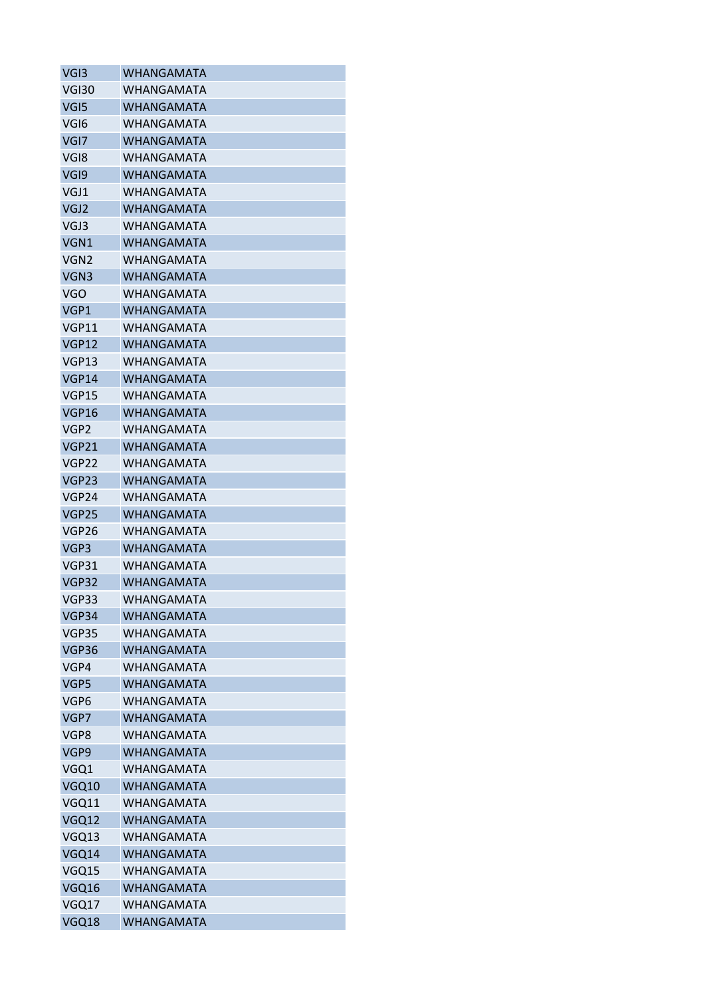| VGI3              | WHANGAMATA        |
|-------------------|-------------------|
| <b>VGI30</b>      | WHANGAMATA        |
| VG <sub>I5</sub>  | <b>WHANGAMATA</b> |
| VGI <sub>6</sub>  | WHANGAMATA        |
| VGI7              | <b>WHANGAMATA</b> |
| VGI8              | WHANGAMATA        |
| VGI9              | <b>WHANGAMATA</b> |
| VGJ1              | WHANGAMATA        |
| VGJ <sub>2</sub>  | <b>WHANGAMATA</b> |
| VGJ3              | <b>WHANGAMATA</b> |
| VGN1              | <b>WHANGAMATA</b> |
| VGN <sub>2</sub>  | WHANGAMATA        |
| VGN3              | <b>WHANGAMATA</b> |
| <b>VGO</b>        | WHANGAMATA        |
| VGP1              | <b>WHANGAMATA</b> |
| <b>VGP11</b>      | <b>WHANGAMATA</b> |
| <b>VGP12</b>      | WHANGAMATA        |
| VGP13             | WHANGAMATA        |
| VGP14             | <b>WHANGAMATA</b> |
| VGP15             | <b>WHANGAMATA</b> |
| <b>VGP16</b>      | <b>WHANGAMATA</b> |
| VGP <sub>2</sub>  | WHANGAMATA        |
| <b>VGP21</b>      | <b>WHANGAMATA</b> |
| VGP22             | WHANGAMATA        |
| VGP <sub>23</sub> | <b>WHANGAMATA</b> |
| VGP24             | WHANGAMATA        |
| <b>VGP25</b>      | <b>WHANGAMATA</b> |
| VGP26             | WHANGAMATA        |
| VGP3              | <b>WHANGAMATA</b> |
| VGP31             | WHANGAMATA        |
| VGP32             | WHANGAMATA        |
| VGP33             | <b>WHANGAMATA</b> |
| VGP34             | <b>WHANGAMATA</b> |
| VGP35             | WHANGAMATA        |
| VGP36             | <b>WHANGAMATA</b> |
| VGP4              | WHANGAMATA        |
| VGP5              | <b>WHANGAMATA</b> |
| VGP6              | WHANGAMATA        |
| VGP7              | <b>WHANGAMATA</b> |
| VGP8              | <b>WHANGAMATA</b> |
| VGP9              | <b>WHANGAMATA</b> |
| VGQ1              | WHANGAMATA        |
| VGQ10             | <b>WHANGAMATA</b> |
| VGQ11             | <b>WHANGAMATA</b> |
| VGQ12             | <b>WHANGAMATA</b> |
| VGQ13             | WHANGAMATA        |
| VGQ14             | <b>WHANGAMATA</b> |
| VGQ15             | WHANGAMATA        |
| VGQ16             | <b>WHANGAMATA</b> |
| VGQ17             | WHANGAMATA        |
| VGQ18             | WHANGAMATA        |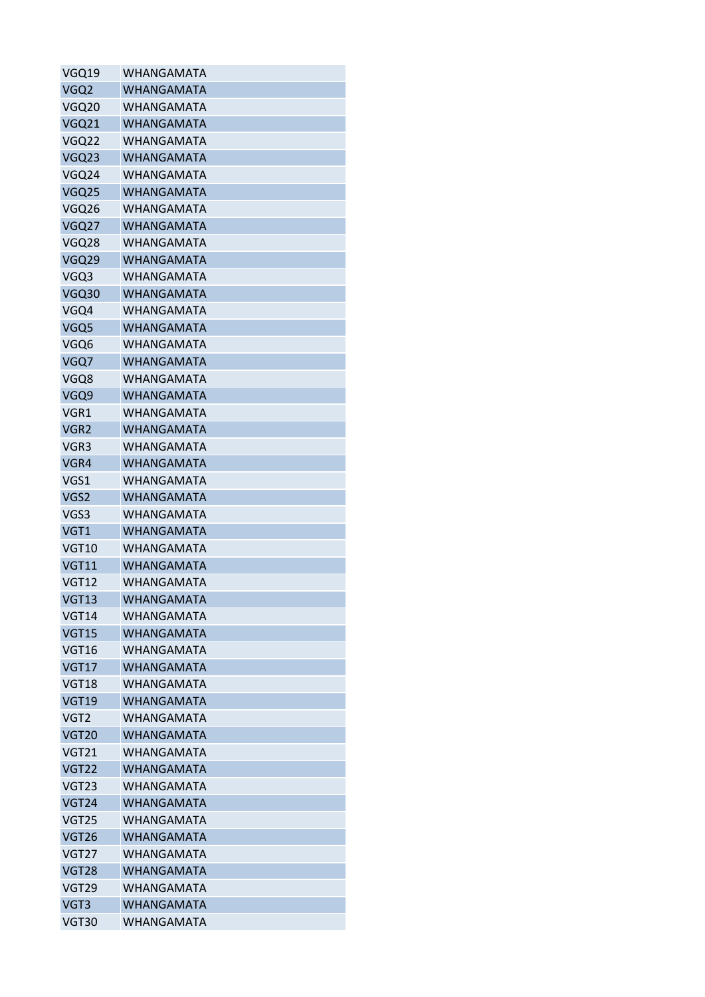| VGQ19            | WHANGAMATA        |
|------------------|-------------------|
| VGQ <sub>2</sub> | WHANGAMATA        |
| VGQ20            | <b>WHANGAMATA</b> |
| VGQ21            | <b>WHANGAMATA</b> |
| VGQ22            | WHANGAMATA        |
| VGQ23            | <b>WHANGAMATA</b> |
| VGQ24            | WHANGAMATA        |
| VGQ25            | <b>WHANGAMATA</b> |
| VGQ26            | <b>WHANGAMATA</b> |
| VGQ27            | <b>WHANGAMATA</b> |
| VGQ28            | <b>WHANGAMATA</b> |
| VGQ29            | WHANGAMATA        |
| VGQ3             | WHANGAMATA        |
| VGQ30            | <b>WHANGAMATA</b> |
| VGQ4             | <b>WHANGAMATA</b> |
| VGQ5             | <b>WHANGAMATA</b> |
| VGQ6             | <b>WHANGAMATA</b> |
| VGQ7             | <b>WHANGAMATA</b> |
| VGQ8             | <b>WHANGAMATA</b> |
| VGQ9             | <b>WHANGAMATA</b> |
| VGR1             | <b>WHANGAMATA</b> |
| VGR <sub>2</sub> | <b>WHANGAMATA</b> |
| VGR3             | WHANGAMATA        |
| VGR4             | <b>WHANGAMATA</b> |
| VGS1             | WHANGAMATA        |
| VGS2             | <b>WHANGAMATA</b> |
| VGS3             | <b>WHANGAMATA</b> |
| VGT1             | <b>WHANGAMATA</b> |
| <b>VGT10</b>     | <b>WHANGAMATA</b> |
| <b>VGT11</b>     | <b>WHANGAMATA</b> |
| <b>VGT12</b>     | WHANGAMATA        |
| <b>VGT13</b>     | <b>WHANGAMATA</b> |
| <b>VGT14</b>     | <b>WHANGAMATA</b> |
| <b>VGT15</b>     | <b>WHANGAMATA</b> |
| VGT16            | WHANGAMATA        |
| <b>VGT17</b>     | <b>WHANGAMATA</b> |
| <b>VGT18</b>     | <b>WHANGAMATA</b> |
| <b>VGT19</b>     | <b>WHANGAMATA</b> |
| VGT <sub>2</sub> | <b>WHANGAMATA</b> |
| <b>VGT20</b>     | <b>WHANGAMATA</b> |
| <b>VGT21</b>     | <b>WHANGAMATA</b> |
| <b>VGT22</b>     | <b>WHANGAMATA</b> |
| <b>VGT23</b>     | WHANGAMATA        |
| <b>VGT24</b>     | <b>WHANGAMATA</b> |
| VGT25            | WHANGAMATA        |
| <b>VGT26</b>     | <b>WHANGAMATA</b> |
| <b>VGT27</b>     | <b>WHANGAMATA</b> |
| <b>VGT28</b>     | <b>WHANGAMATA</b> |
| VGT29            | <b>WHANGAMATA</b> |
| VGT3             | <b>WHANGAMATA</b> |
| VGT30            | WHANGAMATA        |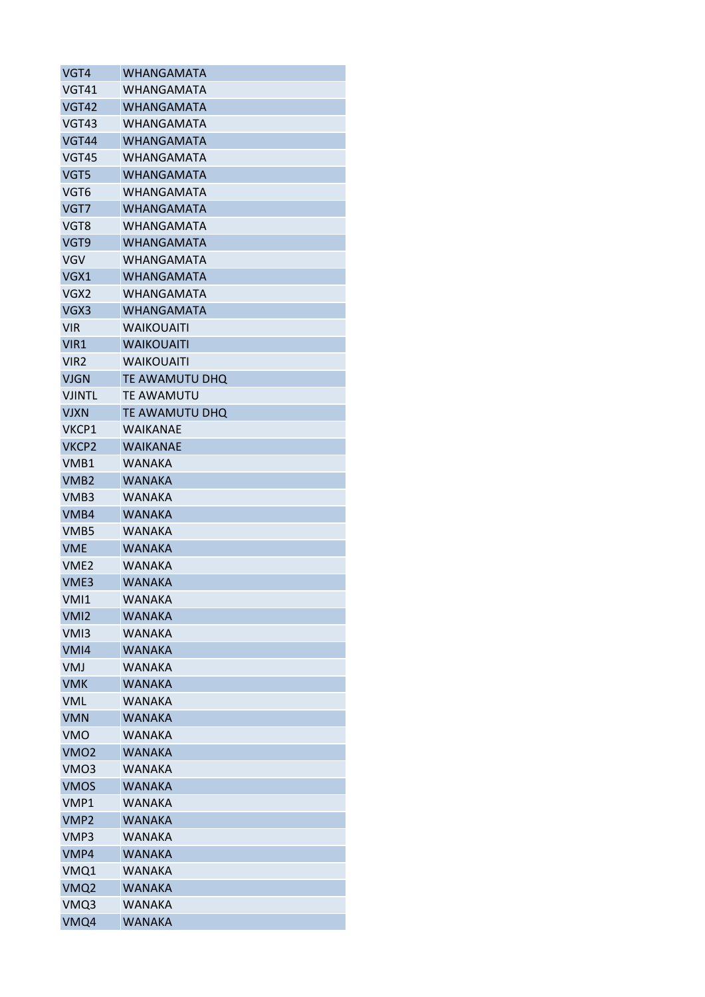| VGT4              | <b>WHANGAMATA</b> |
|-------------------|-------------------|
| <b>VGT41</b>      | WHANGAMATA        |
| <b>VGT42</b>      | <b>WHANGAMATA</b> |
| VGT43             | WHANGAMATA        |
| <b>VGT44</b>      | <b>WHANGAMATA</b> |
| <b>VGT45</b>      | WHANGAMATA        |
| VGT5              | WHANGAMATA        |
| VGT <sub>6</sub>  | WHANGAMATA        |
| VGT7              | <b>WHANGAMATA</b> |
| VGT8              | <b>WHANGAMATA</b> |
| VGT9              | <b>WHANGAMATA</b> |
| <b>VGV</b>        | WHANGAMATA        |
| VGX1              | <b>WHANGAMATA</b> |
| VGX2              | WHANGAMATA        |
| VGX3              | <b>WHANGAMATA</b> |
| <b>VIR</b>        | <b>WAIKOUAITI</b> |
| VIR1              | <b>WAIKOUAITI</b> |
| VIR2              | <b>WAIKOUAITI</b> |
| <b>VJGN</b>       | TE AWAMUTU DHQ    |
| <b>VJINTL</b>     | <b>TE AWAMUTU</b> |
| <b>VJXN</b>       | TE AWAMUTU DHQ    |
| VKCP1             | WAIKANAE          |
| VKCP <sub>2</sub> | <b>WAIKANAE</b>   |
| VMB1              | <b>WANAKA</b>     |
| VMB <sub>2</sub>  | <b>WANAKA</b>     |
| VMB3              | <b>WANAKA</b>     |
| VMB4              | <b>WANAKA</b>     |
| VMB5              | WANAKA            |
| <b>VME</b>        | <b>WANAKA</b>     |
| VME <sub>2</sub>  | WANAKA            |
| VME3              | <b>WANAKA</b>     |
| VM <sub>1</sub>   | <b>WANAKA</b>     |
| VM <sub>12</sub>  | <b>WANAKA</b>     |
| VM <sub>13</sub>  | <b>WANAKA</b>     |
| VM <sub>14</sub>  | <b>WANAKA</b>     |
| <b>VMJ</b>        | <b>WANAKA</b>     |
| <b>VMK</b>        | <b>WANAKA</b>     |
| <b>VML</b>        | <b>WANAKA</b>     |
| <b>VMN</b>        | <b>WANAKA</b>     |
| <b>VMO</b>        | <b>WANAKA</b>     |
| VMO <sub>2</sub>  | <b>WANAKA</b>     |
| VMO3              | <b>WANAKA</b>     |
| <b>VMOS</b>       | <b>WANAKA</b>     |
| VMP1              | <b>WANAKA</b>     |
| VMP <sub>2</sub>  | <b>WANAKA</b>     |
| VMP3              | WANAKA            |
| VMP4              | <b>WANAKA</b>     |
| VMQ1              | <b>WANAKA</b>     |
| VMQ <sub>2</sub>  | <b>WANAKA</b>     |
| VMQ3              | <b>WANAKA</b>     |
| VMQ4              | WANAKA            |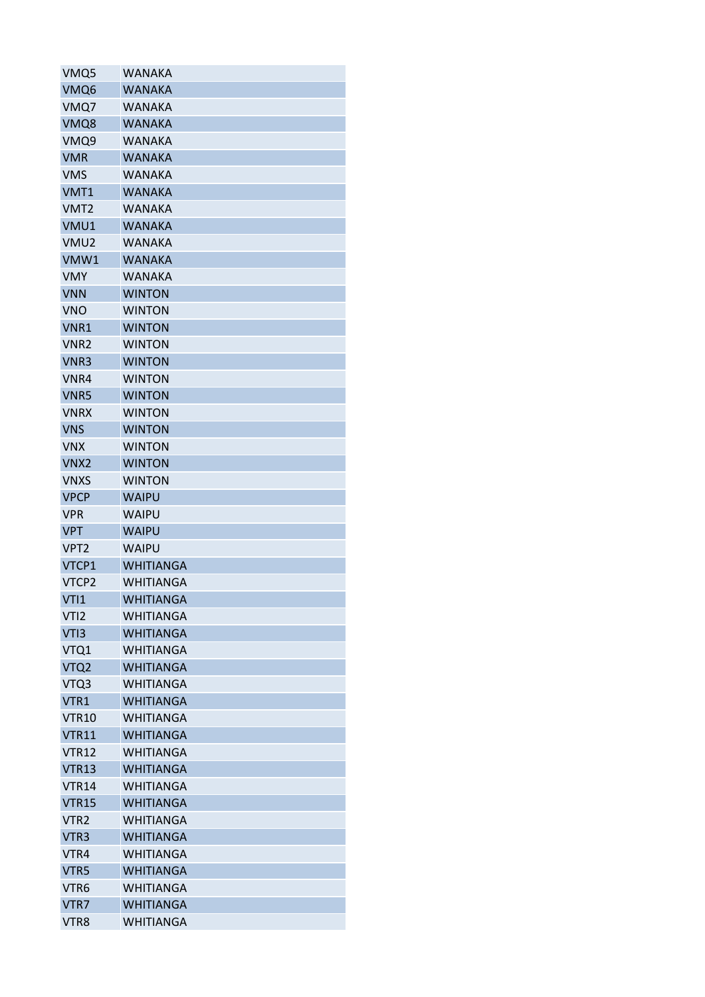| VMQ5             | <b>WANAKA</b>    |
|------------------|------------------|
| VMQ6             | <b>WANAKA</b>    |
| VMQ7             | <b>WANAKA</b>    |
| VMQ8             | <b>WANAKA</b>    |
| VMQ9             | <b>WANAKA</b>    |
| <b>VMR</b>       | <b>WANAKA</b>    |
| VMS              | WANAKA           |
| VMT1             | <b>WANAKA</b>    |
| VMT <sub>2</sub> | <b>WANAKA</b>    |
| VMU1             | <b>WANAKA</b>    |
| VMU <sub>2</sub> | <b>WANAKA</b>    |
| VMW1             | <b>WANAKA</b>    |
| <b>VMY</b>       | <b>WANAKA</b>    |
| <b>VNN</b>       | <b>WINTON</b>    |
| <b>VNO</b>       | <b>WINTON</b>    |
| VNR1             | <b>WINTON</b>    |
| VNR <sub>2</sub> | <b>WINTON</b>    |
| VNR3             | <b>WINTON</b>    |
| VNR4             | <b>WINTON</b>    |
| VNR5             | <b>WINTON</b>    |
| <b>VNRX</b>      | <b>WINTON</b>    |
| <b>VNS</b>       | <b>WINTON</b>    |
| <b>VNX</b>       | <b>WINTON</b>    |
| VNX <sub>2</sub> | <b>WINTON</b>    |
| <b>VNXS</b>      | <b>WINTON</b>    |
| <b>VPCP</b>      | <b>WAIPU</b>     |
| <b>VPR</b>       | <b>WAIPU</b>     |
| <b>VPT</b>       | <b>WAIPU</b>     |
| VPT <sub>2</sub> | <b>WAIPU</b>     |
| VTCP1            | <b>WHITIANGA</b> |
| VTCP2            | <b>WHITIANGA</b> |
| VTI1             | <b>WHITIANGA</b> |
| VTI <sub>2</sub> | <b>WHITIANGA</b> |
| VTI3             | <b>WHITIANGA</b> |
| VTQ1             | <b>WHITIANGA</b> |
| VTQ <sub>2</sub> | <b>WHITIANGA</b> |
| VTQ3             | <b>WHITIANGA</b> |
| VTR1             | <b>WHITIANGA</b> |
| <b>VTR10</b>     | <b>WHITIANGA</b> |
| <b>VTR11</b>     | <b>WHITIANGA</b> |
| <b>VTR12</b>     | <b>WHITIANGA</b> |
| <b>VTR13</b>     | <b>WHITIANGA</b> |
| <b>VTR14</b>     | <b>WHITIANGA</b> |
| <b>VTR15</b>     | <b>WHITIANGA</b> |
| VTR <sub>2</sub> | <b>WHITIANGA</b> |
| VTR <sub>3</sub> | <b>WHITIANGA</b> |
| VTR4             | <b>WHITIANGA</b> |
| VTR5             | <b>WHITIANGA</b> |
| VTR <sub>6</sub> | <b>WHITIANGA</b> |
| VTR7             | <b>WHITIANGA</b> |
| VTR8             | <b>WHITIANGA</b> |
|                  |                  |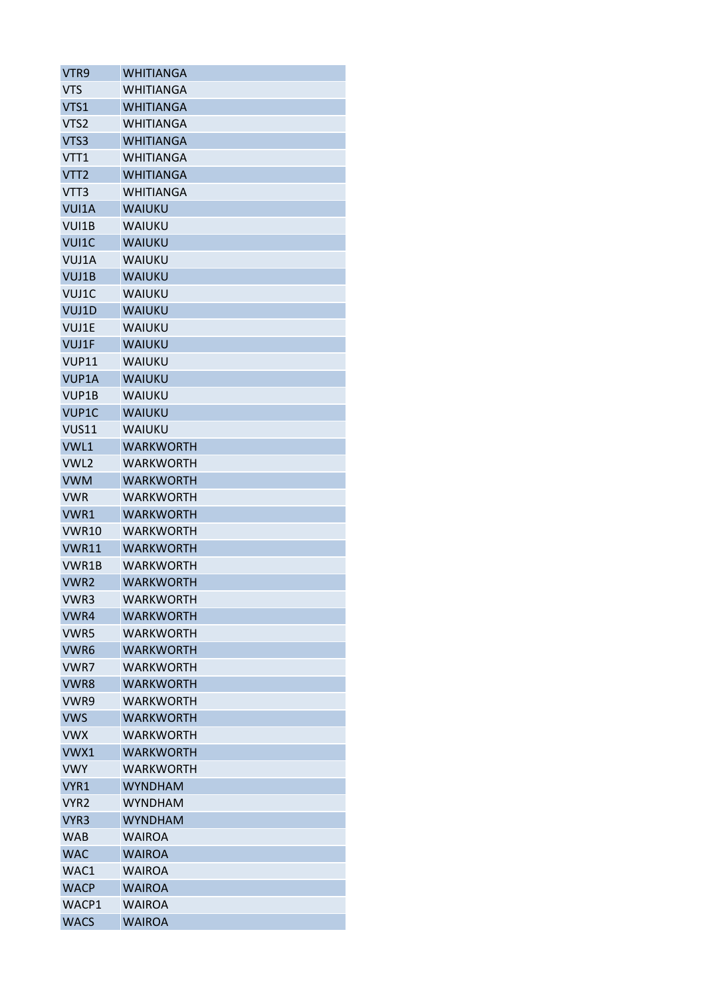| VTR9             | <b>WHITIANGA</b> |
|------------------|------------------|
| <b>VTS</b>       | WHITIANGA        |
| VTS1             | <b>WHITIANGA</b> |
| VTS <sub>2</sub> | <b>WHITIANGA</b> |
| VTS3             | <b>WHITIANGA</b> |
| VTT1             | <b>WHITIANGA</b> |
| VTT <sub>2</sub> | WHITIANGA        |
| VTT3             | <b>WHITIANGA</b> |
| VUI1A            | <b>WAIUKU</b>    |
| VUI1B            | WAIUKU           |
| VUI1C            | <b>WAIUKU</b>    |
| VUJ1A            | WAIUKU           |
| VUJ1B            | <b>WAIUKU</b>    |
| VUJ1C            | WAIUKU           |
| VUJ1D            | WAIUKU           |
| VUJ1E            | <b>WAIUKU</b>    |
| VUJ1F            | <b>WAIUKU</b>    |
| VUP11            | WAIUKU           |
| VUP1A            | WAIUKU           |
| VUP1B            | WAIUKU           |
| VUP1C            | <b>WAIUKU</b>    |
| <b>VUS11</b>     | WAIUKU           |
| VWL1             | <b>WARKWORTH</b> |
| VWL2             | <b>WARKWORTH</b> |
| <b>VWM</b>       | WARKWORTH        |
| <b>VWR</b>       | WARKWORTH        |
| VWR1             | WARKWORTH        |
| <b>VWR10</b>     | <b>WARKWORTH</b> |
| <b>VWR11</b>     | <b>WARKWORTH</b> |
| VWR1B            | WARKWORTH        |
| VWR <sub>2</sub> | WARKWORTH        |
| VWR3             | <b>WARKWORTH</b> |
| VWR4             | <b>WARKWORTH</b> |
| VWR5             | <b>WARKWORTH</b> |
| VWR6             | WARKWORTH        |
| VWR7             | <b>WARKWORTH</b> |
| VWR8             | <b>WARKWORTH</b> |
| VWR9             | <b>WARKWORTH</b> |
| <b>VWS</b>       | <b>WARKWORTH</b> |
| <b>VWX</b>       | <b>WARKWORTH</b> |
| VWX1             | <b>WARKWORTH</b> |
| <b>VWY</b>       | WARKWORTH        |
| VYR1             | <b>WYNDHAM</b>   |
| VYR <sub>2</sub> | <b>WYNDHAM</b>   |
| VYR <sub>3</sub> | <b>WYNDHAM</b>   |
| WAB              | <b>WAIROA</b>    |
| <b>WAC</b>       | <b>WAIROA</b>    |
| WAC1             | WAIROA           |
| <b>WACP</b>      | <b>WAIROA</b>    |
| WACP1            | <b>WAIROA</b>    |
| <b>WACS</b>      | <b>WAIROA</b>    |
|                  |                  |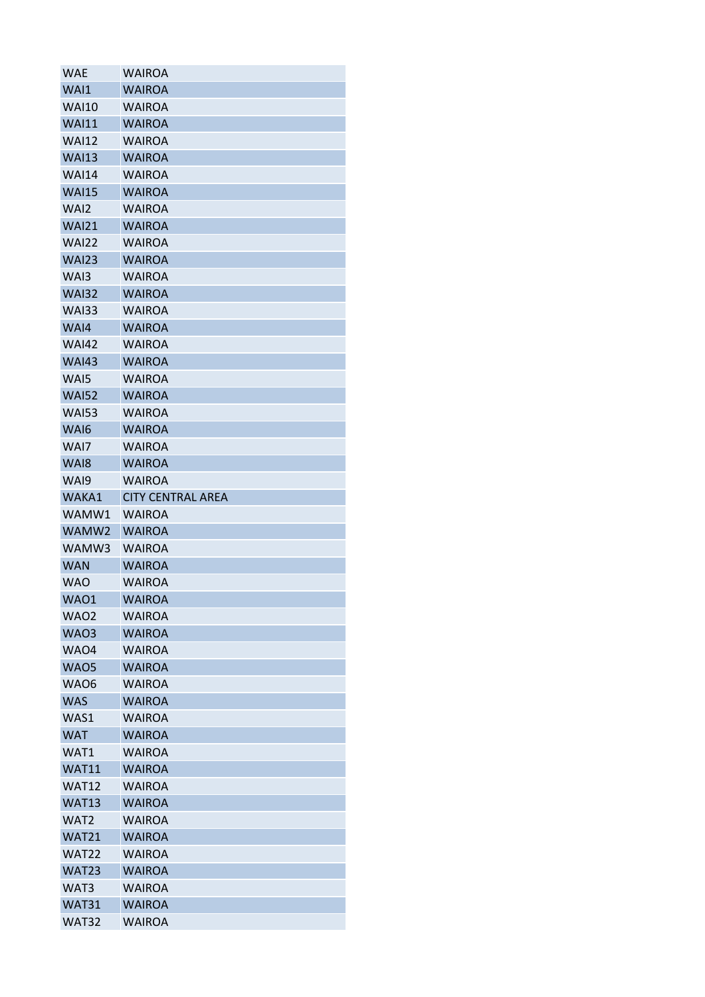| WAE                   | <b>WAIROA</b>                  |
|-----------------------|--------------------------------|
| WAI1                  | <b>WAIROA</b>                  |
| <b>WAI10</b>          | <b>WAIROA</b>                  |
| <b>WAI11</b>          | <b>WAIROA</b>                  |
| <b>WAI12</b>          | <b>WAIROA</b>                  |
| <b>WAI13</b>          | <b>WAIROA</b>                  |
| <b>WAI14</b>          | <b>WAIROA</b>                  |
| <b>WAI15</b>          | <b>WAIROA</b>                  |
| WAI <sub>2</sub>      | <b>WAIROA</b>                  |
| <b>WAI21</b>          | <b>WAIROA</b>                  |
| <b>WAI22</b>          | <b>WAIROA</b>                  |
| <b>WAI23</b>          | <b>WAIROA</b>                  |
| WAI3                  | <b>WAIROA</b>                  |
| <b>WAI32</b>          | <b>WAIROA</b>                  |
| <b>WAI33</b>          | <b>WAIROA</b>                  |
| WAI4                  | <b>WAIROA</b>                  |
| <b>WAI42</b>          | <b>WAIROA</b>                  |
| <b>WAI43</b>          | <b>WAIROA</b>                  |
| WAI5                  | <b>WAIROA</b>                  |
| <b>WAI52</b>          | <b>WAIROA</b>                  |
| <b>WAI53</b>          | <b>WAIROA</b>                  |
| WA <sub>16</sub>      | <b>WAIROA</b>                  |
| WAI7                  | <b>WAIROA</b>                  |
| WAI8                  | <b>WAIROA</b>                  |
| WAI9                  | <b>WAIROA</b>                  |
| WAKA1                 | <b>CITY CENTRAL AREA</b>       |
| WAMW1                 | <b>WAIROA</b>                  |
| WAMW2                 | <b>WAIROA</b>                  |
| WAMW3                 | <b>WAIROA</b>                  |
| <b>WAN</b>            | <b>WAIROA</b>                  |
| <b>WAO</b>            | <b>WAIROA</b>                  |
| WAO1                  | <b>WAIROA</b>                  |
| <b>WAO2</b>           | <b>WAIROA</b>                  |
| <b>WAO3</b>           | <b>WAIROA</b>                  |
|                       |                                |
| WAO4                  | <b>WAIROA</b>                  |
| <b>WAO5</b>           | <b>WAIROA</b>                  |
| WAO6                  | <b>WAIROA</b>                  |
| <b>WAS</b>            | <b>WAIROA</b>                  |
| WAS1                  | <b>WAIROA</b>                  |
| <b>WAT</b>            | <b>WAIROA</b>                  |
| WAT1                  | <b>WAIROA</b>                  |
| <b>WAT11</b>          | <b>WAIROA</b>                  |
| <b>WAT12</b>          | <b>WAIROA</b>                  |
| <b>WAT13</b>          | <b>WAIROA</b>                  |
| WAT <sub>2</sub>      | <b>WAIROA</b>                  |
| <b>WAT21</b>          |                                |
|                       | <b>WAIROA</b>                  |
| <b>WAT22</b>          | <b>WAIROA</b>                  |
| WAT23                 | <b>WAIROA</b>                  |
| WAT3                  | <b>WAIROA</b>                  |
| WAT31<br><b>WAT32</b> | <b>WAIROA</b><br><b>WAIROA</b> |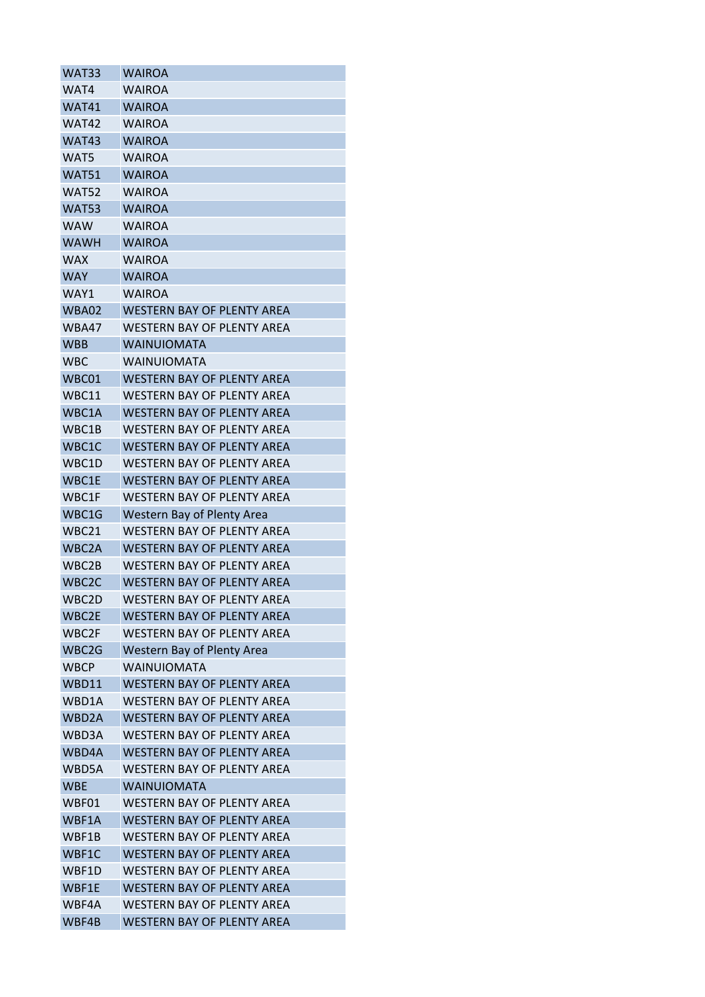| WAT33              | <b>WAIROA</b>                     |
|--------------------|-----------------------------------|
| WAT4               | <b>WAIROA</b>                     |
| WAT41              | <b>WAIROA</b>                     |
| WAT42              | <b>WAIROA</b>                     |
| WAT43              | <b>WAIROA</b>                     |
| WAT5               | <b>WAIROA</b>                     |
| WAT51              | <b>WAIROA</b>                     |
| <b>WAT52</b>       | <b>WAIROA</b>                     |
| <b>WAT53</b>       | <b>WAIROA</b>                     |
| <b>WAW</b>         | <b>WAIROA</b>                     |
| <b>WAWH</b>        | <b>WAIROA</b>                     |
| <b>WAX</b>         | <b>WAIROA</b>                     |
| <b>WAY</b>         | <b>WAIROA</b>                     |
| WAY1               | WAIROA                            |
| WBA02              | <b>WESTERN BAY OF PLENTY AREA</b> |
| WBA47              | <b>WESTERN BAY OF PLENTY AREA</b> |
| <b>WBB</b>         | <b>WAINUIOMATA</b>                |
| <b>WBC</b>         | <b>WAINUIOMATA</b>                |
| WBC01              | <b>WESTERN BAY OF PLENTY AREA</b> |
| WBC11              | WESTERN BAY OF PLENTY AREA        |
| WBC1A              | <b>WESTERN BAY OF PLENTY AREA</b> |
| WBC1B              | WESTERN BAY OF PLENTY AREA        |
| WBC1C              | <b>WESTERN BAY OF PLENTY AREA</b> |
| WBC1D              | WESTERN BAY OF PLENTY AREA        |
| WBC1E              | <b>WESTERN BAY OF PLENTY AREA</b> |
| WBC1F              | <b>WESTERN BAY OF PLENTY AREA</b> |
| WBC1G              | Western Bay of Plenty Area        |
| WBC21              | <b>WESTERN BAY OF PLENTY AREA</b> |
| WBC <sub>2</sub> A | WESTERN BAY OF PLENTY AREA        |
| WBC2B              | <b>WESTERN BAY OF PLENTY AREA</b> |
| WBC <sub>2</sub> C | <b>WESTERN BAY OF PLENTY AREA</b> |
| WBC2D              | WESTERN BAY OF PLENTY AREA        |
| WBC2E              | <b>WESTERN BAY OF PLENTY AREA</b> |
| WBC2F              | <b>WESTERN BAY OF PLENTY AREA</b> |
| WBC2G              | Western Bay of Plenty Area        |
| <b>WBCP</b>        | <b>WAINUIOMATA</b>                |
| WBD11              | <b>WESTERN BAY OF PLENTY AREA</b> |
| WBD1A              | <b>WESTERN BAY OF PLENTY AREA</b> |
| WBD <sub>2</sub> A | <b>WESTERN BAY OF PLENTY AREA</b> |
| WBD3A              | <b>WESTERN BAY OF PLENTY AREA</b> |
| WBD4A              | <b>WESTERN BAY OF PLENTY AREA</b> |
| WBD5A              | <b>WESTERN BAY OF PLENTY AREA</b> |
| <b>WBE</b>         | <b>WAINUIOMATA</b>                |
| WBF01              | <b>WESTERN BAY OF PLENTY AREA</b> |
| WBF1A              | WESTERN BAY OF PLENTY AREA        |
| WBF1B              | <b>WESTERN BAY OF PLENTY AREA</b> |
| WBF1C              | <b>WESTERN BAY OF PLENTY AREA</b> |
| WBF1D              | <b>WESTERN BAY OF PLENTY AREA</b> |
| WBF1E              | <b>WESTERN BAY OF PLENTY AREA</b> |
| WBF4A              | WESTERN BAY OF PLENTY AREA        |
| WBF4B              | <b>WESTERN BAY OF PLENTY AREA</b> |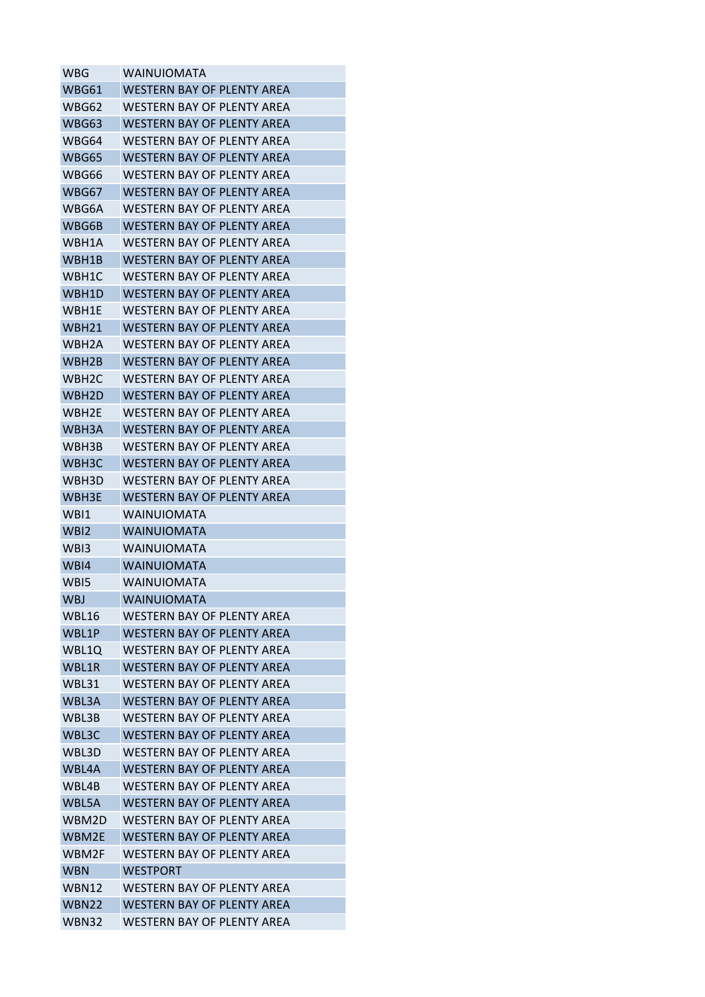| WBG                | WAINUIOMATA                       |
|--------------------|-----------------------------------|
| WBG61              | WESTERN BAY OF PLENTY AREA        |
| WBG62              | WESTERN BAY OF PLENTY AREA        |
| WBG63              | WESTERN BAY OF PLENTY AREA        |
| WBG64              | WESTERN BAY OF PLENTY AREA        |
| WBG65              | WESTERN BAY OF PLENTY AREA        |
| WBG66              | WESTERN BAY OF PLENTY AREA        |
| WBG67              | <b>WESTERN BAY OF PLENTY AREA</b> |
| WBG6A              | WESTERN BAY OF PLENTY AREA        |
| WBG6B              | WESTERN BAY OF PLENTY AREA        |
| WBH1A              | WESTERN BAY OF PLENTY AREA        |
| WBH1B              | WESTERN BAY OF PLENTY AREA        |
| WBH1C              | WESTERN BAY OF PLENTY AREA        |
| WBH1D              | WESTERN BAY OF PLENTY AREA        |
| WBH1E              | WESTERN BAY OF PLENTY AREA        |
| WBH <sub>21</sub>  | WESTERN BAY OF PLENTY AREA        |
| WBH2A              | WESTERN BAY OF PLENTY AREA        |
| WBH2B              | <b>WESTERN BAY OF PLENTY AREA</b> |
| WBH <sub>2</sub> C | WESTERN BAY OF PLENTY AREA        |
| WBH2D              | WESTERN BAY OF PLENTY AREA        |
| WBH2E              | WESTERN BAY OF PLENTY AREA        |
| WBH3A              | WESTERN BAY OF PLENTY AREA        |
| WBH3B              | WESTERN BAY OF PLENTY AREA        |
| WBH3C              | WESTERN BAY OF PLENTY AREA        |
| WBH3D              | WESTERN BAY OF PLENTY AREA        |
|                    |                                   |
| WBH3E              | WESTERN BAY OF PLENTY AREA        |
| WBI1               | <b>WAINUIOMATA</b>                |
| WBI2               | <b>WAINUIOMATA</b>                |
| WB <sub>13</sub>   | <b>WAINUIOMATA</b>                |
| WB <sub>I4</sub>   | <b>WAINUIOMATA</b>                |
| WB <sub>I5</sub>   | <b>WAINUIOMATA</b>                |
| <b>WBJ</b>         | <b>WAINUIOMATA</b>                |
| WBL16              | WESTERN BAY OF PLENTY AREA        |
| WBL1P              | <b>WESTERN BAY OF PLENTY AREA</b> |
| WBL10              | <b>WESTERN BAY OF PLENTY AREA</b> |
| WBL1R              | <b>WESTERN BAY OF PLENTY AREA</b> |
| WBL31              | <b>WESTERN BAY OF PLENTY AREA</b> |
| WBL3A              | WESTERN BAY OF PLENTY AREA        |
| WBL3B              | <b>WESTERN BAY OF PLENTY AREA</b> |
| WBL3C              | <b>WESTERN BAY OF PLENTY AREA</b> |
| WBL3D              | <b>WESTERN BAY OF PLENTY AREA</b> |
| WBL4A              | <b>WESTERN BAY OF PLENTY AREA</b> |
| WBL4B              | <b>WESTERN BAY OF PLENTY AREA</b> |
| WBL5A              | <b>WESTERN BAY OF PLENTY AREA</b> |
| WBM2D              | <b>WESTERN BAY OF PLENTY AREA</b> |
| WBM2E              | WESTERN BAY OF PLENTY AREA        |
| WBM2F              | <b>WESTERN BAY OF PLENTY AREA</b> |
| WBN                | <b>WESTPORT</b>                   |
| WBN12              | <b>WESTERN BAY OF PLENTY AREA</b> |
| <b>WBN22</b>       | <b>WESTERN BAY OF PLENTY AREA</b> |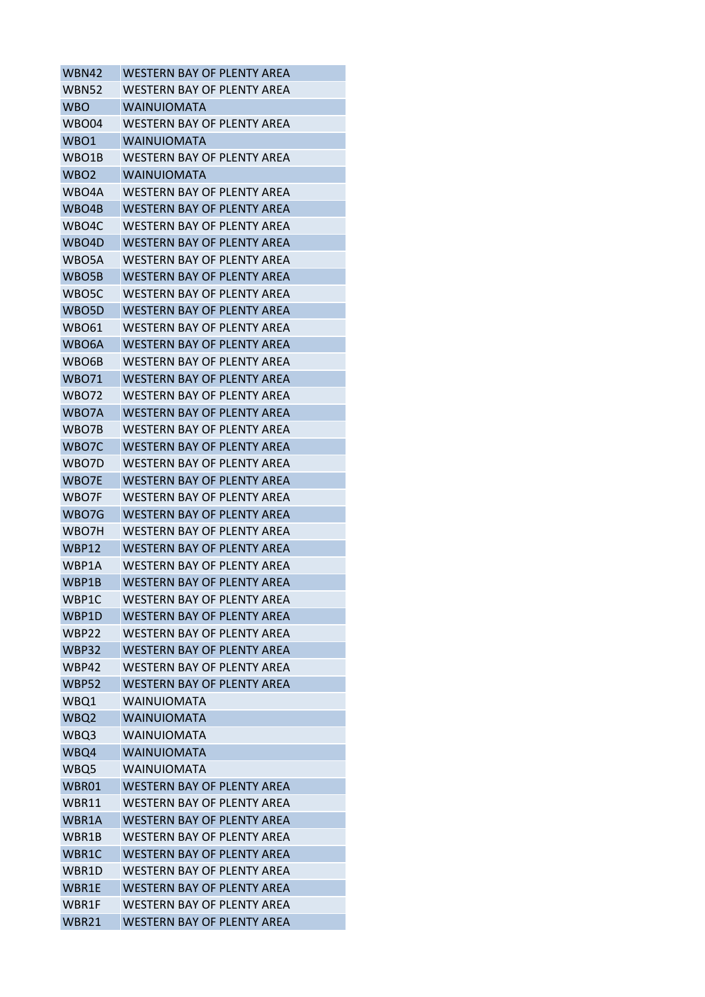| WESTERN BAY OF PLENTY AREA        |
|-----------------------------------|
| <b>WESTERN BAY OF PLENTY AREA</b> |
| WAINUIOMATA                       |
| WESTERN BAY OF PLENTY AREA        |
| <b>WAINUIOMATA</b>                |
| WESTERN BAY OF PLENTY AREA        |
| WAINUIOMATA                       |
| WESTERN BAY OF PLENTY AREA        |
| WESTERN BAY OF PLENTY AREA        |
| WESTERN BAY OF PLENTY AREA        |
| WESTERN BAY OF PLENTY AREA        |
| WESTERN BAY OF PLENTY AREA        |
| WESTERN BAY OF PLENTY AREA        |
| WESTERN BAY OF PLENTY AREA        |
| WESTERN BAY OF PLENTY AREA        |
| <b>WESTERN BAY OF PLENTY AREA</b> |
| WESTERN BAY OF PLENTY AREA        |
| <b>WESTERN BAY OF PLENTY AREA</b> |
| WESTERN BAY OF PLENTY AREA        |
| WESTERN BAY OF PLENTY AREA        |
| WESTERN BAY OF PLENTY AREA        |
| WESTERN BAY OF PLENTY AREA        |
| <b>WESTERN BAY OF PLENTY AREA</b> |
| WESTERN BAY OF PLENTY AREA        |
| WESTERN BAY OF PLENTY AREA        |
| <b>WESTERN BAY OF PLENTY AREA</b> |
| <b>WESTERN BAY OF PLENTY AREA</b> |
| WESTERN BAY OF PLENTY AREA        |
| <b>WESTERN BAY OF PLENTY AREA</b> |
| WESTERN BAY OF PLENTY AREA        |
| WESTERN BAY OF PLENTY AREA        |
| <b>WESTERN BAY OF PLENTY AREA</b> |
| WESTERN BAY OF PLENTY AREA        |
| WESTERN BAY OF PLENTY AREA        |
| <b>WESTERN BAY OF PLENTY AREA</b> |
| <b>WESTERN BAY OF PLENTY AREA</b> |
| <b>WESTERN BAY OF PLENTY AREA</b> |
| <b>WAINUIOMATA</b>                |
| <b>WAINUIOMATA</b>                |
| <b>WAINUIOMATA</b>                |
| <b>WAINUIOMATA</b>                |
| <b>WAINUIOMATA</b>                |
| <b>WESTERN BAY OF PLENTY AREA</b> |
| <b>WESTERN BAY OF PLENTY AREA</b> |
| <b>WESTERN BAY OF PLENTY AREA</b> |
| WESTERN BAY OF PLENTY AREA        |
| <b>WESTERN BAY OF PLENTY AREA</b> |
| <b>WESTERN BAY OF PLENTY AREA</b> |
| <b>WESTERN BAY OF PLENTY AREA</b> |
| <b>WESTERN BAY OF PLENTY AREA</b> |
| WESTERN BAY OF PLENTY AREA        |
|                                   |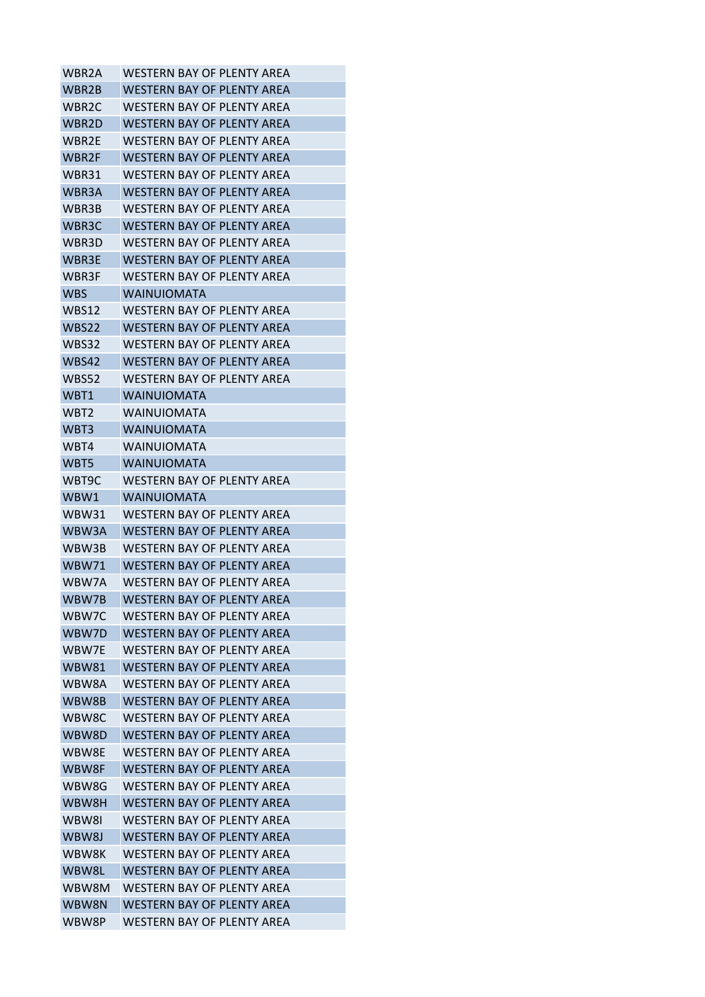| WBR2A        | WESTERN BAY OF PLENTY AREA        |
|--------------|-----------------------------------|
| WBR2B        | WESTERN BAY OF PLENTY AREA        |
| WBR2C        | WESTERN BAY OF PLENTY AREA        |
| WBR2D        | <b>WESTERN BAY OF PLENTY AREA</b> |
| WBR2F        | WFSTFRN BAY OF PLFNTY ARFA        |
| WBR2F        | WESTERN BAY OF PLENTY AREA        |
| WBR31        | WESTERN BAY OF PLENTY AREA        |
| WBR3A        | <b>WESTERN BAY OF PLENTY AREA</b> |
| WBR3B        | WESTERN BAY OF PLENTY AREA        |
| WBR3C        | WESTERN BAY OF PLENTY AREA        |
| WBR3D        | WESTERN BAY OF PLENTY AREA        |
| WBR3E        | WESTERN BAY OF PLENTY AREA        |
| WBR3F        | WESTERN BAY OF PLENTY AREA        |
| <b>WBS</b>   | <b>WAINUIOMATA</b>                |
| WBS12        | WESTERN BAY OF PLENTY AREA        |
| <b>WBS22</b> | <b>WESTERN BAY OF PLENTY AREA</b> |
| <b>WBS32</b> | WESTERN BAY OF PLENTY AREA        |
| WBS42        | WESTERN BAY OF PLENTY AREA        |
| WBS52        | WESTERN BAY OF PLENTY AREA        |
| WBT1         | <b>WAINUIOMATA</b>                |
| WBT2         | WAINUIOMATA                       |
| WBT3         | <b>WAINUIOMATA</b>                |
| WBT4         | <b>WAINUIOMATA</b>                |
| WBT5         | <b>WAINUIOMATA</b>                |
| WBT9C        | WESTERN BAY OF PLENTY AREA        |
| WBW1         | <b>WAINUIOMATA</b>                |
| WBW31        | <b>WESTERN BAY OF PLENTY AREA</b> |
| WBW3A        | WESTERN BAY OF PLENTY AREA        |
| WBW3B        | <b>WESTERN BAY OF PLENTY AREA</b> |
| WBW71        | WESTERN BAY OF PLENTY AREA        |
| WBW7A        | WESTERN BAY OF PLENTY AREA        |
| WBW7B        | <b>WESTERN BAY OF PLENTY AREA</b> |
| WBW7C        | WFSTFRN BAY OF PLFNTY ARFA        |
| WBW7D        | <b>WESTERN BAY OF PLENTY AREA</b> |
| WBW7E        | <b>WESTERN BAY OF PLENTY AREA</b> |
| <b>WBW81</b> | <b>WESTERN BAY OF PLENTY AREA</b> |
| WBW8A        | <b>WESTERN BAY OF PLENTY AREA</b> |
| WBW8B        | WESTERN BAY OF PLENTY AREA        |
| WBW8C        | <b>WESTERN BAY OF PLENTY AREA</b> |
| WBW8D        | <b>WESTERN BAY OF PLENTY AREA</b> |
| WBW8E        | WESTERN BAY OF PLENTY AREA        |
| WBW8F        | WESTERN BAY OF PLENTY AREA        |
| WBW8G        | <b>WESTERN BAY OF PLENTY AREA</b> |
| WBW8H        | <b>WESTERN BAY OF PLENTY AREA</b> |
| WBW8I        | <b>WESTERN BAY OF PLENTY AREA</b> |
| WBW8J        | WESTERN BAY OF PLENTY AREA        |
| WBW8K        | <b>WESTERN BAY OF PLENTY AREA</b> |
| WBW8L        | <b>WESTERN BAY OF PLENTY AREA</b> |
| WBW8M        | <b>WESTERN BAY OF PLENTY AREA</b> |
| WBW8N        | <b>WESTERN BAY OF PLENTY AREA</b> |
| WBW8P        | WESTERN BAY OF PLENTY AREA        |
|              |                                   |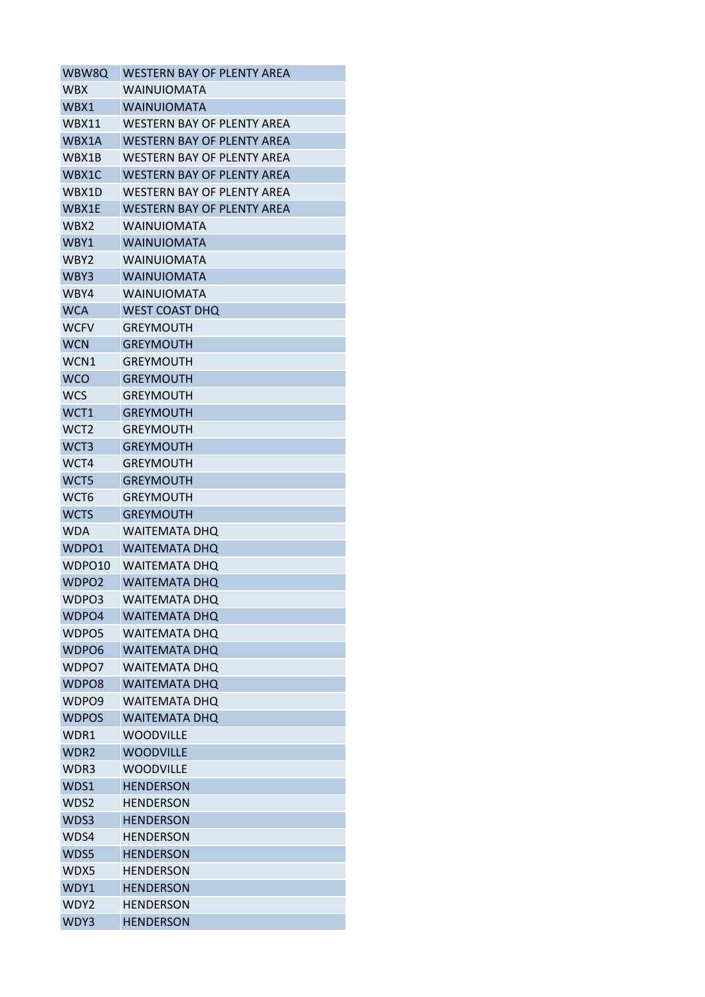| WBW8Q             | WESTERN BAY OF PLENTY AREA        |
|-------------------|-----------------------------------|
| <b>WBX</b>        | <b>WAINUIOMATA</b>                |
| WBX1              | <b>WAINUIOMATA</b>                |
| WBX11             | <b>WESTERN BAY OF PLENTY AREA</b> |
| WBX1A             | WESTERN BAY OF PLENTY AREA        |
| WBX1B             | WESTERN BAY OF PLENTY AREA        |
| WBX1C             | WESTERN BAY OF PLENTY AREA        |
| WBX1D             | <b>WESTERN BAY OF PLENTY AREA</b> |
| WBX1E             | <b>WESTERN BAY OF PLENTY AREA</b> |
| WBX2              | <b>WAINUIOMATA</b>                |
| WBY1              | <b>WAINUIOMATA</b>                |
| WBY <sub>2</sub>  | <b>WAINUIOMATA</b>                |
| WBY3              | <b>WAINUIOMATA</b>                |
| WBY4              | <b>WAINUIOMATA</b>                |
| <b>WCA</b>        | <b>WEST COAST DHQ</b>             |
| <b>WCFV</b>       | <b>GREYMOUTH</b>                  |
| <b>WCN</b>        | <b>GREYMOUTH</b>                  |
| WCN1              | GREYMOUTH                         |
| <b>WCO</b>        | <b>GREYMOUTH</b>                  |
| <b>WCS</b>        | <b>GREYMOUTH</b>                  |
| WCT1              | <b>GREYMOUTH</b>                  |
| WCT <sub>2</sub>  | <b>GREYMOUTH</b>                  |
| WCT3              | <b>GREYMOUTH</b>                  |
| WCT4              | <b>GREYMOUTH</b>                  |
| WCT5              | <b>GREYMOUTH</b>                  |
| WCT6              | <b>GREYMOUTH</b>                  |
| <b>WCTS</b>       | <b>GREYMOUTH</b>                  |
| WDA               | <b>WAITEMATA DHO</b>              |
| WDPO1             | <b>WAITEMATA DHO</b>              |
| WDPO10            | <b>WAITEMATA DHO</b>              |
| WDPO <sub>2</sub> | <b>WAITEMATA DHO</b>              |
| WDPO3             | <b>WAITEMATA DHQ</b>              |
| WDPO4             | <b>WAITEMATA DHQ</b>              |
| WDPO5             | <b>WAITEMATA DHQ</b>              |
| WDPO6             | <b>WAITEMATA DHQ</b>              |
| WDPO7             | <b>WAITEMATA DHQ</b>              |
| WDPO <sub>8</sub> | <b>WAITEMATA DHQ</b>              |
| WDPO9             | <b>WAITEMATA DHQ</b>              |
| <b>WDPOS</b>      | <b>WAITEMATA DHQ</b>              |
| WDR1              | <b>WOODVILLE</b>                  |
| WDR <sub>2</sub>  | <b>WOODVILLE</b>                  |
| WDR3              | <b>WOODVILLE</b>                  |
| WDS1              | <b>HENDERSON</b>                  |
|                   | <b>HENDERSON</b>                  |
| WDS2<br>WDS3      | <b>HENDERSON</b>                  |
|                   |                                   |
| WDS4              | <b>HENDERSON</b>                  |
| WDS5              | <b>HENDERSON</b>                  |
| WDX5              | <b>HENDERSON</b>                  |
| WDY1              | <b>HENDERSON</b>                  |
| WDY2              | <b>HENDERSON</b>                  |
| WDY3              | <b>HENDERSON</b>                  |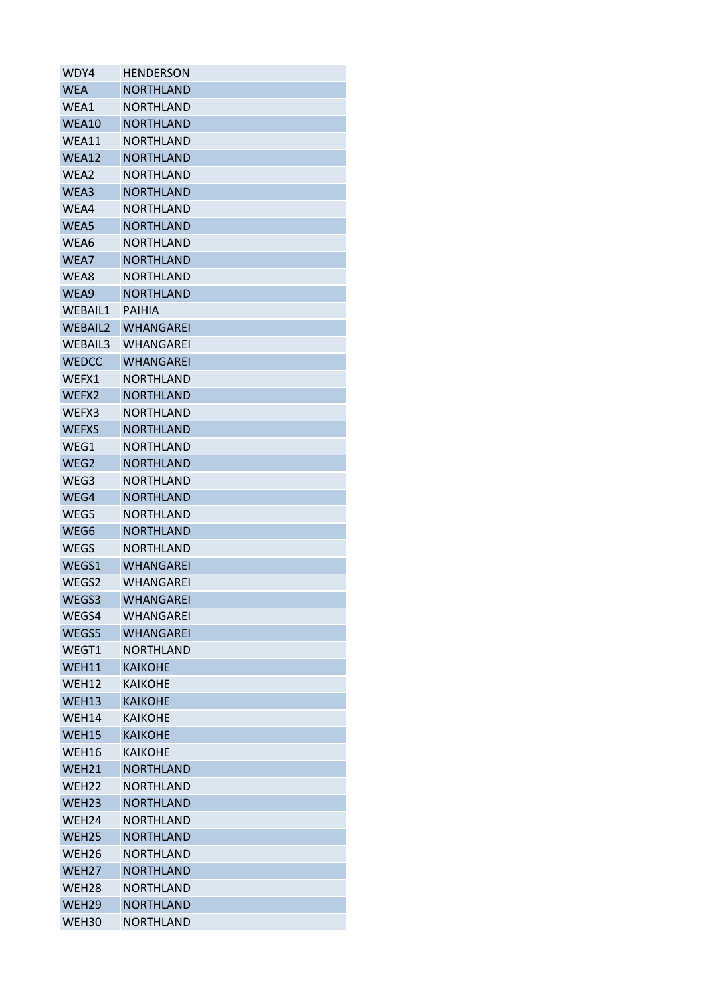| WDY4                                   | <b>HENDERSON</b>              |
|----------------------------------------|-------------------------------|
| <b>WEA</b>                             | <b>NORTHLAND</b>              |
| WEA1                                   | NORTHLAND                     |
| WEA10                                  | <b>NORTHLAND</b>              |
| WEA11                                  | <b>NORTHLAND</b>              |
| WEA12                                  | <b>NORTHLAND</b>              |
| WEA2                                   | NORTHLAND                     |
| WEA3                                   | <b>NORTHLAND</b>              |
| WEA4                                   | NORTHLAND                     |
| WEA5                                   | <b>NORTHLAND</b>              |
| WEA6                                   | NORTHLAND                     |
| WEA7                                   | <b>NORTHLAND</b>              |
| WEA8                                   | NORTHLAND                     |
| WEA9                                   | <b>NORTHLAND</b>              |
| <b>WFBAIL1</b>                         | PAIHIA                        |
| <b>WFBAIL2</b>                         | WHANGAREI                     |
| WEBAIL3                                | WHANGAREI                     |
| <b>WEDCC</b>                           | WHANGAREI                     |
| WEFX1                                  | <b>NORTHLAND</b>              |
| WEFX2                                  | <b>NORTHLAND</b>              |
| WEFX3                                  | NORTHLAND                     |
| <b>WEFXS</b>                           | <b>NORTHLAND</b>              |
| WEG1                                   | NORTHLAND                     |
| WEG2                                   | <b>NORTHLAND</b>              |
| WEG3                                   | NORTHLAND                     |
| WEG4                                   | <b>NORTHLAND</b>              |
| WEG5                                   | NORTHLAND                     |
| WEG6                                   | <b>NORTHLAND</b>              |
| <b>WEGS</b>                            | NORTHLAND                     |
| WEGS1                                  | <b>WHANGAREI</b>              |
| WEGS2                                  | WHANGAREI                     |
| WEGS3                                  | <b>WHANGAREI</b>              |
| WEGS4                                  | WHANGAREI                     |
| WEGS5                                  | <b>WHANGAREI</b>              |
| WEGT1                                  | <b>NORTHLAND</b>              |
| WEH11                                  | <b>KAIKOHE</b>                |
| WEH12                                  | <b>KAIKOHE</b>                |
| WEH13                                  | <b>KAIKOHE</b>                |
| WEH14                                  | <b>KAIKOHE</b>                |
| WEH15                                  | <b>KAIKOHE</b>                |
| WEH16                                  | <b>KAIKOHE</b>                |
| WEH21                                  | <b>NORTHLAND</b>              |
| WEH <sub>22</sub>                      | <b>NORTHLAND</b>              |
|                                        |                               |
| WEH <sub>23</sub><br>WEH <sub>24</sub> | <b>NORTHLAND</b><br>NORTHLAND |
| WEH <sub>25</sub>                      | <b>NORTHLAND</b>              |
|                                        |                               |
| WEH <sub>26</sub><br>WEH <sub>27</sub> | <b>NORTHLAND</b>              |
|                                        | <b>NORTHLAND</b>              |
| WEH <sub>28</sub>                      | <b>NORTHLAND</b>              |
| WEH29                                  | <b>NORTHLAND</b>              |
| WEH30                                  | NORTHLAND                     |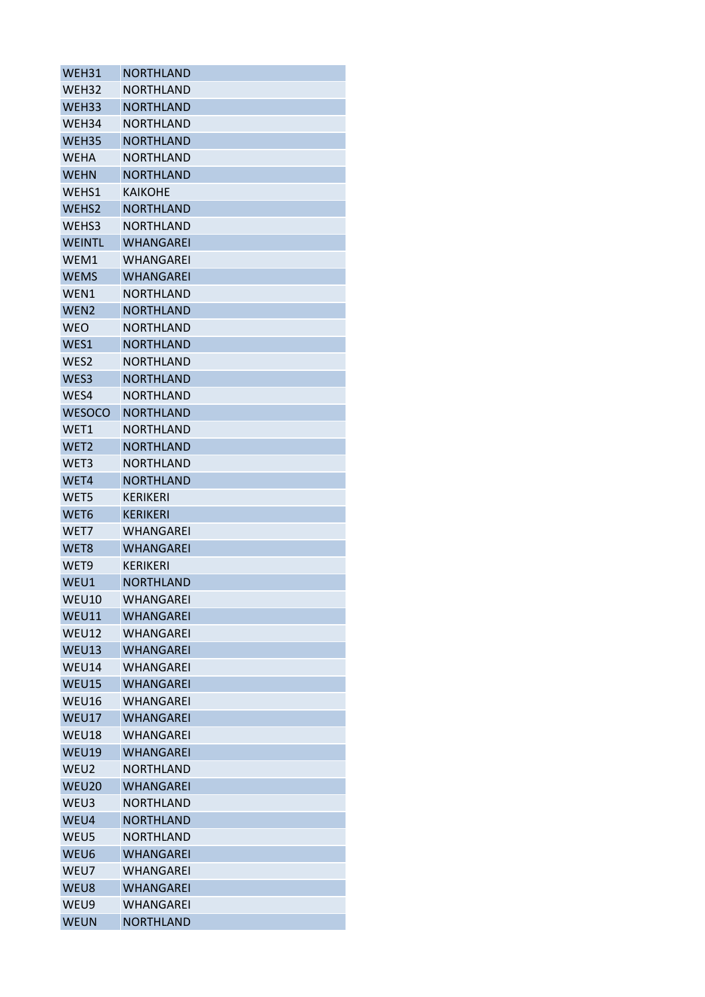| WEH31            | NORTHLAND        |
|------------------|------------------|
| WEH32            | <b>NORTHLAND</b> |
| WEH33            | <b>NORTHLAND</b> |
| WEH34            | NORTHLAND        |
| WEH35            | <b>NORTHLAND</b> |
| <b>WEHA</b>      | NORTHLAND        |
| <b>WEHN</b>      | <b>NORTHLAND</b> |
| WEHS1            | KAIKOHE          |
| WEHS2            | <b>NORTHLAND</b> |
| WEHS3            | <b>NORTHLAND</b> |
| <b>WEINTL</b>    | WHANGAREI        |
| WEM1             | WHANGAREI        |
| <b>WEMS</b>      | <b>WHANGAREI</b> |
| WEN1             | NORTHLAND        |
| WEN <sub>2</sub> | <b>NORTHLAND</b> |
| <b>WEO</b>       | <b>NORTHLAND</b> |
| WES1             | <b>NORTHLAND</b> |
| WES2             | NORTHLAND        |
| WES3             | <b>NORTHLAND</b> |
| WES4             | NORTHLAND        |
| <b>WESOCO</b>    | <b>NORTHLAND</b> |
| WET1             | NORTHLAND        |
| WET <sub>2</sub> | <b>NORTHLAND</b> |
| WET3             | NORTHLAND        |
| WET4             | <b>NORTHLAND</b> |
| WET5             | KERIKERI         |
| WET6             | <b>KERIKERI</b>  |
| WET7             | WHANGAREI        |
| WET8             | <b>WHANGAREI</b> |
| WET <sub>9</sub> | <b>KERIKERI</b>  |
| WEU1             | <b>NORTHLAND</b> |
| <b>WEU10</b>     | <b>WHANGAREI</b> |
| WEU11            | WHANGAREI        |
| WEU12            | WHANGAREI        |
| WEU13            | <b>WHANGAREI</b> |
| WEU14            | <b>WHANGAREI</b> |
| WEU15            | <b>WHANGAREI</b> |
| WEU16            | <b>WHANGAREI</b> |
| WEU17            | <b>WHANGAREI</b> |
| WEU18            | WHANGAREI        |
| WEU19            | WHANGAREI        |
| WEU2             | NORTHLAND        |
| WEU20            | <b>WHANGAREI</b> |
| WEU3             | <b>NORTHLAND</b> |
| WEU4             | <b>NORTHLAND</b> |
| WEU5             | NORTHLAND        |
| WEU6             | <b>WHANGAREI</b> |
| WEU7             | <b>WHANGAREI</b> |
| WEU8             | <b>WHANGAREI</b> |
| WEU9             | WHANGAREI        |
| <b>WEUN</b>      | <b>NORTHLAND</b> |
|                  |                  |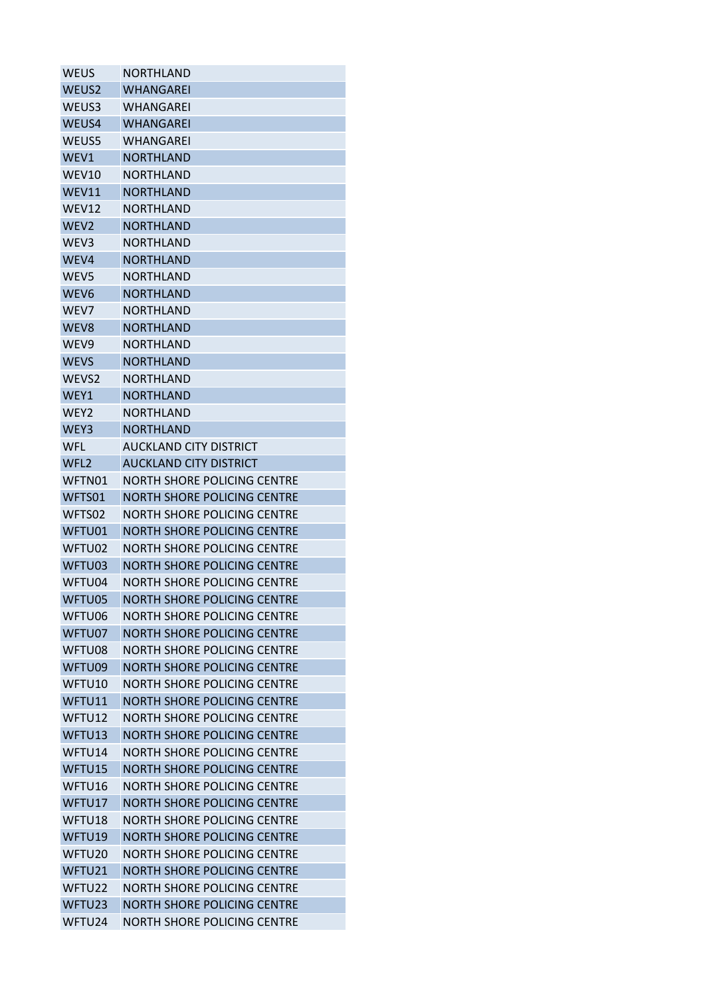| <b>WEUS</b>        | NORTHLAND                          |
|--------------------|------------------------------------|
| WEUS <sub>2</sub>  | WHANGAREI                          |
| WEUS3              | WHANGAREI                          |
| WEUS4              | <b>WHANGAREI</b>                   |
| WEUS5              | WHANGARFI                          |
| WEV1               | <b>NORTHLAND</b>                   |
| WEV10              | NORTHLAND                          |
| WEV11              | <b>NORTHLAND</b>                   |
| WEV12              | NORTHLAND                          |
| WEV <sub>2</sub>   | <b>NORTHLAND</b>                   |
| WEV3               | NORTHLAND                          |
| WEV4               | <b>NORTHLAND</b>                   |
| WEV <sub>5</sub>   | NORTHLAND                          |
| WEV <sub>6</sub>   | <b>NORTHLAND</b>                   |
| WEV7               | <b>NORTHLAND</b>                   |
| WEV8               | <b>NORTHLAND</b>                   |
| WEV9               | NORTHLAND                          |
| <b>WEVS</b>        | <b>NORTHLAND</b>                   |
| WEVS <sub>2</sub>  | <b>NORTHLAND</b>                   |
| WFY1               | <b>NORTHLAND</b>                   |
| WEY2               | NORTHLAND                          |
| WEY3               | <b>NORTHLAND</b>                   |
| WFL                | <b>AUCKLAND CITY DISTRICT</b>      |
| WFL <sub>2</sub>   | <b>AUCKLAND CITY DISTRICT</b>      |
| WFTN01             | NORTH SHORE POLICING CENTRE        |
| WFTS01             | NORTH SHORE POLICING CENTRE        |
| WFTS02             | NORTH SHORE POLICING CENTRE        |
| WFTU01             | <b>NORTH SHORE POLICING CENTRE</b> |
| WFTU02             | NORTH SHORE POLICING CENTRE        |
| WFTU03             | NORTH SHORE POLICING CENTRE        |
| WFTU04             | NORTH SHORE POLICING CENTRE        |
| WFTU05             | <b>NORTH SHORE POLICING CENTRE</b> |
| WFTU06             | NORTH SHORE POLICING CENTRE        |
| WFTU07             | <b>NORTH SHORE POLICING CENTRE</b> |
| WFTU08             | <b>NORTH SHORE POLICING CENTRE</b> |
| WFTU09             | <b>NORTH SHORE POLICING CENTRE</b> |
| WFTU10             | <b>NORTH SHORE POLICING CENTRE</b> |
| WFTU11             | <b>NORTH SHORE POLICING CENTRE</b> |
| WFTU12             | <b>NORTH SHORE POLICING CENTRE</b> |
| WFTU <sub>13</sub> | <b>NORTH SHORE POLICING CENTRE</b> |
| WFTU14             | <b>NORTH SHORE POLICING CENTRE</b> |
| WFTU15             | <b>NORTH SHORE POLICING CENTRE</b> |
| WFTU16             | <b>NORTH SHORE POLICING CENTRE</b> |
| WFTU17             | <b>NORTH SHORE POLICING CENTRE</b> |
| WFTU18             | <b>NORTH SHORE POLICING CENTRE</b> |
| WFTU <sub>19</sub> | <b>NORTH SHORE POLICING CENTRE</b> |
| WFTU <sub>20</sub> | <b>NORTH SHORE POLICING CENTRE</b> |
| WFTU21             | <b>NORTH SHORE POLICING CENTRE</b> |
| WFTU22             | NORTH SHORE POLICING CENTRE        |
| WFTU23             | <b>NORTH SHORE POLICING CENTRE</b> |
| WFTU24             | NORTH SHORE POLICING CENTRE        |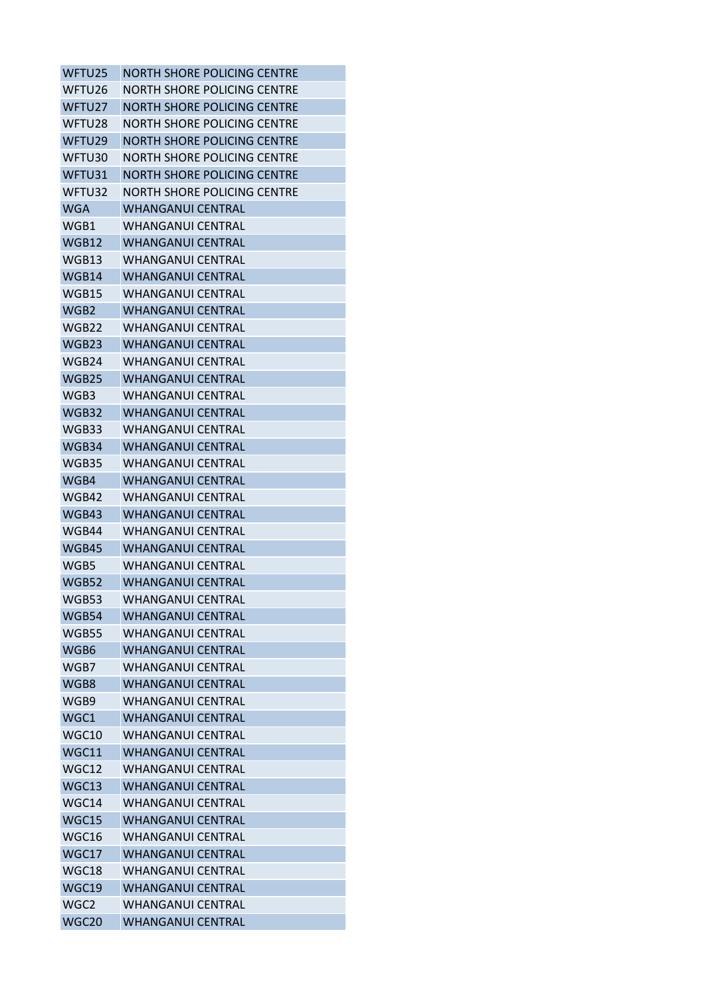| WFTU25       | <b>NORTH SHORE POLICING CENTRE</b> |
|--------------|------------------------------------|
| WFTU26       | NORTH SHORE POLICING CENTRE        |
| WFTU27       | NORTH SHORE POLICING CENTRE        |
| WFTU28       | <b>NORTH SHORE POLICING CENTRE</b> |
| WFTU29       | <b>NORTH SHORE POLICING CENTRE</b> |
| WFTU30       | NORTH SHORE POLICING CENTRE        |
| WFTU31       | NORTH SHORE POLICING CENTRE        |
| WFTU32       | <b>NORTH SHORE POLICING CENTRE</b> |
| <b>WGA</b>   | WHANGANUI CENTRAL                  |
| WGB1         | <b>WHANGANUI CENTRAL</b>           |
| WGB12        | WHANGANUI CENTRAL                  |
| WGB13        | WHANGANUI CENTRAL                  |
| WGB14        | <b>WHANGANUI CENTRAL</b>           |
| WGB15        | <b>WHANGANUI CENTRAL</b>           |
| WGB2         | <b>WHANGANUI CENTRAL</b>           |
| WGB22        | <b>WHANGANUL CENTRAL</b>           |
| WGB23        | <b>WHANGANUI CENTRAL</b>           |
| WGB24        | WHANGANUI CENTRAL                  |
| WGB25        | <b>WHANGANUI CENTRAL</b>           |
| WGB3         | <b>WHANGANUI CENTRAL</b>           |
| WGB32        | <b>WHANGANUI CENTRAL</b>           |
| WGB33        | <b>WHANGANUI CENTRAL</b>           |
| WGB34        | <b>WHANGANUI CENTRAL</b>           |
| WGB35        | <b>WHANGANUI CENTRAL</b>           |
| WGB4         | <b>WHANGANUI CENTRAL</b>           |
| WGB42        | WHANGANUI CENTRAL                  |
| WGB43        | <b>WHANGANUI CENTRAL</b>           |
| WGB44        | WHANGANUI CENTRAL                  |
| WGB45        | WHANGANUI CENTRAL                  |
| WGB5         | <b>WHANGANUI CENTRAL</b>           |
| <b>WGB52</b> | <b>WHANGANUI CENTRAL</b>           |
| WGB53        | <b>WHANGANUI CENTRAL</b>           |
| WGB54        | <b>WHANGANUI CENTRAL</b>           |
| WGB55        | WHANGANUI CENTRAL                  |
| WGB6         | <b>WHANGANUL CENTRAL</b>           |
| WGB7         | <b>WHANGANUI CENTRAL</b>           |
| WGB8         | WHANGANUI CENTRAL                  |
| WGB9         | WHANGANUI CENTRAL                  |
| WGC1         | <b>WHANGANUI CENTRAL</b>           |
| WGC10        | <b>WHANGANUL CENTRAL</b>           |
| WGC11        | WHANGANUI CENTRAL                  |
| WGC12        | <b>WHANGANUI CENTRAL</b>           |
| WGC13        | <b>WHANGANUI CENTRAL</b>           |
| WGC14        | WHANGANUI CENTRAL                  |
| WGC15        | <b>WHANGANUI CENTRAL</b>           |
| WGC16        | <b>WHANGANUI CENTRAL</b>           |
| WGC17        | <b>WHANGANUI CENTRAL</b>           |
| WGC18        | <b>WHANGANUI CENTRAL</b>           |
| WGC19        | <b>WHANGANUI CENTRAL</b>           |
| WGC2         | WHANGANUI CENTRAL                  |
| WGC20        | WHANGANUI CENTRAL                  |
|              |                                    |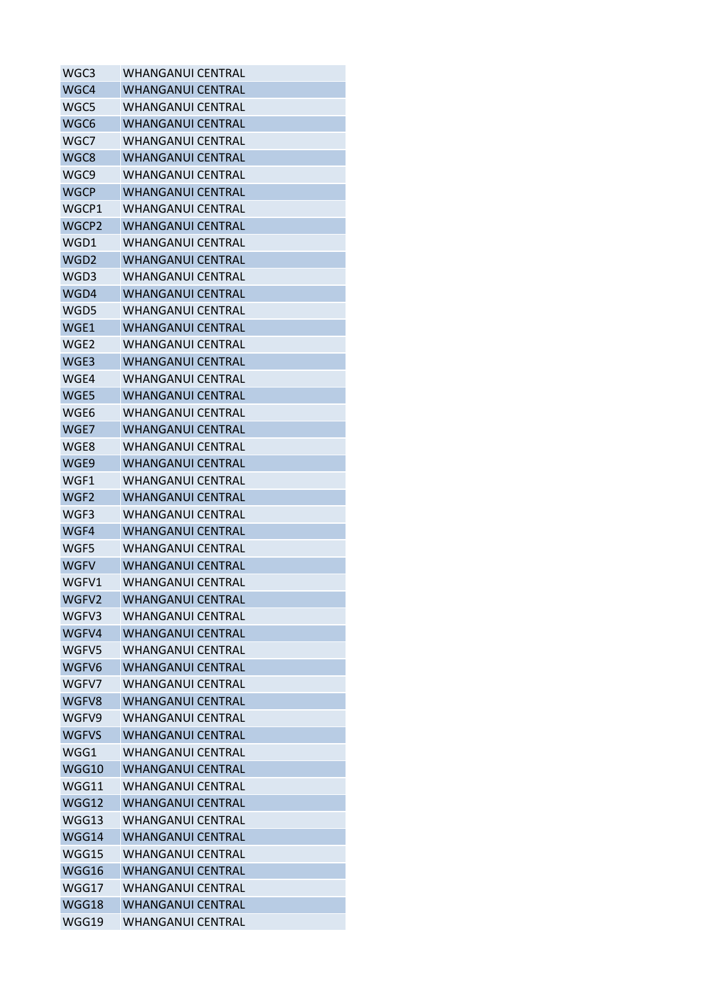| WGC3             | <b>WHANGANUI CENTRAL</b> |
|------------------|--------------------------|
| WGC4             | <b>WHANGANUI CENTRAL</b> |
| WGC5             | <b>WHANGANUI CENTRAL</b> |
| WGC6             | <b>WHANGANUI CENTRAL</b> |
| WGC7             | <b>WHANGANUI CENTRAL</b> |
| WGC8             | <b>WHANGANUI CENTRAL</b> |
| WGC9             | <b>WHANGANUI CENTRAL</b> |
| <b>WGCP</b>      | <b>WHANGANUI CENTRAL</b> |
| WGCP1            | <b>WHANGANUI CENTRAL</b> |
| WGCP2            | <b>WHANGANUI CENTRAL</b> |
| WGD1             | <b>WHANGANUI CENTRAL</b> |
| WGD <sub>2</sub> | <b>WHANGANUI CENTRAL</b> |
| WGD3             | <b>WHANGANUI CENTRAL</b> |
| WGD4             | <b>WHANGANUI CENTRAL</b> |
| WGD5             | <b>WHANGANUI CENTRAL</b> |
| WGE1             | <b>WHANGANUI CENTRAL</b> |
| WGE2             | <b>WHANGANUI CENTRAL</b> |
| WGE3             | <b>WHANGANUI CENTRAL</b> |
| WGE4             | <b>WHANGANUI CENTRAL</b> |
| WGE5             | <b>WHANGANUI CENTRAL</b> |
| WGE6             | <b>WHANGANUI CENTRAL</b> |
| WGE7             | <b>WHANGANUI CENTRAL</b> |
| WGE8             | <b>WHANGANUI CENTRAL</b> |
| WGE9             | <b>WHANGANUI CENTRAL</b> |
| WGF1             | <b>WHANGANUI CENTRAL</b> |
| WGF <sub>2</sub> | <b>WHANGANUI CENTRAL</b> |
| WGF3             | <b>WHANGANUI CENTRAL</b> |
| WGF4             | <b>WHANGANUI CENTRAL</b> |
| WGF5             | <b>WHANGANUI CENTRAL</b> |
| <b>WGFV</b>      | <b>WHANGANUI CENTRAL</b> |
| WGFV1            | <b>WHANGANUI CENTRAL</b> |
| WGFV2            | <b>WHANGANUI CENTRAL</b> |
| WGFV3            | WHANGANUI CFNTRAL        |
| WGFV4            | <b>WHANGANUI CENTRAL</b> |
| WGFV5            | <b>WHANGANUI CENTRAL</b> |
| WGFV6            | <b>WHANGANUI CENTRAL</b> |
| WGFV7            | <b>WHANGANUI CENTRAL</b> |
| WGFV8            | <b>WHANGANUI CENTRAL</b> |
| WGFV9            | <b>WHANGANUI CENTRAL</b> |
| <b>WGFVS</b>     | <b>WHANGANUI CENTRAL</b> |
| WGG1             | WHANGANUI CENTRAL        |
| WGG10            | <b>WHANGANUI CENTRAL</b> |
| WGG11            | <b>WHANGANUI CENTRAL</b> |
| WGG12            | <b>WHANGANUI CENTRAL</b> |
| WGG13            | <b>WHANGANUI CENTRAL</b> |
| WGG14            | <b>WHANGANUI CENTRAL</b> |
| WGG15            | <b>WHANGANUI CENTRAL</b> |
| WGG16            | <b>WHANGANUI CENTRAL</b> |
| WGG17            | <b>WHANGANUI CENTRAL</b> |
| WGG18            | <b>WHANGANUI CENTRAL</b> |
| WGG19            | WHANGANUI CENTRAL        |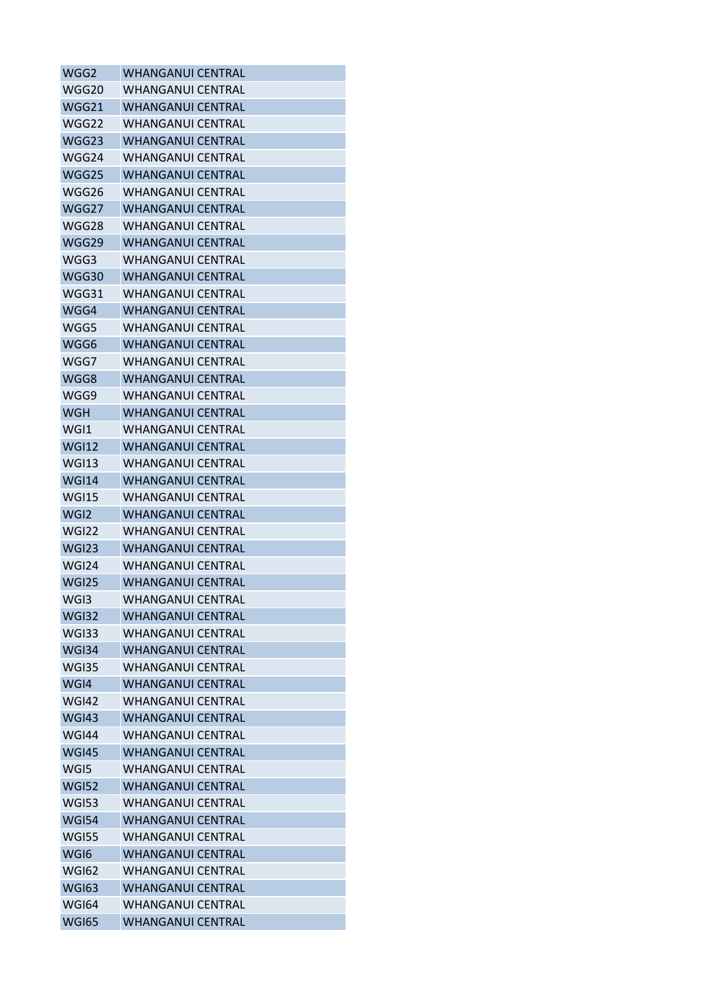| WGG2             | <b>WHANGANUI CENTRAL</b> |
|------------------|--------------------------|
| WGG20            | <b>WHANGANUI CENTRAL</b> |
| WGG21            | <b>WHANGANUI CENTRAL</b> |
| WGG22            | <b>WHANGANUI CENTRAL</b> |
| WGG23            | <b>WHANGANUI CENTRAL</b> |
| WGG24            | <b>WHANGANUI CENTRAL</b> |
| WGG25            | <b>WHANGANUI CENTRAL</b> |
| WGG26            | <b>WHANGANUI CENTRAL</b> |
| WGG27            | <b>WHANGANUI CENTRAL</b> |
| WGG28            | <b>WHANGANUI CENTRAL</b> |
| WGG29            | <b>WHANGANUI CENTRAL</b> |
| WGG3             | WHANGANUI CENTRAL        |
| WGG30            | <b>WHANGANUI CENTRAL</b> |
| WGG31            | <b>WHANGANUI CENTRAL</b> |
| WGG4             | <b>WHANGANUI CENTRAL</b> |
| WGG5             | <b>WHANGANUI CENTRAL</b> |
| WGG6             | <b>WHANGANUI CENTRAL</b> |
| WGG7             | <b>WHANGANUI CENTRAL</b> |
| WGG8             | <b>WHANGANUI CENTRAL</b> |
| WGG9             | <b>WHANGANUI CENTRAL</b> |
| <b>WGH</b>       | <b>WHANGANUI CENTRAL</b> |
| WGI1             | <b>WHANGANUI CENTRAL</b> |
| <b>WGI12</b>     | <b>WHANGANUI CENTRAL</b> |
| <b>WGI13</b>     | <b>WHANGANUI CENTRAL</b> |
| <b>WGI14</b>     | <b>WHANGANUI CENTRAL</b> |
| <b>WGI15</b>     | <b>WHANGANUI CENTRAL</b> |
| WGI <sub>2</sub> | <b>WHANGANUI CENTRAL</b> |
| WGI22            | <b>WHANGANUI CENTRAL</b> |
| <b>WGI23</b>     | <b>WHANGANUI CENTRAL</b> |
| WGI24            | <b>WHANGANUI CENTRAL</b> |
| <b>WGI25</b>     | <b>WHANGANUI CENTRAL</b> |
| WGI3             | <b>WHANGANUI CENTRAL</b> |
| <b>WGI32</b>     | <b>WHANGANUI CENTRAL</b> |
| <b>WGI33</b>     | <b>WHANGANUI CENTRAL</b> |
| WGI34            | <b>WHANGANUI CENTRAL</b> |
| WGI35            | <b>WHANGANUI CENTRAL</b> |
| WGI4             | <b>WHANGANUI CENTRAL</b> |
| <b>WGI42</b>     | <b>WHANGANUI CENTRAL</b> |
| <b>WGI43</b>     | <b>WHANGANUI CENTRAL</b> |
| <b>WGI44</b>     | <b>WHANGANUI CENTRAL</b> |
| <b>WGI45</b>     | <b>WHANGANUI CENTRAL</b> |
| WGI5             | <b>WHANGANUI CENTRAL</b> |
| <b>WGI52</b>     | <b>WHANGANUI CENTRAL</b> |
| <b>WGI53</b>     | <b>WHANGANUI CENTRAL</b> |
| <b>WGI54</b>     | <b>WHANGANUI CENTRAL</b> |
| <b>WGI55</b>     | <b>WHANGANUI CENTRAL</b> |
| WGI6             | <b>WHANGANUI CENTRAL</b> |
| <b>WGI62</b>     | <b>WHANGANUI CENTRAL</b> |
| <b>WGI63</b>     | <b>WHANGANUI CENTRAL</b> |
| <b>WGI64</b>     | <b>WHANGANUI CENTRAL</b> |
| <b>WGI65</b>     | <b>WHANGANUI CENTRAL</b> |
|                  |                          |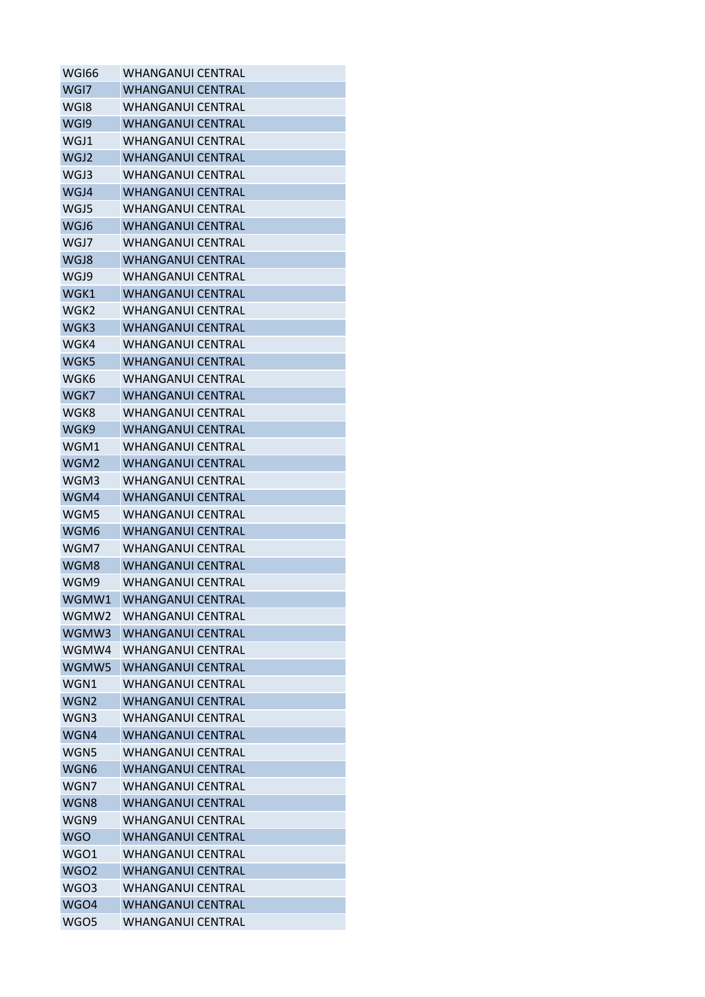| WGI66            | <b>WHANGANUI CENTRAL</b> |
|------------------|--------------------------|
| WGI7             | <b>WHANGANUI CENTRAL</b> |
| WGI8             | <b>WHANGANUI CENTRAL</b> |
| WGI9             | <b>WHANGANUI CENTRAL</b> |
| WGJ1             | WHANGANUI CENTRAL        |
| WGJ2             | <b>WHANGANUI CENTRAL</b> |
| WGJ3             | <b>WHANGANUI CENTRAL</b> |
| WGJ4             | <b>WHANGANUI CENTRAL</b> |
| WGJ5             | <b>WHANGANUI CENTRAL</b> |
| WGJ6             | <b>WHANGANUI CENTRAL</b> |
| WGJ7             | <b>WHANGANUI CENTRAL</b> |
| WGJ8             | WHANGANUI CENTRAL        |
| WGJ9             | <b>WHANGANUI CENTRAL</b> |
| WGK1             | <b>WHANGANUI CENTRAL</b> |
| WGK2             | <b>WHANGANUI CENTRAL</b> |
| WGK3             | <b>WHANGANUI CENTRAL</b> |
| WGK4             | <b>WHANGANUI CENTRAL</b> |
| WGK5             | <b>WHANGANUI CENTRAL</b> |
| WGK6             | <b>WHANGANUI CENTRAL</b> |
| WGK7             | <b>WHANGANUI CENTRAL</b> |
| WGK8             | <b>WHANGANUI CENTRAL</b> |
| WGK9             | <b>WHANGANUI CENTRAL</b> |
| WGM1             | <b>WHANGANUI CENTRAL</b> |
| WGM2             | <b>WHANGANUI CENTRAL</b> |
| WGM3             | <b>WHANGANUI CENTRAL</b> |
| WGM4             | <b>WHANGANUI CENTRAL</b> |
| WGM5             | <b>WHANGANUI CENTRAL</b> |
| WGM6             | <b>WHANGANUI CENTRAL</b> |
| WGM7             | <b>WHANGANUI CENTRAL</b> |
| WGM8             | <b>WHANGANUI CENTRAL</b> |
| WGM9             | <b>WHANGANUI CENTRAL</b> |
| WGMW1            | <b>WHANGANUI CENTRAL</b> |
| WGMW2            | WHANGANUI CENTRAL        |
| WGMW3            | <b>WHANGANUI CENTRAL</b> |
| WGMW4            | <b>WHANGANUI CENTRAL</b> |
| WGMW5            | <b>WHANGANUI CENTRAL</b> |
| WGN1             | <b>WHANGANUI CENTRAL</b> |
| WGN <sub>2</sub> | <b>WHANGANUI CENTRAL</b> |
| WGN3             | <b>WHANGANUI CENTRAL</b> |
| WGN4             | <b>WHANGANUI CENTRAL</b> |
| WGN5             | <b>WHANGANUI CENTRAL</b> |
| WGN6             | <b>WHANGANUI CENTRAL</b> |
| WGN7             | <b>WHANGANUI CENTRAL</b> |
| WGN8             | <b>WHANGANUI CENTRAL</b> |
| WGN9             | <b>WHANGANUI CENTRAL</b> |
| <b>WGO</b>       | <b>WHANGANUI CENTRAL</b> |
| WGO1             | <b>WHANGANUI CENTRAL</b> |
| <b>WGO2</b>      | <b>WHANGANUI CENTRAL</b> |
| WGO3             | <b>WHANGANUI CENTRAL</b> |
| WGO4             | <b>WHANGANUI CENTRAL</b> |
| WGO5             | <b>WHANGANUI CENTRAL</b> |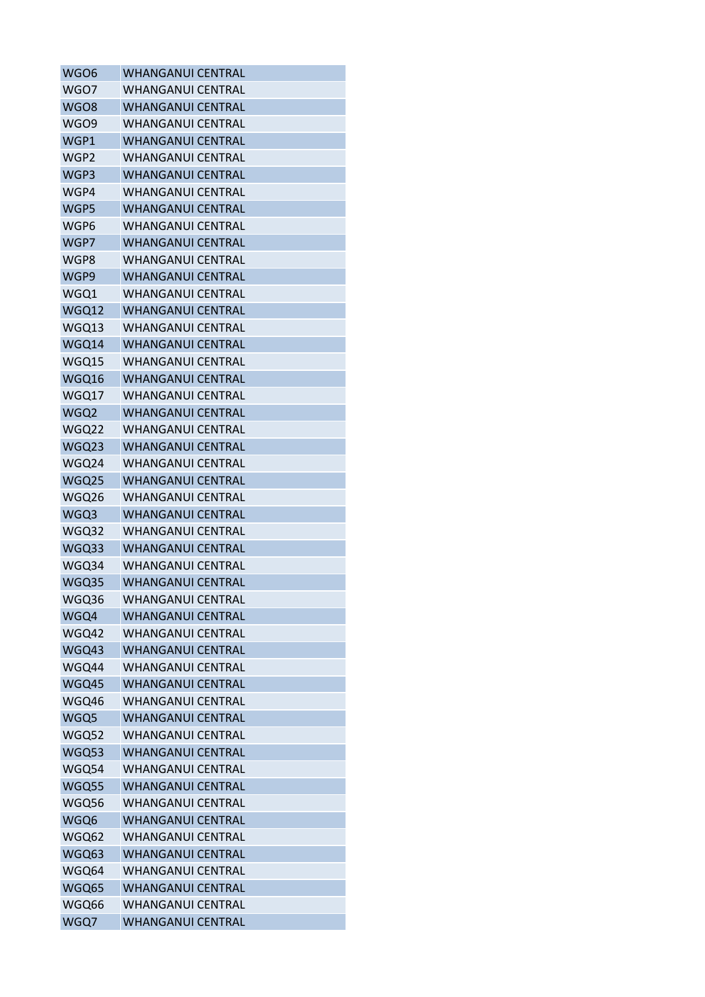| WGO6         | <b>WHANGANUI CENTRAL</b> |
|--------------|--------------------------|
| WGO7         | <b>WHANGANUI CENTRAL</b> |
| WGO8         | <b>WHANGANUI CENTRAL</b> |
| <b>WGO9</b>  | <b>WHANGANUI CENTRAL</b> |
| WGP1         | <b>WHANGANUI CENTRAL</b> |
| WGP2         | <b>WHANGANUI CENTRAL</b> |
| WGP3         | <b>WHANGANUI CENTRAL</b> |
| WGP4         | <b>WHANGANUI CENTRAL</b> |
| WGP5         | <b>WHANGANUI CENTRAL</b> |
| WGP6         | <b>WHANGANUI CENTRAL</b> |
| WGP7         | <b>WHANGANUI CENTRAL</b> |
| WGP8         | <b>WHANGANUI CENTRAL</b> |
| WGP9         | <b>WHANGANUI CENTRAL</b> |
| WGQ1         | <b>WHANGANUI CENTRAL</b> |
| WGQ12        | <b>WHANGANUI CENTRAL</b> |
| WGQ13        | <b>WHANGANUI CENTRAL</b> |
| WGQ14        | <b>WHANGANUI CENTRAL</b> |
| WGQ15        | <b>WHANGANUI CENTRAL</b> |
| WGQ16        | <b>WHANGANUI CENTRAL</b> |
| WGQ17        | <b>WHANGANUI CENTRAL</b> |
| WGQ2         | <b>WHANGANUI CENTRAL</b> |
| WGQ22        | <b>WHANGANUI CENTRAL</b> |
| WGQ23        | <b>WHANGANUI CENTRAL</b> |
| WGQ24        | <b>WHANGANUI CENTRAL</b> |
| WGQ25        | <b>WHANGANUI CENTRAL</b> |
| WGQ26        | <b>WHANGANUI CENTRAL</b> |
| WGQ3         | <b>WHANGANUI CENTRAL</b> |
| WGQ32        | <b>WHANGANUI CENTRAL</b> |
| WGQ33        | <b>WHANGANUI CENTRAL</b> |
| WGQ34        | <b>WHANGANUI CENTRAL</b> |
| WGQ35        | <b>WHANGANUI CENTRAL</b> |
| WGQ36        | <b>WHANGANUI CENTRAL</b> |
| WGQ4         | <b>WHANGANUI CENTRAL</b> |
| WGQ42        | <b>WHANGANUI CENTRAL</b> |
| WGQ43        | <b>WHANGANUI CENTRAL</b> |
| WGQ44        | <b>WHANGANUI CENTRAL</b> |
| WGQ45        | <b>WHANGANUI CENTRAL</b> |
| WGQ46        | <b>WHANGANUI CENTRAL</b> |
| WGQ5         | <b>WHANGANUI CENTRAL</b> |
| WGQ52        | <b>WHANGANUI CENTRAL</b> |
| <b>WGQ53</b> | <b>WHANGANUI CENTRAL</b> |
| WGQ54        | <b>WHANGANUI CENTRAL</b> |
| WGQ55        | <b>WHANGANUI CENTRAL</b> |
| WGQ56        | <b>WHANGANUI CENTRAL</b> |
| WGQ6         | <b>WHANGANUI CENTRAL</b> |
| WGQ62        | <b>WHANGANUI CENTRAL</b> |
| WGQ63        | <b>WHANGANUI CENTRAL</b> |
| WGQ64        | <b>WHANGANUI CENTRAL</b> |
| WGQ65        | <b>WHANGANUI CENTRAL</b> |
| WGQ66        | <b>WHANGANUI CENTRAL</b> |
| WGQ7         | <b>WHANGANUI CENTRAL</b> |
|              |                          |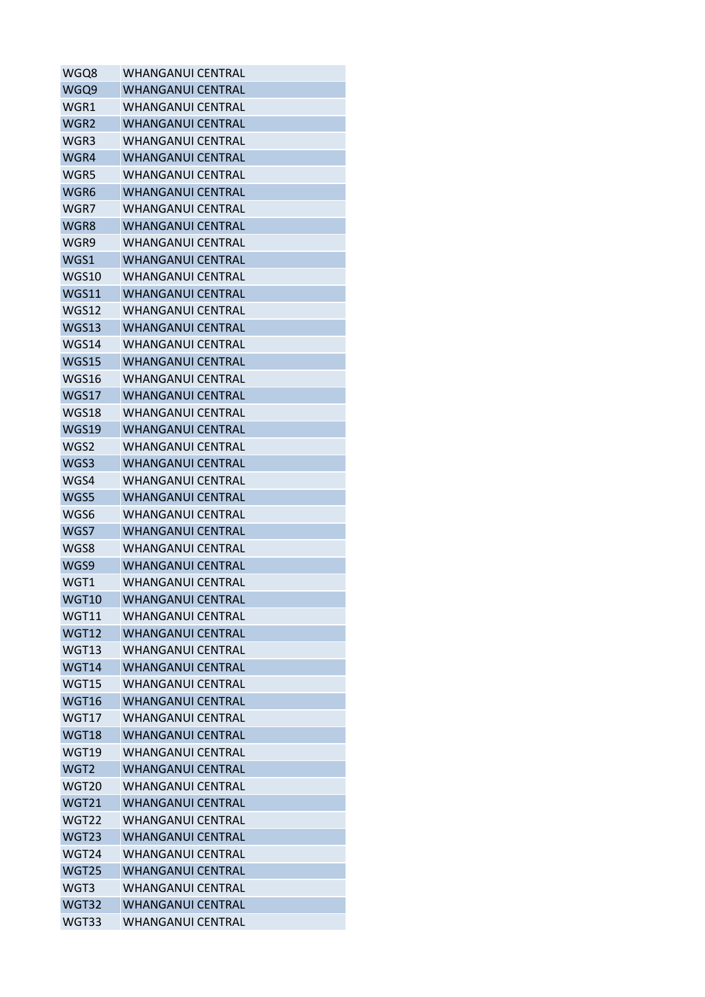| WGQ8             | <b>WHANGANUI CENTRAL</b> |
|------------------|--------------------------|
| WGQ9             | <b>WHANGANUI CENTRAL</b> |
| WGR1             | <b>WHANGANUI CENTRAL</b> |
| WGR <sub>2</sub> | <b>WHANGANUI CENTRAL</b> |
| WGR3             | WHANGANUI CENTRAL        |
| WGR4             | <b>WHANGANUI CENTRAL</b> |
| WGR5             | <b>WHANGANUI CENTRAL</b> |
| WGR6             | <b>WHANGANUI CENTRAL</b> |
| WGR7             | <b>WHANGANUI CENTRAL</b> |
| WGR8             | <b>WHANGANUI CENTRAL</b> |
| WGR9             | <b>WHANGANUI CENTRAL</b> |
| WGS1             | <b>WHANGANUI CENTRAL</b> |
| WGS10            | <b>WHANGANUI CENTRAL</b> |
| WGS11            | <b>WHANGANUI CENTRAL</b> |
| <b>WGS12</b>     | <b>WHANGANUI CENTRAL</b> |
| WGS13            | <b>WHANGANUI CENTRAL</b> |
| WGS14            | <b>WHANGANUI CENTRAL</b> |
| WGS15            | <b>WHANGANUI CENTRAL</b> |
| WGS16            | <b>WHANGANUI CENTRAL</b> |
| WGS17            | <b>WHANGANUI CENTRAL</b> |
| WGS18            | <b>WHANGANUI CENTRAL</b> |
| WGS19            | <b>WHANGANUI CENTRAL</b> |
| WGS2             | <b>WHANGANUI CENTRAL</b> |
| WGS3             | <b>WHANGANUI CENTRAL</b> |
| WGS4             | <b>WHANGANUI CENTRAL</b> |
| WGS5             | <b>WHANGANUI CENTRAL</b> |
| WGS6             | <b>WHANGANUI CENTRAL</b> |
| WGS7             | <b>WHANGANUI CENTRAL</b> |
| WGS8             | <b>WHANGANUI CENTRAL</b> |
| WGS9             | <b>WHANGANUI CENTRAL</b> |
| WGT1             | <b>WHANGANUI CENTRAL</b> |
| <b>WGT10</b>     | <b>WHANGANUI CENTRAL</b> |
| WGT11            | WHANGANUI CFNTRAL        |
| <b>WGT12</b>     | <b>WHANGANUI CENTRAL</b> |
| <b>WGT13</b>     | <b>WHANGANUI CENTRAL</b> |
| WGT14            | <b>WHANGANUI CENTRAL</b> |
| WGT15            | <b>WHANGANUI CENTRAL</b> |
| <b>WGT16</b>     | <b>WHANGANUI CENTRAL</b> |
| WGT17            | <b>WHANGANUI CENTRAL</b> |
| <b>WGT18</b>     | <b>WHANGANUI CENTRAL</b> |
| WGT19            | <b>WHANGANUI CENTRAL</b> |
| WGT <sub>2</sub> | <b>WHANGANUI CENTRAL</b> |
| <b>WGT20</b>     | <b>WHANGANUI CENTRAL</b> |
| <b>WGT21</b>     | <b>WHANGANUI CENTRAL</b> |
| WGT22            | <b>WHANGANUI CENTRAL</b> |
| WGT23            | <b>WHANGANUI CENTRAL</b> |
| WGT24            | <b>WHANGANUI CENTRAL</b> |
| <b>WGT25</b>     | <b>WHANGANUI CENTRAL</b> |
| WGT3             | <b>WHANGANUI CENTRAL</b> |
| WGT32            | <b>WHANGANUI CENTRAL</b> |
| WGT33            | <b>WHANGANUI CENTRAL</b> |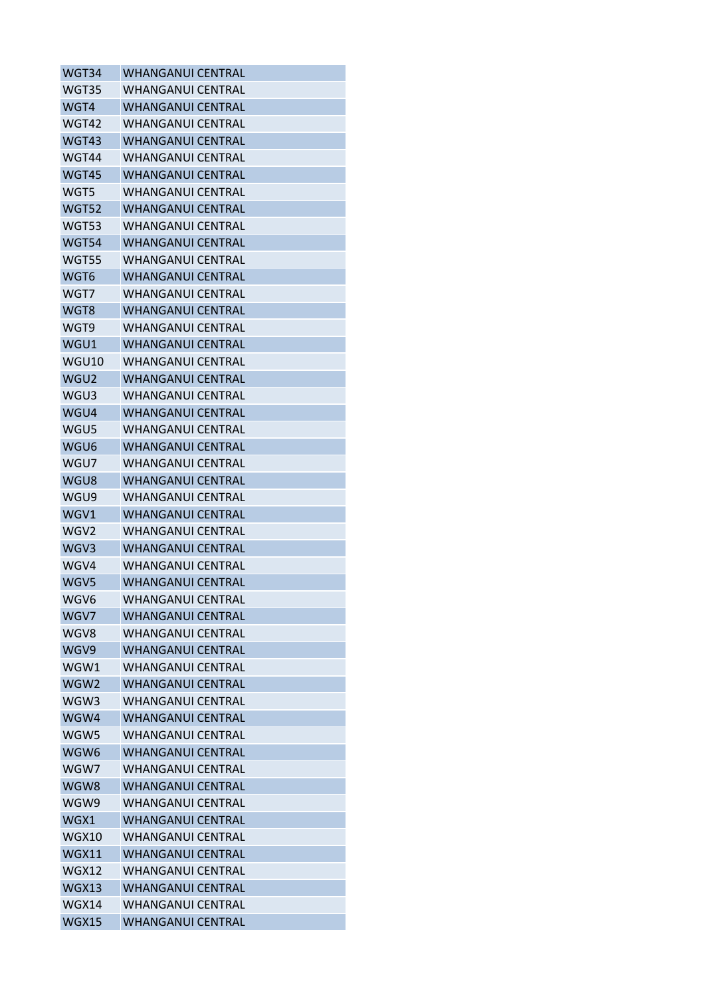| WGT34            | <b>WHANGANUI CENTRAL</b> |
|------------------|--------------------------|
| <b>WGT35</b>     | <b>WHANGANUI CENTRAL</b> |
| WGT4             | <b>WHANGANUI CENTRAL</b> |
| WGT42            | <b>WHANGANUI CENTRAL</b> |
| WGT43            | <b>WHANGANUI CENTRAL</b> |
| WGT44            | <b>WHANGANUI CENTRAL</b> |
| WGT45            | <b>WHANGANUI CENTRAL</b> |
| WGT5             | <b>WHANGANUI CENTRAL</b> |
| <b>WGT52</b>     | <b>WHANGANUI CENTRAL</b> |
| WGT53            | <b>WHANGANUI CENTRAL</b> |
| WGT54            | <b>WHANGANUI CENTRAL</b> |
| WGT55            | WHANGANUI CENTRAL        |
| WGT6             | <b>WHANGANUI CENTRAL</b> |
| WGT7             | <b>WHANGANUI CENTRAL</b> |
| WGT8             | <b>WHANGANUI CENTRAL</b> |
| WGT9             | WHANGANUI CFNTRAL        |
| WGU1             | <b>WHANGANUI CENTRAL</b> |
| WGU10            | <b>WHANGANUI CENTRAL</b> |
| WGU <sub>2</sub> | <b>WHANGANUI CENTRAL</b> |
| WGU3             | <b>WHANGANUI CENTRAL</b> |
| WGU4             | <b>WHANGANUI CENTRAL</b> |
| WGU5             | <b>WHANGANUI CENTRAL</b> |
| WGU6             | <b>WHANGANUI CENTRAL</b> |
| WGU7             | <b>WHANGANUI CENTRAL</b> |
| WGU8             | <b>WHANGANUI CENTRAL</b> |
| WGU9             | <b>WHANGANUI CENTRAL</b> |
| WGV1             | <b>WHANGANUI CENTRAL</b> |
| WGV2             | <b>WHANGANUI CENTRAL</b> |
| WGV3             | <b>WHANGANUI CENTRAL</b> |
| WGV4             | <b>WHANGANUI CENTRAL</b> |
| WGV5             | <b>WHANGANUI CENTRAL</b> |
| WGV6             | <b>WHANGANUI CENTRAL</b> |
| WGV7             | <b>WHANGANUI CENTRAL</b> |
| WGV8             | <b>WHANGANUI CENTRAL</b> |
| WGV9             | <b>WHANGANUI CENTRAL</b> |
| WGW1             | <b>WHANGANUI CENTRAL</b> |
| WGW <sub>2</sub> | <b>WHANGANUI CENTRAL</b> |
| WGW3             | <b>WHANGANUI CENTRAL</b> |
| WGW4             | <b>WHANGANUI CENTRAL</b> |
| WGW5             | <b>WHANGANUI CENTRAL</b> |
| WGW6             | <b>WHANGANUI CENTRAL</b> |
| WGW7             | <b>WHANGANUI CENTRAL</b> |
| WGW8             | <b>WHANGANUI CENTRAL</b> |
| WGW9             | <b>WHANGANUI CENTRAL</b> |
| WGX1             | <b>WHANGANUI CENTRAL</b> |
| WGX10            | <b>WHANGANUI CENTRAL</b> |
| <b>WGX11</b>     | <b>WHANGANUI CENTRAL</b> |
| <b>WGX12</b>     | <b>WHANGANUI CENTRAL</b> |
| WGX13            | <b>WHANGANUI CENTRAL</b> |
| WGX14            | <b>WHANGANUI CENTRAL</b> |
| WGX15            | <b>WHANGANUI CENTRAL</b> |
|                  |                          |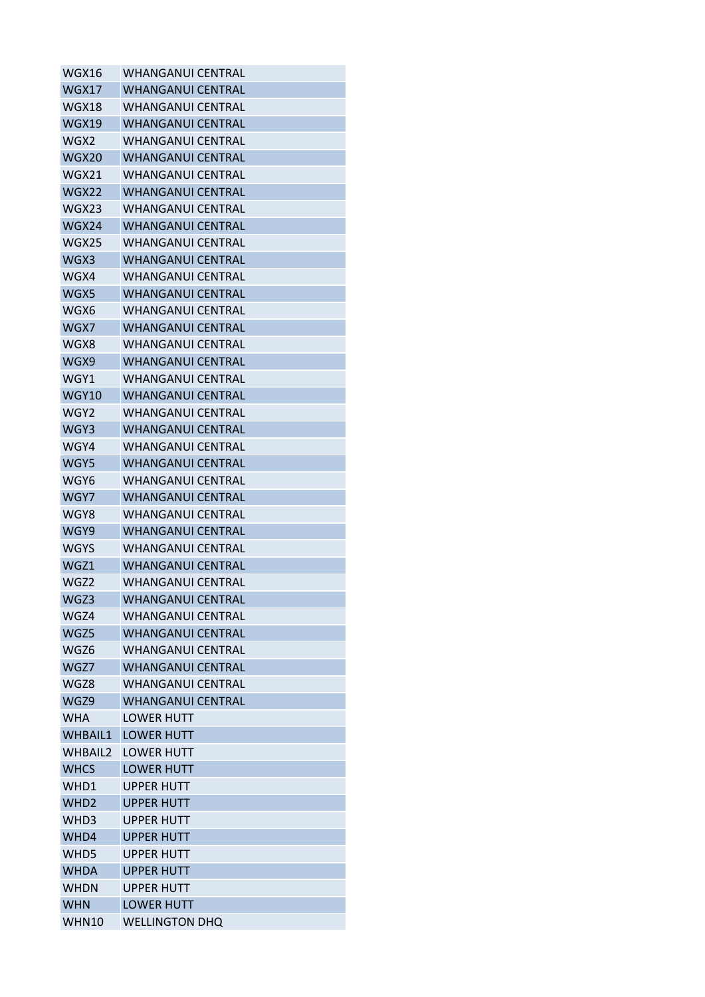| WGX16            | WHANGANUI CENTRAL        |
|------------------|--------------------------|
| WGX17            | WHANGANUI CENTRAL        |
| WGX18            | WHANGANUI CENTRAL        |
| <b>WGX19</b>     | <b>WHANGANUI CENTRAL</b> |
| WGX2             | WHANGANUI CENTRAL        |
| WGX20            | WHANGANUI CENTRAL        |
| WGX21            | <b>WHANGANUI CENTRAL</b> |
| WGX22            | <b>WHANGANUI CENTRAL</b> |
| WGX23            | <b>WHANGANUI CENTRAL</b> |
| WGX24            | <b>WHANGANUI CENTRAL</b> |
| WGX25            | WHANGANUI CENTRAL        |
| WGX3             | WHANGANUI CENTRAL        |
| WGX4             | WHANGANUI CENTRAL        |
| WGX5             | <b>WHANGANUI CENTRAL</b> |
| WGX6             | WHANGANUI CENTRAL        |
| WGX7             | <b>WHANGANUI CENTRAL</b> |
| WGX8             | <b>WHANGANUI CENTRAL</b> |
| WGX9             | WHANGANUI CENTRAL        |
| WGY1             | <b>WHANGANUI CENTRAL</b> |
| <b>WGY10</b>     | <b>WHANGANUI CENTRAL</b> |
| WGY2             | <b>WHANGANUI CENTRAL</b> |
| WGY3             | WHANGANUI CENTRAL        |
| WGY4             | WHANGANUI CENTRAL        |
| WGY5             | <b>WHANGANUI CENTRAL</b> |
| WGY6             | <b>WHANGANUI CENTRAL</b> |
| WGY7             | WHANGANUI CENTRAL        |
| WGY8             | <b>WHANGANUI CENTRAL</b> |
| WGY9             | <b>WHANGANUI CENTRAL</b> |
| <b>WGYS</b>      | <b>WHANGANUI CENTRAL</b> |
| WGZ1             | <b>WHANGANUI CENTRAL</b> |
| WGZ2             | <b>WHANGANUI CENTRAL</b> |
| WGZ3             | <b>WHANGANUI CENTRAL</b> |
| WGZ4             | WHANGANUI CENTRAL        |
| WGZ5             | <b>WHANGANUI CENTRAL</b> |
| WGZ6             | <b>WHANGANUL CENTRAL</b> |
| WGZ7             | <b>WHANGANUI CENTRAL</b> |
| WGZ8             | <b>WHANGANUI CENTRAL</b> |
| WGZ9             | <b>WHANGANUI CENTRAL</b> |
| <b>WHA</b>       | <b>LOWER HUTT</b>        |
| <b>WHBAIL1</b>   | <b>LOWER HUTT</b>        |
| WHBAIL2          | <b>LOWER HUTT</b>        |
| <b>WHCS</b>      | <b>LOWER HUTT</b>        |
| WHD1             | <b>UPPER HUTT</b>        |
| WHD <sub>2</sub> | <b>UPPER HUTT</b>        |
| WHD3             | <b>UPPER HUTT</b>        |
| WHD4             | <b>UPPER HUTT</b>        |
| WHD5             | <b>UPPER HUTT</b>        |
| <b>WHDA</b>      | <b>UPPER HUTT</b>        |
| <b>WHDN</b>      | <b>UPPER HUTT</b>        |
| <b>WHN</b>       | <b>LOWER HUTT</b>        |
| <b>WHN10</b>     | <b>WELLINGTON DHQ</b>    |
|                  |                          |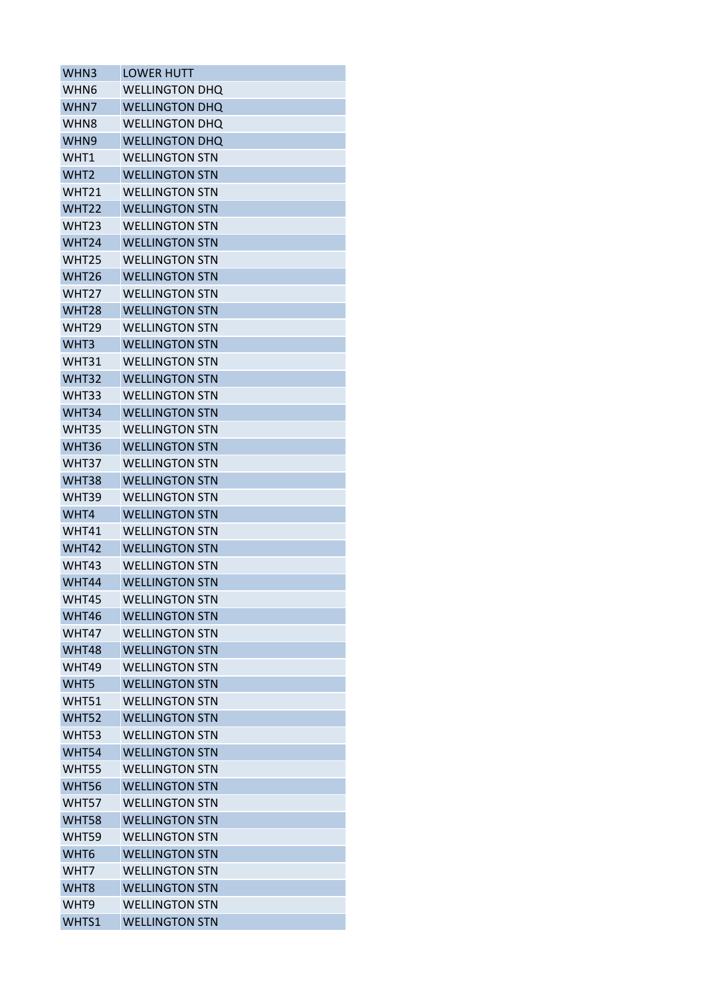| WHN3              | <b>LOWER HUTT</b>     |
|-------------------|-----------------------|
| WHN6              | <b>WELLINGTON DHQ</b> |
| WHN7              | <b>WELLINGTON DHQ</b> |
| WHN <sub>8</sub>  | <b>WELLINGTON DHQ</b> |
| WHN9              | <b>WELLINGTON DHQ</b> |
| WHT1              | <b>WELLINGTON STN</b> |
| WHT <sub>2</sub>  | <b>WELLINGTON STN</b> |
| WHT21             | <b>WELLINGTON STN</b> |
| <b>WHT22</b>      | <b>WELLINGTON STN</b> |
| <b>WHT23</b>      | <b>WELLINGTON STN</b> |
| WHT <sub>24</sub> | <b>WELLINGTON STN</b> |
| WHT <sub>25</sub> | <b>WELLINGTON STN</b> |
| WHT <sub>26</sub> | <b>WELLINGTON STN</b> |
| WHT <sub>27</sub> | <b>WELLINGTON STN</b> |
| WHT28             | <b>WELLINGTON STN</b> |
| WHT <sub>29</sub> | <b>WELLINGTON STN</b> |
| WHT3              | <b>WELLINGTON STN</b> |
| WHT31             | <b>WELLINGTON STN</b> |
| WHT32             | <b>WELLINGTON STN</b> |
| WHT33             | <b>WELLINGTON STN</b> |
| WHT34             | <b>WELLINGTON STN</b> |
| WHT35             | <b>WELLINGTON STN</b> |
| WHT36             | <b>WELLINGTON STN</b> |
| WHT37             | <b>WELLINGTON STN</b> |
| WHT38             | <b>WELLINGTON STN</b> |
| WHT39             | <b>WELLINGTON STN</b> |
| WHT4              | <b>WELLINGTON STN</b> |
| WHT41             | <b>WFLLINGTON STN</b> |
| WHT42             | <b>WELLINGTON STN</b> |
| WHT43             | <b>WELLINGTON STN</b> |
| WHT44             | <b>WELLINGTON STN</b> |
| WHT45             | <b>WELLINGTON STN</b> |
| WHT46             | <b>WELLINGTON STN</b> |
| WHT47             | <b>WELLINGTON STN</b> |
| WHT48             | <b>WELLINGTON STN</b> |
| WHT49             | <b>WELLINGTON STN</b> |
| WHT5              | <b>WELLINGTON STN</b> |
| WHT51             | <b>WELLINGTON STN</b> |
| WHT52             | <b>WELLINGTON STN</b> |
| WHT53             | <b>WELLINGTON STN</b> |
| WHT54             | <b>WELLINGTON STN</b> |
| WHT55             | <b>WELLINGTON STN</b> |
| <b>WHT56</b>      | <b>WELLINGTON STN</b> |
| WHT57             | <b>WELLINGTON STN</b> |
| WHT58             | <b>WELLINGTON STN</b> |
| WHT59             | <b>WELLINGTON STN</b> |
| WHT6              | <b>WELLINGTON STN</b> |
| WHT7              | <b>WELLINGTON STN</b> |
| WHT8              | <b>WELLINGTON STN</b> |
| WHT9              | <b>WELLINGTON STN</b> |
| WHTS1             | <b>WELLINGTON STN</b> |
|                   |                       |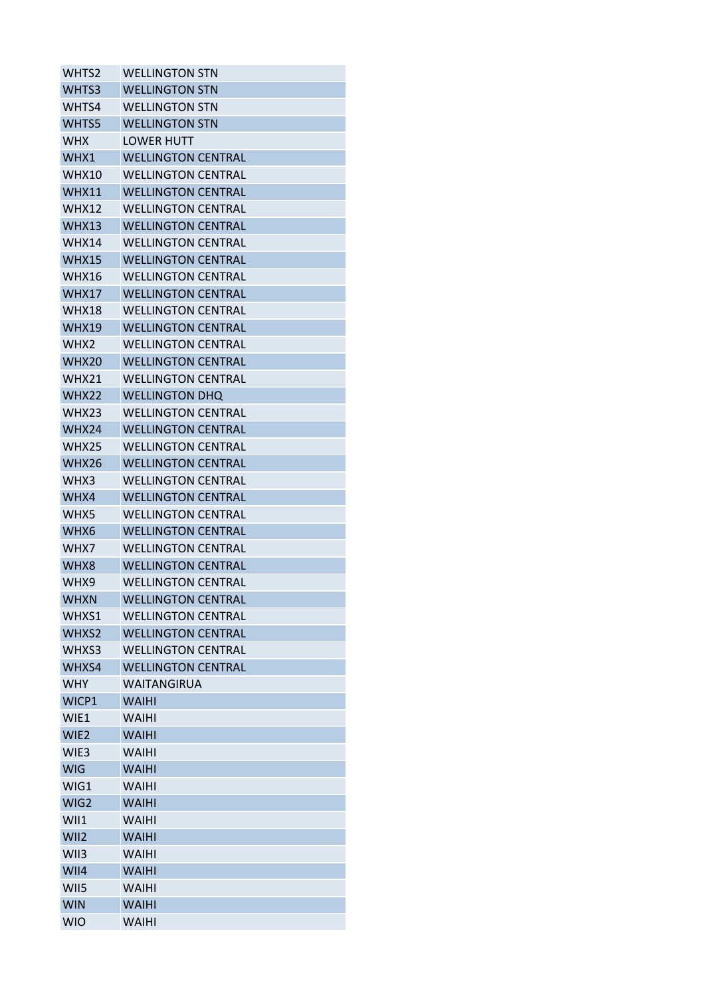| WHTS2            | <b>WELLINGTON STN</b>     |
|------------------|---------------------------|
| WHTS3            | <b>WELLINGTON STN</b>     |
| WHTS4            | <b>WELLINGTON STN</b>     |
| WHTS5            | <b>WELLINGTON STN</b>     |
| <b>WHX</b>       | <b>LOWER HUTT</b>         |
| WHX1             | <b>WELLINGTON CENTRAL</b> |
| WHX10            | <b>WELLINGTON CENTRAL</b> |
| <b>WHX11</b>     | <b>WELLINGTON CENTRAL</b> |
| WHX12            | <b>WELLINGTON CENTRAL</b> |
| WHX13            | <b>WELLINGTON CENTRAL</b> |
| WHX14            | <b>WELLINGTON CENTRAL</b> |
| <b>WHX15</b>     | <b>WELLINGTON CENTRAL</b> |
| WHX16            | <b>WELLINGTON CENTRAL</b> |
| WHX17            | <b>WELLINGTON CENTRAL</b> |
| WHX18            | <b>WELLINGTON CENTRAL</b> |
| <b>WHX19</b>     | <b>WELLINGTON CENTRAL</b> |
| WHX <sub>2</sub> | <b>WELLINGTON CENTRAL</b> |
| WHX20            | <b>WELLINGTON CENTRAL</b> |
| WHX21            | <b>WELLINGTON CENTRAL</b> |
| <b>WHX22</b>     | <b>WELLINGTON DHQ</b>     |
| WHX23            | <b>WELLINGTON CENTRAL</b> |
| WHX24            | <b>WELLINGTON CENTRAL</b> |
| <b>WHX25</b>     | <b>WELLINGTON CENTRAL</b> |
| WHX26            | <b>WELLINGTON CENTRAL</b> |
| WHX3             | <b>WELLINGTON CENTRAL</b> |
| WHX4             | <b>WELLINGTON CENTRAL</b> |
| WHX5             | <b>WELLINGTON CENTRAL</b> |
| WHX6             | <b>WELLINGTON CENTRAL</b> |
| WHX7             | <b>WELLINGTON CENTRAL</b> |
| WHX8             | <b>WELLINGTON CENTRAL</b> |
| WHX9             | <b>WELLINGTON CENTRAL</b> |
| <b>WHXN</b>      | <b>WELLINGTON CENTRAL</b> |
| WHXS1            | <b>WELLINGTON CENTRAL</b> |
| WHXS2            | <b>WELLINGTON CENTRAL</b> |
| WHXS3            | <b>WELLINGTON CENTRAL</b> |
| WHXS4            | <b>WELLINGTON CENTRAL</b> |
| <b>WHY</b>       | WAITANGIRUA               |
| WICP1            | <b>WAIHI</b>              |
| WIE1             | <b>WAIHI</b>              |
| WIE2             | <b>WAIHI</b>              |
| WIE3             | <b>WAIHI</b>              |
| <b>WIG</b>       | <b>WAIHI</b>              |
| WIG1             | <b>WAIHI</b>              |
| WIG2             | <b>WAIHI</b>              |
| WII1             | <b>WAIHI</b>              |
| WII2             | <b>WAIHI</b>              |
| WII3             | <b>WAIHI</b>              |
| WII4             | <b>WAIHI</b>              |
| WII5             | <b>WAIHI</b>              |
| <b>WIN</b>       | <b>WAIHI</b>              |
| <b>WIO</b>       | <b>WAIHI</b>              |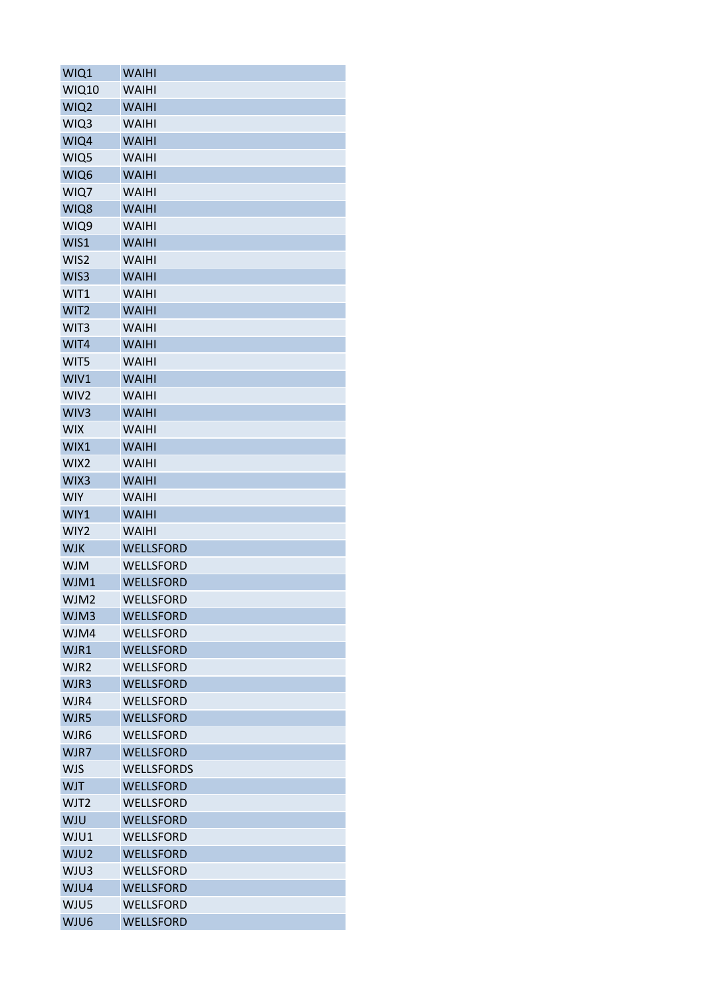| WIQ1             | <b>WAIHI</b>      |
|------------------|-------------------|
| <b>WIQ10</b>     | <b>WAIHI</b>      |
| WIQ <sub>2</sub> | <b>WAIHI</b>      |
| WIQ3             | <b>WAIHI</b>      |
| WIQ4             | <b>WAIHI</b>      |
| WIQ5             | <b>WAIHI</b>      |
| WIQ6             | <b>WAIHI</b>      |
| WIQ7             | <b>WAIHI</b>      |
| WIQ8             | <b>WAIHI</b>      |
| WIQ9             | <b>WAIHI</b>      |
| WIS1             | <b>WAIHI</b>      |
| WIS2             | <b>WAIHI</b>      |
| WIS3             | <b>WAIHI</b>      |
| WIT1             | <b>WAIHI</b>      |
| WIT2             | <b>WAIHI</b>      |
| WIT3             | <b>WAIHI</b>      |
| WIT4             | <b>WAIHI</b>      |
| WIT5             | <b>WAIHI</b>      |
| WIV1             | <b>WAIHI</b>      |
| WIV <sub>2</sub> | <b>WAIHI</b>      |
| WIV3             | <b>WAIHI</b>      |
| <b>WIX</b>       | <b>WAIHI</b>      |
| WIX1             | <b>WAIHI</b>      |
| WIX2             | <b>WAIHI</b>      |
| WIX3             | <b>WAIHI</b>      |
| <b>WIY</b>       | <b>WAIHI</b>      |
| WIY1             | <b>WAIHI</b>      |
| WIY2             | <b>WAIHI</b>      |
| <b>WJK</b>       | <b>WELLSFORD</b>  |
| <b>WJM</b>       | WELLSFORD         |
| WJM1             | WELLSFORD         |
| WJM2             | WELLSFORD         |
| WJM3             | <b>WELLSFORD</b>  |
| WJM4             | WELLSFORD         |
| WJR1             | <b>WELLSFORD</b>  |
| WJR2             | <b>WELLSFORD</b>  |
| WJR3             | <b>WELLSFORD</b>  |
| WJR4             | WELLSFORD         |
| WJR5             | <b>WELLSFORD</b>  |
| WJR6             | WELLSFORD         |
| WJR7             | <b>WELLSFORD</b>  |
| <b>WJS</b>       | <b>WELLSFORDS</b> |
| <b>WJT</b>       | <b>WELLSFORD</b>  |
| WJT2             | WELLSFORD         |
| <b>WJU</b>       | <b>WELLSFORD</b>  |
| WJU1             | WELLSFORD         |
| WJU2             | <b>WELLSFORD</b>  |
| WJU3             | WELLSFORD         |
| WJU4             | <b>WELLSFORD</b>  |
| WJU5             |                   |
|                  | WELLSFORD         |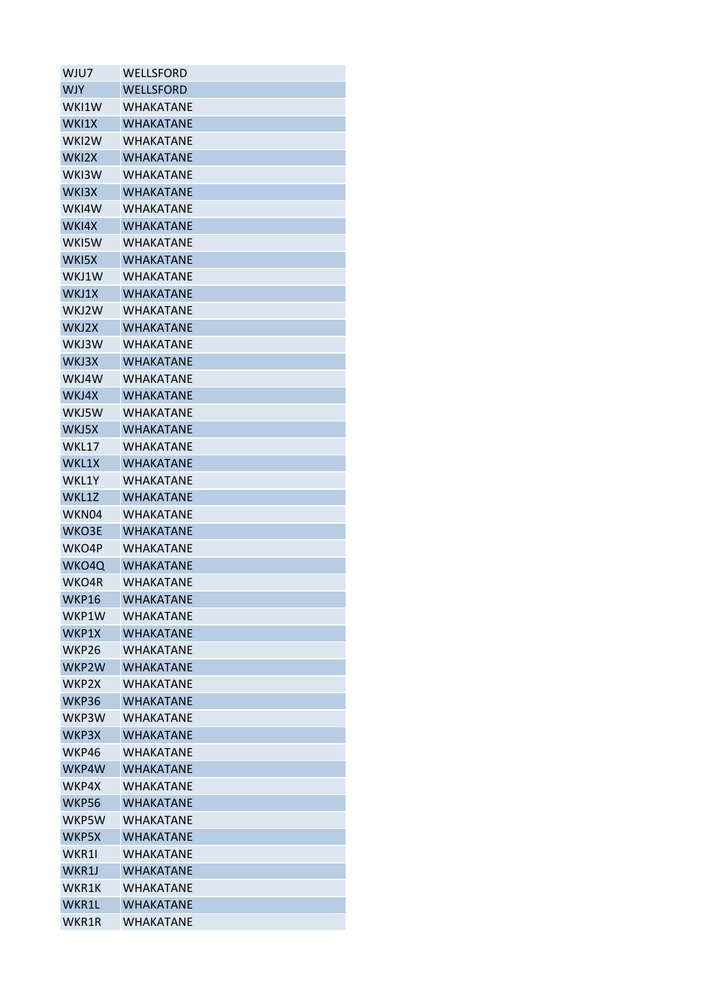| WJU7         | WELLSFORD        |
|--------------|------------------|
| <b>WJY</b>   | WELLSFORD        |
| WKI1W        | <b>WHAKATANF</b> |
| WKI1X        | <b>WHAKATANE</b> |
| WKI2W        | WHAKATANE        |
| WKI2X        | <b>WHAKATANE</b> |
| WKI3W        | WHAKATANE        |
| WKI3X        | WHAKATANE        |
| WKI4W        | <b>WHAKATANF</b> |
| WKI4X        | <b>WHAKATANE</b> |
| WKI5W        | WHAKATANE        |
| WKI5X        | WHAKATANE        |
| WKJ1W        | WHAKATANE        |
| WKJ1X        | <b>WHAKATANE</b> |
| WKJ2W        | WHAKATANF        |
| WKJ2X        | <b>WHAKATANE</b> |
| WKJ3W        | WHAKATANE        |
| WKJ3X        | <b>WHAKATANE</b> |
| WKJ4W        | <b>WHAKATANE</b> |
| WKJ4X        | <b>WHAKATANE</b> |
| WKJ5W        | WHAKATANE        |
| WKJ5X        | <b>WHAKATANE</b> |
| WKL17        | WHAKATANE        |
| WKL1X        | <b>WHAKATANE</b> |
| WKL1Y        | WHAKATANE        |
| WKL1Z        | <b>WHAKATANE</b> |
| WKN04        | WHAKATANE        |
| WKO3E        | <b>WHAKATANE</b> |
| WKO4P        | <b>WHAKATANE</b> |
| WKO4Q        | <b>WHAKATANE</b> |
| WKO4R        | WHAKATANE        |
| <b>WKP16</b> | <b>WHAKATANE</b> |
| WKP1W        | WHAKATANE        |
| WKP1X        | <b>WHAKATANE</b> |
| WKP26        | WHAKATANE        |
| WKP2W        | WHAKATANE        |
| WKP2X        | <b>WHAKATANF</b> |
| WKP36        | <b>WHAKATANE</b> |
| WKP3W        | <b>WHAKATANF</b> |
| WKP3X        | WHAKATANE        |
| WKP46        | WHAKATANE        |
| WKP4W        | <b>WHAKATANE</b> |
| WKP4X        | WHAKATANE        |
| <b>WKP56</b> | <b>WHAKATANE</b> |
| WKP5W        | WHAKATANE        |
| WKP5X        | <b>WHAKATANE</b> |
| WKR1I        | WHAKATANE        |
| WKR1J        | WHAKATANE        |
| WKR1K        | WHAKATANE        |
| WKR1L        | <b>WHAKATANE</b> |
| WKR1R        | <b>WHAKATANE</b> |
|              |                  |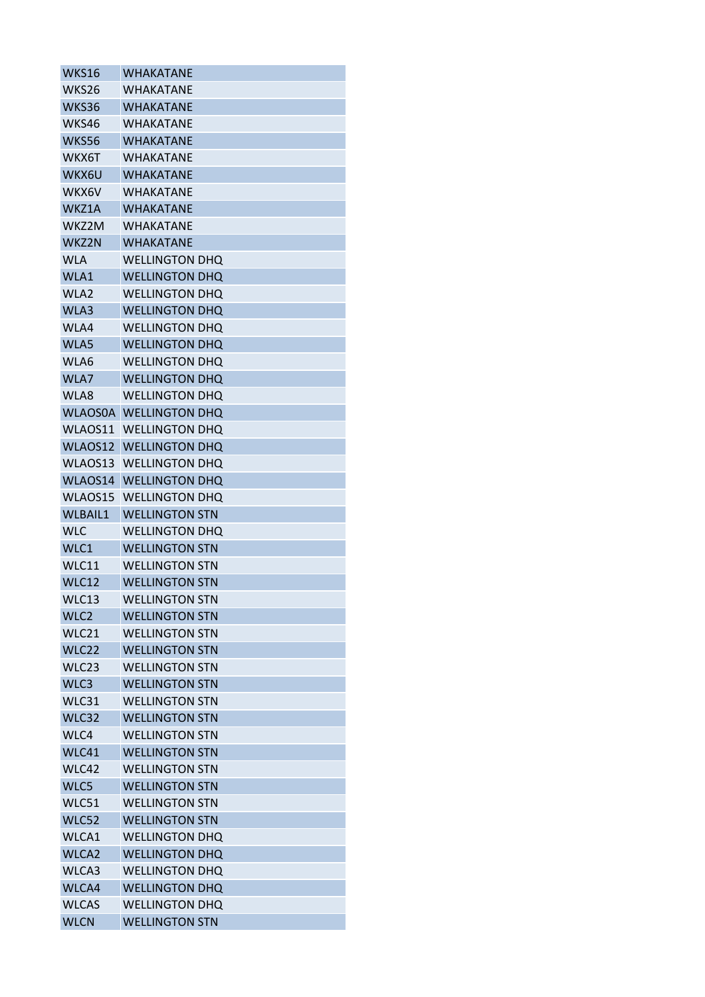| WKS16            | <b>WHAKATANE</b>      |
|------------------|-----------------------|
| WKS26            | WHAKATANE             |
| WKS36            | WHAKATANF             |
| WKS46            | <b>WHAKATANE</b>      |
| WKS56            | <b>WHAKATANE</b>      |
| WKX6T            | WHAKATANE             |
| WKX6U            | WHAKATANE             |
| WKX6V            | WHAKATANE             |
| WKZ1A            | <b>WHAKATANE</b>      |
| WKZ2M            | WHAKATANF             |
| WKZ2N            | WHAKATANE             |
| <b>WLA</b>       | <b>WELLINGTON DHQ</b> |
| WLA1             | <b>WELLINGTON DHQ</b> |
| WLA2             | <b>WELLINGTON DHO</b> |
| WLA3             | <b>WELLINGTON DHQ</b> |
| WLA4             | <b>WELLINGTON DHQ</b> |
| WLA5             | <b>WELLINGTON DHO</b> |
| WLA6             | <b>WELLINGTON DHO</b> |
| WLA7             | <b>WELLINGTON DHQ</b> |
| WLA8             | <b>WELLINGTON DHQ</b> |
| <b>WLAOS0A</b>   | <b>WELLINGTON DHQ</b> |
| WLAOS11          | <b>WELLINGTON DHO</b> |
| WLAOS12          | <b>WELLINGTON DHQ</b> |
| WLAOS13          | <b>WELLINGTON DHO</b> |
| WLAOS14          | <b>WELLINGTON DHQ</b> |
| WLAOS15          | <b>WELLINGTON DHO</b> |
| <b>WLBAIL1</b>   | <b>WELLINGTON STN</b> |
| <b>WLC</b>       | <b>WELLINGTON DHQ</b> |
| WLC1             | <b>WELLINGTON STN</b> |
| WLC11            | <b>WELLINGTON STN</b> |
| <b>WLC12</b>     | <b>WELLINGTON STN</b> |
| WLC13            | <b>WELLINGTON STN</b> |
| WLC <sub>2</sub> | <b>WELLINGTON STN</b> |
| WLC21            | <b>WELLINGTON STN</b> |
| WLC22            | <b>WELLINGTON STN</b> |
| WLC23            | <b>WELLINGTON STN</b> |
| WLC3             | <b>WELLINGTON STN</b> |
| WLC31            | <b>WELLINGTON STN</b> |
| WLC32            | <b>WELLINGTON STN</b> |
| WLC4             | <b>WELLINGTON STN</b> |
| WLC41            | <b>WELLINGTON STN</b> |
| WLC42            | <b>WELLINGTON STN</b> |
| WLC5             | <b>WELLINGTON STN</b> |
| WLC51            | <b>WELLINGTON STN</b> |
| WLC52            | <b>WELLINGTON STN</b> |
| WLCA1            | <b>WELLINGTON DHQ</b> |
| WLCA2            | <b>WELLINGTON DHQ</b> |
| WLCA3            | <b>WELLINGTON DHQ</b> |
| WLCA4            | <b>WELLINGTON DHQ</b> |
| <b>WLCAS</b>     | <b>WELLINGTON DHQ</b> |
| <b>WLCN</b>      | <b>WELLINGTON STN</b> |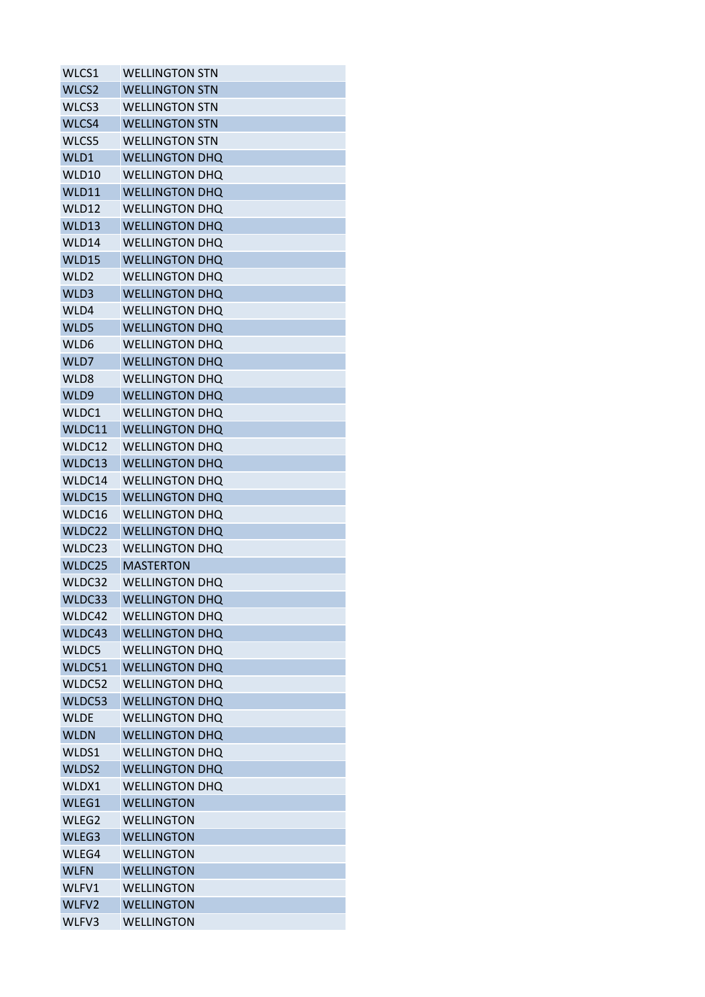| WLCS1            | <b>WELLINGTON STN</b> |
|------------------|-----------------------|
| WLCS2            | <b>WELLINGTON STN</b> |
| WLCS3            | <b>WELLINGTON STN</b> |
| WLCS4            | <b>WELLINGTON STN</b> |
| WLCS5            | WELLINGTON STN        |
| WLD1             | <b>WELLINGTON DHQ</b> |
| WLD10            | <b>WELLINGTON DHO</b> |
| WLD11            | <b>WELLINGTON DHQ</b> |
| WLD12            | <b>WELLINGTON DHQ</b> |
| WLD13            | <b>WELLINGTON DHQ</b> |
| WLD14            | <b>WELLINGTON DHQ</b> |
| WLD15            | <b>WELLINGTON DHQ</b> |
| WLD <sub>2</sub> | <b>WELLINGTON DHQ</b> |
| WLD3             | <b>WELLINGTON DHQ</b> |
| WLD4             | <b>WELLINGTON DHQ</b> |
| WLD5             | <b>WELLINGTON DHQ</b> |
| WLD6             | <b>WELLINGTON DHQ</b> |
| WLD7             | <b>WELLINGTON DHQ</b> |
| WLD8             | <b>WELLINGTON DHQ</b> |
| WLD9             | <b>WELLINGTON DHQ</b> |
| WLDC1            | <b>WELLINGTON DHQ</b> |
| WLDC11           | <b>WELLINGTON DHQ</b> |
| WLDC12           | <b>WELLINGTON DHQ</b> |
| WLDC13           | <b>WELLINGTON DHQ</b> |
| WLDC14           | <b>WELLINGTON DHQ</b> |
| WLDC15           | <b>WELLINGTON DHQ</b> |
| WLDC16           | <b>WELLINGTON DHQ</b> |
| WLDC22           | <b>WELLINGTON DHQ</b> |
| WLDC23           | <b>WELLINGTON DHQ</b> |
| WLDC25           | <b>MASTERTON</b>      |
| WLDC32           | <b>WELLINGTON DHQ</b> |
| WLDC33           | <b>WELLINGTON DHQ</b> |
| WLDC42           | <b>WELLINGTON DHQ</b> |
| WLDC43           | <b>WELLINGTON DHQ</b> |
| WLDC5            | <b>WELLINGTON DHQ</b> |
| WLDC51           | <b>WELLINGTON DHQ</b> |
| WLDC52           | <b>WELLINGTON DHQ</b> |
| WLDC53           | <b>WELLINGTON DHQ</b> |
| <b>WLDE</b>      | <b>WELLINGTON DHQ</b> |
| <b>WLDN</b>      | <b>WELLINGTON DHQ</b> |
| WLDS1            | <b>WELLINGTON DHQ</b> |
| WLDS2            | <b>WELLINGTON DHQ</b> |
| WLDX1            | <b>WELLINGTON DHQ</b> |
| WLEG1            | <b>WELLINGTON</b>     |
| WLEG2            | <b>WELLINGTON</b>     |
| WLEG3            | <b>WELLINGTON</b>     |
| WLEG4            | <b>WELLINGTON</b>     |
| <b>WLFN</b>      | <b>WELLINGTON</b>     |
| WLFV1            | <b>WELLINGTON</b>     |
| WLFV2            | <b>WELLINGTON</b>     |
| WLFV3            | <b>WELLINGTON</b>     |
|                  |                       |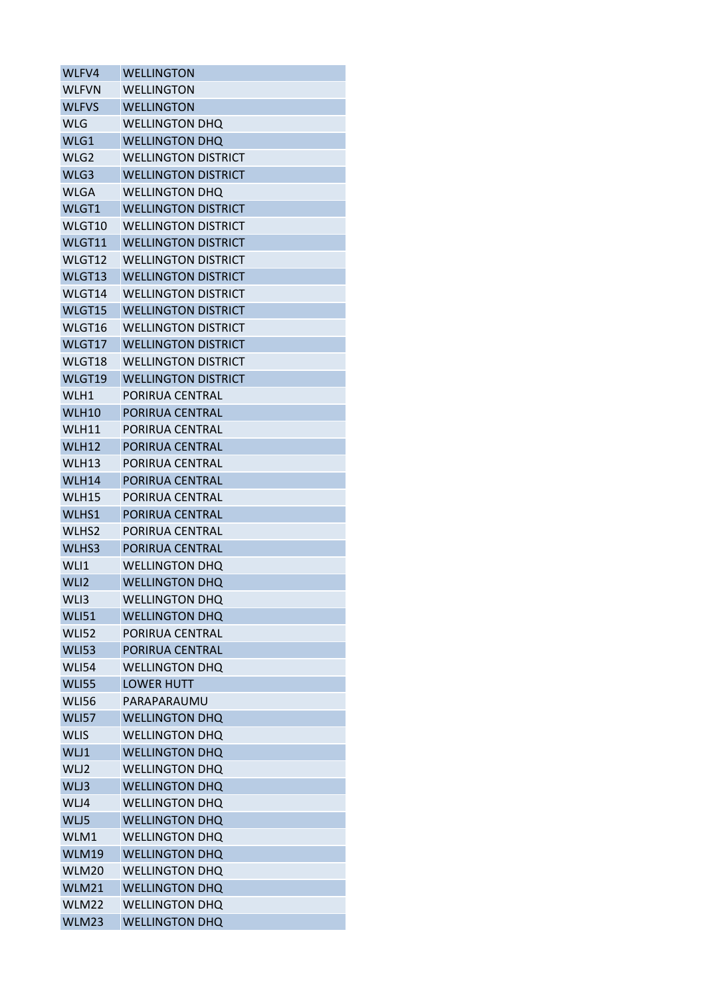| WLFV4             | <b>WELLINGTON</b>          |
|-------------------|----------------------------|
| <b>WLFVN</b>      | <b>WELLINGTON</b>          |
| <b>WLFVS</b>      | <b>WELLINGTON</b>          |
| <b>WLG</b>        | <b>WELLINGTON DHQ</b>      |
| WLG1              | <b>WELLINGTON DHQ</b>      |
| WLG2              | <b>WELLINGTON DISTRICT</b> |
| WLG3              | <b>WELLINGTON DISTRICT</b> |
| <b>WLGA</b>       | <b>WELLINGTON DHQ</b>      |
| WLGT1             | <b>WELLINGTON DISTRICT</b> |
| WLGT10            | <b>WELLINGTON DISTRICT</b> |
| WLGT11            | <b>WELLINGTON DISTRICT</b> |
| WLGT12            | <b>WELLINGTON DISTRICT</b> |
| WLGT13            | <b>WELLINGTON DISTRICT</b> |
| WLGT14            | <b>WELLINGTON DISTRICT</b> |
| WLGT15            | <b>WELLINGTON DISTRICT</b> |
| WLGT16            | <b>WELLINGTON DISTRICT</b> |
| WLGT17            | <b>WELLINGTON DISTRICT</b> |
| WLGT18            | <b>WELLINGTON DISTRICT</b> |
| WLGT19            | <b>WELLINGTON DISTRICT</b> |
| WLH1              | PORIRUA CENTRAL            |
| WLH10             | PORIRUA CENTRAL            |
| WLH11             | PORIRUA CENTRAL            |
| WLH12             | PORIRUA CENTRAL            |
| WLH13             | PORIRUA CENTRAL            |
| WLH14             | PORIRUA CENTRAL            |
| WLH15             | PORIRUA CENTRAL            |
| WLHS1             | PORIRUA CENTRAL            |
| WLHS <sub>2</sub> | PORIRUA CENTRAL            |
| WLHS3             | PORIRUA CENTRAL            |
| WLI1              | <b>WELLINGTON DHO</b>      |
| WLI <sub>2</sub>  | <b>WELLINGTON DHQ</b>      |
| WLI3              | <b>WELLINGTON DHQ</b>      |
| <b>WLI51</b>      | <b>WELLINGTON DHQ</b>      |
| <b>WLI52</b>      | PORIRUA CENTRAL            |
| <b>WLI53</b>      | PORIRUA CENTRAL            |
| <b>WLI54</b>      | <b>WELLINGTON DHQ</b>      |
| <b>WLI55</b>      | <b>LOWER HUTT</b>          |
| <b>WLI56</b>      | PARAPARAUMU                |
| <b>WLI57</b>      | <b>WELLINGTON DHQ</b>      |
| <b>WLIS</b>       | <b>WELLINGTON DHQ</b>      |
| WLJ1              | <b>WELLINGTON DHQ</b>      |
| WLJ2              | <b>WELLINGTON DHQ</b>      |
| WLJ3              | <b>WELLINGTON DHQ</b>      |
| WLJ4              | <b>WELLINGTON DHQ</b>      |
| WLJ5              | <b>WELLINGTON DHQ</b>      |
| WLM1              | WELLINGTON DHQ             |
| <b>WLM19</b>      | <b>WELLINGTON DHQ</b>      |
| WLM20             | <b>WELLINGTON DHQ</b>      |
| WLM21             | <b>WELLINGTON DHQ</b>      |
| WLM22             | <b>WELLINGTON DHQ</b>      |
| WLM23             | <b>WELLINGTON DHQ</b>      |
|                   |                            |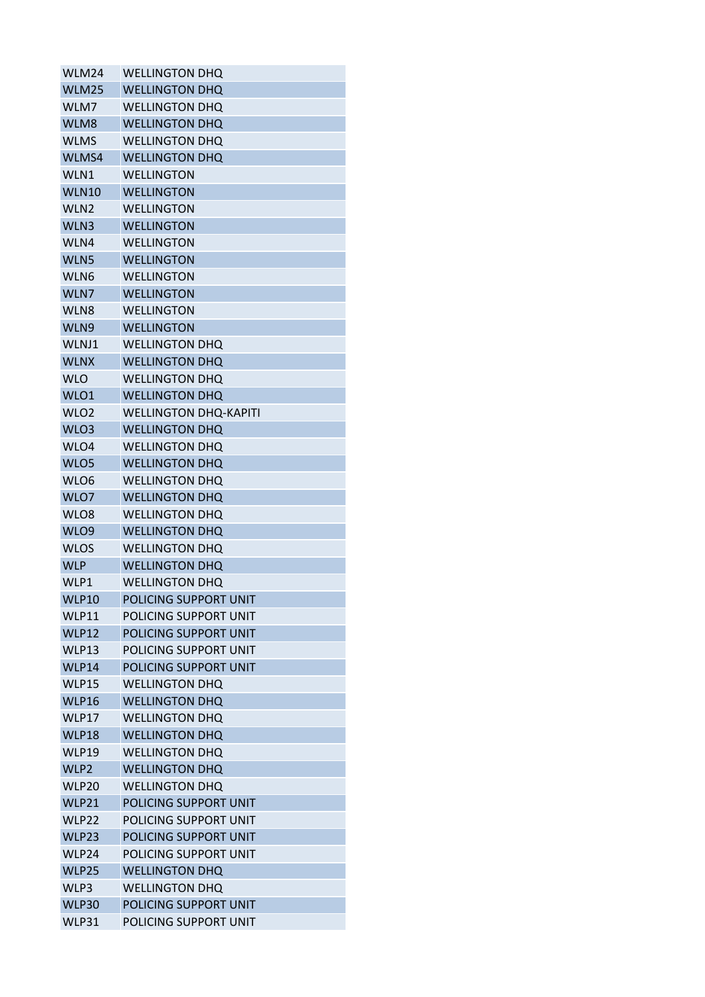| WLM24            | <b>WELLINGTON DHQ</b>        |
|------------------|------------------------------|
| WLM25            | <b>WELLINGTON DHQ</b>        |
| WLM7             | <b>WELLINGTON DHQ</b>        |
| WLM8             | <b>WELLINGTON DHQ</b>        |
| <b>WLMS</b>      | <b>WELLINGTON DHQ</b>        |
| WLMS4            | <b>WELLINGTON DHQ</b>        |
| WLN1             | WELLINGTON                   |
| <b>WLN10</b>     | <b>WELLINGTON</b>            |
| WLN <sub>2</sub> | <b>WELLINGTON</b>            |
| WLN3             | <b>WELLINGTON</b>            |
| WLN4             | <b>WELLINGTON</b>            |
| WLN5             | WELLINGTON                   |
| WLN6             | WELLINGTON                   |
| WLN7             | <b>WELLINGTON</b>            |
| WLN8             | <b>WELLINGTON</b>            |
| WLN9             | <b>WELLINGTON</b>            |
| WLNJ1            | <b>WELLINGTON DHQ</b>        |
| <b>WLNX</b>      | <b>WELLINGTON DHQ</b>        |
| <b>WLO</b>       | <b>WELLINGTON DHQ</b>        |
| WLO1             | <b>WELLINGTON DHQ</b>        |
| WLO <sub>2</sub> | <b>WELLINGTON DHQ-KAPITI</b> |
| WLO3             | <b>WELLINGTON DHQ</b>        |
| WLO4             | <b>WELLINGTON DHQ</b>        |
| WLO5             | <b>WELLINGTON DHQ</b>        |
| WLO6             | <b>WELLINGTON DHQ</b>        |
| WLO7             | <b>WELLINGTON DHQ</b>        |
| WLO8             | <b>WELLINGTON DHQ</b>        |
| WLO9             | <b>WELLINGTON DHQ</b>        |
| <b>WLOS</b>      | <b>WELLINGTON DHQ</b>        |
| <b>WLP</b>       | <b>WELLINGTON DHQ</b>        |
| WLP1             | <b>WELLINGTON DHQ</b>        |
| <b>WLP10</b>     | POLICING SUPPORT UNIT        |
| <b>WLP11</b>     | POLICING SUPPORT UNIT        |
| <b>WLP12</b>     | POLICING SUPPORT UNIT        |
| WLP13            | POLICING SUPPORT UNIT        |
| WLP14            | POLICING SUPPORT UNIT        |
| <b>WLP15</b>     | <b>WELLINGTON DHQ</b>        |
| WLP16            | <b>WELLINGTON DHQ</b>        |
| WLP17            | <b>WELLINGTON DHQ</b>        |
| <b>WLP18</b>     | <b>WELLINGTON DHQ</b>        |
| <b>WLP19</b>     | <b>WELLINGTON DHQ</b>        |
| WLP2             | <b>WELLINGTON DHQ</b>        |
| WLP20            | <b>WELLINGTON DHQ</b>        |
| WLP21            | POLICING SUPPORT UNIT        |
| WLP22            | POLICING SUPPORT UNIT        |
| WLP23            | POLICING SUPPORT UNIT        |
| WLP24            | POLICING SUPPORT UNIT        |
| WLP25            | <b>WELLINGTON DHQ</b>        |
| WLP3             | <b>WELLINGTON DHQ</b>        |
| <b>WLP30</b>     | POLICING SUPPORT UNIT        |
| WLP31            | POLICING SUPPORT UNIT        |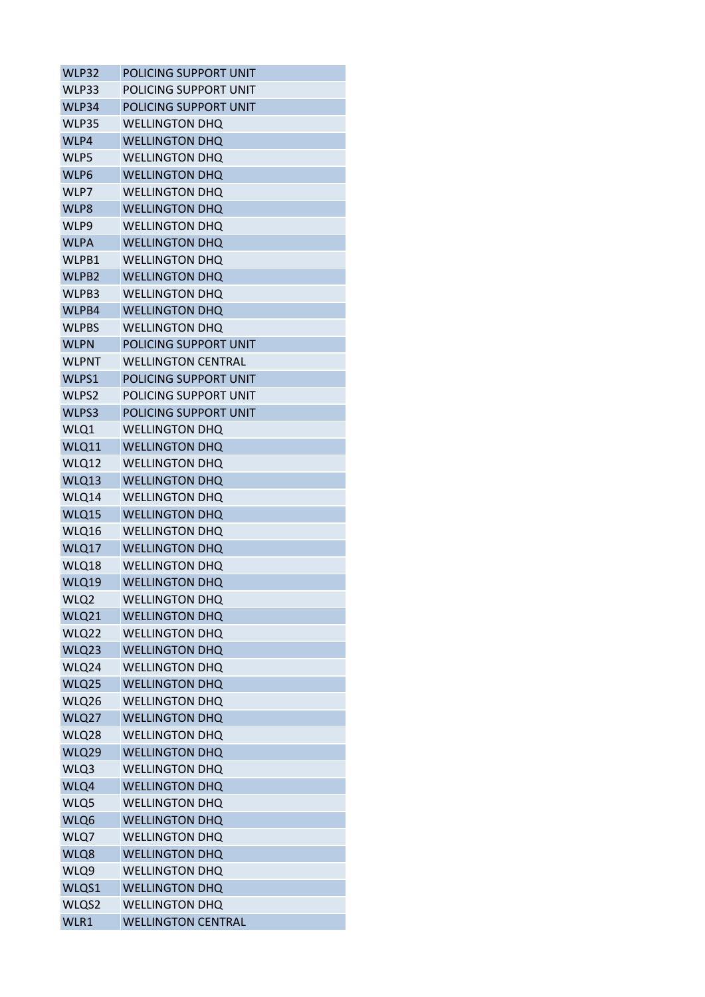| WLP32        | POLICING SUPPORT UNIT     |
|--------------|---------------------------|
| WLP33        | POLICING SUPPORT UNIT     |
| WLP34        | POLICING SUPPORT UNIT     |
| WLP35        | <b>WELLINGTON DHQ</b>     |
| WLP4         | <b>WELLINGTON DHQ</b>     |
| WLP5         | <b>WELLINGTON DHQ</b>     |
| WLP6         | <b>WELLINGTON DHQ</b>     |
| WLP7         | <b>WELLINGTON DHQ</b>     |
| WLP8         | <b>WELLINGTON DHQ</b>     |
| WLP9         | <b>WELLINGTON DHQ</b>     |
| <b>WLPA</b>  | <b>WELLINGTON DHQ</b>     |
| WLPB1        | <b>WELLINGTON DHQ</b>     |
| WLPB2        | <b>WELLINGTON DHQ</b>     |
| WLPB3        | <b>WELLINGTON DHQ</b>     |
| WLPB4        | <b>WELLINGTON DHQ</b>     |
| <b>WLPBS</b> | <b>WELLINGTON DHQ</b>     |
| <b>WLPN</b>  | POLICING SUPPORT UNIT     |
| <b>WLPNT</b> | <b>WELLINGTON CENTRAL</b> |
| WLPS1        | POLICING SUPPORT UNIT     |
| WLPS2        | POLICING SUPPORT UNIT     |
| WLPS3        | POLICING SUPPORT UNIT     |
| WLQ1         | <b>WELLINGTON DHO</b>     |
| WLQ11        | <b>WELLINGTON DHQ</b>     |
| WLQ12        | <b>WELLINGTON DHQ</b>     |
| WLQ13        | <b>WELLINGTON DHQ</b>     |
| WLQ14        | <b>WELLINGTON DHQ</b>     |
| WLQ15        | <b>WELLINGTON DHQ</b>     |
| WLQ16        | <b>WELLINGTON DHO</b>     |
| WLQ17        | <b>WELLINGTON DHQ</b>     |
| WLQ18        | <b>WELLINGTON DHQ</b>     |
| WLQ19        | <b>WELLINGTON DHQ</b>     |
| WLQ2         | <b>WELLINGTON DHQ</b>     |
| WLQ21        | <b>WELLINGTON DHQ</b>     |
| WLQ22        | <b>WELLINGTON DHQ</b>     |
| WLQ23        | <b>WELLINGTON DHQ</b>     |
| WLQ24        | <b>WELLINGTON DHQ</b>     |
| WLQ25        | <b>WELLINGTON DHQ</b>     |
| WLQ26        | <b>WELLINGTON DHQ</b>     |
| WLQ27        | <b>WELLINGTON DHQ</b>     |
| WLQ28        | <b>WELLINGTON DHQ</b>     |
| WLQ29        | <b>WELLINGTON DHQ</b>     |
| WLQ3         | <b>WELLINGTON DHQ</b>     |
| WLQ4         | <b>WELLINGTON DHQ</b>     |
| WLQ5         | <b>WELLINGTON DHQ</b>     |
| WLQ6         | <b>WELLINGTON DHQ</b>     |
| WLQ7         | <b>WELLINGTON DHQ</b>     |
| WLQ8         | <b>WELLINGTON DHQ</b>     |
| WLQ9         | <b>WELLINGTON DHQ</b>     |
| WLQS1        | <b>WELLINGTON DHQ</b>     |
| WLQS2        | <b>WELLINGTON DHQ</b>     |
| WLR1         | <b>WELLINGTON CENTRAL</b> |
|              |                           |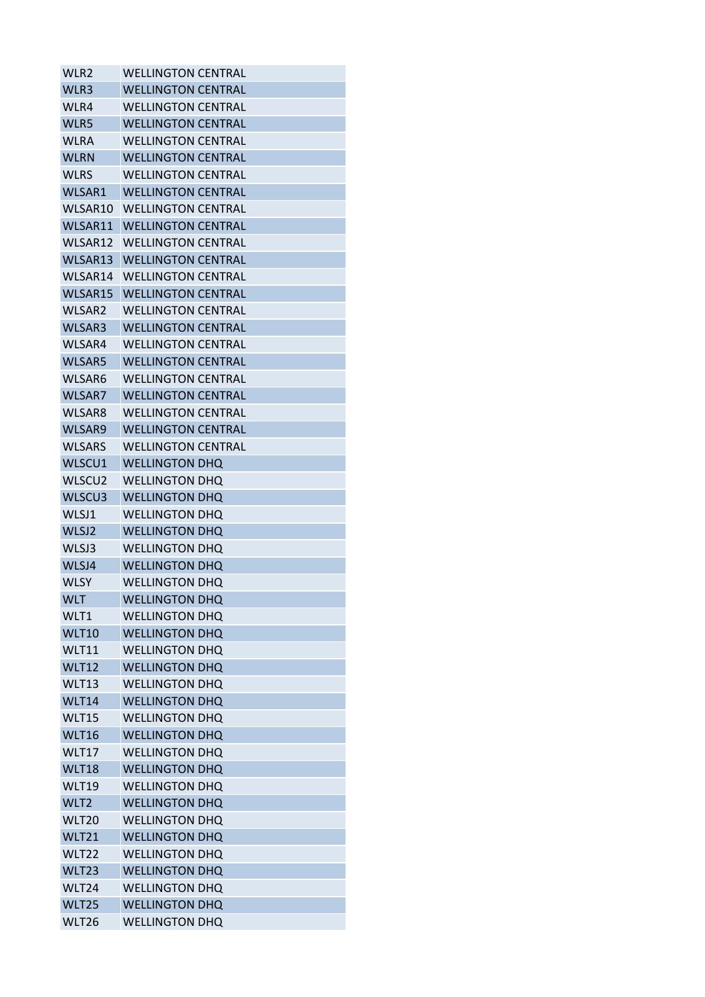| WLR2          | <b>WELLINGTON CENTRAL</b> |
|---------------|---------------------------|
| WLR3          | <b>WELLINGTON CENTRAL</b> |
| WLR4          | <b>WELLINGTON CENTRAL</b> |
| WLR5          | <b>WELLINGTON CENTRAL</b> |
| <b>WLRA</b>   | <b>WELLINGTON CENTRAL</b> |
| <b>WLRN</b>   | <b>WELLINGTON CENTRAL</b> |
| <b>WLRS</b>   | <b>WELLINGTON CENTRAL</b> |
| WLSAR1        | <b>WELLINGTON CENTRAL</b> |
| WLSAR10       | <b>WELLINGTON CENTRAL</b> |
| WLSAR11       | <b>WELLINGTON CENTRAL</b> |
| WLSAR12       | <b>WELLINGTON CENTRAL</b> |
| WLSAR13       | <b>WELLINGTON CENTRAL</b> |
| WLSAR14       | <b>WELLINGTON CENTRAL</b> |
| WLSAR15       | <b>WELLINGTON CENTRAL</b> |
| WLSAR2        | <b>WELLINGTON CENTRAL</b> |
| WLSAR3        | <b>WELLINGTON CENTRAL</b> |
| WLSAR4        | <b>WELLINGTON CENTRAL</b> |
| <b>WLSAR5</b> | <b>WELLINGTON CENTRAL</b> |
| WLSAR6        | <b>WELLINGTON CENTRAL</b> |
| WLSAR7        | <b>WELLINGTON CENTRAL</b> |
| WLSAR8        | <b>WELLINGTON CENTRAL</b> |
| WLSAR9        | <b>WELLINGTON CENTRAL</b> |
| <b>WLSARS</b> | <b>WELLINGTON CENTRAL</b> |
| WLSCU1        | <b>WELLINGTON DHQ</b>     |
| WLSCU2        | <b>WELLINGTON DHQ</b>     |
| WLSCU3        | <b>WELLINGTON DHO</b>     |
| WLSJ1         | <b>WELLINGTON DHQ</b>     |
| WLSJ2         | <b>WELLINGTON DHQ</b>     |
| WLSJ3         | <b>WELLINGTON DHQ</b>     |
| WLSJ4         | <b>WELLINGTON DHQ</b>     |
| <b>WLSY</b>   | <b>WELLINGTON DHO</b>     |
| <b>WLT</b>    | <b>WELLINGTON DHQ</b>     |
| WLT1          | <b>WELLINGTON DHQ</b>     |
| <b>WLT10</b>  | <b>WELLINGTON DHQ</b>     |
| WLT11         | <b>WELLINGTON DHQ</b>     |
| <b>WLT12</b>  | <b>WELLINGTON DHQ</b>     |
| WLT13         | <b>WELLINGTON DHQ</b>     |
| WLT14         | <b>WELLINGTON DHQ</b>     |
| WLT15         | <b>WELLINGTON DHQ</b>     |
| WLT16         | <b>WELLINGTON DHQ</b>     |
| WLT17         | <b>WELLINGTON DHQ</b>     |
| WLT18         | <b>WELLINGTON DHQ</b>     |
| <b>WLT19</b>  | <b>WELLINGTON DHQ</b>     |
| WLT2          | <b>WELLINGTON DHQ</b>     |
| <b>WLT20</b>  | <b>WELLINGTON DHQ</b>     |
| <b>WLT21</b>  | <b>WELLINGTON DHQ</b>     |
| WLT22         | <b>WELLINGTON DHQ</b>     |
| WLT23         | <b>WELLINGTON DHQ</b>     |
| WLT24         | <b>WELLINGTON DHQ</b>     |
| WLT25         | <b>WELLINGTON DHQ</b>     |
| WLT26         | <b>WELLINGTON DHQ</b>     |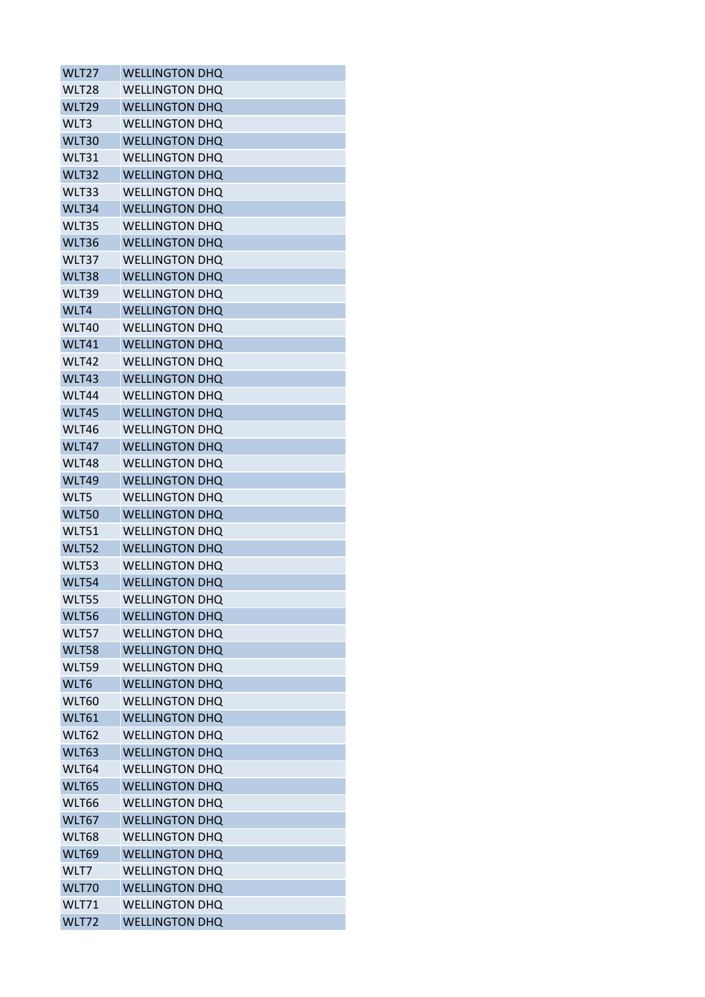| WLT27             | <b>WELLINGTON DHQ</b> |
|-------------------|-----------------------|
| WLT28             | <b>WELLINGTON DHO</b> |
| WLT <sub>29</sub> | <b>WELLINGTON DHQ</b> |
| WLT3              | <b>WELLINGTON DHQ</b> |
| WLT30             | <b>WELLINGTON DHQ</b> |
| WLT31             | <b>WELLINGTON DHQ</b> |
| WLT32             | <b>WELLINGTON DHQ</b> |
| WLT33             | <b>WELLINGTON DHQ</b> |
| WLT34             | <b>WELLINGTON DHQ</b> |
| WLT35             | <b>WELLINGTON DHQ</b> |
| WLT36             | <b>WELLINGTON DHQ</b> |
| WLT37             | <b>WELLINGTON DHQ</b> |
| WLT38             | <b>WELLINGTON DHQ</b> |
| WLT39             | <b>WELLINGTON DHQ</b> |
| WLT4              | <b>WELLINGTON DHQ</b> |
| WLT40             | <b>WELLINGTON DHQ</b> |
| WLT41             | <b>WELLINGTON DHQ</b> |
| WLT42             | <b>WELLINGTON DHQ</b> |
| WLT43             | <b>WELLINGTON DHQ</b> |
| WLT44             | <b>WELLINGTON DHQ</b> |
| WLT45             | <b>WELLINGTON DHQ</b> |
| WLT46             | <b>WELLINGTON DHO</b> |
| WLT47             | <b>WELLINGTON DHQ</b> |
| WLT48             | <b>WELLINGTON DHQ</b> |
| WLT49             | <b>WELLINGTON DHQ</b> |
| WLT5              | <b>WELLINGTON DHQ</b> |
| <b>WLT50</b>      | <b>WELLINGTON DHQ</b> |
|                   | <b>WELLINGTON DHO</b> |
| WLT51             |                       |
| <b>WLT52</b>      | <b>WELLINGTON DHQ</b> |
| WLT53             | <b>WELLINGTON DHO</b> |
| WLT54             | <b>WELLINGTON DHQ</b> |
| WLT55             | <b>WELLINGTON DHQ</b> |
| <b>WLT56</b>      | <b>WELLINGTON DHQ</b> |
| WLT57             | <b>WELLINGTON DHQ</b> |
| <b>WLT58</b>      | <b>WELLINGTON DHQ</b> |
| WLT59             | <b>WELLINGTON DHQ</b> |
| WLT6              | <b>WELLINGTON DHQ</b> |
| <b>WLT60</b>      | <b>WELLINGTON DHQ</b> |
| <b>WLT61</b>      | <b>WELLINGTON DHQ</b> |
| WLT62             | <b>WELLINGTON DHQ</b> |
| <b>WLT63</b>      | <b>WELLINGTON DHQ</b> |
| WLT64             | <b>WELLINGTON DHQ</b> |
| <b>WLT65</b>      | <b>WELLINGTON DHQ</b> |
| <b>WLT66</b>      | <b>WELLINGTON DHQ</b> |
| WLT67             | <b>WELLINGTON DHQ</b> |
| WLT68             | <b>WELLINGTON DHQ</b> |
| <b>WLT69</b>      | <b>WELLINGTON DHQ</b> |
| WLT7              | <b>WELLINGTON DHQ</b> |
| WLT70             | <b>WELLINGTON DHQ</b> |
| <b>WLT71</b>      | <b>WELLINGTON DHQ</b> |
| WLT72             | <b>WELLINGTON DHQ</b> |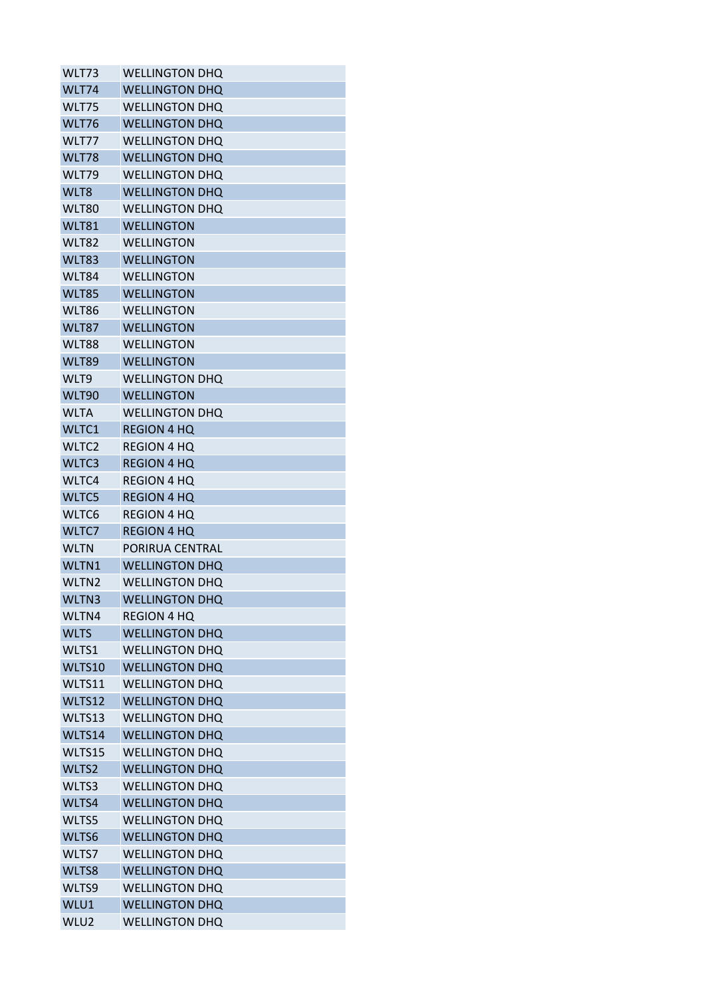| WLT73             | <b>WELLINGTON DHQ</b> |
|-------------------|-----------------------|
| WLT74             | <b>WELLINGTON DHQ</b> |
| WLT75             | <b>WELLINGTON DHQ</b> |
| WLT76             | <b>WELLINGTON DHQ</b> |
| WLT77             | <b>WELLINGTON DHQ</b> |
| WLT78             | <b>WELLINGTON DHQ</b> |
| WLT79             | <b>WELLINGTON DHQ</b> |
| WLT8              | <b>WELLINGTON DHQ</b> |
| WLT80             | <b>WELLINGTON DHQ</b> |
| <b>WLT81</b>      | <b>WELLINGTON</b>     |
| <b>WLT82</b>      | <b>WELLINGTON</b>     |
| <b>WLT83</b>      | <b>WELLINGTON</b>     |
| WLT84             | <b>WELLINGTON</b>     |
| <b>WLT85</b>      | <b>WELLINGTON</b>     |
| WLT86             | <b>WELLINGTON</b>     |
| <b>WLT87</b>      | <b>WELLINGTON</b>     |
| WLT88             | <b>WELLINGTON</b>     |
| <b>WLT89</b>      | <b>WELLINGTON</b>     |
| WLT9              | <b>WELLINGTON DHQ</b> |
| WLT90             | <b>WELLINGTON</b>     |
| <b>WLTA</b>       | <b>WELLINGTON DHQ</b> |
| WLTC1             | <b>REGION 4 HQ</b>    |
| WLTC <sub>2</sub> | <b>REGION 4 HQ</b>    |
|                   |                       |
| WLTC3             | <b>REGION 4 HQ</b>    |
| WLTC4             | <b>REGION 4 HQ</b>    |
| WLTC5             | <b>REGION 4 HQ</b>    |
| WLTC6             | <b>REGION 4 HQ</b>    |
| WLTC7             | <b>REGION 4 HO</b>    |
| <b>WLTN</b>       | PORIRUA CENTRAL       |
| WLTN1             | <b>WELLINGTON DHQ</b> |
| WLTN <sub>2</sub> | <b>WELLINGTON DHQ</b> |
| WLTN3             | <b>WELLINGTON DHQ</b> |
| WLTN4             | REGION 4 HQ           |
| <b>WLTS</b>       | <b>WELLINGTON DHQ</b> |
| WLTS1             | <b>WELLINGTON DHQ</b> |
| WLTS10            | <b>WELLINGTON DHQ</b> |
| WLTS11            | <b>WELLINGTON DHQ</b> |
| WLTS12            | <b>WELLINGTON DHQ</b> |
| WLTS13            | <b>WELLINGTON DHQ</b> |
| WLTS14            | <b>WELLINGTON DHQ</b> |
| WLTS15            | <b>WELLINGTON DHQ</b> |
| WLTS2             | <b>WELLINGTON DHQ</b> |
| WLTS3             | <b>WELLINGTON DHQ</b> |
| WLTS4             | <b>WELLINGTON DHQ</b> |
| WLTS5             | <b>WELLINGTON DHQ</b> |
| WLTS6             | <b>WELLINGTON DHQ</b> |
| WLTS7             | <b>WELLINGTON DHQ</b> |
| WLTS8             | <b>WELLINGTON DHQ</b> |
| WLTS9             | <b>WELLINGTON DHQ</b> |
| WLU1              | <b>WELLINGTON DHQ</b> |
| WLU2              | <b>WELLINGTON DHQ</b> |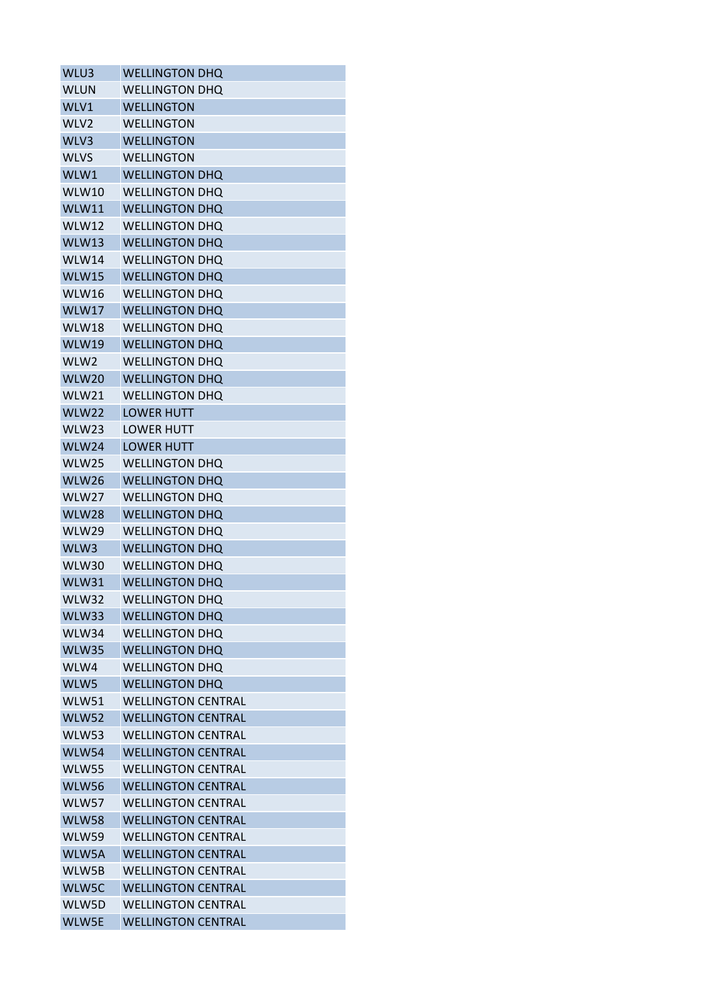| WLU3             | <b>WELLINGTON DHQ</b>     |
|------------------|---------------------------|
| <b>WLUN</b>      | <b>WELLINGTON DHQ</b>     |
| WLV1             | <b>WELLINGTON</b>         |
| WLV <sub>2</sub> | <b>WELLINGTON</b>         |
| WLV3             | <b>WELLINGTON</b>         |
| <b>WLVS</b>      | <b>WELLINGTON</b>         |
| WLW1             | <b>WELLINGTON DHQ</b>     |
| WLW10            | <b>WELLINGTON DHQ</b>     |
| WLW11            | <b>WELLINGTON DHQ</b>     |
| WLW12            | <b>WELLINGTON DHQ</b>     |
| WLW13            | <b>WELLINGTON DHQ</b>     |
| WLW14            | <b>WELLINGTON DHQ</b>     |
| WLW15            | <b>WELLINGTON DHQ</b>     |
| WLW16            | <b>WELLINGTON DHQ</b>     |
| WLW17            | <b>WELLINGTON DHQ</b>     |
| WLW18            | <b>WELLINGTON DHQ</b>     |
| WLW19            | <b>WELLINGTON DHQ</b>     |
| WLW <sub>2</sub> | <b>WELLINGTON DHO</b>     |
| WLW20            | <b>WELLINGTON DHQ</b>     |
| WLW21            | <b>WELLINGTON DHQ</b>     |
| WLW22            | <b>LOWER HUTT</b>         |
| WLW23            | <b>LOWER HUTT</b>         |
| WLW24            | <b>LOWER HUTT</b>         |
|                  |                           |
| WLW25            | <b>WELLINGTON DHQ</b>     |
| WLW26<br>WLW27   | <b>WELLINGTON DHQ</b>     |
|                  | <b>WELLINGTON DHQ</b>     |
| WLW28            | <b>WELLINGTON DHQ</b>     |
| WLW29            | <b>WELLINGTON DHQ</b>     |
| WLW3             | <b>WELLINGTON DHQ</b>     |
| WLW30            | <b>WELLINGTON DHQ</b>     |
| WLW31            | <b>WELLINGTON DHQ</b>     |
| WLW32            | <b>WELLINGTON DHQ</b>     |
| WLW33            | <b>WELLINGTON DHQ</b>     |
| WLW34            | <b>WELLINGTON DHQ</b>     |
| WLW35            | <b>WELLINGTON DHQ</b>     |
| WLW4             | <b>WELLINGTON DHQ</b>     |
| WLW5             | <b>WELLINGTON DHQ</b>     |
| WLW51            | <b>WELLINGTON CENTRAL</b> |
| WLW52            | <b>WELLINGTON CENTRAL</b> |
| <b>WLW53</b>     | <b>WFLLINGTON CFNTRAL</b> |
| WLW54            | <b>WELLINGTON CENTRAL</b> |
| <b>WLW55</b>     | <b>WELLINGTON CENTRAL</b> |
| <b>WLW56</b>     | <b>WELLINGTON CENTRAL</b> |
| WLW57            | <b>WELLINGTON CENTRAL</b> |
| <b>WLW58</b>     | <b>WELLINGTON CENTRAL</b> |
| WLW59            | <b>WELLINGTON CENTRAL</b> |
| WLW5A            | <b>WELLINGTON CENTRAL</b> |
| WLW5B            | <b>WELLINGTON CENTRAL</b> |
| WLW5C            | <b>WELLINGTON CENTRAL</b> |
| WLW5D            | <b>WELLINGTON CENTRAL</b> |
| WLW5E            | <b>WELLINGTON CENTRAL</b> |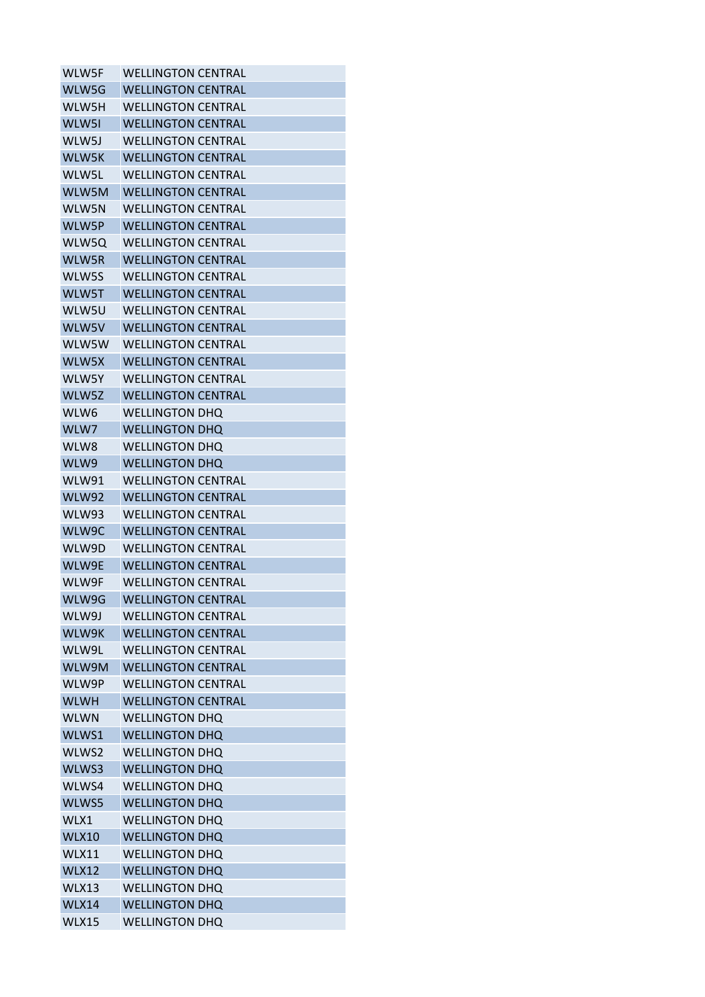| WLW5F        | <b>WELLINGTON CENTRAL</b> |
|--------------|---------------------------|
| WLW5G        | <b>WELLINGTON CENTRAL</b> |
| WLW5H        | <b>WELLINGTON CENTRAL</b> |
| WLW51        | <b>WELLINGTON CENTRAL</b> |
| WLW5J        | WELLINGTON CENTRAL        |
| WLW5K        | <b>WELLINGTON CENTRAL</b> |
| WLW5L        | WELLINGTON CENTRAL        |
| WLW5M        | <b>WELLINGTON CENTRAL</b> |
| WLW5N        | <b>WELLINGTON CENTRAL</b> |
| WLW5P        | <b>WELLINGTON CENTRAL</b> |
| WLW5Q        | <b>WELLINGTON CENTRAL</b> |
| WLW5R        | <b>WELLINGTON CENTRAL</b> |
| WLW5S        | <b>WELLINGTON CENTRAL</b> |
| WLW5T        | <b>WELLINGTON CENTRAL</b> |
| WLW5U        | <b>WELLINGTON CENTRAL</b> |
| WLW5V        | <b>WELLINGTON CENTRAL</b> |
| WLW5W        | <b>WFLLINGTON CFNTRAL</b> |
| WLW5X        | <b>WELLINGTON CENTRAL</b> |
| WLW5Y        | <b>WELLINGTON CENTRAL</b> |
| WLW5Z        | <b>WELLINGTON CENTRAL</b> |
| WLW6         | <b>WELLINGTON DHQ</b>     |
| WLW7         | <b>WELLINGTON DHQ</b>     |
| WLW8         | <b>WELLINGTON DHO</b>     |
| WLW9         | <b>WELLINGTON DHQ</b>     |
| WLW91        | <b>WELLINGTON CENTRAL</b> |
| WLW92        | <b>WELLINGTON CENTRAL</b> |
| WLW93        | <b>WELLINGTON CENTRAL</b> |
| WLW9C        | <b>WELLINGTON CENTRAL</b> |
| WLW9D        | <b>WELLINGTON CENTRAL</b> |
| WLW9E        | <b>WELLINGTON CENTRAL</b> |
| WLW9F        | <b>WELLINGTON CENTRAL</b> |
| WLW9G        | <b>WELLINGTON CENTRAL</b> |
| WLW9J        | <b>WELLINGTON CENTRAL</b> |
| WLW9K        | <b>WELLINGTON CENTRAL</b> |
| WLW9L        | <b>WELLINGTON CENTRAL</b> |
| WLW9M        | <b>WELLINGTON CENTRAL</b> |
| WLW9P        | <b>WELLINGTON CENTRAL</b> |
| <b>WLWH</b>  | <b>WELLINGTON CENTRAL</b> |
| <b>WLWN</b>  | <b>WELLINGTON DHQ</b>     |
| WLWS1        | <b>WELLINGTON DHQ</b>     |
| WLWS2        | <b>WELLINGTON DHQ</b>     |
| WLWS3        | <b>WELLINGTON DHQ</b>     |
| WLWS4        | <b>WELLINGTON DHQ</b>     |
| WLWS5        | <b>WELLINGTON DHQ</b>     |
| WLX1         | <b>WELLINGTON DHQ</b>     |
| <b>WLX10</b> | <b>WELLINGTON DHQ</b>     |
| <b>WLX11</b> | <b>WELLINGTON DHQ</b>     |
| <b>WLX12</b> | <b>WELLINGTON DHQ</b>     |
| WLX13        | <b>WELLINGTON DHQ</b>     |
| <b>WLX14</b> | <b>WELLINGTON DHQ</b>     |
| WLX15        | <b>WELLINGTON DHQ</b>     |
|              |                           |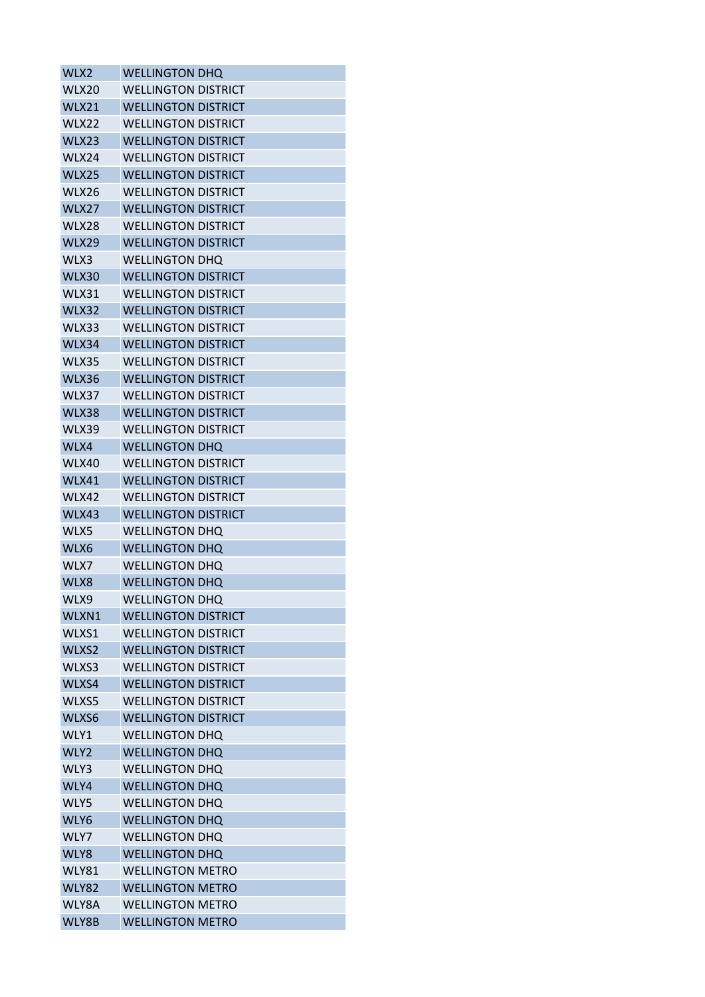| WLX2         | <b>WELLINGTON DHQ</b>      |
|--------------|----------------------------|
| WLX20        | <b>WELLINGTON DISTRICT</b> |
| <b>WLX21</b> | <b>WELLINGTON DISTRICT</b> |
| WLX22        | <b>WELLINGTON DISTRICT</b> |
| <b>WLX23</b> | <b>WELLINGTON DISTRICT</b> |
| WLX24        | <b>WELLINGTON DISTRICT</b> |
| WLX25        | <b>WELLINGTON DISTRICT</b> |
| WLX26        | <b>WELLINGTON DISTRICT</b> |
| WLX27        | <b>WELLINGTON DISTRICT</b> |
| WLX28        | <b>WELLINGTON DISTRICT</b> |
| <b>WLX29</b> | <b>WELLINGTON DISTRICT</b> |
| WLX3         | <b>WELLINGTON DHQ</b>      |
| <b>WLX30</b> | <b>WELLINGTON DISTRICT</b> |
| WLX31        | <b>WELLINGTON DISTRICT</b> |
| WLX32        | <b>WELLINGTON DISTRICT</b> |
| WLX33        | <b>WELLINGTON DISTRICT</b> |
| <b>WLX34</b> | <b>WELLINGTON DISTRICT</b> |
| WLX35        | <b>WELLINGTON DISTRICT</b> |
| <b>WLX36</b> | <b>WELLINGTON DISTRICT</b> |
| WLX37        | <b>WELLINGTON DISTRICT</b> |
| <b>WLX38</b> | <b>WELLINGTON DISTRICT</b> |
| WLX39        | <b>WELLINGTON DISTRICT</b> |
| WLX4         | <b>WELLINGTON DHQ</b>      |
| WLX40        | <b>WELLINGTON DISTRICT</b> |
| WLX41        | <b>WELLINGTON DISTRICT</b> |
| WLX42        | <b>WELLINGTON DISTRICT</b> |
| WLX43        | <b>WELLINGTON DISTRICT</b> |
| WLX5         | <b>WELLINGTON DHO</b>      |
| WLX6         | <b>WELLINGTON DHQ</b>      |
| WLX7         | <b>WELLINGTON DHO</b>      |
| WLX8         | <b>WELLINGTON DHQ</b>      |
| WLX9         | <b>WELLINGTON DHQ</b>      |
| WLXN1        | <b>WELLINGTON DISTRICT</b> |
| WLXS1        | <b>WELLINGTON DISTRICT</b> |
| WLXS2        | <b>WELLINGTON DISTRICT</b> |
| WLXS3        | <b>WELLINGTON DISTRICT</b> |
| WLXS4        | <b>WELLINGTON DISTRICT</b> |
| WLXS5        | <b>WELLINGTON DISTRICT</b> |
| WLXS6        | <b>WELLINGTON DISTRICT</b> |
| WLY1         | <b>WELLINGTON DHQ</b>      |
| WLY2         | <b>WELLINGTON DHQ</b>      |
| WLY3         | <b>WELLINGTON DHQ</b>      |
| WLY4         | <b>WELLINGTON DHQ</b>      |
| WLY5         | <b>WELLINGTON DHQ</b>      |
| WLY6         | <b>WELLINGTON DHQ</b>      |
| WLY7         | <b>WELLINGTON DHQ</b>      |
| WLY8         | <b>WELLINGTON DHQ</b>      |
| <b>WLY81</b> | <b>WELLINGTON METRO</b>    |
| <b>WLY82</b> | <b>WELLINGTON METRO</b>    |
| WLY8A        | <b>WELLINGTON METRO</b>    |
| WLY8B        | <b>WELLINGTON METRO</b>    |
|              |                            |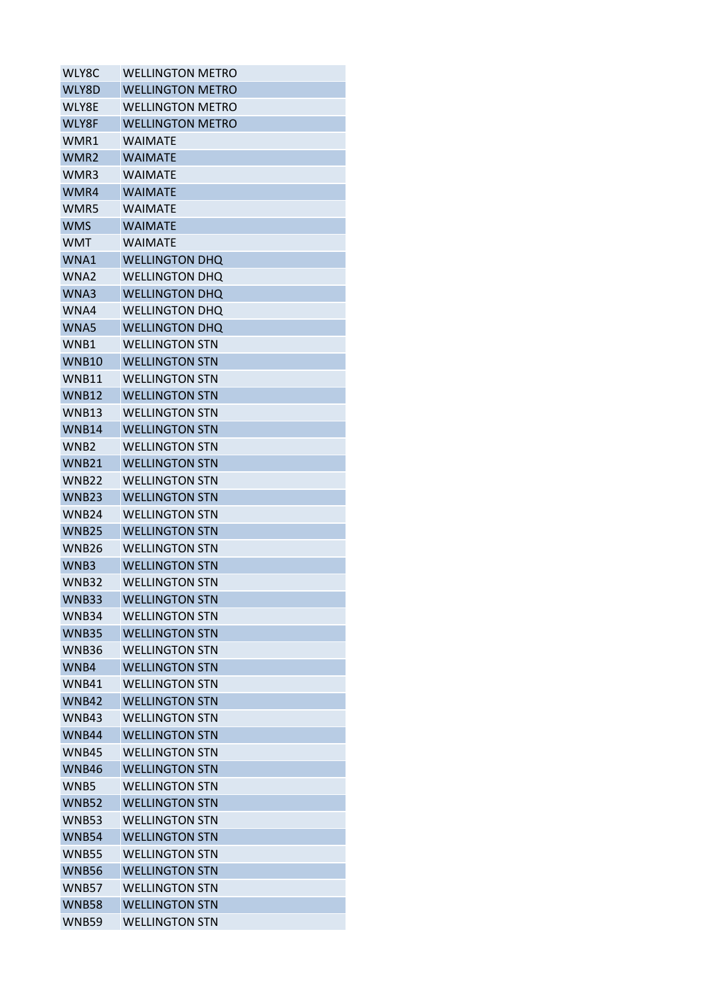| WLY8C             | <b>WELLINGTON METRO</b> |
|-------------------|-------------------------|
| WLY8D             | <b>WELLINGTON METRO</b> |
| WLY8E             | <b>WELLINGTON METRO</b> |
| WLY8F             | <b>WELLINGTON METRO</b> |
| WMR1              | WAIMATE                 |
| WMR <sub>2</sub>  | <b>WAIMATE</b>          |
| WMR3              | WAIMATE                 |
| WMR4              | <b>WAIMATE</b>          |
| WMR5              | <b>WAIMATF</b>          |
| <b>WMS</b>        | <b>WAIMATE</b>          |
| <b>WMT</b>        | <b>WAIMATF</b>          |
| WNA1              | <b>WELLINGTON DHO</b>   |
| WNA <sub>2</sub>  | <b>WELLINGTON DHO</b>   |
| WNA3              | <b>WELLINGTON DHQ</b>   |
| WNA4              | <b>WELLINGTON DHO</b>   |
| WNA5              | <b>WELLINGTON DHQ</b>   |
| WNB1              | <b>WELLINGTON STN</b>   |
| WNB <sub>10</sub> | <b>WELLINGTON STN</b>   |
| WNB11             | <b>WELLINGTON STN</b>   |
| <b>WNB12</b>      | <b>WELLINGTON STN</b>   |
| WNB13             | <b>WELLINGTON STN</b>   |
| <b>WNB14</b>      | <b>WELLINGTON STN</b>   |
| WNB <sub>2</sub>  | <b>WELLINGTON STN</b>   |
| <b>WNB21</b>      | <b>WELLINGTON STN</b>   |
| WNB22             | <b>WELLINGTON STN</b>   |
| <b>WNB23</b>      | <b>WELLINGTON STN</b>   |
| <b>WNB24</b>      | <b>WELLINGTON STN</b>   |
| <b>WNB25</b>      | <b>WELLINGTON STN</b>   |
| WNB <sub>26</sub> | <b>WELLINGTON STN</b>   |
| WNB3              | <b>WELLINGTON STN</b>   |
| <b>WNB32</b>      | <b>WELLINGTON STN</b>   |
| WNB33             | <b>WELLINGTON STN</b>   |
| WNB34             | <b>WELLINGTON STN</b>   |
| <b>WNB35</b>      | <b>WELLINGTON STN</b>   |
| <b>WNB36</b>      | <b>WELLINGTON STN</b>   |
| WNB4              | <b>WELLINGTON STN</b>   |
| WNB41             | <b>WELLINGTON STN</b>   |
| WNB42             | <b>WELLINGTON STN</b>   |
| WNB43             | <b>WELLINGTON STN</b>   |
| <b>WNB44</b>      | <b>WELLINGTON STN</b>   |
| WNB45             | <b>WELLINGTON STN</b>   |
| <b>WNB46</b>      | <b>WELLINGTON STN</b>   |
| WNB5              | <b>WELLINGTON STN</b>   |
| <b>WNB52</b>      | <b>WELLINGTON STN</b>   |
| <b>WNB53</b>      | <b>WELLINGTON STN</b>   |
| WNB54             | <b>WELLINGTON STN</b>   |
| <b>WNB55</b>      | <b>WELLINGTON STN</b>   |
| <b>WNB56</b>      | <b>WELLINGTON STN</b>   |
| <b>WNB57</b>      | <b>WELLINGTON STN</b>   |
| <b>WNB58</b>      | <b>WELLINGTON STN</b>   |
| <b>WNB59</b>      | <b>WELLINGTON STN</b>   |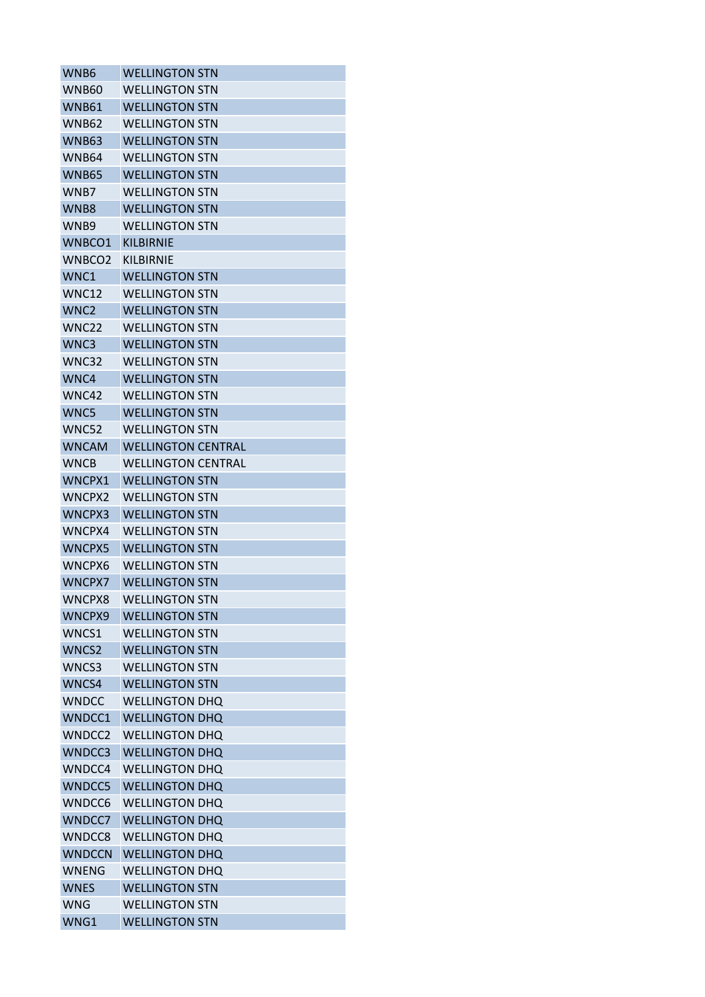| WNB6               | <b>WELLINGTON STN</b>     |
|--------------------|---------------------------|
| WNB60              | <b>WELLINGTON STN</b>     |
| WNB61              | <b>WELLINGTON STN</b>     |
| <b>WNB62</b>       | <b>WELLINGTON STN</b>     |
| <b>WNB63</b>       | <b>WELLINGTON STN</b>     |
| WNB64              | <b>WELLINGTON STN</b>     |
| WNB65              | <b>WELLINGTON STN</b>     |
| WNB7               | <b>WELLINGTON STN</b>     |
| WNB8               | <b>WELLINGTON STN</b>     |
| WNB9               | <b>WELLINGTON STN</b>     |
| WNBCO1             | <b>KILBIRNIE</b>          |
| WNBCO <sub>2</sub> | <b>KILBIRNIE</b>          |
| WNC1               | <b>WELLINGTON STN</b>     |
| WNC12              | <b>WELLINGTON STN</b>     |
| WNC <sub>2</sub>   | <b>WELLINGTON STN</b>     |
| WNC <sub>22</sub>  | <b>WELLINGTON STN</b>     |
| WNC3               | <b>WELLINGTON STN</b>     |
| WNC32              | <b>WELLINGTON STN</b>     |
| WNC4               | <b>WELLINGTON STN</b>     |
| WNC42              | <b>WELLINGTON STN</b>     |
| WNC5               | <b>WELLINGTON STN</b>     |
| WNC52              | <b>WELLINGTON STN</b>     |
| <b>WNCAM</b>       | <b>WELLINGTON CENTRAL</b> |
| <b>WNCB</b>        | <b>WELLINGTON CENTRAL</b> |
| WNCPX1             | <b>WELLINGTON STN</b>     |
| <b>WNCPX2</b>      | <b>WELLINGTON STN</b>     |
| WNCPX3             | <b>WELLINGTON STN</b>     |
| WNCPX4             | WELLINGTON STN            |
| WNCPX5             | <b>WELLINGTON STN</b>     |
| WNCPX6             | <b>WELLINGTON STN</b>     |
| <b>WNCPX7</b>      | <b>WELLINGTON STN</b>     |
| WNCPX8             | <b>WELLINGTON STN</b>     |
| WNCPX9             | <b>WELLINGTON STN</b>     |
| WNCS1              | <b>WELLINGTON STN</b>     |
| WNCS2              | <b>WELLINGTON STN</b>     |
| WNCS3              | <b>WELLINGTON STN</b>     |
| WNCS4              | <b>WELLINGTON STN</b>     |
| <b>WNDCC</b>       | <b>WELLINGTON DHQ</b>     |
| WNDCC1             | <b>WELLINGTON DHQ</b>     |
| WNDCC <sub>2</sub> | <b>WELLINGTON DHQ</b>     |
| WNDCC3             | <b>WELLINGTON DHQ</b>     |
| WNDCC4             | <b>WELLINGTON DHQ</b>     |
| <b>WNDCC5</b>      | <b>WELLINGTON DHQ</b>     |
| WNDCC6             | <b>WELLINGTON DHQ</b>     |
| WNDCC7             | <b>WELLINGTON DHQ</b>     |
| WNDCC8             | <b>WELLINGTON DHQ</b>     |
| <b>WNDCCN</b>      | <b>WELLINGTON DHQ</b>     |
| <b>WNENG</b>       | <b>WELLINGTON DHQ</b>     |
| <b>WNES</b>        | <b>WELLINGTON STN</b>     |
| <b>WNG</b>         | <b>WELLINGTON STN</b>     |
| WNG1               | <b>WELLINGTON STN</b>     |
|                    |                           |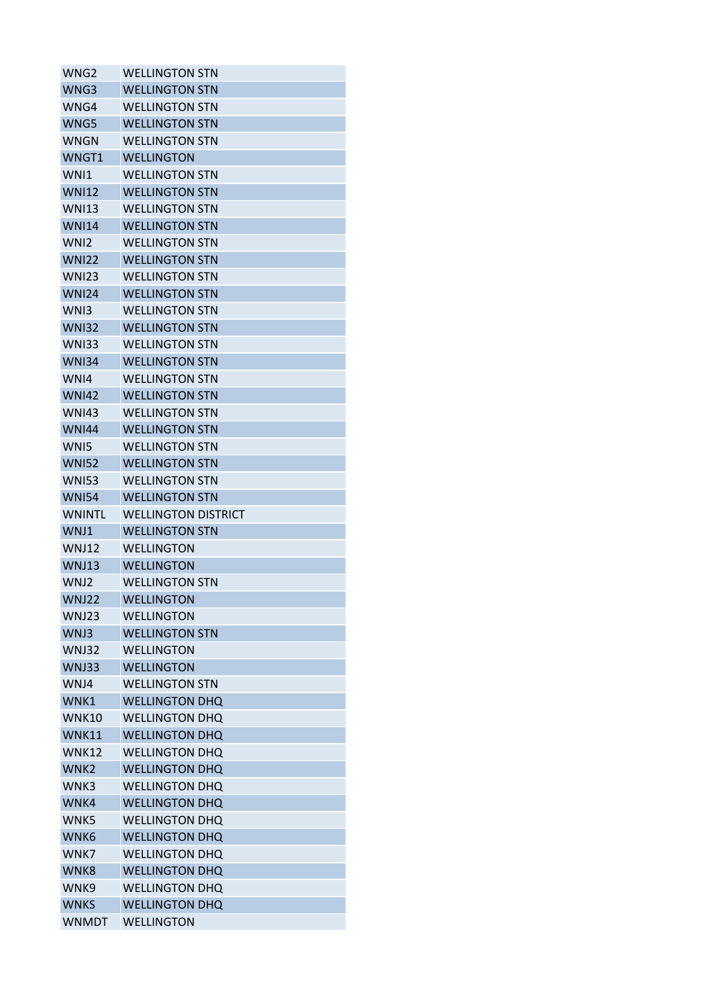| WNG2             | <b>WELLINGTON STN</b>      |
|------------------|----------------------------|
| WNG3             | <b>WELLINGTON STN</b>      |
| WNG4             | <b>WELLINGTON STN</b>      |
| WNG5             | <b>WELLINGTON STN</b>      |
| <b>WNGN</b>      | WFLLINGTON STN             |
| WNGT1            | <b>WELLINGTON</b>          |
| WN <sub>1</sub>  | <b>WELLINGTON STN</b>      |
| <b>WNI12</b>     | <b>WELLINGTON STN</b>      |
| <b>WNI13</b>     | <b>WELLINGTON STN</b>      |
| <b>WNI14</b>     | <b>WELLINGTON STN</b>      |
| WN <sub>12</sub> | <b>WELLINGTON STN</b>      |
| <b>WNI22</b>     | <b>WELLINGTON STN</b>      |
| <b>WNI23</b>     | <b>WELLINGTON STN</b>      |
| <b>WNI24</b>     | <b>WELLINGTON STN</b>      |
| WN <sub>13</sub> | <b>WELLINGTON STN</b>      |
| <b>WNI32</b>     | <b>WELLINGTON STN</b>      |
| <b>WNI33</b>     | <b>WELLINGTON STN</b>      |
| <b>WNI34</b>     | <b>WELLINGTON STN</b>      |
| WNI4             | <b>WELLINGTON STN</b>      |
| <b>WNI42</b>     | <b>WELLINGTON STN</b>      |
| <b>WNI43</b>     | <b>WELLINGTON STN</b>      |
| <b>WNI44</b>     | <b>WELLINGTON STN</b>      |
| WN <sub>15</sub> | <b>WELLINGTON STN</b>      |
| <b>WNI52</b>     | <b>WELLINGTON STN</b>      |
| <b>WNI53</b>     | <b>WELLINGTON STN</b>      |
| <b>WNI54</b>     | <b>WELLINGTON STN</b>      |
| <b>WNINTL</b>    | <b>WELLINGTON DISTRICT</b> |
| WNJ1             | <b>WELLINGTON STN</b>      |
| WNJ12            | <b>WELLINGTON</b>          |
| WNJ13            | <b>WELLINGTON</b>          |
| WNJ2             | <b>WELLINGTON STN</b>      |
| WNJ22            | <b>WELLINGTON</b>          |
| WNJ23            | WELLINGTON                 |
| WNJ3             | <b>WELLINGTON STN</b>      |
| WNJ32            | <b>WELLINGTON</b>          |
| <b>WNJ33</b>     | <b>WELLINGTON</b>          |
| WNJ4             | <b>WELLINGTON STN</b>      |
| WNK1             | <b>WELLINGTON DHQ</b>      |
| <b>WNK10</b>     | <b>WELLINGTON DHQ</b>      |
| <b>WNK11</b>     | <b>WELLINGTON DHQ</b>      |
| <b>WNK12</b>     | <b>WELLINGTON DHQ</b>      |
| WNK <sub>2</sub> | <b>WELLINGTON DHQ</b>      |
| WNK3             | <b>WELLINGTON DHQ</b>      |
| WNK4             | <b>WELLINGTON DHQ</b>      |
| WNK5             | <b>WELLINGTON DHQ</b>      |
| WNK6             | <b>WELLINGTON DHO</b>      |
|                  |                            |
| WNK7             | <b>WELLINGTON DHQ</b>      |
| WNK8             | <b>WELLINGTON DHQ</b>      |
| WNK9             | <b>WELLINGTON DHQ</b>      |
| <b>WNKS</b>      | <b>WELLINGTON DHQ</b>      |
| <b>WNMDT</b>     | <b>WELLINGTON</b>          |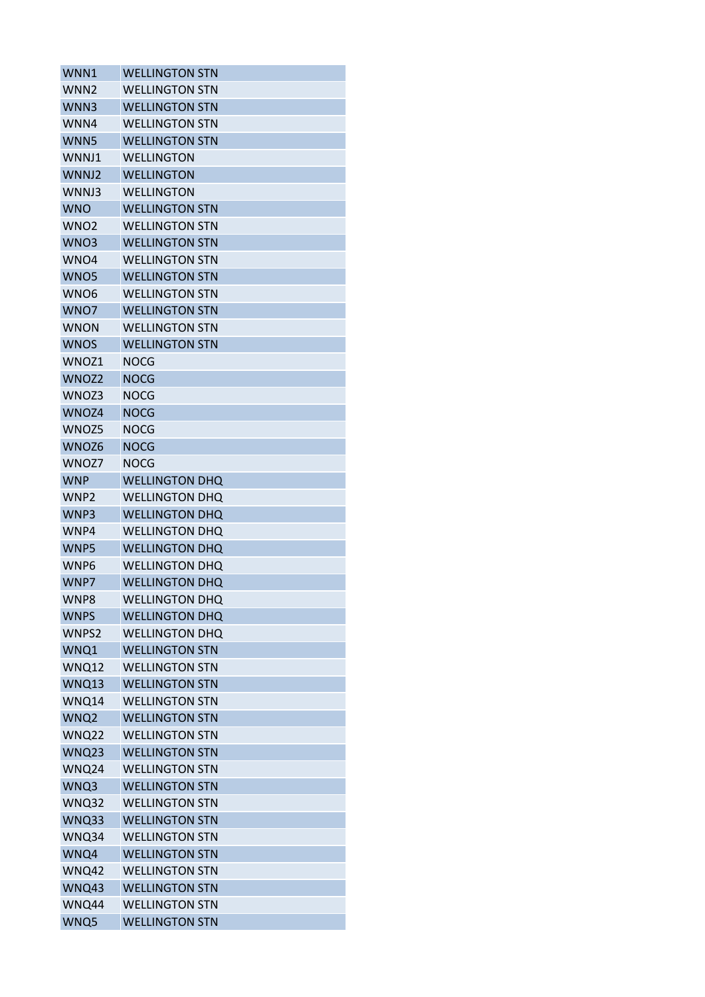| WNN1             | <b>WELLINGTON STN</b> |
|------------------|-----------------------|
| WNN <sub>2</sub> | <b>WELLINGTON STN</b> |
| WNN3             | <b>WELLINGTON STN</b> |
| WNN4             | <b>WELLINGTON STN</b> |
| WNN5             | <b>WELLINGTON STN</b> |
| WNNJ1            | <b>WELLINGTON</b>     |
| WNNJ2            | <b>WELLINGTON</b>     |
| WNNJ3            | <b>WELLINGTON</b>     |
| <b>WNO</b>       | <b>WELLINGTON STN</b> |
| WNO <sub>2</sub> | <b>WELLINGTON STN</b> |
| WNO3             | <b>WELLINGTON STN</b> |
| WNO4             | <b>WELLINGTON STN</b> |
| WNO <sub>5</sub> | <b>WELLINGTON STN</b> |
| WNO <sub>6</sub> | <b>WELLINGTON STN</b> |
| WNO7             | <b>WELLINGTON STN</b> |
| <b>WNON</b>      | <b>WELLINGTON STN</b> |
| <b>WNOS</b>      | <b>WELLINGTON STN</b> |
| WNOZ1            | <b>NOCG</b>           |
| WNOZ2            | <b>NOCG</b>           |
| WNOZ3            | <b>NOCG</b>           |
| WNOZ4            | <b>NOCG</b>           |
| WNOZ5            | <b>NOCG</b>           |
| WNOZ6            | <b>NOCG</b>           |
| WNOZ7            | <b>NOCG</b>           |
| <b>WNP</b>       | <b>WELLINGTON DHQ</b> |
| WNP <sub>2</sub> | <b>WELLINGTON DHQ</b> |
| WNP3             | <b>WELLINGTON DHQ</b> |
| WNP4             | <b>WELLINGTON DHO</b> |
| WNP5             | <b>WELLINGTON DHO</b> |
| WNP6             | <b>WELLINGTON DHO</b> |
| WNP7             | <b>WELLINGTON DHO</b> |
| WNP8             | <b>WELLINGTON DHQ</b> |
| <b>WNPS</b>      | <b>WELLINGTON DHQ</b> |
| WNPS2            | <b>WELLINGTON DHQ</b> |
| WNQ1             | <b>WELLINGTON STN</b> |
| <b>WNQ12</b>     | <b>WELLINGTON STN</b> |
| WNQ13            | <b>WELLINGTON STN</b> |
| WNQ14            | <b>WELLINGTON STN</b> |
| WNQ <sub>2</sub> | <b>WELLINGTON STN</b> |
| <b>WNQ22</b>     | <b>WELLINGTON STN</b> |
| <b>WNQ23</b>     | <b>WELLINGTON STN</b> |
| WNQ24            | <b>WELLINGTON STN</b> |
| WNQ3             | <b>WELLINGTON STN</b> |
| WNQ32            | <b>WELLINGTON STN</b> |
| WNQ33            | <b>WELLINGTON STN</b> |
| WNQ34            | <b>WELLINGTON STN</b> |
| WNQ4             | <b>WELLINGTON STN</b> |
| WNQ42            | <b>WELLINGTON STN</b> |
| WNQ43            | <b>WELLINGTON STN</b> |
| WNQ44            | <b>WELLINGTON STN</b> |
| WNQ5             | <b>WELLINGTON STN</b> |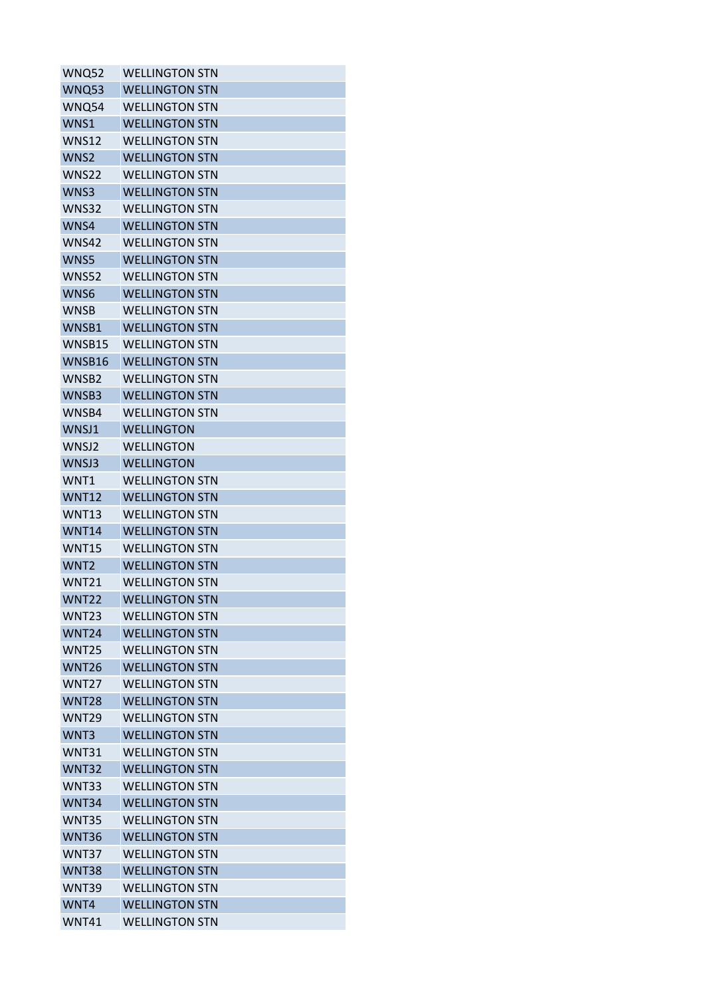| <b>WNQ52</b>     | <b>WELLINGTON STN</b> |
|------------------|-----------------------|
| <b>WNQ53</b>     | <b>WELLINGTON STN</b> |
| WNQ54            | <b>WELLINGTON STN</b> |
| WNS1             | <b>WELLINGTON STN</b> |
| <b>WNS12</b>     | <b>WELLINGTON STN</b> |
| WNS <sub>2</sub> | <b>WELLINGTON STN</b> |
| WNS22            | <b>WELLINGTON STN</b> |
| WNS3             | <b>WELLINGTON STN</b> |
| <b>WNS32</b>     | <b>WELLINGTON STN</b> |
| WNS4             | <b>WELLINGTON STN</b> |
| <b>WNS42</b>     | <b>WELLINGTON STN</b> |
| WNS5             | <b>WELLINGTON STN</b> |
| <b>WNS52</b>     | <b>WELLINGTON STN</b> |
| WNS6             | <b>WELLINGTON STN</b> |
| <b>WNSB</b>      | <b>WELLINGTON STN</b> |
| WNSB1            | <b>WELLINGTON STN</b> |
| WNSB15           | <b>WELLINGTON STN</b> |
| WNSB16           | <b>WELLINGTON STN</b> |
| WNSB2            | <b>WELLINGTON STN</b> |
| WNSB3            | <b>WELLINGTON STN</b> |
| WNSB4            | <b>WELLINGTON STN</b> |
| WNSJ1            | <b>WELLINGTON</b>     |
| WNSJ2            | WELLINGTON            |
| WNSJ3            | <b>WELLINGTON</b>     |
| WNT1             | <b>WELLINGTON STN</b> |
| <b>WNT12</b>     | <b>WELLINGTON STN</b> |
| <b>WNT13</b>     | <b>WELLINGTON STN</b> |
| <b>WNT14</b>     | <b>WELLINGTON STN</b> |
| <b>WNT15</b>     | <b>WELLINGTON STN</b> |
| WNT <sub>2</sub> | <b>WELLINGTON STN</b> |
| <b>WNT21</b>     | <b>WELLINGTON STN</b> |
| <b>WNT22</b>     | <b>WELLINGTON STN</b> |
| <b>WNT23</b>     | <b>WELLINGTON STN</b> |
| <b>WNT24</b>     | <b>WELLINGTON STN</b> |
| <b>WNT25</b>     | <b>WELLINGTON STN</b> |
| <b>WNT26</b>     | <b>WELLINGTON STN</b> |
| <b>WNT27</b>     | <b>WELLINGTON STN</b> |
| <b>WNT28</b>     | <b>WELLINGTON STN</b> |
| <b>WNT29</b>     | <b>WELLINGTON STN</b> |
| WNT3             | <b>WELLINGTON STN</b> |
| <b>WNT31</b>     | <b>WELLINGTON STN</b> |
| <b>WNT32</b>     | <b>WELLINGTON STN</b> |
| WNT33            | <b>WELLINGTON STN</b> |
| <b>WNT34</b>     | <b>WELLINGTON STN</b> |
| <b>WNT35</b>     | <b>WELLINGTON STN</b> |
| <b>WNT36</b>     | <b>WELLINGTON STN</b> |
| WNT37            | <b>WELLINGTON STN</b> |
| <b>WNT38</b>     | <b>WELLINGTON STN</b> |
| <b>WNT39</b>     | <b>WELLINGTON STN</b> |
| WNT4             | <b>WELLINGTON STN</b> |
| <b>WNT41</b>     | <b>WELLINGTON STN</b> |
|                  |                       |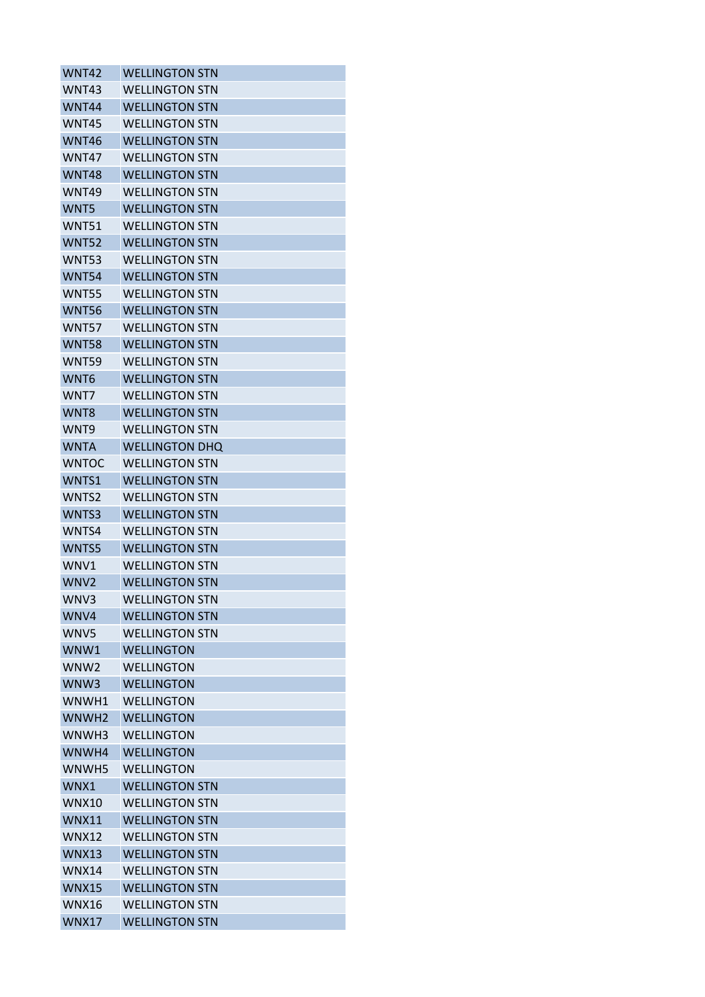| <b>WNT42</b>      | <b>WELLINGTON STN</b>                  |
|-------------------|----------------------------------------|
| WNT43             | <b>WELLINGTON STN</b>                  |
| <b>WNT44</b>      | <b>WELLINGTON STN</b>                  |
| <b>WNT45</b>      | <b>WELLINGTON STN</b>                  |
| <b>WNT46</b>      | <b>WELLINGTON STN</b>                  |
| WNT47             | <b>WELLINGTON STN</b>                  |
| <b>WNT48</b>      | <b>WELLINGTON STN</b>                  |
| <b>WNT49</b>      | <b>WELLINGTON STN</b>                  |
| WNT5              | <b>WELLINGTON STN</b>                  |
| <b>WNT51</b>      | <b>WELLINGTON STN</b>                  |
| <b>WNT52</b>      | <b>WELLINGTON STN</b>                  |
| <b>WNT53</b>      | <b>WELLINGTON STN</b>                  |
| <b>WNT54</b>      | <b>WELLINGTON STN</b>                  |
| <b>WNT55</b>      | <b>WELLINGTON STN</b>                  |
| <b>WNT56</b>      | <b>WELLINGTON STN</b>                  |
| <b>WNT57</b>      | <b>WELLINGTON STN</b>                  |
| <b>WNT58</b>      | <b>WELLINGTON STN</b>                  |
| <b>WNT59</b>      | <b>WELLINGTON STN</b>                  |
| WNT6              | <b>WELLINGTON STN</b>                  |
| WNT7              | <b>WELLINGTON STN</b>                  |
| WNT8              | <b>WELLINGTON STN</b>                  |
| WNT9              | <b>WELLINGTON STN</b>                  |
| <b>WNTA</b>       | <b>WELLINGTON DHQ</b>                  |
| <b>WNTOC</b>      | <b>WELLINGTON STN</b>                  |
| WNTS1             | <b>WELLINGTON STN</b>                  |
| WNTS2             | <b>WELLINGTON STN</b>                  |
| WNTS3             | <b>WELLINGTON STN</b>                  |
| WNTS4             | WELLINGTON STN                         |
| WNTS5             | <b>WELLINGTON STN</b>                  |
| WNV1              | <b>WELLINGTON STN</b>                  |
| WNV <sub>2</sub>  | <b>WELLINGTON STN</b>                  |
| WNV3              | <b>WELLINGTON STN</b>                  |
| WNV4              | <b>WELLINGTON STN</b>                  |
| WNV5              | <b>WELLINGTON STN</b>                  |
| WNW1              | <b>WELLINGTON</b>                      |
| WNW <sub>2</sub>  | <b>WELLINGTON</b>                      |
| WNW3              | <b>WELLINGTON</b>                      |
| WNWH1             | <b>WELLINGTON</b>                      |
| WNWH <sub>2</sub> |                                        |
| WNWH3             | <b>WELLINGTON</b><br><b>WELLINGTON</b> |
| WNWH4             |                                        |
|                   | <b>WELLINGTON</b>                      |
| WNWH5             | <b>WELLINGTON</b>                      |
| WNX1              | <b>WELLINGTON STN</b>                  |
| <b>WNX10</b>      | <b>WELLINGTON STN</b>                  |
| <b>WNX11</b>      | <b>WELLINGTON STN</b>                  |
| WNX12             | <b>WELLINGTON STN</b>                  |
| <b>WNX13</b>      | <b>WELLINGTON STN</b>                  |
| <b>WNX14</b>      | <b>WELLINGTON STN</b>                  |
| <b>WNX15</b>      | <b>WELLINGTON STN</b>                  |
| <b>WNX16</b>      | <b>WELLINGTON STN</b>                  |
| <b>WNX17</b>      | <b>WELLINGTON STN</b>                  |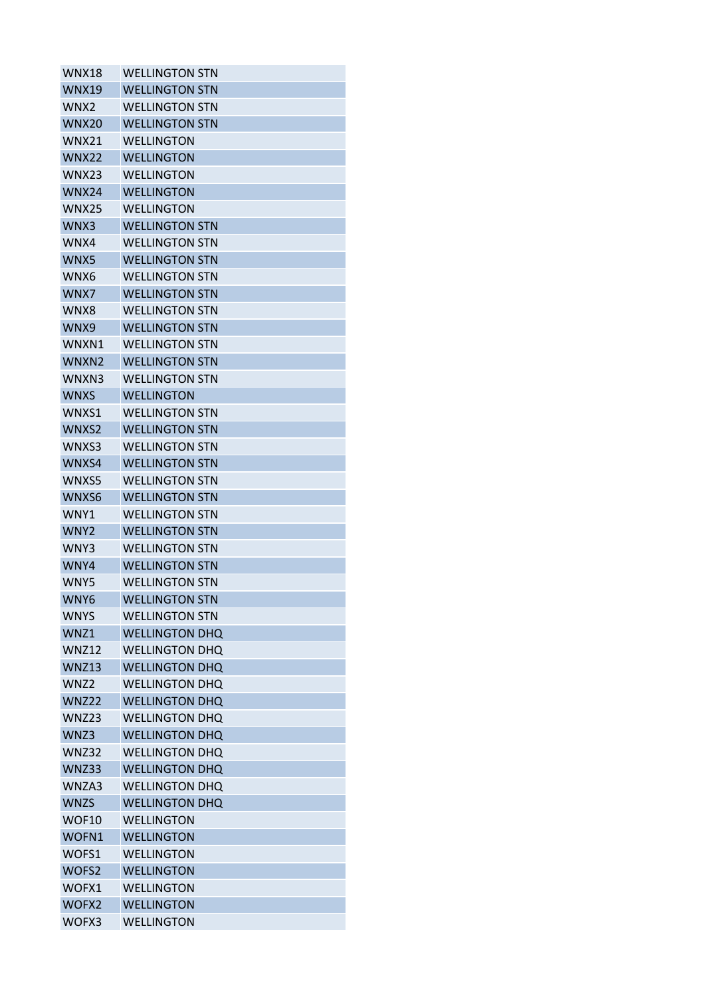| <b>WNX18</b>     | <b>WELLINGTON STN</b> |
|------------------|-----------------------|
| <b>WNX19</b>     | <b>WELLINGTON STN</b> |
| WNX <sub>2</sub> | <b>WELLINGTON STN</b> |
| <b>WNX20</b>     | <b>WELLINGTON STN</b> |
| <b>WNX21</b>     | WFLLINGTON            |
| <b>WNX22</b>     | <b>WELLINGTON</b>     |
| WNX23            | <b>WELLINGTON</b>     |
| <b>WNX24</b>     | <b>WELLINGTON</b>     |
| <b>WNX25</b>     | <b>WELLINGTON</b>     |
| WNX3             | <b>WELLINGTON STN</b> |
| WNX4             | <b>WELLINGTON STN</b> |
| WNX5             | <b>WELLINGTON STN</b> |
| WNX6             | <b>WELLINGTON STN</b> |
| WNX7             | <b>WELLINGTON STN</b> |
| WNX8             | <b>WELLINGTON STN</b> |
| WNX9             | <b>WELLINGTON STN</b> |
| WNXN1            | <b>WELLINGTON STN</b> |
| WNXN2            | <b>WELLINGTON STN</b> |
| WNXN3            | <b>WELLINGTON STN</b> |
| <b>WNXS</b>      | <b>WELLINGTON</b>     |
| WNXS1            | <b>WELLINGTON STN</b> |
| WNXS2            | <b>WELLINGTON STN</b> |
| WNXS3            | <b>WELLINGTON STN</b> |
| WNXS4            | <b>WELLINGTON STN</b> |
| WNXS5            | <b>WELLINGTON STN</b> |
| WNXS6            | <b>WELLINGTON STN</b> |
| WNY1             | <b>WELLINGTON STN</b> |
| WNY <sub>2</sub> | <b>WFLLINGTON STN</b> |
| WNY3             | <b>WELLINGTON STN</b> |
| WNY4             | <b>WELLINGTON STN</b> |
| WNY5             | <b>WELLINGTON STN</b> |
| WNY6             | <b>WELLINGTON STN</b> |
| <b>WNYS</b>      | <b>WELLINGTON STN</b> |
| WNZ1             | <b>WELLINGTON DHQ</b> |
| <b>WNZ12</b>     | <b>WELLINGTON DHQ</b> |
| <b>WNZ13</b>     | <b>WELLINGTON DHQ</b> |
| WNZ <sub>2</sub> | <b>WELLINGTON DHQ</b> |
| <b>WNZ22</b>     | <b>WELLINGTON DHQ</b> |
| <b>WNZ23</b>     | <b>WELLINGTON DHQ</b> |
| WNZ3             | <b>WELLINGTON DHQ</b> |
| <b>WNZ32</b>     | <b>WELLINGTON DHQ</b> |
| WNZ33            | <b>WELLINGTON DHQ</b> |
| WNZA3            | <b>WELLINGTON DHQ</b> |
| <b>WNZS</b>      | <b>WELLINGTON DHQ</b> |
| WOF10            | <b>WELLINGTON</b>     |
| WOFN1            | <b>WELLINGTON</b>     |
| WOFS1            | <b>WELLINGTON</b>     |
| WOFS2            | <b>WELLINGTON</b>     |
| WOFX1            | <b>WELLINGTON</b>     |
| WOFX2            | <b>WELLINGTON</b>     |
| WOFX3            | <b>WELLINGTON</b>     |
|                  |                       |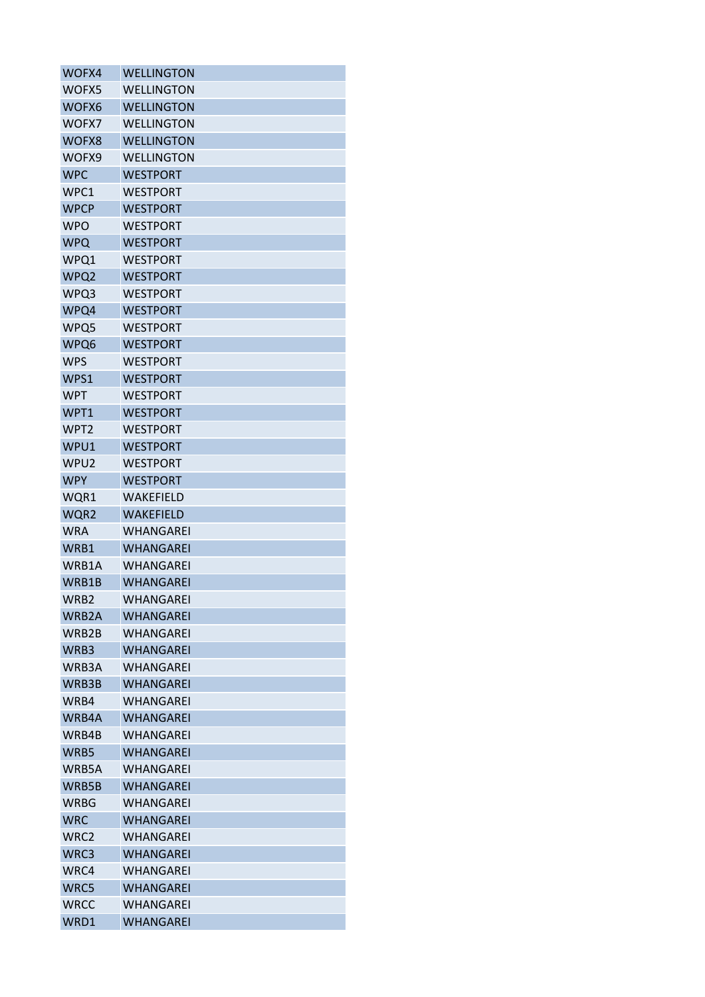| WOFX4              | <b>WELLINGTON</b> |
|--------------------|-------------------|
| WOFX5              | <b>WELLINGTON</b> |
| WOFX6              | <b>WELLINGTON</b> |
| WOFX7              | <b>WELLINGTON</b> |
| WOFX8              | <b>WELLINGTON</b> |
| WOFX9              | <b>WELLINGTON</b> |
| <b>WPC</b>         | <b>WESTPORT</b>   |
| WPC1               | <b>WESTPORT</b>   |
| <b>WPCP</b>        | <b>WESTPORT</b>   |
| <b>WPO</b>         | <b>WESTPORT</b>   |
| <b>WPQ</b>         | <b>WESTPORT</b>   |
| WPQ1               | WESTPORT          |
| WPQ2               | <b>WESTPORT</b>   |
| WPQ3               | <b>WESTPORT</b>   |
| WPQ4               | <b>WESTPORT</b>   |
| WPQ5               | <b>WESTPORT</b>   |
| WPQ6               | <b>WESTPORT</b>   |
| WPS                | WESTPORT          |
| WPS1               | <b>WESTPORT</b>   |
| <b>WPT</b>         | <b>WESTPORT</b>   |
| WPT1               | <b>WESTPORT</b>   |
| WPT <sub>2</sub>   | <b>WESTPORT</b>   |
| WPU1               | <b>WESTPORT</b>   |
| WPU2               | <b>WESTPORT</b>   |
| <b>WPY</b>         | <b>WESTPORT</b>   |
| WQR1               | WAKEFIELD         |
| WQR2               | <b>WAKEFIELD</b>  |
| <b>WRA</b>         | WHANGAREI         |
| WRB1               | <b>WHANGAREI</b>  |
| WRB1A              | WHANGARFI         |
| WRB1B              | WHANGAREI         |
| WRB2               | <b>WHANGAREI</b>  |
| WRB <sub>2</sub> A | WHANGAREI         |
| WRB2B              | <b>WHANGAREI</b>  |
| WRB3               | WHANGAREI         |
| WRB3A              | WHANGAREI         |
| WRB3B              | WHANGAREI         |
| WRB4               | <b>WHANGAREI</b>  |
| WRB4A              | <b>WHANGAREI</b>  |
| WRB4B              | WHANGAREI         |
| WRB5               | WHANGAREI         |
| WRB5A              | WHANGAREI         |
| WRB5B              | <b>WHANGAREI</b>  |
| <b>WRBG</b>        | WHANGAREI         |
| <b>WRC</b>         | <b>WHANGAREI</b>  |
| WRC <sub>2</sub>   | WHANGAREI         |
| WRC3               | <b>WHANGAREI</b>  |
| WRC4               | <b>WHANGAREI</b>  |
| WRC5               | WHANGAREI         |
| <b>WRCC</b>        | WHANGAREI         |
| WRD1               | WHANGAREI         |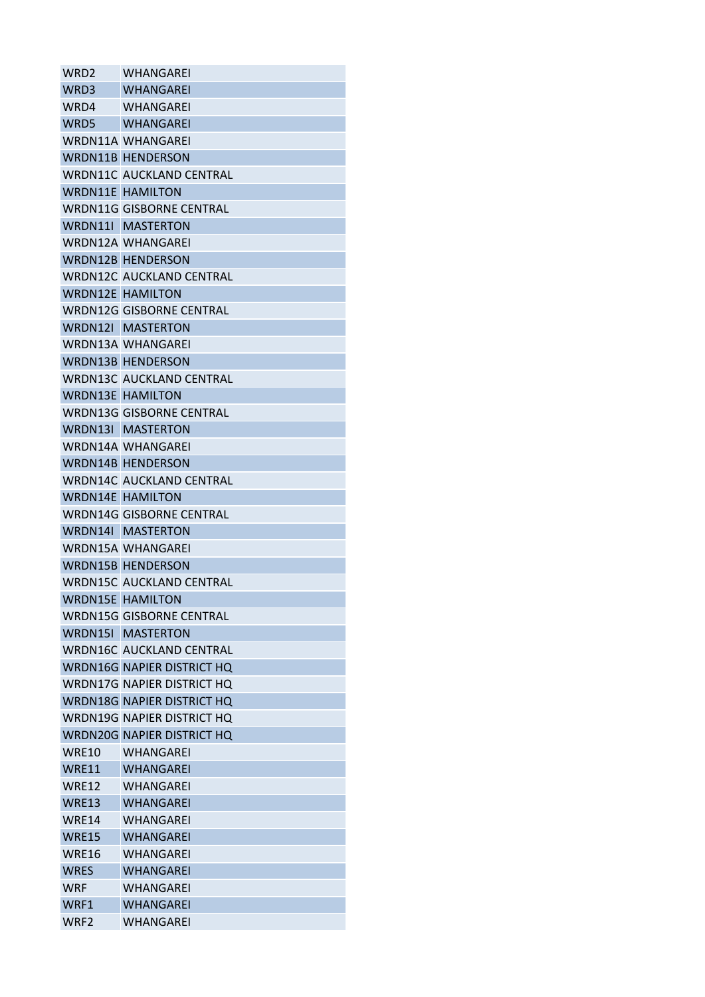| WRD <sub>2</sub> | <b>WHANGAREI</b>                  |
|------------------|-----------------------------------|
| WRD3             | <b>WHANGAREI</b>                  |
| WRD4             | WHANGAREI                         |
|                  | WRD5 WHANGAREI                    |
|                  | WRDN11A WHANGAREI                 |
|                  | <b>WRDN11B HENDERSON</b>          |
|                  | <b>WRDN11C AUCKLAND CENTRAL</b>   |
|                  | <b>WRDN11E HAMILTON</b>           |
|                  | <b>WRDN11G GISBORNE CENTRAL</b>   |
|                  | <b>WRDN11I MASTERTON</b>          |
|                  | WRDN12A WHANGAREI                 |
|                  | <b>WRDN12B HENDERSON</b>          |
|                  | <b>WRDN12C AUCKLAND CENTRAL</b>   |
|                  | <b>WRDN12E HAMILTON</b>           |
|                  | <b>WRDN12G GISBORNE CENTRAL</b>   |
|                  | WRDN12I MASTERTON                 |
|                  | <b>WRDN13A WHANGAREI</b>          |
|                  | <b>WRDN13B HENDERSON</b>          |
|                  | <b>WRDN13C AUCKLAND CENTRAL</b>   |
|                  | <b>WRDN13E HAMILTON</b>           |
|                  | <b>WRDN13G GISBORNE CENTRAL</b>   |
|                  | <b>WRDN13I MASTERTON</b>          |
|                  | <b>WRDN14A WHANGAREI</b>          |
|                  | <b>WRDN14B HENDERSON</b>          |
|                  | <b>WRDN14C AUCKLAND CENTRAL</b>   |
|                  | <b>WRDN14E HAMILTON</b>           |
|                  | <b>WRDN14G GISBORNE CENTRAL</b>   |
|                  | WRDN14I MASTERTON                 |
|                  | <b>WRDN15A WHANGAREI</b>          |
|                  | <b>WRDN15B HENDERSON</b>          |
|                  | <b>WRDN15C AUCKLAND CENTRAL</b>   |
|                  | <b>WRDN15E HAMILTON</b>           |
|                  | <b>WRDN15G GISBORNE CENTRAL</b>   |
|                  | WRDN15I MASTERTON                 |
|                  | <b>WRDN16C AUCKLAND CENTRAL</b>   |
|                  | <b>WRDN16G NAPIER DISTRICT HQ</b> |
|                  | WRDN17G NAPIER DISTRICT HQ        |
|                  | <b>WRDN18G NAPIER DISTRICT HQ</b> |
|                  | <b>WRDN19G NAPIER DISTRICT HQ</b> |
|                  | <b>WRDN20G NAPIER DISTRICT HQ</b> |
| WRE10            | <b>WHANGAREI</b>                  |
| <b>WRE11</b>     | <b>WHANGAREI</b>                  |
| WRE12            | <b>WHANGAREI</b>                  |
| WRE13            | <b>WHANGAREI</b>                  |
| WRE14            | <b>WHANGAREI</b>                  |
| WRE15            | WHANGAREI                         |
| <b>WRE16</b>     | <b>WHANGAREI</b>                  |
| <b>WRES</b>      | <b>WHANGAREI</b>                  |
| <b>WRF</b>       | <b>WHANGAREI</b>                  |
| WRF1             | <b>WHANGAREI</b>                  |
| WRF <sub>2</sub> | WHANGAREI                         |
|                  |                                   |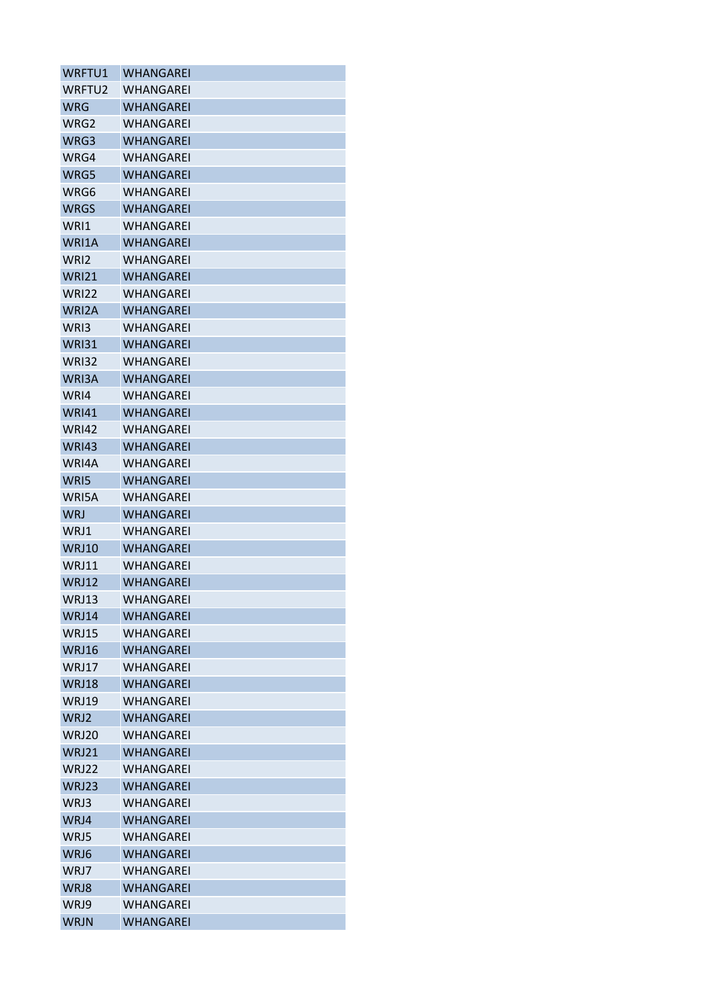| WRFTU1           | WHANGAREI        |
|------------------|------------------|
| WRFTU2           | WHANGAREI        |
| WRG              | WHANGAREI        |
| WRG2             | WHANGAREI        |
| WRG3             | WHANGAREI        |
| WRG4             | WHANGAREI        |
| WRG5             | WHANGAREI        |
| WRG6             | WHANGAREI        |
| <b>WRGS</b>      | WHANGAREI        |
| WRI1             | WHANGAREI        |
| WRI1A            | <b>WHANGAREI</b> |
| WRI <sub>2</sub> | WHANGAREI        |
| <b>WRI21</b>     | WHANGAREI        |
| <b>WRI22</b>     | WHANGAREI        |
| WRI2A            | WHANGAREI        |
| WRI3             | <b>WHANGAREI</b> |
| <b>WRI31</b>     | WHANGAREI        |
| <b>WRI32</b>     | WHANGAREI        |
| WRI3A            | <b>WHANGAREI</b> |
| WRI4             | <b>WHANGAREI</b> |
| <b>WRI41</b>     | WHANGAREI        |
| <b>WRI42</b>     | WHANGAREI        |
| <b>WRI43</b>     | WHANGAREI        |
| WRI4A            | WHANGAREI        |
| WRI5             | WHANGAREI        |
| WRI5A            | WHANGAREI        |
| <b>WRJ</b>       | WHANGAREI        |
| WRJ1             | WHANGARFI        |
| WRJ10            | WHANGAREI        |
| WRJ11            | WHANGAREI        |
| WRJ12            | WHANGAREI        |
| WRJ13            | <b>WHANGAREI</b> |
| WRJ14            | <b>WHANGAREI</b> |
| WRJ15            | <b>WHANGAREI</b> |
| WRJ16            | <b>WHANGAREI</b> |
| WRJ17            | WHANGAREI        |
| WRJ18            | WHANGAREI        |
| <b>WRJ19</b>     | <b>WHANGAREI</b> |
| WRJ2             | <b>WHANGAREI</b> |
| <b>WRJ20</b>     | WHANGAREI        |
| WRJ21            | <b>WHANGAREI</b> |
| WRJ22            | WHANGAREI        |
| WRJ23            | <b>WHANGAREI</b> |
| WRJ3             | WHANGAREI        |
| WRJ4             | <b>WHANGAREI</b> |
| WRJ5             | <b>WHANGAREI</b> |
| WRJ6             | <b>WHANGAREI</b> |
| WRJ7             | WHANGAREI        |
| WRJ8             | WHANGAREI        |
| WRJ9             | <b>WHANGAREI</b> |
| <b>WRJN</b>      | WHANGAREI        |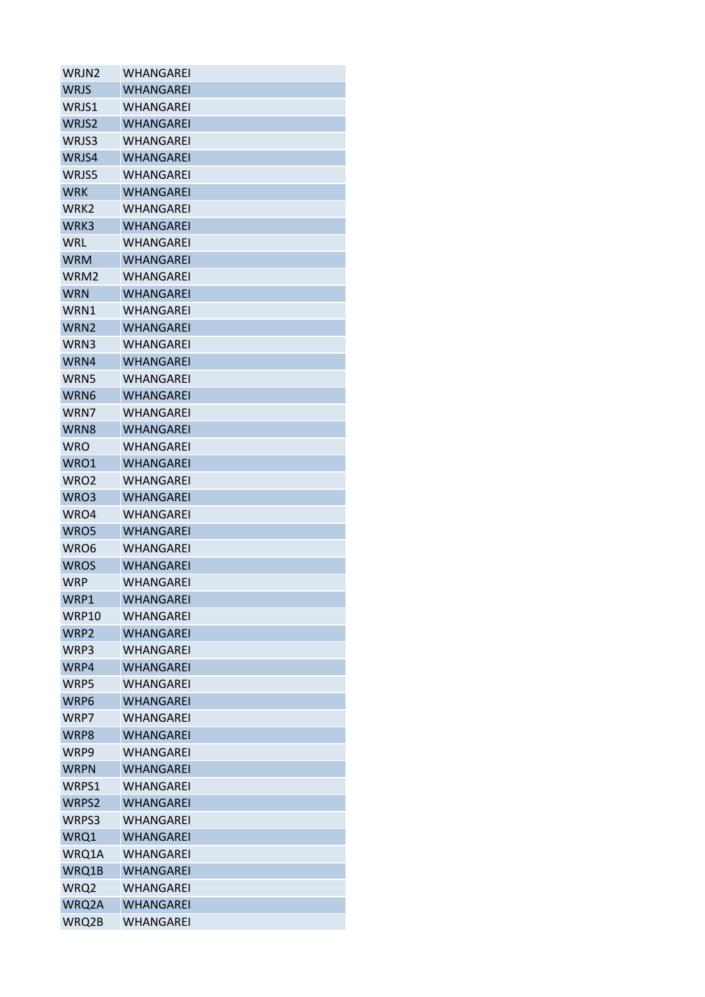| WRJN2            | WHANGAREI        |
|------------------|------------------|
| <b>WRJS</b>      | WHANGAREI        |
| WRJS1            | WHANGAREI        |
| WRJS2            | WHANGAREI        |
| WRJS3            | WHANGAREI        |
| WRJS4            | WHANGAREI        |
| WRJS5            | WHANGAREI        |
| <b>WRK</b>       | <b>WHANGAREI</b> |
| WRK <sub>2</sub> | WHANGARFI        |
| WRK3             | WHANGAREI        |
| <b>WRL</b>       | WHANGAREI        |
| WRM              | WHANGAREI        |
| WRM2             | WHANGAREI        |
| <b>WRN</b>       | <b>WHANGAREI</b> |
| WRN1             | WHANGAREI        |
| WRN2             | WHANGAREI        |
| WRN3             | WHANGAREI        |
| WRN4             | <b>WHANGAREI</b> |
| WRN5             | WHANGAREI        |
| WRN6             | WHANGAREI        |
| WRN7             | <b>WHANGAREI</b> |
| WRN8             | WHANGAREI        |
| <b>WRO</b>       | WHANGAREI        |
| WRO1             | <b>WHANGAREI</b> |
| WRO <sub>2</sub> | WHANGAREI        |
| WRO3             | <b>WHANGAREI</b> |
| WRO4             | WHANGAREI        |
| WRO5             | <b>WHANGAREI</b> |
| WRO6             | <b>WHANGAREI</b> |
| <b>WROS</b>      | <b>WHANGAREI</b> |
| WRP              | WHANGAREI        |
| WRP1             | <b>WHANGAREI</b> |
| WRP10            | WHANGAREI        |
| WRP2             | WHANGAREI        |
| WRP3             | WHANGAREI        |
| WRP4             | <b>WHANGAREI</b> |
| WRP5             | <b>WHANGAREI</b> |
| WRP6             | <b>WHANGAREI</b> |
| WRP7             | WHANGAREI        |
| WRP8             | WHANGAREI        |
| WRP9             | WHANGAREI        |
| <b>WRPN</b>      | <b>WHANGAREI</b> |
| WRPS1            | WHANGAREI        |
| WRPS2            | <b>WHANGAREI</b> |
| WRPS3            | WHANGAREI        |
| WRQ1             | WHANGAREI        |
| WRQ1A            | <b>WHANGAREI</b> |
| WRQ1B            | WHANGAREI        |
| WRQ2             | WHANGAREI        |
| WRQ2A            | <b>WHANGAREI</b> |
| WRQ2B            | WHANGAREI        |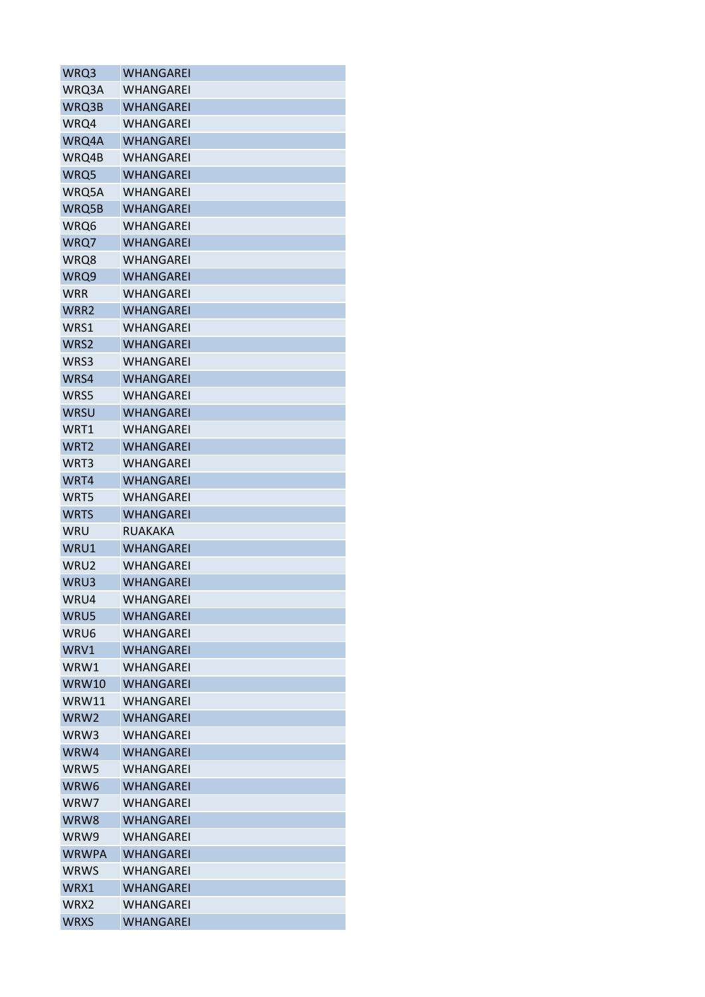| WRQ3             | WHANGAREI        |
|------------------|------------------|
| WRQ3A            | WHANGAREI        |
| WRQ3B            | WHANGAREI        |
| WRQ4             | WHANGAREI        |
| WRQ4A            | <b>WHANGAREI</b> |
| WRQ4B            | WHANGAREI        |
| WRQ5             | WHANGAREI        |
| WRQ5A            | WHANGAREI        |
| WRQ5B            | <b>WHANGAREI</b> |
| WRQ6             | WHANGAREI        |
| WRQ7             | WHANGAREI        |
| WRQ8             | WHANGAREI        |
| WRQ9             | WHANGAREI        |
| WRR              | WHANGAREI        |
| WRR2             | WHANGAREI        |
| WRS1             | WHANGAREI        |
| WRS2             | WHANGAREI        |
| WRS3             | <b>WHANGAREI</b> |
| WRS4             | <b>WHANGAREI</b> |
| WRS5             | WHANGAREI        |
| <b>WRSU</b>      | <b>WHANGAREI</b> |
| WRT1             | WHANGAREI        |
| WRT <sub>2</sub> | WHANGAREI        |
| WRT3             | WHANGAREI        |
| WRT4             | <b>WHANGAREI</b> |
| WRT5             | WHANGAREI        |
| <b>WRTS</b>      | WHANGAREI        |
| WRU              | RUAKAKA          |
| WRU1             | <b>WHANGAREI</b> |
| WRU2             | <b>WHANGAREI</b> |
| WRU3             | <b>WHANGAREI</b> |
| WRU4             | <b>WHANGAREI</b> |
| WRU5             | WHANGAREI        |
| WRU6             | WHANGAREI        |
| WRV1             | WHANGAREI        |
| WRW1             | WHANGAREI        |
| WRW10            | <b>WHANGAREI</b> |
| WRW11            | <b>WHANGAREI</b> |
| WRW2             | <b>WHANGAREI</b> |
| WRW3             | WHANGAREI        |
| WRW4             | <b>WHANGAREI</b> |
| WRW5             | <b>WHANGAREI</b> |
| WRW6             | <b>WHANGAREI</b> |
| WRW7             | <b>WHANGAREI</b> |
| WRW8             | <b>WHANGAREI</b> |
| WRW9             | WHANGAREI        |
| <b>WRWPA</b>     | <b>WHANGAREI</b> |
| <b>WRWS</b>      | <b>WHANGAREI</b> |
| WRX1             | <b>WHANGAREI</b> |
| WRX2             | WHANGAREI        |
| <b>WRXS</b>      | <b>WHANGAREI</b> |
|                  |                  |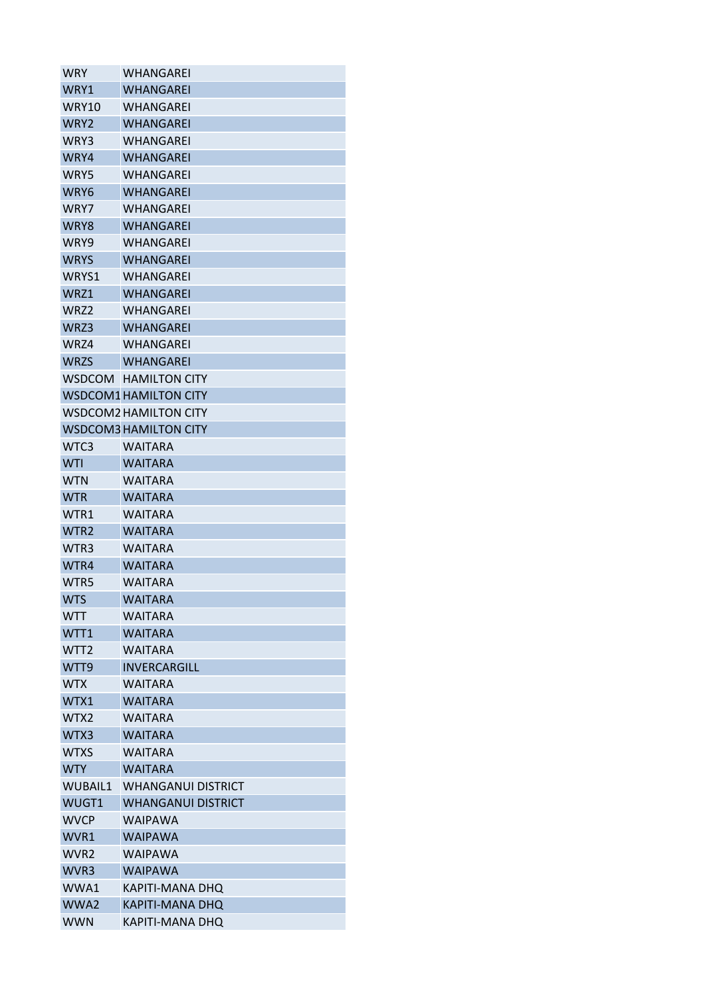| WRY              | WHANGAREI                    |
|------------------|------------------------------|
| WRY1             | WHANGAREI                    |
| WRY10            | WHANGAREI                    |
| WRY <sub>2</sub> | WHANGAREI                    |
| WRY3             | WHANGARFI                    |
| WRY4             | <b>WHANGAREI</b>             |
| WRY5             | WHANGAREI                    |
| WRY6             | WHANGAREI                    |
| WRY7             | WHANGAREI                    |
| WRY8             | WHANGAREI                    |
| WRY9             | WHANGAREI                    |
| <b>WRYS</b>      | WHANGAREI                    |
| WRYS1            | WHANGAREI                    |
| WRZ1             | WHANGAREI                    |
| WRZ2             | <b>WHANGAREI</b>             |
| WRZ3             | <b>WHANGAREI</b>             |
| WRZ4             | WHANGARFI                    |
| <b>WRZS</b>      | <b>WHANGAREI</b>             |
| <b>WSDCOM</b>    | <b>HAMILTON CITY</b>         |
|                  | <b>WSDCOM1 HAMILTON CITY</b> |
|                  | <b>WSDCOM2 HAMILTON CITY</b> |
|                  |                              |
|                  | <b>WSDCOM3 HAMILTON CITY</b> |
| WTC3             | WAITARA                      |
| <b>WTI</b>       | <b>WAITARA</b>               |
| WTN              | <b>WAITARA</b>               |
| <b>WTR</b>       | <b>WAITARA</b>               |
| WTR1             | WAITARA                      |
| WTR <sub>2</sub> | <b>WAITARA</b>               |
| WTR3             | <b>WAITARA</b>               |
| WTR4             | <b>WAITARA</b>               |
| WTR5             | WAITARA                      |
| <b>WTS</b>       | <b>WAITARA</b>               |
| <b>WTT</b>       | WAITARA                      |
| WTT1             | <b>WAITARA</b>               |
| WTT <sub>2</sub> | <b>WAITARA</b>               |
| WTT9             | <b>INVERCARGILL</b>          |
| <b>WTX</b>       | <b>WAITARA</b>               |
| WTX1             | <b>WAITARA</b>               |
| WTX2             | <b>WAITARA</b>               |
| WTX3             | WAITARA                      |
| <b>WTXS</b>      | WAITARA                      |
| <b>WTY</b>       | <b>WAITARA</b>               |
| <b>WUBAIL1</b>   | WHANGANUI DISTRICT           |
| WUGT1            | <b>WHANGANUI DISTRICT</b>    |
| <b>WVCP</b>      | WAIPAWA                      |
| WVR1             | <b>WAIPAWA</b>               |
| WVR <sub>2</sub> | <b>WAIPAWA</b>               |
| WVR3             | <b>WAIPAWA</b>               |
| WWA1             | KAPITI-MANA DHQ              |
| WWA2             | <b>KAPITI-MANA DHQ</b>       |
| <b>WWN</b>       | KAPITI-MANA DHQ              |
|                  |                              |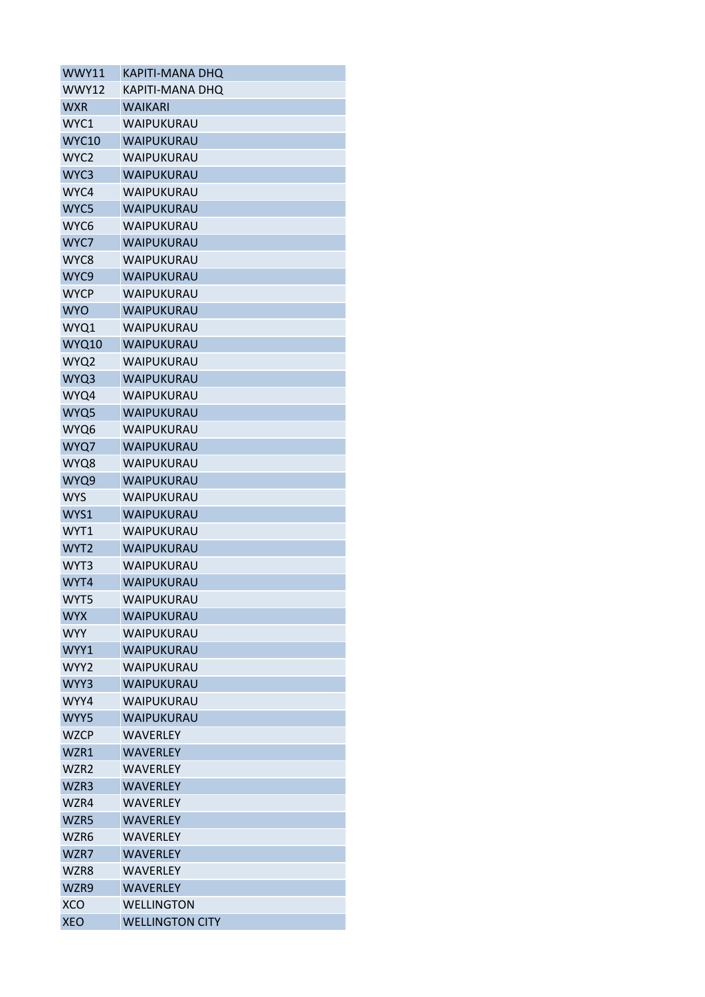| WWY11            | KAPITI-MANA DHO        |
|------------------|------------------------|
| WWY12            | KAPITI-MANA DHQ        |
| <b>WXR</b>       | <b>WAIKARI</b>         |
| WYC1             | WAIPUKURAU             |
| <b>WYC10</b>     | WAIPUKURAU             |
| WYC <sub>2</sub> | WAIPUKURAU             |
| WYC3             | WAIPUKURAU             |
| WYC4             | WAIPUKURAU             |
| WYC5             | WAIPUKURAU             |
| WYC6             | WAIPUKURAU             |
| WYC7             | WAIPUKURAU             |
| WYC8             | WAIPUKURAU             |
| WYC9             | WAIPUKURAU             |
| <b>WYCP</b>      | WAIPUKURAU             |
| <b>WYO</b>       | WAIPUKURAU             |
| WYQ1             | WAIPUKURAU             |
| WYQ10            | WAIPUKURAU             |
| WYQ2             | WAIPUKURAU             |
| WYQ3             | WAIPUKURAU             |
| WYQ4             | WAIPUKURAU             |
| WYQ5             | WAIPUKURAU             |
| WYQ6             | WAIPUKURAU             |
| WYQ7             | WAIPUKURAU             |
| WYQ8             | WAIPUKURAU             |
| WYQ9             | WAIPUKURAU             |
| <b>WYS</b>       | WAIPUKURAU             |
| WYS1             | WAIPUKURAU             |
| WYT1             | WAIPUKURAU             |
| WYT <sub>2</sub> | WAIPUKURAU             |
| WYT3             | WAIPUKURAU             |
| WYT4             | WAIPUKURAU             |
| WYT5             | WAIPUKURAU             |
| <b>WYX</b>       | WAIPUKURAU             |
| <b>WYY</b>       | WAIPUKURAU             |
| WYY1             | <b>WAIPUKURAU</b>      |
| WYY2             | WAIPUKURAU             |
| WYY3             | WAIPUKURAU             |
| WYY4             | WAIPUKURAU             |
| WYY5             | WAIPUKURAU             |
| <b>WZCP</b>      | <b>WAVERLEY</b>        |
| WZR1             | <b>WAVERLEY</b>        |
| WZR <sub>2</sub> | <b>WAVERLEY</b>        |
| WZR3             | <b>WAVERLEY</b>        |
| WZR4             | <b>WAVERLEY</b>        |
|                  |                        |
| WZR5             | <b>WAVERLEY</b>        |
| WZR6             | WAVERLEY               |
| WZR7             | <b>WAVERLEY</b>        |
| WZR8             | <b>WAVERLEY</b>        |
| WZR9             | <b>WAVERLEY</b>        |
| <b>XCO</b>       | <b>WELLINGTON</b>      |
| <b>XEO</b>       | <b>WELLINGTON CITY</b> |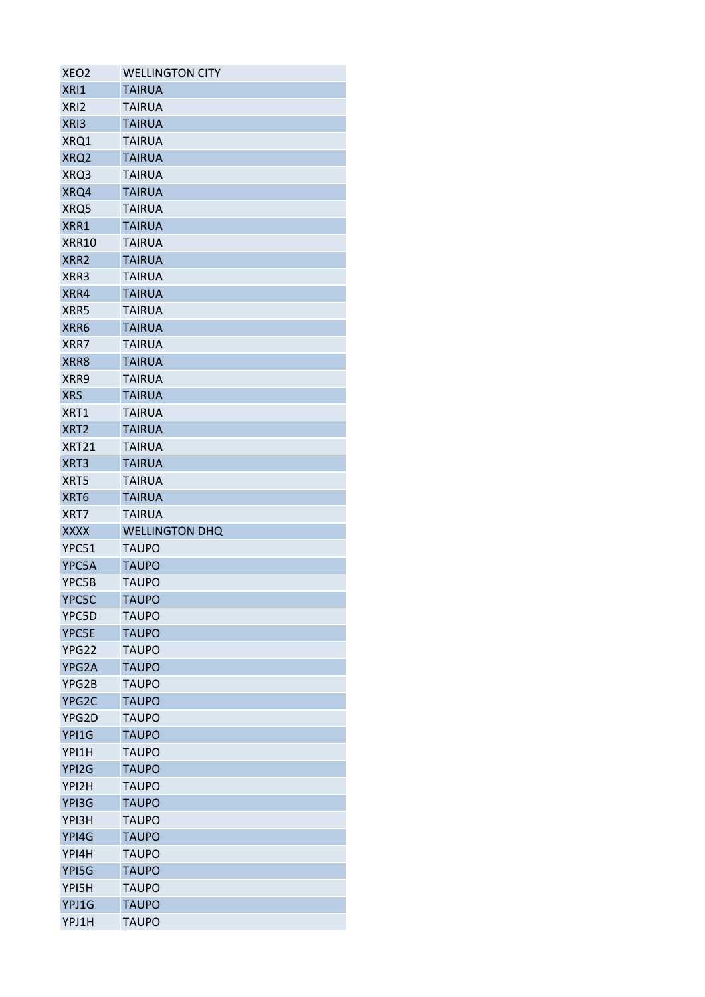| XEO <sub>2</sub> | <b>WELLINGTON CITY</b>       |
|------------------|------------------------------|
| XRI1             | <b>TAIRUA</b>                |
| XRI <sub>2</sub> | <b>TAIRUA</b>                |
| XRI3             | <b>TAIRUA</b>                |
| XRQ1             | <b>TAIRUA</b>                |
| XRQ2             | <b>TAIRUA</b>                |
| XRQ3             | TAIRUA                       |
| XRQ4             | <b>TAIRUA</b>                |
| XRQ5             | TAIRUA                       |
| XRR1             | <b>TAIRUA</b>                |
| XRR10            | <b>TAIRUA</b>                |
| XRR <sub>2</sub> | <b>TAIRUA</b>                |
| XRR3             | <b>TAIRUA</b>                |
| XRR4             | <b>TAIRUA</b>                |
| XRR5             | <b>TAIRUA</b>                |
| XRR6             | <b>TAIRUA</b>                |
| XRR7             | TAIRUA                       |
| XRR8             | <b>TAIRUA</b>                |
| XRR9             | TAIRUA                       |
| <b>XRS</b>       | <b>TAIRUA</b>                |
| XRT1             | <b>TAIRUA</b>                |
| XRT <sub>2</sub> | <b>TAIRUA</b>                |
| XRT21            | TAIRUA                       |
| XRT3             | <b>TAIRUA</b>                |
| XRT5             | <b>TAIRUA</b>                |
| XRT6             | <b>TAIRUA</b>                |
| XRT7             | <b>TAIRUA</b>                |
| <b>XXXX</b>      | <b>WELLINGTON DHQ</b>        |
| YPC51            | <b>TAUPO</b>                 |
| YPC5A            | <b>TAUPO</b>                 |
| YPC5B            | <b>TAUPO</b>                 |
| YPC5C            |                              |
|                  |                              |
|                  | <b>TAUPO</b>                 |
| YPC5D            | TAUPO                        |
| YPC5E            | <b>TAUPO</b>                 |
| YPG22            | <b>TAUPO</b>                 |
| YPG2A            | <b>TAUPO</b>                 |
| YPG2B            | <b>TAUPO</b>                 |
| YPG2C            | <b>TAUPO</b>                 |
| YPG2D            | <b>TAUPO</b>                 |
| YPI1G            | <b>TAUPO</b>                 |
| YPI1H            | TAUPO                        |
| YPI2G            | <b>TAUPO</b>                 |
| YPI2H            | <b>TAUPO</b>                 |
| YPI3G            | <b>TAUPO</b>                 |
| YPI3H            | <b>TAUPO</b>                 |
| YPI4G            | <b>TAUPO</b>                 |
| YPI4H            | <b>TAUPO</b>                 |
| YPI5G            | <b>TAUPO</b>                 |
| YPI5H            | <b>TAUPO</b>                 |
| YPJ1G<br>YPJ1H   | <b>TAUPO</b><br><b>TAUPO</b> |